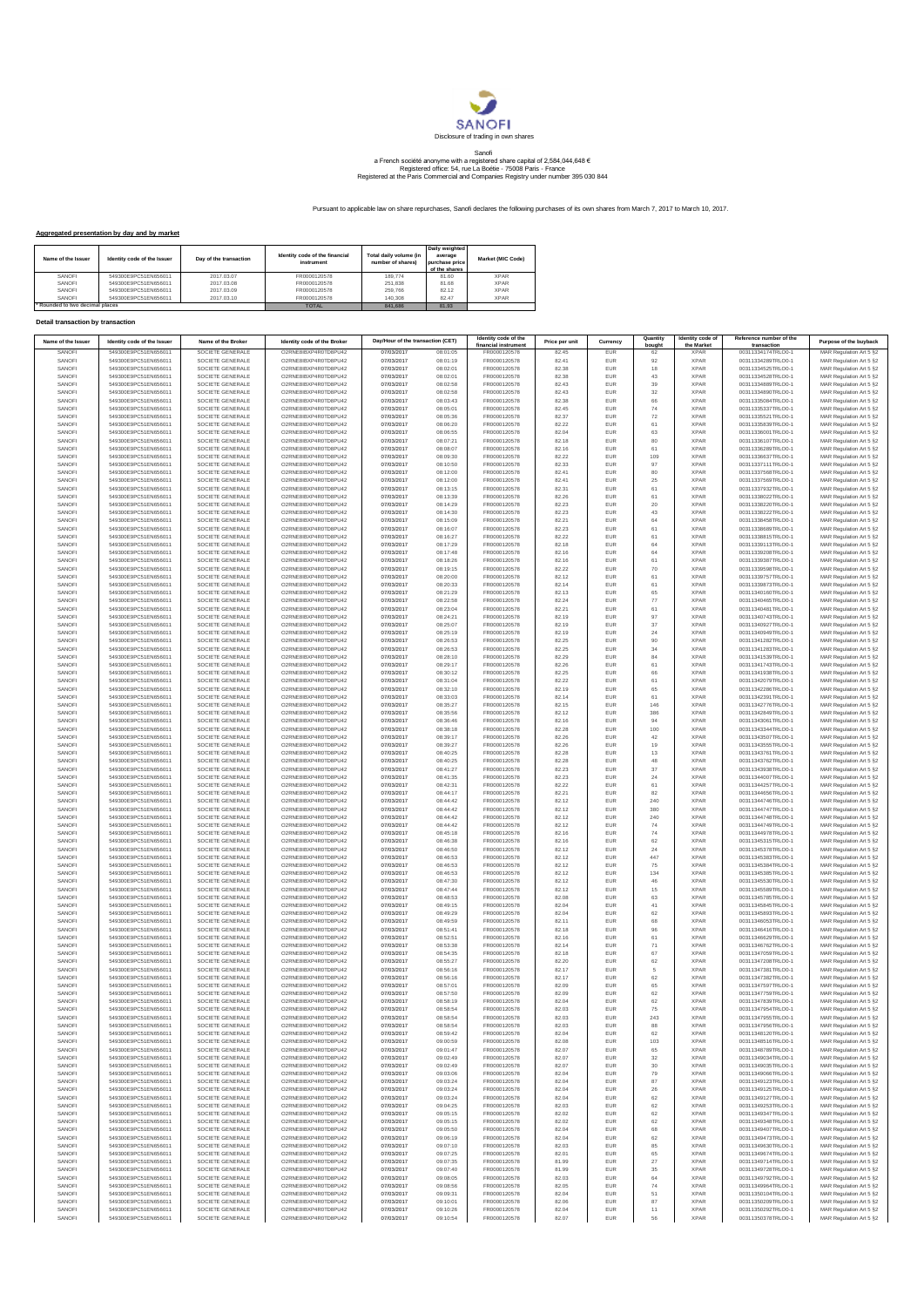

## Sanofi<br>a French société anonyme with a registered share capital of 2,584,044,648 €<br>Registered office: 54, rue La Boétie - 75008 Paris - France<br>Registered at the Paris Commercial and Companies Registry under number 395 030

Pursuant to applicable law on share repurchases, Sanofi declares the following purchases of its own shares from March 7, 2017 to March 10, 2017.

## **Aggregated presentation by day and by market**

| Name of the Issuer            | Identity code of the Issuer | Day of the transaction | Identity code of the financial<br>instrument | Total daily volume (in<br>number of shares) | I Daily weighted<br>average<br>purchase price<br>of the shares | Market (MIC Code) |
|-------------------------------|-----------------------------|------------------------|----------------------------------------------|---------------------------------------------|----------------------------------------------------------------|-------------------|
| SANOFI                        | 549300E9PC51EN656011        | 2017.03.07             | FR0000120578                                 | 189,774                                     | 81.60                                                          | <b>XPAR</b>       |
| SANOFI                        | 549300E9PC51EN656011        | 2017.03.08             | FR0000120578                                 | 251,838                                     | 81.68                                                          | <b>XPAR</b>       |
| SANOFI                        | 549300E9PC51EN656011        | 2017.03.09             | FR0000120578                                 | 259,766                                     | 82.12                                                          | <b>XPAR</b>       |
| SANOFI                        | 549300E9PC51EN656011        | 2017.03.10             | FR0000120578                                 | 140,308                                     | 82 47                                                          | <b>XPAR</b>       |
| Rounded to two decimal places |                             |                        | <b>TOTAL</b>                                 | 841,686                                     | 81.93                                                          |                   |

## **Detail transaction by transaction**

| Name of the Issuer | Identity code of the Issuer                  | Name of the Broker                   | Identity code of the Broker                  | Day/Hour of the transaction (CET) |                      | Identity code of the                 | Price per unit | Currency          | Quantity                 | Identity code of           | Reference number of the                  | Purpose of the buyback                             |
|--------------------|----------------------------------------------|--------------------------------------|----------------------------------------------|-----------------------------------|----------------------|--------------------------------------|----------------|-------------------|--------------------------|----------------------------|------------------------------------------|----------------------------------------------------|
| SANOFI             | 549300E9PC51EN656011                         | SOCIETE GENERALE                     | O2RNE8IBXP4R0TD8PU42                         | 07/03/2017                        | 08:01:05             | financial instrument<br>FR0000120578 | 82.45          | EUR               | bought<br>62             | the Market<br><b>XPAR</b>  | transaction<br>00311334174TRLO0-1        | MAR Regulation Art 5 §2                            |
| SANOFI             | 549300E9PC51EN656011                         | SOCIETE GENERALE                     | O2RNE8IBXP4R0TD8PU42                         | 07/03/2017                        | 08:01:19             | FR0000120578                         | 82.41          | EUR               | 92                       | <b>XPAR</b>                | 00311334289TRLO0-1                       | MAR Regulation Art 5 §2                            |
| SANOFI             | 549300E9PC51EN656011                         | SOCIETE GENERALE                     | O2RNE8IBXP4R0TD8PU42                         | 07/03/2017                        | 08:02:01             | FR0000120578                         | 82.38          | <b>EUR</b>        | 18                       | <b>XPAR</b>                | 00311334525TRLO0-1                       | MAR Regulation Art 5 §2                            |
| SANOFI<br>SANOFI   | 549300E9PC51EN656011<br>549300E9PC51EN656011 | SOCIETE GENERALE<br>SOCIETE GENERALE | O2RNE8IBXP4R0TD8PU42<br>O2RNE8IBXP4R0TD8PU42 | 07/03/2017<br>07/03/2017          | 08:02:01<br>08:02:58 | FR0000120578<br>FR0000120578         | 82.38<br>82.43 | EUR<br><b>EUR</b> | 43<br>39                 | <b>XPAR</b><br><b>XPAR</b> | 00311334528TRLO0-1<br>00311334889TRLO0-1 | MAR Regulation Art 5 §2<br>MAR Regulation Art 5 §2 |
| SANOFI             | 549300E9PC51EN656011                         | SOCIETE GENERALE                     | O2RNE8IBXP4R0TD8PU42                         | 07/03/2017                        | 08:02:58             | FR0000120578                         | 82.43          | EUR               | 32                       | <b>XPAR</b>                | 00311334890TRLO0-1                       | MAR Regulation Art 5 §2                            |
| SANOFI             | 549300E9PC51EN656011                         | SOCIETE GENERALE                     | O2RNE8IBXP4R0TD8PU42                         | 07/03/2017                        | 08:03:43             | FR0000120578                         | 82.38          | EUR               | 66                       | <b>XPAR</b>                | 00311335084TRLO0-1                       | MAR Regulation Art 5 §2                            |
| SANOFI<br>SANOFI   | 549300E9PC51EN656011<br>549300E9PC51EN656011 | SOCIETE GENERALE<br>SOCIETE GENERALE | O2RNE8IBXP4R0TD8PU42<br>O2RNE8IBXP4R0TD8PU42 | 07/03/2017<br>07/03/2017          | 08:05:01<br>08:05:36 | FR0000120578<br>FR0000120578         | 82.45<br>82.37 | EUR<br>EUR        | 74<br>$\scriptstyle{72}$ | <b>XPAR</b><br><b>XPAR</b> | 00311335337TRLO0-1<br>00311335521TRLO0-1 | MAR Regulation Art 5 §2<br>MAR Regulation Art 5 §2 |
| SANOFI             | 549300E9PC51EN656011                         | SOCIETE GENERALE                     | O2RNE8IBXP4R0TD8PU42                         | 07/03/2017                        | 08:06:20             | FR0000120578                         | 82.22          | EUR               | 61                       | <b>XPAR</b>                | 00311335839TRLO0-1                       | MAR Regulation Art 5 §2                            |
| SANOFI             | 549300E9PC51EN656011                         | SOCIETE GENERALE                     | O2RNE8IBXP4R0TD8PU42                         | 07/03/2017                        | 08:06:55             | FR0000120578                         | 82.04          | EUR               | 63                       | <b>XPAR</b>                | 00311336001TRLO0-1                       | MAR Regulation Art 5 §2                            |
| SANOFI             | 549300E9PC51EN656011                         | SOCIETE GENERALE                     | O2RNE8IBXP4R0TD8PU42                         | 07/03/2017                        | 08:07:21             | FR0000120578                         | 82.18          | <b>EUR</b>        | 80                       | <b>XPAR</b>                | 00311336107TRLO0-1                       | MAR Regulation Art 5 §2                            |
| SANOFI<br>SANOFI   | 549300E9PC51EN656011<br>549300E9PC51EN656011 | SOCIETE GENERALE<br>SOCIETE GENERALE | O2RNE8IBXP4R0TD8PU42<br>O2RNE8IBXP4R0TD8PU42 | 07/03/2017<br>07/03/2017          | 08:08:07<br>08:09:30 | FR0000120578<br>FR0000120578         | 82.16<br>82.22 | EUR<br>EUR        | 61<br>109                | <b>XPAR</b><br><b>XPAR</b> | 00311336289TRLO0-1<br>00311336637TRLO0-1 | MAR Regulation Art 5 §2<br>MAR Regulation Art 5 §2 |
| SANOFI             | 549300E9PC51EN656011                         | SOCIETE GENERALE                     | O2RNE8IBXP4R0TD8PU42                         | 07/03/2017                        | 08:10:50             | FR0000120578                         | 82.33          | EUR               | 97                       | <b>XPAR</b>                | 00311337111TRLO0-1                       | MAR Regulation Art 5 §2                            |
| SANOFI             | 549300E9PC51EN656011                         | SOCIETE GENERALE                     | O2RNE8IBXP4R0TD8PU42                         | 07/03/2017                        | 08:12:00             | FR0000120578                         | 82.41          | EUR               | 80                       | <b>XPAR</b>                | 00311337568TRLO0-1                       | MAR Regulation Art 5 §2                            |
| SANOFI             | 549300E9PC51EN656011                         | SOCIETE GENERALE                     | O2RNE8IBXP4R0TD8PU42<br>O2RNE8IBXP4R0TD8PU42 | 07/03/2017                        | 08:12:00             | FR0000120578                         | 82.41          | EUR               | $25\,$                   | <b>XPAR</b>                | 00311337569TRLO0-1                       | MAR Regulation Art 5 §2                            |
| SANOFI<br>SANOFI   | 549300E9PC51EN656011<br>549300E9PC51EN656011 | SOCIETE GENERALE<br>SOCIETE GENERALE | O2RNE8IBXP4R0TD8PU42                         | 07/03/2017<br>07/03/2017          | 08:13:15<br>08:13:39 | FR0000120578<br>FR0000120578         | 82.31<br>82.26 | EUR<br>EUR        | 61<br>61                 | <b>XPAR</b><br><b>XPAR</b> | 00311337932TRLO0-1<br>00311338022TRLO0-1 | MAR Regulation Art 5 §2<br>MAR Regulation Art 5 §2 |
| SANOFI             | 549300E9PC51EN656011                         | SOCIETE GENERALE                     | O2RNE8IBXP4R0TD8PU42                         | 07/03/2017                        | 08:14:29             | FR0000120578                         | 82.23          | EUR               | 20                       | <b>XPAR</b>                | 00311338220TRLO0-1                       | MAR Regulation Art 5 §2                            |
| SANOFI             | 549300E9PC51EN656011                         | SOCIETE GENERALE                     | O2RNE8IBXP4R0TD8PU42                         | 07/03/2017                        | 08:14:30             | FR0000120578                         | 82.23          | EUR               | 43                       | <b>XPAR</b>                | 00311338222TRLO0-1                       | MAR Regulation Art 5 §2                            |
| SANOF<br>SANOFI    | 549300E9PC51EN656011<br>549300E9PC51EN656011 | SOCIETE GENERALE<br>SOCIETE GENERALE | O2RNE8IBXP4R0TD8PU42<br>O2RNE8IBXP4R0TD8PU42 | 07/03/2017<br>07/03/2017          | 08:15:09<br>08:16:07 | FR0000120578<br>FR0000120578         | 82.21<br>82.23 | EUR<br><b>EUR</b> | 64<br>61                 | <b>XPAR</b><br><b>XPAR</b> | 00311338458TRLO0-1<br>00311338689TRLO0-1 | MAR Regulation Art 5 §2<br>MAR Regulation Art 5 §2 |
| SANOFI             | 549300E9PC51EN656011                         | SOCIETE GENERALE                     | O2RNE8IBXP4R0TD8PU42                         | 07/03/2017                        | 08:16:27             | FR0000120578                         | 82.22          | EUR               | 61                       | <b>XPAR</b>                | 00311338815TRLO0-1                       | MAR Regulation Art 5 §2                            |
| SANOFI             | 549300E9PC51EN656011                         | SOCIETE GENERALE                     | O2RNE8IBXP4R0TD8PU42                         | 07/03/2017                        | 08:17:29             | FR0000120578                         | 82.18          | EUR               | 64                       | <b>XPAR</b>                | 00311339113TRLO0-1                       | MAR Regulation Art 5 §2                            |
| SANOFI             | 549300E9PC51EN656011                         | SOCIETE GENERALE                     | O2RNE8IBXP4R0TD8PU42                         | 07/03/2017                        | 08:17:48             | FR0000120578                         | 82.16          | EUR               | 64                       | <b>XPAR</b>                | 00311339208TRLO0-1                       | MAR Regulation Art 5 §2                            |
| SANOFI<br>SANOFI   | 549300E9PC51EN656011<br>549300E9PC51EN656011 | SOCIETE GENERALE<br>SOCIETE GENERALE | O2RNE8IBXP4R0TD8PU42<br>O2RNE8IBXP4R0TD8PU42 | 07/03/2017<br>07/03/2017          | 08:18:26<br>08:19:15 | FR0000120578<br>FR0000120578         | 82.16<br>82.22 | EUR<br>EUR        | 61<br>$70\,$             | <b>XPAR</b><br><b>XPAR</b> | 00311339387TRLO0-1<br>00311339598TRLO0-1 | MAR Regulation Art 5 §2<br>MAR Regulation Art 5 §2 |
| SANOFI             | 549300E9PC51EN656011                         | SOCIETE GENERALE                     | O2RNE8IBXP4R0TD8PU42                         | 07/03/2017                        | 08:20:00             | FR0000120578                         | 82.12          | EUR               | 61                       | <b>XPAR</b>                | 00311339757TRLO0-1                       | MAR Regulation Art 5 §2                            |
| SANOFI             | 549300E9PC51EN656011                         | SOCIETE GENERALE                     | O2RNE8IBXP4R0TD8PU42                         | 07/03/2017                        | 08:20:33             | FR0000120578                         | 82.14          | <b>EUR</b>        | 61                       | <b>XPAR</b>                | 00311339873TRLO0-1                       | MAR Regulation Art 5 §2                            |
| SANOFI<br>SANOFI   | 549300E9PC51EN656011<br>549300E9PC51EN656011 | SOCIETE GENERALE<br>SOCIETE GENERALE | O2RNE8IBXP4R0TD8PU42<br>O2RNE8IBXP4R0TD8PU42 | 07/03/2017<br>07/03/2017          | 08:21:29<br>08:22:58 | FR0000120578<br>FR0000120578         | 82.13<br>82.24 | EUR<br><b>EUR</b> | 65                       | <b>XPAR</b><br><b>XPAR</b> | 00311340160TRLO0-1<br>00311340465TRLO0-1 | MAR Regulation Art 5 §2                            |
| SANOFI             | 549300E9PC51EN656011                         | SOCIETE GENERALE                     | O2RNE8IBXP4R0TD8PU42                         | 07/03/2017                        | 08:23:04             | FR0000120578                         | 82.21          | EUR               | 77<br>61                 | <b>XPAR</b>                | 00311340481TRLO0-1                       | MAR Regulation Art 5 §2<br>MAR Regulation Art 5 §2 |
| SANOFI             | 549300E9PC51EN656011                         | SOCIETE GENERALE                     | O2RNE8IBXP4R0TD8PU42                         | 07/03/2017                        | 08:24:21             | FR0000120578                         | 82.19          | EUR               | 97                       | <b>XPAR</b>                | 00311340743TRLO0-1                       | MAR Regulation Art 5 §2                            |
| SANOFI             | 549300E9PC51EN656011                         | SOCIETE GENERALE                     | O2RNE8IBXP4R0TD8PU42                         | 07/03/2017                        | 08:25:07             | FR0000120578                         | 82.19          | EUR               | $37\,$                   | <b>XPAR</b>                | 00311340927TRLO0-1                       | MAR Regulation Art 5 §2                            |
| SANOFI<br>SANOFI   | 549300E9PC51EN656011<br>549300E9PC51EN656011 | SOCIETE GENERALE<br>SOCIETE GENERALE | O2RNE8IBXP4R0TD8PU42<br>O2RNE8IBXP4R0TD8PU42 | 07/03/2017<br>07/03/2017          | 08:25:19<br>08:26:53 | FR0000120578<br>FR0000120578         | 82.19<br>82.25 | EUR<br><b>EUR</b> | $\bf 24$<br>90           | <b>XPAR</b><br><b>XPAR</b> | 00311340949TRLO0-1<br>00311341282TRLO0-1 | MAR Regulation Art 5 §2<br>MAR Regulation Art 5 §2 |
| SANOFI             | 549300E9PC51EN656011                         | SOCIETE GENERALE                     | O2RNE8IBXP4R0TD8PU42                         | 07/03/2017                        | 08:26:53             | FR0000120578                         | 82.25          | EUR               | 34                       | <b>XPAR</b>                | 00311341283TRLO0-1                       | MAR Regulation Art 5 §2                            |
| SANOFI             | 549300E9PC51EN656011                         | SOCIETE GENERALE                     | O2RNE8IBXP4R0TD8PU42                         | 07/03/2017                        | 08:28:10             | FR0000120578                         | 82.29          | <b>EUR</b>        | 84                       | <b>XPAR</b>                | 00311341539TRLO0-1                       | MAR Regulation Art 5 §2                            |
| SANOFI             | 549300E9PC51EN656011                         | SOCIETE GENERALE                     | O2RNE8IBXP4R0TD8PU42                         | 07/03/2017                        | 08:29:17             | FR0000120578                         | 82.26          | EUR               | 61                       | <b>XPAR</b>                | 00311341743TRLO0-1                       | MAR Regulation Art 5 §2                            |
| SANOFI<br>SANOFI   | 549300E9PC51EN656011<br>549300E9PC51EN656011 | SOCIETE GENERALE<br>SOCIETE GENERALE | O2RNE8IBXP4R0TD8PU42<br>O2RNE8IBXP4R0TD8PU42 | 07/03/2017<br>07/03/2017          | 08:30:12<br>08:31:04 | FR0000120578<br>FR0000120578         | 82.25<br>82.22 | EUR<br>EUR        | 66<br>61                 | <b>XPAR</b><br><b>XPAR</b> | 00311341938TRLO0-1<br>00311342079TRLO0-1 | MAR Regulation Art 5 §2<br>MAR Regulation Art 5 §2 |
| SANOFI             | 549300E9PC51EN656011                         | SOCIETE GENERALE                     | O2RNE8IBXP4R0TD8PU42                         | 07/03/2017                        | 08:32:10             | FR0000120578                         | 82.19          | EUR               | 65                       | <b>XPAR</b>                | 00311342286TRLO0-1                       | MAR Regulation Art 5 §2                            |
| SANOFI             | 549300E9PC51EN656011                         | SOCIETE GENERALE                     | O2RNE8IBXP4R0TD8PU42                         | 07/03/2017                        | 08:33:03             | FR0000120578                         | 82.14          | EUR               | 61                       | <b>XPAR</b>                | 00311342391TRLO0-1                       | MAR Regulation Art 5 §2                            |
| SANOFI             | 549300E9PC51EN656011                         | SOCIETE GENERALE                     | O2RNE8IBXP4R0TD8PU42                         | 07/03/2017                        | 08:35:27             | FR0000120578                         | 82.15          | EUR               | 146                      | <b>XPAR</b>                | 00311342776TRLO0-1                       | MAR Regulation Art 5 §2                            |
| SANOFI<br>SANOFI   | 549300E9PC51EN656011<br>549300E9PC51EN656011 | SOCIETE GENERALE<br>SOCIETE GENERALE | O2RNE8IBXP4R0TD8PU42<br>O2RNE8IBXP4R0TD8PU42 | 07/03/2017<br>07/03/2017          | 08:35:56<br>08:36:46 | FR0000120578<br>FR0000120578         | 82.12<br>82.16 | <b>EUR</b><br>EUR | 386<br>94                | <b>XPAR</b><br><b>XPAR</b> | 00311342849TRLO0-1<br>00311343061TRLO0-1 | MAR Regulation Art 5 §2<br>MAR Regulation Art 5 §2 |
| SANOFI             | 549300E9PC51EN656011                         | SOCIETE GENERALE                     | O2RNE8IBXP4R0TD8PU42                         | 07/03/2017                        | 08:38:18             | FR0000120578                         | 82.28          | <b>EUR</b>        | 100                      | <b>XPAR</b>                | 00311343344TRLO0-1                       | MAR Regulation Art 5 §2                            |
| SANOFI             | 549300E9PC51EN656011                         | SOCIETE GENERALE                     | O2RNE8IBXP4R0TD8PU42                         | 07/03/2017                        | 08:39:17             | FR0000120578                         | 82.26          | EUR               | 42                       | <b>XPAR</b>                | 00311343507TRLO0-1                       | MAR Regulation Art 5 §2                            |
| SANOFI             | 549300E9PC51EN656011                         | SOCIETE GENERALE                     | O2RNE8IBXP4R0TD8PU42                         | 07/03/2017                        | 08:39:27             | FR0000120578                         | 82.26          | EUR               | 19                       | <b>XPAR</b>                | 00311343555TRLO0-1                       | MAR Regulation Art 5 §2                            |
| SANOFI<br>SANOFI   | 549300E9PC51EN656011<br>549300E9PC51EN656011 | SOCIETE GENERALE<br>SOCIETE GENERALE | O2RNE8IBXP4R0TD8PU42<br>O2RNE8IBXP4R0TD8PU42 | 07/03/2017<br>07/03/2017          | 08:40:25<br>08:40:25 | FR0000120578<br>FR0000120578         | 82.28<br>82.28 | EUR<br>EUR        | $13\,$<br>48             | <b>XPAR</b><br><b>XPAR</b> | 00311343761TRLO0-1<br>00311343762TRLO0-1 | MAR Regulation Art 5 §2<br>MAR Regulation Art 5 §2 |
| SANOFI             | 549300E9PC51EN656011                         | SOCIETE GENERALE                     | O2RNE8IBXP4R0TD8PU42                         | 07/03/2017                        | 08:41:27             | FR0000120578                         | 82.23          | EUR               | 37                       | <b>XPAR</b>                | 00311343938TRLO0-1                       | MAR Regulation Art 5 §2                            |
| SANOF              | 549300E9PC51EN656011                         | SOCIETE GENERALE                     | O2RNE8IBXP4R0TD8PU42                         | 07/03/2017                        | 08:41:35             | FR0000120578                         | 82.23          | EUR               | 24                       | <b>XPAR</b>                | 00311344007TRLO0-1                       | MAR Regulation Art 5 §2                            |
| SANOFI             | 549300E9PC51EN656011                         | SOCIETE GENERALE                     | O2RNE8IBXP4R0TD8PU42                         | 07/03/2017                        | 08:42:31             | FR0000120578                         | 82.22          | <b>EUR</b>        | 61                       | <b>XPAR</b>                | 00311344257TRLO0-1                       | MAR Regulation Art 5 §2                            |
| SANOFI<br>SANOFI   | 549300E9PC51EN656011<br>549300E9PC51EN656011 | SOCIETE GENERALE<br>SOCIETE GENERALE | O2RNE8IBXP4R0TD8PU42<br>O2RNE8IBXP4R0TD8PU42 | 07/03/2017<br>07/03/2017          | 08:44:17<br>08:44:42 | FR0000120578<br>FR0000120578         | 82.21<br>82.12 | EUR<br>EUR        | 82<br>240                | <b>XPAR</b><br><b>XPAR</b> | 00311344656TRLO0-1<br>00311344746TRLO0-1 | MAR Regulation Art 5 §2<br>MAR Regulation Art 5 §2 |
| SANOF              | 549300E9PC51EN656011                         | SOCIETE GENERALE                     | O2RNE8IBXP4R0TD8PU42                         | 07/03/2017                        | 08:44:42             | FR0000120578                         | 82.12          | EUR               | 380                      | <b>XPAR</b>                | 00311344747TRLO0-1                       | MAR Regulation Art 5 §2                            |
| SANOFI             | 549300E9PC51EN656011                         | SOCIETE GENERALE                     | O2RNE8IBXP4R0TD8PU42                         | 07/03/2017                        | 08:44:42             | FR0000120578                         | 82.12          | EUR               | 240                      | <b>XPAR</b>                | 00311344748TRLO0-1                       | MAR Regulation Art 5 §2                            |
| SANOFI<br>SANOFI   | 549300E9PC51EN656011                         | SOCIETE GENERALE                     | O2RNE8IBXP4R0TD8PU42                         | 07/03/2017                        | 08:44:42             | FR0000120578                         | 82.12          | EUR               | $74\,$                   | <b>XPAR</b><br><b>XPAR</b> | 00311344749TRLO0-1                       | MAR Regulation Art 5 §2                            |
| SANOFI             | 549300E9PC51EN656011<br>549300E9PC51EN656011 | SOCIETE GENERALE<br>SOCIETE GENERALE | O2RNE8IBXP4R0TD8PU42<br>O2RNE8IBXP4R0TD8PU42 | 07/03/2017<br>07/03/2017          | 08:45:18<br>08:46:38 | FR0000120578<br>FR0000120578         | 82.16<br>82.16 | EUR<br>EUR        | $74\,$<br>62             | <b>XPAR</b>                | 00311344978TRLO0-1<br>00311345315TRLO0-1 | MAR Regulation Art 5 §2<br>MAR Regulation Art 5 §2 |
| SANOFI             | 549300E9PC51EN656011                         | SOCIETE GENERALE                     | O2RNE8IBXP4R0TD8PU42                         | 07/03/2017                        | 08:46:50             | FR0000120578                         | 82.12          | EUR               | 24                       | <b>XPAR</b>                | 00311345378TRLO0-1                       | MAR Regulation Art 5 §2                            |
| SANOFI             | 549300E9PC51EN656011                         | SOCIETE GENERALE                     | O2RNE8IBXP4R0TD8PU42                         | 07/03/2017                        | 08:46:53             | FR0000120578                         | 82.12          | EUR               | 447                      | <b>XPAR</b>                | 00311345383TRLO0-1                       | MAR Regulation Art 5 §2                            |
| SANOF<br>SANOFI    | 549300E9PC51EN656011<br>549300E9PC51EN656011 | SOCIETE GENERALE<br>SOCIETE GENERALE | O2RNE8IBXP4R0TD8PU42<br>O2RNE8IBXP4R0TD8PU42 | 07/03/2017<br>07/03/2017          | 08:46:53<br>08:46:53 | FR0000120578<br>FR0000120578         | 82.12<br>82.12 | EUR<br>EUR        | 75<br>134                | <b>XPAR</b><br><b>XPAR</b> | 00311345384TRLO0-1<br>00311345385TRLO0-1 | MAR Regulation Art 5 §2<br>MAR Regulation Art 5 §2 |
| SANOFI             | 549300E9PC51EN656011                         | SOCIETE GENERALE                     | O2RNE8IBXP4R0TD8PU42                         | 07/03/2017                        | 08:47:30             | FR0000120578                         | 82.12          | EUR               | 46                       | <b>XPAR</b>                | 00311345530TRLO0-1                       | MAR Regulation Art 5 §2                            |
| SANOFI             | 549300E9PC51EN656011                         | SOCIETE GENERALE                     | O2RNE8IBXP4R0TD8PU42                         | 07/03/2017                        | 08:47:44             | FR0000120578                         | 82.12          | EUR               | 15                       | <b>XPAR</b>                | 00311345589TRLO0-1                       | MAR Regulation Art 5 §2                            |
| SANOFI             | 549300E9PC51EN656011                         | SOCIETE GENERALE                     | O2RNE8IBXP4R0TD8PU42                         | 07/03/2017                        | 08:48:53             | FR0000120578                         | 82.08          | EUR               | 63                       | <b>XPAR</b>                | 00311345785TRLO0-1                       | MAR Regulation Art 5 §2                            |
| SANOFI<br>SANOFI   | 549300E9PC51EN656011<br>549300E9PC51EN656011 | SOCIETE GENERALE<br>SOCIETE GENERALE | O2RNE8IBXP4R0TD8PU42<br>O2RNE8IBXP4R0TD8PU42 | 07/03/2017<br>07/03/2017          | 08:49:15<br>08:49:29 | FR0000120578<br>FR0000120578         | 82.04<br>82.04 | EUR<br><b>EUR</b> | 41<br>62                 | <b>XPAR</b><br><b>XPAR</b> | 00311345845TRLO0-1<br>00311345893TRLO0-1 | MAR Regulation Art 5 §2<br>MAR Regulation Art 5 §2 |
| SANOFI             | 549300E9PC51EN656011                         | SOCIETE GENERALE                     | O2RNE8IBXP4R0TD8PU42                         | 07/03/2017                        | 08:49:59             | FR0000120578                         | 82.11          | EUR               | 68                       | <b>XPAR</b>                | 00311346053TRLO0-1                       | MAR Regulation Art 5 §2                            |
| SANOFI             | 549300E9PC51EN656011                         | SOCIETE GENERALE                     | O2RNE8IBXP4R0TD8PU42                         | 07/03/2017                        | 08:51:41             | FR0000120578                         | 82.18          | <b>EUR</b>        | 96                       | <b>XPAR</b>                | 00311346416TRLO0-1                       | MAR Regulation Art 5 §2                            |
| SANOFI<br>SANOFI   | 549300E9PC51EN656011<br>549300E9PC51EN656011 | SOCIETE GENERALE<br>SOCIETE GENERALE | O2RNE8IBXP4R0TD8PU42<br>O2RNE8IBXP4R0TD8PU42 | 07/03/2017<br>07/03/2017          | 08:52:51<br>08:53:38 | FR0000120578<br>FR0000120578         | 82.16<br>82.14 | EUR<br>EUR        | 61<br>71                 | <b>XPAR</b><br><b>XPAR</b> | 00311346629TRLO0-1<br>00311346762TRLO0-1 | MAR Regulation Art 5 §2                            |
| SANOFI             | 549300E9PC51EN656011                         | SOCIETE GENERALE                     | O2RNE8IBXP4R0TD8PU42                         | 07/03/2017                        | 08:54:35             | FR0000120578                         | 82.18          | EUR               | 67                       | <b>XPAR</b>                | 00311347059TRLO0-1                       | MAR Regulation Art 5 §2<br>MAR Regulation Art 5 §2 |
| SANOFI             | 549300E9PC51EN656011                         | SOCIETE GENERALE                     | O2RNE8IBXP4R0TD8PU42                         | 07/03/2017                        | 08:55:27             | FR0000120578                         | 82.20          | EUR               | $62\,$                   | <b>XPAR</b>                | 00311347208TRLO0-1                       | MAR Regulation Art 5 §2                            |
| SANOFI             | 549300E9PC51EN656011                         | SOCIETE GENERALE                     | O2RNE8IBXP4R0TD8PU42                         | 07/03/2017                        | 08:56:16             | FR0000120578                         | 82.17          | EUR               | 5                        | <b>XPAR</b>                | 00311347381TRLO0-1                       | MAR Regulation Art 5 §2                            |
| SANOFI<br>SANOFI   | 549300E9PC51EN656011<br>549300E9PC51EN656011 | SOCIETE GENERALE<br>SOCIETE GENERALE | O2RNE8IBXP4R0TD8PU42<br>O2RNE8IBXP4R0TD8PU42 | 07/03/2017<br>07/03/2017          | 08:56:16<br>08:57:01 | FR0000120578<br>FR0000120578         | 82.17<br>82.09 | EUR<br><b>EUR</b> | $62\,$<br>65             | <b>XPAR</b><br><b>XPAR</b> | 00311347382TRLO0-1<br>00311347597TRLO0-1 | MAR Regulation Art 5 §2<br>MAR Regulation Art 5 §2 |
| SANOF              | 549300E9PC51EN656011                         | SOCIETE GENERALE                     | O2RNE8IBXP4R0TD8PU42                         | 07/03/2017                        | 08:57:50             | FR0000120578                         | 82.09          | EUR               | 62                       | <b>XPAR</b>                | 00311347759TRLO0-1                       | MAR Regulation Art 5 §2                            |
| SANOFI             | 549300E9PC51EN656011                         | SOCIETE GENERALE                     | O2RNE8IBXP4R0TD8PU42                         | 07/03/2017                        | 08:58:19             | FR0000120578                         | 82.04          | <b>EUR</b>        | 62                       | <b>XPAR</b>                | 00311347839TRLO0-1                       | MAR Regulation Art 5 §2                            |
| SANOFI             | 549300E9PC51EN656011                         | SOCIETE GENERALE<br>SOCIETE GENERALE | O2RNE8IBXP4R0TD8PU42                         | 07/03/2017                        | 08:58:54             | FR0000120578                         | 82.03          | EUR               | 75                       | <b>XPAR</b><br><b>XPAR</b> | 00311347954TRLO0-1                       | MAR Regulation Art 5 §2                            |
| SANOFI<br>SANOFI   | 549300E9PC51EN656011<br>549300E9PC51EN656011 | SOCIETE GENERALE                     | O2RNE8IBXP4R0TD8PU42<br>O2RNE8IBXP4R0TD8PU42 | 07/03/2017<br>07/03/2017          | 08:58:54<br>08:58:54 | FR0000120578<br>FR0000120578         | 82.03<br>82.03 | EUR<br>EUR        | 243<br>88                | <b>XPAR</b>                | 00311347955TRLO0-1<br>00311347956TRLO0-1 | MAR Regulation Art 5 §2<br>MAR Regulation Art 5 §2 |
| SANOFI             | 549300E9PC51EN656011                         | SOCIETE GENERALE                     | O2RNE8IBXP4R0TD8PU42                         | 07/03/2017                        | 08:59:42             | FR0000120578                         | 82.04          | <b>EUR</b>        | 62                       | <b>XPAR</b>                | 00311348120TRLO0-1                       | MAR Regulation Art 5 §2                            |
| SANOFI             | 549300E9PC51EN656011                         | SOCIETE GENERALE                     | O2RNESIBXP4R0TD8PLI42                        | 07/03/2017                        | 09:00:59             | FR0000120578                         | 82.08          | EUR               | 103                      | <b>XPAR</b>                | 00311348516TRLO0-1                       | MAR Regulation Art 5 §2                            |
| SANOFI<br>SANOFI   | 549300E9PC51EN656011<br>549300E9PC51EN656011 | SOCIETE GENERALE<br>SOCIETE GENERALE | O2RNE8IBXP4R0TD8PU42<br>O2RNE8IBXP4R0TD8PU42 | 07/03/2017<br>07/03/2017          | 09:01:47<br>09:02:49 | FR0000120578<br>FR0000120578         | 82.07<br>82.07 | EUR<br><b>EUR</b> | 65<br>32                 | <b>XPAR</b><br><b>XPAR</b> | 00311348789TRLO0-1<br>00311349034TRLO0-1 | MAR Regulation Art 5 §2                            |
| SANOFI             | 549300E9PC51EN656011                         | SOCIETE GENERALE                     | O2RNE8IBXP4R0TD8PU42                         | 07/03/2017                        | 09:02:49             | FR0000120578                         | 82.07          | EUR               | 30                       | <b>XPAR</b>                | 00311349035TRLO0-1                       | MAR Regulation Art 5 §2<br>MAR Regulation Art 5 §2 |
| SANOFI             | 549300E9PC51EN656011                         | SOCIETE GENERALE                     | O2RNE8IBXP4R0TD8PU42                         | 07/03/2017                        | 09:03:06             | FR0000120578                         | 82.04          | <b>EUR</b>        | 79                       | <b>XPAR</b>                | 00311349066TRLO0-1                       | MAR Regulation Art 5 §2                            |
| SANOFI             | 549300E9PC51EN656011                         | SOCIETE GENERALE                     | O2RNE8IBXP4R0TD8PU42                         | 07/03/2017                        | 09:03:24             | FR0000120578                         | 82.04          | EUR               | 87                       | <b>XPAR</b>                | 00311349123TRLO0-1                       | MAR Regulation Art 5 §2                            |
| SANOFI<br>SANOFI   | 549300E9PC51EN656011<br>549300E9PC51EN656011 | SOCIETE GENERALE<br>SOCIETE GENERALE | O2RNE8IBXP4R0TD8PU42<br>O2RNE8IBXP4R0TD8PU42 | 07/03/2017<br>07/03/2017          | 09:03:24<br>09:03:24 | FR0000120578<br>FR0000120578         | 82.04<br>82.04 | EUR<br>EUR        | 26<br>62                 | <b>XPAR</b><br><b>XPAR</b> | 00311349125TRLO0-1<br>00311349127TRLO0-1 | MAR Regulation Art 5 §2<br>MAR Regulation Art 5 §2 |
| SANOFI             | 549300E9PC51EN656011                         | SOCIETE GENERALE                     | O2RNE8IBXP4R0TD8PU42                         | 07/03/2017                        | 09:04:25             | FR0000120578                         | 82.03          | EUR               | 62                       | <b>XPAR</b>                | 00311349253TRLO0-1                       | MAR Regulation Art 5 §2                            |
| SANOFI             | 549300E9PC51EN656011                         | SOCIETE GENERALE                     | O2RNE8IBXP4R0TD8PU42                         | 07/03/2017                        | 09:05:15             | FR0000120578                         | 82.02          | EUR               | 62                       | <b>XPAR</b>                | 00311349347TRLO0-1                       | MAR Regulation Art 5 §2                            |
| SANOFI             | 549300E9PC51EN656011<br>549300E9PC51EN656011 | SOCIETE GENERALE                     | O2RNE8IBXP4R0TD8PU42                         | 07/03/2017                        | 09:05:15             | FR0000120578                         | 82.02          | EUR               | 62                       | <b>XPAR</b>                | 00311349348TRLO0-1                       | MAR Regulation Art 5 §2                            |
| SANOFI<br>SANOFI   | 549300E9PC51EN656011                         | SOCIETE GENERALE<br>SOCIETE GENERALE | O2RNE8IBXP4R0TD8PU42<br>O2RNE8IBXP4R0TD8PU42 | 07/03/2017<br>07/03/2017          | 09:05:50<br>09:06:19 | FR0000120578<br>FR0000120578         | 82.04<br>82.04 | <b>EUR</b><br>EUR | 68<br>62                 | <b>XPAR</b><br><b>XPAR</b> | 00311349407TRLO0-1<br>00311349473TRLO0-1 | MAR Regulation Art 5 §2<br>MAR Regulation Art 5 §2 |
| SANOFI             | 549300E9PC51EN656011                         | SOCIETE GENERALE                     | O2RNE8IBXP4R0TD8PU42                         | 07/03/2017                        | 09:07:10             | FR0000120578                         | 82.03          | <b>EUR</b>        | 85                       | <b>XPAR</b>                | 00311349630TRLO0-1                       | MAR Regulation Art 5 §2                            |
| SANOFI             | 549300E9PC51EN656011                         | SOCIETE GENERALE                     | O2RNE8IBXP4R0TD8PU42                         | 07/03/2017                        | 09:07:25             | FR0000120578                         | 82.01          | EUR               | 65                       | <b>XPAR</b>                | 00311349674TRLO0-1                       | MAR Regulation Art 5 §2                            |
| SANOFI<br>SANOFI   | 549300E9PC51EN656011<br>549300E9PC51EN656011 | SOCIETE GENERALE<br>SOCIETE GENERALE | O2RNE8IBXP4R0TD8PU42<br>O2RNE8IBXP4R0TD8PU42 | 07/03/2017<br>07/03/2017          | 09:07:35<br>09:07:40 | FR0000120578<br>FR0000120578         | 81.99<br>81.99 | EUR<br>EUR        | 27<br>$35\,$             | <b>XPAR</b><br><b>XPAR</b> | 00311349714TRLO0-1<br>00311349728TRLO0-1 | MAR Regulation Art 5 §2<br>MAR Regulation Art 5 §2 |
| SANOFI             | 549300E9PC51EN656011                         | SOCIETE GENERALE                     | O2RNE8IBXP4R0TD8PU42                         | 07/03/2017                        | 09:08:05             | FR0000120578                         | 82.03          | EUR               | $_{\rm 64}$              | <b>XPAR</b>                | 00311349792TRLO0-1                       | MAR Regulation Art 5 §2                            |
| SANOFI             | 549300E9PC51EN656011                         | SOCIETE GENERALE                     | O2RNE8IBXP4R0TD8PU42                         | 07/03/2017                        | 09:08:56             | FR0000120578                         | 82.05          | <b>EUR</b>        | 74                       | <b>XPAR</b>                | 00311349964TRLO0-1                       | MAR Regulation Art 5 §2                            |
| SANOFI             | 549300E9PC51EN656011                         | SOCIETE GENERALE                     | O2RNE8IBXP4R0TD8PU42                         | 07/03/2017                        | 09:09:31             | FR0000120578                         | 82.04          | EUR               | 51                       | <b>XPAR</b>                | 00311350104TRLO0-1                       | MAR Regulation Art 5 §2                            |
| SANOFI<br>SANOFI   | 549300E9PC51EN656011<br>549300E9PC51EN656011 | SOCIETE GENERALE<br>SOCIETE GENERALE | O2RNE8IBXP4R0TD8PU42<br>O2RNE8IBXP4R0TD8PU42 | 07/03/2017<br>07/03/2017          | 09:10:01<br>09:10:26 | FR0000120578<br>FR0000120578         | 82.06<br>82.04 | <b>EUR</b><br>EUR | 87<br>11                 | <b>XPAR</b><br><b>XPAR</b> | 00311350209TRLO0-1<br>00311350292TRLO0-1 | MAR Regulation Art 5 §2<br>MAR Regulation Art 5 §2 |
| SANOFI             | 549300E9PC51EN656011                         | SOCIETE GENERALE                     | O2RNE8IBXP4R0TD8PU42                         | 07/03/2017                        | 09:10:54             | FR0000120578                         | 82.07          | <b>EUR</b>        | 56                       | <b>XPAR</b>                | 00311350378TRLO0-1                       | MAR Regulation Art 5 §2                            |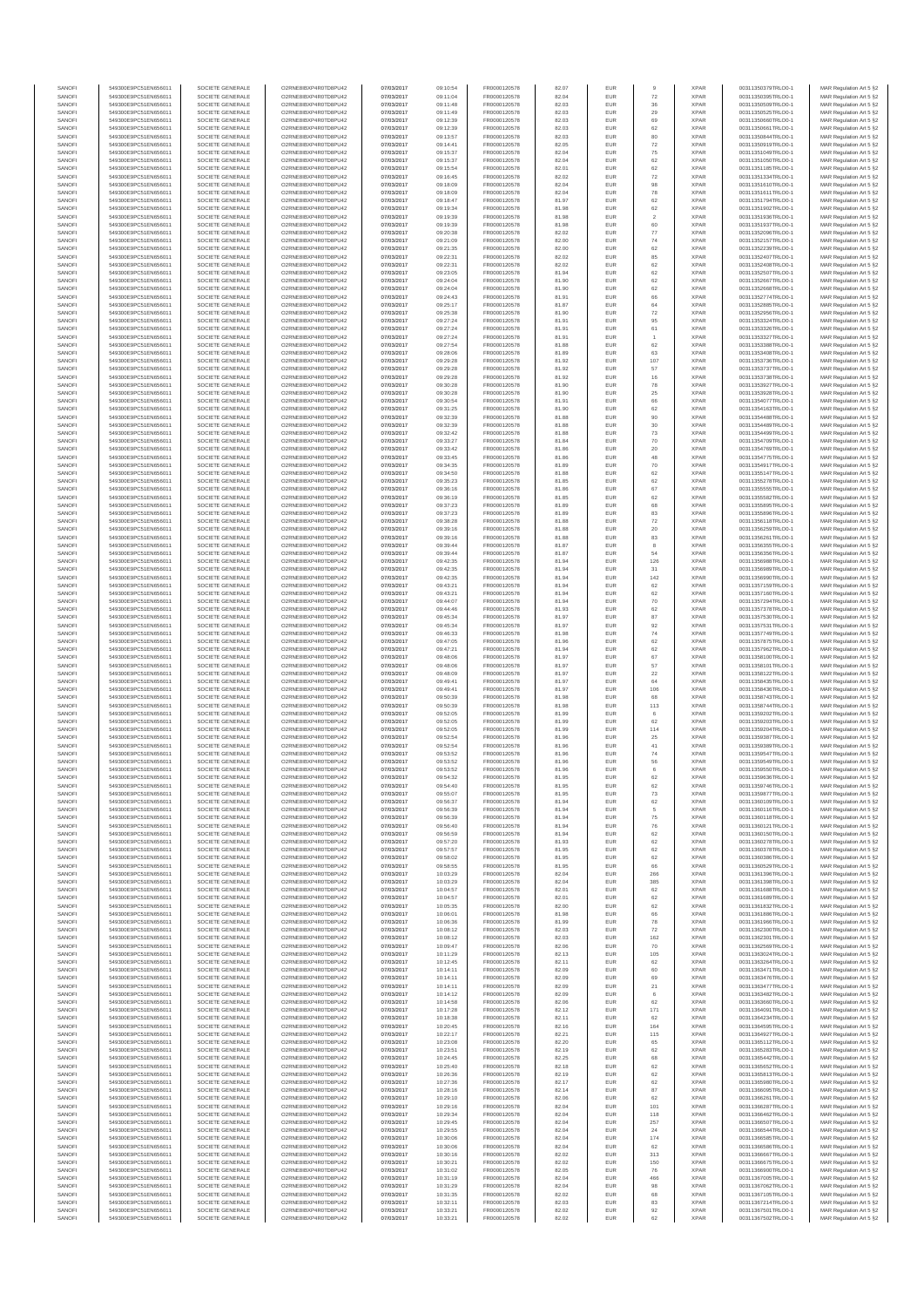| SANOFI           | 549300E9PC51EN656011                         | SOCIETE GENERALE                     | O2RNE8IBXP4R0TD8PU42                          | 07/03/2017               | 09:10:54             | FR0000120578                 | 82.07          | EUR               |                      | <b>XPAR</b>                | 00311350379TRLO0-1                       | MAR Regulation Art 5 §2                            |
|------------------|----------------------------------------------|--------------------------------------|-----------------------------------------------|--------------------------|----------------------|------------------------------|----------------|-------------------|----------------------|----------------------------|------------------------------------------|----------------------------------------------------|
| SANOFI<br>SANOFI | 549300E9PC51EN656011<br>549300E9PC51EN656011 | SOCIETE GENERALE<br>SOCIETE GENERALE | O2RNE8IBXP4R0TD8PU42<br>O2RNE8IBXP4R0TD8PU42  | 07/03/2017<br>07/03/2017 | 09:11:04<br>09:11:48 | FR0000120578<br>FR0000120578 | 82.04<br>82.03 | EUR<br><b>EUR</b> | 72<br>36             | <b>XPAF</b><br><b>XPAR</b> | 00311350395TRLO0-1<br>00311350509TRLO0-1 | MAR Regulation Art 5 §2<br>MAR Regulation Art 5 §2 |
| SANOFI           | 549300E9PC51EN656011                         | SOCIETE GENERALE                     |                                               | 07/03/2017               | 09:11:49             | FR0000120578                 | 82.03          | EUR               | 29                   | <b>XPAF</b>                | 00311350525TRLO0-1                       | MAR Regulation Art 5 §2                            |
| SANOFI<br>SANOFI | 549300E9PC51EN656011<br>549300E9PC51EN656011 | SOCIETE GENERALE<br>SOCIETE GENERALE | O2RNE8IBXP4R0TD8PU42<br>O2RNE8IBXP4R0TD8PU42  | 07/03/2017<br>07/03/2017 | 09:12:39<br>09:12:39 | FR0000120578<br>FR0000120578 | 82.03<br>82.03 | EUR<br>EUR        | 69<br>62             | <b>XPAR</b><br><b>XPAR</b> | 00311350660TRLO0-1<br>00311350661TRLO0-1 | MAR Regulation Art 5 §2<br>MAR Regulation Art 5 §2 |
| SANOFI           | 549300E9PC51EN656011                         | SOCIETE GENERALE                     | O2RNE8IBXP4R0TD8PU42                          | 07/03/2017               | 09:13:57             | FR0000120578                 | 82.03          | EUR               | 80                   | <b>XPAR</b>                | 00311350844TRLO0-1                       | MAR Regulation Art 5 §2                            |
| SANOFI           | 549300E9PC51EN656011                         | SOCIETE GENERALE                     | O2RNE8IBXP4R0TD8PU42                          | 07/03/2017               | 09:14:41             | FR0000120578                 | 82.05          | EUR               | 72                   | <b>XPAR</b>                | 00311350919TRLO0-1                       | MAR Regulation Art 5 §2                            |
| SANOFI<br>SANOFI | 549300E9PC51EN656011<br>549300E9PC51EN656011 | SOCIETE GENERALE<br>SOCIETE GENERALE | O2RNE8IBXP4R0TD8PU42<br>O2RNE8IBXP4R0TD8PU42  | 07/03/2017<br>07/03/2017 | 09:15:37<br>09:15:37 | FR0000120578<br>FR0000120578 | 82.04<br>82.04 | EUR<br>EUR        | 75<br>62             | <b>XPAR</b><br><b>XPAR</b> | 00311351049TRLO0-1<br>00311351050TRLO0-1 | MAR Regulation Art 5 §2<br>MAR Regulation Art 5 §2 |
| SANOFI           | 549300E9PC51EN656011                         | SOCIETE GENERALE                     | O2RNE8IBXP4R0TD8PU42                          | 07/03/2017               | 09:15:54             | FR0000120578                 | 82.01          | EUR               | 62                   | <b>XPAF</b>                | 00311351185TRLO0-1                       | MAR Regulation Art 5 §2                            |
| SANOFI<br>SANOFI | 549300E9PC51EN656011<br>549300E9PC51EN656011 | SOCIETE GENERALE<br>SOCIETE GENERALE | O2RNE8IBXP4R0TD8PU42<br>O2RNE8IBXP4R0TD8PU42  | 07/03/2017<br>07/03/2017 | 09:16:45<br>09:18:09 | FR0000120578<br>FR0000120578 | 82.02<br>82.04 | EUR<br>EUR        | 72<br>98             | <b>XPAR</b><br><b>XPAF</b> | 00311351334TRLO0-1<br>00311351610TRLO0-1 | MAR Regulation Art 5 \$2                           |
| SANOFI           | 549300E9PC51EN656011                         | SOCIETE GENERALE                     | O2RNE8IBXP4R0TD8PU42                          | 07/03/2017               | 09:18:09             | FR0000120578                 | 82.04          | EUR               | 78                   | <b>XPAR</b>                | 00311351611TRLO0-1                       | MAR Regulation Art 5 §2<br>MAR Regulation Art 5 §2 |
| SANOFI           | 549300E9PC51EN656011                         | SOCIETE GENERALE                     | O2RNE8IBXP4R0TD8PU42                          | 07/03/2017               | 09:18:47             | FR0000120578                 | 81.97          | EUR               | 62                   | <b>XPAR</b>                | 00311351794TRLO0-1                       | MAR Regulation Art 5 §2                            |
| SANOFI<br>SANOFI | 549300E9PC51EN656011<br>549300E9PC51EN656011 | SOCIETE GENERALE<br>SOCIETE GENERALE | O2RNE8IBXP4R0TD8PU42<br>O2RNE8IBXP4R0TD8PU42  | 07/03/2017<br>07/03/2017 | 09:19:34             | FR0000120578                 | 81.98          | EUR<br>EUR        | 62<br>$\overline{2}$ | <b>XPAR</b><br><b>XPAR</b> | 00311351902TRLO0-1<br>00311351936TRLO0-1 | MAR Regulation Art 5 §2                            |
| SANOFI           | 549300E9PC51EN656011                         | SOCIETE GENERALE                     | O2RNE8IBXP4R0TD8PU42                          | 07/03/2017               | 09:19:39<br>09:19:39 | FR0000120578<br>FR0000120578 | 81.98<br>81.98 | EUR               | 60                   | <b>XPAR</b>                | 00311351937TRLO0-1                       | MAR Regulation Art 5 §2<br>MAR Regulation Art 5 §2 |
| SANOFI           | 549300E9PC51EN656011                         | SOCIETE GENERALE                     | O2RNE8IBXP4R0TD8PU42                          | 07/03/2017               | 09:20:38             | FR0000120578                 | 82.02          | EUR               | 77                   | <b>XPAR</b>                | 00311352096TRLO0-1                       | MAR Regulation Art 5 §2                            |
| SANOFI<br>SANOFI | 549300E9PC51EN656011<br>549300E9PC51EN656011 | SOCIETE GENERALE<br>SOCIETE GENERALE | O2RNE8IBXP4R0TD8PU42<br>O2RNE8IBXP4R0TD8PU42  | 07/03/2017<br>07/03/2017 | 09:21:09<br>09:21:35 | FR0000120578<br>FR0000120578 | 82.00<br>82.00 | EUR<br>EUR        | 74<br>62             | <b>XPAF</b><br><b>XPAR</b> | 00311352157TRLO0-1<br>00311352239TRLO0-1 | MAR Regulation Art 5 §2<br>MAR Regulation Art 5 §2 |
| SANOFI           | 549300E9PC51EN656011                         | SOCIETE GENERALE                     | O2RNE8IBXP4R0TD8PU42                          | 07/03/2017               | 09:22:31             | FR0000120578                 | 82.02          | EUR               | 85                   | <b>XPAR</b>                | 00311352407TRLO0-1                       | MAR Regulation Art 5 §2                            |
| SANOFI           | 549300E9PC51EN656011                         | SOCIETE GENERALE                     | O2RNE8IBXP4R0TD8PU42                          | 07/03/2017               | 09:22:31             | FR0000120578                 | 82.02          | EUR               | 62                   | <b>XPAR</b>                | 00311352408TRLO0-1                       | MAR Regulation Art 5 §2                            |
| SANOFI<br>SANOFI | 549300E9PC51EN656011<br>549300E9PC51EN656011 | SOCIETE GENERALE<br>SOCIETE GENERALE | O2RNE8IBXP4R0TD8PU42<br>O2RNE8IBXP4R0TD8PU42  | 07/03/2017<br>07/03/2017 | 09:23:05<br>09:24:04 | FR0000120578<br>FR0000120578 | 81.94<br>81.90 | EUR<br>EUR        | 62<br>62             | <b>XPAR</b><br><b>XPAR</b> | 00311352507TRLO0-1<br>00311352667TRLO0-1 | MAR Regulation Art 5 §2<br>MAR Regulation Art 5 §2 |
| SANOFI           | 549300E9PC51EN656011                         | SOCIETE GENERALE                     | O2RNE8IBXP4R0TD8PU42                          | 07/03/2017               | 09:24:04             | FR0000120578                 | 81.90          | EUR               | 62                   | <b>XPAR</b>                | 00311352668TRLO0-1                       | MAR Regulation Art 5 §2                            |
| SANOFI<br>SANOFI | 549300E9PC51EN656011<br>549300E9PC51EN656011 | SOCIETE GENERALE<br>SOCIETE GENERALE | O2RNE8IBXP4R0TD8PU42<br>O2RNE8IBXP4R0TD8PU42  | 07/03/2017<br>07/03/2017 | 09:24:43             | FR0000120578<br>FR0000120578 | 81.91<br>81.87 | EUR<br>EUR        | 66<br>64             | <b>XPAR</b><br><b>XPAR</b> | 00311352774TRLO0-1<br>00311352885TRLO0-1 | MAR Regulation Art 5 §2                            |
| SANOFI           | 549300E9PC51EN656011                         | SOCIETE GENERALE                     | O2RNE8IBXP4R0TD8PU42                          | 07/03/2017               | 09:25:17<br>09:25:38 | FR0000120578                 | 81.90          | EUR               | 72                   | <b>XPAR</b>                | 00311352956TRLO0-1                       | MAR Regulation Art 5 §2<br>MAR Regulation Art 5 §2 |
| SANOFI           | 549300E9PC51EN656011                         | SOCIETE GENERALE                     | O2RNE8IBXP4R0TD8PU42                          | 07/03/2017               | 09:27:24             | FR0000120578                 | 81.91          | EUR               | 95                   | <b>XPAR</b>                | 00311353324TRLO0-1                       | MAR Regulation Art 5 §2                            |
| SANOFI<br>SANOFI | 549300E9PC51EN656011<br>549300E9PC51EN656011 | SOCIETE GENERALE<br>SOCIETE GENERALE | O2RNE8IBXP4R0TD8PU42<br>O2RNE8IBXP4R0TD8PU42  | 07/03/2017<br>07/03/2017 | 09:27:24<br>09:27:24 | FR0000120578<br>FR0000120578 | 81.91<br>81.91 | EUR<br>EUR        | 61<br>$\overline{1}$ | <b>XPAF</b><br><b>XPAR</b> | 00311353326TRLO0-1<br>00311353327TRLO0-1 | MAR Regulation Art 5 §2<br>MAR Regulation Art 5 §2 |
| SANOFI           | 549300E9PC51EN656011                         | SOCIETE GENERALE                     | O2RNE8IBXP4R0TD8PU42                          | 07/03/2017               | 09:27:54             | FR0000120578                 | 81.88          | EUR               | 62                   | <b>XPAR</b>                | 00311353388TRLO0-1                       | MAR Regulation Art 5 §2                            |
| SANOFI           | 549300E9PC51EN656011                         | SOCIETE GENERALE                     | O2RNE8IBXP4R0TD8PU42                          | 07/03/2017               | 09:28:06             | FR0000120578                 | 81.89          | EUR               | 63                   | <b>XPAR</b>                | 00311353408TRLO0-1                       | MAR Regulation Art 5 §2                            |
| SANOFI<br>SANOFI | 549300E9PC51EN656011<br>549300E9PC51EN656011 | SOCIETE GENERALE<br>SOCIETE GENERALE | O2RNE8IBXP4R0TD8PU42<br>O2RNE8IBXP4R0TD8PU42  | 07/03/2017<br>07/03/2017 | 09:29:28<br>09:29:28 | FR0000120578<br>FR0000120578 | 81.92<br>81.92 | EUR<br>EUR        | 107<br>57            | <b>XPAR</b><br><b>XPAR</b> | 00311353736TRLO0-1<br>00311353737TRLO0-1 | MAR Regulation Art 5 §2<br>MAR Regulation Art 5 §2 |
| SANOFI           | 549300E9PC51EN656011                         | SOCIETE GENERALE                     | O2RNE8IBXP4R0TD8PU42                          | 07/03/2017               | 09:29:28             | FR0000120578                 | 81.92          | EUR               | 16                   | <b>XPAR</b>                | 00311353738TRLO0-1                       | MAR Regulation Art 5 §2                            |
| SANOFI<br>SANOFI | 549300E9PC51EN656011<br>549300E9PC51EN656011 | SOCIETE GENERALE<br>SOCIETE GENERALE | O2RNE8IBXP4R0TD8PU42<br>O2RNE8IBXP4R0TD8PU42  | 07/03/2017<br>07/03/2017 | 09:30:28<br>09:30:28 | FR0000120578<br>FR0000120578 | 81.90<br>81.90 | EUR<br>EUR        | 78<br>25             | <b>XPAR</b><br><b>XPAR</b> | 00311353927TRLO0-1<br>00311353928TRLO0-1 | MAR Regulation Art 5 §2                            |
| SANOFI           | 549300E9PC51EN656011                         | SOCIETE GENERALE                     | O2RNE8IBXP4R0TD8PU42                          | 07/03/2017               | 09:30:54             | FR0000120578                 | 81.91          | EUR               | 66                   | <b>XPAR</b>                | 00311354077TRLO0-1                       | MAR Regulation Art 5 §2<br>MAR Regulation Art 5 §2 |
| SANOFI           | 549300E9PC51EN656011                         | SOCIETE GENERALE                     | O2RNE8IBXP4R0TD8PU42                          | 07/03/2017               | 09:31:25             | FR0000120578                 | 81.90          | EUR               | 62                   | <b>XPAR</b>                | 00311354163TRLO0-1                       | MAR Regulation Art 5 §2                            |
| SANOFI<br>SANOFI | 549300E9PC51EN656011<br>549300E9PC51EN656011 | SOCIETE GENERALE<br>SOCIETE GENERALE | O2RNE8IBXP4R0TD8PU42<br>O2RNE8IBXP4R0TD8PU42  | 07/03/2017<br>07/03/2017 | 09:32:39<br>09:32:39 | FR0000120578<br>FR0000120578 | 81.88<br>81.88 | EUR<br>EUR        | 90<br>$30\,$         | <b>XPAR</b><br><b>XPAR</b> | 00311354488TRLO0-1<br>00311354489TRLO0-1 | MAR Regulation Art 5 §2<br>MAR Regulation Art 5 §2 |
| SANOFI           | 549300E9PC51EN656011                         | SOCIETE GENERALE                     | O2RNE8IBXP4R0TD8PU42                          | 07/03/2017               | 09:32:42             | FR0000120578                 | 81.88          | EUR               | $\mathbf{73}$        | <b>XPAR</b>                | 00311354499TRLO0-1                       | MAR Regulation Art 5 §2                            |
| SANOFI<br>SANOFI | 549300E9PC51EN656011<br>549300E9PC51EN656011 | SOCIETE GENERALE<br>SOCIETE GENERALE | O2RNE8IBXP4R0TD8PU42<br>O2RNE8IBXP4R0TD8PU42  | 07/03/2017<br>07/03/2017 | 09:33:27<br>09:33:42 | FR0000120578<br>FR0000120578 | 81.84<br>81.86 | EUR<br>EUR        | 70<br>20             | <b>XPAR</b><br><b>XPAR</b> | 00311354709TRLO0-1<br>00311354769TRLO0-1 | MAR Regulation Art 5 §2<br>MAR Regulation Art 5 §2 |
| SANOFI           | 549300E9PC51EN656011                         | SOCIETE GENERALE                     | O2RNE8IBXP4R0TD8PU42                          | 07/03/2017               | 09:33:45             | FR0000120578                 | 81.86          | EUR               | 48                   | <b>XPAF</b>                | 00311354775TRLO0-1                       | MAR Regulation Art 5 §2                            |
| SANOFI           | 549300E9PC51EN656011                         | SOCIETE GENERALE                     | O2RNE8IBXP4R0TD8PU42                          | 07/03/2017               | 09:34:35             | FR0000120578                 | 81.89          | EUR               | 70                   | <b>XPAR</b>                | 00311354917TRLO0-1                       | MAR Regulation Art 5 §2                            |
| SANOFI<br>SANOFI | 549300E9PC51EN656011<br>549300E9PC51EN656011 | SOCIETE GENERALE<br>SOCIETE GENERALE | O2RNE8IBXP4R0TD8PU42<br>O2RNE8IBXP4R0TD8PU42  | 07/03/2017<br>07/03/2017 | 09:34:50<br>09:35:23 | FR0000120578<br>FR0000120578 | 81.88<br>81.85 | EUR<br>EUR        | 62<br>62             | <b>XPAR</b><br><b>XPAR</b> | 00311355147TRLO0-1<br>00311355278TRLO0-1 | MAR Regulation Art 5 §2<br>MAR Regulation Art 5 §2 |
| SANOFI           | 549300E9PC51EN656011                         | SOCIETE GENERALE                     | O2RNE8IBXP4R0TD8PU42                          | 07/03/2017               | 09:36:16             | FR0000120578                 | 81.86          | EUR               | 67                   | <b>XPAR</b>                | 00311355555TRLO0-1                       | MAR Regulation Art 5 §2                            |
| SANOFI           | 549300E9PC51EN656011                         | SOCIETE GENERALE                     | O2RNE8IBXP4R0TD8PU42                          | 07/03/2017               | 09:36:19             | FR0000120578                 | 81.85          | EUR               | 62                   | <b>XPAR</b>                | 00311355582TRLO0-1                       | MAR Regulation Art 5 §2                            |
| SANOFI<br>SANOFI | 549300E9PC51EN656011<br>549300E9PC51EN656011 | SOCIETE GENERALE<br>SOCIETE GENERALE | O2RNE8IBXP4R0TD8PU42<br>O2RNE8IBXP4R0TD8PU42  | 07/03/2017<br>07/03/2017 | 09:37:23<br>09:37:23 | FR0000120578<br>FR0000120578 | 81.89<br>81.89 | EUR<br>EUR        | 68<br>83             | <b>XPAR</b><br><b>XPAR</b> | 00311355895TRLO0-1<br>00311355896TRLO0-1 | MAR Regulation Art 5 §2<br>MAR Regulation Art 5 §2 |
| SANOFI           | 549300E9PC51EN656011                         | SOCIETE GENERALE                     | O2RNE8IBXP4R0TD8PU42                          | 07/03/2017               | 09:38:28             | FR0000120578                 | 81.88          | EUR               | 72                   | <b>XPAR</b>                | 00311356118TRLO0-1                       | MAR Regulation Art 5 §2                            |
| SANOFI<br>SANOFI | 549300E9PC51EN656011<br>549300E9PC51EN656011 | SOCIETE GENERALE<br>SOCIETE GENERALE | O2RNE8IBXP4R0TD8PU42<br>O2RNE8IBXP4R0TD8PU42  | 07/03/2017<br>07/03/2017 | 09:39:16<br>09:39:16 | FR0000120578<br>FR0000120578 | 81.88<br>81.88 | EUR<br>EUR        | $20\,$<br>83         | <b>XPAF</b><br><b>XPAR</b> | 00311356259TRLO0-1<br>00311356261TRLO0-1 | MAR Regulation Art 5 §2<br>MAR Regulation Art 5 §2 |
| SANOFI           | 549300E9PC51EN656011                         | SOCIETE GENERALE                     | O2RNE8IBXP4R0TD8PU42                          | 07/03/2017               | 09:39:44             | FR0000120578                 | 81.87          | EUR               | 8                    | <b>XPAR</b>                | 00311356355TRLO0-1                       | MAR Regulation Art 5 §2                            |
| SANOFI           | 549300E9PC51EN656011                         | SOCIETE GENERALE                     | O2RNE8IBXP4R0TD8PU42                          | 07/03/2017               | 09:39:44             | FR0000120578                 | 81.87          | EUR               | 54                   | <b>XPAR</b>                | 00311356356TRLO0-1                       | MAR Regulation Art 5 §2                            |
| SANOFI<br>SANOFI | 549300E9PC51EN656011<br>549300E9PC51EN656011 | SOCIETE GENERALE<br>SOCIETE GENERALE | O2RNE8IBXP4R0TD8PU42<br>O2RNE8IBXP4R0TD8PU42  | 07/03/2017<br>07/03/2017 | 09:42:35<br>09:42:35 | FR0000120578<br>FR0000120578 | 81.94<br>81.94 | EUR<br>EUR        | 126<br>31            | <b>XPAR</b><br><b>XPAR</b> | 00311356988TRLO0-1<br>00311356989TRLO0-1 | MAR Regulation Art 5 §2<br>MAR Regulation Art 5 §2 |
| SANOFI           | 549300E9PC51EN656011                         | SOCIETE GENERALE                     | O2RNE8IBXP4R0TD8PU42                          | 07/03/2017               | 09:42:35             | FR0000120578                 | 81.94          | EUR               | 142                  | <b>XPAR</b>                | 00311356990TRLO0-1                       | MAR Regulation Art 5 §2                            |
| SANOFI<br>SANOFI | 549300E9PC51EN656011<br>549300E9PC51EN656011 | SOCIETE GENERALE<br>SOCIETE GENERALE | O2RNE8IBXP4R0TD8PU42<br>O2RNE8IBXP4R0TD8PU42  | 07/03/2017<br>07/03/2017 | 09:43:21<br>09:43:21 | FR0000120578<br>FR0000120578 | 81.94<br>81.94 | EUR<br>EUR        | 62<br>62             | <b>XPAR</b><br><b>XPAR</b> | 00311357159TRLO0-1<br>00311357160TRLO0-1 | MAR Regulation Art 5 §2<br>MAR Regulation Art 5 §2 |
| SANOFI           | 549300E9PC51EN656011                         | SOCIETE GENERALE                     | O2RNE8IBXP4R0TD8PU42                          | 07/03/2017               | 09:44:07             | FR0000120578                 | 81.94          | EUR               | 70                   | <b>XPAR</b>                | 00311357294TRLO0-1                       | MAR Regulation Art 5 §2                            |
| SANOFI<br>SANOFI | 549300E9PC51EN656011<br>549300E9PC51EN656011 | SOCIETE GENERALE<br>SOCIETE GENERALE | O2RNE8IBXP4R0TD8PU42<br>O2RNE8IBXP4R0TD8PU42  | 07/03/2017<br>07/03/2017 | 09:44:46<br>09:45:34 | FR0000120578<br>FR0000120578 | 81.93<br>81.97 | EUR<br>EUR        | 62<br>$_{\rm 87}$    | <b>XPAR</b><br><b>XPAR</b> | 00311357378TRLO0-1<br>00311357530TRLO0-1 | MAR Regulation Art 5 §2<br>MAR Regulation Art 5 §2 |
| SANOFI           | 549300E9PC51EN656011                         | SOCIETE GENERALE                     | O2RNE8IBXP4R0TD8PU42                          | 07/03/2017               | 09:45:34             | FR0000120578                 | 81.97          | EUR               | 92                   | <b>XPAR</b>                | 00311357531TRLO0-1                       | MAR Regulation Art 5 §2                            |
| SANOFI<br>SANOFI | 549300E9PC51EN656011<br>549300E9PC51EN656011 | SOCIETE GENERALE<br>SOCIETE GENERALE | O2RNE8IBXP4R0TD8PU42<br>O2RNE8IBXP4R0TD8PU42  | 07/03/2017<br>07/03/2017 | 09:46:33<br>09:47:05 | FR0000120578<br>FR0000120578 | 81.98<br>81.96 | EUR<br>EUR        | $\mathbf{74}$<br>62  | <b>XPAR</b><br><b>XPAF</b> | 00311357749TRLO0-1<br>00311357875TRLO0-1 | MAR Regulation Art 5 §2<br>MAR Regulation Art 5 §2 |
| SANOFI           | 549300E9PC51EN656011                         | SOCIETE GENERALE                     | O2RNE8IBXP4R0TD8PU42                          | 07/03/2017               | 09:47:21             | FR0000120578                 | 81.94          | EUR               | 62                   | <b>XPAR</b>                | 00311357962TRLO0-1                       | MAR Regulation Art 5 §2                            |
| SANOFI           | 549300E9PC51EN656011                         | SOCIETE GENERALE                     | O2RNE8IBXP4R0TD8PU42                          | 07/03/2017               | 09:48:06             | FR0000120578                 | 81.97          | EUR               | 67                   | <b>XPAR</b>                | 00311358100TRLO0-1                       | MAR Regulation Art 5 §2                            |
| SANOFI<br>SANOFI | 549300E9PC51EN656011<br>549300E9PC51EN656011 | SOCIETE GENERALE<br>SOCIETE GENERALE | O2RNE8IBXP4R0TD8PU42<br>O2RNE8IBXP4R0TD8PU42  | 07/03/2017<br>07/03/2017 | 09:48:06<br>09:48:09 | FR0000120578<br>FR0000120578 | 81.97<br>81.97 | EUR<br>EUR        | 57<br>$22\,$         | <b>XPAR</b><br><b>XPAR</b> | 00311358101TRLO0-1<br>00311358122TRLO0-1 | MAR Regulation Art 5 §2<br>MAR Regulation Art 5 §2 |
| SANOFI           | 549300E9PC51EN656011                         | SOCIETE GENERALE                     | O2RNE8IBXP4R0TD8PU42                          | 07/03/2017               | 09:49:41             | FR0000120578                 | 81.97          | EUR               | $64\,$               | <b>XPAR</b>                | 00311358435TRLO0-1                       | MAR Regulation Art 5 §2                            |
| SANOFI<br>SANOFI | 549300E9PC51EN656011<br>549300E9PC51EN656011 | SOCIETE GENERALE<br>SOCIETE GENERALE | O2RNE8IBXP4R0TD8PU42<br>O2RNE8IBXP4R0TD8PLI42 | 07/03/2017<br>07/03/2017 | 09:49:41<br>09:50:39 | FR0000120578<br>FR0000120578 | 81.97<br>81.98 | EUR<br>EUR        | 106<br>68            | <b>XPAR</b><br><b>XPAR</b> | 00311358436TRLO0-1<br>00311358743TRLO0-1 | MAR Regulation Art 5 §2<br>MAR Regulation Art 5 §2 |
| SANOFI           | 549300E9PC51EN656011                         | SOCIETE GENERALE                     | O2RNE8IBXP4R0TD8PU42                          | 07/03/2017               | 09:50:39             | FR0000120578                 | 81.98          | EUR               | 113                  | <b>XPAR</b>                | 00311358744TRLO0-1                       | MAR Regulation Art 5 §2                            |
| SANOFI           | 549300E9PC51EN656011                         | SOCIETE GENERALE                     | O2RNE8IBXP4R0TD8PU42                          | 07/03/2017               | 09:52:05             | FR0000120578                 | 81.99          | EUR               | 6<br>62              | <b>XPAR</b>                | 00311359202TRLO0-1                       | MAR Regulation Art 5 §2                            |
| SANOFI<br>SANOFI | 549300E9PC51EN656011<br>549300E9PC51EN656011 | SOCIETE GENERALE<br>SOCIETE GENERALE | O2RNE8IBXP4R0TD8PU42<br>O2RNE8IBXP4R0TD8PU42  | 07/03/2017<br>07/03/2017 | 09:52:05<br>09:52:05 | FR0000120578<br>FR0000120578 | 81.99<br>81.99 | EUR<br>EUR        | 114                  | <b>XPAR</b><br><b>XPAR</b> | 00311359203TRLO0-1<br>00311359204TRLO0-1 | MAR Regulation Art 5 §2<br>MAR Regulation Art 5 §2 |
| SANOFI           | 549300E9PC51EN656011                         | SOCIETE GENERALE                     | O2RNE8IBXP4R0TD8PU42                          | 07/03/2017               | 09:52:54             | FR0000120578                 | 81.96          | EUR               | 25                   | <b>XPAR</b>                | 00311359387TRLO0-1                       | MAR Regulation Art 5 §2                            |
| SANOFI<br>SANOFI | 549300E9PC51EN656011<br>549300E9PC51EN656011 | SOCIETE GENERALE<br>SOCIETE GENERALE | O2RNE8IBXP4R0TD8PU42<br>O2RNE8IBXP4R0TD8PU42  | 07/03/2017<br>07/03/2017 | 09:52:54<br>09:53:52 | FR0000120578<br>FR0000120578 | 81.96<br>81.96 | EUR<br>EUR        | $41\,$<br>74         | <b>XPAR</b><br><b>XPAR</b> | 00311359389TRLO0-1<br>00311359547TRLO0-1 | MAR Regulation Art 5 §2<br>MAR Regulation Art 5 §2 |
| SANOFI           | 549300E9PC51EN656011                         | SOCIETE GENERALE                     | O2RNE8IBXP4R0TD8PU42                          | 07/03/2017               | 09:53:52             | FR0000120578                 | 81.96          | EUR               | 56                   | <b>XPAR</b>                | 00311359549TRLO0-1                       | MAR Regulation Art 5 §2                            |
| SANOFI<br>SANOFI | 549300E9PC51EN656011<br>549300E9PC51EN656011 | SOCIETE GENERALE<br>SOCIETE GENERALE | O2RNE8IBXP4R0TD8PU42<br>O2RNE8IBXP4R0TD8PU42  | 07/03/2017<br>07/03/2017 | 09:53:52<br>09:54:32 | FR0000120578<br>FR0000120578 | 81.96<br>81.95 | EUR<br><b>EUR</b> | 6<br>62              | <b>XPAR</b><br><b>XPAR</b> | 00311359550TRLO0-1<br>00311359636TRLO0-1 | MAR Regulation Art 5 §2<br>MAR Regulation Art 5 §2 |
| SANOF            | 549300E9PC51EN656011                         | SOCIETE GENERALE                     | O2RNE8IBXP4R0TD8PU42                          | 07/03/2017               | 09:54:40             | FR0000120578                 | 81.95          |                   | 62                   | <b>XPAF</b>                | 00311359746TRLO0-1                       | MAR Regulation Art 5 §2                            |
| SANOFI<br>SANOFI | 549300E9PC51EN656011<br>549300E9PC51EN656011 | SOCIETE GENERALE<br>SOCIETE GENERALE | O2RNE8IBXP4R0TD8PU42<br>O2RNE8IBXP4R0TD8PU42  | 07/03/2017<br>07/03/2017 | 09:55:07<br>09:56:37 | FR0000120578<br>FR0000120578 | 81.95<br>81.94 | <b>EUR</b><br>EUR | 73<br>62             | <b>XPAR</b><br><b>XPAR</b> | 00311359877TRLO0-1<br>00311360109TRLO0-1 | MAR Regulation Art 5 §2<br>MAR Regulation Art 5 §2 |
| SANOFI           | 549300E9PC51EN656011                         | SOCIETE GENERALE                     | O2RNE8IBXP4R0TD8PU42                          | 07/03/2017               | 09:56:39             | FR0000120578                 | 81.94          | <b>EUR</b>        | 5                    | <b>XPAR</b>                | 00311360116TRLO0-1                       | MAR Regulation Art 5 §2                            |
| SANOFI           | 549300E9PC51EN656011                         | SOCIETE GENERALE                     | O2RNE8IBXP4R0TD8PU42                          | 07/03/2017               | 09:56:39             | FR0000120578                 | 81.94          | EUR               | ${\bf 75}$           | <b>XPAR</b>                | 00311360118TRLO0-1                       | MAR Regulation Art 5 §2                            |
| SANOFI<br>SANOFI | 549300E9PC51EN656011<br>549300E9PC51EN656011 | SOCIETE GENERALE<br>SOCIETE GENERALE | O2RNE8IBXP4R0TD8PU42<br>O2RNE8IBXP4R0TD8PU42  | 07/03/2017<br>07/03/2017 | 09:56:40<br>09:56:59 | FR0000120578<br>FR0000120578 | 81.94<br>81.94 | EUR<br>EUR        | 76<br>62             | <b>XPAR</b><br><b>XPAR</b> | 00311360121TRLO0-1<br>00311360150TRLO0-1 | MAR Regulation Art 5 §2<br>MAR Regulation Art 5 §2 |
| SANOFI           | 549300E9PC51EN656011                         | SOCIETE GENERALE                     | O2RNE8IBXP4R0TD8PU42                          | 07/03/2017               | 09:57:20             | FR0000120578                 | 81.93          | EUR               | 62                   | <b>XPAR</b>                | 00311360278TRLO0-1                       | MAR Regulation Art 5 §2                            |
| SANOFI<br>SANOFI | 549300E9PC51EN656011<br>549300E9PC51EN656011 | SOCIETE GENERALE<br>SOCIETE GENERALE | O2RNE8IBXP4R0TD8PU42<br>O2RNE8IBXP4R0TD8PU42  | 07/03/2017<br>07/03/2017 | 09:57:57<br>09:58:02 | FR0000120578<br>FR0000120578 | 81.95<br>81.95 | <b>EUR</b><br>EUR | 62<br>62             | <b>XPAR</b><br><b>XPAR</b> | 00311360378TRLO0-1<br>00311360386TRLO0-1 | MAR Regulation Art 5 §2<br>MAR Regulation Art 5 §2 |
| SANOFI           | 549300E9PC51EN656011                         | SOCIETE GENERALE                     | O2RNE8IBXP4R0TD8PU42                          | 07/03/2017               | 09:58:55             | FR0000120578                 | 81.95          | <b>EUR</b>        | 66                   | <b>XPAR</b>                | 00311360529TRLO0-1                       | MAR Regulation Art 5 §2                            |
| SANOFI<br>SANOFI | 549300E9PC51EN656011<br>549300E9PC51EN656011 | SOCIETE GENERALE<br>SOCIETE GENERALE | O2RNE8IBXP4R0TD8PU42<br>O2RNE8IBXP4R0TD8PU42  | 07/03/2017<br>07/03/2017 | 10:03:29<br>10:03:29 | FR0000120578<br>FR0000120578 | 82.04<br>82.04 | EUR<br>EUR        | 266<br>385           | <b>XPAR</b><br><b>XPAR</b> | 00311361396TRLO0-1<br>00311361398TRLO0-1 | MAR Regulation Art 5 §2<br>MAR Regulation Art 5 §2 |
| SANOFI           | 549300E9PC51EN656011                         | SOCIETE GENERALE                     | O2RNE8IBXP4R0TD8PU42                          | 07/03/2017               | 10:04:57             | FR0000120578                 | 82.01          | EUR               | 62                   | <b>XPAR</b>                | 00311361688TRLO0-1                       | MAR Regulation Art 5 §2                            |
| SANOFI           | 549300E9PC51EN656011                         | SOCIETE GENERALE                     | O2RNE8IBXP4R0TD8PU42<br>O2RNE8IBXP4R0TD8PU42  | 07/03/2017               | 10:04:57             | FR0000120578                 | 82.01          | EUR               | 62                   | <b>XPAR</b>                | 00311361689TRLO0-1                       | MAR Regulation Art 5 §2                            |
| SANOFI<br>SANOFI | 549300E9PC51EN656011<br>549300E9PC51EN656011 | SOCIETE GENERALE<br>SOCIETE GENERALE | O2RNE8IBXP4R0TD8PU42                          | 07/03/2017<br>07/03/2017 | 10:05:35<br>10:06:01 | FR0000120578<br>FR0000120578 | 82.00<br>81.98 | EUR<br>EUR        | 62<br>66             | <b>XPAR</b><br><b>XPAR</b> | 00311361832TRLO0-1<br>00311361886TRLO0-1 | MAR Regulation Art 5 §2<br>MAR Regulation Art 5 §2 |
| SANOFI           | 549300E9PC51EN656011                         | SOCIETE GENERALE                     | O2RNE8IBXP4R0TD8PU42                          | 07/03/2017               | 10:06:36             | FR0000120578                 | 81.99          | <b>EUR</b>        | 78                   | <b>XPAR</b>                | 00311361966TRLO0-1                       | MAR Regulation Art 5 §2                            |
| SANOFI<br>SANOFI | 549300E9PC51EN656011<br>549300E9PC51EN656011 | SOCIETE GENERALE<br>SOCIETE GENERALE | O2RNE8IBXP4R0TD8PU42<br>O2RNE8IBXP4R0TD8PU42  | 07/03/2017<br>07/03/2017 | 10:08:12<br>10:08:12 | FR0000120578<br>FR0000120578 | 82.03<br>82.03 | EUR<br>EUR        | 72<br>162            | <b>XPAR</b><br><b>XPAR</b> | 00311362300TRLO0-1<br>00311362301TRLO0-1 | MAR Regulation Art 5 §2<br>MAR Regulation Art 5 §2 |
| SANOFI           | 549300E9PC51EN656011                         | SOCIETE GENERALE                     | O2RNE8IBXP4R0TD8PU42                          | 07/03/2017               | 10:09:47             | FR0000120578                 | 82.06          | EUR               | 70                   | <b>XPAR</b>                | 00311362569TRLO0-1                       | MAR Regulation Art 5 §2                            |
| SANOFI<br>SANOFI | 549300E9PC51EN656011                         | SOCIETE GENERALE<br>SOCIETE GENERALE | O2RNE8IBXP4R0TD8PU42<br>O2RNE8IBXP4R0TD8PU42  | 07/03/2017<br>07/03/2017 | 10:11:29             | FR0000120578                 | 82.13          | EUR<br>EUR        | 105<br>62            | <b>XPAR</b><br><b>XPAR</b> | 00311363024TRLO0-1                       | MAR Regulation Art 5 §2                            |
| SANOFI           | 549300E9PC51EN656011<br>549300E9PC51EN656011 | SOCIETE GENERALE                     | O2RNE8IBXP4R0TD8PU42                          | 07/03/2017               | 10:12:45<br>10:14:11 | FR0000120578<br>FR0000120578 | 82.11<br>82.09 | EUR               | 60                   | XPAR                       | 00311363264TRLO0-1<br>00311363471TRLO0-1 | MAR Regulation Art 5 §2<br>MAR Regulation Art 5 §2 |
| SANOFI           | 549300E9PC51EN656011                         | SOCIETE GENERALE                     | O2RNE8IBXP4R0TD8PU42                          | 07/03/2017               | 10:14:11             | FR0000120578                 | 82.09          | EUR               | 69                   | <b>XPAR</b>                | 00311363476TRLO0-1                       | MAR Regulation Art 5 §2                            |
| SANOFI<br>SANOFI | 549300E9PC51EN656011<br>549300E9PC51EN656011 | SOCIETE GENERALE<br>SOCIETE GENERALE | O2RNE8IBXP4R0TD8PU42<br>O2RNE8IBXP4R0TD8PU42  | 07/03/2017<br>07/03/2017 | 10:14:11<br>10:14:12 | FR0000120578<br>FR0000120578 | 82.09<br>82.09 | EUR<br><b>EUR</b> | 21<br>6              | <b>XPAR</b><br><b>XPAR</b> | 00311363477TRLO0-1<br>00311363482TRLO0-1 | MAR Regulation Art 5 §2                            |
| SANOFI           | 549300E9PC51EN656011                         | SOCIETE GENERALE                     | O2RNE8IBXP4R0TD8PU42                          | 07/03/2017               | 10:14:58             | FR0000120578                 | 82.06          | EUR               | 62                   | <b>XPAR</b>                | 00311363660TRLO0-1                       | MAR Regulation Art 5 §2<br>MAR Regulation Art 5 §2 |
| SANOFI           | 549300E9PC51EN656011                         | SOCIETE GENERALE                     | O2RNE8IBXP4R0TD8PU42                          | 07/03/2017               | 10:17:28             | FR0000120578                 | 82.12          | <b>EUR</b>        | 171                  | <b>XPAR</b>                | 00311364091TRLO0-1                       | MAR Regulation Art 5 §2                            |
| SANOFI<br>SANOFI | 549300E9PC51EN656011<br>549300E9PC51EN656011 | SOCIETE GENERALE<br>SOCIETE GENERALE | O2RNE8IBXP4R0TD8PU42<br>O2RNE8IBXP4R0TD8PU42  | 07/03/2017<br>07/03/2017 | 10:18:38<br>10:20:45 | FR0000120578<br>FR0000120578 | 82.11<br>82.16 | EUR<br>EUR        | 62<br>164            | <b>XPAR</b><br><b>XPAR</b> | 00311364234TRLO0-1<br>00311364595TRLO0-1 | MAR Regulation Art 5 §2<br>MAR Regulation Art 5 §2 |
| SANOFI           | 549300E9PC51EN656011                         | SOCIETE GENERALE                     | O2RNE8IBXP4R0TD8PU42                          | 07/03/2017               | 10:22:17             | FR0000120578                 | 82.21          | EUR               | 115                  | <b>XPAR</b>                | 00311364927TRLO0-1                       | MAR Regulation Art 5 §2                            |
| SANOFI<br>SANOFI | 549300E9PC51EN656011<br>549300E9PC51EN656011 | SOCIETE GENERALE<br>SOCIETE GENERALE | O2RNE8IBXP4R0TD8PU42<br>O2RNE8IBXP4R0TD8PU42  | 07/03/2017<br>07/03/2017 | 10:23:08<br>10:23:51 | FR0000120578<br>FR0000120578 | 82.20<br>82.19 | EUR<br><b>EUR</b> | 65<br>62             | <b>XPAR</b><br><b>XPAR</b> | 00311365112TRLO0-1<br>00311365283TRLO0-1 | MAR Regulation Art 5 §2<br>MAR Regulation Art 5 §2 |
| SANOFI           | 549300E9PC51EN656011                         | SOCIETE GENERALE                     | O2RNE8IBXP4R0TD8PU42                          | 07/03/2017               | 10:24:45             | FR0000120578                 | 82.25          | EUR               | 68                   | <b>XPAR</b>                | 00311365442TRLO0-1                       | MAR Regulation Art 5 §2                            |
| SANOFI<br>SANOFI | 549300E9PC51EN656011<br>549300E9PC51EN656011 | SOCIETE GENERALE<br>SOCIETE GENERALE | O2RNE8IBXP4R0TD8PU42<br>O2RNE8IBXP4R0TD8PU42  | 07/03/2017<br>07/03/2017 | 10:25:40<br>10:26:36 | FR0000120578<br>FR0000120578 | 82.18<br>82.19 | <b>EUR</b><br>EUR | 62<br>62             | <b>XPAR</b><br><b>XPAR</b> | 00311365652TRLO0-1<br>00311365813TRLO0-1 | MAR Regulation Art 5 §2                            |
| SANOFI           | 549300E9PC51EN656011                         | SOCIETE GENERALE                     | O2RNE8IBXP4R0TD8PU42                          | 07/03/2017               | 10:27:36             | FR0000120578                 | 82.17          | EUR               | 62                   | <b>XPAR</b>                | 00311365980TRLO0-1                       | MAR Regulation Art 5 §2<br>MAR Regulation Art 5 §2 |
| SANOFI           | 549300E9PC51EN656011                         | SOCIETE GENERALE                     | O2RNE8IBXP4R0TD8PU42                          | 07/03/2017               | 10:28:16             | FR0000120578                 | 82.14          | EUR               | 87                   | <b>XPAR</b>                | 00311366095TRLO0-1                       | MAR Regulation Art 5 §2                            |
| SANOFI<br>SANOFI | 549300E9PC51EN656011<br>549300E9PC51EN656011 | SOCIETE GENERALE<br>SOCIETE GENERALE | O2RNE8IBXP4R0TD8PU42<br>O2RNE8IBXP4R0TD8PU42  | 07/03/2017<br>07/03/2017 | 10:29:10<br>10:29:16 | FR0000120578<br>FR0000120578 | 82.06<br>82.04 | EUR<br>EUR        | 62<br>101            | <b>XPAR</b><br><b>XPAR</b> | 00311366261TRLO0-1<br>00311366287TRLO0-1 | MAR Regulation Art 5 §2<br>MAR Regulation Art 5 §2 |
| SANOFI           | 549300E9PC51EN656011                         | SOCIETE GENERALE                     | O2RNE8IBXP4R0TD8PU42                          | 07/03/2017               | 10:29:34             | FR0000120578                 | 82.04          | EUR               | 118                  | XPAR                       | 00311366462TRLO0-1                       | MAR Regulation Art 5 §2                            |
| SANOFI<br>SANOFI | 549300E9PC51EN656011<br>549300E9PC51EN656011 | SOCIETE GENERALE<br>SOCIETE GENERALE | O2RNE8IBXP4R0TD8PU42<br>O2RNE8IBXP4R0TD8PU42  | 07/03/2017<br>07/03/2017 | 10:29:45<br>10:29:55 | FR0000120578<br>FR0000120578 | 82.04<br>82.04 | <b>EUR</b><br>EUR | 257<br>24            | <b>XPAR</b><br><b>XPAR</b> | 00311366507TRLO0-1<br>00311366544TRLO0-1 | MAR Regulation Art 5 §2                            |
| SANOFI           | 549300E9PC51EN656011                         | SOCIETE GENERALE                     | O2RNE8IBXP4R0TD8PU42                          | 07/03/2017               | 10:30:06             | FR0000120578                 | 82.04          | EUR               | 174                  | <b>XPAR</b>                | 00311366585TRLO0-1                       | MAR Regulation Art 5 §2<br>MAR Regulation Art 5 §2 |
| SANOFI           | 549300E9PC51EN656011                         | SOCIETE GENERALE                     | O2RNE8IBXP4R0TD8PU42                          | 07/03/2017               | 10:30:06             | FR0000120578                 | 82.04          | EUR               | 62                   | <b>XPAR</b>                | 00311366586TRLO0-1                       | MAR Regulation Art 5 §2                            |
| SANOFI<br>SANOFI | 549300E9PC51EN656011<br>549300E9PC51EN656011 | SOCIETE GENERALE<br>SOCIETE GENERALE | O2RNE8IBXP4R0TD8PU42<br>O2RNE8IBXP4R0TD8PU42  | 07/03/2017<br>07/03/2017 | 10:30:16<br>10:30:21 | FR0000120578<br>FR0000120578 | 82.02<br>82.02 | EUR<br>EUR        | 313<br>150           | <b>XPAR</b><br><b>XPAR</b> | 00311366667TRLO0-1<br>00311366675TRLO0-1 | MAR Regulation Art 5 §2<br>MAR Regulation Art 5 §2 |
| SANOFI           | 549300E9PC51EN656011                         | SOCIETE GENERALE                     | O2RNE8IBXP4R0TD8PU42                          | 07/03/2017               | 10:31:02             | FR0000120578                 | 82.05          | EUR               | 76                   | XPAR                       | 00311366900TRLO0-1                       | MAR Regulation Art 5 §2                            |
| SANOFI<br>SANOFI | 549300E9PC51EN656011<br>549300E9PC51EN656011 | SOCIETE GENERALE<br>SOCIETE GENERALE | O2RNE8IBXP4R0TD8PU42<br>O2RNE8IBXP4R0TD8PU42  | 07/03/2017<br>07/03/2017 | 10:31:19<br>10:31:29 | FR0000120578<br>FR0000120578 | 82.04<br>82.04 | EUR<br>EUR        | 466<br>98            | <b>XPAR</b><br><b>XPAR</b> | 00311367005TRLO0-1<br>00311367062TRLO0-1 | MAR Regulation Art 5 §2                            |
| SANOFI           | 549300E9PC51EN656011                         | SOCIETE GENERALE                     | O2RNE8IBXP4R0TD8PU42                          | 07/03/2017               | 10:31:35             | FR0000120578                 | 82.02          | EUR               | 68                   | <b>XPAR</b>                | 00311367105TRLO0-1                       | MAR Regulation Art 5 §2<br>MAR Regulation Art 5 §2 |
| SANOFI           | 549300E9PC51EN656011                         | SOCIETE GENERALE                     | O2RNE8IBXP4R0TD8PU42                          | 07/03/2017               | 10:32:11             | FR0000120578                 | 82.03          | EUR               | 83                   | <b>XPAR</b>                | 00311367214TRLO0-1                       | MAR Regulation Art 5 §2                            |
| SANOFI<br>SANOFI | 549300E9PC51EN656011<br>549300E9PC51EN656011 | SOCIETE GENERALE<br>SOCIETE GENERALE | O2RNE8IBXP4R0TD8PU42<br>O2RNE8IBXP4R0TD8PU42  | 07/03/2017<br>07/03/2017 | 10:33:21<br>10:33:21 | FR0000120578<br>FR0000120578 | 82.02<br>82.02 | <b>EUR</b><br>EUR | 92<br>62             | <b>XPAR</b><br><b>XPAR</b> | 00311367501TRLO0-1<br>00311367502TRLO0-1 | MAR Regulation Art 5 §2<br>MAR Regulation Art 5 §2 |
|                  |                                              |                                      |                                               |                          |                      |                              |                |                   |                      |                            |                                          |                                                    |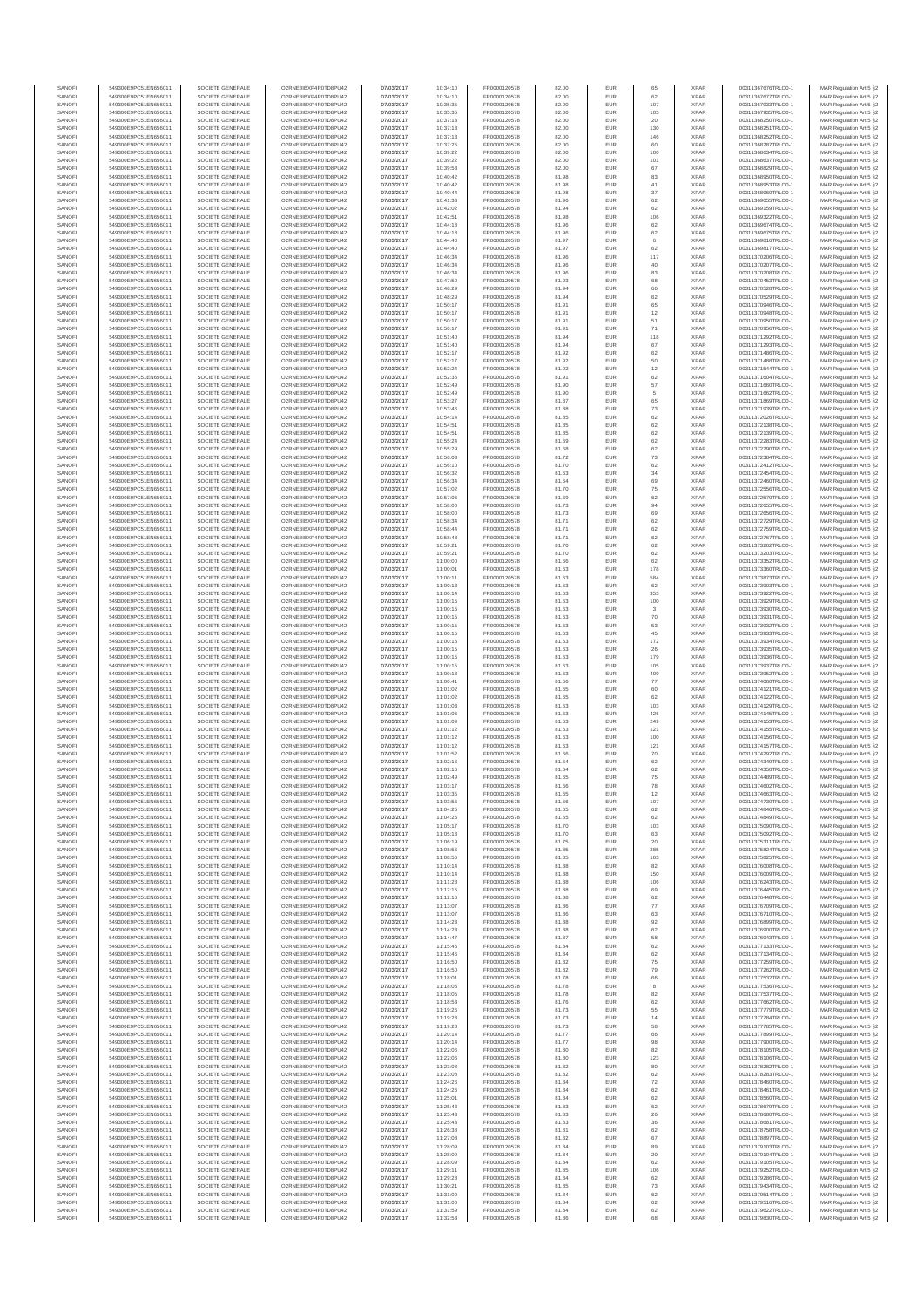| SANOFI           | 549300E9PC51EN656011                         | SOCIETE GENERALE                     | O2RNE8IBXP4R0TD8PU42                         | 07/03/2017               | 10:34:10             | FR0000120578                 | 82.00          | EUR               | 65           | <b>XPAR</b>                | 00311367676TRLO0-1                       | MAR Regulation Art 5 §2                             |
|------------------|----------------------------------------------|--------------------------------------|----------------------------------------------|--------------------------|----------------------|------------------------------|----------------|-------------------|--------------|----------------------------|------------------------------------------|-----------------------------------------------------|
| SANOFI<br>SANOFI | 549300E9PC51EN656011<br>549300E9PC51EN656011 | SOCIETE GENERALE<br>SOCIETE GENERALE | O2RNE8IBXP4R0TD8PU42<br>O2RNE8IBXP4R0TD8PU42 | 07/03/2017<br>07/03/2017 | 10:34:10<br>10:35:35 | FR0000120578<br>FR0000120578 | 82.00<br>82.00 | EUR<br>EUR        | 62<br>107    | <b>XPAR</b><br><b>XPAR</b> | 00311367677TRLO0-1<br>00311367933TRLO0-1 | MAR Regulation Art 5 §2                             |
| SANOFI           | 549300E9PC51EN656011                         | SOCIETE GENERALE                     | O2RNE8IBXP4R0TD8PU42                         | 07/03/2017               | 10:35:35             | FR0000120578                 | 82.00          | EUR               | 105          | <b>XPAR</b>                | 00311367935TRLO0-1                       | MAR Regulation Art 5 §2<br>MAR Regulation Art 5 §2  |
| SANOFI           | 549300E9PC51EN656011                         | SOCIETE GENERALE                     | O2RNE8IBXP4R0TD8PU42                         | 07/03/2017               | 10:37:13             | FR0000120578                 | 82.00          | EUR               | 20           | <b>XPAR</b>                | 00311368250TRLO0-1                       | MAR Regulation Art 5 §2                             |
| SANOFI           | 549300E9PC51EN656011                         | SOCIETE GENERALE                     | O2RNE8IBXP4R0TD8PU42                         | 07/03/2017               | 10:37:13             | FR0000120578                 | 82.00          | EUR               | 130          | <b>XPAR</b>                | 00311368251TRLO0-1                       | MAR Regulation Art 5 §2                             |
| SANOFI<br>SANOFI | 549300E9PC51EN656011<br>549300E9PC51EN656011 | SOCIETE GENERALE<br>SOCIETE GENERALE | O2RNE8IBXP4R0TD8PU42<br>O2RNE8IBXP4R0TD8PU42 | 07/03/2017<br>07/03/2017 | 10:37:13<br>10:37:25 | FR0000120578<br>FR0000120578 | 82.00<br>82.00 | EUR<br>EUR        | 146<br>60    | <b>XPAR</b><br><b>XPAR</b> | 00311368252TRLO0-1<br>00311368287TRLO0-1 | MAR Regulation Art 5 \$2<br>MAR Regulation Art 5 §2 |
| SANOFI           | 549300E9PC51EN656011                         | SOCIETE GENERALE                     | O2RNE8IBXP4R0TD8PU42                         | 07/03/2017               | 10:39:22             | FR0000120578                 | 82.00          | EUR               | 100          | <b>XPAR</b>                | 00311368634TRLO0-1                       | MAR Regulation Art 5 \$2                            |
| SANOFI           | 549300E9PC51EN656011                         | SOCIETE GENERALE                     | O2RNE8IBXP4R0TD8PU42                         | 07/03/2017               | 10:39:22             | FR0000120578                 | 82.00          | EUR               | 101          | <b>XPAR</b>                | 00311368637TRLO0-1                       | MAR Regulation Art 5 §2                             |
| SANOFI<br>SANOFI | 549300E9PC51EN656011<br>549300E9PC51EN656011 | SOCIETE GENERALE<br>SOCIETE GENERALE | O2RNE8IBXP4R0TD8PU42<br>O2RNE8IBXP4R0TD8PU42 | 07/03/2017<br>07/03/2017 | 10:39:53<br>10:40:42 | FR0000120578<br>FR0000120578 | 82.00<br>81.98 | EUR<br>EUR        | 67           | <b>XPAR</b><br><b>XPAR</b> | 00311368829TRLO0-1<br>00311368950TRLO0-1 | MAR Regulation Art 5 §2<br>MAR Regulation Art 5 §2  |
| SANOFI           | 549300E9PC51EN656011                         | SOCIETE GENERALE                     | O2RNE8IBXP4R0TD8PU42                         | 07/03/2017               | 10:40:42             | FR0000120578                 | 81.98          | EUR               | 83<br>$41\,$ | <b>XPAR</b>                | 00311368953TRLO0-1                       | MAR Regulation Art 5 §2                             |
| SANOFI           | 549300E9PC51EN656011                         | SOCIETE GENERALE                     | O2RNE8IBXP4R0TD8PU42                         | 07/03/2017               | 10:40:44             | FR0000120578                 | 81.98          | EUR               | $37\,$       | <b>XPAR</b>                | 00311368960TRLO0-1                       | MAR Regulation Art 5 §2                             |
| SANOFI           | 549300E9PC51EN656011                         | SOCIETE GENERALE                     | O2RNE8IBXP4R0TD8PU42                         | 07/03/2017               | 10:41:33             | FR0000120578                 | 81.96          | EUR               | 62           | <b>XPAR</b>                | 00311369055TRLO0-1                       | MAR Regulation Art 5 §2                             |
| SANOFI<br>SANOFI | 549300E9PC51EN656011<br>549300E9PC51EN656011 | SOCIETE GENERALE<br>SOCIETE GENERALE | O2RNE8IBXP4R0TD8PU42<br>O2RNE8IBXP4R0TD8PU42 | 07/03/2017<br>07/03/2017 | 10:42:02<br>10:42:51 | FR0000120578<br>FR0000120578 | 81.94<br>81.98 | EUR<br>EUR        | 62<br>106    | <b>XPAR</b><br><b>XPAR</b> | 00311369159TRLO0-1<br>00311369322TRLO0-1 | MAR Regulation Art 5 §2<br>MAR Regulation Art 5 §2  |
| SANOFI           | 549300E9PC51EN656011                         | SOCIETE GENERALE                     | O2RNE8IBXP4R0TD8PU42                         | 07/03/2017               | 10:44:18             | FR0000120578                 | 81.96          | EUR               | 62           | <b>XPAR</b>                | 00311369674TRLO0-1                       | MAR Regulation Art 5 §2                             |
| SANOFI           | 549300E9PC51EN656011                         | SOCIETE GENERALE                     | O2RNE8IBXP4R0TD8PU42                         | 07/03/2017               | 10:44:18             | FR0000120578                 | 81.96          | EUR               | 62           | <b>XPAR</b>                | 00311369675TRLO0-1                       | MAR Regulation Art 5 §2                             |
| SANOFI           | 549300E9PC51EN656011                         | SOCIETE GENERALE                     | O2RNE8IBXP4R0TD8PU42                         | 07/03/2017               | 10:44:40             | FR0000120578                 | 81.97          | EUR               | 6            | <b>XPAR</b>                | 00311369816TRLO0-1                       | MAR Regulation Art 5 §2                             |
| SANOFI<br>SANOFI | 549300E9PC51EN656011<br>549300E9PC51EN656011 | SOCIETE GENERALE<br>SOCIETE GENERALE | O2RNE8IBXP4R0TD8PU42<br>O2RNE8IBXP4R0TD8PU42 | 07/03/2017<br>07/03/2017 | 10:44:40<br>10:46:34 | FR0000120578<br>FR0000120578 | 81.97<br>81.96 | EUR<br>EUR        | 62<br>117    | <b>XPAR</b><br><b>XPAR</b> | 00311369817TRLO0-1<br>00311370206TRLO0-1 | MAR Regulation Art 5 §2<br>MAR Regulation Art 5 §2  |
| SANOFI           | 549300E9PC51EN656011                         | SOCIETE GENERALE                     | O2RNE8IBXP4R0TD8PU42                         | 07/03/2017               | 10:46:34             | FR0000120578                 | 81.96          | EUR               | 40           | <b>XPAR</b>                | 00311370207TRLO0-1                       | MAR Regulation Art 5 §2                             |
| SANOFI           | 549300E9PC51EN656011                         | SOCIETE GENERALE                     | O2RNE8IBXP4R0TD8PU42                         | 07/03/2017               | 10:46:34             | FR0000120578                 | 81.96          | EUR               | 83           | <b>XPAR</b>                | 00311370208TRLO0-1                       | MAR Regulation Art 5 §2                             |
| SANOFI<br>SANOFI | 549300E9PC51EN656011<br>549300E9PC51EN656011 | SOCIETE GENERALE<br>SOCIETE GENERALE | O2RNE8IBXP4R0TD8PU42<br>O2RNE8IBXP4R0TD8PU42 | 07/03/2017<br>07/03/2017 | 10:47:50<br>10:48:29 | FR0000120578<br>FR0000120578 | 81.93<br>81.94 | EUR<br>EUR        | 68<br>66     | <b>XPAR</b><br><b>XPAR</b> | 00311370453TRLO0-1<br>00311370528TRLO0-1 | MAR Regulation Art 5 §2<br>MAR Regulation Art 5 §2  |
| SANOFI           | 549300E9PC51EN656011                         | SOCIETE GENERALE                     | O2RNE8IBXP4R0TD8PU42                         | 07/03/2017               | 10:48:29             | FR0000120578                 | 81.94          | EUR               | 62           | <b>XPAR</b>                | 00311370529TRLO0-1                       | MAR Regulation Art 5 62                             |
| SANOFI           | 549300E9PC51EN656011                         | SOCIETE GENERALE                     | O2RNE8IBXP4R0TD8PU42                         | 07/03/2017               | 10:50:17             | FR0000120578                 | 81.91          | EUR               | 65           | <b>XPAR</b>                | 00311370946TRLO0-1                       | MAR Regulation Art 5 §2                             |
| SANOFI           | 549300E9PC51EN656011                         | SOCIETE GENERALE                     | O2RNE8IBXP4R0TD8PU42                         | 07/03/2017               | 10:50:17             | FR0000120578                 | 81.91          | EUR               | 12           | <b>XPAR</b>                | 00311370948TRLO0-1                       | MAR Regulation Art 5 §2                             |
| SANOFI<br>SANOFI | 549300E9PC51EN656011<br>549300E9PC51EN656011 | SOCIETE GENERALE<br>SOCIETE GENERALE | O2RNE8IBXP4R0TD8PU42<br>O2RNE8IBXP4R0TD8PU42 | 07/03/2017<br>07/03/2017 | 10:50:17<br>10:50:17 | FR0000120578<br>FR0000120578 | 81.91<br>81.91 | EUR<br>EUR        | 51<br>71     | <b>XPAR</b><br><b>XPAR</b> | 00311370950TRLO0-1<br>00311370956TRLO0-1 | MAR Regulation Art 5 §2<br>MAR Regulation Art 5 §2  |
| SANOFI           | 549300E9PC51EN656011                         | SOCIETE GENERALE                     | O2RNE8IBXP4R0TD8PU42                         | 07/03/2017               | 10:51:40             | FR0000120578                 | 81.94          | EUR               | 118          | <b>XPAR</b>                | 00311371292TRLO0-1                       | MAR Regulation Art 5 §2                             |
| SANOFI           | 549300E9PC51EN656011                         | SOCIETE GENERALE                     | O2RNE8IBXP4R0TD8PU42                         | 07/03/2017               | 10:51:40             | FR0000120578                 | 81.94          | EUR               | 67           | <b>XPAR</b>                | 00311371293TRLO0-1                       | MAR Regulation Art 5 §2                             |
| SANOFI           | 549300E9PC51EN656011                         | SOCIETE GENERALE                     | O2RNE8IBXP4R0TD8PU42                         | 07/03/2017               | 10:52:17             | FR0000120578                 | 81.92          | EUR               | 62           | <b>XPAR</b>                | 00311371486TRLO0-1                       | MAR Regulation Art 5 \$2                            |
| SANOFI<br>SANOFI | 549300E9PC51EN656011<br>549300E9PC51EN656011 | SOCIETE GENERALE<br>SOCIETE GENERALE | O2RNE8IBXP4R0TD8PU42<br>O2RNE8IBXP4R0TD8PU42 | 07/03/2017<br>07/03/2017 | 10:52:17<br>10:52:24 | FR0000120578<br>FR0000120578 | 81.92<br>81.92 | EUR<br>EUR        | 50<br>12     | <b>XPAR</b><br><b>XPAR</b> | 00311371488TRLO0-1<br>00311371544TRLO0-1 | MAR Regulation Art 5 §2<br>MAR Regulation Art 5 §2  |
| SANOFI           | 549300E9PC51EN656011                         | SOCIETE GENERALE                     | O2RNE8IBXP4R0TD8PU42                         | 07/03/2017               | 10:52:36             | FR0000120578                 | 81.91          | EUR               | 62           | <b>XPAR</b>                | 00311371604TRLO0-1                       | MAR Regulation Art 5 §2                             |
| SANOFI           | 549300E9PC51EN656011                         | SOCIETE GENERALE                     | O2RNE8IBXP4R0TD8PU42                         | 07/03/2017               | 10:52:49             | FR0000120578                 | 81.90          | EUR               | 57           | <b>XPAR</b>                | 00311371660TRLO0-1                       | MAR Regulation Art 5 §2                             |
| SANOFI<br>SANOFI | 549300E9PC51EN656011<br>549300E9PC51EN656011 | SOCIETE GENERALE<br>SOCIETE GENERALE | O2RNE8IBXP4R0TD8PU42<br>O2RNE8IBXP4R0TD8PU42 | 07/03/2017<br>07/03/2017 | 10:52:49<br>10:53:27 | FR0000120578<br>FR0000120578 | 81.90<br>81.87 | EUR<br>EUR        | 5<br>65      | <b>XPAR</b><br><b>XPAR</b> | 00311371662TRLO0-1<br>00311371869TRLO0-1 | MAR Regulation Art 5 §2<br>MAR Regulation Art 5 §2  |
| SANOFI           | 549300E9PC51EN656011                         | SOCIETE GENERALE                     | O2RNE8IBXP4R0TD8PU42                         | 07/03/2017               | 10:53:46             | FR0000120578                 | 81.88          | EUR               | 73           | <b>XPAR</b>                | 00311371939TRLO0-1                       | MAR Regulation Art 5 §2                             |
| SANOFI           | 549300E9PC51EN656011                         | SOCIETE GENERALE                     | O2RNE8IBXP4R0TD8PU42                         | 07/03/2017               | 10:54:14             | FR0000120578                 | 81.85          | EUR               | 62           | <b>XPAR</b>                | 00311372026TRLO0-1                       | MAR Regulation Art 5 §2                             |
| SANOFI           | 549300E9PC51EN656011                         | SOCIETE GENERALE                     | O2RNE8IBXP4R0TD8PU42                         | 07/03/2017               | 10:54:51             | FR0000120578                 | 81.85          | EUR               | 62           | <b>XPAR</b>                | 00311372138TRLO0-1                       | MAR Regulation Art 5 §2                             |
| SANOFI<br>SANOFI | 549300E9PC51EN656011<br>549300E9PC51EN656011 | SOCIETE GENERALE<br>SOCIETE GENERALE | O2RNE8IBXP4R0TD8PU42<br>O2RNE8IBXP4R0TD8PU42 | 07/03/2017<br>07/03/2017 | 10:54:51<br>10:55:24 | FR0000120578<br>FR0000120578 | 81.85<br>81.69 | EUR<br>EUR        | 62<br>62     | <b>XPAR</b><br><b>XPAR</b> | 00311372139TRLO0-1<br>00311372283TRLO0-1 | MAR Regulation Art 5 §2<br>MAR Regulation Art 5 §2  |
| SANOFI           | 549300E9PC51EN656011                         | SOCIETE GENERALE                     | O2RNE8IBXP4R0TD8PU42                         | 07/03/2017               | 10:55:29             | FR0000120578                 | 81.68          | EUR               | 62           | <b>XPAR</b>                | 00311372290TRLO0-1                       | MAR Regulation Art 5 §2                             |
| SANOFI           | 549300E9PC51EN656011                         | SOCIETE GENERALE                     | O2RNE8IBXP4R0TD8PU42                         | 07/03/2017               | 10:56:03             | FR0000120578                 | 81.72          | EUR               | 73           | <b>XPAR</b>                | 00311372384TRLO0-1                       | MAR Regulation Art 5 §2                             |
| SANOFI           | 549300E9PC51EN656011                         | SOCIETE GENERALE                     | O2RNE8IBXP4R0TD8PU42<br>O2RNE8IBXP4R0TD8PU42 | 07/03/2017               | 10:56:10             | FR0000120578<br>FR0000120578 | 81.70          | EUR               | 62           | <b>XPAR</b>                | 00311372412TRLO0-1                       | MAR Regulation Art 5 §2                             |
| SANOFI<br>SANOFI | 549300E9PC51EN656011<br>549300E9PC51EN656011 | SOCIETE GENERALE<br>SOCIETE GENERALE | O2RNE8IBXP4R0TD8PLI42                        | 07/03/2017<br>07/03/2017 | 10:56:32<br>10:56:34 | FR0000120578                 | 81.63<br>81.64 | EUR<br>EUR        | 34<br>69     | <b>XPAR</b><br><b>XPAR</b> | 00311372454TRLO0-1<br>00311372460TRLO0-1 | MAR Regulation Art 5 §2<br>MAR Regulation Art 5 §2  |
| SANOFI           | 549300E9PC51EN656011                         | SOCIETE GENERALE                     | O2RNE8IBXP4R0TD8PU42                         | 07/03/2017               | 10:57:02             | FR0000120578                 | 81.70          | EUR               | 75           | <b>XPAR</b>                | 00311372556TRLO0-1                       | MAR Regulation Art 5 §2                             |
| SANOFI           | 549300E9PC51EN656011                         | SOCIETE GENERALE                     | O2RNE8IBXP4R0TD8PU42                         | 07/03/2017               | 10:57:06             | FR0000120578                 | 81.69          | EUR               | 62           | <b>XPAR</b>                | 00311372570TRLO0-1                       | MAR Regulation Art 5 \$2                            |
| SANOFI           | 549300E9PC51EN656011                         | SOCIETE GENERALE                     | O2RNE8IBXP4R0TD8PU42                         | 07/03/2017               | 10:58:00             | FR0000120578                 | 81.73          | EUR               | 94           | <b>XPAR</b>                | 00311372655TRLO0-1                       | MAR Regulation Art 5 §2                             |
| SANOFI<br>SANOFI | 549300E9PC51EN656011<br>549300E9PC51EN656011 | SOCIETE GENERALE<br>SOCIETE GENERALE | O2RNE8IBXP4R0TD8PU42<br>O2RNE8IBXP4R0TD8PU42 | 07/03/2017<br>07/03/2017 | 10:58:00<br>10:58:34 | FR0000120578<br>FR0000120578 | 81.73<br>81.71 | EUR<br>EUR        | 69<br>62     | <b>XPAR</b><br><b>XPAR</b> | 00311372656TRLO0-1<br>00311372729TRLO0-1 | MAR Regulation Art 5 §2<br>MAR Regulation Art 5 §2  |
| SANOFI           | 549300E9PC51EN656011                         | SOCIETE GENERALE                     | O2RNE8IBXP4R0TD8PU42                         | 07/03/2017               | 10:58:44             | FR0000120578                 | 81.71          | EUR               | 62           | <b>XPAR</b>                | 00311372759TRLO0-1                       | MAR Regulation Art 5 §2                             |
| SANOFI           | 549300E9PC51EN656011                         | SOCIETE GENERALE                     | O2RNE8IBXP4R0TD8PU42                         | 07/03/2017               | 10:58:48             | FR0000120578                 | 81.71          | EUR               | 62           | <b>XPAR</b>                | 00311372767TRLO0-1                       | MAR Regulation Art 5 §2                             |
| SANOFI           | 549300E9PC51EN656011                         | SOCIETE GENERALE                     | O2RNE8IBXP4R0TD8PU42                         | 07/03/2017               | 10:59:21             | FR0000120578                 | 81.70          | EUR               | 62           | <b>XPAR</b>                | 00311373202TRLO0-1                       | MAR Regulation Art 5 §2<br>MAR Regulation Art 5 §2  |
| SANOFI<br>SANOFI | 549300E9PC51EN656011<br>549300E9PC51EN656011 | SOCIETE GENERALE<br>SOCIETE GENERALE | O2RNE8IBXP4R0TD8PU42<br>O2RNE8IBXP4R0TD8PU42 | 07/03/2017<br>07/03/2017 | 10:59:21<br>11:00:00 | FR0000120578<br>FR0000120578 | 81.70<br>81.66 | EUR<br>EUR        | 62<br>62     | <b>XPAR</b><br><b>XPAR</b> | 00311373203TRLO0-1<br>00311373352TRLO0-1 | MAR Regulation Art 5 §2                             |
| SANOFI           | 549300E9PC51EN656011                         | SOCIETE GENERALE                     | O2RNE8IBXP4R0TD8PU42                         | 07/03/2017               | 11:00:01             | FR0000120578                 | 81.63          | EUR               | 178          | <b>XPAR</b>                | 00311373360TRLO0-1                       | MAR Regulation Art 5 §2                             |
| SANOFI           | 549300E9PC51EN656011                         | SOCIETE GENERALE                     | O2RNE8IBXP4R0TD8PU42                         | 07/03/2017               | 11:00:11             | FR0000120578                 | 81.63          | EUR               | 584          | <b>XPAR</b>                | 00311373873TRLO0-1                       | MAR Regulation Art 5 §2                             |
| SANOFI<br>SANOFI | 549300E9PC51EN656011<br>549300E9PC51EN656011 | SOCIETE GENERALE<br>SOCIETE GENERALE | O2RNE8IBXP4R0TD8PU42<br>O2RNE8IBXP4R0TD8PU42 | 07/03/2017<br>07/03/2017 | 11:00:13<br>11:00:14 | FR0000120578<br>FR0000120578 | 81.63<br>81.63 | EUR<br>EUR        | 62<br>353    | <b>XPAR</b><br><b>XPAR</b> | 00311373903TRLO0-1<br>00311373922TRLO0-1 | MAR Regulation Art 5 §2<br>MAR Regulation Art 5 §2  |
| SANOFI           | 549300E9PC51EN656011                         | SOCIETE GENERALE                     | O2RNE8IBXP4R0TD8PU42                         | 07/03/2017               | 11:00:15             | FR0000120578                 | 81.63          | EUR               | 100          | <b>XPAR</b>                | 00311373929TRLO0-1                       | MAR Regulation Art 5 §2                             |
| SANOFI           | 549300E9PC51EN656011                         | SOCIETE GENERALE                     | O2RNE8IBXP4R0TD8PU42                         | 07/03/2017               | 11:00:15             | FR0000120578                 | 81.63          | EUR               | $\mathbf{3}$ | <b>XPAR</b>                | 00311373930TRLO0-1                       | MAR Regulation Art 5 §2                             |
| SANOFI           | 549300E9PC51EN656011                         | SOCIETE GENERALE                     | O2RNE8IBXP4R0TD8PU42                         | 07/03/2017               | 11:00:15             | FR0000120578                 | 81.63          | EUR               | 70           | <b>XPAR</b>                | 00311373931TRLO0-1                       | MAR Regulation Art 5 §2                             |
| SANOFI<br>SANOFI | 549300E9PC51EN656011<br>549300E9PC51EN656011 | SOCIETE GENERALE<br>SOCIETE GENERALE | O2RNE8IBXP4R0TD8PU42<br>O2RNE8IBXP4R0TD8PU42 | 07/03/2017<br>07/03/2017 | 11:00:15<br>11:00:15 | FR0000120578<br>FR0000120578 | 81.63<br>81.63 | EUR<br>EUR        | 53<br>45     | <b>XPAR</b><br><b>XPAR</b> | 00311373932TRLO0-1<br>00311373933TRLO0-1 | MAR Regulation Art 5 §2<br>MAR Regulation Art 5 §2  |
| SANOFI           | 549300E9PC51EN656011                         | SOCIETE GENERALE                     | O2RNE8IBXP4R0TD8PU42                         | 07/03/2017               | 11:00:15             | FR0000120578                 | 81.63          | EUR               | 172          | <b>XPAR</b>                | 00311373934TRLO0-1                       | MAR Regulation Art 5 §2                             |
| SANOFI           | 549300E9PC51EN656011                         | SOCIETE GENERALE                     | O2RNE8IBXP4R0TD8PU42                         | 07/03/2017               | 11:00:15             | FR0000120578                 | 81.63          | EUR               | 26           | <b>XPAR</b>                | 00311373935TRLO0-1                       | MAR Regulation Art 5 §2                             |
| SANOFI           | 549300E9PC51EN656011                         | SOCIETE GENERALE                     | O2RNE8IBXP4R0TD8PU42                         | 07/03/2017               | 11:00:15             | FR0000120578                 | 81.63          | EUR               | 179          | <b>XPAR</b>                | 00311373936TRLO0-1                       | MAR Regulation Art 5 §2                             |
| SANOFI<br>SANOFI | 549300E9PC51EN656011<br>549300E9PC51EN656011 | SOCIETE GENERALE<br>SOCIETE GENERALE | O2RNE8IBXP4R0TD8PU42<br>O2RNE8IBXP4R0TD8PU42 | 07/03/2017<br>07/03/2017 | 11:00:15<br>11:00:18 | FR0000120578<br>FR0000120578 | 81.63<br>81.63 | EUR<br>EUR        | 105<br>409   | <b>XPAR</b><br><b>XPAR</b> | 00311373937TRLO0-1<br>00311373952TRLO0-1 | MAR Regulation Art 5 §2<br>MAR Regulation Art 5 §2  |
| SANOFI           | 549300E9PC51EN656011                         | SOCIETE GENERALE                     | O2RNE8IBXP4R0TD8PU42                         | 07/03/2017               | 11:00:41             | FR0000120578                 | 81.66          | EUR               | 77           | <b>XPAR</b>                | 00311374060TRLO0-1                       | MAR Regulation Art 5 §2                             |
| SANOFI           | 549300E9PC51EN656011                         | SOCIETE GENERALE                     | O2RNE8IBXP4R0TD8PU42                         | 07/03/2017               | 11:01:02             | FR0000120578                 | 81.65          | EUR               | 60           | <b>XPAR</b>                | 00311374121TRLO0-1                       | MAR Regulation Art 5 §2                             |
| SANOFI<br>SANOFI | 549300E9PC51EN656011<br>549300E9PC51EN656011 | SOCIETE GENERALE<br>SOCIETE GENERALE | O2RNE8IBXP4R0TD8PU42<br>O2RNE8IBXP4R0TD8PU42 | 07/03/2017<br>07/03/2017 | 11:01:02<br>11:01:03 | FR0000120578<br>FR0000120578 | 81.65<br>81.63 | EUR<br>EUR        | 62<br>103    | <b>XPAR</b><br><b>XPAR</b> | 00311374122TRLO0-1<br>00311374129TRLO0-1 | MAR Regulation Art 5 \$2<br>MAR Regulation Art 5 §2 |
| SANOFI           | 549300E9PC51EN656011                         | SOCIETE GENERALE                     | O2RNE8IBXP4R0TD8PU42                         | 07/03/2017               | 11:01:06             | FR0000120578                 | 81.63          | EUR               | 426          | <b>XPAR</b>                | 00311374145TRLO0-1                       | MAR Regulation Art 5 §2                             |
| SANOFI           | 549300E9PC51EN656011                         | SOCIETE GENERALE                     | O2RNE8IBXP4R0TD8PU42                         | 07/03/2017               | 11:01:09             | FR0000120578                 | 81.63          | EUR               | 249          | <b>XPAR</b>                | 00311374153TRLO0-1                       | MAR Regulation Art 5 §2                             |
| SANOFI           | 549300E9PC51EN656011                         | SOCIETE GENERALE                     | O2RNE8IBXP4R0TD8PU42                         | 07/03/2017               | 11:01:12             | FR0000120578                 | 81.63          | EUR               | 121          | <b>XPAR</b>                | 00311374155TRLO0-1                       | MAR Regulation Art 5 §2                             |
| SANOFI<br>SANOFI | 549300E9PC51EN656011<br>549300E9PC51EN656011 | SOCIETE GENERALE<br>SOCIETE GENERALE | O2RNE8IBXP4R0TD8PU42<br>O2RNE8IBXP4R0TD8PU42 | 07/03/2017<br>07/03/2017 | 11:01:12<br>11:01:12 | FR0000120578<br>FR0000120578 | 81.63<br>81.63 | EUR<br>EUR        | 100<br>121   | <b>XPAR</b><br><b>XPAR</b> | 00311374156TRLO0-1<br>00311374157TRLO0-1 | MAR Regulation Art 5 §2<br>MAR Regulation Art 5 §2  |
| SANOFI           | 549300E9PC51EN656011                         | SOCIETE GENERALE                     | O2RNE8IBXP4R0TD8PU42                         | 07/03/2017               | 11:01:52             | FR0000120578                 | 81.66          | EUR               | 70           | <b>XPAR</b>                | 00311374292TRLO0-1                       | MAR Regulation Art 5 \$2                            |
| SANOFI           | 549300E9PC51EN656011                         | SOCIETE GENERALE                     | O2RNE8IBXP4R0TD8PU42                         | 07/03/2017               | 11:02:16             | FR0000120578                 | 81.64          | EUR               | 62           | <b>XPAR</b>                | 00311374349TRLO0-1                       | MAR Regulation Art 5 §2                             |
| SANOFI<br>SANOFI | 549300E9PC51EN656011<br>549300E9PC51EN656011 | SOCIETE GENERALE<br>SOCIETE GENERALE | O2RNE8IBXP4R0TD8PU42<br>O2RNE8IBXP4R0TD8PU42 | 07/03/2017               | 11:02:16<br>11:02:49 | FR0000120578<br>FR0000120578 | 81.64<br>81.65 | <b>EUR</b><br>EUR | 62<br>75     | <b>XPAR</b><br><b>XPAR</b> | 00311374350TRLO0-1<br>00311374489TRLO0-1 | MAR Regulation Art 5 §2                             |
| SANOFI           | 549300E9PC51EN656011                         | SOCIETE GENERALE                     | O2RNE8IBXP4R0TD8PU42                         | 07/03/2017<br>07/03/2017 | 11:03:17             | FR0000120578                 | 81.66          | EUR               | 78           | <b>XPAR</b>                | 00311374602TRLO0-1                       | MAR Regulation Art 5 §2<br>MAR Regulation Art 5 §2  |
| SANOFI           | 549300E9PC51EN656011                         | SOCIETE GENERALE                     | O2RNE8IBXP4R0TD8PU42                         | 07/03/2017               | 11:03:35             | FR0000120578                 | 81.65          | EUR               | 12           | <b>XPAR</b>                | 00311374663TRLO0-1                       | MAR Regulation Art 5 §2                             |
| SANOFI           | 549300E9PC51EN656011                         | SOCIETE GENERALE                     | O2RNE8IBXP4R0TD8PU42                         | 07/03/2017               | 11:03:56             | FR0000120578                 | 81.66          | EUR               | 107          | <b>XPAR</b>                | 00311374730TRLO0-1                       | MAR Regulation Art 5 §2                             |
| SANOFI<br>SANOFI | 549300E9PC51EN656011<br>549300E9PC51EN656011 | SOCIETE GENERALE<br>SOCIETE GENERALE | O2RNE8IBXP4R0TD8PU42<br>O2RNE8IBXP4R0TD8PU42 | 07/03/2017<br>07/03/2017 | 11:04:25<br>11:04:25 | FR0000120578<br>FR0000120578 | 81.65<br>81.65 | EUR<br>EUR        | 62<br>62     | <b>XPAR</b><br><b>XPAR</b> | 00311374846TRLO0-1<br>00311374849TRLO0-1 | MAR Regulation Art 5 §2                             |
| SANOFI           | 549300E9PC51EN656011                         | SOCIETE GENERALE                     | O2RNE8IBXP4R0TD8PU42                         | 07/03/2017               | 11:05:17             | FR0000120578                 | 81.70          | EUR               | 103          | <b>XPAR</b>                | 00311375090TRLO0-1                       | MAR Regulation Art 5 §2<br>MAR Regulation Art 5 §2  |
| SANOFI           | 549300E9PC51EN656011                         | SOCIETE GENERALE                     | O2RNE8IBXP4R0TD8PU42                         | 07/03/2017               | 11:05:18             | FR0000120578                 | 81.70          | EUR               | 63           | <b>XPAR</b>                | 00311375092TRLO0-1                       | MAR Regulation Art 5 §2                             |
| SANOFI           | 549300E9PC51EN656011<br>549300E9PC51EN656011 | SOCIETE GENERALE                     | O2RNE8IBXP4R0TD8PU42                         | 07/03/2017               | 11:06:19             | FR0000120578                 | 81.75          | EUR               | 20           | <b>XPAR</b>                | 00311375311TRLO0-1                       | MAR Regulation Art 5 \$2                            |
| SANOFI<br>SANOFI | 549300E9PC51EN656011                         | SOCIETE GENERALE<br>SOCIETE GENERALE | O2RNE8IBXP4R0TD8PU42<br>O2RNE8IBXP4R0TD8PU42 | 07/03/2017<br>07/03/2017 | 11:08:56<br>11:08:56 | FR0000120578<br>FR0000120578 | 81.85<br>81.85 | EUR<br>EUR        | 285<br>163   | <b>XPAR</b><br><b>XPAR</b> | 00311375824TRLO0-1<br>00311375825TRLO0-1 | MAR Regulation Art 5 §2<br>MAR Regulation Art 5 §2  |
| SANOFI           | 549300E9PC51EN656011                         | SOCIETE GENERALE                     | O2RNE8IBXP4R0TD8PU42                         | 07/03/2017               | 11:10:14             | FR0000120578                 | 81.88          | EUR               | 82           | <b>XPAR</b>                | 00311376008TRLO0-1                       | MAR Regulation Art 5 §2                             |
| SANOFI           | 549300E9PC51EN656011                         | SOCIETE GENERALE                     | O2RNE8IBXP4R0TD8PU42                         | 07/03/2017               | 11:10:14             | FR0000120578                 | 81.88          | EUR               | 150          | <b>XPAR</b>                | 00311376009TRLO0-1                       | MAR Regulation Art 5 §2                             |
| SANOFI<br>SANOFI | 549300E9PC51EN656011<br>549300E9PC51EN656011 | SOCIETE GENERALE<br>SOCIETE GENERALE | O2RNE8IBXP4R0TD8PU42<br>O2RNE8IBXP4R0TD8PU42 | 07/03/2017<br>07/03/2017 | 11:11:28<br>11:12:15 | FR0000120578<br>FR0000120578 | 81.88<br>81.88 | EUR<br>EUR        | 106<br>69    | <b>XPAR</b><br><b>XPAR</b> | 00311376243TRLO0-1<br>00311376445TRLO0-1 | MAR Regulation Art 5 §2<br>MAR Regulation Art 5 §2  |
| SANOFI           | 549300E9PC51EN656011                         | SOCIETE GENERALE                     | O2RNE8IBXP4R0TD8PU42                         | 07/03/2017               | 11:12:16             | FR0000120578                 | 81.88          | EUR               | 62           | <b>XPAR</b>                | 00311376448TRLO0-1                       | MAR Regulation Art 5 §2                             |
| SANOFI           | 549300E9PC51EN656011                         | SOCIETE GENERALE                     | O2RNE8IBXP4R0TD8PU42                         | 07/03/2017               | 11:13:07             | FR0000120578                 | 81.86          | EUR               | 77           | <b>XPAR</b>                | 00311376709TRLO0-1                       | MAR Regulation Art 5 §2                             |
| SANOFI<br>SANOFI | 549300E9PC51EN656011<br>549300E9PC51EN656011 | SOCIETE GENERALE<br>SOCIETE GENERALE | O2RNE8IBXP4R0TD8PU42<br>O2RNE8IBXP4R0TD8PU42 | 07/03/2017<br>07/03/2017 | 11:13:07<br>11:14:23 | FR0000120578<br>FR0000120578 | 81.86<br>81.88 | EUR<br>EUR        | 63<br>92     | <b>XPAR</b><br><b>XPAR</b> | 00311376710TRLO0-1<br>00311376899TRLO0-1 | MAR Regulation Art 5 §2<br>MAR Regulation Art 5 §2  |
| SANOFI           | 549300E9PC51EN656011                         | SOCIETE GENERALE                     | O2RNE8IBXP4R0TD8PU42                         | 07/03/2017               | 11:14:23             | FR0000120578                 | 81.88          | EUR               | 62           | <b>XPAR</b>                | 00311376900TRLO0-1                       | MAR Regulation Art 5 §2                             |
| SANOFI           | 549300E9PC51EN656011                         | SOCIETE GENERALE                     | O2RNESIBXP4R0TD8PLI42                        | 07/03/2017               | 11:14:47             | FR0000120578                 | 81.87          | EUR               | 58           | <b>XPAR</b>                | 00311376943TRLO0-1                       | MAR Regulation Art 5 §2                             |
| SANOFI           | 549300E9PC51EN656011                         | SOCIETE GENERALE                     | O2RNE8IBXP4R0TD8PU42                         | 07/03/2017               | 11:15:46             | FR0000120578                 | 81.84          | EUR               | 62           | <b>XPAR</b>                | 00311377133TRLO0-1                       | MAR Regulation Art 5 §2                             |
| SANOFI           | 549300E9PC51EN656011                         | SOCIETE GENERALE                     | O2RNE8IBXP4R0TD8PU42                         | 07/03/2017               | 11:15:46             | FR0000120578<br>FR0000120578 | 81.84          | EUR               | 62           | <b>XPAR</b>                | 00311377134TRLO0-1                       | MAR Regulation Art 5 §2                             |
| SANOFI<br>SANOFI | 549300E9PC51EN656011<br>549300E9PC51EN656011 | SOCIETE GENERALE<br>SOCIETE GENERALE | O2RNE8IBXP4R0TD8PU42<br>O2RNE8IBXP4R0TD8PU42 | 07/03/2017<br>07/03/2017 | 11:16:50<br>11:16:50 | FR0000120578                 | 81.82<br>81.82 | EUR<br>EUR        | 75<br>79     | <b>XPAR</b><br><b>XPAR</b> | 00311377259TRLO0-1<br>00311377262TRLO0-1 | MAR Regulation Art 5 §2<br>MAR Regulation Art 5 §2  |
| SANOFI           | 549300E9PC51EN656011                         | SOCIETE GENERALE                     | O2RNE8IBXP4R0TD8PU42                         | 07/03/2017               | 11:18:01             | FR0000120578                 | 81.78          | EUR               | 66           | <b>XPAR</b>                | 00311377532TRLO0-1                       | MAR Regulation Art 5 §2                             |
| SANOFI           | 549300E9PC51EN656011                         | SOCIETE GENERALE                     | O2RNE8IBXP4R0TD8PU42                         | 07/03/2017               | 11:18:05             | FR0000120578                 | 81.78          | EUR               | 8            | <b>XPAR</b>                | 00311377536TRLO0-1                       | MAR Regulation Art 5 §2                             |
| SANOFI<br>SANOFI | 549300E9PC51EN656011<br>549300E9PC51EN656011 | SOCIETE GENERALE<br>SOCIETE GENERALE | O2RNE8IBXP4R0TD8PU42<br>O2RNE8IBXP4R0TD8PU42 | 07/03/2017<br>07/03/2017 | 11:18:05             | FR0000120578<br>FR0000120578 | 81.78<br>81.76 | EUR<br>EUR        | 82<br>62     | <b>XPAR</b><br><b>XPAR</b> | 00311377537TRLO0-1<br>00311377662TRLO0-1 | MAR Regulation Art 5 §2<br>MAR Regulation Art 5 §2  |
| SANOFI           | 549300E9PC51EN656011                         | SOCIETE GENERALE                     | O2RNE8IBXP4R0TD8PU42                         | 07/03/2017               | 11:18:53<br>11:19:26 | FR0000120578                 | 81.73          | EUR               | 55           | <b>XPAR</b>                | 00311377779TRLO0-1                       | MAR Regulation Art 5 §2                             |
| SANOFI           | 549300E9PC51EN656011                         | SOCIETE GENERALE                     | O2RNE8IBXP4R0TD8PU42                         | 07/03/2017               | 11:19:28             | FR0000120578                 | 81.73          | EUR               | 14           | <b>XPAR</b>                | 00311377784TRLO0-1                       | MAR Regulation Art 5 §2                             |
| SANOFI           | 549300E9PC51EN656011                         | SOCIETE GENERALE                     | O2RNE8IBXP4R0TD8PU42                         | 07/03/2017               | 11:19:28             | FR0000120578                 | 81.73          | EUR               | 58           | <b>XPAR</b>                | 00311377785TRLO0-1                       | MAR Regulation Art 5 §2                             |
| SANOFI<br>SANOFI | 549300E9PC51EN656011<br>549300E9PC51EN656011 | SOCIETE GENERALE<br>SOCIETE GENERALE | O2RNE8IBXP4R0TD8PU42<br>O2RNE8IBXP4R0TD8PU42 | 07/03/2017<br>07/03/2017 | 11:20:14<br>11:20:14 | FR0000120578<br>FR0000120578 | 81.77<br>81.77 | EUR<br>EUR        | 66<br>98     | <b>XPAR</b><br><b>XPAR</b> | 00311377899TRLO0-1<br>00311377900TRLO0-1 | MAR Regulation Art 5 §2<br>MAR Regulation Art 5 §2  |
| SANOFI           | 549300E9PC51EN656011                         | SOCIETE GENERALE                     | O2RNE8IBXP4R0TD8PU42                         | 07/03/2017               | 11:22:06             | FR0000120578                 | 81.80          | EUR               | 82           | <b>XPAR</b>                | 00311378105TRLO0-1                       | MAR Regulation Art 5 §2                             |
| SANOFI           | 549300E9PC51EN656011                         | SOCIETE GENERALE                     | O2RNE8IBXP4R0TD8PU42                         | 07/03/2017               | 11:22:06             | FR0000120578                 | 81.80          | EUR               | 123          | <b>XPAR</b>                | 00311378106TRLO0-1                       | MAR Regulation Art 5 §2                             |
| SANOFI           | 549300E9PC51EN656011                         | SOCIETE GENERALE                     | O2RNE8IBXP4R0TD8PU42                         | 07/03/2017               | 11:23:08             | FR0000120578                 | 81.82          | EUR               | 80           | <b>XPAR</b>                | 00311378282TRLO0-1                       | MAR Regulation Art 5 §2                             |
| SANOFI<br>SANOFI | 549300E9PC51EN656011<br>549300E9PC51EN656011 | SOCIETE GENERALE<br>SOCIETE GENERALE | O2RNE8IBXP4R0TD8PU42<br>O2RNE8IBXP4R0TD8PU42 | 07/03/2017<br>07/03/2017 | 11:23:08<br>11:24:26 | FR0000120578<br>FR0000120578 | 81.82<br>81.84 | EUR<br>EUR        | 62<br>72     | <b>XPAR</b><br><b>XPAR</b> | 00311378283TRLO0-1<br>00311378460TRLO0-1 | MAR Regulation Art 5 §2<br>MAR Regulation Art 5 §2  |
| SANOFI           | 549300E9PC51EN656011                         | SOCIETE GENERALE                     | O2RNE8IBXP4R0TD8PU42                         | 07/03/2017               | 11:24:26             | FR0000120578                 | 81.84          | EUR               | 62           | <b>XPAR</b>                | 00311378461TRLO0-1                       | MAR Regulation Art 5 §2                             |
| SANOFI           | 549300E9PC51EN656011                         | SOCIETE GENERALE                     | O2RNE8IBXP4R0TD8PU42                         | 07/03/2017               | 11:25:01             | FR0000120578                 | 81.84          | EUR               | 62           | <b>XPAR</b>                | 00311378560TRLO0-1                       | MAR Regulation Art 5 §2                             |
| SANOFI           | 549300E9PC51EN656011                         | SOCIETE GENERALE                     | O2RNE8IBXP4R0TD8PU42                         | 07/03/2017               | 11:25:43             | FR0000120578                 | 81.83          | EUR               | 62           | <b>XPAR</b>                | 00311378679TRLO0-1                       | MAR Regulation Art 5 §2                             |
| SANOFI<br>SANOFI | 549300E9PC51EN656011<br>549300E9PC51EN656011 | SOCIETE GENERALE<br>SOCIETE GENERALE | O2RNE8IBXP4R0TD8PU42<br>O2RNE8IBXP4R0TD8PU42 | 07/03/2017<br>07/03/2017 | 11:25:43<br>11:25:43 | FR0000120578<br>FR0000120578 | 81.83<br>81.83 | EUR<br>EUR        | 26<br>36     | <b>XPAR</b><br><b>XPAR</b> | 00311378680TRLO0-1<br>00311378681TRLO0-1 | MAR Regulation Art 5 §2<br>MAR Regulation Art 5 §2  |
| SANOFI           | 549300E9PC51EN656011                         | SOCIETE GENERALE                     | O2RNE8IBXP4R0TD8PU42                         | 07/03/2017               | 11:26:38             | FR0000120578                 | 81.81          | EUR               | 62           | <b>XPAR</b>                | 00311378758TRLO0-1                       | MAR Regulation Art 5 §2                             |
| SANOFI           | 549300E9PC51EN656011                         | SOCIETE GENERALE                     | O2RNE8IBXP4R0TD8PU42                         | 07/03/2017               | 11:27:08             | FR0000120578                 | 81.82          | EUR               | 67           | <b>XPAR</b>                | 00311378897TRLO0-1                       | MAR Regulation Art 5 §2                             |
| SANOFI<br>SANOFI | 549300E9PC51EN656011<br>549300E9PC51EN656011 | SOCIETE GENERALE<br>SOCIETE GENERALE | O2RNE8IBXP4R0TD8PU42<br>O2RNE8IBXP4R0TD8PU42 | 07/03/2017<br>07/03/2017 | 11:28:09<br>11:28:09 | FR0000120578<br>FR0000120578 | 81.84<br>81.84 | EUR<br>EUR        | 89<br>20     | <b>XPAR</b><br><b>XPAR</b> | 00311379103TRLO0-1<br>00311379104TRLO0-1 | MAR Regulation Art 5 §2                             |
| SANOFI           | 549300E9PC51EN656011                         | SOCIETE GENERALE                     | O2RNE8IBXP4R0TD8PU42                         | 07/03/2017               | 11:28:09             | FR0000120578                 | 81.84          | EUR               | 62           | <b>XPAR</b>                | 00311379105TRLO0-1                       | MAR Regulation Art 5 §2<br>MAR Regulation Art 5 §2  |
| SANOFI           | 549300E9PC51EN656011                         | SOCIETE GENERALE                     | O2RNE8IBXP4R0TD8PU42                         | 07/03/2017               | 11:29:11             | FR0000120578                 | 81.85          | EUR               | 106          | <b>XPAR</b>                | 00311379252TRLO0-1                       | MAR Regulation Art 5 §2                             |
| SANOFI           | 549300E9PC51EN656011                         | SOCIETE GENERALE                     | O2RNE8IBXP4R0TD8PU42                         | 07/03/2017               | 11:29:28             | FR0000120578                 | 81.84          | EUR               | 62           | <b>XPAR</b>                | 00311379286TRLO0-1                       | MAR Regulation Art 5 §2                             |
| SANOFI<br>SANOFI | 549300E9PC51EN656011<br>549300E9PC51EN656011 | SOCIETE GENERALE<br>SOCIETE GENERALE | O2RNE8IBXP4R0TD8PU42<br>O2RNE8IBXP4R0TD8PU42 | 07/03/2017<br>07/03/2017 | 11:30:21<br>11:31:00 | FR0000120578<br>FR0000120578 | 81.85<br>81.84 | EUR<br>EUR        | 73<br>62     | <b>XPAR</b><br><b>XPAR</b> | 00311379434TRLO0-1<br>00311379514TRLO0-1 | MAR Regulation Art 5 §2<br>MAR Regulation Art 5 §2  |
| SANOFI           | 549300E9PC51EN656011                         | SOCIETE GENERALE                     | O2RNE8IBXP4R0TD8PU42                         | 07/03/2017               | 11:31:00             | FR0000120578                 | 81.84          | EUR               | 62           | <b>XPAR</b>                | 00311379516TRLO0-1                       | MAR Regulation Art 5 §2                             |
| SANOFI           | 549300E9PC51EN656011                         | SOCIETE GENERALE                     | O2RNE8IBXP4R0TD8PU42                         | 07/03/2017               | 11:31:59             | FR0000120578                 | 81.84          | EUR               | 62           | <b>XPAR</b>                | 00311379622TRLO0-1                       | MAR Regulation Art 5 §2                             |
| SANOFI           | 549300E9PC51EN656011                         | SOCIETE GENERALE                     | O2RNE8IBXP4R0TD8PU42                         | 07/03/2017               | 11:32:53             | FR0000120578                 | 81.86          | EUR               | 68           | <b>XPAR</b>                | 00311379830TRLO0-1                       | MAR Regulation Art 5 §2                             |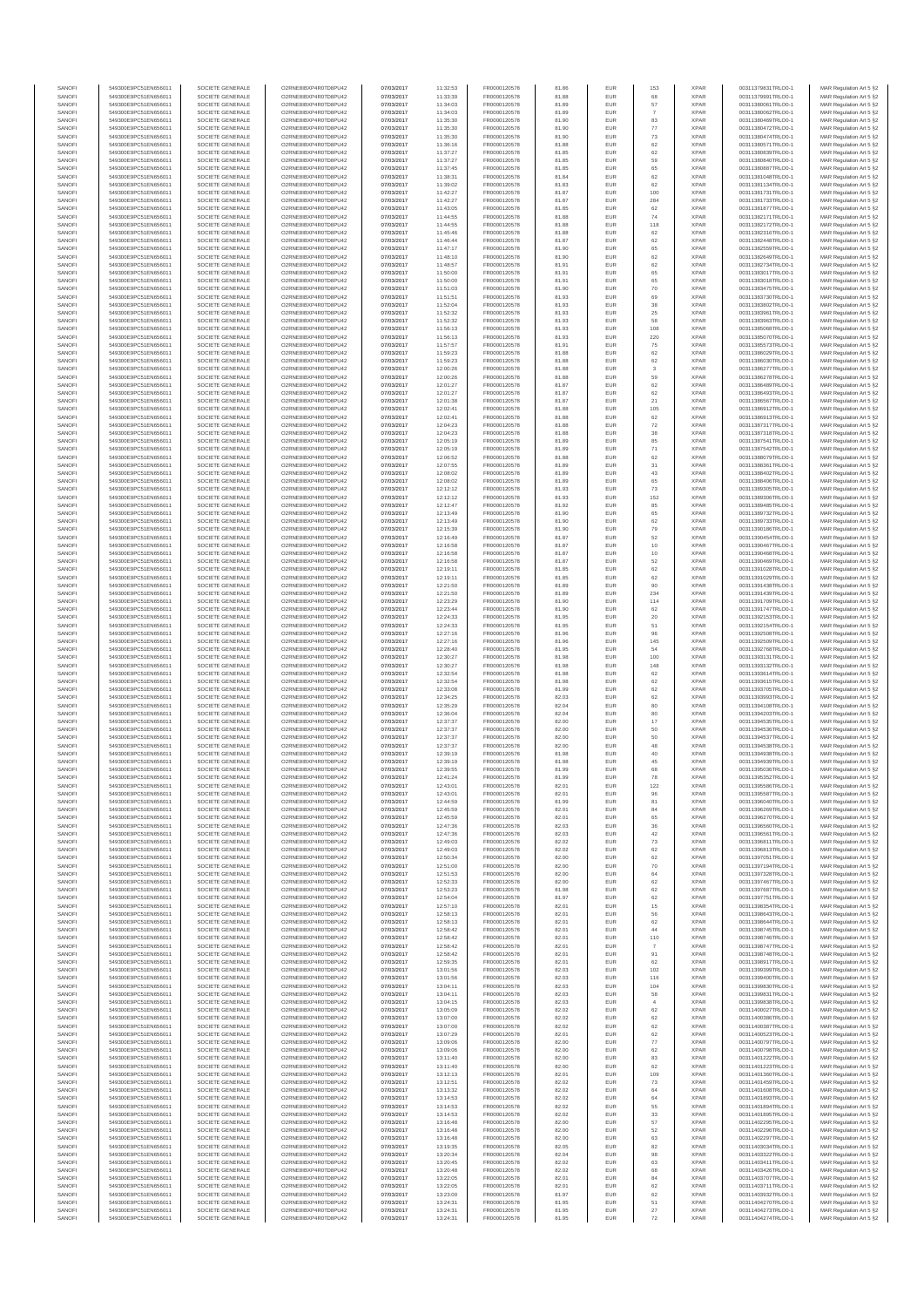| SANOFI           | 549300E9PC51EN656011                         | SOCIETE GENERALE                     | O2RNE8IBXP4R0TD8PU42                          | 07/03/2017               | 11:32:53             | FR0000120578                 | 81.86          | EUR               | 153                           | <b>XPAR</b>                | 00311379831TRLO0-1                       | MAR Regulation Art 5 §2                            |
|------------------|----------------------------------------------|--------------------------------------|-----------------------------------------------|--------------------------|----------------------|------------------------------|----------------|-------------------|-------------------------------|----------------------------|------------------------------------------|----------------------------------------------------|
| SANOFI           | 549300E9PC51EN656011                         | SOCIETE GENERALE                     | O2RNE8IBXP4R0TD8PLI42                         | 07/03/2017               | 11:33:39             | FR0000120578                 | 81.88          | <b>EUR</b>        | 68                            | <b>XPAR</b>                | 00311379991TRLO0-1                       | MAR Regulation Art 5 §2                            |
| SANOFI           | 549300E9PC51EN656011                         | SOCIETE GENERALE                     | O2RNE8IBXP4R0TD8PU42                          | 07/03/2017               | 11:34:03             | FR0000120578                 | 81.89          | EUR               | 57                            | <b>XPAR</b>                | 00311380061TRLO0-1                       | MAR Regulation Art 5 §2                            |
| SANOFI           | 549300E9PC51EN656011                         | SOCIETE GENERALE                     | O2RNE8IBXP4R0TD8PU42                          | 07/03/2017               | 11:34:03             | FR0000120578                 | 81.89          | EUR               | -7                            | <b>XPAR</b>                | 00311380062TRLO0-1                       | MAR Regulation Art 5 §2                            |
| SANOFI<br>SANOFI | 549300E9PC51EN656011<br>549300E9PC51EN656011 | SOCIETE GENERALE<br>SOCIETE GENERALE | O2RNE8IBXP4R0TD8PU42<br>O2RNE8IBXP4R0TD8PU42  | 07/03/2017<br>07/03/2017 | 11:35:30<br>11:35:30 | FR0000120578<br>FR0000120578 | 81.90<br>81.90 | EUR<br>EUR        | 83<br>77                      | <b>XPAR</b><br><b>XPAR</b> | 00311380469TRLO0-1<br>00311380472TRLO0-1 | MAR Regulation Art 5 §2<br>MAR Regulation Art 5 §2 |
| SANOFI           | 549300E9PC51EN656011                         | SOCIETE GENERALE                     | O2RNE8IBXP4R0TD8PU42                          | 07/03/2017               | 11:35:30             | FR0000120578                 | 81.90          | EUR               | $\mathbf{73}$                 | <b>XPAR</b>                | 00311380474TRLO0-1                       | MAR Regulation Art 5 §2                            |
| SANOFI           | 549300E9PC51EN656011                         | SOCIETE GENERALE                     | O2RNE8IBXP4R0TD8PU42                          | 07/03/2017               | 11:36:16             | FR0000120578                 | 81.88          | EUR               | 62                            | <b>XPAR</b>                | 00311380571TRLO0-1                       | MAR Regulation Art 5 §2                            |
| SANOFI           | 549300E9PC51EN656011                         | SOCIETE GENERALE                     | O2RNE8IBXP4R0TD8PU42                          | 07/03/2017               | 11:37:27             | FR0000120578                 | 81.85          | EUR               | 62                            | <b>XPAR</b>                | 00311380839TRLO0-1                       | MAR Regulation Art 5 §2                            |
| SANOFI           | 549300E9PC51EN656011                         | SOCIETE GENERALE                     | O2RNE8IBXP4R0TD8PU42                          | 07/03/2017               | 11:37:27             | FR0000120578                 | 81.85          | EUR               | 59                            | <b>XPAR</b>                | 00311380840TRLO0-1                       | MAR Regulation Art 5 §2                            |
| SANOFI           | 549300E9PC51EN656011                         | SOCIETE GENERALE                     | O2RNE8IBXP4R0TD8PU42                          | 07/03/2017               | 11:37:45             | FR0000120578                 | 81.85          | EUR               | 65                            | <b>XPAR</b>                | 00311380887TRLO0-1                       | MAR Regulation Art 5 §2                            |
| SANOFI           | 549300E9PC51EN656011                         | SOCIETE GENERALE                     | O2RNE8IBXP4R0TD8PU42                          | 07/03/2017               | 11:38:31             | FR0000120578                 | 81.84          | EUR               | 62                            | <b>XPAR</b>                | 00311381048TRLO0-1                       | MAR Regulation Art 5 §2                            |
| SANOFI           | 549300E9PC51EN656011                         | SOCIETE GENERALE                     | O2RNE8IBXP4R0TD8PU42                          | 07/03/2017               | 11:39:02             | FR0000120578                 | 81.83          | EUR               | 62                            | <b>XPAR</b>                | 00311381134TRLO0-1                       | MAR Regulation Art 5 §2                            |
| SANOFI<br>SANOFI | 549300E9PC51EN656011<br>549300E9PC51EN656011 | SOCIETE GENERALE<br>SOCIETE GENERALE | O2RNE8IBXP4R0TD8PU42<br>O2RNE8IBXP4R0TD8PU42  | 07/03/2017<br>07/03/2017 | 11:42:27             | FR0000120578<br>FR0000120578 | 81.87<br>81.87 | EUR<br>EUR        | 100<br>284                    | <b>XPAF</b><br><b>XPAR</b> | 00311381731TRLO0-1                       | MAR Regulation Art 5 §2<br>MAR Regulation Art 5 §2 |
| SANOFI           | 549300E9PC51EN656011                         | SOCIETE GENERALE                     | O2RNE8IBXP4R0TD8PU42                          | 07/03/2017               | 11:42:27<br>11:43:05 | FR0000120578                 | 81.85          | EUR               | 62                            | <b>XPAR</b>                | 00311381733TRLO0-1<br>00311381877TRLO0-1 | MAR Regulation Art 5 §2                            |
| SANOFI           | 549300E9PC51EN656011                         | SOCIETE GENERALE                     | O2RNE8IBXP4R0TD8PU42                          | 07/03/2017               | 11:44:55             | FR0000120578                 | 81.88          | EUR               | 74                            | <b>XPAR</b>                | 00311382171TRLO0-1                       | MAR Regulation Art 5 §2                            |
| SANOFI           | 549300E9PC51EN656011                         | SOCIETE GENERALE                     | O2RNE8IBXP4R0TD8PU42                          | 07/03/2017               | 11:44:55             | FR0000120578                 | 81.88          | EUR               | 118                           | <b>XPAR</b>                | 00311382172TRLO0-1                       | MAR Regulation Art 5 §2                            |
| SANOFI           | 549300E9PC51EN656011                         | SOCIETE GENERALE                     | O2RNE8IBXP4R0TD8PU42                          | 07/03/2017               | 11:45:46             | FR0000120578                 | 81.88          | EUR               | 62                            | <b>XPAF</b>                | 00311382316TRLO0-1                       | MAR Regulation Art 5 §2                            |
| SANOFI           | 549300E9PC51EN656011                         | SOCIETE GENERALE                     | O2RNE8IBXP4R0TD8PU42                          | 07/03/2017               | 11:46:44             | FR0000120578                 | 81.87          | EUR               | 62                            | <b>XPAR</b>                | 00311382448TRLO0-1                       | MAR Regulation Art 5 §2                            |
| SANOFI           | 549300E9PC51EN656011                         | SOCIETE GENERALE                     | O2RNE8IBXP4R0TD8PU42                          | 07/03/2017               | 11:47:17             | FR0000120578                 | 81.90          | EUR               | 65                            | <b>XPAR</b>                | 00311382559TRLO0-1                       | MAR Regulation Art 5 §2                            |
| SANOFI           | 549300E9PC51EN656011                         | SOCIETE GENERALE                     | O2RNE8IBXP4R0TD8PU42                          | 07/03/2017               | 11:48:10             | FR0000120578                 | 81.90          | EUR               | 62                            | <b>XPAR</b>                | 00311382649TRLO0-1                       | MAR Regulation Art 5 §2                            |
| SANOFI           | 549300E9PC51EN656011                         | SOCIETE GENERALE<br>SOCIETE GENERALE | O2RNE8IBXP4R0TD8PU42<br>O2RNE8IBXP4R0TD8PU42  | 07/03/2017<br>07/03/2017 | 11:48:57<br>11:50:00 | FR0000120578<br>FR0000120578 | 81.91          | EUR<br>EUR        | 62<br>65                      | <b>XPAR</b><br><b>XPAR</b> | 00311382734TRLO0-1<br>00311383017TRLO0-1 | MAR Regulation Art 5 §2<br>MAR Regulation Art 5 §2 |
| SANOFI<br>SANOFI | 549300E9PC51EN656011<br>549300E9PC51EN656011 | SOCIETE GENERALE                     | O2RNE8IBXP4R0TD8PU42                          | 07/03/2017               | 11:50:00             | FR0000120578                 | 81.91<br>81.91 | EUR               | 65                            | <b>XPAR</b>                | 00311383018TRLO0-1                       | MAR Regulation Art 5 §2                            |
| SANOFI           | 549300E9PC51EN656011                         | SOCIETE GENERALE                     | O2RNE8IBXP4R0TD8PLI42                         | 07/03/2017               | 11:51:03             | FR0000120578                 | 81.90          | EUR               | $70$                          | <b>XPAR</b>                | 00311383475TRLO0-1                       | MAR Regulation Art 5 §2                            |
| SANOFI           | 549300E9PC51EN656011                         | SOCIETE GENERALE                     | O2RNE8IBXP4R0TD8PU42                          | 07/03/2017               | 11:51:51             | FR0000120578                 | 81.93          | EUR               | 69                            | <b>XPAR</b>                | 00311383730TRLO0-1                       | MAR Regulation Art 5 §2                            |
| SANOFI           | 549300E9PC51EN656011                         | SOCIETE GENERALE                     | O2RNE8IBXP4R0TD8PU42                          | 07/03/2017               | 11:52:04             | FR0000120578                 | 81.93          | EUR               | 38                            | <b>XPAR</b>                | 00311383802TRLO0-1                       | MAR Regulation Art 5 §2                            |
| SANOFI           | 549300E9PC51EN656011                         | SOCIETE GENERALE                     | O2RNE8IBXP4R0TD8PU42                          | 07/03/2017               | 11:52:32             | FR0000120578                 | 81.93          | EUR               | $25\,$                        | <b>XPAR</b>                | 00311383961TRLO0-1                       | MAR Regulation Art 5 §2                            |
| SANOFI           | 549300E9PC51EN656011                         | SOCIETE GENERALE                     | O2RNE8IBXP4R0TD8PU42                          | 07/03/2017               | 11:52:32             | FR0000120578                 | 81.93          | EUR               | 58                            | <b>XPAR</b>                | 00311383963TRLO0-1                       | MAR Regulation Art 5 §2                            |
| SANOFI           | 549300E9PC51EN656011                         | SOCIETE GENERALE                     | O2RNE8IBXP4R0TD8PU42                          | 07/03/2017               | 11:56:13             | FR0000120578                 | 81.93          | EUR               | 108                           | <b>XPAR</b>                | 00311385068TRLO0-1                       | MAR Regulation Art 5 §2                            |
| SANOFI           | 549300E9PC51EN656011                         | SOCIETE GENERALE                     | O2RNE8IBXP4R0TD8PU42                          | 07/03/2017               | 11:56:13             | FR0000120578                 | 81.93          | EUR<br>EUR        | 220<br>${\bf 75}$             | <b>XPAR</b><br><b>XPAR</b> | 00311385070TRLO0-1                       | MAR Regulation Art 5 §2                            |
| SANOFI<br>SANOFI | 549300E9PC51EN656011<br>549300E9PC51EN656011 | SOCIETE GENERALE<br>SOCIETE GENERALE | O2RNE8IBXP4R0TD8PU42<br>O2RNE8IBXP4R0TD8PU42  | 07/03/2017<br>07/03/2017 | 11:57:57<br>11:59:23 | FR0000120578<br>FR0000120578 | 81.91<br>81.88 | EUR               | 62                            | <b>XPAR</b>                | 00311385573TRLO0-1<br>00311386029TRLO0-1 | MAR Regulation Art 5 §2<br>MAR Regulation Art 5 §2 |
| SANOFI           | 549300E9PC51EN656011                         | SOCIETE GENERALE                     | O2RNE8IBXP4R0TD8PU42                          | 07/03/2017               | 11:59:23             | FR0000120578                 | 81.88          | EUR               | 62                            | <b>XPAR</b>                | 00311386030TRLO0-1                       | MAR Regulation Art 5 §2                            |
| SANOFI           | 549300E9PC51EN656011                         | SOCIETE GENERALE                     | O2RNE8IBXP4R0TD8PU42                          | 07/03/2017               | 12:00:26             | FR0000120578                 | 81.88          | EUR               | $\overline{\mathbf{3}}$       | <b>XPAR</b>                | 00311386277TRLO0-1                       | MAR Regulation Art 5 §2                            |
| SANOFI           | 549300E9PC51EN656011                         | SOCIETE GENERALE                     | O2RNE8IBXP4R0TD8PU42                          | 07/03/2017               | 12:00:26             | FR0000120578                 | 81.88          | EUR               | 59                            | <b>XPAR</b>                | 00311386278TRLO0-1                       | MAR Regulation Art 5 §2                            |
| SANOFI           | 549300E9PC51EN656011                         | SOCIETE GENERALE                     | O2RNE8IBXP4R0TD8PU42                          | 07/03/2017               | 12:01:27             | FR0000120578                 | 81.87          | EUR               | 62                            | <b>XPAR</b>                | 00311386489TRLO0-1                       | MAR Regulation Art 5 §2                            |
| SANOFI           | 549300E9PC51EN656011                         | SOCIETE GENERALE                     | O2RNE8IBXP4R0TD8PU42                          | 07/03/2017               | 12:01:27             | FR0000120578                 | 81.87          | EUR               | 62                            | <b>XPAR</b>                | 00311386493TRLO0-1                       | MAR Regulation Art 5 §2                            |
| SANOFI           | 549300E9PC51EN656011                         | SOCIETE GENERALE                     | O2RNE8IBXP4R0TD8PU42                          | 07/03/2017               | 12:01:38             | FR0000120578                 | 81.87          | EUR               | $21\,$                        | <b>XPAR</b>                | 00311386567TRLO0-1                       | MAR Regulation Art 5 §2                            |
| SANOFI           | 549300E9PC51EN656011                         | SOCIETE GENERALE                     | O2RNE8IBXP4R0TD8PU42                          | 07/03/2017               | 12:02:41             | FR0000120578                 | 81.88          | EUR               | 105                           | <b>XPAR</b>                | 00311386912TRLO0-1                       | MAR Regulation Art 5 §2                            |
| SANOFI<br>SANOFI | 549300E9PC51EN656011<br>549300E9PC51EN656011 | SOCIETE GENERALE<br>SOCIETE GENERALE | O2RNE8IBXP4R0TD8PU42<br>O2RNE8IBXP4R0TD8PU42  | 07/03/2017               | 12:02:41             | FR0000120578                 | 81.88<br>81.88 | EUR<br>EUR        | 62                            | <b>XPAR</b><br><b>XPAR</b> | 00311386913TRLO0-1                       | MAR Regulation Art 5 §2                            |
| SANOFI           | 549300E9PC51EN656011                         | SOCIETE GENERALE                     | O2RNE8IBXP4R0TD8PU42                          | 07/03/2017<br>07/03/2017 | 12:04:23<br>12:04:23 | FR0000120578<br>FR0000120578 | 81.88          | EUR               | $\scriptstyle{72}$<br>$_{38}$ | <b>XPAR</b>                | 00311387317TRLO0-1<br>00311387318TRLO0-1 | MAR Regulation Art 5 §2<br>MAR Regulation Art 5 §2 |
| SANOFI           | 549300E9PC51EN656011                         | SOCIETE GENERALE                     | O2RNE8IBXP4R0TD8PU42                          | 07/03/2017               | 12:05:19             | FR0000120578                 | 81.89          | EUR               | 85                            | <b>XPAR</b>                | 00311387541TRLO0-1                       | MAR Regulation Art 5 §2                            |
| SANOFI           | 549300E9PC51EN656011                         | SOCIETE GENERALE                     | O2RNE8IBXP4R0TD8PU42                          | 07/03/2017               | 12:05:19             | FR0000120578                 | 81.89          | EUR               | 71                            | <b>XPAR</b>                | 00311387542TRLO0-1                       | MAR Regulation Art 5 §2                            |
| SANOFI           | 549300E9PC51EN656011                         | SOCIETE GENERALE                     | O2RNE8IBXP4R0TD8PU42                          | 07/03/2017               | 12:06:52             | FR0000120578                 | 81.88          | EUR               | 62                            | <b>XPAR</b>                | 00311388079TRLO0-1                       | MAR Regulation Art 5 §2                            |
| SANOFI           | 549300E9PC51EN656011                         | SOCIETE GENERALE                     | O2RNE8IBXP4R0TD8PU42                          | 07/03/2017               | 12:07:55             | FR0000120578                 | 81.89          | EUR               | 31                            | <b>XPAF</b>                | 00311388361TRLO0-1                       | MAR Regulation Art 5 §2                            |
| SANOFI           | 549300E9PC51EN656011                         | SOCIETE GENERALE                     | O2RNE8IBXP4R0TD8PU42                          | 07/03/2017               | 12:08:02             | FR0000120578                 | 81.89          | EUR               | 43                            | <b>XPAR</b>                | 00311388402TRLO0-1                       | MAR Regulation Art 5 §2                            |
| SANOFI           | 549300E9PC51EN656011                         | SOCIETE GENERALE                     | O2RNE8IBXP4R0TD8PU42                          | 07/03/2017               | 12:08:02             | FR0000120578                 | 81.89          | EUR               | 65                            | <b>XPAR</b>                | 00311388406TRLO0-1                       | MAR Regulation Art 5 §2                            |
| SANOFI           | 549300E9PC51EN656011                         | SOCIETE GENERALE                     | O2RNE8IBXP4R0TD8PLI42<br>O2RNE8IBXP4R0TD8PU42 | 07/03/2017               | 12:12:12             | FR0000120578                 | 81.93          | EUR               | $\mathbf{73}$                 | <b>XPAR</b>                | 00311389305TRLO0-1                       | MAR Regulation Art 5 §2                            |
| SANOFI<br>SANOFI | 549300E9PC51EN656011<br>549300E9PC51EN656011 | SOCIETE GENERALE<br>SOCIETE GENERALE | O2RNE8IBXP4R0TD8PU42                          | 07/03/2017<br>07/03/2017 | 12:12:12<br>12:12:47 | FR0000120578<br>FR0000120578 | 81.93<br>81.92 | EUR<br>EUR        | 152<br>85                     | <b>XPAR</b><br><b>XPAR</b> | 00311389306TRLO0-1<br>00311389485TRLO0-1 | MAR Regulation Art 5 §2<br>MAR Regulation Art 5 §2 |
| SANOFI           | 549300E9PC51EN656011                         | SOCIETE GENERALE                     | O2RNE8IBXP4R0TD8PU42                          | 07/03/2017               | 12:13:49             | FR0000120578                 | 81.90          | EUR               | 65                            | <b>XPAR</b>                | 00311389732TRLO0-1                       | MAR Regulation Art 5 §2                            |
| SANOFI           | 549300E9PC51EN656011                         | SOCIETE GENERALE                     | O2RNE8IBXP4R0TD8PU42                          | 07/03/2017               | 12:13:49             | FR0000120578                 | 81.90          | EUR               | 62                            | <b>XPAR</b>                | 00311389733TRLO0-1                       | MAR Regulation Art 5 §2                            |
| SANOFI           | 549300E9PC51EN656011                         | SOCIETE GENERALE                     | O2RNE8IBXP4R0TD8PU42                          | 07/03/2017               | 12:15:39             | FR0000120578                 | 81.90          | EUR               | 79                            | <b>XPAR</b>                | 00311390186TRLO0-1                       | MAR Regulation Art 5 §2                            |
| SANOFI           | 549300E9PC51EN656011                         | SOCIETE GENERALE                     | O2RNE8IBXP4R0TD8PU42                          | 07/03/2017               | 12:16:49             | FR0000120578                 | 81.87          | EUR               | 52                            | <b>XPAR</b>                | 00311390454TRLO0-1                       | MAR Regulation Art 5 §2                            |
| SANOFI           | 549300E9PC51EN656011                         | SOCIETE GENERALE                     | O2RNE8IBXP4R0TD8PU42                          | 07/03/2017               | 12:16:58             | FR0000120578                 | 81.87          | EUR               | $10$                          | <b>XPAR</b>                | 00311390467TRLO0-1                       | MAR Regulation Art 5 §2                            |
| SANOFI           | 549300E9PC51EN656011                         | SOCIETE GENERALE                     | O2RNE8IBXP4R0TD8PU42                          | 07/03/2017               | 12:16:58             | FR0000120578                 | 81.87          | EUR               | 10                            | <b>XPAR</b>                | 00311390468TRLO0-1                       | MAR Regulation Art 5 §2                            |
| SANOFI           | 549300E9PC51EN656011                         | SOCIETE GENERALE                     | O2RNE8IBXP4R0TD8PU42                          | 07/03/2017               | 12:16:58             | FR0000120578                 | 81.87          | EUR               | 52                            | <b>XPAR</b>                | 00311390469TRLO0-1                       | MAR Regulation Art 5 §2                            |
| SANOFI<br>SANOFI | 549300E9PC51EN656011<br>549300E9PC51EN656011 | SOCIETE GENERALE<br>SOCIETE GENERALE | O2RNE8IBXP4R0TD8PU42<br>O2RNE8IBXP4R0TD8PU42  | 07/03/2017<br>07/03/2017 | 12:19:11<br>12:19:11 | FR0000120578<br>FR0000120578 | 81.85<br>81.85 | EUR<br>EUR        | 62<br>62                      | <b>XPAR</b><br><b>XPAR</b> | 00311391028TRLO0-1<br>00311391029TRLO0-1 | MAR Regulation Art 5 §2<br>MAR Regulation Art 5 §2 |
| SANOFI           | 549300E9PC51EN656011                         | SOCIETE GENERALE                     | O2RNE8IBXP4R0TD8PU42                          | 07/03/2017               | 12:21:50             | FR0000120578                 | 81.89          | EUR               | 90                            | <b>XPAR</b>                | 00311391438TRLO0-1                       | MAR Regulation Art 5 §2                            |
| SANOFI           | 549300E9PC51EN656011                         | SOCIETE GENERALE                     | O2RNE8IBXP4R0TD8PU42                          | 07/03/2017               | 12:21:50             | FR0000120578                 | 81.89          | EUR               | 234                           | <b>XPAR</b>                | 00311391439TRLO0-1                       | MAR Regulation Art 5 §2                            |
| SANOFI           | 549300E9PC51EN656011                         | SOCIETE GENERALE                     | O2RNE8IBXP4R0TD8PU42                          | 07/03/2017               | 12:23:29             | FR0000120578                 | 81.90          | EUR               | 114                           | <b>XPAR</b>                | 00311391709TRLO0-1                       | MAR Regulation Art 5 §2                            |
| SANOFI           | 549300E9PC51EN656011                         | SOCIETE GENERALE                     | O2RNE8IBXP4R0TD8PU42                          | 07/03/2017               | 12:23:44             | FR0000120578                 | 81.90          | EUR               | 62                            | <b>XPAR</b>                | 00311391747TRLO0-1                       | MAR Regulation Art 5 §2                            |
| SANOFI           | 549300E9PC51EN656011                         | SOCIETE GENERALE                     | O2RNE8IBXP4R0TD8PU42                          | 07/03/2017               | 12:24:33             | FR0000120578                 | 81.95          | EUR               | 20                            | <b>XPAR</b>                | 00311392153TRLO0-1                       | MAR Regulation Art 5 §2                            |
| SANOFI           | 549300E9PC51EN656011                         | SOCIETE GENERALE                     | O2RNE8IBXP4R0TD8PU42                          | 07/03/2017               | 12:24:33             | FR0000120578                 | 81.95          | EUR               | 51                            | <b>XPAR</b>                | 00311392154TRLO0-1                       | MAR Regulation Art 5 §2                            |
| SANOFI           | 549300E9PC51EN656011                         | SOCIETE GENERALE                     | O2RNE8IBXP4R0TD8PU42                          | 07/03/2017               | 12:27:16             | FR0000120578                 | 81.96          | EUR               | 96                            | <b>XPAR</b>                | 00311392508TRLO0-1                       | MAR Regulation Art 5 §2                            |
| SANOFI<br>SANOFI | 549300E9PC51EN656011<br>549300E9PC51EN656011 | SOCIETE GENERALE<br>SOCIETE GENERALE | O2RNE8IBXP4R0TD8PU42<br>O2RNE8IBXP4R0TD8PU42  | 07/03/2017<br>07/03/2017 | 12:27:16<br>12:28:40 | FR0000120578<br>FR0000120578 | 81.96<br>81.95 | EUR<br>EUR        | 145<br>54                     | <b>XPAR</b><br><b>XPAR</b> | 00311392509TRLO0-1<br>00311392768TRLO0-1 | MAR Regulation Art 5 §2                            |
| SANOFI           | 549300E9PC51EN656011                         | SOCIETE GENERALE                     | O2RNE8IBXP4R0TD8PU42                          | 07/03/2017               | 12:30:27             | FR0000120578                 | 81.98          | EUR               | 100                           | <b>XPAR</b>                | 00311393131TRLO0-1                       | MAR Regulation Art 5 §2<br>MAR Regulation Art 5 §2 |
| SANOFI           | 549300E9PC51EN656011                         | SOCIETE GENERALE                     | O2RNE8IBXP4R0TD8PU42                          | 07/03/2017               | 12:30:27             | FR0000120578                 | 81.98          | EUR               | 148                           | <b>XPAR</b>                | 00311393132TRLO0-1                       | MAR Regulation Art 5 §2                            |
| SANOFI           | 549300E9PC51EN656011                         | SOCIETE GENERALE                     | O2RNE8IBXP4R0TD8PU42                          | 07/03/2017               | 12:32:54             | FR0000120578                 | 81.98          | EUR               | 62                            | <b>XPAR</b>                | 00311393614TRLO0-1                       | MAR Regulation Art 5 §2                            |
| SANOFI           | 549300E9PC51EN656011                         | SOCIETE GENERALE                     | O2RNE8IBXP4R0TD8PU42                          | 07/03/2017               | 12:32:54             | FR0000120578                 | 81.98          | EUR               | 62                            | <b>XPAR</b>                | 00311393615TRLO0-1                       | MAR Regulation Art 5 §2                            |
| SANOFI           | 549300E9PC51EN656011                         | SOCIETE GENERALE                     | O2RNE8IBXP4R0TD8PU42                          | 07/03/2017               | 12:33:08             | FR0000120578                 | 81.99          | EUR               | 62                            | <b>XPAR</b>                | 00311393705TRLO0-1                       | MAR Regulation Art 5 §2                            |
| SANOFI           | 549300E9PC51EN656011                         | SOCIETE GENERALE                     | O2RNE8IBXP4R0TD8PU42                          | 07/03/2017               | 12:34:25             | FR0000120578                 | 82.03          | EUR               | 62                            | <b>XPAR</b>                | 00311393993TRLO0-1                       | MAR Regulation Art 5 §2                            |
| SANOFI           | 549300E9PC51EN656011                         | SOCIETE GENERALE                     | O2RNE8IBXP4R0TD8PU42                          | 07/03/2017               | 12:35:29             | FR0000120578                 | 82.04          | EUR               | 80                            | <b>XPAR</b>                | 00311394108TRLO0-1                       | MAR Regulation Art 5 §2                            |
| SANOFI           | 549300E9PC51EN656011                         | SOCIETE GENERALE                     | O2RNE8IBXP4R0TD8PU42                          | 07/03/2017               | 12:36:04             | FR0000120578                 | 82.04          | EUR               | 80                            | <b>XPAR</b>                | 00311394203TRLO0-1                       | MAR Regulation Art 5 §2                            |
| SANOFI           | 549300E9PC51EN656011                         | SOCIETE GENERALE                     | O2RNE8IBXP4R0TD8PU42                          | 07/03/2017               | 12:37:37             | FR0000120578                 | 82.00          | EUR               | 17                            | <b>XPAR</b>                | 00311394535TRLO0-1                       | MAR Regulation Art 5 §2                            |
| SANOFI<br>SANOFI | 549300E9PC51EN656011<br>549300E9PC51EN656011 | SOCIETE GENERALE<br>SOCIETE GENERALE | O2RNE8IBXP4R0TD8PU42<br>O2RNE8IBXP4R0TD8PU42  | 07/03/2017<br>07/03/2017 | 12:37:37<br>12:37:37 | FR0000120578<br>FR0000120578 | 82.00<br>82.00 | EUR<br>EUR        | 50<br>50                      | <b>XPAR</b><br><b>XPAR</b> | 00311394536TRLO0-1<br>00311394537TRLO0-1 | MAR Regulation Art 5 §2<br>MAR Regulation Art 5 §2 |
| SANOFI           | 549300E9PC51EN656011                         | SOCIETE GENERALE                     | O2RNE8IBXP4R0TD8PU42                          | 07/03/2017               | 12:37:37             | FR0000120578                 | 82.00          | EUR               | 48                            | <b>XPAR</b>                | 00311394538TRLO0-1                       | MAR Regulation Art 5 §2                            |
| SANOFI           | 549300E9PC51EN656011                         | SOCIETE GENERALE                     | O2RNE8IBXP4R0TD8PU42                          | 07/03/2017               | 12:39:19             | FR0000120578                 | 81.98          | EUR               | $40\,$                        | <b>XPAR</b>                | 00311394938TRLO0-1                       | MAR Regulation Art 5 §2                            |
| SANOFI           | 549300E9PC51EN656011                         | SOCIETE GENERALE                     | O2RNE8IBXP4R0TD8PU42                          | 07/03/2017               | 12:39:19             | FR0000120578                 | 81.98          | EUR               | 45                            | <b>XPAR</b>                | 00311394939TRLO0-1                       | MAR Regulation Art 5 §2                            |
| SANOFI           | 549300E9PC51EN656011                         | SOCIETE GENERALE                     | O2RNESIBXP4R0TD8PLI42                         | 07/03/2017               | 12:39:55             | FR0000120578                 | 81.99          | EUR               | 68                            | <b>XPAR</b>                | 00311395036TRLO0-1                       | MAR Regulation Art 5 §2                            |
| SANOFI           | 549300E9PC51EN656011                         | SOCIETE GENERALE                     | O2RNE8IBXP4R0TD8PU42                          | 07/03/2017               | 12:41:24             | FR0000120578                 | 81.99          | EUR               | 78                            | <b>XPAR</b>                | 00311395352TRLO0-1                       | MAR Regulation Art 5 §2                            |
| SANOFI           | 549300E9PC51EN656011                         | SOCIETE GENERALE                     | O2RNE8IBXP4R0TD8PU42                          | 07/03/2017               | 12:43:01             | FR0000120578                 | 82.01          | EUR               | 122                           | <b>XPAR</b>                | 00311395586TRLO0-1                       | MAR Regulation Art 5 §2                            |
| SANOFI           | 549300E9PC51EN656011                         | SOCIETE GENERALE                     | O2RNE8IBXP4R0TD8PU42<br>O2RNE8IBXP4R0TD8PLI42 | 07/03/2017               | 12:43:01             | FR0000120578                 | 82.01          | EUR               |                               | <b>XPAR</b>                | 00311395587TRLO0-1                       | MAR Regulation Art 5 §2                            |
| SANOFI<br>SANOFI | 549300E9PC51EN656011<br>549300E9PC51EN656011 | SOCIETE GENERALE<br>SOCIETE GENERALE | O2RNE8IBXP4R0TD8PU42                          | 07/03/2017<br>07/03/2017 | 12:44:59<br>12:45:59 | FR0000120578<br>FR0000120578 | 81.99<br>82.01 | <b>EUR</b><br>EUR | 81<br>84                      | <b>XPAR</b><br><b>XPAR</b> | 00311396040TRLO0-1<br>00311396269TRLO0-1 | MAR Regulation Art 5 §2<br>MAR Regulation Art 5 §2 |
| SANOFI           | 549300E9PC51EN656011                         | SOCIETE GENERALE                     | O2RNE8IBXP4R0TD8PU42                          | 07/03/2017               | 12:45:59             | FR0000120578                 | 82.01          | EUR               | 65                            | <b>XPAR</b>                | 00311396270TRLO0-1                       | MAR Regulation Art 5 §2                            |
| SANOFI           | 549300E9PC51EN656011                         | SOCIETE GENERALE                     | O2RNE8IBXP4R0TD8PU42                          | 07/03/2017               | 12:47:36             | FR0000120578                 | 82.03          | EUR               | 36                            | <b>XPAR</b>                | 00311396560TRLO0-1                       | MAR Regulation Art 5 §2                            |
| SANOFI           | 549300E9PC51EN656011                         | SOCIETE GENERALE                     | O2RNE8IBXP4R0TD8PU42                          | 07/03/2017               | 12:47:36             | FR0000120578                 | 82.03          | EUR               | 42                            | <b>XPAR</b>                | 00311396561TRLO0-1                       | MAR Regulation Art 5 §2                            |
| SANOFI           | 549300E9PC51EN656011                         | SOCIETE GENERALE                     | O2RNE8IBXP4R0TD8PU42                          | 07/03/2017               | 12:49:03             | FR0000120578                 | 82.02          | EUR               | 73                            | <b>XPAR</b>                | 00311396811TRLO0-1                       | MAR Regulation Art 5 §2                            |
| SANOFI           | 549300E9PC51EN656011                         | SOCIETE GENERALE                     | O2RNE8IBXP4R0TD8PU42                          | 07/03/2017               | 12:49:03             | FR0000120578                 | 82.02          | EUR               | 62                            | <b>XPAR</b>                | 00311396813TRLO0-1                       | MAR Regulation Art 5 §2                            |
| SANOFI           | 549300E9PC51EN656011                         | SOCIETE GENERALE                     | O2RNE8IBXP4R0TD8PU42                          | 07/03/2017               | 12:50:34             | FR0000120578                 | 82.00          | <b>EUR</b>        | 62                            | <b>XPAR</b>                | 00311397051TRLO0-1                       | MAR Regulation Art 5 §2                            |
| SANOFI           | 549300E9PC51EN656011                         | SOCIETE GENERALE                     | O2RNE8IBXP4R0TD8PU42                          | 07/03/2017               | 12:51:00             | FR0000120578                 | 82.00          | EUR               | 70                            | <b>XPAR</b>                | 00311397194TRLO0-1                       | MAR Regulation Art 5 §2                            |
| SANOFI<br>SANOFI | 549300E9PC51EN656011<br>549300E9PC51EN656011 | SOCIETE GENERALE<br>SOCIETE GENERALE | O2RNE8IBXP4R0TD8PU42<br>O2RNE8IBXP4R0TD8PU42  | 07/03/2017<br>07/03/2017 | 12:51:53<br>12:52:33 | FR0000120578<br>FR0000120578 | 82.00<br>82.00 | <b>EUR</b><br>EUR | 64<br>62                      | <b>XPAR</b><br><b>XPAR</b> | 00311397328TRLO0-1<br>00311397467TRLO0-1 | MAR Regulation Art 5 §2<br>MAR Regulation Art 5 §2 |
| SANOFI           | 549300E9PC51EN656011                         | SOCIETE GENERALE                     | O2RNE8IBXP4R0TD8PU42                          | 07/03/2017               | 12:53:23             | FR0000120578                 | 81.98          | EUR               | 62                            | <b>XPAR</b>                | 00311397687TRLO0-1                       | MAR Regulation Art 5 §2                            |
| SANOFI           | 549300E9PC51EN656011                         | SOCIETE GENERALE                     | O2RNE8IBXP4R0TD8PU42                          | 07/03/2017               | 12:54:04             | FR0000120578                 | 81.97          | EUR               | 62                            | <b>XPAR</b>                | 00311397751TRLO0-1                       | MAR Regulation Art 5 §2                            |
| SANOFI           | 549300E9PC51EN656011                         | SOCIETE GENERALE                     | O2RNE8IBXP4R0TD8PU42                          | 07/03/2017               | 12:57:10             | FR0000120578                 | 82.01          | EUR               | 15                            | <b>XPAR</b>                | 00311398354TRLO0-1                       | MAR Regulation Art 5 §2                            |
| SANOFI           | 549300E9PC51EN656011                         | SOCIETE GENERALE                     | O2RNE8IBXP4R0TD8PU42                          | 07/03/2017               | 12:58:13             | FR0000120578                 | 82.01          | <b>EUR</b>        | 56                            | <b>XPAR</b>                | 00311398643TRLO0-1                       | MAR Regulation Art 5 §2                            |
| SANOFI           | 549300E9PC51EN656011                         | SOCIETE GENERALE                     | O2RNE8IBXP4R0TD8PU42                          | 07/03/2017               | 12:58:13             | FR0000120578                 | 82.01          | EUR               | 62                            | <b>XPAR</b>                | 00311398644TRLO0-1                       | MAR Regulation Art 5 §2                            |
| SANOFI           | 549300E9PC51EN656011                         | SOCIETE GENERALE                     | O2RNE8IBXP4R0TD8PU42                          | 07/03/2017               | 12:58:42             | FR0000120578                 | 82.01          | <b>EUR</b>        | 44                            | <b>XPAR</b>                | 00311398745TRLO0-1                       | MAR Regulation Art 5 §2                            |
| SANOFI<br>SANOFI | 549300E9PC51EN656011<br>549300E9PC51EN656011 | SOCIETE GENERALE<br>SOCIETE GENERALE | O2RNE8IBXP4R0TD8PU42<br>O2RNE8IBXP4R0TD8PU42  | 07/03/2017<br>07/03/2017 | 12:58:42<br>12:58:42 | FR0000120578<br>FR0000120578 | 82.01<br>82.01 | EUR<br>EUR        | 110<br>-7                     | <b>XPAR</b><br><b>XPAR</b> | 00311398746TRLO0-1<br>00311398747TRLO0-1 | MAR Regulation Art 5 §2<br>MAR Regulation Art 5 §2 |
| SANOFI           | 549300E9PC51EN656011                         | SOCIETE GENERALE                     | O2RNE8IBXP4R0TD8PU42                          | 07/03/2017               | 12:58:42             | FR0000120578                 | 82.01          | EUR               | 91                            | <b>XPAR</b>                | 00311398748TRLO0-1                       | MAR Regulation Art 5 §2                            |
| SANOFI           | 549300E9PC51EN656011                         | SOCIETE GENERALE                     | O2RNE8IBXP4R0TD8PU42                          | 07/03/2017               | 12:59:35             | FR0000120578                 | 82.01          | EUR               | 62                            | <b>XPAR</b>                | 00311398917TRLO0-1                       | MAR Regulation Art 5 §2                            |
| SANOFI           | 549300E9PC51EN656011                         | SOCIETE GENERALE                     | O2RNE8IBXP4R0TD8PU42                          | 07/03/2017               | 13:01:56             | FR0000120578                 | 82.03          | EUR               | 102                           | <b>XPAR</b>                | 00311399399TRLO0-1                       | MAR Regulation Art 5 §2                            |
| SANOFI           | 549300E9PC51EN656011                         | SOCIETE GENERALE                     | O2RNE8IBXP4R0TD8PU42                          | 07/03/2017               | 13:01:56             | FR0000120578                 | 82.03          | EUR               | 116                           | <b>XPAR</b>                | 00311399400TRLO0-1                       | MAR Regulation Art 5 §2                            |
| SANOFI           | 549300E9PC51EN656011                         | SOCIETE GENERALE                     | O2RNE8IBXP4R0TD8PU42                          | 07/03/2017               | 13:04:11             | FR0000120578                 | 82.03          | <b>EUR</b>        | 104                           | <b>XPAR</b>                | 00311399830TRLO0-1                       | MAR Regulation Art 5 §2                            |
| SANOFI           | 549300E9PC51EN656011                         | SOCIETE GENERALE                     | O2RNE8IBXP4R0TD8PU42                          | 07/03/2017               | 13:04:11             | FR0000120578                 | 82.03          | EUR               | 58                            | <b>XPAR</b>                | 00311399831TRLO0-1                       | MAR Regulation Art 5 §2                            |
| SANOFI           | 549300E9PC51EN656011                         | SOCIETE GENERALE                     | O2RNE8IBXP4R0TD8PU42                          | 07/03/2017               | 13:04:15             | FR0000120578                 | 82.03          | EUR               | $\sim$                        | <b>XPAR</b>                | 00311399838TRLO0-1                       | MAR Regulation Art 5 §2                            |
| SANOFI           | 549300E9PC51EN656011                         | SOCIETE GENERALE                     | O2RNE8IBXP4R0TD8PU42                          | 07/03/2017               | 13:05:09             | FR0000120578                 | 82.02          | EUR               | 62                            | <b>XPAR</b>                | 00311400027TRLO0-1                       | MAR Regulation Art 5 §2                            |
| SANOFI<br>SANOFI | 549300E9PC51EN656011<br>549300E9PC51EN656011 | SOCIETE GENERALE<br>SOCIETE GENERALE | O2RNE8IBXP4R0TD8PU42<br>O2RNE8IBXP4R0TD8PU42  | 07/03/2017<br>07/03/2017 | 13:07:00<br>13:07:00 | FR0000120578<br>FR0000120578 | 82.02<br>82.02 | EUR<br>EUR        | 62<br>62                      | <b>XPAR</b><br><b>XPAR</b> | 00311400386TRLO0-1<br>00311400387TRLO0-1 | MAR Regulation Art 5 §2<br>MAR Regulation Art 5 §2 |
| SANOFI           | 549300E9PC51EN656011                         | SOCIETE GENERALE                     | O2RNE8IBXP4R0TD8PU42                          | 07/03/2017               | 13:07:29             | FR0000120578                 | 82.01          | EUR               | 62                            | <b>XPAR</b>                | 00311400523TRLO0-1                       | MAR Regulation Art 5 §2                            |
| SANOFI           | 549300E9PC51EN656011                         | SOCIETE GENERALE                     | O2RNE8IBXP4R0TD8PU42                          | 07/03/2017               | 13:09:06             | FR0000120578                 | 82.00          | EUR               | $77\,$                        | <b>XPAR</b>                | 00311400797TRLO0-1                       | MAR Regulation Art 5 §2                            |
| SANOFI           | 549300E9PC51EN656011                         | SOCIETE GENERALE                     | O2RNE8IBXP4R0TD8PU42                          | 07/03/2017               | 13:09:06             | FR0000120578                 | 82.00          | EUR               | 62                            | <b>XPAR</b>                | 00311400798TRLO0-1                       | MAR Regulation Art 5 §2                            |
| SANOFI           | 549300E9PC51EN656011                         | SOCIETE GENERALE                     | O2RNE8IBXP4R0TD8PU42                          | 07/03/2017               | 13:11:40             | FR0000120578                 | 82.00          | <b>EUR</b>        | 83                            | <b>XPAR</b>                | 00311401222TRLO0-1                       | MAR Regulation Art 5 §2                            |
| SANOFI           | 549300E9PC51EN656011                         | SOCIETE GENERALE                     | O2RNE8IBXP4R0TD8PU42                          | 07/03/2017               | 13:11:40             | FR0000120578                 | 82.00          | EUR               | 62                            | <b>XPAR</b>                | 00311401223TRLO0-1                       | MAR Regulation Art 5 §2                            |
| SANOFI           | 549300E9PC51EN656011                         | SOCIETE GENERALE                     | O2RNE8IBXP4R0TD8PU42                          | 07/03/2017               | 13:12:13             | FR0000120578                 | 82.01          | <b>EUR</b>        | 109                           | <b>XPAR</b>                | 00311401360TRLO0-1                       | MAR Regulation Art 5 §2                            |
| SANOFI           | 549300E9PC51EN656011                         | SOCIETE GENERALE                     | O2RNE8IBXP4R0TD8PU42                          | 07/03/2017               | 13:12:51             | FR0000120578                 | 82.02          | EUR               | 73                            | <b>XPAR</b>                | 00311401459TRLO0-1                       | MAR Regulation Art 5 §2                            |
| SANOFI<br>SANOFI | 549300E9PC51EN656011                         | SOCIETE GENERALE<br>SOCIETE GENERALE | O2RNE8IBXP4R0TD8PU42                          | 07/03/2017<br>07/03/2017 | 13:13:32<br>13:14:53 | FR0000120578<br>FR0000120578 | 82.02<br>82.02 | EUR<br>EUR        | 64                            | <b>XPAR</b><br><b>XPAR</b> | 00311401608TRLO0-1                       | MAR Regulation Art 5 §2                            |
| SANOFI           | 549300E9PC51EN656011<br>549300E9PC51EN656011 | SOCIETE GENERALE                     | O2RNE8IBXP4R0TD8PU42<br>O2RNE8IBXP4R0TD8PU42  | 07/03/2017               | 13:14:53             | FR0000120578                 | 82.02          | EUR               | 64<br>55                      | <b>XPAR</b>                | 00311401893TRLO0-1<br>00311401894TRLO0-1 | MAR Regulation Art 5 §2<br>MAR Regulation Art 5 §2 |
| SANOFI           | 549300E9PC51EN656011                         | SOCIETE GENERALE                     | O2RNE8IBXP4R0TD8PU42                          | 07/03/2017               | 13:14:53             | FR0000120578                 | 82.02          | EUR               | 33                            | <b>XPAR</b>                | 00311401895TRLO0-1                       | MAR Regulation Art 5 §2                            |
| SANOFI           | 549300E9PC51EN656011                         | SOCIETE GENERALE                     | O2RNE8IBXP4R0TD8PU42                          | 07/03/2017               | 13:16:48             | FR0000120578                 | 82.00          | EUR               | 57                            | <b>XPAR</b>                | 00311402295TRLO0-1                       | MAR Regulation Art 5 §2                            |
| SANOFI           | 549300E9PC51EN656011                         | SOCIETE GENERALE                     | O2RNE8IBXP4R0TD8PU42                          | 07/03/2017               | 13:16:48             | FR0000120578                 | 82.00          | <b>EUR</b>        | 52                            | <b>XPAR</b>                | 00311402296TRLO0-1                       | MAR Regulation Art 5 §2                            |
| SANOFI           | 549300E9PC51EN656011                         | SOCIETE GENERALE                     | O2RNE8IBXP4R0TD8PU42                          | 07/03/2017               | 13:16:48             | FR0000120578                 | 82.00          | EUR               | 63                            | <b>XPAR</b>                | 00311402297TRLO0-1                       | MAR Regulation Art 5 §2                            |
| SANOFI           | 549300E9PC51EN656011                         | SOCIETE GENERALE                     | O2RNE8IBXP4R0TD8PU42                          | 07/03/2017               | 13:19:35             | FR0000120578                 | 82.05          | <b>EUR</b>        | 82                            | <b>XPAR</b>                | 00311403034TRLO0-1                       | MAR Regulation Art 5 §2                            |
| SANOFI           | 549300E9PC51EN656011                         | SOCIETE GENERALE                     | O2RNE8IBXP4R0TD8PU42                          | 07/03/2017               | 13:20:34             | FR0000120578                 | 82.04          | EUR               | 98                            | <b>XPAR</b>                | 00311403322TRLO0-1                       | MAR Regulation Art 5 §2                            |
| SANOFI           | 549300E9PC51EN656011                         | SOCIETE GENERALE                     | O2RNE8IBXP4R0TD8PU42                          | 07/03/2017               | 13:20:45             | FR0000120578                 | 82.02          | EUR               | 63                            | <b>XPAR</b>                | 00311403411TRLO0-1                       | MAR Regulation Art 5 §2                            |
| SANOFI           | 549300E9PC51EN656011                         | SOCIETE GENERALE                     | O2RNE8IBXP4R0TD8PU42                          | 07/03/2017               | 13:20:48             | FR0000120578                 | 82.02          | EUR               | 68                            | <b>XPAR</b>                | 00311403426TRLO0-1                       | MAR Regulation Art 5 §2                            |
| SANOFI<br>SANOFI | 549300E9PC51EN656011<br>549300E9PC51EN656011 | SOCIETE GENERALE<br>SOCIETE GENERALE | O2RNE8IBXP4R0TD8PU42<br>O2RNE8IBXP4R0TD8PU42  | 07/03/2017<br>07/03/2017 | 13:22:05<br>13:22:05 | FR0000120578<br>FR0000120578 | 82.01<br>82.01 | EUR<br><b>EUR</b> | $^{\rm 84}$<br>62             | <b>XPAR</b><br><b>XPAR</b> | 00311403707TRLO0-1<br>00311403711TRLO0-1 | MAR Regulation Art 5 §2                            |
| SANOFI           | 549300E9PC51EN656011                         | SOCIETE GENERALE                     | O2RNE8IBXP4R0TD8PU42                          | 07/03/2017               | 13:23:00             | FR0000120578                 | 81.97          | EUR               | 62                            | <b>XPAR</b>                | 00311403932TRLO0-1                       | MAR Regulation Art 5 §2<br>MAR Regulation Art 5 §2 |
| SANOFI           | 549300E9PC51EN656011                         | SOCIETE GENERALE                     | O2RNE8IBXP4R0TD8PU42                          | 07/03/2017               | 13:24:31             | FR0000120578                 | 81.95          | EUR               | 51                            | <b>XPAR</b>                | 00311404270TRLO0-1                       | MAR Regulation Art 5 §2                            |
| SANOFI           | 549300E9PC51EN656011                         | SOCIETE GENERALE                     | O2RNE8IBXP4R0TD8PU42                          | 07/03/2017               | 13:24:31             | FR0000120578                 | 81.95          | EUR               | $27\,$                        | <b>XPAR</b>                | 00311404273TRLO0-1                       | MAR Regulation Art 5 §2                            |
| SANOFI           | 549300E9PC51EN656011                         | SOCIETE GENERALE                     | O2RNE8IBXP4R0TD8PU42                          | 07/03/2017               | 13:24:31             | FR0000120578                 | 81.95          | <b>EUR</b>        | 72                            | <b>XPAR</b>                | 00311404274TRLO0-1                       | MAR Regulation Art 5 §2                            |
|                  |                                              |                                      |                                               |                          |                      |                              |                |                   |                               |                            |                                          |                                                    |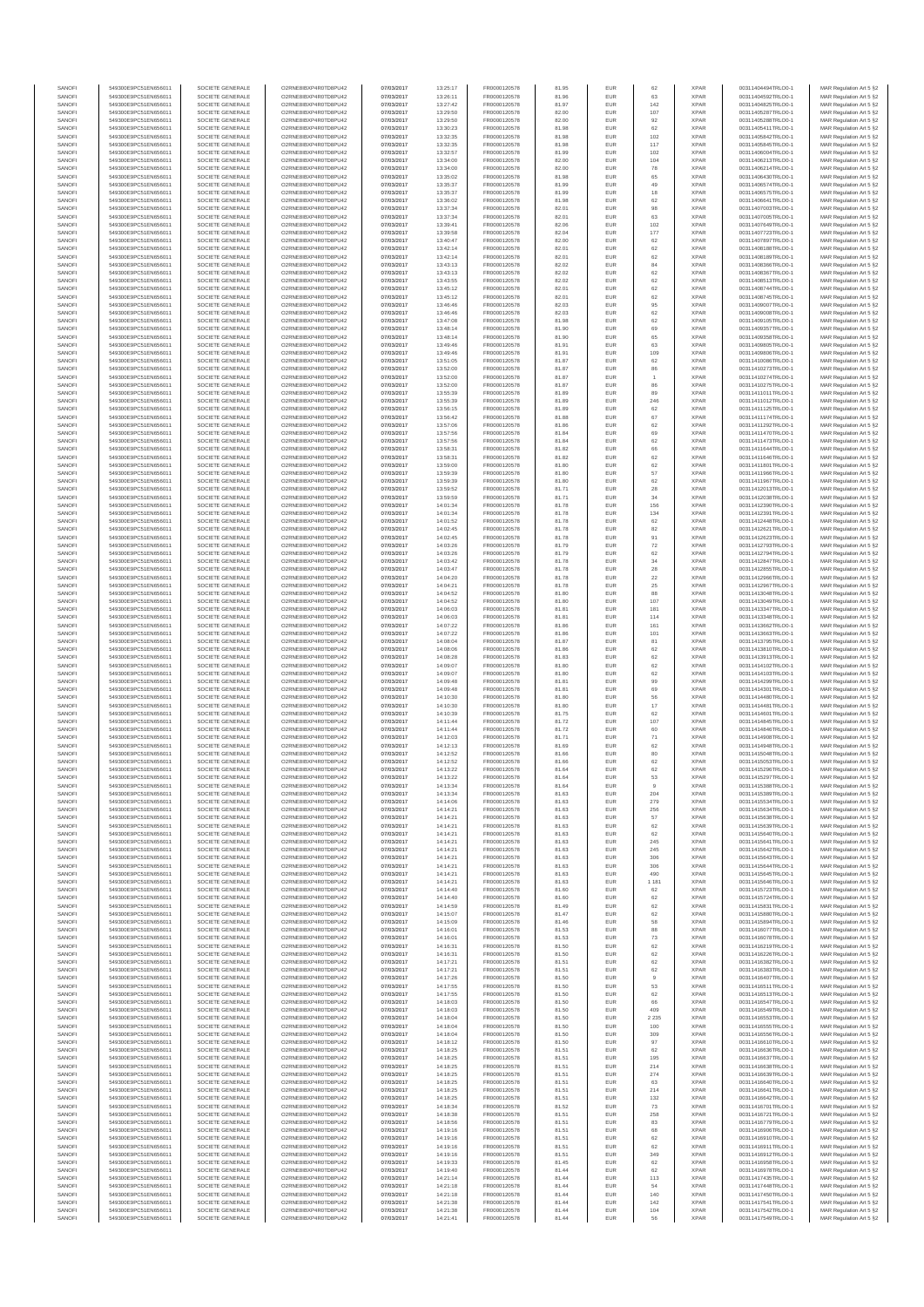| SANOFI           | 549300E9PC51EN656011                         | SOCIETE GENERALE                     | O2RNE8IBXP4R0TD8PU42                         | 07/03/2017               | 13:25:17             | FR0000120578                 | 81.95          | EUR               | 62                   | <b>XPAR</b>                | 00311404494TRLO0-1                       | MAR Regulation Art 5 §2                             |
|------------------|----------------------------------------------|--------------------------------------|----------------------------------------------|--------------------------|----------------------|------------------------------|----------------|-------------------|----------------------|----------------------------|------------------------------------------|-----------------------------------------------------|
| SANOFI<br>SANOFI | 549300E9PC51EN656011<br>549300E9PC51EN656011 | SOCIETE GENERALE<br>SOCIETE GENERALE | O2RNE8IBXP4R0TD8PU42<br>O2RNE8IBXP4R0TD8PU42 | 07/03/2017<br>07/03/2017 | 13:26:11<br>13:27:42 | FR0000120578<br>FR0000120578 | 81.96<br>81.97 | EUR<br><b>EUR</b> | 63<br>142            | <b>XPAR</b><br><b>XPAR</b> | 00311404592TRLO0-1<br>00311404825TRLO0-1 | MAR Regulation Art 5 §2<br>MAR Regulation Art 5 §2  |
| SANOFI           | 549300E9PC51EN656011                         | SOCIETE GENERALE                     |                                              | 07/03/2017               | 13:29:50             | FR0000120578                 | 82.00          | EUR               | 107                  | <b>XPAF</b>                | 00311405287TRLO0-1                       | MAR Regulation Art 5 §2                             |
| SANOFI<br>SANOFI | 549300E9PC51EN656011<br>549300E9PC51EN656011 | SOCIETE GENERALE<br>SOCIETE GENERALE | O2RNE8IBXP4R0TD8PU42<br>O2RNE8IBXP4R0TD8PU42 | 07/03/2017<br>07/03/2017 | 13:29:50<br>13:30:23 | FR0000120578<br>FR0000120578 | 82.00<br>81.98 | EUR<br>EUR        | 92<br>62             | <b>XPAR</b><br><b>XPAR</b> | 00311405288TRLO0-1<br>00311405411TRLO0-1 | MAR Regulation Art 5 §2<br>MAR Regulation Art 5 §2  |
| SANOFI           | 549300E9PC51EN656011                         | SOCIETE GENERALE                     | O2RNE8IBXP4R0TD8PU42                         | 07/03/2017               | 13:32:35             | FR0000120578                 | 81.98          | EUR               | 102                  | <b>XPAR</b>                | 00311405842TRLO0-1                       | MAR Regulation Art 5 §2                             |
| SANOFI           | 549300E9PC51EN656011                         | SOCIETE GENERALE                     | O2RNE8IBXP4R0TD8PU42                         | 07/03/2017               | 13:32:35             | FR0000120578                 | 81.98          | EUR               | 117                  | <b>XPAR</b>                | 00311405845TRLO0-1                       | MAR Regulation Art 5 §2                             |
| SANOFI<br>SANOFI | 549300E9PC51EN656011<br>549300E9PC51EN656011 | SOCIETE GENERALE<br>SOCIETE GENERALE | O2RNE8IBXP4R0TD8PU42<br>O2RNE8IBXP4R0TD8PU42 | 07/03/2017<br>07/03/2017 | 13:32:57<br>13:34:00 | FR0000120578<br>FR0000120578 | 81.99<br>82.00 | EUR<br>EUR        | 102<br>104           | <b>XPAR</b><br><b>XPAR</b> | 00311406004TRLO0-1<br>00311406213TRLO0-1 | MAR Regulation Art 5 §2<br>MAR Regulation Art 5 §2  |
| SANOFI           | 549300E9PC51EN656011                         | SOCIETE GENERALE                     | O2RNE8IBXP4R0TD8PU42                         | 07/03/2017               | 13:34:00             | FR0000120578                 | 82.00          | EUR               | 78                   | <b>XPAF</b>                | 00311406214TRLO0-1                       | MAR Regulation Art 5 §2                             |
| SANOFI<br>SANOFI | 549300E9PC51EN656011<br>549300E9PC51EN656011 | SOCIETE GENERALE<br>SOCIETE GENERALE | O2RNE8IBXP4R0TD8PU42<br>O2RNE8IBXP4R0TD8PU42 | 07/03/2017<br>07/03/2017 | 13:35:02<br>13:35:37 | FR0000120578<br>FR0000120578 | 81.98<br>81.99 | EUR<br>EUR        | 65<br>49             | <b>XPAR</b><br><b>XPAF</b> | 00311406430TRLO0-1<br>00311406574TRLO0-1 | MAR Regulation Art 5 \$2<br>MAR Regulation Art 5 §2 |
| SANOFI           | 549300E9PC51EN656011                         | SOCIETE GENERALE                     | O2RNE8IBXP4R0TD8PU42                         | 07/03/2017               | 13:35:37             | FR0000120578                 | 81.99          | EUR               | 18                   | <b>XPAR</b>                | 00311406575TRLO0-1                       | MAR Regulation Art 5 §2                             |
| SANOFI<br>SANOFI | 549300E9PC51EN656011<br>549300E9PC51EN656011 | SOCIETE GENERALE<br>SOCIETE GENERALE | O2RNE8IBXP4R0TD8PU42<br>O2RNE8IBXP4R0TD8PU42 | 07/03/2017<br>07/03/2017 | 13:36:02<br>13:37:34 | FR0000120578<br>FR0000120578 | 81.98<br>82.01 | EUR<br>EUR        | 62<br>98             | <b>XPAR</b><br><b>XPAR</b> | 00311406641TRLO0-1<br>00311407003TRLO0-1 | MAR Regulation Art 5 §2<br>MAR Regulation Art 5 §2  |
| SANOFI           | 549300E9PC51EN656011                         | SOCIETE GENERALE                     | O2RNE8IBXP4R0TD8PU42                         | 07/03/2017               | 13:37:34             | FR0000120578                 | 82.01          | EUR               | 63                   | <b>XPAR</b>                | 00311407005TRLO0-1                       | MAR Regulation Art 5 §2                             |
| SANOFI<br>SANOFI | 549300E9PC51EN656011<br>549300E9PC51EN656011 | SOCIETE GENERALE<br>SOCIETE GENERALE | O2RNE8IBXP4R0TD8PU42<br>O2RNE8IBXP4R0TD8PU42 | 07/03/2017<br>07/03/2017 | 13:39:41<br>13:39:58 | FR0000120578<br>FR0000120578 | 82.06<br>82.04 | EUR<br>EUR        | 102                  | <b>XPAR</b><br><b>XPAR</b> | 00311407649TRLO0-1<br>00311407723TRLO0-1 | MAR Regulation Art 5 §2                             |
| SANOFI           | 549300E9PC51EN656011                         | SOCIETE GENERALE                     | O2RNE8IBXP4R0TD8PU42                         | 07/03/2017               | 13:40:47             | FR0000120578                 | 82.00          | EUR               | 177<br>62            | <b>XPAF</b>                | 00311407897TRLO0-1                       | MAR Regulation Art 5 §2<br>MAR Regulation Art 5 §2  |
| SANOFI           | 549300E9PC51EN656011                         | SOCIETE GENERALE                     | O2RNE8IBXP4R0TD8PU42                         | 07/03/2017               | 13:42:14             | FR0000120578                 | 82.01          | EUR               | 62                   | <b>XPAR</b>                | 00311408188TRLO0-1                       | MAR Regulation Art 5 §2                             |
| SANOFI<br>SANOFI | 549300E9PC51EN656011<br>549300E9PC51EN656011 | SOCIETE GENERALE<br>SOCIETE GENERALE | O2RNE8IBXP4R0TD8PU42<br>O2RNE8IBXP4R0TD8PU42 | 07/03/2017<br>07/03/2017 | 13:42:14<br>13:43:13 | FR0000120578<br>FR0000120578 | 82.01<br>82.02 | EUR<br>EUR        | 62<br>84             | <b>XPAR</b><br><b>XPAR</b> | 00311408189TRLO0-1<br>00311408366TRLO0-1 | MAR Regulation Art 5 §2<br>MAR Regulation Art 5 §2  |
| SANOFI           | 549300E9PC51EN656011                         | SOCIETE GENERALE                     | O2RNE8IBXP4R0TD8PU42                         | 07/03/2017               | 13:43:13             | FR0000120578                 | 82.02          | EUR               | 62                   | <b>XPAR</b>                | 00311408367TRLO0-1                       | MAR Regulation Art 5 §2                             |
| SANOFI<br>SANOFI | 549300E9PC51EN656011<br>549300E9PC51EN656011 | SOCIETE GENERALE<br>SOCIETE GENERALE | O2RNE8IBXP4R0TD8PU42<br>O2RNE8IBXP4R0TD8PU42 | 07/03/2017<br>07/03/2017 | 13:43:55<br>13:45:12 | FR0000120578<br>FR0000120578 | 82.02<br>82.01 | EUR<br>EUR        | 62<br>62             | <b>XPAR</b><br><b>XPAR</b> | 00311408513TRLO0-1<br>00311408744TRLO0-1 | MAR Regulation Art 5 §2<br>MAR Regulation Art 5 §2  |
| SANOFI           | 549300E9PC51EN656011                         | SOCIETE GENERALE                     | O2RNE8IBXP4R0TD8PU42                         | 07/03/2017               | 13:45:12             | FR0000120578                 | 82.01          | EUR               | 62                   | <b>XPAR</b>                | 00311408745TRLO0-1                       | MAR Regulation Art 5 §2                             |
| SANOFI           | 549300E9PC51EN656011                         | SOCIETE GENERALE                     | O2RNE8IBXP4R0TD8PU42                         | 07/03/2017               | 13:46:46             | FR0000120578                 | 82.03          | EUR               | 95                   | <b>XPAR</b>                | 00311409007TRLO0-1                       | MAR Regulation Art 5 §2                             |
| SANOFI<br>SANOFI | 549300E9PC51EN656011<br>549300E9PC51EN656011 | SOCIETE GENERALE<br>SOCIETE GENERALE | O2RNE8IBXP4R0TD8PU42<br>O2RNE8IBXP4R0TD8PU42 | 07/03/2017<br>07/03/2017 | 13:46:46<br>13:47:08 | FR0000120578<br>FR0000120578 | 82.03<br>81.98 | EUR<br>EUR        | 62<br>62             | <b>XPAR</b><br><b>XPAR</b> | 00311409008TRLO0-1<br>00311409105TRLO0-1 | MAR Regulation Art 5 §2<br>MAR Regulation Art 5 §2  |
| SANOFI           | 549300E9PC51EN656011                         | SOCIETE GENERALE                     | O2RNE8IBXP4R0TD8PU42                         | 07/03/2017               | 13:48:14             | FR0000120578                 | 81.90          | EUR               | 69                   | <b>XPAF</b>                | 00311409357TRLO0-1                       | MAR Regulation Art 5 §2                             |
| SANOFI<br>SANOFI | 549300E9PC51EN656011<br>549300E9PC51EN656011 | SOCIETE GENERALE<br>SOCIETE GENERALE | O2RNE8IBXP4R0TD8PU42<br>O2RNE8IBXP4R0TD8PU42 | 07/03/2017<br>07/03/2017 | 13:48:14<br>13:49:46 | FR0000120578<br>FR0000120578 | 81.90<br>81.91 | EUR<br>EUR        | 65<br>63             | <b>XPAR</b><br><b>XPAR</b> | 00311409358TRLO0-1<br>00311409805TRLO0-1 | MAR Regulation Art 5 §2<br>MAR Regulation Art 5 §2  |
| SANOFI           | 549300E9PC51EN656011                         | SOCIETE GENERALE                     | O2RNE8IBXP4R0TD8PU42                         | 07/03/2017               | 13:49:46             | FR0000120578                 | 81.91          | EUR               | 109                  | <b>XPAR</b>                | 00311409806TRLO0-1                       | MAR Regulation Art 5 §2                             |
| SANOFI<br>SANOFI | 549300E9PC51EN656011<br>549300E9PC51EN656011 | SOCIETE GENERALE<br>SOCIETE GENERALE | O2RNE8IBXP4R0TD8PU42<br>O2RNE8IBXP4R0TD8PU42 | 07/03/2017<br>07/03/2017 | 13:51:05<br>13:52:00 | FR0000120578<br>FR0000120578 | 81.87<br>81.87 | EUR<br>EUR        | 62<br>86             | <b>XPAR</b><br><b>XPAR</b> | 00311410086TRLO0-1<br>00311410273TRLO0-1 | MAR Regulation Art 5 §2<br>MAR Regulation Art 5 §2  |
| SANOFI           | 549300E9PC51EN656011                         | SOCIETE GENERALE                     | O2RNE8IBXP4R0TD8PU42                         | 07/03/2017               | 13:52:00             | FR0000120578                 | 81.87          | EUR               | $\overline{1}$       | <b>XPAR</b>                | 00311410274TRLO0-1                       | MAR Regulation Art 5 §2                             |
| SANOFI           | 549300E9PC51EN656011                         | SOCIETE GENERALE                     | O2RNE8IBXP4R0TD8PU42                         | 07/03/2017               | 13:52:00             | FR0000120578<br>FR0000120578 | 81.87          | EUR               | 86                   | <b>XPAR</b>                | 00311410275TRLO0-1                       | MAR Regulation Art 5 §2                             |
| SANOFI<br>SANOFI | 549300E9PC51EN656011<br>549300E9PC51EN656011 | SOCIETE GENERALE<br>SOCIETE GENERALE | O2RNE8IBXP4R0TD8PU42<br>O2RNE8IBXP4R0TD8PU42 | 07/03/2017<br>07/03/2017 | 13:55:39<br>13:55:39 | FR0000120578                 | 81.89<br>81.89 | EUR<br>EUR        | 89<br>246            | <b>XPAR</b><br><b>XPAR</b> | 00311411011TRLO0-1<br>00311411012TRLO0-1 | MAR Regulation Art 5 §2<br>MAR Regulation Art 5 §2  |
| SANOFI           | 549300E9PC51EN656011                         | SOCIETE GENERALE                     | O2RNE8IBXP4R0TD8PU42                         | 07/03/2017               | 13:56:15             | FR0000120578                 | 81.89          | EUR               | 62                   | <b>XPAR</b>                | 00311411125TRLO0-1                       | MAR Regulation Art 5 §2                             |
| SANOFI<br>SANOFI | 549300E9PC51EN656011<br>549300E9PC51EN656011 | SOCIETE GENERALE<br>SOCIETE GENERALE | O2RNE8IBXP4R0TD8PU42<br>O2RNE8IBXP4R0TD8PU42 | 07/03/2017<br>07/03/2017 | 13:56:42<br>13:57:06 | FR0000120578<br>FR0000120578 | 81.88<br>81.86 | EUR<br>EUR        | 67<br>62             | <b>XPAR</b><br><b>XPAR</b> | 00311411174TRLO0-1<br>00311411292TRLO0-1 | MAR Regulation Art 5 §2<br>MAR Regulation Art 5 §2  |
| SANOFI           | 549300E9PC51EN656011                         | SOCIETE GENERALE                     | O2RNE8IBXP4R0TD8PU42                         | 07/03/2017               | 13:57:56             | FR0000120578                 | 81.84          | EUR               | 69                   | <b>XPAR</b>                | 00311411470TRLO0-1                       | MAR Regulation Art 5 §2                             |
| SANOFI<br>SANOFI | 549300E9PC51EN656011<br>549300E9PC51EN656011 | SOCIETE GENERALE<br>SOCIETE GENERALE | O2RNE8IBXP4R0TD8PU42<br>O2RNE8IBXP4R0TD8PU42 | 07/03/2017<br>07/03/2017 | 13:57:56<br>13:58:31 | FR0000120578<br>FR0000120578 | 81.84<br>81.82 | EUR<br>EUR        | 62<br>66             | <b>XPAR</b><br><b>XPAR</b> | 00311411473TRLO0-1<br>00311411644TRLO0-1 | MAR Regulation Art 5 §2<br>MAR Regulation Art 5 §2  |
| SANOFI           | 549300E9PC51EN656011                         | SOCIETE GENERALE                     | O2RNE8IBXP4R0TD8PU42                         | 07/03/2017               | 13:58:31             | FR0000120578                 | 81.82          | EUR               | 62                   | <b>XPAF</b>                | 00311411646TRLO0-1                       | MAR Regulation Art 5 §2                             |
| SANOFI           | 549300E9PC51EN656011                         | SOCIETE GENERALE                     | O2RNE8IBXP4R0TD8PU42<br>O2RNE8IBXP4R0TD8PU42 | 07/03/2017               | 13:59:00             | FR0000120578                 | 81.80          | EUR               | 62                   | <b>XPAR</b>                | 00311411801TRLO0-1                       | MAR Regulation Art 5 §2                             |
| SANOFI<br>SANOFI | 549300E9PC51EN656011<br>549300E9PC51EN656011 | SOCIETE GENERALE<br>SOCIETE GENERALE | O2RNE8IBXP4R0TD8PU42                         | 07/03/2017<br>07/03/2017 | 13:59:39<br>13:59:39 | FR0000120578<br>FR0000120578 | 81.80<br>81.80 | EUR<br>EUR        | 57<br>62             | <b>XPAR</b><br><b>XPAR</b> | 00311411966TRLO0-1<br>00311411967TRLO0-1 | MAR Regulation Art 5 §2<br>MAR Regulation Art 5 §2  |
| SANOFI           | 549300E9PC51EN656011                         | SOCIETE GENERALE                     | O2RNE8IBXP4R0TD8PU42                         | 07/03/2017               | 13:59:52             | FR0000120578                 | 81.71          | EUR               | ${\bf 28}$           | <b>XPAR</b>                | 00311412013TRLO0-1                       | MAR Regulation Art 5 §2                             |
| SANOFI<br>SANOFI | 549300E9PC51EN656011<br>549300E9PC51EN656011 | SOCIETE GENERALE<br>SOCIETE GENERALE | O2RNE8IBXP4R0TD8PU42<br>O2RNE8IBXP4R0TD8PU42 | 07/03/2017<br>07/03/2017 | 13:59:59<br>14:01:34 | FR0000120578<br>FR0000120578 | 81.71<br>81.78 | EUR<br>EUR        | 34<br>156            | <b>XPAR</b><br><b>XPAR</b> | 00311412038TRLO0-1<br>00311412390TRLO0-1 | MAR Regulation Art 5 §2<br>MAR Regulation Art 5 §2  |
| SANOFI           | 549300E9PC51EN656011                         | SOCIETE GENERALE                     | O2RNE8IBXP4R0TD8PU42                         | 07/03/2017               | 14:01:34             | FR0000120578                 | 81.78          | EUR               | 134                  | <b>XPAF</b>                | 00311412391TRLO0-1                       | MAR Regulation Art 5 §2                             |
| SANOFI<br>SANOFI | 549300E9PC51EN656011<br>549300E9PC51EN656011 | SOCIETE GENERALE<br>SOCIETE GENERALE | O2RNE8IBXP4R0TD8PU42<br>O2RNE8IBXP4R0TD8PU42 | 07/03/2017<br>07/03/2017 | 14:01:52<br>14:02:45 | FR0000120578<br>FR0000120578 | 81.78<br>81.78 | EUR<br>EUR        | 62<br>82             | <b>XPAR</b><br><b>XPAF</b> | 00311412448TRLO0-1<br>00311412621TRLO0-1 | MAR Regulation Art 5 §2                             |
| SANOFI           | 549300E9PC51EN656011                         | SOCIETE GENERALE                     | O2RNE8IBXP4R0TD8PU42                         | 07/03/2017               | 14:02:45             | FR0000120578                 | 81.78          | EUR               | 91                   | <b>XPAR</b>                | 00311412623TRLO0-1                       | MAR Regulation Art 5 §2<br>MAR Regulation Art 5 §2  |
| SANOFI           | 549300E9PC51EN656011                         | SOCIETE GENERALE                     | O2RNE8IBXP4R0TD8PU42                         | 07/03/2017               | 14:03:26             | FR0000120578                 | 81.79          | EUR               | 72                   | <b>XPAR</b>                | 00311412793TRLO0-1                       | MAR Regulation Art 5 §2                             |
| SANOFI<br>SANOFI | 549300E9PC51EN656011<br>549300E9PC51EN656011 | SOCIETE GENERALE<br>SOCIETE GENERALE | O2RNE8IBXP4R0TD8PU42<br>O2RNE8IBXP4R0TD8PU42 | 07/03/2017<br>07/03/2017 | 14:03:26<br>14:03:42 | FR0000120578<br>FR0000120578 | 81.79<br>81.78 | EUR<br>EUR        | 62<br>$34\,$         | <b>XPAR</b><br><b>XPAR</b> | 00311412794TRLO0-1<br>00311412847TRLO0-1 | MAR Regulation Art 5 §2<br>MAR Regulation Art 5 §2  |
| SANOFI           | 549300E9PC51EN656011                         | SOCIETE GENERALE                     | O2RNE8IBXP4R0TD8PU42                         | 07/03/2017               | 14:03:47             | FR0000120578                 | 81.78          | EUR               | $\sqrt{28}$          | <b>XPAR</b>                | 00311412855TRLO0-1                       | MAR Regulation Art 5 §2                             |
| SANOFI<br>SANOFI | 549300E9PC51EN656011<br>549300E9PC51EN656011 | SOCIETE GENERALE<br>SOCIETE GENERALE | O2RNE8IBXP4R0TD8PU42<br>O2RNE8IBXP4R0TD8PU42 | 07/03/2017<br>07/03/2017 | 14:04:20<br>14:04:21 | FR0000120578<br>FR0000120578 | 81.78<br>81.78 | EUR<br>EUR        | 22<br>25             | <b>XPAR</b><br><b>XPAR</b> | 00311412966TRLO0-1<br>00311412967TRLO0-1 | MAR Regulation Art 5 §2<br>MAR Regulation Art 5 §2  |
| SANOFI           | 549300E9PC51EN656011                         | SOCIETE GENERALE                     | O2RNE8IBXP4R0TD8PU42                         | 07/03/2017               | 14:04:52             | FR0000120578                 | 81.80          | EUR               | 88                   | <b>XPAR</b>                | 00311413048TRLO0-1                       | MAR Regulation Art 5 §2                             |
| SANOFI           | 549300E9PC51EN656011                         | SOCIETE GENERALE                     | O2RNE8IBXP4R0TD8PU42<br>O2RNE8IBXP4R0TD8PU42 | 07/03/2017               | 14:04:52             | FR0000120578                 | 81.80          | EUR               | 107<br>181           | <b>XPAR</b><br><b>XPAR</b> | 00311413049TRLO0-1                       | MAR Regulation Art 5 §2<br>MAR Regulation Art 5 §2  |
| SANOFI<br>SANOFI | 549300E9PC51EN656011<br>549300E9PC51EN656011 | SOCIETE GENERALE<br>SOCIETE GENERALE | O2RNE8IBXP4R0TD8PU42                         | 07/03/2017<br>07/03/2017 | 14:06:03<br>14:06:03 | FR0000120578<br>FR0000120578 | 81.81<br>81.81 | EUR<br>EUR        | 114                  | <b>XPAR</b>                | 00311413347TRLO0-1<br>00311413348TRLO0-1 | MAR Regulation Art 5 §2                             |
| SANOFI           | 549300E9PC51EN656011                         | SOCIETE GENERALE                     | O2RNE8IBXP4R0TD8PU42                         | 07/03/2017               | 14:07:22             | FR0000120578                 | 81.86          | EUR               | 161                  | <b>XPAR</b>                | 00311413662TRLO0-1                       | MAR Regulation Art 5 §2                             |
| SANOFI<br>SANOFI | 549300E9PC51EN656011<br>549300E9PC51EN656011 | SOCIETE GENERALE<br>SOCIETE GENERALE | O2RNE8IBXP4R0TD8PU42<br>O2RNE8IBXP4R0TD8PU42 | 07/03/2017<br>07/03/2017 | 14:07:22<br>14:08:04 | FR0000120578<br>FR0000120578 | 81.86<br>81.87 | EUR<br>EUR        | 101<br>81            | <b>XPAR</b><br><b>XPAF</b> | 00311413663TRLO0-1<br>00311413795TRLO0-1 | MAR Regulation Art 5 §2<br>MAR Regulation Art 5 §2  |
| SANOFI           | 549300E9PC51EN656011                         | SOCIETE GENERALE                     | O2RNE8IBXP4R0TD8PU42                         | 07/03/2017               | 14:08:06             | FR0000120578                 | 81.86          | EUR               | 62                   | <b>XPAR</b>                | 00311413810TRLO0-1                       | MAR Regulation Art 5 §2                             |
| SANOFI<br>SANOFI | 549300E9PC51EN656011<br>549300E9PC51EN656011 | SOCIETE GENERALE<br>SOCIETE GENERALE | O2RNE8IBXP4R0TD8PU42<br>O2RNE8IBXP4R0TD8PU42 | 07/03/2017<br>07/03/2017 | 14:08:28<br>14:09:07 | FR0000120578<br>FR0000120578 | 81.83<br>81.80 | EUR<br>EUR        | 62<br>62             | <b>XPAR</b><br><b>XPAR</b> | 00311413913TRLO0-1<br>00311414102TRLO0-1 | MAR Regulation Art 5 §2<br>MAR Regulation Art 5 §2  |
| SANOFI           | 549300E9PC51EN656011                         | SOCIETE GENERALE                     | O2RNE8IBXP4R0TD8PU42                         | 07/03/2017               | 14:09:07             | FR0000120578                 | 81.80          | EUR               | 62                   | <b>XPAR</b>                | 00311414103TRLO0-1                       | MAR Regulation Art 5 §2                             |
| SANOFI           | 549300E9PC51EN656011                         | SOCIETE GENERALE                     | O2RNE8IBXP4R0TD8PU42<br>O2RNE8IBXP4R0TD8PU42 | 07/03/2017               | 14:09:48             | FR0000120578                 | 81.81          | EUR               | 99                   | <b>XPAR</b>                | 00311414299TRLO0-1                       | MAR Regulation Art 5 §2                             |
| SANOFI<br>SANOFI | 549300E9PC51EN656011<br>549300E9PC51EN656011 | SOCIETE GENERALE<br>SOCIETE GENERALE | O2RNE8IBXP4R0TD8PLI42                        | 07/03/2017<br>07/03/2017 | 14:09:48<br>14:10:30 | FR0000120578<br>FR0000120578 | 81.81<br>81.80 | EUR<br>EUR        | 69<br>56             | <b>XPAR</b><br><b>XPAR</b> | 00311414301TRLO0-1<br>00311414480TRLO0-1 | MAR Regulation Art 5 §2<br>MAR Regulation Art 5 §2  |
| SANOFI           | 549300E9PC51EN656011                         | SOCIETE GENERALE                     | O2RNE8IBXP4R0TD8PU42                         | 07/03/2017               | 14:10:30             | FR0000120578                 | 81.80          | EUR               | $17\,$               | <b>XPAR</b>                | 00311414481TRLO0-1                       | MAR Regulation Art 5 §2                             |
| SANOFI<br>SANOFI | 549300E9PC51EN656011<br>549300E9PC51EN656011 | SOCIETE GENERALE<br>SOCIETE GENERALE | O2RNE8IBXP4R0TD8PU42<br>O2RNE8IBXP4R0TD8PU42 | 07/03/2017<br>07/03/2017 | 14:10:39<br>14:11:44 | FR0000120578<br>FR0000120578 | 81.75<br>81.72 | EUR<br>EUR        | 62<br>107            | <b>XPAR</b><br><b>XPAR</b> | 00311414601TRLO0-1<br>00311414845TRLO0-1 | MAR Regulation Art 5 §2<br>MAR Regulation Art 5 §2  |
| SANOFI           | 549300E9PC51EN656011                         | SOCIETE GENERALE                     | O2RNE8IBXP4R0TD8PU42                         | 07/03/2017               | 14:11:44             | FR0000120578                 | 81.72          | EUR               | 60                   | <b>XPAR</b>                | 00311414846TRLO0-1                       | MAR Regulation Art 5 §2                             |
| SANOFI<br>SANOFI | 549300E9PC51EN656011<br>549300E9PC51EN656011 | SOCIETE GENERALE<br>SOCIETE GENERALE | O2RNE8IBXP4R0TD8PU42<br>O2RNE8IBXP4R0TD8PU42 | 07/03/2017<br>07/03/2017 | 14:12:03             | FR0000120578<br>FR0000120578 | 81.71<br>81.69 | EUR<br>EUR        | 71                   | <b>XPAR</b><br><b>XPAR</b> | 00311414908TRLO0-1<br>00311414948TRLO0-1 | MAR Regulation Art 5 §2<br>MAR Regulation Art 5 §2  |
| SANOFI           | 549300E9PC51EN656011                         | SOCIETE GENERALE                     | O2RNE8IBXP4R0TD8PU42                         | 07/03/2017               | 14:12:13<br>14:12:52 | FR0000120578                 | 81.66          | EUR               | 62<br>80             | <b>XPAR</b>                | 00311415048TRLO0-1                       | MAR Regulation Art 5 §2                             |
| SANOFI           | 549300E9PC51EN656011                         | SOCIETE GENERALE                     | O2RNE8IBXP4R0TD8PU42                         | 07/03/2017               | 14:12:52             | FR0000120578                 | 81.66          | EUR               | 62                   | <b>XPAR</b>                | 00311415053TRLO0-1                       | MAR Regulation Art 5 §2                             |
| SANOFI<br>SANOFI | 549300E9PC51EN656011<br>549300E9PC51EN656011 | SOCIETE GENERALE<br>SOCIETE GENERALE | O2RNE8IBXP4R0TD8PU42<br>O2RNE8IBXP4R0TD8PU42 | 07/03/2017<br>07/03/2017 | 14:13:22<br>14:13:22 | FR0000120578<br>FR0000120578 | 81.64<br>81.64 | EUR<br><b>EUR</b> | 62<br>53             | <b>XPAR</b><br><b>XPAR</b> | 00311415296TRLO0-1<br>00311415297TRLO0-1 | MAR Regulation Art 5 §2<br>MAR Regulation Art 5 §2  |
| SANOF            | 549300E9PC51EN656011                         | SOCIETE GENERALE                     | O2RNE8IBXP4R0TD8PU42                         | 07/03/2017               | 14:13:34             | FR0000120578                 | 81.64          |                   |                      | <b>XPAF</b>                | 00311415388TRLO0-1                       | MAR Regulation Art 5 §2                             |
| SANOFI<br>SANOFI | 549300E9PC51EN656011<br>549300E9PC51EN656011 | SOCIETE GENERALE<br>SOCIETE GENERALE | O2RNE8IBXP4R0TD8PU42<br>O2RNE8IBXP4R0TD8PU42 | 07/03/2017<br>07/03/2017 | 14:13:34<br>14:14:06 | FR0000120578<br>FR0000120578 | 81.63<br>81.63 | <b>EUR</b><br>EUR | 204<br>279           | <b>XPAR</b><br><b>XPAR</b> | 00311415389TRLO0-1<br>00311415534TRLO0-1 | MAR Regulation Art 5 §2<br>MAR Regulation Art 5 §2  |
| SANOFI           | 549300E9PC51EN656011                         | SOCIETE GENERALE                     | O2RNE8IBXP4R0TD8PU42                         | 07/03/2017               | 14:14:21             | FR0000120578                 | 81.63          | <b>EUR</b>        | 256                  | <b>XPAR</b>                | 00311415634TRLO0-1                       | MAR Regulation Art 5 §2                             |
| SANOFI<br>SANOFI | 549300E9PC51EN656011<br>549300E9PC51EN656011 | SOCIETE GENERALE<br>SOCIETE GENERALE | O2RNE8IBXP4R0TD8PU42<br>O2RNE8IBXP4R0TD8PU42 | 07/03/2017<br>07/03/2017 | 14:14:21<br>14:14:21 | FR0000120578<br>FR0000120578 | 81.63<br>81.63 | EUR<br>EUR        | 57<br>62             | <b>XPAR</b><br><b>XPAR</b> | 00311415638TRLO0-1<br>00311415639TRLO0-1 | MAR Regulation Art 5 §2<br>MAR Regulation Art 5 §2  |
| SANOFI           | 549300E9PC51EN656011                         | SOCIETE GENERALE                     | O2RNE8IBXP4R0TD8PU42                         | 07/03/2017               | 14:14:21             | FR0000120578                 | 81.63          | EUR               | 62                   | <b>XPAR</b>                | 00311415640TRLO0-1                       | MAR Regulation Art 5 §2                             |
| SANOFI           | 549300E9PC51EN656011                         | SOCIETE GENERALE                     | O2RNE8IBXP4R0TD8PU42                         | 07/03/2017               | 14:14:21             | FR0000120578                 | 81.63          | EUR               | 245                  | <b>XPAR</b>                | 00311415641TRLO0-1                       | MAR Regulation Art 5 §2                             |
| SANOFI<br>SANOFI | 549300E9PC51EN656011<br>549300E9PC51EN656011 | SOCIETE GENERALE<br>SOCIETE GENERALE | O2RNE8IBXP4R0TD8PU42<br>O2RNE8IBXP4R0TD8PU42 | 07/03/2017<br>07/03/2017 | 14:14:21<br>14:14:21 | FR0000120578<br>FR0000120578 | 81.63<br>81.63 | <b>EUR</b><br>EUR | 245<br>306           | <b>XPAR</b><br><b>XPAR</b> | 00311415642TRLO0-1<br>00311415643TRLO0-1 | MAR Regulation Art 5 §2<br>MAR Regulation Art 5 §2  |
| SANOFI           | 549300E9PC51EN656011                         | SOCIETE GENERALE                     | O2RNE8IBXP4R0TD8PU42                         | 07/03/2017               | 14:14:21             | FR0000120578                 | 81.63          | <b>EUR</b>        | 306                  | <b>XPAR</b>                | 00311415644TRLO0-1                       | MAR Regulation Art 5 §2                             |
| SANOFI<br>SANOFI | 549300E9PC51EN656011<br>549300E9PC51EN656011 | SOCIETE GENERALE<br>SOCIETE GENERALE | O2RNE8IBXP4R0TD8PU42<br>O2RNE8IBXP4R0TD8PU42 | 07/03/2017<br>07/03/2017 | 14:14:21<br>14:14:21 | FR0000120578<br>FR0000120578 | 81.63<br>81.63 | EUR<br>EUR        | 490<br>1 1 8 1       | <b>XPAR</b><br><b>XPAR</b> | 00311415645TRLO0-1<br>00311415646TRLO0-1 | MAR Regulation Art 5 §2<br>MAR Regulation Art 5 §2  |
| SANOFI           | 549300E9PC51EN656011                         | SOCIETE GENERALE                     | O2RNE8IBXP4R0TD8PU42                         | 07/03/2017               | 14:14:40             | FR0000120578                 | 81.60          | EUR               | 62                   | <b>XPAR</b>                | 00311415723TRLO0-1                       | MAR Regulation Art 5 §2                             |
| SANOFI<br>SANOFI | 549300E9PC51EN656011<br>549300E9PC51EN656011 | SOCIETE GENERALE<br>SOCIETE GENERALE | O2RNE8IBXP4R0TD8PU42<br>O2RNE8IBXP4R0TD8PU42 | 07/03/2017<br>07/03/2017 | 14:14:40<br>14:14:59 | FR0000120578<br>FR0000120578 | 81.60<br>81.49 | EUR<br>EUR        | 62<br>62             | <b>XPAR</b><br><b>XPAR</b> | 00311415724TRLO0-1<br>00311415831TRLO0-1 | MAR Regulation Art 5 §2<br>MAR Regulation Art 5 §2  |
| SANOFI           | 549300E9PC51EN656011                         | SOCIETE GENERALE                     | O2RNE8IBXP4R0TD8PU42                         | 07/03/2017               | 14:15:07             | FR0000120578                 | 81.47          | EUR               | 62                   | <b>XPAR</b>                | 00311415880TRLO0-1                       | MAR Regulation Art 5 §2                             |
| SANOFI<br>SANOFI | 549300E9PC51EN656011<br>549300E9PC51EN656011 | SOCIETE GENERALE<br>SOCIETE GENERALE | O2RNE8IBXP4R0TD8PU42<br>O2RNE8IBXP4R0TD8PU42 | 07/03/2017<br>07/03/2017 | 14:15:09<br>14:16:01 | FR0000120578<br>FR0000120578 | 81.46<br>81.53 | <b>EUR</b><br>EUR | 58<br>88             | <b>XPAR</b><br><b>XPAR</b> | 00311415894TRLO0-1<br>00311416077TRLO0-1 | MAR Regulation Art 5 §2                             |
| SANOFI           | 549300E9PC51EN656011                         | SOCIETE GENERALE                     | O2RNE8IBXP4R0TD8PU42                         | 07/03/2017               | 14:16:01             | FR0000120578                 | 81.53          | EUR               | 73                   | <b>XPAR</b>                | 00311416078TRLO0-1                       | MAR Regulation Art 5 §2<br>MAR Regulation Art 5 §2  |
| SANOFI<br>SANOFI | 549300E9PC51EN656011<br>549300E9PC51EN656011 | SOCIETE GENERALE<br>SOCIETE GENERALE | O2RNE8IBXP4R0TD8PU42<br>O2RNE8IBXP4R0TD8PU42 | 07/03/2017<br>07/03/2017 | 14:16:31<br>14:16:31 | FR0000120578<br>FR0000120578 | 81.50<br>81.50 | EUR<br>EUR        | 62<br>62             | <b>XPAR</b><br><b>XPAR</b> | 00311416219TRLO0-1<br>00311416226TRLO0-1 | MAR Regulation Art 5 §2<br>MAR Regulation Art 5 §2  |
| SANOFI           | 549300E9PC51EN656011                         | SOCIETE GENERALE                     | O2RNE8IBXP4R0TD8PU42                         | 07/03/2017               | 14:17:21             | FR0000120578                 | 81.51          | EUR               | 62                   | <b>XPAR</b>                | 00311416382TRLO0-1                       | MAR Regulation Art 5 §2                             |
| SANOFI           | 549300E9PC51EN656011                         | SOCIETE GENERALE                     | O2RNE8IBXP4R0TD8PU42                         | 07/03/2017               | 14:17:21             | FR0000120578                 | 81.51          | EUR               | $62\,$               | XPAR                       | 00311416383TRLO0-1                       | MAR Regulation Art 5 §2                             |
| SANOFI<br>SANOFI | 549300E9PC51EN656011<br>549300E9PC51EN656011 | SOCIETE GENERALE<br>SOCIETE GENERALE | O2RNE8IBXP4R0TD8PU42<br>O2RNE8IBXP4R0TD8PU42 | 07/03/2017<br>07/03/2017 | 14:17:26<br>14:17:55 | FR0000120578<br>FR0000120578 | 81.50<br>81.50 | EUR<br>EUR        | $\overline{9}$<br>53 | <b>XPAR</b><br><b>XPAR</b> | 00311416407TRLO0-1<br>00311416511TRLO0-1 | MAR Regulation Art 5 §2<br>MAR Regulation Art 5 §2  |
| SANOFI           | 549300E9PC51EN656011                         | SOCIETE GENERALE                     | O2RNE8IBXP4R0TD8PU42                         | 07/03/2017               | 14:17:55             | FR0000120578                 | 81.50          | <b>EUR</b>        | 62                   | <b>XPAR</b>                | 00311416513TRLO0-1                       | MAR Regulation Art 5 §2                             |
| SANOFI<br>SANOFI | 549300E9PC51EN656011<br>549300E9PC51EN656011 | SOCIETE GENERALE<br>SOCIETE GENERALE | O2RNE8IBXP4R0TD8PU42<br>O2RNE8IBXP4R0TD8PU42 | 07/03/2017<br>07/03/2017 | 14:18:03<br>14:18:03 | FR0000120578<br>FR0000120578 | 81.50<br>81.50 | EUR<br><b>EUR</b> | 66<br>409            | <b>XPAR</b><br><b>XPAR</b> | 00311416547TRLO0-1<br>00311416549TRLO0-1 | MAR Regulation Art 5 §2                             |
| SANOFI           | 549300E9PC51EN656011                         | SOCIETE GENERALE                     | O2RNE8IBXP4R0TD8PU42                         | 07/03/2017               | 14:18:04             | FR0000120578                 | 81.50          | EUR               | 2 2 3 5              | <b>XPAR</b>                | 00311416553TRLO0-1                       | MAR Regulation Art 5 §2<br>MAR Regulation Art 5 §2  |
| SANOFI<br>SANOFI | 549300E9PC51EN656011                         | SOCIETE GENERALE<br>SOCIETE GENERALE | O2RNE8IBXP4R0TD8PU42<br>O2RNE8IBXP4R0TD8PU42 | 07/03/2017<br>07/03/2017 | 14:18:04<br>14:18:04 | FR0000120578<br>FR0000120578 | 81.50<br>81.50 | EUR<br>EUR        | 100                  | <b>XPAR</b><br><b>XPAR</b> | 00311416555TRLO0-1<br>00311416556TRLO0-1 | MAR Regulation Art 5 §2                             |
| SANOFI           | 549300E9PC51EN656011<br>549300E9PC51EN656011 | SOCIETE GENERALE                     | O2RNE8IBXP4R0TD8PU42                         | 07/03/2017               | 14:18:12             | FR0000120578                 | 81.50          | EUR               | 309<br>97            | <b>XPAR</b>                | 00311416610TRLO0-1                       | MAR Regulation Art 5 §2<br>MAR Regulation Art 5 §2  |
| SANOFI           | 549300E9PC51EN656011                         | SOCIETE GENERALE                     | O2RNE8IBXP4R0TD8PU42                         | 07/03/2017               | 14:18:25             | FR0000120578                 | 81.51          | <b>EUR</b>        | 62                   | <b>XPAR</b>                | 00311416636TRLO0-1                       | MAR Regulation Art 5 §2                             |
| SANOFI<br>SANOFI | 549300E9PC51EN656011<br>549300E9PC51EN656011 | SOCIETE GENERALE<br>SOCIETE GENERALE | O2RNE8IBXP4R0TD8PU42<br>O2RNE8IBXP4R0TD8PU42 | 07/03/2017<br>07/03/2017 | 14:18:25<br>14:18:25 | FR0000120578<br>FR0000120578 | 81.51<br>81.51 | EUR<br><b>EUR</b> | 195<br>214           | <b>XPAR</b><br><b>XPAR</b> | 00311416637TRLO0-1<br>00311416638TRLO0-1 | MAR Regulation Art 5 §2<br>MAR Regulation Art 5 §2  |
| SANOFI           | 549300E9PC51EN656011                         | SOCIETE GENERALE                     | O2RNE8IBXP4R0TD8PU42                         | 07/03/2017               | 14:18:25             | FR0000120578                 | 81.51          | EUR               | 274                  | <b>XPAR</b>                | 00311416639TRLO0-1                       | MAR Regulation Art 5 §2                             |
| SANOFI<br>SANOFI | 549300E9PC51EN656011<br>549300E9PC51EN656011 | SOCIETE GENERALE<br>SOCIETE GENERALE | O2RNE8IBXP4R0TD8PU42<br>O2RNE8IBXP4R0TD8PU42 | 07/03/2017<br>07/03/2017 | 14:18:25<br>14:18:25 | FR0000120578<br>FR0000120578 | 81.51<br>81.51 | <b>EUR</b><br>EUR | 63<br>214            | <b>XPAR</b><br><b>XPAR</b> | 00311416640TRLO0-1<br>00311416641TRLO0-1 | MAR Regulation Art 5 §2<br>MAR Regulation Art 5 §2  |
| SANOFI           | 549300E9PC51EN656011                         | SOCIETE GENERALE                     | O2RNE8IBXP4R0TD8PU42                         | 07/03/2017               | 14:18:25             | FR0000120578                 | 81.51          | EUR               | 132                  | <b>XPAR</b>                | 00311416642TRLO0-1                       | MAR Regulation Art 5 §2                             |
| SANOFI           | 549300E9PC51EN656011                         | SOCIETE GENERALE                     | O2RNE8IBXP4R0TD8PU42                         | 07/03/2017               | 14:18:34             | FR0000120578                 | 81.52<br>81.51 | EUR               | 73                   | <b>XPAR</b>                | 00311416701TRLO0-1                       | MAR Regulation Art 5 §2                             |
| SANOFI<br>SANOFI | 549300E9PC51EN656011<br>549300E9PC51EN656011 | SOCIETE GENERALE<br>SOCIETE GENERALE | O2RNE8IBXP4R0TD8PU42<br>O2RNE8IBXP4R0TD8PU42 | 07/03/2017<br>07/03/2017 | 14:18:38<br>14:18:56 | FR0000120578<br>FR0000120578 | 81.51          | EUR<br><b>EUR</b> | 258<br>83            | XPAR<br><b>XPAR</b>        | 00311416721TRLO0-1<br>00311416779TRLO0-1 | MAR Regulation Art 5 §2<br>MAR Regulation Art 5 §2  |
| SANOFI           | 549300E9PC51EN656011                         | SOCIETE GENERALE                     | O2RNE8IBXP4R0TD8PU42                         | 07/03/2017               | 14:19:16             | FR0000120578                 | 81.51          | EUR               | 68                   | <b>XPAR</b>                | 00311416906TRLO0-1                       | MAR Regulation Art 5 §2                             |
| SANOFI<br>SANOFI | 549300E9PC51EN656011<br>549300E9PC51EN656011 | SOCIETE GENERALE<br>SOCIETE GENERALE | O2RNE8IBXP4R0TD8PU42<br>O2RNE8IBXP4R0TD8PU42 | 07/03/2017<br>07/03/2017 | 14:19:16<br>14:19:16 | FR0000120578<br>FR0000120578 | 81.51<br>81.51 | EUR<br>EUR        | 62<br>62             | <b>XPAR</b><br><b>XPAR</b> | 00311416910TRLO0-1<br>00311416911TRLO0-1 | MAR Regulation Art 5 §2<br>MAR Regulation Art 5 §2  |
| SANOFI           | 549300E9PC51EN656011                         | SOCIETE GENERALE                     | O2RNE8IBXP4R0TD8PU42                         | 07/03/2017               | 14:19:16             | FR0000120578                 | 81.51          | EUR               | 349                  | <b>XPAR</b>                | 00311416912TRLO0-1                       | MAR Regulation Art 5 §2                             |
| SANOFI<br>SANOFI | 549300E9PC51EN656011<br>549300E9PC51EN656011 | SOCIETE GENERALE<br>SOCIETE GENERALE | O2RNE8IBXP4R0TD8PU42<br>O2RNE8IBXP4R0TD8PU42 | 07/03/2017<br>07/03/2017 | 14:19:33<br>14:19:40 | FR0000120578<br>FR0000120578 | 81.45<br>81.44 | EUR<br>EUR        | 62<br>$62\,$         | <b>XPAR</b><br><b>XPAR</b> | 00311416958TRLO0-1<br>00311416978TRLO0-1 | MAR Regulation Art 5 §2<br>MAR Regulation Art 5 §2  |
| SANOFI           | 549300E9PC51EN656011                         | SOCIETE GENERALE                     | O2RNE8IBXP4R0TD8PU42                         | 07/03/2017               | 14:21:14             | FR0000120578                 | 81.44          | EUR               | 113                  | <b>XPAR</b>                | 00311417435TRLO0-1                       | MAR Regulation Art 5 §2                             |
| SANOFI<br>SANOFI | 549300E9PC51EN656011<br>549300E9PC51EN656011 | SOCIETE GENERALE<br>SOCIETE GENERALE | O2RNE8IBXP4R0TD8PU42<br>O2RNE8IBXP4R0TD8PU42 | 07/03/2017<br>07/03/2017 | 14:21:18<br>14:21:18 | FR0000120578<br>FR0000120578 | 81.44<br>81.44 | EUR<br>EUR        | 54<br>140            | <b>XPAR</b><br><b>XPAR</b> | 00311417448TRLO0-1<br>00311417450TRLO0-1 | MAR Regulation Art 5 §2                             |
| SANOFI           | 549300E9PC51EN656011                         | SOCIETE GENERALE                     | O2RNE8IBXP4R0TD8PU42                         | 07/03/2017               | 14:21:38             | FR0000120578                 | 81.44          | EUR               | 142                  | <b>XPAR</b>                | 00311417541TRLO0-1                       | MAR Regulation Art 5 §2<br>MAR Regulation Art 5 §2  |
| SANOFI<br>SANOFI | 549300E9PC51EN656011                         | SOCIETE GENERALE<br>SOCIETE GENERALE | O2RNE8IBXP4R0TD8PU42<br>O2RNE8IBXP4R0TD8PU42 | 07/03/2017<br>07/03/2017 | 14:21:38             | FR0000120578                 | 81.44<br>81.44 | <b>EUR</b><br>EUR | 104<br>56            | <b>XPAR</b><br><b>XPAR</b> | 00311417542TRLO0-1                       | MAR Regulation Art 5 §2                             |
|                  | 549300E9PC51EN656011                         |                                      |                                              |                          | 14:21:41             | FR0000120578                 |                |                   |                      |                            | 00311417549TRLO0-1                       | MAR Regulation Art 5 §2                             |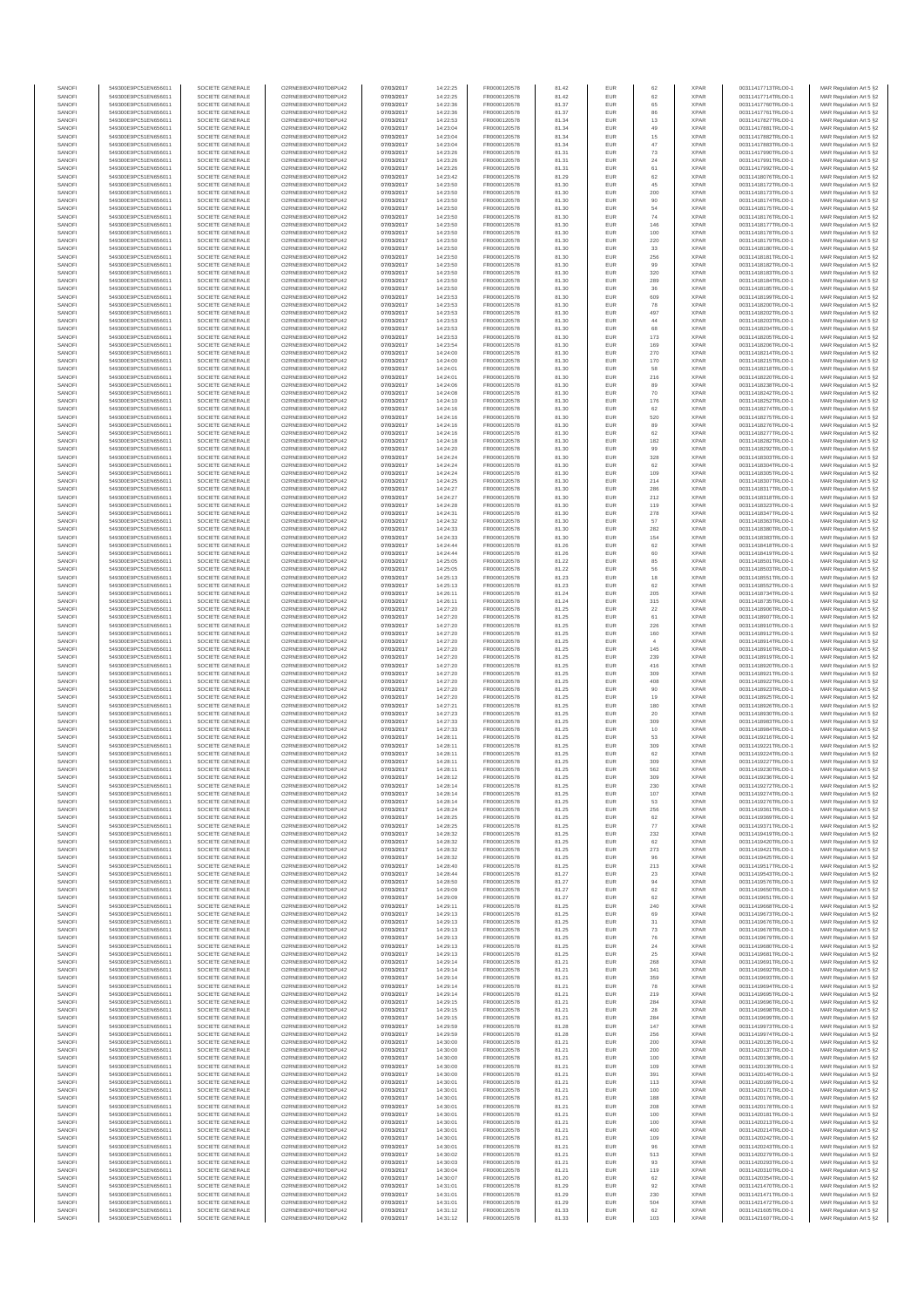| SANOFI           | 549300E9PC51EN656011                         | SOCIETE GENERALE                     | O2RNE8IBXP4R0TD8PU42                         | 07/03/2017               | 14:22:25             | FR0000120578                 | 81.42          | EUR               | 62                    | <b>XPAR</b>                | 00311417713TRLO0-1                       | MAR Regulation Art 5 §2                            |
|------------------|----------------------------------------------|--------------------------------------|----------------------------------------------|--------------------------|----------------------|------------------------------|----------------|-------------------|-----------------------|----------------------------|------------------------------------------|----------------------------------------------------|
| SANOFI<br>SANOFI | 549300E9PC51EN656011<br>549300E9PC51EN656011 | SOCIETE GENERALE<br>SOCIETE GENERALE | O2RNE8IBXP4R0TD8PU42<br>O2RNE8IBXP4R0TD8PU42 | 07/03/2017<br>07/03/2017 | 14:22:25<br>14:22:36 | FR0000120578<br>FR0000120578 | 81.42<br>81.37 | EUR<br>EUR        | 62<br>65              | <b>XPAR</b><br><b>XPAR</b> | 00311417714TRLO0-1<br>00311417760TRLO0-1 | MAR Regulation Art 5 §2<br>MAR Regulation Art 5 §2 |
| SANOFI           | 549300E9PC51EN656011                         | SOCIETE GENERALE                     | O2RNE8IBXP4R0TD8PLI42                        | 07/03/2017               | 14:22:36             | FR0000120578                 | 81.37          | EUR               | 86                    | <b>XPAR</b>                | 00311417761TRLO0-1                       | MAR Regulation Art 5 §2                            |
| SANOFI<br>SANOFI | 549300E9PC51EN656011<br>549300E9PC51EN656011 | SOCIETE GENERALE<br>SOCIETE GENERALE | O2RNE8IBXP4R0TD8PU42<br>O2RNE8IBXP4R0TD8PU42 | 07/03/2017<br>07/03/2017 | 14:22:53<br>14:23:04 | FR0000120578<br>FR0000120578 | 81.34<br>81.34 | EUR<br>EUR        | 13<br>49              | <b>XPAR</b><br><b>XPAR</b> | 00311417827TRLO0-1<br>00311417881TRLO0-1 | MAR Regulation Art 5 §2<br>MAR Regulation Art 5 §2 |
| SANOFI           | 549300E9PC51EN656011                         | SOCIETE GENERALE                     | O2RNE8IBXP4R0TD8PU42                         | 07/03/2017               | 14:23:04             | FR0000120578                 | 81.34          | EUR               | 15                    | <b>XPAR</b>                | 00311417882TRLO0-1                       | MAR Regulation Art 5 §2                            |
| SANOFI           | 549300E9PC51EN656011                         | SOCIETE GENERALE                     | O2RNE8IBXP4R0TD8PU42                         | 07/03/2017               | 14:23:04             | FR0000120578                 | 81.34          | EUR               | 47                    | <b>XPAR</b>                | 00311417883TRLO0-1                       | MAR Regulation Art 5 §2                            |
| SANOFI<br>SANOFI | 549300E9PC51EN656011<br>549300E9PC51EN656011 | SOCIETE GENERALE<br>SOCIETE GENERALE | O2RNE8IBXP4R0TD8PU42<br>O2RNE8IBXP4R0TD8PU42 | 07/03/2017<br>07/03/2017 | 14:23:26<br>14:23:26 | FR0000120578<br>FR0000120578 | 81.31<br>81.31 | EUR<br>EUR        | 73<br>$\sqrt{24}$     | <b>XPAF</b><br><b>XPAR</b> | 00311417990TRLO0-1<br>00311417991TRLO0-1 | MAR Regulation Art 5 §2<br>MAR Regulation Art 5 §2 |
| SANOFI           | 549300E9PC51EN656011                         | SOCIETE GENERALE                     | O2RNE8IBXP4R0TD8PU42                         | 07/03/2017               | 14:23:26             | FR0000120578                 | 81.31          | EUR               | 61                    | <b>XPAR</b>                | 00311417992TRLO0-1                       | MAR Regulation Art 5 §2                            |
| SANOFI<br>SANOFI | 549300E9PC51EN656011<br>549300E9PC51EN656011 | SOCIETE GENERALE<br>SOCIETE GENERALE | O2RNE8IBXP4R0TD8PU42<br>O2RNE8IBXP4R0TD8PU42 | 07/03/2017<br>07/03/2017 | 14:23:42<br>14:23:50 | FR0000120578<br>FR0000120578 | 81.29<br>81.30 | EUR<br>EUR        | 62<br>45              | <b>XPAR</b><br><b>XPAR</b> | 00311418076TRLO0-1<br>00311418172TRLO0-1 | MAR Regulation Art 5 §2<br>MAR Regulation Art 5 §2 |
| SANOFI           | 549300E9PC51EN656011                         | SOCIETE GENERALE                     | O2RNE8IBXP4R0TD8PU42                         | 07/03/2017               | 14:23:50             | FR0000120578                 | 81.30          | EUR               | 200                   | <b>XPAR</b>                | 00311418173TRLO0-1                       | MAR Regulation Art 5 §2                            |
| SANOFI           | 549300E9PC51EN656011                         | SOCIETE GENERALE                     | O2RNE8IBXP4R0TD8PU42                         | 07/03/2017               | 14:23:50             | FR0000120578                 | 81.30          | EUR               | 90                    | <b>XPAR</b>                | 00311418174TRLO0-1                       | MAR Regulation Art 5 §2                            |
| SANOFI<br>SANOFI | 549300E9PC51EN656011<br>549300E9PC51EN656011 | SOCIETE GENERALE<br>SOCIETE GENERALE | O2RNE8IBXP4R0TD8PU42<br>O2RNE8IBXP4R0TD8PU42 | 07/03/2017<br>07/03/2017 | 14:23:50<br>14:23:50 | FR0000120578<br>FR0000120578 | 81.30<br>81.30 | EUR<br>EUR        | 54<br>74              | <b>XPAR</b><br><b>XPAR</b> | 00311418175TRLO0-1<br>00311418176TRLO0-1 | MAR Regulation Art 5 §2<br>MAR Regulation Art 5 §2 |
| SANOFI           | 549300E9PC51EN656011                         | SOCIETE GENERALE                     | O2RNE8IBXP4R0TD8PU42                         | 07/03/2017               | 14:23:50             | FR0000120578                 | 81.30          | EUR               | 146                   | <b>XPAF</b>                | 00311418177TRLO0-1                       | MAR Regulation Art 5 §2                            |
| SANOFI           | 549300E9PC51EN656011                         | SOCIETE GENERALE                     | O2RNE8IBXP4R0TD8PU42                         | 07/03/2017               | 14:23:50             | FR0000120578                 | 81.30          | EUR               | 100                   | <b>XPAR</b>                | 00311418178TRLO0-1                       | MAR Regulation Art 5 §2                            |
| SANOFI<br>SANOFI | 549300E9PC51EN656011<br>549300E9PC51EN656011 | SOCIETE GENERALE<br>SOCIETE GENERALE | O2RNE8IBXP4R0TD8PU42<br>O2RNE8IBXP4R0TD8PU42 | 07/03/2017<br>07/03/2017 | 14:23:50<br>14:23:50 | FR0000120578<br>FR0000120578 | 81.30<br>81.30 | EUR<br>EUR        | 220<br>$_{33}$        | <b>XPAR</b><br><b>XPAR</b> | 00311418179TRLO0-1<br>00311418180TRLO0-1 | MAR Regulation Art 5 §2<br>MAR Regulation Art 5 §2 |
| SANOFI           | 549300E9PC51EN656011                         | SOCIETE GENERALE                     | O2RNE8IBXP4R0TD8PU42                         | 07/03/2017               | 14:23:50             | FR0000120578                 | 81.30          | EUR               | 256                   | <b>XPAR</b>                | 00311418181TRLO0-1                       | MAR Regulation Art 5 §2                            |
| SANOFI           | 549300E9PC51EN656011                         | SOCIETE GENERALE                     | O2RNE8IBXP4R0TD8PU42                         | 07/03/2017               | 14:23:50             | FR0000120578                 | 81.30          | EUR<br>EUR        | 99<br>320             | <b>XPAF</b>                | 00311418182TRLO0-1<br>00311418183TRLO0-1 | MAR Regulation Art 5 §2                            |
| SANOFI<br>SANOFI | 549300E9PC51EN656011<br>549300E9PC51EN656011 | SOCIETE GENERALE<br>SOCIETE GENERALE | O2RNE8IBXP4R0TD8PU42<br>O2RNE8IBXP4R0TD8PU42 | 07/03/2017<br>07/03/2017 | 14:23:50<br>14:23:50 | FR0000120578<br>FR0000120578 | 81.30<br>81.30 | EUR               | 289                   | <b>XPAR</b><br><b>XPAF</b> | 00311418184TRLO0-1                       | MAR Regulation Art 5 §2<br>MAR Regulation Art 5 §2 |
| SANOFI           | 549300E9PC51EN656011                         | SOCIETE GENERALE                     | O2RNE8IBXP4R0TD8PU42                         | 07/03/2017               | 14:23:50             | FR0000120578                 | 81.30          | EUR               | 36                    | <b>XPAR</b>                | 00311418185TRLO0-1                       | MAR Regulation Art 5 §2                            |
| SANOFI<br>SANOFI | 549300E9PC51EN656011<br>549300E9PC51EN656011 | SOCIETE GENERALE<br>SOCIETE GENERALE | O2RNE8IBXP4R0TD8PU42<br>O2RNE8IBXP4R0TD8PU42 | 07/03/2017<br>07/03/2017 | 14:23:53<br>14:23:53 | FR0000120578<br>FR0000120578 | 81.30<br>81.30 | EUR<br>EUR        | 609<br>78             | <b>XPAF</b><br><b>XPAR</b> | 00311418199TRLO0-1<br>00311418200TRLO0-1 | MAR Regulation Art 5 §2<br>MAR Regulation Art 5 §2 |
| SANOFI           | 549300E9PC51EN656011                         | SOCIETE GENERALE                     | O2RNE8IBXP4R0TD8PU42                         | 07/03/2017               | 14:23:53             | FR0000120578                 | 81.30          | EUR               | 497                   | <b>XPAR</b>                | 00311418202TRLO0-1                       | MAR Regulation Art 5 §2                            |
| SANOFI           | 549300E9PC51EN656011                         | SOCIETE GENERALE                     | O2RNE8IBXP4R0TD8PU42                         | 07/03/2017               | 14:23:53             | FR0000120578                 | 81.30          | EUR               | 44                    | <b>XPAR</b>                | 00311418203TRLO0-1                       | MAR Regulation Art 5 §2                            |
| SANOFI<br>SANOFI | 549300E9PC51EN656011<br>549300E9PC51EN656011 | SOCIETE GENERALE<br>SOCIETE GENERALE | O2RNE8IBXP4R0TD8PU42<br>O2RNE8IBXP4R0TD8PU42 | 07/03/2017<br>07/03/2017 | 14:23:53<br>14:23:53 | FR0000120578<br>FR0000120578 | 81.30<br>81.30 | EUR<br>EUR        | 68<br>173             | <b>XPAR</b><br><b>XPAF</b> | 00311418204TRLO0-1<br>00311418205TRLO0-1 | MAR Regulation Art 5 §2<br>MAR Regulation Art 5 §2 |
| SANOFI           | 549300E9PC51EN656011                         | SOCIETE GENERALE                     | O2RNE8IBXP4R0TD8PU42                         | 07/03/2017               | 14:23:54             | FR0000120578                 | 81.30          | EUR               | 169                   | <b>XPAR</b>                | 00311418206TRLO0-1                       | MAR Regulation Art 5 §2                            |
| SANOFI           | 549300E9PC51EN656011                         | SOCIETE GENERALE                     | O2RNE8IBXP4R0TD8PU42                         | 07/03/2017               | 14:24:00             | FR0000120578                 | 81.30          | EUR               | 270<br>170            | <b>XPAF</b>                | 00311418214TRLO0-1                       | MAR Regulation Art 5 §2                            |
| SANOFI<br>SANOFI | 549300E9PC51EN656011<br>549300E9PC51EN656011 | SOCIETE GENERALE<br>SOCIETE GENERALE | O2RNE8IBXP4R0TD8PU42<br>O2RNE8IBXP4R0TD8PU42 | 07/03/2017<br>07/03/2017 | 14:24:00<br>14:24:01 | FR0000120578<br>FR0000120578 | 81.30<br>81.30 | EUR<br>EUR        | 58                    | <b>XPAR</b><br><b>XPAR</b> | 00311418215TRLO0-1<br>00311418218TRLO0-1 | MAR Regulation Art 5 §2<br>MAR Regulation Art 5 §2 |
| SANOFI           | 549300E9PC51EN656011                         | SOCIETE GENERALE                     | O2RNE8IBXP4R0TD8PU42                         | 07/03/2017               | 14:24:01             | FR0000120578                 | 81.30          | EUR               | 216                   | <b>XPAR</b>                | 00311418220TRLO0-1                       | MAR Regulation Art 5 §2                            |
| SANOFI<br>SANOFI | 549300E9PC51EN656011<br>549300E9PC51EN656011 | SOCIETE GENERALE<br>SOCIETE GENERALE | O2RNE8IBXP4R0TD8PU42<br>O2RNE8IBXP4R0TD8PU42 | 07/03/2017<br>07/03/2017 | 14:24:06<br>14:24:08 | FR0000120578<br>FR0000120578 | 81.30<br>81.30 | EUR<br>EUR        | 89<br>$70$            | <b>XPAR</b><br><b>XPAR</b> | 00311418238TRLO0-1<br>00311418242TRLO0-1 | MAR Regulation Art 5 §2<br>MAR Regulation Art 5 §2 |
| SANOFI           | 549300E9PC51EN656011                         | SOCIETE GENERALE                     | O2RNE8IBXP4R0TD8PU42                         | 07/03/2017               | 14:24:10             | FR0000120578                 | 81.30          | EUR               | 176                   | <b>XPAR</b>                | 00311418252TRLO0-1                       | MAR Regulation Art 5 §2                            |
| SANOFI           | 549300E9PC51EN656011                         | SOCIETE GENERALE                     | O2RNE8IBXP4R0TD8PU42                         | 07/03/2017               | 14:24:16             | FR0000120578                 | 81.30          | EUR               | 62                    | <b>XPAF</b>                | 00311418274TRLO0-1                       | MAR Regulation Art 5 §2                            |
| SANOFI<br>SANOFI | 549300E9PC51EN656011<br>549300E9PC51EN656011 | SOCIETE GENERALE<br>SOCIETE GENERALE | O2RNE8IBXP4R0TD8PU42<br>O2RNE8IBXP4R0TD8PU42 | 07/03/2017<br>07/03/2017 | 14:24:16<br>14:24:16 | FR0000120578<br>FR0000120578 | 81.30<br>81.30 | EUR<br>EUR        | 520<br>89             | <b>XPAR</b><br><b>XPAR</b> | 00311418275TRLO0-1<br>00311418276TRLO0-1 | MAR Regulation Art 5 §2<br>MAR Regulation Art 5 §2 |
| SANOFI           | 549300E9PC51EN656011                         | SOCIETE GENERALE                     | O2RNE8IBXP4R0TD8PU42                         | 07/03/2017               | 14:24:16             | FR0000120578                 | 81.30          | EUR               | 62                    | <b>XPAR</b>                | 00311418277TRLO0-1                       | MAR Regulation Art 5 §2                            |
| SANOFI<br>SANOFI | 549300E9PC51EN656011<br>549300E9PC51EN656011 | SOCIETE GENERALE<br>SOCIETE GENERALE | O2RNE8IBXP4R0TD8PU42<br>O2RNE8IBXP4R0TD8PU42 | 07/03/2017<br>07/03/2017 | 14:24:18<br>14:24:20 | FR0000120578<br>FR0000120578 | 81.30<br>81.30 | EUR<br>EUR        | 182<br>99             | <b>XPAR</b><br><b>XPAR</b> | 00311418282TRLO0-1<br>00311418292TRLO0-1 | MAR Regulation Art 5 §2<br>MAR Regulation Art 5 §2 |
| SANOFI           | 549300E9PC51EN656011                         | SOCIETE GENERALE                     | O2RNE8IBXP4R0TD8PLI42                        | 07/03/2017               | 14:24:24             | FR0000120578                 | 81.30          | EUR               | 328                   | <b>XPAR</b>                | 00311418303TRLO0-1                       | MAR Regulation Art 5 §2                            |
| SANOFI           | 549300E9PC51EN656011                         | SOCIETE GENERALE                     | O2RNE8IBXP4R0TD8PU42                         | 07/03/2017               | 14:24:24             | FR0000120578                 | 81.30          | EUR               | 62                    | <b>XPAR</b>                | 00311418304TRLO0-1                       | MAR Regulation Art 5 §2                            |
| SANOFI<br>SANOFI | 549300E9PC51EN656011<br>549300E9PC51EN656011 | SOCIETE GENERALE<br>SOCIETE GENERALE | O2RNE8IBXP4R0TD8PU42<br>O2RNE8IBXP4R0TD8PU42 | 07/03/2017<br>07/03/2017 | 14:24:24<br>14:24:25 | FR0000120578<br>FR0000120578 | 81.30<br>81.30 | EUR<br>EUR        | 109<br>214            | <b>XPAR</b><br><b>XPAR</b> | 00311418305TRLO0-1<br>00311418307TRLO0-1 | MAR Regulation Art 5 §2<br>MAR Regulation Art 5 §2 |
| SANOFI           | 549300E9PC51EN656011                         | SOCIETE GENERALE                     | O2RNE8IBXP4R0TD8PU42                         | 07/03/2017               | 14:24:27             | FR0000120578                 | 81.30          | EUR               | 286                   | <b>XPAR</b>                | 00311418317TRLO0-1                       | MAR Regulation Art 5 §2                            |
| SANOFI           | 549300E9PC51EN656011                         | SOCIETE GENERALE                     | O2RNE8IBXP4R0TD8PU42<br>O2RNE8IBXP4R0TD8PU42 | 07/03/2017               | 14:24:27             | FR0000120578                 | 81.30<br>81.30 | EUR<br>EUR        | 212                   | <b>XPAF</b><br><b>XPAR</b> | 00311418318TRLO0-1                       | MAR Regulation Art 5 §2                            |
| SANOFI<br>SANOFI | 549300E9PC51EN656011<br>549300E9PC51EN656011 | SOCIETE GENERALE<br>SOCIETE GENERALE | O2RNE8IBXP4R0TD8PU42                         | 07/03/2017<br>07/03/2017 | 14:24:28<br>14:24:31 | FR0000120578<br>FR0000120578 | 81.30          | EUR               | 119<br>278            | <b>XPAR</b>                | 00311418323TRLO0-1<br>00311418347TRLO0-1 | MAR Regulation Art 5 §2<br>MAR Regulation Art 5 §2 |
| SANOFI           | 549300E9PC51EN656011                         | SOCIETE GENERALE                     | O2RNE8IBXP4R0TD8PU42                         | 07/03/2017               | 14:24:32             | FR0000120578                 | 81.30          | EUR               | 57                    | <b>XPAR</b>                | 00311418363TRLO0-1                       | MAR Regulation Art 5 §2                            |
| SANOFI<br>SANOFI | 549300E9PC51EN656011<br>549300E9PC51EN656011 | SOCIETE GENERALE<br>SOCIETE GENERALE | O2RNE8IBXP4R0TD8PU42<br>O2RNE8IBXP4R0TD8PU42 | 07/03/2017<br>07/03/2017 | 14:24:33<br>14:24:33 | FR0000120578<br>FR0000120578 | 81.30<br>81.30 | EUR<br>EUR        | 282<br>154            | <b>XPAR</b><br><b>XPAR</b> | 00311418380TRLO0-1<br>00311418383TRLO0-1 | MAR Regulation Art 5 §2<br>MAR Regulation Art 5 §2 |
| SANOFI           | 549300E9PC51EN656011                         | SOCIETE GENERALE                     | O2RNE8IBXP4R0TD8PU42                         | 07/03/2017               | 14:24:44             | FR0000120578                 | 81.26          | EUR               | 62                    | <b>XPAR</b>                | 00311418418TRLO0-1                       | MAR Regulation Art 5 §2                            |
| SANOFI<br>SANOFI | 549300E9PC51EN656011<br>549300E9PC51EN656011 | SOCIETE GENERALE<br>SOCIETE GENERALE | O2RNE8IBXP4R0TD8PU42<br>O2RNE8IBXP4R0TD8PU42 | 07/03/2017<br>07/03/2017 | 14:24:44<br>14:25:05 | FR0000120578                 | 81.26<br>81.22 | EUR<br>EUR        | 60<br>85              | <b>XPAF</b><br><b>XPAR</b> | 00311418419TRLO0-1<br>00311418501TRLO0-1 | MAR Regulation Art 5 §2                            |
| SANOFI           | 549300E9PC51EN656011                         | SOCIETE GENERALE                     | O2RNE8IBXP4R0TD8PU42                         | 07/03/2017               | 14:25:05             | FR0000120578<br>FR0000120578 | 81.22          | EUR               | 56                    | <b>XPAF</b>                | 00311418503TRLO0-1                       | MAR Regulation Art 5 §2<br>MAR Regulation Art 5 §2 |
| SANOFI           | 549300E9PC51EN656011                         | SOCIETE GENERALE                     | O2RNE8IBXP4R0TD8PU42                         | 07/03/2017               | 14:25:13             | FR0000120578                 | 81.23          | EUR               | 18                    | <b>XPAR</b>                | 00311418551TRLO0-1                       | MAR Regulation Art 5 §2                            |
| SANOFI<br>SANOFI | 549300E9PC51EN656011<br>549300E9PC51EN656011 | SOCIETE GENERALE<br>SOCIETE GENERALE | O2RNE8IBXP4R0TD8PU42<br>O2RNE8IBXP4R0TD8PU42 | 07/03/2017<br>07/03/2017 | 14:25:13<br>14:26:11 | FR0000120578<br>FR0000120578 | 81.23<br>81.24 | EUR<br>EUR        | 62<br>205             | <b>XPAR</b><br><b>XPAR</b> | 00311418552TRLO0-1<br>00311418734TRLO0-1 | MAR Regulation Art 5 §2<br>MAR Regulation Art 5 §2 |
| SANOFI           | 549300E9PC51EN656011                         | SOCIETE GENERALE                     | O2RNE8IBXP4R0TD8PU42                         | 07/03/2017               | 14:26:11             | FR0000120578                 | 81.24          | EUR               | 315                   | <b>XPAR</b>                | 00311418735TRLO0-1                       | MAR Regulation Art 5 §2                            |
| SANOFI<br>SANOFI | 549300E9PC51EN656011<br>549300E9PC51EN656011 | SOCIETE GENERALE<br>SOCIETE GENERALE | O2RNE8IBXP4R0TD8PU42<br>O2RNE8IBXP4R0TD8PU42 | 07/03/2017<br>07/03/2017 | 14:27:20             | FR0000120578                 | 81.25<br>81.25 | EUR<br>EUR        | $22\,$<br>61          | <b>XPAF</b><br><b>XPAR</b> | 00311418906TRLO0-1                       | MAR Regulation Art 5 §2                            |
| SANOFI           | 549300E9PC51EN656011                         | SOCIETE GENERALE                     | O2RNE8IBXP4R0TD8PU42                         | 07/03/2017               | 14:27:20<br>14:27:20 | FR0000120578<br>FR0000120578 | 81.25          | EUR               | 226                   | <b>XPAF</b>                | 00311418907TRLO0-1<br>00311418910TRLO0-1 | MAR Regulation Art 5 §2<br>MAR Regulation Art 5 §2 |
| SANOFI           | 549300E9PC51EN656011                         | SOCIETE GENERALE                     | O2RNE8IBXP4R0TD8PU42                         | 07/03/2017               | 14:27:20             | FR0000120578                 | 81.25          | EUR               | 160                   | <b>XPAR</b>                | 00311418912TRLO0-1                       | MAR Regulation Art 5 §2                            |
| SANOFI<br>SANOFI | 549300E9PC51EN656011<br>549300E9PC51EN656011 | SOCIETE GENERALE<br>SOCIETE GENERALE | O2RNE8IBXP4R0TD8PU42<br>O2RNE8IBXP4R0TD8PU42 | 07/03/2017<br>07/03/2017 | 14:27:20<br>14:27:20 | FR0000120578<br>FR0000120578 | 81.25<br>81.25 | EUR<br>EUR        | $\overline{4}$<br>145 | <b>XPAR</b><br><b>XPAR</b> | 00311418914TRLO0-1<br>00311418916TRLO0-1 | MAR Regulation Art 5 §2<br>MAR Regulation Art 5 §2 |
| SANOFI           | 549300E9PC51EN656011                         | SOCIETE GENERALE                     | O2RNE8IBXP4R0TD8PU42                         | 07/03/2017               | 14:27:20             | FR0000120578                 | 81.25          | EUR               | 239                   | <b>XPAR</b>                | 00311418919TRLO0-1                       | MAR Regulation Art 5 §2                            |
| SANOFI<br>SANOFI | 549300E9PC51EN656011<br>549300E9PC51EN656011 | SOCIETE GENERALE<br>SOCIETE GENERALE | O2RNE8IBXP4R0TD8PU42<br>O2RNE8IBXP4R0TD8PU42 | 07/03/2017<br>07/03/2017 | 14:27:20<br>14:27:20 | FR0000120578<br>FR0000120578 | 81.25<br>81.25 | EUR<br>EUR        | 416<br>309            | <b>XPAR</b><br><b>XPAR</b> | 00311418920TRLO0-1<br>00311418921TRLO0-1 | MAR Regulation Art 5 §2<br>MAR Regulation Art 5 §2 |
| SANOFI           | 549300E9PC51EN656011                         | SOCIETE GENERALE                     | O2RNE8IBXP4R0TD8PU42                         | 07/03/2017               | 14:27:20             | FR0000120578                 | 81.25          | EUR               | 408                   | <b>XPAF</b>                | 00311418922TRLO0-1                       | MAR Regulation Art 5 §2                            |
| SANOFI<br>SANOFI | 549300E9PC51EN656011<br>549300E9PC51EN656011 | SOCIETE GENERALE<br>SOCIETE GENERALE | O2RNE8IBXP4R0TD8PU42<br>O2RNE8IBXP4R0TD8PU42 | 07/03/2017<br>07/03/2017 | 14:27:20<br>14:27:20 | FR0000120578<br>FR0000120578 | 81.25<br>81.25 | EUR<br>EUR        | 90<br>19              | <b>XPAR</b><br><b>XPAR</b> | 00311418923TRLO0-1<br>00311418925TRLO0-1 | MAR Regulation Art 5 §2                            |
| SANOFI           | 549300E9PC51EN656011                         | SOCIETE GENERALE                     | O2RNE8IBXP4R0TD8PU42                         | 07/03/2017               | 14:27:21             | FR0000120578                 | 81.25          | EUR               | 180                   | <b>XPAR</b>                | 00311418926TRLO0-1                       | MAR Regulation Art 5 §2<br>MAR Regulation Art 5 §2 |
| SANOFI           | 549300E9PC51EN656011                         | SOCIETE GENERALE                     | O2RNE8IBXP4R0TD8PU42                         | 07/03/2017               | 14:27:23             | FR0000120578                 | 81.25          | EUR               | 20                    | <b>XPAR</b>                | 00311418930TRLO0-1                       | MAR Regulation Art 5 §2                            |
| SANOFI<br>SANOFI | 549300E9PC51EN656011<br>549300E9PC51EN656011 | SOCIETE GENERALE<br>SOCIETE GENERALE | O2RNE8IBXP4R0TD8PU42<br>O2RNE8IBXP4R0TD8PU42 | 07/03/2017<br>07/03/2017 | 14:27:33<br>14:27:33 | FR0000120578<br>FR0000120578 | 81.25<br>81.25 | EUR<br>EUR        | 309<br>$10$           | <b>XPAR</b><br><b>XPAR</b> | 00311418983TRLO0-1<br>00311418984TRLO0-1 | MAR Regulation Art 5 §2<br>MAR Regulation Art 5 §2 |
| SANOFI           | 549300E9PC51EN656011                         | SOCIETE GENERALE                     | O2RNE8IBXP4R0TD8PU42                         | 07/03/2017               | 14:28:11             | FR0000120578                 | 81.25          | EUR               | 53                    | <b>XPAR</b>                | 00311419216TRLO0-1                       | MAR Regulation Art 5 §2                            |
| SANOFI<br>SANOFI | 549300E9PC51EN656011<br>549300E9PC51EN656011 | SOCIETE GENERALE<br>SOCIETE GENERALE | O2RNE8IBXP4R0TD8PU42<br>O2RNE8IBXP4R0TD8PU42 | 07/03/2017<br>07/03/2017 | 14:28:11<br>14:28:11 | FR0000120578<br>FR0000120578 | 81.25<br>81.25 | EUR<br>EUR        | 309<br>62             | <b>XPAR</b><br><b>XPAF</b> | 00311419221TRLO0-1<br>00311419224TRLO0-1 | MAR Regulation Art 5 §2<br>MAR Regulation Art 5 §2 |
| SANOFI           | 549300E9PC51EN656011                         | SOCIETE GENERALE                     | O2RNE8IBXP4R0TD8PU42                         | 07/03/2017               | 14:28:11             | FR0000120578                 | 81.25          | EUR               | 309                   | <b>XPAR</b>                | 00311419227TRLO0-1                       | MAR Regulation Art 5 §2                            |
| SANOFI           | 549300E9PC51EN656011                         | SOCIETE GENERALE<br>SOCIETE GENERALE | O2RNE8IBXP4R0TD8PU42                         | 07/03/2017               | 14:28:11             | FR0000120578                 | 81.25          | EUR               | 562                   | <b>XPAR</b>                | 00311419230TRLO0-1                       | MAR Regulation Art 5 §2                            |
| SANOFI<br>SANOFI | 549300E9PC51EN656011<br>549300E9PC51EN656011 | SOCIETE GENERALE                     | O2RNE8IBXP4R0TD8PU42<br>O2RNE8IBXP4R0TD8PU42 | 07/03/2017<br>07/03/2017 | 14:28:12<br>14:28:14 | FR0000120578<br>FR0000120578 | 81.25<br>81 25 | EUR<br><b>FUR</b> | 309<br>230            | <b>XPAR</b><br><b>XPAF</b> | 00311419236TRLO0-1<br>00311419272TRLO0-1 | MAR Regulation Art 5 §2<br>MAR Regulation Art 5 §2 |
| SANOFI           | 549300E9PC51EN656011                         | SOCIETE GENERALE                     | O2RNE8IBXP4R0TD8PU42                         | 07/03/2017               | 14:28:14             | FR0000120578                 | 81.25          | EUR               | 107                   | <b>XPAR</b>                | 00311419274TRLO0-1                       | MAR Regulation Art 5 §2                            |
| SANOFI<br>SANOFI | 549300E9PC51EN656011<br>549300E9PC51EN656011 | SOCIETE GENERALE<br>SOCIETE GENERALE | O2RNE8IBXP4R0TD8PU42<br>O2RNE8IBXP4R0TD8PU42 | 07/03/2017<br>07/03/2017 | 14:28:14<br>14:28:24 | FR0000120578<br>FR0000120578 | 81.25<br>81.25 | EUR<br>EUR        | 53<br>256             | <b>XPAR</b><br><b>XPAR</b> | 00311419276TRLO0-1<br>00311419361TRLO0-1 | MAR Regulation Art 5 §2<br>MAR Regulation Art 5 §2 |
| SANOFI           | 549300E9PC51EN656011                         | SOCIETE GENERALE                     | O2RNE8IBXP4R0TD8PU42                         | 07/03/2017               | 14:28:25             | FR0000120578                 | 81.25          | <b>EUR</b>        | 62                    | <b>XPAR</b>                | 00311419369TRLO0-1                       | MAR Regulation Art 5 §2                            |
| SANOFI           | 549300E9PC51EN656011<br>549300E9PC51EN656011 | SOCIETE GENERALE                     | O2RNE8IBXP4R0TD8PU42                         | 07/03/2017               | 14:28:25             | FR0000120578                 | 81.25          | EUR               | $77\,$                | <b>XPAR</b>                | 00311419371TRLO0-1                       | MAR Regulation Art 5 §2                            |
| SANOFI<br>SANOFI | 549300E9PC51EN656011                         | SOCIETE GENERALE<br>SOCIETE GENERALE | O2RNE8IBXP4R0TD8PU42<br>O2RNE8IBXP4R0TD8PU42 | 07/03/2017<br>07/03/2017 | 14:28:32<br>14:28:32 | FR0000120578<br>FR0000120578 | 81.25<br>81.25 | <b>EUR</b><br>EUR | 232<br>62             | <b>XPAR</b><br><b>XPAR</b> | 00311419419TRLO0-1<br>00311419420TRLO0-1 | MAR Regulation Art 5 §2<br>MAR Regulation Art 5 §2 |
| SANOFI           | 549300E9PC51EN656011                         | SOCIETE GENERALE                     | O2RNE8IBXP4R0TD8PU42                         | 07/03/2017               | 14:28:32             | FR0000120578                 | 81.25          | EUR               | 273                   | <b>XPAR</b>                | 00311419421TRLO0-1                       | MAR Regulation Art 5 §2                            |
| SANOFI<br>SANOFI | 549300E9PC51EN656011<br>549300E9PC51EN656011 | SOCIETE GENERALE<br>SOCIETE GENERALE | O2RNE8IBXP4R0TD8PU42<br>O2RNE8IBXP4R0TD8PU42 | 07/03/2017<br>07/03/2017 | 14:28:32<br>14:28:40 | FR0000120578<br>FR0000120578 | 81.25<br>81.25 | EUR<br>EUR        | 96<br>213             | <b>XPAR</b><br><b>XPAR</b> | 00311419425TRLO0-1<br>00311419517TRLO0-1 | MAR Regulation Art 5 §2<br>MAR Regulation Art 5 §2 |
| SANOFI           | 549300E9PC51EN656011                         | SOCIETE GENERALE                     | O2RNE8IBXP4R0TD8PU42                         | 07/03/2017               | 14:28:44             | FR0000120578                 | 81.27          | EUR               | 23                    | <b>XPAR</b>                | 00311419543TRLO0-1                       | MAR Regulation Art 5 §2                            |
| SANOFI<br>SANOFI | 549300E9PC51EN656011<br>549300E9PC51EN656011 | SOCIETE GENERALE<br>SOCIETE GENERALE | O2RNE8IBXP4R0TD8PU42<br>O2RNE8IBXP4R0TD8PU42 | 07/03/2017<br>07/03/2017 | 14:28:50<br>14:29:09 | FR0000120578<br>FR0000120578 | 81.27<br>81.27 | EUR<br><b>EUR</b> | 94<br>62              | <b>XPAR</b><br><b>XPAR</b> | 00311419576TRLO0-1<br>00311419650TRLO0-1 | MAR Regulation Art 5 §2<br>MAR Regulation Art 5 §2 |
| SANOFI           | 549300E9PC51EN656011                         | SOCIETE GENERALE                     | O2RNE8IBXP4R0TD8PU42                         | 07/03/2017               | 14:29:09             | FR0000120578                 | 81.27          | EUR               | 62                    | <b>XPAR</b>                | 00311419651TRLO0-1                       | MAR Regulation Art 5 §2                            |
| SANOFI<br>SANOFI | 549300E9PC51EN656011<br>549300E9PC51EN656011 | SOCIETE GENERALE<br>SOCIETE GENERALE | O2RNE8IBXP4R0TD8PU42<br>O2RNE8IBXP4R0TD8PU42 | 07/03/2017<br>07/03/2017 | 14:29:11<br>14:29:13 | FR0000120578<br>FR0000120578 | 81.25<br>81.25 | EUR<br>EUR        | 240<br>69             | <b>XPAR</b><br><b>XPAR</b> | 00311419668TRLO0-1<br>00311419673TRLO0-1 | MAR Regulation Art 5 §2<br>MAR Regulation Art 5 §2 |
| SANOFI           | 549300E9PC51EN656011                         | SOCIETE GENERALE                     | O2RNE8IBXP4R0TD8PU42                         | 07/03/2017               | 14:29:13             | FR0000120578                 | 81.25          | EUR               | 31                    | <b>XPAR</b>                | 00311419676TRLO0-1                       | MAR Regulation Art 5 §2                            |
| SANOFI           | 549300E9PC51EN656011                         | SOCIETE GENERALE                     | O2RNE8IBXP4R0TD8PU42                         | 07/03/2017               | 14:29:13             | FR0000120578                 | 81.25<br>81.25 | EUR<br>EUR        | 73                    | <b>XPAR</b>                | 00311419678TRLO0-1<br>00311419679TRLO0-1 | MAR Regulation Art 5 §2                            |
| SANOFI<br>SANOFI | 549300E9PC51EN656011<br>549300E9PC51EN656011 | SOCIETE GENERALE<br>SOCIETE GENERALE | O2RNE8IBXP4R0TD8PU42<br>O2RNE8IBXP4R0TD8PU42 | 07/03/2017<br>07/03/2017 | 14:29:13<br>14:29:13 | FR0000120578<br>FR0000120578 | 81.25          | <b>EUR</b>        | ${\bf 76}$<br>24      | XPAR<br><b>XPAR</b>        | 00311419680TRLO0-1                       | MAR Regulation Art 5 §2<br>MAR Regulation Art 5 §2 |
| SANOFI           | 549300E9PC51EN656011                         | SOCIETE GENERALE                     | O2RNE8IBXP4R0TD8PU42                         | 07/03/2017               | 14:29:13             | FR0000120578                 | 81.25          | EUR               | 25                    | <b>XPAR</b>                | 00311419681TRLO0-1                       | MAR Regulation Art 5 §2                            |
| SANOFI<br>SANOFI | 549300E9PC51EN656011<br>549300E9PC51EN656011 | SOCIETE GENERALE<br>SOCIETE GENERALE | O2RNE8IBXP4R0TD8PU42<br>O2RNE8IBXP4R0TD8PU42 | 07/03/2017<br>07/03/2017 | 14:29:14<br>14:29:14 | FR0000120578<br>FR0000120578 | 81.21<br>81.21 | <b>EUR</b><br>EUR | 268<br>341            | <b>XPAR</b><br><b>XPAR</b> | 00311419691TRLO0-1<br>00311419692TRLO0-1 | MAR Regulation Art 5 §2<br>MAR Regulation Art 5 §2 |
| SANOFI           | 549300E9PC51EN656011                         | SOCIETE GENERALE                     | O2RNE8IBXP4R0TD8PU42                         | 07/03/2017               | 14:29:14             | FR0000120578                 | 81.21          | <b>EUR</b>        | 359                   | <b>XPAR</b>                | 00311419693TRLO0-1                       | MAR Regulation Art 5 §2                            |
| SANOFI<br>SANOFI | 549300E9PC51EN656011<br>549300E9PC51EN656011 | SOCIETE GENERALE<br>SOCIETE GENERALE | O2RNE8IBXP4R0TD8PU42<br>O2RNE8IBXP4R0TD8PU42 | 07/03/2017<br>07/03/2017 | 14:29:14<br>14:29:14 | FR0000120578<br>FR0000120578 | 81.21<br>81.21 | EUR<br>EUR        | 78<br>219             | <b>XPAR</b><br>XPAR        | 00311419694TRLO0-1<br>00311419695TRLO0-1 | MAR Regulation Art 5 §2<br>MAR Regulation Art 5 §2 |
| SANOFI           | 549300E9PC51EN656011                         | SOCIETE GENERALE                     | O2RNE8IBXP4R0TD8PU42                         | 07/03/2017               | 14:29:15             | FR0000120578                 | 81.21          | EUR               | 284                   | <b>XPAR</b>                | 00311419696TRLO0-1                       | MAR Regulation Art 5 §2                            |
| SANOFI           | 549300E9PC51EN656011                         | SOCIETE GENERALE                     | O2RNE8IBXP4R0TD8PU42                         | 07/03/2017               | 14:29:15             | FR0000120578                 | 81.21          | EUR               | 28                    | <b>XPAR</b>                | 00311419698TRLO0-1                       | MAR Regulation Art 5 §2                            |
| SANOFI<br>SANOFI | 549300E9PC51EN656011<br>549300E9PC51EN656011 | SOCIETE GENERALE<br>SOCIETE GENERALE | O2RNE8IBXP4R0TD8PU42<br>O2RNE8IBXP4R0TD8PU42 | 07/03/2017<br>07/03/2017 | 14:29:15<br>14:29:59 | FR0000120578<br>FR0000120578 | 81.21<br>81.28 | <b>EUR</b><br>EUR | 284<br>147            | <b>XPAR</b><br><b>XPAR</b> | 00311419699TRLO0-1<br>00311419973TRLO0-1 | MAR Regulation Art 5 §2<br>MAR Regulation Art 5 §2 |
| SANOFI           | 549300E9PC51EN656011                         | SOCIETE GENERALE                     | O2RNE8IBXP4R0TD8PU42                         | 07/03/2017               | 14:29:59             | FR0000120578                 | 81.28          | <b>EUR</b>        | 256                   | <b>XPAR</b>                | 00311419974TRLO0-1                       | MAR Regulation Art 5 §2                            |
| SANOFI<br>SANOFI | 549300E9PC51EN656011<br>549300E9PC51EN656011 | SOCIETE GENERALE<br>SOCIETE GENERALE | O2RNE8IBXP4R0TD8PU42<br>O2RNE8IBXP4R0TD8PU42 | 07/03/2017<br>07/03/2017 | 14:30:00<br>14:30:00 | FR0000120578<br>FR0000120578 | 81.21<br>81.21 | EUR<br>EUR        | 200<br>200            | <b>XPAR</b><br><b>XPAR</b> | 00311420135TRLO0-1<br>00311420137TRLO0-1 | MAR Regulation Art 5 §2<br>MAR Regulation Art 5 §2 |
| SANOFI           | 549300E9PC51EN656011                         | SOCIETE GENERALE                     | O2RNE8IBXP4R0TD8PU42                         | 07/03/2017               | 14:30:00             | FR0000120578                 | 81.21          | EUR               | 100                   | <b>XPAR</b>                | 00311420138TRLO0-1                       | MAR Regulation Art 5 §2                            |
| SANOFI           | 549300E9PC51EN656011                         | SOCIETE GENERALE                     | O2RNE8IBXP4R0TD8PU42                         | 07/03/2017               | 14:30:00             | FR0000120578                 | 81.21          | EUR               | 109                   | <b>XPAR</b>                | 00311420139TRLO0-1                       | MAR Regulation Art 5 §2                            |
| SANOFI<br>SANOFI | 549300E9PC51EN656011<br>549300E9PC51EN656011 | SOCIETE GENERALE<br>SOCIETE GENERALE | O2RNE8IBXP4R0TD8PU42<br>O2RNE8IBXP4R0TD8PU42 | 07/03/2017<br>07/03/2017 | 14:30:00<br>14:30:01 | FR0000120578<br>FR0000120578 | 81.21<br>81.21 | EUR<br>EUR        | 391<br>113            | <b>XPAR</b><br>XPAR        | 00311420140TRLO0-1<br>00311420169TRLO0-1 | MAR Regulation Art 5 §2<br>MAR Regulation Art 5 §2 |
| SANOFI           | 549300E9PC51EN656011                         | SOCIETE GENERALE                     | O2RNE8IBXP4R0TD8PU42                         | 07/03/2017               | 14:30:01             | FR0000120578                 | 81.21          | <b>EUR</b>        | 100                   | <b>XPAR</b>                | 00311420171TRLO0-1                       | MAR Regulation Art 5 §2                            |
| SANOFI<br>SANOFI | 549300E9PC51EN656011<br>549300E9PC51EN656011 | SOCIETE GENERALE<br>SOCIETE GENERALE | O2RNE8IBXP4R0TD8PU42<br>O2RNE8IBXP4R0TD8PU42 | 07/03/2017<br>07/03/2017 | 14:30:01<br>14:30:01 | FR0000120578<br>FR0000120578 | 81.21<br>81.21 | EUR<br><b>EUR</b> | 188<br>208            | <b>XPAR</b><br><b>XPAR</b> | 00311420176TRLO0-1<br>00311420178TRLO0-1 | MAR Regulation Art 5 §2                            |
| SANOFI           | 549300E9PC51EN656011                         | SOCIETE GENERALE                     | O2RNE8IBXP4R0TD8PU42                         | 07/03/2017               | 14:30:01             | FR0000120578                 | 81.21          | EUR               | 100                   | <b>XPAR</b>                | 00311420181TRLO0-1                       | MAR Regulation Art 5 §2<br>MAR Regulation Art 5 §2 |
| SANOFI<br>SANOFI | 549300E9PC51EN656011                         | SOCIETE GENERALE                     | O2RNE8IBXP4R0TD8PU42                         | 07/03/2017               | 14:30:01             | FR0000120578                 | 81.21          | EUR<br>EUR        | 100<br>400            | <b>XPAR</b><br><b>XPAR</b> | 00311420213TRLO0-1                       | MAR Regulation Art 5 §2                            |
| SANOFI           | 549300E9PC51EN656011<br>549300E9PC51EN656011 | SOCIETE GENERALE<br>SOCIETE GENERALE | O2RNE8IBXP4R0TD8PU42<br>O2RNE8IBXP4R0TD8PU42 | 07/03/2017<br>07/03/2017 | 14:30:01<br>14:30:01 | FR0000120578<br>FR0000120578 | 81.21<br>81.21 | EUR               | 109                   | XPAR                       | 00311420214TRLO0-1<br>00311420242TRLO0-1 | MAR Regulation Art 5 §2<br>MAR Regulation Art 5 §2 |
| SANOFI           | 549300E9PC51EN656011                         | SOCIETE GENERALE                     | O2RNE8IBXP4R0TD8PU42                         | 07/03/2017               | 14:30:01             | FR0000120578                 | 81.21          | EUR               | 96                    | <b>XPAR</b>                | 00311420243TRLO0-1                       | MAR Regulation Art 5 §2                            |
| SANOFI<br>SANOFI | 549300E9PC51EN656011<br>549300E9PC51EN656011 | SOCIETE GENERALE<br>SOCIETE GENERALE | O2RNE8IBXP4R0TD8PU42<br>O2RNE8IBXP4R0TD8PU42 | 07/03/2017<br>07/03/2017 | 14:30:02<br>14:30:03 | FR0000120578<br>FR0000120578 | 81.21<br>81.21 | EUR<br>EUR        | 513<br>93             | <b>XPAR</b><br><b>XPAR</b> | 00311420279TRLO0-1<br>00311420293TRLO0-1 | MAR Regulation Art 5 §2<br>MAR Regulation Art 5 §2 |
| SANOFI           | 549300E9PC51EN656011                         | SOCIETE GENERALE                     | O2RNE8IBXP4R0TD8PU42                         | 07/03/2017               | 14:30:04             | FR0000120578                 | 81.21          | EUR               | 119                   | <b>XPAR</b>                | 00311420310TRLO0-1                       | MAR Regulation Art 5 §2                            |
| SANOFI<br>SANOFI | 549300E9PC51EN656011<br>549300E9PC51EN656011 | SOCIETE GENERALE<br>SOCIETE GENERALE | O2RNE8IBXP4R0TD8PU42<br>O2RNE8IBXP4R0TD8PU42 | 07/03/2017<br>07/03/2017 | 14:30:07<br>14:31:01 | FR0000120578<br>FR0000120578 | 81.20<br>81.29 | <b>EUR</b><br>EUR | 62<br>92              | <b>XPAR</b><br><b>XPAR</b> | 00311420354TRLO0-1<br>00311421470TRLO0-1 | MAR Regulation Art 5 §2<br>MAR Regulation Art 5 §2 |
| SANOFI           | 549300E9PC51EN656011                         | SOCIETE GENERALE                     | O2RNE8IBXP4R0TD8PU42                         | 07/03/2017               | 14:31:01             | FR0000120578                 | 81.29          | EUR               | 230                   | <b>XPAR</b>                | 00311421471TRLO0-1                       | MAR Regulation Art 5 §2                            |
| SANOFI<br>SANOFI | 549300E9PC51EN656011<br>549300E9PC51EN656011 | SOCIETE GENERALE<br>SOCIETE GENERALE | O2RNE8IBXP4R0TD8PU42<br>O2RNE8IBXP4R0TD8PU42 | 07/03/2017<br>07/03/2017 | 14:31:01<br>14:31:12 | FR0000120578<br>FR0000120578 | 81.29<br>81.33 | EUR<br>EUR        | 504<br>62             | <b>XPAR</b><br><b>XPAR</b> | 00311421472TRLO0-1<br>00311421605TRLO0-1 | MAR Regulation Art 5 §2<br>MAR Regulation Art 5 §2 |
| SANOFI           | 549300E9PC51EN656011                         | SOCIETE GENERALE                     | O2RNE8IBXP4R0TD8PU42                         | 07/03/2017               | 14:31:12             | FR0000120578                 | 81.33          | EUR               | 103                   | <b>XPAR</b>                | 00311421607TRLO0-1                       | MAR Regulation Art 5 §2                            |
|                  |                                              |                                      |                                              |                          |                      |                              |                |                   |                       |                            |                                          |                                                    |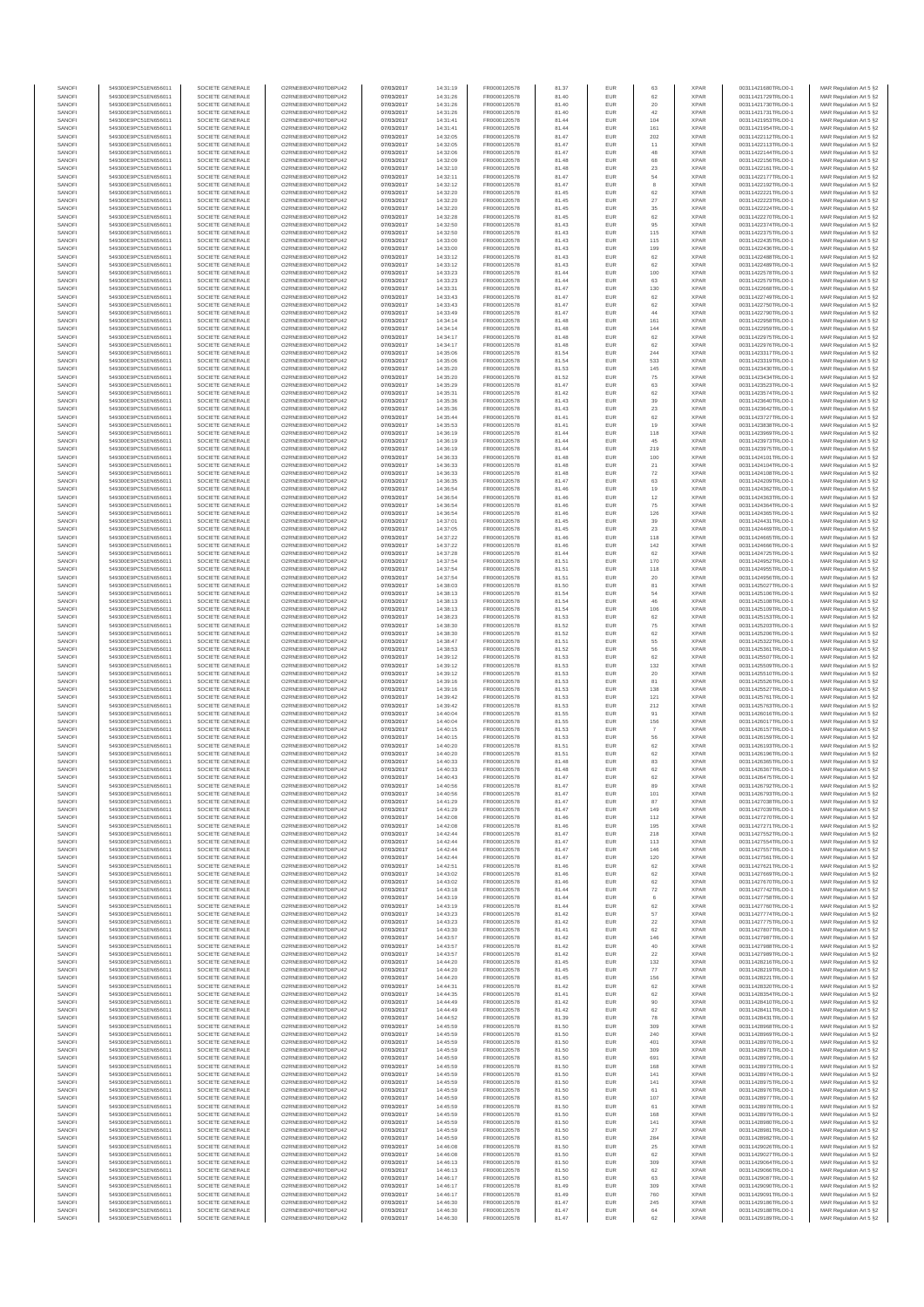| SANOF            | 549300E9PC51EN656011                         | SOCIETE GENERALE                     | O2RNE8IBXP4R0TD8PU42                          | 07/03/2017               | 14:31:19             | FR0000120578                 | 81.37          | EUR               | 63              | <b>XPAR</b>                | 00311421680TRLO0-1                       | MAR Regulation Art 5 §2                            |
|------------------|----------------------------------------------|--------------------------------------|-----------------------------------------------|--------------------------|----------------------|------------------------------|----------------|-------------------|-----------------|----------------------------|------------------------------------------|----------------------------------------------------|
| SANOFI<br>SANOFI | 549300E9PC51EN656011<br>549300E9PC51EN656011 | SOCIETE GENERALE<br>SOCIETE GENERALE | O2RNE8IBXP4R0TD8PU42                          | 07/03/2017<br>07/03/2017 | 14:31:26             | FR0000120578                 | 81.40<br>81.40 | EUR<br>EUR        | 62<br>20        | <b>XPAR</b><br><b>XPAR</b> | 00311421729TRLO0-1                       | MAR Regulation Art 5 §2                            |
| SANOFI           | 549300E9PC51EN656011                         | SOCIETE GENERALE                     | O2RNE8IBXP4R0TD8PU42<br>O2RNE8IBXP4R0TD8PU42  | 07/03/2017               | 14:31:26<br>14:31:26 | FR0000120578<br>FR0000120578 | 81.40          | EUR               | 42              | <b>XPAR</b>                | 00311421730TRLO0-1<br>00311421731TRLO0-1 | MAR Regulation Art 5 §2<br>MAR Regulation Art 5 §2 |
| SANOFI           | 549300E9PC51EN656011                         | SOCIETE GENERALE                     | O2RNE8IBXP4R0TD8PU42                          | 07/03/2017               | 14:31:41             | FR0000120578                 | 81.44          | EUR               | 104             | <b>XPAR</b>                | 00311421953TRLO0-1                       | MAR Regulation Art 5 §2                            |
| SANOFI           | 549300E9PC51EN656011                         | SOCIETE GENERALE                     | O2RNE8IBXP4R0TD8PU42                          | 07/03/2017               | 14:31:41             | FR0000120578                 | 81.44          | EUR               | 161             | <b>XPAR</b>                | 00311421954TRLO0-1                       | MAR Regulation Art 5 §2                            |
| SANOFI<br>SANOFI | 549300E9PC51EN656011<br>549300E9PC51EN656011 | SOCIETE GENERALE<br>SOCIETE GENERALE | O2RNE8IBXP4R0TD8PLI42<br>O2RNE8IBXP4R0TD8PU42 | 07/03/2017<br>07/03/2017 | 14:32:05<br>14:32:05 | FR0000120578<br>FR0000120578 | 81.47<br>81.47 | EUR<br>EUR        | 202<br>11       | <b>XPAR</b><br><b>XPAR</b> | 00311422112TRLO0-1<br>00311422113TRLO0-1 | MAR Regulation Art 5 §2<br>MAR Regulation Art 5 §2 |
| SANOFI           | 549300E9PC51EN656011                         | SOCIETE GENERALE                     | O2RNE8IBXP4R0TD8PU42                          | 07/03/2017               | 14:32:06             | FR0000120578                 | 81.47          | EUR               | 48              | <b>XPAR</b>                | 00311422144TRLO0-1                       | MAR Regulation Art 5 §2                            |
| SANOFI           | 549300E9PC51EN656011                         | SOCIETE GENERALE                     | O2RNE8IBXP4R0TD8PU42                          | 07/03/2017               | 14:32:09             | FR0000120578                 | 81.48          | EUR               | 68              | <b>XPAR</b>                | 00311422156TRLO0-1                       | MAR Regulation Art 5 §2                            |
| SANOFI<br>SANOFI | 549300E9PC51EN656011<br>549300E9PC51EN656011 | SOCIETE GENERALE<br>SOCIETE GENERALE | O2RNE8IBXP4R0TD8PU42<br>O2RNE8IBXP4R0TD8PU42  | 07/03/2017<br>07/03/2017 | 14:32:10<br>14:32:11 | FR0000120578<br>FR0000120578 | 81.48<br>81.47 | EUR<br>EUR        | $23\,$<br>54    | <b>XPAR</b><br><b>XPAR</b> | 00311422161TRLO0-1<br>00311422177TRLO0-1 | MAR Regulation Art 5 §2<br>MAR Regulation Art 5 §2 |
| SANOFI           | 549300E9PC51EN656011                         | SOCIETE GENERALE                     | O2RNE8IBXP4R0TD8PU42                          | 07/03/2017               | 14:32:12             | FR0000120578                 | 81.47          | EUR               | 8               | <b>XPAR</b>                | 00311422192TRLO0-1                       | MAR Regulation Art 5 §2                            |
| SANOFI           | 549300E9PC51EN656011                         | SOCIETE GENERALE                     | O2RNE8IBXP4R0TD8PU42                          | 07/03/2017               | 14:32:20             | FR0000120578                 | 81.45          | EUR               | 62              | <b>XPAR</b>                | 00311422221TRLO0-1                       | MAR Regulation Art 5 §2                            |
| SANOFI           | 549300E9PC51EN656011                         | SOCIETE GENERALE                     | O2RNE8IBXP4R0TD8PU42                          | 07/03/2017               | 14:32:20             | FR0000120578                 | 81.45          | EUR               | 27              | <b>XPAR</b>                | 00311422223TRLO0-1                       | MAR Regulation Art 5 §2                            |
| SANOFI<br>SANOFI | 549300E9PC51EN656011<br>549300E9PC51EN656011 | SOCIETE GENERALE<br>SOCIETE GENERALE | O2RNE8IBXP4R0TD8PU42<br>O2RNE8IBXP4R0TD8PU42  | 07/03/2017<br>07/03/2017 | 14:32:20<br>14:32:28 | FR0000120578<br>FR0000120578 | 81.45<br>81.45 | EUR<br>EUR        | 35<br>62        | <b>XPAR</b><br><b>XPAR</b> | 00311422224TRLO0-1<br>00311422270TRLO0-1 | MAR Regulation Art 5 §2<br>MAR Regulation Art 5 §2 |
| SANOFI           | 549300E9PC51EN656011                         | SOCIETE GENERALE                     | O2RNE8IBXP4R0TD8PU42                          | 07/03/2017               | 14:32:50             | FR0000120578                 | 81.43          | EUR               | 95              | <b>XPAR</b>                | 00311422374TRLO0-1                       | MAR Regulation Art 5 §2                            |
| SANOFI           | 549300E9PC51EN656011                         | SOCIETE GENERALE                     | O2RNE8IBXP4R0TD8PU42                          | 07/03/2017               | 14:32:50             | FR0000120578                 | 81.43          | EUR               | 115             | <b>XPAR</b>                | 00311422375TRLO0-1                       | MAR Regulation Art 5 §2                            |
| SANOFI           | 549300E9PC51EN656011                         | SOCIETE GENERALE                     | O2RNE8IBXP4R0TD8PU42                          | 07/03/2017               | 14:33:00             | FR0000120578                 | 81.43          | EUR               | 115             | <b>XPAR</b>                | 00311422435TRLO0-1                       | MAR Regulation Art 5 §2                            |
| SANOFI<br>SANOFI | 549300E9PC51EN656011<br>549300E9PC51EN656011 | SOCIETE GENERALE<br>SOCIETE GENERALE | O2RNE8IBXP4R0TD8PU42<br>O2RNE8IBXP4R0TD8PU42  | 07/03/2017<br>07/03/2017 | 14:33:00<br>14:33:12 | FR0000120578<br>FR0000120578 | 81.43<br>81.43 | EUR<br>EUR        | 199<br>$62\,$   | <b>XPAR</b><br><b>XPAR</b> | 00311422436TRLO0-1<br>00311422488TRLO0-1 | MAR Regulation Art 5 §2<br>MAR Regulation Art 5 §2 |
| SANOFI           | 549300E9PC51EN656011                         | SOCIETE GENERALE                     | O2RNE8IBXP4R0TD8PU42                          | 07/03/2017               | 14:33:12             | FR0000120578                 | 81.43          | EUR               | 62              | <b>XPAR</b>                | 00311422489TRLO0-1                       | MAR Regulation Art 5 §2                            |
| SANOFI           | 549300E9PC51EN656011                         | SOCIETE GENERALE                     | O2RNE8IBXP4R0TD8PU42                          | 07/03/2017               | 14:33:23             | FR0000120578                 | 81.44          | EUR               | 100             | <b>XPAR</b>                | 00311422578TRLO0-1                       | MAR Regulation Art 5 §2                            |
| SANOFI<br>SANOFI | 549300E9PC51EN656011<br>549300E9PC51EN656011 | SOCIETE GENERALE<br>SOCIETE GENERALE | O2RNE8IBXP4R0TD8PU42<br>O2RNE8IBXP4R0TD8PU42  | 07/03/2017<br>07/03/2017 | 14:33:23<br>14:33:31 | FR0000120578<br>FR0000120578 | 81.44<br>81.47 | EUR<br>EUR        | 63<br>130       | <b>XPAR</b><br><b>XPAR</b> | 00311422579TRLO0-1<br>00311422668TRLO0-1 | MAR Regulation Art 5 §2<br>MAR Regulation Art 5 §2 |
| SANOFI           | 549300E9PC51EN656011                         | SOCIETE GENERALE                     | O2RNE8IBXP4R0TD8PU42                          | 07/03/2017               | 14:33:43             | FR0000120578                 | 81.47          | EUR               | 62              | <b>XPAR</b>                | 00311422749TRLO0-1                       | MAR Regulation Art 5 §2                            |
| SANOFI           | 549300E9PC51EN656011                         | SOCIETE GENERALE                     | O2RNE8IBXP4R0TD8PU42                          | 07/03/2017               | 14:33:43             | FR0000120578                 | 81.47          | EUR               | 62              | <b>XPAR</b>                | 00311422750TRLO0-1                       | MAR Regulation Art 5 §2                            |
| SANOFI           | 549300E9PC51EN656011                         | SOCIETE GENERALE                     | O2RNE8IBXP4R0TD8PU42                          | 07/03/2017               | 14:33:49             | FR0000120578                 | 81.47          | EUR               | 44              | <b>XPAR</b>                | 00311422790TRLO0-1                       | MAR Regulation Art 5 §2                            |
| SANOFI<br>SANOFI | 549300E9PC51EN656011<br>549300E9PC51EN656011 | SOCIETE GENERALE<br>SOCIETE GENERALE | O2RNE8IBXP4R0TD8PU42<br>O2RNE8IBXP4R0TD8PU42  | 07/03/2017<br>07/03/2017 | 14:34:14<br>14:34:14 | FR0000120578<br>FR0000120578 | 81.48<br>81.48 | EUR<br>EUR        | 161<br>144      | <b>XPAR</b><br><b>XPAR</b> | 00311422958TRLO0-1<br>00311422959TRLO0-1 | MAR Regulation Art 5 §2<br>MAR Regulation Art 5 §2 |
| SANOFI           | 549300E9PC51EN656011                         | SOCIETE GENERALE                     | O2RNE8IBXP4R0TD8PU42                          | 07/03/2017               | 14:34:17             | FR0000120578                 | 81.48          | EUR               | 62              | <b>XPAR</b>                | 00311422975TRLO0-1                       | MAR Regulation Art 5 §2                            |
| SANOFI           | 549300E9PC51EN656011                         | SOCIETE GENERALE                     | O2RNE8IBXP4R0TD8PU42                          | 07/03/2017               | 14:34:17             | FR0000120578                 | 81.48          | EUR               | 62              | <b>XPAR</b>                | 00311422976TRLO0-1                       | MAR Regulation Art 5 §2                            |
| SANOFI<br>SANOFI | 549300E9PC51EN656011<br>549300E9PC51EN656011 | SOCIETE GENERALE<br>SOCIETE GENERALE | O2RNE8IBXP4R0TD8PU42<br>O2RNE8IBXP4R0TD8PU42  | 07/03/2017<br>07/03/2017 | 14:35:06<br>14:35:06 | FR0000120578<br>FR0000120578 | 81.54<br>81.54 | <b>EUR</b><br>EUR | 244<br>533      | <b>XPAR</b><br><b>XPAR</b> | 00311423317TRLO0-1<br>00311423319TRLO0-1 | MAR Regulation Art 5 §2<br>MAR Regulation Art 5 §2 |
| SANOFI           | 549300E9PC51EN656011                         | SOCIETE GENERALE                     | O2RNE8IBXP4R0TD8PU42                          | 07/03/2017               | 14:35:20             | FR0000120578                 | 81.53          | EUR               | 145             | <b>XPAR</b>                | 00311423430TRLO0-1                       | MAR Regulation Art 5 §2                            |
| SANOFI           | 549300E9PC51EN656011                         | SOCIETE GENERALE                     | O2RNE8IBXP4R0TD8PU42                          | 07/03/2017               | 14:35:20             | FR0000120578                 | 81.52          | EUR               | $\rm 75$        | <b>XPAR</b>                | 00311423434TRLO0-1                       | MAR Regulation Art 5 §2                            |
| SANOFI           | 549300E9PC51EN656011                         | SOCIETE GENERALE                     | O2RNE8IBXP4R0TD8PU42                          | 07/03/2017               | 14:35:29             | FR0000120578                 | 81.47          | EUR               | 63              | <b>XPAR</b>                | 00311423523TRLO0-1                       | MAR Regulation Art 5 §2                            |
| SANOFI<br>SANOFI | 549300E9PC51EN656011<br>549300E9PC51EN656011 | SOCIETE GENERALE<br>SOCIETE GENERALE | O2RNE8IBXP4R0TD8PU42<br>O2RNE8IBXP4R0TD8PU42  | 07/03/2017<br>07/03/2017 | 14:35:31<br>14:35:36 | FR0000120578<br>FR0000120578 | 81.42<br>81.43 | EUR<br>EUR        | 62<br>39        | <b>XPAR</b><br><b>XPAR</b> | 00311423574TRLO0-1<br>00311423640TRLO0-1 | MAR Regulation Art 5 §2<br>MAR Regulation Art 5 §2 |
| SANOFI           | 549300E9PC51EN656011                         | SOCIETE GENERALE                     | O2RNE8IBXP4R0TD8PU42                          | 07/03/2017               | 14:35:36             | FR0000120578                 | 81.43          | <b>EUR</b>        | 23              | <b>XPAR</b>                | 00311423642TRLO0-1                       | MAR Regulation Art 5 §2                            |
| SANOFI           | 549300E9PC51EN656011                         | SOCIETE GENERALE                     | O2RNE8IBXP4R0TD8PU42                          | 07/03/2017               | 14:35:44             | FR0000120578                 | 81.41          | EUR               | 62              | <b>XPAR</b>                | 00311423727TRLO0-1                       | MAR Regulation Art 5 §2                            |
| SANOFI           | 549300E9PC51EN656011                         | SOCIETE GENERALE                     | O2RNE8IBXP4R0TD8PU42                          | 07/03/2017               | 14:35:53             | FR0000120578                 | 81.41          | EUR               | 19              | <b>XPAR</b>                | 00311423838TRLO0-1                       | MAR Regulation Art 5 §2                            |
| SANOFI<br>SANOFI | 549300E9PC51EN656011<br>549300E9PC51EN656011 | SOCIETE GENERALE<br>SOCIETE GENERALE | O2RNE8IBXP4R0TD8PU42<br>O2RNE8IBXP4R0TD8PU42  | 07/03/2017<br>07/03/2017 | 14:36:19<br>14:36:19 | FR0000120578<br>FR0000120578 | 81.44<br>81.44 | EUR<br>EUR        | 118<br>45       | <b>XPAR</b><br><b>XPAR</b> | 00311423969TRLO0-1<br>00311423973TRLO0-1 | MAR Regulation Art 5 §2<br>MAR Regulation Art 5 §2 |
| SANOFI           | 549300E9PC51EN656011                         | SOCIETE GENERALE                     | O2RNE8IBXP4R0TD8PU42                          | 07/03/2017               | 14:36:19             | FR0000120578                 | 81.44          | EUR               | 219             | <b>XPAR</b>                | 00311423975TRLO0-1                       | MAR Regulation Art 5 §2                            |
| SANOFI           | 549300E9PC51EN656011                         | SOCIETE GENERALE                     | O2RNE8IBXP4R0TD8PU42                          | 07/03/2017               | 14:36:33             | FR0000120578                 | 81.48          | EUR               | 100             | <b>XPAR</b>                | 00311424101TRLO0-1                       | MAR Regulation Art 5 §2                            |
| SANOFI           | 549300E9PC51EN656011                         | SOCIETE GENERALE                     | O2RNE8IBXP4R0TD8PU42<br>O2RNE8IBXP4R0TD8PU42  | 07/03/2017               | 14:36:33             | FR0000120578<br>FR0000120578 | 81.48          | EUR               | $21\,$          | <b>XPAR</b>                | 00311424104TRLO0-1                       | MAR Regulation Art 5 §2                            |
| SANOFI<br>SANOFI | 549300E9PC51EN656011<br>549300E9PC51EN656011 | SOCIETE GENERALE<br>SOCIETE GENERALE | O2RNE8IBXP4R0TD8PU42                          | 07/03/2017<br>07/03/2017 | 14:36:33<br>14:36:35 | FR0000120578                 | 81.48<br>81.47 | EUR<br>EUR        | 72<br>63        | <b>XPAR</b><br><b>XPAR</b> | 00311424108TRLO0-1<br>00311424209TRLO0-1 | MAR Regulation Art 5 §2<br>MAR Regulation Art 5 §2 |
| SANOFI           | 549300E9PC51EN656011                         | SOCIETE GENERALE                     | O2RNE8IBXP4R0TD8PU42                          | 07/03/2017               | 14:36:54             | FR0000120578                 | 81.46          | EUR               | 19              | <b>XPAR</b>                | 00311424362TRLO0-1                       | MAR Regulation Art 5 §2                            |
| SANOFI           | 549300E9PC51EN656011                         | SOCIETE GENERALE                     | O2RNE8IBXP4R0TD8PU42                          | 07/03/2017               | 14:36:54             | FR0000120578                 | 81.46          | EUR               | 12              | <b>XPAR</b>                | 00311424363TRLO0-1                       | MAR Regulation Art 5 §2                            |
| SANOFI<br>SANOFI | 549300E9PC51EN656011                         | SOCIETE GENERALE<br>SOCIETE GENERALE | O2RNE8IBXP4R0TD8PU42<br>O2RNE8IBXP4R0TD8PU42  | 07/03/2017               | 14:36:54             | FR0000120578<br>FR0000120578 | 81.46<br>81.46 | EUR<br>EUR        | $\rm 75$<br>126 | <b>XPAR</b><br><b>XPAR</b> | 00311424364TRLO0-1                       | MAR Regulation Art 5 §2<br>MAR Regulation Art 5 §2 |
| SANOFI           | 549300E9PC51EN656011<br>549300E9PC51EN656011 | SOCIETE GENERALE                     | O2RNESIBXP4R0TD8PLI42                         | 07/03/2017<br>07/03/2017 | 14:36:54<br>14:37:01 | FR0000120578                 | 81.45          | EUR               | 39              | <b>XPAR</b>                | 00311424365TRLO0-1<br>00311424431TRLO0-1 | MAR Regulation Art 5 §2                            |
| SANOFI           | 549300E9PC51EN656011                         | SOCIETE GENERALE                     | O2RNE8IBXP4R0TD8PU42                          | 07/03/2017               | 14:37:05             | FR0000120578                 | 81.45          | EUR               | 23              | <b>XPAR</b>                | 00311424469TRLO0-1                       | MAR Regulation Art 5 §2                            |
| SANOFI           | 549300E9PC51EN656011                         | SOCIETE GENERALE                     | O2RNE8IBXP4R0TD8PU42                          | 07/03/2017               | 14:37:22             | FR0000120578                 | 81.46          | EUR               | 118             | <b>XPAR</b>                | 00311424665TRLO0-1                       | MAR Regulation Art 5 §2                            |
| SANOFI<br>SANOFI | 549300E9PC51EN656011<br>549300E9PC51EN656011 | SOCIETE GENERALE<br>SOCIETE GENERALE | O2RNE8IBXP4R0TD8PU42<br>O2RNE8IBXP4R0TD8PU42  | 07/03/2017<br>07/03/2017 | 14:37:22<br>14:37:28 | FR0000120578<br>FR0000120578 | 81.46<br>81.44 | EUR<br>EUR        | 142<br>62       | <b>XPAR</b><br><b>XPAR</b> | 00311424666TRLO0-1<br>00311424725TRLO0-1 | MAR Regulation Art 5 §2<br>MAR Regulation Art 5 §2 |
| SANOFI           | 549300E9PC51EN656011                         | SOCIETE GENERALE                     | O2RNE8IBXP4R0TD8PU42                          | 07/03/2017               | 14:37:54             | FR0000120578                 | 81.51          | EUR               | 170             | <b>XPAR</b>                | 00311424952TRLO0-1                       | MAR Regulation Art 5 §2                            |
| SANOFI           | 549300E9PC51EN656011                         | SOCIETE GENERALE                     | O2RNE8IBXP4R0TD8PU42                          | 07/03/2017               | 14:37:54             | FR0000120578                 | 81.51          | EUR               | 118             | <b>XPAR</b>                | 00311424955TRLO0-1                       | MAR Regulation Art 5 §2                            |
| SANOFI           | 549300E9PC51EN656011                         | SOCIETE GENERALE                     | O2RNE8IBXP4R0TD8PU42                          | 07/03/2017               | 14:37:54             | FR0000120578                 | 81.51          | EUR               | 20              | <b>XPAR</b>                | 00311424956TRLO0-1                       | MAR Regulation Art 5 §2                            |
| SANOFI<br>SANOFI | 549300E9PC51EN656011<br>549300E9PC51EN656011 | SOCIETE GENERALE<br>SOCIETE GENERALE | O2RNE8IBXP4R0TD8PU42<br>O2RNE8IBXP4R0TD8PU42  | 07/03/2017<br>07/03/2017 | 14:38:03<br>14:38:13 | FR0000120578<br>FR0000120578 | 81.50<br>81.54 | EUR<br>EUR        | 81<br>54        | <b>XPAR</b><br><b>XPAR</b> | 00311425027TRLO0-1<br>00311425106TRLO0-1 | MAR Regulation Art 5 §2<br>MAR Regulation Art 5 §2 |
| SANOFI           | 549300E9PC51EN656011                         | SOCIETE GENERALE                     | O2RNE8IBXP4R0TD8PU42                          | 07/03/2017               | 14:38:13             | FR0000120578                 | 81.54          | EUR               | 46              | <b>XPAR</b>                | 00311425108TRLO0-1                       | MAR Regulation Art 5 §2                            |
| SANOFI           | 549300E9PC51EN656011                         | SOCIETE GENERALE                     | O2RNE8IBXP4R0TD8PU42                          | 07/03/2017               | 14:38:13             | FR0000120578                 | 81.54          | <b>EUR</b>        | 106             | <b>XPAR</b>                | 00311425109TRLO0-1                       | MAR Regulation Art 5 §2                            |
| SANOFI           | 549300E9PC51EN656011                         | SOCIETE GENERALE                     | O2RNE8IBXP4R0TD8PU42                          | 07/03/2017               | 14:38:23             | FR0000120578                 | 81.53          | EUR               | 62              | <b>XPAR</b>                | 00311425153TRLO0-1                       | MAR Regulation Art 5 §2                            |
| SANOFI<br>SANOFI | 549300E9PC51EN656011<br>549300E9PC51EN656011 | SOCIETE GENERALE<br>SOCIETE GENERALE | O2RNE8IBXP4R0TD8PU42<br>O2RNE8IBXP4R0TD8PU42  | 07/03/2017<br>07/03/2017 | 14:38:30<br>14:38:30 | FR0000120578<br>FR0000120578 | 81.52<br>81.52 | EUR<br>EUR        | 75<br>62        | <b>XPAR</b><br><b>XPAR</b> | 00311425203TRLO0-1<br>00311425206TRLO0-1 | MAR Regulation Art 5 §2<br>MAR Regulation Art 5 §2 |
| SANOFI           | 549300E9PC51EN656011                         | SOCIETE GENERALE                     | O2RNE8IBXP4R0TD8PU42                          | 07/03/2017               | 14:38:47             | FR0000120578                 | 81.51          | EUR               | 55              | <b>XPAR</b>                | 00311425322TRLO0-1                       | MAR Regulation Art 5 §2                            |
| SANOFI           | 549300E9PC51EN656011                         | SOCIETE GENERALE                     | O2RNE8IBXP4R0TD8PU42                          | 07/03/2017               | 14:38:53             | FR0000120578                 | 81.52          | EUR               | 56              | <b>XPAR</b>                | 00311425361TRLO0-1                       | MAR Regulation Art 5 §2                            |
| SANOFI<br>SANOFI | 549300E9PC51EN656011<br>549300E9PC51EN656011 | SOCIETE GENERALE<br>SOCIETE GENERALE | O2RNE8IBXP4R0TD8PU42<br>O2RNE8IBXP4R0TD8PU42  | 07/03/2017<br>07/03/2017 | 14:39:12<br>14:39:12 | FR0000120578<br>FR0000120578 | 81.53<br>81.53 | EUR<br>EUR        | 62<br>132       | <b>XPAR</b><br><b>XPAR</b> | 00311425507TRLO0-1<br>00311425509TRLO0-1 | MAR Regulation Art 5 §2<br>MAR Regulation Art 5 §2 |
| SANOFI           | 549300E9PC51EN656011                         | SOCIETE GENERALE                     | O2RNE8IBXP4R0TD8PU42                          | 07/03/2017               | 14:39:12             | FR0000120578                 | 81.53          | EUR               | 20              | <b>XPAR</b>                | 00311425510TRLO0-1                       | MAR Regulation Art 5 §2                            |
| SANOFI           | 549300E9PC51EN656011                         | SOCIETE GENERALE                     | O2RNE8IBXP4R0TD8PU42                          | 07/03/2017               | 14:39:16             | FR0000120578                 | 81.53          | EUR               | 81              | <b>XPAR</b>                | 00311425526TRLO0-1                       | MAR Regulation Art 5 §2                            |
| SANOFI<br>SANOFI | 549300E9PC51EN656011<br>549300E9PC51EN656011 | SOCIETE GENERALE<br>SOCIETE GENERALE | O2RNE8IBXP4R0TD8PU42<br>O2RNE8IBXP4R0TD8PU42  | 07/03/2017<br>07/03/2017 | 14:39:16<br>14:39:42 | FR0000120578<br>FR0000120578 | 81.53          | EUR<br><b>EUR</b> | 138             | <b>XPAR</b><br><b>XPAR</b> | 00311425527TRLO0-1<br>00311425761TRLO0-1 | MAR Regulation Art 5 §2                            |
| SANOFI           | 549300E9PC51EN656011                         | SOCIETE GENERALE                     | O2RNE8IBXP4R0TD8PU42                          | 07/03/2017               | 14:39:42             | FR0000120578                 | 81.53<br>81.53 | EUR               | 121<br>212      | <b>XPAR</b>                | 00311425763TRLO0-1                       | MAR Regulation Art 5 §2<br>MAR Regulation Art 5 §2 |
| SANOFI           | 549300E9PC51EN656011                         | SOCIETE GENERALE                     | O2RNE8IBXP4R0TD8PU42                          | 07/03/2017               | 14:40:04             | FR0000120578                 | 81.55          | EUR               | 91              | <b>XPAR</b>                | 00311426016TRLO0-1                       | MAR Regulation Art 5 §2                            |
| SANOFI           | 549300E9PC51EN656011                         | SOCIETE GENERALE                     | O2RNE8IBXP4R0TD8PU42                          | 07/03/2017               | 14:40:04             | FR0000120578                 | 81.55          | EUR               | 156             | <b>XPAR</b>                | 00311426017TRLO0-1                       | MAR Regulation Art 5 §2                            |
| SANOFI<br>SANOFI | 549300E9PC51EN656011<br>549300E9PC51EN656011 | SOCIETE GENERALE<br>SOCIETE GENERALE | O2RNE8IBXP4R0TD8PU42<br>O2RNE8IBXP4R0TD8PU42  | 07/03/2017<br>07/03/2017 | 14:40:15<br>14:40:15 | FR0000120578<br>FR0000120578 | 81.53<br>81.53 | EUR<br>EUR        | -7              | <b>XPAR</b><br><b>XPAR</b> | 00311426157TRLO0-1<br>00311426159TRLO0-1 | MAR Regulation Art 5 §2                            |
| SANOFI           | 549300E9PC51EN656011                         | SOCIETE GENERALE                     | O2RNE8IBXP4R0TD8PU42                          | 07/03/2017               | 14:40:20             | FR0000120578                 | 81.51          | EUR               | 56<br>62        | <b>XPAR</b>                | 00311426193TRLO0-1                       | MAR Regulation Art 5 §2<br>MAR Regulation Art 5 §2 |
| SANOFI           | 549300E9PC51EN656011                         | SOCIETE GENERALE                     | O2RNE8IBXP4R0TD8PU42                          | 07/03/2017               | 14:40:20             | FR0000120578                 | 81.51          | EUR               | 62              | <b>XPAR</b>                | 00311426196TRLO0-1                       | MAR Regulation Art 5 §2                            |
| SANOFI           | 549300E9PC51EN656011                         | SOCIETE GENERALE                     | O2RNE8IBXP4R0TD8PU42                          | 07/03/2017               | 14:40:33             | FR0000120578                 | 81.48          | EUR               | 83              | <b>XPAR</b>                | 00311426365TRLO0-1                       | MAR Regulation Art 5 §2                            |
| SANOFI<br>SANOFI | 549300E9PC51EN656011<br>549300E9PC51EN656011 | SOCIETE GENERALE<br>SOCIETE GENERALE | O2RNE8IBXP4R0TD8PU42<br>O2RNE8IBXP4R0TD8PU42  | 07/03/2017<br>07/03/2017 | 14:40:33<br>14:40:43 | FR0000120578<br>FR0000120578 | 81.48<br>81.47 | EUR<br>EUR        | 62<br>62        | <b>XPAR</b><br><b>XPAR</b> | 00311426367TRLO0-1<br>00311426475TRLO0-1 | MAR Regulation Art 5 §2<br>MAR Regulation Art 5 §2 |
| SANOFI           | 549300E9PC51EN656011                         | SOCIETE GENERALE                     | O2RNE8IBXP4R0TD8PU42                          | 07/03/2017               | 14:40:56             | FR0000120578                 | 81.47          | EUR               | 89              | <b>XPAR</b>                | 00311426792TRLO0-1                       | MAR Regulation Art 5 §2                            |
| SANOFI           | 549300E9PC51EN656011                         | SOCIETE GENERALE                     | O2RNE8IBXP4R0TD8PU42                          | 07/03/2017               | 14:40:56             | FR0000120578                 | 81.47          | EUR               | 101             | <b>XPAR</b>                | 00311426793TRLO0-1                       | MAR Regulation Art 5 §2                            |
| SANOFI<br>SANOFI | 549300E9PC51EN656011<br>549300E9PC51EN656011 | SOCIETE GENERALE<br>SOCIETE GENERALE | O2RNE8IBXP4R0TD8PU42<br>O2RNE8IBXP4R0TD8PU42  | 07/03/2017               | 14:41:29             | FR0000120578                 | 81.47          | EUR<br>EUR        | 87<br>149       | <b>XPAR</b><br><b>XPAR</b> | 00311427038TRLO0-1                       | MAR Regulation Art 5 §2                            |
| SANOFI           | 549300E9PC51EN656011                         | SOCIETE GENERALE                     | O2RNE8IBXP4R0TD8PU42                          | 07/03/2017<br>07/03/2017 | 14:41:29<br>14:42:08 | FR0000120578<br>FR0000120578 | 81.47<br>81.46 | EUR               | 112             | <b>XPAR</b>                | 00311427039TRLO0-1<br>00311427270TRLO0-1 | MAR Regulation Art 5 §2<br>MAR Regulation Art 5 §2 |
| SANOFI           | 549300E9PC51EN656011                         | SOCIETE GENERALE                     | O2RNE8IBXP4R0TD8PU42                          | 07/03/2017               | 14:42:08             | FR0000120578                 | 81.46          | EUR               | 195             | <b>XPAR</b>                | 00311427271TRLO0-1                       | MAR Regulation Art 5 §2                            |
| SANOFI           | 549300E9PC51EN656011                         | SOCIETE GENERALE                     | O2RNE8IBXP4R0TD8PU42                          | 07/03/2017               | 14:42:44             | FR0000120578                 | 81.47          | EUR               | 218             | <b>XPAR</b>                | 00311427552TRLO0-1                       | MAR Regulation Art 5 §2                            |
| SANOFI<br>SANOFI | 549300E9PC51EN656011<br>549300E9PC51EN656011 | SOCIETE GENERALE<br>SOCIETE GENERALE | O2RNE8IBXP4R0TD8PU42<br>O2RNE8IBXP4R0TD8PU42  | 07/03/2017<br>07/03/2017 | 14:42:44<br>14:42:44 | FR0000120578<br>FR0000120578 | 81.47<br>81.47 | <b>EUR</b><br>EUR | 113<br>146      | <b>XPAR</b><br><b>XPAR</b> | 00311427554TRLO0-1<br>00311427557TRLO0-1 | MAR Regulation Art 5 §2<br>MAR Regulation Art 5 §2 |
| SANOFI           | 549300E9PC51EN656011                         | SOCIETE GENERALE                     | O2RNE8IBXP4R0TD8PU42                          | 07/03/2017               | 14:42:44             | FR0000120578                 | 81.47          | EUR               | 120             | <b>XPAR</b>                | 00311427561TRLO0-1                       | MAR Regulation Art 5 §2                            |
| SANOFI           | 549300E9PC51EN656011                         | SOCIETE GENERALE                     | O2RNE8IBXP4R0TD8PU42                          | 07/03/2017               | 14:42:51             | FR0000120578                 | 81.46          | EUR               | 62              | <b>XPAR</b>                | 00311427621TRLO0-1                       | MAR Regulation Art 5 §2                            |
| SANOFI<br>SANOFI | 549300E9PC51EN656011<br>549300E9PC51EN656011 | SOCIETE GENERALE<br>SOCIETE GENERALE | O2RNE8IBXP4R0TD8PU42<br>O2RNE8IBXP4R0TD8PU42  | 07/03/2017<br>07/03/2017 | 14:43:02<br>14:43:02 | FR0000120578<br>FR0000120578 | 81.46<br>81.46 | EUR<br><b>EUR</b> | 62<br>62        | <b>XPAR</b><br><b>XPAR</b> | 00311427669TRLO0-1<br>00311427670TRLO0-1 | MAR Regulation Art 5 §2<br>MAR Regulation Art 5 §2 |
| SANOFI           | 549300E9PC51EN656011                         | SOCIETE GENERALE                     | O2RNE8IBXP4R0TD8PU42                          | 07/03/2017               | 14:43:18             | FR0000120578                 | 81.44          | EUR               | 72              | <b>XPAR</b>                | 00311427742TRLO0-1                       | MAR Regulation Art 5 §2                            |
| SANOFI           | 549300E9PC51EN656011                         | SOCIETE GENERALE                     | O2RNE8IBXP4R0TD8PU42                          | 07/03/2017               | 14:43:19             | FR0000120578                 | 81.44          | <b>EUR</b>        | 6               | <b>XPAR</b>                | 00311427758TRLO0-1                       | MAR Regulation Art 5 §2                            |
| SANOFI<br>SANOFI | 549300E9PC51EN656011<br>549300E9PC51EN656011 | SOCIETE GENERALE<br>SOCIETE GENERALE | O2RNE8IBXP4R0TD8PU42<br>O2RNE8IBXP4R0TD8PU42  | 07/03/2017<br>07/03/2017 | 14:43:19<br>14:43:23 | FR0000120578<br>FR0000120578 | 81.44<br>81.42 | EUR<br>EUR        | 62<br>57        | <b>XPAR</b><br><b>XPAR</b> | 00311427760TRLO0-1<br>00311427774TRLO0-1 | MAR Regulation Art 5 §2<br>MAR Regulation Art 5 §2 |
| SANOFI           | 549300E9PC51EN656011                         | SOCIETE GENERALE                     | O2RNE8IBXP4R0TD8PU42                          | 07/03/2017               | 14:43:23             | FR0000120578                 | 81.42          | EUR               | 22              | <b>XPAR</b>                | 00311427775TRLO0-1                       | MAR Regulation Art 5 §2                            |
| SANOFI           | 549300E9PC51EN656011                         | SOCIETE GENERALE                     | O2RNE8IBXP4R0TD8PU42                          | 07/03/2017               | 14:43:30             | FR0000120578                 | 81.41          | EUR               | 62              | <b>XPAR</b>                | 00311427807TRLO0-1                       | MAR Regulation Art 5 §2                            |
| SANOFI<br>SANOFI | 549300E9PC51EN656011<br>549300E9PC51EN656011 | SOCIETE GENERALE<br>SOCIETE GENERALE | O2RNE8IBXP4R0TD8PU42<br>O2RNE8IBXP4R0TD8PU42  | 07/03/2017<br>07/03/2017 | 14:43:57<br>14:43:57 | FR0000120578<br>FR0000120578 | 81.42<br>81.42 | EUR<br>EUR        | 146<br>40       | <b>XPAR</b><br><b>XPAR</b> | 00311427987TRLO0-1<br>00311427988TRLO0-1 | MAR Regulation Art 5 §2                            |
| SANOFI           | 549300E9PC51EN656011                         | SOCIETE GENERALE                     | O2RNE8IBXP4R0TD8PU42                          | 07/03/2017               | 14:43:57             | FR0000120578                 | 81.42          | <b>EUR</b>        | 22              | <b>XPAR</b>                | 00311427989TRLO0-1                       | MAR Regulation Art 5 §2<br>MAR Regulation Art 5 §2 |
| SANOFI           | 549300E9PC51EN656011                         | SOCIETE GENERALE                     | O2RNE8IBXP4R0TD8PU42                          | 07/03/2017               | 14:44:20             | FR0000120578                 | 81.45          | EUR               | 132             | <b>XPAR</b>                | 00311428216TRLO0-1                       | MAR Regulation Art 5 §2                            |
| SANOFI           | 549300E9PC51EN656011                         | SOCIETE GENERALE                     | O2RNE8IBXP4R0TD8PU42                          | 07/03/2017               | 14:44:20             | FR0000120578                 | 81.45          | <b>EUR</b>        | 77              | <b>XPAR</b>                | 00311428219TRLO0-1                       | MAR Regulation Art 5 §2                            |
| SANOFI<br>SANOFI | 549300E9PC51EN656011<br>549300E9PC51EN656011 | SOCIETE GENERALE<br>SOCIETE GENERALE | O2RNE8IBXP4R0TD8PU42<br>O2RNE8IBXP4R0TD8PU42  | 07/03/2017<br>07/03/2017 | 14:44:20<br>14:44:31 | FR0000120578<br>FR0000120578 | 81.45<br>81.42 | EUR<br>EUR        | 156<br>62       | <b>XPAR</b><br><b>XPAR</b> | 00311428221TRLO0-1<br>00311428320TRLO0-1 | MAR Regulation Art 5 §2<br>MAR Regulation Art 5 §2 |
| SANOFI           | 549300E9PC51EN656011                         | SOCIETE GENERALE                     | O2RNE8IBXP4R0TD8PU42                          | 07/03/2017               | 14:44:35             | FR0000120578                 | 81.41          | EUR               | 62              | <b>XPAR</b>                | 00311428354TRLO0-1                       | MAR Regulation Art 5 §2                            |
| SANOFI           | 549300E9PC51EN656011                         | SOCIETE GENERALE                     | O2RNE8IBXP4R0TD8PU42                          | 07/03/2017               | 14:44:49             | FR0000120578                 | 81.42          | EUR               | $90\,$          | <b>XPAR</b>                | 00311428410TRLO0-1                       | MAR Regulation Art 5 §2                            |
| SANOFI<br>SANOFI | 549300E9PC51EN656011<br>549300E9PC51EN656011 | SOCIETE GENERALE<br>SOCIETE GENERALE | O2RNE8IBXP4R0TD8PU42<br>O2RNE8IBXP4R0TD8PU42  | 07/03/2017<br>07/03/2017 | 14:44:49<br>14:44:52 | FR0000120578<br>FR0000120578 | 81.42<br>81.39 | EUR<br>EUR        | 62<br>78        | <b>XPAR</b><br><b>XPAR</b> | 00311428411TRLO0-1<br>00311428431TRLO0-1 | MAR Regulation Art 5 §2                            |
| SANOFI           | 549300E9PC51EN656011                         | SOCIETE GENERALE                     | O2RNE8IBXP4R0TD8PU42                          | 07/03/2017               | 14:45:59             | FR0000120578                 | 81.50          | <b>EUR</b>        | 309             | <b>XPAR</b>                | 00311428968TRLO0-1                       | MAR Regulation Art 5 §2<br>MAR Regulation Art 5 §2 |
| SANOFI           | 549300E9PC51EN656011                         | SOCIETE GENERALE                     | O2RNE8IBXP4R0TD8PU42                          | 07/03/2017               | 14:45:59             | FR0000120578                 | 81.50          | EUR               | 240             | <b>XPAR</b>                | 00311428969TRLO0-1                       | MAR Regulation Art 5 §2                            |
| SANOFI           | 549300E9PC51EN656011                         | SOCIETE GENERALE                     | O2RNE8IBXP4R0TD8PU42                          | 07/03/2017               | 14:45:59             | FR0000120578                 | 81.50          | <b>EUR</b>        | 401             | <b>XPAR</b>                | 00311428970TRLO0-1                       | MAR Regulation Art 5 §2                            |
| SANOFI<br>SANOFI | 549300E9PC51EN656011<br>549300E9PC51EN656011 | SOCIETE GENERALE<br>SOCIETE GENERALE | O2RNE8IBXP4R0TD8PU42<br>O2RNE8IBXP4R0TD8PU42  | 07/03/2017<br>07/03/2017 | 14:45:59<br>14:45:59 | FR0000120578<br>FR0000120578 | 81.50<br>81.50 | EUR<br>EUR        | 309<br>691      | <b>XPAR</b><br><b>XPAR</b> | 00311428971TRLO0-1<br>00311428972TRLO0-1 | MAR Regulation Art 5 §2<br>MAR Regulation Art 5 §2 |
| SANOFI           | 549300E9PC51EN656011                         | SOCIETE GENERALE                     | O2RNE8IBXP4R0TD8PU42                          | 07/03/2017               | 14:45:59             | FR0000120578                 | 81.50          | EUR               | 168             | <b>XPAR</b>                | 00311428973TRLO0-1                       | MAR Regulation Art 5 §2                            |
| SANOFI           | 549300E9PC51EN656011                         | SOCIETE GENERALE                     | O2RNE8IBXP4R0TD8PU42                          | 07/03/2017               | 14:45:59             | FR0000120578                 | 81.50          | EUR               | 141             | <b>XPAR</b>                | 00311428974TRLO0-1                       | MAR Regulation Art 5 §2                            |
| SANOFI           | 549300E9PC51EN656011                         | SOCIETE GENERALE                     | O2RNE8IBXP4R0TD8PU42                          | 07/03/2017               | 14:45:59             | FR0000120578                 | 81.50          | EUR               | 141             | <b>XPAR</b>                | 00311428975TRLO0-1                       | MAR Regulation Art 5 §2                            |
| SANOFI<br>SANOFI | 549300E9PC51EN656011<br>549300E9PC51EN656011 | SOCIETE GENERALE<br>SOCIETE GENERALE | O2RNE8IBXP4R0TD8PU42<br>O2RNE8IBXP4R0TD8PU42  | 07/03/2017<br>07/03/2017 | 14:45:59<br>14:45:59 | FR0000120578<br>FR0000120578 | 81.50<br>81.50 | EUR<br><b>EUR</b> | 61<br>107       | <b>XPAR</b><br><b>XPAR</b> | 00311428976TRLO0-1<br>00311428977TRLO0-1 | MAR Regulation Art 5 §2<br>MAR Regulation Art 5 §2 |
| SANOFI           | 549300E9PC51EN656011                         | SOCIETE GENERALE                     | O2RNE8IBXP4R0TD8PU42                          | 07/03/2017               | 14:45:59             | FR0000120578                 | 81.50          | EUR               | 61              | <b>XPAR</b>                | 00311428978TRLO0-1                       | MAR Regulation Art 5 §2                            |
| SANOFI           | 549300E9PC51EN656011                         | SOCIETE GENERALE                     | O2RNE8IBXP4R0TD8PU42                          | 07/03/2017               | 14:45:59             | FR0000120578                 | 81.50          | <b>EUR</b>        | 168             | <b>XPAR</b>                | 00311428979TRLO0-1                       | MAR Regulation Art 5 §2                            |
| SANOFI<br>SANOFI | 549300E9PC51EN656011<br>549300E9PC51EN656011 | SOCIETE GENERALE<br>SOCIETE GENERALE | O2RNE8IBXP4R0TD8PU42<br>O2RNE8IBXP4R0TD8PU42  | 07/03/2017<br>07/03/2017 | 14:45:59<br>14:45:59 | FR0000120578<br>FR0000120578 | 81.50<br>81.50 | EUR<br>EUR        | 141<br>27       | <b>XPAR</b><br><b>XPAR</b> | 00311428980TRLO0-1<br>00311428981TRLO0-1 | MAR Regulation Art 5 §2<br>MAR Regulation Art 5 §2 |
| SANOFI           | 549300E9PC51EN656011                         | SOCIETE GENERALE                     | O2RNE8IBXP4R0TD8PU42                          | 07/03/2017               | 14:45:59             | FR0000120578                 | 81.50          | EUR               | 284             | <b>XPAR</b>                | 00311428982TRLO0-1                       | MAR Regulation Art 5 §2                            |
| SANOFI           | 549300E9PC51EN656011                         | SOCIETE GENERALE                     | O2RNE8IBXP4R0TD8PU42                          | 07/03/2017               | 14:46:08             | FR0000120578                 | 81.50          | EUR               | $25\,$          | <b>XPAR</b>                | 00311429026TRLO0-1                       | MAR Regulation Art 5 §2                            |
| SANOFI<br>SANOFI | 549300E9PC51EN656011                         | SOCIETE GENERALE                     | O2RNE8IBXP4R0TD8PU42                          | 07/03/2017               | 14:46:08             | FR0000120578                 | 81.50          | <b>EUR</b>        | 62              | <b>XPAR</b>                | 00311429027TRLO0-1                       | MAR Regulation Art 5 §2                            |
|                  | 549300E9PC51EN656011                         | SOCIETE GENERALE<br>SOCIETE GENERALE | O2RNE8IBXP4R0TD8PU42<br>O2RNE8IBXP4R0TD8PU42  | 07/03/2017<br>07/03/2017 | 14:46:13<br>14:46:13 | FR0000120578<br>FR0000120578 | 81.50<br>81.50 | EUR<br><b>EUR</b> | 309<br>62       | <b>XPAR</b><br><b>XPAR</b> | 00311429064TRLO0-1<br>00311429066TRLO0-1 | MAR Regulation Art 5 §2<br>MAR Regulation Art 5 §2 |
|                  | 549300E9PC51EN656011                         |                                      |                                               |                          |                      |                              | 81.50          | EUR               | 63              |                            |                                          |                                                    |
| SANOFI<br>SANOFI | 549300E9PC51EN656011                         | SOCIETE GENERALE                     | O2RNE8IBXP4R0TD8PU42                          | 07/03/2017               | 14:46:17             | FR0000120578                 |                |                   |                 | <b>XPAR</b>                | 00311429087TRLO0-1                       | MAR Regulation Art 5 §2                            |
| SANOFI           | 549300E9PC51EN656011                         | SOCIETE GENERALE                     | O2RNE8IBXP4R0TD8PU42                          | 07/03/2017               | 14:46:17             | FR0000120578                 | 81.49          | EUR               | 309             | <b>XPAR</b>                | 00311429090TRLO0-1                       | MAR Regulation Art 5 §2                            |
| SANOFI<br>SANOFI | 549300E9PC51EN656011<br>549300E9PC51EN656011 | SOCIETE GENERALE<br>SOCIETE GENERALE | O2RNE8IBXP4R0TD8PU42<br>O2RNE8IBXP4R0TD8PU42  | 07/03/2017<br>07/03/2017 | 14:46:17<br>14:46:30 | FR0000120578<br>FR0000120578 | 81.49<br>81.47 | EUR<br>EUR        | 760<br>245      | <b>XPAR</b><br><b>XPAR</b> | 00311429091TRLO0-1<br>00311429186TRLO0-1 | MAR Regulation Art 5 §2<br>MAR Regulation Art 5 §2 |
| SANOFI<br>SANOFI | 549300E9PC51EN656011<br>549300E9PC51EN656011 | SOCIETE GENERALE<br>SOCIETE GENERALE | O2RNE8IBXP4R0TD8PU42<br>O2RNE8IBXP4R0TD8PU42  | 07/03/2017<br>07/03/2017 | 14:46:30<br>14:46:30 | FR0000120578<br>FR0000120578 | 81.47<br>81.47 | EUR<br>EUR        | 64<br>62        | <b>XPAR</b><br><b>XPAR</b> | 00311429188TRLO0-1<br>00311429189TRLO0-1 | MAR Regulation Art 5 §2<br>MAR Regulation Art 5 §2 |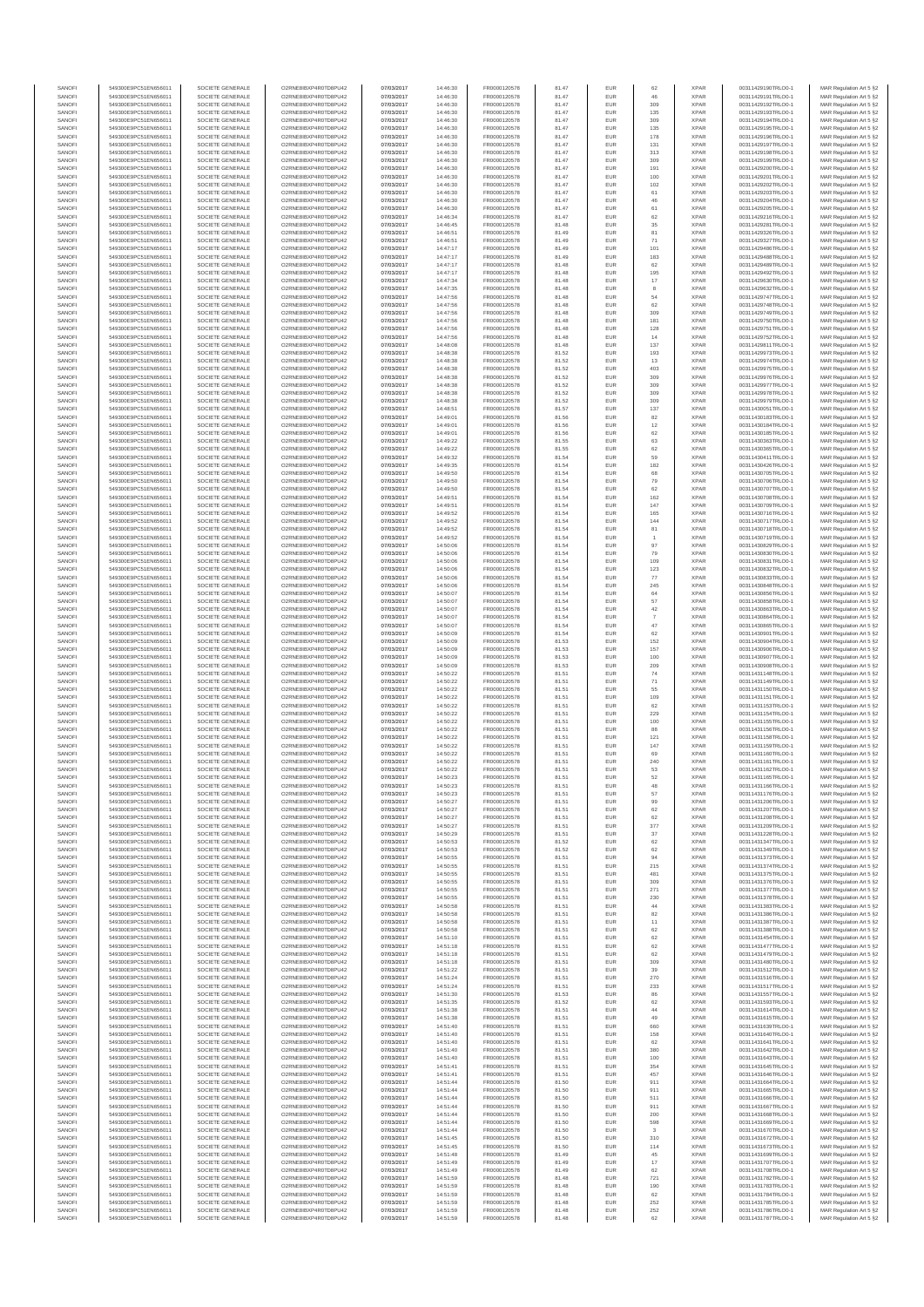| SANOFI<br>SANOFI | 549300E9PC51EN656011<br>549300E9PC51EN656011 | SOCIETE GENERALE<br>SOCIETE GENERALE | O2RNE8IBXP4R0TD8PU42<br>O2RNE8IBXP4R0TD8PU42 | 07/03/2017<br>07/03/2017 | 14:46:30<br>14:46:30 | FR0000120578<br>FR0000120578 | 81.47<br>81.47 | EUR<br>EUR        | 62<br>46       | <b>XPAR</b><br><b>XPAR</b> | 00311429190TRLO0-1<br>00311429191TRLO0-1 | MAR Regulation Art 5 §2<br>MAR Regulation Art 5 §2 |
|------------------|----------------------------------------------|--------------------------------------|----------------------------------------------|--------------------------|----------------------|------------------------------|----------------|-------------------|----------------|----------------------------|------------------------------------------|----------------------------------------------------|
| SANOFI           | 549300E9PC51EN656011                         | SOCIETE GENERALE                     | O2RNE8IBXP4R0TD8PU42                         | 07/03/2017               | 14:46:30             | FR0000120578                 | 81.47          | <b>EUR</b>        | 309            | <b>XPAR</b>                | 00311429192TRLO0-1                       | MAR Regulation Art 5 §2                            |
| SANOFI           | 549300E9PC51EN656011                         | SOCIETE GENERALE                     | O2RNE8IBXP4R0TD8PU42                         | 07/03/2017               | 14:46:30             | FR0000120578                 | 81.47          | EUR               | 135            | <b>XPAR</b>                | 00311429193TRLO0-1                       | MAR Regulation Art 5 §2                            |
| SANOFI<br>SANOFI | 549300E9PC51EN656011<br>549300E9PC51EN656011 | SOCIETE GENERALE<br>SOCIETE GENERALE | O2RNE8IBXP4R0TD8PU42<br>O2RNE8IBXP4R0TD8PU42 | 07/03/2017<br>07/03/2017 | 14:46:30<br>14:46:30 | FR0000120578<br>FR0000120578 | 81.47<br>81.47 | <b>EUR</b><br>EUR | 309<br>135     | <b>XPAR</b><br><b>XPAR</b> | 00311429194TRLO0-1<br>00311429195TRLO0-1 | MAR Regulation Art 5 §2<br>MAR Regulation Art 5 §2 |
| SANOFI           | 549300E9PC51EN656011                         | SOCIETE GENERALE                     | O2RNE8IBXP4R0TD8PU42                         | 07/03/2017               | 14:46:30             | FR0000120578                 | 81.47          | EUR               | 178            | <b>XPAR</b>                | 00311429196TRLO0-1                       | MAR Regulation Art 5 §2                            |
| SANOFI<br>SANOFI | 549300E9PC51EN656011<br>549300E9PC51EN656011 | SOCIETE GENERALE<br>SOCIETE GENERALE | O2RNE8IBXP4R0TD8PU42<br>O2RNE8IBXP4R0TD8PU42 | 07/03/2017<br>07/03/2017 | 14:46:30<br>14:46:30 | FR0000120578<br>FR0000120578 | 81.47<br>81.47 | EUR<br>EUR        | 131<br>313     | <b>XPAR</b><br><b>XPAR</b> | 00311429197TRLO0-1<br>00311429198TRLO0-1 | MAR Regulation Art 5 §2<br>MAR Regulation Art 5 §2 |
| SANOFI           | 549300E9PC51EN656011                         | SOCIETE GENERALE                     | O2RNE8IBXP4R0TD8PU42                         | 07/03/2017               | 14:46:30             | FR0000120578                 | 81.47          | EUR               | 309            | <b>XPAR</b>                | 00311429199TRLO0-1                       | MAR Regulation Art 5 §2                            |
| SANOFI           | 549300E9PC51EN656011                         | SOCIETE GENERALE                     | O2RNE8IBXP4R0TD8PU42                         | 07/03/2017               | 14:46:30             | FR0000120578                 | 81.47          | EUR               | 191            | <b>XPAR</b>                | 00311429200TRLO0-1                       | MAR Regulation Art 5 §2                            |
| SANOFI<br>SANOFI | 549300E9PC51EN656011<br>549300E9PC51EN656011 | SOCIETE GENERALE<br>SOCIETE GENERALE | O2RNE8IBXP4R0TD8PU42<br>O2RNE8IBXP4R0TD8PU42 | 07/03/2017<br>07/03/2017 | 14:46:30<br>14:46:30 | FR0000120578<br>FR0000120578 | 81.47<br>81.47 | <b>EUR</b><br>EUR | 100<br>102     | <b>XPAR</b><br><b>XPAR</b> | 00311429201TRLO0-1<br>00311429202TRLO0-1 | MAR Regulation Art 5 §2<br>MAR Regulation Art 5 §2 |
| SANOFI           | 549300E9PC51EN656011                         | SOCIETE GENERALE                     | O2RNE8IBXP4R0TD8PU42                         | 07/03/2017               | 14:46:30             | FR0000120578                 | 81.47          | EUR               | 61             | <b>XPAR</b>                | 00311429203TRLO0-1                       | MAR Regulation Art 5 §2                            |
| SANOFI<br>SANOFI | 549300E9PC51EN656011<br>549300E9PC51EN656011 | SOCIETE GENERALE<br>SOCIETE GENERALE | O2RNE8IBXP4R0TD8PU42<br>O2RNE8IBXP4R0TD8PU42 | 07/03/2017<br>07/03/2017 | 14:46:30<br>14:46:30 | FR0000120578<br>FR0000120578 | 81.47<br>81.47 | EUR<br>EUR        | 46<br>61       | <b>XPAR</b><br><b>XPAR</b> | 00311429204TRLO0-1<br>00311429205TRLO0-1 | MAR Regulation Art 5 §2<br>MAR Regulation Art 5 §2 |
| SANOFI           | 549300E9PC51EN656011                         | SOCIETE GENERALE                     | O2RNE8IBXP4R0TD8PU42                         | 07/03/2017               | 14:46:34             | FR0000120578                 | 81.47          | EUR               | 62             | <b>XPAR</b>                | 00311429216TRLO0-1                       | MAR Regulation Art 5 §2                            |
| SANOFI           | 549300E9PC51EN656011                         | SOCIETE GENERALE                     | O2RNE8IBXP4R0TD8PU42                         | 07/03/2017               | 14:46:45             | FR0000120578                 | 81.48          | EUR               | 35             | <b>XPAR</b>                | 00311429281TRLO0-1                       | MAR Regulation Art 5 §2                            |
| SANOFI<br>SANOFI | 549300E9PC51EN656011<br>549300E9PC51EN656011 | SOCIETE GENERALE<br>SOCIETE GENERALE | O2RNE8IBXP4R0TD8PU42<br>O2RNE8IBXP4R0TD8PU42 | 07/03/2017<br>07/03/2017 | 14:46:51<br>14:46:51 | FR0000120578<br>FR0000120578 | 81.49<br>81.49 | <b>EUR</b><br>EUR | 81<br>71       | <b>XPAR</b><br><b>XPAR</b> | 00311429326TRLO0-1<br>00311429327TRLO0-1 | MAR Regulation Art 5 §2<br>MAR Regulation Art 5 §2 |
| SANOFI           | 549300E9PC51EN656011                         | SOCIETE GENERALE                     | O2RNE8IBXP4R0TD8PU42                         | 07/03/2017               | 14:47:17             | FR0000120578                 | 81.49          | EUR               | 101            | <b>XPAR</b>                | 00311429486TRLO0-1                       | MAR Regulation Art 5 §2                            |
| SANOFI<br>SANOFI | 549300E9PC51EN656011<br>549300E9PC51EN656011 | SOCIETE GENERALE<br>SOCIETE GENERALE | O2RNE8IBXP4R0TD8PU42<br>O2RNE8IBXP4R0TD8PU42 | 07/03/2017<br>07/03/2017 | 14:47:17<br>14:47:17 | FR0000120578<br>FR0000120578 | 81.49<br>81.48 | EUR<br>EUR        | 183<br>62      | <b>XPAR</b><br><b>XPAR</b> | 00311429488TRLO0-1<br>00311429489TRLO0-1 | MAR Regulation Art 5 §2<br>MAR Regulation Art 5 §2 |
| SANOFI           | 549300E9PC51EN656011                         | SOCIETE GENERALE                     | O2RNE8IBXP4R0TD8PU42                         | 07/03/2017               | 14:47:17             | FR0000120578                 | 81.48          | EUR               | 195            | <b>XPAR</b>                | 00311429492TRLO0-1                       | MAR Regulation Art 5 §2                            |
| SANOFI           | 549300E9PC51EN656011                         | SOCIETE GENERALE                     | O2RNE8IBXP4R0TD8PU42                         | 07/03/2017               | 14:47:34             | FR0000120578                 | 81.48          | EUR               | $17\,$         | <b>XPAR</b>                | 00311429630TRLO0-1                       | MAR Regulation Art 5 §2                            |
| SANOFI<br>SANOFI | 549300E9PC51EN656011<br>549300E9PC51EN656011 | SOCIETE GENERALE<br>SOCIETE GENERALE | O2RNE8IBXP4R0TD8PU42<br>O2RNE8IBXP4R0TD8PU42 | 07/03/2017<br>07/03/2017 | 14:47:35<br>14:47:56 | FR0000120578<br>FR0000120578 | 81.48<br>81.48 | EUR<br>EUR        | 8<br>54        | <b>XPAR</b><br><b>XPAR</b> | 00311429632TRLO0-1<br>00311429747TRLO0-1 | MAR Regulation Art 5 §2<br>MAR Regulation Art 5 §2 |
| SANOFI           | 549300E9PC51EN656011                         | SOCIETE GENERALE                     | O2RNE8IBXP4R0TD8PU42                         | 07/03/2017               | 14:47:56             | FR0000120578                 | 81.48          | EUR               | 62             | <b>XPAR</b>                | 00311429748TRLO0-1                       | MAR Regulation Art 5 §2                            |
| SANOFI<br>SANOFI | 549300E9PC51EN656011<br>549300E9PC51EN656011 | SOCIETE GENERALE<br>SOCIETE GENERALE | O2RNE8IBXP4R0TD8PU42<br>O2RNE8IBXP4R0TD8PU42 | 07/03/2017<br>07/03/2017 | 14:47:56<br>14:47:56 | FR0000120578<br>FR0000120578 | 81.48<br>81.48 | EUR<br><b>EUR</b> | 309<br>181     | <b>XPAR</b><br><b>XPAR</b> | 00311429749TRLO0-1<br>00311429750TRLO0-1 | MAR Regulation Art 5 §2<br>MAR Regulation Art 5 §2 |
| SANOFI           | 549300E9PC51EN656011                         | SOCIETE GENERALE                     | O2RNE8IBXP4R0TD8PU42                         | 07/03/2017               | 14:47:56             | FR0000120578                 | 81.48          | EUR               | 128            | <b>XPAR</b>                | 00311429751TRLO0-1                       | MAR Regulation Art 5 §2                            |
| SANOFI           | 549300E9PC51EN656011                         | SOCIETE GENERALE                     | O2RNE8IBXP4R0TD8PU42                         | 07/03/2017               | 14:47:56             | FR0000120578                 | 81.48          | EUR               | 14             | <b>XPAR</b>                | 00311429752TRLO0-1                       | MAR Regulation Art 5 §2                            |
| SANOFI<br>SANOFI | 549300E9PC51EN656011<br>549300E9PC51EN656011 | SOCIETE GENERALE<br>SOCIETE GENERALE | O2RNE8IBXP4R0TD8PU42<br>O2RNE8IBXP4R0TD8PU42 | 07/03/2017<br>07/03/2017 | 14:48:08<br>14:48:38 | FR0000120578<br>FR0000120578 | 81.48<br>81.52 | EUR<br>EUR        | 137<br>193     | <b>XPAR</b><br><b>XPAR</b> | 00311429811TRLO0-1<br>00311429973TRLO0-1 | MAR Regulation Art 5 §2<br>MAR Regulation Art 5 §2 |
| SANOFI           | 549300E9PC51EN656011                         | SOCIETE GENERALE                     | O2RNE8IBXP4R0TD8PU42                         | 07/03/2017               | 14:48:38             | FR0000120578                 | 81.52          | EUR               | 13             | <b>XPAR</b>                | 00311429974TRLO0-1                       | MAR Regulation Art 5 §2                            |
| SANOFI<br>SANOFI | 549300E9PC51EN656011<br>549300E9PC51EN656011 | SOCIETE GENERALE<br>SOCIETE GENERALE | O2RNE8IBXP4R0TD8PU42<br>O2RNE8IBXP4R0TD8PU42 | 07/03/2017<br>07/03/2017 | 14:48:38<br>14:48:38 | FR0000120578<br>FR0000120578 | 81.52<br>81.52 | EUR<br><b>EUR</b> | 403<br>309     | <b>XPAR</b><br><b>XPAR</b> | 00311429975TRLO0-1<br>00311429976TRLO0-1 | MAR Regulation Art 5 §2<br>MAR Regulation Art 5 §2 |
| SANOFI           | 549300E9PC51EN656011                         | SOCIETE GENERALE                     | O2RNE8IBXP4R0TD8PU42                         | 07/03/2017               | 14:48:38             | FR0000120578                 | 81.52          | EUR               | 309            | <b>XPAR</b>                | 00311429977TRLO0-1                       | MAR Regulation Art 5 §2                            |
| SANOFI           | 549300E9PC51EN656011                         | SOCIETE GENERALE                     | O2RNE8IBXP4R0TD8PLI42                        | 07/03/2017               | 14:48:38             | FR0000120578                 | 81.52          | <b>EUR</b>        | 309            | <b>XPAR</b>                | 00311429978TRLO0-1                       | MAR Regulation Art 5 §2                            |
| SANOFI<br>SANOFI | 549300E9PC51EN656011<br>549300E9PC51EN656011 | SOCIETE GENERALE<br>SOCIETE GENERALE | O2RNE8IBXP4R0TD8PU42<br>O2RNE8IBXP4R0TD8PU42 | 07/03/2017<br>07/03/2017 | 14:48:38<br>14:48:51 | FR0000120578<br>FR0000120578 | 81.52<br>81.57 | EUR<br>EUR        | 309<br>137     | <b>XPAR</b><br><b>XPAR</b> | 00311429979TRLO0-1<br>00311430051TRLO0-1 | MAR Regulation Art 5 §2<br>MAR Regulation Art 5 §2 |
| SANOFI           | 549300E9PC51EN656011                         | SOCIETE GENERALE                     | O2RNE8IBXP4R0TD8PU42                         | 07/03/2017               | 14:49:01             | FR0000120578                 | 81.56          | EUR               | 82             | <b>XPAR</b>                | 00311430183TRLO0-1                       | MAR Regulation Art 5 §2                            |
| SANOFI<br>SANOFI | 549300E9PC51EN656011<br>549300E9PC51EN656011 | SOCIETE GENERALE                     | O2RNE8IBXP4R0TD8PU42<br>O2RNE8IBXP4R0TD8PU42 | 07/03/2017<br>07/03/2017 | 14:49:01<br>14:49:01 | FR0000120578<br>FR0000120578 | 81.56<br>81.56 | EUR<br>EUR        | $12\,$         | <b>XPAR</b><br><b>XPAR</b> | 00311430184TRLO0-1<br>00311430185TRLO0-1 | MAR Regulation Art 5 §2                            |
| SANOFI           | 549300E9PC51EN656011                         | SOCIETE GENERALE<br>SOCIETE GENERALE | O2RNE8IBXP4R0TD8PU42                         | 07/03/2017               | 14:49:22             | FR0000120578                 | 81.55          | EUR               | 62<br>63       | <b>XPAR</b>                | 00311430363TRLO0-1                       | MAR Regulation Art 5 §2<br>MAR Regulation Art 5 §2 |
| SANOFI           | 549300E9PC51EN656011                         | SOCIETE GENERALE                     | O2RNE8IBXP4R0TD8PU42                         | 07/03/2017               | 14:49:22             | FR0000120578                 | 81.55          | EUR               | 62             | <b>XPAR</b>                | 00311430365TRLO0-1                       | MAR Regulation Art 5 §2                            |
| SANOFI<br>SANOFI | 549300E9PC51EN656011<br>549300E9PC51EN656011 | SOCIETE GENERALE<br>SOCIETE GENERALE | O2RNE8IBXP4R0TD8PU42<br>O2RNE8IBXP4R0TD8PU42 | 07/03/2017<br>07/03/2017 | 14:49:32<br>14:49:35 | FR0000120578<br>FR0000120578 | 81.54<br>81.54 | EUR<br>EUR        | 59<br>182      | <b>XPAR</b><br><b>XPAR</b> | 00311430411TRLO0-1<br>00311430426TRLO0-1 | MAR Regulation Art 5 §2<br>MAR Regulation Art 5 §2 |
| SANOFI           | 549300E9PC51EN656011                         | SOCIETE GENERALE                     | O2RNE8IBXP4R0TD8PU42                         | 07/03/2017               | 14:49:50             | FR0000120578                 | 81.54          | EUR               | 68             | <b>XPAR</b>                | 00311430705TRLO0-1                       | MAR Regulation Art 5 §2                            |
| SANOFI           | 549300E9PC51EN656011                         | SOCIETE GENERALE                     | O2RNE8IBXP4R0TD8PU42<br>O2RNE8IBXP4R0TD8PU42 | 07/03/2017               | 14:49:50             | FR0000120578                 | 81.54          | EUR               | 79             | <b>XPAR</b>                | 00311430706TRLO0-1                       | MAR Regulation Art 5 §2                            |
| SANOFI<br>SANOFI | 549300E9PC51EN656011<br>549300E9PC51EN656011 | SOCIETE GENERALE<br>SOCIETE GENERALE | O2RNE8IBXP4R0TD8PU42                         | 07/03/2017<br>07/03/2017 | 14:49:50<br>14:49:51 | FR0000120578<br>FR0000120578 | 81.54<br>81.54 | EUR<br>EUR        | 62<br>162      | <b>XPAR</b><br><b>XPAR</b> | 00311430707TRLO0-1<br>00311430708TRLO0-1 | MAR Regulation Art 5 §2<br>MAR Regulation Art 5 §2 |
| SANOFI           | 549300E9PC51EN656011                         | SOCIETE GENERALE                     | O2RNE8IBXP4R0TD8PU42                         | 07/03/2017               | 14:49:51             | FR0000120578                 | 81.54          | EUR               | 147            | <b>XPAR</b>                | 00311430709TRLO0-1                       | MAR Regulation Art 5 §2                            |
| SANOFI<br>SANOFI | 549300E9PC51EN656011<br>549300E9PC51EN656011 | SOCIETE GENERALE<br>SOCIETE GENERALE | O2RNE8IBXP4R0TD8PU42<br>O2RNE8IBXP4R0TD8PU42 | 07/03/2017<br>07/03/2017 | 14:49:52<br>14:49:52 | FR0000120578<br>FR0000120578 | 81.54<br>81.54 | EUR<br>EUR        | 165<br>144     | <b>XPAR</b><br><b>XPAR</b> | 00311430716TRLO0-1<br>00311430717TRLO0-1 | MAR Regulation Art 5 §2<br>MAR Regulation Art 5 §2 |
| SANOFI           | 549300E9PC51EN656011                         | SOCIETE GENERALE                     | O2RNE8IBXP4R0TD8PU42                         | 07/03/2017               | 14:49:52             | FR0000120578                 | 81.54          | EUR               | 81             | <b>XPAR</b>                | 00311430718TRLO0-1                       | MAR Regulation Art 5 §2                            |
| SANOFI           | 549300E9PC51EN656011                         | SOCIETE GENERALE                     | O2RNE8IBXP4R0TD8PU42                         | 07/03/2017               | 14:49:52             | FR0000120578                 | 81.54          | EUR               | $\overline{1}$ | <b>XPAR</b>                | 00311430719TRLO0-1                       | MAR Regulation Art 5 §2                            |
| SANOFI<br>SANOFI | 549300E9PC51EN656011<br>549300E9PC51EN656011 | SOCIETE GENERALE<br>SOCIETE GENERALE | O2RNE8IBXP4R0TD8PU42<br>O2RNE8IBXP4R0TD8PU42 | 07/03/2017<br>07/03/2017 | 14:50:06<br>14:50:06 | FR0000120578<br>FR0000120578 | 81.54<br>81.54 | EUR<br>EUR        | 97<br>79       | <b>XPAR</b><br><b>XPAR</b> | 00311430829TRLO0-1<br>00311430830TRLO0-1 | MAR Regulation Art 5 §2<br>MAR Regulation Art 5 §2 |
| SANOFI           | 549300E9PC51EN656011                         | SOCIETE GENERALE                     | O2RNE8IBXP4R0TD8PU42                         | 07/03/2017               | 14:50:06             | FR0000120578                 | 81.54          | EUR               | 109            | <b>XPAR</b>                | 00311430831TRLO0-1                       | MAR Regulation Art 5 §2                            |
| SANOFI<br>SANOFI | 549300E9PC51EN656011<br>549300E9PC51EN656011 | SOCIETE GENERALE<br>SOCIETE GENERALE | O2RNE8IBXP4R0TD8PU42<br>O2RNE8IBXP4R0TD8PU42 | 07/03/2017<br>07/03/2017 | 14:50:06<br>14:50:06 | FR0000120578<br>FR0000120578 | 81.54<br>81.54 | EUR<br><b>EUR</b> | 123<br>77      | <b>XPAR</b><br><b>XPAR</b> | 00311430832TRLO0-1<br>00311430833TRLO0-1 | MAR Regulation Art 5 §2<br>MAR Regulation Art 5 §2 |
| SANOFI           | 549300E9PC51EN656011                         | SOCIETE GENERALE                     | O2RNE8IBXP4R0TD8PU42                         | 07/03/2017               | 14:50:06             | FR0000120578                 | 81.54          | EUR               | 245            | <b>XPAR</b>                | 00311430848TRLO0-1                       | MAR Regulation Art 5 §2                            |
| SANOFI           | 549300E9PC51EN656011                         | SOCIETE GENERALE                     | O2RNE8IBXP4R0TD8PU42                         | 07/03/2017               | 14:50:07             | FR0000120578                 | 81.54          | EUR               | 64             | <b>XPAR</b>                | 00311430856TRLO0-1                       | MAR Regulation Art 5 §2                            |
| SANOFI<br>SANOFI | 549300E9PC51EN656011<br>549300E9PC51EN656011 | SOCIETE GENERALE<br>SOCIETE GENERALE | O2RNE8IBXP4R0TD8PU42<br>O2RNE8IBXP4R0TD8PU42 | 07/03/2017<br>07/03/2017 | 14:50:07<br>14:50:07 | FR0000120578<br>FR0000120578 | 81.54<br>81.54 | EUR<br>EUR        | 57<br>$42\,$   | <b>XPAR</b><br><b>XPAR</b> | 00311430858TRLO0-1<br>00311430863TRLO0-1 | MAR Regulation Art 5 §2<br>MAR Regulation Art 5 §2 |
| SANOFI           | 549300E9PC51EN656011                         | SOCIETE GENERALE                     | O2RNE8IBXP4R0TD8PU42                         | 07/03/2017               | 14:50:07             | FR0000120578                 | 81.54          | EUR               | $\overline{7}$ | <b>XPAR</b>                | 00311430864TRLO0-1                       | MAR Regulation Art 5 §2                            |
| SANOFI<br>SANOFI | 549300E9PC51EN656011<br>549300E9PC51EN656011 | SOCIETE GENERALE<br>SOCIETE GENERALE | O2RNE8IBXP4R0TD8PU42<br>O2RNE8IBXP4R0TD8PU42 | 07/03/2017<br>07/03/2017 | 14:50:07<br>14:50:09 | FR0000120578<br>FR0000120578 | 81.54<br>81.54 | EUR<br>EUR        | 47<br>62       | <b>XPAR</b><br><b>XPAR</b> | 00311430865TRLO0-1<br>00311430901TRLO0-1 | MAR Regulation Art 5 §2<br>MAR Regulation Art 5 §2 |
| SANOFI           | 549300E9PC51EN656011                         | SOCIETE GENERALE                     | O2RNE8IBXP4R0TD8PU42                         | 07/03/2017               | 14:50:09             | FR0000120578                 | 81.53          | EUR               | 152            | <b>XPAR</b>                | 00311430904TRLO0-1                       | MAR Regulation Art 5 §2                            |
| SANOFI<br>SANOFI | 549300E9PC51EN656011<br>549300E9PC51EN656011 | SOCIETE GENERALE<br>SOCIETE GENERALE | O2RNE8IBXP4R0TD8PU42<br>O2RNE8IBXP4R0TD8PU42 | 07/03/2017<br>07/03/2017 | 14:50:09<br>14:50:09 | FR0000120578<br>FR0000120578 | 81.53<br>81.53 | EUR<br>EUR        | 157<br>100     | <b>XPAR</b><br><b>XPAR</b> | 00311430906TRLO0-1<br>00311430907TRLO0-1 | MAR Regulation Art 5 §2                            |
| SANOFI           | 549300E9PC51EN656011                         | SOCIETE GENERALE                     | O2RNE8IBXP4R0TD8PU42                         | 07/03/2017               | 14:50:09             | FR0000120578                 | 81.53          | <b>EUR</b>        | 209            | <b>XPAR</b>                | 00311430908TRLO0-1                       | MAR Regulation Art 5 §2<br>MAR Regulation Art 5 §2 |
| SANOFI           | 549300E9PC51EN656011                         | SOCIETE GENERALE                     | O2RNE8IBXP4R0TD8PU42                         | 07/03/2017               | 14:50:22             | FR0000120578                 | 81.51          | EUR               | 74             | <b>XPAR</b>                | 00311431148TRLO0-1                       | MAR Regulation Art 5 §2                            |
| SANOFI<br>SANOFI | 549300E9PC51EN656011<br>549300E9PC51EN656011 | SOCIETE GENERALE<br>SOCIETE GENERALE | O2RNE8IBXP4R0TD8PU42<br>O2RNE8IBXP4R0TD8PU42 | 07/03/2017<br>07/03/2017 | 14:50:22<br>14:50:22 | FR0000120578<br>FR0000120578 | 81.51<br>81.51 | EUR<br>EUR        | $71\,$<br>55   | <b>XPAR</b><br><b>XPAR</b> | 00311431149TRLO0-1<br>00311431150TRLO0-1 | MAR Regulation Art 5 §2<br>MAR Regulation Art 5 §2 |
| SANOFI           | 549300E9PC51EN656011                         | SOCIETE GENERALE                     | O2RNE8IBXP4R0TD8PU42                         | 07/03/2017               | 14:50:22             | FR0000120578                 | 81.51          | EUR               | 109            | <b>XPAR</b>                | 00311431151TRLO0-1                       | MAR Regulation Art 5 §2                            |
| SANOFI<br>SANOFI | 549300E9PC51EN656011<br>549300E9PC51EN656011 | SOCIETE GENERALE<br>SOCIETE GENERALE | O2RNE8IBXP4R0TD8PU42<br>O2RNE8IBXP4R0TD8PU42 | 07/03/2017<br>07/03/2017 | 14:50:22<br>14:50:22 | FR0000120578<br>FR0000120578 | 81.51<br>81.51 | EUR<br>EUR        | 62<br>229      | <b>XPAR</b><br><b>XPAR</b> | 00311431153TRLO0-1<br>00311431154TRLO0-1 | MAR Regulation Art 5 §2<br>MAR Regulation Art 5 §2 |
| SANOFI           | 549300E9PC51EN656011                         | SOCIETE GENERALE                     | O2RNE8IBXP4R0TD8PU42                         | 07/03/2017               | 14:50:22             | FR0000120578                 | 81.51          | <b>EUR</b>        | 100            | <b>XPAR</b>                | 00311431155TRLO0-1                       | MAR Regulation Art 5 §2                            |
| SANOFI           | 549300E9PC51EN656011                         | SOCIETE GENERALE                     | O2RNE8IBXP4R0TD8PU42                         | 07/03/2017               | 14:50:22             | FR0000120578                 | 81.51          | EUR               | 88             | <b>XPAR</b>                | 00311431156TRLO0-1                       | MAR Regulation Art 5 §2                            |
| SANOFI<br>SANOFI | 549300E9PC51EN656011<br>549300E9PC51EN656011 | SOCIETE GENERALE<br>SOCIETE GENERALE | O2RNE8IBXP4R0TD8PU42<br>O2RNE8IBXP4R0TD8PU42 | 07/03/2017<br>07/03/2017 | 14:50:22<br>14:50:22 | FR0000120578<br>FR0000120578 | 81.51<br>81.51 | <b>EUR</b><br>EUR | 121<br>147     | <b>XPAR</b><br><b>XPAR</b> | 00311431158TRLO0-1<br>00311431159TRLO0-1 | MAR Regulation Art 5 §2<br>MAR Regulation Art 5 §2 |
| SANOFI           | 549300E9PC51EN656011                         | SOCIETE GENERALE                     | O2RNE8IBXP4R0TD8PU42                         | 07/03/2017               | 14:50:22             | FR0000120578                 | 81.51          | EUR               | 69             | <b>XPAR</b>                | 00311431160TRLO0-1                       | MAR Regulation Art 5 §2                            |
| SANOFI<br>SANOFI | 549300E9PC51EN656011<br>549300E9PC51EN656011 | SOCIETE GENERALE<br>SOCIETE GENERALE | O2RNE8IBXP4R0TD8PU42<br>O2RNE8IBXP4R0TD8PU42 | 07/03/2017<br>07/03/2017 | 14:50:22<br>14:50:22 | FR0000120578<br>FR0000120578 | 81.51<br>81.51 | EUR<br>EUR        | 240<br>53      | <b>XPAR</b><br><b>XPAR</b> | 00311431161TRLO0-1<br>00311431162TRLO0-1 | MAR Regulation Art 5 §2<br>MAR Regulation Art 5 §2 |
| SANOFI           | 549300E9PC51EN656011                         | SOCIETE GENERALE                     | O2RNE8IBXP4R0TD8PU42                         | 07/03/2017               | 14:50:23             | FR0000120578                 | 81.51          | <b>EUR</b>        | 52             | <b>XPAR</b>                | 00311431165TRLO0-1                       | MAR Regulation Art 5 §2                            |
| SANOF            | 549300E9PC51EN656011                         | SOCIETE GENERALE                     | O2RNE8IBXP4R0TD8PU42                         | 07/03/2017               | 14:50:23             | FR0000120578                 | 81.5'          |                   |                | <b>XPAF</b>                | 00311431166TRLO0-1                       | MAR Regulation Art 5 §2                            |
| SANOFI<br>SANOFI | 549300E9PC51EN656011<br>549300E9PC51EN656011 | SOCIETE GENERALE<br>SOCIETE GENERALE | O2RNE8IBXP4R0TD8PU42<br>O2RNE8IBXP4R0TD8PU42 | 07/03/2017<br>07/03/2017 | 14:50:23<br>14:50:27 | FR0000120578<br>FR0000120578 | 81.51<br>81.51 | <b>EUR</b><br>EUR | 57<br>99       | <b>XPAR</b><br><b>XPAR</b> | 00311431176TRLO0-1<br>00311431206TRLO0-1 | MAR Regulation Art 5 §2<br>MAR Regulation Art 5 §2 |
| SANOFI           | 549300E9PC51EN656011                         | SOCIETE GENERALE                     | O2RNE8IBXP4R0TD8PLI42                        | 07/03/2017               | 14:50:27             | FR0000120578                 | 81.51          | <b>EUR</b>        | 62             | <b>XPAR</b>                | 00311431207TRLO0-1                       | MAR Regulation Art 5 §2                            |
| SANOFI<br>SANOFI | 549300E9PC51EN656011<br>549300E9PC51EN656011 | SOCIETE GENERALE<br>SOCIETE GENERALE | O2RNE8IBXP4R0TD8PU42<br>O2RNE8IBXP4R0TD8PU42 | 07/03/2017<br>07/03/2017 | 14:50:27<br>14:50:27 | FR0000120578<br>FR0000120578 | 81.51<br>81.51 | EUR<br>EUR        | 62<br>377      | <b>XPAR</b><br><b>XPAR</b> | 00311431208TRLO0-1<br>00311431209TRLO0-1 | MAR Regulation Art 5 §2                            |
| SANOFI           | 549300E9PC51EN656011                         | SOCIETE GENERALE                     | O2RNE8IBXP4R0TD8PU42                         | 07/03/2017               | 14:50:29             | FR0000120578                 | 81.51          | EUR               | 37             | <b>XPAR</b>                | 00311431228TRLO0-1                       | MAR Regulation Art 5 §2<br>MAR Regulation Art 5 §2 |
| SANOFI           | 549300E9PC51EN656011                         | SOCIETE GENERALE                     | O2RNE8IBXP4R0TD8PU42                         | 07/03/2017               | 14:50:53             | FR0000120578                 | 81.52          | EUR               | 62             | <b>XPAR</b>                | 00311431347TRLO0-1                       | MAR Regulation Art 5 §2                            |
| SANOFI<br>SANOFI | 549300E9PC51EN656011<br>549300E9PC51EN656011 | SOCIETE GENERALE<br>SOCIETE GENERALE | O2RNE8IBXP4R0TD8PU42<br>O2RNE8IBXP4R0TD8PU42 | 07/03/2017<br>07/03/2017 | 14:50:53<br>14:50:55 | FR0000120578<br>FR0000120578 | 81.52<br>81.51 | <b>EUR</b><br>EUR | 62<br>94       | <b>XPAR</b><br><b>XPAR</b> | 00311431349TRLO0-1<br>00311431373TRLO0-1 | MAR Regulation Art 5 §2<br>MAR Regulation Art 5 §2 |
| SANOFI           | 549300E9PC51EN656011                         | SOCIETE GENERALE                     | O2RNE8IBXP4R0TD8PU42                         | 07/03/2017               | 14:50:55             | FR0000120578                 | 81.51          | <b>EUR</b>        | 215            | <b>XPAR</b>                | 00311431374TRLO0-1                       | MAR Regulation Art 5 §2                            |
| SANOFI<br>SANOFI | 549300E9PC51EN656011<br>549300E9PC51EN656011 | SOCIETE GENERALE<br>SOCIETE GENERALE | O2RNE8IBXP4R0TD8PU42<br>O2RNE8IBXP4R0TD8PU42 | 07/03/2017<br>07/03/2017 | 14:50:55<br>14:50:55 | FR0000120578<br>FR0000120578 | 81.51<br>81.51 | EUR<br>EUR        | 481<br>309     | <b>XPAR</b><br><b>XPAR</b> | 00311431375TRLO0-1<br>00311431376TRLO0-1 | MAR Regulation Art 5 §2<br>MAR Regulation Art 5 §2 |
| SANOFI           | 549300E9PC51EN656011                         | SOCIETE GENERALE                     | O2RNE8IBXP4R0TD8PU42                         | 07/03/2017               | 14:50:55             | FR0000120578                 | 81.51          | EUR               | 271            | <b>XPAR</b>                | 00311431377TRLO0-1                       | MAR Regulation Art 5 §2                            |
| SANOFI<br>SANOFI | 549300E9PC51EN656011<br>549300E9PC51EN656011 | SOCIETE GENERALE<br>SOCIETE GENERALE | O2RNE8IBXP4R0TD8PU42<br>O2RNE8IBXP4R0TD8PU42 | 07/03/2017<br>07/03/2017 | 14:50:55<br>14:50:58 | FR0000120578<br>FR0000120578 | 81.51<br>81.51 | EUR<br>EUR        | 230<br>44      | <b>XPAR</b><br><b>XPAR</b> | 00311431378TRLO0-1<br>00311431383TRLO0-1 | MAR Regulation Art 5 §2                            |
| SANOFI           | 549300E9PC51EN656011                         | SOCIETE GENERALE                     | O2RNE8IBXP4R0TD8PU42                         | 07/03/2017               | 14:50:58             | FR0000120578                 | 81.51          | EUR               | 82             | <b>XPAR</b>                | 00311431386TRLO0-1                       | MAR Regulation Art 5 §2<br>MAR Regulation Art 5 §2 |
| SANOFI           | 549300E9PC51EN656011                         | SOCIETE GENERALE                     | O2RNE8IBXP4R0TD8PU42                         | 07/03/2017               | 14:50:58             | FR0000120578                 | 81.51          | <b>EUR</b>        | 11             | <b>XPAR</b>                | 00311431387TRLO0-1                       | MAR Regulation Art 5 §2                            |
| SANOFI<br>SANOFI | 549300E9PC51EN656011<br>549300E9PC51EN656011 | SOCIETE GENERALE<br>SOCIETE GENERALE | O2RNE8IBXP4R0TD8PU42<br>O2RNE8IBXP4R0TD8PU42 | 07/03/2017<br>07/03/2017 | 14:50:58<br>14:51:10 | FR0000120578<br>FR0000120578 | 81.51<br>81.51 | EUR<br><b>EUR</b> | 62<br>62       | <b>XPAR</b><br><b>XPAR</b> | 00311431388TRLO0-1<br>00311431454TRLO0-1 | MAR Regulation Art 5 §2<br>MAR Regulation Art 5 §2 |
| SANOFI           | 549300E9PC51EN656011                         | SOCIETE GENERALE                     | O2RNE8IBXP4R0TD8PU42                         | 07/03/2017               | 14:51:18             | FR0000120578                 | 81.51          | EUR               | 62             | <b>XPAR</b>                | 00311431477TRLO0-1                       | MAR Regulation Art 5 §2                            |
| SANOFI<br>SANOFI | 549300E9PC51EN656011<br>549300E9PC51EN656011 | SOCIETE GENERALE<br>SOCIETE GENERALE | O2RNE8IBXP4R0TD8PU42<br>O2RNE8IBXP4R0TD8PU42 | 07/03/2017<br>07/03/2017 | 14:51:18<br>14:51:18 | FR0000120578<br>FR0000120578 | 81.51<br>81.51 | EUR<br>EUR        | 62<br>309      | <b>XPAR</b><br><b>XPAR</b> | 00311431479TRLO0-1<br>00311431480TRLO0-1 | MAR Regulation Art 5 §2<br>MAR Regulation Art 5 §2 |
| SANOFI           | 549300E9PC51EN656011                         | SOCIETE GENERALE                     | O2RNE8IBXP4R0TD8PU42                         | 07/03/2017               | 14:51:22             | FR0000120578                 | 81.51          | EUR               | 39             | <b>XPAR</b>                | 00311431512TRLO0-1                       | MAR Regulation Art 5 §2                            |
| SANOFI           | 549300E9PC51EN656011                         | SOCIETE GENERALE                     | O2RNE8IBXP4R0TD8PU42                         | 07/03/2017               | 14:51:24             | FR0000120578                 | 81.51          | EUR               | 270            | <b>XPAR</b>                | 00311431516TRLO0-1                       | MAR Regulation Art 5 §2                            |
| SANOFI<br>SANOFI | 549300E9PC51EN656011<br>549300E9PC51EN656011 | SOCIETE GENERALE<br>SOCIETE GENERALE | O2RNE8IBXP4R0TD8PU42<br>O2RNE8IBXP4R0TD8PU42 | 07/03/2017<br>07/03/2017 | 14:51:24<br>14:51:30 | FR0000120578<br>FR0000120578 | 81.51<br>81.53 | EUR<br><b>EUR</b> | 233<br>86      | <b>XPAR</b><br><b>XPAR</b> | 00311431517TRLO0-1<br>00311431557TRLO0-1 | MAR Regulation Art 5 §2<br>MAR Regulation Art 5 §2 |
| SANOFI           | 549300E9PC51EN656011                         | SOCIETE GENERALE                     | O2RNE8IBXP4R0TD8PU42                         | 07/03/2017               | 14:51:35             | FR0000120578                 | 81.52          | EUR               | 62             | <b>XPAR</b>                | 00311431593TRLO0-1                       | MAR Regulation Art 5 §2                            |
| SANOFI<br>SANOFI | 549300E9PC51EN656011                         | SOCIETE GENERALE<br>SOCIETE GENERALE | O2RNE8IBXP4R0TD8PU42<br>O2RNE8IBXP4R0TD8PU42 | 07/03/2017               | 14:51:38<br>14:51:38 | FR0000120578                 | 81.51<br>81.51 | <b>EUR</b><br>EUR | 44<br>49       | <b>XPAR</b><br><b>XPAR</b> | 00311431614TRLO0-1                       | MAR Regulation Art 5 §2                            |
| SANOFI           | 549300E9PC51EN656011<br>549300E9PC51EN656011 | SOCIETE GENERALE                     | O2RNE8IBXP4R0TD8PU42                         | 07/03/2017<br>07/03/2017 | 14:51:40             | FR0000120578<br>FR0000120578 | 81.51          | EUR               | 660            | <b>XPAR</b>                | 00311431615TRLO0-1<br>00311431639TRLO0-1 | MAR Regulation Art 5 §2<br>MAR Regulation Art 5 §2 |
| SANOFI           | 549300E9PC51EN656011                         | SOCIETE GENERALE                     | O2RNE8IBXP4R0TD8PU42                         | 07/03/2017               | 14:51:40             | FR0000120578                 | 81.51          | EUR               | 158            | <b>XPAR</b>                | 00311431640TRLO0-1                       | MAR Regulation Art 5 §2                            |
| SANOFI<br>SANOFI | 549300E9PC51EN656011<br>549300E9PC51EN656011 | SOCIETE GENERALE<br>SOCIETE GENERALE | O2RNE8IBXP4R0TD8PU42<br>O2RNE8IBXP4R0TD8PU42 | 07/03/2017<br>07/03/2017 | 14:51:40<br>14:51:40 | FR0000120578<br>FR0000120578 | 81.51<br>81.51 | EUR<br><b>EUR</b> | 62<br>380      | <b>XPAR</b><br><b>XPAR</b> | 00311431641TRLO0-1<br>00311431642TRLO0-1 | MAR Regulation Art 5 §2<br>MAR Regulation Art 5 §2 |
| SANOFI           | 549300E9PC51EN656011                         | SOCIETE GENERALE                     | O2RNE8IBXP4R0TD8PU42                         | 07/03/2017               | 14:51:40             | FR0000120578                 | 81.51          | EUR               | 100            | <b>XPAR</b>                | 00311431643TRLO0-1                       | MAR Regulation Art 5 §2                            |
| SANOFI           | 549300E9PC51EN656011                         | SOCIETE GENERALE                     | O2RNE8IBXP4R0TD8PU42                         | 07/03/2017               | 14:51:41             | FR0000120578                 | 81.51          | <b>EUR</b>        | 354            | <b>XPAR</b>                | 00311431645TRLO0-1                       | MAR Regulation Art 5 §2                            |
| SANOFI<br>SANOFI | 549300E9PC51EN656011<br>549300E9PC51EN656011 | SOCIETE GENERALE<br>SOCIETE GENERALE | O2RNE8IBXP4R0TD8PU42<br>O2RNE8IBXP4R0TD8PU42 | 07/03/2017<br>07/03/2017 | 14:51:41<br>14:51:44 | FR0000120578<br>FR0000120578 | 81.51<br>81.50 | EUR<br><b>EUR</b> | 457<br>911     | <b>XPAR</b><br><b>XPAR</b> | 00311431646TRLO0-1<br>00311431664TRLO0-1 | MAR Regulation Art 5 §2<br>MAR Regulation Art 5 §2 |
| SANOFI           | 549300E9PC51EN656011                         | SOCIETE GENERALE                     | O2RNE8IBXP4R0TD8PU42                         | 07/03/2017               | 14:51:44             | FR0000120578                 | 81.50          | EUR               | 911            | <b>XPAR</b>                | 00311431665TRLO0-1                       | MAR Regulation Art 5 §2                            |
| SANOFI<br>SANOFI | 549300E9PC51EN656011<br>549300E9PC51EN656011 | SOCIETE GENERALE<br>SOCIETE GENERALE | O2RNE8IBXP4R0TD8PU42<br>O2RNE8IBXP4R0TD8PU42 | 07/03/2017<br>07/03/2017 | 14:51:44<br>14:51:44 | FR0000120578<br>FR0000120578 | 81.50<br>81.50 | EUR<br>EUR        | 511<br>911     | <b>XPAR</b><br><b>XPAR</b> | 00311431666TRLO0-1<br>00311431667TRLO0-1 | MAR Regulation Art 5 §2<br>MAR Regulation Art 5 §2 |
| SANOFI           | 549300E9PC51EN656011                         | SOCIETE GENERALE                     | O2RNE8IBXP4R0TD8PU42                         | 07/03/2017               | 14:51:44             | FR0000120578                 | 81.50          | EUR               | 200            | <b>XPAR</b>                | 00311431668TRLO0-1                       | MAR Regulation Art 5 §2                            |
| SANOFI<br>SANOFI | 549300E9PC51EN656011<br>549300E9PC51EN656011 | SOCIETE GENERALE<br>SOCIETE GENERALE | O2RNE8IBXP4R0TD8PU42<br>O2RNE8IBXP4R0TD8PU42 | 07/03/2017<br>07/03/2017 | 14:51:44<br>14:51:44 | FR0000120578<br>FR0000120578 | 81.50<br>81.50 | <b>EUR</b><br>EUR | 598<br>3       | <b>XPAR</b><br><b>XPAR</b> | 00311431669TRLO0-1<br>00311431670TRLO0-1 | MAR Regulation Art 5 §2                            |
| SANOFI           | 549300E9PC51EN656011                         | SOCIETE GENERALE                     | O2RNE8IBXP4R0TD8PU42                         | 07/03/2017               | 14:51:45             | FR0000120578                 | 81.50          | <b>EUR</b>        | 310            | <b>XPAR</b>                | 00311431672TRLO0-1                       | MAR Regulation Art 5 §2<br>MAR Regulation Art 5 §2 |
| SANOFI           | 549300E9PC51EN656011                         | SOCIETE GENERALE                     | O2RNE8IBXP4R0TD8PU42                         | 07/03/2017               | 14:51:45             | FR0000120578                 | 81.50          | EUR               | 114            | <b>XPAR</b>                | 00311431673TRLO0-1                       | MAR Regulation Art 5 §2                            |
| SANOFI<br>SANOFI | 549300E9PC51EN656011<br>549300E9PC51EN656011 | SOCIETE GENERALE<br>SOCIETE GENERALE | O2RNE8IBXP4R0TD8PU42<br>O2RNE8IBXP4R0TD8PU42 | 07/03/2017<br>07/03/2017 | 14:51:48<br>14:51:49 | FR0000120578<br>FR0000120578 | 81.49<br>81.49 | EUR<br>EUR        | 45<br>17       | <b>XPAR</b><br><b>XPAR</b> | 00311431699TRLO0-1<br>00311431707TRLO0-1 | MAR Regulation Art 5 §2<br>MAR Regulation Art 5 §2 |
| SANOFI           | 549300E9PC51EN656011                         | SOCIETE GENERALE                     | O2RNE8IBXP4R0TD8PU42                         | 07/03/2017               | 14:51:49             | FR0000120578                 | 81.49          | EUR               | $62\,$         | <b>XPAR</b>                | 00311431708TRLO0-1                       | MAR Regulation Art 5 §2                            |
| SANOFI<br>SANOFI | 549300E9PC51EN656011<br>549300E9PC51EN656011 | SOCIETE GENERALE<br>SOCIETE GENERALE | O2RNE8IBXP4R0TD8PU42<br>O2RNE8IBXP4R0TD8PU42 | 07/03/2017<br>07/03/2017 | 14:51:59<br>14:51:59 | FR0000120578<br>FR0000120578 | 81.48<br>81.48 | EUR<br>EUR        | 721<br>190     | <b>XPAR</b><br><b>XPAR</b> | 00311431782TRLO0-1<br>00311431783TRLO0-1 | MAR Regulation Art 5 §2<br>MAR Regulation Art 5 §2 |
| SANOFI           | 549300E9PC51EN656011                         | SOCIETE GENERALE                     | O2RNE8IBXP4R0TD8PU42                         | 07/03/2017               | 14:51:59             | FR0000120578                 | 81.48          | <b>EUR</b>        | 62             | <b>XPAR</b>                | 00311431784TRLO0-1                       | MAR Regulation Art 5 §2                            |
| SANOFI           | 549300E9PC51EN656011                         | SOCIETE GENERALE                     | O2RNE8IBXP4R0TD8PU42                         | 07/03/2017               | 14:51:59             | FR0000120578                 | 81.48          | EUR               | 252            | <b>XPAR</b><br><b>XPAR</b> | 00311431785TRLO0-1                       | MAR Regulation Art 5 §2                            |
| SANOFI<br>SANOFI | 549300E9PC51EN656011<br>549300E9PC51EN656011 | SOCIETE GENERALE<br>SOCIETE GENERALE | O2RNE8IBXP4R0TD8PU42<br>O2RNE8IBXP4R0TD8PU42 | 07/03/2017<br>07/03/2017 | 14:51:59<br>14:51:59 | FR0000120578<br>FR0000120578 | 81.48<br>81.48 | <b>EUR</b><br>EUR | 252<br>62      | <b>XPAR</b>                | 00311431786TRLO0-1<br>00311431787TRLO0-1 | MAR Regulation Art 5 §2<br>MAR Regulation Art 5 §2 |
|                  |                                              |                                      |                                              |                          |                      |                              |                |                   |                |                            |                                          |                                                    |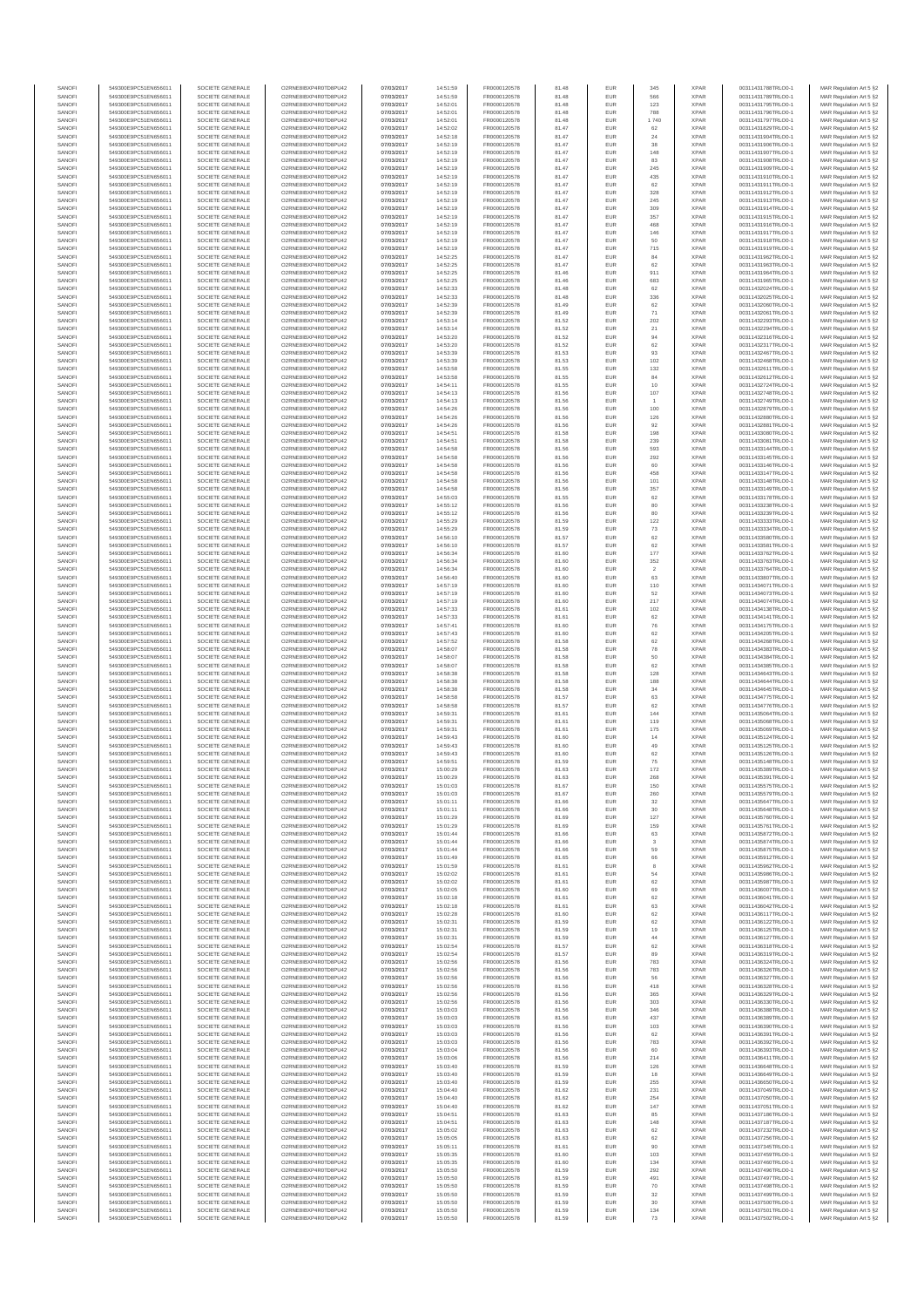| SANOFI<br>SANOFI | 549300E9PC51EN656011<br>549300E9PC51EN656011 | SOCIETE GENERALE<br>SOCIETE GENERALE | O2RNE8IBXP4R0TD8PU42<br>O2RNE8IBXP4R0TD8PU42  | 07/03/2017<br>07/03/2017 | 14:51:59<br>14:51:59 | FR0000120578<br>FR0000120578 | 81.48<br>81.48 | EUR<br>EUR        | 345<br>566        | <b>XPAR</b><br><b>XPAR</b> | 00311431788TRLO0-1<br>00311431789TRLO0-1 | MAR Regulation Art 5 §2                            |
|------------------|----------------------------------------------|--------------------------------------|-----------------------------------------------|--------------------------|----------------------|------------------------------|----------------|-------------------|-------------------|----------------------------|------------------------------------------|----------------------------------------------------|
| SANOFI           | 549300E9PC51EN656011                         | SOCIETE GENERALE                     | O2RNE8IBXP4R0TD8PU42                          | 07/03/2017               | 14:52:01             | FR0000120578                 | 81.48          | <b>EUR</b>        | 123               | <b>XPAR</b>                | 00311431795TRLO0-1                       | MAR Regulation Art 5 §2<br>MAR Regulation Art 5 §2 |
| SANOFI           | 549300E9PC51EN656011                         | SOCIETE GENERALE                     | O2RNE8IBXP4R0TD8PU42                          | 07/03/2017               | 14:52:01             | FR0000120578                 | 81.48          | EUR               | 788               | <b>XPAR</b>                | 00311431796TRLO0-1                       | MAR Regulation Art 5 §2                            |
| SANOFI<br>SANOFI | 549300E9PC51EN656011<br>549300E9PC51EN656011 | SOCIETE GENERALE<br>SOCIETE GENERALE | O2RNE8IBXP4R0TD8PU42<br>O2RNE8IBXP4R0TD8PU42  | 07/03/2017<br>07/03/2017 | 14:52:01<br>14:52:02 | FR0000120578<br>FR0000120578 | 81.48<br>81.47 | <b>EUR</b><br>EUR | 1 740<br>62       | <b>XPAR</b><br><b>XPAR</b> | 00311431797TRLO0-1<br>00311431829TRLO0-1 | MAR Regulation Art 5 §2<br>MAR Regulation Art 5 §2 |
| SANOFI           | 549300E9PC51EN656011                         | SOCIETE GENERALE                     | O2RNE8IBXP4R0TD8PU42                          | 07/03/2017               | 14:52:18             | FR0000120578                 | 81.47          | EUR               | $24\,$            | <b>XPAR</b>                | 00311431904TRLO0-1                       | MAR Regulation Art 5 §2                            |
| SANOFI           | 549300E9PC51EN656011                         | SOCIETE GENERALE                     | O2RNE8IBXP4R0TD8PU42                          | 07/03/2017               | 14:52:19             | FR0000120578                 | 81.47          | EUR               | 38                | <b>XPAR</b>                | 00311431906TRLO0-1                       | MAR Regulation Art 5 §2                            |
| SANOFI<br>SANOFI | 549300E9PC51EN656011<br>549300E9PC51EN656011 | SOCIETE GENERALE<br>SOCIETE GENERALE | O2RNE8IBXP4R0TD8PU42<br>O2RNE8IBXP4R0TD8PU42  | 07/03/2017<br>07/03/2017 | 14:52:19<br>14:52:19 | FR0000120578<br>FR0000120578 | 81.47<br>81.47 | EUR<br><b>EUR</b> | 148<br>83         | <b>XPAR</b><br><b>XPAR</b> | 00311431907TRLO0-1<br>00311431908TRLO0-1 | MAR Regulation Art 5 §2<br>MAR Regulation Art 5 §2 |
| SANOFI           | 549300E9PC51EN656011                         | SOCIETE GENERALE                     | O2RNE8IBXP4R0TD8PU42                          | 07/03/2017               | 14:52:19             | FR0000120578                 | 81.47          | EUR               | 245               | <b>XPAR</b>                | 00311431909TRLO0-1                       | MAR Regulation Art 5 §2                            |
| SANOFI<br>SANOFI | 549300E9PC51EN656011<br>549300E9PC51EN656011 | SOCIETE GENERALE<br>SOCIETE GENERALE | O2RNE8IBXP4R0TD8PU42<br>O2RNE8IBXP4R0TD8PU42  | 07/03/2017<br>07/03/2017 | 14:52:19<br>14:52:19 | FR0000120578<br>FR0000120578 | 81.47<br>81.47 | <b>EUR</b><br>EUR | 435<br>62         | <b>XPAR</b><br><b>XPAR</b> | 00311431910TRLO0-1<br>00311431911TRLO0-1 | MAR Regulation Art 5 §2<br>MAR Regulation Art 5 §2 |
| SANOFI           | 549300E9PC51EN656011                         | SOCIETE GENERALE                     | O2RNE8IBXP4R0TD8PU42                          | 07/03/2017               | 14:52:19             | FR0000120578                 | 81.47          | EUR               | 328               | <b>XPAR</b>                | 00311431912TRLO0-1                       | MAR Regulation Art 5 §2                            |
| SANOFI<br>SANOFI | 549300E9PC51EN656011<br>549300E9PC51EN656011 | SOCIETE GENERALE<br>SOCIETE GENERALE | O2RNE8IBXP4R0TD8PU42<br>O2RNE8IBXP4R0TD8PU42  | 07/03/2017<br>07/03/2017 | 14:52:19<br>14:52:19 | FR0000120578<br>FR0000120578 | 81.47<br>81.47 | EUR<br>EUR        | 245<br>309        | <b>XPAR</b><br><b>XPAR</b> | 00311431913TRLO0-1<br>00311431914TRLO0-1 | MAR Regulation Art 5 §2<br>MAR Regulation Art 5 §2 |
| SANOFI           | 549300E9PC51EN656011                         | SOCIETE GENERALE                     | O2RNE8IBXP4R0TD8PU42                          | 07/03/2017               | 14:52:19             | FR0000120578                 | 81.47          | EUR               | 357               | <b>XPAR</b>                | 00311431915TRLO0-1                       | MAR Regulation Art 5 §2                            |
| SANOFI           | 549300E9PC51EN656011                         | SOCIETE GENERALE                     | O2RNE8IBXP4R0TD8PU42                          | 07/03/2017               | 14:52:19             | FR0000120578                 | 81.47          | EUR               | 468               | <b>XPAR</b>                | 00311431916TRLO0-1                       | MAR Regulation Art 5 §2                            |
| SANOFI<br>SANOFI | 549300E9PC51EN656011<br>549300E9PC51EN656011 | SOCIETE GENERALE<br>SOCIETE GENERALE | O2RNE8IBXP4R0TD8PU42<br>O2RNE8IBXP4R0TD8PU42  | 07/03/2017<br>07/03/2017 | 14:52:19<br>14:52:19 | FR0000120578<br>FR0000120578 | 81.47<br>81.47 | <b>EUR</b><br>EUR | 146<br>50         | <b>XPAR</b><br><b>XPAR</b> | 00311431917TRLO0-1<br>00311431918TRLO0-1 | MAR Regulation Art 5 §2<br>MAR Regulation Art 5 §2 |
| SANOFI           | 549300E9PC51EN656011                         | SOCIETE GENERALE                     | O2RNE8IBXP4R0TD8PU42                          | 07/03/2017               | 14:52:19             | FR0000120578                 | 81.47          | EUR               | 715               | <b>XPAR</b>                | 00311431919TRLO0-1                       | MAR Regulation Art 5 §2                            |
| SANOFI<br>SANOFI | 549300E9PC51EN656011<br>549300E9PC51EN656011 | SOCIETE GENERALE<br>SOCIETE GENERALE | O2RNE8IBXP4R0TD8PU42<br>O2RNE8IBXP4R0TD8PU42  | 07/03/2017<br>07/03/2017 | 14:52:25<br>14:52:25 | FR0000120578<br>FR0000120578 | 81.47<br>81.47 | EUR<br>EUR        | 84<br>62          | <b>XPAR</b><br><b>XPAR</b> | 00311431962TRLO0-1<br>00311431963TRLO0-1 | MAR Regulation Art 5 §2<br>MAR Regulation Art 5 §2 |
| SANOFI           | 549300E9PC51EN656011                         | SOCIETE GENERALE                     | O2RNE8IBXP4R0TD8PU42                          | 07/03/2017               | 14:52:25             | FR0000120578                 | 81.46          | EUR               | 911               | <b>XPAR</b>                | 00311431964TRLO0-1                       | MAR Regulation Art 5 §2                            |
| SANOFI           | 549300E9PC51EN656011                         | SOCIETE GENERALE                     | O2RNE8IBXP4R0TD8PU42                          | 07/03/2017               | 14:52:25             | FR0000120578                 | 81.46          | EUR               | 683               | <b>XPAR</b>                | 00311431965TRLO0-1                       | MAR Regulation Art 5 §2                            |
| SANOFI<br>SANOFI | 549300E9PC51EN656011<br>549300E9PC51EN656011 | SOCIETE GENERALE<br>SOCIETE GENERALE | O2RNE8IBXP4R0TD8PU42<br>O2RNE8IBXP4R0TD8PU42  | 07/03/2017<br>07/03/2017 | 14:52:33<br>14:52:33 | FR0000120578<br>FR0000120578 | 81.48<br>81.48 | EUR<br>EUR        | 62<br>336         | <b>XPAR</b><br><b>XPAR</b> | 00311432024TRLO0-1<br>00311432025TRLO0-1 | MAR Regulation Art 5 §2<br>MAR Regulation Art 5 §2 |
| SANOFI           | 549300E9PC51EN656011                         | SOCIETE GENERALE                     | O2RNE8IBXP4R0TD8PU42                          | 07/03/2017               | 14:52:39             | FR0000120578                 | 81.49          | EUR               | 62                | <b>XPAR</b>                | 00311432060TRLO0-1                       | MAR Regulation Art 5 §2                            |
| SANOFI<br>SANOFI | 549300E9PC51EN656011<br>549300E9PC51EN656011 | SOCIETE GENERALE<br>SOCIETE GENERALE | O2RNE8IBXP4R0TD8PU42<br>O2RNE8IBXP4R0TD8PU42  | 07/03/2017<br>07/03/2017 | 14:52:39<br>14:53:14 | FR0000120578<br>FR0000120578 | 81.49<br>81.52 | EUR<br>EUR        | 71<br>202         | <b>XPAR</b><br><b>XPAR</b> | 00311432061TRLO0-1<br>00311432293TRLO0-1 | MAR Regulation Art 5 §2<br>MAR Regulation Art 5 §2 |
| SANOFI           | 549300E9PC51EN656011                         | SOCIETE GENERALE                     | O2RNE8IBXP4R0TD8PU42                          | 07/03/2017               | 14:53:14             | FR0000120578                 | 81.52          | EUR               | 21                | <b>XPAR</b>                | 00311432294TRLO0-1                       | MAR Regulation Art 5 §2                            |
| SANOFI           | 549300E9PC51EN656011                         | SOCIETE GENERALE                     | O2RNE8IBXP4R0TD8PU42                          | 07/03/2017               | 14:53:20             | FR0000120578                 | 81.52          | EUR               | 94                | <b>XPAR</b>                | 00311432316TRLO0-1                       | MAR Regulation Art 5 §2                            |
| SANOFI<br>SANOFI | 549300E9PC51EN656011<br>549300E9PC51EN656011 | SOCIETE GENERALE<br>SOCIETE GENERALE | O2RNE8IBXP4R0TD8PU42<br>O2RNE8IBXP4R0TD8PU42  | 07/03/2017<br>07/03/2017 | 14:53:20<br>14:53:39 | FR0000120578<br>FR0000120578 | 81.52<br>81.53 | EUR<br>EUR        | 62<br>93          | <b>XPAR</b><br><b>XPAR</b> | 00311432317TRLO0-1<br>00311432467TRLO0-1 | MAR Regulation Art 5 §2<br>MAR Regulation Art 5 §2 |
| SANOFI           | 549300E9PC51EN656011                         | SOCIETE GENERALE                     | O2RNE8IBXP4R0TD8PU42                          | 07/03/2017               | 14:53:39             | FR0000120578                 | 81.53          | EUR               | $102\,$           | <b>XPAR</b>                | 00311432468TRLO0-1                       | MAR Regulation Art 5 §2                            |
| SANOFI<br>SANOFI | 549300E9PC51EN656011<br>549300E9PC51EN656011 | SOCIETE GENERALE<br>SOCIETE GENERALE | O2RNE8IBXP4R0TD8PU42<br>O2RNE8IBXP4R0TD8PU42  | 07/03/2017<br>07/03/2017 | 14:53:58<br>14:53:58 | FR0000120578<br>FR0000120578 | 81.55<br>81.55 | EUR<br>EUR        | 132<br>84         | <b>XPAR</b><br><b>XPAR</b> | 00311432611TRLO0-1<br>00311432612TRLO0-1 | MAR Regulation Art 5 §2<br>MAR Regulation Art 5 §2 |
| SANOFI           | 549300E9PC51EN656011                         | SOCIETE GENERALE                     | O2RNE8IBXP4R0TD8PU42                          | 07/03/2017               | 14:54:11             | FR0000120578                 | 81.55          | EUR               | 10                | <b>XPAR</b>                | 00311432724TRLO0-1                       | MAR Regulation Art 5 §2                            |
| SANOFI           | 549300E9PC51EN656011                         | SOCIETE GENERALE                     | O2RNE8IBXP4R0TD8PLI42<br>O2RNE8IBXP4R0TD8PU42 | 07/03/2017               | 14:54:13             | FR0000120578                 | 81.56          | EUR               | 107               | <b>XPAR</b>                | 00311432748TRLO0-1                       | MAR Regulation Art 5 §2                            |
| SANOFI<br>SANOFI | 549300E9PC51EN656011<br>549300E9PC51EN656011 | SOCIETE GENERALE<br>SOCIETE GENERALE | O2RNE8IBXP4R0TD8PU42                          | 07/03/2017<br>07/03/2017 | 14:54:13<br>14:54:26 | FR0000120578<br>FR0000120578 | 81.56<br>81.56 | EUR<br>EUR        | 100               | <b>XPAR</b><br><b>XPAR</b> | 00311432749TRLO0-1<br>00311432879TRLO0-1 | MAR Regulation Art 5 §2<br>MAR Regulation Art 5 §2 |
| SANOFI           | 549300E9PC51EN656011                         | SOCIETE GENERALE                     | O2RNE8IBXP4R0TD8PU42                          | 07/03/2017               | 14:54:26             | FR0000120578                 | 81.56          | EUR               | 126               | <b>XPAR</b>                | 00311432880TRLO0-1                       | MAR Regulation Art 5 §2                            |
| SANOFI<br>SANOFI | 549300E9PC51EN656011<br>549300E9PC51EN656011 | SOCIETE GENERALE<br>SOCIETE GENERALE | O2RNE8IBXP4R0TD8PU42<br>O2RNE8IBXP4R0TD8PU42  | 07/03/2017<br>07/03/2017 | 14:54:26<br>14:54:51 | FR0000120578<br>FR0000120578 | 81.56<br>81.58 | EUR<br>EUR        | $92\,$<br>198     | <b>XPAR</b><br><b>XPAR</b> | 00311432881TRLO0-1<br>00311433080TRLO0-1 | MAR Regulation Art 5 §2<br>MAR Regulation Art 5 §2 |
| SANOFI           | 549300E9PC51EN656011                         | SOCIETE GENERALE                     | O2RNE8IBXP4R0TD8PU42                          | 07/03/2017               | 14:54:51             | FR0000120578                 | 81.58          | EUR               | 239               | <b>XPAR</b>                | 00311433081TRLO0-1                       | MAR Regulation Art 5 §2                            |
| SANOFI           | 549300E9PC51EN656011                         | SOCIETE GENERALE<br>SOCIETE GENERALE | O2RNE8IBXP4R0TD8PU42                          | 07/03/2017               | 14:54:58             | FR0000120578                 | 81.56          | <b>EUR</b>        | 593               | <b>XPAR</b>                | 00311433144TRLO0-1                       | MAR Regulation Art 5 §2                            |
| SANOFI<br>SANOFI | 549300E9PC51EN656011<br>549300E9PC51EN656011 | SOCIETE GENERALE                     | O2RNE8IBXP4R0TD8PU42<br>O2RNE8IBXP4R0TD8PU42  | 07/03/2017<br>07/03/2017 | 14:54:58<br>14:54:58 | FR0000120578<br>FR0000120578 | 81.56<br>81.56 | EUR<br><b>EUR</b> | 292<br>60         | <b>XPAR</b><br><b>XPAR</b> | 00311433145TRLO0-1<br>00311433146TRLO0-1 | MAR Regulation Art 5 §2<br>MAR Regulation Art 5 §2 |
| SANOFI           | 549300E9PC51EN656011                         | SOCIETE GENERALE                     | O2RNE8IBXP4R0TD8PU42                          | 07/03/2017               | 14:54:58             | FR0000120578                 | 81.56          | EUR               | 458               | <b>XPAR</b>                | 00311433147TRLO0-1                       | MAR Regulation Art 5 §2                            |
| SANOFI<br>SANOFI | 549300E9PC51EN656011<br>549300E9PC51EN656011 | SOCIETE GENERALE<br>SOCIETE GENERALE | O2RNE8IBXP4R0TD8PU42<br>O2RNE8IBXP4R0TD8PU42  | 07/03/2017<br>07/03/2017 | 14:54:58<br>14:54:58 | FR0000120578<br>FR0000120578 | 81.56<br>81.56 | EUR<br>EUR        | 101<br>357        | <b>XPAR</b><br><b>XPAR</b> | 00311433148TRLO0-1<br>00311433149TRLO0-1 | MAR Regulation Art 5 §2<br>MAR Regulation Art 5 §2 |
| SANOFI           | 549300E9PC51EN656011                         | SOCIETE GENERALE                     | O2RNE8IBXP4R0TD8PU42                          | 07/03/2017               | 14:55:03             | FR0000120578                 | 81.55          | EUR               | 62                | <b>XPAR</b>                | 00311433178TRLO0-1                       | MAR Regulation Art 5 §2                            |
| SANOFI<br>SANOFI | 549300E9PC51EN656011<br>549300E9PC51EN656011 | SOCIETE GENERALE<br>SOCIETE GENERALE | O2RNE8IBXP4R0TD8PU42<br>O2RNE8IBXP4R0TD8PU42  | 07/03/2017<br>07/03/2017 | 14:55:12<br>14:55:12 | FR0000120578<br>FR0000120578 | 81.56<br>81.56 | EUR<br>EUR        | 80<br>80          | <b>XPAR</b><br><b>XPAR</b> | 00311433238TRLO0-1<br>00311433239TRLO0-1 | MAR Regulation Art 5 §2                            |
| SANOFI           | 549300E9PC51EN656011                         | SOCIETE GENERALE                     | O2RNE8IBXP4R0TD8PU42                          | 07/03/2017               | 14:55:29             | FR0000120578                 | 81.59          | EUR               | 122               | <b>XPAR</b>                | 00311433333TRLO0-1                       | MAR Regulation Art 5 §2<br>MAR Regulation Art 5 §2 |
| SANOFI           | 549300E9PC51EN656011                         | SOCIETE GENERALE                     | O2RNE8IBXP4R0TD8PU42                          | 07/03/2017               | 14:55:29             | FR0000120578                 | 81.59          | EUR               | 73                | <b>XPAR</b>                | 00311433334TRLO0-1                       | MAR Regulation Art 5 §2                            |
| SANOFI<br>SANOFI | 549300E9PC51EN656011<br>549300E9PC51EN656011 | SOCIETE GENERALE<br>SOCIETE GENERALE | O2RNE8IBXP4R0TD8PU42<br>O2RNE8IBXP4R0TD8PU42  | 07/03/2017<br>07/03/2017 | 14:56:10<br>14:56:10 | FR0000120578<br>FR0000120578 | 81.57<br>81.57 | EUR<br>EUR        | $62\,$<br>62      | <b>XPAR</b><br><b>XPAR</b> | 00311433580TRLO0-1<br>00311433581TRLO0-1 | MAR Regulation Art 5 §2<br>MAR Regulation Art 5 §2 |
| SANOFI           | 549300E9PC51EN656011                         | SOCIETE GENERALE                     | O2RNE8IBXP4R0TD8PU42                          | 07/03/2017               | 14:56:34             | FR0000120578                 | 81.60          | EUR               | 177               | <b>XPAR</b>                | 00311433762TRLO0-1                       | MAR Regulation Art 5 §2                            |
| SANOFI<br>SANOFI | 549300E9PC51EN656011<br>549300E9PC51EN656011 | SOCIETE GENERALE<br>SOCIETE GENERALE | O2RNE8IBXP4R0TD8PU42<br>O2RNE8IBXP4R0TD8PU42  | 07/03/2017               | 14:56:34             | FR0000120578<br>FR0000120578 | 81.60<br>81.60 | EUR<br>EUR        | 352<br>$\sqrt{2}$ | <b>XPAR</b><br><b>XPAR</b> | 00311433763TRLO0-1<br>00311433764TRLO0-1 | MAR Regulation Art 5 §2<br>MAR Regulation Art 5 §2 |
| SANOFI           | 549300E9PC51EN656011                         | SOCIETE GENERALE                     | O2RNE8IBXP4R0TD8PU42                          | 07/03/2017<br>07/03/2017 | 14:56:34<br>14:56:40 | FR0000120578                 | 81.60          | <b>EUR</b>        | 63                | <b>XPAR</b>                | 00311433807TRLO0-1                       | MAR Regulation Art 5 §2                            |
| SANOFI           | 549300E9PC51EN656011                         | SOCIETE GENERALE                     | O2RNE8IBXP4R0TD8PU42                          | 07/03/2017               | 14:57:19             | FR0000120578                 | 81.60          | EUR               | 110               | <b>XPAR</b>                | 00311434071TRLO0-1                       | MAR Regulation Art 5 §2                            |
| SANOFI<br>SANOFI | 549300E9PC51EN656011<br>549300E9PC51EN656011 | SOCIETE GENERALE<br>SOCIETE GENERALE | O2RNE8IBXP4R0TD8PU42<br>O2RNE8IBXP4R0TD8PU42  | 07/03/2017<br>07/03/2017 | 14:57:19<br>14:57:19 | FR0000120578<br>FR0000120578 | 81.60<br>81.60 | EUR<br>EUR        | 52<br>217         | <b>XPAR</b><br><b>XPAR</b> | 00311434073TRLO0-1<br>00311434074TRLO0-1 | MAR Regulation Art 5 §2<br>MAR Regulation Art 5 §2 |
| SANOFI           | 549300E9PC51EN656011                         | SOCIETE GENERALE                     | O2RNE8IBXP4R0TD8PU42                          | 07/03/2017               | 14:57:33             | FR0000120578                 | 81.61          | EUR               | 102               | <b>XPAR</b>                | 00311434138TRLO0-1                       | MAR Regulation Art 5 §2                            |
| SANOFI<br>SANOFI | 549300E9PC51EN656011<br>549300E9PC51EN656011 | SOCIETE GENERALE<br>SOCIETE GENERALE | O2RNE8IBXP4R0TD8PU42<br>O2RNE8IBXP4R0TD8PU42  | 07/03/2017<br>07/03/2017 | 14:57:33<br>14:57:41 | FR0000120578<br>FR0000120578 | 81.61<br>81.60 | EUR<br>EUR        | 62<br>${\bf 76}$  | <b>XPAR</b><br><b>XPAR</b> | 00311434141TRLO0-1<br>00311434175TRLO0-1 | MAR Regulation Art 5 §2<br>MAR Regulation Art 5 §2 |
| SANOFI           | 549300E9PC51EN656011                         | SOCIETE GENERALE                     | O2RNE8IBXP4R0TD8PU42                          | 07/03/2017               | 14:57:43             | FR0000120578                 | 81.60          | EUR               | 62                | <b>XPAR</b>                | 00311434205TRLO0-1                       | MAR Regulation Art 5 §2                            |
| SANOFI           | 549300E9PC51EN656011                         | SOCIETE GENERALE                     | O2RNE8IBXP4R0TD8PU42                          | 07/03/2017               | 14:57:52             | FR0000120578                 | 81.58          | EUR               | 62                | <b>XPAR</b>                | 00311434268TRLO0-1                       | MAR Regulation Art 5 §2                            |
| SANOFI<br>SANOFI | 549300E9PC51EN656011<br>549300E9PC51EN656011 | SOCIETE GENERALE<br>SOCIETE GENERALE | O2RNE8IBXP4R0TD8PU42<br>O2RNE8IBXP4R0TD8PU42  | 07/03/2017<br>07/03/2017 | 14:58:07<br>14:58:07 | FR0000120578<br>FR0000120578 | 81.58<br>81.58 | EUR<br>EUR        | 78<br>50          | <b>XPAR</b><br><b>XPAR</b> | 00311434383TRLO0-1<br>00311434384TRLO0-1 | MAR Regulation Art 5 §2<br>MAR Regulation Art 5 §2 |
| SANOFI           | 549300E9PC51EN656011                         | SOCIETE GENERALE                     | O2RNE8IBXP4R0TD8PU42                          | 07/03/2017               | 14:58:07             | FR0000120578                 | 81.58          | <b>EUR</b>        | 62                | <b>XPAR</b>                | 00311434385TRLO0-1                       | MAR Regulation Art 5 §2                            |
| SANOFI<br>SANOFI | 549300E9PC51EN656011<br>549300E9PC51EN656011 | SOCIETE GENERALE<br>SOCIETE GENERALE | O2RNE8IBXP4R0TD8PU42<br>O2RNE8IBXP4R0TD8PU42  | 07/03/2017<br>07/03/2017 | 14:58:38<br>14:58:38 | FR0000120578<br>FR0000120578 | 81.58<br>81.58 | EUR<br>EUR        | 128<br>188        | <b>XPAR</b><br><b>XPAR</b> | 00311434643TRLO0-1<br>00311434644TRLO0-1 | MAR Regulation Art 5 §2<br>MAR Regulation Art 5 §2 |
| SANOFI           | 549300E9PC51EN656011                         | SOCIETE GENERALE                     | O2RNE8IBXP4R0TD8PU42                          | 07/03/2017               | 14:58:38             | FR0000120578                 | 81.58          | EUR               | 34                | <b>XPAR</b>                | 00311434645TRLO0-1                       | MAR Regulation Art 5 §2                            |
| SANOFI           | 549300E9PC51EN656011                         | SOCIETE GENERALE                     | O2RNE8IBXP4R0TD8PU42                          | 07/03/2017               | 14:58:58             | FR0000120578                 | 81.57          | EUR               | 63                | <b>XPAR</b>                | 00311434775TRLO0-1                       | MAR Regulation Art 5 §2                            |
| SANOFI<br>SANOFI | 549300E9PC51EN656011<br>549300E9PC51EN656011 | SOCIETE GENERALE<br>SOCIETE GENERALE | O2RNE8IBXP4R0TD8PU42<br>O2RNE8IBXP4R0TD8PU42  | 07/03/2017<br>07/03/2017 | 14:58:58<br>14:59:31 | FR0000120578<br>FR0000120578 | 81.57<br>81.61 | EUR<br>EUR        | 62<br>144         | <b>XPAR</b><br><b>XPAR</b> | 00311434776TRLO0-1<br>00311435064TRLO0-1 | MAR Regulation Art 5 §2<br>MAR Regulation Art 5 §2 |
| SANOFI           | 549300E9PC51EN656011                         | SOCIETE GENERALE                     | O2RNE8IBXP4R0TD8PU42                          | 07/03/2017               | 14:59:31             | FR0000120578                 | 81.61          | <b>EUR</b>        | 119               | <b>XPAR</b>                | 00311435068TRLO0-1                       | MAR Regulation Art 5 §2                            |
| SANOFI<br>SANOFI | 549300E9PC51EN656011<br>549300E9PC51EN656011 | SOCIETE GENERALE<br>SOCIETE GENERALE | O2RNE8IBXP4R0TD8PU42<br>O2RNE8IBXP4R0TD8PU42  | 07/03/2017<br>07/03/2017 | 14:59:31<br>14:59:43 | FR0000120578<br>FR0000120578 | 81.61<br>81.60 | EUR<br>EUR        | 175<br>14         | <b>XPAR</b><br><b>XPAR</b> | 00311435069TRLO0-1<br>00311435124TRLO0-1 | MAR Regulation Art 5 §2<br>MAR Regulation Art 5 §2 |
| SANOFI           | 549300E9PC51EN656011                         | SOCIETE GENERALE                     | O2RNE8IBXP4R0TD8PU42                          | 07/03/2017               | 14:59:43             | FR0000120578                 | 81.60          | EUR               | 49                | <b>XPAR</b>                | 00311435125TRLO0-1                       | MAR Regulation Art 5 §2                            |
| SANOFI           | 549300E9PC51EN656011                         | SOCIETE GENERALE                     | O2RNE8IBXP4R0TD8PU42                          | 07/03/2017               | 14:59:43             | FR0000120578                 | 81.60          | EUR               | 62                | <b>XPAR</b>                | 00311435126TRLO0-1                       | MAR Regulation Art 5 §2                            |
| SANOFI<br>SANOFI | 549300E9PC51EN656011<br>549300E9PC51EN656011 | SOCIETE GENERALE<br>SOCIETE GENERALE | O2RNE8IBXP4R0TD8PU42<br>O2RNE8IBXP4R0TD8PU42  | 07/03/2017<br>07/03/2017 | 14:59:51<br>15:00:29 | FR0000120578<br>FR0000120578 | 81.59<br>81.63 | EUR<br>EUR        | ${\bf 75}$<br>172 | <b>XPAR</b><br><b>XPAR</b> | 00311435148TRLO0-1<br>00311435389TRLO0-1 | MAR Regulation Art 5 §2<br>MAR Regulation Art 5 §2 |
| SANOFI           | 549300E9PC51EN656011                         | SOCIETE GENERALE                     | O2RNE8IBXP4R0TD8PU42                          | 07/03/2017               | 15:00:29             | FR0000120578                 | 81.63          | <b>EUR</b>        | 268               | <b>XPAR</b>                | 00311435391TRLO0-1                       | MAR Regulation Art 5 §2                            |
| SANOF<br>SANOFI  | 549300E9PC51EN656011<br>549300E9PC51EN656011 | SOCIETE GENERALE<br>SOCIETE GENERALE | O2RNE8IBXP4R0TD8PU42<br>O2RNE8IBXP4R0TD8PU42  | 07/03/2017<br>07/03/2017 | 15:01:03<br>15:01:03 | FR0000120578<br>FR0000120578 | 81.67<br>81.67 | <b>EUR</b>        | 150<br>260        | <b>XPAF</b><br><b>XPAR</b> | 00311435575TRLO0-1<br>00311435579TRLO0-1 | MAR Regulation Art 5 §2<br>MAR Regulation Art 5 §2 |
| SANOFI           | 549300E9PC51EN656011                         | SOCIETE GENERALE                     | O2RNE8IBXP4R0TD8PU42                          | 07/03/2017               | 15:01:11             | FR0000120578                 | 81.66          | EUR               | 32                | <b>XPAR</b>                | 00311435647TRLO0-1                       | MAR Regulation Art 5 §2                            |
| SANOFI<br>SANOFI | 549300E9PC51EN656011<br>549300E9PC51EN656011 | SOCIETE GENERALE<br>SOCIETE GENERALE | O2RNE8IBXP4R0TD8PU42<br>O2RNE8IBXP4R0TD8PU42  | 07/03/2017<br>07/03/2017 | 15:01:11             | FR0000120578                 | 81.66<br>81.69 | <b>EUR</b><br>EUR | 30<br>127         | <b>XPAR</b><br><b>XPAR</b> | 00311435648TRLO0-1<br>00311435760TRLO0-1 | MAR Regulation Art 5 §2                            |
| SANOFI           | 549300E9PC51EN656011                         | SOCIETE GENERALE                     | O2RNE8IBXP4R0TD8PU42                          | 07/03/2017               | 15:01:29<br>15:01:29 | FR0000120578<br>FR0000120578 | 81.69          | EUR               | 159               | <b>XPAR</b>                | 00311435761TRLO0-1                       | MAR Regulation Art 5 §2<br>MAR Regulation Art 5 §2 |
| SANOFI           | 549300E9PC51EN656011                         | SOCIETE GENERALE                     | O2RNE8IBXP4R0TD8PU42                          | 07/03/2017               | 15:01:44             | FR0000120578                 | 81.66          | EUR               | 63                | <b>XPAR</b>                | 00311435872TRLO0-1                       | MAR Regulation Art 5 §2                            |
| SANOFI<br>SANOFI | 549300E9PC51EN656011<br>549300E9PC51EN656011 | SOCIETE GENERALE<br>SOCIETE GENERALE | O2RNE8IBXP4R0TD8PU42<br>O2RNE8IBXP4R0TD8PU42  | 07/03/2017<br>07/03/2017 | 15:01:44<br>15:01:44 | FR0000120578<br>FR0000120578 | 81.66<br>81.66 | EUR<br><b>EUR</b> | 3<br>59           | <b>XPAR</b><br><b>XPAR</b> | 00311435874TRLO0-1<br>00311435875TRLO0-1 | MAR Regulation Art 5 §2<br>MAR Regulation Art 5 §2 |
| SANOFI           | 549300E9PC51EN656011                         | SOCIETE GENERALE                     | O2RNE8IBXP4R0TD8PU42                          | 07/03/2017               | 15:01:49             | FR0000120578                 | 81.65          | EUR               | 66                | <b>XPAR</b>                | 00311435912TRLO0-1                       | MAR Regulation Art 5 §2                            |
| SANOFI<br>SANOFI | 549300E9PC51EN656011<br>549300E9PC51EN656011 | SOCIETE GENERALE<br>SOCIETE GENERALE | O2RNE8IBXP4R0TD8PU42<br>O2RNE8IBXP4R0TD8PU42  | 07/03/2017<br>07/03/2017 | 15:01:59<br>15:02:02 | FR0000120578<br>FR0000120578 | 81.61<br>81.61 | <b>EUR</b><br>EUR | 8<br>54           | <b>XPAR</b><br><b>XPAR</b> | 00311435962TRLO0-1<br>00311435986TRLO0-1 | MAR Regulation Art 5 §2<br>MAR Regulation Art 5 §2 |
| SANOFI           | 549300E9PC51EN656011                         | SOCIETE GENERALE                     | O2RNE8IBXP4R0TD8PU42                          | 07/03/2017               | 15:02:02             | FR0000120578                 | 81.61          | EUR               | $62\,$            | <b>XPAR</b>                | 00311435987TRLO0-1                       | MAR Regulation Art 5 §2                            |
| SANOFI<br>SANOFI | 549300E9PC51EN656011<br>549300E9PC51EN656011 | SOCIETE GENERALE<br>SOCIETE GENERALE | O2RNE8IBXP4R0TD8PU42<br>O2RNE8IBXP4R0TD8PU42  | 07/03/2017<br>07/03/2017 | 15:02:05<br>15:02:18 | FR0000120578<br>FR0000120578 | 81.60<br>81.61 | EUR<br>EUR        | 69<br>62          | <b>XPAR</b><br><b>XPAR</b> | 00311436007TRLO0-1<br>00311436041TRLO0-1 | MAR Regulation Art 5 §2<br>MAR Regulation Art 5 §2 |
| SANOFI           | 549300E9PC51EN656011                         | SOCIETE GENERALE                     | O2RNE8IBXP4R0TD8PU42                          | 07/03/2017               | 15:02:18             | FR0000120578                 | 81.61          | EUR               | 63                | <b>XPAR</b>                | 00311436042TRLO0-1                       | MAR Regulation Art 5 §2                            |
| SANOFI<br>SANOFI | 549300E9PC51EN656011<br>549300E9PC51EN656011 | SOCIETE GENERALE<br>SOCIETE GENERALE | O2RNE8IBXP4R0TD8PU42<br>O2RNE8IBXP4R0TD8PU42  | 07/03/2017<br>07/03/2017 | 15:02:28<br>15:02:31 | FR0000120578<br>FR0000120578 | 81.60<br>81.59 | EUR<br><b>EUR</b> | 62<br>62          | <b>XPAR</b><br><b>XPAR</b> | 00311436117TRLO0-1<br>00311436122TRLO0-1 | MAR Regulation Art 5 §2<br>MAR Regulation Art 5 §2 |
| SANOFI           | 549300E9PC51EN656011                         | SOCIETE GENERALE                     | O2RNE8IBXP4R0TD8PU42                          | 07/03/2017               | 15:02:31             | FR0000120578                 | 81.59          | EUR               | 19                | <b>XPAR</b>                | 00311436125TRLO0-1                       | MAR Regulation Art 5 §2                            |
| SANOFI<br>SANOFI | 549300E9PC51EN656011                         | SOCIETE GENERALE<br>SOCIETE GENERALE | O2RNE8IBXP4R0TD8PU42<br>O2RNE8IBXP4R0TD8PU42  | 07/03/2017               | 15:02:31<br>15:02:54 | FR0000120578                 | 81.59<br>81.57 | <b>EUR</b><br>EUR | 44<br>62          | <b>XPAR</b><br><b>XPAR</b> | 00311436127TRLO0-1                       | MAR Regulation Art 5 §2                            |
| SANOFI           | 549300E9PC51EN656011<br>549300E9PC51EN656011 | SOCIETE GENERALE                     | O2RNE8IBXP4R0TD8PU42                          | 07/03/2017<br>07/03/2017 | 15:02:54             | FR0000120578<br>FR0000120578 | 81.57          | EUR               | 89                | <b>XPAR</b>                | 00311436318TRLO0-1<br>00311436319TRLO0-1 | MAR Regulation Art 5 §2<br>MAR Regulation Art 5 §2 |
| SANOFI           | 549300E9PC51EN656011                         | SOCIETE GENERALE                     | O2RNE8IBXP4R0TD8PU42                          | 07/03/2017               | 15:02:56             | FR0000120578                 | 81.56          | EUR               | 783               | <b>XPAR</b>                | 00311436324TRLO0-1                       | MAR Regulation Art 5 §2                            |
| SANOFI<br>SANOFI | 549300E9PC51EN656011<br>549300E9PC51EN656011 | SOCIETE GENERALE<br>SOCIETE GENERALE | O2RNE8IBXP4R0TD8PU42<br>O2RNE8IBXP4R0TD8PU42  | 07/03/2017<br>07/03/2017 | 15:02:56<br>15:02:56 | FR0000120578<br>FR0000120578 | 81.56<br>81.56 | EUR<br>EUR        | 783<br>56         | <b>XPAR</b><br><b>XPAR</b> | 00311436326TRLO0-1<br>00311436327TRLO0-1 | MAR Regulation Art 5 §2<br>MAR Regulation Art 5 §2 |
| SANOFI           | 549300E9PC51EN656011                         | SOCIETE GENERALE                     | O2RNE8IBXP4R0TD8PU42                          | 07/03/2017               | 15:02:56             | FR0000120578                 | 81.56          | EUR               | 418               | <b>XPAR</b>                | 00311436328TRLO0-1                       | MAR Regulation Art 5 §2                            |
| SANOFI<br>SANOFI | 549300E9PC51EN656011<br>549300E9PC51EN656011 | SOCIETE GENERALE<br>SOCIETE GENERALE | O2RNE8IBXP4R0TD8PU42<br>O2RNE8IBXP4R0TD8PU42  | 07/03/2017<br>07/03/2017 | 15:02:56<br>15:02:56 | FR0000120578<br>FR0000120578 | 81.56<br>81.56 | <b>EUR</b><br>EUR | 365<br>303        | <b>XPAR</b><br><b>XPAR</b> | 00311436329TRLO0-1<br>00311436330TRLO0-1 | MAR Regulation Art 5 §2<br>MAR Regulation Art 5 §2 |
| SANOFI           | 549300E9PC51EN656011                         | SOCIETE GENERALE                     | O2RNE8IBXP4R0TD8PU42                          | 07/03/2017               | 15:03:03             | FR0000120578                 | 81.56          | <b>EUR</b>        | 346               | <b>XPAR</b>                | 00311436388TRLO0-1                       | MAR Regulation Art 5 §2                            |
| SANOFI           | 549300E9PC51EN656011                         | SOCIETE GENERALE                     | O2RNE8IBXP4R0TD8PU42                          | 07/03/2017               | 15:03:03             | FR0000120578                 | 81.56          | EUR               | 437               | <b>XPAR</b>                | 00311436389TRLO0-1                       | MAR Regulation Art 5 §2                            |
| SANOFI<br>SANOFI | 549300E9PC51EN656011<br>549300E9PC51EN656011 | SOCIETE GENERALE<br>SOCIETE GENERALE | O2RNE8IBXP4R0TD8PU42<br>O2RNE8IBXP4R0TD8PU42  | 07/03/2017<br>07/03/2017 | 15:03:03<br>15:03:03 | FR0000120578<br>FR0000120578 | 81.56<br>81.56 | EUR<br>EUR        | 103<br>62         | <b>XPAR</b><br><b>XPAR</b> | 00311436390TRLO0-1<br>00311436391TRLO0-1 | MAR Regulation Art 5 §2<br>MAR Regulation Art 5 §2 |
| SANOFI           | 549300E9PC51EN656011                         | SOCIETE GENERALE                     | O2RNE8IBXP4R0TD8PU42                          | 07/03/2017               | 15:03:03             | FR0000120578                 | 81.56          | EUR               | 783               | <b>XPAR</b>                | 00311436392TRLO0-1                       | MAR Regulation Art 5 §2                            |
| SANOFI<br>SANOFI | 549300E9PC51EN656011<br>549300E9PC51EN656011 | SOCIETE GENERALE<br>SOCIETE GENERALE | O2RNE8IBXP4R0TD8PU42<br>O2RNE8IBXP4R0TD8PU42  | 07/03/2017<br>07/03/2017 | 15:03:04<br>15:03:06 | FR0000120578<br>FR0000120578 | 81.56<br>81.56 | <b>EUR</b><br>EUR | 60<br>214         | <b>XPAR</b><br><b>XPAR</b> | 00311436393TRLO0-1<br>00311436411TRLO0-1 | MAR Regulation Art 5 §2                            |
| SANOFI           | 549300E9PC51EN656011                         | SOCIETE GENERALE                     | O2RNE8IBXP4R0TD8PU42                          | 07/03/2017               | 15:03:40             | FR0000120578                 | 81.59          | <b>EUR</b>        | 126               | <b>XPAR</b>                | 00311436648TRLO0-1                       | MAR Regulation Art 5 §2<br>MAR Regulation Art 5 §2 |
| SANOFI           | 549300E9PC51EN656011                         | SOCIETE GENERALE                     | O2RNE8IBXP4R0TD8PU42                          | 07/03/2017               | 15:03:40             | FR0000120578                 | 81.59          | EUR               | 18                | <b>XPAR</b>                | 00311436649TRLO0-1                       | MAR Regulation Art 5 §2                            |
| SANOFI<br>SANOFI | 549300E9PC51EN656011<br>549300E9PC51EN656011 | SOCIETE GENERALE<br>SOCIETE GENERALE | O2RNE8IBXP4R0TD8PU42<br>O2RNE8IBXP4R0TD8PU42  | 07/03/2017<br>07/03/2017 | 15:03:40<br>15:04:40 | FR0000120578<br>FR0000120578 | 81.59<br>81.62 | <b>EUR</b><br>EUR | 255<br>231        | <b>XPAR</b><br><b>XPAR</b> | 00311436650TRLO0-1<br>00311437049TRLO0-1 | MAR Regulation Art 5 §2<br>MAR Regulation Art 5 §2 |
| SANOFI           | 549300E9PC51EN656011                         | SOCIETE GENERALE                     | O2RNE8IBXP4R0TD8PU42                          | 07/03/2017               | 15:04:40             | FR0000120578                 | 81.62          | EUR               | 254               | <b>XPAR</b>                | 00311437050TRLO0-1                       | MAR Regulation Art 5 §2                            |
| SANOFI<br>SANOFI | 549300E9PC51EN656011<br>549300E9PC51EN656011 | SOCIETE GENERALE<br>SOCIETE GENERALE | O2RNE8IBXP4R0TD8PU42<br>O2RNE8IBXP4R0TD8PU42  | 07/03/2017<br>07/03/2017 | 15:04:40<br>15:04:51 | FR0000120578<br>FR0000120578 | 81.62<br>81.63 | EUR<br>EUR        | 147<br>85         | <b>XPAR</b><br><b>XPAR</b> | 00311437051TRLO0-1<br>00311437186TRLO0-1 | MAR Regulation Art 5 §2<br>MAR Regulation Art 5 §2 |
| SANOFI           | 549300E9PC51EN656011                         | SOCIETE GENERALE                     | O2RNE8IBXP4R0TD8PU42                          | 07/03/2017               | 15:04:51             | FR0000120578                 | 81.63          | <b>EUR</b>        | 148               | <b>XPAR</b>                | 00311437187TRLO0-1                       | MAR Regulation Art 5 §2                            |
| SANOFI           | 549300E9PC51EN656011                         | SOCIETE GENERALE                     | O2RNE8IBXP4R0TD8PU42                          | 07/03/2017               | 15:05:02             | FR0000120578                 | 81.63          | EUR               | 62                | <b>XPAR</b>                | 00311437232TRLO0-1                       | MAR Regulation Art 5 §2                            |
| SANOFI<br>SANOFI | 549300E9PC51EN656011<br>549300E9PC51EN656011 | SOCIETE GENERALE<br>SOCIETE GENERALE | O2RNE8IBXP4R0TD8PU42<br>O2RNE8IBXP4R0TD8PU42  | 07/03/2017<br>07/03/2017 | 15:05:05<br>15:05:11 | FR0000120578<br>FR0000120578 | 81.63<br>81.61 | <b>EUR</b><br>EUR | 62<br>90          | <b>XPAR</b><br><b>XPAR</b> | 00311437256TRLO0-1<br>00311437345TRLO0-1 | MAR Regulation Art 5 §2<br>MAR Regulation Art 5 §2 |
| SANOFI           | 549300E9PC51EN656011                         | SOCIETE GENERALE                     | O2RNE8IBXP4R0TD8PU42                          | 07/03/2017               | 15:05:35             | FR0000120578                 | 81.60          | EUR               | 103               | <b>XPAR</b>                | 00311437459TRLO0-1                       | MAR Regulation Art 5 §2                            |
| SANOFI<br>SANOFI | 549300E9PC51EN656011<br>549300E9PC51EN656011 | SOCIETE GENERALE<br>SOCIETE GENERALE | O2RNE8IBXP4R0TD8PU42<br>O2RNE8IBXP4R0TD8PU42  | 07/03/2017<br>07/03/2017 | 15:05:35<br>15:05:50 | FR0000120578<br>FR0000120578 | 81.60<br>81.59 | EUR<br>EUR        | 134<br>292        | <b>XPAR</b><br><b>XPAR</b> | 00311437460TRLO0-1<br>00311437496TRLO0-1 | MAR Regulation Art 5 §2<br>MAR Regulation Art 5 §2 |
| SANOFI           | 549300E9PC51EN656011                         | SOCIETE GENERALE                     | O2RNE8IBXP4R0TD8PU42                          | 07/03/2017               | 15:05:50             | FR0000120578                 | 81.59          | EUR               | 491               | <b>XPAR</b>                | 00311437497TRLO0-1                       | MAR Regulation Art 5 §2                            |
| SANOFI<br>SANOFI | 549300E9PC51EN656011<br>549300E9PC51EN656011 | SOCIETE GENERALE<br>SOCIETE GENERALE | O2RNE8IBXP4R0TD8PU42<br>O2RNE8IBXP4R0TD8PU42  | 07/03/2017<br>07/03/2017 | 15:05:50<br>15:05:50 | FR0000120578                 | 81.59<br>81.59 | EUR<br>EUR        | 70                | <b>XPAR</b><br><b>XPAR</b> | 00311437498TRLO0-1<br>00311437499TRLO0-1 | MAR Regulation Art 5 §2                            |
| SANOFI           | 549300E9PC51EN656011                         | SOCIETE GENERALE                     | O2RNE8IBXP4R0TD8PU42                          | 07/03/2017               | 15:05:50             | FR0000120578<br>FR0000120578 | 81.59          | EUR               | 32<br>30          | <b>XPAR</b>                | 00311437500TRLO0-1                       | MAR Regulation Art 5 §2<br>MAR Regulation Art 5 §2 |
| SANOFI           | 549300E9PC51EN656011                         | SOCIETE GENERALE                     | O2RNE8IBXP4R0TD8PU42                          | 07/03/2017               | 15:05:50             | FR0000120578                 | 81.59          | <b>EUR</b>        | 134               | <b>XPAR</b>                | 00311437501TRLO0-1                       | MAR Regulation Art 5 §2                            |
| SANOFI           | 549300E9PC51EN656011                         | SOCIETE GENERALE                     | O2RNE8IBXP4R0TD8PU42                          | 07/03/2017               | 15:05:50             | FR0000120578                 | 81.59          | EUR               | 73                | <b>XPAR</b>                | 00311437502TRLO0-1                       | MAR Regulation Art 5 §2                            |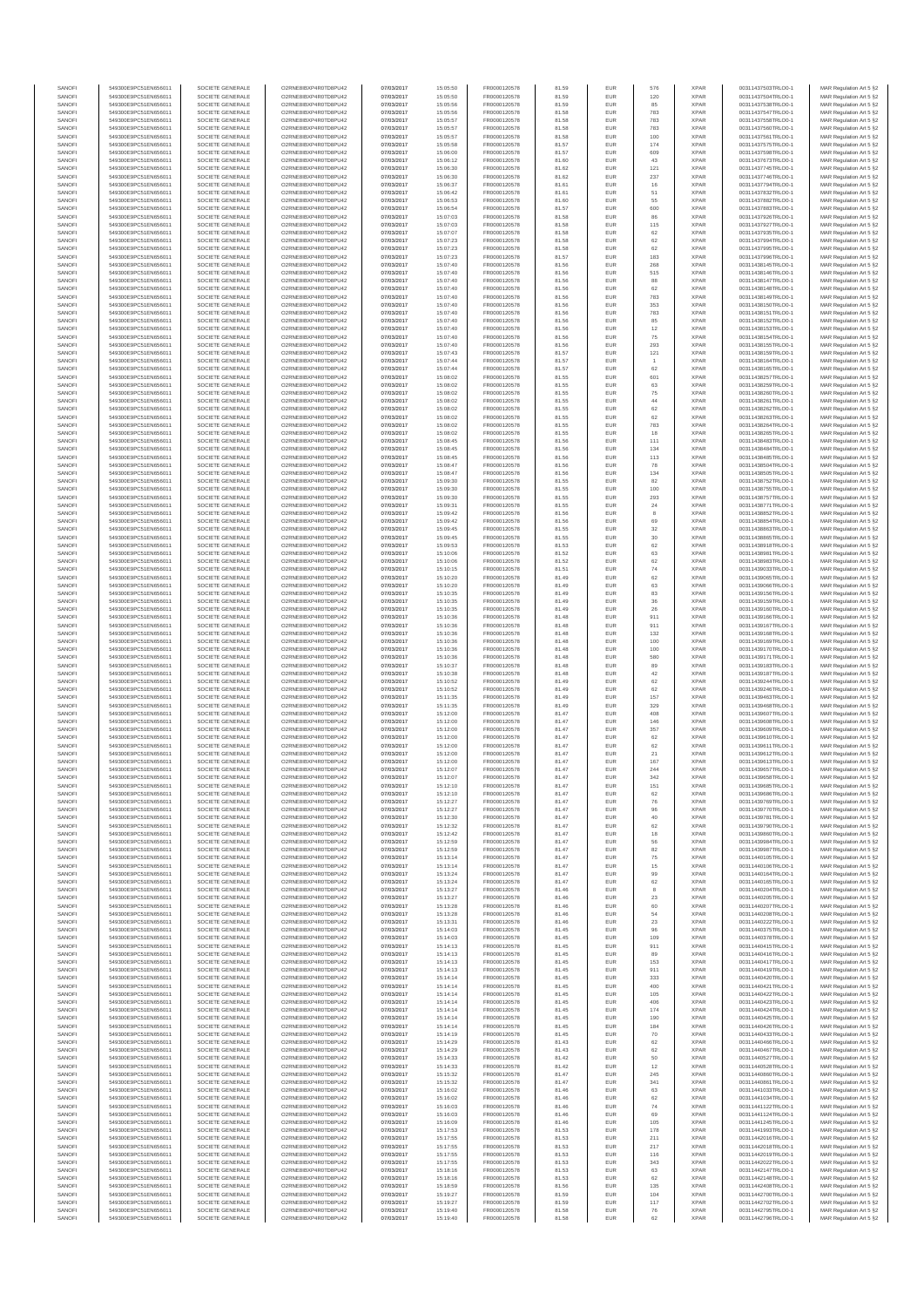| SANOFI<br>SANOFI | 549300E9PC51EN656011<br>549300E9PC51EN656011 | SOCIETE GENERALE<br>SOCIETE GENERALE | O2RNE8IBXP4R0TD8PU42<br>O2RNE8IBXP4R0TD8PU42 | 07/03/2017<br>07/03/2017 | 15:05:50<br>15:05:50 | FR0000120578<br>FR0000120578 | 81.59<br>81.59 | EUR<br>EUR        | 576<br>120   | <b>XPAR</b><br><b>XPAR</b> | 00311437503TRLO0-1<br>00311437504TRLO0-1 | MAR Regulation Art 5 §2<br>MAR Regulation Art 5 §2 |
|------------------|----------------------------------------------|--------------------------------------|----------------------------------------------|--------------------------|----------------------|------------------------------|----------------|-------------------|--------------|----------------------------|------------------------------------------|----------------------------------------------------|
| SANOFI           | 549300E9PC51EN656011                         | SOCIETE GENERALE                     | O2RNE8IBXP4R0TD8PU42                         | 07/03/2017               | 15:05:56             | FR0000120578                 | 81.59          | <b>EUR</b>        | 85           | <b>XPAR</b>                | 00311437538TRLO0-1                       | MAR Regulation Art 5 §2                            |
| SANOFI           | 549300E9PC51EN656011                         | SOCIETE GENERALE                     | O2RNE8IBXP4R0TD8PU42                         | 07/03/2017               | 15:05:56             | FR0000120578                 | 81.58          | EUR               | 783          | <b>XPAR</b>                | 00311437547TRLO0-1                       | MAR Regulation Art 5 §2                            |
| SANOFI<br>SANOFI | 549300E9PC51EN656011<br>549300E9PC51EN656011 | SOCIETE GENERALE<br>SOCIETE GENERALE | O2RNE8IBXP4R0TD8PU42<br>O2RNE8IBXP4R0TD8PU42 | 07/03/2017<br>07/03/2017 | 15:05:57<br>15:05:57 | FR0000120578<br>FR0000120578 | 81.58<br>81.58 | <b>EUR</b><br>EUR | 783<br>783   | <b>XPAR</b><br><b>XPAR</b> | 00311437558TRLO0-1<br>00311437560TRLO0-1 | MAR Regulation Art 5 §2<br>MAR Regulation Art 5 §2 |
| SANOFI           | 549300E9PC51EN656011                         | SOCIETE GENERALE                     | O2RNE8IBXP4R0TD8PU42                         | 07/03/2017               | 15:05:57             | FR0000120578                 | 81.58          | EUR               | 100          | <b>XPAR</b>                | 00311437561TRLO0-1                       | MAR Regulation Art 5 §2                            |
| SANOFI<br>SANOFI | 549300E9PC51EN656011<br>549300E9PC51EN656011 | SOCIETE GENERALE<br>SOCIETE GENERALE | O2RNE8IBXP4R0TD8PU42<br>O2RNE8IBXP4R0TD8PU42 | 07/03/2017<br>07/03/2017 | 15:05:58<br>15:06:00 | FR0000120578<br>FR0000120578 | 81.57<br>81.57 | EUR<br>EUR        | 174<br>609   | <b>XPAR</b><br><b>XPAR</b> | 00311437575TRLO0-1<br>00311437598TRLO0-1 | MAR Regulation Art 5 §2<br>MAR Regulation Art 5 §2 |
| SANOFI           | 549300E9PC51EN656011                         | SOCIETE GENERALE                     | O2RNE8IBXP4R0TD8PU42                         | 07/03/2017               | 15:06:12             | FR0000120578                 | 81.60          | EUR               | 43           | <b>XPAR</b>                | 00311437673TRLO0-1                       | MAR Regulation Art 5 §2                            |
| SANOFI           | 549300E9PC51EN656011                         | SOCIETE GENERALE                     | O2RNE8IBXP4R0TD8PU42                         | 07/03/2017               | 15:06:30             | FR0000120578                 | 81.62          | EUR               | 121          | <b>XPAR</b>                | 00311437745TRLO0-1                       | MAR Regulation Art 5 §2                            |
| SANOFI<br>SANOFI | 549300E9PC51EN656011<br>549300E9PC51EN656011 | SOCIETE GENERALE<br>SOCIETE GENERALE | O2RNE8IBXP4R0TD8PU42<br>O2RNE8IBXP4R0TD8PU42 | 07/03/2017<br>07/03/2017 | 15:06:30<br>15:06:37 | FR0000120578<br>FR0000120578 | 81.62<br>81.61 | <b>EUR</b><br>EUR | 237<br>16    | <b>XPAR</b><br><b>XPAR</b> | 00311437746TRLO0-1<br>00311437794TRLO0-1 | MAR Regulation Art 5 §2<br>MAR Regulation Art 5 §2 |
| SANOFI           | 549300E9PC51EN656011                         | SOCIETE GENERALE                     | O2RNE8IBXP4R0TD8PU42                         | 07/03/2017               | 15:06:42             | FR0000120578                 | 81.61          | EUR               | 51           | <b>XPAR</b>                | 00311437832TRLO0-1                       | MAR Regulation Art 5 §2                            |
| SANOFI<br>SANOFI | 549300E9PC51EN656011<br>549300E9PC51EN656011 | SOCIETE GENERALE<br>SOCIETE GENERALE | O2RNE8IBXP4R0TD8PU42<br>O2RNE8IBXP4R0TD8PU42 | 07/03/2017<br>07/03/2017 | 15:06:53<br>15:06:54 | FR0000120578<br>FR0000120578 | 81.60<br>81.57 | EUR<br>EUR        | 55<br>600    | <b>XPAR</b><br><b>XPAR</b> | 00311437882TRLO0-1<br>00311437883TRLO0-1 | MAR Regulation Art 5 §2<br>MAR Regulation Art 5 §2 |
| SANOFI           | 549300E9PC51EN656011                         | SOCIETE GENERALE                     | O2RNE8IBXP4R0TD8PU42                         | 07/03/2017               | 15:07:03             | FR0000120578                 | 81.58          | EUR               | 86           | <b>XPAR</b>                | 00311437926TRLO0-1                       | MAR Regulation Art 5 §2                            |
| SANOFI           | 549300E9PC51EN656011                         | SOCIETE GENERALE                     | O2RNE8IBXP4R0TD8PU42                         | 07/03/2017               | 15:07:03             | FR0000120578                 | 81.58          | EUR               | 115          | <b>XPAR</b>                | 00311437927TRLO0-1                       | MAR Regulation Art 5 §2                            |
| SANOFI<br>SANOFI | 549300E9PC51EN656011<br>549300E9PC51EN656011 | SOCIETE GENERALE<br>SOCIETE GENERALE | O2RNE8IBXP4R0TD8PU42<br>O2RNE8IBXP4R0TD8PU42 | 07/03/2017<br>07/03/2017 | 15:07:07<br>15:07:23 | FR0000120578<br>FR0000120578 | 81.58<br>81.58 | <b>EUR</b><br>EUR | 62<br>62     | <b>XPAR</b><br><b>XPAR</b> | 00311437935TRLO0-1<br>00311437994TRLO0-1 | MAR Regulation Art 5 §2<br>MAR Regulation Art 5 §2 |
| SANOFI           | 549300E9PC51EN656011                         | SOCIETE GENERALE                     | O2RNE8IBXP4R0TD8PU42                         | 07/03/2017               | 15:07:23             | FR0000120578                 | 81.58          | EUR               | 62           | <b>XPAR</b>                | 00311437995TRLO0-1                       | MAR Regulation Art 5 §2                            |
| SANOFI<br>SANOFI | 549300E9PC51EN656011<br>549300E9PC51EN656011 | SOCIETE GENERALE<br>SOCIETE GENERALE | O2RNE8IBXP4R0TD8PU42<br>O2RNE8IBXP4R0TD8PU42 | 07/03/2017<br>07/03/2017 | 15:07:23<br>15:07:40 | FR0000120578<br>FR0000120578 | 81.57<br>81.56 | EUR<br>EUR        | 183<br>268   | <b>XPAR</b><br><b>XPAR</b> | 00311437996TRLO0-1<br>00311438145TRLO0-1 | MAR Regulation Art 5 §2<br>MAR Regulation Art 5 §2 |
| SANOFI           | 549300E9PC51EN656011                         | SOCIETE GENERALE                     | O2RNE8IBXP4R0TD8PU42                         | 07/03/2017               | 15:07:40             | FR0000120578                 | 81.56          | EUR               | 515          | <b>XPAR</b>                | 00311438146TRLO0-1                       | MAR Regulation Art 5 §2                            |
| SANOFI           | 549300E9PC51EN656011                         | SOCIETE GENERALE                     | O2RNE8IBXP4R0TD8PU42                         | 07/03/2017               | 15:07:40             | FR0000120578                 | 81.56          | EUR               | 88           | <b>XPAR</b>                | 00311438147TRLO0-1                       | MAR Regulation Art 5 §2                            |
| SANOFI<br>SANOFI | 549300E9PC51EN656011<br>549300E9PC51EN656011 | SOCIETE GENERALE<br>SOCIETE GENERALE | O2RNE8IBXP4R0TD8PU42<br>O2RNE8IBXP4R0TD8PU42 | 07/03/2017<br>07/03/2017 | 15:07:40<br>15:07:40 | FR0000120578<br>FR0000120578 | 81.56<br>81.56 | EUR<br>EUR        | 62<br>783    | <b>XPAR</b><br><b>XPAR</b> | 00311438148TRLO0-1<br>00311438149TRLO0-1 | MAR Regulation Art 5 §2<br>MAR Regulation Art 5 §2 |
| SANOFI           | 549300E9PC51EN656011                         | SOCIETE GENERALE                     | O2RNE8IBXP4R0TD8PU42                         | 07/03/2017               | 15:07:40             | FR0000120578                 | 81.56          | EUR               | 353          | <b>XPAR</b>                | 00311438150TRLO0-1                       | MAR Regulation Art 5 §2                            |
| SANOFI<br>SANOFI | 549300E9PC51EN656011<br>549300E9PC51EN656011 | SOCIETE GENERALE<br>SOCIETE GENERALE | O2RNE8IBXP4R0TD8PU42<br>O2RNE8IBXP4R0TD8PU42 | 07/03/2017<br>07/03/2017 | 15:07:40<br>15:07:40 | FR0000120578<br>FR0000120578 | 81.56<br>81.56 | EUR<br>EUR        | 783<br>85    | <b>XPAR</b><br><b>XPAR</b> | 00311438151TRLO0-1<br>00311438152TRLO0-1 | MAR Regulation Art 5 §2<br>MAR Regulation Art 5 §2 |
| SANOFI           | 549300E9PC51EN656011                         | SOCIETE GENERALE                     | O2RNE8IBXP4R0TD8PU42                         | 07/03/2017               | 15:07:40             | FR0000120578                 | 81.56          | EUR               | 12           | <b>XPAR</b>                | 00311438153TRLO0-1                       | MAR Regulation Art 5 §2                            |
| SANOFI           | 549300E9PC51EN656011                         | SOCIETE GENERALE                     | O2RNE8IBXP4R0TD8PU42                         | 07/03/2017               | 15:07:40             | FR0000120578                 | 81.56          | EUR               | 75           | <b>XPAR</b>                | 00311438154TRLO0-1                       | MAR Regulation Art 5 §2                            |
| SANOFI<br>SANOFI | 549300E9PC51EN656011<br>549300E9PC51EN656011 | SOCIETE GENERALE<br>SOCIETE GENERALE | O2RNE8IBXP4R0TD8PU42<br>O2RNE8IBXP4R0TD8PU42 | 07/03/2017<br>07/03/2017 | 15:07:40<br>15:07:43 | FR0000120578<br>FR0000120578 | 81.56<br>81.57 | EUR<br>EUR        | 293<br>121   | <b>XPAR</b><br><b>XPAR</b> | 00311438155TRLO0-1<br>00311438159TRLO0-1 | MAR Regulation Art 5 §2<br>MAR Regulation Art 5 §2 |
| SANOFI           | 549300E9PC51EN656011                         | SOCIETE GENERALE                     | O2RNE8IBXP4R0TD8PU42                         | 07/03/2017               | 15:07:44             | FR0000120578                 | 81.57          | EUR               |              | <b>XPAR</b>                | 00311438164TRLO0-1                       | MAR Regulation Art 5 §2                            |
| SANOFI<br>SANOFI | 549300E9PC51EN656011<br>549300E9PC51EN656011 | SOCIETE GENERALE<br>SOCIETE GENERALE | O2RNE8IBXP4R0TD8PU42<br>O2RNE8IBXP4R0TD8PU42 | 07/03/2017<br>07/03/2017 | 15:07:44<br>15:08:02 | FR0000120578<br>FR0000120578 | 81.57<br>81.55 | EUR<br>EUR        | 62<br>601    | <b>XPAR</b><br><b>XPAR</b> | 00311438165TRLO0-1<br>00311438257TRLO0-1 | MAR Regulation Art 5 §2<br>MAR Regulation Art 5 §2 |
| SANOFI           | 549300E9PC51EN656011                         | SOCIETE GENERALE                     | O2RNE8IBXP4R0TD8PU42                         | 07/03/2017               | 15:08:02             | FR0000120578                 | 81.55          | EUR               | 63           | <b>XPAR</b>                | 00311438259TRLO0-1                       | MAR Regulation Art 5 §2                            |
| SANOFI           | 549300E9PC51EN656011                         | SOCIETE GENERALE                     | O2RNE8IBXP4R0TD8PLI42                        | 07/03/2017               | 15:08:02             | FR0000120578                 | 81.55          | EUR               | 75           | <b>XPAR</b>                | 00311438260TRLO0-1                       | MAR Regulation Art 5 §2                            |
| SANOFI<br>SANOFI | 549300E9PC51EN656011<br>549300E9PC51EN656011 | SOCIETE GENERALE<br>SOCIETE GENERALE | O2RNE8IBXP4R0TD8PU42<br>O2RNE8IBXP4R0TD8PU42 | 07/03/2017<br>07/03/2017 | 15:08:02<br>15:08:02 | FR0000120578<br>FR0000120578 | 81.55<br>81.55 | EUR<br>EUR        | 44<br>62     | <b>XPAR</b><br><b>XPAR</b> | 00311438261TRLO0-1<br>00311438262TRLO0-1 | MAR Regulation Art 5 §2<br>MAR Regulation Art 5 §2 |
| SANOFI           | 549300E9PC51EN656011                         | SOCIETE GENERALE                     | O2RNE8IBXP4R0TD8PU42                         | 07/03/2017               | 15:08:02             | FR0000120578                 | 81.55          | EUR               | 62           | <b>XPAR</b>                | 00311438263TRLO0-1                       | MAR Regulation Art 5 §2                            |
| SANOFI<br>SANOFI | 549300E9PC51EN656011<br>549300E9PC51EN656011 | SOCIETE GENERALE<br>SOCIETE GENERALE | O2RNE8IBXP4R0TD8PU42<br>O2RNE8IBXP4R0TD8PU42 | 07/03/2017<br>07/03/2017 | 15:08:02<br>15:08:02 | FR0000120578<br>FR0000120578 | 81.55<br>81.55 | EUR<br>EUR        | 783          | <b>XPAR</b><br><b>XPAR</b> | 00311438264TRLO0-1<br>00311438265TRLO0-1 | MAR Regulation Art 5 §2                            |
| SANOFI           | 549300E9PC51EN656011                         | SOCIETE GENERALE                     | O2RNE8IBXP4R0TD8PU42                         | 07/03/2017               | 15:08:45             | FR0000120578                 | 81.56          | EUR               | 18<br>111    | <b>XPAR</b>                | 00311438483TRLO0-1                       | MAR Regulation Art 5 §2<br>MAR Regulation Art 5 §2 |
| SANOFI           | 549300E9PC51EN656011                         | SOCIETE GENERALE                     | O2RNE8IBXP4R0TD8PU42                         | 07/03/2017               | 15:08:45             | FR0000120578                 | 81.56          | EUR               | 134          | <b>XPAR</b>                | 00311438484TRLO0-1                       | MAR Regulation Art 5 §2                            |
| SANOFI<br>SANOFI | 549300E9PC51EN656011<br>549300E9PC51EN656011 | SOCIETE GENERALE<br>SOCIETE GENERALE | O2RNE8IBXP4R0TD8PU42<br>O2RNE8IBXP4R0TD8PU42 | 07/03/2017<br>07/03/2017 | 15:08:45<br>15:08:47 | FR0000120578<br>FR0000120578 | 81.56<br>81.56 | EUR<br>EUR        | 113<br>78    | <b>XPAR</b><br><b>XPAR</b> | 00311438485TRLO0-1<br>00311438504TRLO0-1 | MAR Regulation Art 5 §2<br>MAR Regulation Art 5 §2 |
| SANOFI           | 549300E9PC51EN656011                         | SOCIETE GENERALE                     | O2RNE8IBXP4R0TD8PU42                         | 07/03/2017               | 15:08:47             | FR0000120578                 | 81.56          | EUR               | 134          | <b>XPAR</b>                | 00311438505TRLO0-1                       | MAR Regulation Art 5 §2                            |
| SANOFI           | 549300E9PC51EN656011                         | SOCIETE GENERALE                     | O2RNE8IBXP4R0TD8PU42                         | 07/03/2017               | 15:09:30             | FR0000120578                 | 81.55          | EUR               | $^{\rm 82}$  | <b>XPAR</b>                | 00311438752TRLO0-1                       | MAR Regulation Art 5 §2                            |
| SANOFI<br>SANOFI | 549300E9PC51EN656011<br>549300E9PC51EN656011 | SOCIETE GENERALE<br>SOCIETE GENERALE | O2RNE8IBXP4R0TD8PU42<br>O2RNE8IBXP4R0TD8PU42 | 07/03/2017<br>07/03/2017 | 15:09:30<br>15:09:30 | FR0000120578<br>FR0000120578 | 81.55<br>81.55 | EUR<br>EUR        | 100<br>293   | <b>XPAR</b><br><b>XPAR</b> | 00311438755TRLO0-1<br>00311438757TRLO0-1 | MAR Regulation Art 5 §2<br>MAR Regulation Art 5 §2 |
| SANOFI           | 549300E9PC51EN656011                         | SOCIETE GENERALE                     | O2RNE8IBXP4R0TD8PU42                         | 07/03/2017               | 15:09:31             | FR0000120578                 | 81.55          | EUR               | 24           | <b>XPAR</b>                | 00311438771TRLO0-1                       | MAR Regulation Art 5 §2                            |
| SANOFI<br>SANOFI | 549300E9PC51EN656011<br>549300E9PC51EN656011 | SOCIETE GENERALE<br>SOCIETE GENERALE | O2RNE8IBXP4R0TD8PU42<br>O2RNE8IBXP4R0TD8PU42 | 07/03/2017<br>07/03/2017 | 15:09:42<br>15:09:42 | FR0000120578<br>FR0000120578 | 81.56<br>81.56 | EUR<br>EUR        | 8<br>69      | <b>XPAR</b><br><b>XPAR</b> | 00311438852TRLO0-1<br>00311438854TRLO0-1 | MAR Regulation Art 5 §2<br>MAR Regulation Art 5 §2 |
| SANOFI           | 549300E9PC51EN656011                         | SOCIETE GENERALE                     | O2RNE8IBXP4R0TD8PU42                         | 07/03/2017               | 15:09:45             | FR0000120578                 | 81.55          | EUR               | 32           | <b>XPAR</b>                | 00311438863TRLO0-1                       | MAR Regulation Art 5 §2                            |
| SANOFI           | 549300E9PC51EN656011                         | SOCIETE GENERALE                     | O2RNE8IBXP4R0TD8PU42                         | 07/03/2017               | 15:09:45             | FR0000120578                 | 81.55          | EUR               | $30\,$       | <b>XPAR</b>                | 00311438865TRLO0-1                       | MAR Regulation Art 5 §2                            |
| SANOFI<br>SANOFI | 549300E9PC51EN656011<br>549300E9PC51EN656011 | SOCIETE GENERALE<br>SOCIETE GENERALE | O2RNE8IBXP4R0TD8PU42<br>O2RNE8IBXP4R0TD8PU42 | 07/03/2017<br>07/03/2017 | 15:09:53<br>15:10:06 | FR0000120578<br>FR0000120578 | 81.53<br>81.52 | EUR<br>EUR        | 62<br>63     | <b>XPAR</b><br><b>XPAR</b> | 00311438918TRLO0-1<br>00311438981TRLO0-1 | MAR Regulation Art 5 §2<br>MAR Regulation Art 5 §2 |
| SANOFI           | 549300E9PC51EN656011                         | SOCIETE GENERALE                     | O2RNE8IBXP4R0TD8PU42                         | 07/03/2017               | 15:10:06             | FR0000120578                 | 81.52          | EUR               | 62           | <b>XPAR</b>                | 00311438983TRLO0-1                       | MAR Regulation Art 5 §2                            |
| SANOFI<br>SANOFI | 549300E9PC51EN656011<br>549300E9PC51EN656011 | SOCIETE GENERALE<br>SOCIETE GENERALE | O2RNE8IBXP4R0TD8PU42<br>O2RNE8IBXP4R0TD8PU42 | 07/03/2017<br>07/03/2017 | 15:10:15<br>15:10:20 | FR0000120578<br>FR0000120578 | 81.51<br>81.49 | EUR<br><b>EUR</b> | 74<br>62     | <b>XPAR</b><br><b>XPAR</b> | 00311439033TRLO0-1<br>00311439065TRLO0-1 | MAR Regulation Art 5 §2<br>MAR Regulation Art 5 §2 |
| SANOFI           | 549300E9PC51EN656011                         | SOCIETE GENERALE                     | O2RNE8IBXP4R0TD8PU42                         | 07/03/2017               | 15:10:20             | FR0000120578                 | 81.49          | EUR               | 63           | <b>XPAR</b>                | 00311439066TRLO0-1                       | MAR Regulation Art 5 §2                            |
| SANOFI           | 549300E9PC51EN656011                         | SOCIETE GENERALE                     | O2RNE8IBXP4R0TD8PU42                         | 07/03/2017               | 15:10:35             | FR0000120578                 | 81.49          | EUR               | 83           | <b>XPAR</b>                | 00311439156TRLO0-1                       | MAR Regulation Art 5 §2                            |
| SANOFI<br>SANOFI | 549300E9PC51EN656011<br>549300E9PC51EN656011 | SOCIETE GENERALE<br>SOCIETE GENERALE | O2RNE8IBXP4R0TD8PU42<br>O2RNE8IBXP4R0TD8PU42 | 07/03/2017<br>07/03/2017 | 15:10:35<br>15:10:35 | FR0000120578<br>FR0000120578 | 81.49<br>81.49 | EUR<br>EUR        | 36<br>26     | <b>XPAR</b><br><b>XPAR</b> | 00311439159TRLO0-1<br>00311439160TRLO0-1 | MAR Regulation Art 5 §2<br>MAR Regulation Art 5 §2 |
| SANOFI           | 549300E9PC51EN656011                         | SOCIETE GENERALE                     | O2RNE8IBXP4R0TD8PU42                         | 07/03/2017               | 15:10:36             | FR0000120578                 | 81.48          | EUR               | 911          | <b>XPAR</b>                | 00311439166TRLO0-1                       | MAR Regulation Art 5 §2                            |
| SANOFI<br>SANOFI | 549300E9PC51EN656011<br>549300E9PC51EN656011 | SOCIETE GENERALE<br>SOCIETE GENERALE | O2RNE8IBXP4R0TD8PU42<br>O2RNE8IBXP4R0TD8PU42 | 07/03/2017<br>07/03/2017 | 15:10:36<br>15:10:36 | FR0000120578<br>FR0000120578 | 81.48<br>81.48 | EUR<br>EUR        | 911<br>132   | <b>XPAR</b><br><b>XPAR</b> | 00311439167TRLO0-1<br>00311439168TRLO0-1 | MAR Regulation Art 5 §2<br>MAR Regulation Art 5 §2 |
| SANOFI           | 549300E9PC51EN656011                         | SOCIETE GENERALE                     | O2RNE8IBXP4R0TD8PU42                         | 07/03/2017               | 15:10:36             | FR0000120578                 | 81.48          | EUR               | 100          | <b>XPAR</b>                | 00311439169TRLO0-1                       | MAR Regulation Art 5 §2                            |
| SANOFI           | 549300E9PC51EN656011                         | SOCIETE GENERALE                     | O2RNE8IBXP4R0TD8PU42                         | 07/03/2017               | 15:10:36             | FR0000120578                 | 81.48          | EUR               | 100          | <b>XPAR</b>                | 00311439170TRLO0-1                       | MAR Regulation Art 5 §2                            |
| SANOFI<br>SANOFI | 549300E9PC51EN656011<br>549300E9PC51EN656011 | SOCIETE GENERALE<br>SOCIETE GENERALE | O2RNE8IBXP4R0TD8PU42<br>O2RNE8IBXP4R0TD8PU42 | 07/03/2017<br>07/03/2017 | 15:10:36<br>15:10:37 | FR0000120578<br>FR0000120578 | 81.48<br>81.48 | EUR<br><b>EUR</b> | 580<br>89    | <b>XPAR</b><br><b>XPAR</b> | 00311439171TRLO0-1<br>00311439183TRLO0-1 | MAR Regulation Art 5 §2<br>MAR Regulation Art 5 §2 |
| SANOFI           | 549300E9PC51EN656011                         | SOCIETE GENERALE                     | O2RNE8IBXP4R0TD8PU42                         | 07/03/2017               | 15:10:38             | FR0000120578                 | 81.48          | EUR               | 42           | <b>XPAR</b>                | 00311439187TRLO0-1                       | MAR Regulation Art 5 §2                            |
| SANOFI<br>SANOFI | 549300E9PC51EN656011<br>549300E9PC51EN656011 | SOCIETE GENERALE<br>SOCIETE GENERALE | O2RNE8IBXP4R0TD8PU42<br>O2RNE8IBXP4R0TD8PU42 | 07/03/2017<br>07/03/2017 | 15:10:52<br>15:10:52 | FR0000120578<br>FR0000120578 | 81.49<br>81.49 | EUR<br>EUR        | $62\,$<br>62 | <b>XPAR</b><br><b>XPAR</b> | 00311439244TRLO0-1<br>00311439246TRLO0-1 | MAR Regulation Art 5 §2<br>MAR Regulation Art 5 §2 |
| SANOFI           | 549300E9PC51EN656011                         | SOCIETE GENERALE                     | O2RNE8IBXP4R0TD8PU42                         | 07/03/2017               | 15:11:35             | FR0000120578                 | 81.49          | EUR               | 157          | <b>XPAR</b>                | 00311439463TRLO0-1                       | MAR Regulation Art 5 §2                            |
| SANOFI           | 549300E9PC51EN656011<br>549300E9PC51EN656011 | SOCIETE GENERALE                     | O2RNE8IBXP4R0TD8PU42                         | 07/03/2017               | 15:11:35             | FR0000120578                 | 81.49          | EUR               | 329          | <b>XPAR</b>                | 00311439468TRLO0-1                       | MAR Regulation Art 5 §2                            |
| SANOFI<br>SANOFI | 549300E9PC51EN656011                         | SOCIETE GENERALE<br>SOCIETE GENERALE | O2RNE8IBXP4R0TD8PU42<br>O2RNE8IBXP4R0TD8PU42 | 07/03/2017<br>07/03/2017 | 15:12:00<br>15:12:00 | FR0000120578<br>FR0000120578 | 81.47<br>81.47 | EUR<br><b>EUR</b> | 408<br>146   | <b>XPAR</b><br><b>XPAR</b> | 00311439607TRLO0-1<br>00311439608TRLO0-1 | MAR Regulation Art 5 §2<br>MAR Regulation Art 5 §2 |
| SANOFI           | 549300E9PC51EN656011                         | SOCIETE GENERALE                     | O2RNE8IBXP4R0TD8PU42                         | 07/03/2017               | 15:12:00             | FR0000120578                 | 81.47          | EUR               | 357          | <b>XPAR</b>                | 00311439609TRLO0-1                       | MAR Regulation Art 5 §2                            |
| SANOFI<br>SANOFI | 549300E9PC51EN656011<br>549300E9PC51EN656011 | SOCIETE GENERALE<br>SOCIETE GENERALE | O2RNE8IBXP4R0TD8PU42<br>O2RNE8IBXP4R0TD8PU42 | 07/03/2017<br>07/03/2017 | 15:12:00<br>15:12:00 | FR0000120578<br>FR0000120578 | 81.47<br>81.47 | EUR<br>EUR        | 62<br>62     | <b>XPAR</b><br><b>XPAR</b> | 00311439610TRLO0-1<br>00311439611TRLO0-1 | MAR Regulation Art 5 §2<br>MAR Regulation Art 5 §2 |
| SANOFI           | 549300E9PC51EN656011                         | SOCIETE GENERALE                     | O2RNE8IBXP4R0TD8PU42                         | 07/03/2017               | 15:12:00             | FR0000120578                 | 81.47          | EUR               | 21           | <b>XPAR</b>                | 00311439612TRLO0-1                       | MAR Regulation Art 5 §2                            |
| SANOFI<br>SANOFI | 549300E9PC51EN656011                         | SOCIETE GENERALE                     | O2RNE8IBXP4R0TD8PU42<br>O2RNE8IBXP4R0TD8PU42 | 07/03/2017<br>07/03/2017 | 15:12:00             | FR0000120578                 | 81.47          | EUR<br>EUR        | 167<br>244   | <b>XPAR</b><br><b>XPAR</b> | 00311439613TRLO0-1                       | MAR Regulation Art 5 §2<br>MAR Regulation Art 5 §2 |
| SANOFI           | 549300E9PC51EN656011<br>549300E9PC51EN656011 | SOCIETE GENERALE<br>SOCIETE GENERALE | O2RNE8IBXP4R0TD8PU42                         | 07/03/2017               | 15:12:07<br>15:12:07 | FR0000120578<br>FR0000120578 | 81.47<br>81.47 | <b>EUR</b>        | 342          | <b>XPAR</b>                | 00311439657TRLO0-1<br>00311439658TRLO0-1 | MAR Regulation Art 5 §2                            |
| SANOF            | 549300E9PC51EN656011                         | SOCIETE GENERALE                     | O2RNE8IBXP4R0TD8PU42                         | 07/03/2017               | 15:12:10             | FR0000120578                 | 81.47          |                   | 151          | <b>XPAF</b>                | 00311439685TRLO0-1                       | MAR Regulation Art 5 §2                            |
| SANOFI<br>SANOFI | 549300E9PC51EN656011<br>549300E9PC51EN656011 | SOCIETE GENERALE<br>SOCIETE GENERALE | O2RNE8IBXP4R0TD8PU42<br>O2RNE8IBXP4R0TD8PU42 | 07/03/2017<br>07/03/2017 | 15:12:10<br>15:12:27 | FR0000120578<br>FR0000120578 | 81.47<br>81.47 | <b>EUR</b><br>EUR | 62<br>76     | <b>XPAR</b><br><b>XPAR</b> | 00311439686TRLO0-1<br>00311439769TRLO0-1 | MAR Regulation Art 5 §2<br>MAR Regulation Art 5 §2 |
| SANOFI           | 549300E9PC51EN656011                         | SOCIETE GENERALE                     | O2RNE8IBXP4R0TD8PU42                         | 07/03/2017               | 15:12:27             | FR0000120578                 | 81.47          | <b>EUR</b>        | 96           | <b>XPAR</b>                | 00311439770TRLO0-1                       | MAR Regulation Art 5 §2                            |
| SANOFI<br>SANOFI | 549300E9PC51EN656011<br>549300E9PC51EN656011 | SOCIETE GENERALE<br>SOCIETE GENERALE | O2RNE8IBXP4R0TD8PU42<br>O2RNE8IBXP4R0TD8PU42 | 07/03/2017<br>07/03/2017 | 15:12:30<br>15:12:32 | FR0000120578<br>FR0000120578 | 81.47<br>81.47 | EUR<br>EUR        | 40<br>$62\,$ | <b>XPAR</b><br><b>XPAR</b> | 00311439781TRLO0-1<br>00311439790TRLO0-1 | MAR Regulation Art 5 §2                            |
| SANOFI           | 549300E9PC51EN656011                         | SOCIETE GENERALE                     | O2RNE8IBXP4R0TD8PU42                         | 07/03/2017               | 15:12:42             | FR0000120578                 | 81.47          | EUR               | $18\,$       | <b>XPAR</b>                | 00311439860TRLO0-1                       | MAR Regulation Art 5 §2<br>MAR Regulation Art 5 §2 |
| SANOFI           | 549300E9PC51EN656011                         | SOCIETE GENERALE                     | O2RNE8IBXP4R0TD8PU42                         | 07/03/2017               | 15:12:59             | FR0000120578                 | 81.47          | EUR               | 56           | <b>XPAR</b>                | 00311439984TRLO0-1                       | MAR Regulation Art 5 §2                            |
| SANOFI<br>SANOFI | 549300E9PC51EN656011<br>549300E9PC51EN656011 | SOCIETE GENERALE<br>SOCIETE GENERALE | O2RNE8IBXP4R0TD8PU42<br>O2RNE8IBXP4R0TD8PU42 | 07/03/2017<br>07/03/2017 | 15:12:59<br>15:13:14 | FR0000120578<br>FR0000120578 | 81.47<br>81.47 | <b>EUR</b><br>EUR | 82<br>75     | <b>XPAR</b><br><b>XPAR</b> | 00311439987TRLO0-1<br>00311440105TRLO0-1 | MAR Regulation Art 5 §2<br>MAR Regulation Art 5 §2 |
| SANOFI           | 549300E9PC51EN656011                         | SOCIETE GENERALE                     | O2RNE8IBXP4R0TD8PU42                         | 07/03/2017               | 15:13:14             | FR0000120578                 | 81.47          | <b>EUR</b>        | $15$         | <b>XPAR</b>                | 00311440106TRLO0-1                       | MAR Regulation Art 5 §2                            |
| SANOFI<br>SANOFI | 549300E9PC51EN656011<br>549300E9PC51EN656011 | SOCIETE GENERALE<br>SOCIETE GENERALE | O2RNE8IBXP4R0TD8PU42<br>O2RNE8IBXP4R0TD8PU42 | 07/03/2017<br>07/03/2017 | 15:13:24<br>15:13:24 | FR0000120578<br>FR0000120578 | 81.47<br>81.47 | EUR<br>EUR        | 99<br>$62\,$ | <b>XPAR</b><br><b>XPAR</b> | 00311440164TRLO0-1<br>00311440165TRLO0-1 | MAR Regulation Art 5 §2<br>MAR Regulation Art 5 §2 |
| SANOFI           | 549300E9PC51EN656011                         | SOCIETE GENERALE                     | O2RNE8IBXP4R0TD8PU42                         | 07/03/2017               | 15:13:27             | FR0000120578                 | 81.46          | EUR               | 8            | <b>XPAR</b>                | 00311440204TRLO0-1                       | MAR Regulation Art 5 §2                            |
| SANOFI<br>SANOFI | 549300E9PC51EN656011<br>549300E9PC51EN656011 | SOCIETE GENERALE<br>SOCIETE GENERALE | O2RNE8IBXP4R0TD8PU42<br>O2RNE8IBXP4R0TD8PU42 | 07/03/2017<br>07/03/2017 | 15:13:27<br>15:13:28 | FR0000120578<br>FR0000120578 | 81.46<br>81.46 | EUR<br>EUR        | 23<br>60     | <b>XPAR</b><br><b>XPAR</b> | 00311440205TRLO0-1<br>00311440207TRLO0-1 | MAR Regulation Art 5 §2                            |
| SANOFI           | 549300E9PC51EN656011                         | SOCIETE GENERALE                     | O2RNE8IBXP4R0TD8PU42                         | 07/03/2017               | 15:13:28             | FR0000120578                 | 81.46          | EUR               | 54           | <b>XPAR</b>                | 00311440208TRLO0-1                       | MAR Regulation Art 5 §2<br>MAR Regulation Art 5 §2 |
| SANOFI           | 549300E9PC51EN656011                         | SOCIETE GENERALE                     | O2RNE8IBXP4R0TD8PU42                         | 07/03/2017               | 15:13:31             | FR0000120578                 | 81.46          | <b>EUR</b>        | 23           | <b>XPAR</b>                | 00311440222TRLO0-1                       | MAR Regulation Art 5 §2                            |
| SANOFI<br>SANOFI | 549300E9PC51EN656011<br>549300E9PC51EN656011 | SOCIETE GENERALE<br>SOCIETE GENERALE | O2RNE8IBXP4R0TD8PU42<br>O2RNE8IBXP4R0TD8PU42 | 07/03/2017<br>07/03/2017 | 15:14:03<br>15:14:03 | FR0000120578<br>FR0000120578 | 81.45<br>81.45 | EUR<br>EUR        | 96<br>109    | <b>XPAR</b><br><b>XPAR</b> | 00311440375TRLO0-1<br>00311440378TRLO0-1 | MAR Regulation Art 5 §2<br>MAR Regulation Art 5 §2 |
| SANOFI           | 549300E9PC51EN656011                         | SOCIETE GENERALE                     | O2RNE8IBXP4R0TD8PU42                         | 07/03/2017               | 15:14:13             | FR0000120578                 | 81.45          | EUR               | 911          | <b>XPAR</b>                | 00311440415TRLO0-1                       | MAR Regulation Art 5 §2                            |
| SANOFI<br>SANOFI | 549300E9PC51EN656011<br>549300E9PC51EN656011 | SOCIETE GENERALE<br>SOCIETE GENERALE | O2RNE8IBXP4R0TD8PU42<br>O2RNE8IBXP4R0TD8PU42 | 07/03/2017<br>07/03/2017 | 15:14:13<br>15:14:13 | FR0000120578<br>FR0000120578 | 81.45<br>81.45 | EUR<br>EUR        | 89<br>153    | <b>XPAR</b><br><b>XPAR</b> | 00311440416TRLO0-1<br>00311440417TRLO0-1 | MAR Regulation Art 5 §2<br>MAR Regulation Art 5 §2 |
| SANOFI           | 549300E9PC51EN656011                         | SOCIETE GENERALE                     | O2RNE8IBXP4R0TD8PU42                         | 07/03/2017               | 15:14:13             | FR0000120578                 | 81.45          | EUR               | 911          | XPAR                       | 00311440419TRLO0-1                       | MAR Regulation Art 5 §2                            |
| SANOFI           | 549300E9PC51EN656011                         | SOCIETE GENERALE                     | O2RNE8IBXP4R0TD8PU42                         | 07/03/2017               | 15:14:14             | FR0000120578                 | 81.45          | EUR               | 333          | <b>XPAR</b>                | 00311440420TRLO0-1                       | MAR Regulation Art 5 §2                            |
| SANOFI<br>SANOFI | 549300E9PC51EN656011<br>549300E9PC51EN656011 | SOCIETE GENERALE<br>SOCIETE GENERALE | O2RNE8IBXP4R0TD8PU42<br>O2RNE8IBXP4R0TD8PU42 | 07/03/2017<br>07/03/2017 | 15:14:14<br>15:14:14 | FR0000120578<br>FR0000120578 | 81.45<br>81.45 | EUR<br><b>EUR</b> | 400<br>105   | <b>XPAR</b><br><b>XPAR</b> | 00311440421TRLO0-1<br>00311440422TRLO0-1 | MAR Regulation Art 5 §2<br>MAR Regulation Art 5 §2 |
| SANOFI           | 549300E9PC51EN656011                         | SOCIETE GENERALE                     | O2RNE8IBXP4R0TD8PU42                         | 07/03/2017               | 15:14:14             | FR0000120578                 | 81.45          | EUR               | 406          | <b>XPAR</b>                | 00311440423TRLO0-1                       | MAR Regulation Art 5 §2                            |
| SANOFI<br>SANOFI | 549300E9PC51EN656011<br>549300E9PC51EN656011 | SOCIETE GENERALE<br>SOCIETE GENERALE | O2RNE8IBXP4R0TD8PU42<br>O2RNE8IBXP4R0TD8PU42 | 07/03/2017<br>07/03/2017 | 15:14:14<br>15:14:14 | FR0000120578<br>FR0000120578 | 81.45<br>81.45 | <b>EUR</b><br>EUR | 174<br>190   | <b>XPAR</b><br><b>XPAR</b> | 00311440424TRLO0-1<br>00311440425TRLO0-1 | MAR Regulation Art 5 §2<br>MAR Regulation Art 5 §2 |
| SANOFI           | 549300E9PC51EN656011                         | SOCIETE GENERALE                     | O2RNE8IBXP4R0TD8PU42                         | 07/03/2017               | 15:14:14             | FR0000120578                 | 81.45          | EUR               | 184          | <b>XPAR</b>                | 00311440426TRLO0-1                       | MAR Regulation Art 5 §2                            |
| SANOFI           | 549300E9PC51EN656011                         | SOCIETE GENERALE                     | O2RNE8IBXP4R0TD8PU42                         | 07/03/2017               | 15:14:19             | FR0000120578                 | 81.45          | EUR               | 70           | <b>XPAR</b>                | 00311440433TRLO0-1                       | MAR Regulation Art 5 §2                            |
| SANOFI<br>SANOFI | 549300E9PC51EN656011<br>549300E9PC51EN656011 | SOCIETE GENERALE<br>SOCIETE GENERALE | O2RNE8IBXP4R0TD8PU42<br>O2RNE8IBXP4R0TD8PU42 | 07/03/2017<br>07/03/2017 | 15:14:29<br>15:14:29 | FR0000120578<br>FR0000120578 | 81.43<br>81.43 | EUR<br><b>EUR</b> | 62<br>62     | <b>XPAR</b><br><b>XPAR</b> | 00311440466TRLO0-1<br>00311440467TRLO0-1 | MAR Regulation Art 5 §2<br>MAR Regulation Art 5 §2 |
| SANOFI           | 549300E9PC51EN656011                         | SOCIETE GENERALE                     | O2RNE8IBXP4R0TD8PU42                         | 07/03/2017               | 15:14:33             | FR0000120578                 | 81.42          | EUR               | 50           | <b>XPAR</b>                | 00311440527TRLO0-1                       | MAR Regulation Art 5 §2                            |
| SANOFI<br>SANOFI | 549300E9PC51EN656011<br>549300E9PC51EN656011 | SOCIETE GENERALE<br>SOCIETE GENERALE | O2RNE8IBXP4R0TD8PU42<br>O2RNE8IBXP4R0TD8PU42 | 07/03/2017<br>07/03/2017 | 15:14:33<br>15:15:32 | FR0000120578<br>FR0000120578 | 81.42<br>81.47 | <b>EUR</b><br>EUR | 12<br>245    | <b>XPAR</b><br><b>XPAR</b> | 00311440528TRLO0-1<br>00311440860TRLO0-1 | MAR Regulation Art 5 §2                            |
| SANOFI           | 549300E9PC51EN656011                         | SOCIETE GENERALE                     | O2RNE8IBXP4R0TD8PU42                         | 07/03/2017               | 15:15:32             | FR0000120578                 | 81.47          | <b>EUR</b>        | 341          | <b>XPAR</b>                | 00311440861TRLO0-1                       | MAR Regulation Art 5 §2<br>MAR Regulation Art 5 §2 |
| SANOFI           | 549300E9PC51EN656011                         | SOCIETE GENERALE                     | O2RNE8IBXP4R0TD8PU42                         | 07/03/2017               | 15:16:02             | FR0000120578                 | 81.46          | EUR               | 63           | <b>XPAR</b>                | 00311441033TRLO0-1                       | MAR Regulation Art 5 §2                            |
| SANOFI<br>SANOFI | 549300E9PC51EN656011<br>549300E9PC51EN656011 | SOCIETE GENERALE<br>SOCIETE GENERALE | O2RNE8IBXP4R0TD8PU42<br>O2RNE8IBXP4R0TD8PU42 | 07/03/2017<br>07/03/2017 | 15:16:02<br>15:16:03 | FR0000120578<br>FR0000120578 | 81.46<br>81.46 | EUR<br>EUR        | 62<br>74     | <b>XPAR</b><br><b>XPAR</b> | 00311441034TRLO0-1<br>00311441122TRLO0-1 | MAR Regulation Art 5 §2<br>MAR Regulation Art 5 §2 |
| SANOFI           | 549300E9PC51EN656011                         | SOCIETE GENERALE                     | O2RNE8IBXP4R0TD8PU42                         | 07/03/2017               | 15:16:03             | FR0000120578                 | 81.46          | EUR               | 69           | XPAR                       | 00311441124TRLO0-1                       | MAR Regulation Art 5 §2                            |
| SANOFI<br>SANOFI | 549300E9PC51EN656011<br>549300E9PC51EN656011 | SOCIETE GENERALE<br>SOCIETE GENERALE | O2RNE8IBXP4R0TD8PU42<br>O2RNE8IBXP4R0TD8PU42 | 07/03/2017<br>07/03/2017 | 15:16:09<br>15:17:53 | FR0000120578<br>FR0000120578 | 81.46<br>81.53 | <b>EUR</b><br>EUR | 105<br>178   | <b>XPAR</b><br><b>XPAR</b> | 00311441245TRLO0-1<br>00311441993TRLO0-1 | MAR Regulation Art 5 §2<br>MAR Regulation Art 5 §2 |
| SANOFI           | 549300E9PC51EN656011                         | SOCIETE GENERALE                     | O2RNE8IBXP4R0TD8PU42                         | 07/03/2017               | 15:17:55             | FR0000120578                 | 81.53          | <b>EUR</b>        | 211          | <b>XPAR</b>                | 00311442016TRLO0-1                       | MAR Regulation Art 5 §2                            |
| SANOFI           | 549300E9PC51EN656011                         | SOCIETE GENERALE                     | O2RNE8IBXP4R0TD8PU42                         | 07/03/2017               | 15:17:55             | FR0000120578                 | 81.53          | EUR               | 217          | <b>XPAR</b>                | 00311442018TRLO0-1                       | MAR Regulation Art 5 §2                            |
| SANOFI<br>SANOFI | 549300E9PC51EN656011<br>549300E9PC51EN656011 | SOCIETE GENERALE<br>SOCIETE GENERALE | O2RNE8IBXP4R0TD8PU42<br>O2RNE8IBXP4R0TD8PU42 | 07/03/2017<br>07/03/2017 | 15:17:55<br>15:17:55 | FR0000120578<br>FR0000120578 | 81.53<br>81.53 | EUR<br>EUR        | 116<br>343   | <b>XPAR</b><br><b>XPAR</b> | 00311442019TRLO0-1<br>00311442022TRLO0-1 | MAR Regulation Art 5 §2<br>MAR Regulation Art 5 §2 |
| SANOFI           | 549300E9PC51EN656011                         | SOCIETE GENERALE                     | O2RNE8IBXP4R0TD8PU42                         | 07/03/2017               | 15:18:16             | FR0000120578                 | 81.53          | EUR               | 63           | XPAR                       | 00311442147TRLO0-1                       | MAR Regulation Art 5 §2                            |
| SANOFI<br>SANOFI | 549300E9PC51EN656011<br>549300E9PC51EN656011 | SOCIETE GENERALE<br>SOCIETE GENERALE | O2RNE8IBXP4R0TD8PU42<br>O2RNE8IBXP4R0TD8PU42 | 07/03/2017<br>07/03/2017 | 15:18:16<br>15:18:59 | FR0000120578<br>FR0000120578 | 81.53<br>81.56 | EUR<br>EUR        | 62<br>135    | <b>XPAR</b><br><b>XPAR</b> | 00311442148TRLO0-1<br>00311442408TRLO0-1 | MAR Regulation Art 5 §2<br>MAR Regulation Art 5 §2 |
| SANOFI           | 549300E9PC51EN656011                         | SOCIETE GENERALE                     | O2RNE8IBXP4R0TD8PU42                         | 07/03/2017               | 15:19:27             | FR0000120578                 | 81.59          | <b>EUR</b>        | 104          | <b>XPAR</b>                | 00311442700TRLO0-1                       | MAR Regulation Art 5 §2                            |
| SANOFI           | 549300E9PC51EN656011                         | SOCIETE GENERALE                     | O2RNE8IBXP4R0TD8PU42                         | 07/03/2017               | 15:19:27             | FR0000120578                 | 81.59          | EUR               | 117          | <b>XPAR</b>                | 00311442702TRLO0-1                       | MAR Regulation Art 5 §2                            |
| SANOFI<br>SANOFI | 549300E9PC51EN656011<br>549300E9PC51EN656011 | SOCIETE GENERALE<br>SOCIETE GENERALE | O2RNE8IBXP4R0TD8PU42<br>O2RNE8IBXP4R0TD8PU42 | 07/03/2017<br>07/03/2017 | 15:19:40<br>15:19:40 | FR0000120578<br>FR0000120578 | 81.58<br>81.58 | <b>EUR</b><br>EUR | 76<br>62     | <b>XPAR</b><br><b>XPAR</b> | 00311442795TRLO0-1<br>00311442796TRLO0-1 | MAR Regulation Art 5 §2<br>MAR Regulation Art 5 §2 |
|                  |                                              |                                      |                                              |                          |                      |                              |                |                   |              |                            |                                          |                                                    |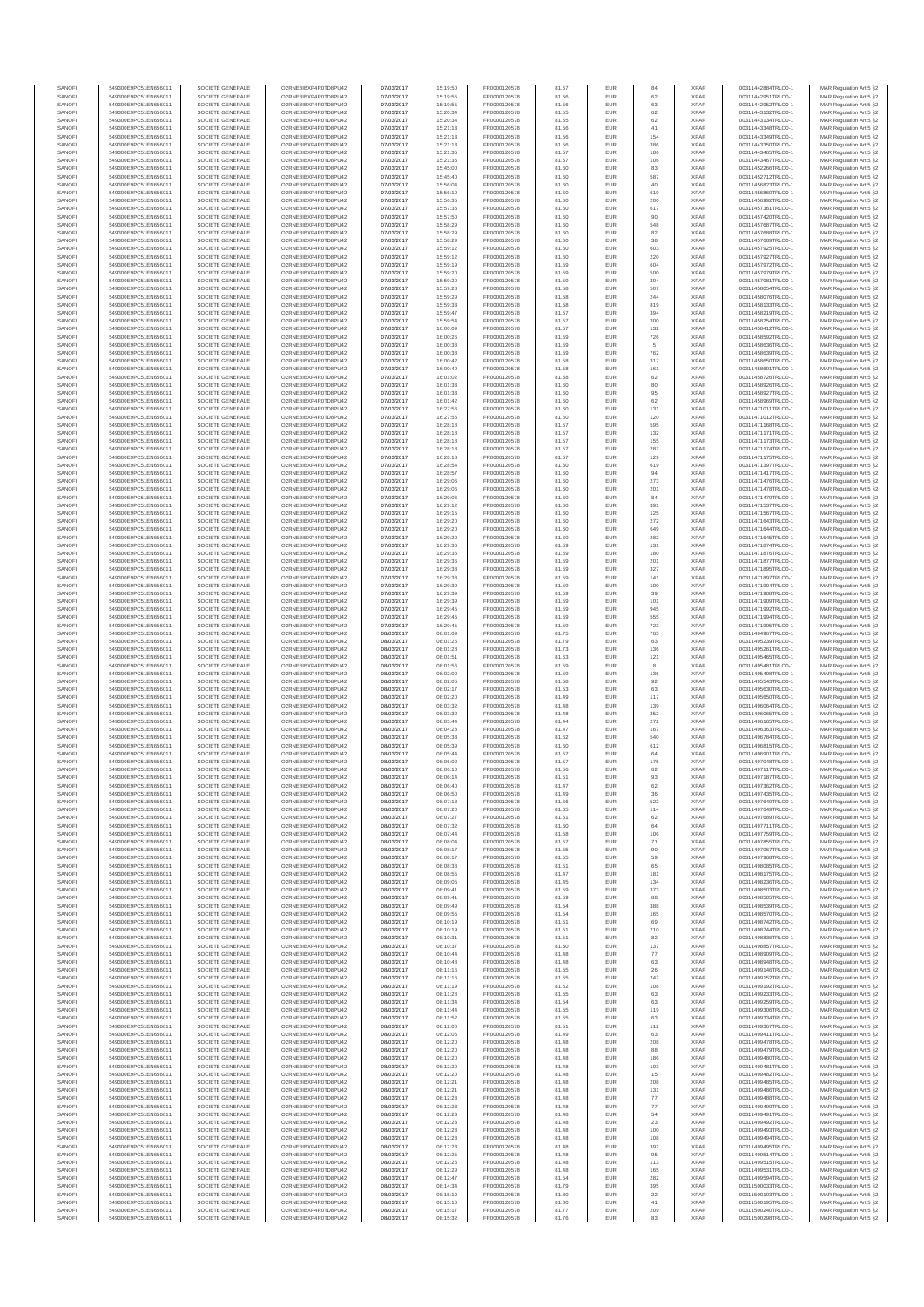| SANOFI<br>SANOFI | 549300E9PC51EN656011<br>549300E9PC51EN656011 | SOCIETE GENERALE<br>SOCIETE GENERALE | O2RNE8IBXP4R0TD8PU42<br>O2RNE8IBXP4R0TD8PU42 | 07/03/2017<br>07/03/2017 | 15:19:50<br>15:19:55 | FR0000120578<br>FR0000120578 | 81.57<br>81.56 | EUR<br>EUR        | 84<br>62          | <b>XPAR</b><br><b>XPAR</b> | 00311442884TRLO0-1<br>00311442951TRLO0-1 | MAR Regulation Art 5 §2<br>MAR Regulation Art 5 §2 |
|------------------|----------------------------------------------|--------------------------------------|----------------------------------------------|--------------------------|----------------------|------------------------------|----------------|-------------------|-------------------|----------------------------|------------------------------------------|----------------------------------------------------|
| SANOFI           | 549300E9PC51EN656011                         | SOCIETE GENERALE                     | O2RNE8IBXP4R0TD8PU42                         | 07/03/2017               | 15:19:55             | FR0000120578                 | 81.56          | EUR               | 63                | <b>XPAR</b>                | 00311442952TRLO0-1                       | MAR Regulation Art 5 §2                            |
| SANOFI           | 549300E9PC51EN656011                         | SOCIETE GENERALE                     | O2RNE8IBXP4R0TD8PU42                         | 07/03/2017               | 15:20:34             | FR0000120578                 | 81.55          | EUR               | 62                | <b>XPAR</b>                | 00311443132TRLO0-1                       | MAR Regulation Art 5 §2                            |
| SANOFI<br>SANOFI | 549300E9PC51EN656011<br>549300E9PC51EN656011 | SOCIETE GENERALE<br>SOCIETE GENERALE | O2RNE8IBXP4R0TD8PU42<br>O2RNE8IBXP4R0TD8PU42 | 07/03/2017<br>07/03/2017 | 15:20:34<br>15:21:13 | FR0000120578<br>FR0000120578 | 81.55<br>81.56 | <b>EUR</b><br>EUR | 62<br>41          | <b>XPAR</b><br><b>XPAR</b> | 00311443134TRLO0-1<br>00311443348TRLO0-1 | MAR Regulation Art 5 §2<br>MAR Regulation Art 5 §2 |
| SANOFI           | 549300E9PC51EN656011                         | SOCIETE GENERALE                     | O2RNE8IBXP4R0TD8PU42                         | 07/03/2017               | 15:21:13             | FR0000120578                 | 81.56          | EUR               | 154               | <b>XPAR</b>                | 00311443349TRLO0-1                       | MAR Regulation Art 5 §2                            |
| SANOFI<br>SANOFI | 549300E9PC51EN656011<br>549300E9PC51EN656011 | SOCIETE GENERALE<br>SOCIETE GENERALE | O2RNE8IBXP4R0TD8PU42<br>O2RNE8IBXP4R0TD8PU42 | 07/03/2017<br>07/03/2017 | 15:21:13<br>15:21:35 | FR0000120578<br>FR0000120578 | 81.56<br>81.57 | EUR<br>EUR        | 386<br>186        | <b>XPAR</b><br><b>XPAR</b> | 00311443350TRLO0-1<br>00311443465TRLO0-1 | MAR Regulation Art 5 §2<br>MAR Regulation Art 5 §2 |
| SANOFI           | 549300E9PC51EN656011                         | SOCIETE GENERALE                     | O2RNE8IBXP4R0TD8PU42                         | 07/03/2017               | 15:21:35             | FR0000120578                 | 81.57          | <b>EUR</b>        | 106               | <b>XPAR</b>                | 00311443467TRLO0-1                       | MAR Regulation Art 5 §2                            |
| SANOFI           | 549300E9PC51EN656011                         | SOCIETE GENERALE                     | O2RNE8IBXP4R0TD8PU42                         | 07/03/2017               | 15:45:00             | FR0000120578                 | 81.60          | EUR               | 83                | <b>XPAR</b>                | 00311452266TRLO0-1                       | MAR Regulation Art 5 §2                            |
| SANOFI<br>SANOFI | 549300E9PC51EN656011<br>549300E9PC51EN656011 | SOCIETE GENERALE<br>SOCIETE GENERALE | O2RNE8IBXP4R0TD8PU42<br>O2RNE8IBXP4R0TD8PU42 | 07/03/2017<br>07/03/2017 | 15:45:40<br>15:56:04 | FR0000120578<br>FR0000120578 | 81.60<br>81.60 | <b>EUR</b><br>EUR | 587<br>40         | <b>XPAR</b><br><b>XPAR</b> | 00311452712TRLO0-1<br>00311456823TRLO0-1 | MAR Regulation Art 5 §2<br>MAR Regulation Art 5 §2 |
| SANOFI           | 549300E9PC51EN656011                         | SOCIETE GENERALE                     | O2RNE8IBXP4R0TD8PU42                         | 07/03/2017               | 15:56:10             | FR0000120578                 | 81.60          | EUR               | 619               | <b>XPAR</b>                | 00311456860TRLO0-1                       | MAR Regulation Art 5 §2                            |
| SANOFI<br>SANOFI | 549300E9PC51EN656011<br>549300E9PC51EN656011 | SOCIETE GENERALE<br>SOCIETE GENERALE | O2RNE8IBXP4R0TD8PU42<br>O2RNE8IBXP4R0TD8PU42 | 07/03/2017<br>07/03/2017 | 15:56:35<br>15:57:35 | FR0000120578<br>FR0000120578 | 81.60<br>81.60 | EUR<br>EUR        | 200<br>617        | <b>XPAR</b><br><b>XPAR</b> | 00311456992TRLO0-1<br>00311457361TRLO0-1 | MAR Regulation Art 5 §2<br>MAR Regulation Art 5 §2 |
| SANOFI           | 549300E9PC51EN656011                         | SOCIETE GENERALE                     | O2RNE8IBXP4R0TD8PU42                         | 07/03/2017               | 15:57:50             | FR0000120578                 | 81.60          | EUR               | 90                | <b>XPAR</b>                | 00311457420TRLO0-1                       | MAR Regulation Art 5 §2                            |
| SANOFI           | 549300E9PC51EN656011                         | SOCIETE GENERALE                     | O2RNE8IBXP4R0TD8PU42                         | 07/03/2017               | 15:58:29             | FR0000120578                 | 81.60          | EUR               | 548               | <b>XPAR</b>                | 00311457687TRLO0-1                       | MAR Regulation Art 5 §2                            |
| SANOFI<br>SANOFI | 549300E9PC51EN656011<br>549300E9PC51EN656011 | SOCIETE GENERALE<br>SOCIETE GENERALE | O2RNE8IBXP4R0TD8PU42<br>O2RNE8IBXP4R0TD8PU42 | 07/03/2017<br>07/03/2017 | 15:58:29<br>15:58:29 | FR0000120578<br>FR0000120578 | 81.60<br>81.60 | <b>EUR</b><br>EUR | 82<br>38          | <b>XPAR</b><br><b>XPAR</b> | 00311457688TRLO0-1<br>00311457689TRLO0-1 | MAR Regulation Art 5 §2<br>MAR Regulation Art 5 §2 |
| SANOFI           | 549300E9PC51EN656011                         | SOCIETE GENERALE                     | O2RNE8IBXP4R0TD8PU42                         | 07/03/2017               | 15:59:12             | FR0000120578                 | 81.60          | EUR               | 603               | <b>XPAR</b>                | 00311457925TRLO0-1                       | MAR Regulation Art 5 §2                            |
| SANOFI<br>SANOFI | 549300E9PC51EN656011<br>549300E9PC51EN656011 | SOCIETE GENERALE<br>SOCIETE GENERALE | O2RNE8IBXP4R0TD8PU42<br>O2RNE8IBXP4R0TD8PU42 | 07/03/2017<br>07/03/2017 | 15:59:12<br>15:59:19 | FR0000120578<br>FR0000120578 | 81.60<br>81.59 | EUR<br>EUR        | 220<br>604        | <b>XPAR</b><br><b>XPAR</b> | 00311457927TRLO0-1<br>00311457972TRLO0-1 | MAR Regulation Art 5 §2<br>MAR Regulation Art 5 §2 |
| SANOFI           | 549300E9PC51EN656011                         | SOCIETE GENERALE                     | O2RNE8IBXP4R0TD8PU42                         | 07/03/2017               | 15:59:20             | FR0000120578                 | 81.59          | EUR               | 500               | <b>XPAR</b>                | 00311457979TRLO0-1                       | MAR Regulation Art 5 §2                            |
| SANOFI           | 549300E9PC51EN656011                         | SOCIETE GENERALE                     | O2RNE8IBXP4R0TD8PU42                         | 07/03/2017               | 15:59:20             | FR0000120578                 | 81.59          | EUR               | 304               | <b>XPAR</b>                | 00311457981TRLO0-1                       | MAR Regulation Art 5 §2                            |
| SANOFI<br>SANOFI | 549300E9PC51EN656011<br>549300E9PC51EN656011 | SOCIETE GENERALE<br>SOCIETE GENERALE | O2RNE8IBXP4R0TD8PU42<br>O2RNE8IBXP4R0TD8PU42 | 07/03/2017<br>07/03/2017 | 15:59:28<br>15:59:29 | FR0000120578<br>FR0000120578 | 81.58<br>81.58 | EUR<br>EUR        | 507<br>244        | <b>XPAR</b><br><b>XPAR</b> | 00311458054TRLO0-1<br>00311458076TRLO0-1 | MAR Regulation Art 5 §2<br>MAR Regulation Art 5 §2 |
| SANOFI           | 549300E9PC51EN656011                         | SOCIETE GENERALE                     | O2RNE8IBXP4R0TD8PU42                         | 07/03/2017               | 15:59:33             | FR0000120578                 | 81.58          | EUR               | 819               | <b>XPAR</b>                | 00311458133TRLO0-1                       | MAR Regulation Art 5 §2                            |
| SANOFI<br>SANOFI | 549300E9PC51EN656011<br>549300E9PC51EN656011 | SOCIETE GENERALE<br>SOCIETE GENERALE | O2RNE8IBXP4R0TD8PU42<br>O2RNE8IBXP4R0TD8PU42 | 07/03/2017<br>07/03/2017 | 15:59:47<br>15:59:54 | FR0000120578<br>FR0000120578 | 81.57<br>81.57 | EUR<br><b>EUR</b> | 394<br>300        | <b>XPAR</b><br><b>XPAR</b> | 00311458219TRLO0-1<br>00311458254TRLO0-1 | MAR Regulation Art 5 §2<br>MAR Regulation Art 5 §2 |
| SANOFI           | 549300E9PC51EN656011                         | SOCIETE GENERALE                     | O2RNE8IBXP4R0TD8PU42                         | 07/03/2017               | 16:00:09             | FR0000120578                 | 81.57          | EUR               | 132               | <b>XPAR</b>                | 00311458412TRLO0-1                       | MAR Regulation Art 5 §2                            |
| SANOFI           | 549300E9PC51EN656011                         | SOCIETE GENERALE                     | O2RNE8IBXP4R0TD8PU42                         | 07/03/2017               | 16:00:26             | FR0000120578                 | 81.59          | EUR               | 726               | <b>XPAR</b>                | 00311458592TRLO0-1                       | MAR Regulation Art 5 §2                            |
| SANOFI<br>SANOFI | 549300E9PC51EN656011<br>549300E9PC51EN656011 | SOCIETE GENERALE<br>SOCIETE GENERALE | O2RNE8IBXP4R0TD8PU42<br>O2RNE8IBXP4R0TD8PU42 | 07/03/2017<br>07/03/2017 | 16:00:38<br>16:00:38 | FR0000120578<br>FR0000120578 | 81.59<br>81.59 | EUR<br>EUR        | 5<br>762          | <b>XPAR</b><br><b>XPAR</b> | 00311458636TRLO0-1<br>00311458639TRLO0-1 | MAR Regulation Art 5 §2<br>MAR Regulation Art 5 §2 |
| SANOFI           | 549300E9PC51EN656011                         | SOCIETE GENERALE                     | O2RNE8IBXP4R0TD8PU42                         | 07/03/2017               | 16:00:42             | FR0000120578                 | 81.58          | EUR               | $317\,$           | <b>XPAR</b>                | 00311458650TRLO0-1                       | MAR Regulation Art 5 §2                            |
| SANOFI<br>SANOFI | 549300E9PC51EN656011<br>549300E9PC51EN656011 | SOCIETE GENERALE<br>SOCIETE GENERALE | O2RNE8IBXP4R0TD8PU42<br>O2RNE8IBXP4R0TD8PU42 | 07/03/2017<br>07/03/2017 | 16:00:49<br>16:01:02 | FR0000120578<br>FR0000120578 | 81.58<br>81.58 | EUR<br>EUR        | 161<br>62         | <b>XPAR</b><br><b>XPAR</b> | 00311458691TRLO0-1<br>00311458726TRLO0-1 | MAR Regulation Art 5 §2<br>MAR Regulation Art 5 §2 |
| SANOFI           | 549300E9PC51EN656011                         | SOCIETE GENERALE                     | O2RNE8IBXP4R0TD8PU42                         | 07/03/2017               | 16:01:33             | FR0000120578                 | 81.60          | EUR               | 80                | <b>XPAR</b>                | 00311458926TRLO0-1                       | MAR Regulation Art 5 §2                            |
| SANOFI           | 549300E9PC51EN656011                         | SOCIETE GENERALE                     | O2RNE8IBXP4R0TD8PLI42                        | 07/03/2017               | 16:01:33             | FR0000120578                 | 81.60          | <b>EUR</b>        | 95                | <b>XPAR</b>                | 00311458927TRLO0-1                       | MAR Regulation Art 5 §2                            |
| SANOFI<br>SANOFI | 549300E9PC51EN656011<br>549300E9PC51EN656011 | SOCIETE GENERALE<br>SOCIETE GENERALE | O2RNE8IBXP4R0TD8PU42<br>O2RNE8IBXP4R0TD8PU42 | 07/03/2017<br>07/03/2017 | 16:01:42<br>16:27:56 | FR0000120578<br>FR0000120578 | 81.60<br>81.60 | EUR<br>EUR        | 62<br>131         | <b>XPAR</b><br><b>XPAR</b> | 00311458969TRLO0-1<br>00311471011TRLO0-1 | MAR Regulation Art 5 §2<br>MAR Regulation Art 5 §2 |
| SANOFI           | 549300E9PC51EN656011                         | SOCIETE GENERALE                     | O2RNE8IBXP4R0TD8PU42                         | 07/03/2017               | 16:27:56             | FR0000120578                 | 81.60          | EUR               | 120               | <b>XPAR</b>                | 00311471012TRLO0-1                       | MAR Regulation Art 5 §2                            |
| SANOFI<br>SANOFI | 549300E9PC51EN656011<br>549300E9PC51EN656011 | SOCIETE GENERALE<br>SOCIETE GENERALE | O2RNE8IBXP4R0TD8PU42<br>O2RNE8IBXP4R0TD8PU42 | 07/03/2017<br>07/03/2017 | 16:28:18             | FR0000120578<br>FR0000120578 | 81.57<br>81.57 | EUR<br>EUR        | 595<br>132        | <b>XPAR</b><br><b>XPAR</b> | 00311471168TRLO0-1<br>00311471171TRLO0-1 | MAR Regulation Art 5 §2                            |
| SANOFI           | 549300E9PC51EN656011                         | SOCIETE GENERALE                     | O2RNE8IBXP4R0TD8PU42                         | 07/03/2017               | 16:28:18<br>16:28:18 | FR0000120578                 | 81.57          | EUR               | 155               | <b>XPAR</b>                | 00311471173TRLO0-1                       | MAR Regulation Art 5 §2<br>MAR Regulation Art 5 §2 |
| SANOFI           | 549300E9PC51EN656011                         | SOCIETE GENERALE                     | O2RNE8IBXP4R0TD8PU42                         | 07/03/2017               | 16:28:18             | FR0000120578                 | 81.57          | <b>EUR</b>        | 287               | <b>XPAR</b>                | 00311471174TRLO0-1                       | MAR Regulation Art 5 §2                            |
| SANOFI<br>SANOFI | 549300E9PC51EN656011<br>549300E9PC51EN656011 | SOCIETE GENERALE<br>SOCIETE GENERALE | O2RNE8IBXP4R0TD8PU42<br>O2RNE8IBXP4R0TD8PU42 | 07/03/2017<br>07/03/2017 | 16:28:18<br>16:28:54 | FR0000120578<br>FR0000120578 | 81.57<br>81.60 | EUR<br><b>EUR</b> | 129<br>619        | <b>XPAR</b><br><b>XPAR</b> | 00311471175TRLO0-1<br>00311471397TRLO0-1 | MAR Regulation Art 5 §2<br>MAR Regulation Art 5 §2 |
| SANOFI           | 549300E9PC51EN656011                         | SOCIETE GENERALE                     | O2RNE8IBXP4R0TD8PU42                         | 07/03/2017               | 16:28:57             | FR0000120578                 | 81.60          | EUR               | 94                | <b>XPAR</b>                | 00311471417TRLO0-1                       | MAR Regulation Art 5 §2                            |
| SANOFI           | 549300E9PC51EN656011                         | SOCIETE GENERALE                     | O2RNE8IBXP4R0TD8PU42<br>O2RNE8IBXP4R0TD8PU42 | 07/03/2017               | 16:29:06             | FR0000120578                 | 81.60          | EUR               | 273               | <b>XPAR</b>                | 00311471476TRLO0-1                       | MAR Regulation Art 5 §2                            |
| SANOFI<br>SANOFI | 549300E9PC51EN656011<br>549300E9PC51EN656011 | SOCIETE GENERALE<br>SOCIETE GENERALE | O2RNE8IBXP4R0TD8PU42                         | 07/03/2017<br>07/03/2017 | 16:29:06<br>16:29:06 | FR0000120578<br>FR0000120578 | 81.60<br>81.60 | EUR<br>EUR        | 201<br>84         | <b>XPAR</b><br><b>XPAR</b> | 00311471478TRLO0-1<br>00311471479TRLO0-1 | MAR Regulation Art 5 §2<br>MAR Regulation Art 5 §2 |
| SANOFI           | 549300E9PC51EN656011                         | SOCIETE GENERALE                     | O2RNE8IBXP4R0TD8PU42                         | 07/03/2017               | 16:29:12             | FR0000120578                 | 81.60          | <b>EUR</b>        | 391               | <b>XPAR</b>                | 00311471537TRLO0-1                       | MAR Regulation Art 5 §2                            |
| SANOFI<br>SANOFI | 549300E9PC51EN656011<br>549300E9PC51EN656011 | SOCIETE GENERALE<br>SOCIETE GENERALE | O2RNE8IBXP4R0TD8PU42<br>O2RNE8IBXP4R0TD8PU42 | 07/03/2017<br>07/03/2017 | 16:29:15<br>16:29:20 | FR0000120578<br>FR0000120578 | 81.60<br>81.60 | EUR<br><b>EUR</b> | 125<br>272        | <b>XPAR</b><br><b>XPAR</b> | 00311471567TRLO0-1<br>00311471643TRLO0-1 | MAR Regulation Art 5 §2<br>MAR Regulation Art 5 §2 |
| SANOFI           | 549300E9PC51EN656011                         | SOCIETE GENERALE                     | O2RNE8IBXP4R0TD8PU42                         | 07/03/2017               | 16:29:20             | FR0000120578                 | 81.60          | EUR               | 649               | <b>XPAR</b>                | 00311471644TRLO0-1                       | MAR Regulation Art 5 §2                            |
| SANOFI           | 549300E9PC51EN656011                         | SOCIETE GENERALE                     | O2RNE8IBXP4R0TD8PU42                         | 07/03/2017               | 16:29:20             | FR0000120578                 | 81.60          | EUR               | 282               | <b>XPAR</b>                | 00311471645TRLO0-1                       | MAR Regulation Art 5 §2                            |
| SANOFI<br>SANOFI | 549300E9PC51EN656011<br>549300E9PC51EN656011 | SOCIETE GENERALE<br>SOCIETE GENERALE | O2RNE8IBXP4R0TD8PU42<br>O2RNE8IBXP4R0TD8PU42 | 07/03/2017<br>07/03/2017 | 16:29:36<br>16:29:36 | FR0000120578<br>FR0000120578 | 81.59<br>81.59 | EUR<br>EUR        | 131<br>180        | <b>XPAR</b><br><b>XPAR</b> | 00311471874TRLO0-1<br>00311471876TRLO0-1 | MAR Regulation Art 5 §2<br>MAR Regulation Art 5 §2 |
| SANOFI           | 549300E9PC51EN656011                         | SOCIETE GENERALE                     | O2RNE8IBXP4R0TD8PU42                         | 07/03/2017               | 16:29:36             | FR0000120578                 | 81.59          | EUR               | 201               | <b>XPAR</b>                | 00311471877TRLO0-1                       | MAR Regulation Art 5 §2                            |
| SANOFI<br>SANOFI | 549300E9PC51EN656011<br>549300E9PC51EN656011 | SOCIETE GENERALE<br>SOCIETE GENERALE | O2RNE8IBXP4R0TD8PU42<br>O2RNE8IBXP4R0TD8PU42 | 07/03/2017<br>07/03/2017 | 16:29:38<br>16:29:38 | FR0000120578<br>FR0000120578 | 81.59<br>81.59 | EUR<br><b>EUR</b> | 327<br>141        | <b>XPAR</b><br><b>XPAR</b> | 00311471895TRLO0-1<br>00311471897TRLO0-1 | MAR Regulation Art 5 §2<br>MAR Regulation Art 5 §2 |
| SANOFI           | 549300E9PC51EN656011                         | SOCIETE GENERALE                     | O2RNE8IBXP4R0TD8PU42                         | 07/03/2017               | 16:29:39             | FR0000120578                 | 81.59          | EUR               | 100               | <b>XPAR</b>                | 00311471904TRLO0-1                       | MAR Regulation Art 5 §2                            |
| SANOFI           | 549300E9PC51EN656011                         | SOCIETE GENERALE                     | O2RNE8IBXP4R0TD8PU42                         | 07/03/2017               | 16:29:39             | FR0000120578                 | 81.59          | EUR               | 39                | <b>XPAR</b>                | 00311471908TRLO0-1                       | MAR Regulation Art 5 §2                            |
| SANOFI<br>SANOFI | 549300E9PC51EN656011<br>549300E9PC51EN656011 | SOCIETE GENERALE<br>SOCIETE GENERALE | O2RNE8IBXP4R0TD8PU42<br>O2RNE8IBXP4R0TD8PU42 | 07/03/2017<br>07/03/2017 | 16:29:39<br>16:29:45 | FR0000120578<br>FR0000120578 | 81.59<br>81.59 | EUR<br>EUR        | 101<br>945        | <b>XPAR</b><br><b>XPAR</b> | 00311471909TRLO0-1<br>00311471992TRLO0-1 | MAR Regulation Art 5 §2<br>MAR Regulation Art 5 §2 |
| SANOFI           | 549300E9PC51EN656011                         | SOCIETE GENERALE                     | O2RNE8IBXP4R0TD8PU42                         | 07/03/2017               | 16:29:45             | FR0000120578                 | 81.59          | EUR               | 555               | <b>XPAR</b>                | 00311471994TRLO0-1                       | MAR Regulation Art 5 §2                            |
| SANOFI<br>SANOFI | 549300E9PC51EN656011<br>549300E9PC51EN656011 | SOCIETE GENERALE<br>SOCIETE GENERALE | O2RNE8IBXP4R0TD8PU42<br>O2RNE8IBXP4R0TD8PU42 | 07/03/2017<br>08/03/2017 | 16:29:45<br>08:01:09 | FR0000120578<br>FR0000120578 | 81.59<br>81.75 | EUR<br>EUR        | 723<br>765        | <b>XPAR</b><br><b>XPAR</b> | 00311471995TRLO0-1<br>00311494967TRLO0-1 | MAR Regulation Art 5 §2<br>MAR Regulation Art 5 §2 |
| SANOFI           | 549300E9PC51EN656011                         | SOCIETE GENERALE                     | O2RNE8IBXP4R0TD8PU42                         | 08/03/2017               | 08:01:25             | FR0000120578                 | 81.79          | EUR               | 63                | <b>XPAR</b>                | 00311495239TRLO0-1                       | MAR Regulation Art 5 §2                            |
| SANOFI<br>SANOFI | 549300E9PC51EN656011<br>549300E9PC51EN656011 | SOCIETE GENERALE<br>SOCIETE GENERALE | O2RNE8IBXP4R0TD8PU42<br>O2RNE8IBXP4R0TD8PU42 | 08/03/2017<br>08/03/2017 | 08:01:28<br>08:01:51 | FR0000120578<br>FR0000120578 | 81.73<br>81.63 | EUR<br>EUR        | 136<br>121        | <b>XPAR</b><br><b>XPAR</b> | 00311495261TRLO0-1<br>00311495465TRLO0-1 | MAR Regulation Art 5 §2                            |
| SANOFI           | 549300E9PC51EN656011                         | SOCIETE GENERALE                     | O2RNE8IBXP4R0TD8PU42                         | 08/03/2017               | 08:01:56             | FR0000120578                 | 81.59          | <b>EUR</b>        | 8                 | <b>XPAR</b>                | 00311495481TRLO0-1                       | MAR Regulation Art 5 §2<br>MAR Regulation Art 5 §2 |
| SANOFI           | 549300E9PC51EN656011                         | SOCIETE GENERALE                     | O2RNE8IBXP4R0TD8PU42                         | 08/03/2017               | 08:02:00             | FR0000120578                 | 81.59          | EUR               | 136               | <b>XPAR</b>                | 00311495498TRLO0-1                       | MAR Regulation Art 5 §2                            |
| SANOFI<br>SANOFI | 549300E9PC51EN656011<br>549300E9PC51EN656011 | SOCIETE GENERALE<br>SOCIETE GENERALE | O2RNE8IBXP4R0TD8PU42<br>O2RNE8IBXP4R0TD8PU42 | 08/03/2017<br>08/03/2017 | 08:02:05<br>08:02:17 | FR0000120578<br>FR0000120578 | 81.58<br>81.53 | EUR<br>EUR        | $92\,$<br>63      | <b>XPAR</b><br><b>XPAR</b> | 00311495543TRLO0-1<br>00311495630TRLO0-1 | MAR Regulation Art 5 §2<br>MAR Regulation Art 5 §2 |
| SANOFI           | 549300E9PC51EN656011                         | SOCIETE GENERALE                     | O2RNE8IBXP4R0TD8PU42                         | 08/03/2017               | 08:02:20             | FR0000120578                 | 81.49          | EUR               | 117               | <b>XPAR</b>                | 00311495650TRLO0-1                       | MAR Regulation Art 5 §2                            |
| SANOFI<br>SANOFI | 549300E9PC51EN656011<br>549300E9PC51EN656011 | SOCIETE GENERALE<br>SOCIETE GENERALE | O2RNE8IBXP4R0TD8PU42<br>O2RNE8IBXP4R0TD8PU42 | 08/03/2017<br>08/03/2017 | 08:03:32<br>08:03:32 | FR0000120578<br>FR0000120578 | 81.48<br>81.48 | EUR<br>EUR        | 139<br>352        | <b>XPAR</b><br><b>XPAR</b> | 00311496064TRLO0-1<br>00311496065TRLO0-1 | MAR Regulation Art 5 §2<br>MAR Regulation Art 5 §2 |
| SANOFI           | 549300E9PC51EN656011                         | SOCIETE GENERALE                     | O2RNE8IBXP4R0TD8PU42                         | 08/03/2017               | 08:03:44             | FR0000120578                 | 81.44          | <b>EUR</b>        | 272               | <b>XPAR</b>                | 00311496165TRLO0-1                       | MAR Regulation Art 5 §2                            |
| SANOFI           | 549300E9PC51EN656011                         | SOCIETE GENERALE                     | O2RNE8IBXP4R0TD8PU42                         | 08/03/2017               | 08:04:28             | FR0000120578                 | 81.47          | EUR               | 167               | <b>XPAR</b>                | 00311496363TRLO0-1                       | MAR Regulation Art 5 §2                            |
| SANOFI<br>SANOFI | 549300E9PC51EN656011<br>549300E9PC51EN656011 | SOCIETE GENERALE<br>SOCIETE GENERALE | O2RNE8IBXP4R0TD8PU42<br>O2RNE8IBXP4R0TD8PU42 | 08/03/2017<br>08/03/2017 | 08:05:33<br>08:05:39 | FR0000120578<br>FR0000120578 | 81.62<br>81.60 | EUR<br>EUR        | 540<br>612        | <b>XPAR</b><br><b>XPAR</b> | 00311496784TRLO0-1<br>00311496815TRLO0-1 | MAR Regulation Art 5 §2<br>MAR Regulation Art 5 §2 |
| SANOFI           | 549300E9PC51EN656011                         | SOCIETE GENERALE                     | O2RNE8IBXP4R0TD8PU42                         | 08/03/2017               | 08:05:44             | FR0000120578                 | 81.57          | EUR               | 64                | <b>XPAR</b>                | 00311496901TRLO0-1                       | MAR Regulation Art 5 §2                            |
| SANOFI<br>SANOFI | 549300E9PC51EN656011<br>549300E9PC51EN656011 | SOCIETE GENERALE<br>SOCIETE GENERALE | O2RNE8IBXP4R0TD8PU42<br>O2RNE8IBXP4R0TD8PU42 | 08/03/2017<br>08/03/2017 | 08:06:02<br>08:06:10 | FR0000120578<br>FR0000120578 | 81.57<br>81.56 | EUR<br>EUR        | 175<br>62         | <b>XPAR</b><br><b>XPAR</b> | 00311497048TRLO0-1<br>00311497117TRLO0-1 | MAR Regulation Art 5 §2<br>MAR Regulation Art 5 §2 |
| SANOFI           | 549300E9PC51EN656011                         | SOCIETE GENERALE                     | O2RNE8IBXP4R0TD8PU42                         | 08/03/2017               | 08:06:14             | FR0000120578                 | 81.51          | <b>EUR</b>        | 93                | <b>XPAR</b>                | 00311497187TRLO0-1                       | MAR Regulation Art 5 §2                            |
| SANOF            | 549300E9PC51EN656011                         | SOCIETE GENERALE                     | O2RNE8IBXP4R0TD8PU42                         | 08/03/2017               | 08:06:40             | FR0000120578                 | 81.47          |                   | 62                | <b>XPAF</b>                | 00311497362TRLO0-1                       | MAR Regulation Art 5 §2                            |
| SANOFI<br>SANOFI | 549300E9PC51EN656011<br>549300E9PC51EN656011 | SOCIETE GENERALE<br>SOCIETE GENERALE | O2RNE8IBXP4R0TD8PU42<br>O2RNE8IBXP4R0TD8PU42 | 08/03/2017<br>08/03/2017 | 08:06:50<br>08:07:18 | FR0000120578<br>FR0000120578 | 81.49<br>81.66 | <b>EUR</b><br>EUR | 36<br>522         | <b>XPAR</b><br><b>XPAR</b> | 00311497435TRLO0-1<br>00311497640TRLO0-1 | MAR Regulation Art 5 §2<br>MAR Regulation Art 5 §2 |
| SANOFI           | 549300E9PC51EN656011                         | SOCIETE GENERALE                     | O2RNE8IBXP4R0TD8PU42                         | 08/03/2017               | 08:07:20             | FR0000120578                 | 81.65          | <b>EUR</b>        | 114               | <b>XPAR</b>                | 00311497649TRLO0-1                       | MAR Regulation Art 5 §2                            |
| SANOFI<br>SANOFI | 549300E9PC51EN656011<br>549300E9PC51EN656011 | SOCIETE GENERALE<br>SOCIETE GENERALE | O2RNE8IBXP4R0TD8PU42<br>O2RNE8IBXP4R0TD8PU42 | 08/03/2017<br>08/03/2017 | 08:07:27<br>08:07:32 | FR0000120578<br>FR0000120578 | 81.61<br>81.60 | EUR<br>EUR        | 62<br>$_{\rm 64}$ | <b>XPAR</b><br><b>XPAR</b> | 00311497689TRLO0-1<br>00311497711TRLO0-1 | MAR Regulation Art 5 §2<br>MAR Regulation Art 5 §2 |
| SANOFI           | 549300E9PC51EN656011                         | SOCIETE GENERALE                     | O2RNE8IBXP4R0TD8PU42                         | 08/03/2017               | 08:07:44             | FR0000120578                 | 81.58          | EUR               | 106               | <b>XPAR</b>                | 00311497759TRLO0-1                       | MAR Regulation Art 5 §2                            |
| SANOFI           | 549300E9PC51EN656011                         | SOCIETE GENERALE                     | O2RNE8IBXP4R0TD8PU42                         | 08/03/2017               | 08:08:04             | FR0000120578                 | 81.57          | EUR               | 71                | <b>XPAR</b>                | 00311497855TRLO0-1                       | MAR Regulation Art 5 §2                            |
| SANOFI<br>SANOFI | 549300E9PC51EN656011<br>549300E9PC51EN656011 | SOCIETE GENERALE<br>SOCIETE GENERALE | O2RNE8IBXP4R0TD8PU42<br>O2RNE8IBXP4R0TD8PU42 | 08/03/2017<br>08/03/2017 | 08:08:17<br>08:08:17 | FR0000120578<br>FR0000120578 | 81.55<br>81.55 | <b>EUR</b><br>EUR | 90<br>59          | <b>XPAR</b><br><b>XPAR</b> | 00311497967TRLO0-1<br>00311497968TRLO0-1 | MAR Regulation Art 5 §2<br>MAR Regulation Art 5 §2 |
| SANOFI           | 549300E9PC51EN656011                         | SOCIETE GENERALE                     | O2RNE8IBXP4R0TD8PU42                         | 08/03/2017               | 08:08:38             | FR0000120578                 | 81.51          | <b>EUR</b>        | 65                | <b>XPAR</b>                | 00311498085TRLO0-1                       | MAR Regulation Art 5 §2                            |
| SANOFI<br>SANOFI | 549300E9PC51EN656011<br>549300E9PC51EN656011 | SOCIETE GENERALE<br>SOCIETE GENERALE | O2RNE8IBXP4R0TD8PU42<br>O2RNE8IBXP4R0TD8PU42 | 08/03/2017<br>08/03/2017 | 08:08:55<br>08:09:05 | FR0000120578<br>FR0000120578 | 81.47<br>81.45 | EUR<br>EUR        | 181<br>134        | <b>XPAR</b><br><b>XPAR</b> | 00311498175TRLO0-1<br>00311498236TRLO0-1 | MAR Regulation Art 5 §2<br>MAR Regulation Art 5 §2 |
| SANOFI           | 549300E9PC51EN656011                         | SOCIETE GENERALE                     | O2RNE8IBXP4R0TD8PU42                         | 08/03/2017               | 08:09:41             | FR0000120578                 | 81.59          | EUR               | 373               | <b>XPAR</b>                | 00311498503TRLO0-1                       | MAR Regulation Art 5 §2                            |
| SANOFI<br>SANOFI | 549300E9PC51EN656011<br>549300E9PC51EN656011 | SOCIETE GENERALE<br>SOCIETE GENERALE | O2RNE8IBXP4R0TD8PU42<br>O2RNE8IBXP4R0TD8PU42 | 08/03/2017<br>08/03/2017 | 08:09:41<br>08:09:49 | FR0000120578<br>FR0000120578 | 81.59<br>81.54 | EUR<br>EUR        | 88<br>388         | <b>XPAR</b><br><b>XPAR</b> | 00311498505TRLO0-1<br>00311498539TRLO0-1 | MAR Regulation Art 5 §2                            |
| SANOFI           | 549300E9PC51EN656011                         | SOCIETE GENERALE                     | O2RNE8IBXP4R0TD8PU42                         | 08/03/2017               | 08:09:55             | FR0000120578                 | 81.54          | EUR               | 165               | <b>XPAR</b>                | 00311498570TRLO0-1                       | MAR Regulation Art 5 §2<br>MAR Regulation Art 5 §2 |
| SANOFI           | 549300E9PC51EN656011                         | SOCIETE GENERALE                     | O2RNE8IBXP4R0TD8PU42<br>O2RNE8IBXP4R0TD8PU42 | 08/03/2017               | 08:10:19             | FR0000120578                 | 81.51          | <b>EUR</b>        | 69                | <b>XPAR</b>                | 00311498742TRLO0-1                       | MAR Regulation Art 5 §2                            |
| SANOFI<br>SANOFI | 549300E9PC51EN656011<br>549300E9PC51EN656011 | SOCIETE GENERALE<br>SOCIETE GENERALE | O2RNE8IBXP4R0TD8PU42                         | 08/03/2017<br>08/03/2017 | 08:10:19<br>08:10:31 | FR0000120578<br>FR0000120578 | 81.51<br>81.51 | EUR<br><b>EUR</b> | 210<br>82         | <b>XPAR</b><br><b>XPAR</b> | 00311498744TRLO0-1<br>00311498836TRLO0-1 | MAR Regulation Art 5 §2<br>MAR Regulation Art 5 §2 |
| SANOFI           | 549300E9PC51EN656011                         | SOCIETE GENERALE                     | O2RNE8IBXP4R0TD8PU42                         | 08/03/2017               | 08:10:37             | FR0000120578                 | 81.50          | EUR               | 137               | <b>XPAR</b>                | 00311498857TRLO0-1                       | MAR Regulation Art 5 §2                            |
| SANOFI<br>SANOFI | 549300E9PC51EN656011<br>549300E9PC51EN656011 | SOCIETE GENERALE<br>SOCIETE GENERALE | O2RNE8IBXP4R0TD8PU42<br>O2RNE8IBXP4R0TD8PU42 | 08/03/2017<br>08/03/2017 | 08:10:44<br>08:10:48 | FR0000120578<br>FR0000120578 | 81.48<br>81.48 | EUR<br>EUR        | 77<br>63          | <b>XPAR</b><br><b>XPAR</b> | 00311498909TRLO0-1<br>00311498948TRLO0-1 | MAR Regulation Art 5 §2<br>MAR Regulation Art 5 §2 |
| SANOFI           | 549300E9PC51EN656011                         | SOCIETE GENERALE                     | O2RNE8IBXP4R0TD8PU42                         | 08/03/2017               | 08:11:16             | FR0000120578                 | 81.55          | EUR               | 26                | <b>XPAR</b>                | 00311499146TRLO0-1                       | MAR Regulation Art 5 §2                            |
| SANOFI<br>SANOFI | 549300E9PC51EN656011<br>549300E9PC51EN656011 | SOCIETE GENERALE<br>SOCIETE GENERALE | O2RNE8IBXP4R0TD8PU42<br>O2RNE8IBXP4R0TD8PU42 | 08/03/2017<br>08/03/2017 | 08:11:16<br>08:11:19 | FR0000120578<br>FR0000120578 | 81.55<br>81.52 | EUR<br>EUR        | 247<br>108        | <b>XPAR</b><br><b>XPAR</b> | 00311499152TRLO0-1<br>00311499192TRLO0-1 | MAR Regulation Art 5 §2                            |
| SANOFI           | 549300E9PC51EN656011                         | SOCIETE GENERALE                     | O2RNE8IBXP4R0TD8PU42                         | 08/03/2017               | 08:11:28             | FR0000120578                 | 81.55          | <b>EUR</b>        | 63                | <b>XPAR</b>                | 00311499233TRLO0-1                       | MAR Regulation Art 5 §2<br>MAR Regulation Art 5 §2 |
| SANOFI           | 549300E9PC51EN656011                         | SOCIETE GENERALE                     | O2RNE8IBXP4R0TD8PU42                         | 08/03/2017               | 08:11:34             | FR0000120578                 | 81.54          | EUR               | 63                | <b>XPAR</b>                | 00311499259TRLO0-1                       | MAR Regulation Art 5 §2                            |
| SANOFI<br>SANOFI | 549300E9PC51EN656011<br>549300E9PC51EN656011 | SOCIETE GENERALE<br>SOCIETE GENERALE | O2RNE8IBXP4R0TD8PU42<br>O2RNE8IBXP4R0TD8PU42 | 08/03/2017<br>08/03/2017 | 08:11:44<br>08:11:52 | FR0000120578<br>FR0000120578 | 81.55<br>81.55 | <b>EUR</b><br>EUR | 119<br>63         | <b>XPAR</b><br><b>XPAR</b> | 00311499306TRLO0-1<br>00311499334TRLO0-1 | MAR Regulation Art 5 §2<br>MAR Regulation Art 5 §2 |
| SANOFI           | 549300E9PC51EN656011                         | SOCIETE GENERALE                     | O2RNE8IBXP4R0TD8PU42                         | 08/03/2017               | 08:12:00             | FR0000120578                 | 81.51          | EUR               | 112               | <b>XPAR</b>                | 00311499367TRLO0-1                       | MAR Regulation Art 5 §2                            |
| SANOFI           | 549300E9PC51EN656011                         | SOCIETE GENERALE                     | O2RNE8IBXP4R0TD8PU42                         | 08/03/2017               | 08:12:06             | FR0000120578                 | 81.49          | EUR               | 63                | <b>XPAR</b>                | 00311499411TRLO0-1                       | MAR Regulation Art 5 §2                            |
| SANOFI<br>SANOFI | 549300E9PC51EN656011<br>549300E9PC51EN656011 | SOCIETE GENERALE<br>SOCIETE GENERALE | O2RNE8IBXP4R0TD8PU42<br>O2RNE8IBXP4R0TD8PU42 | 08/03/2017<br>08/03/2017 | 08:12:20<br>08:12:20 | FR0000120578<br>FR0000120578 | 81.48<br>81.48 | EUR<br><b>EUR</b> | 208<br>88         | <b>XPAR</b><br><b>XPAR</b> | 00311499478TRLO0-1<br>00311499479TRLO0-1 | MAR Regulation Art 5 §2<br>MAR Regulation Art 5 §2 |
| SANOFI           | 549300E9PC51EN656011                         | SOCIETE GENERALE                     | O2RNE8IBXP4R0TD8PU42                         | 08/03/2017               | 08:12:20             | FR0000120578                 | 81.48          | EUR               | 186               | <b>XPAR</b>                | 00311499480TRLO0-1                       | MAR Regulation Art 5 §2                            |
| SANOFI<br>SANOFI | 549300E9PC51EN656011<br>549300E9PC51EN656011 | SOCIETE GENERALE<br>SOCIETE GENERALE | O2RNE8IBXP4R0TD8PU42<br>O2RNE8IBXP4R0TD8PU42 | 08/03/2017<br>08/03/2017 | 08:12:20<br>08:12:20 | FR0000120578<br>FR0000120578 | 81.48<br>81.48 | <b>EUR</b><br>EUR | 193<br>15         | <b>XPAR</b><br><b>XPAR</b> | 00311499481TRLO0-1<br>00311499482TRLO0-1 | MAR Regulation Art 5 §2<br>MAR Regulation Art 5 §2 |
| SANOFI           | 549300E9PC51EN656011                         | SOCIETE GENERALE                     | O2RNE8IBXP4R0TD8PU42                         | 08/03/2017               | 08:12:21             | FR0000120578                 | 81.48          | <b>EUR</b>        | 208               | <b>XPAR</b>                | 00311499485TRLO0-1                       | MAR Regulation Art 5 §2                            |
| SANOFI           | 549300E9PC51EN656011                         | SOCIETE GENERALE                     | O2RNE8IBXP4R0TD8PU42                         | 08/03/2017               | 08:12:21             | FR0000120578                 | 81.48          | EUR               | 131               | <b>XPAR</b>                | 00311499486TRLO0-1                       | MAR Regulation Art 5 §2                            |
| SANOFI<br>SANOFI | 549300E9PC51EN656011<br>549300E9PC51EN656011 | SOCIETE GENERALE<br>SOCIETE GENERALE | O2RNE8IBXP4R0TD8PU42<br>O2RNE8IBXP4R0TD8PU42 | 08/03/2017<br>08/03/2017 | 08:12:23<br>08:12:23 | FR0000120578<br>FR0000120578 | 81.48<br>81.48 | EUR<br>EUR        | 77<br>$77\,$      | <b>XPAR</b><br><b>XPAR</b> | 00311499488TRLO0-1<br>00311499490TRLO0-1 | MAR Regulation Art 5 §2<br>MAR Regulation Art 5 §2 |
| SANOFI           | 549300E9PC51EN656011                         | SOCIETE GENERALE                     | O2RNE8IBXP4R0TD8PU42                         | 08/03/2017               | 08:12:23             | FR0000120578                 | 81.48          | EUR               | 54                | <b>XPAR</b>                | 00311499491TRLO0-1                       | MAR Regulation Art 5 §2                            |
| SANOFI<br>SANOFI | 549300E9PC51EN656011<br>549300E9PC51EN656011 | SOCIETE GENERALE<br>SOCIETE GENERALE | O2RNE8IBXP4R0TD8PU42<br>O2RNE8IBXP4R0TD8PU42 | 08/03/2017<br>08/03/2017 | 08:12:23<br>08:12:23 | FR0000120578<br>FR0000120578 | 81.48<br>81.48 | <b>EUR</b><br>EUR | 23<br>100         | <b>XPAR</b><br><b>XPAR</b> | 00311499492TRLO0-1<br>00311499493TRLO0-1 | MAR Regulation Art 5 §2<br>MAR Regulation Art 5 §2 |
| SANOFI           | 549300E9PC51EN656011                         | SOCIETE GENERALE                     | O2RNE8IBXP4R0TD8PU42                         | 08/03/2017               | 08:12:23             | FR0000120578                 | 81.48          | <b>EUR</b>        | 108               | <b>XPAR</b>                | 00311499494TRLO0-1                       | MAR Regulation Art 5 §2                            |
| SANOFI           | 549300E9PC51EN656011                         | SOCIETE GENERALE                     | O2RNE8IBXP4R0TD8PU42                         | 08/03/2017               | 08:12:23             | FR0000120578                 | 81.48          | EUR               | 392               | <b>XPAR</b>                | 00311499495TRLO0-1                       | MAR Regulation Art 5 §2                            |
| SANOFI<br>SANOFI | 549300E9PC51EN656011<br>549300E9PC51EN656011 | SOCIETE GENERALE<br>SOCIETE GENERALE | O2RNE8IBXP4R0TD8PU42<br>O2RNE8IBXP4R0TD8PU42 | 08/03/2017<br>08/03/2017 | 08:12:25<br>08:12:25 | FR0000120578<br>FR0000120578 | 81.48<br>81.48 | EUR<br>EUR        | 95<br>113         | <b>XPAR</b><br><b>XPAR</b> | 00311499514TRLO0-1<br>00311499515TRLO0-1 | MAR Regulation Art 5 §2<br>MAR Regulation Art 5 §2 |
| SANOFI           | 549300E9PC51EN656011                         | SOCIETE GENERALE                     | O2RNE8IBXP4R0TD8PU42                         | 08/03/2017               | 08:12:29             | FR0000120578                 | 81.48          | EUR               | 165               | <b>XPAR</b>                | 00311499531TRLO0-1                       | MAR Regulation Art 5 §2                            |
| SANOFI<br>SANOFI | 549300E9PC51EN656011<br>549300E9PC51EN656011 | SOCIETE GENERALE<br>SOCIETE GENERALE | O2RNE8IBXP4R0TD8PU42<br>O2RNE8IBXP4R0TD8PU42 | 08/03/2017<br>08/03/2017 | 08:12:47<br>08:14:34 | FR0000120578<br>FR0000120578 | 81.54<br>81.79 | EUR<br>EUR        | 282<br>395        | <b>XPAR</b><br><b>XPAR</b> | 00311499594TRLO0-1<br>00311500033TRLO0-1 | MAR Regulation Art 5 §2<br>MAR Regulation Art 5 §2 |
| SANOFI           | 549300E9PC51EN656011                         | SOCIETE GENERALE                     | O2RNE8IBXP4R0TD8PU42                         | 08/03/2017               | 08:15:10             | FR0000120578                 | 81.80          | EUR               | 22                | <b>XPAR</b>                | 00311500193TRLO0-1                       | MAR Regulation Art 5 §2                            |
| SANOFI           | 549300E9PC51EN656011                         | SOCIETE GENERALE                     | O2RNE8IBXP4R0TD8PU42                         | 08/03/2017               | 08:15:10             | FR0000120578                 | 81.80          | EUR               | 41                | <b>XPAR</b><br><b>XPAR</b> | 00311500195TRLO0-1                       | MAR Regulation Art 5 §2                            |
| SANOFI<br>SANOFI | 549300E9PC51EN656011<br>549300E9PC51EN656011 | SOCIETE GENERALE<br>SOCIETE GENERALE | O2RNE8IBXP4R0TD8PU42<br>O2RNE8IBXP4R0TD8PU42 | 08/03/2017<br>08/03/2017 | 08:15:17<br>08:15:32 | FR0000120578<br>FR0000120578 | 81.77<br>81.76 | <b>EUR</b><br>EUR | 209<br>83         | <b>XPAR</b>                | 00311500240TRLO0-1<br>00311500298TRLO0-1 | MAR Regulation Art 5 §2<br>MAR Regulation Art 5 §2 |
|                  |                                              |                                      |                                              |                          |                      |                              |                |                   |                   |                            |                                          |                                                    |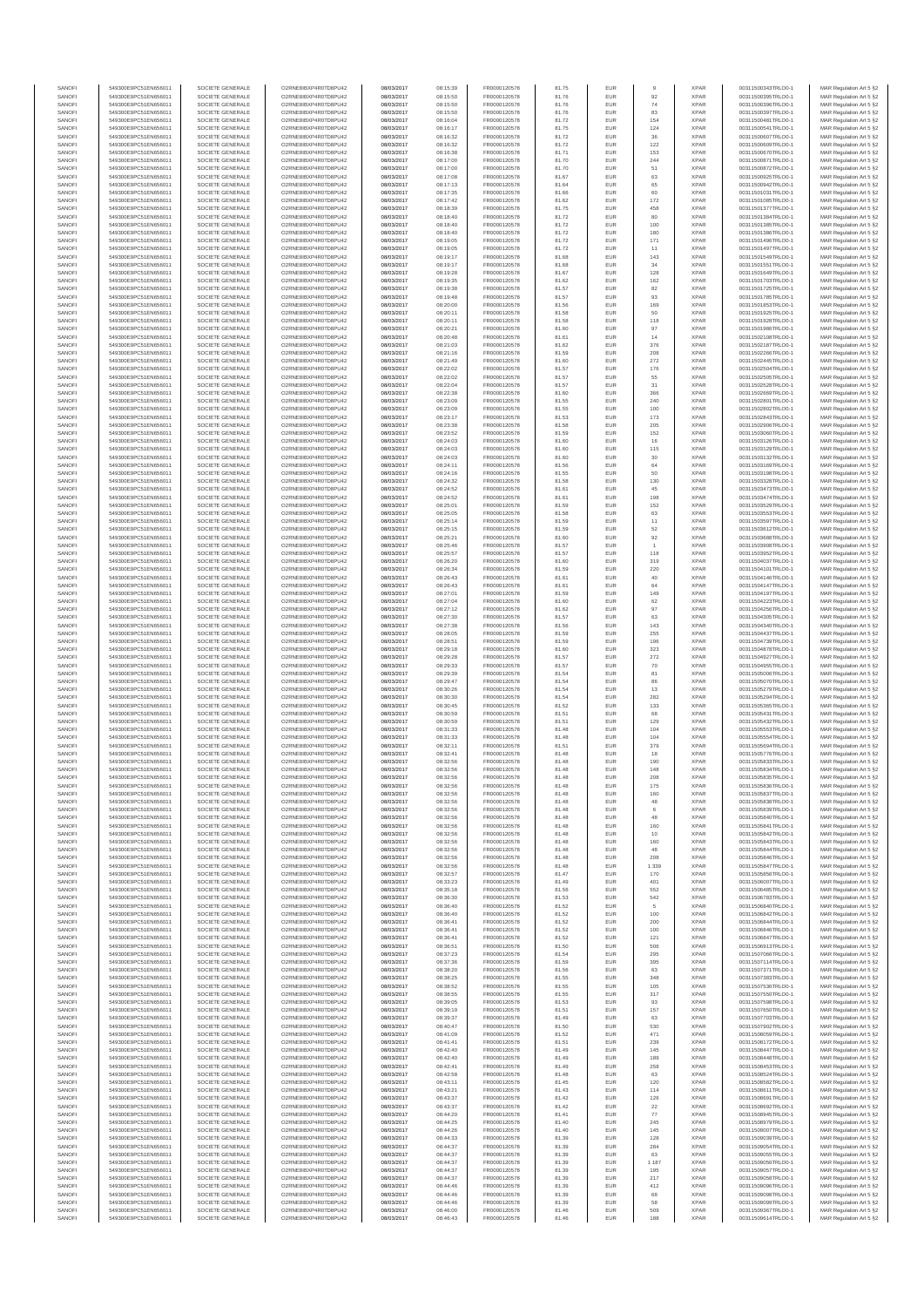| SANOF            | 549300E9PC51EN656011                         | SOCIETE GENERALE                     | O2RNE8IBXP4R0TD8PU42                          | 08/03/2017               | 08:15:39             | FR0000120578                 | 81.75          | EUR               |                | <b>XPAF</b>                | 00311500343TRLO0-1                       | MAR Regulation Art 5 §2                             |
|------------------|----------------------------------------------|--------------------------------------|-----------------------------------------------|--------------------------|----------------------|------------------------------|----------------|-------------------|----------------|----------------------------|------------------------------------------|-----------------------------------------------------|
| SANOFI<br>SANOFI | 549300E9PC51EN656011<br>549300E9PC51EN656011 | SOCIETE GENERALE<br>SOCIETE GENERALE | O2RNE8IBXP4R0TD8PU42<br>O2RNE8IBXP4R0TD8PU42  | 08/03/2017<br>08/03/2017 | 08:15:50<br>08:15:50 | FR0000120578<br>FR0000120578 | 81.76<br>81.76 | EUR<br>EUR        | 92<br>74       | <b>XPAR</b><br><b>XPAR</b> | 00311500395TRLO0-1<br>00311500396TRLO0-1 | MAR Regulation Art 5 §2                             |
| SANOFI           | 549300E9PC51EN656011                         | SOCIETE GENERALE                     | O2RNE8IBXP4R0TD8PU42                          | 08/03/2017               | 08:15:50             | FR0000120578                 | 81.76          | EUR               | 83             | <b>XPAR</b>                | 00311500397TRLO0-1                       | MAR Regulation Art 5 §2<br>MAR Regulation Art 5 §2  |
| SANOFI           | 549300E9PC51EN656011                         | SOCIETE GENERALE                     | O2RNE8IBXP4R0TD8PU42                          | 08/03/2017               | 08:16:04             | FR0000120578                 | 81.72          | EUR               | 154            | <b>XPAR</b>                | 00311500481TRLO0-1                       | MAR Regulation Art 5 §2                             |
| SANOFI           | 549300E9PC51EN656011                         | SOCIETE GENERALE                     | O2RNE8IBXP4R0TD8PU42                          | 08/03/2017               | 08:16:17             | FR0000120578                 | 81.75          | EUR               | 124            | <b>XPAF</b>                | 00311500541TRLO0-1                       | MAR Regulation Art 5 §2                             |
| SANOFI<br>SANOFI | 549300E9PC51EN656011<br>549300E9PC51EN656011 | SOCIETE GENERALE<br>SOCIETE GENERALE | O2RNE8IBXP4R0TD8PLI42<br>O2RNE8IBXP4R0TD8PU42 | 08/03/2017<br>08/03/2017 | 08:16:32<br>08:16:32 | FR0000120578<br>FR0000120578 | 81.72<br>81.72 | EUR<br>EUR        | 36<br>122      | <b>XPAR</b><br><b>XPAR</b> | 00311500607TRLO0-1<br>00311500609TRLO0-1 | MAR Regulation Art 5 §2<br>MAR Regulation Art 5 §2  |
| SANOFI           | 549300E9PC51EN656011                         | SOCIETE GENERALE                     | O2RNE8IBXP4R0TD8PU42                          | 08/03/2017               | 08:16:38             | FR0000120578                 | 81.71          | EUR               | 153            | <b>XPAR</b>                | 00311500670TRLO0-1                       | MAR Regulation Art 5 §2                             |
| SANOFI           | 549300E9PC51EN656011                         | SOCIETE GENERALE                     | O2RNE8IBXP4R0TD8PU42                          | 08/03/2017               | 08:17:00             | FR0000120578                 | 81.70          | EUR               | 244            | <b>XPAR</b>                | 00311500871TRLO0-1                       | MAR Regulation Art 5 §2                             |
| SANOFI<br>SANOFI | 549300E9PC51EN656011<br>549300E9PC51EN656011 | SOCIETE GENERALE<br>SOCIETE GENERALE | O2RNE8IBXP4R0TD8PU42<br>O2RNE8IBXP4R0TD8PU42  | 08/03/2017<br>08/03/2017 | 08:17:00<br>08:17:08 | FR0000120578<br>FR0000120578 | 81.70<br>81.67 | EUR<br>EUR        | 51             | <b>XPAR</b><br><b>XPAR</b> | 00311500872TRLO0-1<br>00311500925TRLO0-1 | MAR Regulation Art 5 §2                             |
| SANOFI           | 549300E9PC51EN656011                         | SOCIETE GENERALE                     | O2RNE8IBXP4R0TD8PU42                          | 08/03/2017               | 08:17:13             | FR0000120578                 | 81.64          | EUR               | 63<br>65       | <b>XPAR</b>                | 00311500942TRLO0-1                       | MAR Regulation Art 5 §2<br>MAR Regulation Art 5 §2  |
| SANOFI           | 549300E9PC51EN656011                         | SOCIETE GENERALE                     | O2RNE8IBXP4R0TD8PU42                          | 08/03/2017               | 08:17:35             | FR0000120578                 | 81.66          | EUR               | 60             | <b>XPAR</b>                | 00311501031TRLO0-1                       | MAR Regulation Art 5 §2                             |
| SANOFI           | 549300E9PC51EN656011                         | SOCIETE GENERALE                     | O2RNE8IBXP4R0TD8PU42                          | 08/03/2017               | 08:17:42             | FR0000120578                 | 81.62          | EUR               | 172            | <b>XPAR</b>                | 00311501085TRLO0-1                       | MAR Regulation Art 5 §2                             |
| SANOFI<br>SANOFI | 549300E9PC51EN656011<br>549300E9PC51EN656011 | SOCIETE GENERALE<br>SOCIETE GENERALE | O2RNE8IBXP4R0TD8PU42<br>O2RNE8IBXP4R0TD8PU42  | 08/03/2017<br>08/03/2017 | 08:18:39<br>08:18:40 | FR0000120578<br>FR0000120578 | 81.75<br>81.72 | EUR<br>EUR        | 458<br>80      | <b>XPAR</b><br><b>XPAR</b> | 00311501377TRLO0-1<br>00311501384TRLO0-1 | MAR Regulation Art 5 §2                             |
| SANOFI           | 549300E9PC51EN656011                         | SOCIETE GENERALE                     | O2RNE8IBXP4R0TD8PU42                          | 08/03/2017               | 08:18:40             | FR0000120578                 | 81.72          | EUR               | 100            | <b>XPAR</b>                | 00311501385TRLO0-1                       | MAR Regulation Art 5 §2<br>MAR Regulation Art 5 §2  |
| SANOFI           | 549300E9PC51EN656011                         | SOCIETE GENERALE                     | O2RNE8IBXP4R0TD8PU42                          | 08/03/2017               | 08:18:40             | FR0000120578                 | 81.72          | EUR               | 180            | <b>XPAR</b>                | 00311501386TRLO0-1                       | MAR Regulation Art 5 §2                             |
| SANOFI           | 549300E9PC51EN656011                         | SOCIETE GENERALE                     | O2RNE8IBXP4R0TD8PU42                          | 08/03/2017               | 08:19:05             | FR0000120578                 | 81.72          | EUR               | 171            | <b>XPAR</b>                | 00311501496TRLO0-1                       | MAR Regulation Art 5 §2                             |
| SANOFI<br>SANOFI | 549300E9PC51EN656011<br>549300E9PC51EN656011 | SOCIETE GENERALE<br>SOCIETE GENERALE | O2RNE8IBXP4R0TD8PU42<br>O2RNE8IBXP4R0TD8PU42  | 08/03/2017<br>08/03/2017 | 08:19:05             | FR0000120578<br>FR0000120578 | 81.72<br>81.68 | EUR<br>EUR        | 11<br>143      | <b>XPAR</b><br><b>XPAR</b> | 00311501497TRLO0-1<br>00311501549TRLO0-1 | MAR Regulation Art 5 §2<br>MAR Regulation Art 5 §2  |
| SANOFI           | 549300E9PC51EN656011                         | SOCIETE GENERALE                     | O2RNE8IBXP4R0TD8PU42                          | 08/03/2017               | 08:19:17<br>08:19:17 | FR0000120578                 | 81.68          | EUR               | 34             | <b>XPAR</b>                | 00311501551TRLO0-1                       | MAR Regulation Art 5 §2                             |
| SANOFI           | 549300E9PC51EN656011                         | SOCIETE GENERALE                     | O2RNE8IBXP4R0TD8PU42                          | 08/03/2017               | 08:19:28             | FR0000120578                 | 81.67          | EUR               | 128            | <b>XPAR</b>                | 00311501649TRLO0-1                       | MAR Regulation Art 5 §2                             |
| SANOFI           | 549300E9PC51EN656011                         | SOCIETE GENERALE                     | O2RNE8IBXP4R0TD8PU42                          | 08/03/2017               | 08:19:35             | FR0000120578                 | 81.62          | EUR               | 162            | <b>XPAR</b>                | 00311501703TRLO0-1                       | MAR Regulation Art 5 §2                             |
| SANOFI<br>SANOFI | 549300E9PC51EN656011<br>549300E9PC51EN656011 | SOCIETE GENERALE<br>SOCIETE GENERALE | O2RNE8IBXP4R0TD8PU42<br>O2RNE8IBXP4R0TD8PU42  | 08/03/2017<br>08/03/2017 | 08:19:38<br>08:19:48 | FR0000120578<br>FR0000120578 | 81.57<br>81.57 | EUR<br>EUR        | 82<br>93       | <b>XPAF</b><br><b>XPAR</b> | 00311501725TRLO0-1<br>00311501785TRLO0-1 | MAR Regulation Art 5 §2<br>MAR Regulation Art 5 \$2 |
| SANOFI           | 549300E9PC51EN656011                         | SOCIETE GENERALE                     | O2RNE8IBXP4R0TD8PU42                          | 08/03/2017               | 08:20:00             | FR0000120578                 | 81.56          | EUR               | 169            | <b>XPAR</b>                | 00311501853TRLO0-1                       | MAR Regulation Art 5 §2                             |
| SANOFI           | 549300E9PC51EN656011                         | SOCIETE GENERALE                     | O2RNE8IBXP4R0TD8PU42                          | 08/03/2017               | 08:20:11             | FR0000120578                 | 81.58          | EUR               | $50\,$         | <b>XPAR</b>                | 00311501925TRLO0-1                       | MAR Regulation Art 5 §2                             |
| SANOFI           | 549300E9PC51EN656011                         | SOCIETE GENERALE                     | O2RNE8IBXP4R0TD8PU42                          | 08/03/2017               | 08:20:11             | FR0000120578                 | 81.58          | EUR               | 118            | <b>XPAR</b>                | 00311501928TRLO0-1                       | MAR Regulation Art 5 §2                             |
| SANOFI<br>SANOFI | 549300E9PC51EN656011<br>549300E9PC51EN656011 | SOCIETE GENERALE<br>SOCIETE GENERALE | O2RNE8IBXP4R0TD8PU42<br>O2RNE8IBXP4R0TD8PU42  | 08/03/2017<br>08/03/2017 | 08:20:21<br>08:20:48 | FR0000120578<br>FR0000120578 | 81.60<br>81.61 | EUR<br>EUR        | 97<br>14       | <b>XPAR</b><br><b>XPAR</b> | 00311501986TRLO0-1<br>00311502108TRLO0-1 | MAR Regulation Art 5 §2<br>MAR Regulation Art 5 §2  |
| SANOFI           | 549300E9PC51EN656011                         | SOCIETE GENERALE                     | O2RNE8IBXP4R0TD8PU42                          | 08/03/2017               | 08:21:03             | FR0000120578                 | 81.62          | EUR               | 376            | <b>XPAF</b>                | 00311502187TRLO0-1                       | MAR Regulation Art 5 §2                             |
| SANOFI           | 549300E9PC51EN656011                         | SOCIETE GENERALE                     | O2RNE8IBXP4R0TD8PU42                          | 08/03/2017               | 08:21:16             | FR0000120578                 | 81.59          | EUR               | 208            | <b>XPAR</b>                | 00311502266TRLO0-1                       | MAR Regulation Art 5 §2                             |
| SANOFI<br>SANOFI | 549300E9PC51EN656011<br>549300E9PC51EN656011 | SOCIETE GENERALE<br>SOCIETE GENERALE | O2RNE8IBXP4R0TD8PU42<br>O2RNE8IBXP4R0TD8PU42  | 08/03/2017<br>08/03/2017 | 08:21:49<br>08:22:02 | FR0000120578<br>FR0000120578 | 81.60<br>81.57 | EUR<br>EUR        | 272<br>176     | <b>XPAF</b><br><b>XPAR</b> | 00311502445TRLO0-1<br>00311502504TRLO0-1 | MAR Regulation Art 5 §2<br>MAR Regulation Art 5 §2  |
| SANOFI           | 549300E9PC51EN656011                         | SOCIETE GENERALE                     | O2RNE8IBXP4R0TD8PU42                          | 08/03/2017               | 08:22:02             | FR0000120578                 | 81.57          | EUR               | 55             | <b>XPAR</b>                | 00311502505TRLO0-1                       | MAR Regulation Art 5 §2                             |
| SANOFI           | 549300E9PC51EN656011                         | SOCIETE GENERALE                     | O2RNE8IBXP4R0TD8PU42                          | 08/03/2017               | 08:22:04             | FR0000120578                 | 81.57          | EUR               | 31             | <b>XPAR</b>                | 00311502528TRLO0-1                       | MAR Regulation Art 5 §2                             |
| SANOFI           | 549300E9PC51EN656011                         | SOCIETE GENERALE                     | O2RNE8IBXP4R0TD8PU42                          | 08/03/2017               | 08:22:38             | FR0000120578                 | 81.60          | EUR               | 366            | <b>XPAR</b>                | 00311502669TRLO0-1                       | MAR Regulation Art 5 §2                             |
| SANOFI<br>SANOFI | 549300E9PC51EN656011<br>549300E9PC51EN656011 | SOCIETE GENERALE<br>SOCIETE GENERALE | O2RNE8IBXP4R0TD8PU42<br>O2RNE8IBXP4R0TD8PLI42 | 08/03/2017<br>08/03/2017 | 08:23:09<br>08:23:09 | FR0000120578<br>FR0000120578 | 81.55<br>81.55 | EUR<br>EUR        | 240<br>100     | <b>XPAF</b><br><b>XPAR</b> | 00311502801TRLO0-1<br>00311502802TRLO0-1 | MAR Regulation Art 5 §2<br>MAR Regulation Art 5 \$2 |
| SANOFI           | 549300E9PC51EN656011                         | SOCIETE GENERALE                     | O2RNE8IBXP4R0TD8PU42                          | 08/03/2017               | 08:23:17             | FR0000120578                 | 81.53          | EUR               | 173            | <b>XPAF</b>                | 00311502843TRLO0-1                       | MAR Regulation Art 5 §2                             |
| SANOFI           | 549300E9PC51EN656011                         | SOCIETE GENERALE                     | O2RNE8IBXP4R0TD8PU42                          | 08/03/2017               | 08:23:38             | FR0000120578                 | 81.58          | EUR               | 205            | <b>XPAR</b>                | 00311502906TRLO0-1                       | MAR Regulation Art 5 §2                             |
| SANOFI           | 549300E9PC51EN656011                         | SOCIETE GENERALE                     | O2RNE8IBXP4R0TD8PU42                          | 08/03/2017               | 08:23:52             | FR0000120578                 | 81.59          | EUR               | 152            | <b>XPAR</b>                | 00311503060TRLO0-1                       | MAR Regulation Art 5 §2                             |
| SANOFI<br>SANOFI | 549300E9PC51EN656011<br>549300E9PC51EN656011 | SOCIETE GENERALE<br>SOCIETE GENERALE | O2RNE8IBXP4R0TD8PU42<br>O2RNE8IBXP4R0TD8PU42  | 08/03/2017<br>08/03/2017 | 08:24:03<br>08:24:03 | FR0000120578<br>FR0000120578 | 81.60<br>81.60 | EUR<br>EUR        | 16<br>115      | <b>XPAR</b><br><b>XPAR</b> | 00311503126TRLO0-1<br>00311503129TRLO0-1 | MAR Regulation Art 5 §2<br>MAR Regulation Art 5 §2  |
| SANOFI           | 549300E9PC51EN656011                         | SOCIETE GENERALE                     | O2RNE8IBXP4R0TD8PU42                          | 08/03/2017               | 08:24:03             | FR0000120578                 | 81.60          | EUR               | $30\,$         | <b>XPAR</b>                | 00311503132TRLO0-1                       | MAR Regulation Art 5 §2                             |
| SANOFI           | 549300E9PC51EN656011                         | SOCIETE GENERALE                     | O2RNE8IBXP4R0TD8PU42                          | 08/03/2017               | 08:24:11             | FR0000120578                 | 81.56          | EUR               | 64             | <b>XPAR</b>                | 00311503169TRLO0-1                       | MAR Regulation Art 5 §2                             |
| SANOFI           | 549300E9PC51EN656011                         | SOCIETE GENERALE                     | O2RNE8IBXP4R0TD8PU42                          | 08/03/2017               | 08:24:16             | FR0000120578                 | 81.55          | EUR               | 50             | <b>XPAF</b>                | 00311503198TRLO0-1                       | MAR Regulation Art 5 §2                             |
| SANOFI<br>SANOFI | 549300E9PC51EN656011<br>549300E9PC51EN656011 | SOCIETE GENERALE<br>SOCIETE GENERALE | O2RNE8IBXP4R0TD8PU42<br>O2RNE8IBXP4R0TD8PU42  | 08/03/2017<br>08/03/2017 | 08:24:32<br>08:24:52 | FR0000120578<br>FR0000120578 | 81.58<br>81.61 | EUR<br>EUR        | 130<br>45      | <b>XPAR</b><br><b>XPAR</b> | 00311503328TRLO0-1<br>00311503473TRLO0-1 | MAR Regulation Art 5 §2<br>MAR Regulation Art 5 §2  |
| SANOFI           | 549300E9PC51EN656011                         | SOCIETE GENERALE                     | O2RNE8IBXP4R0TD8PU42                          | 08/03/2017               | 08:24:52             | FR0000120578                 | 81.61          | EUR               | 198            | <b>XPAR</b>                | 00311503474TRLO0-1                       | MAR Regulation Art 5 \$2                            |
| SANOFI           | 549300E9PC51EN656011                         | SOCIETE GENERALE                     | O2RNE8IBXP4R0TD8PU42                          | 08/03/2017               | 08:25:01             | FR0000120578                 | 81.59          | EUR               | 152            | <b>XPAR</b>                | 00311503529TRLO0-1                       | MAR Regulation Art 5 §2                             |
| SANOFI           | 549300E9PC51EN656011                         | SOCIETE GENERALE                     | O2RNE8IBXP4R0TD8PU42                          | 08/03/2017               | 08:25:05             | FR0000120578                 | 81.58          | EUR               | 63             | <b>XPAR</b>                | 00311503553TRLO0-1                       | MAR Regulation Art 5 §2                             |
| SANOFI<br>SANOFI | 549300E9PC51EN656011<br>549300E9PC51EN656011 | SOCIETE GENERALE<br>SOCIETE GENERALE | O2RNE8IBXP4R0TD8PLI42<br>O2RNE8IBXP4R0TD8PU42 | 08/03/2017<br>08/03/2017 | 08:25:14<br>08:25:15 | FR0000120578<br>FR0000120578 | 81.59<br>81.59 | EUR<br>EUR        | 11<br>52       | <b>XPAR</b><br><b>XPAR</b> | 00311503597TRLO0-1<br>00311503612TRLO0-1 | MAR Regulation Art 5 §2<br>MAR Regulation Art 5 §2  |
| SANOFI           | 549300E9PC51EN656011                         | SOCIETE GENERALE                     | O2RNE8IBXP4R0TD8PU42                          | 08/03/2017               | 08:25:21             | FR0000120578                 | 81.60          | EUR               | 92             | <b>XPAR</b>                | 00311503688TRLO0-1                       | MAR Regulation Art 5 §2                             |
| SANOFI           | 549300E9PC51EN656011                         | SOCIETE GENERALE                     | O2RNE8IBXP4R0TD8PU42                          | 08/03/2017               | 08:25:46             | FR0000120578                 | 81.57          | EUR               |                | <b>XPAR</b>                | 00311503908TRLO0-1                       | MAR Regulation Art 5 §2                             |
| SANOFI           | 549300E9PC51EN656011                         | SOCIETE GENERALE                     | O2RNE8IBXP4R0TD8PU42                          | 08/03/2017               | 08:25:57             | FR0000120578                 | 81.57          | EUR               | 118            | <b>XPAR</b>                | 00311503952TRLO0-1                       | MAR Regulation Art 5 §2                             |
| SANOFI<br>SANOFI | 549300E9PC51EN656011<br>549300E9PC51EN656011 | SOCIETE GENERALE<br>SOCIETE GENERALE | O2RNE8IBXP4R0TD8PU42<br>O2RNE8IBXP4R0TD8PU42  | 08/03/2017<br>08/03/2017 | 08:26:20<br>08:26:34 | FR0000120578<br>FR0000120578 | 81.60<br>81.59 | EUR<br>EUR        | 319<br>220     | <b>XPAR</b><br><b>XPAR</b> | 00311504037TRLO0-1<br>00311504101TRLO0-1 | MAR Regulation Art 5 §2<br>MAR Regulation Art 5 §2  |
| SANOFI           | 549300E9PC51EN656011                         | SOCIETE GENERALE                     | O2RNE8IBXP4R0TD8PU42                          | 08/03/2017               | 08:26:43             | FR0000120578                 | 81.61          | EUR               | $40\,$         | <b>XPAR</b>                | 00311504146TRLO0-1                       | MAR Regulation Art 5 §2                             |
| SANOFI           | 549300E9PC51EN656011                         | SOCIETE GENERALE                     | O2RNE8IBXP4R0TD8PU42                          | 08/03/2017               | 08:26:43             | FR0000120578                 | 81.61          | EUR               | 64             | <b>XPAR</b>                | 00311504147TRLO0-1                       | MAR Regulation Art 5 §2                             |
| SANOFI           | 549300E9PC51EN656011                         | SOCIETE GENERALE<br>SOCIETE GENERALE | O2RNE8IBXP4R0TD8PU42<br>O2RNE8IBXP4R0TD8PU42  | 08/03/2017<br>08/03/2017 | 08:27:01             | FR0000120578                 | 81.59          | EUR               | 149            | <b>XPAR</b>                | 00311504197TRLO0-1<br>00311504223TRLO0-1 | MAR Regulation Art 5 §2                             |
| SANOFI<br>SANOFI | 549300E9PC51EN656011<br>549300E9PC51EN656011 | SOCIETE GENERALE                     | O2RNE8IBXP4R0TD8PU42                          | 08/03/2017               | 08:27:04<br>08:27:12 | FR0000120578<br>FR0000120578 | 81.60<br>81.62 | EUR<br>EUR        | 62<br>97       | <b>XPAR</b><br><b>XPAR</b> | 00311504256TRLO0-1                       | MAR Regulation Art 5 §2<br>MAR Regulation Art 5 §2  |
| SANOFI           | 549300E9PC51EN656011                         | SOCIETE GENERALE                     | O2RNE8IBXP4R0TD8PU42                          | 08/03/2017               | 08:27:30             | FR0000120578                 | 81.57          | EUR               | 63             | <b>XPAR</b>                | 00311504305TRLO0-1                       | MAR Regulation Art 5 §2                             |
| SANOFI           | 549300E9PC51EN656011                         | SOCIETE GENERALE                     | O2RNE8IBXP4R0TD8PU42                          | 08/03/2017               | 08:27:38             | FR0000120578                 | 81.56          | EUR               | 143            | <b>XPAR</b>                | 00311504340TRLO0-1                       | MAR Regulation Art 5 §2                             |
| SANOFI<br>SANOFI | 549300E9PC51EN656011<br>549300E9PC51EN656011 | SOCIETE GENERALE<br>SOCIETE GENERALE | O2RNE8IBXP4R0TD8PU42<br>O2RNE8IBXP4R0TD8PU42  | 08/03/2017<br>08/03/2017 | 08:28:05<br>08:28:51 | FR0000120578<br>FR0000120578 | 81.59<br>81.59 | EUR<br>EUR        | 255<br>196     | <b>XPAF</b><br><b>XPAR</b> | 00311504437TRLO0-1<br>00311504739TRLO0-1 | MAR Regulation Art 5 §2<br>MAR Regulation Art 5 §2  |
| SANOFI           | 549300E9PC51EN656011                         | SOCIETE GENERALE                     | O2RNE8IBXP4R0TD8PU42                          | 08/03/2017               | 08:29:18             | FR0000120578                 | 81.60          | EUR               | 323            | <b>XPAR</b>                | 00311504878TRLO0-1                       | MAR Regulation Art 5 §2                             |
| SANOFI           | 549300E9PC51EN656011                         | SOCIETE GENERALE                     | O2RNE8IBXP4R0TD8PU42                          | 08/03/2017               | 08:29:28             | FR0000120578                 | 81.57          | EUR               | 272            | <b>XPAR</b>                | 00311504927TRLO0-1                       | MAR Regulation Art 5 §2                             |
| SANOFI           | 549300E9PC51EN656011                         | SOCIETE GENERALE                     | O2RNE8IBXP4R0TD8PU42                          | 08/03/2017               | 08:29:33             | FR0000120578                 | 81.57          | EUR               | 70             | <b>XPAR</b>                | 00311504955TRLO0-1                       | MAR Regulation Art 5 §2                             |
| SANOFI<br>SANOFI | 549300E9PC51EN656011<br>549300E9PC51EN656011 | SOCIETE GENERALE<br>SOCIETE GENERALE | O2RNE8IBXP4R0TD8PU42<br>O2RNE8IBXP4R0TD8PU42  | 08/03/2017<br>08/03/2017 | 08:29:39<br>08:29:47 | FR0000120578                 | 81.54<br>81.54 | EUR<br>EUR        | 81<br>86       | <b>XPAF</b><br><b>XPAR</b> | 00311505006TRLO0-1                       | MAR Regulation Art 5 §2                             |
| SANOFI           | 549300E9PC51EN656011                         | SOCIETE GENERALE                     | O2RNE8IBXP4R0TD8PU42                          | 08/03/2017               | 08:30:26             | FR0000120578<br>FR0000120578 | 81.54          | EUR               | 13             | <b>XPAF</b>                | 00311505070TRLO0-1<br>00311505279TRLO0-1 | MAR Regulation Art 5 §2<br>MAR Regulation Art 5 §2  |
| SANOFI           | 549300E9PC51EN656011                         | SOCIETE GENERALE                     | O2RNE8IBXP4R0TD8PU42                          | 08/03/2017               | 08:30:30             | FR0000120578                 | 81.54          | EUR               | 282            | <b>XPAR</b>                | 00311505294TRLO0-1                       | MAR Regulation Art 5 §2                             |
| SANOFI           | 549300E9PC51EN656011                         | SOCIETE GENERALE                     | O2RNE8IBXP4R0TD8PU42                          | 08/03/2017               | 08:30:45             | FR0000120578                 | 81.52          | EUR               | 133            | <b>XPAF</b>                | 00311505365TRLO0-1                       | MAR Regulation Art 5 §2                             |
| SANOFI<br>SANOFI | 549300E9PC51EN656011<br>549300E9PC51EN656011 | SOCIETE GENERALE<br>SOCIETE GENERALE | O2RNE8IBXP4R0TD8PU42<br>O2RNE8IBXP4R0TD8PU42  | 08/03/2017<br>08/03/2017 | 08:30:59<br>08:30:59 | FR0000120578<br>FR0000120578 | 81.51<br>81.51 | EUR<br>EUR        | 68<br>129      | <b>XPAR</b><br><b>XPAR</b> | 00311505431TRLO0-1<br>00311505432TRLO0-1 | MAR Regulation Art 5 §2                             |
| SANOFI           | 549300E9PC51EN656011                         | SOCIETE GENERALE                     | O2RNESIBXP4R0TD8PLI42                         | 08/03/2017               | 08:31:33             | FR0000120578                 | 81.48          | EUR               | 104            | <b>XPAR</b>                | 00311505553TRLO0-1                       | MAR Regulation Art 5 §2<br>MAR Regulation Art 5 §2  |
| SANOFI           | 549300E9PC51EN656011                         | SOCIETE GENERALE                     | O2RNE8IBXP4R0TD8PU42                          | 08/03/2017               | 08:31:33             | FR0000120578                 | 81.48          | EUR               | 104            | <b>XPAR</b>                | 00311505554TRLO0-1                       | MAR Regulation Art 5 §2                             |
| SANOFI           | 549300E9PC51EN656011                         | SOCIETE GENERALE                     | O2RNE8IBXP4R0TD8PU42                          | 08/03/2017               | 08:32:11             | FR0000120578                 | 81.51          | EUR               | 379            | <b>XPAF</b>                | 00311505694TRLO0-1                       | MAR Regulation Art 5 §2                             |
| SANOFI<br>SANOFI | 549300E9PC51EN656011<br>549300E9PC51EN656011 | SOCIETE GENERALE<br>SOCIETE GENERALE | O2RNE8IBXP4R0TD8PU42<br>O2RNE8IBXP4R0TD8PU42  | 08/03/2017<br>08/03/2017 | 08:32:41<br>08:32:56 | FR0000120578<br>FR0000120578 | 81.48<br>81.48 | EUR<br>EUR        | 18<br>190      | <b>XPAR</b><br><b>XPAF</b> | 00311505776TRLO0-1<br>00311505833TRLO0-1 | MAR Regulation Art 5 §2<br>MAR Regulation Art 5 §2  |
| SANOFI           | 549300E9PC51EN656011                         | SOCIETE GENERALE                     | O2RNE8IBXP4R0TD8PU42                          | 08/03/2017               | 08:32:56             | FR0000120578                 | 81.48          | EUR               | 148            | <b>XPAR</b>                | 00311505834TRLO0-1                       | MAR Regulation Art 5 §2                             |
| SANOFI           | 549300E9PC51EN656011                         | SOCIETE GENERALE                     | O2RNE8IBXP4R0TD8PU42                          | 08/03/2017               | 08:32:56             | FR0000120578                 | 81.48          | EUR               | 208            | <b>XPAR</b>                | 00311505835TRLO0-1                       | MAR Regulation Art 5 §2                             |
| SANOFI           | 549300E9PC51EN656011                         | SOCIETE GENERALE                     | O2RNE8IBXP4R0TD8PLI42                         | 08/03/2017               | 08:32:56             | FR0000120578                 | 81.48          | EUR               | 175            | <b>XPAR</b>                | 00311505836TRLO0-1                       | MAR Regulation Art 5 §2                             |
| SANOFI<br>SANOFI | 549300E9PC51EN656011<br>549300E9PC51EN656011 | SOCIETE GENERALE<br>SOCIETE GENERALE | O2RNE8IBXP4R0TD8PU42<br>O2RNE8IBXP4R0TD8PU42  | 08/03/2017<br>08/03/2017 | 08:32:56<br>08:32:56 | FR0000120578<br>FR0000120578 | 81.48<br>81.48 | EUR<br>EUR        | 160<br>48      | <b>XPAR</b><br><b>XPAR</b> | 00311505837TRLO0-1<br>00311505838TRLO0-1 | MAR Regulation Art 5 §2<br>MAR Regulation Art 5 §2  |
| SANOFI           | 549300E9PC51EN656011                         | SOCIETE GENERALE                     | O2RNE8IBXP4R0TD8PU42                          | 08/03/2017               | 08:32:56             | FR0000120578                 | 81.48          | EUR               | 6              | <b>XPAR</b>                | 00311505839TRLO0-1                       | MAR Regulation Art 5 §2                             |
| SANOFI           | 549300E9PC51EN656011                         | SOCIETE GENERALE                     | O2RNE8IBXP4R0TD8PU42                          | 08/03/2017               | 08:32:56             | FR0000120578                 | 81.48          | EUR               | 48             | <b>XPAR</b>                | 00311505840TRLO0-1                       | MAR Regulation Art 5 §2                             |
| SANOFI           | 549300E9PC51EN656011                         | SOCIETE GENERALE                     | O2RNE8IBXP4R0TD8PU42                          | 08/03/2017               | 08:32:56             | FR0000120578                 | 81.48          | EUR               | 160            | <b>XPAR</b>                | 00311505841TRLO0-1                       | MAR Regulation Art 5 §2                             |
| SANOFI<br>SANOFI | 549300E9PC51EN656011<br>549300E9PC51EN656011 | SOCIETE GENERALE<br>SOCIETE GENERALE | O2RNE8IBXP4R0TD8PU42<br>O2RNE8IBXP4R0TD8PU42  | 08/03/2017<br>08/03/2017 | 08:32:56<br>08:32:56 | FR0000120578<br>FR0000120578 | 81.48<br>81.48 | EUR<br><b>EUR</b> | 10<br>160      | <b>XPAR</b><br><b>XPAR</b> | 00311505842TRLO0-1<br>00311505843TRLO0-1 | MAR Regulation Art 5 §2<br>MAR Regulation Art 5 §2  |
| SANOFI           | 549300E9PC51EN656011                         | SOCIETE GENERALE                     | O2RNE8IBXP4R0TD8PU42                          | 08/03/2017               | 08:32:56             | FR0000120578                 | 81.48          | <b>EUR</b>        | 48             | <b>XPAR</b>                | 00311505844TRLO0-1                       | MAR Regulation Art 5 §2                             |
| SANOFI           | 549300E9PC51EN656011                         | SOCIETE GENERALE                     | O2RNE8IBXP4R0TD8PU42                          | 08/03/2017               | 08:32:56             | FR0000120578                 | 81.48          | EUR               | 208            | <b>XPAR</b>                | 00311505846TRLO0-1                       | MAR Regulation Art 5 §2                             |
| SANOFI<br>SANOFI | 549300E9PC51EN656011<br>549300E9PC51EN656011 | SOCIETE GENERALE<br>SOCIETE GENERALE | O2RNE8IBXP4R0TD8PU42<br>O2RNE8IBXP4R0TD8PU42  | 08/03/2017<br>08/03/2017 | 08:32:56<br>08:32:57 | FR0000120578<br>FR0000120578 | 81.48<br>81.47 | EUR<br>EUR        | 1 3 3 9<br>170 | <b>XPAR</b><br><b>XPAR</b> | 00311505847TRLO0-1<br>00311505856TRLO0-1 | MAR Regulation Art 5 §2<br>MAR Regulation Art 5 §2  |
| SANOFI           | 549300E9PC51EN656011                         | SOCIETE GENERALE                     | O2RNE8IBXP4R0TD8PU42                          | 08/03/2017               | 08:33:23             | FR0000120578                 | 81.49          | <b>EUR</b>        | 401            | <b>XPAR</b>                | 00311506007TRLO0-1                       | MAR Regulation Art 5 §2                             |
| SANOFI           | 549300E9PC51EN656011                         | SOCIETE GENERALE                     | O2RNE8IBXP4R0TD8PU42                          | 08/03/2017               | 08:35:18             | FR0000120578                 | 81.56          | EUR               | 552            | <b>XPAR</b>                | 00311506485TRLO0-1                       | MAR Regulation Art 5 §2                             |
| SANOFI<br>SANOFI | 549300E9PC51EN656011<br>549300E9PC51EN656011 | SOCIETE GENERALE<br>SOCIETE GENERALE | O2RNE8IBXP4R0TD8PU42<br>O2RNE8IBXP4R0TD8PU42  | 08/03/2017<br>08/03/2017 | 08:36:30<br>08:36:40 | FR0000120578<br>FR0000120578 | 81.53<br>81.52 | <b>EUR</b><br>EUR | 542            | <b>XPAR</b><br><b>XPAR</b> | 00311506783TRLO0-1<br>00311506840TRLO0-1 | MAR Regulation Art 5 §2                             |
| SANOFI           | 549300E9PC51EN656011                         | SOCIETE GENERALE                     | O2RNE8IBXP4R0TD8PU42                          | 08/03/2017               | 08:36:40             | FR0000120578                 | 81.52          | EUR               | 100            | <b>XPAR</b>                | 00311506842TRLO0-1                       | MAR Regulation Art 5 §2<br>MAR Regulation Art 5 §2  |
| SANOFI           | 549300E9PC51EN656011                         | SOCIETE GENERALE                     | O2RNE8IBXP4R0TD8PU42                          | 08/03/2017               | 08:36:41             | FR0000120578                 | 81.52          | EUR               | 200            | <b>XPAR</b>                | 00311506844TRLO0-1                       | MAR Regulation Art 5 §2                             |
| SANOFI           | 549300E9PC51EN656011                         | SOCIETE GENERALE                     | O2RNE8IBXP4R0TD8PU42                          | 08/03/2017               | 08:36:41             | FR0000120578                 | 81.52          | EUR               | 100            | <b>XPAR</b>                | 00311506846TRLO0-1                       | MAR Regulation Art 5 §2                             |
| SANOFI<br>SANOFI | 549300E9PC51EN656011<br>549300E9PC51EN656011 | SOCIETE GENERALE<br>SOCIETE GENERALE | O2RNE8IBXP4R0TD8PU42<br>O2RNE8IBXP4R0TD8PU42  | 08/03/2017<br>08/03/2017 | 08:36:41<br>08:36:51 | FR0000120578<br>FR0000120578 | 81.52<br>81.50 | EUR<br>EUR        | 121<br>506     | <b>XPAR</b><br><b>XPAR</b> | 00311506847TRLO0-1<br>00311506913TRLO0-1 | MAR Regulation Art 5 §2<br>MAR Regulation Art 5 §2  |
| SANOFI           | 549300E9PC51EN656011                         | SOCIETE GENERALE                     | O2RNE8IBXP4R0TD8PU42                          | 08/03/2017               | 08:37:23             | FR0000120578                 | 81.54          | <b>EUR</b>        | 295            | <b>XPAR</b>                | 00311507066TRLO0-1                       | MAR Regulation Art 5 §2                             |
| SANOFI           | 549300E9PC51EN656011                         | SOCIETE GENERALE                     | O2RNE8IBXP4R0TD8PU42                          | 08/03/2017               | 08:37:36             | FR0000120578                 | 81.59          | EUR               | 395            | <b>XPAR</b>                | 00311507114TRLO0-1                       | MAR Regulation Art 5 §2                             |
| SANOFI           | 549300E9PC51EN656011                         | SOCIETE GENERALE                     | O2RNE8IBXP4R0TD8PU42                          | 08/03/2017               | 08:38:20             | FR0000120578                 | 81.56          | <b>EUR</b>        | 63             | <b>XPAR</b>                | 00311507371TRLO0-1                       | MAR Regulation Art 5 §2                             |
| SANOFI<br>SANOFI | 549300E9PC51EN656011<br>549300E9PC51EN656011 | SOCIETE GENERALE<br>SOCIETE GENERALE | O2RNE8IBXP4R0TD8PU42<br>O2RNE8IBXP4R0TD8PU42  | 08/03/2017<br>08/03/2017 | 08:38:25<br>08:38:52 | FR0000120578<br>FR0000120578 | 81.55<br>81.55 | EUR<br>EUR        | 348<br>105     | <b>XPAR</b><br><b>XPAR</b> | 00311507383TRLO0-1<br>00311507536TRLO0-1 | MAR Regulation Art 5 §2<br>MAR Regulation Art 5 §2  |
| SANOFI           | 549300E9PC51EN656011                         | SOCIETE GENERALE                     | O2RNE8IBXP4R0TD8PU42                          | 08/03/2017               | 08:38:55             | FR0000120578                 | 81.55          | EUR               | $317\,$        | <b>XPAR</b>                | 00311507550TRLO0-1                       | MAR Regulation Art 5 §2                             |
| SANOFI           | 549300E9PC51EN656011                         | SOCIETE GENERALE                     | O2RNE8IBXP4R0TD8PU42                          | 08/03/2017               | 08:39:05             | FR0000120578                 | 81.53          | EUR               | 93             | <b>XPAR</b>                | 00311507598TRLO0-1                       | MAR Regulation Art 5 §2                             |
| SANOFI<br>SANOFI | 549300E9PC51EN656011<br>549300E9PC51EN656011 | SOCIETE GENERALE<br>SOCIETE GENERALE | O2RNE8IBXP4R0TD8PU42<br>O2RNE8IBXP4R0TD8PU42  | 08/03/2017<br>08/03/2017 | 08:39:19<br>08:39:37 | FR0000120578<br>FR0000120578 | 81.51<br>81.49 | EUR<br>EUR        | 157<br>63      | <b>XPAR</b><br><b>XPAR</b> | 00311507650TRLO0-1<br>00311507703TRLO0-1 | MAR Regulation Art 5 §2<br>MAR Regulation Art 5 §2  |
| SANOFI           | 549300E9PC51EN656011                         | SOCIETE GENERALE                     | O2RNE8IBXP4R0TD8PU42                          | 08/03/2017               | 08:40:47             | FR0000120578                 | 81.50          | <b>EUR</b>        | 530            | <b>XPAR</b>                | 00311507902TRLO0-1                       | MAR Regulation Art 5 §2                             |
| SANOFI           | 549300E9PC51EN656011                         | SOCIETE GENERALE                     | O2RNE8IBXP4R0TD8PU42                          | 08/03/2017               | 08:41:09             | FR0000120578                 | 81.52          | EUR               | 471            | <b>XPAR</b>                | 00311508059TRLO0-1                       | MAR Regulation Art 5 §2                             |
| SANOFI           | 549300E9PC51EN656011                         | SOCIETE GENERALE                     | O2RNE8IBXP4R0TD8PU42                          | 08/03/2017               | 08:41:41             | FR0000120578                 | 81.51          | <b>EUR</b>        | 239            | <b>XPAR</b>                | 00311508172TRLO0-1                       | MAR Regulation Art 5 §2                             |
| SANOFI<br>SANOFI | 549300E9PC51EN656011<br>549300E9PC51EN656011 | SOCIETE GENERALE<br>SOCIETE GENERALE | O2RNE8IBXP4R0TD8PU42<br>O2RNE8IBXP4R0TD8PU42  | 08/03/2017<br>08/03/2017 | 08:42:40<br>08:42:40 | FR0000120578<br>FR0000120578 | 81.49<br>81.49 | EUR<br>EUR        | 145<br>189     | <b>XPAR</b><br><b>XPAR</b> | 00311508447TRLO0-1<br>00311508448TRLO0-1 | MAR Regulation Art 5 §2<br>MAR Regulation Art 5 §2  |
| SANOFI           | 549300E9PC51EN656011                         | SOCIETE GENERALE                     | O2RNE8IBXP4R0TD8PU42                          | 08/03/2017               | 08:42:41             | FR0000120578                 | 81.49          | EUR               | 258            | <b>XPAR</b>                | 00311508453TRLO0-1                       | MAR Regulation Art 5 §2                             |
| SANOFI           | 549300E9PC51EN656011                         | SOCIETE GENERALE                     | O2RNE8IBXP4R0TD8PU42                          | 08/03/2017               | 08:42:58             | FR0000120578                 | 81.48          | EUR               | 63             | <b>XPAR</b>                | 00311508524TRLO0-1                       | MAR Regulation Art 5 §2                             |
| SANOFI           | 549300E9PC51EN656011                         | SOCIETE GENERALE                     | O2RNE8IBXP4R0TD8PU42                          | 08/03/2017               | 08:43:11             | FR0000120578                 | 81.45          | <b>EUR</b>        | 120            | <b>XPAR</b>                | 00311508582TRLO0-1                       | MAR Regulation Art 5 §2                             |
| SANOFI<br>SANOFI | 549300E9PC51EN656011<br>549300E9PC51EN656011 | SOCIETE GENERALE<br>SOCIETE GENERALE | O2RNE8IBXP4R0TD8PU42<br>O2RNE8IBXP4R0TD8PU42  | 08/03/2017<br>08/03/2017 | 08:43:21<br>08:43:37 | FR0000120578<br>FR0000120578 | 81.43<br>81.42 | EUR<br><b>EUR</b> | 114<br>126     | <b>XPAR</b><br><b>XPAR</b> | 00311508611TRLO0-1<br>00311508691TRLO0-1 | MAR Regulation Art 5 §2<br>MAR Regulation Art 5 §2  |
| SANOFI           | 549300E9PC51EN656011                         | SOCIETE GENERALE                     | O2RNE8IBXP4R0TD8PU42                          | 08/03/2017               | 08:43:37             | FR0000120578                 | 81.42          | EUR               | 22             | <b>XPAR</b>                | 00311508692TRLO0-1                       | MAR Regulation Art 5 §2                             |
| SANOFI           | 549300E9PC51EN656011                         | SOCIETE GENERALE                     | O2RNE8IBXP4R0TD8PU42                          | 08/03/2017               | 08:44:20             | FR0000120578                 | 81.41          | <b>EUR</b>        | 77             | <b>XPAR</b>                | 00311508945TRLO0-1                       | MAR Regulation Art 5 §2                             |
| SANOFI<br>SANOFI | 549300E9PC51EN656011                         | SOCIETE GENERALE                     | O2RNE8IBXP4R0TD8PU42                          | 08/03/2017               | 08:44:25             | FR0000120578                 | 81.40          | EUR<br>EUR        | 245<br>145     | <b>XPAR</b>                | 00311508979TRLO0-1                       | MAR Regulation Art 5 §2                             |
| SANOFI           | 549300E9PC51EN656011<br>549300E9PC51EN656011 | SOCIETE GENERALE<br>SOCIETE GENERALE | O2RNE8IBXP4R0TD8PU42<br>O2RNE8IBXP4R0TD8PU42  | 08/03/2017<br>08/03/2017 | 08:44:26<br>08:44:33 | FR0000120578<br>FR0000120578 | 81.40<br>81.39 | EUR               | 128            | <b>XPAR</b><br><b>XPAR</b> | 00311509007TRLO0-1<br>00311509039TRLO0-1 | MAR Regulation Art 5 §2<br>MAR Regulation Art 5 §2  |
| SANOFI           | 549300E9PC51EN656011                         | SOCIETE GENERALE                     | O2RNE8IBXP4R0TD8PU42                          | 08/03/2017               | 08:44:37             | FR0000120578                 | 81.39          | EUR               | 284            | <b>XPAR</b>                | 00311509054TRLO0-1                       | MAR Regulation Art 5 §2                             |
| SANOFI           | 549300E9PC51EN656011                         | SOCIETE GENERALE                     | O2RNE8IBXP4R0TD8PU42                          | 08/03/2017               | 08:44:37             | FR0000120578                 | 81.39          | <b>EUR</b>        | 63             | <b>XPAR</b>                | 00311509055TRLO0-1                       | MAR Regulation Art 5 §2                             |
| SANOFI<br>SANOFI | 549300E9PC51EN656011<br>549300E9PC51EN656011 | SOCIETE GENERALE<br>SOCIETE GENERALE | O2RNE8IBXP4R0TD8PU42<br>O2RNE8IBXP4R0TD8PU42  | 08/03/2017<br>08/03/2017 | 08:44:37<br>08:44:37 | FR0000120578<br>FR0000120578 | 81.39<br>81.39 | EUR<br><b>EUR</b> | 1 1 8 7<br>195 | <b>XPAR</b><br><b>XPAR</b> | 00311509056TRLO0-1<br>00311509057TRLO0-1 | MAR Regulation Art 5 §2                             |
| SANOFI           | 549300E9PC51EN656011                         | SOCIETE GENERALE                     | O2RNE8IBXP4R0TD8PU42                          | 08/03/2017               | 08:44:37             | FR0000120578                 | 81.39          | EUR               | 217            | <b>XPAR</b>                | 00311509058TRLO0-1                       | MAR Regulation Art 5 §2<br>MAR Regulation Art 5 §2  |
| SANOFI           | 549300E9PC51EN656011                         | SOCIETE GENERALE                     | O2RNE8IBXP4R0TD8PU42                          | 08/03/2017               | 08:44:46             | FR0000120578                 | 81.39          | EUR               | 412            | <b>XPAR</b>                | 00311509096TRLO0-1                       | MAR Regulation Art 5 §2                             |
| SANOFI           | 549300E9PC51EN656011                         | SOCIETE GENERALE                     | O2RNE8IBXP4R0TD8PU42                          | 08/03/2017               | 08:44:46             | FR0000120578                 | 81.39          | EUR               | 68             | <b>XPAR</b>                | 00311509098TRLO0-1                       | MAR Regulation Art 5 §2                             |
| SANOFI<br>SANOFI | 549300E9PC51EN656011<br>549300E9PC51EN656011 | SOCIETE GENERALE<br>SOCIETE GENERALE | O2RNE8IBXP4R0TD8PU42<br>O2RNE8IBXP4R0TD8PU42  | 08/03/2017<br>08/03/2017 | 08:44:46<br>08:46:00 | FR0000120578<br>FR0000120578 | 81.39<br>81.46 | EUR<br>EUR        | 58<br>509      | <b>XPAR</b><br><b>XPAR</b> | 00311509099TRLO0-1<br>00311509367TRLO0-1 | MAR Regulation Art 5 §2<br>MAR Regulation Art 5 §2  |
| SANOFI           | 549300E9PC51EN656011                         | SOCIETE GENERALE                     | O2RNE8IBXP4R0TD8PU42                          | 08/03/2017               | 08:46:43             | FR0000120578                 | 81.46          | EUR               | 188            | <b>XPAR</b>                | 00311509614TRLO0-1                       | MAR Regulation Art 5 §2                             |
|                  |                                              |                                      |                                               |                          |                      |                              |                |                   |                |                            |                                          |                                                     |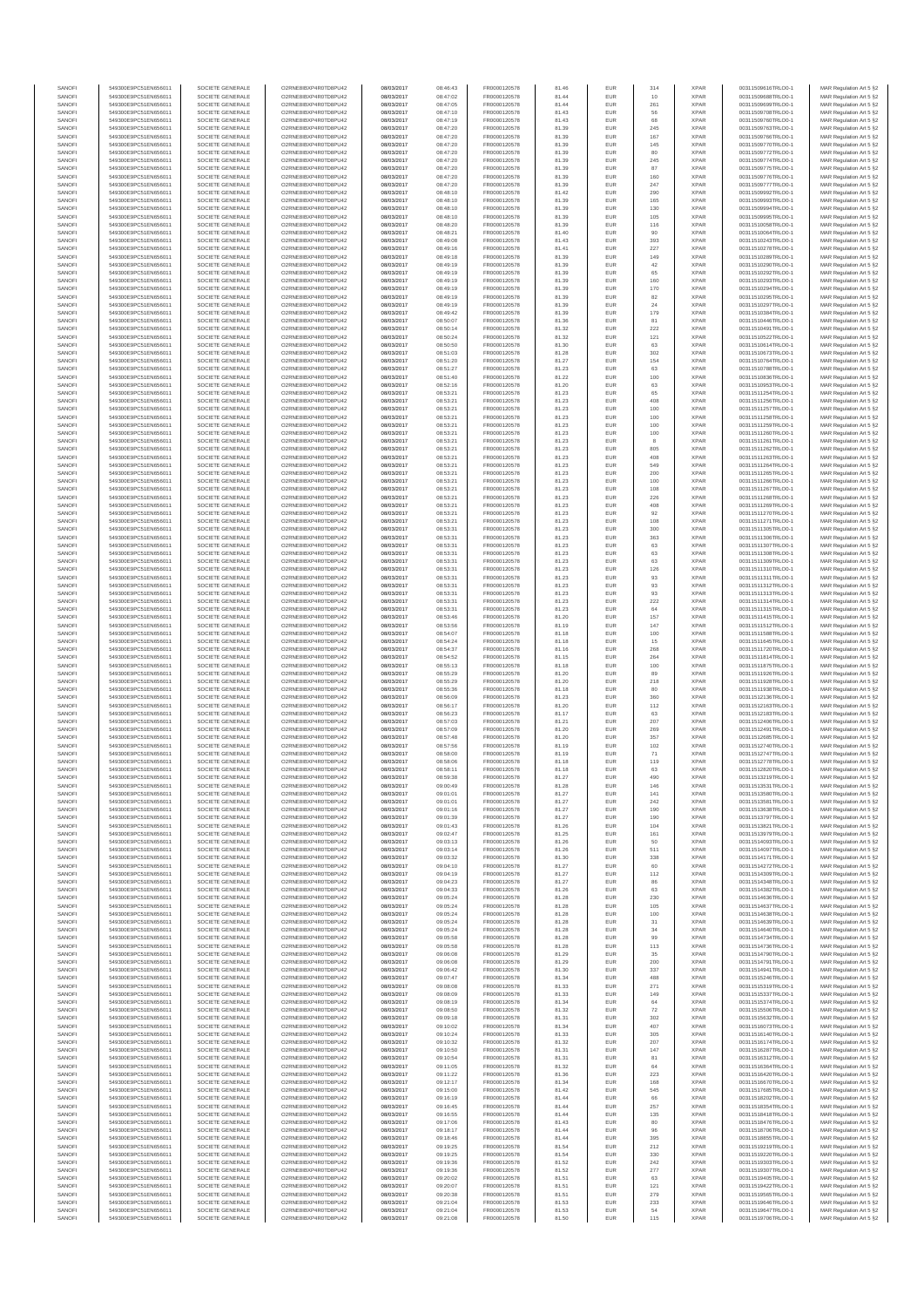| SANOFI           | 549300E9PC51EN656011                         | SOCIETE GENERALE                     | O2RNE8IBXP4R0TD8PU42                          | 08/03/2017               | 08:46:43             | FR0000120578                 | 81.46          | EUR               | 314        | <b>XPAR</b>                | 00311509616TRLO0-1                       | MAR Regulation Art 5 §2                            |
|------------------|----------------------------------------------|--------------------------------------|-----------------------------------------------|--------------------------|----------------------|------------------------------|----------------|-------------------|------------|----------------------------|------------------------------------------|----------------------------------------------------|
| SANOFI<br>SANOFI | 549300E9PC51EN656011<br>549300E9PC51EN656011 | SOCIETE GENERALE<br>SOCIETE GENERALE | O2RNE8IBXP4R0TD8PU42<br>O2RNE8IBXP4R0TD8PU42  | 08/03/2017<br>08/03/2017 | 08:47:02<br>08:47:05 | FR0000120578<br>FR0000120578 | 81.44<br>81.44 | EUR<br><b>EUR</b> | 10<br>261  | <b>XPAR</b><br><b>XPAR</b> | 00311509688TRLO0-1<br>00311509699TRLO0-1 | MAR Regulation Art 5 §2<br>MAR Regulation Art 5 §2 |
| SANOFI           | 549300E9PC51EN656011                         | SOCIETE GENERALE                     | O2RNE8IBXP4R0TD8PU42                          | 08/03/2017               | 08:47:10             | FR0000120578                 | 81.43          | EUR               | 56         | <b>XPAR</b>                | 00311509708TRLO0-1                       | MAR Regulation Art 5 §2                            |
| SANOFI<br>SANOFI | 549300E9PC51EN656011<br>549300E9PC51EN656011 | SOCIETE GENERALE<br>SOCIETE GENERALE | O2RNE8IBXP4R0TD8PU42<br>O2RNE8IBXP4R0TD8PU42  | 08/03/2017<br>08/03/2017 | 08:47:19<br>08:47:20 | FR0000120578<br>FR0000120578 | 81.43<br>81.39 | <b>EUR</b><br>EUR | 68<br>245  | <b>XPAR</b><br><b>XPAR</b> | 00311509760TRLO0-1<br>00311509763TRLO0-1 | MAR Regulation Art 5 §2<br>MAR Regulation Art 5 §2 |
| SANOFI           | 549300E9PC51EN656011                         | SOCIETE GENERALE                     | O2RNE8IBXP4R0TD8PU42                          | 08/03/2017               | 08:47:20             | FR0000120578                 | 81.39          | EUR               | 167        | <b>XPAR</b>                | 00311509766TRLO0-1                       | MAR Regulation Art 5 §2                            |
| SANOFI           | 549300E9PC51EN656011                         | SOCIETE GENERALE                     | O2RNE8IBXP4R0TD8PU42                          | 08/03/2017               | 08:47:20             | FR0000120578                 | 81.39          | EUR               | 145        | <b>XPAR</b>                | 00311509770TRLO0-1                       | MAR Regulation Art 5 §2                            |
| SANOFI<br>SANOFI | 549300E9PC51EN656011<br>549300E9PC51EN656011 | SOCIETE GENERALE<br>SOCIETE GENERALE | O2RNE8IBXP4R0TD8PU42<br>O2RNE8IBXP4R0TD8PU42  | 08/03/2017<br>08/03/2017 | 08:47:20<br>08:47:20 | FR0000120578<br>FR0000120578 | 81.39<br>81.39 | EUR<br>EUR        | 80<br>245  | <b>XPAR</b><br><b>XPAR</b> | 00311509772TRLO0-1<br>00311509774TRLO0-1 | MAR Regulation Art 5 §2<br>MAR Regulation Art 5 §2 |
| SANOFI           | 549300E9PC51EN656011                         | SOCIETE GENERALE                     | O2RNE8IBXP4R0TD8PU42                          | 08/03/2017               | 08:47:20             | FR0000120578                 | 81.39          | EUR               | 87         | <b>XPAR</b>                | 00311509775TRLO0-1                       | MAR Regulation Art 5 §2                            |
| SANOFI<br>SANOFI | 549300E9PC51EN656011<br>549300E9PC51EN656011 | SOCIETE GENERALE<br>SOCIETE GENERALE | O2RNE8IBXP4R0TD8PU42<br>O2RNE8IBXP4R0TD8PU42  | 08/03/2017<br>08/03/2017 | 08:47:20<br>08:47:20 | FR0000120578<br>FR0000120578 | 81.39<br>81.39 | <b>EUR</b><br>EUR | 160<br>247 | <b>XPAR</b><br><b>XPAR</b> | 00311509776TRLO0-1<br>00311509777TRLO0-1 | MAR Regulation Art 5 §2<br>MAR Regulation Art 5 §2 |
| SANOFI           | 549300E9PC51EN656011                         | SOCIETE GENERALE                     | O2RNE8IBXP4R0TD8PU42                          | 08/03/2017               | 08:48:10             | FR0000120578                 | 81.42          | EUR               | 290        | <b>XPAR</b>                | 00311509992TRLO0-1                       | MAR Regulation Art 5 §2                            |
| SANOFI<br>SANOFI | 549300E9PC51EN656011<br>549300E9PC51EN656011 | SOCIETE GENERALE<br>SOCIETE GENERALE | O2RNE8IBXP4R0TD8PU42<br>O2RNE8IBXP4R0TD8PU42  | 08/03/2017<br>08/03/2017 | 08:48:10<br>08:48:10 | FR0000120578<br>FR0000120578 | 81.39<br>81.39 | EUR<br>EUR        | 165<br>130 | <b>XPAR</b><br><b>XPAR</b> | 00311509993TRLO0-1<br>00311509994TRLO0-1 | MAR Regulation Art 5 §2<br>MAR Regulation Art 5 §2 |
| SANOFI           | 549300E9PC51EN656011                         | SOCIETE GENERALE                     | O2RNE8IBXP4R0TD8PU42                          | 08/03/2017               | 08:48:10             | FR0000120578                 | 81.39          | EUR               | 105        | <b>XPAR</b>                | 00311509995TRLO0-1                       | MAR Regulation Art 5 §2                            |
| SANOFI           | 549300E9PC51EN656011                         | SOCIETE GENERALE                     | O2RNE8IBXP4R0TD8PU42                          | 08/03/2017               | 08:48:20             | FR0000120578                 | 81.39          | EUR               | 116        | <b>XPAR</b>                | 00311510058TRLO0-1                       | MAR Regulation Art 5 §2                            |
| SANOFI<br>SANOFI | 549300E9PC51EN656011<br>549300E9PC51EN656011 | SOCIETE GENERALE<br>SOCIETE GENERALE | O2RNE8IBXP4R0TD8PU42<br>O2RNE8IBXP4R0TD8PU42  | 08/03/2017<br>08/03/2017 | 08:48:21<br>08:49:08 | FR0000120578<br>FR0000120578 | 81.40<br>81.43 | <b>EUR</b><br>EUR | 90<br>393  | <b>XPAR</b><br><b>XPAR</b> | 00311510064TRLO0-1<br>00311510243TRLO0-1 | MAR Regulation Art 5 §2<br>MAR Regulation Art 5 §2 |
| SANOFI           | 549300E9PC51EN656011                         | SOCIETE GENERALE                     | O2RNE8IBXP4R0TD8PU42                          | 08/03/2017               | 08:49:16             | FR0000120578                 | 81.41          | EUR               | 227        | <b>XPAR</b>                | 00311510278TRLO0-1                       | MAR Regulation Art 5 §2                            |
| SANOFI<br>SANOFI | 549300E9PC51EN656011<br>549300E9PC51EN656011 | SOCIETE GENERALE<br>SOCIETE GENERALE | O2RNE8IBXP4R0TD8PU42<br>O2RNE8IBXP4R0TD8PU42  | 08/03/2017<br>08/03/2017 | 08:49:18<br>08:49:19 | FR0000120578<br>FR0000120578 | 81.39<br>81.39 | EUR<br>EUR        | 149<br>42  | <b>XPAR</b><br><b>XPAR</b> | 00311510289TRLO0-1<br>00311510290TRLO0-1 | MAR Regulation Art 5 §2<br>MAR Regulation Art 5 §2 |
| SANOFI           | 549300E9PC51EN656011                         | SOCIETE GENERALE                     | O2RNE8IBXP4R0TD8PU42                          | 08/03/2017               | 08:49:19             | FR0000120578                 | 81.39          | EUR               | 65         | <b>XPAR</b>                | 00311510292TRLO0-1                       | MAR Regulation Art 5 §2                            |
| SANOFI           | 549300E9PC51EN656011                         | SOCIETE GENERALE                     | O2RNE8IBXP4R0TD8PU42                          | 08/03/2017               | 08:49:19             | FR0000120578                 | 81.39          | EUR               | 160        | <b>XPAR</b>                | 00311510293TRLO0-1                       | MAR Regulation Art 5 §2                            |
| SANOFI<br>SANOFI | 549300E9PC51EN656011<br>549300E9PC51EN656011 | SOCIETE GENERALE<br>SOCIETE GENERALE | O2RNE8IBXP4R0TD8PU42<br>O2RNE8IBXP4R0TD8PU42  | 08/03/2017<br>08/03/2017 | 08:49:19<br>08:49:19 | FR0000120578<br>FR0000120578 | 81.39<br>81.39 | EUR<br>EUR        | 170<br>82  | <b>XPAR</b><br><b>XPAR</b> | 00311510294TRLO0-1<br>00311510295TRLO0-1 | MAR Regulation Art 5 §2<br>MAR Regulation Art 5 §2 |
| SANOFI           | 549300E9PC51EN656011                         | SOCIETE GENERALE                     | O2RNE8IBXP4R0TD8PU42                          | 08/03/2017               | 08:49:19             | FR0000120578                 | 81.39          | EUR               | 24         | <b>XPAR</b>                | 00311510297TRLO0-1                       | MAR Regulation Art 5 §2                            |
| SANOFI<br>SANOFI | 549300E9PC51EN656011<br>549300E9PC51EN656011 | SOCIETE GENERALE<br>SOCIETE GENERALE | O2RNE8IBXP4R0TD8PU42<br>O2RNE8IBXP4R0TD8PU42  | 08/03/2017<br>08/03/2017 | 08:49:42<br>08:50:07 | FR0000120578<br>FR0000120578 | 81.39<br>81.36 | EUR<br>EUR        | 179<br>81  | <b>XPAR</b><br><b>XPAR</b> | 00311510384TRLO0-1<br>00311510446TRLO0-1 | MAR Regulation Art 5 §2<br>MAR Regulation Art 5 §2 |
| SANOFI           | 549300E9PC51EN656011                         | SOCIETE GENERALE                     | O2RNE8IBXP4R0TD8PU42                          | 08/03/2017               | 08:50:14             | FR0000120578                 | 81.32          | EUR               | 222        | <b>XPAR</b>                | 00311510491TRLO0-1                       | MAR Regulation Art 5 §2                            |
| SANOFI<br>SANOFI | 549300E9PC51EN656011                         | SOCIETE GENERALE                     | O2RNE8IBXP4R0TD8PU42                          | 08/03/2017               | 08:50:24             | FR0000120578                 | 81.32          | EUR               | 121        | <b>XPAR</b>                | 00311510522TRLO0-1                       | MAR Regulation Art 5 §2                            |
| SANOFI           | 549300E9PC51EN656011<br>549300E9PC51EN656011 | SOCIETE GENERALE<br>SOCIETE GENERALE | O2RNE8IBXP4R0TD8PU42<br>O2RNE8IBXP4R0TD8PU42  | 08/03/2017<br>08/03/2017 | 08:50:50<br>08:51:03 | FR0000120578<br>FR0000120578 | 81.30<br>81.28 | EUR<br>EUR        | 63<br>302  | <b>XPAR</b><br><b>XPAR</b> | 00311510614TRLO0-1<br>00311510673TRLO0-1 | MAR Regulation Art 5 §2<br>MAR Regulation Art 5 §2 |
| SANOFI           | 549300E9PC51EN656011                         | SOCIETE GENERALE                     | O2RNE8IBXP4R0TD8PU42                          | 08/03/2017               | 08:51:20             | FR0000120578                 | 81.27          | EUR               | 154        | <b>XPAR</b>                | 00311510764TRLO0-1                       | MAR Regulation Art 5 §2                            |
| SANOFI<br>SANOFI | 549300E9PC51EN656011<br>549300E9PC51EN656011 | SOCIETE GENERALE<br>SOCIETE GENERALE | O2RNE8IBXP4R0TD8PU42<br>O2RNE8IBXP4R0TD8PU42  | 08/03/2017<br>08/03/2017 | 08:51:27<br>08:51:40 | FR0000120578<br>FR0000120578 | 81.23<br>81.22 | EUR<br>EUR        | 63<br>100  | <b>XPAR</b><br><b>XPAR</b> | 00311510788TRLO0-1<br>00311510836TRLO0-1 | MAR Regulation Art 5 §2<br>MAR Regulation Art 5 §2 |
| SANOFI           | 549300E9PC51EN656011                         | SOCIETE GENERALE                     | O2RNE8IBXP4R0TD8PU42                          | 08/03/2017               | 08:52:16             | FR0000120578                 | 81.20          | EUR               | 63         | <b>XPAR</b>                | 00311510953TRLO0-1                       | MAR Regulation Art 5 §2                            |
| SANOFI<br>SANOFI | 549300E9PC51EN656011                         | SOCIETE GENERALE                     | O2RNE8IBXP4R0TD8PLI42<br>O2RNE8IBXP4R0TD8PU42 | 08/03/2017<br>08/03/2017 | 08:53:21<br>08:53:21 | FR0000120578<br>FR0000120578 | 81.23          | EUR<br>EUR        | 65<br>408  | <b>XPAR</b><br><b>XPAR</b> | 00311511254TRLO0-1                       | MAR Regulation Art 5 §2<br>MAR Regulation Art 5 §2 |
| SANOFI           | 549300E9PC51EN656011<br>549300E9PC51EN656011 | SOCIETE GENERALE<br>SOCIETE GENERALE | O2RNE8IBXP4R0TD8PU42                          | 08/03/2017               | 08:53:21             | FR0000120578                 | 81.23<br>81.23 | EUR               | 100        | <b>XPAR</b>                | 00311511256TRLO0-1<br>00311511257TRLO0-1 | MAR Regulation Art 5 §2                            |
| SANOFI           | 549300E9PC51EN656011                         | SOCIETE GENERALE                     | O2RNE8IBXP4R0TD8PU42                          | 08/03/2017               | 08:53:21             | FR0000120578                 | 81.23          | EUR               | 100        | <b>XPAR</b>                | 00311511258TRLO0-1                       | MAR Regulation Art 5 §2                            |
| SANOFI<br>SANOFI | 549300E9PC51EN656011<br>549300E9PC51EN656011 | SOCIETE GENERALE<br>SOCIETE GENERALE | O2RNE8IBXP4R0TD8PU42<br>O2RNE8IBXP4R0TD8PU42  | 08/03/2017<br>08/03/2017 | 08:53:21<br>08:53:21 | FR0000120578<br>FR0000120578 | 81.23<br>81.23 | EUR<br>EUR        | 100<br>100 | <b>XPAR</b><br><b>XPAR</b> | 00311511259TRLO0-1<br>00311511260TRLO0-1 | MAR Regulation Art 5 §2<br>MAR Regulation Art 5 §2 |
| SANOFI           | 549300E9PC51EN656011                         | SOCIETE GENERALE                     | O2RNE8IBXP4R0TD8PU42                          | 08/03/2017               | 08:53:21             | FR0000120578                 | 81.23          | EUR               | 8          | <b>XPAR</b>                | 00311511261TRLO0-1                       | MAR Regulation Art 5 §2                            |
| SANOFI<br>SANOFI | 549300E9PC51EN656011<br>549300E9PC51EN656011 | SOCIETE GENERALE<br>SOCIETE GENERALE | O2RNE8IBXP4R0TD8PU42<br>O2RNE8IBXP4R0TD8PU42  | 08/03/2017<br>08/03/2017 | 08:53:21<br>08:53:21 | FR0000120578<br>FR0000120578 | 81.23<br>81.23 | EUR<br>EUR        | 805<br>408 | <b>XPAR</b><br><b>XPAR</b> | 00311511262TRLO0-1<br>00311511263TRLO0-1 | MAR Regulation Art 5 §2                            |
| SANOFI           | 549300E9PC51EN656011                         | SOCIETE GENERALE                     | O2RNE8IBXP4R0TD8PU42                          | 08/03/2017               | 08:53:21             | FR0000120578                 | 81.23          | EUR               | 549        | <b>XPAR</b>                | 00311511264TRLO0-1                       | MAR Regulation Art 5 §2<br>MAR Regulation Art 5 §2 |
| SANOFI           | 549300E9PC51EN656011                         | SOCIETE GENERALE                     | O2RNE8IBXP4R0TD8PU42                          | 08/03/2017               | 08:53:21             | FR0000120578                 | 81.23          | EUR               | 200        | <b>XPAR</b>                | 00311511265TRLO0-1                       | MAR Regulation Art 5 §2                            |
| SANOFI<br>SANOFI | 549300E9PC51EN656011<br>549300E9PC51EN656011 | SOCIETE GENERALE<br>SOCIETE GENERALE | O2RNE8IBXP4R0TD8PU42<br>O2RNE8IBXP4R0TD8PU42  | 08/03/2017<br>08/03/2017 | 08:53:21<br>08:53:21 | FR0000120578<br>FR0000120578 | 81.23<br>81.23 | EUR<br>EUR        | 100<br>108 | <b>XPAR</b><br><b>XPAR</b> | 00311511266TRLO0-1<br>00311511267TRLO0-1 | MAR Regulation Art 5 §2<br>MAR Regulation Art 5 §2 |
| SANOFI           | 549300E9PC51EN656011                         | SOCIETE GENERALE                     | O2RNE8IBXP4R0TD8PU42                          | 08/03/2017               | 08:53:21             | FR0000120578                 | 81.23          | EUR               | 226        | <b>XPAR</b>                | 00311511268TRLO0-1                       | MAR Regulation Art 5 §2                            |
| SANOFI<br>SANOFI | 549300E9PC51EN656011<br>549300E9PC51EN656011 | SOCIETE GENERALE<br>SOCIETE GENERALE | O2RNE8IBXP4R0TD8PU42<br>O2RNE8IBXP4R0TD8PU42  | 08/03/2017<br>08/03/2017 | 08:53:21<br>08:53:21 | FR0000120578<br>FR0000120578 | 81.23<br>81.23 | EUR<br>EUR        | 408<br>92  | <b>XPAR</b><br><b>XPAR</b> | 00311511269TRLO0-1<br>00311511270TRLO0-1 | MAR Regulation Art 5 §2                            |
| SANOFI           | 549300E9PC51EN656011                         | SOCIETE GENERALE                     | O2RNE8IBXP4R0TD8PU42                          | 08/03/2017               | 08:53:21             | FR0000120578                 | 81.23          | EUR               | 108        | <b>XPAR</b>                | 00311511271TRLO0-1                       | MAR Regulation Art 5 §2<br>MAR Regulation Art 5 §2 |
| SANOFI           | 549300E9PC51EN656011                         | SOCIETE GENERALE                     | O2RNE8IBXP4R0TD8PU42                          | 08/03/2017               | 08:53:31             | FR0000120578                 | 81.23          | EUR               | 300        | <b>XPAR</b>                | 00311511305TRLO0-1                       | MAR Regulation Art 5 §2                            |
| SANOFI<br>SANOFI | 549300E9PC51EN656011<br>549300E9PC51EN656011 | SOCIETE GENERALE<br>SOCIETE GENERALE | O2RNE8IBXP4R0TD8PU42<br>O2RNE8IBXP4R0TD8PU42  | 08/03/2017<br>08/03/2017 | 08:53:31<br>08:53:31 | FR0000120578<br>FR0000120578 | 81.23<br>81.23 | EUR<br>EUR        | 363<br>63  | <b>XPAR</b><br><b>XPAR</b> | 00311511306TRLO0-1<br>00311511307TRLO0-1 | MAR Regulation Art 5 §2<br>MAR Regulation Art 5 §2 |
| SANOFI           | 549300E9PC51EN656011                         | SOCIETE GENERALE                     | O2RNE8IBXP4R0TD8PU42                          | 08/03/2017               | 08:53:31             | FR0000120578                 | 81.23          | EUR               | 63         | <b>XPAR</b>                | 00311511308TRLO0-1                       | MAR Regulation Art 5 §2                            |
| SANOFI<br>SANOFI | 549300E9PC51EN656011<br>549300E9PC51EN656011 | SOCIETE GENERALE<br>SOCIETE GENERALE | O2RNE8IBXP4R0TD8PU42<br>O2RNE8IBXP4R0TD8PU42  | 08/03/2017<br>08/03/2017 | 08:53:31             | FR0000120578<br>FR0000120578 | 81.23<br>81.23 | EUR<br>EUR        | 63<br>126  | <b>XPAR</b><br><b>XPAR</b> | 00311511309TRLO0-1<br>00311511310TRLO0-1 | MAR Regulation Art 5 §2<br>MAR Regulation Art 5 §2 |
| SANOFI           | 549300E9PC51EN656011                         | SOCIETE GENERALE                     | O2RNE8IBXP4R0TD8PU42                          | 08/03/2017               | 08:53:31<br>08:53:31 | FR0000120578                 | 81.23          | <b>EUR</b>        | 93         | <b>XPAR</b>                | 00311511311TRLO0-1                       | MAR Regulation Art 5 §2                            |
| SANOFI           | 549300E9PC51EN656011                         | SOCIETE GENERALE                     | O2RNE8IBXP4R0TD8PU42                          | 08/03/2017               | 08:53:31             | FR0000120578                 | 81.23          | EUR               | 93         | <b>XPAR</b>                | 00311511312TRLO0-1                       | MAR Regulation Art 5 §2                            |
| SANOFI<br>SANOFI | 549300E9PC51EN656011<br>549300E9PC51EN656011 | SOCIETE GENERALE<br>SOCIETE GENERALE | O2RNE8IBXP4R0TD8PU42<br>O2RNE8IBXP4R0TD8PU42  | 08/03/2017<br>08/03/2017 | 08:53:31<br>08:53:31 | FR0000120578<br>FR0000120578 | 81.23<br>81.23 | EUR<br>EUR        | 93<br>222  | <b>XPAR</b><br><b>XPAR</b> | 00311511313TRLO0-1<br>00311511314TRLO0-1 | MAR Regulation Art 5 §2<br>MAR Regulation Art 5 §2 |
| SANOFI           | 549300E9PC51EN656011                         | SOCIETE GENERALE                     | O2RNE8IBXP4R0TD8PU42                          | 08/03/2017               | 08:53:31             | FR0000120578                 | 81.23          | EUR               | 64         | <b>XPAR</b>                | 00311511315TRLO0-1                       | MAR Regulation Art 5 §2                            |
| SANOFI<br>SANOFI | 549300E9PC51EN656011<br>549300E9PC51EN656011 | SOCIETE GENERALE<br>SOCIETE GENERALE | O2RNE8IBXP4R0TD8PU42<br>O2RNE8IBXP4R0TD8PU42  | 08/03/2017<br>08/03/2017 | 08:53:46<br>08:53:56 | FR0000120578<br>FR0000120578 | 81.20<br>81.19 | EUR<br>EUR        | 157<br>147 | <b>XPAR</b><br><b>XPAR</b> | 00311511415TRLO0-1<br>00311511512TRLO0-1 | MAR Regulation Art 5 §2<br>MAR Regulation Art 5 §2 |
| SANOFI           | 549300E9PC51EN656011                         | SOCIETE GENERALE                     | O2RNE8IBXP4R0TD8PU42                          | 08/03/2017               | 08:54:07             | FR0000120578                 | 81.18          | EUR               | 100        | <b>XPAR</b>                | 00311511588TRLO0-1                       | MAR Regulation Art 5 §2                            |
| SANOFI           | 549300E9PC51EN656011                         | SOCIETE GENERALE                     | O2RNE8IBXP4R0TD8PU42                          | 08/03/2017               | 08:54:24             | FR0000120578                 | 81.18          | EUR               | 15         | <b>XPAR</b>                | 00311511645TRLO0-1                       | MAR Regulation Art 5 §2                            |
| SANOFI<br>SANOFI | 549300E9PC51EN656011<br>549300E9PC51EN656011 | SOCIETE GENERALE<br>SOCIETE GENERALE | O2RNE8IBXP4R0TD8PU42<br>O2RNE8IBXP4R0TD8PU42  | 08/03/2017<br>08/03/2017 | 08:54:37<br>08:54:52 | FR0000120578<br>FR0000120578 | 81.16<br>81.15 | EUR<br>EUR        | 268<br>264 | <b>XPAR</b><br><b>XPAR</b> | 00311511720TRLO0-1<br>00311511814TRLO0-1 | MAR Regulation Art 5 §2<br>MAR Regulation Art 5 §2 |
| SANOFI           | 549300E9PC51EN656011                         | SOCIETE GENERALE                     | O2RNE8IBXP4R0TD8PU42                          | 08/03/2017               | 08:55:13             | FR0000120578                 | 81.18          | <b>EUR</b>        | 100        | <b>XPAR</b>                | 00311511875TRLO0-1                       | MAR Regulation Art 5 §2                            |
| SANOFI<br>SANOFI | 549300E9PC51EN656011<br>549300E9PC51EN656011 | SOCIETE GENERALE<br>SOCIETE GENERALE | O2RNE8IBXP4R0TD8PU42<br>O2RNE8IBXP4R0TD8PU42  | 08/03/2017<br>08/03/2017 | 08:55:29<br>08:55:29 | FR0000120578<br>FR0000120578 | 81.20<br>81.20 | EUR<br>EUR        | 89<br>218  | <b>XPAR</b><br><b>XPAR</b> | 00311511926TRLO0-1<br>00311511928TRLO0-1 | MAR Regulation Art 5 §2<br>MAR Regulation Art 5 §2 |
| SANOFI           | 549300E9PC51EN656011                         | SOCIETE GENERALE                     | O2RNE8IBXP4R0TD8PU42                          | 08/03/2017               | 08:55:36             | FR0000120578                 | 81.18          | EUR               | 80         | <b>XPAR</b>                | 00311511938TRLO0-1                       | MAR Regulation Art 5 §2                            |
| SANOFI           | 549300E9PC51EN656011                         | SOCIETE GENERALE                     | O2RNE8IBXP4R0TD8PU42                          | 08/03/2017               | 08:56:09             | FR0000120578                 | 81.23          | EUR               | 360        | <b>XPAR</b>                | 00311512136TRLO0-1                       | MAR Regulation Art 5 §2                            |
| SANOFI<br>SANOFI | 549300E9PC51EN656011<br>549300E9PC51EN656011 | SOCIETE GENERALE<br>SOCIETE GENERALE | O2RNE8IBXP4R0TD8PU42<br>O2RNE8IBXP4R0TD8PU42  | 08/03/2017<br>08/03/2017 | 08:56:17<br>08:56:23 | FR0000120578<br>FR0000120578 | 81.20<br>81.17 | EUR<br>EUR        | 112<br>63  | <b>XPAR</b><br><b>XPAR</b> | 00311512163TRLO0-1<br>00311512183TRLO0-1 | MAR Regulation Art 5 §2<br>MAR Regulation Art 5 §2 |
| SANOFI           | 549300E9PC51EN656011                         | SOCIETE GENERALE                     | O2RNE8IBXP4R0TD8PU42                          | 08/03/2017               | 08:57:03             | FR0000120578                 | 81.21          | <b>EUR</b>        | 207        | <b>XPAR</b>                | 00311512406TRLO0-1                       | MAR Regulation Art 5 \$2                           |
| SANOFI<br>SANOFI | 549300E9PC51EN656011<br>549300E9PC51EN656011 | SOCIETE GENERALE<br>SOCIETE GENERALE | O2RNE8IBXP4R0TD8PU42<br>O2RNE8IBXP4R0TD8PU42  | 08/03/2017<br>08/03/2017 | 08:57:09<br>08:57:48 | FR0000120578<br>FR0000120578 | 81.20<br>81.20 | EUR<br>EUR        | 269<br>357 | <b>XPAR</b><br><b>XPAR</b> | 00311512491TRLO0-1<br>00311512685TRLO0-1 | MAR Regulation Art 5 §2<br>MAR Regulation Art 5 §2 |
| SANOFI           | 549300E9PC51EN656011                         | SOCIETE GENERALE                     | O2RNE8IBXP4R0TD8PU42                          | 08/03/2017               | 08:57:56             | FR0000120578                 | 81.19          | EUR               | 102        | <b>XPAR</b>                | 00311512740TRLO0-1                       | MAR Regulation Art 5 §2                            |
| SANOFI           | 549300E9PC51EN656011                         | SOCIETE GENERALE                     | O2RNE8IBXP4R0TD8PU42                          | 08/03/2017               | 08:58:00             | FR0000120578                 | 81.19          | EUR               | 71         | <b>XPAR</b>                | 00311512747TRLO0-1                       | MAR Regulation Art 5 §2                            |
| SANOFI<br>SANOFI | 549300E9PC51EN656011<br>549300E9PC51EN656011 | SOCIETE GENERALE<br>SOCIETE GENERALE | O2RNE8IBXP4R0TD8PU42<br>O2RNE8IBXP4R0TD8PU42  | 08/03/2017<br>08/03/2017 | 08:58:06<br>08:58:11 | FR0000120578<br>FR0000120578 | 81.18<br>81.18 | EUR<br>EUR        | 119<br>63  | <b>XPAR</b><br><b>XPAR</b> | 00311512778TRLO0-1<br>00311512820TRLO0-1 | MAR Regulation Art 5 §2<br>MAR Regulation Art 5 §2 |
| SANOFI           | 549300E9PC51EN656011                         | SOCIETE GENERALE                     | O2RNE8IBXP4R0TD8PU42                          | 08/03/2017               | 08:59:38             | FR0000120578                 | 81.27          | <b>EUR</b>        | 490        | <b>XPAR</b>                | 00311513219TRLO0-1                       | MAR Regulation Art 5 §2                            |
| SANOF<br>SANOFI  | 549300E9PC51EN656011<br>549300E9PC51EN656011 | SOCIETE GENERALE<br>SOCIETE GENERALE | O2RNE8IBXP4R0TD8PU42<br>O2RNE8IBXP4R0TD8PU42  | 08/03/2017<br>08/03/2017 | 09:00:49<br>09:01:01 | FR0000120578<br>FR0000120578 | 81.28<br>81.27 | <b>EUR</b>        | 141        | <b>XPAF</b><br><b>XPAR</b> | 00311513531TRLO0-1<br>00311513580TRLO0-1 | MAR Regulation Art 5 §2<br>MAR Regulation Art 5 §2 |
| SANOFI           | 549300E9PC51EN656011                         | SOCIETE GENERALE                     | O2RNE8IBXP4R0TD8PU42                          | 08/03/2017               | 09:01:01             | FR0000120578                 | 81.27          | EUR               | 242        | <b>XPAR</b>                | 00311513581TRLO0-1                       | MAR Regulation Art 5 §2                            |
| SANOFI<br>SANOFI | 549300E9PC51EN656011<br>549300E9PC51EN656011 | SOCIETE GENERALE<br>SOCIETE GENERALE | O2RNE8IBXP4R0TD8PU42<br>O2RNE8IBXP4R0TD8PU42  | 08/03/2017<br>08/03/2017 | 09:01:16<br>09:01:39 | FR0000120578                 | 81.27<br>81.27 | <b>EUR</b><br>EUR | 190<br>190 | <b>XPAR</b><br><b>XPAR</b> | 00311513638TRLO0-1<br>00311513797TRLO0-1 | MAR Regulation Art 5 §2                            |
| SANOFI           | 549300E9PC51EN656011                         | SOCIETE GENERALE                     | O2RNE8IBXP4R0TD8PU42                          | 08/03/2017               | 09:01:43             | FR0000120578<br>FR0000120578 | 81.26          | EUR               | 104        | <b>XPAR</b>                | 00311513821TRLO0-1                       | MAR Regulation Art 5 §2<br>MAR Regulation Art 5 §2 |
| SANOFI           | 549300E9PC51EN656011                         | SOCIETE GENERALE                     | O2RNE8IBXP4R0TD8PU42                          | 08/03/2017               | 09:02:47             | FR0000120578                 | 81.25          | EUR               | 161        | <b>XPAR</b>                | 00311513979TRLO0-1                       | MAR Regulation Art 5 §2                            |
| SANOFI<br>SANOFI | 549300E9PC51EN656011<br>549300E9PC51EN656011 | SOCIETE GENERALE<br>SOCIETE GENERALE | O2RNE8IBXP4R0TD8PU42<br>O2RNE8IBXP4R0TD8PU42  | 08/03/2017<br>08/03/2017 | 09:03:13<br>09:03:14 | FR0000120578<br>FR0000120578 | 81.26<br>81.26 | EUR<br><b>EUR</b> | 50<br>511  | <b>XPAR</b><br><b>XPAR</b> | 00311514093TRLO0-1<br>00311514097TRLO0-1 | MAR Regulation Art 5 §2<br>MAR Regulation Art 5 §2 |
| SANOFI           | 549300E9PC51EN656011                         | SOCIETE GENERALE                     | O2RNE8IBXP4R0TD8PU42                          | 08/03/2017               | 09:03:32             | FR0000120578                 | 81.30          | EUR               | 338        | <b>XPAR</b>                | 00311514171TRLO0-1                       | MAR Regulation Art 5 §2                            |
| SANOFI<br>SANOFI | 549300E9PC51EN656011<br>549300E9PC51EN656011 | SOCIETE GENERALE<br>SOCIETE GENERALE | O2RNE8IBXP4R0TD8PU42<br>O2RNE8IBXP4R0TD8PU42  | 08/03/2017<br>08/03/2017 | 09:04:10<br>09:04:19 | FR0000120578<br>FR0000120578 | 81.27<br>81.27 | <b>EUR</b><br>EUR | 60<br>112  | <b>XPAR</b><br><b>XPAR</b> | 00311514272TRLO0-1<br>00311514309TRLO0-1 | MAR Regulation Art 5 §2<br>MAR Regulation Art 5 §2 |
| SANOFI           | 549300E9PC51EN656011                         | SOCIETE GENERALE                     | O2RNE8IBXP4R0TD8PU42                          | 08/03/2017               | 09:04:23             | FR0000120578                 | 81.27          | EUR               | 86         | <b>XPAR</b>                | 00311514348TRLO0-1                       | MAR Regulation Art 5 §2                            |
| SANOFI<br>SANOFI | 549300E9PC51EN656011<br>549300E9PC51EN656011 | SOCIETE GENERALE<br>SOCIETE GENERALE | O2RNE8IBXP4R0TD8PU42<br>O2RNE8IBXP4R0TD8PU42  | 08/03/2017<br>08/03/2017 | 09:04:33<br>09:05:24 | FR0000120578<br>FR0000120578 | 81.26<br>81.28 | EUR<br>EUR        | 63<br>230  | <b>XPAR</b><br><b>XPAR</b> | 00311514382TRLO0-1<br>00311514636TRLO0-1 | MAR Regulation Art 5 §2<br>MAR Regulation Art 5 §2 |
| SANOFI           | 549300E9PC51EN656011                         | SOCIETE GENERALE                     | O2RNE8IBXP4R0TD8PU42                          | 08/03/2017               | 09:05:24             | FR0000120578                 | 81.28          | EUR               | 105        | <b>XPAR</b>                | 00311514637TRLO0-1                       | MAR Regulation Art 5 §2                            |
| SANOFI<br>SANOFI | 549300E9PC51EN656011<br>549300E9PC51EN656011 | SOCIETE GENERALE<br>SOCIETE GENERALE | O2RNE8IBXP4R0TD8PU42<br>O2RNE8IBXP4R0TD8PU42  | 08/03/2017<br>08/03/2017 | 09:05:24<br>09:05:24 | FR0000120578                 | 81.28          | EUR<br><b>EUR</b> | 100        | <b>XPAR</b><br><b>XPAR</b> | 00311514638TRLO0-1                       | MAR Regulation Art 5 §2                            |
| SANOFI           | 549300E9PC51EN656011                         | SOCIETE GENERALE                     | O2RNE8IBXP4R0TD8PU42                          | 08/03/2017               | 09:05:24             | FR0000120578<br>FR0000120578 | 81.28<br>81.28 | EUR               | 31<br>34   | <b>XPAR</b>                | 00311514639TRLO0-1<br>00311514640TRLO0-1 | MAR Regulation Art 5 §2<br>MAR Regulation Art 5 §2 |
| SANOFI           | 549300E9PC51EN656011                         | SOCIETE GENERALE                     | O2RNE8IBXP4R0TD8PU42                          | 08/03/2017               | 09:05:58             | FR0000120578                 | 81.28          | <b>EUR</b>        | 99         | <b>XPAR</b>                | 00311514734TRLO0-1                       | MAR Regulation Art 5 §2                            |
| SANOFI<br>SANOFI | 549300E9PC51EN656011<br>549300E9PC51EN656011 | SOCIETE GENERALE<br>SOCIETE GENERALE | O2RNE8IBXP4R0TD8PU42<br>O2RNE8IBXP4R0TD8PU42  | 08/03/2017<br>08/03/2017 | 09:05:58<br>09:06:08 | FR0000120578<br>FR0000120578 | 81.28<br>81.29 | EUR<br>EUR        | 113<br>35  | <b>XPAR</b><br><b>XPAR</b> | 00311514736TRLO0-1<br>00311514790TRLO0-1 | MAR Regulation Art 5 §2<br>MAR Regulation Art 5 §2 |
| SANOFI           | 549300E9PC51EN656011                         | SOCIETE GENERALE                     | O2RNE8IBXP4R0TD8PU42                          | 08/03/2017               | 09:06:08             | FR0000120578                 | 81.29          | EUR               | 200        | <b>XPAR</b>                | 00311514791TRLO0-1                       | MAR Regulation Art 5 §2                            |
| SANOFI<br>SANOFI | 549300E9PC51EN656011<br>549300E9PC51EN656011 | SOCIETE GENERALE<br>SOCIETE GENERALE | O2RNE8IBXP4R0TD8PU42<br>O2RNE8IBXP4R0TD8PU42  | 08/03/2017<br>08/03/2017 | 09:06:42<br>09:07:47 | FR0000120578<br>FR0000120578 | 81.30<br>81.34 | EUR<br>EUR        | 337<br>488 | <b>XPAR</b><br><b>XPAR</b> | 00311514941TRLO0-1<br>00311515246TRLO0-1 | MAR Regulation Art 5 §2<br>MAR Regulation Art 5 §2 |
| SANOFI           | 549300E9PC51EN656011                         | SOCIETE GENERALE                     | O2RNE8IBXP4R0TD8PU42                          | 08/03/2017               | 09:08:08             | FR0000120578                 | 81.33          | EUR               | 271        | <b>XPAR</b>                | 00311515319TRLO0-1                       | MAR Regulation Art 5 §2                            |
| SANOFI<br>SANOFI | 549300E9PC51EN656011<br>549300E9PC51EN656011 | SOCIETE GENERALE<br>SOCIETE GENERALE | O2RNE8IBXP4R0TD8PU42<br>O2RNE8IBXP4R0TD8PU42  | 08/03/2017<br>08/03/2017 | 09:08:09<br>09:08:19 | FR0000120578<br>FR0000120578 | 81.33<br>81.34 | <b>EUR</b><br>EUR | 149<br>64  | <b>XPAR</b><br><b>XPAR</b> | 00311515337TRLO0-1<br>00311515374TRLO0-1 | MAR Regulation Art 5 §2                            |
| SANOFI           | 549300E9PC51EN656011                         | SOCIETE GENERALE                     | O2RNE8IBXP4R0TD8PU42                          | 08/03/2017               | 09:08:50             | FR0000120578                 | 81.32          | <b>EUR</b>        | 72         | <b>XPAR</b>                | 00311515506TRLO0-1                       | MAR Regulation Art 5 §2<br>MAR Regulation Art 5 §2 |
| SANOFI           | 549300E9PC51EN656011                         | SOCIETE GENERALE                     | O2RNE8IBXP4R0TD8PU42                          | 08/03/2017               | 09:09:18             | FR0000120578                 | 81.31          | EUR               | 302        | <b>XPAR</b>                | 00311515632TRLO0-1                       | MAR Regulation Art 5 §2                            |
| SANOFI<br>SANOFI | 549300E9PC51EN656011<br>549300E9PC51EN656011 | SOCIETE GENERALE<br>SOCIETE GENERALE | O2RNE8IBXP4R0TD8PU42<br>O2RNE8IBXP4R0TD8PU42  | 08/03/2017<br>08/03/2017 | 09:10:02<br>09:10:24 | FR0000120578<br>FR0000120578 | 81.34<br>81.33 | EUR<br>EUR        | 407<br>305 | <b>XPAR</b><br><b>XPAR</b> | 00311516073TRLO0-1<br>00311516140TRLO0-1 | MAR Regulation Art 5 §2<br>MAR Regulation Art 5 §2 |
| SANOFI           | 549300E9PC51EN656011                         | SOCIETE GENERALE                     | O2RNE8IBXP4R0TD8PU42                          | 08/03/2017               | 09:10:32             | FR0000120578                 | 81.32          | EUR               | 207        | <b>XPAR</b>                | 00311516174TRLO0-1                       | MAR Regulation Art 5 §2                            |
| SANOFI<br>SANOFI | 549300E9PC51EN656011<br>549300E9PC51EN656011 | SOCIETE GENERALE<br>SOCIETE GENERALE | O2RNE8IBXP4R0TD8PU42<br>O2RNE8IBXP4R0TD8PU42  | 08/03/2017<br>08/03/2017 | 09:10:50<br>09:10:54 | FR0000120578<br>FR0000120578 | 81.31<br>81.31 | <b>EUR</b><br>EUR | 147<br>81  | <b>XPAR</b><br><b>XPAR</b> | 00311516287TRLO0-1<br>00311516312TRLO0-1 | MAR Regulation Art 5 §2                            |
| SANOFI           | 549300E9PC51EN656011                         | SOCIETE GENERALE                     | O2RNE8IBXP4R0TD8PU42                          | 08/03/2017               | 09:11:05             | FR0000120578                 | 81.32          | <b>EUR</b>        | 64         | <b>XPAR</b>                | 00311516364TRLO0-1                       | MAR Regulation Art 5 §2<br>MAR Regulation Art 5 §2 |
| SANOFI           | 549300E9PC51EN656011                         | SOCIETE GENERALE                     | O2RNE8IBXP4R0TD8PU42                          | 08/03/2017               | 09:11:22             | FR0000120578                 | 81.36          | EUR               | 223        | <b>XPAR</b>                | 00311516420TRLO0-1                       | MAR Regulation Art 5 §2                            |
| SANOFI<br>SANOFI | 549300E9PC51EN656011<br>549300E9PC51EN656011 | SOCIETE GENERALE<br>SOCIETE GENERALE | O2RNE8IBXP4R0TD8PU42<br>O2RNE8IBXP4R0TD8PU42  | 08/03/2017<br>08/03/2017 | 09:12:17<br>09:15:00 | FR0000120578<br>FR0000120578 | 81.34<br>81.42 | <b>EUR</b><br>EUR | 168<br>545 | <b>XPAR</b><br><b>XPAR</b> | 00311516670TRLO0-1<br>00311517685TRLO0-1 | MAR Regulation Art 5 §2<br>MAR Regulation Art 5 §2 |
| SANOFI           | 549300E9PC51EN656011                         | SOCIETE GENERALE                     | O2RNE8IBXP4R0TD8PU42                          | 08/03/2017               | 09:16:19             | FR0000120578                 | 81.44          | EUR               | 66         | <b>XPAR</b>                | 00311518202TRLO0-1                       | MAR Regulation Art 5 §2                            |
| SANOFI<br>SANOFI | 549300E9PC51EN656011<br>549300E9PC51EN656011 | SOCIETE GENERALE<br>SOCIETE GENERALE | O2RNE8IBXP4R0TD8PU42<br>O2RNE8IBXP4R0TD8PU42  | 08/03/2017<br>08/03/2017 | 09:16:45<br>09:16:55 | FR0000120578<br>FR0000120578 | 81.44<br>81.44 | EUR<br>EUR        | 257<br>135 | <b>XPAR</b><br><b>XPAR</b> | 00311518354TRLO0-1<br>00311518418TRLO0-1 | MAR Regulation Art 5 §2<br>MAR Regulation Art 5 §2 |
| SANOFI           | 549300E9PC51EN656011                         | SOCIETE GENERALE                     | O2RNE8IBXP4R0TD8PU42                          | 08/03/2017               | 09:17:06             | FR0000120578                 | 81.43          | <b>EUR</b>        | 80         | <b>XPAR</b>                | 00311518476TRLO0-1                       | MAR Regulation Art 5 §2                            |
| SANOFI           | 549300E9PC51EN656011                         | SOCIETE GENERALE                     | O2RNE8IBXP4R0TD8PU42                          | 08/03/2017               | 09:18:17             | FR0000120578                 | 81.44          | EUR               | 96         | <b>XPAR</b>                | 00311518706TRLO0-1                       | MAR Regulation Art 5 §2                            |
| SANOFI<br>SANOFI | 549300E9PC51EN656011<br>549300E9PC51EN656011 | SOCIETE GENERALE<br>SOCIETE GENERALE | O2RNE8IBXP4R0TD8PU42<br>O2RNE8IBXP4R0TD8PU42  | 08/03/2017<br>08/03/2017 | 09:18:46<br>09:19:25 | FR0000120578<br>FR0000120578 | 81.44<br>81.54 | <b>EUR</b><br>EUR | 395<br>212 | <b>XPAR</b><br><b>XPAR</b> | 00311518855TRLO0-1<br>00311519219TRLO0-1 | MAR Regulation Art 5 §2<br>MAR Regulation Art 5 §2 |
| SANOFI           | 549300E9PC51EN656011                         | SOCIETE GENERALE                     | O2RNE8IBXP4R0TD8PU42                          | 08/03/2017               | 09:19:25             | FR0000120578                 | 81.54          | EUR               | 330        | <b>XPAR</b>                | 00311519220TRLO0-1                       | MAR Regulation Art 5 §2                            |
| SANOFI<br>SANOFI | 549300E9PC51EN656011<br>549300E9PC51EN656011 | SOCIETE GENERALE<br>SOCIETE GENERALE | O2RNE8IBXP4R0TD8PU42<br>O2RNE8IBXP4R0TD8PU42  | 08/03/2017<br>08/03/2017 | 09:19:36<br>09:19:36 | FR0000120578<br>FR0000120578 | 81.52<br>81.52 | EUR<br>EUR        | 242<br>277 | <b>XPAR</b><br><b>XPAR</b> | 00311519303TRLO0-1<br>00311519307TRLO0-1 | MAR Regulation Art 5 §2<br>MAR Regulation Art 5 §2 |
| SANOFI           | 549300E9PC51EN656011                         | SOCIETE GENERALE                     | O2RNE8IBXP4R0TD8PU42                          | 08/03/2017               | 09:20:02             | FR0000120578                 | 81.51          | EUR               | 63         | <b>XPAR</b>                | 00311519405TRLO0-1                       | MAR Regulation Art 5 §2                            |
| SANOFI<br>SANOFI | 549300E9PC51EN656011<br>549300E9PC51EN656011 | SOCIETE GENERALE<br>SOCIETE GENERALE | O2RNE8IBXP4R0TD8PU42<br>O2RNE8IBXP4R0TD8PU42  | 08/03/2017<br>08/03/2017 | 09:20:07<br>09:20:38 | FR0000120578                 | 81.51<br>81.51 | EUR<br>EUR        | 121        | <b>XPAR</b><br><b>XPAR</b> | 00311519422TRLO0-1                       | MAR Regulation Art 5 §2                            |
| SANOFI           | 549300E9PC51EN656011                         | SOCIETE GENERALE                     | O2RNE8IBXP4R0TD8PU42                          | 08/03/2017               | 09:21:04             | FR0000120578<br>FR0000120578 | 81.53          | EUR               | 279<br>233 | <b>XPAR</b>                | 00311519565TRLO0-1<br>00311519646TRLO0-1 | MAR Regulation Art 5 §2<br>MAR Regulation Art 5 §2 |
| SANOFI           | 549300E9PC51EN656011                         | SOCIETE GENERALE                     | O2RNE8IBXP4R0TD8PU42                          | 08/03/2017               | 09:21:04             | FR0000120578                 | 81.53          | <b>EUR</b>        | 54         | <b>XPAR</b>                | 00311519647TRLO0-1                       | MAR Regulation Art 5 §2                            |
| SANOFI           | 549300E9PC51EN656011                         | SOCIETE GENERALE                     | O2RNE8IBXP4R0TD8PU42                          | 08/03/2017               | 09:21:08             | FR0000120578                 | 81.50          | EUR               | 115        | <b>XPAR</b>                | 00311519706TRLO0-1                       | MAR Regulation Art 5 §2                            |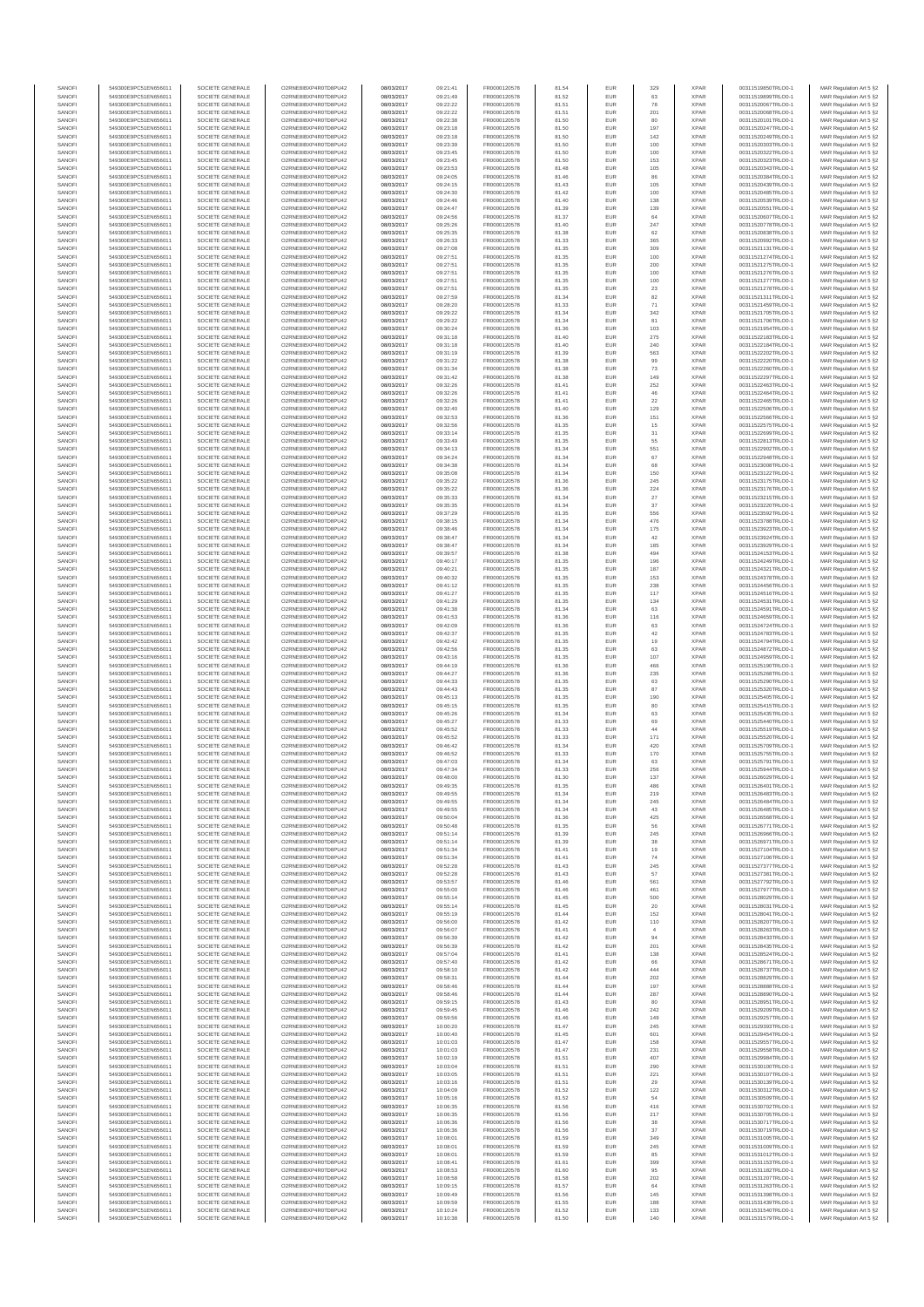| SANOFI<br>SANOFI | 549300E9PC51EN656011<br>549300E9PC51EN656011 | SOCIETE GENERALE<br>SOCIETE GENERALE | O2RNE8IBXP4R0TD8PU42<br>O2RNE8IBXP4R0TD8PU42 | 08/03/2017<br>08/03/2017 | 09:21:41<br>09:21:49 | FR0000120578<br>FR0000120578 | 81.54<br>81.52 | EUR<br>EUR        | 329<br>63     | <b>XPAR</b><br><b>XPAR</b> | 00311519850TRLO0-1<br>00311519899TRLO0-1 | MAR Regulation Art 5 §2<br>MAR Regulation Art 5 §2  |
|------------------|----------------------------------------------|--------------------------------------|----------------------------------------------|--------------------------|----------------------|------------------------------|----------------|-------------------|---------------|----------------------------|------------------------------------------|-----------------------------------------------------|
| SANOFI           | 549300E9PC51EN656011                         | SOCIETE GENERALE                     | O2RNE8IBXP4R0TD8PU42                         | 08/03/2017               | 09:22:22             | FR0000120578                 | 81.51          | <b>EUR</b>        | 78            | <b>XPAR</b>                | 00311520067TRLO0-1                       | MAR Regulation Art 5 §2                             |
| SANOFI           | 549300E9PC51EN656011                         | SOCIETE GENERALE                     | O2RNE8IBXP4R0TD8PU42                         | 08/03/2017               | 09:22:22             | FR0000120578                 | 81.51          | EUR               | 201           | <b>XPAR</b>                | 00311520068TRLO0-1                       | MAR Regulation Art 5 §2                             |
| SANOFI<br>SANOFI | 549300E9PC51EN656011<br>549300E9PC51EN656011 | SOCIETE GENERALE<br>SOCIETE GENERALE | O2RNE8IBXP4R0TD8PU42<br>O2RNE8IBXP4R0TD8PU42 | 08/03/2017<br>08/03/2017 | 09:22:38<br>09:23:18 | FR0000120578<br>FR0000120578 | 81.50<br>81.50 | <b>EUR</b><br>EUR | 80<br>197     | <b>XPAR</b><br><b>XPAR</b> | 00311520101TRLO0-1<br>00311520247TRLO0-1 | MAR Regulation Art 5 §2<br>MAR Regulation Art 5 §2  |
| SANOFI           | 549300E9PC51EN656011                         | SOCIETE GENERALE                     | O2RNE8IBXP4R0TD8PU42                         | 08/03/2017               | 09:23:18             | FR0000120578                 | 81.50          | EUR               | 142           | <b>XPAR</b>                | 00311520249TRLO0-1                       | MAR Regulation Art 5 §2                             |
| SANOFI<br>SANOFI | 549300E9PC51EN656011<br>549300E9PC51EN656011 | SOCIETE GENERALE<br>SOCIETE GENERALE | O2RNE8IBXP4R0TD8PU42<br>O2RNE8IBXP4R0TD8PU42 | 08/03/2017<br>08/03/2017 | 09:23:39<br>09:23:45 | FR0000120578<br>FR0000120578 | 81.50<br>81.50 | EUR<br>EUR        | 100<br>100    | <b>XPAR</b><br><b>XPAR</b> | 00311520303TRLO0-1<br>00311520322TRLO0-1 | MAR Regulation Art 5 §2<br>MAR Regulation Art 5 §2  |
| SANOFI           | 549300E9PC51EN656011                         | SOCIETE GENERALE                     | O2RNE8IBXP4R0TD8PU42                         | 08/03/2017               | 09:23:45             | FR0000120578                 | 81.50          | EUR               | 153           | <b>XPAR</b>                | 00311520323TRLO0-1                       | MAR Regulation Art 5 §2                             |
| SANOFI           | 549300E9PC51EN656011                         | SOCIETE GENERALE                     | O2RNE8IBXP4R0TD8PU42                         | 08/03/2017               | 09:23:53             | FR0000120578                 | 81.48          | EUR               | 105           | <b>XPAR</b>                | 00311520343TRLO0-1                       | MAR Regulation Art 5 §2                             |
| SANOFI<br>SANOFI | 549300E9PC51EN656011<br>549300E9PC51EN656011 | SOCIETE GENERALE<br>SOCIETE GENERALE | O2RNE8IBXP4R0TD8PU42<br>O2RNE8IBXP4R0TD8PU42 | 08/03/2017<br>08/03/2017 | 09:24:05<br>09:24:15 | FR0000120578<br>FR0000120578 | 81.46<br>81.43 | <b>EUR</b><br>EUR | 86<br>105     | <b>XPAR</b><br><b>XPAR</b> | 00311520384TRLO0-1<br>00311520439TRLO0-1 | MAR Regulation Art 5 §2<br>MAR Regulation Art 5 §2  |
| SANOFI           | 549300E9PC51EN656011                         | SOCIETE GENERALE                     | O2RNE8IBXP4R0TD8PU42                         | 08/03/2017               | 09:24:30             | FR0000120578                 | 81.42          | EUR               | 100           | <b>XPAR</b>                | 00311520485TRLO0-1                       | MAR Regulation Art 5 §2                             |
| SANOFI<br>SANOFI | 549300E9PC51EN656011<br>549300E9PC51EN656011 | SOCIETE GENERALE<br>SOCIETE GENERALE | O2RNE8IBXP4R0TD8PU42<br>O2RNE8IBXP4R0TD8PU42 | 08/03/2017<br>08/03/2017 | 09:24:46<br>09:24:47 | FR0000120578<br>FR0000120578 | 81.40<br>81.39 | EUR<br>EUR        | 138<br>139    | <b>XPAR</b><br><b>XPAR</b> | 00311520539TRLO0-1<br>00311520551TRLO0-1 | MAR Regulation Art 5 §2<br>MAR Regulation Art 5 §2  |
| SANOFI           | 549300E9PC51EN656011                         | SOCIETE GENERALE                     | O2RNE8IBXP4R0TD8PU42                         | 08/03/2017               | 09:24:56             | FR0000120578                 | 81.37          | EUR               | 64            | <b>XPAR</b>                | 00311520607TRLO0-1                       | MAR Regulation Art 5 §2                             |
| SANOFI           | 549300E9PC51EN656011                         | SOCIETE GENERALE                     | O2RNE8IBXP4R0TD8PU42                         | 08/03/2017               | 09:25:26             | FR0000120578                 | 81.40          | EUR               | 247           | <b>XPAR</b>                | 00311520778TRLO0-1                       | MAR Regulation Art 5 §2                             |
| SANOFI<br>SANOFI | 549300E9PC51EN656011<br>549300E9PC51EN656011 | SOCIETE GENERALE<br>SOCIETE GENERALE | O2RNE8IBXP4R0TD8PU42<br>O2RNE8IBXP4R0TD8PU42 | 08/03/2017<br>08/03/2017 | 09:25:35<br>09:26:33 | FR0000120578<br>FR0000120578 | 81.38<br>81.33 | <b>EUR</b><br>EUR | 62<br>365     | <b>XPAR</b><br><b>XPAR</b> | 00311520838TRLO0-1<br>00311520992TRLO0-1 | MAR Regulation Art 5 §2<br>MAR Regulation Art 5 §2  |
| SANOFI           | 549300E9PC51EN656011                         | SOCIETE GENERALE                     | O2RNE8IBXP4R0TD8PU42                         | 08/03/2017               | 09:27:08             | FR0000120578                 | 81.35          | EUR               | 309           | <b>XPAR</b>                | 00311521131TRLO0-1                       | MAR Regulation Art 5 §2                             |
| SANOFI<br>SANOFI | 549300E9PC51EN656011<br>549300E9PC51EN656011 | SOCIETE GENERALE<br>SOCIETE GENERALE | O2RNE8IBXP4R0TD8PU42<br>O2RNE8IBXP4R0TD8PU42 | 08/03/2017<br>08/03/2017 | 09:27:51<br>09:27:51 | FR0000120578<br>FR0000120578 | 81.35<br>81.35 | EUR<br>EUR        | 100<br>200    | <b>XPAR</b><br><b>XPAR</b> | 00311521274TRLO0-1<br>00311521275TRLO0-1 | MAR Regulation Art 5 §2<br>MAR Regulation Art 5 §2  |
| SANOFI           | 549300E9PC51EN656011                         | SOCIETE GENERALE                     | O2RNE8IBXP4R0TD8PU42                         | 08/03/2017               | 09:27:51             | FR0000120578                 | 81.35          | EUR               | 100           | <b>XPAR</b>                | 00311521276TRLO0-1                       | MAR Regulation Art 5 §2                             |
| SANOFI           | 549300E9PC51EN656011                         | SOCIETE GENERALE                     | O2RNE8IBXP4R0TD8PU42                         | 08/03/2017               | 09:27:51             | FR0000120578                 | 81.35          | EUR               | 100           | <b>XPAR</b>                | 00311521277TRLO0-1                       | MAR Regulation Art 5 §2                             |
| SANOFI<br>SANOFI | 549300E9PC51EN656011<br>549300E9PC51EN656011 | SOCIETE GENERALE<br>SOCIETE GENERALE | O2RNE8IBXP4R0TD8PU42<br>O2RNE8IBXP4R0TD8PU42 | 08/03/2017<br>08/03/2017 | 09:27:51<br>09:27:59 | FR0000120578<br>FR0000120578 | 81.35<br>81.34 | EUR<br>EUR        | $23\,$<br>82  | <b>XPAR</b><br><b>XPAR</b> | 00311521278TRLO0-1<br>00311521311TRLO0-1 | MAR Regulation Art 5 §2<br>MAR Regulation Art 5 §2  |
| SANOFI           | 549300E9PC51EN656011                         | SOCIETE GENERALE                     | O2RNE8IBXP4R0TD8PU42                         | 08/03/2017               | 09:28:20             | FR0000120578                 | 81.33          | EUR               | 71            | <b>XPAR</b>                | 00311521459TRLO0-1                       | MAR Regulation Art 5 §2                             |
| SANOFI<br>SANOFI | 549300E9PC51EN656011<br>549300E9PC51EN656011 | SOCIETE GENERALE<br>SOCIETE GENERALE | O2RNE8IBXP4R0TD8PU42<br>O2RNE8IBXP4R0TD8PU42 | 08/03/2017<br>08/03/2017 | 09:29:22<br>09:29:22 | FR0000120578<br>FR0000120578 | 81.34<br>81.34 | EUR<br>EUR        | 342<br>81     | <b>XPAR</b><br><b>XPAR</b> | 00311521705TRLO0-1<br>00311521706TRLO0-1 | MAR Regulation Art 5 §2<br>MAR Regulation Art 5 §2  |
| SANOFI           | 549300E9PC51EN656011                         | SOCIETE GENERALE                     | O2RNE8IBXP4R0TD8PU42                         | 08/03/2017               | 09:30:24             | FR0000120578                 | 81.36          | EUR               | 103           | <b>XPAR</b>                | 00311521954TRLO0-1                       | MAR Regulation Art 5 §2                             |
| SANOFI           | 549300E9PC51EN656011                         | SOCIETE GENERALE                     | O2RNE8IBXP4R0TD8PU42                         | 08/03/2017               | 09:31:18             | FR0000120578                 | 81.40          | EUR               | 275           | <b>XPAR</b>                | 00311522183TRLO0-1                       | MAR Regulation Art 5 §2                             |
| SANOFI<br>SANOFI | 549300E9PC51EN656011<br>549300E9PC51EN656011 | SOCIETE GENERALE<br>SOCIETE GENERALE | O2RNE8IBXP4R0TD8PU42<br>O2RNE8IBXP4R0TD8PU42 | 08/03/2017<br>08/03/2017 | 09:31:18<br>09:31:19 | FR0000120578<br>FR0000120578 | 81.40<br>81.39 | EUR<br>EUR        | 240<br>563    | <b>XPAR</b><br><b>XPAR</b> | 00311522184TRLO0-1<br>00311522202TRLO0-1 | MAR Regulation Art 5 §2<br>MAR Regulation Art 5 §2  |
| SANOFI           | 549300E9PC51EN656011                         | SOCIETE GENERALE                     | O2RNE8IBXP4R0TD8PU42                         | 08/03/2017               | 09:31:22             | FR0000120578                 | 81.38          | EUR               | 99            | <b>XPAR</b>                | 00311522220TRLO0-1                       | MAR Regulation Art 5 §2                             |
| SANOFI<br>SANOFI | 549300E9PC51EN656011<br>549300E9PC51EN656011 | SOCIETE GENERALE<br>SOCIETE GENERALE | O2RNE8IBXP4R0TD8PU42<br>O2RNE8IBXP4R0TD8PU42 | 08/03/2017<br>08/03/2017 | 09:31:34<br>09:31:42 | FR0000120578<br>FR0000120578 | 81.38<br>81.38 | EUR<br>EUR        | 73<br>149     | <b>XPAR</b><br><b>XPAR</b> | 00311522260TRLO0-1<br>00311522297TRLO0-1 | MAR Regulation Art 5 §2<br>MAR Regulation Art 5 §2  |
| SANOFI           | 549300E9PC51EN656011                         | SOCIETE GENERALE                     | O2RNE8IBXP4R0TD8PU42                         | 08/03/2017               | 09:32:26             | FR0000120578                 | 81.41          | EUR               | 252           | <b>XPAR</b>                | 00311522463TRLO0-1                       | MAR Regulation Art 5 §2                             |
| SANOFI           | 549300E9PC51EN656011                         | SOCIETE GENERALE                     | O2RNE8IBXP4R0TD8PLI42                        | 08/03/2017               | 09:32:26             | FR0000120578                 | 81.41          | EUR               | 46            | <b>XPAR</b>                | 00311522464TRLO0-1                       | MAR Regulation Art 5 §2                             |
| SANOFI<br>SANOFI | 549300E9PC51EN656011<br>549300E9PC51EN656011 | SOCIETE GENERALE<br>SOCIETE GENERALE | O2RNE8IBXP4R0TD8PU42<br>O2RNE8IBXP4R0TD8PU42 | 08/03/2017<br>08/03/2017 | 09:32:26<br>09:32:40 | FR0000120578<br>FR0000120578 | 81.41<br>81.40 | EUR<br>EUR        | 22<br>129     | <b>XPAR</b><br><b>XPAR</b> | 00311522465TRLO0-1<br>00311522506TRLO0-1 | MAR Regulation Art 5 §2<br>MAR Regulation Art 5 §2  |
| SANOFI           | 549300E9PC51EN656011                         | SOCIETE GENERALE                     | O2RNE8IBXP4R0TD8PU42                         | 08/03/2017               | 09:32:53             | FR0000120578                 | 81.36          | EUR               | 151           | <b>XPAR</b>                | 00311522566TRLO0-1                       | MAR Regulation Art 5 §2                             |
| SANOFI<br>SANOFI | 549300E9PC51EN656011<br>549300E9PC51EN656011 | SOCIETE GENERALE<br>SOCIETE GENERALE | O2RNE8IBXP4R0TD8PU42<br>O2RNE8IBXP4R0TD8PU42 | 08/03/2017<br>08/03/2017 | 09:32:56<br>09:33:14 | FR0000120578<br>FR0000120578 | 81.35<br>81.35 | EUR<br>EUR        | $15\,$        | <b>XPAR</b><br><b>XPAR</b> | 00311522575TRLO0-1                       | MAR Regulation Art 5 §2                             |
| SANOFI           | 549300E9PC51EN656011                         | SOCIETE GENERALE                     | O2RNE8IBXP4R0TD8PU42                         | 08/03/2017               | 09:33:49             | FR0000120578                 | 81.35          | EUR               | 31<br>55      | <b>XPAR</b>                | 00311522699TRLO0-1<br>00311522813TRLO0-1 | MAR Regulation Art 5 §2<br>MAR Regulation Art 5 §2  |
| SANOFI           | 549300E9PC51EN656011                         | SOCIETE GENERALE                     | O2RNE8IBXP4R0TD8PU42                         | 08/03/2017               | 09:34:13             | FR0000120578                 | 81.34          | EUR               | 551           | <b>XPAR</b>                | 00311522902TRLO0-1                       | MAR Regulation Art 5 §2                             |
| SANOFI<br>SANOFI | 549300E9PC51EN656011<br>549300E9PC51EN656011 | SOCIETE GENERALE<br>SOCIETE GENERALE | O2RNE8IBXP4R0TD8PU42<br>O2RNE8IBXP4R0TD8PU42 | 08/03/2017<br>08/03/2017 | 09:34:24<br>09:34:38 | FR0000120578<br>FR0000120578 | 81.34<br>81.34 | EUR<br>EUR        | 67<br>68      | <b>XPAR</b><br><b>XPAR</b> | 00311522948TRLO0-1<br>00311523008TRLO0-1 | MAR Regulation Art 5 §2<br>MAR Regulation Art 5 §2  |
| SANOFI           | 549300E9PC51EN656011                         | SOCIETE GENERALE                     | O2RNE8IBXP4R0TD8PU42                         | 08/03/2017               | 09:35:08             | FR0000120578                 | 81.34          | EUR               | 150           | <b>XPAR</b>                | 00311523122TRLO0-1                       | MAR Regulation Art 5 §2                             |
| SANOFI           | 549300E9PC51EN656011                         | SOCIETE GENERALE                     | O2RNE8IBXP4R0TD8PU42                         | 08/03/2017               | 09:35:22             | FR0000120578                 | 81.36          | EUR               | 245           | <b>XPAR</b>                | 00311523175TRLO0-1                       | MAR Regulation Art 5 §2                             |
| SANOFI<br>SANOFI | 549300E9PC51EN656011<br>549300E9PC51EN656011 | SOCIETE GENERALE<br>SOCIETE GENERALE | O2RNE8IBXP4R0TD8PU42<br>O2RNE8IBXP4R0TD8PU42 | 08/03/2017<br>08/03/2017 | 09:35:22<br>09:35:33 | FR0000120578<br>FR0000120578 | 81.36<br>81.34 | EUR<br>EUR        | 224<br>27     | <b>XPAR</b><br><b>XPAR</b> | 00311523176TRLO0-1<br>00311523215TRLO0-1 | MAR Regulation Art 5 §2<br>MAR Regulation Art 5 §2  |
| SANOFI           | 549300E9PC51EN656011                         | SOCIETE GENERALE                     | O2RNE8IBXP4R0TD8PU42                         | 08/03/2017               | 09:35:35             | FR0000120578                 | 81.34          | EUR               | 37            | <b>XPAR</b>                | 00311523220TRLO0-1                       | MAR Regulation Art 5 §2                             |
| SANOFI<br>SANOFI | 549300E9PC51EN656011<br>549300E9PC51EN656011 | SOCIETE GENERALE<br>SOCIETE GENERALE | O2RNE8IBXP4R0TD8PU42<br>O2RNE8IBXP4R0TD8PU42 | 08/03/2017<br>08/03/2017 | 09:37:29<br>09:38:15 | FR0000120578<br>FR0000120578 | 81.35<br>81.34 | EUR<br>EUR        | 556<br>476    | <b>XPAR</b><br><b>XPAR</b> | 00311523592TRLO0-1<br>00311523788TRLO0-1 | MAR Regulation Art 5 §2<br>MAR Regulation Art 5 §2  |
| SANOFI           | 549300E9PC51EN656011                         | SOCIETE GENERALE                     | O2RNE8IBXP4R0TD8PU42                         | 08/03/2017               | 09:38:46             | FR0000120578                 | 81.34          | EUR               | 175           | <b>XPAR</b>                | 00311523923TRLO0-1                       | MAR Regulation Art 5 §2                             |
| SANOFI           | 549300E9PC51EN656011                         | SOCIETE GENERALE                     | O2RNE8IBXP4R0TD8PU42                         | 08/03/2017               | 09:38:47             | FR0000120578                 | 81.34          | EUR               | $42\,$        | <b>XPAR</b>                | 00311523924TRLO0-1                       | MAR Regulation Art 5 §2                             |
| SANOFI<br>SANOFI | 549300E9PC51EN656011<br>549300E9PC51EN656011 | SOCIETE GENERALE<br>SOCIETE GENERALE | O2RNE8IBXP4R0TD8PU42<br>O2RNE8IBXP4R0TD8PU42 | 08/03/2017<br>08/03/2017 | 09:38:47<br>09:39:57 | FR0000120578<br>FR0000120578 | 81.34<br>81.38 | EUR<br>EUR        | 185<br>494    | <b>XPAR</b><br><b>XPAR</b> | 00311523929TRLO0-1<br>00311524153TRLO0-1 | MAR Regulation Art 5 §2<br>MAR Regulation Art 5 §2  |
| SANOFI           | 549300E9PC51EN656011                         | SOCIETE GENERALE                     | O2RNE8IBXP4R0TD8PU42                         | 08/03/2017               | 09:40:17             | FR0000120578                 | 81.35          | EUR               | 196           | <b>XPAR</b>                | 00311524249TRLO0-1                       | MAR Regulation Art 5 §2                             |
| SANOFI<br>SANOFI | 549300E9PC51EN656011<br>549300E9PC51EN656011 | SOCIETE GENERALE<br>SOCIETE GENERALE | O2RNE8IBXP4R0TD8PU42<br>O2RNE8IBXP4R0TD8PU42 | 08/03/2017<br>08/03/2017 | 09:40:21<br>09:40:32 | FR0000120578<br>FR0000120578 | 81.35<br>81.35 | EUR<br><b>EUR</b> | 187<br>153    | <b>XPAR</b><br><b>XPAR</b> | 00311524321TRLO0-1<br>00311524378TRLO0-1 | MAR Regulation Art 5 §2<br>MAR Regulation Art 5 §2  |
| SANOFI           | 549300E9PC51EN656011                         | SOCIETE GENERALE                     | O2RNE8IBXP4R0TD8PU42                         | 08/03/2017               | 09:41:12             | FR0000120578                 | 81.35          | EUR               | 238           | <b>XPAR</b>                | 00311524456TRLO0-1                       | MAR Regulation Art 5 §2                             |
| SANOFI           | 549300E9PC51EN656011                         | SOCIETE GENERALE                     | O2RNE8IBXP4R0TD8PU42                         | 08/03/2017               | 09:41:27             | FR0000120578                 | 81.35          | EUR               | 117           | <b>XPAR</b>                | 00311524516TRLO0-1                       | MAR Regulation Art 5 §2                             |
| SANOFI<br>SANOFI | 549300E9PC51EN656011<br>549300E9PC51EN656011 | SOCIETE GENERALE<br>SOCIETE GENERALE | O2RNE8IBXP4R0TD8PU42<br>O2RNE8IBXP4R0TD8PU42 | 08/03/2017<br>08/03/2017 | 09:41:29<br>09:41:38 | FR0000120578<br>FR0000120578 | 81.35<br>81.34 | EUR<br>EUR        | 134<br>63     | <b>XPAR</b><br><b>XPAR</b> | 00311524531TRLO0-1<br>00311524591TRLO0-1 | MAR Regulation Art 5 §2<br>MAR Regulation Art 5 §2  |
| SANOFI           | 549300E9PC51EN656011                         | SOCIETE GENERALE                     | O2RNE8IBXP4R0TD8PU42                         | 08/03/2017               | 09:41:53             | FR0000120578                 | 81.36          | EUR               | 116           | <b>XPAR</b>                | 00311524659TRLO0-1                       | MAR Regulation Art 5 §2                             |
| SANOFI<br>SANOFI | 549300E9PC51EN656011<br>549300E9PC51EN656011 | SOCIETE GENERALE<br>SOCIETE GENERALE | O2RNE8IBXP4R0TD8PU42<br>O2RNE8IBXP4R0TD8PU42 | 08/03/2017<br>08/03/2017 | 09:42:09<br>09:42:37 | FR0000120578<br>FR0000120578 | 81.36<br>81.35 | EUR<br>EUR        | 63<br>42      | <b>XPAR</b><br><b>XPAR</b> | 00311524724TRLO0-1<br>00311524783TRLO0-1 | MAR Regulation Art 5 §2<br>MAR Regulation Art 5 §2  |
| SANOFI           | 549300E9PC51EN656011                         | SOCIETE GENERALE                     | O2RNE8IBXP4R0TD8PU42                         | 08/03/2017               | 09:42:42             | FR0000120578                 | 81.35          | EUR               | 19            | <b>XPAR</b>                | 00311524794TRLO0-1                       | MAR Regulation Art 5 §2                             |
| SANOFI<br>SANOFI | 549300E9PC51EN656011<br>549300E9PC51EN656011 | SOCIETE GENERALE<br>SOCIETE GENERALE | O2RNE8IBXP4R0TD8PU42<br>O2RNE8IBXP4R0TD8PU42 | 08/03/2017<br>08/03/2017 | 09:42:56<br>09:43:16 | FR0000120578<br>FR0000120578 | 81.35<br>81.35 | EUR<br>EUR        | 63<br>107     | <b>XPAR</b><br><b>XPAR</b> | 00311524872TRLO0-1<br>00311524959TRLO0-1 | MAR Regulation Art 5 §2                             |
| SANOFI           | 549300E9PC51EN656011                         | SOCIETE GENERALE                     | O2RNE8IBXP4R0TD8PU42                         | 08/03/2017               | 09:44:19             | FR0000120578                 | 81.36          | <b>EUR</b>        | 466           | <b>XPAR</b>                | 00311525190TRLO0-1                       | MAR Regulation Art 5 §2<br>MAR Regulation Art 5 §2  |
| SANOFI           | 549300E9PC51EN656011                         | SOCIETE GENERALE                     | O2RNE8IBXP4R0TD8PU42                         | 08/03/2017               | 09:44:27             | FR0000120578                 | 81.36          | EUR               | 235           | <b>XPAR</b>                | 00311525268TRLO0-1                       | MAR Regulation Art 5 §2                             |
| SANOFI<br>SANOFI | 549300E9PC51EN656011<br>549300E9PC51EN656011 | SOCIETE GENERALE<br>SOCIETE GENERALE | O2RNE8IBXP4R0TD8PU42<br>O2RNE8IBXP4R0TD8PU42 | 08/03/2017<br>08/03/2017 | 09:44:33<br>09:44:43 | FR0000120578<br>FR0000120578 | 81.35<br>81.35 | EUR<br>EUR        | 63<br>87      | <b>XPAR</b><br><b>XPAR</b> | 00311525290TRLO0-1<br>00311525320TRLO0-1 | MAR Regulation Art 5 §2<br>MAR Regulation Art 5 §2  |
| SANOFI           | 549300E9PC51EN656011                         | SOCIETE GENERALE                     | O2RNE8IBXP4R0TD8PU42                         | 08/03/2017               | 09:45:13             | FR0000120578                 | 81.35          | EUR               | 190           | <b>XPAR</b>                | 00311525405TRLO0-1                       | MAR Regulation Art 5 §2                             |
| SANOFI<br>SANOFI | 549300E9PC51EN656011<br>549300E9PC51EN656011 | SOCIETE GENERALE<br>SOCIETE GENERALE | O2RNE8IBXP4R0TD8PU42<br>O2RNE8IBXP4R0TD8PU42 | 08/03/2017<br>08/03/2017 | 09:45:15<br>09:45:26 | FR0000120578<br>FR0000120578 | 81.35<br>81.34 | EUR<br>EUR        | 80<br>63      | <b>XPAR</b><br><b>XPAR</b> | 00311525415TRLO0-1<br>00311525435TRLO0-1 | MAR Regulation Art 5 §2                             |
| SANOFI           | 549300E9PC51EN656011                         | SOCIETE GENERALE                     | O2RNE8IBXP4R0TD8PU42                         | 08/03/2017               | 09:45:27             | FR0000120578                 | 81.33          | <b>EUR</b>        | 69            | <b>XPAR</b>                | 00311525440TRLO0-1                       | MAR Regulation Art 5 §2<br>MAR Regulation Art 5 \$2 |
| SANOFI           | 549300E9PC51EN656011                         | SOCIETE GENERALE                     | O2RNE8IBXP4R0TD8PU42                         | 08/03/2017               | 09:45:52             | FR0000120578                 | 81.33          | EUR               | 44            | <b>XPAR</b>                | 00311525519TRLO0-1                       | MAR Regulation Art 5 §2                             |
| SANOFI<br>SANOFI | 549300E9PC51EN656011<br>549300E9PC51EN656011 | SOCIETE GENERALE<br>SOCIETE GENERALE | O2RNE8IBXP4R0TD8PU42<br>O2RNE8IBXP4R0TD8PU42 | 08/03/2017<br>08/03/2017 | 09:45:52<br>09:46:42 | FR0000120578<br>FR0000120578 | 81.33<br>81.34 | <b>EUR</b><br>EUR | 171<br>420    | <b>XPAR</b><br><b>XPAR</b> | 00311525520TRLO0-1<br>00311525709TRLO0-1 | MAR Regulation Art 5 §2<br>MAR Regulation Art 5 §2  |
| SANOFI           | 549300E9PC51EN656011                         | SOCIETE GENERALE                     | O2RNE8IBXP4R0TD8PU42                         | 08/03/2017               | 09:46:52             | FR0000120578                 | 81.33          | EUR               | 170           | <b>XPAR</b>                | 00311525755TRLO0-1                       | MAR Regulation Art 5 §2                             |
| SANOFI<br>SANOFI | 549300E9PC51EN656011<br>549300E9PC51EN656011 | SOCIETE GENERALE<br>SOCIETE GENERALE | O2RNE8IBXP4R0TD8PU42<br>O2RNE8IBXP4R0TD8PU42 | 08/03/2017<br>08/03/2017 | 09:47:03<br>09:47:34 | FR0000120578<br>FR0000120578 | 81.34<br>81.33 | EUR<br>EUR        | 63<br>256     | <b>XPAR</b><br><b>XPAR</b> | 00311525791TRLO0-1<br>00311525944TRLO0-1 | MAR Regulation Art 5 §2<br>MAR Regulation Art 5 §2  |
| SANOFI           | 549300E9PC51EN656011                         | SOCIETE GENERALE                     | O2RNE8IBXP4R0TD8PU42                         | 08/03/2017               | 09:48:00             | FR0000120578                 | 81.30          | <b>EUR</b>        | 137           | <b>XPAR</b>                | 00311526029TRLO0-1                       | MAR Regulation Art 5 §2                             |
| SANOF            | 549300E9PC51EN656011                         | SOCIETE GENERALE                     | O2RNE8IBXP4R0TD8PU42                         | 08/03/2017               | 09:49:35             | FR0000120578                 | 81.35          |                   |               | <b>XPAF</b>                | 00311526401TRLO0-1                       | MAR Regulation Art 5 §2                             |
| SANOFI<br>SANOFI | 549300E9PC51EN656011<br>549300E9PC51EN656011 | SOCIETE GENERALE<br>SOCIETE GENERALE | O2RNE8IBXP4R0TD8PU42<br>O2RNE8IBXP4R0TD8PU42 | 08/03/2017<br>08/03/2017 | 09:49:55<br>09:49:55 | FR0000120578<br>FR0000120578 | 81.34<br>81.34 | <b>EUR</b><br>EUR | 219<br>245    | <b>XPAR</b><br><b>XPAR</b> | 00311526483TRLO0-1<br>00311526484TRLO0-1 | MAR Regulation Art 5 §2<br>MAR Regulation Art 5 §2  |
| SANOFI           | 549300E9PC51EN656011                         | SOCIETE GENERALE                     | O2RNE8IBXP4R0TD8PU42                         | 08/03/2017               | 09:49:55             | FR0000120578                 | 81.34          | <b>EUR</b>        | 43            | <b>XPAR</b>                | 00311526485TRLO0-1                       | MAR Regulation Art 5 §2                             |
| SANOFI<br>SANOFI | 549300E9PC51EN656011<br>549300E9PC51EN656011 | SOCIETE GENERALE<br>SOCIETE GENERALE | O2RNE8IBXP4R0TD8PU42<br>O2RNE8IBXP4R0TD8PU42 | 08/03/2017<br>08/03/2017 | 09:50:04<br>09:50:48 | FR0000120578<br>FR0000120578 | 81.36<br>81.35 | EUR<br>EUR        | 425<br>56     | <b>XPAR</b><br><b>XPAR</b> | 00311526568TRLO0-1<br>00311526771TRLO0-1 | MAR Regulation Art 5 §2<br>MAR Regulation Art 5 §2  |
| SANOFI           | 549300E9PC51EN656011                         | SOCIETE GENERALE                     | O2RNE8IBXP4R0TD8PU42                         | 08/03/2017               | 09:51:14             | FR0000120578                 | 81.39          | EUR               | 245           | <b>XPAR</b>                | 00311526966TRLO0-1                       | MAR Regulation Art 5 §2                             |
| SANOFI           | 549300E9PC51EN656011                         | SOCIETE GENERALE                     | O2RNE8IBXP4R0TD8PU42                         | 08/03/2017               | 09:51:14             | FR0000120578                 | 81.39          | EUR               | 38            | <b>XPAR</b>                | 00311526971TRLO0-1                       | MAR Regulation Art 5 §2                             |
| SANOFI<br>SANOFI | 549300E9PC51EN656011<br>549300E9PC51EN656011 | SOCIETE GENERALE<br>SOCIETE GENERALE | O2RNE8IBXP4R0TD8PU42<br>O2RNE8IBXP4R0TD8PU42 | 08/03/2017<br>08/03/2017 | 09:51:34<br>09:51:34 | FR0000120578<br>FR0000120578 | 81.41<br>81.41 | <b>EUR</b><br>EUR | 19<br>74      | <b>XPAR</b><br><b>XPAR</b> | 00311527104TRLO0-1<br>00311527106TRLO0-1 | MAR Regulation Art 5 §2<br>MAR Regulation Art 5 §2  |
| SANOFI           | 549300E9PC51EN656011                         | SOCIETE GENERALE                     | O2RNE8IBXP4R0TD8PU42                         | 08/03/2017               | 09:52:28             | FR0000120578                 | 81.43          | <b>EUR</b>        | 245           | <b>XPAR</b>                | 00311527377TRLO0-1                       | MAR Regulation Art 5 §2                             |
| SANOFI<br>SANOFI | 549300E9PC51EN656011<br>549300E9PC51EN656011 | SOCIETE GENERALE<br>SOCIETE GENERALE | O2RNE8IBXP4R0TD8PU42<br>O2RNE8IBXP4R0TD8PU42 | 08/03/2017<br>08/03/2017 | 09:52:28<br>09:53:57 | FR0000120578<br>FR0000120578 | 81.43<br>81.46 | EUR<br>EUR        | 57<br>561     | <b>XPAR</b><br><b>XPAR</b> | 00311527381TRLO0-1<br>00311527792TRLO0-1 | MAR Regulation Art 5 §2<br>MAR Regulation Art 5 §2  |
| SANOFI           | 549300E9PC51EN656011                         | SOCIETE GENERALE                     | O2RNE8IBXP4R0TD8PU42                         | 08/03/2017               | 09:55:00             | FR0000120578                 | 81.46          | EUR               | 461           | <b>XPAR</b>                | 00311527977TRLO0-1                       | MAR Regulation Art 5 §2                             |
| SANOFI<br>SANOFI | 549300E9PC51EN656011<br>549300E9PC51EN656011 | SOCIETE GENERALE<br>SOCIETE GENERALE | O2RNE8IBXP4R0TD8PU42<br>O2RNE8IBXP4R0TD8PU42 | 08/03/2017<br>08/03/2017 | 09:55:14<br>09:55:14 | FR0000120578<br>FR0000120578 | 81.45<br>81.45 | EUR<br>EUR        | 500<br>20     | <b>XPAR</b><br><b>XPAR</b> | 00311528029TRLO0-1<br>00311528031TRLO0-1 | MAR Regulation Art 5 §2<br>MAR Regulation Art 5 §2  |
| SANOFI           | 549300E9PC51EN656011                         | SOCIETE GENERALE                     | O2RNE8IBXP4R0TD8PU42                         | 08/03/2017               | 09:55:19             | FR0000120578                 | 81.44          | EUR               | 152           | <b>XPAR</b>                | 00311528041TRLO0-1                       | MAR Regulation Art 5 §2                             |
| SANOFI<br>SANOFI | 549300E9PC51EN656011<br>549300E9PC51EN656011 | SOCIETE GENERALE<br>SOCIETE GENERALE | O2RNE8IBXP4R0TD8PU42<br>O2RNE8IBXP4R0TD8PU42 | 08/03/2017<br>08/03/2017 | 09:56:00<br>09:56:07 | FR0000120578<br>FR0000120578 | 81.42<br>81.41 | <b>EUR</b><br>EUR | 110           | <b>XPAR</b><br><b>XPAR</b> | 00311528207TRLO0-1<br>00311528263TRLO0-1 | MAR Regulation Art 5 §2<br>MAR Regulation Art 5 §2  |
| SANOFI           | 549300E9PC51EN656011                         | SOCIETE GENERALE                     | O2RNE8IBXP4R0TD8PU42                         | 08/03/2017               | 09:56:39             | FR0000120578                 | 81.42          | <b>EUR</b>        | 94            | <b>XPAR</b>                | 00311528433TRLO0-1                       | MAR Regulation Art 5 §2                             |
| SANOFI<br>SANOFI | 549300E9PC51EN656011<br>549300E9PC51EN656011 | SOCIETE GENERALE<br>SOCIETE GENERALE | O2RNE8IBXP4R0TD8PU42<br>O2RNE8IBXP4R0TD8PU42 | 08/03/2017<br>08/03/2017 | 09:56:39<br>09:57:04 | FR0000120578<br>FR0000120578 | 81.42<br>81.41 | EUR<br>EUR        | 201<br>138    | <b>XPAR</b><br><b>XPAR</b> | 00311528435TRLO0-1<br>00311528524TRLO0-1 | MAR Regulation Art 5 §2<br>MAR Regulation Art 5 §2  |
| SANOFI           | 549300E9PC51EN656011                         | SOCIETE GENERALE                     | O2RNE8IBXP4R0TD8PU42                         | 08/03/2017               | 09:57:40             | FR0000120578                 | 81.42          | EUR               | 66            | <b>XPAR</b>                | 00311528671TRLO0-1                       | MAR Regulation Art 5 §2                             |
| SANOFI           | 549300E9PC51EN656011                         | SOCIETE GENERALE                     | O2RNE8IBXP4R0TD8PU42                         | 08/03/2017               | 09:58:10             | FR0000120578                 | 81.42          | EUR               | 444           | XPAR                       | 00311528737TRLO0-1                       | MAR Regulation Art 5 §2                             |
| SANOFI<br>SANOFI | 549300E9PC51EN656011<br>549300E9PC51EN656011 | SOCIETE GENERALE<br>SOCIETE GENERALE | O2RNE8IBXP4R0TD8PU42<br>O2RNE8IBXP4R0TD8PU42 | 08/03/2017<br>08/03/2017 | 09:58:31<br>09:58:46 | FR0000120578<br>FR0000120578 | 81.44<br>81.44 | EUR<br>EUR        | 202<br>197    | <b>XPAR</b><br><b>XPAR</b> | 00311528829TRLO0-1<br>00311528888TRLO0-1 | MAR Regulation Art 5 §2<br>MAR Regulation Art 5 §2  |
| SANOFI           | 549300E9PC51EN656011                         | SOCIETE GENERALE                     | O2RNE8IBXP4R0TD8PU42                         | 08/03/2017               | 09:58:46             | FR0000120578                 | 81.44          | <b>EUR</b>        | 287           | <b>XPAR</b>                | 00311528890TRLO0-1                       | MAR Regulation Art 5 §2                             |
| SANOFI           | 549300E9PC51EN656011                         | SOCIETE GENERALE                     | O2RNE8IBXP4R0TD8PU42                         | 08/03/2017               | 09:59:15             | FR0000120578                 | 81.43          | EUR               | 80            | <b>XPAR</b>                | 00311528951TRLO0-1                       | MAR Regulation Art 5 §2                             |
| SANOFI<br>SANOFI | 549300E9PC51EN656011<br>549300E9PC51EN656011 | SOCIETE GENERALE<br>SOCIETE GENERALE | O2RNE8IBXP4R0TD8PU42<br>O2RNE8IBXP4R0TD8PU42 | 08/03/2017<br>08/03/2017 | 09:59:45<br>09:59:56 | FR0000120578<br>FR0000120578 | 81.46<br>81.46 | <b>EUR</b><br>EUR | 242<br>149    | <b>XPAR</b><br><b>XPAR</b> | 00311529209TRLO0-1<br>00311529257TRLO0-1 | MAR Regulation Art 5 §2<br>MAR Regulation Art 5 §2  |
| SANOFI           | 549300E9PC51EN656011                         | SOCIETE GENERALE                     | O2RNE8IBXP4R0TD8PU42                         | 08/03/2017               | 10:00:20             | FR0000120578                 | 81.47          | EUR               | 245           | <b>XPAR</b>                | 00311529393TRLO0-1                       | MAR Regulation Art 5 §2                             |
| SANOFI<br>SANOFI | 549300E9PC51EN656011<br>549300E9PC51EN656011 | SOCIETE GENERALE<br>SOCIETE GENERALE | O2RNE8IBXP4R0TD8PU42<br>O2RNE8IBXP4R0TD8PU42 | 08/03/2017<br>08/03/2017 | 10:00:40<br>10:01:03 | FR0000120578<br>FR0000120578 | 81.45<br>81.47 | EUR<br>EUR        | 601<br>158    | <b>XPAR</b><br><b>XPAR</b> | 00311529454TRLO0-1<br>00311529557TRLO0-1 | MAR Regulation Art 5 §2<br>MAR Regulation Art 5 §2  |
| SANOFI           | 549300E9PC51EN656011                         | SOCIETE GENERALE                     | O2RNE8IBXP4R0TD8PU42                         | 08/03/2017               | 10:01:03             | FR0000120578                 | 81.47          | <b>EUR</b>        | 231           | <b>XPAR</b>                | 00311529558TRLO0-1                       | MAR Regulation Art 5 §2                             |
| SANOFI           | 549300E9PC51EN656011                         | SOCIETE GENERALE                     | O2RNE8IBXP4R0TD8PU42                         | 08/03/2017               | 10:02:19             | FR0000120578                 | 81.51          | EUR               | 407           | <b>XPAR</b>                | 00311529984TRLO0-1                       | MAR Regulation Art 5 §2                             |
| SANOFI<br>SANOFI | 549300E9PC51EN656011<br>549300E9PC51EN656011 | SOCIETE GENERALE<br>SOCIETE GENERALE | O2RNE8IBXP4R0TD8PU42<br>O2RNE8IBXP4R0TD8PU42 | 08/03/2017<br>08/03/2017 | 10:03:04<br>10:03:05 | FR0000120578<br>FR0000120578 | 81.51<br>81.51 | <b>EUR</b><br>EUR | 290<br>221    | <b>XPAR</b><br><b>XPAR</b> | 00311530100TRLO0-1<br>00311530107TRLO0-1 | MAR Regulation Art 5 §2<br>MAR Regulation Art 5 §2  |
| SANOFI           | 549300E9PC51EN656011                         | SOCIETE GENERALE                     | O2RNE8IBXP4R0TD8PU42                         | 08/03/2017               | 10:03:16             | FR0000120578                 | 81.51          | <b>EUR</b>        | 29            | <b>XPAR</b>                | 00311530139TRLO0-1                       | MAR Regulation Art 5 §2                             |
| SANOFI<br>SANOFI | 549300E9PC51EN656011<br>549300E9PC51EN656011 | SOCIETE GENERALE<br>SOCIETE GENERALE | O2RNE8IBXP4R0TD8PU42<br>O2RNE8IBXP4R0TD8PU42 | 08/03/2017<br>08/03/2017 | 10:04:09<br>10:05:16 | FR0000120578<br>FR0000120578 | 81.52<br>81.52 | EUR<br>EUR        | $122\,$<br>54 | <b>XPAR</b><br><b>XPAR</b> | 00311530312TRLO0-1<br>00311530509TRLO0-1 | MAR Regulation Art 5 §2<br>MAR Regulation Art 5 §2  |
| SANOFI           | 549300E9PC51EN656011                         | SOCIETE GENERALE                     | O2RNE8IBXP4R0TD8PU42                         | 08/03/2017               | 10:06:35             | FR0000120578                 | 81.56          | EUR               | 416           | <b>XPAR</b>                | 00311530702TRLO0-1                       | MAR Regulation Art 5 §2                             |
| SANOFI           | 549300E9PC51EN656011                         | SOCIETE GENERALE                     | O2RNE8IBXP4R0TD8PU42                         | 08/03/2017               | 10:06:35             | FR0000120578                 | 81.56          | EUR               | 217           | <b>XPAR</b>                | 00311530705TRLO0-1                       | MAR Regulation Art 5 §2                             |
| SANOFI<br>SANOFI | 549300E9PC51EN656011<br>549300E9PC51EN656011 | SOCIETE GENERALE<br>SOCIETE GENERALE | O2RNE8IBXP4R0TD8PU42<br>O2RNE8IBXP4R0TD8PU42 | 08/03/2017<br>08/03/2017 | 10:06:36<br>10:06:36 | FR0000120578<br>FR0000120578 | 81.56<br>81.56 | <b>EUR</b><br>EUR | 38<br>37      | <b>XPAR</b><br><b>XPAR</b> | 00311530717TRLO0-1<br>00311530719TRLO0-1 | MAR Regulation Art 5 §2<br>MAR Regulation Art 5 §2  |
| SANOFI           | 549300E9PC51EN656011                         | SOCIETE GENERALE                     | O2RNE8IBXP4R0TD8PU42                         | 08/03/2017               | 10:08:01             | FR0000120578                 | 81.59          | <b>EUR</b>        | 349           | <b>XPAR</b>                | 00311531005TRLO0-1                       | MAR Regulation Art 5 §2                             |
| SANOFI<br>SANOFI | 549300E9PC51EN656011<br>549300E9PC51EN656011 | SOCIETE GENERALE<br>SOCIETE GENERALE | O2RNE8IBXP4R0TD8PU42<br>O2RNE8IBXP4R0TD8PU42 | 08/03/2017<br>08/03/2017 | 10:08:01<br>10:08:01 | FR0000120578<br>FR0000120578 | 81.59<br>81.59 | EUR<br>EUR        | 245<br>85     | <b>XPAR</b><br><b>XPAR</b> | 00311531009TRLO0-1<br>00311531012TRLO0-1 | MAR Regulation Art 5 §2<br>MAR Regulation Art 5 §2  |
| SANOFI           | 549300E9PC51EN656011                         | SOCIETE GENERALE                     | O2RNE8IBXP4R0TD8PU42                         | 08/03/2017               | 10:08:41             | FR0000120578                 | 81.61          | EUR               | 399           | <b>XPAR</b>                | 00311531153TRLO0-1                       | MAR Regulation Art 5 §2                             |
| SANOFI           | 549300E9PC51EN656011                         | SOCIETE GENERALE                     | O2RNE8IBXP4R0TD8PU42                         | 08/03/2017               | 10:08:53             | FR0000120578                 | 81.60          | EUR               | $95\,$        | <b>XPAR</b>                | 00311531182TRLO0-1                       | MAR Regulation Art 5 §2                             |
| SANOFI<br>SANOFI | 549300E9PC51EN656011<br>549300E9PC51EN656011 | SOCIETE GENERALE<br>SOCIETE GENERALE | O2RNE8IBXP4R0TD8PU42<br>O2RNE8IBXP4R0TD8PU42 | 08/03/2017<br>08/03/2017 | 10:08:58<br>10:09:15 | FR0000120578<br>FR0000120578 | 81.58<br>81.57 | EUR<br>EUR        | 202<br>64     | <b>XPAR</b><br><b>XPAR</b> | 00311531207TRLO0-1<br>00311531263TRLO0-1 | MAR Regulation Art 5 §2<br>MAR Regulation Art 5 §2  |
| SANOFI           | 549300E9PC51EN656011                         | SOCIETE GENERALE                     | O2RNE8IBXP4R0TD8PU42                         | 08/03/2017               | 10:09:49             | FR0000120578                 | 81.56          | <b>EUR</b>        | 145           | <b>XPAR</b>                | 00311531398TRLO0-1                       | MAR Regulation Art 5 §2                             |
| SANOFI<br>SANOFI | 549300E9PC51EN656011<br>549300E9PC51EN656011 | SOCIETE GENERALE<br>SOCIETE GENERALE | O2RNE8IBXP4R0TD8PU42<br>O2RNE8IBXP4R0TD8PU42 | 08/03/2017<br>08/03/2017 | 10:09:59<br>10:10:24 | FR0000120578<br>FR0000120578 | 81.55<br>81.52 | EUR<br><b>EUR</b> | 188<br>133    | <b>XPAR</b><br><b>XPAR</b> | 00311531439TRLO0-1<br>00311531540TRLO0-1 | MAR Regulation Art 5 §2<br>MAR Regulation Art 5 §2  |
| SANOFI           | 549300E9PC51EN656011                         | SOCIETE GENERALE                     | O2RNE8IBXP4R0TD8PU42                         | 08/03/2017               | 10:10:38             | FR0000120578                 | 81.50          | EUR               | 140           | <b>XPAR</b>                | 00311531579TRLO0-1                       | MAR Regulation Art 5 §2                             |
|                  |                                              |                                      |                                              |                          |                      |                              |                |                   |               |                            |                                          |                                                     |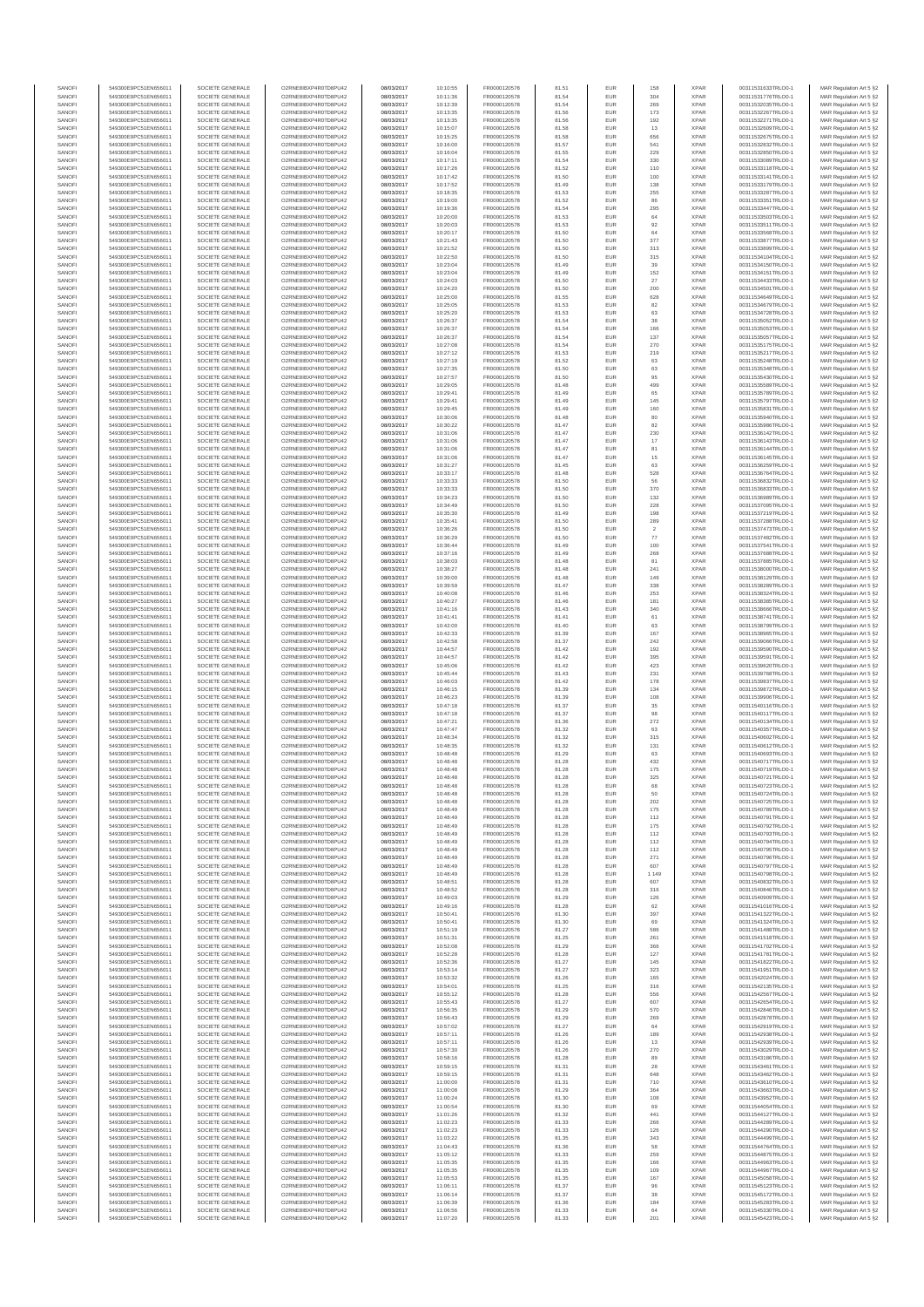| SANOFI<br>SANOFI | 549300E9PC51EN656011<br>549300E9PC51EN656011 | SOCIETE GENERALE<br>SOCIETE GENERALE | O2RNE8IBXP4R0TD8PU42<br>O2RNE8IBXP4R0TD8PU42  | 08/03/2017<br>08/03/2017 | 10:10:55<br>10:11:36 | FR0000120578<br>FR0000120578 | 81.51<br>81.54 | EUR<br>EUR        | 158<br>304        | <b>XPAR</b><br><b>XPAR</b> | 00311531633TRLO0-1<br>00311531776TRLO0-1 | MAR Regulation Art 5 §2<br>MAR Regulation Art 5 §2  |
|------------------|----------------------------------------------|--------------------------------------|-----------------------------------------------|--------------------------|----------------------|------------------------------|----------------|-------------------|-------------------|----------------------------|------------------------------------------|-----------------------------------------------------|
| SANOFI           | 549300E9PC51EN656011                         | SOCIETE GENERALE                     | O2RNE8IBXP4R0TD8PU42                          | 08/03/2017               | 10:12:39             | FR0000120578                 | 81.54          | EUR               | 269               | <b>XPAR</b>                | 00311532035TRLO0-1                       | MAR Regulation Art 5 §2                             |
| SANOFI           | 549300E9PC51EN656011                         | SOCIETE GENERALE                     | O2RNE8IBXP4R0TD8PU42                          | 08/03/2017               | 10:13:35             | FR0000120578                 | 81.56          | EUR               | 173               | <b>XPAR</b>                | 00311532267TRLO0-1                       | MAR Regulation Art 5 §2                             |
| SANOFI<br>SANOFI | 549300E9PC51EN656011<br>549300E9PC51EN656011 | SOCIETE GENERALE<br>SOCIETE GENERALE | O2RNE8IBXP4R0TD8PU42<br>O2RNE8IBXP4R0TD8PU42  | 08/03/2017<br>08/03/2017 | 10:13:35<br>10:15:07 | FR0000120578<br>FR0000120578 | 81.56<br>81.58 | EUR<br>EUR        | 192<br>13         | <b>XPAR</b><br><b>XPAR</b> | 00311532271TRLO0-1<br>00311532609TRLO0-1 | MAR Regulation Art 5 §2<br>MAR Regulation Art 5 §2  |
| SANOFI           | 549300E9PC51EN656011                         | SOCIETE GENERALE                     | O2RNE8IBXP4R0TD8PU42                          | 08/03/2017               | 10:15:25             | FR0000120578                 | 81.58          | EUR               | 656               | <b>XPAR</b>                | 00311532675TRLO0-1                       | MAR Regulation Art 5 §2                             |
| SANOFI<br>SANOFI | 549300E9PC51EN656011<br>549300E9PC51EN656011 | SOCIETE GENERALE<br>SOCIETE GENERALE | O2RNE8IBXP4R0TD8PU42<br>O2RNE8IBXP4R0TD8PU42  | 08/03/2017<br>08/03/2017 | 10:16:00<br>10:16:04 | FR0000120578<br>FR0000120578 | 81.57<br>81.55 | EUR<br>EUR        | 541<br>229        | <b>XPAR</b><br><b>XPAR</b> | 00311532832TRLO0-1<br>00311532850TRLO0-1 | MAR Regulation Art 5 §2<br>MAR Regulation Art 5 §2  |
| SANOFI           | 549300E9PC51EN656011                         | SOCIETE GENERALE                     | O2RNE8IBXP4R0TD8PU42                          | 08/03/2017               | 10:17:11             | FR0000120578                 | 81.54          | EUR               | 330               | <b>XPAR</b>                | 00311533089TRLO0-1                       | MAR Regulation Art 5 §2                             |
| SANOFI           | 549300E9PC51EN656011                         | SOCIETE GENERALE                     | O2RNE8IBXP4R0TD8PU42                          | 08/03/2017               | 10:17:26             | FR0000120578                 | 81.52          | EUR               | 110               | <b>XPAR</b>                | 00311533118TRLO0-1                       | MAR Regulation Art 5 §2                             |
| SANOFI<br>SANOFI | 549300E9PC51EN656011<br>549300E9PC51EN656011 | SOCIETE GENERALE<br>SOCIETE GENERALE | O2RNE8IBXP4R0TD8PU42<br>O2RNE8IBXP4R0TD8PU42  | 08/03/2017<br>08/03/2017 | 10:17:42<br>10:17:52 | FR0000120578<br>FR0000120578 | 81.50<br>81.49 | EUR<br>EUR        | 100<br>138        | <b>XPAR</b><br><b>XPAR</b> | 00311533141TRLO0-1<br>00311533179TRLO0-1 | MAR Regulation Art 5 §2<br>MAR Regulation Art 5 §2  |
| SANOFI           | 549300E9PC51EN656011                         | SOCIETE GENERALE                     | O2RNE8IBXP4R0TD8PU42                          | 08/03/2017               | 10:18:35             | FR0000120578                 | 81.53          | EUR               | 255               | <b>XPAR</b>                | 00311533287TRLO0-1                       | MAR Regulation Art 5 §2                             |
| SANOFI<br>SANOFI | 549300E9PC51EN656011<br>549300E9PC51EN656011 | SOCIETE GENERALE<br>SOCIETE GENERALE | O2RNE8IBXP4R0TD8PU42<br>O2RNE8IBXP4R0TD8PU42  | 08/03/2017<br>08/03/2017 | 10:19:00<br>10:19:36 | FR0000120578<br>FR0000120578 | 81.52<br>81.54 | EUR<br>EUR        | 86<br>295         | <b>XPAR</b><br><b>XPAR</b> | 00311533351TRLO0-1<br>00311533447TRLO0-1 | MAR Regulation Art 5 §2<br>MAR Regulation Art 5 §2  |
| SANOFI           | 549300E9PC51EN656011                         | SOCIETE GENERALE                     | O2RNE8IBXP4R0TD8PU42                          | 08/03/2017               | 10:20:00             | FR0000120578                 | 81.53          | EUR               | 64                | <b>XPAR</b>                | 00311533503TRLO0-1                       | MAR Regulation Art 5 §2                             |
| SANOFI           | 549300E9PC51EN656011                         | SOCIETE GENERALE                     | O2RNE8IBXP4R0TD8PU42                          | 08/03/2017               | 10:20:03             | FR0000120578                 | 81.53          | EUR               | 92                | <b>XPAR</b>                | 00311533511TRLO0-1                       | MAR Regulation Art 5 §2                             |
| SANOFI<br>SANOFI | 549300E9PC51EN656011<br>549300E9PC51EN656011 | SOCIETE GENERALE<br>SOCIETE GENERALE | O2RNE8IBXP4R0TD8PU42<br>O2RNE8IBXP4R0TD8PU42  | 08/03/2017<br>08/03/2017 | 10:20:17<br>10:21:43 | FR0000120578<br>FR0000120578 | 81.50<br>81.50 | EUR<br>EUR        | 64<br>377         | <b>XPAR</b><br><b>XPAR</b> | 00311533568TRLO0-1<br>00311533877TRLO0-1 | MAR Regulation Art 5 §2<br>MAR Regulation Art 5 §2  |
| SANOFI           | 549300E9PC51EN656011                         | SOCIETE GENERALE                     | O2RNE8IBXP4R0TD8PU42                          | 08/03/2017               | 10:21:52             | FR0000120578                 | 81.50          | EUR               | 313               | <b>XPAR</b>                | 00311533899TRLO0-1                       | MAR Regulation Art 5 §2                             |
| SANOFI<br>SANOFI | 549300E9PC51EN656011<br>549300E9PC51EN656011 | SOCIETE GENERALE<br>SOCIETE GENERALE | O2RNE8IBXP4R0TD8PU42<br>O2RNE8IBXP4R0TD8PU42  | 08/03/2017<br>08/03/2017 | 10:22:50<br>10:23:04 | FR0000120578<br>FR0000120578 | 81.50<br>81.49 | EUR<br>EUR        | 315<br>39         | <b>XPAR</b><br><b>XPAR</b> | 00311534104TRLO0-1<br>00311534150TRLO0-1 | MAR Regulation Art 5 §2<br>MAR Regulation Art 5 §2  |
| SANOFI           | 549300E9PC51EN656011                         | SOCIETE GENERALE                     | O2RNE8IBXP4R0TD8PU42                          | 08/03/2017               | 10:23:04             | FR0000120578                 | 81.49          | EUR               | 152               | <b>XPAR</b>                | 00311534151TRLO0-1                       | MAR Regulation Art 5 §2                             |
| SANOFI           | 549300E9PC51EN656011                         | SOCIETE GENERALE                     | O2RNE8IBXP4R0TD8PU42                          | 08/03/2017               | 10:24:03             | FR0000120578                 | 81.50          | EUR               | $27\,$            | <b>XPAR</b>                | 00311534433TRLO0-1<br>00311534501TRLO0-1 | MAR Regulation Art 5 §2                             |
| SANOFI<br>SANOFI | 549300E9PC51EN656011<br>549300E9PC51EN656011 | SOCIETE GENERALE<br>SOCIETE GENERALE | O2RNE8IBXP4R0TD8PU42<br>O2RNESIBXP4R0TD8PLI42 | 08/03/2017<br>08/03/2017 | 10:24:20<br>10:25:00 | FR0000120578<br>FR0000120578 | 81.50<br>81.55 | EUR<br>EUR        | 200<br>628        | <b>XPAR</b><br><b>XPAR</b> | 00311534649TRLO0-1                       | MAR Regulation Art 5 §2<br>MAR Regulation Art 5 §2  |
| SANOFI           | 549300E9PC51EN656011                         | SOCIETE GENERALE                     | O2RNE8IBXP4R0TD8PU42                          | 08/03/2017               | 10:25:05             | FR0000120578                 | 81.53          | EUR               | 82                | <b>XPAR</b>                | 00311534679TRLO0-1                       | MAR Regulation Art 5 §2                             |
| SANOFI<br>SANOFI | 549300E9PC51EN656011<br>549300E9PC51EN656011 | SOCIETE GENERALE<br>SOCIETE GENERALE | O2RNE8IBXP4R0TD8PU42<br>O2RNE8IBXP4R0TD8PU42  | 08/03/2017<br>08/03/2017 | 10:25:20<br>10:26:37 | FR0000120578<br>FR0000120578 | 81.53<br>81.54 | EUR<br>EUR        | 63<br>38          | <b>XPAR</b><br><b>XPAR</b> | 00311534728TRLO0-1<br>00311535052TRLO0-1 | MAR Regulation Art 5 §2<br>MAR Regulation Art 5 \$2 |
| SANOFI           | 549300E9PC51EN656011                         | SOCIETE GENERALE                     | O2RNE8IBXP4R0TD8PU42                          | 08/03/2017               | 10:26:37             | FR0000120578                 | 81.54          | EUR               | 166               | <b>XPAR</b>                | 00311535053TRLO0-1                       | MAR Regulation Art 5 §2                             |
| SANOFI<br>SANOFI | 549300E9PC51EN656011                         | SOCIETE GENERALE                     | O2RNE8IBXP4R0TD8PU42                          | 08/03/2017               | 10:26:37             | FR0000120578                 | 81.54          | EUR               | 137               | <b>XPAR</b>                | 00311535057TRLO0-1                       | MAR Regulation Art 5 §2                             |
| SANOFI           | 549300E9PC51EN656011<br>549300E9PC51EN656011 | SOCIETE GENERALE<br>SOCIETE GENERALE | O2RNE8IBXP4R0TD8PU42<br>O2RNE8IBXP4R0TD8PU42  | 08/03/2017<br>08/03/2017 | 10:27:08<br>10:27:12 | FR0000120578<br>FR0000120578 | 81.54<br>81.53 | EUR<br>EUR        | 270<br>219        | <b>XPAR</b><br><b>XPAR</b> | 00311535175TRLO0-1<br>00311535217TRLO0-1 | MAR Regulation Art 5 §2<br>MAR Regulation Art 5 §2  |
| SANOFI           | 549300E9PC51EN656011                         | SOCIETE GENERALE                     | O2RNE8IBXP4R0TD8PU42                          | 08/03/2017               | 10:27:19             | FR0000120578                 | 81.52          | EUR               | 63                | <b>XPAR</b>                | 00311535248TRLO0-1                       | MAR Regulation Art 5 §2                             |
| SANOFI<br>SANOFI | 549300E9PC51EN656011<br>549300E9PC51EN656011 | SOCIETE GENERALE<br>SOCIETE GENERALE | O2RNE8IBXP4R0TD8PU42<br>O2RNE8IBXP4R0TD8PU42  | 08/03/2017<br>08/03/2017 | 10:27:35<br>10:27:57 | FR0000120578<br>FR0000120578 | 81.50<br>81.50 | EUR<br>EUR        | 63<br>95          | <b>XPAR</b><br><b>XPAR</b> | 00311535348TRLO0-1<br>00311535430TRLO0-1 | MAR Regulation Art 5 §2<br>MAR Regulation Art 5 §2  |
| SANOFI           | 549300E9PC51EN656011                         | SOCIETE GENERALE                     | O2RNE8IBXP4R0TD8PU42                          | 08/03/2017               | 10:29:05             | FR0000120578                 | 81.48          | EUR               | 499               | <b>XPAR</b>                | 00311535589TRLO0-1                       | MAR Regulation Art 5 §2                             |
| SANOFI<br>SANOFI | 549300E9PC51EN656011                         | SOCIETE GENERALE                     | O2RNE8IBXP4R0TD8PU42<br>O2RNE8IBXP4R0TD8PU42  | 08/03/2017               | 10:29:41             | FR0000120578                 | 81.49          | EUR               | 65                | <b>XPAR</b><br><b>XPAR</b> | 00311535789TRLO0-1                       | MAR Regulation Art 5 §2<br>MAR Regulation Art 5 §2  |
| SANOFI           | 549300E9PC51EN656011<br>549300E9PC51EN656011 | SOCIETE GENERALE<br>SOCIETE GENERALE | O2RNE8IBXP4R0TD8PU42                          | 08/03/2017<br>08/03/2017 | 10:29:41<br>10:29:45 | FR0000120578<br>FR0000120578 | 81.49<br>81.49 | EUR<br>EUR        | 145<br>160        | <b>XPAR</b>                | 00311535797TRLO0-1<br>00311535831TRLO0-1 | MAR Regulation Art 5 §2                             |
| SANOFI           | 549300E9PC51EN656011                         | SOCIETE GENERALE                     | O2RNE8IBXP4R0TD8PU42                          | 08/03/2017               | 10:30:06             | FR0000120578                 | 81.48          | EUR               | 80                | <b>XPAR</b>                | 00311535940TRLO0-1                       | MAR Regulation Art 5 §2                             |
| SANOFI<br>SANOFI | 549300E9PC51EN656011<br>549300E9PC51EN656011 | SOCIETE GENERALE<br>SOCIETE GENERALE | O2RNE8IBXP4R0TD8PU42<br>O2RNE8IBXP4R0TD8PU42  | 08/03/2017<br>08/03/2017 | 10:30:22<br>10:31:06 | FR0000120578<br>FR0000120578 | 81.47<br>81.47 | EUR<br>EUR        | 82<br>230         | <b>XPAR</b><br><b>XPAR</b> | 00311535986TRLO0-1<br>00311536142TRLO0-1 | MAR Regulation Art 5 §2<br>MAR Regulation Art 5 §2  |
| SANOFI           | 549300E9PC51EN656011                         | SOCIETE GENERALE                     | O2RNE8IBXP4R0TD8PU42                          | 08/03/2017               | 10:31:06             | FR0000120578                 | 81.47          | EUR               | 17                | <b>XPAR</b>                | 00311536143TRLO0-1                       | MAR Regulation Art 5 §2                             |
| SANOFI           | 549300E9PC51EN656011                         | SOCIETE GENERALE                     | O2RNE8IBXP4R0TD8PU42                          | 08/03/2017               | 10:31:06             | FR0000120578                 | 81.47          | EUR               | 81                | <b>XPAR</b>                | 00311536144TRLO0-1                       | MAR Regulation Art 5 §2                             |
| SANOFI<br>SANOFI | 549300E9PC51EN656011<br>549300E9PC51EN656011 | SOCIETE GENERALE<br>SOCIETE GENERALE | O2RNE8IBXP4R0TD8PU42<br>O2RNE8IBXP4R0TD8PU42  | 08/03/2017<br>08/03/2017 | 10:31:06<br>10:31:27 | FR0000120578<br>FR0000120578 | 81.47<br>81.45 | EUR<br>EUR        | 15<br>63          | <b>XPAR</b><br><b>XPAR</b> | 00311536145TRLO0-1<br>00311536259TRLO0-1 | MAR Regulation Art 5 §2<br>MAR Regulation Art 5 62  |
| SANOFI           | 549300E9PC51EN656011                         | SOCIETE GENERALE                     | O2RNE8IBXP4R0TD8PU42                          | 08/03/2017               | 10:33:17             | FR0000120578                 | 81.48          | EUR               | 528               | <b>XPAR</b>                | 00311536764TRLO0-1                       | MAR Regulation Art 5 §2                             |
| SANOFI<br>SANOFI | 549300E9PC51EN656011<br>549300E9PC51EN656011 | SOCIETE GENERALE<br>SOCIETE GENERALE | O2RNE8IBXP4R0TD8PU42<br>O2RNE8IBXP4R0TD8PU42  | 08/03/2017<br>08/03/2017 | 10:33:33<br>10:33:33 | FR0000120578<br>FR0000120578 | 81.50<br>81.50 | EUR<br>EUR        | 56<br>370         | <b>XPAR</b><br><b>XPAR</b> | 00311536832TRLO0-1<br>00311536833TRLO0-1 | MAR Regulation Art 5 §2<br>MAR Regulation Art 5 §2  |
| SANOFI           | 549300E9PC51EN656011                         | SOCIETE GENERALE                     | O2RNE8IBXP4R0TD8PU42                          | 08/03/2017               | 10:34:23             | FR0000120578                 | 81.50          | EUR               | 132               | <b>XPAR</b>                | 00311536989TRLO0-1                       | MAR Regulation Art 5 §2                             |
| SANOFI           | 549300E9PC51EN656011                         | SOCIETE GENERALE                     | O2RNE8IBXP4R0TD8PU42                          | 08/03/2017               | 10:34:49             | FR0000120578                 | 81.50          | EUR               | 228               | <b>XPAR</b>                | 00311537095TRLO0-1                       | MAR Regulation Art 5 §2                             |
| SANOFI<br>SANOFI | 549300E9PC51EN656011<br>549300E9PC51EN656011 | SOCIETE GENERALE<br>SOCIETE GENERALE | O2RNE8IBXP4R0TD8PU42<br>O2RNE8IBXP4R0TD8PU42  | 08/03/2017<br>08/03/2017 | 10:35:30<br>10:35:41 | FR0000120578<br>FR0000120578 | 81.49<br>81.50 | EUR<br>EUR        | 198<br>289        | <b>XPAR</b><br><b>XPAR</b> | 00311537219TRLO0-1<br>00311537288TRLO0-1 | MAR Regulation Art 5 §2<br>MAR Regulation Art 5 \$2 |
| SANOFI           | 549300E9PC51EN656011                         | SOCIETE GENERALE                     | O2RNE8IBXP4R0TD8PU42                          | 08/03/2017               | 10:36:26             | FR0000120578                 | 81.50          | EUR               | $\overline{2}$    | <b>XPAR</b>                | 00311537473TRLO0-1                       | MAR Regulation Art 5 §2                             |
| SANOFI<br>SANOFI | 549300E9PC51EN656011<br>549300E9PC51EN656011 | SOCIETE GENERALE<br>SOCIETE GENERALE | O2RNE8IBXP4R0TD8PU42<br>O2RNE8IBXP4R0TD8PU42  | 08/03/2017<br>08/03/2017 | 10:36:29<br>10:36:44 | FR0000120578<br>FR0000120578 | 81.50<br>81.49 | EUR<br>EUR        | ${\it 77}$<br>100 | <b>XPAR</b><br><b>XPAR</b> | 00311537482TRLO0-1<br>00311537541TRLO0-1 | MAR Regulation Art 5 §2<br>MAR Regulation Art 5 §2  |
| SANOFI           | 549300E9PC51EN656011                         | SOCIETE GENERALE                     | O2RNE8IBXP4R0TD8PU42                          | 08/03/2017               | 10:37:16             | FR0000120578                 | 81.49          | EUR               | 268               | <b>XPAR</b>                | 00311537688TRLO0-1                       | MAR Regulation Art 5 §2                             |
| SANOFI           | 549300E9PC51EN656011                         | SOCIETE GENERALE                     | O2RNE8IBXP4R0TD8PU42                          | 08/03/2017               | 10:38:03             | FR0000120578                 | 81.48          | EUR               | 81                | <b>XPAR</b>                | 00311537885TRLO0-1                       | MAR Regulation Art 5 §2                             |
| SANOFI<br>SANOFI | 549300E9PC51EN656011<br>549300E9PC51EN656011 | SOCIETE GENERALE<br>SOCIETE GENERALE | O2RNE8IBXP4R0TD8PU42<br>O2RNE8IBXP4R0TD8PU42  | 08/03/2017<br>08/03/2017 | 10:38:27<br>10:39:00 | FR0000120578<br>FR0000120578 | 81.48<br>81.48 | EUR<br>EUR        | 241<br>149        | <b>XPAR</b><br><b>XPAR</b> | 00311538000TRLO0-1<br>00311538129TRLO0-1 | MAR Regulation Art 5 §2<br>MAR Regulation Art 5 §2  |
| SANOFI           | 549300E9PC51EN656011                         | SOCIETE GENERALE                     | O2RNE8IBXP4R0TD8PU42                          | 08/03/2017               | 10:39:59             | FR0000120578                 | 81.47          | EUR               | 338               | <b>XPAR</b>                | 00311538289TRLO0-1                       | MAR Regulation Art 5 §2                             |
| SANOFI<br>SANOFI | 549300E9PC51EN656011<br>549300E9PC51EN656011 | SOCIETE GENERALE<br>SOCIETE GENERALE | O2RNE8IBXP4R0TD8PU42<br>O2RNE8IBXP4R0TD8PU42  | 08/03/2017<br>08/03/2017 | 10:40:08<br>10:40:27 | FR0000120578<br>FR0000120578 | 81.46<br>81.46 | EUR<br>EUR        | 253<br>181        | <b>XPAR</b><br><b>XPAR</b> | 00311538324TRLO0-1<br>00311538385TRLO0-1 | MAR Regulation Art 5 §2<br>MAR Regulation Art 5 §2  |
| SANOFI           | 549300E9PC51EN656011                         | SOCIETE GENERALE                     | O2RNE8IBXP4R0TD8PU42                          | 08/03/2017               | 10:41:16             | FR0000120578                 | 81.43          | EUR               | 340               | <b>XPAR</b>                | 00311538666TRLO0-1                       | MAR Regulation Art 5 §2                             |
| SANOFI           | 549300E9PC51EN656011                         | SOCIETE GENERALE                     | O2RNE8IBXP4R0TD8PU42                          | 08/03/2017               | 10:41:41             | FR0000120578                 | 81.41          | EUR               | 61                | <b>XPAR</b>                | 00311538741TRLO0-1                       | MAR Regulation Art 5 §2                             |
| SANOFI<br>SANOFI | 549300E9PC51EN656011<br>549300E9PC51EN656011 | SOCIETE GENERALE<br>SOCIETE GENERALE | O2RNE8IBXP4R0TD8PU42<br>O2RNE8IBXP4R0TD8PU42  | 08/03/2017<br>08/03/2017 | 10:42:00<br>10:42:33 | FR0000120578<br>FR0000120578 | 81.40<br>81.39 | EUR<br>EUR        | 63<br>167         | <b>XPAR</b><br><b>XPAR</b> | 00311538799TRLO0-1<br>00311538965TRLO0-1 | MAR Regulation Art 5 §2<br>MAR Regulation Art 5 §2  |
| SANOFI           | 549300E9PC51EN656011                         | SOCIETE GENERALE                     | O2RNE8IBXP4R0TD8PU42                          | 08/03/2017               | 10:42:58             | FR0000120578                 | 81.37          | EUR               | 242               | <b>XPAR</b>                | 00311539066TRLO0-1                       | MAR Regulation Art 5 §2                             |
| SANOFI<br>SANOFI | 549300E9PC51EN656011<br>549300E9PC51EN656011 | SOCIETE GENERALE<br>SOCIETE GENERALE | O2RNE8IBXP4R0TD8PU42<br>O2RNE8IBXP4R0TD8PU42  | 08/03/2017<br>08/03/2017 | 10:44:57<br>10:44:57 | FR0000120578<br>FR0000120578 | 81.42<br>81.42 | EUR<br>EUR        | 192<br>395        | <b>XPAR</b><br><b>XPAR</b> | 00311539590TRLO0-1<br>00311539591TRLO0-1 | MAR Regulation Art 5 §2<br>MAR Regulation Art 5 §2  |
| SANOFI           | 549300E9PC51EN656011                         | SOCIETE GENERALE                     | O2RNE8IBXP4R0TD8PU42                          | 08/03/2017               | 10:45:06             | FR0000120578                 | 81.42          | EUR               | 423               | <b>XPAR</b>                | 00311539620TRLO0-1                       | MAR Regulation Art 5 \$2                            |
| SANOFI           | 549300E9PC51EN656011                         | SOCIETE GENERALE                     | O2RNE8IBXP4R0TD8PU42                          | 08/03/2017               | 10:45:44             | FR0000120578                 | 81.43          | EUR               | 231               | <b>XPAR</b>                | 00311539768TRLO0-1                       | MAR Regulation Art 5 §2                             |
| SANOFI<br>SANOFI | 549300E9PC51EN656011<br>549300E9PC51EN656011 | SOCIETE GENERALE<br>SOCIETE GENERALE | O2RNE8IBXP4R0TD8PU42<br>O2RNE8IBXP4R0TD8PU42  | 08/03/2017<br>08/03/2017 | 10:46:03<br>10:46:15 | FR0000120578<br>FR0000120578 | 81.42<br>81.39 | EUR<br>EUR        | 178<br>134        | <b>XPAR</b><br><b>XPAR</b> | 00311539837TRLO0-1<br>00311539872TRLO0-1 | MAR Regulation Art 5 §2<br>MAR Regulation Art 5 §2  |
| SANOFI           | 549300E9PC51EN656011                         | SOCIETE GENERALE                     | O2RNESIBXP4R0TD8PLI42                         | 08/03/2017               | 10:46:23             | FR0000120578                 | 81.39          | EUR               | 108               | <b>XPAR</b>                | 00311539906TRLO0-1                       | MAR Regulation Art 5 §2                             |
| SANOFI           | 549300E9PC51EN656011                         | SOCIETE GENERALE                     | O2RNE8IBXP4R0TD8PU42                          | 08/03/2017               | 10:47:18             | FR0000120578<br>FR0000120578 | 81.37          | EUR               | 35                | <b>XPAR</b>                | 00311540116TRLO0-1                       | MAR Regulation Art 5 §2                             |
| SANOFI<br>SANOFI | 549300E9PC51EN656011<br>549300E9PC51EN656011 | SOCIETE GENERALE<br>SOCIETE GENERALE | O2RNE8IBXP4R0TD8PU42<br>O2RNE8IBXP4R0TD8PU42  | 08/03/2017<br>08/03/2017 | 10:47:18<br>10:47:21 | FR0000120578                 | 81.37<br>81.36 | EUR<br>EUR        | 98<br>272         | <b>XPAR</b><br><b>XPAR</b> | 00311540117TRLO0-1<br>00311540134TRLO0-1 | MAR Regulation Art 5 §2<br>MAR Regulation Art 5 §2  |
| SANOFI           | 549300E9PC51EN656011                         | SOCIETE GENERALE                     | O2RNE8IBXP4R0TD8PU42                          | 08/03/2017               | 10:47:47             | FR0000120578                 | 81.32          | EUR               | 63                | <b>XPAR</b>                | 00311540357TRLO0-1                       | MAR Regulation Art 5 §2                             |
| SANOFI<br>SANOFI | 549300E9PC51EN656011<br>549300E9PC51EN656011 | SOCIETE GENERALE<br>SOCIETE GENERALE | O2RNE8IBXP4R0TD8PU42<br>O2RNE8IBXP4R0TD8PU42  | 08/03/2017<br>08/03/2017 | 10:48:34<br>10:48:35 | FR0000120578<br>FR0000120578 | 81.32<br>81.32 | EUR<br>EUR        | 315<br>131        | <b>XPAR</b><br><b>XPAR</b> | 00311540602TRLO0-1<br>00311540612TRLO0-1 | MAR Regulation Art 5 §2<br>MAR Regulation Art 5 §2  |
| SANOFI           | 549300E9PC51EN656011                         | SOCIETE GENERALE                     | O2RNESIBXP4R0TD8PLI42                         | 08/03/2017               | 10:48:48             | FR0000120578                 | 81.29          | EUR               | 63                | <b>XPAR</b>                | 00311540693TRLO0-1                       | MAR Regulation Art 5 §2                             |
| SANOFI<br>SANOFI | 549300E9PC51EN656011                         | SOCIETE GENERALE                     | O2RNESIBXP4R0TD8PLI42<br>O2RNE8IBXP4R0TD8PU42 | 08/03/2017<br>08/03/2017 | 10:48:48             | FR0000120578<br>FR0000120578 | 81.28          | EUR<br><b>EUR</b> | 432<br>175        | <b>XPAR</b><br><b>XPAR</b> | 00311540717TRLO0-1<br>00311540719TRLO0-1 | MAR Regulation Art 5 §2                             |
| SANOFI           | 549300E9PC51EN656011<br>549300E9PC51EN656011 | SOCIETE GENERALE<br>SOCIETE GENERALE | O2RNE8IBXP4R0TD8PU42                          | 08/03/2017               | 10:48:48<br>10:48:48 | FR0000120578                 | 81.28<br>81.28 | <b>EUR</b>        | 325               | <b>XPAR</b>                | 00311540721TRLO0-1                       | MAR Regulation Art 5 §2<br>MAR Regulation Art 5 §2  |
| SANOF            | 549300E9PC51EN656011                         | SOCIETE GENERALE                     | O2RNE8IBXP4R0TD8PU42                          | 08/03/2017               | 10:48:48             | FR0000120578                 | 81.28          |                   |                   | <b>XPAR</b>                | 00311540723TRLO0-1                       | MAR Regulation Art 5 §2                             |
| SANOFI<br>SANOFI | 549300E9PC51EN656011<br>549300E9PC51EN656011 | SOCIETE GENERALE<br>SOCIETE GENERALE | O2RNE8IBXP4R0TD8PU42<br>O2RNE8IBXP4R0TD8PU42  | 08/03/2017<br>08/03/2017 | 10:48:48<br>10:48:48 | FR0000120578<br>FR0000120578 | 81.28<br>81.28 | EUR<br>EUR        | 50<br>202         | <b>XPAR</b><br><b>XPAR</b> | 00311540724TRLO0-1<br>00311540725TRLO0-1 | MAR Regulation Art 5 §2<br>MAR Regulation Art 5 §2  |
| SANOFI           | 549300E9PC51EN656011                         | SOCIETE GENERALE                     | O2RNE8IBXP4R0TD8PLI42                         | 08/03/2017               | 10:48:49             | FR0000120578                 | 81.28          | EUR               | 175               | <b>XPAR</b>                | 00311540789TRLO0-1                       | MAR Regulation Art 5 \$2                            |
| SANOFI<br>SANOFI | 549300E9PC51EN656011<br>549300E9PC51EN656011 | SOCIETE GENERALE<br>SOCIETE GENERALE | O2RNE8IBXP4R0TD8PU42<br>O2RNE8IBXP4R0TD8PU42  | 08/03/2017<br>08/03/2017 | 10:48:49<br>10:48:49 | FR0000120578<br>FR0000120578 | 81.28<br>81.28 | EUR<br>EUR        | 112<br>175        | <b>XPAR</b><br><b>XPAR</b> | 00311540791TRLO0-1<br>00311540792TRLO0-1 | MAR Regulation Art 5 §2<br>MAR Regulation Art 5 §2  |
| SANOFI           | 549300E9PC51EN656011                         | SOCIETE GENERALE                     | O2RNE8IBXP4R0TD8PU42                          | 08/03/2017               | 10:48:49             | FR0000120578                 | 81.28          | EUR               | 112               | <b>XPAR</b>                | 00311540793TRLO0-1                       | MAR Regulation Art 5 §2                             |
| SANOFI           | 549300E9PC51EN656011                         | SOCIETE GENERALE                     | O2RNE8IBXP4R0TD8PU42                          | 08/03/2017               | 10:48:49             | FR0000120578                 | 81.28          | EUR               | 112               | <b>XPAR</b>                | 00311540794TRLO0-1                       | MAR Regulation Art 5 §2                             |
| SANOFI<br>SANOFI | 549300E9PC51EN656011<br>549300E9PC51EN656011 | SOCIETE GENERALE<br>SOCIETE GENERALE | O2RNE8IBXP4R0TD8PU42<br>O2RNE8IBXP4R0TD8PU42  | 08/03/2017<br>08/03/2017 | 10:48:49<br>10:48:49 | FR0000120578<br>FR0000120578 | 81.28<br>81.28 | EUR<br>EUR        | 112<br>271        | <b>XPAR</b><br><b>XPAR</b> | 00311540795TRLO0-1<br>00311540796TRLO0-1 | MAR Regulation Art 5 §2<br>MAR Regulation Art 5 §2  |
| SANOFI           | 549300E9PC51EN656011                         | SOCIETE GENERALE                     | O2RNE8IBXP4R0TD8PU42                          | 08/03/2017               | 10:48:49             | FR0000120578                 | 81.28          | EUR               | 607               | <b>XPAR</b>                | 00311540797TRLO0-1                       | MAR Regulation Art 5 §2                             |
| SANOFI<br>SANOFI | 549300E9PC51EN656011<br>549300E9PC51EN656011 | SOCIETE GENERALE<br>SOCIETE GENERALE | O2RNE8IBXP4R0TD8PU42<br>O2RNE8IBXP4R0TD8PU42  | 08/03/2017<br>08/03/2017 | 10:48:49<br>10:48:51 | FR0000120578<br>FR0000120578 | 81.28<br>81.28 | EUR<br>EUR        | 1 1 4 9<br>607    | <b>XPAR</b><br><b>XPAR</b> | 00311540798TRLO0-1<br>00311540832TRLO0-1 | MAR Regulation Art 5 §2<br>MAR Regulation Art 5 §2  |
| SANOFI           | 549300E9PC51EN656011                         | SOCIETE GENERALE                     | O2RNE8IBXP4R0TD8PU42                          | 08/03/2017               | 10:48:52             | FR0000120578                 | 81.28          | EUR               | 316               | <b>XPAR</b>                | 00311540846TRLO0-1                       | MAR Regulation Art 5 §2                             |
| SANOFI<br>SANOFI | 549300E9PC51EN656011<br>549300E9PC51EN656011 | SOCIETE GENERALE<br>SOCIETE GENERALE | O2RNE8IBXP4R0TD8PU42<br>O2RNE8IBXP4R0TD8PU42  | 08/03/2017<br>08/03/2017 | 10:49:03<br>10:49:16 | FR0000120578<br>FR0000120578 | 81.29<br>81.28 | EUR<br>EUR        | 126<br>62         | <b>XPAR</b><br><b>XPAR</b> | 00311540909TRLO0-1<br>00311541016TRLO0-1 | MAR Regulation Art 5 §2                             |
| SANOFI           | 549300E9PC51EN656011                         | SOCIETE GENERALE                     | O2RNE8IBXP4R0TD8PU42                          | 08/03/2017               | 10:50:41             | FR0000120578                 | 81.30          | EUR               | 397               | <b>XPAR</b>                | 00311541322TRLO0-1                       | MAR Regulation Art 5 §2<br>MAR Regulation Art 5 §2  |
| SANOFI           | 549300E9PC51EN656011                         | SOCIETE GENERALE                     | O2RNE8IBXP4R0TD8PU42                          | 08/03/2017               | 10:50:41             | FR0000120578<br>FR0000120578 | 81.30          | EUR               | 69                | <b>XPAR</b>                | 00311541324TRLO0-1                       | MAR Regulation Art 5 §2                             |
| SANOFI<br>SANOFI | 549300E9PC51EN656011<br>549300E9PC51EN656011 | SOCIETE GENERALE<br>SOCIETE GENERALE | O2RNE8IBXP4R0TD8PU42<br>O2RNE8IBXP4R0TD8PU42  | 08/03/2017<br>08/03/2017 | 10:51:19<br>10:51:31 | FR0000120578                 | 81.27<br>81.25 | EUR<br>EUR        | 586<br>261        | <b>XPAR</b><br><b>XPAR</b> | 00311541488TRLO0-1<br>00311541518TRLO0-1 | MAR Regulation Art 5 §2<br>MAR Regulation Art 5 §2  |
| SANOFI           | 549300E9PC51EN656011                         | SOCIETE GENERALE                     | O2RNE8IBXP4R0TD8PU42                          | 08/03/2017               | 10:52:08             | FR0000120578                 | 81.29          | EUR               | 366               | <b>XPAR</b>                | 00311541702TRLO0-1                       | MAR Regulation Art 5 §2                             |
| SANOFI<br>SANOFI | 549300E9PC51EN656011<br>549300E9PC51EN656011 | SOCIETE GENERALE<br>SOCIETE GENERALE | O2RNE8IBXP4R0TD8PU42<br>O2RNE8IBXP4R0TD8PU42  | 08/03/2017<br>08/03/2017 | 10:52:28<br>10:52:36 | FR0000120578<br>FR0000120578 | 81.28<br>81.27 | EUR<br>EUR        | 127<br>145        | <b>XPAR</b><br><b>XPAR</b> | 00311541781TRLO0-1<br>00311541822TRLO0-1 | MAR Regulation Art 5 §2<br>MAR Regulation Art 5 §2  |
| SANOFI           | 549300E9PC51EN656011                         | SOCIETE GENERALE                     | O2RNE8IBXP4R0TD8PU42                          | 08/03/2017               | 10:53:14             | FR0000120578                 | 81.27          | EUR               | 323               | <b>XPAR</b>                | 00311541951TRLO0-1                       | MAR Regulation Art 5 §2                             |
| SANOFI           | 549300E9PC51EN656011                         | SOCIETE GENERALE                     | O2RNE8IBXP4R0TD8PU42                          | 08/03/2017               | 10:53:32             | FR0000120578                 | 81.26          | EUR               | 165               | <b>XPAR</b>                | 00311542024TRLO0-1                       | MAR Regulation Art 5 §2                             |
| SANOFI<br>SANOFI | 549300E9PC51EN656011<br>549300E9PC51EN656011 | SOCIETE GENERALE<br>SOCIETE GENERALE | O2RNE8IBXP4R0TD8PU42<br>O2RNE8IBXP4R0TD8PU42  | 08/03/2017<br>08/03/2017 | 10:54:01<br>10:55:12 | FR0000120578<br>FR0000120578 | 81.25<br>81.28 | EUR<br>EUR        | 316<br>556        | <b>XPAR</b><br><b>XPAR</b> | 00311542135TRLO0-1<br>00311542567TRLO0-1 | MAR Regulation Art 5 §2<br>MAR Regulation Art 5 §2  |
| SANOFI           | 549300E9PC51EN656011                         | SOCIETE GENERALE                     | O2RNE8IBXP4R0TD8PU42                          | 08/03/2017               | 10:55:43             | FR0000120578                 | 81.27          | EUR               | 607               | <b>XPAR</b>                | 00311542654TRLO0-1                       | MAR Regulation Art 5 §2                             |
| SANOFI<br>SANOFI | 549300E9PC51EN656011<br>549300E9PC51EN656011 | SOCIETE GENERALE<br>SOCIETE GENERALE | O2RNE8IBXP4R0TD8PU42<br>O2RNE8IBXP4R0TD8PU42  | 08/03/2017<br>08/03/2017 | 10:56:35<br>10:56:43 | FR0000120578<br>FR0000120578 | 81.29<br>81.29 | <b>EUR</b><br>EUR | 570<br>269        | <b>XPAR</b><br><b>XPAR</b> | 00311542846TRLO0-1<br>00311542878TRLO0-1 | MAR Regulation Art 5 §2<br>MAR Regulation Art 5 §2  |
| SANOFI           | 549300E9PC51EN656011                         | SOCIETE GENERALE                     | O2RNE8IBXP4R0TD8PU42                          | 08/03/2017               | 10:57:02             | FR0000120578                 | 81.27          | EUR               | 64                | <b>XPAR</b>                | 00311542919TRLO0-1                       | MAR Regulation Art 5 §2                             |
| SANOFI           | 549300E9PC51EN656011                         | SOCIETE GENERALE                     | O2RNE8IBXP4R0TD8PU42                          | 08/03/2017               | 10:57:11             | FR0000120578                 | 81.26          | EUR               | 189               | <b>XPAR</b>                | 00311542938TRLO0-1                       | MAR Regulation Art 5 §2                             |
| SANOFI<br>SANOFI | 549300E9PC51EN656011<br>549300E9PC51EN656011 | SOCIETE GENERALE<br>SOCIETE GENERALE | O2RNE8IBXP4R0TD8PU42<br>O2RNE8IBXP4R0TD8PU42  | 08/03/2017<br>08/03/2017 | 10:57:11<br>10:57:30 | FR0000120578<br>FR0000120578 | 81.26<br>81.26 | EUR<br><b>EUR</b> | 13<br>270         | <b>XPAR</b><br><b>XPAR</b> | 00311542939TRLO0-1<br>00311543029TRLO0-1 | MAR Regulation Art 5 §2<br>MAR Regulation Art 5 §2  |
| SANOFI           | 549300E9PC51EN656011                         | SOCIETE GENERALE                     | O2RNE8IBXP4R0TD8PU42                          | 08/03/2017               | 10:58:16             | FR0000120578                 | 81.28          | EUR               | 89                | <b>XPAR</b>                | 00311543186TRLO0-1                       | MAR Regulation Art 5 §2                             |
| SANOFI<br>SANOFI | 549300E9PC51EN656011<br>549300E9PC51EN656011 | SOCIETE GENERALE<br>SOCIETE GENERALE | O2RNE8IBXP4R0TD8PU42<br>O2RNE8IBXP4R0TD8PU42  | 08/03/2017<br>08/03/2017 | 10:59:15<br>10:59:15 | FR0000120578<br>FR0000120578 | 81.31<br>81.31 | EUR<br>EUR        | 28<br>648         | <b>XPAR</b><br><b>XPAR</b> | 00311543461TRLO0-1<br>00311543462TRLO0-1 | MAR Regulation Art 5 §2<br>MAR Regulation Art 5 §2  |
| SANOFI           | 549300E9PC51EN656011                         | SOCIETE GENERALE                     | O2RNE8IBXP4R0TD8PU42                          | 08/03/2017               | 11:00:00             | FR0000120578                 | 81.31          | EUR               | 710               | <b>XPAR</b>                | 00311543610TRLO0-1                       | MAR Regulation Art 5 §2                             |
| SANOFI           | 549300E9PC51EN656011                         | SOCIETE GENERALE                     | O2RNE8IBXP4R0TD8PU42                          | 08/03/2017               | 11:00:08             | FR0000120578                 | 81.29          | EUR               | 364               | <b>XPAR</b>                | 00311543663TRLO0-1                       | MAR Regulation Art 5 §2                             |
| SANOFI<br>SANOFI | 549300E9PC51EN656011<br>549300E9PC51EN656011 | SOCIETE GENERALE<br>SOCIETE GENERALE | O2RNE8IBXP4R0TD8PU42<br>O2RNE8IBXP4R0TD8PU42  | 08/03/2017<br>08/03/2017 | 11:00:24<br>11:00:54 | FR0000120578<br>FR0000120578 | 81.30<br>81.30 | EUR<br>EUR        | 108<br>69         | <b>XPAR</b><br><b>XPAR</b> | 00311543952TRLO0-1<br>00311544054TRLO0-1 | MAR Regulation Art 5 §2<br>MAR Regulation Art 5 §2  |
| SANOFI           | 549300E9PC51EN656011                         | SOCIETE GENERALE                     | O2RNE8IBXP4R0TD8PU42                          | 08/03/2017               | 11:01:26             | FR0000120578                 | 81.32          | EUR               | 441               | <b>XPAR</b>                | 00311544127TRLO0-1                       | MAR Regulation Art 5 §2                             |
| SANOFI<br>SANOFI | 549300E9PC51EN656011<br>549300E9PC51EN656011 | SOCIETE GENERALE<br>SOCIETE GENERALE | O2RNE8IBXP4R0TD8PU42<br>O2RNE8IBXP4R0TD8PU42  | 08/03/2017<br>08/03/2017 | 11:02:23<br>11:02:23 | FR0000120578<br>FR0000120578 | 81.33<br>81.33 | <b>EUR</b><br>EUR | 266<br>126        | <b>XPAR</b><br><b>XPAR</b> | 00311544289TRLO0-1<br>00311544290TRLO0-1 | MAR Regulation Art 5 §2<br>MAR Regulation Art 5 §2  |
| SANOFI           | 549300E9PC51EN656011                         | SOCIETE GENERALE                     | O2RNE8IBXP4R0TD8PU42                          | 08/03/2017               | 11:03:22             | FR0000120578                 | 81.35          | EUR               | 343               | <b>XPAR</b>                | 00311544499TRLO0-1                       | MAR Regulation Art 5 §2                             |
| SANOFI<br>SANOFI | 549300E9PC51EN656011<br>549300E9PC51EN656011 | SOCIETE GENERALE<br>SOCIETE GENERALE | O2RNE8IBXP4R0TD8PU42<br>O2RNE8IBXP4R0TD8PU42  | 08/03/2017<br>08/03/2017 | 11:04:43<br>11:05:12 | FR0000120578<br>FR0000120578 | 81.36<br>81.33 | EUR<br>EUR        | 58<br>259         | <b>XPAR</b><br><b>XPAR</b> | 00311544764TRLO0-1                       | MAR Regulation Art 5 §2<br>MAR Regulation Art 5 §2  |
| SANOFI           | 549300E9PC51EN656011                         | SOCIETE GENERALE                     | O2RNE8IBXP4R0TD8PU42                          | 08/03/2017               | 11:05:35             | FR0000120578                 | 81.35          | EUR               | 166               | <b>XPAR</b>                | 00311544875TRLO0-1<br>00311544963TRLO0-1 | MAR Regulation Art 5 §2                             |
| SANOFI           | 549300E9PC51EN656011                         | SOCIETE GENERALE                     | O2RNE8IBXP4R0TD8PU42                          | 08/03/2017               | 11:05:35             | FR0000120578                 | 81.35          | EUR               | 109               | <b>XPAR</b>                | 00311544967TRLO0-1                       | MAR Regulation Art 5 §2                             |
| SANOFI<br>SANOFI | 549300E9PC51EN656011<br>549300E9PC51EN656011 | SOCIETE GENERALE<br>SOCIETE GENERALE | O2RNE8IBXP4R0TD8PU42<br>O2RNE8IBXP4R0TD8PU42  | 08/03/2017<br>08/03/2017 | 11:05:53<br>11:06:11 | FR0000120578<br>FR0000120578 | 81.35<br>81.37 | EUR<br>EUR        | 167<br>96         | <b>XPAR</b><br><b>XPAR</b> | 00311545058TRLO0-1<br>00311545123TRLO0-1 | MAR Regulation Art 5 §2<br>MAR Regulation Art 5 §2  |
| SANOFI           | 549300E9PC51EN656011                         | SOCIETE GENERALE                     | O2RNE8IBXP4R0TD8PU42                          | 08/03/2017               | 11:06:14             | FR0000120578                 | 81.37          | EUR               | 38                | <b>XPAR</b>                | 00311545172TRLO0-1                       | MAR Regulation Art 5 §2                             |
| SANOFI<br>SANOFI | 549300E9PC51EN656011<br>549300E9PC51EN656011 | SOCIETE GENERALE<br>SOCIETE GENERALE | O2RNE8IBXP4R0TD8PU42<br>O2RNE8IBXP4R0TD8PU42  | 08/03/2017<br>08/03/2017 | 11:06:39<br>11:06:56 | FR0000120578<br>FR0000120578 | 81.36<br>81.33 | EUR<br>EUR        | 184<br>64         | <b>XPAR</b><br><b>XPAR</b> | 00311545283TRLO0-1<br>00311545330TRLO0-1 | MAR Regulation Art 5 §2                             |
| SANOFI           | 549300E9PC51EN656011                         | SOCIETE GENERALE                     | O2RNE8IBXP4R0TD8PU42                          | 08/03/2017               | 11:07:20             | FR0000120578                 | 81.33          | EUR               | 201               | <b>XPAR</b>                | 00311545423TRLO0-1                       | MAR Regulation Art 5 §2<br>MAR Regulation Art 5 §2  |
|                  |                                              |                                      |                                               |                          |                      |                              |                |                   |                   |                            |                                          |                                                     |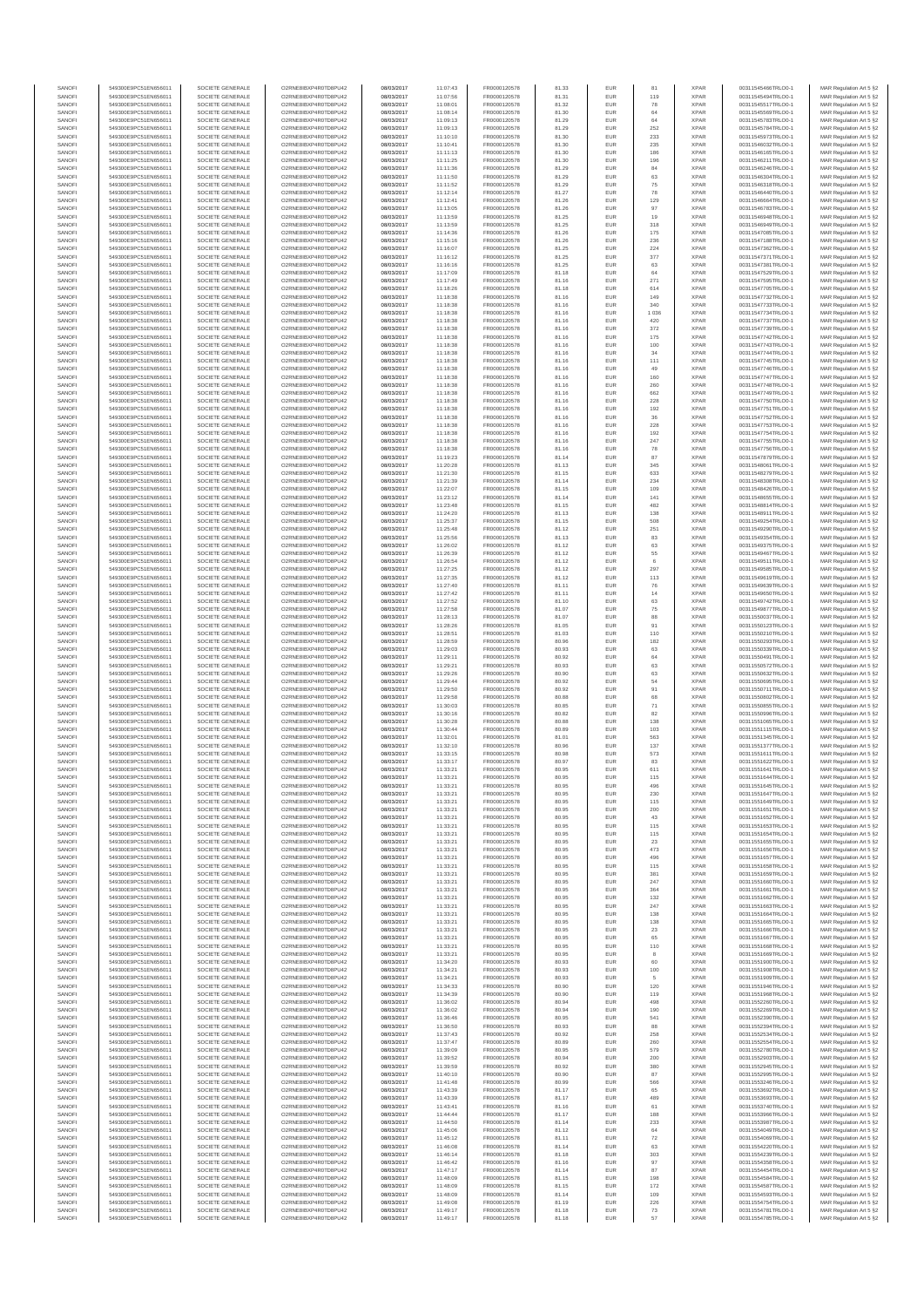| SANOFI<br>SANOFI | 549300E9PC51EN656011<br>549300E9PC51EN656011 | SOCIETE GENERALE<br>SOCIETE GENERALE | O2RNE8IBXP4R0TD8PU42<br>O2RNE8IBXP4R0TD8PU42  | 08/03/2017<br>08/03/2017 | 11:07:43<br>11:07:56 | FR0000120578<br>FR0000120578 | 81.33<br>81.31 | EUR<br>EUR        | 81<br>119      | <b>XPAR</b><br><b>XPAR</b> | 00311545466TRLO0-1<br>00311545494TRLO0-1 | MAR Regulation Art 5 §2                            |
|------------------|----------------------------------------------|--------------------------------------|-----------------------------------------------|--------------------------|----------------------|------------------------------|----------------|-------------------|----------------|----------------------------|------------------------------------------|----------------------------------------------------|
| SANOFI           | 549300E9PC51EN656011                         | SOCIETE GENERALE                     | O2RNE8IBXP4R0TD8PU42                          | 08/03/2017               | 11:08:01             | FR0000120578                 | 81.32          | <b>EUR</b>        | 78             | <b>XPAR</b>                | 00311545517TRLO0-1                       | MAR Regulation Art 5 §2<br>MAR Regulation Art 5 §2 |
| SANOFI           | 549300E9PC51EN656011                         | SOCIETE GENERALE                     | O2RNE8IBXP4R0TD8PU42                          | 08/03/2017               | 11:08:14             | FR0000120578                 | 81.30          | EUR               | 64             | <b>XPAR</b>                | 00311545569TRLO0-1                       | MAR Regulation Art 5 §2                            |
| SANOFI<br>SANOFI | 549300E9PC51EN656011<br>549300E9PC51EN656011 | SOCIETE GENERALE<br>SOCIETE GENERALE | O2RNE8IBXP4R0TD8PU42<br>O2RNE8IBXP4R0TD8PU42  | 08/03/2017<br>08/03/2017 | 11:09:13<br>11:09:13 | FR0000120578<br>FR0000120578 | 81.29<br>81.29 | <b>EUR</b><br>EUR | 64<br>$252\,$  | <b>XPAR</b><br><b>XPAR</b> | 00311545783TRLO0-1<br>00311545784TRLO0-1 | MAR Regulation Art 5 §2<br>MAR Regulation Art 5 §2 |
| SANOFI           | 549300E9PC51EN656011                         | SOCIETE GENERALE                     | O2RNE8IBXP4R0TD8PU42                          | 08/03/2017               | 11:10:10             | FR0000120578                 | 81.30          | EUR               | 233            | <b>XPAR</b>                | 00311545973TRLO0-1                       | MAR Regulation Art 5 §2                            |
| SANOFI           | 549300E9PC51EN656011                         | SOCIETE GENERALE                     | O2RNE8IBXP4R0TD8PU42                          | 08/03/2017               | 11:10:41             | FR0000120578                 | 81.30          | EUR               | 235            | <b>XPAR</b>                | 00311546032TRLO0-1                       | MAR Regulation Art 5 §2                            |
| SANOFI<br>SANOFI | 549300E9PC51EN656011<br>549300E9PC51EN656011 | SOCIETE GENERALE<br>SOCIETE GENERALE | O2RNE8IBXP4R0TD8PU42<br>O2RNE8IBXP4R0TD8PU42  | 08/03/2017<br>08/03/2017 | 11:11:13<br>11:11:25 | FR0000120578<br>FR0000120578 | 81.30<br>81.30 | EUR<br>EUR        | 186<br>196     | <b>XPAR</b><br><b>XPAR</b> | 00311546165TRLO0-1<br>00311546211TRLO0-1 | MAR Regulation Art 5 §2<br>MAR Regulation Art 5 §2 |
| SANOFI           | 549300E9PC51EN656011                         | SOCIETE GENERALE                     | O2RNE8IBXP4R0TD8PU42                          | 08/03/2017               | 11:11:36             | FR0000120578                 | 81.29          | EUR               | 84             | <b>XPAR</b>                | 00311546246TRLO0-1                       | MAR Regulation Art 5 §2                            |
| SANOFI<br>SANOFI | 549300E9PC51EN656011<br>549300E9PC51EN656011 | SOCIETE GENERALE<br>SOCIETE GENERALE | O2RNE8IBXP4R0TD8PU42<br>O2RNE8IBXP4R0TD8PU42  | 08/03/2017<br>08/03/2017 | 11:11:50<br>11:11:52 | FR0000120578<br>FR0000120578 | 81.29<br>81.29 | EUR<br>EUR        | 63<br>75       | <b>XPAR</b><br><b>XPAR</b> | 00311546304TRLO0-1<br>00311546318TRLO0-1 | MAR Regulation Art 5 §2<br>MAR Regulation Art 5 §2 |
| SANOFI           | 549300E9PC51EN656011                         | SOCIETE GENERALE                     | O2RNE8IBXP4R0TD8PU42                          | 08/03/2017               | 11:12:14             | FR0000120578                 | 81.27          | EUR               | 78             | <b>XPAR</b>                | 00311546440TRLO0-1                       | MAR Regulation Art 5 §2                            |
| SANOFI<br>SANOFI | 549300E9PC51EN656011<br>549300E9PC51EN656011 | SOCIETE GENERALE<br>SOCIETE GENERALE | O2RNE8IBXP4R0TD8PU42<br>O2RNE8IBXP4R0TD8PU42  | 08/03/2017<br>08/03/2017 | 11:12:41<br>11:13:05 | FR0000120578<br>FR0000120578 | 81.26<br>81.26 | EUR<br>EUR        | 129<br>97      | <b>XPAR</b><br><b>XPAR</b> | 00311546664TRLO0-1<br>00311546783TRLO0-1 | MAR Regulation Art 5 §2<br>MAR Regulation Art 5 §2 |
| SANOFI           | 549300E9PC51EN656011                         | SOCIETE GENERALE                     | O2RNE8IBXP4R0TD8PU42                          | 08/03/2017               | 11:13:59             | FR0000120578                 | 81.25          | EUR               | 19             | <b>XPAR</b>                | 00311546948TRLO0-1                       | MAR Regulation Art 5 §2                            |
| SANOFI<br>SANOFI | 549300E9PC51EN656011<br>549300E9PC51EN656011 | SOCIETE GENERALE<br>SOCIETE GENERALE | O2RNE8IBXP4R0TD8PU42<br>O2RNE8IBXP4R0TD8PU42  | 08/03/2017<br>08/03/2017 | 11:13:59<br>11:14:36 | FR0000120578<br>FR0000120578 | 81.25          | EUR<br><b>EUR</b> | 318            | <b>XPAR</b><br><b>XPAR</b> | 00311546949TRLO0-1<br>00311547085TRLO0-1 | MAR Regulation Art 5 §2                            |
| SANOFI           | 549300E9PC51EN656011                         | SOCIETE GENERALE                     | O2RNE8IBXP4R0TD8PU42                          | 08/03/2017               | 11:15:16             | FR0000120578                 | 81.26<br>81.26 | EUR               | 175<br>236     | <b>XPAR</b>                | 00311547188TRLO0-1                       | MAR Regulation Art 5 §2<br>MAR Regulation Art 5 §2 |
| SANOFI           | 549300E9PC51EN656011                         | SOCIETE GENERALE                     | O2RNE8IBXP4R0TD8PU42                          | 08/03/2017               | 11:16:07             | FR0000120578                 | 81.25          | EUR               | 224            | <b>XPAR</b>                | 00311547362TRLO0-1                       | MAR Regulation Art 5 §2                            |
| SANOFI<br>SANOFI | 549300E9PC51EN656011<br>549300E9PC51EN656011 | SOCIETE GENERALE<br>SOCIETE GENERALE | O2RNE8IBXP4R0TD8PU42<br>O2RNE8IBXP4R0TD8PU42  | 08/03/2017<br>08/03/2017 | 11:16:12<br>11:16:16 | FR0000120578<br>FR0000120578 | 81.25<br>81.25 | EUR<br>EUR        | 377<br>63      | <b>XPAR</b><br><b>XPAR</b> | 00311547371TRLO0-1<br>00311547381TRLO0-1 | MAR Regulation Art 5 §2<br>MAR Regulation Art 5 §2 |
| SANOFI           | 549300E9PC51EN656011                         | SOCIETE GENERALE                     | O2RNE8IBXP4R0TD8PU42                          | 08/03/2017               | 11:17:09             | FR0000120578                 | 81.18          | EUR               | 64             | <b>XPAR</b>                | 00311547529TRLO0-1                       | MAR Regulation Art 5 §2                            |
| SANOFI<br>SANOFI | 549300E9PC51EN656011<br>549300E9PC51EN656011 | SOCIETE GENERALE<br>SOCIETE GENERALE | O2RNE8IBXP4R0TD8PU42<br>O2RNE8IBXP4R0TD8PU42  | 08/03/2017<br>08/03/2017 | 11:17:49<br>11:18:26 | FR0000120578<br>FR0000120578 | 81.16<br>81.18 | EUR<br>EUR        | 271<br>614     | <b>XPAR</b><br><b>XPAR</b> | 00311547595TRLO0-1<br>00311547705TRLO0-1 | MAR Regulation Art 5 §2<br>MAR Regulation Art 5 §2 |
| SANOFI           | 549300E9PC51EN656011                         | SOCIETE GENERALE                     | O2RNE8IBXP4R0TD8PU42                          | 08/03/2017               | 11:18:38             | FR0000120578                 | 81.16          | EUR               | 149            | <b>XPAR</b>                | 00311547732TRLO0-1                       | MAR Regulation Art 5 §2                            |
| SANOFI           | 549300E9PC51EN656011                         | SOCIETE GENERALE                     | O2RNE8IBXP4R0TD8PU42                          | 08/03/2017               | 11:18:38             | FR0000120578                 | 81.16          | EUR               | 340            | <b>XPAR</b>                | 00311547733TRLO0-1                       | MAR Regulation Art 5 §2                            |
| SANOFI<br>SANOFI | 549300E9PC51EN656011<br>549300E9PC51EN656011 | SOCIETE GENERALE<br>SOCIETE GENERALE | O2RNE8IBXP4R0TD8PU42<br>O2RNE8IBXP4R0TD8PU42  | 08/03/2017<br>08/03/2017 | 11:18:38<br>11:18:38 | FR0000120578<br>FR0000120578 | 81.16<br>81.16 | EUR<br>EUR        | 1 0 3 6<br>420 | <b>XPAR</b><br><b>XPAR</b> | 00311547734TRLO0-1<br>00311547737TRLO0-1 | MAR Regulation Art 5 §2<br>MAR Regulation Art 5 §2 |
| SANOFI           | 549300E9PC51EN656011                         | SOCIETE GENERALE                     | O2RNE8IBXP4R0TD8PU42                          | 08/03/2017               | 11:18:38             | FR0000120578                 | 81.16          | EUR               | 372            | <b>XPAR</b>                | 00311547739TRLO0-1                       | MAR Regulation Art 5 §2                            |
| SANOFI<br>SANOFI | 549300E9PC51EN656011<br>549300E9PC51EN656011 | SOCIETE GENERALE<br>SOCIETE GENERALE | O2RNE8IBXP4R0TD8PU42<br>O2RNE8IBXP4R0TD8PU42  | 08/03/2017<br>08/03/2017 | 11:18:38<br>11:18:38 | FR0000120578<br>FR0000120578 | 81.16<br>81.16 | EUR<br>EUR        | 175<br>100     | <b>XPAR</b><br><b>XPAR</b> | 00311547742TRLO0-1<br>00311547743TRLO0-1 | MAR Regulation Art 5 §2<br>MAR Regulation Art 5 §2 |
| SANOFI           | 549300E9PC51EN656011                         | SOCIETE GENERALE                     | O2RNE8IBXP4R0TD8PU42                          | 08/03/2017               | 11:18:38             | FR0000120578                 | 81.16          | EUR               | 34             | <b>XPAR</b>                | 00311547744TRLO0-1                       | MAR Regulation Art 5 §2                            |
| SANOFI<br>SANOFI | 549300E9PC51EN656011<br>549300E9PC51EN656011 | SOCIETE GENERALE<br>SOCIETE GENERALE | O2RNE8IBXP4R0TD8PU42<br>O2RNE8IBXP4R0TD8PU42  | 08/03/2017<br>08/03/2017 | 11:18:38<br>11:18:38 | FR0000120578<br>FR0000120578 | 81.16<br>81.16 | EUR<br>EUR        | 111<br>49      | <b>XPAR</b><br><b>XPAR</b> | 00311547745TRLO0-1<br>00311547746TRLO0-1 | MAR Regulation Art 5 §2<br>MAR Regulation Art 5 §2 |
| SANOFI           | 549300E9PC51EN656011                         | SOCIETE GENERALE                     | O2RNE8IBXP4R0TD8PU42                          | 08/03/2017               | 11:18:38             | FR0000120578                 | 81.16          | <b>EUR</b>        | 160            | <b>XPAR</b>                | 00311547747TRLO0-1                       | MAR Regulation Art 5 §2                            |
| SANOFI<br>SANOFI | 549300E9PC51EN656011<br>549300E9PC51EN656011 | SOCIETE GENERALE<br>SOCIETE GENERALE | O2RNE8IBXP4R0TD8PU42<br>O2RNE8IBXP4R0TD8PLI42 | 08/03/2017<br>08/03/2017 | 11:18:38<br>11:18:38 | FR0000120578<br>FR0000120578 | 81.16<br>81.16 | EUR<br><b>EUR</b> | 260<br>662     | <b>XPAR</b><br><b>XPAR</b> | 00311547748TRLO0-1<br>00311547749TRLO0-1 | MAR Regulation Art 5 §2<br>MAR Regulation Art 5 §2 |
| SANOFI           | 549300E9PC51EN656011                         | SOCIETE GENERALE                     | O2RNE8IBXP4R0TD8PU42                          | 08/03/2017               | 11:18:38             | FR0000120578                 | 81.16          | EUR               | 228            | <b>XPAR</b>                | 00311547750TRLO0-1                       | MAR Regulation Art 5 §2                            |
| SANOFI           | 549300E9PC51EN656011                         | SOCIETE GENERALE                     | O2RNE8IBXP4R0TD8PU42                          | 08/03/2017               | 11:18:38             | FR0000120578                 | 81.16          | EUR               | 192            | <b>XPAR</b>                | 00311547751TRLO0-1                       | MAR Regulation Art 5 §2                            |
| SANOFI<br>SANOFI | 549300E9PC51EN656011<br>549300E9PC51EN656011 | SOCIETE GENERALE<br>SOCIETE GENERALE | O2RNE8IBXP4R0TD8PU42<br>O2RNE8IBXP4R0TD8PU42  | 08/03/2017<br>08/03/2017 | 11:18:38<br>11:18:38 | FR0000120578<br>FR0000120578 | 81.16<br>81.16 | EUR<br>EUR        | 36<br>228      | <b>XPAR</b><br><b>XPAR</b> | 00311547752TRLO0-1<br>00311547753TRLO0-1 | MAR Regulation Art 5 §2<br>MAR Regulation Art 5 §2 |
| SANOFI           | 549300E9PC51EN656011                         | SOCIETE GENERALE                     | O2RNE8IBXP4R0TD8PU42                          | 08/03/2017               | 11:18:38             | FR0000120578                 | 81.16          | EUR               | 192            | <b>XPAR</b>                | 00311547754TRLO0-1                       | MAR Regulation Art 5 §2                            |
| SANOFI<br>SANOFI | 549300E9PC51EN656011<br>549300E9PC51EN656011 | SOCIETE GENERALE<br>SOCIETE GENERALE | O2RNE8IBXP4R0TD8PU42<br>O2RNE8IBXP4R0TD8PU42  | 08/03/2017<br>08/03/2017 | 11:18:38<br>11:18:38 | FR0000120578<br>FR0000120578 | 81.16<br>81.16 | EUR<br>EUR        | 247<br>78      | <b>XPAR</b><br><b>XPAR</b> | 00311547755TRLO0-1<br>00311547756TRLO0-1 | MAR Regulation Art 5 §2<br>MAR Regulation Art 5 §2 |
| SANOFI           | 549300E9PC51EN656011                         | SOCIETE GENERALE                     | O2RNE8IBXP4R0TD8PU42                          | 08/03/2017               | 11:19:23             | FR0000120578                 | 81.14          | EUR               | 87             | <b>XPAR</b>                | 00311547879TRLO0-1                       | MAR Regulation Art 5 §2                            |
| SANOFI<br>SANOFI | 549300E9PC51EN656011<br>549300E9PC51EN656011 | SOCIETE GENERALE<br>SOCIETE GENERALE | O2RNE8IBXP4R0TD8PU42<br>O2RNE8IBXP4R0TD8PU42  | 08/03/2017<br>08/03/2017 | 11:20:28<br>11:21:30 | FR0000120578<br>FR0000120578 | 81.13<br>81.15 | EUR<br>EUR        | 345<br>633     | <b>XPAR</b><br><b>XPAR</b> | 00311548061TRLO0-1<br>00311548279TRLO0-1 | MAR Regulation Art 5 §2<br>MAR Regulation Art 5 §2 |
| SANOFI           | 549300E9PC51EN656011                         | SOCIETE GENERALE                     | O2RNE8IBXP4R0TD8PU42                          | 08/03/2017               | 11:21:39             | FR0000120578                 | 81.14          | EUR               | 234            | <b>XPAR</b>                | 00311548308TRLO0-1                       | MAR Regulation Art 5 §2                            |
| SANOFI<br>SANOFI | 549300E9PC51EN656011<br>549300E9PC51EN656011 | SOCIETE GENERALE<br>SOCIETE GENERALE | O2RNE8IBXP4R0TD8PU42<br>O2RNE8IBXP4R0TD8PU42  | 08/03/2017<br>08/03/2017 | 11:22:07<br>11:23:12 | FR0000120578<br>FR0000120578 | 81.15<br>81.14 | EUR<br>EUR        | 109<br>141     | <b>XPAR</b><br><b>XPAR</b> | 00311548426TRLO0-1<br>00311548655TRLO0-1 | MAR Regulation Art 5 §2<br>MAR Regulation Art 5 §2 |
| SANOFI           | 549300E9PC51EN656011                         | SOCIETE GENERALE                     | O2RNE8IBXP4R0TD8PU42                          | 08/03/2017               | 11:23:48             | FR0000120578                 | 81.15          | EUR               | 482            | <b>XPAR</b>                | 00311548814TRLO0-1                       | MAR Regulation Art 5 §2                            |
| SANOFI           | 549300E9PC51EN656011                         | SOCIETE GENERALE                     | O2RNE8IBXP4R0TD8PU42                          | 08/03/2017               | 11:24:20             | FR0000120578                 | 81.13          | EUR               | 138            | <b>XPAR</b>                | 00311548911TRLO0-1                       | MAR Regulation Art 5 §2                            |
| SANOFI<br>SANOFI | 549300E9PC51EN656011<br>549300E9PC51EN656011 | SOCIETE GENERALE<br>SOCIETE GENERALE | O2RNE8IBXP4R0TD8PU42<br>O2RNE8IBXP4R0TD8PU42  | 08/03/2017<br>08/03/2017 | 11:25:37<br>11:25:48 | FR0000120578<br>FR0000120578 | 81.15<br>81.12 | EUR<br>EUR        | 508<br>251     | <b>XPAR</b><br><b>XPAR</b> | 00311549254TRLO0-1<br>00311549290TRLO0-1 | MAR Regulation Art 5 §2<br>MAR Regulation Art 5 §2 |
| SANOFI           | 549300E9PC51EN656011                         | SOCIETE GENERALE                     | O2RNE8IBXP4R0TD8PU42                          | 08/03/2017               | 11:25:56             | FR0000120578                 | 81.13          | EUR               | 83             | <b>XPAR</b>                | 00311549354TRLO0-1                       | MAR Regulation Art 5 §2                            |
| SANOFI<br>SANOFI | 549300E9PC51EN656011<br>549300E9PC51EN656011 | SOCIETE GENERALE<br>SOCIETE GENERALE | O2RNE8IBXP4R0TD8PU42<br>O2RNE8IBXP4R0TD8PU42  | 08/03/2017<br>08/03/2017 | 11:26:02<br>11:26:39 | FR0000120578<br>FR0000120578 | 81.12<br>81.12 | EUR<br>EUR        | 63<br>55       | <b>XPAR</b><br><b>XPAR</b> | 00311549375TRLO0-1<br>00311549467TRLO0-1 | MAR Regulation Art 5 §2<br>MAR Regulation Art 5 §2 |
| SANOFI           | 549300E9PC51EN656011                         | SOCIETE GENERALE                     | O2RNE8IBXP4R0TD8PU42                          | 08/03/2017               | 11:26:54             | FR0000120578                 | 81.12          | EUR               | 6              | <b>XPAR</b>                | 00311549511TRLO0-1                       | MAR Regulation Art 5 §2                            |
| SANOFI<br>SANOFI | 549300E9PC51EN656011<br>549300E9PC51EN656011 | SOCIETE GENERALE<br>SOCIETE GENERALE | O2RNE8IBXP4R0TD8PU42<br>O2RNE8IBXP4R0TD8PU42  | 08/03/2017<br>08/03/2017 | 11:27:25<br>11:27:35 | FR0000120578<br>FR0000120578 | 81.12<br>81.12 | EUR<br><b>EUR</b> | 297<br>113     | <b>XPAR</b><br><b>XPAR</b> | 00311549585TRLO0-1<br>00311549619TRLO0-1 | MAR Regulation Art 5 §2<br>MAR Regulation Art 5 §2 |
| SANOFI           | 549300E9PC51EN656011                         | SOCIETE GENERALE                     | O2RNE8IBXP4R0TD8PU42                          | 08/03/2017               | 11:27:40             | FR0000120578                 | 81.11          | EUR               | 76             | <b>XPAR</b>                | 00311549639TRLO0-1                       | MAR Regulation Art 5 §2                            |
| SANOFI<br>SANOFI | 549300E9PC51EN656011<br>549300E9PC51EN656011 | SOCIETE GENERALE<br>SOCIETE GENERALE | O2RNE8IBXP4R0TD8PU42<br>O2RNE8IBXP4R0TD8PU42  | 08/03/2017<br>08/03/2017 | 11:27:42<br>11:27:52 | FR0000120578<br>FR0000120578 | 81.11<br>81.10 | EUR<br>EUR        | 14<br>63       | <b>XPAR</b><br><b>XPAR</b> | 00311549650TRLO0-1<br>00311549742TRLO0-1 | MAR Regulation Art 5 §2<br>MAR Regulation Art 5 §2 |
| SANOFI           | 549300E9PC51EN656011                         | SOCIETE GENERALE                     | O2RNE8IBXP4R0TD8PU42                          | 08/03/2017               | 11:27:58             | FR0000120578                 | 81.07          | EUR               | 75             | <b>XPAR</b>                | 00311549877TRLO0-1                       | MAR Regulation Art 5 §2                            |
| SANOFI<br>SANOFI | 549300E9PC51EN656011                         | SOCIETE GENERALE                     | O2RNE8IBXP4R0TD8PU42<br>O2RNE8IBXP4R0TD8PU42  | 08/03/2017               | 11:28:13             | FR0000120578<br>FR0000120578 | 81.07<br>81.05 | EUR<br>EUR        | 88<br>91       | <b>XPAR</b><br><b>XPAR</b> | 00311550037TRLO0-1                       | MAR Regulation Art 5 §2<br>MAR Regulation Art 5 §2 |
| SANOFI           | 549300E9PC51EN656011<br>549300E9PC51EN656011 | SOCIETE GENERALE<br>SOCIETE GENERALE | O2RNE8IBXP4R0TD8PU42                          | 08/03/2017<br>08/03/2017 | 11:28:26<br>11:28:51 | FR0000120578                 | 81.03          | EUR               | 110            | <b>XPAR</b>                | 00311550123TRLO0-1<br>00311550210TRLO0-1 | MAR Regulation Art 5 §2                            |
| SANOFI           | 549300E9PC51EN656011                         | SOCIETE GENERALE                     | O2RNE8IBXP4R0TD8PU42                          | 08/03/2017               | 11:28:59             | FR0000120578                 | 80.96          | EUR               | 182            | <b>XPAR</b>                | 00311550293TRLO0-1                       | MAR Regulation Art 5 §2                            |
| SANOFI<br>SANOFI | 549300E9PC51EN656011<br>549300E9PC51EN656011 | SOCIETE GENERALE<br>SOCIETE GENERALE | O2RNE8IBXP4R0TD8PU42<br>O2RNE8IBXP4R0TD8PU42  | 08/03/2017<br>08/03/2017 | 11:29:03<br>11:29:11 | FR0000120578<br>FR0000120578 | 80.93<br>80.92 | EUR<br>EUR        | 63<br>64       | <b>XPAR</b><br><b>XPAR</b> | 00311550339TRLO0-1<br>00311550491TRLO0-1 | MAR Regulation Art 5 §2<br>MAR Regulation Art 5 §2 |
| SANOFI           | 549300E9PC51EN656011                         | SOCIETE GENERALE                     | O2RNE8IBXP4R0TD8PU42                          | 08/03/2017               | 11:29:21             | FR0000120578                 | 80.93          | EUR               | 63             | <b>XPAR</b>                | 00311550572TRLO0-1                       | MAR Regulation Art 5 §2                            |
| SANOFI<br>SANOFI | 549300E9PC51EN656011<br>549300E9PC51EN656011 | SOCIETE GENERALE<br>SOCIETE GENERALE | O2RNE8IBXP4R0TD8PU42<br>O2RNE8IBXP4R0TD8PU42  | 08/03/2017<br>08/03/2017 | 11:29:26<br>11:29:44 | FR0000120578<br>FR0000120578 | 80.90<br>80.92 | EUR<br>EUR        | 63<br>54       | <b>XPAR</b><br><b>XPAR</b> | 00311550632TRLO0-1<br>00311550695TRLO0-1 | MAR Regulation Art 5 §2<br>MAR Regulation Art 5 §2 |
| SANOFI           | 549300E9PC51EN656011                         | SOCIETE GENERALE                     | O2RNE8IBXP4R0TD8PU42                          | 08/03/2017               | 11:29:50             | FR0000120578                 | 80.92          | EUR               | 91             | <b>XPAR</b>                | 00311550711TRLO0-1                       | MAR Regulation Art 5 §2                            |
| SANOFI<br>SANOFI | 549300E9PC51EN656011<br>549300E9PC51EN656011 | SOCIETE GENERALE<br>SOCIETE GENERALE | O2RNE8IBXP4R0TD8PU42<br>O2RNE8IBXP4R0TD8PU42  | 08/03/2017<br>08/03/2017 | 11:29:58             | FR0000120578<br>FR0000120578 | 80.88<br>80.85 | EUR<br>EUR        | 68             | <b>XPAR</b><br><b>XPAR</b> | 00311550802TRLO0-1<br>00311550855TRLO0-1 | MAR Regulation Art 5 §2                            |
| SANOFI           | 549300E9PC51EN656011                         | SOCIETE GENERALE                     | O2RNE8IBXP4R0TD8PU42                          | 08/03/2017               | 11:30:03<br>11:30:16 | FR0000120578                 | 80.82          | EUR               | 71<br>82       | <b>XPAR</b>                | 00311550996TRLO0-1                       | MAR Regulation Art 5 §2<br>MAR Regulation Art 5 §2 |
| SANOFI           | 549300E9PC51EN656011                         | SOCIETE GENERALE                     | O2RNE8IBXP4R0TD8PU42                          | 08/03/2017               | 11:30:28             | FR0000120578                 | 80.88          | <b>EUR</b>        | 138            | <b>XPAR</b>                | 00311551065TRLO0-1                       | MAR Regulation Art 5 §2                            |
| SANOFI<br>SANOFI | 549300E9PC51EN656011<br>549300E9PC51EN656011 | SOCIETE GENERALE<br>SOCIETE GENERALE | O2RNE8IBXP4R0TD8PU42<br>O2RNE8IBXP4R0TD8PU42  | 08/03/2017<br>08/03/2017 | 11:30:44<br>11:32:01 | FR0000120578<br>FR0000120578 | 80.89<br>81.01 | EUR<br>EUR        | 103<br>563     | <b>XPAR</b><br><b>XPAR</b> | 00311551115TRLO0-1<br>00311551345TRLO0-1 | MAR Regulation Art 5 §2<br>MAR Regulation Art 5 §2 |
| SANOFI           | 549300E9PC51EN656011                         | SOCIETE GENERALE                     | O2RNE8IBXP4R0TD8PU42                          | 08/03/2017               | 11:32:10             | FR0000120578                 | 80.96          | EUR               | 137            | <b>XPAR</b>                | 00311551377TRLO0-1                       | MAR Regulation Art 5 §2                            |
| SANOFI<br>SANOFI | 549300E9PC51EN656011<br>549300E9PC51EN656011 | SOCIETE GENERALE<br>SOCIETE GENERALE | O2RNE8IBXP4R0TD8PU42<br>O2RNE8IBXP4R0TD8PU42  | 08/03/2017<br>08/03/2017 | 11:33:15<br>11:33:17 | FR0000120578<br>FR0000120578 | 80.98<br>80.97 | EUR<br>EUR        | 573<br>83      | <b>XPAR</b><br><b>XPAR</b> | 00311551611TRLO0-1<br>00311551622TRLO0-1 | MAR Regulation Art 5 §2<br>MAR Regulation Art 5 §2 |
| SANOFI           | 549300E9PC51EN656011                         | SOCIETE GENERALE                     | O2RNE8IBXP4R0TD8PU42                          | 08/03/2017               | 11:33:21             | FR0000120578                 | 80.95          | EUR               | 611            | <b>XPAR</b>                | 00311551641TRLO0-1                       | MAR Regulation Art 5 §2                            |
| SANOFI<br>SANOF  | 549300E9PC51EN656011<br>549300E9PC51EN656011 | SOCIETE GENERALE<br>SOCIETE GENERALE | O2RNE8IBXP4R0TD8PU42<br>O2RNE8IBXP4R0TD8PU42  | 08/03/2017<br>08/03/2017 | 11:33:21<br>11:33:21 | FR0000120578<br>FR0000120578 | 80.95<br>80.95 | <b>EUR</b>        | 115            | <b>XPAR</b><br><b>XPAF</b> | 00311551644TRLO0-1<br>00311551645TRLO0-1 | MAR Regulation Art 5 §2<br>MAR Regulation Art 5 §2 |
| SANOFI           | 549300E9PC51EN656011                         | SOCIETE GENERALE                     | O2RNE8IBXP4R0TD8PU42                          | 08/03/2017               | 11:33:21             | FR0000120578                 | 80.95          | <b>EUR</b>        | 230            | <b>XPAR</b>                | 00311551647TRLO0-1                       | MAR Regulation Art 5 §2                            |
| SANOFI<br>SANOFI | 549300E9PC51EN656011<br>549300E9PC51EN656011 | SOCIETE GENERALE<br>SOCIETE GENERALE | O2RNE8IBXP4R0TD8PU42<br>O2RNE8IBXP4R0TD8PU42  | 08/03/2017<br>08/03/2017 | 11:33:21<br>11:33:21 | FR0000120578<br>FR0000120578 | 80.95<br>80.95 | EUR<br><b>EUR</b> | 115<br>200     | <b>XPAR</b><br><b>XPAR</b> | 00311551649TRLO0-1<br>00311551651TRLO0-1 | MAR Regulation Art 5 §2                            |
| SANOFI           | 549300E9PC51EN656011                         | SOCIETE GENERALE                     | O2RNE8IBXP4R0TD8PU42                          | 08/03/2017               | 11:33:21             | FR0000120578                 | 80.95          | EUR               | 43             | <b>XPAR</b>                | 00311551652TRLO0-1                       | MAR Regulation Art 5 §2<br>MAR Regulation Art 5 §2 |
| SANOFI           | 549300E9PC51EN656011                         | SOCIETE GENERALE                     | O2RNE8IBXP4R0TD8PU42                          | 08/03/2017               | 11:33:21             | FR0000120578                 | 80.95          | EUR               | 115            | <b>XPAR</b>                | 00311551653TRLO0-1                       | MAR Regulation Art 5 §2                            |
| SANOFI<br>SANOFI | 549300E9PC51EN656011<br>549300E9PC51EN656011 | SOCIETE GENERALE<br>SOCIETE GENERALE | O2RNE8IBXP4R0TD8PU42<br>O2RNE8IBXP4R0TD8PU42  | 08/03/2017<br>08/03/2017 | 11:33:21<br>11:33:21 | FR0000120578<br>FR0000120578 | 80.95<br>80.95 | EUR<br>EUR        | 115<br>23      | <b>XPAR</b><br><b>XPAR</b> | 00311551654TRLO0-1<br>00311551655TRLO0-1 | MAR Regulation Art 5 §2<br>MAR Regulation Art 5 §2 |
| SANOFI           | 549300E9PC51EN656011                         | SOCIETE GENERALE                     | O2RNE8IBXP4R0TD8PU42                          | 08/03/2017               | 11:33:21             | FR0000120578<br>FR0000120578 | 80.95          | <b>EUR</b>        | 473            | <b>XPAR</b>                | 00311551656TRLO0-1                       | MAR Regulation Art 5 §2                            |
| SANOFI<br>SANOFI | 549300E9PC51EN656011<br>549300E9PC51EN656011 | SOCIETE GENERALE<br>SOCIETE GENERALE | O2RNE8IBXP4R0TD8PU42<br>O2RNE8IBXP4R0TD8PU42  | 08/03/2017<br>08/03/2017 | 11:33:21<br>11:33:21 | FR0000120578                 | 80.95<br>80.95 | EUR<br><b>EUR</b> | 496<br>115     | <b>XPAR</b><br><b>XPAR</b> | 00311551657TRLO0-1<br>00311551658TRLO0-1 | MAR Regulation Art 5 §2<br>MAR Regulation Art 5 §2 |
| SANOFI<br>SANOFI | 549300E9PC51EN656011<br>549300E9PC51EN656011 | SOCIETE GENERALE<br>SOCIETE GENERALE | O2RNE8IBXP4R0TD8PU42<br>O2RNE8IBXP4R0TD8PU42  | 08/03/2017               | 11:33:21             | FR0000120578                 | 80.95<br>80.95 | EUR<br>EUR        | 381<br>247     | <b>XPAR</b><br><b>XPAR</b> | 00311551659TRLO0-1                       | MAR Regulation Art 5 §2                            |
| SANOFI           | 549300E9PC51EN656011                         | SOCIETE GENERALE                     | O2RNE8IBXP4R0TD8PU42                          | 08/03/2017<br>08/03/2017 | 11:33:21<br>11:33:21 | FR0000120578<br>FR0000120578 | 80.95          | EUR               | 364            | <b>XPAR</b>                | 00311551660TRLO0-1<br>00311551661TRLO0-1 | MAR Regulation Art 5 §2<br>MAR Regulation Art 5 §2 |
| SANOFI           | 549300E9PC51EN656011                         | SOCIETE GENERALE                     | O2RNE8IBXP4R0TD8PU42                          | 08/03/2017               | 11:33:21             | FR0000120578                 | 80.95          | EUR               | 132            | <b>XPAR</b>                | 00311551662TRLO0-1                       | MAR Regulation Art 5 §2                            |
| SANOFI<br>SANOFI | 549300E9PC51EN656011<br>549300E9PC51EN656011 | SOCIETE GENERALE<br>SOCIETE GENERALE | O2RNE8IBXP4R0TD8PU42<br>O2RNE8IBXP4R0TD8PU42  | 08/03/2017<br>08/03/2017 | 11:33:21<br>11:33:21 | FR0000120578<br>FR0000120578 | 80.95<br>80.95 | EUR<br>EUR        | 247<br>138     | <b>XPAR</b><br><b>XPAR</b> | 00311551663TRLO0-1<br>00311551664TRLO0-1 | MAR Regulation Art 5 §2<br>MAR Regulation Art 5 §2 |
| SANOFI           | 549300E9PC51EN656011                         | SOCIETE GENERALE                     | O2RNE8IBXP4R0TD8PU42                          | 08/03/2017               | 11:33:21             | FR0000120578                 | 80.95          | <b>EUR</b>        | 138            | <b>XPAR</b>                | 00311551665TRLO0-1                       | MAR Regulation Art 5 §2                            |
| SANOFI<br>SANOFI | 549300E9PC51EN656011<br>549300E9PC51EN656011 | SOCIETE GENERALE<br>SOCIETE GENERALE | O2RNE8IBXP4R0TD8PU42<br>O2RNE8IBXP4R0TD8PU42  | 08/03/2017<br>08/03/2017 | 11:33:21<br>11:33:21 | FR0000120578<br>FR0000120578 | 80.95<br>80.95 | EUR<br><b>EUR</b> | 23<br>65       | <b>XPAR</b><br><b>XPAR</b> | 00311551666TRLO0-1<br>00311551667TRLO0-1 | MAR Regulation Art 5 §2<br>MAR Regulation Art 5 §2 |
| SANOFI           | 549300E9PC51EN656011                         | SOCIETE GENERALE                     | O2RNE8IBXP4R0TD8PU42                          | 08/03/2017               | 11:33:21             | FR0000120578                 | 80.95          | EUR               | 110            | <b>XPAR</b>                | 00311551668TRLO0-1                       | MAR Regulation Art 5 §2                            |
| SANOFI<br>SANOFI | 549300E9PC51EN656011<br>549300E9PC51EN656011 | SOCIETE GENERALE<br>SOCIETE GENERALE | O2RNE8IBXP4R0TD8PU42<br>O2RNE8IBXP4R0TD8PU42  | 08/03/2017<br>08/03/2017 | 11:33:21<br>11:34:20 | FR0000120578<br>FR0000120578 | 80.95<br>80.93 | EUR<br>EUR        | 8<br>60        | <b>XPAR</b><br><b>XPAR</b> | 00311551669TRLO0-1<br>00311551900TRLO0-1 | MAR Regulation Art 5 §2<br>MAR Regulation Art 5 §2 |
| SANOFI           | 549300E9PC51EN656011                         | SOCIETE GENERALE                     | O2RNE8IBXP4R0TD8PU42                          | 08/03/2017               | 11:34:21             | FR0000120578                 | 80.93          | EUR               | 100            | <b>XPAR</b>                | 00311551908TRLO0-1                       | MAR Regulation Art 5 §2                            |
| SANOFI<br>SANOFI | 549300E9PC51EN656011<br>549300E9PC51EN656011 | SOCIETE GENERALE<br>SOCIETE GENERALE | O2RNE8IBXP4R0TD8PU42<br>O2RNE8IBXP4R0TD8PU42  | 08/03/2017<br>08/03/2017 | 11:34:21<br>11:34:33 | FR0000120578<br>FR0000120578 | 80.93<br>80.90 | EUR<br>EUR        | 5<br>120       | <b>XPAR</b><br><b>XPAR</b> | 00311551909TRLO0-1<br>00311551946TRLO0-1 | MAR Regulation Art 5 §2<br>MAR Regulation Art 5 §2 |
| SANOFI           | 549300E9PC51EN656011                         | SOCIETE GENERALE                     | O2RNE8IBXP4R0TD8PU42                          | 08/03/2017               | 11:34:39             | FR0000120578                 | 80.90          | <b>EUR</b>        | 119            | <b>XPAR</b>                | 00311551968TRLO0-1                       | MAR Regulation Art 5 §2                            |
| SANOFI<br>SANOFI | 549300E9PC51EN656011<br>549300E9PC51EN656011 | SOCIETE GENERALE<br>SOCIETE GENERALE | O2RNE8IBXP4R0TD8PU42<br>O2RNE8IBXP4R0TD8PU42  | 08/03/2017<br>08/03/2017 | 11:36:02<br>11:36:02 | FR0000120578<br>FR0000120578 | 80.94<br>80.94 | EUR<br><b>EUR</b> | 498<br>190     | <b>XPAR</b><br><b>XPAR</b> | 00311552260TRLO0-1<br>00311552269TRLO0-1 | MAR Regulation Art 5 §2                            |
| SANOFI           | 549300E9PC51EN656011                         | SOCIETE GENERALE                     | O2RNE8IBXP4R0TD8PU42                          | 08/03/2017               | 11:36:46             | FR0000120578                 | 80.95          | EUR               | 541            | <b>XPAR</b>                | 00311552390TRLO0-1                       | MAR Regulation Art 5 §2<br>MAR Regulation Art 5 §2 |
| SANOFI<br>SANOFI | 549300E9PC51EN656011<br>549300E9PC51EN656011 | SOCIETE GENERALE<br>SOCIETE GENERALE | O2RNE8IBXP4R0TD8PU42<br>O2RNE8IBXP4R0TD8PU42  | 08/03/2017<br>08/03/2017 | 11:36:50<br>11:37:43 | FR0000120578<br>FR0000120578 | 80.93<br>80.92 | EUR<br>EUR        | 88             | <b>XPAR</b><br><b>XPAR</b> | 00311552394TRLO0-1<br>00311552534TRLO0-1 | MAR Regulation Art 5 §2                            |
| SANOFI           | 549300E9PC51EN656011                         | SOCIETE GENERALE                     | O2RNE8IBXP4R0TD8PU42                          | 08/03/2017               | 11:37:47             | FR0000120578                 | 80.89          | EUR               | $258\,$<br>260 | <b>XPAR</b>                | 00311552554TRLO0-1                       | MAR Regulation Art 5 §2<br>MAR Regulation Art 5 §2 |
| SANOFI           | 549300E9PC51EN656011                         | SOCIETE GENERALE                     | O2RNE8IBXP4R0TD8PU42                          | 08/03/2017               | 11:39:09             | FR0000120578                 | 80.95          | <b>EUR</b>        | 579            | <b>XPAR</b>                | 00311552780TRLO0-1                       | MAR Regulation Art 5 §2                            |
| SANOFI<br>SANOFI | 549300E9PC51EN656011<br>549300E9PC51EN656011 | SOCIETE GENERALE<br>SOCIETE GENERALE | O2RNE8IBXP4R0TD8PU42<br>O2RNE8IBXP4R0TD8PU42  | 08/03/2017<br>08/03/2017 | 11:39:52<br>11:39:59 | FR0000120578<br>FR0000120578 | 80.94<br>80.92 | EUR<br><b>EUR</b> | 200<br>380     | <b>XPAR</b><br><b>XPAR</b> | 00311552903TRLO0-1<br>00311552945TRLO0-1 | MAR Regulation Art 5 §2<br>MAR Regulation Art 5 §2 |
| SANOFI           | 549300E9PC51EN656011                         | SOCIETE GENERALE                     | O2RNE8IBXP4R0TD8PU42                          | 08/03/2017               | 11:40:10             | FR0000120578                 | 80.90          | EUR               | 87             | <b>XPAR</b>                | 00311552995TRLO0-1                       | MAR Regulation Art 5 §2                            |
| SANOFI<br>SANOFI | 549300E9PC51EN656011<br>549300E9PC51EN656011 | SOCIETE GENERALE<br>SOCIETE GENERALE | O2RNE8IBXP4R0TD8PU42<br>O2RNE8IBXP4R0TD8PU42  | 08/03/2017<br>08/03/2017 | 11:41:48<br>11:43:39 | FR0000120578<br>FR0000120578 | 80.99<br>81.17 | <b>EUR</b><br>EUR | 566<br>65      | <b>XPAR</b><br><b>XPAR</b> | 00311553246TRLO0-1<br>00311553692TRLO0-1 | MAR Regulation Art 5 §2<br>MAR Regulation Art 5 §2 |
| SANOFI           | 549300E9PC51EN656011                         | SOCIETE GENERALE                     | O2RNE8IBXP4R0TD8PU42                          | 08/03/2017               | 11:43:39             | FR0000120578                 | 81.17          | EUR               | 489            | <b>XPAR</b>                | 00311553693TRLO0-1                       | MAR Regulation Art 5 §2                            |
| SANOFI<br>SANOFI | 549300E9PC51EN656011<br>549300E9PC51EN656011 | SOCIETE GENERALE<br>SOCIETE GENERALE | O2RNE8IBXP4R0TD8PU42<br>O2RNE8IBXP4R0TD8PU42  | 08/03/2017<br>08/03/2017 | 11:43:41<br>11:44:44 | FR0000120578<br>FR0000120578 | 81.16<br>81.17 | EUR<br>EUR        | 61<br>188      | <b>XPAR</b><br><b>XPAR</b> | 00311553740TRLO0-1<br>00311553966TRLO0-1 | MAR Regulation Art 5 §2<br>MAR Regulation Art 5 §2 |
| SANOFI           | 549300E9PC51EN656011                         | SOCIETE GENERALE                     | O2RNE8IBXP4R0TD8PU42                          | 08/03/2017               | 11:44:50             | FR0000120578                 | 81.14          | <b>EUR</b>        | 233            | <b>XPAR</b>                | 00311553987TRLO0-1                       | MAR Regulation Art 5 §2                            |
| SANOFI<br>SANOFI | 549300E9PC51EN656011<br>549300E9PC51EN656011 | SOCIETE GENERALE<br>SOCIETE GENERALE | O2RNE8IBXP4R0TD8PU42<br>O2RNE8IBXP4R0TD8PU42  | 08/03/2017<br>08/03/2017 | 11:45:06<br>11:45:12 | FR0000120578<br>FR0000120578 | 81.12<br>81.11 | EUR<br><b>EUR</b> | 64<br>72       | <b>XPAR</b><br><b>XPAR</b> | 00311554049TRLO0-1<br>00311554069TRLO0-1 | MAR Regulation Art 5 §2                            |
| SANOFI           | 549300E9PC51EN656011                         | SOCIETE GENERALE                     | O2RNE8IBXP4R0TD8PU42                          | 08/03/2017               | 11:46:08             | FR0000120578                 | 81.14          | EUR               | 63             | <b>XPAR</b>                | 00311554220TRLO0-1                       | MAR Regulation Art 5 §2<br>MAR Regulation Art 5 §2 |
| SANOFI           | 549300E9PC51EN656011                         | SOCIETE GENERALE                     | O2RNE8IBXP4R0TD8PU42                          | 08/03/2017               | 11:46:14             | FR0000120578                 | 81.18          | EUR               | 303            | <b>XPAR</b>                | 00311554239TRLO0-1                       | MAR Regulation Art 5 §2                            |
| SANOFI<br>SANOFI | 549300E9PC51EN656011<br>549300E9PC51EN656011 | SOCIETE GENERALE<br>SOCIETE GENERALE | O2RNE8IBXP4R0TD8PU42<br>O2RNE8IBXP4R0TD8PU42  | 08/03/2017<br>08/03/2017 | 11:46:42<br>11:47:17 | FR0000120578<br>FR0000120578 | 81.16<br>81.14 | EUR<br>EUR        | 97<br>87       | <b>XPAR</b><br><b>XPAR</b> | 00311554358TRLO0-1<br>00311554454TRLO0-1 | MAR Regulation Art 5 §2<br>MAR Regulation Art 5 §2 |
| SANOFI           | 549300E9PC51EN656011                         | SOCIETE GENERALE                     | O2RNE8IBXP4R0TD8PU42                          | 08/03/2017               | 11:48:09             | FR0000120578                 | 81.15          | <b>EUR</b>        | 198            | <b>XPAR</b>                | 00311554584TRLO0-1                       | MAR Regulation Art 5 §2                            |
| SANOFI<br>SANOFI | 549300E9PC51EN656011<br>549300E9PC51EN656011 | SOCIETE GENERALE<br>SOCIETE GENERALE | O2RNE8IBXP4R0TD8PU42<br>O2RNE8IBXP4R0TD8PU42  | 08/03/2017<br>08/03/2017 | 11:48:09<br>11:48:09 | FR0000120578<br>FR0000120578 | 81.15<br>81.14 | EUR<br><b>EUR</b> | 172<br>109     | <b>XPAR</b><br><b>XPAR</b> | 00311554587TRLO0-1<br>00311554593TRLO0-1 | MAR Regulation Art 5 §2<br>MAR Regulation Art 5 §2 |
| SANOFI           | 549300E9PC51EN656011                         | SOCIETE GENERALE                     | O2RNE8IBXP4R0TD8PU42                          | 08/03/2017               | 11:49:08             | FR0000120578                 | 81.19          | EUR               | 226            | <b>XPAR</b>                | 00311554754TRLO0-1                       | MAR Regulation Art 5 §2                            |
| SANOFI<br>SANOFI | 549300E9PC51EN656011<br>549300E9PC51EN656011 | SOCIETE GENERALE<br>SOCIETE GENERALE | O2RNE8IBXP4R0TD8PU42<br>O2RNE8IBXP4R0TD8PU42  | 08/03/2017<br>08/03/2017 | 11:49:17<br>11:49:17 | FR0000120578<br>FR0000120578 | 81.18<br>81.18 | <b>EUR</b><br>EUR | 73<br>57       | <b>XPAR</b><br><b>XPAR</b> | 00311554781TRLO0-1<br>00311554785TRLO0-1 | MAR Regulation Art 5 §2<br>MAR Regulation Art 5 §2 |
|                  |                                              |                                      |                                               |                          |                      |                              |                |                   |                |                            |                                          |                                                    |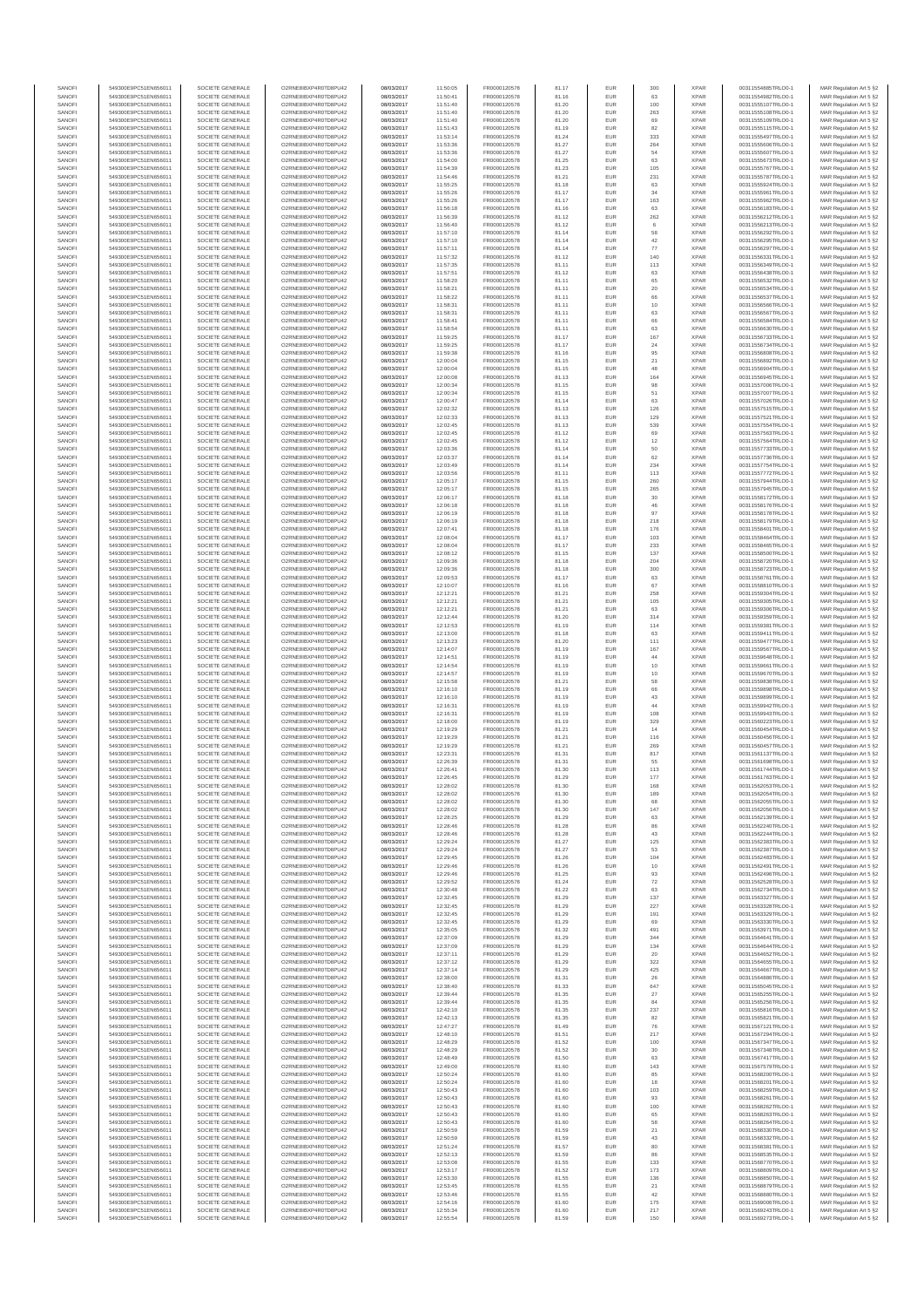| SANOFI           | 549300E9PC51EN656011                         | SOCIETE GENERALE                     | O2RNE8IBXP4R0TD8PU42                         | 08/03/2017               | 11:50:05             | FR0000120578                 | 81.17          | EUR        | 300         | <b>XPAR</b>                | 00311554885TRLO0-1                       | MAR Regulation Art 5 §2                            |
|------------------|----------------------------------------------|--------------------------------------|----------------------------------------------|--------------------------|----------------------|------------------------------|----------------|------------|-------------|----------------------------|------------------------------------------|----------------------------------------------------|
| SANOFI<br>SANOFI | 549300E9PC51EN656011<br>549300E9PC51EN656011 | SOCIETE GENERALE<br>SOCIETE GENERALE | O2RNE8IBXP4R0TD8PU42<br>O2RNE8IBXP4R0TD8PU42 | 08/03/2017<br>08/03/2017 | 11:50:41<br>11:51:40 | FR0000120578<br>FR0000120578 | 81.16<br>81.20 | EUR<br>EUR | 63<br>100   | <b>XPAR</b><br><b>XPAR</b> | 00311554982TRLO0-1<br>00311555107TRLO0-1 | MAR Regulation Art 5 §2<br>MAR Regulation Art 5 §2 |
| SANOFI           | 549300E9PC51EN656011                         | SOCIETE GENERALE                     | O2RNE8IBXP4R0TD8PLI42                        | 08/03/2017               | 11:51:40             | FR0000120578                 | 81.20          | EUR        | 263         | <b>XPAR</b>                | 00311555108TRLO0-1                       | MAR Regulation Art 5 \$2                           |
| SANOFI           | 549300E9PC51EN656011                         | SOCIETE GENERALE                     | O2RNE8IBXP4R0TD8PU42                         | 08/03/2017               | 11:51:40             | FR0000120578                 | 81.20          | EUR        | 69          | <b>XPAR</b>                | 00311555109TRLO0-1                       | MAR Regulation Art 5 §2                            |
| SANOFI           | 549300E9PC51EN656011                         | SOCIETE GENERALE                     | O2RNE8IBXP4R0TD8PU42                         | 08/03/2017               | 11:51:43             | FR0000120578                 | 81.19          | EUR        | 82          | <b>XPAR</b>                | 00311555115TRLO0-1                       | MAR Regulation Art 5 §2                            |
| SANOFI<br>SANOFI | 549300E9PC51EN656011<br>549300E9PC51EN656011 | SOCIETE GENERALE<br>SOCIETE GENERALE | O2RNE8IBXP4R0TD8PU42<br>O2RNE8IBXP4R0TD8PU42 | 08/03/2017<br>08/03/2017 | 11:53:14<br>11:53:36 | FR0000120578<br>FR0000120578 | 81.24<br>81.27 | EUR<br>EUR | 333<br>264  | <b>XPAR</b><br><b>XPAR</b> | 00311555497TRLO0-1<br>00311555606TRLO0-1 | MAR Regulation Art 5 §2<br>MAR Regulation Art 5 §2 |
| SANOFI           | 549300E9PC51EN656011                         | SOCIETE GENERALE                     | O2RNE8IBXP4R0TD8PU42                         | 08/03/2017               | 11:53:36             | FR0000120578                 | 81.27          | EUR        | 54          | <b>XPAR</b>                | 00311555607TRLO0-1                       | MAR Regulation Art 5 §2                            |
| SANOFI           | 549300E9PC51EN656011                         | SOCIETE GENERALE                     | O2RNE8IBXP4R0TD8PU42                         | 08/03/2017               | 11:54:00             | FR0000120578                 | 81.25          | EUR        | 63          | <b>XPAR</b>                | 00311555673TRLO0-1                       | MAR Regulation Art 5 §2                            |
| SANOFI<br>SANOFI | 549300E9PC51EN656011<br>549300E9PC51EN656011 | SOCIETE GENERALE<br>SOCIETE GENERALE | O2RNE8IBXP4R0TD8PU42<br>O2RNE8IBXP4R0TD8PU42 | 08/03/2017<br>08/03/2017 | 11:54:39<br>11:54:46 | FR0000120578<br>FR0000120578 | 81.23<br>81.21 | EUR<br>EUR | 105<br>231  | <b>XPAR</b><br><b>XPAR</b> | 00311555767TRLO0-1<br>00311555787TRLO0-1 | MAR Regulation Art 5 §2<br>MAR Regulation Art 5 §2 |
| SANOFI           | 549300E9PC51EN656011                         | SOCIETE GENERALE                     | O2RNE8IBXP4R0TD8PU42                         | 08/03/2017               | 11:55:25             | FR0000120578                 | 81.18          | EUR        | 63          | <b>XPAR</b>                | 00311555924TRLO0-1                       | MAR Regulation Art 5 §2                            |
| SANOFI           | 549300E9PC51EN656011                         | SOCIETE GENERALE                     | O2RNE8IBXP4R0TD8PU42                         | 08/03/2017               | 11:55:26             | FR0000120578                 | 81.17          | EUR        | 34          | <b>XPAR</b>                | 00311555961TRLO0-1                       | MAR Regulation Art 5 §2                            |
| SANOFI           | 549300E9PC51EN656011                         | SOCIETE GENERALE                     | O2RNE8IBXP4R0TD8PU42                         | 08/03/2017               | 11:55:26             | FR0000120578                 | 81.17          | EUR        | 163         | <b>XPAR</b>                | 00311555962TRLO0-1                       | MAR Regulation Art 5 §2                            |
| SANOFI           | 549300E9PC51EN656011                         | SOCIETE GENERALE                     | O2RNE8IBXP4R0TD8PU42                         | 08/03/2017               | 11:56:18             | FR0000120578                 | 81.16          | EUR        | 63          | <b>XPAR</b>                | 00311556183TRLO0-1                       | MAR Regulation Art 5 §2                            |
| SANOFI<br>SANOFI | 549300E9PC51EN656011                         | SOCIETE GENERALE                     | O2RNE8IBXP4R0TD8PU42<br>O2RNE8IBXP4R0TD8PU42 | 08/03/2017               | 11:56:39             | FR0000120578                 | 81.12          | EUR        | 262         | <b>XPAR</b><br><b>XPAR</b> | 00311556212TRLO0-1                       | MAR Regulation Art 5 §2                            |
| SANOFI           | 549300E9PC51EN656011<br>549300E9PC51EN656011 | SOCIETE GENERALE<br>SOCIETE GENERALE | O2RNE8IBXP4R0TD8PU42                         | 08/03/2017<br>08/03/2017 | 11:56:40<br>11:57:10 | FR0000120578<br>FR0000120578 | 81.12<br>81.14 | EUR<br>EUR | 6<br>58     | <b>XPAR</b>                | 00311556213TRLO0-1<br>00311556292TRLO0-1 | MAR Regulation Art 5 §2<br>MAR Regulation Art 5 §2 |
| SANOFI           | 549300E9PC51EN656011                         | SOCIETE GENERALE                     | O2RNE8IBXP4R0TD8PU42                         | 08/03/2017               | 11:57:10             | FR0000120578                 | 81.14          | EUR        | 42          | <b>XPAR</b>                | 00311556295TRLO0-1                       | MAR Regulation Art 5 §2                            |
| SANOFI           | 549300E9PC51EN656011                         | SOCIETE GENERALE                     | O2RNE8IBXP4R0TD8PU42                         | 08/03/2017               | 11:57:11             | FR0000120578                 | 81.14          | EUR        | 77          | <b>XPAR</b>                | 00311556297TRLO0-1                       | MAR Regulation Art 5 §2                            |
| SANOFI           | 549300E9PC51EN656011                         | SOCIETE GENERALE                     | O2RNE8IBXP4R0TD8PU42                         | 08/03/2017               | 11:57:32             | FR0000120578                 | 81.12          | EUR        | 140         | <b>XPAR</b>                | 00311556331TRLO0-1                       | MAR Regulation Art 5 §2                            |
| SANOFI<br>SANOFI | 549300E9PC51EN656011<br>549300E9PC51EN656011 | SOCIETE GENERALE<br>SOCIETE GENERALE | O2RNE8IBXP4R0TD8PU42<br>O2RNE8IBXP4R0TD8PU42 | 08/03/2017<br>08/03/2017 | 11:57:35<br>11:57:51 | FR0000120578<br>FR0000120578 | 81.11<br>81.12 | EUR<br>EUR | 113<br>63   | <b>XPAR</b><br><b>XPAR</b> | 00311556349TRLO0-1<br>00311556438TRLO0-1 | MAR Regulation Art 5 §2<br>MAR Regulation Art 5 §2 |
| SANOFI           | 549300E9PC51EN656011                         | SOCIETE GENERALE                     | O2RNE8IBXP4R0TD8PU42                         | 08/03/2017               | 11:58:20             | FR0000120578                 | 81.11          | EUR        | 65          | <b>XPAR</b>                | 00311556532TRLO0-1                       | MAR Regulation Art 5 §2                            |
| SANOFI           | 549300E9PC51EN656011                         | SOCIETE GENERALE                     | O2RNE8IBXP4R0TD8PU42                         | 08/03/2017               | 11:58:21             | FR0000120578                 | 81.11          | EUR        | $20\,$      | <b>XPAR</b>                | 00311556534TRLO0-1                       | MAR Regulation Art 5 §2                            |
| SANOFI           | 549300E9PC51EN656011                         | SOCIETE GENERALE                     | O2RNE8IBXP4R0TD8PU42                         | 08/03/2017               | 11:58:22             | FR0000120578                 | 81.11          | EUR        | 66          | <b>XPAR</b>                | 00311556537TRLO0-1                       | MAR Regulation Art 5 §2                            |
| SANOFI<br>SANOFI | 549300E9PC51EN656011<br>549300E9PC51EN656011 | SOCIETE GENERALE<br>SOCIETE GENERALE | O2RNE8IBXP4R0TD8PU42<br>O2RNE8IBXP4R0TD8PU42 | 08/03/2017<br>08/03/2017 | 11:58:31<br>11:58:31 | FR0000120578<br>FR0000120578 | 81.11<br>81.11 | EUR<br>EUR | 10<br>63    | <b>XPAR</b><br><b>XPAR</b> | 00311556566TRLO0-1<br>00311556567TRLO0-1 | MAR Regulation Art 5 §2<br>MAR Regulation Art 5 §2 |
| SANOFI           | 549300E9PC51EN656011                         | SOCIETE GENERALE                     | O2RNE8IBXP4R0TD8PU42                         | 08/03/2017               | 11:58:41             | FR0000120578                 | 81.11          | EUR        | 66          | <b>XPAR</b>                | 00311556584TRLO0-1                       | MAR Regulation Art 5 §2                            |
| SANOFI           | 549300E9PC51EN656011                         | SOCIETE GENERALE                     | O2RNE8IBXP4R0TD8PU42                         | 08/03/2017               | 11:58:54             | FR0000120578                 | 81.11          | EUR        | 63          | <b>XPAR</b>                | 00311556630TRLO0-1                       | MAR Regulation Art 5 \$2                           |
| SANOFI           | 549300E9PC51EN656011                         | SOCIETE GENERALE                     | O2RNE8IBXP4R0TD8PU42                         | 08/03/2017               | 11:59:25             | FR0000120578                 | 81.17          | EUR        | 167         | <b>XPAR</b>                | 00311556733TRLO0-1                       | MAR Regulation Art 5 §2                            |
| SANOFI<br>SANOFI | 549300E9PC51EN656011<br>549300E9PC51EN656011 | SOCIETE GENERALE<br>SOCIETE GENERALE | O2RNE8IBXP4R0TD8PU42<br>O2RNE8IBXP4R0TD8PU42 | 08/03/2017<br>08/03/2017 | 11:59:25<br>11:59:38 | FR0000120578<br>FR0000120578 | 81.17<br>81.16 | EUR<br>EUR | $\sqrt{24}$ | <b>XPAR</b><br><b>XPAR</b> | 00311556734TRLO0-1<br>00311556808TRLO0-1 | MAR Regulation Art 5 §2<br>MAR Regulation Art 5 §2 |
| SANOFI           | 549300E9PC51EN656011                         | SOCIETE GENERALE                     | O2RNE8IBXP4R0TD8PU42                         | 08/03/2017               | 12:00:04             | FR0000120578                 | 81.15          | EUR        | 95<br>21    | <b>XPAR</b>                | 00311556892TRLO0-1                       | MAR Regulation Art 5 §2                            |
| SANOFI           | 549300E9PC51EN656011                         | SOCIETE GENERALE                     | O2RNE8IBXP4R0TD8PU42                         | 08/03/2017               | 12:00:04             | FR0000120578                 | 81.15          | EUR        | 48          | <b>XPAR</b>                | 00311556904TRLO0-1                       | MAR Regulation Art 5 §2                            |
| SANOFI           | 549300E9PC51EN656011                         | SOCIETE GENERALE                     | O2RNE8IBXP4R0TD8PU42                         | 08/03/2017               | 12:00:08             | FR0000120578                 | 81.13          | EUR        | 164         | <b>XPAR</b>                | 00311556945TRLO0-1                       | MAR Regulation Art 5 §2                            |
| SANOFI           | 549300E9PC51EN656011                         | SOCIETE GENERALE                     | O2RNE8IBXP4R0TD8PU42                         | 08/03/2017               | 12:00:34             | FR0000120578<br>FR0000120578 | 81.15          | EUR        | 98          | <b>XPAR</b>                | 00311557006TRLO0-1                       | MAR Regulation Art 5 \$2                           |
| SANOFI<br>SANOFI | 549300E9PC51EN656011<br>549300E9PC51EN656011 | SOCIETE GENERALE<br>SOCIETE GENERALE | O2RNE8IBXP4R0TD8PU42<br>O2RNE8IBXP4R0TD8PU42 | 08/03/2017<br>08/03/2017 | 12:00:34<br>12:00:47 | FR0000120578                 | 81.15<br>81.14 | EUR<br>EUR | 51<br>63    | <b>XPAR</b><br><b>XPAR</b> | 00311557007TRLO0-1<br>00311557026TRLO0-1 | MAR Regulation Art 5 §2<br>MAR Regulation Art 5 §2 |
| SANOFI           | 549300E9PC51EN656011                         | SOCIETE GENERALE                     | O2RNE8IBXP4R0TD8PU42                         | 08/03/2017               | 12:02:32             | FR0000120578                 | 81.13          | EUR        | 126         | <b>XPAR</b>                | 00311557515TRLO0-1                       | MAR Regulation Art 5 §2                            |
| SANOFI           | 549300E9PC51EN656011                         | SOCIETE GENERALE                     | O2RNE8IBXP4R0TD8PU42                         | 08/03/2017               | 12:02:33             | FR0000120578                 | 81.13          | EUR        | 129         | <b>XPAR</b>                | 00311557521TRLO0-1                       | MAR Regulation Art 5 §2                            |
| SANOFI           | 549300E9PC51EN656011                         | SOCIETE GENERALE                     | O2RNE8IBXP4R0TD8PU42                         | 08/03/2017               | 12:02:45             | FR0000120578                 | 81.13          | EUR        | 539         | <b>XPAR</b>                | 00311557554TRLO0-1                       | MAR Regulation Art 5 §2                            |
| SANOFI<br>SANOFI | 549300E9PC51EN656011<br>549300E9PC51EN656011 | SOCIETE GENERALE<br>SOCIETE GENERALE | O2RNE8IBXP4R0TD8PU42<br>O2RNE8IBXP4R0TD8PU42 | 08/03/2017<br>08/03/2017 | 12:02:45<br>12:02:45 | FR0000120578<br>FR0000120578 | 81.12<br>81.12 | EUR<br>EUR | 69<br>12    | <b>XPAR</b><br><b>XPAR</b> | 00311557563TRLO0-1<br>00311557564TRLO0-1 | MAR Regulation Art 5 §2<br>MAR Regulation Art 5 §2 |
| SANOFI           | 549300E9PC51EN656011                         | SOCIETE GENERALE                     | O2RNE8IBXP4R0TD8PU42                         | 08/03/2017               | 12:03:36             | FR0000120578                 | 81.14          | EUR        | 50          | <b>XPAR</b>                | 00311557733TRLO0-1                       | MAR Regulation Art 5 §2                            |
| SANOFI           | 549300E9PC51EN656011                         | SOCIETE GENERALE                     | O2RNE8IBXP4R0TD8PU42                         | 08/03/2017               | 12:03:37             | FR0000120578                 | 81.14          | EUR        | 62          | <b>XPAR</b>                | 00311557736TRLO0-1                       | MAR Regulation Art 5 \$2                           |
| SANOFI           | 549300E9PC51EN656011                         | SOCIETE GENERALE                     | O2RNE8IBXP4R0TD8PU42                         | 08/03/2017               | 12:03:49             | FR0000120578                 | 81.14          | EUR        | 234         | <b>XPAR</b>                | 00311557754TRLO0-1                       | MAR Regulation Art 5 §2                            |
| SANOFI<br>SANOFI | 549300E9PC51EN656011<br>549300E9PC51EN656011 | SOCIETE GENERALE<br>SOCIETE GENERALE | O2RNE8IBXP4R0TD8PU42<br>O2RNE8IBXP4R0TD8PU42 | 08/03/2017               | 12:03:56             | FR0000120578                 | 81.11          | EUR<br>EUR | 113<br>260  | <b>XPAR</b><br><b>XPAR</b> | 00311557772TRLO0-1                       | MAR Regulation Art 5 §2                            |
| SANOFI           | 549300E9PC51EN656011                         | SOCIETE GENERALE                     | O2RNE8IBXP4R0TD8PU42                         | 08/03/2017<br>08/03/2017 | 12:05:17<br>12:05:17 | FR0000120578<br>FR0000120578 | 81.15<br>81.15 | EUR        | 265         | <b>XPAR</b>                | 00311557944TRLO0-1<br>00311557945TRLO0-1 | MAR Regulation Art 5 §2<br>MAR Regulation Art 5 §2 |
| SANOFI           | 549300E9PC51EN656011                         | SOCIETE GENERALE                     | O2RNE8IBXP4R0TD8PU42                         | 08/03/2017               | 12:06:17             | FR0000120578                 | 81.18          | EUR        | $30\,$      | <b>XPAR</b>                | 00311558172TRLO0-1                       | MAR Regulation Art 5 §2                            |
| SANOFI           | 549300E9PC51EN656011                         | SOCIETE GENERALE                     | O2RNE8IBXP4R0TD8PU42                         | 08/03/2017               | 12:06:18             | FR0000120578                 | 81.18          | EUR        | 46          | <b>XPAR</b>                | 00311558176TRLO0-1                       | MAR Regulation Art 5 §2                            |
| SANOFI           | 549300E9PC51EN656011                         | SOCIETE GENERALE                     | O2RNE8IBXP4R0TD8PU42                         | 08/03/2017               | 12:06:19             | FR0000120578                 | 81.18          | EUR        | 97          | <b>XPAR</b>                | 00311558178TRLO0-1                       | MAR Regulation Art 5 §2                            |
| SANOFI<br>SANOFI | 549300E9PC51EN656011<br>549300E9PC51EN656011 | SOCIETE GENERALE<br>SOCIETE GENERALE | O2RNE8IBXP4R0TD8PU42<br>O2RNE8IBXP4R0TD8PU42 | 08/03/2017<br>08/03/2017 | 12:06:19<br>12:07:41 | FR0000120578<br>FR0000120578 | 81.18<br>81.18 | EUR<br>EUR | 218<br>176  | <b>XPAR</b><br><b>XPAR</b> | 00311558179TRLO0-1<br>00311558401TRLO0-1 | MAR Regulation Art 5 §2<br>MAR Regulation Art 5 62 |
| SANOFI           | 549300E9PC51EN656011                         | SOCIETE GENERALE                     | O2RNE8IBXP4R0TD8PU42                         | 08/03/2017               | 12:08:04             | FR0000120578                 | 81.17          | EUR        | 103         | <b>XPAR</b>                | 00311558464TRLO0-1                       | MAR Regulation Art 5 §2                            |
| SANOFI           | 549300E9PC51EN656011                         | SOCIETE GENERALE                     | O2RNE8IBXP4R0TD8PU42                         | 08/03/2017               | 12:08:04             | FR0000120578                 | 81.17          | EUR        | 233         | <b>XPAR</b>                | 00311558465TRLO0-1                       | MAR Regulation Art 5 §2                            |
| SANOFI           | 549300E9PC51EN656011                         | SOCIETE GENERALE                     | O2RNE8IBXP4R0TD8PU42                         | 08/03/2017               | 12:08:12             | FR0000120578                 | 81.15          | EUR        | 137         | <b>XPAR</b>                | 00311558500TRLO0-1                       | MAR Regulation Art 5 §2                            |
| SANOFI<br>SANOFI | 549300E9PC51EN656011                         | SOCIETE GENERALE<br>SOCIETE GENERALE | O2RNE8IBXP4R0TD8PU42<br>O2RNE8IBXP4R0TD8PU42 | 08/03/2017               | 12:09:36             | FR0000120578                 | 81.18          | EUR        | 204         | <b>XPAR</b><br><b>XPAR</b> | 00311558720TRLO0-1                       | MAR Regulation Art 5 §2                            |
| SANOFI           | 549300E9PC51EN656011<br>549300E9PC51EN656011 | SOCIETE GENERALE                     | O2RNE8IBXP4R0TD8PU42                         | 08/03/2017<br>08/03/2017 | 12:09:36<br>12:09:53 | FR0000120578<br>FR0000120578 | 81.18<br>81.17 | EUR<br>EUR | 300<br>63   | <b>XPAR</b>                | 00311558723TRLO0-1<br>00311558761TRLO0-1 | MAR Regulation Art 5 §2<br>MAR Regulation Art 5 §2 |
| SANOFI           | 549300E9PC51EN656011                         | SOCIETE GENERALE                     | O2RNE8IBXP4R0TD8PU42                         | 08/03/2017               | 12:10:07             | FR0000120578                 | 81.16          | EUR        | 67          | <b>XPAR</b>                | 00311558810TRLO0-1                       | MAR Regulation Art 5 §2                            |
| SANOFI           | 549300E9PC51EN656011                         | SOCIETE GENERALE                     | O2RNE8IBXP4R0TD8PU42                         | 08/03/2017               | 12:12:21             | FR0000120578                 | 81.21          | EUR        | 258         | <b>XPAR</b>                | 00311559304TRLO0-1                       | MAR Regulation Art 5 §2                            |
| SANOFI<br>SANOFI | 549300E9PC51EN656011<br>549300E9PC51EN656011 | SOCIETE GENERALE<br>SOCIETE GENERALE | O2RNE8IBXP4R0TD8PU42<br>O2RNE8IBXP4R0TD8PU42 | 08/03/2017<br>08/03/2017 | 12:12:21<br>12:12:21 | FR0000120578<br>FR0000120578 | 81.21<br>81.21 | EUR<br>EUR | 105<br>63   | <b>XPAR</b><br><b>XPAR</b> | 00311559305TRLO0-1<br>00311559306TRLO0-1 | MAR Regulation Art 5 §2<br>MAR Regulation Art 5 §2 |
| SANOFI           | 549300E9PC51EN656011                         | SOCIETE GENERALE                     | O2RNE8IBXP4R0TD8PU42                         | 08/03/2017               | 12:12:44             | FR0000120578                 | 81.20          | EUR        | 314         | <b>XPAR</b>                | 00311559359TRLO0-1                       | MAR Regulation Art 5 §2                            |
| SANOFI           | 549300E9PC51EN656011                         | SOCIETE GENERALE                     | O2RNE8IBXP4R0TD8PU42                         | 08/03/2017               | 12:12:53             | FR0000120578                 | 81.19          | EUR        | 114         | <b>XPAR</b>                | 00311559381TRLO0-1                       | MAR Regulation Art 5 §2                            |
| SANOFI           | 549300E9PC51EN656011                         | SOCIETE GENERALE                     | O2RNE8IBXP4R0TD8PU42                         | 08/03/2017               | 12:13:00             | FR0000120578                 | 81.18          | EUR        | 63          | <b>XPAR</b>                | 00311559411TRLO0-1                       | MAR Regulation Art 5 §2                            |
| SANOFI<br>SANOFI | 549300E9PC51EN656011<br>549300E9PC51EN656011 | SOCIETE GENERALE<br>SOCIETE GENERALE | O2RNE8IBXP4R0TD8PU42<br>O2RNE8IBXP4R0TD8PU42 | 08/03/2017<br>08/03/2017 | 12:13:23<br>12:14:07 | FR0000120578<br>FR0000120578 | 81.20<br>81.19 | EUR<br>EUR | 111<br>167  | <b>XPAR</b><br><b>XPAR</b> | 00311559477TRLO0-1<br>00311559567TRLO0-1 | MAR Regulation Art 5 §2<br>MAR Regulation Art 5 §2 |
| SANOFI           | 549300E9PC51EN656011                         | SOCIETE GENERALE                     | O2RNE8IBXP4R0TD8PU42                         | 08/03/2017               | 12:14:51             | FR0000120578                 | 81.19          | EUR        | 44          | <b>XPAR</b>                | 00311559648TRLO0-1                       | MAR Regulation Art 5 §2                            |
| SANOFI           | 549300E9PC51EN656011                         | SOCIETE GENERALE                     | O2RNE8IBXP4R0TD8PU42                         | 08/03/2017               | 12:14:54             | FR0000120578                 | 81.19          | EUR        | 10          | <b>XPAR</b>                | 00311559661TRLO0-1                       | MAR Regulation Art 5 §2                            |
| SANOFI           | 549300E9PC51EN656011                         | SOCIETE GENERALE                     | O2RNE8IBXP4R0TD8PU42                         | 08/03/2017               | 12:14:57             | FR0000120578                 | 81.19          | EUR        | 10          | <b>XPAR</b>                | 00311559670TRLO0-1                       | MAR Regulation Art 5 §2                            |
| SANOFI           | 549300E9PC51EN656011                         | SOCIETE GENERALE                     | O2RNE8IBXP4R0TD8PU42                         | 08/03/2017               | 12:15:58             | FR0000120578                 | 81.21          | EUR        | 58          | <b>XPAR</b>                | 00311559838TRLO0-1                       | MAR Regulation Art 5 §2                            |
| SANOFI<br>SANOFI | 549300E9PC51EN656011<br>549300E9PC51EN656011 | SOCIETE GENERALE<br>SOCIETE GENERALE | O2RNE8IBXP4R0TD8PU42<br>O2RNE8IBXP4R0TD8PU42 | 08/03/2017<br>08/03/2017 | 12:16:10<br>12:16:10 | FR0000120578<br>FR0000120578 | 81.19<br>81.19 | EUR<br>EUR | 66<br>43    | <b>XPAR</b><br><b>XPAR</b> | 00311559898TRLO0-1<br>00311559899TRLO0-1 | MAR Regulation Art 5 §2<br>MAR Regulation Art 5 §2 |
| SANOFI           | 549300E9PC51EN656011                         | SOCIETE GENERALE                     | O2RNE8IBXP4R0TD8PU42                         | 08/03/2017               | 12:16:31             | FR0000120578                 | 81.19          | EUR        | $44\,$      | <b>XPAR</b>                | 00311559942TRLO0-1                       | MAR Regulation Art 5 §2                            |
| SANOFI           | 549300E9PC51EN656011                         | SOCIETE GENERALE                     | O2RNE8IBXP4R0TD8PLI42                        | 08/03/2017               | 12:16:31             | FR0000120578                 | 81.19          | EUR        | 108         | <b>XPAR</b>                | 00311559943TRLO0-1                       | MAR Regulation Art 5 §2                            |
| SANOFI           | 549300E9PC51EN656011                         | SOCIETE GENERALE                     | O2RNE8IBXP4R0TD8PU42                         | 08/03/2017               | 12:18:00             | FR0000120578                 | 81.19          | EUR        | 329         | <b>XPAR</b>                | 00311560223TRLO0-1                       | MAR Regulation Art 5 §2                            |
| SANOFI           | 549300E9PC51EN656011                         | SOCIETE GENERALE                     | O2RNE8IBXP4R0TD8PU42<br>O2RNE8IBXP4R0TD8PU42 | 08/03/2017               | 12:19:29             | FR0000120578<br>FR0000120578 | 81.21          | EUR        | 14          | <b>XPAR</b>                | 00311560454TRLO0-1                       | MAR Regulation Art 5 \$2                           |
| SANOFI<br>SANOFI | 549300E9PC51EN656011<br>549300E9PC51EN656011 | SOCIETE GENERALE<br>SOCIETE GENERALE | O2RNE8IBXP4R0TD8PU42                         | 08/03/2017<br>08/03/2017 | 12:19:29<br>12:19:29 | FR0000120578                 | 81.21<br>81.21 | EUR<br>EUR | 116<br>269  | <b>XPAR</b><br><b>XPAR</b> | 00311560456TRLO0-1<br>00311560457TRLO0-1 | MAR Regulation Art 5 §2<br>MAR Regulation Art 5 §2 |
| SANOFI           | 549300E9PC51EN656011                         | SOCIETE GENERALE                     | O2RNE8IBXP4R0TD8PU42                         | 08/03/2017               | 12:23:31             | FR0000120578                 | 81.31          | EUR        | 817         | <b>XPAR</b>                | 00311561137TRLO0-1                       | MAR Regulation Art 5 §2                            |
| SANOFI           | 549300E9PC51EN656011                         | SOCIETE GENERALE                     | O2RNE8IBXP4R0TD8PU42                         | 08/03/2017               | 12:26:39             | FR0000120578                 | 81.31          | EUR        | 55          | <b>XPAR</b>                | 00311561698TRLO0-1                       | MAR Regulation Art 5 §2                            |
| SANOFI           | 549300E9PC51EN656011<br>549300E9PC51EN656011 | SOCIETE GENERALE                     | O2RNE8IBXP4R0TD8PU42                         | 08/03/2017               | 12:26:41             | FR0000120578                 | 81.30          | <b>EUR</b> | 113         | <b>XPAR</b>                | 00311561744TRLO0-1                       | MAR Regulation Art 5 §2                            |
| SANOFI<br>SANOFI | 549300E9PC51EN656011                         | SOCIETE GENERALE<br>SOCIETE GENERALE | O2RNE8IBXP4R0TD8PU42<br>O2RNE8IBXP4R0TD8PU42 | 08/03/2017<br>08/03/2017 | 12:26:45<br>12:28:02 | FR0000120578<br>FR0000120578 | 81.29<br>81.30 | EUR<br>EUR | 177<br>168  | <b>XPAR</b><br><b>XPAR</b> | 00311561763TRLO0-1<br>00311562053TRLO0-1 | MAR Regulation Art 5 §2<br>MAR Regulation Art 5 §2 |
| SANOFI           | 549300E9PC51EN656011                         | SOCIETE GENERALE                     | O2RNE8IBXP4R0TD8PU42                         | 08/03/2017               | 12:28:02             | FR0000120578                 | 81.30          | EUR        | 189         | <b>XPAR</b>                | 00311562054TRLO0-1                       | MAR Regulation Art 5 §2                            |
| SANOFI           | 549300E9PC51EN656011                         | SOCIETE GENERALE                     | O2RNE8IBXP4R0TD8PU42                         | 08/03/2017               | 12:28:02             | FR0000120578                 | 81.30          | EUR        | 68          | <b>XPAR</b>                | 00311562055TRLO0-1                       | MAR Regulation Art 5 §2                            |
| SANOFI           | 549300E9PC51EN656011                         | SOCIETE GENERALE                     | O2RNE8IBXP4R0TD8PU42                         | 08/03/2017               | 12:28:02             | FR0000120578                 | 81.30          | EUR        | 147         | <b>XPAR</b>                | 00311562056TRLO0-1                       | MAR Regulation Art 5 §2                            |
| SANOFI<br>SANOFI | 549300E9PC51EN656011<br>549300E9PC51EN656011 | SOCIETE GENERALE<br>SOCIETE GENERALE | O2RNE8IBXP4R0TD8PU42<br>O2RNE8IBXP4R0TD8PU42 | 08/03/2017<br>08/03/2017 | 12:28:25<br>12:28:46 | FR0000120578<br>FR0000120578 | 81.29<br>81.28 | EUR<br>EUR | 63<br>86    | <b>XPAR</b><br><b>XPAR</b> | 00311562139TRLO0-1<br>00311562240TRLO0-1 | MAR Regulation Art 5 §2<br>MAR Regulation Art 5 §2 |
| SANOFI           | 549300E9PC51EN656011                         | SOCIETE GENERALE                     | O2RNE8IBXP4R0TD8PU42                         | 08/03/2017               | 12:28:46             | FR0000120578                 | 81.28          | EUR        | 43          | <b>XPAR</b>                | 00311562244TRLO0-1                       | MAR Regulation Art 5 §2                            |
| SANOFI           | 549300E9PC51EN656011                         | SOCIETE GENERALE                     | O2RNE8IBXP4R0TD8PU42                         | 08/03/2017               | 12:29:24             | FR0000120578                 | 81.27          | EUR        | 125         | <b>XPAR</b>                | 00311562383TRLO0-1                       | MAR Regulation Art 5 §2                            |
| SANOFI           | 549300E9PC51EN656011                         | SOCIETE GENERALE                     | O2RNE8IBXP4R0TD8PU42                         | 08/03/2017               | 12:29:24             | FR0000120578                 | 81.27          | EUR        | 53          | <b>XPAR</b>                | 00311562387TRLO0-1                       | MAR Regulation Art 5 §2                            |
| SANOFI<br>SANOFI | 549300E9PC51EN656011<br>549300E9PC51EN656011 | SOCIETE GENERALE<br>SOCIETE GENERALE | O2RNE8IBXP4R0TD8PU42<br>O2RNE8IBXP4R0TD8PU42 | 08/03/2017<br>08/03/2017 | 12:29:45<br>12:29:46 | FR0000120578<br>FR0000120578 | 81.26<br>81.26 | EUR<br>EUR | 104<br>10   | <b>XPAR</b><br><b>XPAR</b> | 00311562483TRLO0-1<br>00311562491TRLO0-1 | MAR Regulation Art 5 §2<br>MAR Regulation Art 5 §2 |
| SANOFI           | 549300E9PC51EN656011                         | SOCIETE GENERALE                     | O2RNE8IBXP4R0TD8PU42                         | 08/03/2017               | 12:29:46             | FR0000120578                 | 81.25          | EUR        | 93          | <b>XPAR</b>                | 00311562496TRLO0-1                       | MAR Regulation Art 5 §2                            |
| SANOFI           | 549300E9PC51EN656011                         | SOCIETE GENERALE                     | O2RNE8IBXP4R0TD8PU42                         | 08/03/2017               | 12:29:52             | FR0000120578                 | 81.24          | EUR        | 72          | <b>XPAR</b>                | 00311562528TRLO0-1                       | MAR Regulation Art 5 §2                            |
| SANOFI           | 549300E9PC51EN656011<br>549300E9PC51EN656011 | SOCIETE GENERALE                     | O2RNE8IBXP4R0TD8PU42                         | 08/03/2017               | 12:30:48             | FR0000120578                 | 81.22          | EUR        | 63          | <b>XPAR</b>                | 00311562734TRLO0-1                       | MAR Regulation Art 5 §2                            |
| SANOFI<br>SANOFI | 549300E9PC51EN656011                         | SOCIETE GENERALE<br>SOCIETE GENERALE | O2RNE8IBXP4R0TD8PU42<br>O2RNE8IBXP4R0TD8PU42 | 08/03/2017<br>08/03/2017 | 12:32:45<br>12:32:45 | FR0000120578<br>FR0000120578 | 81.29<br>81.29 | EUR<br>EUR | 137<br>227  | <b>XPAR</b><br><b>XPAR</b> | 00311563327TRLO0-1<br>00311563328TRLO0-1 | MAR Regulation Art 5 §2<br>MAR Regulation Art 5 §2 |
| SANOFI           | 549300E9PC51EN656011                         | SOCIETE GENERALE                     | O2RNE8IBXP4R0TD8PU42                         | 08/03/2017               | 12:32:45             | FR0000120578                 | 81.29          | EUR        | 191         | <b>XPAR</b>                | 00311563329TRLO0-1                       | MAR Regulation Art 5 §2                            |
| SANOFI           | 549300E9PC51EN656011                         | SOCIETE GENERALE                     | O2RNE8IBXP4R0TD8PU42                         | 08/03/2017               | 12:32:45             | FR0000120578                 | 81.29          | EUR        | 69          | <b>XPAR</b>                | 00311563330TRLO0-1                       | MAR Regulation Art 5 §2                            |
| SANOFI           | 549300E9PC51EN656011                         | SOCIETE GENERALE                     | O2RNE8IBXP4R0TD8PU42                         | 08/03/2017               | 12:35:05             | FR0000120578                 | 81.32          | EUR        | 491         | <b>XPAR</b>                | 00311563971TRLO0-1                       | MAR Regulation Art 5 §2                            |
| SANOFI<br>SANOFI | 549300E9PC51EN656011<br>549300E9PC51EN656011 | SOCIETE GENERALE<br>SOCIETE GENERALE | O2RNE8IBXP4R0TD8PU42<br>O2RNE8IBXP4R0TD8PU42 | 08/03/2017<br>08/03/2017 | 12:37:09<br>12:37:09 | FR0000120578<br>FR0000120578 | 81.29<br>81.29 | EUR<br>EUR | 344<br>134  | <b>XPAR</b><br><b>XPAR</b> | 00311564641TRLO0-1<br>00311564644TRLO0-1 | MAR Regulation Art 5 §2<br>MAR Regulation Art 5 §2 |
| SANOFI           | 549300E9PC51EN656011                         | SOCIETE GENERALE                     | O2RNE8IBXP4R0TD8PU42                         | 08/03/2017               | 12:37:11             | FR0000120578                 | 81.29          | EUR        | 20          | <b>XPAR</b>                | 00311564652TRLO0-1                       | MAR Regulation Art 5 §2                            |
| SANOFI           | 549300E9PC51EN656011                         | SOCIETE GENERALE                     | O2RNE8IBXP4R0TD8PU42                         | 08/03/2017               | 12:37:12             | FR0000120578                 | 81.29          | EUR        | 322         | <b>XPAR</b>                | 00311564655TRLO0-1                       | MAR Regulation Art 5 §2                            |
| SANOFI           | 549300E9PC51EN656011                         | SOCIETE GENERALE<br>SOCIETE GENERALE | O2RNE8IBXP4R0TD8PU42                         | 08/03/2017               | 12:37:14             | FR0000120578                 | 81.29          | EUR<br>EUR | 425         | <b>XPAR</b><br><b>XPAR</b> | 00311564667TRLO0-1                       | MAR Regulation Art 5 §2                            |
| SANOFI<br>SANOFI | 549300E9PC51EN656011<br>549300E9PC51EN656011 | SOCIETE GENERALE                     | O2RNE8IBXP4R0TD8PU42<br>O2RNE8IBXP4R0TD8PU42 | 08/03/2017<br>08/03/2017 | 12:38:00<br>12:38:40 | FR0000120578<br>FR0000120578 | 81.31<br>81.33 | EUR        | 26<br>647   | <b>XPAR</b>                | 00311564886TRLO0-1<br>00311565045TRLO0-1 | MAR Regulation Art 5 §2<br>MAR Regulation Art 5 §2 |
| SANOFI           | 549300E9PC51EN656011                         | SOCIETE GENERALE                     | O2RNE8IBXP4R0TD8PU42                         | 08/03/2017               | 12:39:44             | FR0000120578                 | 81.35          | EUR        | 27          | <b>XPAR</b>                | 00311565255TRLO0-1                       | MAR Regulation Art 5 §2                            |
| SANOFI           | 549300E9PC51EN656011                         | SOCIETE GENERALE                     | O2RNE8IBXP4R0TD8PU42                         | 08/03/2017               | 12:39:44             | FR0000120578                 | 81.35          | EUR        | 84          | <b>XPAR</b>                | 00311565256TRLO0-1                       | MAR Regulation Art 5 §2                            |
| SANOFI<br>SANOFI | 549300E9PC51EN656011<br>549300E9PC51EN656011 | SOCIETE GENERALE<br>SOCIETE GENERALE | O2RNE8IBXP4R0TD8PU42<br>O2RNE8IBXP4R0TD8PU42 | 08/03/2017               | 12:42:10<br>12:42:13 | FR0000120578<br>FR0000120578 | 81.35<br>81.35 | EUR        | 237<br>82   | <b>XPAR</b><br><b>XPAR</b> | 00311565816TRLO0-1<br>00311565821TRLO0-1 | MAR Regulation Art 5 §2<br>MAR Regulation Art 5 §2 |
| SANOFI           | 549300E9PC51EN656011                         | SOCIETE GENERALE                     | O2RNE8IBXP4R0TD8PU42                         | 08/03/2017<br>08/03/2017 | 12:47:27             | FR0000120578                 | 81.49          | EUR<br>EUR | 76          | <b>XPAR</b>                | 00311567121TRLO0-1                       | MAR Regulation Art 5 §2                            |
| SANOFI           | 549300E9PC51EN656011                         | SOCIETE GENERALE                     | O2RNE8IBXP4R0TD8PU42                         | 08/03/2017               | 12:48:10             | FR0000120578                 | 81.51          | EUR        | 217         | <b>XPAR</b>                | 00311567294TRLO0-1                       | MAR Regulation Art 5 §2                            |
| SANOFI           | 549300E9PC51EN656011                         | SOCIETE GENERALE                     | O2RNE8IBXP4R0TD8PU42                         | 08/03/2017               | 12:48:29             | FR0000120578                 | 81.52          | EUR        | 100         | <b>XPAR</b>                | 00311567347TRLO0-1                       | MAR Regulation Art 5 §2                            |
| SANOFI           | 549300E9PC51EN656011                         | SOCIETE GENERALE                     | O2RNE8IBXP4R0TD8PU42                         | 08/03/2017               | 12:48:29             | FR0000120578                 | 81.52          | EUR        | 30          | <b>XPAR</b>                | 00311567348TRLO0-1                       | MAR Regulation Art 5 §2                            |
| SANOFI<br>SANOFI | 549300E9PC51EN656011<br>549300E9PC51EN656011 | SOCIETE GENERALE<br>SOCIETE GENERALE | O2RNE8IBXP4R0TD8PU42<br>O2RNE8IBXP4R0TD8PU42 | 08/03/2017<br>08/03/2017 | 12:48:49<br>12:49:00 | FR0000120578<br>FR0000120578 | 81.50<br>81.60 | EUR<br>EUR | 63<br>143   | <b>XPAR</b><br><b>XPAR</b> | 00311567417TRLO0-1<br>00311567579TRLO0-1 | MAR Regulation Art 5 §2<br>MAR Regulation Art 5 §2 |
| SANOFI           | 549300E9PC51EN656011                         | SOCIETE GENERALE                     | O2RNE8IBXP4R0TD8PU42                         | 08/03/2017               | 12:50:24             | FR0000120578                 | 81.60          | EUR        | 85          | <b>XPAR</b>                | 00311568200TRLO0-1                       | MAR Regulation Art 5 §2                            |
| SANOFI           | 549300E9PC51EN656011                         | SOCIETE GENERALE                     | O2RNE8IBXP4R0TD8PU42                         | 08/03/2017               | 12:50:24             | FR0000120578                 | 81.60          | EUR        | 18          | <b>XPAR</b>                | 00311568201TRLO0-1                       | MAR Regulation Art 5 §2                            |
| SANOFI           | 549300E9PC51EN656011                         | SOCIETE GENERALE                     | O2RNE8IBXP4R0TD8PU42                         | 08/03/2017               | 12:50:43             | FR0000120578                 | 81.60          | EUR        | 103         | <b>XPAR</b>                | 00311568259TRLO0-1                       | MAR Regulation Art 5 §2                            |
| SANOFI<br>SANOFI | 549300E9PC51EN656011<br>549300E9PC51EN656011 | SOCIETE GENERALE<br>SOCIETE GENERALE | O2RNE8IBXP4R0TD8PU42<br>O2RNE8IBXP4R0TD8PU42 | 08/03/2017<br>08/03/2017 | 12:50:43<br>12:50:43 | FR0000120578<br>FR0000120578 | 81.60<br>81.60 | EUR<br>EUR | 93<br>100   | <b>XPAR</b><br><b>XPAR</b> | 00311568261TRLO0-1<br>00311568262TRLO0-1 | MAR Regulation Art 5 §2<br>MAR Regulation Art 5 §2 |
| SANOFI           | 549300E9PC51EN656011                         | SOCIETE GENERALE                     | O2RNE8IBXP4R0TD8PU42                         | 08/03/2017               | 12:50:43             | FR0000120578                 | 81.60          | EUR        | 65          | <b>XPAR</b>                | 00311568263TRLO0-1                       | MAR Regulation Art 5 §2                            |
| SANOFI           | 549300E9PC51EN656011                         | SOCIETE GENERALE                     | O2RNE8IBXP4R0TD8PU42                         | 08/03/2017               | 12:50:43             | FR0000120578                 | 81.60          | EUR        | 58          | <b>XPAR</b>                | 00311568264TRLO0-1                       | MAR Regulation Art 5 §2                            |
| SANOFI           | 549300E9PC51EN656011                         | SOCIETE GENERALE                     | O2RNE8IBXP4R0TD8PU42                         | 08/03/2017               | 12:50:59             | FR0000120578                 | 81.59          | EUR        | 21          | <b>XPAR</b>                | 00311568330TRLO0-1                       | MAR Regulation Art 5 §2                            |
| SANOFI<br>SANOFI | 549300E9PC51EN656011<br>549300E9PC51EN656011 | SOCIETE GENERALE<br>SOCIETE GENERALE | O2RNE8IBXP4R0TD8PU42<br>O2RNE8IBXP4R0TD8PU42 | 08/03/2017<br>08/03/2017 | 12:50:59<br>12:51:24 | FR0000120578<br>FR0000120578 | 81.59<br>81.57 | EUR<br>EUR | 43<br>80    | <b>XPAR</b><br><b>XPAR</b> | 00311568332TRLO0-1<br>00311568381TRLO0-1 | MAR Regulation Art 5 §2                            |
| SANOFI           | 549300E9PC51EN656011                         | SOCIETE GENERALE                     | O2RNE8IBXP4R0TD8PU42                         | 08/03/2017               | 12:52:13             | FR0000120578                 | 81.59          | EUR        | 86          | <b>XPAR</b>                | 00311568535TRLO0-1                       | MAR Regulation Art 5 §2<br>MAR Regulation Art 5 §2 |
| SANOFI           | 549300E9PC51EN656011                         | SOCIETE GENERALE                     | O2RNE8IBXP4R0TD8PU42                         | 08/03/2017               | 12:53:08             | FR0000120578                 | 81.55          | EUR        | 133         | <b>XPAR</b>                | 00311568770TRLO0-1                       | MAR Regulation Art 5 §2                            |
| SANOFI           | 549300E9PC51EN656011                         | SOCIETE GENERALE                     | O2RNE8IBXP4R0TD8PU42                         | 08/03/2017               | 12:53:17             | FR0000120578                 | 81.52          | EUR        | 173         | <b>XPAR</b>                | 00311568809TRLO0-1                       | MAR Regulation Art 5 §2                            |
| SANOFI<br>SANOFI | 549300E9PC51EN656011<br>549300E9PC51EN656011 | SOCIETE GENERALE<br>SOCIETE GENERALE | O2RNE8IBXP4R0TD8PU42<br>O2RNE8IBXP4R0TD8PU42 | 08/03/2017<br>08/03/2017 | 12:53:30<br>12:53:45 | FR0000120578<br>FR0000120578 | 81.55<br>81.55 | EUR<br>EUR | 136<br>21   | <b>XPAR</b><br><b>XPAR</b> | 00311568850TRLO0-1<br>00311568879TRLO0-1 | MAR Regulation Art 5 §2                            |
| SANOFI           | 549300E9PC51EN656011                         | SOCIETE GENERALE                     | O2RNE8IBXP4R0TD8PU42                         | 08/03/2017               | 12:53:46             | FR0000120578                 | 81.55          | EUR        | 42          | <b>XPAR</b>                | 00311568880TRLO0-1                       | MAR Regulation Art 5 §2<br>MAR Regulation Art 5 §2 |
| SANOFI           | 549300E9PC51EN656011                         | SOCIETE GENERALE                     | O2RNE8IBXP4R0TD8PU42                         | 08/03/2017               | 12:54:16             | FR0000120578                 | 81.60          | EUR        | 175         | <b>XPAR</b>                | 00311569006TRLO0-1                       | MAR Regulation Art 5 §2                            |
| SANOFI           | 549300E9PC51EN656011                         | SOCIETE GENERALE                     | O2RNE8IBXP4R0TD8PU42                         | 08/03/2017               | 12:55:34             | FR0000120578                 | 81.60          | EUR        | 217         | <b>XPAR</b>                | 00311569243TRLO0-1                       | MAR Regulation Art 5 §2                            |
| SANOFI           | 549300E9PC51EN656011                         | SOCIETE GENERALE                     | O2RNE8IBXP4R0TD8PU42                         | 08/03/2017               | 12:55:54             | FR0000120578                 | 81.59          | EUR        | 150         | <b>XPAR</b>                | 00311569273TRLO0-1                       | MAR Regulation Art 5 §2                            |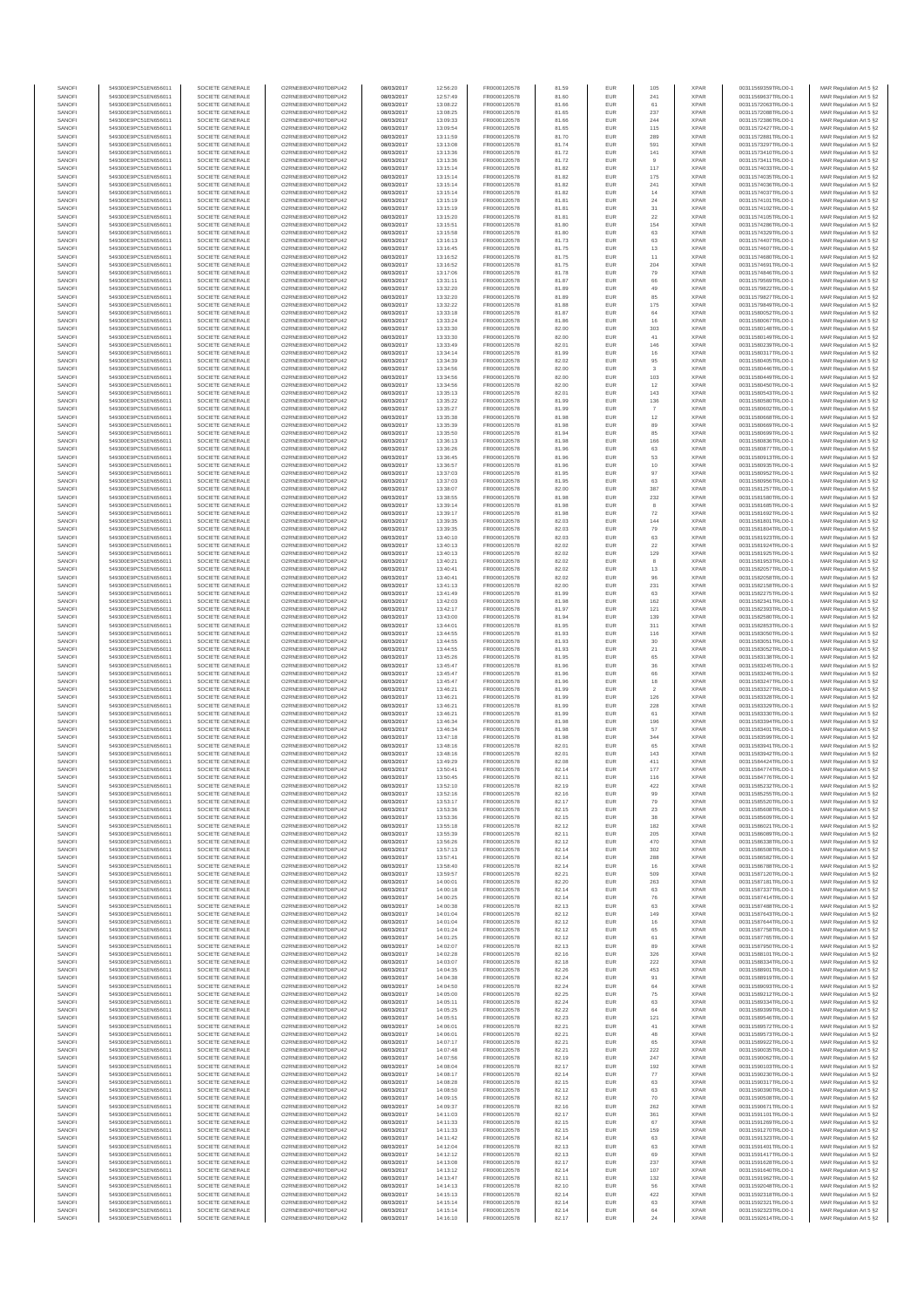| SANOFI           | 549300E9PC51EN656011                         | SOCIETE GENERALE                     | O2RNE8IBXP4R0TD8PU42                         | 08/03/2017               | 12:56:20             | FR0000120578                 | 81.59          | EUR               | 105             | <b>XPAR</b>                | 00311569359TRLO0-1                       | MAR Regulation Art 5 §2                             |
|------------------|----------------------------------------------|--------------------------------------|----------------------------------------------|--------------------------|----------------------|------------------------------|----------------|-------------------|-----------------|----------------------------|------------------------------------------|-----------------------------------------------------|
| SANOFI<br>SANOFI | 549300E9PC51EN656011<br>549300E9PC51EN656011 | SOCIETE GENERALE<br>SOCIETE GENERALE | O2RNE8IBXP4R0TD8PU42<br>O2RNE8IBXP4R0TD8PU42 | 08/03/2017<br>08/03/2017 | 12:57:49<br>13:08:22 | FR0000120578<br>FR0000120578 | 81.60<br>81.66 | EUR<br>EUR        | 241<br>61       | <b>XPAR</b><br><b>XPAR</b> | 00311569637TRLO0-1<br>00311572063TRLO0-1 | MAR Regulation Art 5 §2                             |
| SANOFI           | 549300E9PC51EN656011                         | SOCIETE GENERALE                     | O2RNE8IBXP4R0TD8PU42                         | 08/03/2017               | 13:08:25             | FR0000120578                 | 81.65          | EUR               | 237             | <b>XPAR</b>                | 00311572088TRLO0-1                       | MAR Regulation Art 5 §2<br>MAR Regulation Art 5 §2  |
| SANOFI           | 549300E9PC51EN656011                         | SOCIETE GENERALE                     | O2RNE8IBXP4R0TD8PU42                         | 08/03/2017               | 13:09:33             | FR0000120578                 | 81.66          | EUR               | 244             | <b>XPAR</b>                | 00311572386TRLO0-1                       | MAR Regulation Art 5 §2                             |
| SANOFI           | 549300E9PC51EN656011                         | SOCIETE GENERALE                     | O2RNE8IBXP4R0TD8PU42                         | 08/03/2017               | 13:09:54             | FR0000120578                 | 81.65          | EUR               | 115             | <b>XPAR</b>                | 00311572427TRLO0-1                       | MAR Regulation Art 5 §2                             |
| SANOFI<br>SANOFI | 549300E9PC51EN656011<br>549300E9PC51EN656011 | SOCIETE GENERALE<br>SOCIETE GENERALE | O2RNE8IBXP4R0TD8PU42<br>O2RNE8IBXP4R0TD8PU42 | 08/03/2017<br>08/03/2017 | 13:11:59<br>13:13:08 | FR0000120578<br>FR0000120578 | 81.70<br>81.74 | EUR<br>EUR        | 289<br>591      | <b>XPAR</b><br><b>XPAR</b> | 00311572881TRLO0-1<br>00311573297TRLO0-1 | MAR Regulation Art 5 \$2<br>MAR Regulation Art 5 §2 |
| SANOFI           | 549300E9PC51EN656011                         | SOCIETE GENERALE                     | O2RNE8IBXP4R0TD8PU42                         | 08/03/2017               | 13:13:36             | FR0000120578                 | 81.72          | EUR               | 141             | <b>XPAR</b>                | 00311573410TRLO0-1                       | MAR Regulation Art 5 \$2                            |
| SANOFI           | 549300E9PC51EN656011                         | SOCIETE GENERALE                     | O2RNE8IBXP4R0TD8PU42                         | 08/03/2017               | 13:13:36             | FR0000120578                 | 81.72          | EUR               | 9               | <b>XPAR</b>                | 00311573411TRLO0-1                       | MAR Regulation Art 5 §2                             |
| SANOFI<br>SANOFI | 549300E9PC51EN656011<br>549300E9PC51EN656011 | SOCIETE GENERALE<br>SOCIETE GENERALE | O2RNE8IBXP4R0TD8PU42<br>O2RNE8IBXP4R0TD8PU42 | 08/03/2017<br>08/03/2017 | 13:15:14<br>13:15:14 | FR0000120578<br>FR0000120578 | 81.82<br>81.82 | EUR<br>EUR        | 117<br>175      | <b>XPAR</b><br><b>XPAR</b> | 00311574033TRLO0-1<br>00311574035TRLO0-1 | MAR Regulation Art 5 §2<br>MAR Regulation Art 5 §2  |
| SANOFI           | 549300E9PC51EN656011                         | SOCIETE GENERALE                     | O2RNE8IBXP4R0TD8PU42                         | 08/03/2017               | 13:15:14             | FR0000120578                 | 81.82          | EUR               | 241             | <b>XPAR</b>                | 00311574036TRLO0-1                       | MAR Regulation Art 5 §2                             |
| SANOFI           | 549300E9PC51EN656011                         | SOCIETE GENERALE                     | O2RNE8IBXP4R0TD8PU42                         | 08/03/2017               | 13:15:14             | FR0000120578                 | 81.82          | EUR               | 14              | <b>XPAR</b>                | 00311574037TRLO0-1                       | MAR Regulation Art 5 §2                             |
| SANOFI           | 549300E9PC51EN656011                         | SOCIETE GENERALE                     | O2RNE8IBXP4R0TD8PU42                         | 08/03/2017               | 13:15:19             | FR0000120578                 | 81.81          | EUR               | $\sqrt{24}$     | <b>XPAR</b>                | 00311574101TRLO0-1                       | MAR Regulation Art 5 §2                             |
| SANOFI<br>SANOFI | 549300E9PC51EN656011<br>549300E9PC51EN656011 | SOCIETE GENERALE<br>SOCIETE GENERALE | O2RNE8IBXP4R0TD8PU42<br>O2RNE8IBXP4R0TD8PU42 | 08/03/2017<br>08/03/2017 | 13:15:19<br>13:15:20 | FR0000120578<br>FR0000120578 | 81.81<br>81.81 | EUR<br>EUR        | 31<br>22        | <b>XPAR</b><br><b>XPAR</b> | 00311574102TRLO0-1<br>00311574105TRLO0-1 | MAR Regulation Art 5 §2<br>MAR Regulation Art 5 §2  |
| SANOFI           | 549300E9PC51EN656011                         | SOCIETE GENERALE                     | O2RNE8IBXP4R0TD8PU42                         | 08/03/2017               | 13:15:51             | FR0000120578                 | 81.80          | EUR               | 154             | <b>XPAR</b>                | 00311574286TRLO0-1                       | MAR Regulation Art 5 §2                             |
| SANOFI           | 549300E9PC51EN656011                         | SOCIETE GENERALE                     | O2RNE8IBXP4R0TD8PU42                         | 08/03/2017               | 13:15:58             | FR0000120578                 | 81.80          | EUR               | 63              | <b>XPAR</b>                | 00311574329TRLO0-1                       | MAR Regulation Art 5 §2                             |
| SANOFI           | 549300E9PC51EN656011                         | SOCIETE GENERALE                     | O2RNE8IBXP4R0TD8PU42                         | 08/03/2017               | 13:16:13             | FR0000120578                 | 81.73          | EUR               | 63              | <b>XPAR</b>                | 00311574407TRLO0-1                       | MAR Regulation Art 5 §2                             |
| SANOFI<br>SANOFI | 549300E9PC51EN656011<br>549300E9PC51EN656011 | SOCIETE GENERALE<br>SOCIETE GENERALE | O2RNE8IBXP4R0TD8PU42<br>O2RNE8IBXP4R0TD8PU42 | 08/03/2017<br>08/03/2017 | 13:16:45<br>13:16:52 | FR0000120578<br>FR0000120578 | 81.75<br>81.75 | EUR<br>EUR        | 13<br>11        | <b>XPAR</b><br><b>XPAR</b> | 00311574607TRLO0-1<br>00311574680TRLO0-1 | MAR Regulation Art 5 §2<br>MAR Regulation Art 5 §2  |
| SANOFI           | 549300E9PC51EN656011                         | SOCIETE GENERALE                     | O2RNE8IBXP4R0TD8PU42                         | 08/03/2017               | 13:16:52             | FR0000120578                 | 81.75          | EUR               | 204             | <b>XPAR</b>                | 00311574691TRLO0-1                       | MAR Regulation Art 5 §2                             |
| SANOFI           | 549300E9PC51EN656011                         | SOCIETE GENERALE                     | O2RNE8IBXP4R0TD8PU42                         | 08/03/2017               | 13:17:06             | FR0000120578                 | 81.78          | EUR               | 79              | <b>XPAR</b>                | 00311574846TRLO0-1                       | MAR Regulation Art 5 §2                             |
| SANOFI<br>SANOFI | 549300E9PC51EN656011<br>549300E9PC51EN656011 | SOCIETE GENERALE<br>SOCIETE GENERALE | O2RNE8IBXP4R0TD8PU42<br>O2RNE8IBXP4R0TD8PU42 | 08/03/2017<br>08/03/2017 | 13:31:11<br>13:32:20 | FR0000120578<br>FR0000120578 | 81.87<br>81.89 | EUR<br>EUR        | 66<br>49        | <b>XPAR</b><br><b>XPAR</b> | 00311579569TRLO0-1<br>00311579822TRLO0-1 | MAR Regulation Art 5 §2<br>MAR Regulation Art 5 §2  |
| SANOFI           | 549300E9PC51EN656011                         | SOCIETE GENERALE                     | O2RNE8IBXP4R0TD8PU42                         | 08/03/2017               | 13:32:20             | FR0000120578                 | 81.89          | EUR               | 85              | <b>XPAR</b>                | 00311579827TRLO0-1                       | MAR Regulation Art 5 62                             |
| SANOFI           | 549300E9PC51EN656011                         | SOCIETE GENERALE                     | O2RNE8IBXP4R0TD8PU42                         | 08/03/2017               | 13:32:22             | FR0000120578                 | 81.88          | EUR               | 175             | <b>XPAR</b>                | 00311579849TRLO0-1                       | MAR Regulation Art 5 §2                             |
| SANOFI           | 549300E9PC51EN656011                         | SOCIETE GENERALE                     | O2RNE8IBXP4R0TD8PU42                         | 08/03/2017               | 13:33:18             | FR0000120578                 | 81.87          | EUR               | 64              | <b>XPAR</b>                | 00311580052TRLO0-1                       | MAR Regulation Art 5 §2                             |
| SANOFI<br>SANOFI | 549300E9PC51EN656011<br>549300E9PC51EN656011 | SOCIETE GENERALE<br>SOCIETE GENERALE | O2RNE8IBXP4R0TD8PU42<br>O2RNE8IBXP4R0TD8PU42 | 08/03/2017<br>08/03/2017 | 13:33:24<br>13:33:30 | FR0000120578<br>FR0000120578 | 81.86<br>82.00 | EUR<br>EUR        | 16<br>303       | <b>XPAR</b><br><b>XPAR</b> | 00311580067TRLO0-1<br>00311580148TRLO0-1 | MAR Regulation Art 5 §2<br>MAR Regulation Art 5 §2  |
| SANOFI           | 549300E9PC51EN656011                         | SOCIETE GENERALE                     | O2RNE8IBXP4R0TD8PU42                         | 08/03/2017               | 13:33:30             | FR0000120578                 | 82.00          | EUR               | 41              | <b>XPAR</b>                | 00311580149TRLO0-1                       | MAR Regulation Art 5 §2                             |
| SANOFI           | 549300E9PC51EN656011                         | SOCIETE GENERALE                     | O2RNE8IBXP4R0TD8PU42                         | 08/03/2017               | 13:33:49             | FR0000120578                 | 82.01          | EUR               | 146             | <b>XPAR</b>                | 00311580239TRLO0-1                       | MAR Regulation Art 5 §2                             |
| SANOFI<br>SANOFI | 549300E9PC51EN656011<br>549300E9PC51EN656011 | SOCIETE GENERALE<br>SOCIETE GENERALE | O2RNE8IBXP4R0TD8PU42<br>O2RNE8IBXP4R0TD8PU42 | 08/03/2017<br>08/03/2017 | 13:34:14<br>13:34:39 | FR0000120578<br>FR0000120578 | 81.99<br>82.02 | EUR<br>EUR        | 16<br>95        | <b>XPAR</b><br><b>XPAR</b> | 00311580317TRLO0-1<br>00311580405TRLO0-1 | MAR Regulation Art 5 \$2                            |
| SANOFI           | 549300E9PC51EN656011                         | SOCIETE GENERALE                     | O2RNE8IBXP4R0TD8PU42                         | 08/03/2017               | 13:34:56             | FR0000120578                 | 82.00          | EUR               | $^{\rm 3}$      | <b>XPAR</b>                | 00311580446TRLO0-1                       | MAR Regulation Art 5 §2<br>MAR Regulation Art 5 §2  |
| SANOFI           | 549300E9PC51EN656011                         | SOCIETE GENERALE                     | O2RNE8IBXP4R0TD8PU42                         | 08/03/2017               | 13:34:56             | FR0000120578                 | 82.00          | EUR               | 103             | <b>XPAR</b>                | 00311580449TRLO0-1                       | MAR Regulation Art 5 §2                             |
| SANOFI           | 549300E9PC51EN656011                         | SOCIETE GENERALE                     | O2RNE8IBXP4R0TD8PU42                         | 08/03/2017               | 13:34:56             | FR0000120578                 | 82.00          | EUR               | 12              | <b>XPAR</b>                | 00311580450TRLO0-1                       | MAR Regulation Art 5 §2                             |
| SANOFI<br>SANOFI | 549300E9PC51EN656011<br>549300E9PC51EN656011 | SOCIETE GENERALE<br>SOCIETE GENERALE | O2RNE8IBXP4R0TD8PU42<br>O2RNE8IBXP4R0TD8PU42 | 08/03/2017<br>08/03/2017 | 13:35:13<br>13:35:22 | FR0000120578<br>FR0000120578 | 82.01<br>81.99 | EUR<br>EUR        | 143<br>136      | <b>XPAR</b><br><b>XPAR</b> | 00311580543TRLO0-1<br>00311580580TRLO0-1 | MAR Regulation Art 5 §2<br>MAR Regulation Art 5 §2  |
| SANOFI           | 549300E9PC51EN656011                         | SOCIETE GENERALE                     | O2RNE8IBXP4R0TD8PU42                         | 08/03/2017               | 13:35:27             | FR0000120578                 | 81.99          | EUR               | $\overline{7}$  | <b>XPAR</b>                | 00311580602TRLO0-1                       | MAR Regulation Art 5 §2                             |
| SANOFI           | 549300E9PC51EN656011                         | SOCIETE GENERALE                     | O2RNE8IBXP4R0TD8PU42                         | 08/03/2017               | 13:35:38             | FR0000120578                 | 81.98          | EUR               | 12              | <b>XPAR</b>                | 00311580668TRLO0-1                       | MAR Regulation Art 5 §2                             |
| SANOFI           | 549300E9PC51EN656011                         | SOCIETE GENERALE                     | O2RNE8IBXP4R0TD8PU42                         | 08/03/2017               | 13:35:39             | FR0000120578<br>FR0000120578 | 81.98          | EUR               | 89              | <b>XPAR</b>                | 00311580669TRLO0-1                       | MAR Regulation Art 5 §2                             |
| SANOFI<br>SANOFI | 549300E9PC51EN656011<br>549300E9PC51EN656011 | SOCIETE GENERALE<br>SOCIETE GENERALE | O2RNE8IBXP4R0TD8PU42<br>O2RNE8IBXP4R0TD8PU42 | 08/03/2017<br>08/03/2017 | 13:35:50<br>13:36:13 | FR0000120578                 | 81.94<br>81.98 | EUR<br>EUR        | 85<br>166       | <b>XPAR</b><br><b>XPAR</b> | 00311580699TRLO0-1<br>00311580836TRLO0-1 | MAR Regulation Art 5 §2<br>MAR Regulation Art 5 §2  |
| SANOFI           | 549300E9PC51EN656011                         | SOCIETE GENERALE                     | O2RNE8IBXP4R0TD8PU42                         | 08/03/2017               | 13:36:26             | FR0000120578                 | 81.96          | EUR               | 63              | <b>XPAR</b>                | 00311580877TRLO0-1                       | MAR Regulation Art 5 §2                             |
| SANOFI           | 549300E9PC51EN656011                         | SOCIETE GENERALE                     | O2RNE8IBXP4R0TD8PU42                         | 08/03/2017               | 13:36:45             | FR0000120578                 | 81.96          | EUR               | 53              | <b>XPAR</b>                | 00311580913TRLO0-1                       | MAR Regulation Art 5 §2                             |
| SANOFI<br>SANOFI | 549300E9PC51EN656011<br>549300E9PC51EN656011 | SOCIETE GENERALE<br>SOCIETE GENERALE | O2RNE8IBXP4R0TD8PU42<br>O2RNE8IBXP4R0TD8PU42 | 08/03/2017<br>08/03/2017 | 13:36:57<br>13:37:03 | FR0000120578<br>FR0000120578 | 81.96<br>81.95 | EUR<br>EUR        | $10$<br>97      | <b>XPAR</b><br><b>XPAR</b> | 00311580935TRLO0-1<br>00311580952TRLO0-1 | MAR Regulation Art 5 §2                             |
| SANOFI           | 549300E9PC51EN656011                         | SOCIETE GENERALE                     | O2RNE8IBXP4R0TD8PU42                         | 08/03/2017               | 13:37:03             | FR0000120578                 | 81.95          | EUR               | 63              | <b>XPAR</b>                | 00311580956TRLO0-1                       | MAR Regulation Art 5 §2<br>MAR Regulation Art 5 §2  |
| SANOFI           | 549300E9PC51EN656011                         | SOCIETE GENERALE                     | O2RNE8IBXP4R0TD8PU42                         | 08/03/2017               | 13:38:07             | FR0000120578                 | 82.00          | EUR               | 387             | <b>XPAR</b>                | 00311581257TRLO0-1                       | MAR Regulation Art 5 §2                             |
| SANOFI           | 549300E9PC51EN656011                         | SOCIETE GENERALE                     | O2RNE8IBXP4R0TD8PU42                         | 08/03/2017               | 13:38:55             | FR0000120578                 | 81.98          | EUR               | 232             | <b>XPAR</b>                | 00311581580TRLO0-1                       | MAR Regulation Art 5 \$2                            |
| SANOFI<br>SANOFI | 549300E9PC51EN656011<br>549300E9PC51EN656011 | SOCIETE GENERALE<br>SOCIETE GENERALE | O2RNE8IBXP4R0TD8PU42<br>O2RNE8IBXP4R0TD8PU42 | 08/03/2017<br>08/03/2017 | 13:39:14             | FR0000120578<br>FR0000120578 | 81.98<br>81.98 | EUR<br>EUR        | 8<br>${\bf 72}$ | <b>XPAR</b><br><b>XPAR</b> | 00311581685TRLO0-1                       | MAR Regulation Art 5 §2<br>MAR Regulation Art 5 §2  |
| SANOFI           | 549300E9PC51EN656011                         | SOCIETE GENERALE                     | O2RNE8IBXP4R0TD8PU42                         | 08/03/2017               | 13:39:17<br>13:39:35 | FR0000120578                 | 82.03          | EUR               | 144             | <b>XPAR</b>                | 00311581692TRLO0-1<br>00311581801TRLO0-1 | MAR Regulation Art 5 §2                             |
| SANOFI           | 549300E9PC51EN656011                         | SOCIETE GENERALE                     | O2RNE8IBXP4R0TD8PU42                         | 08/03/2017               | 13:39:35             | FR0000120578                 | 82.03          | EUR               | 79              | <b>XPAR</b>                | 00311581804TRLO0-1                       | MAR Regulation Art 5 §2                             |
| SANOFI           | 549300E9PC51EN656011                         | SOCIETE GENERALE                     | O2RNE8IBXP4R0TD8PU42                         | 08/03/2017               | 13:40:10             | FR0000120578                 | 82.03          | EUR               | 63              | <b>XPAR</b>                | 00311581923TRLO0-1                       | MAR Regulation Art 5 §2                             |
| SANOFI<br>SANOFI | 549300E9PC51EN656011<br>549300E9PC51EN656011 | SOCIETE GENERALE<br>SOCIETE GENERALE | O2RNE8IBXP4R0TD8PU42<br>O2RNE8IBXP4R0TD8PU42 | 08/03/2017<br>08/03/2017 | 13:40:13<br>13:40:13 | FR0000120578<br>FR0000120578 | 82.02<br>82.02 | EUR<br>EUR        | 22<br>129       | <b>XPAR</b><br><b>XPAR</b> | 00311581924TRLO0-1<br>00311581925TRLO0-1 | MAR Regulation Art 5 §2<br>MAR Regulation Art 5 §2  |
| SANOFI           | 549300E9PC51EN656011                         | SOCIETE GENERALE                     | O2RNE8IBXP4R0TD8PU42                         | 08/03/2017               | 13:40:21             | FR0000120578                 | 82.02          | EUR               | 8               | <b>XPAR</b>                | 00311581953TRLO0-1                       | MAR Regulation Art 5 §2                             |
| SANOFI           | 549300E9PC51EN656011                         | SOCIETE GENERALE                     | O2RNE8IBXP4R0TD8PU42                         | 08/03/2017               | 13:40:41             | FR0000120578                 | 82.02          | EUR               | 13              | <b>XPAR</b>                | 00311582057TRLO0-1                       | MAR Regulation Art 5 §2                             |
| SANOFI           | 549300E9PC51EN656011                         | SOCIETE GENERALE                     | O2RNE8IBXP4R0TD8PU42                         | 08/03/2017               | 13:40:41             | FR0000120578                 | 82.02          | EUR               | 96              | <b>XPAR</b>                | 00311582058TRLO0-1                       | MAR Regulation Art 5 §2                             |
| SANOFI<br>SANOFI | 549300E9PC51EN656011<br>549300E9PC51EN656011 | SOCIETE GENERALE<br>SOCIETE GENERALE | O2RNE8IBXP4R0TD8PU42<br>O2RNE8IBXP4R0TD8PU42 | 08/03/2017<br>08/03/2017 | 13:41:13<br>13:41:49 | FR0000120578<br>FR0000120578 | 82.00<br>81.99 | EUR<br>EUR        | 231<br>63       | <b>XPAR</b><br><b>XPAR</b> | 00311582158TRLO0-1<br>00311582275TRLO0-1 | MAR Regulation Art 5 §2<br>MAR Regulation Art 5 §2  |
| SANOFI           | 549300E9PC51EN656011                         | SOCIETE GENERALE                     | O2RNE8IBXP4R0TD8PU42                         | 08/03/2017               | 13:42:03             | FR0000120578                 | 81.98          | EUR               | 162             | <b>XPAR</b>                | 00311582341TRLO0-1                       | MAR Regulation Art 5 §2                             |
| SANOFI           | 549300E9PC51EN656011                         | SOCIETE GENERALE                     | O2RNE8IBXP4R0TD8PU42                         | 08/03/2017               | 13:42:17             | FR0000120578                 | 81.97          | EUR               | 121             | <b>XPAR</b>                | 00311582393TRLO0-1                       | MAR Regulation Art 5 §2                             |
| SANOFI           | 549300E9PC51EN656011                         | SOCIETE GENERALE                     | O2RNE8IBXP4R0TD8PU42                         | 08/03/2017               | 13:43:00             | FR0000120578                 | 81.94          | EUR<br>EUR        | 139<br>311      | <b>XPAR</b>                | 00311582580TRLO0-1                       | MAR Regulation Art 5 §2                             |
| SANOFI<br>SANOFI | 549300E9PC51EN656011<br>549300E9PC51EN656011 | SOCIETE GENERALE<br>SOCIETE GENERALE | O2RNE8IBXP4R0TD8PU42<br>O2RNE8IBXP4R0TD8PU42 | 08/03/2017<br>08/03/2017 | 13:44:01<br>13:44:55 | FR0000120578<br>FR0000120578 | 81.95<br>81.93 | EUR               | 116             | <b>XPAR</b><br><b>XPAR</b> | 00311582853TRLO0-1<br>00311583050TRLO0-1 | MAR Regulation Art 5 §2<br>MAR Regulation Art 5 §2  |
| SANOFI           | 549300E9PC51EN656011                         | SOCIETE GENERALE                     | O2RNE8IBXP4R0TD8PU42                         | 08/03/2017               | 13:44:55             | FR0000120578                 | 81.93          | EUR               | 30              | <b>XPAR</b>                | 00311583051TRLO0-1                       | MAR Regulation Art 5 §2                             |
| SANOFI           | 549300E9PC51EN656011                         | SOCIETE GENERALE                     | O2RNE8IBXP4R0TD8PU42                         | 08/03/2017               | 13:44:55             | FR0000120578                 | 81.93          | EUR               | 21              | <b>XPAR</b>                | 00311583052TRLO0-1                       | MAR Regulation Art 5 §2                             |
| SANOFI<br>SANOFI | 549300E9PC51EN656011<br>549300E9PC51EN656011 | SOCIETE GENERALE<br>SOCIETE GENERALE | O2RNE8IBXP4R0TD8PU42<br>O2RNE8IBXP4R0TD8PU42 | 08/03/2017<br>08/03/2017 | 13:45:26<br>13:45:47 | FR0000120578<br>FR0000120578 | 81.95<br>81.96 | EUR<br>EUR        | 65              | <b>XPAR</b><br><b>XPAR</b> | 00311583138TRLO0-1<br>00311583245TRLO0-1 | MAR Regulation Art 5 §2<br>MAR Regulation Art 5 §2  |
| SANOFI           | 549300E9PC51EN656011                         | SOCIETE GENERALE                     | O2RNE8IBXP4R0TD8PU42                         | 08/03/2017               | 13:45:47             | FR0000120578                 | 81.96          | EUR               | $36\,$<br>66    | <b>XPAR</b>                | 00311583246TRLO0-1                       | MAR Regulation Art 5 §2                             |
| SANOFI           | 549300E9PC51EN656011                         | SOCIETE GENERALE                     | O2RNE8IBXP4R0TD8PU42                         | 08/03/2017               | 13:45:47             | FR0000120578                 | 81.96          | EUR               | 18              | <b>XPAR</b>                | 00311583247TRLO0-1                       | MAR Regulation Art 5 §2                             |
| SANOFI           | 549300E9PC51EN656011                         | SOCIETE GENERALE                     | O2RNE8IBXP4R0TD8PU42                         | 08/03/2017               | 13:46:21             | FR0000120578                 | 81.99          | EUR               | $\,$ 2 $\,$     | <b>XPAR</b>                | 00311583327TRLO0-1                       | MAR Regulation Art 5 §2                             |
| SANOFI<br>SANOFI | 549300E9PC51EN656011<br>549300E9PC51EN656011 | SOCIETE GENERALE<br>SOCIETE GENERALE | O2RNE8IBXP4R0TD8PU42<br>O2RNE8IBXP4R0TD8PU42 | 08/03/2017<br>08/03/2017 | 13:46:21<br>13:46:21 | FR0000120578<br>FR0000120578 | 81.99<br>81.99 | EUR<br>EUR        | 126<br>228      | <b>XPAR</b><br><b>XPAR</b> | 00311583328TRLO0-1<br>00311583329TRLO0-1 | MAR Regulation Art 5 \$2<br>MAR Regulation Art 5 §2 |
| SANOFI           | 549300E9PC51EN656011                         | SOCIETE GENERALE                     | O2RNE8IBXP4R0TD8PU42                         | 08/03/2017               | 13:46:21             | FR0000120578                 | 81.99          | EUR               | 61              | <b>XPAR</b>                | 00311583330TRLO0-1                       | MAR Regulation Art 5 §2                             |
| SANOFI           | 549300E9PC51EN656011                         | SOCIETE GENERALE                     | O2RNE8IBXP4R0TD8PU42                         | 08/03/2017               | 13:46:34             | FR0000120578                 | 81.98          | EUR               | 196             | <b>XPAR</b>                | 00311583394TRLO0-1                       | MAR Regulation Art 5 §2                             |
| SANOFI           | 549300E9PC51EN656011                         | SOCIETE GENERALE                     | O2RNE8IBXP4R0TD8PU42                         | 08/03/2017               | 13:46:34             | FR0000120578                 | 81.98          | EUR               | 57              | <b>XPAR</b>                | 00311583401TRLO0-1                       | MAR Regulation Art 5 §2                             |
| SANOFI<br>SANOFI | 549300E9PC51EN656011<br>549300E9PC51EN656011 | SOCIETE GENERALE<br>SOCIETE GENERALE | O2RNE8IBXP4R0TD8PU42<br>O2RNE8IBXP4R0TD8PU42 | 08/03/2017<br>08/03/2017 | 13:47:18<br>13:48:16 | FR0000120578<br>FR0000120578 | 81.98<br>82.01 | EUR<br>EUR        | 344<br>65       | <b>XPAR</b><br><b>XPAR</b> | 00311583599TRLO0-1<br>00311583941TRLO0-1 | MAR Regulation Art 5 §2<br>MAR Regulation Art 5 §2  |
| SANOFI           | 549300E9PC51EN656011                         | SOCIETE GENERALE                     | O2RNE8IBXP4R0TD8PU42                         | 08/03/2017               | 13:48:16             | FR0000120578                 | 82.01          | EUR               | 143             | <b>XPAR</b>                | 00311583942TRLO0-1                       | MAR Regulation Art 5 \$2                            |
| SANOFI           | 549300E9PC51EN656011                         | SOCIETE GENERALE                     | O2RNE8IBXP4R0TD8PU42                         | 08/03/2017               | 13:49:29             | FR0000120578                 | 82.08          | EUR               | 411             | <b>XPAR</b>                | 00311584424TRLO0-1                       | MAR Regulation Art 5 §2                             |
| SANOFI<br>SANOFI | 549300E9PC51EN656011<br>549300E9PC51EN656011 | SOCIETE GENERALE<br>SOCIETE GENERALE | O2RNE8IBXP4R0TD8PU42<br>O2RNE8IBXP4R0TD8PU42 | 08/03/2017<br>08/03/2017 | 13:50:41<br>13:50:45 | FR0000120578<br>FR0000120578 | 82.14<br>82.11 | <b>EUR</b><br>EUR | 177<br>116      | <b>XPAR</b><br><b>XPAR</b> | 00311584774TRLO0-1<br>00311584776TRLO0-1 | MAR Regulation Art 5 §2<br>MAR Regulation Art 5 §2  |
| SANOFI           | 549300E9PC51EN656011                         | SOCIETE GENERALE                     | O2RNE8IBXP4R0TD8PU42                         | 08/03/2017               | 13:52:10             | FR0000120578                 | 82.19          | EUR               | 422             | <b>XPAR</b>                | 00311585232TRLO0-1                       | MAR Regulation Art 5 §2                             |
| SANOFI           | 549300E9PC51EN656011                         | SOCIETE GENERALE                     | O2RNE8IBXP4R0TD8PU42                         | 08/03/2017               | 13:52:16             | FR0000120578                 | 82.16          | EUR               | 99              | <b>XPAR</b>                | 00311585255TRLO0-1                       | MAR Regulation Art 5 §2                             |
| SANOFI           | 549300E9PC51EN656011                         | SOCIETE GENERALE                     | O2RNE8IBXP4R0TD8PU42                         | 08/03/2017               | 13:53:17             | FR0000120578                 | 82.17          | EUR               | 79              | <b>XPAR</b>                | 00311585520TRLO0-1                       | MAR Regulation Art 5 §2                             |
| SANOFI<br>SANOFI | 549300E9PC51EN656011<br>549300E9PC51EN656011 | SOCIETE GENERALE<br>SOCIETE GENERALE | O2RNE8IBXP4R0TD8PU42<br>O2RNE8IBXP4R0TD8PU42 | 08/03/2017<br>08/03/2017 | 13:53:36<br>13:53:36 | FR0000120578<br>FR0000120578 | 82.15<br>82.15 | EUR<br>EUR        | 23<br>38        | <b>XPAR</b><br><b>XPAR</b> | 00311585608TRLO0-1<br>00311585609TRLO0-1 | MAR Regulation Art 5 §2<br>MAR Regulation Art 5 §2  |
| SANOFI           | 549300E9PC51EN656011                         | SOCIETE GENERALE                     | O2RNE8IBXP4R0TD8PU42                         | 08/03/2017               | 13:55:18             | FR0000120578                 | 82.12          | EUR               | 182             | <b>XPAR</b>                | 00311586021TRLO0-1                       | MAR Regulation Art 5 §2                             |
| SANOFI           | 549300E9PC51EN656011                         | SOCIETE GENERALE                     | O2RNE8IBXP4R0TD8PU42                         | 08/03/2017               | 13:55:39             | FR0000120578                 | 82.11          | EUR               | 205             | <b>XPAR</b>                | 00311586089TRLO0-1                       | MAR Regulation Art 5 §2                             |
| SANOFI<br>SANOFI | 549300E9PC51EN656011<br>549300E9PC51EN656011 | SOCIETE GENERALE<br>SOCIETE GENERALE | O2RNE8IBXP4R0TD8PU42<br>O2RNE8IBXP4R0TD8PU42 | 08/03/2017<br>08/03/2017 | 13:56:26<br>13:57:13 | FR0000120578                 | 82.12          | EUR<br>EUR        | 470<br>302      | <b>XPAR</b><br><b>XPAR</b> | 00311586338TRLO0-1                       | MAR Regulation Art 5 \$2<br>MAR Regulation Art 5 §2 |
| SANOFI           | 549300E9PC51EN656011                         | SOCIETE GENERALE                     | O2RNE8IBXP4R0TD8PU42                         | 08/03/2017               | 13:57:41             | FR0000120578<br>FR0000120578 | 82.14<br>82.14 | EUR               | 288             | <b>XPAR</b>                | 00311586508TRLO0-1<br>00311586582TRLO0-1 | MAR Regulation Art 5 §2                             |
| SANOFI           | 549300E9PC51EN656011                         | SOCIETE GENERALE                     | O2RNE8IBXP4R0TD8PU42                         | 08/03/2017               | 13:58:40             | FR0000120578                 | 82.14          | EUR               | 16              | <b>XPAR</b>                | 00311586788TRLO0-1                       | MAR Regulation Art 5 §2                             |
| SANOFI<br>SANOFI | 549300E9PC51EN656011<br>549300E9PC51EN656011 | SOCIETE GENERALE<br>SOCIETE GENERALE | O2RNE8IBXP4R0TD8PU42<br>O2RNE8IBXP4R0TD8PU42 | 08/03/2017<br>08/03/2017 | 13:59:57<br>14:00:01 | FR0000120578<br>FR0000120578 | 82.21<br>82.20 | EUR<br>EUR        | 509<br>263      | <b>XPAR</b><br><b>XPAR</b> | 00311587120TRLO0-1<br>00311587181TRLO0-1 | MAR Regulation Art 5 §2                             |
| SANOFI           | 549300E9PC51EN656011                         | SOCIETE GENERALE                     | O2RNE8IBXP4R0TD8PU42                         | 08/03/2017               | 14:00:18             | FR0000120578                 | 82.14          | EUR               | 63              | <b>XPAR</b>                | 00311587337TRLO0-1                       | MAR Regulation Art 5 §2<br>MAR Regulation Art 5 §2  |
| SANOFI           | 549300E9PC51EN656011                         | SOCIETE GENERALE                     | O2RNE8IBXP4R0TD8PU42                         | 08/03/2017               | 14:00:25             | FR0000120578                 | 82.14          | EUR               | 76              | <b>XPAR</b>                | 00311587414TRLO0-1                       | MAR Regulation Art 5 §2                             |
| SANOFI<br>SANOFI | 549300E9PC51EN656011<br>549300E9PC51EN656011 | SOCIETE GENERALE<br>SOCIETE GENERALE | O2RNE8IBXP4R0TD8PU42<br>O2RNE8IBXP4R0TD8PU42 | 08/03/2017               | 14:00:38             | FR0000120578<br>FR0000120578 | 82.13<br>82.12 | EUR<br>EUR        | 63<br>149       | <b>XPAR</b><br><b>XPAR</b> | 00311587488TRLO0-1                       | MAR Regulation Art 5 §2<br>MAR Regulation Art 5 §2  |
| SANOFI           | 549300E9PC51EN656011                         | SOCIETE GENERALE                     | O2RNE8IBXP4R0TD8PU42                         | 08/03/2017<br>08/03/2017 | 14:01:04<br>14:01:04 | FR0000120578                 | 82.12          | EUR               | 16              | <b>XPAR</b>                | 00311587643TRLO0-1<br>00311587644TRLO0-1 | MAR Regulation Art 5 §2                             |
| SANOFI           | 549300E9PC51EN656011                         | SOCIETE GENERALE                     | O2RNE8IBXP4R0TD8PU42                         | 08/03/2017               | 14:01:24             | FR0000120578                 | 82.12          | EUR               | 65              | <b>XPAR</b>                | 00311587758TRLO0-1                       | MAR Regulation Art 5 §2                             |
| SANOFI           | 549300E9PC51EN656011                         | SOCIETE GENERALE                     | O2RNESIBXP4R0TD8PLI42                        | 08/03/2017               | 14:01:25             | FR0000120578                 | 82.12          | EUR               | 61              | <b>XPAR</b>                | 00311587765TRLO0-1                       | MAR Regulation Art 5 §2                             |
| SANOFI<br>SANOFI | 549300E9PC51EN656011<br>549300E9PC51EN656011 | SOCIETE GENERALE<br>SOCIETE GENERALE | O2RNE8IBXP4R0TD8PU42<br>O2RNE8IBXP4R0TD8PU42 | 08/03/2017<br>08/03/2017 | 14:02:07<br>14:02:28 | FR0000120578<br>FR0000120578 | 82.13<br>82.16 | EUR<br>EUR        | 89<br>326       | <b>XPAR</b><br><b>XPAR</b> | 00311587950TRLO0-1<br>00311588101TRLO0-1 | MAR Regulation Art 5 §2<br>MAR Regulation Art 5 §2  |
| SANOFI           | 549300E9PC51EN656011                         | SOCIETE GENERALE                     | O2RNE8IBXP4R0TD8PU42                         | 08/03/2017               | 14:03:07             | FR0000120578                 | 82.18          | EUR               | 222             | <b>XPAR</b>                | 00311588334TRLO0-1                       | MAR Regulation Art 5 §2                             |
| SANOFI           | 549300E9PC51EN656011                         | SOCIETE GENERALE                     | O2RNE8IBXP4R0TD8PU42                         | 08/03/2017               | 14:04:35             | FR0000120578                 | 82.26          | EUR               | 453             | <b>XPAR</b>                | 00311588901TRLO0-1                       | MAR Regulation Art 5 §2                             |
| SANOFI<br>SANOFI | 549300E9PC51EN656011<br>549300E9PC51EN656011 | SOCIETE GENERALE<br>SOCIETE GENERALE | O2RNE8IBXP4R0TD8PU42<br>O2RNE8IBXP4R0TD8PU42 | 08/03/2017<br>08/03/2017 | 14:04:38<br>14:04:50 | FR0000120578<br>FR0000120578 | 82.24<br>82.24 | EUR<br>EUR        | 91<br>64        | <b>XPAR</b><br><b>XPAR</b> | 00311588919TRLO0-1<br>00311589093TRLO0-1 | MAR Regulation Art 5 §2<br>MAR Regulation Art 5 §2  |
| SANOFI           | 549300E9PC51EN656011                         | SOCIETE GENERALE                     | O2RNE8IBXP4R0TD8PU42                         | 08/03/2017               | 14:05:00             | FR0000120578                 | 82.25          | EUR               | 75              | <b>XPAR</b>                | 00311589212TRLO0-1                       | MAR Regulation Art 5 §2                             |
| SANOFI           | 549300E9PC51EN656011                         | SOCIETE GENERALE                     | O2RNE8IBXP4R0TD8PU42                         | 08/03/2017               | 14:05:11             | FR0000120578                 | 82.24          | EUR               | 63              | <b>XPAR</b>                | 00311589334TRLO0-1                       | MAR Regulation Art 5 §2                             |
| SANOFI           | 549300E9PC51EN656011                         | SOCIETE GENERALE                     | O2RNE8IBXP4R0TD8PU42                         | 08/03/2017               | 14:05:25             | FR0000120578                 | 82.22          | EUR               | 64              | <b>XPAR</b>                | 00311589399TRLO0-1                       | MAR Regulation Art 5 §2                             |
| SANOFI<br>SANOFI | 549300E9PC51EN656011<br>549300E9PC51EN656011 | SOCIETE GENERALE<br>SOCIETE GENERALE | O2RNE8IBXP4R0TD8PU42<br>O2RNE8IBXP4R0TD8PU42 | 08/03/2017<br>08/03/2017 | 14:05:51<br>14:06:01 | FR0000120578<br>FR0000120578 | 82.23<br>82.21 | EUR<br>EUR        | 121<br>41       | <b>XPAR</b><br><b>XPAR</b> | 00311589546TRLO0-1<br>00311589572TRLO0-1 | MAR Regulation Art 5 §2<br>MAR Regulation Art 5 §2  |
| SANOFI           | 549300E9PC51EN656011                         | SOCIETE GENERALE                     | O2RNE8IBXP4R0TD8PU42                         | 08/03/2017               | 14:06:01             | FR0000120578                 | 82.21          | EUR               | 48              | <b>XPAR</b>                | 00311589573TRLO0-1                       | MAR Regulation Art 5 §2                             |
| SANOFI           | 549300E9PC51EN656011                         | SOCIETE GENERALE                     | O2RNE8IBXP4R0TD8PU42                         | 08/03/2017               | 14:07:17             | FR0000120578                 | 82.21          | EUR               | 65              | <b>XPAR</b>                | 00311589922TRLO0-1                       | MAR Regulation Art 5 §2                             |
| SANOFI           | 549300E9PC51EN656011                         | SOCIETE GENERALE                     | O2RNE8IBXP4R0TD8PU42                         | 08/03/2017               | 14:07:48             | FR0000120578                 | 82.21          | EUR               | 222             | <b>XPAR</b>                | 00311590035TRLO0-1                       | MAR Regulation Art 5 §2                             |
| SANOFI<br>SANOFI | 549300E9PC51EN656011<br>549300E9PC51EN656011 | SOCIETE GENERALE<br>SOCIETE GENERALE | O2RNE8IBXP4R0TD8PU42<br>O2RNE8IBXP4R0TD8PU42 | 08/03/2017<br>08/03/2017 | 14:07:56<br>14:08:04 | FR0000120578<br>FR0000120578 | 82.19<br>82.17 | EUR<br>EUR        | 247<br>192      | <b>XPAR</b><br><b>XPAR</b> | 00311590062TRLO0-1<br>00311590103TRLO0-1 | MAR Regulation Art 5 §2<br>MAR Regulation Art 5 §2  |
| SANOFI           | 549300E9PC51EN656011                         | SOCIETE GENERALE                     | O2RNE8IBXP4R0TD8PU42                         | 08/03/2017               | 14:08:17             | FR0000120578                 | 82.14          | EUR               | 77              | <b>XPAR</b>                | 00311590230TRLO0-1                       | MAR Regulation Art 5 §2                             |
| SANOFI           | 549300E9PC51EN656011                         | SOCIETE GENERALE                     | O2RNE8IBXP4R0TD8PU42                         | 08/03/2017               | 14:08:28             | FR0000120578                 | 82.15          | EUR               | 63              | <b>XPAR</b>                | 00311590317TRLO0-1                       | MAR Regulation Art 5 §2                             |
| SANOFI           | 549300E9PC51EN656011                         | SOCIETE GENERALE                     | O2RNE8IBXP4R0TD8PU42                         | 08/03/2017               | 14:08:50             | FR0000120578                 | 82.12          | EUR               | 63              | <b>XPAR</b>                | 00311590390TRLO0-1                       | MAR Regulation Art 5 §2                             |
| SANOFI<br>SANOFI | 549300E9PC51EN656011<br>549300E9PC51EN656011 | SOCIETE GENERALE<br>SOCIETE GENERALE | O2RNE8IBXP4R0TD8PU42<br>O2RNE8IBXP4R0TD8PU42 | 08/03/2017<br>08/03/2017 | 14:09:15<br>14:09:37 | FR0000120578<br>FR0000120578 | 82.12<br>82.16 | EUR<br>EUR        | 70<br>262       | <b>XPAR</b><br><b>XPAR</b> | 00311590508TRLO0-1<br>00311590671TRLO0-1 | MAR Regulation Art 5 §2<br>MAR Regulation Art 5 §2  |
| SANOFI           | 549300E9PC51EN656011                         | SOCIETE GENERALE                     | O2RNE8IBXP4R0TD8PU42                         | 08/03/2017               | 14:11:03             | FR0000120578                 | 82.17          | EUR               | 361             | <b>XPAR</b>                | 00311591101TRLO0-1                       | MAR Regulation Art 5 §2                             |
| SANOFI           | 549300E9PC51EN656011                         | SOCIETE GENERALE                     | O2RNE8IBXP4R0TD8PU42                         | 08/03/2017               | 14:11:33             | FR0000120578                 | 82.15          | EUR               | 67              | <b>XPAR</b>                | 00311591269TRLO0-1                       | MAR Regulation Art 5 §2                             |
| SANOFI<br>SANOFI | 549300E9PC51EN656011<br>549300E9PC51EN656011 | SOCIETE GENERALE<br>SOCIETE GENERALE | O2RNE8IBXP4R0TD8PU42<br>O2RNE8IBXP4R0TD8PU42 | 08/03/2017<br>08/03/2017 | 14:11:33<br>14:11:42 | FR0000120578<br>FR0000120578 | 82.15<br>82.14 | EUR<br>EUR        | 159<br>63       | <b>XPAR</b><br><b>XPAR</b> | 00311591270TRLO0-1<br>00311591323TRLO0-1 | MAR Regulation Art 5 §2                             |
| SANOFI           | 549300E9PC51EN656011                         | SOCIETE GENERALE                     | O2RNE8IBXP4R0TD8PU42                         | 08/03/2017               | 14:12:04             | FR0000120578                 | 82.13          | EUR               | 63              | <b>XPAR</b>                | 00311591401TRLO0-1                       | MAR Regulation Art 5 §2<br>MAR Regulation Art 5 §2  |
| SANOFI           | 549300E9PC51EN656011                         | SOCIETE GENERALE                     | O2RNE8IBXP4R0TD8PU42                         | 08/03/2017               | 14:12:12             | FR0000120578                 | 82.13          | EUR               | 69              | <b>XPAR</b>                | 00311591417TRLO0-1                       | MAR Regulation Art 5 §2                             |
| SANOFI           | 549300E9PC51EN656011                         | SOCIETE GENERALE                     | O2RNE8IBXP4R0TD8PU42                         | 08/03/2017               | 14:13:08             | FR0000120578                 | 82.17          | EUR               | 237             | <b>XPAR</b>                | 00311591628TRLO0-1                       | MAR Regulation Art 5 §2                             |
| SANOFI<br>SANOFI | 549300E9PC51EN656011<br>549300E9PC51EN656011 | SOCIETE GENERALE<br>SOCIETE GENERALE | O2RNE8IBXP4R0TD8PU42<br>O2RNE8IBXP4R0TD8PU42 | 08/03/2017<br>08/03/2017 | 14:13:12<br>14:13:47 | FR0000120578<br>FR0000120578 | 82.14<br>82.11 | EUR<br>EUR        | 107<br>132      | <b>XPAR</b><br><b>XPAR</b> | 00311591640TRLO0-1<br>00311591962TRLO0-1 | MAR Regulation Art 5 §2<br>MAR Regulation Art 5 §2  |
| SANOFI           | 549300E9PC51EN656011                         | SOCIETE GENERALE                     | O2RNE8IBXP4R0TD8PU42                         | 08/03/2017               | 14:14:13             | FR0000120578                 | 82.10          | EUR               | 56              | <b>XPAR</b>                | 00311592048TRLO0-1                       | MAR Regulation Art 5 §2                             |
| SANOFI           | 549300E9PC51EN656011                         | SOCIETE GENERALE                     | O2RNE8IBXP4R0TD8PU42                         | 08/03/2017               | 14:15:13             | FR0000120578                 | 82.14          | EUR               | 422             | <b>XPAR</b>                | 00311592318TRLO0-1                       | MAR Regulation Art 5 §2                             |
| SANOFI           | 549300E9PC51EN656011                         | SOCIETE GENERALE                     | O2RNE8IBXP4R0TD8PU42                         | 08/03/2017               | 14:15:14             | FR0000120578                 | 82.14          | EUR               | 63              | <b>XPAR</b>                | 00311592321TRLO0-1                       | MAR Regulation Art 5 §2                             |
| SANOFI<br>SANOFI | 549300E9PC51EN656011<br>549300E9PC51EN656011 | SOCIETE GENERALE<br>SOCIETE GENERALE | O2RNE8IBXP4R0TD8PU42<br>O2RNE8IBXP4R0TD8PU42 | 08/03/2017<br>08/03/2017 | 14:15:14<br>14:16:10 | FR0000120578<br>FR0000120578 | 82.14<br>82.17 | EUR<br>EUR        | 64<br>24        | <b>XPAR</b><br><b>XPAR</b> | 00311592323TRLO0-1<br>00311592614TRLO0-1 | MAR Regulation Art 5 §2<br>MAR Regulation Art 5 §2  |
|                  |                                              |                                      |                                              |                          |                      |                              |                |                   |                 |                            |                                          |                                                     |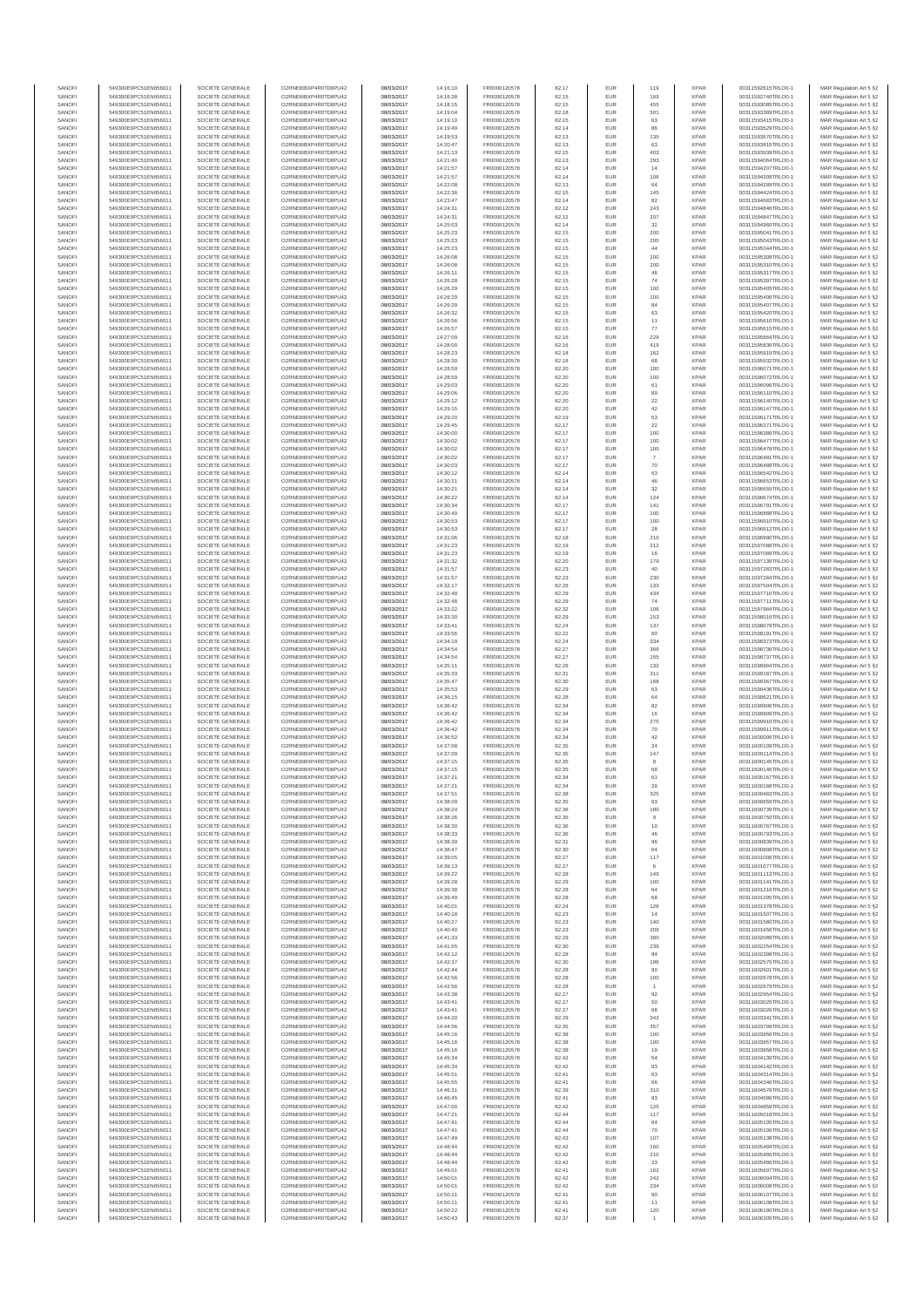| SANOFI           | 549300E9PC51EN656011                         | SOCIETE GENERALE                     | O2RNE8IBXP4R0TD8PU42                          | 08/03/2017               | 14:16:10             | FR0000120578                 | 82.17          | EUR               | 119                           | <b>XPAR</b>                | 00311592615TRLO0-1                       | MAR Regulation Art 5 §2                                                       |
|------------------|----------------------------------------------|--------------------------------------|-----------------------------------------------|--------------------------|----------------------|------------------------------|----------------|-------------------|-------------------------------|----------------------------|------------------------------------------|-------------------------------------------------------------------------------|
| SANOFI<br>SANOFI | 549300E9PC51EN656011<br>549300E9PC51EN656011 | SOCIETE GENERALE<br>SOCIETE GENERALE | O2RNE8IBXP4R0TD8PU42                          | 08/03/2017<br>08/03/2017 | 14:16:38<br>14:18:15 | FR0000120578<br>FR0000120578 | 82.15          | EUR<br>EUR        | 169<br>455                    | <b>XPAR</b><br><b>XPAR</b> | 00311592740TRLO0-1                       | MAR Regulation Art 5 §2                                                       |
| SANOFI           | 549300E9PC51EN656011                         | SOCIETE GENERALE                     | O2RNE8IBXP4R0TD8PU42<br>O2RNE8IBXP4R0TD8PU42  | 08/03/2017               | 14:19:04             | FR0000120578                 | 82.15<br>82.18 | EUR               | 501                           | <b>XPAR</b>                | 00311593085TRLO0-1<br>00311593389TRLO0-1 | MAR Regulation Art 5 §2<br>MAR Regulation Art 5 §2                            |
| SANOFI           | 549300E9PC51EN656011                         | SOCIETE GENERALE                     | O2RNE8IBXP4R0TD8PU42                          | 08/03/2017               | 14:19:10             | FR0000120578                 | 82.15          | EUR               | 63                            | <b>XPAR</b>                | 00311593415TRLO0-1                       | MAR Regulation Art 5 §2                                                       |
| SANOFI           | 549300E9PC51EN656011                         | SOCIETE GENERALE                     | O2RNE8IBXP4R0TD8PU42                          | 08/03/2017               | 14:19:49             | FR0000120578                 | 82.14          | EUR               | 86                            | <b>XPAR</b>                | 00311593529TRLO0-1                       | MAR Regulation Art 5 §2                                                       |
| SANOFI<br>SANOFI | 549300E9PC51EN656011<br>549300E9PC51EN656011 | SOCIETE GENERALE<br>SOCIETE GENERALE | O2RNE8IBXP4R0TD8PLI42<br>O2RNE8IBXP4R0TD8PU42 | 08/03/2017<br>08/03/2017 | 14:19:53<br>14:20:47 | FR0000120578<br>FR0000120578 | 82.13<br>82.13 | EUR<br>EUR        | 135<br>63                     | <b>XPAR</b><br><b>XPAR</b> | 00311593570TRLO0-1<br>00311593815TRLO0-1 | MAR Regulation Art 5 §2<br>MAR Regulation Art 5 §2                            |
| SANOFI           | 549300E9PC51EN656011                         | SOCIETE GENERALE                     | O2RNE8IBXP4R0TD8PU42                          | 08/03/2017               | 14:21:13             | FR0000120578                 | 82.15          | EUR               | 403                           | <b>XPAR</b>                | 00311593939TRLO0-1                       | MAR Regulation Art 5 §2                                                       |
| SANOFI           | 549300E9PC51EN656011                         | SOCIETE GENERALE                     | O2RNE8IBXP4R0TD8PU42                          | 08/03/2017               | 14:21:40             | FR0000120578                 | 82.13          | EUR               | 293                           | <b>XPAR</b>                | 00311594064TRLO0-1                       | MAR Regulation Art 5 §2                                                       |
| SANOFI<br>SANOFI | 549300E9PC51EN656011<br>549300E9PC51EN656011 | SOCIETE GENERALE<br>SOCIETE GENERALE | O2RNE8IBXP4R0TD8PU42<br>O2RNE8IBXP4R0TD8PU42  | 08/03/2017<br>08/03/2017 | 14:21:57<br>14:21:57 | FR0000120578<br>FR0000120578 | 82.14<br>82.14 | EUR<br>EUR        | 14<br>106                     | <b>XPAR</b><br><b>XPAR</b> | 00311594207TRLO0-1<br>00311594208TRLO0-1 | MAR Regulation Art 5 §2<br>MAR Regulation Art 5 §2                            |
| SANOFI           | 549300E9PC51EN656011                         | SOCIETE GENERALE                     | O2RNE8IBXP4R0TD8PU42                          | 08/03/2017               | 14:22:08             | FR0000120578                 | 82.13          | EUR               | 64                            | <b>XPAR</b>                | 00311594289TRLO0-1                       | MAR Regulation Art 5 §2                                                       |
| SANOFI           | 549300E9PC51EN656011                         | SOCIETE GENERALE                     | O2RNE8IBXP4R0TD8PU42                          | 08/03/2017               | 14:22:36             | FR0000120578                 | 82.15          | EUR               | 145                           | <b>XPAR</b>                | 00311594424TRLO0-1                       | MAR Regulation Art 5 §2                                                       |
| SANOFI           | 549300E9PC51EN656011                         | SOCIETE GENERALE                     | O2RNE8IBXP4R0TD8PU42                          | 08/03/2017               | 14:23:47             | FR0000120578                 | 82.14          | EUR               | 82                            | <b>XPAR</b>                | 00311594683TRLO0-1                       | MAR Regulation Art 5 §2                                                       |
| SANOFI<br>SANOFI | 549300E9PC51EN656011<br>549300E9PC51EN656011 | SOCIETE GENERALE<br>SOCIETE GENERALE | O2RNE8IBXP4R0TD8PU42<br>O2RNE8IBXP4R0TD8PU42  | 08/03/2017<br>08/03/2017 | 14:24:31<br>14:24:31 | FR0000120578<br>FR0000120578 | 82.12<br>82.12 | EUR<br>EUR        | 243<br>207                    | <b>XPAR</b><br><b>XPAR</b> | 00311594846TRLO0-1<br>00311594847TRLO0-1 | MAR Regulation Art 5 §2<br>MAR Regulation Art 5 §2                            |
| SANOFI           | 549300E9PC51EN656011                         | SOCIETE GENERALE                     | O2RNE8IBXP4R0TD8PU42                          | 08/03/2017               | 14:25:03             | FR0000120578                 | 82.14          | EUR               | 32                            | <b>XPAR</b>                | 00311594960TRLO0-1                       | MAR Regulation Art 5 §2                                                       |
| SANOFI           | 549300E9PC51EN656011                         | SOCIETE GENERALE                     | O2RNE8IBXP4R0TD8PU42                          | 08/03/2017               | 14:25:23             | FR0000120578                 | 82.15          | EUR               | 200                           | <b>XPAR</b>                | 00311595041TRLO0-1                       | MAR Regulation Art 5 §2                                                       |
| SANOFI           | 549300E9PC51EN656011                         | SOCIETE GENERALE                     | O2RNE8IBXP4R0TD8PU42                          | 08/03/2017               | 14:25:23             | FR0000120578                 | 82.15          | EUR               | 200                           | <b>XPAR</b>                | 00311595043TRLO0-1                       | MAR Regulation Art 5 §2                                                       |
| SANOFI<br>SANOFI | 549300E9PC51EN656011<br>549300E9PC51EN656011 | SOCIETE GENERALE<br>SOCIETE GENERALE | O2RNE8IBXP4R0TD8PU42<br>O2RNE8IBXP4R0TD8PU42  | 08/03/2017<br>08/03/2017 | 14:25:23<br>14:26:08 | FR0000120578<br>FR0000120578 | 82.15<br>82.15 | EUR<br>EUR        | 44<br>200                     | <b>XPAR</b><br><b>XPAR</b> | 00311595044TRLO0-1<br>00311595308TRLO0-1 | MAR Regulation Art 5 §2<br>MAR Regulation Art 5 §2                            |
| SANOFI           | 549300E9PC51EN656011                         | SOCIETE GENERALE                     | O2RNE8IBXP4R0TD8PU42                          | 08/03/2017               | 14:26:08             | FR0000120578                 | 82.15          | EUR               | 200                           | <b>XPAR</b>                | 00311595310TRLO0-1                       | MAR Regulation Art 5 §2                                                       |
| SANOFI           | 549300E9PC51EN656011                         | SOCIETE GENERALE                     | O2RNE8IBXP4R0TD8PU42                          | 08/03/2017               | 14:26:11             | FR0000120578                 | 82.15          | EUR               | 46                            | <b>XPAR</b>                | 00311595317TRLO0-1                       | MAR Regulation Art 5 §2                                                       |
| SANOFI<br>SANOFI | 549300E9PC51EN656011<br>549300E9PC51EN656011 | SOCIETE GENERALE<br>SOCIETE GENERALE | O2RNE8IBXP4R0TD8PU42<br>O2RNE8IBXP4R0TD8PU42  | 08/03/2017<br>08/03/2017 | 14:26:28<br>14:26:29 | FR0000120578<br>FR0000120578 | 82.15<br>82.15 | EUR<br>EUR        | 74<br>100                     | <b>XPAR</b><br><b>XPAR</b> | 00311595397TRLO0-1<br>00311595405TRLO0-1 | MAR Regulation Art 5 §2<br>MAR Regulation Art 5 §2                            |
| SANOFI           | 549300E9PC51EN656011                         | SOCIETE GENERALE                     | O2RNE8IBXP4R0TD8PU42                          | 08/03/2017               | 14:26:29             | FR0000120578                 | 82.15          | EUR               | 100                           | <b>XPAR</b>                | 00311595406TRLO0-1                       | MAR Regulation Art 5 §2                                                       |
| SANOFI           | 549300E9PC51EN656011                         | SOCIETE GENERALE                     | O2RNE8IBXP4R0TD8PU42                          | 08/03/2017               | 14:26:29             | FR0000120578                 | 82.15          | EUR               | 84                            | <b>XPAR</b>                | 00311595407TRLO0-1                       | MAR Regulation Art 5 §2                                                       |
| SANOFI           | 549300E9PC51EN656011                         | SOCIETE GENERALE                     | O2RNE8IBXP4R0TD8PU42                          | 08/03/2017               | 14:26:32             | FR0000120578                 | 82.15          | EUR               | 63                            | <b>XPAR</b>                | 00311595420TRLO0-1                       | MAR Regulation Art 5 §2                                                       |
| SANOFI<br>SANOFI | 549300E9PC51EN656011<br>549300E9PC51EN656011 | SOCIETE GENERALE<br>SOCIETE GENERALE | O2RNE8IBXP4R0TD8PU42<br>O2RNE8IBXP4R0TD8PU42  | 08/03/2017<br>08/03/2017 | 14:26:56<br>14:26:57 | FR0000120578<br>FR0000120578 | 82.15<br>82.15 | EUR<br>EUR        | 11<br>77                      | <b>XPAR</b><br><b>XPAR</b> | 00311595610TRLO0-1<br>00311595615TRLO0-1 | MAR Regulation Art 5 §2<br>MAR Regulation Art 5 §2                            |
| SANOFI           | 549300E9PC51EN656011                         | SOCIETE GENERALE                     | O2RNE8IBXP4R0TD8PU42                          | 08/03/2017               | 14:27:09             | FR0000120578                 | 82.16          | <b>EUR</b>        | 229                           | <b>XPAR</b>                | 00311595664TRLO0-1                       | MAR Regulation Art 5 §2                                                       |
| SANOFI           | 549300E9PC51EN656011                         | SOCIETE GENERALE                     | O2RNE8IBXP4R0TD8PU42                          | 08/03/2017               | 14:28:00             | FR0000120578                 | 82.16          | EUR               | 419                           | <b>XPAR</b>                | 00311595836TRLO0-1                       | MAR Regulation Art 5 §2                                                       |
| SANOFI<br>SANOFI | 549300E9PC51EN656011<br>549300E9PC51EN656011 | SOCIETE GENERALE<br>SOCIETE GENERALE | O2RNE8IBXP4R0TD8PU42<br>O2RNE8IBXP4R0TD8PU42  | 08/03/2017<br>08/03/2017 | 14:28:23<br>14:28:30 | FR0000120578<br>FR0000120578 | 82.18<br>82.18 | EUR<br>EUR        | 162<br>68                     | <b>XPAR</b><br><b>XPAR</b> | 00311595919TRLO0-1<br>00311595932TRLO0-1 | MAR Regulation Art 5 §2<br>MAR Regulation Art 5 §2                            |
| SANOFI           | 549300E9PC51EN656011                         | SOCIETE GENERALE                     | O2RNE8IBXP4R0TD8PU42                          | 08/03/2017               | 14:28:59             | FR0000120578                 | 82.20          | EUR               | 100                           | <b>XPAR</b>                | 00311596071TRLO0-1                       | MAR Regulation Art 5 §2                                                       |
| SANOFI           | 549300E9PC51EN656011                         | SOCIETE GENERALE                     | O2RNE8IBXP4R0TD8PU42                          | 08/03/2017               | 14:28:59             | FR0000120578                 | 82.20          | EUR               | 100                           | <b>XPAR</b>                | 00311596072TRLO0-1                       | MAR Regulation Art 5 §2                                                       |
| SANOFI           | 549300E9PC51EN656011                         | SOCIETE GENERALE                     | O2RNE8IBXP4R0TD8PU42                          | 08/03/2017               | 14:29:03             | FR0000120578                 | 82.20          | EUR               | 61                            | <b>XPAR</b>                | 00311596096TRLO0-1<br>00311596110TRLO0-1 | MAR Regulation Art 5 §2                                                       |
| SANOFI<br>SANOFI | 549300E9PC51EN656011<br>549300E9PC51EN656011 | SOCIETE GENERALE<br>SOCIETE GENERALE | O2RNE8IBXP4R0TD8PU42<br>O2RNE8IBXP4R0TD8PU42  | 08/03/2017<br>08/03/2017 | 14:29:06<br>14:29:12 | FR0000120578<br>FR0000120578 | 82.20<br>82.20 | EUR<br>EUR        | 89<br>22                      | <b>XPAR</b><br><b>XPAR</b> | 00311596140TRLO0-1                       | MAR Regulation Art 5 §2<br>MAR Regulation Art 5 §2                            |
| SANOFI           | 549300E9PC51EN656011                         | SOCIETE GENERALE                     | O2RNE8IBXP4R0TD8PU42                          | 08/03/2017               | 14:29:15             | FR0000120578                 | 82.20          | EUR               | 42                            | <b>XPAR</b>                | 00311596147TRLO0-1                       | MAR Regulation Art 5 §2                                                       |
| SANOFI           | 549300E9PC51EN656011                         | SOCIETE GENERALE                     | O2RNE8IBXP4R0TD8PU42                          | 08/03/2017               | 14:29:20             | FR0000120578                 | 82.19          | EUR               | 63                            | <b>XPAR</b>                | 00311596171TRLO0-1                       | MAR Regulation Art 5 §2                                                       |
| SANOFI<br>SANOFI | 549300E9PC51EN656011<br>549300E9PC51EN656011 | SOCIETE GENERALE<br>SOCIETE GENERALE | O2RNE8IBXP4R0TD8PU42<br>O2RNE8IBXP4R0TD8PU42  | 08/03/2017<br>08/03/2017 | 14:29:45<br>14:30:00 | FR0000120578<br>FR0000120578 | 82.17<br>82.17 | EUR<br>EUR        | 22<br>100                     | <b>XPAR</b><br><b>XPAR</b> | 00311596271TRLO0-1<br>00311596386TRLO0-1 | MAR Regulation Art 5 §2<br>MAR Regulation Art 5 §2                            |
| SANOFI           | 549300E9PC51EN656011                         | SOCIETE GENERALE                     | O2RNE8IBXP4R0TD8PU42                          | 08/03/2017               | 14:30:02             | FR0000120578                 | 82.17          | EUR               | 100                           | <b>XPAR</b>                | 00311596477TRLO0-1                       | MAR Regulation Art 5 §2                                                       |
| SANOFI           | 549300E9PC51EN656011                         | SOCIETE GENERALE                     | O2RNE8IBXP4R0TD8PU42                          | 08/03/2017               | 14:30:02             | FR0000120578                 | 82.17          | EUR               | 100                           | <b>XPAR</b>                | 00311596478TRLO0-1                       | MAR Regulation Art 5 §2                                                       |
| SANOFI           | 549300E9PC51EN656011                         | SOCIETE GENERALE                     | O2RNE8IBXP4R0TD8PU42                          | 08/03/2017               | 14:30:02             | FR0000120578                 | 82.17          | EUR               | $\overline{7}$                | <b>XPAR</b>                | 00311596481TRLO0-1                       | MAR Regulation Art 5 §2                                                       |
| SANOFI<br>SANOFI | 549300E9PC51EN656011<br>549300E9PC51EN656011 | SOCIETE GENERALE<br>SOCIETE GENERALE | O2RNE8IBXP4R0TD8PU42<br>O2RNE8IBXP4R0TD8PU42  | 08/03/2017<br>08/03/2017 | 14:30:03<br>14:30:12 | FR0000120578<br>FR0000120578 | 82.17<br>82.14 | EUR<br>EUR        | $70\,$<br>63                  | <b>XPAR</b><br><b>XPAR</b> | 00311596488TRLO0-1<br>00311596542TRLO0-1 | MAR Regulation Art 5 §2<br>MAR Regulation Art 5 §2                            |
| SANOFI           | 549300E9PC51EN656011                         | SOCIETE GENERALE                     | O2RNE8IBXP4R0TD8PU42                          | 08/03/2017               | 14:30:21             | FR0000120578                 | 82.14          | EUR               | 46                            | <b>XPAR</b>                | 00311596653TRLO0-1                       | MAR Regulation Art 5 §2                                                       |
| SANOFI           | 549300E9PC51EN656011                         | SOCIETE GENERALE                     | O2RNE8IBXP4R0TD8PU42                          | 08/03/2017               | 14:30:21             | FR0000120578                 | 82.14          | EUR               | 32                            | <b>XPAR</b>                | 00311596655TRLO0-1                       | MAR Regulation Art 5 §2                                                       |
| SANOFI           | 549300E9PC51EN656011                         | SOCIETE GENERALE                     | O2RNE8IBXP4R0TD8PU42                          | 08/03/2017               | 14:30:22             | FR0000120578                 | 82.14          | EUR               | 124                           | <b>XPAR</b>                | 00311596674TRLO0-1                       | MAR Regulation Art 5 §2                                                       |
| SANOFI<br>SANOFI | 549300E9PC51EN656011<br>549300E9PC51EN656011 | SOCIETE GENERALE<br>SOCIETE GENERALE | O2RNE8IBXP4R0TD8PU42<br>O2RNE8IBXP4R0TD8PU42  | 08/03/2017<br>08/03/2017 | 14:30:34<br>14:30:49 | FR0000120578<br>FR0000120578 | 82.17<br>82.17 | EUR<br>EUR        | 141<br>100                    | <b>XPAR</b><br><b>XPAR</b> | 00311596791TRLO0-1<br>00311596888TRLO0-1 | MAR Regulation Art 5 §2<br>MAR Regulation Art 5 §2                            |
| SANOFI           | 549300E9PC51EN656011                         | SOCIETE GENERALE                     | O2RNE8IBXP4R0TD8PU42                          | 08/03/2017               | 14:30:53             | FR0000120578                 | 82.17          | EUR               | 100                           | <b>XPAR</b>                | 00311596910TRLO0-1                       | MAR Regulation Art 5 §2                                                       |
| SANOFI           | 549300E9PC51EN656011                         | SOCIETE GENERALE                     | O2RNE8IBXP4R0TD8PU42                          | 08/03/2017               | 14:30:53             | FR0000120578                 | 82.17          | EUR               | 28                            | <b>XPAR</b>                | 00311596912TRLO0-1                       | MAR Regulation Art 5 §2                                                       |
| SANOFI           | 549300E9PC51EN656011                         | SOCIETE GENERALE                     | O2RNE8IBXP4R0TD8PU42                          | 08/03/2017               | 14:31:06             | FR0000120578                 | 82.18          | EUR               | 210                           | <b>XPAR</b>                | 00311596990TRLO0-1                       | MAR Regulation Art 5 §2                                                       |
| SANOFI<br>SANOFI | 549300E9PC51EN656011<br>549300E9PC51EN656011 | SOCIETE GENERALE<br>SOCIETE GENERALE | O2RNE8IBXP4R0TD8PU42<br>O2RNE8IBXP4R0TD8PU42  | 08/03/2017<br>08/03/2017 | 14:31:23<br>14:31:23 | FR0000120578<br>FR0000120578 | 82.19<br>82.19 | EUR<br>EUR        | 212<br>16                     | <b>XPAR</b><br><b>XPAR</b> | 00311597088TRLO0-1<br>00311597089TRLO0-1 | MAR Regulation Art 5 §2<br>MAR Regulation Art 5 §2                            |
| SANOFI           | 549300E9PC51EN656011                         | SOCIETE GENERALE                     | O2RNE8IBXP4R0TD8PU42                          | 08/03/2017               | 14:31:32             | FR0000120578                 | 82.20          | EUR               | 179                           | <b>XPAR</b>                | 00311597139TRLO0-1                       | MAR Regulation Art 5 §2                                                       |
| SANOFI           | 549300E9PC51EN656011                         | SOCIETE GENERALE                     | O2RNE8IBXP4R0TD8PU42                          | 08/03/2017               | 14:31:57             | FR0000120578                 | 82.23          | EUR               | 40                            | <b>XPAR</b>                | 00311597283TRLO0-1                       | MAR Regulation Art 5 §2                                                       |
| SANOFI           | 549300E9PC51EN656011                         | SOCIETE GENERALE                     | O2RNE8IBXP4R0TD8PU42<br>O2RNE8IBXP4R0TD8PU42  | 08/03/2017               | 14:31:57             | FR0000120578                 | 82.23          | EUR               | 230                           | <b>XPAR</b>                | 00311597284TRLO0-1                       | MAR Regulation Art 5 §2                                                       |
| SANOFI<br>SANOFI | 549300E9PC51EN656011<br>549300E9PC51EN656011 | SOCIETE GENERALE<br>SOCIETE GENERALE | O2RNE8IBXP4R0TD8PU42                          | 08/03/2017<br>08/03/2017 | 14:32:17<br>14:32:48 | FR0000120578<br>FR0000120578 | 82.26<br>82.29 | EUR<br>EUR        | 133<br>434                    | <b>XPAR</b><br><b>XPAR</b> | 00311597504TRLO0-1<br>00311597710TRLO0-1 | MAR Regulation Art 5 §2<br>MAR Regulation Art 5 §2                            |
| SANOFI           | 549300E9PC51EN656011                         | SOCIETE GENERALE                     | O2RNE8IBXP4R0TD8PU42                          | 08/03/2017               | 14:32:48             | FR0000120578                 | 82.29          | EUR               | 74                            | <b>XPAR</b>                | 00311597711TRLO0-1                       | MAR Regulation Art 5 §2                                                       |
| SANOFI           | 549300E9PC51EN656011                         | SOCIETE GENERALE                     | O2RNE8IBXP4R0TD8PU42                          | 08/03/2017               | 14:33:22             | FR0000120578                 | 82.32          | <b>EUR</b>        | 106                           | <b>XPAR</b>                | 00311597984TRLO0-1                       | MAR Regulation Art 5 §2                                                       |
| SANOFI<br>SANOFI | 549300E9PC51EN656011<br>549300E9PC51EN656011 | SOCIETE GENERALE<br>SOCIETE GENERALE | O2RNE8IBXP4R0TD8PU42<br>O2RNE8IBXP4R0TD8PU42  | 08/03/2017<br>08/03/2017 | 14:33:30<br>14:33:41 | FR0000120578<br>FR0000120578 | 82.29<br>82.24 | EUR<br>EUR        | 153<br>137                    | <b>XPAR</b><br><b>XPAR</b> | 00311598016TRLO0-1<br>00311598079TRLO0-1 | MAR Regulation Art 5 §2<br>MAR Regulation Art 5 §2                            |
| SANOFI           | 549300E9PC51EN656011                         | SOCIETE GENERALE                     | O2RNE8IBXP4R0TD8PU42                          | 08/03/2017               | 14:33:56             | FR0000120578                 | 82.22          | EUR               | 60                            | <b>XPAR</b>                | 00311598191TRLO0-1                       | MAR Regulation Art 5 §2                                                       |
| SANOFI           | 549300E9PC51EN656011                         | SOCIETE GENERALE                     | O2RNE8IBXP4R0TD8PU42                          | 08/03/2017               | 14:34:19             | FR0000120578                 | 82.24          | EUR               | 334                           | <b>XPAR</b>                | 00311598373TRLO0-1                       | MAR Regulation Art 5 §2                                                       |
| SANOFI           | 549300E9PC51EN656011                         | SOCIETE GENERALE                     | O2RNE8IBXP4R0TD8PU42                          | 08/03/2017               | 14:34:54             | FR0000120578                 | 82.27          | EUR               | 366                           | <b>XPAR</b>                | 00311598736TRLO0-1                       | MAR Regulation Art 5 §2                                                       |
| SANOFI<br>SANOFI | 549300E9PC51EN656011<br>549300E9PC51EN656011 | SOCIETE GENERALE<br>SOCIETE GENERALE | O2RNE8IBXP4R0TD8PU42<br>O2RNE8IBXP4R0TD8PU42  | 08/03/2017<br>08/03/2017 | 14:34:54<br>14:35:11 | FR0000120578<br>FR0000120578 | 82.27<br>82.26 | EUR<br>EUR        | 155<br>132                    | <b>XPAR</b><br><b>XPAR</b> | 00311598737TRLO0-1<br>00311598984TRLO0-1 | MAR Regulation Art 5 §2<br>MAR Regulation Art 5 §2                            |
| SANOFI           | 549300E9PC51EN656011                         | SOCIETE GENERALE                     | O2RNE8IBXP4R0TD8PU42                          | 08/03/2017               | 14:35:33             | FR0000120578                 | 82.31          | EUR               | 311                           | <b>XPAR</b>                | 00311599187TRLO0-1                       | MAR Regulation Art 5 §2                                                       |
| SANOFI           | 549300E9PC51EN656011                         | SOCIETE GENERALE                     | O2RNE8IBXP4R0TD8PU42                          | 08/03/2017               | 14:35:47             | FR0000120578                 | 82.30          | EUR               | 168                           | <b>XPAR</b>                | 00311599367TRLO0-1                       | MAR Regulation Art 5 §2                                                       |
| SANOFI<br>SANOFI | 549300E9PC51EN656011<br>549300E9PC51EN656011 | SOCIETE GENERALE<br>SOCIETE GENERALE | O2RNE8IBXP4R0TD8PU42<br>O2RNE8IBXP4R0TD8PU42  | 08/03/2017<br>08/03/2017 | 14:35:53<br>14:36:15 | FR0000120578<br>FR0000120578 | 82.29<br>82.28 | EUR<br><b>EUR</b> | 63                            | <b>XPAR</b><br><b>XPAR</b> | 00311599436TRLO0-1<br>00311599621TRLO0-1 | MAR Regulation Art 5 §2                                                       |
| SANOFI           | 549300E9PC51EN656011                         | SOCIETE GENERALE                     | O2RNE8IBXP4R0TD8PU42                          | 08/03/2017               | 14:36:42             | FR0000120578                 | 82.34          | EUR               | 64<br>82                      | <b>XPAR</b>                | 00311599906TRLO0-1                       | MAR Regulation Art 5 §2<br>MAR Regulation Art 5 §2                            |
| SANOFI           | 549300E9PC51EN656011                         | SOCIETE GENERALE                     | O2RNE8IBXP4R0TD8PU42                          | 08/03/2017               | 14:36:42             | FR0000120578                 | 82.34          | EUR               | 16                            | <b>XPAR</b>                | 00311599909TRLO0-1                       | MAR Regulation Art 5 §2                                                       |
| SANOFI           | 549300E9PC51EN656011                         | SOCIETE GENERALE                     | O2RNE8IBXP4R0TD8PU42                          | 08/03/2017               | 14:36:42             | FR0000120578                 | 82.34          | EUR               | 275                           | <b>XPAR</b>                | 00311599910TRLO0-1                       | MAR Regulation Art 5 §2                                                       |
| SANOFI<br>SANOFI | 549300E9PC51EN656011<br>549300E9PC51EN656011 | SOCIETE GENERALE<br>SOCIETE GENERALE | O2RNE8IBXP4R0TD8PU42<br>O2RNE8IBXP4R0TD8PU42  | 08/03/2017<br>08/03/2017 | 14:36:42<br>14:36:52 | FR0000120578<br>FR0000120578 | 82.34<br>82.34 | EUR<br>EUR        | 70<br>42                      | <b>XPAR</b><br><b>XPAR</b> | 00311599911TRLO0-1<br>00311600006TRLO0-1 | MAR Regulation Art 5 §2                                                       |
| SANOFI           | 549300E9PC51EN656011                         | SOCIETE GENERALE                     | O2RNE8IBXP4R0TD8PU42                          | 08/03/2017               | 14:37:08             | FR0000120578                 | 82.35          | EUR               | 24                            | <b>XPAR</b>                | 00311600109TRLO0-1                       | MAR Regulation Art 5 §2<br>MAR Regulation Art 5 §2                            |
| SANOFI           | 549300E9PC51EN656011                         | SOCIETE GENERALE                     | O2RNE8IBXP4R0TD8PU42                          | 08/03/2017               | 14:37:09             | FR0000120578                 | 82.35          | EUR               | 147                           | <b>XPAR</b>                | 00311600114TRLO0-1                       | MAR Regulation Art 5 §2                                                       |
| SANOFI           | 549300E9PC51EN656011                         | SOCIETE GENERALE                     | O2RNE8IBXP4R0TD8PU42                          | 08/03/2017               | 14:37:15             | FR0000120578                 | 82.35          | EUR               | 8                             | <b>XPAR</b>                | 00311600145TRLO0-1                       | MAR Regulation Art 5 §2                                                       |
| SANOFI<br>SANOFI | 549300E9PC51EN656011<br>549300E9PC51EN656011 | SOCIETE GENERALE<br>SOCIETE GENERALE | O2RNE8IBXP4R0TD8PU42<br>O2RNE8IBXP4R0TD8PU42  | 08/03/2017<br>08/03/2017 | 14:37:15<br>14:37:21 | FR0000120578<br>FR0000120578 | 82.35<br>82.34 | EUR<br>EUR        | 68<br>61                      | <b>XPAR</b><br><b>XPAR</b> | 00311600146TRLO0-1<br>00311600167TRLO0-1 | MAR Regulation Art 5 §2<br>MAR Regulation Art 5 §2                            |
| SANOFI           | 549300E9PC51EN656011                         | SOCIETE GENERALE                     | O2RNE8IBXP4R0TD8PU42                          | 08/03/2017               | 14:37:21             | FR0000120578                 | 82.34          | EUR               | 29                            | <b>XPAR</b>                | 00311600168TRLO0-1                       | MAR Regulation Art 5 §2                                                       |
| SANOFI           | 549300E9PC51EN656011                         | SOCIETE GENERALE                     | O2RNE8IBXP4R0TD8PU42                          | 08/03/2017               | 14:37:51             | FR0000120578                 | 82.38          | EUR               | 325                           | <b>XPAR</b>                | 00311600483TRLO0-1                       | MAR Regulation Art 5 §2                                                       |
| SANOFI<br>SANOFI | 549300E9PC51EN656011<br>549300E9PC51EN656011 | SOCIETE GENERALE<br>SOCIETE GENERALE | O2RNE8IBXP4R0TD8PU42<br>O2RNE8IBXP4R0TD8PU42  | 08/03/2017               | 14:38:09             | FR0000120578                 | 82.35          | EUR<br>EUR        | 63                            | <b>XPAR</b><br><b>XPAR</b> | 00311600659TRLO0-1                       | MAR Regulation Art 5 §2                                                       |
| SANOFI           | 549300E9PC51EN656011                         | SOCIETE GENERALE                     | O2RNE8IBXP4R0TD8PU42                          | 08/03/2017<br>08/03/2017 | 14:38:24<br>14:38:26 | FR0000120578<br>FR0000120578 | 82.36<br>82.36 | EUR               | 180                           | <b>XPAR</b>                | 00311600739TRLO0-1<br>00311600750TRLO0-1 | MAR Regulation Art 5 §2<br>MAR Regulation Art 5 §2                            |
| SANOFI           | 549300E9PC51EN656011                         | SOCIETE GENERALE                     | O2RNE8IBXP4R0TD8PU42                          | 08/03/2017               | 14:38:30             | FR0000120578                 | 82.36          | EUR               | 10                            | <b>XPAR</b>                | 00311600767TRLO0-1                       | MAR Regulation Art 5 §2                                                       |
| SANOFI           | 549300E9PC51EN656011                         | SOCIETE GENERALE                     | O2RNE8IBXP4R0TD8PU42                          | 08/03/2017               | 14:38:33             | FR0000120578                 | 82.36          | EUR               | 46                            | <b>XPAR</b>                | 00311600793TRLO0-1                       | MAR Regulation Art 5 §2                                                       |
| SANOFI<br>SANOFI | 549300E9PC51EN656011<br>549300E9PC51EN656011 | SOCIETE GENERALE<br>SOCIETE GENERALE | O2RNE8IBXP4R0TD8PU42<br>O2RNE8IBXP4R0TD8PU42  | 08/03/2017<br>08/03/2017 | 14:38:39<br>14:38:47 | FR0000120578<br>FR0000120578 | 82.31<br>82.30 | <b>EUR</b><br>EUR | 96<br>64                      | <b>XPAR</b><br><b>XPAR</b> | 00311600839TRLO0-1<br>00311600898TRLO0-1 | MAR Regulation Art 5 §2<br>MAR Regulation Art 5 §2                            |
| SANOFI           | 549300E9PC51EN656011                         | SOCIETE GENERALE                     | O2RNE8IBXP4R0TD8PU42                          | 08/03/2017               | 14:39:05             | FR0000120578                 | 82.27          | EUR               | 117                           | <b>XPAR</b>                | 00311601006TRLO0-1                       | MAR Regulation Art 5 §2                                                       |
| SANOFI           | 549300E9PC51EN656011                         | SOCIETE GENERALE                     | O2RNE8IBXP4R0TD8PU42                          | 08/03/2017               | 14:39:13             | FR0000120578                 | 82.27          | EUR               | 6                             | <b>XPAR</b>                | 00311601077TRLO0-1                       | MAR Regulation Art 5 §2                                                       |
| SANOFI<br>SANOFI | 549300E9PC51EN656011<br>549300E9PC51EN656011 | SOCIETE GENERALE<br>SOCIETE GENERALE | O2RNE8IBXP4R0TD8PU42<br>O2RNE8IBXP4R0TD8PU42  | 08/03/2017<br>08/03/2017 | 14:39:22<br>14:39:28 | FR0000120578<br>FR0000120578 | 82.28<br>82.29 | EUR<br><b>EUR</b> | 149<br>100                    | <b>XPAR</b><br><b>XPAR</b> | 00311601113TRLO0-1<br>00311601141TRLO0-1 | MAR Regulation Art 5 §2<br>MAR Regulation Art 5 §2                            |
| SANOFI           | 549300E9PC51EN656011                         | SOCIETE GENERALE                     | O2RNE8IBXP4R0TD8PU42                          | 08/03/2017               | 14:39:38             | FR0000120578                 | 82.28          | EUR               | 64                            | <b>XPAR</b>                | 00311601216TRLO0-1                       | MAR Regulation Art 5 §2                                                       |
| SANOFI           | 549300E9PC51EN656011                         | SOCIETE GENERALE                     | O2RNE8IBXP4R0TD8PU42                          | 08/03/2017               | 14:39:49             | FR0000120578                 | 82.28          | <b>EUR</b>        | 68                            | <b>XPAR</b>                | 00311601295TRLO0-1                       | MAR Regulation Art 5 §2                                                       |
| SANOFI<br>SANOFI | 549300E9PC51EN656011<br>549300E9PC51EN656011 | SOCIETE GENERALE<br>SOCIETE GENERALE | O2RNE8IBXP4R0TD8PU42<br>O2RNE8IBXP4R0TD8PU42  | 08/03/2017<br>08/03/2017 | 14:40:01<br>14:40:18 | FR0000120578<br>FR0000120578 | 82.24<br>82.23 | EUR<br>EUR        | 126<br>14                     | <b>XPAR</b><br><b>XPAR</b> | 00311601378TRLO0-1<br>00311601507TRLO0-1 | MAR Regulation Art 5 §2<br>MAR Regulation Art 5 §2                            |
| SANOFI           | 549300E9PC51EN656011                         | SOCIETE GENERALE                     | O2RNE8IBXP4R0TD8PU42                          | 08/03/2017               | 14:40:27             | FR0000120578                 | 82.23          | EUR               | 140                           | <b>XPAR</b>                | 00311601580TRLO0-1                       | MAR Regulation Art 5 §2                                                       |
| SANOFI           | 549300E9PC51EN656011                         | SOCIETE GENERALE                     | O2RNE8IBXP4R0TD8PU42                          | 08/03/2017               | 14:40:40             | FR0000120578                 | 82.23          | EUR               | 209                           | <b>XPAR</b>                | 00311601656TRLO0-1                       | MAR Regulation Art 5 §2                                                       |
| SANOFI<br>SANOFI | 549300E9PC51EN656011<br>549300E9PC51EN656011 | SOCIETE GENERALE<br>SOCIETE GENERALE | O2RNE8IBXP4R0TD8PU42<br>O2RNE8IBXP4R0TD8PU42  | 08/03/2017<br>08/03/2017 | 14:41:33<br>14:41:55 | FR0000120578<br>FR0000120578 | 82.29<br>82.30 | EUR<br>EUR        | 380<br>239                    | <b>XPAR</b><br><b>XPAR</b> | 00311602089TRLO0-1<br>00311602254TRLO0-1 | MAR Regulation Art 5 §2                                                       |
| SANOFI           | 549300E9PC51EN656011                         | SOCIETE GENERALE                     | O2RNE8IBXP4R0TD8PU42                          | 08/03/2017               | 14:42:12             | FR0000120578                 | 82.28          | <b>EUR</b>        | 84                            | <b>XPAR</b>                | 00311602398TRLO0-1                       | MAR Regulation Art 5 §2<br>MAR Regulation Art 5 §2                            |
| SANOFI           | 549300E9PC51EN656011                         | SOCIETE GENERALE                     | O2RNE8IBXP4R0TD8PU42                          | 08/03/2017               | 14:42:37             | FR0000120578                 | 82.30          | EUR               | 196                           | <b>XPAR</b>                | 00311602575TRLO0-1                       | MAR Regulation Art 5 §2                                                       |
| SANOFI           | 549300E9PC51EN656011                         | SOCIETE GENERALE                     | O2RNE8IBXP4R0TD8PU42                          | 08/03/2017               | 14:42:44             | FR0000120578                 | 82.28          | <b>EUR</b>        | 90                            | <b>XPAR</b>                | 00311602601TRLO0-1                       | MAR Regulation Art 5 §2                                                       |
| SANOFI<br>SANOFI | 549300E9PC51EN656011<br>549300E9PC51EN656011 | SOCIETE GENERALE<br>SOCIETE GENERALE | O2RNE8IBXP4R0TD8PU42<br>O2RNE8IBXP4R0TD8PU42  | 08/03/2017<br>08/03/2017 | 14:42:56<br>14:42:56 | FR0000120578<br>FR0000120578 | 82.28<br>82.28 | EUR<br>EUR        | 100                           | <b>XPAR</b><br><b>XPAR</b> | 00311602678TRLO0-1<br>00311602679TRLO0-1 | MAR Regulation Art 5 §2<br>MAR Regulation Art 5 §2                            |
| SANOFI           | 549300E9PC51EN656011                         | SOCIETE GENERALE                     | O2RNE8IBXP4R0TD8PU42                          | 08/03/2017               | 14:43:38             | FR0000120578                 | 82.27          | EUR               | 92                            | <b>XPAR</b>                | 00311602954TRLO0-1                       | MAR Regulation Art 5 §2                                                       |
| SANOFI           | 549300E9PC51EN656011                         | SOCIETE GENERALE                     | O2RNE8IBXP4R0TD8PU42                          | 08/03/2017               | 14:43:41             | FR0000120578                 | 82.27          | EUR               | $50\,$                        | <b>XPAR</b>                | 00311603025TRLO0-1                       | MAR Regulation Art 5 §2                                                       |
| SANOFI<br>SANOFI | 549300E9PC51EN656011<br>549300E9PC51EN656011 | SOCIETE GENERALE<br>SOCIETE GENERALE | O2RNE8IBXP4R0TD8PU42<br>O2RNE8IBXP4R0TD8PU42  | 08/03/2017<br>08/03/2017 | 14:43:41<br>14:44:20 | FR0000120578<br>FR0000120578 | 82.27<br>82.29 | EUR<br>EUR        | 68<br>342                     | <b>XPAR</b><br><b>XPAR</b> | 00311603026TRLO0-1<br>00311603341TRLO0-1 | MAR Regulation Art 5 §2<br>MAR Regulation Art 5 §2                            |
| SANOFI           | 549300E9PC51EN656011                         | SOCIETE GENERALE                     | O2RNE8IBXP4R0TD8PU42                          | 08/03/2017               | 14:44:56             | FR0000120578                 | 82.35          | <b>EUR</b>        | 357                           | <b>XPAR</b>                | 00311603799TRLO0-1                       | MAR Regulation Art 5 §2                                                       |
| SANOFI           | 549300E9PC51EN656011                         | SOCIETE GENERALE                     | O2RNE8IBXP4R0TD8PU42                          | 08/03/2017               | 14:45:16             | FR0000120578                 | 82.38          | EUR               | 100                           | <b>XPAR</b>                | 00311603956TRLO0-1                       | MAR Regulation Art 5 §2                                                       |
| SANOFI<br>SANOFI | 549300E9PC51EN656011                         | SOCIETE GENERALE                     | O2RNE8IBXP4R0TD8PU42                          | 08/03/2017               | 14:45:16             | FR0000120578                 | 82.38          | <b>EUR</b>        | 100                           | <b>XPAR</b>                | 00311603957TRLO0-1                       | MAR Regulation Art 5 §2                                                       |
| SANOFI           | 549300E9PC51EN656011<br>549300E9PC51EN656011 | SOCIETE GENERALE<br>SOCIETE GENERALE | O2RNE8IBXP4R0TD8PU42<br>O2RNE8IBXP4R0TD8PU42  | 08/03/2017<br>08/03/2017 | 14:45:16<br>14:45:34 | FR0000120578<br>FR0000120578 | 82.38<br>82.42 | EUR<br>EUR        | 19<br>54                      | <b>XPAR</b><br><b>XPAR</b> | 00311603958TRLO0-1<br>00311604139TRLO0-1 | MAR Regulation Art 5 §2<br>MAR Regulation Art 5 §2                            |
| SANOFI           | 549300E9PC51EN656011                         | SOCIETE GENERALE                     | O2RNE8IBXP4R0TD8PU42                          | 08/03/2017               | 14:45:34             | FR0000120578                 | 82.42          | EUR               | 93                            | <b>XPAR</b>                | 00311604142TRLO0-1                       | MAR Regulation Art 5 §2                                                       |
| SANOFI           | 549300E9PC51EN656011                         | SOCIETE GENERALE                     | O2RNE8IBXP4R0TD8PU42                          | 08/03/2017               | 14:45:51             | FR0000120578                 | 82.41          | EUR               | 63                            | <b>XPAR</b>                | 00311604314TRLO0-1                       | MAR Regulation Art 5 §2                                                       |
| SANOFI<br>SANOFI | 549300E9PC51EN656011<br>549300E9PC51EN656011 | SOCIETE GENERALE<br>SOCIETE GENERALE | O2RNE8IBXP4R0TD8PU42<br>O2RNE8IBXP4R0TD8PU42  | 08/03/2017<br>08/03/2017 | 14:45:55<br>14:46:31 | FR0000120578<br>FR0000120578 | 82.41<br>82.39 | EUR<br>EUR        | 66<br>310                     | <b>XPAR</b><br><b>XPAR</b> | 00311604346TRLO0-1<br>00311604578TRLO0-1 | MAR Regulation Art 5 §2                                                       |
| SANOFI           | 549300E9PC51EN656011                         | SOCIETE GENERALE                     | O2RNE8IBXP4R0TD8PU42                          | 08/03/2017               | 14:46:45             | FR0000120578                 | 82.41          | <b>EUR</b>        | 83                            | <b>XPAR</b>                | 00311604686TRLO0-1                       | MAR Regulation Art 5 §2<br>MAR Regulation Art 5 §2                            |
| SANOFI           | 549300E9PC51EN656011                         | SOCIETE GENERALE                     | O2RNE8IBXP4R0TD8PU42                          | 08/03/2017               | 14:47:00             | FR0000120578                 | 82.42          | EUR               | 125                           | <b>XPAR</b>                | 00311604859TRLO0-1                       | MAR Regulation Art 5 §2                                                       |
| SANOFI           | 549300E9PC51EN656011                         | SOCIETE GENERALE                     | O2RNE8IBXP4R0TD8PU42                          | 08/03/2017               | 14:47:21             | FR0000120578                 | 82.44          | <b>EUR</b>        | 117                           | <b>XPAR</b>                | 00311605018TRLO0-1                       | MAR Regulation Art 5 §2                                                       |
| SANOFI<br>SANOFI | 549300E9PC51EN656011<br>549300E9PC51EN656011 | SOCIETE GENERALE<br>SOCIETE GENERALE | O2RNE8IBXP4R0TD8PU42<br>O2RNE8IBXP4R0TD8PU42  | 08/03/2017<br>08/03/2017 | 14:47:41<br>14:47:41 | FR0000120578<br>FR0000120578 | 82.44<br>82.44 | EUR<br>EUR        | 64<br>70                      | <b>XPAR</b><br><b>XPAR</b> | 00311605105TRLO0-1<br>00311605106TRLO0-1 | MAR Regulation Art 5 §2<br>MAR Regulation Art 5 §2                            |
| SANOFI           | 549300E9PC51EN656011                         | SOCIETE GENERALE                     | O2RNE8IBXP4R0TD8PU42                          | 08/03/2017               | 14:47:49             | FR0000120578                 | 82.43          | EUR               | 107                           | <b>XPAR</b>                | 00311605138TRLO0-1                       | MAR Regulation Art 5 §2                                                       |
| SANOFI           | 549300E9PC51EN656011                         | SOCIETE GENERALE                     | O2RNE8IBXP4R0TD8PU42                          | 08/03/2017               | 14:48:44             | FR0000120578                 | 82.42          | EUR               | 160                           | <b>XPAR</b>                | 00311605484TRLO0-1                       | MAR Regulation Art 5 §2                                                       |
| SANOFI           | 549300E9PC51EN656011<br>549300E9PC51EN656011 | SOCIETE GENERALE<br>SOCIETE GENERALE | O2RNE8IBXP4R0TD8PU42<br>O2RNE8IBXP4R0TD8PU42  | 08/03/2017<br>08/03/2017 | 14:48:44<br>14:48:44 | FR0000120578<br>FR0000120578 | 82.42<br>82.42 | <b>EUR</b><br>EUR | 210<br>23                     | <b>XPAR</b><br><b>XPAR</b> | 00311605485TRLO0-1<br>00311605486TRLO0-1 | MAR Regulation Art 5 §2                                                       |
|                  |                                              |                                      | O2RNE8IBXP4R0TD8PU42                          | 08/03/2017               | 14:49:01             | FR0000120578                 | 82.41          | <b>EUR</b>        | 162                           | <b>XPAR</b>                | 00311605607TRLO0-1                       | MAR Regulation Art 5 §2<br>MAR Regulation Art 5 §2                            |
| SANOFI<br>SANOFI | 549300E9PC51EN656011                         | SOCIETE GENERALE                     |                                               |                          |                      |                              |                |                   |                               |                            |                                          |                                                                               |
| SANOFI           | 549300E9PC51EN656011                         | SOCIETE GENERALE                     | O2RNE8IBXP4R0TD8PU42                          | 08/03/2017               | 14:50:01             | FR0000120578                 | 82.42          | EUR               | 242                           | <b>XPAR</b>                | 00311606004TRLO0-1                       | MAR Regulation Art 5 §2                                                       |
| SANOFI           | 549300E9PC51EN656011                         | SOCIETE GENERALE                     | O2RNE8IBXP4R0TD8PU42                          | 08/03/2017               | 14:50:01             | FR0000120578                 | 82.42          | EUR               | 234                           | <b>XPAR</b>                | 00311606008TRLO0-1                       | MAR Regulation Art 5 §2                                                       |
| SANOFI<br>SANOFI | 549300E9PC51EN656011<br>549300E9PC51EN656011 | SOCIETE GENERALE<br>SOCIETE GENERALE | O2RNE8IBXP4R0TD8PU42<br>O2RNE8IBXP4R0TD8PU42  | 08/03/2017<br>08/03/2017 | 14:50:11<br>14:50:11 | FR0000120578<br>FR0000120578 | 82.41<br>82.41 | EUR<br>EUR        | 80                            | <b>XPAR</b><br><b>XPAR</b> | 00311606107TRLO0-1<br>00311606108TRLO0-1 | MAR Regulation Art 5 §2                                                       |
| SANOFI<br>SANOFI | 549300E9PC51EN656011<br>549300E9PC51EN656011 | SOCIETE GENERALE<br>SOCIETE GENERALE | O2RNE8IBXP4R0TD8PU42<br>O2RNE8IBXP4R0TD8PU42  | 08/03/2017<br>08/03/2017 | 14:50:22<br>14:50:43 | FR0000120578<br>FR0000120578 | 82.41<br>82.37 | EUR<br>EUR        | $11$<br>120<br>$\overline{1}$ | <b>XPAR</b><br><b>XPAR</b> | 00311606180TRLO0-1<br>00311606305TRLO0-1 | MAR Regulation Art 5 §2<br>MAR Regulation Art 5 §2<br>MAR Regulation Art 5 §2 |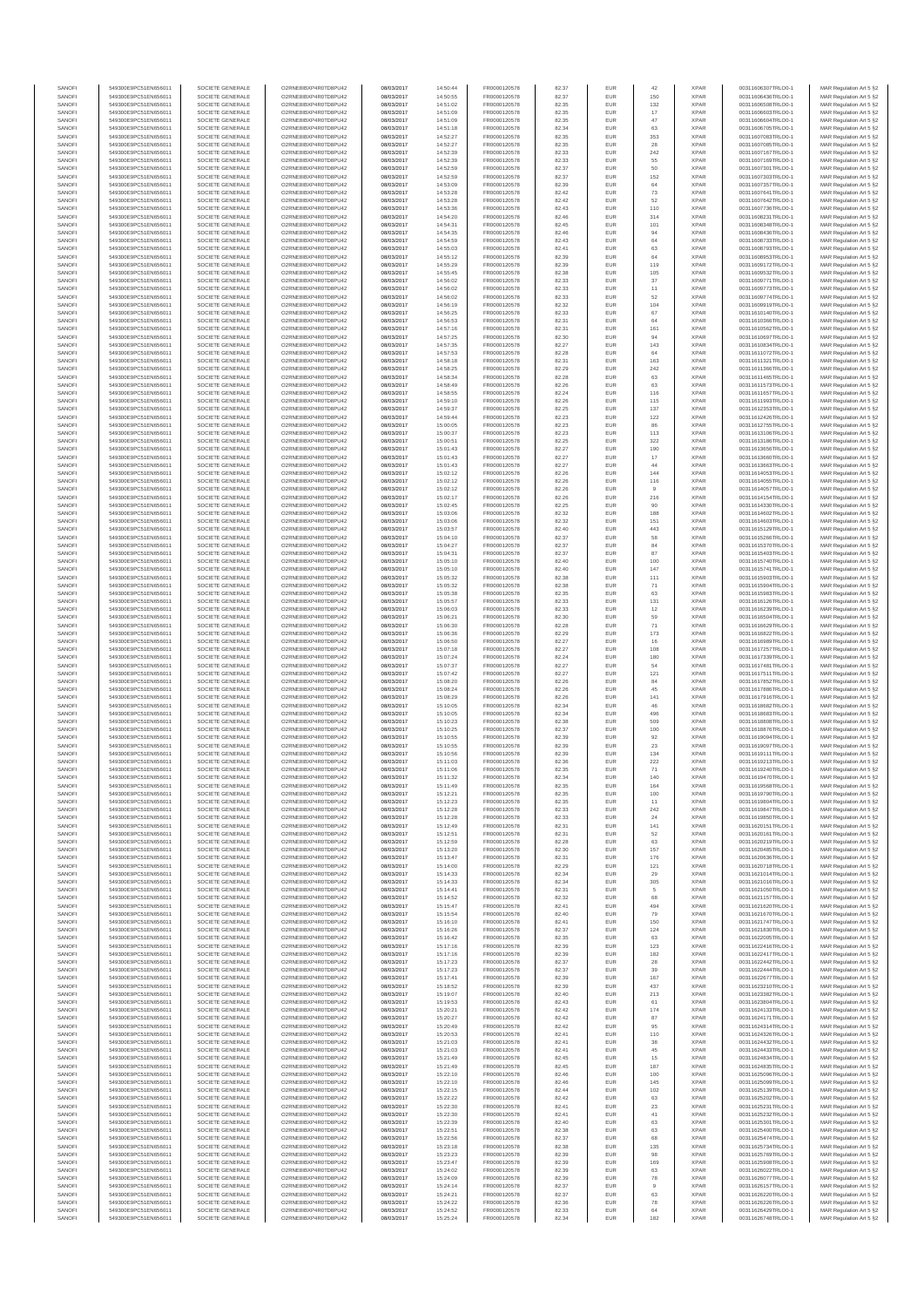| SANOFI           | 549300E9PC51EN656011                         | SOCIETE GENERALE                     | O2RNE8IBXP4R0TD8PU42                          | 08/03/2017               | 14:50:44             | FR0000120578                 | 82.37          | EUR        | 42                    | <b>XPAR</b>                | 00311606307TRLO0-1                       | MAR Regulation Art 5 §2                            |
|------------------|----------------------------------------------|--------------------------------------|-----------------------------------------------|--------------------------|----------------------|------------------------------|----------------|------------|-----------------------|----------------------------|------------------------------------------|----------------------------------------------------|
| SANOFI<br>SANOFI | 549300E9PC51EN656011<br>549300E9PC51EN656011 | SOCIETE GENERALE<br>SOCIETE GENERALE | O2RNE8IBXP4R0TD8PU42<br>O2RNE8IBXP4R0TD8PU42  | 08/03/2017<br>08/03/2017 | 14:50:55<br>14:51:02 | FR0000120578<br>FR0000120578 | 82.37          | EUR<br>EUR | 150<br>132            | <b>XPAR</b><br><b>XPAR</b> | 00311606436TRLO0-1<br>00311606508TRLO0-1 | MAR Regulation Art 5 §2                            |
| SANOFI           | 549300E9PC51EN656011                         | SOCIETE GENERALE                     | O2RNE8IBXP4R0TD8PU42                          | 08/03/2017               | 14:51:09             | FR0000120578                 | 82.35<br>82.35 | EUR        | 17                    | <b>XPAR</b>                | 00311606603TRLO0-1                       | MAR Regulation Art 5 §2<br>MAR Regulation Art 5 §2 |
| SANOFI           | 549300E9PC51EN656011                         | SOCIETE GENERALE                     | O2RNE8IBXP4R0TD8PU42                          | 08/03/2017               | 14:51:09             | FR0000120578                 | 82.35          | EUR        | 47                    | <b>XPAR</b>                | 00311606604TRLO0-1                       | MAR Regulation Art 5 §2                            |
| SANOFI           | 549300E9PC51EN656011                         | SOCIETE GENERALE                     | O2RNE8IBXP4R0TD8PU42                          | 08/03/2017               | 14:51:18             | FR0000120578                 | 82.34          | EUR        | 63                    | <b>XPAR</b>                | 00311606705TRLO0-1                       | MAR Regulation Art 5 §2                            |
| SANOFI<br>SANOFI | 549300E9PC51EN656011<br>549300E9PC51EN656011 | SOCIETE GENERALE<br>SOCIETE GENERALE | O2RNE8IBXP4R0TD8PU42<br>O2RNE8IBXP4R0TD8PU42  | 08/03/2017<br>08/03/2017 | 14:52:27<br>14:52:27 | FR0000120578<br>FR0000120578 | 82.35<br>82.35 | EUR<br>EUR | 353<br>28             | <b>XPAR</b><br><b>XPAR</b> | 00311607083TRLO0-1<br>00311607085TRLO0-1 | MAR Regulation Art 5 §2<br>MAR Regulation Art 5 §2 |
| SANOFI           | 549300E9PC51EN656011                         | SOCIETE GENERALE                     | O2RNE8IBXP4R0TD8PU42                          | 08/03/2017               | 14:52:39             | FR0000120578                 | 82.33          | EUR        | 242                   | <b>XPAR</b>                | 00311607167TRLO0-1                       | MAR Regulation Art 5 \$2                           |
| SANOFI           | 549300E9PC51EN656011                         | SOCIETE GENERALE                     | O2RNE8IBXP4R0TD8PU42                          | 08/03/2017               | 14:52:39             | FR0000120578                 | 82.33          | EUR        | 55                    | <b>XPAR</b>                | 00311607169TRLO0-1                       | MAR Regulation Art 5 §2                            |
| SANOFI<br>SANOFI | 549300E9PC51EN656011<br>549300E9PC51EN656011 | SOCIETE GENERALE<br>SOCIETE GENERALE | O2RNE8IBXP4R0TD8PU42<br>O2RNE8IBXP4R0TD8PU42  | 08/03/2017<br>08/03/2017 | 14:52:59<br>14:52:59 | FR0000120578<br>FR0000120578 | 82.37<br>82.37 | EUR<br>EUR | 50<br>152             | <b>XPAR</b><br><b>XPAR</b> | 00311607301TRLO0-1<br>00311607303TRLO0-1 | MAR Regulation Art 5 §2<br>MAR Regulation Art 5 §2 |
| SANOFI           | 549300E9PC51EN656011                         | SOCIETE GENERALE                     | O2RNE8IBXP4R0TD8PU42                          | 08/03/2017               | 14:53:09             | FR0000120578                 | 82.39          | EUR        | 64                    | <b>XPAR</b>                | 00311607357TRLO0-1                       | MAR Regulation Art 5 §2                            |
| SANOFI           | 549300E9PC51EN656011                         | SOCIETE GENERALE                     | O2RNE8IBXP4R0TD8PU42                          | 08/03/2017               | 14:53:28             | FR0000120578                 | 82.42          | EUR        | 73                    | <b>XPAR</b>                | 00311607641TRLO0-1                       | MAR Regulation Art 5 §2                            |
| SANOFI           | 549300E9PC51EN656011                         | SOCIETE GENERALE                     | O2RNE8IBXP4R0TD8PU42                          | 08/03/2017               | 14:53:28             | FR0000120578                 | 82.42          | EUR        | 52                    | <b>XPAR</b>                | 00311607642TRLO0-1                       | MAR Regulation Art 5 §2                            |
| SANOFI<br>SANOFI | 549300E9PC51EN656011<br>549300E9PC51EN656011 | SOCIETE GENERALE<br>SOCIETE GENERALE | O2RNE8IBXP4R0TD8PU42<br>O2RNE8IBXP4R0TD8PU42  | 08/03/2017<br>08/03/2017 | 14:53:36<br>14:54:20 | FR0000120578<br>FR0000120578 | 82.43<br>82.46 | EUR<br>EUR | 110<br>314            | <b>XPAR</b><br><b>XPAR</b> | 00311607736TRLO0-1<br>00311608231TRLO0-1 | MAR Regulation Art 5 §2<br>MAR Regulation Art 5 §2 |
| SANOFI           | 549300E9PC51EN656011                         | SOCIETE GENERALE                     | O2RNE8IBXP4R0TD8PU42                          | 08/03/2017               | 14:54:31             | FR0000120578                 | 82.45          | EUR        | 101                   | <b>XPAR</b>                | 00311608348TRLO0-1                       | MAR Regulation Art 5 §2                            |
| SANOFI           | 549300E9PC51EN656011                         | SOCIETE GENERALE                     | O2RNE8IBXP4R0TD8PU42                          | 08/03/2017               | 14:54:35             | FR0000120578                 | 82.46          | EUR        | 94                    | <b>XPAR</b>                | 00311608436TRLO0-1                       | MAR Regulation Art 5 §2                            |
| SANOFI           | 549300E9PC51EN656011                         | SOCIETE GENERALE                     | O2RNE8IBXP4R0TD8PU42                          | 08/03/2017               | 14:54:59             | FR0000120578                 | 82.43          | EUR        | 64                    | <b>XPAR</b>                | 00311608733TRLO0-1                       | MAR Regulation Art 5 §2                            |
| SANOFI<br>SANOFI | 549300E9PC51EN656011<br>549300E9PC51EN656011 | SOCIETE GENERALE<br>SOCIETE GENERALE | O2RNE8IBXP4R0TD8PU42<br>O2RNE8IBXP4R0TD8PU42  | 08/03/2017<br>08/03/2017 | 14:55:03<br>14:55:12 | FR0000120578<br>FR0000120578 | 82.41<br>82.39 | EUR<br>EUR | 63<br>64              | <b>XPAR</b><br><b>XPAR</b> | 00311608793TRLO0-1<br>00311608953TRLO0-1 | MAR Regulation Art 5 §2<br>MAR Regulation Art 5 §2 |
| SANOFI           | 549300E9PC51EN656011                         | SOCIETE GENERALE                     | O2RNE8IBXP4R0TD8PU42                          | 08/03/2017               | 14:55:29             | FR0000120578                 | 82.39          | EUR        | 119                   | <b>XPAR</b>                | 00311609172TRLO0-1                       | MAR Regulation Art 5 §2                            |
| SANOFI           | 549300E9PC51EN656011                         | SOCIETE GENERALE                     | O2RNE8IBXP4R0TD8PU42                          | 08/03/2017               | 14:55:45             | FR0000120578                 | 82.38          | EUR        | 105                   | <b>XPAR</b>                | 00311609532TRLO0-1                       | MAR Regulation Art 5 §2                            |
| SANOFI           | 549300E9PC51EN656011                         | SOCIETE GENERALE                     | O2RNE8IBXP4R0TD8PU42<br>O2RNE8IBXP4R0TD8PU42  | 08/03/2017               | 14:56:02             | FR0000120578                 | 82.33          | EUR        | 37                    | <b>XPAR</b>                | 00311609771TRLO0-1                       | MAR Regulation Art 5 §2                            |
| SANOFI<br>SANOFI | 549300E9PC51EN656011<br>549300E9PC51EN656011 | SOCIETE GENERALE<br>SOCIETE GENERALE | O2RNE8IBXP4R0TD8PU42                          | 08/03/2017<br>08/03/2017 | 14:56:02<br>14:56:02 | FR0000120578<br>FR0000120578 | 82.33<br>82.33 | EUR<br>EUR | 11<br>52              | <b>XPAR</b><br><b>XPAR</b> | 00311609773TRLO0-1<br>00311609774TRLO0-1 | MAR Regulation Art 5 §2<br>MAR Regulation Art 5 62 |
| SANOFI           | 549300E9PC51EN656011                         | SOCIETE GENERALE                     | O2RNE8IBXP4R0TD8PU42                          | 08/03/2017               | 14:56:19             | FR0000120578                 | 82.32          | EUR        | 104                   | <b>XPAR</b>                | 00311609919TRLO0-1                       | MAR Regulation Art 5 §2                            |
| SANOFI           | 549300E9PC51EN656011                         | SOCIETE GENERALE                     | O2RNE8IBXP4R0TD8PU42                          | 08/03/2017               | 14:56:25             | FR0000120578                 | 82.33          | EUR        | 67                    | <b>XPAR</b>                | 00311610140TRLO0-1                       | MAR Regulation Art 5 §2                            |
| SANOFI<br>SANOFI | 549300E9PC51EN656011<br>549300E9PC51EN656011 | SOCIETE GENERALE<br>SOCIETE GENERALE | O2RNE8IBXP4R0TD8PU42<br>O2RNE8IBXP4R0TD8PU42  | 08/03/2017<br>08/03/2017 | 14:56:53<br>14:57:16 | FR0000120578<br>FR0000120578 | 82.31<br>82.31 | EUR<br>EUR | 64<br>161             | <b>XPAR</b><br><b>XPAR</b> | 00311610366TRLO0-1<br>00311610562TRLO0-1 | MAR Regulation Art 5 §2<br>MAR Regulation Art 5 §2 |
| SANOFI           | 549300E9PC51EN656011                         | SOCIETE GENERALE                     | O2RNE8IBXP4R0TD8PU42                          | 08/03/2017               | 14:57:25             | FR0000120578                 | 82.30          | EUR        | 94                    | <b>XPAR</b>                | 00311610697TRLO0-1                       | MAR Regulation Art 5 §2                            |
| SANOFI           | 549300E9PC51EN656011                         | SOCIETE GENERALE                     | O2RNE8IBXP4R0TD8PU42                          | 08/03/2017               | 14:57:35             | FR0000120578                 | 82.27          | EUR        | 143                   | <b>XPAR</b>                | 00311610834TRLO0-1                       | MAR Regulation Art 5 §2                            |
| SANOFI           | 549300E9PC51EN656011                         | SOCIETE GENERALE                     | O2RNE8IBXP4R0TD8PU42                          | 08/03/2017               | 14:57:53             | FR0000120578                 | 82.28          | EUR        | 64                    | <b>XPAR</b>                | 00311611072TRLO0-1                       | MAR Regulation Art 5 \$2                           |
| SANOFI<br>SANOFI | 549300E9PC51EN656011<br>549300E9PC51EN656011 | SOCIETE GENERALE<br>SOCIETE GENERALE | O2RNE8IBXP4R0TD8PU42<br>O2RNE8IBXP4R0TD8PU42  | 08/03/2017<br>08/03/2017 | 14:58:18<br>14:58:25 | FR0000120578<br>FR0000120578 | 82.31<br>82.29 | EUR<br>EUR | 163<br>242            | <b>XPAR</b><br><b>XPAR</b> | 00311611321TRLO0-1<br>00311611366TRLO0-1 | MAR Regulation Art 5 §2<br>MAR Regulation Art 5 §2 |
| SANOFI           | 549300E9PC51EN656011                         | SOCIETE GENERALE                     | O2RNE8IBXP4R0TD8PU42                          | 08/03/2017               | 14:58:34             | FR0000120578                 | 82.28          | EUR        | 63                    | <b>XPAR</b>                | 00311611465TRLO0-1                       | MAR Regulation Art 5 §2                            |
| SANOFI           | 549300E9PC51EN656011                         | SOCIETE GENERALE                     | O2RNE8IBXP4R0TD8PU42                          | 08/03/2017               | 14:58:49             | FR0000120578                 | 82.26          | EUR        | 63                    | <b>XPAR</b>                | 00311611573TRLO0-1                       | MAR Regulation Art 5 §2                            |
| SANOFI<br>SANOFI | 549300E9PC51EN656011<br>549300E9PC51EN656011 | SOCIETE GENERALE<br>SOCIETE GENERALE | O2RNE8IBXP4R0TD8PU42<br>O2RNE8IBXP4R0TD8PU42  | 08/03/2017<br>08/03/2017 | 14:58:55<br>14:59:10 | FR0000120578<br>FR0000120578 | 82.24<br>82.26 | EUR<br>EUR | 116<br>115            | <b>XPAR</b><br><b>XPAR</b> | 00311611657TRLO0-1<br>00311611993TRLO0-1 | MAR Regulation Art 5 §2<br>MAR Regulation Art 5 §2 |
| SANOFI           | 549300E9PC51EN656011                         | SOCIETE GENERALE                     | O2RNE8IBXP4R0TD8PU42                          | 08/03/2017               | 14:59:37             | FR0000120578                 | 82.25          | EUR        | 137                   | <b>XPAR</b>                | 00311612353TRLO0-1                       | MAR Regulation Art 5 §2                            |
| SANOFI           | 549300E9PC51EN656011                         | SOCIETE GENERALE                     | O2RNE8IBXP4R0TD8PU42                          | 08/03/2017               | 14:59:44             | FR0000120578                 | 82.23          | EUR        | 122                   | <b>XPAR</b>                | 00311612426TRLO0-1                       | MAR Regulation Art 5 §2                            |
| SANOFI           | 549300E9PC51EN656011                         | SOCIETE GENERALE                     | O2RNE8IBXP4R0TD8PU42                          | 08/03/2017               | 15:00:05             | FR0000120578                 | 82.23          | EUR        | 86                    | <b>XPAR</b>                | 00311612755TRLO0-1                       | MAR Regulation Art 5 §2                            |
| SANOFI<br>SANOFI | 549300E9PC51EN656011<br>549300E9PC51EN656011 | SOCIETE GENERALE<br>SOCIETE GENERALE | O2RNE8IBXP4R0TD8PU42<br>O2RNE8IBXP4R0TD8PU42  | 08/03/2017<br>08/03/2017 | 15:00:37<br>15:00:51 | FR0000120578<br>FR0000120578 | 82.23<br>82.25 | EUR<br>EUR | 113<br>322            | <b>XPAR</b><br><b>XPAR</b> | 00311613106TRLO0-1<br>00311613186TRLO0-1 | MAR Regulation Art 5 §2<br>MAR Regulation Art 5 §2 |
| SANOFI           | 549300E9PC51EN656011                         | SOCIETE GENERALE                     | O2RNE8IBXP4R0TD8PU42                          | 08/03/2017               | 15:01:43             | FR0000120578                 | 82.27          | EUR        | 190                   | <b>XPAR</b>                | 00311613656TRLO0-1                       | MAR Regulation Art 5 §2                            |
| SANOFI           | 549300E9PC51EN656011                         | SOCIETE GENERALE                     | O2RNE8IBXP4R0TD8PU42                          | 08/03/2017               | 15:01:43             | FR0000120578                 | 82.27          | EUR        | $17$                  | <b>XPAR</b>                | 00311613660TRLO0-1                       | MAR Regulation Art 5 §2                            |
| SANOFI           | 549300E9PC51EN656011                         | SOCIETE GENERALE                     | O2RNE8IBXP4R0TD8PU42                          | 08/03/2017               | 15:01:43             | FR0000120578                 | 82.27          | EUR        | 44                    | <b>XPAR</b>                | 00311613663TRLO0-1                       | MAR Regulation Art 5 §2                            |
| SANOFI<br>SANOFI | 549300E9PC51EN656011<br>549300E9PC51EN656011 | SOCIETE GENERALE<br>SOCIETE GENERALE | O2RNE8IBXP4R0TD8PU42<br>O2RNE8IBXP4R0TD8PLI42 | 08/03/2017<br>08/03/2017 | 15:02:12<br>15:02:12 | FR0000120578<br>FR0000120578 | 82.26<br>82.26 | EUR<br>EUR | 144<br>116            | <b>XPAR</b><br><b>XPAR</b> | 00311614053TRLO0-1<br>00311614055TRLO0-1 | MAR Regulation Art 5 §2<br>MAR Regulation Art 5 §2 |
| SANOFI           | 549300E9PC51EN656011                         | SOCIETE GENERALE                     | O2RNE8IBXP4R0TD8PU42                          | 08/03/2017               | 15:02:12             | FR0000120578                 | 82.26          | EUR        | $\overline{9}$        | <b>XPAR</b>                | 00311614057TRLO0-1                       | MAR Regulation Art 5 §2                            |
| SANOFI           | 549300E9PC51EN656011                         | SOCIETE GENERALE                     | O2RNE8IBXP4R0TD8PU42                          | 08/03/2017               | 15:02:17             | FR0000120578                 | 82.26          | EUR        | 216                   | <b>XPAR</b>                | 00311614154TRLO0-1                       | MAR Regulation Art 5 \$2                           |
| SANOFI           | 549300E9PC51EN656011                         | SOCIETE GENERALE                     | O2RNE8IBXP4R0TD8PU42                          | 08/03/2017               | 15:02:45             | FR0000120578                 | 82.25          | EUR        | 90                    | <b>XPAR</b>                | 00311614330TRLO0-1                       | MAR Regulation Art 5 §2                            |
| SANOFI<br>SANOFI | 549300E9PC51EN656011<br>549300E9PC51EN656011 | SOCIETE GENERALE<br>SOCIETE GENERALE | O2RNE8IBXP4R0TD8PU42<br>O2RNE8IBXP4R0TD8PU42  | 08/03/2017<br>08/03/2017 | 15:03:06<br>15:03:06 | FR0000120578<br>FR0000120578 | 82.32<br>82.32 | EUR<br>EUR | 188<br>151            | <b>XPAR</b><br><b>XPAR</b> | 00311614602TRLO0-1<br>00311614603TRLO0-1 | MAR Regulation Art 5 §2<br>MAR Regulation Art 5 §2 |
| SANOFI           | 549300E9PC51EN656011                         | SOCIETE GENERALE                     | O2RNE8IBXP4R0TD8PU42                          | 08/03/2017               | 15:03:57             | FR0000120578                 | 82.40          | EUR        | 443                   | <b>XPAR</b>                | 00311615129TRLO0-1                       | MAR Regulation Art 5 §2                            |
| SANOFI           | 549300E9PC51EN656011                         | SOCIETE GENERALE                     | O2RNE8IBXP4R0TD8PU42                          | 08/03/2017               | 15:04:10             | FR0000120578                 | 82.37          | EUR        | 58                    | <b>XPAR</b>                | 00311615266TRLO0-1                       | MAR Regulation Art 5 §2                            |
| SANOFI           | 549300E9PC51EN656011                         | SOCIETE GENERALE                     | O2RNE8IBXP4R0TD8PU42                          | 08/03/2017               | 15:04:27             | FR0000120578                 | 82.37          | EUR        | 84                    | <b>XPAR</b>                | 00311615370TRLO0-1                       | MAR Regulation Art 5 §2                            |
| SANOFI<br>SANOFI | 549300E9PC51EN656011<br>549300E9PC51EN656011 | SOCIETE GENERALE<br>SOCIETE GENERALE | O2RNE8IBXP4R0TD8PU42<br>O2RNE8IBXP4R0TD8PU42  | 08/03/2017<br>08/03/2017 | 15:04:31<br>15:05:10 | FR0000120578<br>FR0000120578 | 82.37<br>82.40 | EUR<br>EUR | 87<br>100             | <b>XPAR</b><br><b>XPAR</b> | 00311615403TRLO0-1<br>00311615740TRLO0-1 | MAR Regulation Art 5 §2<br>MAR Regulation Art 5 §2 |
| SANOFI           | 549300E9PC51EN656011                         | SOCIETE GENERALE                     | O2RNE8IBXP4R0TD8PU42                          | 08/03/2017               | 15:05:10             | FR0000120578                 | 82.40          | EUR        | 147                   | <b>XPAR</b>                | 00311615741TRLO0-1                       | MAR Regulation Art 5 §2                            |
| SANOFI           | 549300E9PC51EN656011                         | SOCIETE GENERALE                     | O2RNE8IBXP4R0TD8PU42                          | 08/03/2017               | 15:05:32             | FR0000120578                 | 82.38          | EUR        | 111                   | <b>XPAR</b>                | 00311615903TRLO0-1                       | MAR Regulation Art 5 §2                            |
| SANOFI           | 549300E9PC51EN656011                         | SOCIETE GENERALE                     | O2RNE8IBXP4R0TD8PU42                          | 08/03/2017               | 15:05:32             | FR0000120578                 | 82.38          | EUR        | 71                    | <b>XPAR</b>                | 00311615904TRLO0-1                       | MAR Regulation Art 5 §2                            |
| SANOFI<br>SANOFI | 549300E9PC51EN656011<br>549300E9PC51EN656011 | SOCIETE GENERALE<br>SOCIETE GENERALE | O2RNE8IBXP4R0TD8PU42<br>O2RNE8IBXP4R0TD8PU42  | 08/03/2017<br>08/03/2017 | 15:05:38<br>15:05:57 | FR0000120578<br>FR0000120578 | 82.35<br>82.33 | EUR<br>EUR | 63<br>131             | <b>XPAR</b><br><b>XPAR</b> | 00311615983TRLO0-1<br>00311616126TRLO0-1 | MAR Regulation Art 5 §2<br>MAR Regulation Art 5 §2 |
| SANOFI           | 549300E9PC51EN656011                         | SOCIETE GENERALE                     | O2RNE8IBXP4R0TD8PU42                          | 08/03/2017               | 15:06:03             | FR0000120578                 | 82.33          | EUR        | 12                    | <b>XPAR</b>                | 00311616239TRLO0-1                       | MAR Regulation Art 5 §2                            |
| SANOFI           | 549300E9PC51EN656011                         | SOCIETE GENERALE                     | O2RNE8IBXP4R0TD8PU42                          | 08/03/2017               | 15:06:21             | FR0000120578                 | 82.30          | EUR        | 59                    | <b>XPAR</b>                | 00311616504TRLO0-1                       | MAR Regulation Art 5 §2                            |
| SANOFI           | 549300E9PC51EN656011                         | SOCIETE GENERALE                     | O2RNE8IBXP4R0TD8PU42                          | 08/03/2017               | 15:06:30             | FR0000120578                 | 82.28          | EUR        | 71                    | <b>XPAR</b>                | 00311616629TRLO0-1                       | MAR Regulation Art 5 §2                            |
| SANOFI<br>SANOFI | 549300E9PC51EN656011<br>549300E9PC51EN656011 | SOCIETE GENERALE<br>SOCIETE GENERALE | O2RNE8IBXP4R0TD8PU42<br>O2RNE8IBXP4R0TD8PU42  | 08/03/2017<br>08/03/2017 | 15:06:36<br>15:06:50 | FR0000120578<br>FR0000120578 | 82.29<br>82.27 | EUR<br>EUR | 173<br>16             | <b>XPAR</b><br><b>XPAR</b> | 00311616822TRLO0-1<br>00311616989TRLO0-1 | MAR Regulation Art 5 §2<br>MAR Regulation Art 5 §2 |
| SANOFI           | 549300E9PC51EN656011                         | SOCIETE GENERALE                     | O2RNE8IBXP4R0TD8PU42                          | 08/03/2017               | 15:07:18             | FR0000120578                 | 82.27          | EUR        | 108                   | <b>XPAR</b>                | 00311617257TRLO0-1                       | MAR Regulation Art 5 §2                            |
| SANOFI           | 549300E9PC51EN656011                         | SOCIETE GENERALE                     | O2RNE8IBXP4R0TD8PU42                          | 08/03/2017               | 15:07:24             | FR0000120578                 | 82.24          | EUR        | 180                   | <b>XPAR</b>                | 00311617339TRLO0-1                       | MAR Regulation Art 5 §2                            |
| SANOFI<br>SANOFI | 549300E9PC51EN656011<br>549300E9PC51EN656011 | SOCIETE GENERALE<br>SOCIETE GENERALE | O2RNE8IBXP4R0TD8PU42<br>O2RNE8IBXP4R0TD8PU42  | 08/03/2017<br>08/03/2017 | 15:07:37<br>15:07:42 | FR0000120578<br>FR0000120578 | 82.27<br>82.27 | EUR<br>EUR | 54<br>121             | <b>XPAR</b><br><b>XPAR</b> | 00311617481TRLO0-1<br>00311617511TRLO0-1 | MAR Regulation Art 5 §2                            |
| SANOFI           | 549300E9PC51EN656011                         | SOCIETE GENERALE                     | O2RNE8IBXP4R0TD8PU42                          | 08/03/2017               | 15:08:20             | FR0000120578                 | 82.26          | EUR        | 84                    | <b>XPAR</b>                | 00311617852TRLO0-1                       | MAR Regulation Art 5 §2<br>MAR Regulation Art 5 §2 |
| SANOFI           | 549300E9PC51EN656011                         | SOCIETE GENERALE                     | O2RNE8IBXP4R0TD8PU42                          | 08/03/2017               | 15:08:24             | FR0000120578                 | 82.26          | EUR        | 45                    | <b>XPAR</b>                | 00311617886TRLO0-1                       | MAR Regulation Art 5 §2                            |
| SANOFI           | 549300E9PC51EN656011                         | SOCIETE GENERALE                     | O2RNE8IBXP4R0TD8PU42                          | 08/03/2017               | 15:08:29             | FR0000120578                 | 82.26          | EUR        | 141                   | <b>XPAR</b>                | 00311617916TRLO0-1                       | MAR Regulation Art 5 \$2                           |
| SANOFI<br>SANOFI | 549300E9PC51EN656011<br>549300E9PC51EN656011 | SOCIETE GENERALE<br>SOCIETE GENERALE | O2RNE8IBXP4R0TD8PU42<br>O2RNE8IBXP4R0TD8PU42  | 08/03/2017<br>08/03/2017 | 15:10:05<br>15:10:05 | FR0000120578<br>FR0000120578 | 82.34<br>82.34 | EUR<br>EUR | 46<br>496             | <b>XPAR</b><br><b>XPAR</b> | 00311618682TRLO0-1<br>00311618683TRLO0-1 | MAR Regulation Art 5 §2<br>MAR Regulation Art 5 §2 |
| SANOFI           | 549300E9PC51EN656011                         | SOCIETE GENERALE                     | O2RNE8IBXP4R0TD8PU42                          | 08/03/2017               | 15:10:23             | FR0000120578                 | 82.38          | EUR        | 509                   | <b>XPAR</b>                | 00311618808TRLO0-1                       | MAR Regulation Art 5 §2                            |
| SANOFI           | 549300E9PC51EN656011                         | SOCIETE GENERALE                     | O2RNE8IBXP4R0TD8PU42                          | 08/03/2017               | 15:10:25             | FR0000120578                 | 82.37          | EUR        | 100                   | <b>XPAR</b>                | 00311618876TRLO0-1                       | MAR Regulation Art 5 §2                            |
| SANOFI           | 549300E9PC51EN656011                         | SOCIETE GENERALE<br>SOCIETE GENERALE | O2RNE8IBXP4R0TD8PU42                          | 08/03/2017               | 15:10:55             | FR0000120578                 | 82.39          | EUR        | 92                    | <b>XPAR</b>                | 00311619094TRLO0-1                       | MAR Regulation Art 5 §2<br>MAR Regulation Art 5 §2 |
| SANOFI<br>SANOFI | 549300E9PC51EN656011<br>549300E9PC51EN656011 | SOCIETE GENERALE                     | O2RNE8IBXP4R0TD8PU42<br>O2RNE8IBXP4R0TD8PU42  | 08/03/2017<br>08/03/2017 | 15:10:55<br>15:10:56 | FR0000120578<br>FR0000120578 | 82.39<br>82.39 | EUR<br>EUR | 23<br>134             | <b>XPAR</b><br><b>XPAR</b> | 00311619097TRLO0-1<br>00311619111TRLO0-1 | MAR Regulation Art 5 \$2                           |
| SANOFI           | 549300E9PC51EN656011                         | SOCIETE GENERALE                     | O2RNE8IBXP4R0TD8PU42                          | 08/03/2017               | 15:11:03             | FR0000120578                 | 82.36          | EUR        | 222                   | <b>XPAR</b>                | 00311619213TRLO0-1                       | MAR Regulation Art 5 §2                            |
| SANOFI           | 549300E9PC51EN656011                         | SOCIETE GENERALE                     | O2RNE8IBXP4R0TD8PU42                          | 08/03/2017               | 15:11:06             | FR0000120578                 | 82.35          | <b>EUR</b> | 71                    | <b>XPAR</b>                | 00311619240TRLO0-1                       | MAR Regulation Art 5 §2                            |
| SANOFI<br>SANOFI | 549300E9PC51EN656011<br>549300E9PC51EN656011 | SOCIETE GENERALE<br>SOCIETE GENERALE | O2RNE8IBXP4R0TD8PU42<br>O2RNE8IBXP4R0TD8PU42  | 08/03/2017               | 15:11:32<br>15:11:49 | FR0000120578<br>FR0000120578 | 82.34<br>82.35 | EUR<br>EUR | 140<br>164            | <b>XPAR</b><br><b>XPAR</b> | 00311619470TRLO0-1<br>00311619568TRLO0-1 | MAR Regulation Art 5 §2<br>MAR Regulation Art 5 §2 |
| SANOFI           | 549300E9PC51EN656011                         | SOCIETE GENERALE                     | O2RNE8IBXP4R0TD8PU42                          | 08/03/2017<br>08/03/2017 | 15:12:21             | FR0000120578                 | 82.35          | EUR        | 100                   | <b>XPAR</b>                | 00311619790TRLO0-1                       | MAR Regulation Art 5 §2                            |
| SANOFI           | 549300E9PC51EN656011                         | SOCIETE GENERALE                     | O2RNE8IBXP4R0TD8PU42                          | 08/03/2017               | 15:12:23             | FR0000120578                 | 82.35          | EUR        | 11                    | <b>XPAR</b>                | 00311619804TRLO0-1                       | MAR Regulation Art 5 §2                            |
| SANOFI           | 549300E9PC51EN656011                         | SOCIETE GENERALE                     | O2RNE8IBXP4R0TD8PU42                          | 08/03/2017               | 15:12:28             | FR0000120578                 | 82.33          | EUR        | 242                   | <b>XPAR</b>                | 00311619847TRLO0-1                       | MAR Regulation Art 5 §2                            |
| SANOFI<br>SANOFI | 549300E9PC51EN656011<br>549300E9PC51EN656011 | SOCIETE GENERALE<br>SOCIETE GENERALE | O2RNE8IBXP4R0TD8PU42<br>O2RNE8IBXP4R0TD8PU42  | 08/03/2017<br>08/03/2017 | 15:12:28<br>15:12:49 | FR0000120578<br>FR0000120578 | 82.33<br>82.31 | EUR<br>EUR | 24<br>141             | <b>XPAR</b><br><b>XPAR</b> | 00311619850TRLO0-1<br>00311620151TRLO0-1 | MAR Regulation Art 5 §2<br>MAR Regulation Art 5 §2 |
| SANOFI           | 549300E9PC51EN656011                         | SOCIETE GENERALE                     | O2RNE8IBXP4R0TD8PU42                          | 08/03/2017               | 15:12:51             | FR0000120578                 | 82.31          | EUR        | 52                    | <b>XPAR</b>                | 00311620161TRLO0-1                       | MAR Regulation Art 5 §2                            |
| SANOFI           | 549300E9PC51EN656011                         | SOCIETE GENERALE                     | O2RNE8IBXP4R0TD8PU42                          | 08/03/2017               | 15:12:59             | FR0000120578                 | 82.28          | EUR        | 63                    | <b>XPAR</b>                | 00311620219TRLO0-1                       | MAR Regulation Art 5 \$2                           |
| SANOFI<br>SANOFI | 549300E9PC51EN656011<br>549300E9PC51EN656011 | SOCIETE GENERALE<br>SOCIETE GENERALE | O2RNE8IBXP4R0TD8PU42<br>O2RNE8IBXP4R0TD8PU42  | 08/03/2017<br>08/03/2017 | 15:13:20<br>15:13:47 | FR0000120578<br>FR0000120578 | 82.30<br>82.31 | EUR<br>EUR | 157<br>176            | <b>XPAR</b><br><b>XPAR</b> | 00311620485TRLO0-1<br>00311620636TRLO0-1 | MAR Regulation Art 5 §2<br>MAR Regulation Art 5 §2 |
| SANOFI           | 549300E9PC51EN656011                         | SOCIETE GENERALE                     | O2RNE8IBXP4R0TD8PU42                          | 08/03/2017               | 15:14:00             | FR0000120578                 | 82.29          | EUR        | 121                   | <b>XPAR</b>                | 00311620718TRLO0-1                       | MAR Regulation Art 5 §2                            |
| SANOFI           | 549300E9PC51EN656011                         | SOCIETE GENERALE                     | O2RNE8IBXP4R0TD8PU42                          | 08/03/2017               | 15:14:33             | FR0000120578                 | 82.34          | EUR        | 29                    | <b>XPAR</b>                | 00311621014TRLO0-1                       | MAR Regulation Art 5 §2                            |
| SANOFI<br>SANOFI | 549300E9PC51EN656011<br>549300E9PC51EN656011 | SOCIETE GENERALE<br>SOCIETE GENERALE | O2RNE8IBXP4R0TD8PU42<br>O2RNE8IBXP4R0TD8PU42  | 08/03/2017<br>08/03/2017 | 15:14:33<br>15:14:41 | FR0000120578<br>FR0000120578 | 82.34<br>82.31 | EUR<br>EUR | 305<br>$\overline{5}$ | <b>XPAR</b><br><b>XPAR</b> | 00311621016TRLO0-1<br>00311621050TRLO0-1 | MAR Regulation Art 5 §2<br>MAR Regulation Art 5 §2 |
| SANOFI           | 549300E9PC51EN656011                         | SOCIETE GENERALE                     | O2RNE8IBXP4R0TD8PU42                          | 08/03/2017               | 15:14:52             | FR0000120578                 | 82.32          | EUR        | 68                    | <b>XPAR</b>                | 00311621157TRLO0-1                       | MAR Regulation Art 5 §2                            |
| SANOFI           | 549300E9PC51EN656011                         | SOCIETE GENERALE                     | O2RNE8IBXP4R0TD8PU42                          | 08/03/2017               | 15:15:47             | FR0000120578                 | 82.41          | EUR        | 494                   | <b>XPAR</b>                | 00311621620TRLO0-1                       | MAR Regulation Art 5 §2                            |
| SANOFI           | 549300E9PC51EN656011                         | SOCIETE GENERALE                     | O2RNE8IBXP4R0TD8PU42                          | 08/03/2017               | 15:15:54             | FR0000120578                 | 82.40          | EUR        | 79                    | <b>XPAR</b>                | 00311621670TRLO0-1<br>00311621747TRLO0-1 | MAR Regulation Art 5 §2                            |
| SANOFI<br>SANOFI | 549300E9PC51EN656011<br>549300E9PC51EN656011 | SOCIETE GENERALE<br>SOCIETE GENERALE | O2RNE8IBXP4R0TD8PU42<br>O2RNE8IBXP4R0TD8PU42  | 08/03/2017<br>08/03/2017 | 15:16:10<br>15:16:26 | FR0000120578<br>FR0000120578 | 82.41<br>82.37 | EUR<br>EUR | 150<br>124            | <b>XPAR</b><br><b>XPAR</b> | 00311621830TRLO0-1                       | MAR Regulation Art 5 §2<br>MAR Regulation Art 5 §2 |
| SANOFI           | 549300E9PC51EN656011                         | SOCIETE GENERALE                     | O2RNESIBXP4R0TD8PLI42                         | 08/03/2017               | 15:16:42             | FR0000120578                 | 82.35          | EUR        | 63                    | <b>XPAR</b>                | 00311622005TRLO0-1                       | MAR Regulation Art 5 §2                            |
| SANOFI           | 549300E9PC51EN656011                         | SOCIETE GENERALE                     | O2RNE8IBXP4R0TD8PU42                          | 08/03/2017               | 15:17:16             | FR0000120578                 | 82.39          | EUR        | 123                   | <b>XPAR</b>                | 00311622416TRLO0-1                       | MAR Regulation Art 5 §2                            |
| SANOFI<br>SANOFI | 549300E9PC51EN656011<br>549300E9PC51EN656011 | SOCIETE GENERALE<br>SOCIETE GENERALE | O2RNE8IBXP4R0TD8PU42<br>O2RNE8IBXP4R0TD8PU42  | 08/03/2017<br>08/03/2017 | 15:17:16<br>15:17:23 | FR0000120578<br>FR0000120578 | 82.39<br>82.37 | EUR<br>EUR | 182<br>28             | <b>XPAR</b><br><b>XPAR</b> | 00311622417TRLO0-1<br>00311622442TRLO0-1 | MAR Regulation Art 5 §2                            |
| SANOFI           | 549300E9PC51EN656011                         | SOCIETE GENERALE                     | O2RNE8IBXP4R0TD8PU42                          | 08/03/2017               | 15:17:23             | FR0000120578                 | 82.37          | EUR        | 39                    | <b>XPAR</b>                | 00311622444TRLO0-1                       | MAR Regulation Art 5 §2<br>MAR Regulation Art 5 §2 |
| SANOFI           | 549300E9PC51EN656011                         | SOCIETE GENERALE                     | O2RNE8IBXP4R0TD8PU42                          | 08/03/2017               | 15:17:41             | FR0000120578                 | 82.39          | EUR        | 167                   | <b>XPAR</b>                | 00311622677TRLO0-1                       | MAR Regulation Art 5 §2                            |
| SANOFI           | 549300E9PC51EN656011                         | SOCIETE GENERALE                     | O2RNE8IBXP4R0TD8PU42                          | 08/03/2017               | 15:18:52             | FR0000120578                 | 82.39          | EUR        | 437                   | <b>XPAR</b>                | 00311623210TRLO0-1                       | MAR Regulation Art 5 §2                            |
| SANOFI           | 549300E9PC51EN656011                         | SOCIETE GENERALE                     | O2RNE8IBXP4R0TD8PU42<br>O2RNE8IBXP4R0TD8PU42  | 08/03/2017               | 15:19:07             | FR0000120578                 | 82.40          | EUR        | 213                   | <b>XPAR</b>                | 00311623382TRLO0-1                       | MAR Regulation Art 5 §2                            |
| SANOFI<br>SANOFI | 549300E9PC51EN656011<br>549300E9PC51EN656011 | SOCIETE GENERALE<br>SOCIETE GENERALE | O2RNE8IBXP4R0TD8PU42                          | 08/03/2017<br>08/03/2017 | 15:19:53<br>15:20:21 | FR0000120578<br>FR0000120578 | 82.43<br>82.42 | EUR<br>EUR | 61<br>174             | <b>XPAR</b><br><b>XPAR</b> | 00311623804TRLO0-1<br>00311624133TRLO0-1 | MAR Regulation Art 5 §2<br>MAR Regulation Art 5 §2 |
| SANOFI           | 549300E9PC51EN656011                         | SOCIETE GENERALE                     | O2RNE8IBXP4R0TD8PU42                          | 08/03/2017               | 15:20:27             | FR0000120578                 | 82.42          | EUR        | 87                    | <b>XPAR</b>                | 00311624171TRLO0-1                       | MAR Regulation Art 5 §2                            |
| SANOFI           | 549300E9PC51EN656011                         | SOCIETE GENERALE                     | O2RNE8IBXP4R0TD8PU42                          | 08/03/2017               | 15:20:49             | FR0000120578                 | 82.42          | EUR        | 95                    | <b>XPAR</b>                | 00311624314TRLO0-1                       | MAR Regulation Art 5 §2                            |
| SANOFI<br>SANOFI | 549300E9PC51EN656011<br>549300E9PC51EN656011 | SOCIETE GENERALE<br>SOCIETE GENERALE | O2RNE8IBXP4R0TD8PU42<br>O2RNE8IBXP4R0TD8PU42  | 08/03/2017<br>08/03/2017 | 15:20:53<br>15:21:03 | FR0000120578<br>FR0000120578 | 82.41<br>82.41 | EUR<br>EUR | 110<br>38             | <b>XPAR</b><br><b>XPAR</b> | 00311624326TRLO0-1<br>00311624432TRLO0-1 | MAR Regulation Art 5 §2                            |
| SANOFI           | 549300E9PC51EN656011                         | SOCIETE GENERALE                     | O2RNE8IBXP4R0TD8PU42                          | 08/03/2017               | 15:21:03             | FR0000120578                 | 82.41          | EUR        | 45                    | <b>XPAR</b>                | 00311624433TRLO0-1                       | MAR Regulation Art 5 §2<br>MAR Regulation Art 5 §2 |
| SANOFI           | 549300E9PC51EN656011                         | SOCIETE GENERALE                     | O2RNE8IBXP4R0TD8PU42                          | 08/03/2017               | 15:21:49             | FR0000120578                 | 82.45          | EUR        | 15                    | <b>XPAR</b>                | 00311624834TRLO0-1                       | MAR Regulation Art 5 §2                            |
| SANOFI           | 549300E9PC51EN656011                         | SOCIETE GENERALE                     | O2RNE8IBXP4R0TD8PU42                          | 08/03/2017               | 15:21:49             | FR0000120578                 | 82.45          | EUR        | 187                   | <b>XPAR</b>                | 00311624835TRLO0-1                       | MAR Regulation Art 5 §2                            |
| SANOFI<br>SANOFI | 549300E9PC51EN656011<br>549300E9PC51EN656011 | SOCIETE GENERALE<br>SOCIETE GENERALE | O2RNE8IBXP4R0TD8PU42<br>O2RNE8IBXP4R0TD8PU42  | 08/03/2017<br>08/03/2017 | 15:22:10<br>15:22:10 | FR0000120578<br>FR0000120578 | 82.46<br>82.46 | EUR<br>EUR | 100<br>145            | <b>XPAR</b><br><b>XPAR</b> | 00311625096TRLO0-1<br>00311625099TRLO0-1 | MAR Regulation Art 5 §2                            |
| SANOFI           | 549300E9PC51EN656011                         | SOCIETE GENERALE                     | O2RNE8IBXP4R0TD8PU42                          | 08/03/2017               | 15:22:15             | FR0000120578                 | 82.44          | EUR        | 102                   | <b>XPAR</b>                | 00311625139TRLO0-1                       | MAR Regulation Art 5 §2<br>MAR Regulation Art 5 §2 |
| SANOFI           | 549300E9PC51EN656011                         | SOCIETE GENERALE                     | O2RNE8IBXP4R0TD8PU42                          | 08/03/2017               | 15:22:22             | FR0000120578                 | 82.42          | EUR        | 63                    | <b>XPAR</b>                | 00311625202TRLO0-1                       | MAR Regulation Art 5 §2                            |
| SANOFI           | 549300E9PC51EN656011                         | SOCIETE GENERALE                     | O2RNE8IBXP4R0TD8PU42                          | 08/03/2017               | 15:22:30             | FR0000120578                 | 82.41          | EUR        | 23                    | <b>XPAR</b>                | 00311625231TRLO0-1                       | MAR Regulation Art 5 §2                            |
| SANOFI<br>SANOFI | 549300E9PC51EN656011<br>549300E9PC51EN656011 | SOCIETE GENERALE<br>SOCIETE GENERALE | O2RNE8IBXP4R0TD8PU42<br>O2RNE8IBXP4R0TD8PU42  | 08/03/2017<br>08/03/2017 | 15:22:30<br>15:22:39 | FR0000120578<br>FR0000120578 | 82.41<br>82.40 | EUR<br>EUR | 41<br>63              | <b>XPAR</b><br><b>XPAR</b> | 00311625232TRLO0-1<br>00311625301TRLO0-1 | MAR Regulation Art 5 §2<br>MAR Regulation Art 5 §2 |
| SANOFI           | 549300E9PC51EN656011                         | SOCIETE GENERALE                     | O2RNE8IBXP4R0TD8PU42                          | 08/03/2017               | 15:22:51             | FR0000120578                 | 82.38          | EUR        | 63                    | <b>XPAR</b>                | 00311625400TRLO0-1                       | MAR Regulation Art 5 §2                            |
| SANOFI           | 549300E9PC51EN656011                         | SOCIETE GENERALE                     | O2RNE8IBXP4R0TD8PU42                          | 08/03/2017               | 15:22:56             | FR0000120578                 | 82.37          | EUR        | 68                    | <b>XPAR</b>                | 00311625474TRLO0-1                       | MAR Regulation Art 5 §2                            |
| SANOFI           | 549300E9PC51EN656011                         | SOCIETE GENERALE                     | O2RNE8IBXP4R0TD8PU42                          | 08/03/2017               | 15:23:18             | FR0000120578                 | 82.38          | EUR        | 135                   | <b>XPAR</b>                | 00311625734TRLO0-1                       | MAR Regulation Art 5 §2                            |
| SANOFI<br>SANOFI | 549300E9PC51EN656011<br>549300E9PC51EN656011 | SOCIETE GENERALE<br>SOCIETE GENERALE | O2RNE8IBXP4R0TD8PU42<br>O2RNE8IBXP4R0TD8PU42  | 08/03/2017<br>08/03/2017 | 15:23:23<br>15:23:47 | FR0000120578<br>FR0000120578 | 82.39<br>82.39 | EUR<br>EUR | 98<br>169             | <b>XPAR</b><br><b>XPAR</b> | 00311625769TRLO0-1<br>00311625908TRLO0-1 | MAR Regulation Art 5 §2<br>MAR Regulation Art 5 §2 |
| SANOFI           | 549300E9PC51EN656011                         | SOCIETE GENERALE                     | O2RNE8IBXP4R0TD8PU42                          | 08/03/2017               | 15:24:02             | FR0000120578                 | 82.39          | EUR        | 63                    | <b>XPAR</b>                | 00311626022TRLO0-1                       | MAR Regulation Art 5 §2                            |
| SANOFI           | 549300E9PC51EN656011                         | SOCIETE GENERALE                     | O2RNE8IBXP4R0TD8PU42                          | 08/03/2017               | 15:24:09             | FR0000120578                 | 82.39          | EUR        | 78                    | <b>XPAR</b>                | 00311626077TRLO0-1                       | MAR Regulation Art 5 §2                            |
| SANOFI           | 549300E9PC51EN656011                         | SOCIETE GENERALE                     | O2RNE8IBXP4R0TD8PU42                          | 08/03/2017               | 15:24:14             | FR0000120578                 | 82.37          | EUR        | $\overline{9}$        | <b>XPAR</b>                | 00311626157TRLO0-1                       | MAR Regulation Art 5 §2                            |
| SANOFI<br>SANOFI | 549300E9PC51EN656011<br>549300E9PC51EN656011 | SOCIETE GENERALE<br>SOCIETE GENERALE | O2RNE8IBXP4R0TD8PU42<br>O2RNE8IBXP4R0TD8PU42  | 08/03/2017<br>08/03/2017 | 15:24:21<br>15:24:22 | FR0000120578<br>FR0000120578 | 82.37<br>82.36 | EUR<br>EUR | 63<br>78              | <b>XPAR</b><br><b>XPAR</b> | 00311626220TRLO0-1<br>00311626226TRLO0-1 | MAR Regulation Art 5 §2<br>MAR Regulation Art 5 §2 |
| SANOFI           | 549300E9PC51EN656011                         | SOCIETE GENERALE                     | O2RNE8IBXP4R0TD8PU42                          | 08/03/2017               | 15:24:52             | FR0000120578                 | 82.33          | EUR        | 64                    | <b>XPAR</b>                | 00311626429TRLO0-1                       | MAR Regulation Art 5 §2                            |
| SANOFI           | 549300E9PC51EN656011                         | SOCIETE GENERALE                     | O2RNE8IBXP4R0TD8PU42                          | 08/03/2017               | 15:25:24             | FR0000120578                 | 82.34          | EUR        | 182                   | <b>XPAR</b>                | 00311626748TRLO0-1                       | MAR Regulation Art 5 §2                            |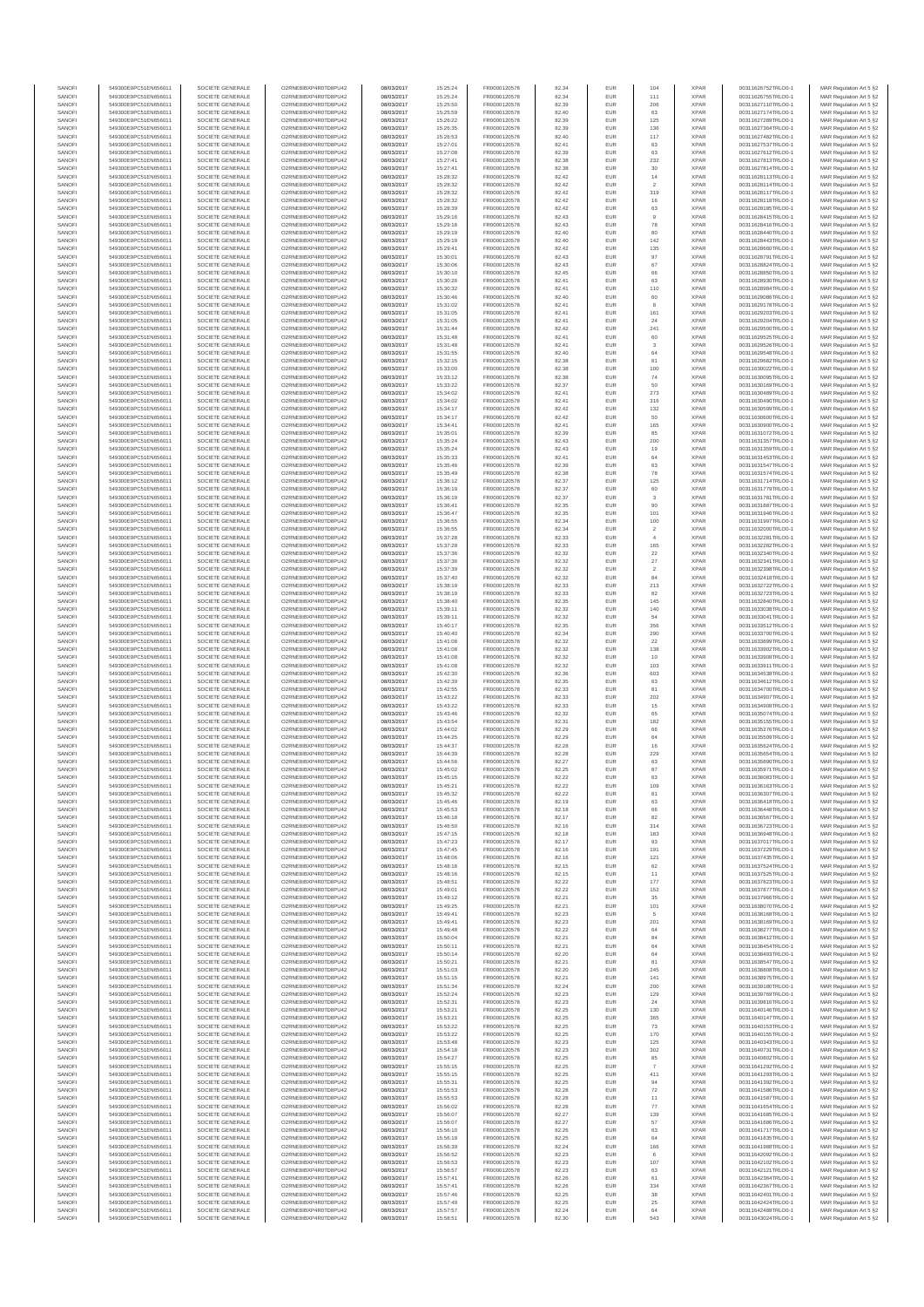| SANOFI           | 549300E9PC51EN656011                         | SOCIETE GENERALE                     | O2RNE8IBXP4R0TD8PU42                          | 08/03/2017               | 15:25:24             | FR0000120578                 | 82.34          | EUR               | 104                      | <b>XPAR</b>                | 00311626752TRLO0-1                       | MAR Regulation Art 5 §2                             |
|------------------|----------------------------------------------|--------------------------------------|-----------------------------------------------|--------------------------|----------------------|------------------------------|----------------|-------------------|--------------------------|----------------------------|------------------------------------------|-----------------------------------------------------|
| SANOFI<br>SANOFI | 549300E9PC51EN656011<br>549300E9PC51EN656011 | SOCIETE GENERALE<br>SOCIETE GENERALE | O2RNE8IBXP4R0TD8PU42<br>O2RNE8IBXP4R0TD8PU42  | 08/03/2017<br>08/03/2017 | 15:25:24<br>15:25:50 | FR0000120578<br>FR0000120578 | 82.34<br>82.39 | EUR<br>EUR        | 111<br>206               | <b>XPAR</b><br><b>XPAR</b> | 00311626755TRLO0-1                       | MAR Regulation Art 5 §2                             |
| SANOFI           | 549300E9PC51EN656011                         | SOCIETE GENERALE                     | O2RNE8IBXP4R0TD8PU42                          | 08/03/2017               | 15:25:59             | FR0000120578                 | 82.40          | EUR               | 63                       | <b>XPAR</b>                | 00311627110TRLO0-1<br>00311627174TRLO0-1 | MAR Regulation Art 5 §2<br>MAR Regulation Art 5 §2  |
| SANOFI           | 549300E9PC51EN656011                         | SOCIETE GENERALE                     | O2RNE8IBXP4R0TD8PU42                          | 08/03/2017               | 15:26:22             | FR0000120578                 | 82.39          | EUR               | 125                      | <b>XPAR</b>                | 00311627289TRLO0-1                       | MAR Regulation Art 5 §2                             |
| SANOFI           | 549300E9PC51EN656011                         | SOCIETE GENERALE                     | O2RNE8IBXP4R0TD8PU42                          | 08/03/2017               | 15:26:35             | FR0000120578                 | 82.39          | EUR               | 136                      | <b>XPAR</b>                | 00311627364TRLO0-1                       | MAR Regulation Art 5 §2                             |
| SANOFI<br>SANOFI | 549300E9PC51EN656011<br>549300E9PC51EN656011 | SOCIETE GENERALE<br>SOCIETE GENERALE | O2RNE8IBXP4R0TD8PU42<br>O2RNE8IBXP4R0TD8PU42  | 08/03/2017<br>08/03/2017 | 15:26:53<br>15:27:01 | FR0000120578<br>FR0000120578 | 82.40<br>82.41 | EUR<br>EUR        | 117<br>63                | <b>XPAR</b><br><b>XPAR</b> | 00311627482TRLO0-1<br>00311627537TRLO0-1 | MAR Regulation Art 5 \$2<br>MAR Regulation Art 5 §2 |
| SANOFI           | 549300E9PC51EN656011                         | SOCIETE GENERALE                     | O2RNE8IBXP4R0TD8PU42                          | 08/03/2017               | 15:27:08             | FR0000120578                 | 82.39          | EUR               | 63                       | <b>XPAR</b>                | 00311627612TRLO0-1                       | MAR Regulation Art 5 \$2                            |
| SANOFI           | 549300E9PC51EN656011                         | SOCIETE GENERALE                     | O2RNE8IBXP4R0TD8PU42                          | 08/03/2017               | 15:27:41             | FR0000120578                 | 82.38          | EUR               | 232                      | <b>XPAR</b>                | 00311627813TRLO0-1                       | MAR Regulation Art 5 §2                             |
| SANOFI           | 549300E9PC51EN656011                         | SOCIETE GENERALE                     | O2RNE8IBXP4R0TD8PU42                          | 08/03/2017               | 15:27:41             | FR0000120578                 | 82.38          | EUR               | $30\,$                   | <b>XPAR</b>                | 00311627814TRLO0-1                       | MAR Regulation Art 5 §2                             |
| SANOFI<br>SANOFI | 549300E9PC51EN656011<br>549300E9PC51EN656011 | SOCIETE GENERALE<br>SOCIETE GENERALE | O2RNE8IBXP4R0TD8PU42<br>O2RNE8IBXP4R0TD8PU42  | 08/03/2017<br>08/03/2017 | 15:28:32<br>15:28:32 | FR0000120578<br>FR0000120578 | 82.42<br>82.42 | EUR<br>EUR        | $14$<br>$\sqrt{2}$       | <b>XPAR</b><br><b>XPAR</b> | 00311628113TRLO0-1<br>00311628114TRLO0-1 | MAR Regulation Art 5 §2<br>MAR Regulation Art 5 §2  |
| SANOFI           | 549300E9PC51EN656011                         | SOCIETE GENERALE                     | O2RNE8IBXP4R0TD8PU42                          | 08/03/2017               | 15:28:32             | FR0000120578                 | 82.42          | EUR               | 319                      | <b>XPAR</b>                | 00311628117TRLO0-1                       | MAR Regulation Art 5 §2                             |
| SANOFI           | 549300E9PC51EN656011                         | SOCIETE GENERALE                     | O2RNE8IBXP4R0TD8PU42                          | 08/03/2017               | 15:28:32             | FR0000120578                 | 82.42          | EUR               | 16                       | <b>XPAR</b>                | 00311628118TRLO0-1                       | MAR Regulation Art 5 §2                             |
| SANOFI           | 549300E9PC51EN656011                         | SOCIETE GENERALE                     | O2RNE8IBXP4R0TD8PU42                          | 08/03/2017               | 15:28:39             | FR0000120578                 | 82.42          | EUR               | 63                       | <b>XPAR</b>                | 00311628185TRLO0-1                       | MAR Regulation Art 5 §2                             |
| SANOFI<br>SANOFI | 549300E9PC51EN656011<br>549300E9PC51EN656011 | SOCIETE GENERALE<br>SOCIETE GENERALE | O2RNE8IBXP4R0TD8PU42<br>O2RNE8IBXP4R0TD8PU42  | 08/03/2017<br>08/03/2017 | 15:29:16<br>15:29:16 | FR0000120578<br>FR0000120578 | 82.43<br>82.43 | EUR<br>EUR        | $\overline{9}$<br>78     | <b>XPAR</b><br><b>XPAR</b> | 00311628415TRLO0-1<br>00311628416TRLO0-1 | MAR Regulation Art 5 §2<br>MAR Regulation Art 5 §2  |
| SANOFI           | 549300E9PC51EN656011                         | SOCIETE GENERALE                     | O2RNE8IBXP4R0TD8PU42                          | 08/03/2017               | 15:29:19             | FR0000120578                 | 82.40          | EUR               | 80                       | <b>XPAR</b>                | 00311628440TRLO0-1                       | MAR Regulation Art 5 §2                             |
| SANOFI           | 549300E9PC51EN656011                         | SOCIETE GENERALE                     | O2RNE8IBXP4R0TD8PU42                          | 08/03/2017               | 15:29:19             | FR0000120578                 | 82.40          | EUR               | 142                      | <b>XPAR</b>                | 00311628443TRLO0-1                       | MAR Regulation Art 5 §2                             |
| SANOFI<br>SANOFI | 549300E9PC51EN656011<br>549300E9PC51EN656011 | SOCIETE GENERALE<br>SOCIETE GENERALE | O2RNE8IBXP4R0TD8PU42<br>O2RNE8IBXP4R0TD8PU42  | 08/03/2017<br>08/03/2017 | 15:29:41             | FR0000120578<br>FR0000120578 | 82.42<br>82.43 | EUR<br>EUR        | 135<br>97                | <b>XPAR</b><br><b>XPAR</b> | 00311628660TRLO0-1<br>00311628791TRLO0-1 | MAR Regulation Art 5 §2<br>MAR Regulation Art 5 §2  |
| SANOFI           | 549300E9PC51EN656011                         | SOCIETE GENERALE                     | O2RNE8IBXP4R0TD8PU42                          | 08/03/2017               | 15:30:01<br>15:30:06 | FR0000120578                 | 82.43          | EUR               | 67                       | <b>XPAR</b>                | 00311628824TRLO0-1                       | MAR Regulation Art 5 §2                             |
| SANOFI           | 549300E9PC51EN656011                         | SOCIETE GENERALE                     | O2RNE8IBXP4R0TD8PU42                          | 08/03/2017               | 15:30:10             | FR0000120578                 | 82.45          | EUR               | 66                       | <b>XPAR</b>                | 00311628850TRLO0-1                       | MAR Regulation Art 5 §2                             |
| SANOFI           | 549300E9PC51EN656011                         | SOCIETE GENERALE                     | O2RNE8IBXP4R0TD8PU42                          | 08/03/2017               | 15:30:26             | FR0000120578                 | 82.41          | EUR               | 63                       | <b>XPAR</b>                | 00311628930TRLO0-1                       | MAR Regulation Art 5 §2                             |
| SANOFI<br>SANOFI | 549300E9PC51EN656011<br>549300E9PC51EN656011 | SOCIETE GENERALE<br>SOCIETE GENERALE | O2RNE8IBXP4R0TD8PU42<br>O2RNE8IBXP4R0TD8PU42  | 08/03/2017<br>08/03/2017 | 15:30:32<br>15:30:46 | FR0000120578<br>FR0000120578 | 82.41<br>82.40 | EUR<br>EUR        | 110                      | <b>XPAR</b><br><b>XPAR</b> | 00311628984TRLO0-1<br>00311629086TRLO0-1 | MAR Regulation Art 5 §2<br>MAR Regulation Art 5 62  |
| SANOFI           | 549300E9PC51EN656011                         | SOCIETE GENERALE                     | O2RNE8IBXP4R0TD8PU42                          | 08/03/2017               | 15:31:02             | FR0000120578                 | 82.41          | EUR               | 60<br>8                  | <b>XPAR</b>                | 00311629178TRLO0-1                       | MAR Regulation Art 5 §2                             |
| SANOFI           | 549300E9PC51EN656011                         | SOCIETE GENERALE                     | O2RNE8IBXP4R0TD8PU42                          | 08/03/2017               | 15:31:05             | FR0000120578                 | 82.41          | EUR               | 161                      | <b>XPAR</b>                | 00311629203TRLO0-1                       | MAR Regulation Art 5 §2                             |
| SANOFI           | 549300E9PC51EN656011                         | SOCIETE GENERALE                     | O2RNE8IBXP4R0TD8PU42                          | 08/03/2017               | 15:31:05             | FR0000120578                 | 82.41          | EUR               | 24                       | <b>XPAR</b>                | 00311629204TRLO0-1                       | MAR Regulation Art 5 §2                             |
| SANOFI<br>SANOFI | 549300E9PC51EN656011<br>549300E9PC51EN656011 | SOCIETE GENERALE<br>SOCIETE GENERALE | O2RNE8IBXP4R0TD8PU42<br>O2RNE8IBXP4R0TD8PU42  | 08/03/2017<br>08/03/2017 | 15:31:44<br>15:31:48 | FR0000120578<br>FR0000120578 | 82.42<br>82.41 | EUR<br>EUR        | 241<br>60                | <b>XPAR</b><br><b>XPAR</b> | 00311629500TRLO0-1<br>00311629525TRLO0-1 | MAR Regulation Art 5 §2<br>MAR Regulation Art 5 §2  |
| SANOFI           | 549300E9PC51EN656011                         | SOCIETE GENERALE                     | O2RNE8IBXP4R0TD8PU42                          | 08/03/2017               | 15:31:48             | FR0000120578                 | 82.41          | EUR               | 3                        | <b>XPAR</b>                | 00311629526TRLO0-1                       | MAR Regulation Art 5 §2                             |
| SANOFI           | 549300E9PC51EN656011                         | SOCIETE GENERALE                     | O2RNE8IBXP4R0TD8PU42                          | 08/03/2017               | 15:31:55             | FR0000120578                 | 82.40          | EUR               | 64                       | <b>XPAR</b>                | 00311629548TRLO0-1                       | MAR Regulation Art 5 \$2                            |
| SANOFI<br>SANOFI | 549300E9PC51EN656011<br>549300E9PC51EN656011 | SOCIETE GENERALE<br>SOCIETE GENERALE | O2RNE8IBXP4R0TD8PU42<br>O2RNE8IBXP4R0TD8PU42  | 08/03/2017<br>08/03/2017 | 15:32:15<br>15:33:00 | FR0000120578<br>FR0000120578 | 82.38<br>82.38 | EUR<br>EUR        | 81<br>100                | <b>XPAR</b><br><b>XPAR</b> | 00311629682TRLO0-1<br>00311630022TRLO0-1 | MAR Regulation Art 5 §2<br>MAR Regulation Art 5 §2  |
| SANOFI           | 549300E9PC51EN656011                         | SOCIETE GENERALE                     | O2RNE8IBXP4R0TD8PU42                          | 08/03/2017               | 15:33:12             | FR0000120578                 | 82.38          | EUR               | 74                       | <b>XPAR</b>                | 00311630095TRLO0-1                       | MAR Regulation Art 5 §2                             |
| SANOFI           | 549300E9PC51EN656011                         | SOCIETE GENERALE                     | O2RNE8IBXP4R0TD8PU42                          | 08/03/2017               | 15:33:22             | FR0000120578                 | 82.37          | EUR               | 50                       | <b>XPAR</b>                | 00311630169TRLO0-1                       | MAR Regulation Art 5 §2                             |
| SANOFI           | 549300E9PC51EN656011                         | SOCIETE GENERALE                     | O2RNE8IBXP4R0TD8PU42                          | 08/03/2017               | 15:34:02             | FR0000120578                 | 82.41          | EUR               | 273                      | <b>XPAR</b>                | 00311630489TRLO0-1                       | MAR Regulation Art 5 §2                             |
| SANOFI<br>SANOFI | 549300E9PC51EN656011<br>549300E9PC51EN656011 | SOCIETE GENERALE<br>SOCIETE GENERALE | O2RNE8IBXP4R0TD8PU42<br>O2RNE8IBXP4R0TD8PU42  | 08/03/2017<br>08/03/2017 | 15:34:02<br>15:34:17 | FR0000120578<br>FR0000120578 | 82.41<br>82.42 | EUR<br>EUR        | 316<br>132               | <b>XPAR</b><br><b>XPAR</b> | 00311630490TRLO0-1<br>00311630599TRLO0-1 | MAR Regulation Art 5 §2<br>MAR Regulation Art 5 §2  |
| SANOFI           | 549300E9PC51EN656011                         | SOCIETE GENERALE                     | O2RNE8IBXP4R0TD8PU42                          | 08/03/2017               | 15:34:17             | FR0000120578                 | 82.42          | EUR               | 50                       | <b>XPAR</b>                | 00311630600TRLO0-1                       | MAR Regulation Art 5 §2                             |
| SANOFI           | 549300E9PC51EN656011                         | SOCIETE GENERALE                     | O2RNE8IBXP4R0TD8PU42                          | 08/03/2017               | 15:34:41             | FR0000120578                 | 82.41          | EUR               | 165                      | <b>XPAR</b>                | 00311630900TRLO0-1                       | MAR Regulation Art 5 §2                             |
| SANOFI           | 549300E9PC51EN656011                         | SOCIETE GENERALE                     | O2RNE8IBXP4R0TD8PU42                          | 08/03/2017               | 15:35:01             | FR0000120578                 | 82.39          | EUR               | 85                       | <b>XPAR</b>                | 00311631072TRLO0-1                       | MAR Regulation Art 5 §2                             |
| SANOFI<br>SANOFI | 549300E9PC51EN656011<br>549300E9PC51EN656011 | SOCIETE GENERALE                     | O2RNE8IBXP4R0TD8PU42<br>O2RNE8IBXP4R0TD8PU42  | 08/03/2017               | 15:35:24             | FR0000120578                 | 82.43          | EUR<br>EUR        | 200<br>19                | <b>XPAR</b><br><b>XPAR</b> | 00311631357TRLO0-1                       | MAR Regulation Art 5 §2                             |
| SANOFI           | 549300E9PC51EN656011                         | SOCIETE GENERALE<br>SOCIETE GENERALE | O2RNE8IBXP4R0TD8PU42                          | 08/03/2017<br>08/03/2017 | 15:35:24<br>15:35:33 | FR0000120578<br>FR0000120578 | 82.43<br>82.41 | EUR               | 64                       | <b>XPAR</b>                | 00311631359TRLO0-1<br>00311631453TRLO0-1 | MAR Regulation Art 5 §2<br>MAR Regulation Art 5 §2  |
| SANOFI           | 549300E9PC51EN656011                         | SOCIETE GENERALE                     | O2RNE8IBXP4R0TD8PU42                          | 08/03/2017               | 15:35:46             | FR0000120578                 | 82.39          | EUR               | 63                       | <b>XPAR</b>                | 00311631547TRLO0-1                       | MAR Regulation Art 5 §2                             |
| SANOFI           | 549300E9PC51EN656011                         | SOCIETE GENERALE                     | O2RNE8IBXP4R0TD8PU42                          | 08/03/2017               | 15:35:49             | FR0000120578                 | 82.38          | EUR               | 78                       | <b>XPAR</b>                | 00311631574TRLO0-1                       | MAR Regulation Art 5 §2                             |
| SANOFI<br>SANOFI | 549300E9PC51EN656011<br>549300E9PC51EN656011 | SOCIETE GENERALE<br>SOCIETE GENERALE | O2RNE8IBXP4R0TD8PLI42<br>O2RNE8IBXP4R0TD8PU42 | 08/03/2017<br>08/03/2017 | 15:36:12<br>15:36:19 | FR0000120578<br>FR0000120578 | 82.37<br>82.37 | EUR<br>EUR        | 125<br>60                | <b>XPAR</b><br><b>XPAR</b> | 00311631714TRLO0-1<br>00311631779TRLO0-1 | MAR Regulation Art 5 §2<br>MAR Regulation Art 5 §2  |
| SANOFI           | 549300E9PC51EN656011                         | SOCIETE GENERALE                     | O2RNE8IBXP4R0TD8PU42                          | 08/03/2017               | 15:36:19             | FR0000120578                 | 82.37          | EUR               | $\mathbf{3}$             | <b>XPAR</b>                | 00311631781TRLO0-1                       | MAR Regulation Art 5 \$2                            |
| SANOFI           | 549300E9PC51EN656011                         | SOCIETE GENERALE                     | O2RNE8IBXP4R0TD8PU42                          | 08/03/2017               | 15:36:41             | FR0000120578                 | 82.35          | EUR               | 90                       | <b>XPAR</b>                | 00311631887TRLO0-1                       | MAR Regulation Art 5 §2                             |
| SANOFI           | 549300E9PC51EN656011                         | SOCIETE GENERALE                     | O2RNE8IBXP4R0TD8PU42                          | 08/03/2017               | 15:36:47             | FR0000120578                 | 82.35          | EUR               | 101                      | <b>XPAR</b>                | 00311631946TRLO0-1                       | MAR Regulation Art 5 §2                             |
| SANOFI<br>SANOFI | 549300E9PC51EN656011<br>549300E9PC51EN656011 | SOCIETE GENERALE<br>SOCIETE GENERALE | O2RNE8IBXP4R0TD8PU42<br>O2RNE8IBXP4R0TD8PU42  | 08/03/2017<br>08/03/2017 | 15:36:55<br>15:36:55 | FR0000120578<br>FR0000120578 | 82.34<br>82.34 | EUR<br>EUR        | 100<br>$\overline{2}$    | <b>XPAR</b><br><b>XPAR</b> | 00311631997TRLO0-1<br>00311632000TRLO0-1 | MAR Regulation Art 5 §2<br>MAR Regulation Art 5 §2  |
| SANOFI           | 549300E9PC51EN656011                         | SOCIETE GENERALE                     | O2RNE8IBXP4R0TD8PU42                          | 08/03/2017               | 15:37:28             | FR0000120578                 | 82.33          | EUR               | $\overline{4}$           | <b>XPAR</b>                | 00311632281TRLO0-1                       | MAR Regulation Art 5 §2                             |
| SANOFI           | 549300E9PC51EN656011                         | SOCIETE GENERALE                     | O2RNE8IBXP4R0TD8PU42                          | 08/03/2017               | 15:37:28             | FR0000120578                 | 82.33          | EUR               | 165                      | <b>XPAR</b>                | 00311632282TRLO0-1                       | MAR Regulation Art 5 §2                             |
| SANOFI           | 549300E9PC51EN656011                         | SOCIETE GENERALE                     | O2RNE8IBXP4R0TD8PU42                          | 08/03/2017               | 15:37:36             | FR0000120578                 | 82.32          | EUR               | 22                       | <b>XPAR</b>                | 00311632340TRLO0-1                       | MAR Regulation Art 5 §2                             |
| SANOFI<br>SANOFI | 549300E9PC51EN656011<br>549300E9PC51EN656011 | SOCIETE GENERALE<br>SOCIETE GENERALE | O2RNE8IBXP4R0TD8PU42<br>O2RNE8IBXP4R0TD8PU42  | 08/03/2017<br>08/03/2017 | 15:37:36<br>15:37:39 | FR0000120578<br>FR0000120578 | 82.32<br>82.32 | EUR<br>EUR        | $27\,$<br>$\overline{2}$ | <b>XPAR</b><br><b>XPAR</b> | 00311632341TRLO0-1<br>00311632398TRLO0-1 | MAR Regulation Art 5 §2<br>MAR Regulation Art 5 §2  |
| SANOFI           | 549300E9PC51EN656011                         | SOCIETE GENERALE                     | O2RNE8IBXP4R0TD8PU42                          | 08/03/2017               | 15:37:40             | FR0000120578                 | 82.32          | EUR               | 84                       | <b>XPAR</b>                | 00311632418TRLO0-1                       | MAR Regulation Art 5 §2                             |
| SANOFI           | 549300E9PC51EN656011                         | SOCIETE GENERALE                     | O2RNE8IBXP4R0TD8PU42                          | 08/03/2017               | 15:38:19             | FR0000120578                 | 82.33          | EUR               | 213                      | <b>XPAR</b>                | 00311632722TRLO0-1                       | MAR Regulation Art 5 §2                             |
| SANOFI           | 549300E9PC51EN656011                         | SOCIETE GENERALE                     | O2RNE8IBXP4R0TD8PU42                          | 08/03/2017               | 15:38:19             | FR0000120578                 | 82.33          | EUR               | 82                       | <b>XPAR</b>                | 00311632723TRLO0-1                       | MAR Regulation Art 5 §2                             |
| SANOFI<br>SANOFI | 549300E9PC51EN656011<br>549300E9PC51EN656011 | SOCIETE GENERALE<br>SOCIETE GENERALE | O2RNE8IBXP4R0TD8PU42<br>O2RNE8IBXP4R0TD8PU42  | 08/03/2017<br>08/03/2017 | 15:38:40<br>15:39:11 | FR0000120578<br>FR0000120578 | 82.35<br>82.32 | EUR<br>EUR        | 145<br>140               | <b>XPAR</b><br><b>XPAR</b> | 00311632840TRLO0-1<br>00311633038TRLO0-1 | MAR Regulation Art 5 §2<br>MAR Regulation Art 5 §2  |
| SANOFI           | 549300E9PC51EN656011                         | SOCIETE GENERALE                     | O2RNE8IBXP4R0TD8PU42                          | 08/03/2017               | 15:39:11             | FR0000120578                 | 82.32          | EUR               | 54                       | <b>XPAR</b>                | 00311633041TRLO0-1                       | MAR Regulation Art 5 §2                             |
| SANOFI           | 549300E9PC51EN656011                         | SOCIETE GENERALE                     | O2RNE8IBXP4R0TD8PU42                          | 08/03/2017               | 15:40:17             | FR0000120578                 | 82.35          | EUR               | 356                      | <b>XPAR</b>                | 00311633512TRLO0-1                       | MAR Regulation Art 5 §2                             |
| SANOFI           | 549300E9PC51EN656011                         | SOCIETE GENERALE                     | O2RNE8IBXP4R0TD8PU42                          | 08/03/2017               | 15:40:40             | FR0000120578                 | 82.34          | EUR               | 290                      | <b>XPAR</b>                | 00311633700TRLO0-1                       | MAR Regulation Art 5 §2                             |
| SANOFI<br>SANOFI | 549300E9PC51EN656011<br>549300E9PC51EN656011 | SOCIETE GENERALE<br>SOCIETE GENERALE | O2RNE8IBXP4R0TD8PU42<br>O2RNE8IBXP4R0TD8PU42  | 08/03/2017<br>08/03/2017 | 15:41:08<br>15:41:08 | FR0000120578<br>FR0000120578 | 82.32<br>82.32 | EUR<br>EUR        | 22<br>138                | <b>XPAR</b><br><b>XPAR</b> | 00311633899TRLO0-1<br>00311633902TRLO0-1 | MAR Regulation Art 5 §2<br>MAR Regulation Art 5 §2  |
| SANOFI           | 549300E9PC51EN656011                         | SOCIETE GENERALE                     | O2RNE8IBXP4R0TD8PU42                          | 08/03/2017               | 15:41:08             | FR0000120578                 | 82.32          | EUR               | 10                       | <b>XPAR</b>                | 00311633908TRLO0-1                       | MAR Regulation Art 5 §2                             |
| SANOFI           | 549300E9PC51EN656011                         | SOCIETE GENERALE                     | O2RNE8IBXP4R0TD8PU42                          | 08/03/2017               | 15:41:08             | FR0000120578                 | 82.32          | EUR               | 103                      | <b>XPAR</b>                | 00311633911TRLO0-1                       | MAR Regulation Art 5 §2                             |
| SANOFI           | 549300E9PC51EN656011                         | SOCIETE GENERALE                     | O2RNE8IBXP4R0TD8PU42                          | 08/03/2017               | 15:42:30             | FR0000120578                 | 82.36          | EUR               | 603                      | <b>XPAR</b>                | 00311634538TRLO0-1                       | MAR Regulation Art 5 §2                             |
| SANOFI<br>SANOFI | 549300E9PC51EN656011<br>549300E9PC51EN656011 | SOCIETE GENERALE<br>SOCIETE GENERALE | O2RNE8IBXP4R0TD8PU42<br>O2RNE8IBXP4R0TD8PU42  | 08/03/2017<br>08/03/2017 | 15:42:39<br>15:42:55 | FR0000120578<br>FR0000120578 | 82.35<br>82.33 | EUR<br>EUR        | 63<br>81                 | <b>XPAR</b><br><b>XPAR</b> | 00311634612TRLO0-1<br>00311634700TRLO0-1 | MAR Regulation Art 5 §2<br>MAR Regulation Art 5 §2  |
| SANOFI           | 549300E9PC51EN656011                         | SOCIETE GENERALE                     | O2RNE8IBXP4R0TD8PU42                          | 08/03/2017               | 15:43:22             | FR0000120578                 | 82.33          | EUR               | 202                      | <b>XPAR</b>                | 00311634907TRLO0-1                       | MAR Regulation Art 5 §2                             |
| SANOFI           | 549300E9PC51EN656011                         | SOCIETE GENERALE                     | O2RNE8IBXP4R0TD8PU42                          | 08/03/2017               | 15:43:22             | FR0000120578                 | 82.33          | EUR               | 15                       | <b>XPAR</b>                | 00311634908TRLO0-1                       | MAR Regulation Art 5 §2                             |
| SANOFI           | 549300E9PC51EN656011                         | SOCIETE GENERALE                     | O2RNE8IBXP4R0TD8PU42                          | 08/03/2017               | 15:43:46             | FR0000120578                 | 82.32          | EUR               | 65                       | <b>XPAR</b>                | 00311635074TRLO0-1                       | MAR Regulation Art 5 §2                             |
| SANOFI<br>SANOFI | 549300E9PC51EN656011<br>549300E9PC51EN656011 | SOCIETE GENERALE<br>SOCIETE GENERALE | O2RNE8IBXP4R0TD8PU42<br>O2RNE8IBXP4R0TD8PU42  | 08/03/2017<br>08/03/2017 | 15:43:54<br>15:44:02 | FR0000120578<br>FR0000120578 | 82.31<br>82.29 | EUR<br>EUR        | 182<br>66                | <b>XPAR</b><br><b>XPAR</b> | 00311635155TRLO0-1<br>00311635276TRLO0-1 | MAR Regulation Art 5 §2<br>MAR Regulation Art 5 §2  |
| SANOFI           | 549300E9PC51EN656011                         | SOCIETE GENERALE                     | O2RNE8IBXP4R0TD8PU42                          | 08/03/2017               | 15:44:25             | FR0000120578                 | 82.29          | EUR               | 64                       | <b>XPAR</b>                | 00311635509TRLO0-1                       | MAR Regulation Art 5 §2                             |
| SANOFI           | 549300E9PC51EN656011                         | SOCIETE GENERALE                     | O2RNE8IBXP4R0TD8PU42                          | 08/03/2017               | 15:44:37             | FR0000120578                 | 82.28          | EUR               | 16                       | <b>XPAR</b>                | 00311635624TRLO0-1                       | MAR Regulation Art 5 §2                             |
| SANOFI           | 549300E9PC51EN656011                         | SOCIETE GENERALE                     | O2RNE8IBXP4R0TD8PU42                          | 08/03/2017               | 15:44:39             | FR0000120578<br>FR0000120578 | 82.28          | EUR               | 229                      | <b>XPAR</b>                | 00311635654TRLO0-1                       | MAR Regulation Art 5 \$2                            |
| SANOFI<br>SANOFI | 549300E9PC51EN656011<br>549300E9PC51EN656011 | SOCIETE GENERALE<br>SOCIETE GENERALE | O2RNE8IBXP4R0TD8PU42<br>O2RNE8IBXP4R0TD8PU42  | 08/03/2017<br>08/03/2017 | 15:44:56<br>15:45:02 | FR0000120578                 | 82.27<br>82.25 | EUR<br><b>EUR</b> | 63<br>87                 | <b>XPAR</b><br><b>XPAR</b> | 00311635890TRLO0-1<br>00311635971TRLO0-1 | MAR Regulation Art 5 §2<br>MAR Regulation Art 5 §2  |
| SANOFI           | 549300E9PC51EN656011                         | SOCIETE GENERALE                     | O2RNE8IBXP4R0TD8PU42                          | 08/03/2017               | 15:45:15             | FR0000120578                 | 82.22          | EUR               | 63                       | <b>XPAR</b>                | 00311636083TRLO0-1                       | MAR Regulation Art 5 §2                             |
| SANOFI           | 549300E9PC51EN656011                         | SOCIETE GENERALE                     | O2RNE8IBXP4R0TD8PU42                          | 08/03/2017               | 15:45:21             | FR0000120578                 | 82.22          | EUR               | 109                      | <b>XPAR</b>                | 00311636163TRLO0-1                       | MAR Regulation Art 5 §2                             |
| SANOFI<br>SANOFI | 549300E9PC51EN656011<br>549300E9PC51EN656011 | SOCIETE GENERALE                     | O2RNE8IBXP4R0TD8PU42<br>O2RNE8IBXP4R0TD8PU42  | 08/03/2017               | 15:45:32<br>15:45:46 | FR0000120578                 | 82.22<br>82.19 | EUR<br>EUR        | 81                       | <b>XPAR</b><br><b>XPAR</b> | 00311636307TRLO0-1<br>00311636418TRLO0-1 | MAR Regulation Art 5 §2                             |
| SANOFI           | 549300E9PC51EN656011                         | SOCIETE GENERALE<br>SOCIETE GENERALE | O2RNE8IBXP4R0TD8PU42                          | 08/03/2017<br>08/03/2017 | 15:45:53             | FR0000120578<br>FR0000120578 | 82.18          | EUR               | 63<br>66                 | <b>XPAR</b>                | 00311636448TRLO0-1                       | MAR Regulation Art 5 §2<br>MAR Regulation Art 5 §2  |
| SANOFI           | 549300E9PC51EN656011                         | SOCIETE GENERALE                     | O2RNE8IBXP4R0TD8PU42                          | 08/03/2017               | 15:46:18             | FR0000120578                 | 82.17          | EUR               | 82                       | <b>XPAR</b>                | 00311636567TRLO0-1                       | MAR Regulation Art 5 §2                             |
| SANOFI           | 549300E9PC51EN656011                         | SOCIETE GENERALE                     | O2RNE8IBXP4R0TD8PU42                          | 08/03/2017               | 15:46:50             | FR0000120578                 | 82.16          | EUR               | 314                      | <b>XPAR</b>                | 00311636723TRLO0-1                       | MAR Regulation Art 5 §2                             |
| SANOFI<br>SANOFI | 549300E9PC51EN656011<br>549300E9PC51EN656011 | SOCIETE GENERALE<br>SOCIETE GENERALE | O2RNE8IBXP4R0TD8PU42<br>O2RNE8IBXP4R0TD8PU42  | 08/03/2017<br>08/03/2017 | 15:47:15<br>15:47:23 | FR0000120578<br>FR0000120578 | 82.18<br>82.17 | EUR<br>EUR        | 183<br>93                | <b>XPAR</b><br><b>XPAR</b> | 00311636948TRLO0-1<br>00311637017TRLO0-1 | MAR Regulation Art 5 §2<br>MAR Regulation Art 5 \$2 |
| SANOFI           | 549300E9PC51EN656011                         | SOCIETE GENERALE                     | O2RNE8IBXP4R0TD8PU42                          | 08/03/2017               | 15:47:45             | FR0000120578                 | 82.16          | EUR               | 191                      | <b>XPAR</b>                | 00311637229TRLO0-1                       | MAR Regulation Art 5 §2                             |
| SANOFI           | 549300E9PC51EN656011                         | SOCIETE GENERALE                     | O2RNE8IBXP4R0TD8PU42                          | 08/03/2017               | 15:48:06             | FR0000120578                 | 82.16          | EUR               | 121                      | <b>XPAR</b>                | 00311637435TRLO0-1                       | MAR Regulation Art 5 §2                             |
| SANOFI<br>SANOFI | 549300E9PC51EN656011<br>549300E9PC51EN656011 | SOCIETE GENERALE<br>SOCIETE GENERALE | O2RNE8IBXP4R0TD8PU42<br>O2RNE8IBXP4R0TD8PU42  | 08/03/2017<br>08/03/2017 | 15:48:16<br>15:48:16 | FR0000120578<br>FR0000120578 | 82.15<br>82.15 | EUR<br>EUR        | 62<br>11                 | <b>XPAR</b><br><b>XPAR</b> | 00311637524TRLO0-1<br>00311637525TRLO0-1 | MAR Regulation Art 5 §2<br>MAR Regulation Art 5 §2  |
| SANOFI           | 549300E9PC51EN656011                         | SOCIETE GENERALE                     | O2RNE8IBXP4R0TD8PU42                          | 08/03/2017               | 15:48:51             | FR0000120578                 | 82.22          | EUR               | 177                      | <b>XPAR</b>                | 00311637823TRLO0-1                       | MAR Regulation Art 5 §2                             |
| SANOFI           | 549300E9PC51EN656011                         | SOCIETE GENERALE                     | O2RNE8IBXP4R0TD8PU42                          | 08/03/2017               | 15:49:01             | FR0000120578                 | 82.22          | EUR               | 152                      | <b>XPAR</b>                | 00311637877TRLO0-1                       | MAR Regulation Art 5 §2                             |
| SANOFI           | 549300E9PC51EN656011<br>549300E9PC51EN656011 | SOCIETE GENERALE                     | O2RNE8IBXP4R0TD8PU42                          | 08/03/2017               | 15:49:12             | FR0000120578                 | 82.21          | EUR               | 35                       | <b>XPAR</b>                | 00311637966TRLO0-1                       | MAR Regulation Art 5 §2                             |
| SANOFI<br>SANOFI | 549300E9PC51EN656011                         | SOCIETE GENERALE<br>SOCIETE GENERALE | O2RNE8IBXP4R0TD8PU42<br>O2RNE8IBXP4R0TD8PU42  | 08/03/2017<br>08/03/2017 | 15:49:25<br>15:49:41 | FR0000120578<br>FR0000120578 | 82.21<br>82.23 | EUR<br>EUR        | 101<br>5                 | <b>XPAR</b><br><b>XPAR</b> | 00311638070TRLO0-1<br>00311638168TRLO0-1 | MAR Regulation Art 5 §2<br>MAR Regulation Art 5 §2  |
| SANOFI           | 549300E9PC51EN656011                         | SOCIETE GENERALE                     | O2RNE8IBXP4R0TD8PU42                          | 08/03/2017               | 15:49:41             | FR0000120578                 | 82.23          | EUR               | 201                      | <b>XPAR</b>                | 00311638169TRLO0-1                       | MAR Regulation Art 5 §2                             |
| SANOFI           | 549300E9PC51EN656011                         | SOCIETE GENERALE                     | O2RNE8IBXP4R0TD8PU42                          | 08/03/2017               | 15:49:48             | FR0000120578                 | 82.22          | EUR               | 64                       | <b>XPAR</b>                | 00311638277TRLO0-1                       | MAR Regulation Art 5 §2                             |
| SANOFI<br>SANOFI | 549300E9PC51EN656011<br>549300E9PC51EN656011 | SOCIETE GENERALE<br>SOCIETE GENERALE | O2RNESIBXP4R0TD8PLI42<br>O2RNE8IBXP4R0TD8PU42 | 08/03/2017<br>08/03/2017 | 15:50:04<br>15:50:11 | FR0000120578<br>FR0000120578 | 82.21<br>82.21 | EUR<br>EUR        | 84<br>64                 | <b>XPAR</b><br><b>XPAR</b> | 00311638412TRLO0-1<br>00311638454TRLO0-1 | MAR Regulation Art 5 §2<br>MAR Regulation Art 5 §2  |
| SANOFI           | 549300E9PC51EN656011                         | SOCIETE GENERALE                     | O2RNE8IBXP4R0TD8PU42                          | 08/03/2017               | 15:50:14             | FR0000120578                 | 82.20          | EUR               | 64                       | <b>XPAR</b>                | 00311638493TRLO0-1                       | MAR Regulation Art 5 §2                             |
| SANOFI           | 549300E9PC51EN656011                         | SOCIETE GENERALE                     | O2RNE8IBXP4R0TD8PU42                          | 08/03/2017               | 15:50:21             | FR0000120578                 | 82.21          | EUR               | 81                       | <b>XPAR</b>                | 00311638547TRLO0-1                       | MAR Regulation Art 5 §2                             |
| SANOFI           | 549300E9PC51EN656011                         | SOCIETE GENERALE                     | O2RNE8IBXP4R0TD8PU42                          | 08/03/2017               | 15:51:03             | FR0000120578                 | 82.20          | EUR               | 245                      | <b>XPAR</b>                | 00311638808TRLO0-1                       | MAR Regulation Art 5 §2                             |
| SANOFI<br>SANOFI | 549300E9PC51EN656011<br>549300E9PC51EN656011 | SOCIETE GENERALE<br>SOCIETE GENERALE | O2RNE8IBXP4R0TD8PU42<br>O2RNE8IBXP4R0TD8PU42  | 08/03/2017<br>08/03/2017 | 15:51:15<br>15:51:34 | FR0000120578<br>FR0000120578 | 82.21<br>82.24 | EUR<br>EUR        | 141<br>200               | <b>XPAR</b><br><b>XPAR</b> | 00311638975TRLO0-1<br>00311639180TRLO0-1 | MAR Regulation Art 5 §2<br>MAR Regulation Art 5 §2  |
| SANOFI           | 549300E9PC51EN656011                         | SOCIETE GENERALE                     | O2RNE8IBXP4R0TD8PU42                          | 08/03/2017               | 15:52:24             | FR0000120578                 | 82.23          | EUR               | 129                      | <b>XPAR</b>                | 00311639769TRLO0-1                       | MAR Regulation Art 5 §2                             |
| SANOFI           | 549300E9PC51EN656011                         | SOCIETE GENERALE                     | O2RNE8IBXP4R0TD8PU42                          | 08/03/2017               | 15:52:31             | FR0000120578                 | 82.23          | EUR               | $24\,$                   | <b>XPAR</b>                | 00311639816TRLO0-1                       | MAR Regulation Art 5 §2                             |
| SANOFI           | 549300E9PC51EN656011                         | SOCIETE GENERALE                     | O2RNE8IBXP4R0TD8PU42                          | 08/03/2017               | 15:53:21             | FR0000120578                 | 82.25          | EUR               | 130                      | <b>XPAR</b>                | 00311640146TRLO0-1                       | MAR Regulation Art 5 §2                             |
| SANOFI<br>SANOFI | 549300E9PC51EN656011<br>549300E9PC51EN656011 | SOCIETE GENERALE<br>SOCIETE GENERALE | O2RNE8IBXP4R0TD8PU42<br>O2RNE8IBXP4R0TD8PU42  | 08/03/2017<br>08/03/2017 | 15:53:21<br>15:53:22 | FR0000120578<br>FR0000120578 | 82.25<br>82.25 | EUR<br>EUR        | 365<br>73                | <b>XPAR</b><br><b>XPAR</b> | 00311640147TRLO0-1<br>00311640153TRLO0-1 | MAR Regulation Art 5 §2<br>MAR Regulation Art 5 §2  |
| SANOFI           | 549300E9PC51EN656011                         | SOCIETE GENERALE                     | O2RNE8IBXP4R0TD8PU42                          | 08/03/2017               | 15:53:22             | FR0000120578                 | 82.25          | EUR               | 170                      | <b>XPAR</b>                | 00311640155TRLO0-1                       | MAR Regulation Art 5 §2                             |
| SANOFI           | 549300E9PC51EN656011                         | SOCIETE GENERALE                     | O2RNE8IBXP4R0TD8PU42                          | 08/03/2017               | 15:53:48             | FR0000120578                 | 82.23          | EUR               | 125                      | <b>XPAR</b>                | 00311640343TRLO0-1                       | MAR Regulation Art 5 §2                             |
| SANOFI           | 549300E9PC51EN656011                         | SOCIETE GENERALE                     | O2RNE8IBXP4R0TD8PU42                          | 08/03/2017               | 15:54:18             | FR0000120578                 | 82.23          | EUR               | 302                      | <b>XPAR</b>                | 00311640731TRLO0-1                       | MAR Regulation Art 5 §2                             |
| SANOFI<br>SANOFI | 549300E9PC51EN656011<br>549300E9PC51EN656011 | SOCIETE GENERALE<br>SOCIETE GENERALE | O2RNE8IBXP4R0TD8PU42<br>O2RNE8IBXP4R0TD8PU42  | 08/03/2017<br>08/03/2017 | 15:54:27<br>15:55:15 | FR0000120578<br>FR0000120578 | 82.25<br>82.25 | EUR<br>EUR        | 85<br>$\overline{7}$     | <b>XPAR</b><br><b>XPAR</b> | 00311640802TRLO0-1<br>00311641292TRLO0-1 | MAR Regulation Art 5 §2<br>MAR Regulation Art 5 §2  |
| SANOFI           | 549300E9PC51EN656011                         | SOCIETE GENERALE                     | O2RNE8IBXP4R0TD8PU42                          | 08/03/2017               | 15:55:15             | FR0000120578                 | 82.25          | EUR               | 411                      | <b>XPAR</b>                | 00311641293TRLO0-1                       | MAR Regulation Art 5 §2                             |
| SANOFI           | 549300E9PC51EN656011                         | SOCIETE GENERALE                     | O2RNE8IBXP4R0TD8PU42                          | 08/03/2017               | 15:55:31             | FR0000120578                 | 82.25          | EUR               | 94                       | <b>XPAR</b>                | 00311641392TRLO0-1                       | MAR Regulation Art 5 §2                             |
| SANOFI           | 549300E9PC51EN656011                         | SOCIETE GENERALE                     | O2RNE8IBXP4R0TD8PU42                          | 08/03/2017               | 15:55:53             | FR0000120578                 | 82.28          | EUR               | 72                       | <b>XPAR</b>                | 00311641586TRLO0-1                       | MAR Regulation Art 5 §2                             |
| SANOFI<br>SANOFI | 549300E9PC51EN656011<br>549300E9PC51EN656011 | SOCIETE GENERALE<br>SOCIETE GENERALE | O2RNE8IBXP4R0TD8PU42<br>O2RNE8IBXP4R0TD8PU42  | 08/03/2017<br>08/03/2017 | 15:55:53<br>15:56:02 | FR0000120578<br>FR0000120578 | 82.28<br>82.28 | EUR<br>EUR        | 11<br>77                 | <b>XPAR</b><br><b>XPAR</b> | 00311641587TRLO0-1<br>00311641654TRLO0-1 | MAR Regulation Art 5 §2<br>MAR Regulation Art 5 §2  |
| SANOFI           | 549300E9PC51EN656011                         | SOCIETE GENERALE                     | O2RNE8IBXP4R0TD8PU42                          | 08/03/2017               | 15:56:07             | FR0000120578                 | 82.27          | EUR               | 139                      | <b>XPAR</b>                | 00311641685TRLO0-1                       | MAR Regulation Art 5 §2                             |
| SANOFI           | 549300E9PC51EN656011                         | SOCIETE GENERALE                     | O2RNE8IBXP4R0TD8PU42                          | 08/03/2017               | 15:56:07             | FR0000120578                 | 82.27          | EUR               | 57                       | <b>XPAR</b>                | 00311641686TRLO0-1                       | MAR Regulation Art 5 §2                             |
| SANOFI<br>SANOFI | 549300E9PC51EN656011<br>549300E9PC51EN656011 | SOCIETE GENERALE<br>SOCIETE GENERALE | O2RNE8IBXP4R0TD8PU42<br>O2RNE8IBXP4R0TD8PU42  | 08/03/2017<br>08/03/2017 | 15:56:10<br>15:56:19 | FR0000120578<br>FR0000120578 | 82.26          | EUR<br>EUR        | 63<br>64                 | <b>XPAR</b><br><b>XPAR</b> | 00311641717TRLO0-1<br>00311641835TRLO0-1 | MAR Regulation Art 5 §2                             |
| SANOFI           | 549300E9PC51EN656011                         | SOCIETE GENERALE                     | O2RNE8IBXP4R0TD8PU42                          | 08/03/2017               | 15:56:39             | FR0000120578                 | 82.25<br>82.24 | EUR               | 166                      | <b>XPAR</b>                | 00311641988TRLO0-1                       | MAR Regulation Art 5 §2<br>MAR Regulation Art 5 §2  |
| SANOFI           | 549300E9PC51EN656011                         | SOCIETE GENERALE                     | O2RNE8IBXP4R0TD8PU42                          | 08/03/2017               | 15:56:52             | FR0000120578                 | 82.23          | EUR               | 6                        | <b>XPAR</b>                | 00311642092TRLO0-1                       | MAR Regulation Art 5 §2                             |
| SANOFI           | 549300E9PC51EN656011                         | SOCIETE GENERALE                     | O2RNE8IBXP4R0TD8PU42                          | 08/03/2017               | 15:56:53             | FR0000120578                 | 82.23          | EUR               | 107                      | <b>XPAR</b>                | 00311642102TRLO0-1                       | MAR Regulation Art 5 §2                             |
| SANOFI<br>SANOFI | 549300E9PC51EN656011<br>549300E9PC51EN656011 | SOCIETE GENERALE<br>SOCIETE GENERALE | O2RNE8IBXP4R0TD8PU42<br>O2RNE8IBXP4R0TD8PU42  | 08/03/2017<br>08/03/2017 | 15:56:57<br>15:57:41 | FR0000120578<br>FR0000120578 | 82.23<br>82.26 | EUR<br>EUR        | 63<br>61                 | <b>XPAR</b><br><b>XPAR</b> | 00311642121TRLO0-1<br>00311642364TRLO0-1 | MAR Regulation Art 5 §2<br>MAR Regulation Art 5 §2  |
| SANOFI           | 549300E9PC51EN656011                         | SOCIETE GENERALE                     | O2RNE8IBXP4R0TD8PU42                          | 08/03/2017               | 15:57:41             | FR0000120578                 | 82.26          | EUR               | 334                      | <b>XPAR</b>                | 00311642367TRLO0-1                       | MAR Regulation Art 5 §2                             |
| SANOFI           | 549300E9PC51EN656011                         | SOCIETE GENERALE                     | O2RNE8IBXP4R0TD8PU42                          | 08/03/2017               | 15:57:46             | FR0000120578                 | 82.25          | EUR               | $_{38}$                  | <b>XPAR</b>                | 00311642401TRLO0-1                       | MAR Regulation Art 5 §2                             |
| SANOFI           | 549300E9PC51EN656011                         | SOCIETE GENERALE                     | O2RNE8IBXP4R0TD8PU42                          | 08/03/2017               | 15:57:49             | FR0000120578                 | 82.25          | EUR               | 25                       | <b>XPAR</b>                | 00311642424TRLO0-1                       | MAR Regulation Art 5 §2                             |
| SANOFI<br>SANOFI | 549300E9PC51EN656011<br>549300E9PC51EN656011 | SOCIETE GENERALE<br>SOCIETE GENERALE | O2RNE8IBXP4R0TD8PU42<br>O2RNE8IBXP4R0TD8PU42  | 08/03/2017<br>08/03/2017 | 15:57:57<br>15:58:51 | FR0000120578<br>FR0000120578 | 82.24<br>82.30 | EUR<br>EUR        | 64<br>543                | <b>XPAR</b><br><b>XPAR</b> | 00311642488TRLO0-1<br>00311643024TRLO0-1 | MAR Regulation Art 5 §2<br>MAR Regulation Art 5 §2  |
|                  |                                              |                                      |                                               |                          |                      |                              |                |                   |                          |                            |                                          |                                                     |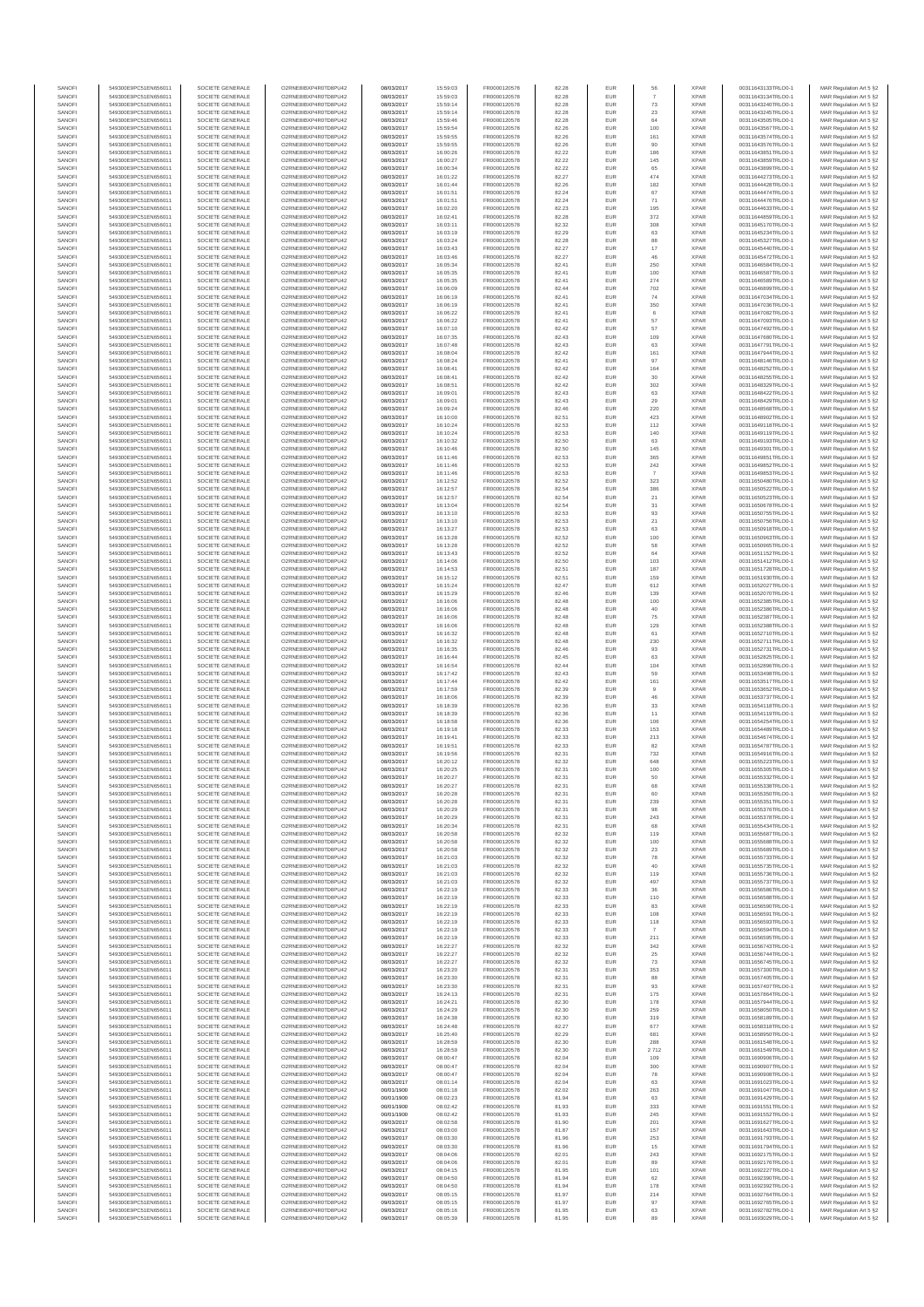| SANOF                                | 549300E9PC51EN656011                         | SOCIETE GENERALE                     | O2RNE8IBXP4R0TD8PU42                          | 08/03/2017               | 15:59:03             | FR0000120578                 | 82.28          | EUR               | 56                   | <b>XPAR</b>                | 00311643133TRLO0-1                       | MAR Regulation Art 5 §2                                                       |
|--------------------------------------|----------------------------------------------|--------------------------------------|-----------------------------------------------|--------------------------|----------------------|------------------------------|----------------|-------------------|----------------------|----------------------------|------------------------------------------|-------------------------------------------------------------------------------|
| SANOFI<br>SANOFI                     | 549300E9PC51EN656011<br>549300E9PC51EN656011 | SOCIETE GENERALE<br>SOCIETE GENERALE | O2RNE8IBXP4R0TD8PU42                          | 08/03/2017<br>08/03/2017 | 15:59:03<br>15:59:14 | FR0000120578<br>FR0000120578 | 82.28          | EUR<br>EUR        | 73                   | <b>XPAR</b><br><b>XPAR</b> | 00311643134TRLO0-1                       | MAR Regulation Art 5 §2                                                       |
| SANOFI                               | 549300E9PC51EN656011                         | SOCIETE GENERALE                     | O2RNE8IBXP4R0TD8PU42<br>O2RNE8IBXP4R0TD8PU42  | 08/03/2017               | 15:59:14             | FR0000120578                 | 82.28<br>82.28 | EUR               | 23                   | <b>XPAR</b>                | 00311643240TRLO0-1<br>00311643245TRLO0-1 | MAR Regulation Art 5 §2<br>MAR Regulation Art 5 §2                            |
| SANOFI                               | 549300E9PC51EN656011                         | SOCIETE GENERALE                     | O2RNE8IBXP4R0TD8PU42                          | 08/03/2017               | 15:59:46             | FR0000120578                 | 82.28          | EUR               | 64                   | <b>XPAR</b>                | 00311643505TRLO0-1                       | MAR Regulation Art 5 §2                                                       |
| SANOFI                               | 549300E9PC51EN656011                         | SOCIETE GENERALE                     | O2RNE8IBXP4R0TD8PU42                          | 08/03/2017               | 15:59:54             | FR0000120578                 | 82.26          | EUR               | 100                  | <b>XPAR</b>                | 00311643567TRLO0-1                       | MAR Regulation Art 5 §2                                                       |
| SANOFI<br>SANOFI                     | 549300E9PC51EN656011<br>549300E9PC51EN656011 | SOCIETE GENERALE<br>SOCIETE GENERALE | O2RNE8IBXP4R0TD8PLI42<br>O2RNE8IBXP4R0TD8PU42 | 08/03/2017<br>08/03/2017 | 15:59:55<br>15:59:55 | FR0000120578<br>FR0000120578 | 82.26<br>82.26 | EUR<br>EUR        | 161<br>90            | <b>XPAR</b><br><b>XPAR</b> | 00311643574TRLO0-1<br>00311643576TRLO0-1 | MAR Regulation Art 5 §2<br>MAR Regulation Art 5 §2                            |
| SANOFI                               | 549300E9PC51EN656011                         | SOCIETE GENERALE                     | O2RNE8IBXP4R0TD8PU42                          | 08/03/2017               | 16:00:26             | FR0000120578                 | 82.22          | EUR               | 186                  | <b>XPAR</b>                | 00311643851TRLO0-1                       | MAR Regulation Art 5 §2                                                       |
| SANOFI                               | 549300E9PC51EN656011                         | SOCIETE GENERALE                     | O2RNE8IBXP4R0TD8PU42                          | 08/03/2017               | 16:00:27             | FR0000120578                 | 82.22          | EUR               | 145                  | <b>XPAR</b>                | 00311643859TRLO0-1                       | MAR Regulation Art 5 §2                                                       |
| SANOFI<br>SANOFI                     | 549300E9PC51EN656011<br>549300E9PC51EN656011 | SOCIETE GENERALE<br>SOCIETE GENERALE | O2RNE8IBXP4R0TD8PU42<br>O2RNE8IBXP4R0TD8PU42  | 08/03/2017<br>08/03/2017 | 16:00:34<br>16:01:22 | FR0000120578<br>FR0000120578 | 82.22<br>82.27 | EUR<br>EUR        | 65<br>474            | <b>XPAR</b><br><b>XPAR</b> | 00311643899TRLO0-1<br>00311644273TRLO0-1 | MAR Regulation Art 5 §2<br>MAR Regulation Art 5 §2                            |
| SANOFI                               | 549300E9PC51EN656011                         | SOCIETE GENERALE                     | O2RNE8IBXP4R0TD8PU42                          | 08/03/2017               | 16:01:44             | FR0000120578                 | 82.26          | EUR               | 182                  | <b>XPAR</b>                | 00311644428TRLO0-1                       | MAR Regulation Art 5 §2                                                       |
| SANOFI                               | 549300E9PC51EN656011                         | SOCIETE GENERALE                     | O2RNE8IBXP4R0TD8PU42                          | 08/03/2017               | 16:01:51             | FR0000120578                 | 82.24          | EUR               | 67                   | <b>XPAR</b>                | 00311644474TRLO0-1                       | MAR Regulation Art 5 §2                                                       |
| SANOFI                               | 549300E9PC51EN656011                         | SOCIETE GENERALE                     | O2RNE8IBXP4R0TD8PU42                          | 08/03/2017               | 16:01:51             | FR0000120578                 | 82.24          | EUR               | 71                   | <b>XPAR</b>                | 00311644476TRLO0-1                       | MAR Regulation Art 5 §2                                                       |
| SANOFI<br>SANOFI                     | 549300E9PC51EN656011<br>549300E9PC51EN656011 | SOCIETE GENERALE<br>SOCIETE GENERALE | O2RNE8IBXP4R0TD8PU42<br>O2RNE8IBXP4R0TD8PU42  | 08/03/2017<br>08/03/2017 | 16:02:20<br>16:02:41 | FR0000120578<br>FR0000120578 | 82.23<br>82.28 | EUR<br>EUR        | 195<br>372           | <b>XPAR</b><br><b>XPAR</b> | 00311644633TRLO0-1<br>00311644859TRLO0-1 | MAR Regulation Art 5 §2<br>MAR Regulation Art 5 §2                            |
| SANOFI                               | 549300E9PC51EN656011                         | SOCIETE GENERALE                     | O2RNE8IBXP4R0TD8PU42                          | 08/03/2017               | 16:03:11             | FR0000120578                 | 82.32          | EUR               | 308                  | <b>XPAR</b>                | 00311645170TRLO0-1                       | MAR Regulation Art 5 §2                                                       |
| SANOFI                               | 549300E9PC51EN656011                         | SOCIETE GENERALE                     | O2RNE8IBXP4R0TD8PU42                          | 08/03/2017               | 16:03:19             | FR0000120578                 | 82.29          | EUR               | 63                   | <b>XPAR</b>                | 00311645234TRLO0-1                       | MAR Regulation Art 5 §2                                                       |
| SANOFI                               | 549300E9PC51EN656011                         | SOCIETE GENERALE                     | O2RNE8IBXP4R0TD8PU42                          | 08/03/2017               | 16:03:24             | FR0000120578                 | 82.28          | EUR               | 88                   | <b>XPAR</b>                | 00311645327TRLO0-1                       | MAR Regulation Art 5 §2                                                       |
| SANOFI<br>SANOFI                     | 549300E9PC51EN656011<br>549300E9PC51EN656011 | SOCIETE GENERALE<br>SOCIETE GENERALE | O2RNE8IBXP4R0TD8PU42<br>O2RNE8IBXP4R0TD8PU42  | 08/03/2017<br>08/03/2017 | 16:03:43<br>16:03:46 | FR0000120578<br>FR0000120578 | 82.27<br>82.27 | EUR<br>EUR        | $17\,$<br>46         | <b>XPAR</b><br><b>XPAR</b> | 00311645440TRLO0-1<br>00311645472TRLO0-1 | MAR Regulation Art 5 §2<br>MAR Regulation Art 5 §2                            |
| SANOFI                               | 549300E9PC51EN656011                         | SOCIETE GENERALE                     | O2RNE8IBXP4R0TD8PU42                          | 08/03/2017               | 16:05:34             | FR0000120578                 | 82.41          | <b>EUR</b>        | 250                  | <b>XPAR</b>                | 00311646584TRLO0-1                       | MAR Regulation Art 5 §2                                                       |
| SANOFI                               | 549300E9PC51EN656011                         | SOCIETE GENERALE                     | O2RNE8IBXP4R0TD8PU42                          | 08/03/2017               | 16:05:35             | FR0000120578                 | 82.41          | EUR               | 100                  | <b>XPAR</b>                | 00311646587TRLO0-1                       | MAR Regulation Art 5 §2                                                       |
| SANOFI<br>SANOFI                     | 549300E9PC51EN656011<br>549300E9PC51EN656011 | SOCIETE GENERALE<br>SOCIETE GENERALE | O2RNE8IBXP4R0TD8PU42<br>O2RNE8IBXP4R0TD8PU42  | 08/03/2017<br>08/03/2017 | 16:05:35<br>16:06:09 | FR0000120578<br>FR0000120578 | 82.41<br>82.44 | EUR<br>EUR        | 274<br>702           | <b>XPAR</b><br><b>XPAR</b> | 00311646589TRLO0-1<br>00311646899TRLO0-1 | MAR Regulation Art 5 §2<br>MAR Regulation Art 5 §2                            |
| SANOFI                               | 549300E9PC51EN656011                         | SOCIETE GENERALE                     | O2RNE8IBXP4R0TD8PU42                          | 08/03/2017               | 16:06:19             | FR0000120578                 | 82.41          | EUR               | 74                   | <b>XPAR</b>                | 00311647034TRLO0-1                       | MAR Regulation Art 5 §2                                                       |
| SANOFI                               | 549300E9PC51EN656011                         | SOCIETE GENERALE                     | O2RNE8IBXP4R0TD8PU42                          | 08/03/2017               | 16:06:19             | FR0000120578                 | 82.41          | EUR               | 350                  | <b>XPAR</b>                | 00311647036TRLO0-1                       | MAR Regulation Art 5 §2                                                       |
| SANOFI                               | 549300E9PC51EN656011                         | SOCIETE GENERALE                     | O2RNE8IBXP4R0TD8PU42                          | 08/03/2017               | 16:06:22             | FR0000120578                 | 82.41          | EUR               | $_{\rm 6}$           | <b>XPAR</b>                | 00311647082TRLO0-1                       | MAR Regulation Art 5 §2                                                       |
| SANOFI<br>SANOFI                     | 549300E9PC51EN656011<br>549300E9PC51EN656011 | SOCIETE GENERALE<br>SOCIETE GENERALE | O2RNE8IBXP4R0TD8PU42<br>O2RNE8IBXP4R0TD8PU42  | 08/03/2017<br>08/03/2017 | 16:06:22<br>16:07:10 | FR0000120578<br>FR0000120578 | 82.41<br>82.42 | EUR<br>EUR        | 57<br>57             | <b>XPAR</b><br><b>XPAR</b> | 00311647093TRLO0-1<br>00311647492TRLO0-1 | MAR Regulation Art 5 §2<br>MAR Regulation Art 5 §2                            |
| SANOFI                               | 549300E9PC51EN656011                         | SOCIETE GENERALE                     | O2RNE8IBXP4R0TD8PU42                          | 08/03/2017               | 16:07:35             | FR0000120578                 | 82.43          | EUR               | 109                  | <b>XPAR</b>                | 00311647680TRLO0-1                       | MAR Regulation Art 5 §2                                                       |
| SANOFI                               | 549300E9PC51EN656011                         | SOCIETE GENERALE                     | O2RNE8IBXP4R0TD8PU42                          | 08/03/2017               | 16:07:48             | FR0000120578                 | 82.43          | EUR               | 63                   | <b>XPAR</b>                | 00311647791TRLO0-1                       | MAR Regulation Art 5 §2                                                       |
| SANOFI<br>SANOFI                     | 549300E9PC51EN656011<br>549300E9PC51EN656011 | SOCIETE GENERALE<br>SOCIETE GENERALE | O2RNE8IBXP4R0TD8PU42<br>O2RNE8IBXP4R0TD8PU42  | 08/03/2017<br>08/03/2017 | 16:08:04<br>16:08:24 | FR0000120578<br>FR0000120578 | 82.42<br>82.41 | EUR<br>EUR        | 161<br>97            | <b>XPAR</b><br><b>XPAR</b> | 00311647944TRLO0-1<br>00311648146TRLO0-1 | MAR Regulation Art 5 §2                                                       |
| SANOFI                               | 549300E9PC51EN656011                         | SOCIETE GENERALE                     | O2RNE8IBXP4R0TD8PU42                          | 08/03/2017               | 16:08:41             | FR0000120578                 | 82.42          | EUR               | 164                  | <b>XPAR</b>                | 00311648252TRLO0-1                       | MAR Regulation Art 5 §2<br>MAR Regulation Art 5 §2                            |
| SANOFI                               | 549300E9PC51EN656011                         | SOCIETE GENERALE                     | O2RNE8IBXP4R0TD8PU42                          | 08/03/2017               | 16:08:41             | FR0000120578                 | 82.42          | EUR               | 30                   | <b>XPAR</b>                | 00311648255TRLO0-1                       | MAR Regulation Art 5 §2                                                       |
| SANOFI                               | 549300E9PC51EN656011                         | SOCIETE GENERALE                     | O2RNE8IBXP4R0TD8PU42                          | 08/03/2017               | 16:08:51             | FR0000120578                 | 82.42          | EUR               | 302                  | <b>XPAR</b>                | 00311648329TRLO0-1                       | MAR Regulation Art 5 §2                                                       |
| SANOFI<br>SANOFI                     | 549300E9PC51EN656011<br>549300E9PC51EN656011 | SOCIETE GENERALE<br>SOCIETE GENERALE | O2RNE8IBXP4R0TD8PU42<br>O2RNE8IBXP4R0TD8PU42  | 08/03/2017<br>08/03/2017 | 16:09:01<br>16:09:01 | FR0000120578<br>FR0000120578 | 82.43<br>82.43 | EUR<br>EUR        | 63<br>29             | <b>XPAR</b><br><b>XPAR</b> | 00311648422TRLO0-1<br>00311648429TRLO0-1 | MAR Regulation Art 5 §2<br>MAR Regulation Art 5 §2                            |
| SANOFI                               | 549300E9PC51EN656011                         | SOCIETE GENERALE                     | O2RNE8IBXP4R0TD8PU42                          | 08/03/2017               | 16:09:24             | FR0000120578                 | 82.46          | <b>EUR</b>        | 220                  | <b>XPAR</b>                | 00311648568TRLO0-1                       | MAR Regulation Art 5 §2                                                       |
| SANOFI                               | 549300E9PC51EN656011                         | SOCIETE GENERALE                     | O2RNE8IBXP4R0TD8PU42                          | 08/03/2017               | 16:10:00             | FR0000120578                 | 82.51          | EUR               | 423                  | <b>XPAR</b>                | 00311648902TRLO0-1                       | MAR Regulation Art 5 §2                                                       |
| SANOFI                               | 549300E9PC51EN656011                         | SOCIETE GENERALE                     | O2RNE8IBXP4R0TD8PU42                          | 08/03/2017               | 16:10:24             | FR0000120578                 | 82.53          | EUR               | 112                  | <b>XPAR</b>                | 00311649118TRLO0-1                       | MAR Regulation Art 5 §2                                                       |
| SANOFI<br>SANOFI                     | 549300E9PC51EN656011<br>549300E9PC51EN656011 | SOCIETE GENERALE<br>SOCIETE GENERALE | O2RNE8IBXP4R0TD8PU42<br>O2RNE8IBXP4R0TD8PU42  | 08/03/2017<br>08/03/2017 | 16:10:24<br>16:10:32 | FR0000120578<br>FR0000120578 | 82.53<br>82.50 | EUR<br>EUR        | 140<br>63            | <b>XPAR</b><br><b>XPAR</b> | 00311649119TRLO0-1<br>00311649193TRLO0-1 | MAR Regulation Art 5 §2<br>MAR Regulation Art 5 §2                            |
| SANOFI                               | 549300E9PC51EN656011                         | SOCIETE GENERALE                     | O2RNE8IBXP4R0TD8PU42                          | 08/03/2017               | 16:10:46             | FR0000120578                 | 82.50          | EUR               | 145                  | <b>XPAR</b>                | 00311649301TRLO0-1                       | MAR Regulation Art 5 §2                                                       |
| SANOFI                               | 549300E9PC51EN656011                         | SOCIETE GENERALE                     | O2RNE8IBXP4R0TD8PU42                          | 08/03/2017               | 16:11:46             | FR0000120578                 | 82.53          | EUR               | 365                  | <b>XPAR</b>                | 00311649851TRLO0-1                       | MAR Regulation Art 5 §2                                                       |
| SANOFI                               | 549300E9PC51EN656011                         | SOCIETE GENERALE                     | O2RNE8IBXP4R0TD8PU42<br>O2RNE8IBXP4R0TD8PU42  | 08/03/2017               | 16:11:46             | FR0000120578<br>FR0000120578 | 82.53          | EUR               | ${\bf 242}$          | <b>XPAR</b>                | 00311649852TRLO0-1                       | MAR Regulation Art 5 §2                                                       |
| SANOFI<br>SANOFI                     | 549300E9PC51EN656011<br>549300E9PC51EN656011 | SOCIETE GENERALE<br>SOCIETE GENERALE | O2RNE8IBXP4R0TD8PU42                          | 08/03/2017<br>08/03/2017 | 16:11:46<br>16:12:52 | FR0000120578                 | 82.53<br>82.52 | EUR<br>EUR        | 323                  | <b>XPAR</b><br><b>XPAR</b> | 00311649853TRLO0-1<br>00311650480TRLO0-1 | MAR Regulation Art 5 §2<br>MAR Regulation Art 5 §2                            |
| SANOFI                               | 549300E9PC51EN656011                         | SOCIETE GENERALE                     | O2RNE8IBXP4R0TD8PU42                          | 08/03/2017               | 16:12:57             | FR0000120578                 | 82.54          | EUR               | 386                  | <b>XPAR</b>                | 00311650522TRLO0-1                       | MAR Regulation Art 5 §2                                                       |
| SANOFI                               | 549300E9PC51EN656011                         | SOCIETE GENERALE                     | O2RNE8IBXP4R0TD8PU42                          | 08/03/2017               | 16:12:57             | FR0000120578                 | 82.54          | EUR               | 21                   | <b>XPAR</b>                | 00311650523TRLO0-1                       | MAR Regulation Art 5 §2                                                       |
| SANOFI<br>SANOFI                     | 549300E9PC51EN656011                         | SOCIETE GENERALE                     | O2RNE8IBXP4R0TD8PU42<br>O2RNE8IBXP4R0TD8PU42  | 08/03/2017               | 16:13:04             | FR0000120578<br>FR0000120578 | 82.54<br>82.53 | EUR<br>EUR        | 31<br>$93\,$         | <b>XPAR</b><br><b>XPAR</b> | 00311650678TRLO0-1                       | MAR Regulation Art 5 §2<br>MAR Regulation Art 5 §2                            |
| SANOFI                               | 549300E9PC51EN656011<br>549300E9PC51EN656011 | SOCIETE GENERALE<br>SOCIETE GENERALE | O2RNESIBXP4R0TD8PLI42                         | 08/03/2017<br>08/03/2017 | 16:13:10<br>16:13:10 | FR0000120578                 | 82.53          | EUR               | 21                   | <b>XPAR</b>                | 00311650755TRLO0-1<br>00311650756TRLO0-1 | MAR Regulation Art 5 §2                                                       |
| SANOFI                               | 549300E9PC51EN656011                         | SOCIETE GENERALE                     | O2RNE8IBXP4R0TD8PU42                          | 08/03/2017               | 16:13:27             | FR0000120578                 | 82.53          | EUR               | 63                   | <b>XPAR</b>                | 00311650918TRLO0-1                       | MAR Regulation Art 5 §2                                                       |
| SANOFI                               | 549300E9PC51EN656011                         | SOCIETE GENERALE                     | O2RNE8IBXP4R0TD8PU42                          | 08/03/2017               | 16:13:28             | FR0000120578                 | 82.52          | EUR               | 100                  | <b>XPAR</b>                | 00311650963TRLO0-1                       | MAR Regulation Art 5 §2                                                       |
| SANOFI<br>SANOFI                     | 549300E9PC51EN656011<br>549300E9PC51EN656011 | SOCIETE GENERALE<br>SOCIETE GENERALE | O2RNE8IBXP4R0TD8PU42<br>O2RNE8IBXP4R0TD8PU42  | 08/03/2017<br>08/03/2017 | 16:13:28<br>16:13:43 | FR0000120578<br>FR0000120578 | 82.52<br>82.52 | EUR<br><b>EUR</b> | 58<br>64             | <b>XPAR</b><br><b>XPAR</b> | 00311650965TRLO0-1<br>00311651152TRLO0-1 | MAR Regulation Art 5 §2<br>MAR Regulation Art 5 §2                            |
| SANOFI                               | 549300E9PC51EN656011                         | SOCIETE GENERALE                     | O2RNE8IBXP4R0TD8PU42                          | 08/03/2017               | 16:14:06             | FR0000120578                 | 82.50          | EUR               | 103                  | <b>XPAR</b>                | 00311651412TRLO0-1                       | MAR Regulation Art 5 §2                                                       |
| SANOFI                               | 549300E9PC51EN656011                         | SOCIETE GENERALE                     | O2RNE8IBXP4R0TD8PU42                          | 08/03/2017               | 16:14:53             | FR0000120578                 | 82.51          | EUR               | 187                  | <b>XPAR</b>                | 00311651728TRLO0-1                       | MAR Regulation Art 5 §2                                                       |
| SANOFI                               | 549300E9PC51EN656011                         | SOCIETE GENERALE                     | O2RNE8IBXP4R0TD8PU42                          | 08/03/2017               | 16:15:12             | FR0000120578                 | 82.51          | EUR               | 159                  | <b>XPAR</b>                | 00311651930TRLO0-1                       | MAR Regulation Art 5 §2                                                       |
| SANOFI<br>SANOFI                     | 549300E9PC51EN656011<br>549300E9PC51EN656011 | SOCIETE GENERALE<br>SOCIETE GENERALE | O2RNE8IBXP4R0TD8PU42<br>O2RNE8IBXP4R0TD8PU42  | 08/03/2017<br>08/03/2017 | 16:15:24<br>16:15:29 | FR0000120578<br>FR0000120578 | 82.47<br>82.46 | EUR<br>EUR        | 612<br>139           | <b>XPAR</b><br><b>XPAR</b> | 00311652027TRLO0-1<br>00311652070TRLO0-1 | MAR Regulation Art 5 §2<br>MAR Regulation Art 5 §2                            |
| SANOFI                               | 549300E9PC51EN656011                         | SOCIETE GENERALE                     | O2RNE8IBXP4R0TD8PU42                          | 08/03/2017               | 16:16:06             | FR0000120578                 | 82.48          | EUR               | 100                  | <b>XPAR</b>                | 00311652385TRLO0-1                       | MAR Regulation Art 5 §2                                                       |
| SANOFI                               | 549300E9PC51EN656011                         | SOCIETE GENERALE                     | O2RNE8IBXP4R0TD8PU42                          | 08/03/2017               | 16:16:06             | FR0000120578                 | 82.48          | <b>EUR</b>        | 40                   | <b>XPAR</b>                | 00311652386TRLO0-1                       | MAR Regulation Art 5 §2                                                       |
| SANOFI                               | 549300E9PC51EN656011                         | SOCIETE GENERALE                     | O2RNE8IBXP4R0TD8PU42                          | 08/03/2017               | 16:16:06             | FR0000120578                 | 82.48          | EUR               | 75                   | <b>XPAR</b>                | 00311652387TRLO0-1                       | MAR Regulation Art 5 §2                                                       |
| SANOFI<br>SANOFI                     | 549300E9PC51EN656011<br>549300E9PC51EN656011 | SOCIETE GENERALE<br>SOCIETE GENERALE | O2RNE8IBXP4R0TD8PU42<br>O2RNE8IBXP4R0TD8PU42  | 08/03/2017<br>08/03/2017 | 16:16:06<br>16:16:32 | FR0000120578<br>FR0000120578 | 82.48<br>82.48 | EUR<br>EUR        | 129<br>61            | <b>XPAR</b><br><b>XPAR</b> | 00311652388TRLO0-1<br>00311652710TRLO0-1 | MAR Regulation Art 5 §2<br>MAR Regulation Art 5 §2                            |
| SANOFI                               | 549300E9PC51EN656011                         | SOCIETE GENERALE                     | O2RNE8IBXP4R0TD8PU42                          | 08/03/2017               | 16:16:32             | FR0000120578                 | 82.48          | EUR               | 230                  | <b>XPAR</b>                | 00311652711TRLO0-1                       | MAR Regulation Art 5 §2                                                       |
| SANOFI                               | 549300E9PC51EN656011                         | SOCIETE GENERALE                     | O2RNE8IBXP4R0TD8PU42                          | 08/03/2017               | 16:16:35             | FR0000120578                 | 82.46          | EUR               | 93                   | <b>XPAR</b>                | 00311652731TRLO0-1                       | MAR Regulation Art 5 §2                                                       |
| SANOFI<br>SANOFI                     | 549300E9PC51EN656011<br>549300E9PC51EN656011 | SOCIETE GENERALE<br>SOCIETE GENERALE | O2RNE8IBXP4R0TD8PU42<br>O2RNE8IBXP4R0TD8PU42  | 08/03/2017<br>08/03/2017 | 16:16:44<br>16:16:54 | FR0000120578<br>FR0000120578 | 82.45<br>82.44 | EUR<br>EUR        | 63<br>104            | <b>XPAR</b><br><b>XPAR</b> | 00311652825TRLO0-1<br>00311652896TRLO0-1 | MAR Regulation Art 5 §2<br>MAR Regulation Art 5 §2                            |
| SANOFI                               | 549300E9PC51EN656011                         | SOCIETE GENERALE                     | O2RNE8IBXP4R0TD8PU42                          | 08/03/2017               | 16:17:42             | FR0000120578                 | 82.43          | EUR               | 59                   | <b>XPAR</b>                | 00311653498TRLO0-1                       | MAR Regulation Art 5 §2                                                       |
| SANOFI                               | 549300E9PC51EN656011                         | SOCIETE GENERALE                     | O2RNE8IBXP4R0TD8PU42                          | 08/03/2017               | 16:17:44             | FR0000120578                 | 82.42          | EUR               | 161                  | <b>XPAR</b>                | 00311653517TRLO0-1                       | MAR Regulation Art 5 §2                                                       |
| SANOFI<br>SANOFI                     | 549300E9PC51EN656011<br>549300E9PC51EN656011 | SOCIETE GENERALE<br>SOCIETE GENERALE | O2RNE8IBXP4R0TD8PU42<br>O2RNE8IBXP4R0TD8PU42  | 08/03/2017<br>08/03/2017 | 16:17:59<br>16:18:06 | FR0000120578<br>FR0000120578 | 82.39<br>82.39 | EUR<br><b>EUR</b> | $\overline{9}$<br>46 | <b>XPAR</b><br><b>XPAR</b> | 00311653652TRLO0-1<br>00311653737TRLO0-1 | MAR Regulation Art 5 §2                                                       |
| SANOFI                               | 549300E9PC51EN656011                         | SOCIETE GENERALE                     | O2RNE8IBXP4R0TD8PU42                          | 08/03/2017               | 16:18:39             | FR0000120578                 | 82.36          | EUR               | 33                   | <b>XPAR</b>                | 00311654118TRLO0-1                       | MAR Regulation Art 5 §2<br>MAR Regulation Art 5 §2                            |
| SANOFI                               | 549300E9PC51EN656011                         | SOCIETE GENERALE                     | O2RNE8IBXP4R0TD8PU42                          | 08/03/2017               | 16:18:39             | FR0000120578                 | 82.36          | EUR               | 11                   | <b>XPAR</b>                | 00311654119TRLO0-1                       | MAR Regulation Art 5 §2                                                       |
| SANOFI                               | 549300E9PC51EN656011                         | SOCIETE GENERALE                     | O2RNE8IBXP4R0TD8PU42                          | 08/03/2017               | 16:18:58             | FR0000120578                 | 82.36          | EUR               | 106                  | <b>XPAR</b>                | 00311654254TRLO0-1                       | MAR Regulation Art 5 §2                                                       |
| SANOFI<br>SANOFI                     | 549300E9PC51EN656011<br>549300E9PC51EN656011 | SOCIETE GENERALE<br>SOCIETE GENERALE | O2RNE8IBXP4R0TD8PU42<br>O2RNE8IBXP4R0TD8PU42  | 08/03/2017<br>08/03/2017 | 16:19:18             | FR0000120578<br>FR0000120578 | 82.33<br>82.33 | EUR<br>EUR        | 153                  | <b>XPAR</b><br><b>XPAR</b> | 00311654489TRLO0-1<br>00311654674TRLO0-1 | MAR Regulation Art 5 §2                                                       |
| SANOFI                               | 549300E9PC51EN656011                         | SOCIETE GENERALE                     | O2RNE8IBXP4R0TD8PU42                          | 08/03/2017               | 16:19:41<br>16:19:51 | FR0000120578                 | 82.33          | EUR               | 213<br>82            | <b>XPAR</b>                | 00311654787TRLO0-1                       | MAR Regulation Art 5 §2<br>MAR Regulation Art 5 §2                            |
| SANOFI                               | 549300E9PC51EN656011                         | SOCIETE GENERALE                     | O2RNE8IBXP4R0TD8PU42                          | 08/03/2017               | 16:19:56             | FR0000120578                 | 82.31          | EUR               | 732                  | <b>XPAR</b>                | 00311654916TRLO0-1                       | MAR Regulation Art 5 §2                                                       |
| SANOFI                               | 549300E9PC51EN656011                         | SOCIETE GENERALE                     | O2RNE8IBXP4R0TD8PU42                          | 08/03/2017               | 16:20:12             | FR0000120578                 | 82.32          | EUR               | 648                  | <b>XPAR</b>                | 00311655223TRLO0-1                       | MAR Regulation Art 5 §2                                                       |
| SANOFI<br>SANOFI                     | 549300E9PC51EN656011<br>549300E9PC51EN656011 | SOCIETE GENERALE<br>SOCIETE GENERALE | O2RNE8IBXP4R0TD8PU42<br>O2RNE8IBXP4R0TD8PU42  | 08/03/2017<br>08/03/2017 | 16:20:25<br>16:20:27 | FR0000120578<br>FR0000120578 | 82.31<br>82.31 | EUR<br>EUR        | 100<br>50            | <b>XPAR</b><br><b>XPAR</b> | 00311655305TRLO0-1<br>00311655332TRLO0-1 | MAR Regulation Art 5 §2<br>MAR Regulation Art 5 §2                            |
| SANOFI                               | 549300E9PC51EN656011                         | SOCIETE GENERALE                     | O2RNE8IBXP4R0TD8PU42                          | 08/03/2017               | 16:20:27             | FR0000120578                 | 82.31          | EUR               | 68                   | <b>XPAR</b>                | 00311655338TRLO0-1                       | MAR Regulation Art 5 §2                                                       |
| SANOFI                               | 549300E9PC51EN656011                         | SOCIETE GENERALE                     | O2RNE8IBXP4R0TD8PU42                          | 08/03/2017               | 16:20:28             | FR0000120578                 | 82.31          | EUR               | 60                   | <b>XPAR</b>                | 00311655350TRLO0-1                       | MAR Regulation Art 5 §2                                                       |
| SANOFI<br>SANOFI                     | 549300E9PC51EN656011<br>549300E9PC51EN656011 | SOCIETE GENERALE<br>SOCIETE GENERALE | O2RNE8IBXP4R0TD8PU42<br>O2RNE8IBXP4R0TD8PU42  | 08/03/2017               | 16:20:28             | FR0000120578                 | 82.31          | EUR<br>EUR        | 239                  | <b>XPAR</b><br><b>XPAR</b> | 00311655351TRLO0-1<br>00311655376TRLO0-1 | MAR Regulation Art 5 §2                                                       |
| SANOFI                               | 549300E9PC51EN656011                         | SOCIETE GENERALE                     | O2RNE8IBXP4R0TD8PU42                          | 08/03/2017<br>08/03/2017 | 16:20:29<br>16:20:29 | FR0000120578<br>FR0000120578 | 82.31<br>82.31 | EUR               | 98<br>243            | <b>XPAR</b>                | 00311655378TRLO0-1                       | MAR Regulation Art 5 §2<br>MAR Regulation Art 5 §2                            |
| SANOFI                               | 549300E9PC51EN656011                         | SOCIETE GENERALE                     | O2RNE8IBXP4R0TD8PU42                          | 08/03/2017               | 16:20:34             | FR0000120578                 | 82.31          | EUR               | 68                   | <b>XPAR</b>                | 00311655434TRLO0-1                       | MAR Regulation Art 5 §2                                                       |
| SANOFI                               | 549300E9PC51EN656011                         | SOCIETE GENERALE                     | O2RNE8IBXP4R0TD8PU42                          | 08/03/2017               | 16:20:58             | FR0000120578                 | 82.32          | EUR               | 119                  | <b>XPAR</b>                | 00311655687TRLO0-1                       | MAR Regulation Art 5 §2                                                       |
| SANOFI<br>SANOFI                     | 549300E9PC51EN656011<br>549300E9PC51EN656011 | SOCIETE GENERALE<br>SOCIETE GENERALE | O2RNE8IBXP4R0TD8PU42<br>O2RNE8IBXP4R0TD8PU42  | 08/03/2017<br>08/03/2017 | 16:20:58<br>16:20:58 | FR0000120578<br>FR0000120578 | 82.32<br>82.32 | <b>EUR</b><br>EUR | 100<br>23            | <b>XPAR</b><br><b>XPAR</b> | 00311655688TRLO0-1<br>00311655689TRLO0-1 | MAR Regulation Art 5 §2<br>MAR Regulation Art 5 §2                            |
| SANOFI                               | 549300E9PC51EN656011                         | SOCIETE GENERALE                     | O2RNE8IBXP4R0TD8PU42                          | 08/03/2017               | 16:21:03             | FR0000120578                 | 82.32          | EUR               | ${\bf 78}$           | <b>XPAR</b>                | 00311655733TRLO0-1                       | MAR Regulation Art 5 §2                                                       |
| SANOFI                               | 549300E9PC51EN656011                         | SOCIETE GENERALE                     | O2RNE8IBXP4R0TD8PU42                          | 08/03/2017               | 16:21:03             | FR0000120578                 | 82.32          | EUR               | 40                   | <b>XPAR</b>                | 00311655735TRLO0-1                       | MAR Regulation Art 5 §2                                                       |
| SANOFI<br>SANOFI                     | 549300E9PC51EN656011<br>549300E9PC51EN656011 | SOCIETE GENERALE<br>SOCIETE GENERALE | O2RNE8IBXP4R0TD8PU42<br>O2RNE8IBXP4R0TD8PU42  | 08/03/2017<br>08/03/2017 | 16:21:03<br>16:21:03 | FR0000120578<br>FR0000120578 | 82.32<br>82.32 | EUR<br><b>EUR</b> | 119<br>497           | <b>XPAR</b><br><b>XPAR</b> | 00311655736TRLO0-1<br>00311655737TRLO0-1 | MAR Regulation Art 5 §2<br>MAR Regulation Art 5 §2                            |
| SANOFI                               | 549300E9PC51EN656011                         | SOCIETE GENERALE                     | O2RNE8IBXP4R0TD8PU42                          | 08/03/2017               | 16:22:19             | FR0000120578                 | 82.33          | EUR               | 36                   | <b>XPAR</b>                | 00311656586TRLO0-1                       | MAR Regulation Art 5 §2                                                       |
| SANOFI                               | 549300E9PC51EN656011                         | SOCIETE GENERALE                     | O2RNE8IBXP4R0TD8PU42                          | 08/03/2017               | 16:22:19             | FR0000120578                 | 82.33          | <b>EUR</b>        | 110                  | <b>XPAR</b>                | 00311656588TRLO0-1                       | MAR Regulation Art 5 §2                                                       |
| SANOFI<br>SANOFI                     | 549300E9PC51EN656011<br>549300E9PC51EN656011 | SOCIETE GENERALE<br>SOCIETE GENERALE | O2RNE8IBXP4R0TD8PU42<br>O2RNE8IBXP4R0TD8PU42  | 08/03/2017<br>08/03/2017 | 16:22:19<br>16:22:19 | FR0000120578<br>FR0000120578 | 82.33<br>82.33 | EUR<br>EUR        | 83<br>108            | <b>XPAR</b><br><b>XPAR</b> | 00311656590TRLO0-1<br>00311656591TRLO0-1 | MAR Regulation Art 5 §2<br>MAR Regulation Art 5 §2                            |
| SANOFI                               | 549300E9PC51EN656011                         | SOCIETE GENERALE                     | O2RNE8IBXP4R0TD8PU42                          | 08/03/2017               | 16:22:19             | FR0000120578                 | 82.33          | EUR               | 118                  | <b>XPAR</b>                | 00311656593TRLO0-1                       | MAR Regulation Art 5 §2                                                       |
| SANOFI                               | 549300E9PC51EN656011                         | SOCIETE GENERALE                     | O2RNE8IBXP4R0TD8PU42                          | 08/03/2017               | 16:22:19             | FR0000120578                 | 82.33          | EUR               | -7                   | <b>XPAR</b>                | 00311656594TRLO0-1                       | MAR Regulation Art 5 §2                                                       |
| SANOFI<br>SANOFI                     | 549300E9PC51EN656011<br>549300E9PC51EN656011 | SOCIETE GENERALE<br>SOCIETE GENERALE | O2RNE8IBXP4R0TD8PU42<br>O2RNE8IBXP4R0TD8PU42  | 08/03/2017<br>08/03/2017 | 16:22:19<br>16:22:27 | FR0000120578<br>FR0000120578 | 82.33<br>82.32 | EUR<br>EUR        | 211<br>342           | <b>XPAR</b><br><b>XPAR</b> | 00311656595TRLO0-1<br>00311656743TRLO0-1 | MAR Regulation Art 5 §2                                                       |
| SANOFI                               | 549300E9PC51EN656011                         | SOCIETE GENERALE                     | O2RNE8IBXP4R0TD8PU42                          | 08/03/2017               | 16:22:27             | FR0000120578                 | 82.32          | <b>EUR</b>        | 25                   | <b>XPAR</b>                | 00311656744TRLO0-1                       | MAR Regulation Art 5 §2<br>MAR Regulation Art 5 §2                            |
| SANOFI                               | 549300E9PC51EN656011                         | SOCIETE GENERALE                     | O2RNE8IBXP4R0TD8PU42                          | 08/03/2017               | 16:22:27             | FR0000120578                 | 82.32          | EUR               | 73                   | <b>XPAR</b>                | 00311656745TRLO0-1                       | MAR Regulation Art 5 §2                                                       |
| SANOFI                               | 549300E9PC51EN656011                         | SOCIETE GENERALE                     | O2RNE8IBXP4R0TD8PU42                          | 08/03/2017               | 16:23:20             | FR0000120578                 | 82.31          | <b>EUR</b>        | 353                  | <b>XPAR</b>                | 00311657300TRLO0-1                       | MAR Regulation Art 5 §2                                                       |
| SANOFI<br>SANOFI                     | 549300E9PC51EN656011<br>549300E9PC51EN656011 | SOCIETE GENERALE<br>SOCIETE GENERALE | O2RNE8IBXP4R0TD8PU42<br>O2RNE8IBXP4R0TD8PU42  | 08/03/2017<br>08/03/2017 | 16:23:30<br>16:23:30 | FR0000120578<br>FR0000120578 | 82.31<br>82.31 | EUR<br>EUR        | 88<br>93             | <b>XPAR</b><br><b>XPAR</b> | 00311657405TRLO0-1<br>00311657407TRLO0-1 | MAR Regulation Art 5 §2<br>MAR Regulation Art 5 §2                            |
| SANOFI                               | 549300E9PC51EN656011                         | SOCIETE GENERALE                     | O2RNE8IBXP4R0TD8PU42                          | 08/03/2017               | 16:24:13             | FR0000120578                 | 82.31          | EUR               | $175\,$              | <b>XPAR</b>                | 00311657864TRLO0-1                       | MAR Regulation Art 5 §2                                                       |
| SANOFI                               | 549300E9PC51EN656011                         | SOCIETE GENERALE                     | O2RNE8IBXP4R0TD8PU42                          | 08/03/2017               | 16:24:21             | FR0000120578                 | 82.30          | EUR               | 178                  | <b>XPAR</b>                | 00311657944TRLO0-1                       | MAR Regulation Art 5 §2                                                       |
| SANOFI<br>SANOFI                     | 549300E9PC51EN656011<br>549300E9PC51EN656011 | SOCIETE GENERALE<br>SOCIETE GENERALE | O2RNE8IBXP4R0TD8PU42<br>O2RNE8IBXP4R0TD8PU42  | 08/03/2017<br>08/03/2017 | 16:24:29<br>16:24:38 | FR0000120578<br>FR0000120578 | 82.30<br>82.30 | EUR<br>EUR        | 259<br>319           | <b>XPAR</b><br><b>XPAR</b> | 00311658050TRLO0-1<br>00311658189TRLO0-1 | MAR Regulation Art 5 §2                                                       |
| SANOFI                               | 549300E9PC51EN656011                         | SOCIETE GENERALE                     | O2RNE8IBXP4R0TD8PU42                          | 08/03/2017               | 16:24:48             | FR0000120578                 | 82.27          | <b>EUR</b>        | 677                  | <b>XPAR</b>                | 00311658318TRLO0-1                       | MAR Regulation Art 5 §2<br>MAR Regulation Art 5 §2                            |
| SANOFI                               | 549300E9PC51EN656011                         | SOCIETE GENERALE                     | O2RNE8IBXP4R0TD8PU42                          | 08/03/2017               | 16:25:40             | FR0000120578                 | 82.29          | EUR               | 681                  | <b>XPAR</b>                | 00311658950TRLO0-1                       | MAR Regulation Art 5 §2                                                       |
| SANOFI                               | 549300E9PC51EN656011                         | SOCIETE GENERALE                     | O2RNE8IBXP4R0TD8PU42                          | 08/03/2017               | 16:28:59             | FR0000120578                 | 82.30          | <b>EUR</b>        | 288                  | <b>XPAR</b>                | 00311661548TRLO0-1                       | MAR Regulation Art 5 §2                                                       |
| SANOFI<br>SANOFI                     | 549300E9PC51EN656011<br>549300E9PC51EN656011 | SOCIETE GENERALE<br>SOCIETE GENERALE | O2RNE8IBXP4R0TD8PU42<br>O2RNE8IBXP4R0TD8PU42  | 08/03/2017<br>08/03/2017 | 16:28:59<br>08:00:47 | FR0000120578<br>FR0000120578 | 82.30<br>82.04 | EUR<br>EUR        | 2712<br>109          | <b>XPAR</b><br><b>XPAR</b> | 00311661549TRLO0-1<br>00311690906TRLO0-1 | MAR Regulation Art 5 §2<br>MAR Regulation Art 5 §2                            |
| SANOFI                               | 549300E9PC51EN656011                         | SOCIETE GENERALE                     | O2RNE8IBXP4R0TD8PU42                          | 08/03/2017               | 08:00:47             | FR0000120578                 | 82.04          | EUR               | 300                  | <b>XPAR</b>                | 00311690907TRLO0-1                       | MAR Regulation Art 5 §2                                                       |
| SANOFI                               | 549300E9PC51EN656011                         | SOCIETE GENERALE                     | O2RNE8IBXP4R0TD8PU42                          | 08/03/2017               | 08:00:47             | FR0000120578                 | 82.04          | EUR               | 78                   | <b>XPAR</b>                | 00311690908TRLO0-1                       | MAR Regulation Art 5 §2                                                       |
| SANOFI                               | 549300E9PC51EN656011                         | SOCIETE GENERALE                     | O2RNE8IBXP4R0TD8PU42                          | 08/03/2017               | 08:01:14             | FR0000120578                 | 82.04          | EUR               | 63                   | <b>XPAR</b>                | 00311691023TRLO0-1                       | MAR Regulation Art 5 §2                                                       |
| SANOFI<br>SANOFI                     | 549300E9PC51EN656011<br>549300E9PC51EN656011 | SOCIETE GENERALE<br>SOCIETE GENERALE | O2RNE8IBXP4R0TD8PU42<br>O2RNE8IBXP4R0TD8PU42  | 00/01/1900<br>00/01/1900 | 08:01:18<br>08:02:23 | FR0000120578<br>FR0000120578 | 82.02<br>81.94 | EUR<br><b>EUR</b> | 263<br>63            | <b>XPAR</b><br><b>XPAR</b> | 00311691047TRLO0-1<br>00311691429TRLO0-1 | MAR Regulation Art 5 §2<br>MAR Regulation Art 5 §2                            |
| SANOFI                               | 549300E9PC51EN656011                         | SOCIETE GENERALE                     | O2RNE8IBXP4R0TD8PU42                          | 00/01/1900               | 08:02:42             | FR0000120578                 | 81.93          | EUR               | 333                  | <b>XPAR</b>                | 00311691551TRLO0-1                       | MAR Regulation Art 5 §2                                                       |
| SANOFI                               | 549300E9PC51EN656011                         | SOCIETE GENERALE                     | O2RNE8IBXP4R0TD8PU42                          | 00/01/1900               | 08:02:42             | FR0000120578                 | 81.93          | <b>EUR</b>        | 245                  | <b>XPAR</b>                | 00311691552TRLO0-1                       | MAR Regulation Art 5 §2                                                       |
| SANOFI                               | 549300E9PC51EN656011                         | SOCIETE GENERALE<br>SOCIETE GENERALE | O2RNE8IBXP4R0TD8PU42<br>O2RNE8IBXP4R0TD8PU42  | 09/03/2017<br>09/03/2017 | 08:02:58<br>08:03:00 | FR0000120578<br>FR0000120578 | 81.90<br>81.87 | EUR<br>EUR        | 201<br>157           | <b>XPAR</b><br><b>XPAR</b> | 00311691627TRLO0-1<br>00311691643TRLO0-1 | MAR Regulation Art 5 §2<br>MAR Regulation Art 5 §2                            |
|                                      |                                              | SOCIETE GENERALE                     | O2RNE8IBXP4R0TD8PU42                          | 09/03/2017               | 08:03:30             | FR0000120578                 | 81.96          | EUR               | $253\,$              | <b>XPAR</b>                | 00311691793TRLO0-1                       | MAR Regulation Art 5 §2                                                       |
|                                      | 549300E9PC51EN656011<br>549300E9PC51EN656011 |                                      |                                               |                          | 08:03:30             | FR0000120578                 | 81.96          | EUR               | 15                   | <b>XPAR</b>                | 00311691794TRLO0-1                       |                                                                               |
|                                      | 549300E9PC51EN656011                         | SOCIETE GENERALE                     | O2RNE8IBXP4R0TD8PU42                          | 09/03/2017               |                      |                              |                |                   |                      |                            |                                          | MAR Regulation Art 5 §2                                                       |
| SANOFI<br>SANOFI<br>SANOFI<br>SANOFI | 549300E9PC51EN656011                         | SOCIETE GENERALE                     | O2RNE8IBXP4R0TD8PU42                          | 09/03/2017               | 08:04:06             | FR0000120578                 | 82.01          | <b>EUR</b>        | 243                  | <b>XPAR</b>                | 00311692175TRLO0-1                       | MAR Regulation Art 5 §2                                                       |
| SANOFI<br>SANOFI                     | 549300E9PC51EN656011<br>549300E9PC51EN656011 | SOCIETE GENERALE<br>SOCIETE GENERALE | O2RNE8IBXP4R0TD8PU42<br>O2RNE8IBXP4R0TD8PU42  | 09/03/2017<br>09/03/2017 | 08:04:06<br>08:04:15 | FR0000120578<br>FR0000120578 | 82.01<br>81.95 | EUR<br><b>EUR</b> | 89<br>101            | <b>XPAR</b><br><b>XPAR</b> | 00311692176TRLO0-1<br>00311692227TRLO0-1 | MAR Regulation Art 5 §2                                                       |
| SANOFI                               | 549300E9PC51EN656011                         | SOCIETE GENERALE                     | O2RNE8IBXP4R0TD8PU42                          | 09/03/2017               | 08:04:50             | FR0000120578                 | 81.94          | EUR               | 62                   | <b>XPAR</b>                | 00311692390TRLO0-1                       | MAR Regulation Art 5 §2<br>MAR Regulation Art 5 §2                            |
| SANOFI                               | 549300E9PC51EN656011                         | SOCIETE GENERALE                     | O2RNE8IBXP4R0TD8PU42                          | 09/03/2017               | 08:04:50             | FR0000120578                 | 81.94          | EUR               | 178                  | <b>XPAR</b>                | 00311692392TRLO0-1                       | MAR Regulation Art 5 §2                                                       |
| SANOFI<br>SANOFI                     | 549300E9PC51EN656011<br>549300E9PC51EN656011 | SOCIETE GENERALE<br>SOCIETE GENERALE | O2RNE8IBXP4R0TD8PU42<br>O2RNE8IBXP4R0TD8PU42  | 09/03/2017<br>09/03/2017 | 08:05:15<br>08:05:15 | FR0000120578<br>FR0000120578 | 81.97<br>81.97 | EUR<br>EUR        | 214                  | <b>XPAR</b><br><b>XPAR</b> | 00311692764TRLO0-1<br>00311692765TRLO0-1 | MAR Regulation Art 5 §2                                                       |
| SANOFI<br>SANOFI                     | 549300E9PC51EN656011<br>549300E9PC51EN656011 | SOCIETE GENERALE<br>SOCIETE GENERALE | O2RNE8IBXP4R0TD8PU42<br>O2RNE8IBXP4R0TD8PU42  | 09/03/2017<br>09/03/2017 | 08:05:16<br>08:05:39 | FR0000120578<br>FR0000120578 | 81.95<br>81.95 | EUR<br>EUR        | 97<br>63<br>89       | <b>XPAR</b><br><b>XPAR</b> | 00311692782TRLO0-1<br>00311693029TRLO0-1 | MAR Regulation Art 5 §2<br>MAR Regulation Art 5 §2<br>MAR Regulation Art 5 §2 |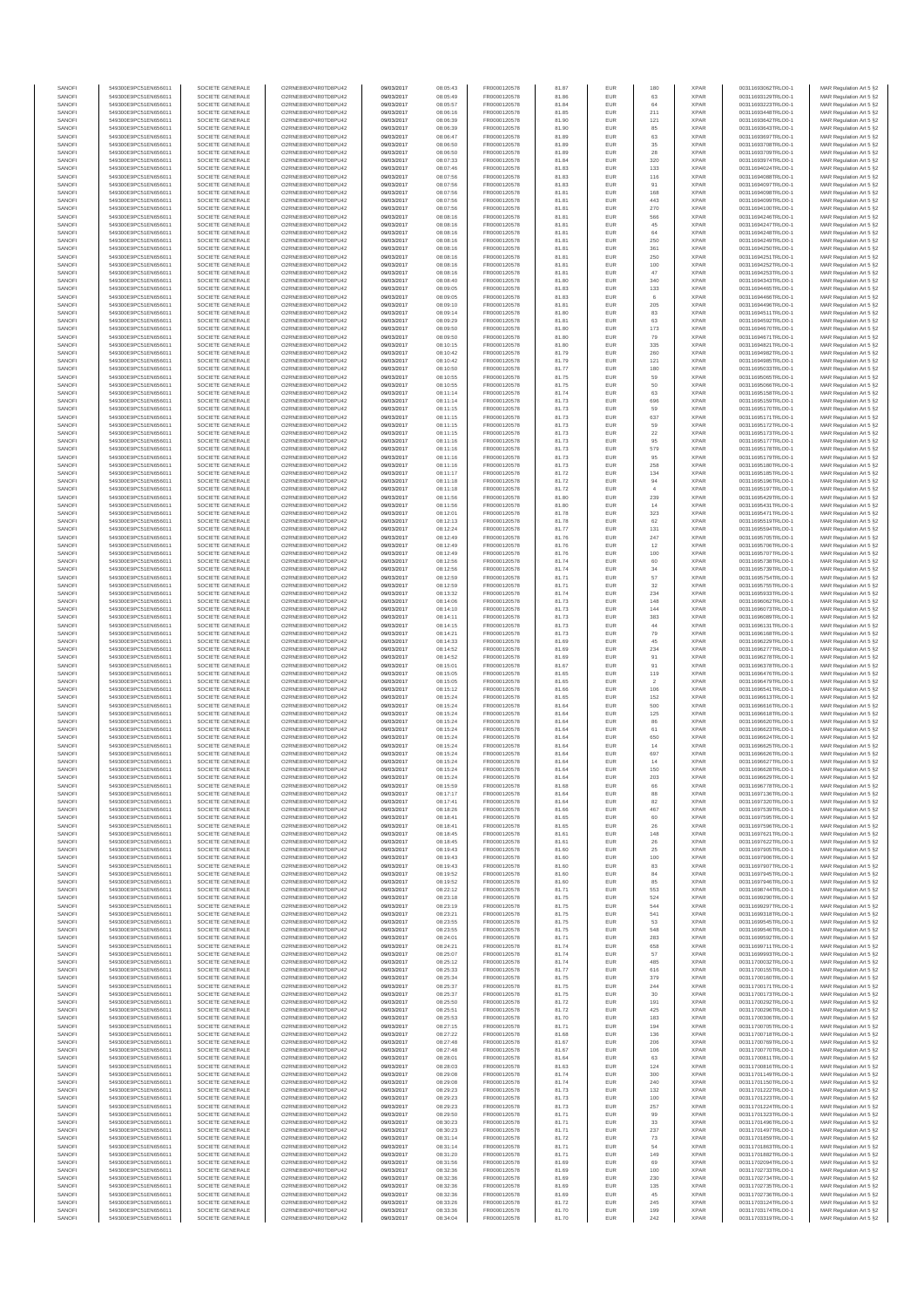| SANOF            | 549300E9PC51EN656011                         | SOCIETE GENERALE                     | O2RNE8IBXP4R0TD8PU42                          | 09/03/2017               | 08:05:43             | FR0000120578                 | 81.87          | EUR               | 180                | <b>XPAR</b>                | 00311693062TRLO0-1                       | MAR Regulation Art 5 §2                            |
|------------------|----------------------------------------------|--------------------------------------|-----------------------------------------------|--------------------------|----------------------|------------------------------|----------------|-------------------|--------------------|----------------------------|------------------------------------------|----------------------------------------------------|
| SANOFI<br>SANOFI | 549300E9PC51EN656011<br>549300E9PC51EN656011 | SOCIETE GENERALE<br>SOCIETE GENERALE | O2RNE8IBXP4R0TD8PU42                          | 09/03/2017<br>09/03/2017 | 08:05:49<br>08:05:57 | FR0000120578<br>FR0000120578 | 81.86<br>81.84 | EUR<br>EUR        | 63<br>64           | <b>XPAR</b><br><b>XPAR</b> | 00311693129TRLO0-1                       | MAR Regulation Art 5 §2                            |
| SANOFI           | 549300E9PC51EN656011                         | SOCIETE GENERALE                     | O2RNE8IBXP4R0TD8PU42<br>O2RNE8IBXP4R0TD8PU42  | 09/03/2017               | 08:06:16             | FR0000120578                 | 81.85          | EUR               | 211                | <b>XPAR</b>                | 00311693223TRLO0-1<br>00311693448TRLO0-1 | MAR Regulation Art 5 §2<br>MAR Regulation Art 5 §2 |
| SANOFI           | 549300E9PC51EN656011                         | SOCIETE GENERALE                     | O2RNE8IBXP4R0TD8PU42                          | 09/03/2017               | 08:06:39             | FR0000120578                 | 81.90          | EUR               | 121                | <b>XPAR</b>                | 00311693642TRLO0-1                       | MAR Regulation Art 5 §2                            |
| SANOFI           | 549300E9PC51EN656011                         | SOCIETE GENERALE                     | O2RNE8IBXP4R0TD8PU42                          | 09/03/2017               | 08:06:39             | FR0000120578                 | 81.90          | EUR               | 85                 | <b>XPAR</b>                | 00311693643TRLO0-1                       | MAR Regulation Art 5 §2                            |
| SANOFI<br>SANOFI | 549300E9PC51EN656011<br>549300E9PC51EN656011 | SOCIETE GENERALE<br>SOCIETE GENERALE | O2RNE8IBXP4R0TD8PLI42<br>O2RNE8IBXP4R0TD8PU42 | 09/03/2017<br>09/03/2017 | 08:06:47<br>08:06:50 | FR0000120578<br>FR0000120578 | 81.89<br>81.89 | EUR<br>EUR        | 63<br>35           | <b>XPAR</b><br><b>XPAR</b> | 00311693697TRLO0-1<br>00311693708TRLO0-1 | MAR Regulation Art 5 §2<br>MAR Regulation Art 5 §2 |
| SANOFI           | 549300E9PC51EN656011                         | SOCIETE GENERALE                     | O2RNE8IBXP4R0TD8PU42                          | 09/03/2017               | 08:06:50             | FR0000120578                 | 81.89          | EUR               | 28                 | <b>XPAR</b>                | 00311693709TRLO0-1                       | MAR Regulation Art 5 §2                            |
| SANOFI           | 549300E9PC51EN656011                         | SOCIETE GENERALE                     | O2RNE8IBXP4R0TD8PU42                          | 09/03/2017               | 08:07:33             | FR0000120578                 | 81.84          | EUR               | 320                | <b>XPAR</b>                | 00311693974TRLO0-1                       | MAR Regulation Art 5 §2                            |
| SANOFI<br>SANOFI | 549300E9PC51EN656011<br>549300E9PC51EN656011 | SOCIETE GENERALE<br>SOCIETE GENERALE | O2RNE8IBXP4R0TD8PU42<br>O2RNE8IBXP4R0TD8PU42  | 09/03/2017<br>09/03/2017 | 08:07:46<br>08:07:56 | FR0000120578<br>FR0000120578 | 81.83<br>81.83 | EUR<br>EUR        | 133<br>116         | <b>XPAR</b><br><b>XPAR</b> | 00311694024TRLO0-1<br>00311694088TRLO0-1 | MAR Regulation Art 5 §2<br>MAR Regulation Art 5 §2 |
| SANOFI           | 549300E9PC51EN656011                         | SOCIETE GENERALE                     | O2RNE8IBXP4R0TD8PU42                          | 09/03/2017               | 08:07:56             | FR0000120578                 | 81.83          | EUR               | 91                 | <b>XPAR</b>                | 00311694097TRLO0-1                       | MAR Regulation Art 5 §2                            |
| SANOFI           | 549300E9PC51EN656011                         | SOCIETE GENERALE                     | O2RNE8IBXP4R0TD8PU42                          | 09/03/2017               | 08:07:56             | FR0000120578                 | 81.81          | EUR               | 168                | <b>XPAR</b>                | 00311694098TRLO0-1                       | MAR Regulation Art 5 §2                            |
| SANOFI           | 549300E9PC51EN656011                         | SOCIETE GENERALE                     | O2RNE8IBXP4R0TD8PU42                          | 09/03/2017               | 08:07:56             | FR0000120578                 | 81.81          | EUR               | 443                | <b>XPAR</b>                | 00311694099TRLO0-1                       | MAR Regulation Art 5 §2                            |
| SANOFI<br>SANOFI | 549300E9PC51EN656011<br>549300E9PC51EN656011 | SOCIETE GENERALE<br>SOCIETE GENERALE | O2RNE8IBXP4R0TD8PU42<br>O2RNE8IBXP4R0TD8PU42  | 09/03/2017<br>09/03/2017 | 08:07:56<br>08:08:16 | FR0000120578<br>FR0000120578 | 81.81<br>81.81 | <b>EUR</b><br>EUR | 270<br>566         | <b>XPAR</b><br><b>XPAR</b> | 00311694100TRLO0-1<br>00311694246TRLO0-1 | MAR Regulation Art 5 §2<br>MAR Regulation Art 5 §2 |
| SANOFI           | 549300E9PC51EN656011                         | SOCIETE GENERALE                     | O2RNE8IBXP4R0TD8PU42                          | 09/03/2017               | 08:08:16             | FR0000120578                 | 81.81          | EUR               | 45                 | <b>XPAR</b>                | 00311694247TRLO0-1                       | MAR Regulation Art 5 §2                            |
| SANOFI           | 549300E9PC51EN656011                         | SOCIETE GENERALE                     | O2RNE8IBXP4R0TD8PU42                          | 09/03/2017               | 08:08:16             | FR0000120578                 | 81.81          | EUR               | 64                 | <b>XPAR</b>                | 00311694248TRLO0-1                       | MAR Regulation Art 5 §2                            |
| SANOFI           | 549300E9PC51EN656011                         | SOCIETE GENERALE                     | O2RNE8IBXP4R0TD8PU42                          | 09/03/2017               | 08:08:16             | FR0000120578                 | 81.81          | EUR               | 250                | <b>XPAR</b>                | 00311694249TRLO0-1                       | MAR Regulation Art 5 §2                            |
| SANOFI<br>SANOFI | 549300E9PC51EN656011<br>549300E9PC51EN656011 | SOCIETE GENERALE<br>SOCIETE GENERALE | O2RNE8IBXP4R0TD8PU42<br>O2RNE8IBXP4R0TD8PU42  | 09/03/2017<br>09/03/2017 | 08:08:16<br>08:08:16 | FR0000120578<br>FR0000120578 | 81.81<br>81.81 | EUR<br>EUR        | 361<br>250         | <b>XPAR</b><br><b>XPAR</b> | 00311694250TRLO0-1<br>00311694251TRLO0-1 | MAR Regulation Art 5 §2<br>MAR Regulation Art 5 §2 |
| SANOFI           | 549300E9PC51EN656011                         | SOCIETE GENERALE                     | O2RNE8IBXP4R0TD8PU42                          | 09/03/2017               | 08:08:16             | FR0000120578                 | 81.81          | <b>EUR</b>        | 100                | <b>XPAR</b>                | 00311694252TRLO0-1                       | MAR Regulation Art 5 §2                            |
| SANOFI           | 549300E9PC51EN656011                         | SOCIETE GENERALE                     | O2RNE8IBXP4R0TD8PU42                          | 09/03/2017               | 08:08:16             | FR0000120578                 | 81.81          | EUR               | 47                 | <b>XPAR</b>                | 00311694253TRLO0-1                       | MAR Regulation Art 5 §2                            |
| SANOFI<br>SANOFI | 549300E9PC51EN656011<br>549300E9PC51EN656011 | SOCIETE GENERALE<br>SOCIETE GENERALE | O2RNE8IBXP4R0TD8PU42<br>O2RNE8IBXP4R0TD8PU42  | 09/03/2017<br>09/03/2017 | 08:08:40<br>08:09:05 | FR0000120578<br>FR0000120578 | 81.80<br>81.83 | EUR<br>EUR        | 340<br>133         | <b>XPAR</b><br><b>XPAR</b> | 00311694343TRLO0-1<br>00311694465TRLO0-1 | MAR Regulation Art 5 §2<br>MAR Regulation Art 5 §2 |
| SANOFI           | 549300E9PC51EN656011                         | SOCIETE GENERALE                     | O2RNE8IBXP4R0TD8PU42                          | 09/03/2017               | 08:09:05             | FR0000120578                 | 81.83          | EUR               | 6                  | <b>XPAR</b>                | 00311694466TRLO0-1                       | MAR Regulation Art 5 §2                            |
| SANOFI           | 549300E9PC51EN656011                         | SOCIETE GENERALE                     | O2RNE8IBXP4R0TD8PU42                          | 09/03/2017               | 08:09:10             | FR0000120578                 | 81.81          | EUR               | $205\,$            | <b>XPAR</b>                | 00311694496TRLO0-1                       | MAR Regulation Art 5 §2                            |
| SANOFI           | 549300E9PC51EN656011                         | SOCIETE GENERALE                     | O2RNE8IBXP4R0TD8PU42                          | 09/03/2017               | 08:09:14             | FR0000120578                 | 81.80          | EUR               | 83                 | <b>XPAR</b>                | 00311694511TRLO0-1                       | MAR Regulation Art 5 §2                            |
| SANOFI<br>SANOFI | 549300E9PC51EN656011<br>549300E9PC51EN656011 | SOCIETE GENERALE<br>SOCIETE GENERALE | O2RNE8IBXP4R0TD8PU42<br>O2RNE8IBXP4R0TD8PU42  | 09/03/2017<br>09/03/2017 | 08:09:29<br>08:09:50 | FR0000120578<br>FR0000120578 | 81.81<br>81.80 | EUR<br>EUR        | 63<br>173          | <b>XPAR</b><br><b>XPAR</b> | 00311694592TRLO0-1<br>00311694670TRLO0-1 | MAR Regulation Art 5 §2<br>MAR Regulation Art 5 §2 |
| SANOFI           | 549300E9PC51EN656011                         | SOCIETE GENERALE                     | O2RNE8IBXP4R0TD8PU42                          | 09/03/2017               | 08:09:50             | FR0000120578                 | 81.80          | EUR               | 79                 | <b>XPAR</b>                | 00311694671TRLO0-1                       | MAR Regulation Art 5 §2                            |
| SANOFI           | 549300E9PC51EN656011                         | SOCIETE GENERALE                     | O2RNE8IBXP4R0TD8PU42                          | 09/03/2017               | 08:10:15             | FR0000120578                 | 81.80          | EUR               | 335                | <b>XPAR</b>                | 00311694821TRLO0-1                       | MAR Regulation Art 5 §2                            |
| SANOFI<br>SANOFI | 549300E9PC51EN656011<br>549300E9PC51EN656011 | SOCIETE GENERALE<br>SOCIETE GENERALE | O2RNE8IBXP4R0TD8PU42<br>O2RNE8IBXP4R0TD8PU42  | 09/03/2017<br>09/03/2017 | 08:10:42<br>08:10:42 | FR0000120578<br>FR0000120578 | 81.79<br>81.79 | EUR<br>EUR        | 260<br>121         | <b>XPAR</b><br><b>XPAR</b> | 00311694982TRLO0-1<br>00311694985TRLO0-1 | MAR Regulation Art 5 §2                            |
| SANOFI           | 549300E9PC51EN656011                         | SOCIETE GENERALE                     | O2RNE8IBXP4R0TD8PU42                          | 09/03/2017               | 08:10:50             | FR0000120578                 | 81.77          | EUR               | 180                | <b>XPAR</b>                | 00311695033TRLO0-1                       | MAR Regulation Art 5 §2<br>MAR Regulation Art 5 §2 |
| SANOFI           | 549300E9PC51EN656011                         | SOCIETE GENERALE                     | O2RNE8IBXP4R0TD8PU42                          | 09/03/2017               | 08:10:55             | FR0000120578                 | 81.75          | EUR               | 59                 | <b>XPAR</b>                | 00311695065TRLO0-1                       | MAR Regulation Art 5 §2                            |
| SANOFI           | 549300E9PC51EN656011                         | SOCIETE GENERALE                     | O2RNE8IBXP4R0TD8PU42                          | 09/03/2017               | 08:10:55             | FR0000120578                 | 81.75          | EUR               | 50                 | <b>XPAR</b>                | 00311695066TRLO0-1                       | MAR Regulation Art 5 §2                            |
| SANOFI<br>SANOFI | 549300E9PC51EN656011<br>549300E9PC51EN656011 | SOCIETE GENERALE<br>SOCIETE GENERALE | O2RNE8IBXP4R0TD8PU42<br>O2RNE8IBXP4R0TD8PU42  | 09/03/2017<br>09/03/2017 | 08:11:14<br>08:11:14 | FR0000120578<br>FR0000120578 | 81.74<br>81.73 | EUR<br>EUR        | 63<br>696          | <b>XPAR</b><br><b>XPAR</b> | 00311695158TRLO0-1<br>00311695159TRLO0-1 | MAR Regulation Art 5 §2<br>MAR Regulation Art 5 §2 |
| SANOFI           | 549300E9PC51EN656011                         | SOCIETE GENERALE                     | O2RNE8IBXP4R0TD8PU42                          | 09/03/2017               | 08:11:15             | FR0000120578                 | 81.73          | EUR               | 59                 | <b>XPAR</b>                | 00311695170TRLO0-1                       | MAR Regulation Art 5 §2                            |
| SANOFI           | 549300E9PC51EN656011                         | SOCIETE GENERALE                     | O2RNE8IBXP4R0TD8PU42                          | 09/03/2017               | 08:11:15             | FR0000120578                 | 81.73          | EUR               | 637                | <b>XPAR</b>                | 00311695171TRLO0-1                       | MAR Regulation Art 5 §2                            |
| SANOFI           | 549300E9PC51EN656011                         | SOCIETE GENERALE                     | O2RNE8IBXP4R0TD8PU42                          | 09/03/2017               | 08:11:15             | FR0000120578                 | 81.73          | EUR               | 59                 | <b>XPAR</b>                | 00311695172TRLO0-1                       | MAR Regulation Art 5 §2                            |
| SANOFI<br>SANOFI | 549300E9PC51EN656011<br>549300E9PC51EN656011 | SOCIETE GENERALE<br>SOCIETE GENERALE | O2RNE8IBXP4R0TD8PU42<br>O2RNE8IBXP4R0TD8PU42  | 09/03/2017<br>09/03/2017 | 08:11:15<br>08:11:16 | FR0000120578<br>FR0000120578 | 81.73<br>81.73 | EUR<br>EUR        | 22<br>95           | <b>XPAR</b><br><b>XPAR</b> | 00311695173TRLO0-1<br>00311695177TRLO0-1 | MAR Regulation Art 5 §2<br>MAR Regulation Art 5 §2 |
| SANOFI           | 549300E9PC51EN656011                         | SOCIETE GENERALE                     | O2RNE8IBXP4R0TD8PU42                          | 09/03/2017               | 08:11:16             | FR0000120578                 | 81.73          | EUR               | 579                | <b>XPAR</b>                | 00311695178TRLO0-1                       | MAR Regulation Art 5 §2                            |
| SANOFI           | 549300E9PC51EN656011                         | SOCIETE GENERALE                     | O2RNE8IBXP4R0TD8PU42                          | 09/03/2017               | 08:11:16             | FR0000120578                 | 81.73          | EUR               | 95                 | <b>XPAR</b>                | 00311695179TRLO0-1                       | MAR Regulation Art 5 §2                            |
| SANOFI           | 549300E9PC51EN656011                         | SOCIETE GENERALE                     | O2RNE8IBXP4R0TD8PU42<br>O2RNE8IBXP4R0TD8PU42  | 09/03/2017               | 08:11:16             | FR0000120578<br>FR0000120578 | 81.73          | EUR               | 258                | <b>XPAR</b>                | 00311695180TRLO0-1                       | MAR Regulation Art 5 §2                            |
| SANOFI<br>SANOFI | 549300E9PC51EN656011<br>549300E9PC51EN656011 | SOCIETE GENERALE<br>SOCIETE GENERALE | O2RNE8IBXP4R0TD8PU42                          | 09/03/2017<br>09/03/2017 | 08:11:17<br>08:11:18 | FR0000120578                 | 81.72<br>81.72 | EUR<br>EUR        | 134<br>94          | <b>XPAR</b><br><b>XPAR</b> | 00311695185TRLO0-1<br>00311695196TRLO0-1 | MAR Regulation Art 5 §2<br>MAR Regulation Art 5 §2 |
| SANOFI           | 549300E9PC51EN656011                         | SOCIETE GENERALE                     | O2RNE8IBXP4R0TD8PU42                          | 09/03/2017               | 08:11:18             | FR0000120578                 | 81.72          | EUR               | $\overline{4}$     | <b>XPAR</b>                | 00311695197TRLO0-1                       | MAR Regulation Art 5 §2                            |
| SANOFI           | 549300E9PC51EN656011                         | SOCIETE GENERALE                     | O2RNE8IBXP4R0TD8PU42                          | 09/03/2017               | 08:11:56             | FR0000120578                 | 81.80          | <b>EUR</b>        | 239                | <b>XPAR</b>                | 00311695429TRLO0-1                       | MAR Regulation Art 5 §2                            |
| SANOFI<br>SANOFI | 549300E9PC51EN656011                         | SOCIETE GENERALE                     | O2RNE8IBXP4R0TD8PU42<br>O2RNE8IBXP4R0TD8PU42  | 09/03/2017               | 08:11:56             | FR0000120578<br>FR0000120578 | 81.80          | EUR<br>EUR        | 14<br>323          | <b>XPAR</b><br><b>XPAR</b> | 00311695431TRLO0-1                       | MAR Regulation Art 5 §2                            |
| SANOFI           | 549300E9PC51EN656011<br>549300E9PC51EN656011 | SOCIETE GENERALE<br>SOCIETE GENERALE | O2RNESIBXP4R0TD8PLI42                         | 09/03/2017<br>09/03/2017 | 08:12:01<br>08:12:13 | FR0000120578                 | 81.78<br>81.78 | EUR               | 62                 | <b>XPAR</b>                | 00311695471TRLO0-1<br>00311695519TRLO0-1 | MAR Regulation Art 5 §2<br>MAR Regulation Art 5 §2 |
| SANOFI           | 549300E9PC51EN656011                         | SOCIETE GENERALE                     | O2RNE8IBXP4R0TD8PU42                          | 09/03/2017               | 08:12:24             | FR0000120578                 | 81.77          | EUR               | 131                | <b>XPAR</b>                | 00311695594TRLO0-1                       | MAR Regulation Art 5 §2                            |
| SANOFI           | 549300E9PC51EN656011                         | SOCIETE GENERALE                     | O2RNE8IBXP4R0TD8PU42                          | 09/03/2017               | 08:12:49             | FR0000120578                 | 81.76          | EUR               | 247                | <b>XPAR</b>                | 00311695705TRLO0-1                       | MAR Regulation Art 5 §2                            |
| SANOFI<br>SANOFI | 549300E9PC51EN656011<br>549300E9PC51EN656011 | SOCIETE GENERALE<br>SOCIETE GENERALE | O2RNE8IBXP4R0TD8PU42<br>O2RNE8IBXP4R0TD8PU42  | 09/03/2017<br>09/03/2017 | 08:12:49<br>08:12:49 | FR0000120578<br>FR0000120578 | 81.76<br>81.76 | EUR<br>EUR        | 12<br>100          | <b>XPAR</b><br><b>XPAR</b> | 00311695706TRLO0-1<br>00311695707TRLO0-1 | MAR Regulation Art 5 §2<br>MAR Regulation Art 5 §2 |
| SANOFI           | 549300E9PC51EN656011                         | SOCIETE GENERALE                     | O2RNE8IBXP4R0TD8PU42                          | 09/03/2017               | 08:12:56             | FR0000120578                 | 81.74          | EUR               | 60                 | <b>XPAR</b>                | 00311695738TRLO0-1                       | MAR Regulation Art 5 §2                            |
| SANOFI           | 549300E9PC51EN656011                         | SOCIETE GENERALE                     | O2RNE8IBXP4R0TD8PU42                          | 09/03/2017               | 08:12:56             | FR0000120578                 | 81.74          | EUR               | 34                 | <b>XPAR</b>                | 00311695739TRLO0-1                       | MAR Regulation Art 5 §2                            |
| SANOFI           | 549300E9PC51EN656011                         | SOCIETE GENERALE                     | O2RNE8IBXP4R0TD8PU42                          | 09/03/2017               | 08:12:59             | FR0000120578                 | 81.71          | EUR               | 57                 | <b>XPAR</b>                | 00311695754TRLO0-1                       | MAR Regulation Art 5 §2                            |
| SANOFI<br>SANOFI | 549300E9PC51EN656011<br>549300E9PC51EN656011 | SOCIETE GENERALE<br>SOCIETE GENERALE | O2RNE8IBXP4R0TD8PU42<br>O2RNE8IBXP4R0TD8PU42  | 09/03/2017<br>09/03/2017 | 08:12:59<br>08:13:32 | FR0000120578<br>FR0000120578 | 81.71<br>81.74 | EUR<br>EUR        | 32<br>234          | <b>XPAR</b><br><b>XPAR</b> | 00311695755TRLO0-1<br>00311695933TRLO0-1 | MAR Regulation Art 5 §2<br>MAR Regulation Art 5 §2 |
| SANOFI           | 549300E9PC51EN656011                         | SOCIETE GENERALE                     | O2RNE8IBXP4R0TD8PU42                          | 09/03/2017               | 08:14:06             | FR0000120578                 | 81.73          | EUR               | 148                | <b>XPAR</b>                | 00311696062TRLO0-1                       | MAR Regulation Art 5 §2                            |
| SANOFI           | 549300E9PC51EN656011                         | SOCIETE GENERALE                     | O2RNE8IBXP4R0TD8PU42                          | 09/03/2017               | 08:14:10             | FR0000120578                 | 81.73          | EUR               | 144                | <b>XPAR</b>                | 00311696073TRLO0-1                       | MAR Regulation Art 5 §2                            |
| SANOFI           | 549300E9PC51EN656011                         | SOCIETE GENERALE                     | O2RNE8IBXP4R0TD8PU42                          | 09/03/2017               | 08:14:11             | FR0000120578                 | 81.73          | EUR               | 383<br>44          | <b>XPAR</b>                | 00311696089TRLO0-1                       | MAR Regulation Art 5 §2                            |
| SANOFI<br>SANOFI | 549300E9PC51EN656011<br>549300E9PC51EN656011 | SOCIETE GENERALE<br>SOCIETE GENERALE | O2RNE8IBXP4R0TD8PU42<br>O2RNE8IBXP4R0TD8PU42  | 09/03/2017<br>09/03/2017 | 08:14:15<br>08:14:21 | FR0000120578<br>FR0000120578 | 81.73<br>81.73 | EUR<br>EUR        | 79                 | <b>XPAR</b><br><b>XPAR</b> | 00311696131TRLO0-1<br>00311696168TRLO0-1 | MAR Regulation Art 5 §2<br>MAR Regulation Art 5 §2 |
| SANOFI           | 549300E9PC51EN656011                         | SOCIETE GENERALE                     | O2RNE8IBXP4R0TD8PU42                          | 09/03/2017               | 08:14:33             | FR0000120578                 | 81.69          | EUR               | 45                 | <b>XPAR</b>                | 00311696229TRLO0-1                       | MAR Regulation Art 5 §2                            |
| SANOFI           | 549300E9PC51EN656011                         | SOCIETE GENERALE                     | O2RNE8IBXP4R0TD8PU42                          | 09/03/2017               | 08:14:52             | FR0000120578                 | 81.69          | EUR               | 234                | <b>XPAR</b>                | 00311696277TRLO0-1                       | MAR Regulation Art 5 §2                            |
| SANOFI<br>SANOFI | 549300E9PC51EN656011<br>549300E9PC51EN656011 | SOCIETE GENERALE<br>SOCIETE GENERALE | O2RNE8IBXP4R0TD8PU42<br>O2RNE8IBXP4R0TD8PU42  | 09/03/2017<br>09/03/2017 | 08:14:52<br>08:15:01 | FR0000120578<br>FR0000120578 | 81.69<br>81.67 | EUR<br>EUR        | 91<br>91           | <b>XPAR</b><br><b>XPAR</b> | 00311696278TRLO0-1<br>00311696378TRLO0-1 | MAR Regulation Art 5 §2<br>MAR Regulation Art 5 §2 |
| SANOFI           | 549300E9PC51EN656011                         | SOCIETE GENERALE                     | O2RNE8IBXP4R0TD8PU42                          | 09/03/2017               | 08:15:05             | FR0000120578                 | 81.65          | EUR               | 119                | <b>XPAR</b>                | 00311696476TRLO0-1                       | MAR Regulation Art 5 §2                            |
| SANOFI           | 549300E9PC51EN656011                         | SOCIETE GENERALE                     | O2RNE8IBXP4R0TD8PU42                          | 09/03/2017               | 08:15:05             | FR0000120578                 | 81.65          | EUR               | $\overline{2}$     | <b>XPAR</b>                | 00311696479TRLO0-1                       | MAR Regulation Art 5 §2                            |
| SANOFI<br>SANOFI | 549300E9PC51EN656011<br>549300E9PC51EN656011 | SOCIETE GENERALE<br>SOCIETE GENERALE | O2RNE8IBXP4R0TD8PU42<br>O2RNE8IBXP4R0TD8PU42  | 09/03/2017<br>09/03/2017 | 08:15:12<br>08:15:24 | FR0000120578<br>FR0000120578 | 81.66<br>81.65 | EUR<br><b>EUR</b> | 106                | <b>XPAR</b><br><b>XPAR</b> | 00311696541TRLO0-1<br>00311696613TRLO0-1 | MAR Regulation Art 5 §2                            |
| SANOFI           | 549300E9PC51EN656011                         | SOCIETE GENERALE                     | O2RNE8IBXP4R0TD8PU42                          | 09/03/2017               | 08:15:24             | FR0000120578                 | 81.64          | EUR               | 152<br>500         | <b>XPAR</b>                | 00311696616TRLO0-1                       | MAR Regulation Art 5 §2<br>MAR Regulation Art 5 §2 |
| SANOFI           | 549300E9PC51EN656011                         | SOCIETE GENERALE                     | O2RNE8IBXP4R0TD8PU42                          | 09/03/2017               | 08:15:24             | FR0000120578                 | 81.64          | EUR               | 125                | <b>XPAR</b>                | 00311696618TRLO0-1                       | MAR Regulation Art 5 §2                            |
| SANOFI           | 549300E9PC51EN656011                         | SOCIETE GENERALE                     | O2RNE8IBXP4R0TD8PU42                          | 09/03/2017               | 08:15:24             | FR0000120578                 | 81.64          | EUR               | 86                 | <b>XPAR</b>                | 00311696620TRLO0-1                       | MAR Regulation Art 5 §2                            |
| SANOFI<br>SANOFI | 549300E9PC51EN656011<br>549300E9PC51EN656011 | SOCIETE GENERALE<br>SOCIETE GENERALE | O2RNE8IBXP4R0TD8PU42<br>O2RNE8IBXP4R0TD8PU42  | 09/03/2017<br>09/03/2017 | 08:15:24             | FR0000120578<br>FR0000120578 | 81.64<br>81.64 | EUR<br>EUR        | 61<br>650          | <b>XPAR</b><br><b>XPAR</b> | 00311696623TRLO0-1<br>00311696624TRLO0-1 | MAR Regulation Art 5 §2                            |
| SANOFI           | 549300E9PC51EN656011                         | SOCIETE GENERALE                     | O2RNE8IBXP4R0TD8PU42                          | 09/03/2017               | 08:15:24<br>08:15:24 | FR0000120578                 | 81.64          | EUR               | 14                 | <b>XPAR</b>                | 00311696625TRLO0-1                       | MAR Regulation Art 5 §2<br>MAR Regulation Art 5 §2 |
| SANOFI           | 549300E9PC51EN656011                         | SOCIETE GENERALE                     | O2RNE8IBXP4R0TD8PU42                          | 09/03/2017               | 08:15:24             | FR0000120578                 | 81.64          | EUR               | 697                | <b>XPAR</b>                | 00311696626TRLO0-1                       | MAR Regulation Art 5 §2                            |
| SANOFI           | 549300E9PC51EN656011                         | SOCIETE GENERALE                     | O2RNE8IBXP4R0TD8PU42                          | 09/03/2017               | 08:15:24             | FR0000120578                 | 81.64          | EUR               | 14                 | <b>XPAR</b>                | 00311696627TRLO0-1                       | MAR Regulation Art 5 §2                            |
| SANOFI<br>SANOFI | 549300E9PC51EN656011<br>549300E9PC51EN656011 | SOCIETE GENERALE<br>SOCIETE GENERALE | O2RNE8IBXP4R0TD8PU42<br>O2RNE8IBXP4R0TD8PU42  | 09/03/2017<br>09/03/2017 | 08:15:24<br>08:15:24 | FR0000120578<br>FR0000120578 | 81.64<br>81.64 | EUR<br>EUR        | 150<br>203         | <b>XPAR</b><br><b>XPAR</b> | 00311696628TRLO0-1<br>00311696629TRLO0-1 | MAR Regulation Art 5 §2<br>MAR Regulation Art 5 §2 |
| SANOFI           | 549300E9PC51EN656011                         | SOCIETE GENERALE                     | O2RNE8IBXP4R0TD8PU42                          | 09/03/2017               | 08:15:59             | FR0000120578                 | 81.68          | EUR               | 66                 | <b>XPAR</b>                | 00311696778TRLO0-1                       | MAR Regulation Art 5 §2                            |
| SANOFI           | 549300E9PC51EN656011                         | SOCIETE GENERALE                     | O2RNE8IBXP4R0TD8PU42                          | 09/03/2017               | 08:17:17             | FR0000120578                 | 81.64          | EUR               | 88                 | <b>XPAR</b>                | 00311697136TRLO0-1                       | MAR Regulation Art 5 §2                            |
| SANOFI<br>SANOFI | 549300E9PC51EN656011<br>549300E9PC51EN656011 | SOCIETE GENERALE<br>SOCIETE GENERALE | O2RNE8IBXP4R0TD8PU42<br>O2RNE8IBXP4R0TD8PU42  | 09/03/2017               | 08:17:41             | FR0000120578                 | 81.64          | EUR<br>EUR        | 82                 | <b>XPAR</b><br><b>XPAR</b> | 00311697320TRLO0-1                       | MAR Regulation Art 5 §2                            |
| SANOFI           | 549300E9PC51EN656011                         | SOCIETE GENERALE                     | O2RNE8IBXP4R0TD8PU42                          | 09/03/2017<br>09/03/2017 | 08:18:26<br>08:18:41 | FR0000120578<br>FR0000120578 | 81.66<br>81.65 | EUR               | 467<br>60          | <b>XPAR</b>                | 00311697539TRLO0-1<br>00311697595TRLO0-1 | MAR Regulation Art 5 §2<br>MAR Regulation Art 5 §2 |
| SANOFI           | 549300E9PC51EN656011                         | SOCIETE GENERALE                     | O2RNE8IBXP4R0TD8PU42                          | 09/03/2017               | 08:18:41             | FR0000120578                 | 81.65          | EUR               | 26                 | <b>XPAR</b>                | 00311697596TRLO0-1                       | MAR Regulation Art 5 §2                            |
| SANOFI           | 549300E9PC51EN656011                         | SOCIETE GENERALE                     | O2RNE8IBXP4R0TD8PU42                          | 09/03/2017               | 08:18:45             | FR0000120578                 | 81.61          | EUR               | 148                | <b>XPAR</b>                | 00311697621TRLO0-1                       | MAR Regulation Art 5 §2                            |
| SANOFI<br>SANOFI | 549300E9PC51EN656011<br>549300E9PC51EN656011 | SOCIETE GENERALE<br>SOCIETE GENERALE | O2RNE8IBXP4R0TD8PU42<br>O2RNE8IBXP4R0TD8PU42  | 09/03/2017<br>09/03/2017 | 08:18:45<br>08:19:43 | FR0000120578<br>FR0000120578 | 81.61<br>81.60 | <b>EUR</b><br>EUR | 26<br>25           | <b>XPAR</b><br><b>XPAR</b> | 00311697622TRLO0-1<br>00311697905TRLO0-1 | MAR Regulation Art 5 §2<br>MAR Regulation Art 5 §2 |
| SANOFI           | 549300E9PC51EN656011                         | SOCIETE GENERALE                     | O2RNE8IBXP4R0TD8PU42                          | 09/03/2017               | 08:19:43             | FR0000120578                 | 81.60          | EUR               | 100                | <b>XPAR</b>                | 00311697906TRLO0-1                       | MAR Regulation Art 5 §2                            |
| SANOFI           | 549300E9PC51EN656011                         | SOCIETE GENERALE                     | O2RNE8IBXP4R0TD8PU42                          | 09/03/2017               | 08:19:43             | FR0000120578                 | 81.60          | EUR               | 83                 | <b>XPAR</b>                | 00311697907TRLO0-1                       | MAR Regulation Art 5 §2                            |
| SANOFI<br>SANOFI | 549300E9PC51EN656011<br>549300E9PC51EN656011 | SOCIETE GENERALE<br>SOCIETE GENERALE | O2RNE8IBXP4R0TD8PU42<br>O2RNE8IBXP4R0TD8PU42  | 09/03/2017<br>09/03/2017 | 08:19:52<br>08:19:52 | FR0000120578<br>FR0000120578 | 81.60<br>81.60 | EUR<br><b>EUR</b> | 84<br>85           | <b>XPAR</b><br><b>XPAR</b> | 00311697945TRLO0-1<br>00311697946TRLO0-1 | MAR Regulation Art 5 §2<br>MAR Regulation Art 5 §2 |
| SANOFI           | 549300E9PC51EN656011                         | SOCIETE GENERALE                     | O2RNE8IBXP4R0TD8PU42                          | 09/03/2017               | 08:22:12             | FR0000120578                 | 81.71          | EUR               | 553                | <b>XPAR</b>                | 00311698744TRLO0-1                       | MAR Regulation Art 5 §2                            |
| SANOFI           | 549300E9PC51EN656011                         | SOCIETE GENERALE                     | O2RNE8IBXP4R0TD8PU42                          | 09/03/2017               | 08:23:18             | FR0000120578                 | 81.75          | <b>EUR</b>        | 524                | <b>XPAR</b>                | 00311699290TRLO0-1                       | MAR Regulation Art 5 §2                            |
| SANOFI<br>SANOFI | 549300E9PC51EN656011<br>549300E9PC51EN656011 | SOCIETE GENERALE<br>SOCIETE GENERALE | O2RNE8IBXP4R0TD8PU42<br>O2RNE8IBXP4R0TD8PU42  | 09/03/2017<br>09/03/2017 | 08:23:19<br>08:23:21 | FR0000120578<br>FR0000120578 | 81.75<br>81.75 | EUR<br>EUR        | 544<br>541         | <b>XPAR</b><br><b>XPAR</b> | 00311699297TRLO0-1<br>00311699318TRLO0-1 | MAR Regulation Art 5 §2<br>MAR Regulation Art 5 §2 |
| SANOFI           | 549300E9PC51EN656011                         | SOCIETE GENERALE                     | O2RNE8IBXP4R0TD8PU42                          | 09/03/2017               | 08:23:55             | FR0000120578                 | 81.75          | EUR               | 53                 | <b>XPAR</b>                | 00311699545TRLO0-1                       | MAR Regulation Art 5 §2                            |
| SANOFI           | 549300E9PC51EN656011                         | SOCIETE GENERALE                     | O2RNE8IBXP4R0TD8PU42                          | 09/03/2017               | 08:23:55             | FR0000120578                 | 81.75          | EUR               | 548                | <b>XPAR</b>                | 00311699546TRLO0-1                       | MAR Regulation Art 5 §2                            |
| SANOFI<br>SANOFI | 549300E9PC51EN656011<br>549300E9PC51EN656011 | SOCIETE GENERALE<br>SOCIETE GENERALE | O2RNE8IBXP4R0TD8PU42<br>O2RNE8IBXP4R0TD8PU42  | 09/03/2017<br>09/03/2017 | 08:24:01<br>08:24:21 | FR0000120578<br>FR0000120578 | 81.71<br>81.74 | EUR<br>EUR        | 283<br>658         | <b>XPAR</b><br><b>XPAR</b> | 00311699592TRLO0-1<br>00311699711TRLO0-1 | MAR Regulation Art 5 §2                            |
| SANOFI           | 549300E9PC51EN656011                         | SOCIETE GENERALE                     | O2RNE8IBXP4R0TD8PU42                          | 09/03/2017               | 08:25:07             | FR0000120578                 | 81.74          | <b>EUR</b>        | 57                 | <b>XPAR</b>                | 00311699993TRLO0-1                       | MAR Regulation Art 5 §2<br>MAR Regulation Art 5 §2 |
| SANOFI           | 549300E9PC51EN656011                         | SOCIETE GENERALE                     | O2RNE8IBXP4R0TD8PU42                          | 09/03/2017               | 08:25:12             | FR0000120578                 | 81.74          | EUR               | 485                | <b>XPAR</b>                | 00311700032TRLO0-1                       | MAR Regulation Art 5 §2                            |
| SANOFI           | 549300E9PC51EN656011                         | SOCIETE GENERALE                     | O2RNE8IBXP4R0TD8PU42                          | 09/03/2017               | 08:25:33             | FR0000120578                 | 81.77          | <b>EUR</b>        | 616                | <b>XPAR</b>                | 00311700155TRLO0-1                       | MAR Regulation Art 5 §2                            |
| SANOFI<br>SANOFI | 549300E9PC51EN656011<br>549300E9PC51EN656011 | SOCIETE GENERALE<br>SOCIETE GENERALE | O2RNE8IBXP4R0TD8PU42<br>O2RNE8IBXP4R0TD8PU42  | 09/03/2017<br>09/03/2017 | 08:25:34<br>08:25:37 | FR0000120578<br>FR0000120578 | 81.75<br>81.75 | EUR<br>EUR        | 379<br>244         | <b>XPAR</b><br><b>XPAR</b> | 00311700160TRLO0-1<br>00311700171TRLO0-1 | MAR Regulation Art 5 §2<br>MAR Regulation Art 5 §2 |
| SANOFI           | 549300E9PC51EN656011                         | SOCIETE GENERALE                     | O2RNE8IBXP4R0TD8PU42                          | 09/03/2017               | 08:25:37             | FR0000120578                 | 81.75          | EUR               | 30                 | <b>XPAR</b>                | 00311700173TRLO0-1                       | MAR Regulation Art 5 §2                            |
| SANOFI           | 549300E9PC51EN656011                         | SOCIETE GENERALE                     | O2RNE8IBXP4R0TD8PU42                          | 09/03/2017               | 08:25:50             | FR0000120578                 | 81.72          | EUR               | 191                | <b>XPAR</b>                | 00311700292TRLO0-1                       | MAR Regulation Art 5 §2                            |
| SANOFI           | 549300E9PC51EN656011                         | SOCIETE GENERALE                     | O2RNE8IBXP4R0TD8PU42                          | 09/03/2017               | 08:25:51             | FR0000120578                 | 81.72          | EUR               | 425                | <b>XPAR</b>                | 00311700296TRLO0-1                       | MAR Regulation Art 5 §2                            |
| SANOFI<br>SANOFI | 549300E9PC51EN656011<br>549300E9PC51EN656011 | SOCIETE GENERALE<br>SOCIETE GENERALE | O2RNE8IBXP4R0TD8PU42<br>O2RNE8IBXP4R0TD8PU42  | 09/03/2017<br>09/03/2017 | 08:25:53<br>08:27:15 | FR0000120578<br>FR0000120578 | 81.70<br>81.71 | EUR<br><b>EUR</b> | 183<br>194         | <b>XPAR</b><br><b>XPAR</b> | 00311700306TRLO0-1<br>00311700705TRLO0-1 | MAR Regulation Art 5 §2<br>MAR Regulation Art 5 §2 |
| SANOFI           | 549300E9PC51EN656011                         | SOCIETE GENERALE                     | O2RNE8IBXP4R0TD8PU42                          | 09/03/2017               | 08:27:22             | FR0000120578                 | 81.68          | EUR               | 136                | <b>XPAR</b>                | 00311700718TRLO0-1                       | MAR Regulation Art 5 §2                            |
| SANOFI           | 549300E9PC51EN656011                         | SOCIETE GENERALE                     | O2RNE8IBXP4R0TD8PU42                          | 09/03/2017               | 08:27:48             | FR0000120578                 | 81.67          | <b>EUR</b>        | 206                | <b>XPAR</b>                | 00311700769TRLO0-1                       | MAR Regulation Art 5 §2                            |
| SANOFI<br>SANOFI | 549300E9PC51EN656011<br>549300E9PC51EN656011 | SOCIETE GENERALE<br>SOCIETE GENERALE | O2RNE8IBXP4R0TD8PU42<br>O2RNE8IBXP4R0TD8PU42  | 09/03/2017<br>09/03/2017 | 08:27:48<br>08:28:01 | FR0000120578<br>FR0000120578 | 81.67<br>81.64 | EUR<br>EUR        | 106<br>63          | <b>XPAR</b><br><b>XPAR</b> | 00311700770TRLO0-1<br>00311700811TRLO0-1 | MAR Regulation Art 5 §2                            |
| SANOFI           | 549300E9PC51EN656011                         | SOCIETE GENERALE                     | O2RNE8IBXP4R0TD8PU42                          | 09/03/2017               | 08:28:03             | FR0000120578                 | 81.63          | EUR               | 124                | <b>XPAR</b>                | 00311700816TRLO0-1                       | MAR Regulation Art 5 §2<br>MAR Regulation Art 5 §2 |
| SANOFI           | 549300E9PC51EN656011                         | SOCIETE GENERALE                     | O2RNE8IBXP4R0TD8PU42                          | 09/03/2017               | 08:29:08             | FR0000120578                 | 81.74          | EUR               | 300                | <b>XPAR</b>                | 00311701149TRLO0-1                       | MAR Regulation Art 5 §2                            |
| SANOFI           | 549300E9PC51EN656011                         | SOCIETE GENERALE                     | O2RNE8IBXP4R0TD8PU42                          | 09/03/2017               | 08:29:08             | FR0000120578                 | 81.74          | EUR               | 240                | <b>XPAR</b>                | 00311701150TRLO0-1                       | MAR Regulation Art 5 §2                            |
| SANOFI<br>SANOFI | 549300E9PC51EN656011<br>549300E9PC51EN656011 | SOCIETE GENERALE<br>SOCIETE GENERALE | O2RNE8IBXP4R0TD8PU42<br>O2RNE8IBXP4R0TD8PU42  | 09/03/2017<br>09/03/2017 | 08:29:23<br>08:29:23 | FR0000120578<br>FR0000120578 | 81.73<br>81.73 | EUR<br><b>EUR</b> | 132<br>100         | <b>XPAR</b><br><b>XPAR</b> | 00311701222TRLO0-1                       | MAR Regulation Art 5 §2                            |
| SANOFI           | 549300E9PC51EN656011                         | SOCIETE GENERALE                     | O2RNE8IBXP4R0TD8PU42                          | 09/03/2017               | 08:29:23             | FR0000120578                 | 81.73          | EUR               | 257                | <b>XPAR</b>                | 00311701223TRLO0-1<br>00311701224TRLO0-1 | MAR Regulation Art 5 §2<br>MAR Regulation Art 5 §2 |
| SANOFI           | 549300E9PC51EN656011                         | SOCIETE GENERALE                     | O2RNE8IBXP4R0TD8PU42                          | 09/03/2017               | 08:29:50             | FR0000120578                 | 81.71          | <b>EUR</b>        | 99                 | <b>XPAR</b>                | 00311701323TRLO0-1                       | MAR Regulation Art 5 §2                            |
| SANOFI           | 549300E9PC51EN656011                         | SOCIETE GENERALE                     | O2RNE8IBXP4R0TD8PU42                          | 09/03/2017               | 08:30:23             | FR0000120578                 | 81.71          | EUR               | 33                 | <b>XPAR</b>                | 00311701496TRLO0-1                       | MAR Regulation Art 5 §2                            |
| SANOFI<br>SANOFI | 549300E9PC51EN656011<br>549300E9PC51EN656011 | SOCIETE GENERALE<br>SOCIETE GENERALE | O2RNE8IBXP4R0TD8PU42<br>O2RNE8IBXP4R0TD8PU42  | 09/03/2017<br>09/03/2017 | 08:30:23<br>08:31:14 | FR0000120578<br>FR0000120578 | 81.71<br>81.72 | EUR<br>EUR        | 237<br>$\sqrt{73}$ | <b>XPAR</b><br><b>XPAR</b> | 00311701497TRLO0-1<br>00311701859TRLO0-1 | MAR Regulation Art 5 §2<br>MAR Regulation Art 5 §2 |
| SANOFI           | 549300E9PC51EN656011                         | SOCIETE GENERALE                     | O2RNE8IBXP4R0TD8PU42                          | 09/03/2017               | 08:31:14             | FR0000120578                 | 81.71          | EUR               | 54                 | <b>XPAR</b>                | 00311701863TRLO0-1                       | MAR Regulation Art 5 §2                            |
| SANOFI           | 549300E9PC51EN656011                         | SOCIETE GENERALE                     | O2RNE8IBXP4R0TD8PU42                          | 09/03/2017               | 08:31:20             | FR0000120578                 | 81.71          | <b>EUR</b>        | 149                | <b>XPAR</b>                | 00311701882TRLO0-1                       | MAR Regulation Art 5 §2                            |
| SANOFI<br>SANOFI | 549300E9PC51EN656011<br>549300E9PC51EN656011 | SOCIETE GENERALE<br>SOCIETE GENERALE | O2RNE8IBXP4R0TD8PU42<br>O2RNE8IBXP4R0TD8PU42  | 09/03/2017<br>09/03/2017 | 08:31:56<br>08:32:36 | FR0000120578<br>FR0000120578 | 81.69<br>81.69 | EUR<br><b>EUR</b> | 69<br>100          | <b>XPAR</b><br><b>XPAR</b> | 00311702094TRLO0-1<br>00311702733TRLO0-1 | MAR Regulation Art 5 §2                            |
| SANOFI           | 549300E9PC51EN656011                         | SOCIETE GENERALE                     | O2RNE8IBXP4R0TD8PU42                          | 09/03/2017               | 08:32:36             | FR0000120578                 | 81.69          | EUR               | 230                | <b>XPAR</b>                | 00311702734TRLO0-1                       | MAR Regulation Art 5 §2<br>MAR Regulation Art 5 §2 |
| SANOFI           | 549300E9PC51EN656011                         | SOCIETE GENERALE                     | O2RNE8IBXP4R0TD8PU42                          | 09/03/2017               | 08:32:36             | FR0000120578                 | 81.69          | EUR               | 135                | <b>XPAR</b>                | 00311702735TRLO0-1                       | MAR Regulation Art 5 §2                            |
| SANOFI           | 549300E9PC51EN656011                         | SOCIETE GENERALE                     | O2RNE8IBXP4R0TD8PU42                          | 09/03/2017               | 08:32:36             | FR0000120578                 | 81.69          | EUR<br>EUR        | 45                 | <b>XPAR</b>                | 00311702736TRLO0-1                       | MAR Regulation Art 5 §2                            |
| SANOFI<br>SANOFI | 549300E9PC51EN656011<br>549300E9PC51EN656011 | SOCIETE GENERALE<br>SOCIETE GENERALE | O2RNE8IBXP4R0TD8PU42<br>O2RNE8IBXP4R0TD8PU42  | 09/03/2017<br>09/03/2017 | 08:33:26<br>08:33:36 | FR0000120578<br>FR0000120578 | 81.72<br>81.70 | EUR               | 245<br>199         | <b>XPAR</b><br><b>XPAR</b> | 00311703124TRLO0-1<br>00311703174TRLO0-1 | MAR Regulation Art 5 §2<br>MAR Regulation Art 5 §2 |
| SANOFI           | 549300E9PC51EN656011                         | SOCIETE GENERALE                     | O2RNE8IBXP4R0TD8PU42                          | 09/03/2017               | 08:34:04             | FR0000120578                 | 81.70          | EUR               | 242                | <b>XPAR</b>                | 00311703319TRLO0-1                       | MAR Regulation Art 5 §2                            |
|                  |                                              |                                      |                                               |                          |                      |                              |                |                   |                    |                            |                                          |                                                    |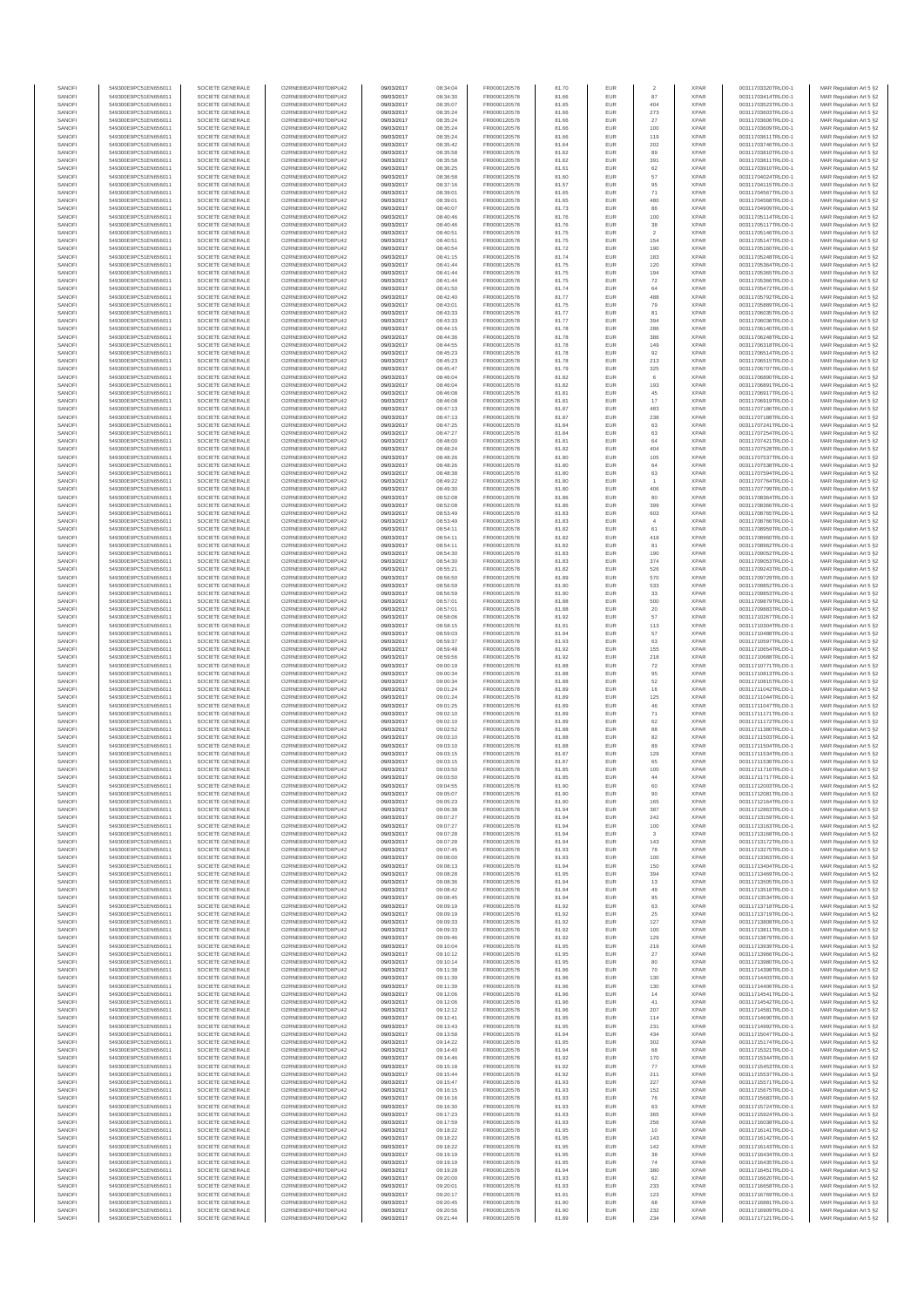| SANOFI                 | 549300E9PC51EN656011                         | SOCIETE GENERALE                     | O2RNE8IBXP4R0TD8PLI42                         | 09/03/2017               | 08:34:04             | FR0000120578                 | 81.70          | EUR                      |                       | <b>XPAR</b>                | 00311703320TRLO0-1                       | MAR Regulation Art 5 §2                             |
|------------------------|----------------------------------------------|--------------------------------------|-----------------------------------------------|--------------------------|----------------------|------------------------------|----------------|--------------------------|-----------------------|----------------------------|------------------------------------------|-----------------------------------------------------|
| SANOFI<br>SANOFI       | 549300E9PC51EN656011<br>549300E9PC51EN656011 | SOCIETE GENERALE<br>SOCIETE GENERALE | O2RNE8IBXP4R0TD8PU42<br>O2RNE8IBXP4R0TD8PU42  | 09/03/2017<br>09/03/2017 | 08:34:30<br>08:35:07 | FR0000120578<br>FR0000120578 | 81.66<br>81.65 | EUR<br><b>EUR</b>        | 87<br>404             | <b>XPAR</b><br><b>XPAR</b> | 00311703414TRLO0-1<br>00311703523TRLO0-1 | MAR Regulation Art 5 §2<br>MAR Regulation Art 5 §2  |
| SANOFI                 | 549300E9PC51EN656011                         | SOCIETE GENERALE                     |                                               | 09/03/2017               | 08:35:24             | FR0000120578                 | 81.66          | EUR                      | 273                   | <b>XPAF</b>                | 00311703603TRLO0-1                       | MAR Regulation Art 5 §2                             |
| SANOFI<br>SANOFI       | 549300E9PC51EN656011<br>549300E9PC51EN656011 | SOCIETE GENERALE<br>SOCIETE GENERALE | O2RNE8IBXP4R0TD8PU42<br>O2RNE8IBXP4R0TD8PU42  | 09/03/2017<br>09/03/2017 | 08:35:24<br>08:35:24 | FR0000120578<br>FR0000120578 | 81.66<br>81.66 | EUR<br>EUR               | 27<br>100             | <b>XPAR</b><br><b>XPAR</b> | 00311703606TRLO0-1<br>00311703609TRLO0-1 | MAR Regulation Art 5 §2<br>MAR Regulation Art 5 §2  |
| SANOFI                 | 549300E9PC51EN656011                         | SOCIETE GENERALE                     | O2RNE8IBXP4R0TD8PU42                          | 09/03/2017               | 08:35:24             | FR0000120578                 | 81.66          | EUR                      | 119                   | <b>XPAR</b>                | 00311703611TRLO0-1                       | MAR Regulation Art 5 §2                             |
| SANOFI                 | 549300E9PC51EN656011                         | SOCIETE GENERALE                     | O2RNE8IBXP4R0TD8PU42                          | 09/03/2017               | 08:35:42             | FR0000120578                 | 81.64          | EUR                      | 202                   | <b>XPAR</b>                | 00311703746TRLO0-1                       | MAR Regulation Art 5 §2                             |
| SANOFI<br>SANOFI       | 549300E9PC51EN656011<br>549300E9PC51EN656011 | SOCIETE GENERALE<br>SOCIETE GENERALE | O2RNE8IBXP4R0TD8PU42<br>O2RNE8IBXP4R0TD8PU42  | 09/03/2017<br>09/03/2017 | 08:35:58<br>08:35:58 | FR0000120578<br>FR0000120578 | 81.62<br>81.62 | EUR<br>EUR               | 89<br>391             | <b>XPAR</b><br><b>XPAR</b> | 00311703810TRLO0-1<br>00311703811TRLO0-1 | MAR Regulation Art 5 §2<br>MAR Regulation Art 5 §2  |
| SANOFI                 | 549300E9PC51EN656011                         | SOCIETE GENERALE                     | O2RNE8IBXP4R0TD8PU42                          | 09/03/2017               | 08:36:25             | FR0000120578                 | 81.61          | EUR                      | 62                    | <b>XPAF</b>                | 00311703910TRLO0-1                       | MAR Regulation Art 5 §2                             |
| SANOFI<br>SANOFI       | 549300E9PC51EN656011<br>549300E9PC51EN656011 | SOCIETE GENERALE<br>SOCIETE GENERALE | O2RNE8IBXP4R0TD8PU42<br>O2RNE8IBXP4R0TD8PU42  | 09/03/2017<br>09/03/2017 | 08:36:58<br>08:37:16 | FR0000120578<br>FR0000120578 | 81.60<br>81.57 | EUR<br>EUR               | 57<br>95              | <b>XPAR</b><br><b>XPAF</b> | 00311704024TRLO0-1<br>00311704115TRLO0-1 | MAR Regulation Art 5 \$2<br>MAR Regulation Art 5 §2 |
| SANOFI                 | 549300E9PC51EN656011                         | SOCIETE GENERALE                     | O2RNE8IBXP4R0TD8PU42                          | 09/03/2017               | 08:39:01             | FR0000120578                 | 81.65          | EUR                      | 71                    | <b>XPAR</b>                | 00311704567TRLO0-1                       | MAR Regulation Art 5 §2                             |
| SANOFI<br>SANOFI       | 549300E9PC51EN656011<br>549300E9PC51EN656011 | SOCIETE GENERALE<br>SOCIETE GENERALE | O2RNE8IBXP4R0TD8PU42<br>O2RNE8IBXP4R0TD8PU42  | 09/03/2017<br>09/03/2017 | 08:39:0<br>08:40:07  | FR0000120578<br>FR0000120578 | 81.65<br>81.73 | EUR<br>EUR               | 480<br>86             | <b>XPAR</b><br><b>XPAR</b> | 00311704568TRLO0-1<br>00311704909TRLO0-1 | MAR Regulation Art 5 §2<br>MAR Regulation Art 5 §2  |
| SANOFI                 | 549300E9PC51EN656011                         | SOCIETE GENERALE                     | O2RNE8IBXP4R0TD8PU42                          | 09/03/2017               | 08:40:46             | FR0000120578                 | 81.76          | EUR                      | 100                   | <b>XPAR</b>                | 00311705114TRLO0-1                       | MAR Regulation Art 5 §2                             |
| SANOFI                 | 549300E9PC51EN656011                         | SOCIETE GENERALE                     | O2RNE8IBXP4R0TD8PU42                          | 09/03/2017               | 08:40:46             | FR0000120578                 | 81.76          | EUR                      | $_{\rm 38}$           | <b>XPAR</b>                | 00311705117TRLO0-1                       | MAR Regulation Art 5 §2                             |
| SANOFI<br>SANOFI       | 549300E9PC51EN656011<br>549300E9PC51EN656011 | SOCIETE GENERALE<br>SOCIETE GENERALE | O2RNE8IBXP4R0TD8PU42<br>O2RNE8IBXP4R0TD8PU42  | 09/03/2017<br>09/03/2017 | 08:40:51<br>08:40:51 | FR0000120578<br>FR0000120578 | 81.75<br>81.75 | EUR<br>EUR               | $\overline{2}$<br>154 | <b>XPAR</b><br><b>XPAF</b> | 00311705146TRLO0-1<br>00311705147TRLO0-1 | MAR Regulation Art 5 §2<br>MAR Regulation Art 5 §2  |
| SANOFI                 | 549300E9PC51EN656011                         | SOCIETE GENERALE                     | O2RNE8IBXP4R0TD8PU42                          | 09/03/2017               | 08:40:54             | FR0000120578                 | 81.72          | EUR                      | 190                   | <b>XPAR</b>                | 00311705160TRLO0-1                       | MAR Regulation Art 5 §2                             |
| SANOFI<br>SANOFI       | 549300E9PC51EN656011<br>549300E9PC51EN656011 | SOCIETE GENERALE<br>SOCIETE GENERALE | O2RNE8IBXP4R0TD8PU42<br>O2RNE8IBXP4R0TD8PU42  | 09/03/2017<br>09/03/2017 | 08:41:15<br>08:41:44 | FR0000120578<br>FR0000120578 | 81.74<br>81.75 | EUR<br>EUR               | 183<br>120            | <b>XPAR</b><br><b>XPAR</b> | 00311705248TRLO0-1<br>00311705364TRLO0-1 | MAR Regulation Art 5 §2<br>MAR Regulation Art 5 §2  |
| SANOFI                 | 549300E9PC51EN656011                         | SOCIETE GENERALE                     | O2RNE8IBXP4R0TD8PU42                          | 09/03/2017               | 08:41:44             | FR0000120578                 | 81.75          | EUR                      | 194                   | <b>XPAR</b>                | 00311705365TRLO0-1                       | MAR Regulation Art 5 §2                             |
| SANOFI                 | 549300E9PC51EN656011                         | SOCIETE GENERALE                     | O2RNE8IBXP4R0TD8PU42                          | 09/03/2017               | 08:41:44             | FR0000120578                 | 81.75          | EUR                      | ${\bf 72}$            | <b>XPAR</b>                | 00311705366TRLO0-1                       | MAR Regulation Art 5 §2                             |
| SANOFI<br>SANOFI       | 549300E9PC51EN656011<br>549300E9PC51EN656011 | SOCIETE GENERALE<br>SOCIETE GENERALE | O2RNE8IBXP4R0TD8PU42<br>O2RNE8IBXP4R0TD8PU42  | 09/03/2017<br>09/03/2017 | 08:41:50<br>08:42:40 | FR0000120578<br>FR0000120578 | 81.74<br>81.77 | EUR<br>EUR               | 64<br>488             | <b>XPAR</b><br><b>XPAR</b> | 00311705472TRLO0-1<br>00311705792TRLO0-1 | MAR Regulation Art 5 §2<br>MAR Regulation Art 5 §2  |
| SANOFI                 | 549300E9PC51EN656011                         | SOCIETE GENERALE                     | O2RNE8IBXP4R0TD8PU42                          | 09/03/2017               | 08:43:01             | FR0000120578                 | 81.75          | EUR                      | 79                    | <b>XPAR</b>                | 00311705889TRLO0-1                       | MAR Regulation Art 5 §2                             |
| SANOFI<br>SANOFI       | 549300E9PC51EN656011<br>549300E9PC51EN656011 | SOCIETE GENERALE<br>SOCIETE GENERALE | O2RNE8IBXP4R0TD8PU42<br>O2RNE8IBXP4R0TD8PU42  | 09/03/2017<br>09/03/2017 | 08:43:33<br>08:43:33 | FR0000120578<br>FR0000120578 | 81.77<br>81.77 | EUR<br>EUR               | 81<br>394             | <b>XPAR</b><br><b>XPAR</b> | 00311706035TRLO0-1<br>00311706036TRLO0-1 | MAR Regulation Art 5 §2<br>MAR Regulation Art 5 §2  |
| SANOFI                 | 549300E9PC51EN656011                         | SOCIETE GENERALE                     | O2RNE8IBXP4R0TD8PU42                          | 09/03/2017               | 08:44:15             | FR0000120578                 | 81.78          | EUR                      | 286                   | <b>XPAF</b>                | 00311706140TRLO0-1                       | MAR Regulation Art 5 §2                             |
| SANOFI                 | 549300E9PC51EN656011                         | SOCIETE GENERALE                     | O2RNE8IBXP4R0TD8PU42                          | 09/03/2017               | 08:44:36             | FR0000120578                 | 81.78          | EUR                      | 386                   | <b>XPAR</b>                | 00311706248TRLO0-1                       | MAR Regulation Art 5 §2                             |
| SANOFI<br>SANOFI       | 549300E9PC51EN656011<br>549300E9PC51EN656011 | SOCIETE GENERALE<br>SOCIETE GENERALE | O2RNE8IBXP4R0TD8PU42<br>O2RNE8IBXP4R0TD8PU42  | 09/03/2017<br>09/03/2017 | 08:44:55<br>08:45:23 | FR0000120578<br>FR0000120578 | 81.78<br>81.78 | EUR<br>EUR               | 149<br>92             | <b>XPAR</b><br><b>XPAR</b> | 00311706318TRLO0-1<br>00311706514TRLO0-1 | MAR Regulation Art 5 §2<br>MAR Regulation Art 5 §2  |
| SANOFI                 | 549300E9PC51EN656011                         | SOCIETE GENERALE                     | O2RNE8IBXP4R0TD8PU42                          | 09/03/2017               | 08:45:23             | FR0000120578                 | 81.78          | EUR                      | $213\,$               | <b>XPAR</b>                | 00311706515TRLO0-1                       | MAR Regulation Art 5 §2                             |
| SANOFI<br>SANOFI       | 549300E9PC51EN656011<br>549300E9PC51EN656011 | SOCIETE GENERALE<br>SOCIETE GENERALE | O2RNE8IBXP4R0TD8PU42<br>O2RNE8IBXP4R0TD8PU42  | 09/03/2017<br>09/03/2017 | 08:45:47<br>08:46:04 | FR0000120578<br>FR0000120578 | 81.79<br>81.82 | EUR<br>EUR               | 325<br>6              | <b>XPAR</b><br><b>XPAR</b> | 00311706707TRLO0-1<br>00311706890TRLO0-1 | MAR Regulation Art 5 §2<br>MAR Regulation Art 5 §2  |
| SANOFI                 | 549300E9PC51EN656011                         | SOCIETE GENERALE                     | O2RNE8IBXP4R0TD8PU42                          | 09/03/2017               | 08:46:04             | FR0000120578                 | 81.82          | EUR                      | 193                   | <b>XPAF</b>                | 00311706891TRLO0-1                       | MAR Regulation Art 5 §2                             |
| SANOFI                 | 549300E9PC51EN656011                         | SOCIETE GENERALE                     | O2RNE8IBXP4R0TD8PU42                          | 09/03/2017               | 08:46:08             | FR0000120578                 | 81.81          | EUR                      | 45                    | <b>XPAR</b>                | 00311706917TRLO0-1                       | MAR Regulation Art 5 §2                             |
| SANOFI<br>SANOFI       | 549300E9PC51EN656011<br>549300E9PC51EN656011 | SOCIETE GENERALE<br>SOCIETE GENERALE | O2RNE8IBXP4R0TD8PU42<br>O2RNE8IBXP4R0TD8PLI42 | 09/03/2017<br>09/03/2017 | 08:46:08<br>08:47:13 | FR0000120578<br>FR0000120578 | 81.81<br>81.87 | EUR<br>EUR               | $17\,$<br>483         | <b>XPAR</b><br><b>XPAR</b> | 00311706919TRLO0-1<br>00311707186TRLO0-1 | MAR Regulation Art 5 §2<br>MAR Regulation Art 5 §2  |
| SANOFI                 | 549300E9PC51EN656011                         | SOCIETE GENERALE                     | O2RNE8IBXP4R0TD8PU42                          | 09/03/2017               | 08:47:13             | FR0000120578                 | 81.87          | EUR                      | 238                   | <b>XPAR</b>                | 00311707188TRLO0-1                       | MAR Regulation Art 5 §2                             |
| SANOFI<br>SANOFI       | 549300E9PC51EN656011<br>549300E9PC51EN656011 | SOCIETE GENERALE<br>SOCIETE GENERALE | O2RNE8IBXP4R0TD8PLI42<br>O2RNE8IBXP4R0TD8PU42 | 09/03/2017<br>09/03/2017 | 08:47:25<br>08:47:27 | FR0000120578<br>FR0000120578 | 81.84<br>81.84 | EUR<br>EUR               | 63<br>63              | <b>XPAR</b><br><b>XPAR</b> | 00311707241TRLO0-1<br>00311707254TRLO0-1 | MAR Regulation Art 5 §2<br>MAR Regulation Art 5 §2  |
| SANOFI                 | 549300E9PC51EN656011                         | SOCIETE GENERALE                     | O2RNE8IBXP4R0TD8PU42                          | 09/03/2017               | 08:48:00             | FR0000120578                 | 81.81          | EUR                      | 64                    | <b>XPAR</b>                | 00311707421TRLO0-1                       | MAR Regulation Art 5 §2                             |
| SANOFI                 | 549300E9PC51EN656011                         | SOCIETE GENERALE                     | O2RNE8IBXP4R0TD8PU42                          | 09/03/2017               | 08:48:24             | FR0000120578                 | 81.82          | EUR                      | 404                   | <b>XPAR</b>                | 00311707528TRLO0-1                       | MAR Regulation Art 5 §2                             |
| SANOFI<br>SANOFI       | 549300E9PC51EN656011<br>549300E9PC51EN656011 | SOCIETE GENERALE<br>SOCIETE GENERALE | O2RNE8IBXP4R0TD8PU42<br>O2RNE8IBXP4R0TD8PU42  | 09/03/2017<br>09/03/2017 | 08:48:26<br>08:48:26 | FR0000120578<br>FR0000120578 | 81.80<br>81.80 | EUR<br>EUR               | 105<br>64             | <b>XPAF</b><br><b>XPAR</b> | 00311707537TRLO0-1<br>00311707538TRLO0-1 | MAR Regulation Art 5 §2<br>MAR Regulation Art 5 §2  |
| SANOFI                 | 549300E9PC51EN656011                         | SOCIETE GENERALE                     | O2RNE8IBXP4R0TD8PU42                          | 09/03/2017               | 08:48:38             | FR0000120578                 | 81.80          | EUR                      | 63                    | <b>XPAR</b>                | 00311707594TRLO0-1                       | MAR Regulation Art 5 §2                             |
| SANOFI<br>SANOFI       | 549300E9PC51EN656011<br>549300E9PC51EN656011 | SOCIETE GENERALE<br>SOCIETE GENERALE | O2RNE8IBXP4R0TD8PU42<br>O2RNE8IBXP4R0TD8PU42  | 09/03/2017<br>09/03/2017 | 08:49:22<br>08:49:30 | FR0000120578<br>FR0000120578 | 81.80<br>81.80 | EUR<br>EUR               | $\overline{1}$<br>406 | <b>XPAR</b><br><b>XPAR</b> | 00311707764TRLO0-1<br>00311707799TRLO0-1 | MAR Regulation Art 5 §2<br>MAR Regulation Art 5 §2  |
| SANOFI                 | 549300E9PC51EN656011                         | SOCIETE GENERALE                     | O2RNE8IBXP4R0TD8PU42                          | 09/03/2017               | 08:52:08             | FR0000120578                 | 81.86          | EUR                      | 80                    | <b>XPAR</b>                | 00311708364TRLO0-1                       | MAR Regulation Art 5 §2                             |
| SANOFI                 | 549300E9PC51EN656011                         | SOCIETE GENERALE                     | O2RNE8IBXP4R0TD8PU42                          | 09/03/2017               | 08:52:08             | FR0000120578                 | 81.86          | EUR                      | 399                   | <b>XPAR</b>                | 00311708366TRLO0-1                       | MAR Regulation Art 5 §2                             |
| SANOFI<br>SANOFI       | 549300E9PC51EN656011<br>549300E9PC51EN656011 | SOCIETE GENERALE<br>SOCIETE GENERALE | O2RNE8IBXP4R0TD8PU42<br>O2RNE8IBXP4R0TD8PU42  | 09/03/2017<br>09/03/2017 | 08:53:49<br>08:53:49 | FR0000120578<br>FR0000120578 | 81.83<br>81.83 | EUR<br>EUR               | 603<br>$\overline{4}$ | <b>XPAF</b><br><b>XPAR</b> | 00311708765TRLO0-1<br>00311708766TRLO0-1 | MAR Regulation Art 5 §2<br>MAR Regulation Art 5 §2  |
| SANOFI                 | 549300E9PC51EN656011                         | SOCIETE GENERALE                     | O2RNE8IBXP4R0TD8PU42                          | 09/03/2017               | 08:54:11             | FR0000120578                 | 81.82          | EUR                      | 61                    | <b>XPAF</b>                | 00311708959TRLO0-1                       | MAR Regulation Art 5 §2                             |
| SANOFI<br>SANOFI       | 549300E9PC51EN656011<br>549300E9PC51EN656011 | SOCIETE GENERALE<br>SOCIETE GENERALE | O2RNE8IBXP4R0TD8PU42<br>O2RNE8IBXP4R0TD8PU42  | 09/03/2017<br>09/03/2017 | 08:54:11<br>08:54:11 | FR0000120578<br>FR0000120578 | 81.82<br>81.82 | EUR<br>EUR               | 418<br>81             | <b>XPAR</b><br><b>XPAR</b> | 00311708960TRLO0-1<br>00311708962TRLO0-1 | MAR Regulation Art 5 §2<br>MAR Regulation Art 5 §2  |
| SANOFI                 | 549300E9PC51EN656011                         | SOCIETE GENERALE                     | O2RNE8IBXP4R0TD8PU42                          | 09/03/2017               | 08:54:30             | FR0000120578                 | 81.83          | EUR                      | 190                   | <b>XPAR</b>                | 00311709052TRLO0-1                       | MAR Regulation Art 5 §2                             |
| SANOFI                 | 549300E9PC51EN656011                         | SOCIETE GENERALE                     | O2RNE8IBXP4R0TD8PU42                          | 09/03/2017               | 08:54:30             | FR0000120578                 | 81.83          | EUR                      | 374                   | <b>XPAR</b>                | 00311709053TRLO0-1                       | MAR Regulation Art 5 §2                             |
| SANOFI<br>SANOFI       | 549300E9PC51EN656011<br>549300E9PC51EN656011 | SOCIETE GENERALE<br>SOCIETE GENERALE | O2RNE8IBXP4R0TD8PU42<br>O2RNE8IBXP4R0TD8PU42  | 09/03/2017<br>09/03/2017 | 08:55:21<br>08:56:50 | FR0000120578<br>FR0000120578 | 81.82<br>81.89 | EUR<br>EUR               | 526<br>570            | <b>XPAR</b><br><b>XPAR</b> | 00311709243TRLO0-1<br>00311709729TRLO0-1 | MAR Regulation Art 5 §2<br>MAR Regulation Art 5 §2  |
| SANOFI                 | 549300E9PC51EN656011                         | SOCIETE GENERALE                     | O2RNE8IBXP4R0TD8PU42                          | 09/03/2017               | 08:56:59             | FR0000120578                 | 81.90          | EUR                      | 533                   | <b>XPAR</b>                | 00311709852TRLO0-1                       | MAR Regulation Art 5 §2                             |
| SANOFI<br>SANOFI       | 549300E9PC51EN656011<br>549300E9PC51EN656011 | SOCIETE GENERALE<br>SOCIETE GENERALE | O2RNE8IBXP4R0TD8PU42<br>O2RNE8IBXP4R0TD8PU42  | 09/03/2017<br>09/03/2017 | 08:56:59<br>08:57:01 | FR0000120578<br>FR0000120578 | 81.90<br>81.88 | EUR<br>EUR               | 33<br>500             | <b>XPAR</b><br><b>XPAR</b> | 00311709853TRLO0-1<br>00311709879TRLO0-1 | MAR Regulation Art 5 §2<br>MAR Regulation Art 5 §2  |
| SANOFI                 | 549300E9PC51EN656011                         | SOCIETE GENERALE                     | O2RNE8IBXP4R0TD8PU42                          | 09/03/2017               | 08:57:01             | FR0000120578                 | 81.88          | EUR                      | 20                    | <b>XPAR</b>                | 00311709883TRLO0-1                       | MAR Regulation Art 5 §2                             |
| SANOFI                 | 549300E9PC51EN656011                         | SOCIETE GENERALE                     | O2RNE8IBXP4R0TD8PU42                          | 09/03/2017               | 08:58:06             | FR0000120578                 | 81.92          | EUR                      | 57                    | <b>XPAR</b>                | 00311710267TRLO0-1                       | MAR Regulation Art 5 §2                             |
| SANOFI<br>SANOFI       | 549300E9PC51EN656011<br>549300E9PC51EN656011 | SOCIETE GENERALE<br>SOCIETE GENERALE | O2RNE8IBXP4R0TD8PU42<br>O2RNE8IBXP4R0TD8PU42  | 09/03/2017<br>09/03/2017 | 08:58:15<br>08:59:03 | FR0000120578<br>FR0000120578 | 81.91<br>81.94 | EUR<br>EUR               | 113<br>57             | <b>XPAR</b><br><b>XPAR</b> | 00311710304TRLO0-1<br>00311710488TRLO0-1 | MAR Regulation Art 5 §2<br>MAR Regulation Art 5 §2  |
| SANOFI                 | 549300E9PC51EN656011                         | SOCIETE GENERALE                     | O2RNE8IBXP4R0TD8PU42                          | 09/03/2017               | 08:59:37             | FR0000120578                 | 81.93          | EUR                      | 63                    | <b>XPAF</b>                | 00311710597TRLO0-1                       | MAR Regulation Art 5 §2                             |
| SANOFI<br>SANOFI       | 549300E9PC51EN656011<br>549300E9PC51EN656011 | SOCIETE GENERALE<br>SOCIETE GENERALE | O2RNE8IBXP4R0TD8PU42<br>O2RNE8IBXP4R0TD8PU42  | 09/03/2017<br>09/03/2017 | 08:59:48<br>08:59:56 | FR0000120578<br>FR0000120578 | 81.92<br>81.92 | EUR<br>EUR               | 155<br>218            | <b>XPAR</b><br><b>XPAR</b> | 00311710654TRLO0-1<br>00311710688TRLO0-1 | MAR Regulation Art 5 §2<br>MAR Regulation Art 5 §2  |
| SANOFI                 | 549300E9PC51EN656011                         | SOCIETE GENERALE                     | O2RNE8IBXP4R0TD8PU42                          | 09/03/2017               | 09:00:19             | FR0000120578                 | 81.88          | EUR                      | 72                    | <b>XPAR</b>                | 00311710771TRLO0-1                       | MAR Regulation Art 5 §2                             |
| SANOFI                 | 549300E9PC51EN656011                         | SOCIETE GENERALE                     | O2RNE8IBXP4R0TD8PU42                          | 09/03/2017               | 09:00:34             | FR0000120578                 | 81.88          | EUR                      | 95                    | <b>XPAR</b>                | 00311710813TRLO0-1                       | MAR Regulation Art 5 §2                             |
| SANOFI<br>SANOFI       | 549300E9PC51EN656011<br>549300E9PC51EN656011 | SOCIETE GENERALE<br>SOCIETE GENERALE | O2RNE8IBXP4R0TD8PU42<br>O2RNE8IBXP4R0TD8PU42  | 09/03/2017<br>09/03/2017 | 09:00:34<br>09:01:24 | FR0000120578<br>FR0000120578 | 81.88<br>81.89 | EUR<br>EUR               | $52\,$<br>16          | <b>XPAR</b><br><b>XPAR</b> | 00311710815TRLO0-1<br>00311711042TRLO0-1 | MAR Regulation Art 5 §2<br>MAR Regulation Art 5 §2  |
| SANOFI                 | 549300E9PC51EN656011                         | SOCIETE GENERALE                     | O2RNE8IBXP4R0TD8PLI42                         | 09/03/2017               | 09:01:24             | FR0000120578                 | 81.89          | EUR                      | 125                   | <b>XPAR</b>                | 00311711044TRLO0-1                       | MAR Regulation Art 5 §2                             |
| SANOFI<br>SANOFI       | 549300E9PC51EN656011<br>549300E9PC51EN656011 | SOCIETE GENERALE<br>SOCIETE GENERALE | O2RNE8IBXP4R0TD8PU42<br>O2RNE8IBXP4R0TD8PU42  | 09/03/2017<br>09/03/2017 | 09:01:25<br>09:02:10 | FR0000120578<br>FR0000120578 | 81.89<br>81.89 | EUR<br>EUR               | 46<br>71              | <b>XPAR</b><br><b>XPAR</b> | 00311711047TRLO0-1<br>00311711171TRLO0-1 | MAR Regulation Art 5 §2<br>MAR Regulation Art 5 §2  |
| SANOFI                 | 549300E9PC51EN656011                         | SOCIETE GENERALE                     | O2RNE8IBXP4R0TD8PU42                          | 09/03/2017               | 09:02:10             | FR0000120578                 | 81.89          | EUR                      | 62                    | <b>XPAR</b>                | 00311711172TRLO0-1                       | MAR Regulation Art 5 §2                             |
| SANOFI                 | 549300E9PC51EN656011                         | SOCIETE GENERALE                     | O2RNE8IBXP4R0TD8PU42                          | 09/03/2017               | 09:02:52             | FR0000120578                 | 81.88          | EUR                      | 88<br>82              | <b>XPAR</b>                | 00311711380TRLO0-1                       | MAR Regulation Art 5 §2                             |
| SANOFI<br>SANOFI       | 549300E9PC51EN656011<br>549300E9PC51EN656011 | SOCIETE GENERALE<br>SOCIETE GENERALE | O2RNE8IBXP4R0TD8PU42<br>O2RNE8IBXP4R0TD8PU42  | 09/03/2017<br>09/03/2017 | 09:03:10<br>09:03:10 | FR0000120578<br>FR0000120578 | 81.88<br>81.88 | EUR<br>EUR               | 89                    | <b>XPAR</b><br><b>XPAR</b> | 00311711503TRLO0-1<br>00311711504TRLO0-1 | MAR Regulation Art 5 §2<br>MAR Regulation Art 5 §2  |
| SANOFI                 | 549300E9PC51EN656011                         | SOCIETE GENERALE                     | O2RNE8IBXP4R0TD8PU42                          | 09/03/2017               | 09:03:15             | FR0000120578                 | 81.87          | EUR                      | 129                   | <b>XPAR</b>                | 00311711534TRLO0-1                       | MAR Regulation Art 5 §2                             |
| SANOFI<br>SANOFI       | 549300E9PC51EN656011<br>549300E9PC51EN656011 | SOCIETE GENERALE<br>SOCIETE GENERALE | O2RNE8IBXP4R0TD8PU42<br>O2RNE8IBXP4R0TD8PU42  | 09/03/2017<br>09/03/2017 | 09:03:15<br>09:03:50 | FR0000120578<br>FR0000120578 | 81.87<br>81.85 | EUR<br>EUR               | 65<br>100             | <b>XPAR</b><br><b>XPAR</b> | 00311711536TRLO0-1<br>00311711716TRLO0-1 | MAR Regulation Art 5 §2<br>MAR Regulation Art 5 §2  |
| SANOFI                 | 549300E9PC51EN656011                         | SOCIETE GENERALE                     | O2RNE8IBXP4R0TD8PU42                          | 09/03/2017               | 09:03:50             | FR0000120578                 | 81.85          | <b>EUR</b>               | 44                    | <b>XPAR</b>                | 00311711717TRLO0-1                       | MAR Regulation Art 5 §2                             |
| <b>SANOF</b><br>SANOFI | 549300E9PC51EN656011                         | SOCIETE GENERALE<br>SOCIETE GENERALE | O2RNE8IBXP4R0TD8PU42<br>O2RNE8IBXP4R0TD8PU42  | 09/03/2017<br>09/03/2017 | 09:04:55<br>09:05:07 | FR0000120578                 | 81.90<br>81.90 | EUR                      | 90                    | <b>XPAF</b><br><b>XPAR</b> | 00311712003TRLO0-1                       | MAR Regulation Art 5 §2                             |
| SANOFI                 | 549300E9PC51EN656011<br>549300E9PC51EN656011 | SOCIETE GENERALE                     | O2RNE8IBXP4R0TD8PU42                          | 09/03/2017               | 09:05:23             | FR0000120578<br>FR0000120578 | 81.90          | EUR                      | 165                   | <b>XPAR</b>                | 00311712081TRLO0-1<br>00311712164TRLO0-1 | MAR Regulation Art 5 §2<br>MAR Regulation Art 5 §2  |
| SANOFI                 | 549300E9PC51EN656011                         | SOCIETE GENERALE                     | O2RNE8IBXP4R0TD8PLI42                         | 09/03/2017               | 09:06:38             | FR0000120578                 | 81.94          | <b>EUR</b>               | 387                   | <b>XPAR</b>                | 00311712863TRLO0-1                       | MAR Regulation Art 5 §2                             |
| SANOFI<br>SANOFI       | 549300E9PC51EN656011<br>549300E9PC51EN656011 | SOCIETE GENERALE<br>SOCIETE GENERALE | O2RNE8IBXP4R0TD8PU42<br>O2RNE8IBXP4R0TD8PU42  | 09/03/2017<br>09/03/2017 | 09:07:27<br>09:07:27 | FR0000120578<br>FR0000120578 | 81.94<br>81.94 | EUR<br>EUR               | 242<br>100            | <b>XPAR</b><br><b>XPAR</b> | 00311713159TRLO0-1<br>00311713163TRLO0-1 | MAR Regulation Art 5 §2<br>MAR Regulation Art 5 §2  |
| SANOFI                 | 549300E9PC51EN656011                         | SOCIETE GENERALE                     | O2RNE8IBXP4R0TD8PU42                          | 09/03/2017               | 09:07:28             | FR0000120578                 | 81.94          | EUR                      | $\mathcal{R}$         | <b>XPAR</b>                | 00311713168TRLO0-1                       | MAR Regulation Art 5 §2                             |
| SANOFI<br>SANOFI       | 549300E9PC51EN656011<br>549300E9PC51EN656011 | SOCIETE GENERALE<br>SOCIETE GENERALE | O2RNE8IBXP4R0TD8PU42<br>O2RNE8IBXP4R0TD8PU42  | 09/03/2017<br>09/03/2017 | 09:07:28<br>09:07:45 | FR0000120578<br>FR0000120578 | 81.94<br>81.93 | EUR<br><b>EUR</b>        | 143<br>78             | <b>XPAR</b><br><b>XPAR</b> | 00311713172TRLO0-1<br>00311713275TRLO0-1 | MAR Regulation Art 5 §2                             |
| SANOFI                 | 549300E9PC51EN656011                         | SOCIETE GENERALE                     | O2RNE8IBXP4R0TD8PU42                          | 09/03/2017               | 09:08:00             | FR0000120578                 | 81.93          | EUR                      | 100                   | <b>XPAR</b>                | 00311713363TRLO0-1                       | MAR Regulation Art 5 §2<br>MAR Regulation Art 5 §2  |
| SANOFI                 | 549300E9PC51EN656011                         | SOCIETE GENERALE                     | O2RNE8IBXP4R0TD8PU42<br>O2RNE8IBXP4R0TD8PU42  | 09/03/2017               | 09:08:13             | FR0000120578                 | 81.94          | <b>EUR</b>               | 150                   | <b>XPAR</b>                | 00311713404TRLO0-1                       | MAR Regulation Art 5 §2                             |
| SANOFI<br>SANOFI       | 549300E9PC51EN656011<br>549300E9PC51EN656011 | SOCIETE GENERALE<br>SOCIETE GENERALE | O2RNE8IBXP4R0TD8PU42                          | 09/03/2017<br>09/03/2017 | 09:08:28<br>09:08:36 | FR0000120578<br>FR0000120578 | 81.95<br>81.94 | EUR<br>EUR               | 394<br>13             | <b>XPAR</b><br><b>XPAR</b> | 00311713469TRLO0-1<br>00311713505TRLO0-1 | MAR Regulation Art 5 §2<br>MAR Regulation Art 5 §2  |
| SANOFI                 | 549300E9PC51EN656011                         | SOCIETE GENERALE                     | O2RNE8IBXP4R0TD8PU42                          | 09/03/2017               | 09:08:42             | FR0000120578                 | 81.94          | EUR                      | 49                    | <b>XPAR</b>                | 00311713518TRLO0-1                       | MAR Regulation Art 5 §2                             |
| SANOFI<br>SANOFI       | 549300E9PC51EN656011<br>549300E9PC51EN656011 | SOCIETE GENERALE<br>SOCIETE GENERALE | O2RNE8IBXP4R0TD8PU42<br>O2RNE8IBXP4R0TD8PU42  | 09/03/2017<br>09/03/2017 | 09:08:45<br>09:09:19 | FR0000120578<br>FR0000120578 | 81.94<br>81.92 | EUR<br>EUR               | 95<br>63              | <b>XPAR</b><br><b>XPAR</b> | 00311713534TRLO0-1<br>00311713718TRLO0-1 | MAR Regulation Art 5 §2<br>MAR Regulation Art 5 §2  |
| SANOFI                 | 549300E9PC51EN656011                         | SOCIETE GENERALE                     | O2RNE8IBXP4R0TD8PU42                          | 09/03/2017               | 09:09:19             | FR0000120578                 | 81.92          | EUR                      | 25                    | <b>XPAR</b>                | 00311713719TRLO0-1                       | MAR Regulation Art 5 §2                             |
| SANOFI<br>SANOFI       | 549300E9PC51EN656011<br>549300E9PC51EN656011 | SOCIETE GENERALE<br>SOCIETE GENERALE | O2RNE8IBXP4R0TD8PU42<br>O2RNE8IBXP4R0TD8PU42  | 09/03/2017<br>09/03/2017 | 09:09:33<br>09:09:33 | FR0000120578<br>FR0000120578 | 81.92<br>81.92 | <b>EUR</b><br>EUR        | 127<br>100            | <b>XPAR</b><br><b>XPAR</b> | 00311713808TRLO0-1<br>00311713811TRLO0-1 | MAR Regulation Art 5 §2<br>MAR Regulation Art 5 §2  |
| SANOFI                 | 549300E9PC51EN656011                         | SOCIETE GENERALE                     | O2RNE8IBXP4R0TD8PU42                          | 09/03/2017               | 09:09:46             | FR0000120578                 | 81.92          | <b>EUR</b>               | 129                   | <b>XPAR</b>                | 00311713879TRLO0-1                       | MAR Regulation Art 5 §2                             |
| SANOFI                 | 549300E9PC51EN656011                         | SOCIETE GENERALE<br>SOCIETE GENERALE | O2RNE8IBXP4R0TD8PU42                          | 09/03/2017               | 09:10:04             | FR0000120578                 | 81.95          | EUR                      | 219                   | <b>XPAR</b>                | 00311713939TRLO0-1                       | MAR Regulation Art 5 §2                             |
| SANOFI<br>SANOFI       | 549300E9PC51EN656011<br>549300E9PC51EN656011 | SOCIETE GENERALE                     | O2RNE8IBXP4R0TD8PU42<br>O2RNE8IBXP4R0TD8PU42  | 09/03/2017<br>09/03/2017 | 09:10:12<br>09:10:14 | FR0000120578<br>FR0000120578 | 81.95<br>81.95 | EUR<br>EUR               | 27<br>80              | <b>XPAR</b><br><b>XPAR</b> | 00311713966TRLO0-1<br>00311713980TRLO0-1 | MAR Regulation Art 5 §2<br>MAR Regulation Art 5 §2  |
| SANOFI                 | 549300E9PC51EN656011                         | SOCIETE GENERALE                     | O2RNE8IBXP4R0TD8PU42                          | 09/03/2017               | 09:11:38             | FR0000120578                 | 81.96          | EUR                      | 70                    | <b>XPAR</b>                | 00311714398TRLO0-1                       | MAR Regulation Art 5 §2                             |
| SANOFI<br>SANOFI       | 549300E9PC51EN656011<br>549300E9PC51EN656011 | SOCIETE GENERALE<br>SOCIETE GENERALE | O2RNE8IBXP4R0TD8PU42<br>O2RNE8IBXP4R0TD8PU42  | 09/03/2017<br>09/03/2017 | 09:11:39<br>09:11:39 | FR0000120578<br>FR0000120578 | 81.96<br>81.96 | EUR<br>EUR               | 130<br>130            | <b>XPAR</b><br><b>XPAR</b> | 00311714403TRLO0-1<br>00311714406TRLO0-1 | MAR Regulation Art 5 §2<br>MAR Regulation Art 5 §2  |
| SANOFI                 | 549300E9PC51EN656011                         | SOCIETE GENERALE                     | O2RNE8IBXP4R0TD8PU42                          | 09/03/2017               | 09:12:06             | FR0000120578                 | 81.96          | <b>EUR</b>               | 14                    | <b>XPAR</b>                | 00311714541TRLO0-1                       | MAR Regulation Art 5 §2                             |
| SANOFI                 | 549300E9PC51EN656011                         | SOCIETE GENERALE                     | O2RNE8IBXP4R0TD8PU42                          | 09/03/2017               | 09:12:06             | FR0000120578                 | 81.96          | EUR                      | 41                    | <b>XPAR</b>                | 00311714542TRLO0-1                       | MAR Regulation Art 5 §2                             |
| SANOFI<br>SANOFI       | 549300E9PC51EN656011<br>549300E9PC51EN656011 | SOCIETE GENERALE<br>SOCIETE GENERALE | O2RNE8IBXP4R0TD8PU42<br>O2RNE8IBXP4R0TD8PU42  | 09/03/2017<br>09/03/2017 | 09:12:12<br>09:12:41 | FR0000120578<br>FR0000120578 | 81.96<br>81.95 | <b>EUR</b><br><b>EUR</b> | 207<br>114            | <b>XPAR</b><br><b>XPAR</b> | 00311714581TRLO0-1<br>00311714690TRLO0-1 | MAR Regulation Art 5 §2<br>MAR Regulation Art 5 §2  |
| SANOFI                 | 549300E9PC51EN656011                         | SOCIETE GENERALE                     | O2RNE8IBXP4R0TD8PU42                          | 09/03/2017               | 09:13:43             | FR0000120578                 | 81.95          | EUR                      | 231                   | <b>XPAR</b>                | 00311714992TRLO0-1                       | MAR Regulation Art 5 §2                             |
| SANOFI<br>SANOFI       | 549300E9PC51EN656011<br>549300E9PC51EN656011 | SOCIETE GENERALE<br>SOCIETE GENERALE | O2RNE8IBXP4R0TD8PU42<br>O2RNE8IBXP4R0TD8PU42  | 09/03/2017<br>09/03/2017 | 09:13:58<br>09:14:22 | FR0000120578<br>FR0000120578 | 81.94<br>81.95 | EUR<br>EUR               | 434<br>302            | <b>XPAR</b><br><b>XPAR</b> | 00311715047TRLO0-1<br>00311715174TRLO0-1 | MAR Regulation Art 5 §2                             |
| SANOFI                 | 549300E9PC51EN656011                         | SOCIETE GENERALE                     | O2RNE8IBXP4R0TD8PU42                          | 09/03/2017               | 09:14:40             | FR0000120578                 | 81.94          | <b>EUR</b>               | 68                    | <b>XPAR</b>                | 00311715321TRLO0-1                       | MAR Regulation Art 5 §2<br>MAR Regulation Art 5 §2  |
| SANOFI                 | 549300E9PC51EN656011                         | SOCIETE GENERALE                     | O2RNE8IBXP4R0TD8PU42                          | 09/03/2017               | 09:14:46             | FR0000120578                 | 81.92          | EUR                      | 170                   | <b>XPAR</b>                | 00311715344TRLO0-1                       | MAR Regulation Art 5 §2                             |
| SANOFI<br>SANOFI       | 549300E9PC51EN656011<br>549300E9PC51EN656011 | SOCIETE GENERALE<br>SOCIETE GENERALE | O2RNE8IBXP4R0TD8PU42<br>O2RNE8IBXP4R0TD8PU42  | 09/03/2017<br>09/03/2017 | 09:15:18<br>09:15:44 | FR0000120578<br>FR0000120578 | 81.92<br>81.92 | <b>EUR</b><br>EUR        | 77<br>211             | <b>XPAR</b><br><b>XPAR</b> | 00311715453TRLO0-1<br>00311715537TRLO0-1 | MAR Regulation Art 5 §2<br>MAR Regulation Art 5 §2  |
| SANOFI                 | 549300E9PC51EN656011                         | SOCIETE GENERALE                     | O2RNE8IBXP4R0TD8PU42                          | 09/03/2017               | 09:15:47             | FR0000120578                 | 81.93          | <b>EUR</b>               | 227                   | <b>XPAR</b>                | 00311715571TRLO0-1                       | MAR Regulation Art 5 §2                             |
| SANOFI<br>SANOFI       | 549300E9PC51EN656011<br>549300E9PC51EN656011 | SOCIETE GENERALE<br>SOCIETE GENERALE | O2RNE8IBXP4R0TD8PU42<br>O2RNE8IBXP4R0TD8PU42  | 09/03/2017<br>09/03/2017 | 09:16:15<br>09:16:16 | FR0000120578<br>FR0000120578 | 81.93<br>81.93 | EUR<br>EUR               | 152<br>76             | <b>XPAR</b><br><b>XPAR</b> | 00311715675TRLO0-1<br>00311715683TRLO0-1 | MAR Regulation Art 5 §2<br>MAR Regulation Art 5 §2  |
| SANOFI                 | 549300E9PC51EN656011                         | SOCIETE GENERALE                     | O2RNE8IBXP4R0TD8PU42                          | 09/03/2017               | 09:16:30             | FR0000120578                 | 81.93          | EUR                      | 63                    | <b>XPAR</b>                | 00311715724TRLO0-1                       | MAR Regulation Art 5 §2                             |
| SANOFI                 | 549300E9PC51EN656011                         | SOCIETE GENERALE                     | O2RNE8IBXP4R0TD8PU42                          | 09/03/2017               | 09:17:23             | FR0000120578                 | 81.93          | EUR                      | 365                   | <b>XPAR</b>                | 00311715924TRLO0-1                       | MAR Regulation Art 5 §2                             |
| SANOFI<br>SANOFI       | 549300E9PC51EN656011<br>549300E9PC51EN656011 | SOCIETE GENERALE<br>SOCIETE GENERALE | O2RNE8IBXP4R0TD8PU42<br>O2RNE8IBXP4R0TD8PU42  | 09/03/2017<br>09/03/2017 | 09:17:59<br>09:18:22 | FR0000120578<br>FR0000120578 | 81.93<br>81.95 | <b>EUR</b><br>EUR        | 256<br>10             | <b>XPAR</b><br><b>XPAR</b> | 00311716038TRLO0-1<br>00311716141TRLO0-1 | MAR Regulation Art 5 §2<br>MAR Regulation Art 5 §2  |
| SANOFI                 | 549300E9PC51EN656011                         | SOCIETE GENERALE                     | O2RNE8IBXP4R0TD8PU42                          | 09/03/2017               | 09:18:22             | FR0000120578                 | 81.95          | <b>EUR</b>               | 143                   | <b>XPAR</b>                | 00311716142TRLO0-1                       | MAR Regulation Art 5 §2                             |
| SANOFI<br>SANOFI       | 549300E9PC51EN656011<br>549300E9PC51EN656011 | SOCIETE GENERALE<br>SOCIETE GENERALE | O2RNE8IBXP4R0TD8PU42<br>O2RNE8IBXP4R0TD8PU42  | 09/03/2017<br>09/03/2017 | 09:18:22<br>09:19:19 | FR0000120578<br>FR0000120578 | 81.95<br>81.95 | EUR<br>EUR               | 142<br>38             | <b>XPAR</b><br><b>XPAR</b> | 00311716143TRLO0-1<br>00311716434TRLO0-1 | MAR Regulation Art 5 §2<br>MAR Regulation Art 5 §2  |
| SANOFI                 | 549300E9PC51EN656011                         | SOCIETE GENERALE                     | O2RNE8IBXP4R0TD8PU42                          | 09/03/2017               | 09:19:19             | FR0000120578                 | 81.95          | EUR                      | 74                    | <b>XPAR</b>                | 00311716435TRLO0-1                       | MAR Regulation Art 5 §2                             |
| SANOFI                 | 549300E9PC51EN656011                         | SOCIETE GENERALE                     | O2RNE8IBXP4R0TD8PU42                          | 09/03/2017               | 09:19:28             | FR0000120578                 | 81.94          | EUR                      | 380                   | <b>XPAR</b>                | 00311716451TRLO0-1                       | MAR Regulation Art 5 §2                             |
| SANOFI<br>SANOFI       | 549300E9PC51EN656011<br>549300E9PC51EN656011 | SOCIETE GENERALE<br>SOCIETE GENERALE | O2RNE8IBXP4R0TD8PU42<br>O2RNE8IBXP4R0TD8PU42  | 09/03/2017<br>09/03/2017 | 09:20:00<br>09:20:01 | FR0000120578<br>FR0000120578 | 81.93<br>81.93 | EUR<br>EUR               | 62<br>233             | <b>XPAR</b><br><b>XPAR</b> | 00311716620TRLO0-1<br>00311716658TRLO0-1 | MAR Regulation Art 5 §2<br>MAR Regulation Art 5 §2  |
| SANOFI                 | 549300E9PC51EN656011                         | SOCIETE GENERALE                     | O2RNE8IBXP4R0TD8PU42                          | 09/03/2017               | 09:20:17             | FR0000120578                 | 81.91          | EUR                      | 123                   | <b>XPAR</b>                | 00311716769TRLO0-1                       | MAR Regulation Art 5 §2                             |
| SANOFI<br>SANOFI       | 549300E9PC51EN656011<br>549300E9PC51EN656011 | SOCIETE GENERALE<br>SOCIETE GENERALE | O2RNE8IBXP4R0TD8PU42<br>O2RNE8IBXP4R0TD8PU42  | 09/03/2017<br>09/03/2017 | 09:20:45<br>09:20:56 | FR0000120578<br>FR0000120578 | 81.90<br>81.90 | EUR<br><b>EUR</b>        | 68<br>232             | <b>XPAR</b><br><b>XPAR</b> | 00311716881TRLO0-1<br>00311716909TRLO0-1 | MAR Regulation Art 5 §2                             |
| SANOFI                 | 549300E9PC51EN656011                         | SOCIETE GENERALE                     | O2RNE8IBXP4R0TD8PU42                          | 09/03/2017               | 09:21:44             | FR0000120578                 | 81.89          | EUR                      | 234                   | <b>XPAR</b>                | 00311717121TRLO0-1                       | MAR Regulation Art 5 §2<br>MAR Regulation Art 5 §2  |
|                        |                                              |                                      |                                               |                          |                      |                              |                |                          |                       |                            |                                          |                                                     |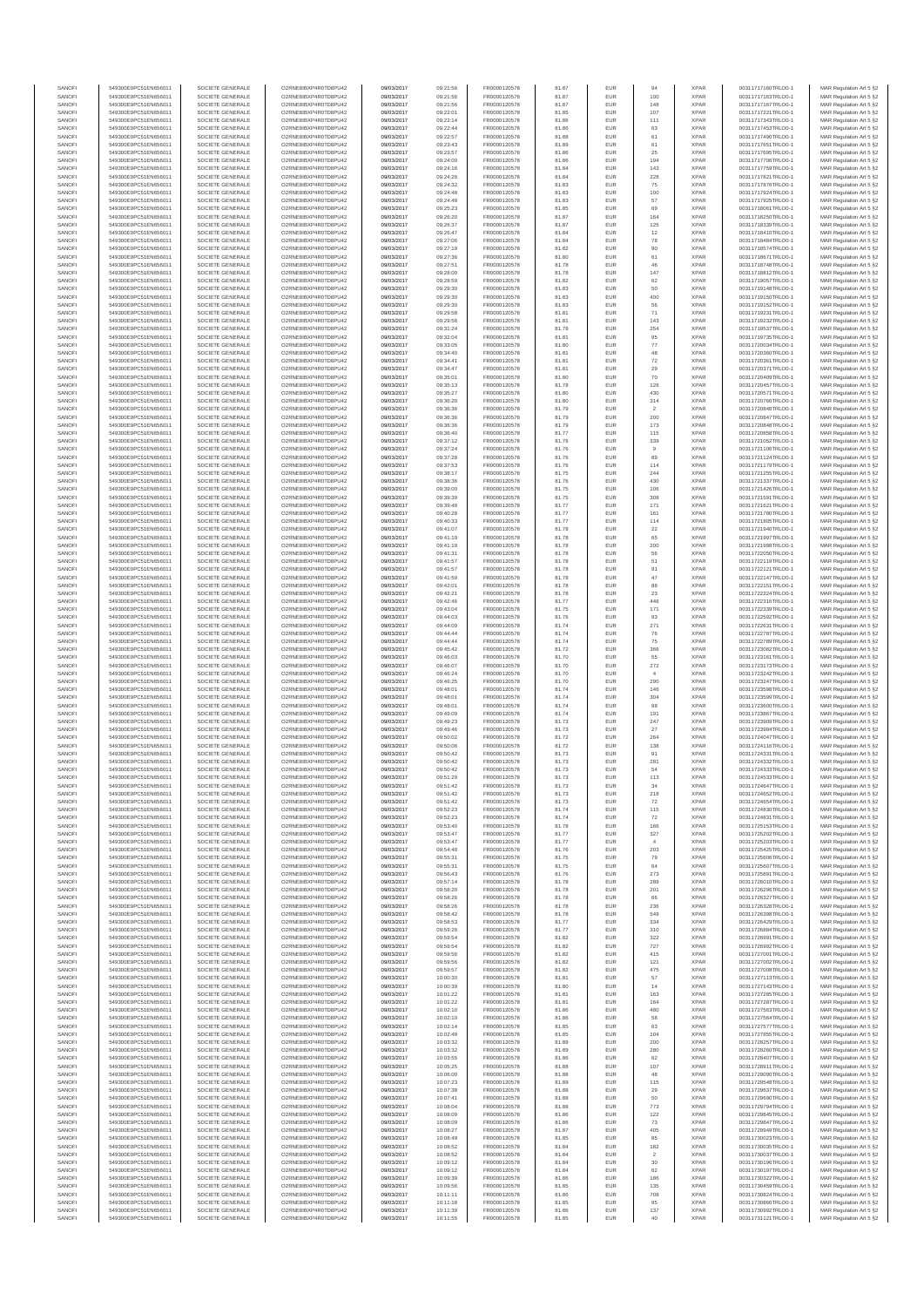| SANOFI<br>SANOFI | 549300E9PC51EN656011<br>549300E9PC51EN656011 | SOCIETE GENERALE<br>SOCIETE GENERALE | O2RNE8IBXP4R0TD8PU42<br>O2RNE8IBXP4R0TD8PU42  | 09/03/2017<br>09/03/2017 | 09:21:56<br>09:21:56 | FR0000120578<br>FR0000120578 | 81.87<br>81.87 | EUR<br>EUR        | 94<br>100                | <b>XPAR</b><br><b>XPAR</b> | 00311717160TRLO0-1<br>00311717163TRLO0-1 | MAR Regulation Art 5 §2                            |
|------------------|----------------------------------------------|--------------------------------------|-----------------------------------------------|--------------------------|----------------------|------------------------------|----------------|-------------------|--------------------------|----------------------------|------------------------------------------|----------------------------------------------------|
| SANOFI           | 549300E9PC51EN656011                         | SOCIETE GENERALE                     | O2RNE8IBXP4R0TD8PU42                          | 09/03/2017               | 09:21:56             | FR0000120578                 | 81.87          | EUR               | 148                      | <b>XPAR</b>                | 00311717167TRLO0-1                       | MAR Regulation Art 5 §2<br>MAR Regulation Art 5 §2 |
| SANOFI           | 549300E9PC51EN656011                         | SOCIETE GENERALE                     | O2RNE8IBXP4R0TD8PU42                          | 09/03/2017               | 09:22:01             | FR0000120578                 | 81.85          | EUR               | 107                      | <b>XPAR</b>                | 00311717221TRLO0-1                       | MAR Regulation Art 5 §2                            |
| SANOFI<br>SANOFI | 549300E9PC51EN656011<br>549300E9PC51EN656011 | SOCIETE GENERALE<br>SOCIETE GENERALE | O2RNE8IBXP4R0TD8PU42<br>O2RNE8IBXP4R0TD8PU42  | 09/03/2017<br>09/03/2017 | 09:22:14<br>09:22:44 | FR0000120578<br>FR0000120578 | 81.86<br>81.86 | EUR<br>EUR        | 111<br>63                | <b>XPAR</b><br><b>XPAR</b> | 00311717343TRLO0-1<br>00311717453TRLO0-1 | MAR Regulation Art 5 §2<br>MAR Regulation Art 5 §2 |
| SANOFI           | 549300E9PC51EN656011                         | SOCIETE GENERALE                     | O2RNE8IBXP4R0TD8PU42                          | 09/03/2017               | 09:22:57             | FR0000120578                 | 81.88          | EUR               | 61                       | <b>XPAR</b>                | 00311717490TRLO0-1                       | MAR Regulation Art 5 §2                            |
| SANOFI           | 549300E9PC51EN656011                         | SOCIETE GENERALE                     | O2RNE8IBXP4R0TD8PU42                          | 09/03/2017               | 09:23:43             | FR0000120578                 | 81.89          | EUR               | 61                       | <b>XPAR</b>                | 00311717651TRLO0-1                       | MAR Regulation Art 5 §2                            |
| SANOFI<br>SANOFI | 549300E9PC51EN656011<br>549300E9PC51EN656011 | SOCIETE GENERALE<br>SOCIETE GENERALE | O2RNE8IBXP4R0TD8PU42<br>O2RNE8IBXP4R0TD8PU42  | 09/03/2017<br>09/03/2017 | 09:23:57<br>09:24:00 | FR0000120578<br>FR0000120578 | 81.86<br>81.86 | EUR<br><b>EUR</b> | 25<br>194                | <b>XPAR</b><br><b>XPAR</b> | 00311717695TRLO0-1<br>00311717706TRLO0-1 | MAR Regulation Art 5 §2<br>MAR Regulation Art 5 §2 |
| SANOFI           | 549300E9PC51EN656011                         | SOCIETE GENERALE                     | O2RNE8IBXP4R0TD8PU42                          | 09/03/2017               | 09:24:16             | FR0000120578                 | 81.84          | EUR               | 143                      | <b>XPAR</b>                | 00311717759TRLO0-1                       | MAR Regulation Art 5 §2                            |
| SANOFI<br>SANOFI | 549300E9PC51EN656011<br>549300E9PC51EN656011 | SOCIETE GENERALE<br>SOCIETE GENERALE | O2RNE8IBXP4R0TD8PU42<br>O2RNE8IBXP4R0TD8PU42  | 09/03/2017<br>09/03/2017 | 09:24:26<br>09:24:32 | FR0000120578<br>FR0000120578 | 81.84<br>81.83 | <b>EUR</b><br>EUR | 228<br>75                | <b>XPAR</b><br><b>XPAR</b> | 00311717821TRLO0-1<br>00311717876TRLO0-1 | MAR Regulation Art 5 §2<br>MAR Regulation Art 5 §2 |
| SANOFI           | 549300E9PC51EN656011                         | SOCIETE GENERALE                     | O2RNE8IBXP4R0TD8PU42                          | 09/03/2017               | 09:24:48             | FR0000120578                 | 81.83          | EUR               | 100                      | <b>XPAR</b>                | 00311717924TRLO0-1                       | MAR Regulation Art 5 §2                            |
| SANOFI<br>SANOFI | 549300E9PC51EN656011<br>549300E9PC51EN656011 | SOCIETE GENERALE<br>SOCIETE GENERALE | O2RNE8IBXP4R0TD8PU42<br>O2RNE8IBXP4R0TD8PU42  | 09/03/2017<br>09/03/2017 | 09:24:48<br>09:25:23 | FR0000120578<br>FR0000120578 | 81.83<br>81.85 | EUR<br>EUR        | 57<br>69                 | <b>XPAR</b><br><b>XPAR</b> | 00311717925TRLO0-1<br>00311718061TRLO0-1 | MAR Regulation Art 5 §2<br>MAR Regulation Art 5 §2 |
| SANOFI           | 549300E9PC51EN656011                         | SOCIETE GENERALE                     | O2RNE8IBXP4R0TD8PU42                          | 09/03/2017               | 09:26:20             | FR0000120578                 | 81.87          | EUR               | 164                      | <b>XPAR</b>                | 00311718250TRLO0-1                       | MAR Regulation Art 5 §2                            |
| SANOFI<br>SANOFI | 549300E9PC51EN656011<br>549300E9PC51EN656011 | SOCIETE GENERALE<br>SOCIETE GENERALE | O2RNE8IBXP4R0TD8PU42<br>O2RNE8IBXP4R0TD8PU42  | 09/03/2017<br>09/03/2017 | 09:26:37<br>09:26:47 | FR0000120578<br>FR0000120578 | 81.87          | EUR<br><b>EUR</b> | 125                      | <b>XPAR</b><br><b>XPAR</b> | 00311718339TRLO0-1<br>00311718410TRLO0-1 | MAR Regulation Art 5 §2                            |
| SANOFI           | 549300E9PC51EN656011                         | SOCIETE GENERALE                     | O2RNE8IBXP4R0TD8PU42                          | 09/03/2017               | 09:27:06             | FR0000120578                 | 81.84<br>81.84 | EUR               | 12<br>78                 | <b>XPAR</b>                | 00311718484TRLO0-1                       | MAR Regulation Art 5 §2<br>MAR Regulation Art 5 §2 |
| SANOFI           | 549300E9PC51EN656011                         | SOCIETE GENERALE                     | O2RNE8IBXP4R0TD8PU42                          | 09/03/2017               | 09:27:19             | FR0000120578                 | 81.82          | EUR               | 90                       | <b>XPAR</b>                | 00311718574TRLO0-1                       | MAR Regulation Art 5 §2                            |
| SANOFI<br>SANOFI | 549300E9PC51EN656011<br>549300E9PC51EN656011 | SOCIETE GENERALE<br>SOCIETE GENERALE | O2RNE8IBXP4R0TD8PU42<br>O2RNE8IBXP4R0TD8PU42  | 09/03/2017<br>09/03/2017 | 09:27:36<br>09:27:51 | FR0000120578<br>FR0000120578 | 81.80<br>81.78 | EUR<br>EUR        | 61<br>46                 | <b>XPAR</b><br><b>XPAR</b> | 00311718671TRLO0-1<br>00311718748TRLO0-1 | MAR Regulation Art 5 §2<br>MAR Regulation Art 5 §2 |
| SANOFI           | 549300E9PC51EN656011                         | SOCIETE GENERALE                     | O2RNE8IBXP4R0TD8PU42                          | 09/03/2017               | 09:28:00             | FR0000120578                 | 81.78          | EUR               | 147                      | <b>XPAR</b>                | 00311718812TRLO0-1                       | MAR Regulation Art 5 §2                            |
| SANOFI<br>SANOFI | 549300E9PC51EN656011<br>549300E9PC51EN656011 | SOCIETE GENERALE<br>SOCIETE GENERALE | O2RNE8IBXP4R0TD8PU42<br>O2RNE8IBXP4R0TD8PU42  | 09/03/2017<br>09/03/2017 | 09:28:59<br>09:29:30 | FR0000120578<br>FR0000120578 | 81.82<br>81.83 | EUR<br>EUR        | $62\,$<br>50             | <b>XPAR</b><br><b>XPAR</b> | 00311719057TRLO0-1<br>00311719148TRLO0-1 | MAR Regulation Art 5 §2<br>MAR Regulation Art 5 §2 |
| SANOFI           | 549300E9PC51EN656011                         | SOCIETE GENERALE                     | O2RNE8IBXP4R0TD8PU42                          | 09/03/2017               | 09:29:30             | FR0000120578                 | 81.83          | EUR               | 400                      | <b>XPAR</b>                | 00311719150TRLO0-1                       | MAR Regulation Art 5 §2                            |
| SANOFI           | 549300E9PC51EN656011                         | SOCIETE GENERALE                     | O2RNE8IBXP4R0TD8PU42                          | 09/03/2017               | 09:29:30             | FR0000120578                 | 81.83          | EUR               | 56                       | <b>XPAR</b>                | 00311719152TRLO0-1                       | MAR Regulation Art 5 §2                            |
| SANOFI<br>SANOFI | 549300E9PC51EN656011<br>549300E9PC51EN656011 | SOCIETE GENERALE<br>SOCIETE GENERALE | O2RNE8IBXP4R0TD8PU42<br>O2RNE8IBXP4R0TD8PU42  | 09/03/2017<br>09/03/2017 | 09:29:58<br>09:29:58 | FR0000120578<br>FR0000120578 | 81.81<br>81.81 | EUR<br>EUR        | 71<br>143                | <b>XPAR</b><br><b>XPAR</b> | 00311719231TRLO0-1<br>00311719232TRLO0-1 | MAR Regulation Art 5 §2<br>MAR Regulation Art 5 §2 |
| SANOFI           | 549300E9PC51EN656011                         | SOCIETE GENERALE                     | O2RNE8IBXP4R0TD8PU42                          | 09/03/2017               | 09:31:24             | FR0000120578                 | 81.79          | EUR               | 254                      | <b>XPAR</b>                | 00311719537TRLO0-1                       | MAR Regulation Art 5 §2                            |
| SANOFI<br>SANOFI | 549300E9PC51EN656011<br>549300E9PC51EN656011 | SOCIETE GENERALE<br>SOCIETE GENERALE | O2RNE8IBXP4R0TD8PU42<br>O2RNE8IBXP4R0TD8PU42  | 09/03/2017<br>09/03/2017 | 09:32:04<br>09:33:05 | FR0000120578<br>FR0000120578 | 81.81<br>81.80 | EUR<br>EUR        | $95\,$<br>$77\,$         | <b>XPAR</b><br><b>XPAR</b> | 00311719735TRLO0-1<br>00311720034TRLO0-1 | MAR Regulation Art 5 §2<br>MAR Regulation Art 5 §2 |
| SANOFI           | 549300E9PC51EN656011                         | SOCIETE GENERALE                     | O2RNE8IBXP4R0TD8PU42                          | 09/03/2017               | 09:34:40             | FR0000120578                 | 81.81          | EUR               | 48                       | <b>XPAR</b>                | 00311720360TRLO0-1                       | MAR Regulation Art 5 §2                            |
| SANOFI<br>SANOFI | 549300E9PC51EN656011<br>549300E9PC51EN656011 | SOCIETE GENERALE<br>SOCIETE GENERALE | O2RNE8IBXP4R0TD8PU42<br>O2RNE8IBXP4R0TD8PU42  | 09/03/2017<br>09/03/2017 | 09:34:41<br>09:34:47 | FR0000120578<br>FR0000120578 | 81.81<br>81.81 | EUR<br>EUR        | $\scriptstyle{72}$<br>29 | <b>XPAR</b><br><b>XPAR</b> | 00311720361TRLO0-1<br>00311720371TRLO0-1 | MAR Regulation Art 5 §2<br>MAR Regulation Art 5 §2 |
| SANOFI           | 549300E9PC51EN656011                         | SOCIETE GENERALE                     | O2RNE8IBXP4R0TD8PU42                          | 09/03/2017               | 09:35:01             | FR0000120578                 | 81.80          | EUR               | 70                       | <b>XPAR</b>                | 00311720409TRLO0-1                       | MAR Regulation Art 5 §2                            |
| SANOFI<br>SANOFI | 549300E9PC51EN656011<br>549300E9PC51EN656011 | SOCIETE GENERALE<br>SOCIETE GENERALE | O2RNE8IBXP4R0TD8PU42<br>O2RNE8IBXP4R0TD8PLI42 | 09/03/2017<br>09/03/2017 | 09:35:13<br>09:35:27 | FR0000120578<br>FR0000120578 | 81.78<br>81.80 | EUR<br>EUR        | 126<br>430               | <b>XPAR</b><br><b>XPAR</b> | 00311720457TRLO0-1<br>00311720571TRLO0-1 | MAR Regulation Art 5 §2                            |
| SANOFI           | 549300E9PC51EN656011                         | SOCIETE GENERALE                     | O2RNE8IBXP4R0TD8PU42                          | 09/03/2017               | 09:36:20             | FR0000120578                 | 81.80          | EUR               | $314\,$                  | <b>XPAR</b>                | 00311720766TRLO0-1                       | MAR Regulation Art 5 §2<br>MAR Regulation Art 5 §2 |
| SANOFI           | 549300E9PC51EN656011                         | SOCIETE GENERALE                     | O2RNE8IBXP4R0TD8PU42                          | 09/03/2017               | 09:36:36             | FR0000120578                 | 81.79          | EUR               | $\overline{2}$           | <b>XPAR</b>                | 00311720846TRLO0-1                       | MAR Regulation Art 5 §2                            |
| SANOFI<br>SANOFI | 549300E9PC51EN656011<br>549300E9PC51EN656011 | SOCIETE GENERALE<br>SOCIETE GENERALE | O2RNE8IBXP4R0TD8PU42<br>O2RNE8IBXP4R0TD8PU42  | 09/03/2017<br>09/03/2017 | 09:36:36<br>09:36:36 | FR0000120578<br>FR0000120578 | 81.79<br>81.79 | EUR<br>EUR        | 200<br>173               | <b>XPAR</b><br><b>XPAR</b> | 00311720847TRLO0-1<br>00311720848TRLO0-1 | MAR Regulation Art 5 §2<br>MAR Regulation Art 5 §2 |
| SANOFI           | 549300E9PC51EN656011                         | SOCIETE GENERALE                     | O2RNE8IBXP4R0TD8PU42                          | 09/03/2017               | 09:36:40             | FR0000120578                 | 81.77          | EUR               | 115                      | <b>XPAR</b>                | 00311720858TRLO0-1                       | MAR Regulation Art 5 §2                            |
| SANOFI<br>SANOFI | 549300E9PC51EN656011<br>549300E9PC51EN656011 | SOCIETE GENERALE<br>SOCIETE GENERALE | O2RNE8IBXP4R0TD8PU42<br>O2RNE8IBXP4R0TD8PU42  | 09/03/2017<br>09/03/2017 | 09:37:12<br>09:37:24 | FR0000120578<br>FR0000120578 | 81.76<br>81.76 | EUR<br>EUR        | 339<br>9                 | <b>XPAR</b><br><b>XPAR</b> | 00311721052TRLO0-1<br>00311721106TRLO0-1 | MAR Regulation Art 5 §2<br>MAR Regulation Art 5 §2 |
| SANOFI           | 549300E9PC51EN656011                         | SOCIETE GENERALE                     | O2RNE8IBXP4R0TD8PU42                          | 09/03/2017               | 09:37:28             | FR0000120578                 | 81.76          | EUR               | 89                       | <b>XPAR</b>                | 00311721124TRLO0-1                       | MAR Regulation Art 5 §2                            |
| SANOFI<br>SANOFI | 549300E9PC51EN656011<br>549300E9PC51EN656011 | SOCIETE GENERALE<br>SOCIETE GENERALE | O2RNE8IBXP4R0TD8PU42<br>O2RNE8IBXP4R0TD8PU42  | 09/03/2017<br>09/03/2017 | 09:37:53<br>09:38:17 | FR0000120578<br>FR0000120578 | 81.76<br>81.75 | EUR<br>EUR        | 114<br>244               | <b>XPAR</b><br><b>XPAR</b> | 00311721179TRLO0-1<br>00311721255TRLO0-1 | MAR Regulation Art 5 §2<br>MAR Regulation Art 5 §2 |
| SANOFI           | 549300E9PC51EN656011                         | SOCIETE GENERALE                     | O2RNE8IBXP4R0TD8PU42                          | 09/03/2017               | 09:38:36             | FR0000120578                 | 81.76          | EUR               | 430                      | <b>XPAR</b>                | 00311721337TRLO0-1                       | MAR Regulation Art 5 §2                            |
| SANOFI           | 549300E9PC51EN656011                         | SOCIETE GENERALE                     | O2RNE8IBXP4R0TD8PU42                          | 09/03/2017               | 09:39:00             | FR0000120578                 | 81.75          | EUR               | 106                      | <b>XPAR</b>                | 00311721426TRLO0-1                       | MAR Regulation Art 5 §2                            |
| SANOFI<br>SANOFI | 549300E9PC51EN656011<br>549300E9PC51EN656011 | SOCIETE GENERALE<br>SOCIETE GENERALE | O2RNE8IBXP4R0TD8PU42<br>O2RNE8IBXP4R0TD8PU42  | 09/03/2017<br>09/03/2017 | 09:39:39<br>09:39:48 | FR0000120578<br>FR0000120578 | 81.75<br>81.77 | EUR<br>EUR        | 308<br>171               | <b>XPAR</b><br><b>XPAR</b> | 00311721591TRLO0-1<br>00311721621TRLO0-1 | MAR Regulation Art 5 §2<br>MAR Regulation Art 5 §2 |
| SANOFI           | 549300E9PC51EN656011                         | SOCIETE GENERALE                     | O2RNE8IBXP4R0TD8PU42                          | 09/03/2017               | 09:40:28             | FR0000120578                 | 81.77          | EUR               | 161                      | <b>XPAR</b>                | 00311721780TRLO0-1                       | MAR Regulation Art 5 §2                            |
| SANOFI<br>SANOFI | 549300E9PC51EN656011<br>549300E9PC51EN656011 | SOCIETE GENERALE<br>SOCIETE GENERALE | O2RNE8IBXP4R0TD8PU42<br>O2RNE8IBXP4R0TD8PU42  | 09/03/2017<br>09/03/2017 | 09:40:33<br>09:41:07 | FR0000120578<br>FR0000120578 | 81.77<br>81.78 | EUR<br>EUR        | 114<br>22                | <b>XPAR</b><br><b>XPAR</b> | 00311721805TRLO0-1<br>00311721940TRLO0-1 | MAR Regulation Art 5 §2<br>MAR Regulation Art 5 §2 |
| SANOFI           | 549300E9PC51EN656011                         | SOCIETE GENERALE                     | O2RNE8IBXP4R0TD8PU42                          | 09/03/2017               | 09:41:19             | FR0000120578                 | 81.78          | EUR               | 65                       | <b>XPAR</b>                | 00311721997TRLO0-1                       | MAR Regulation Art 5 §2                            |
| SANOFI<br>SANOFI | 549300E9PC51EN656011<br>549300E9PC51EN656011 | SOCIETE GENERALE<br>SOCIETE GENERALE | O2RNE8IBXP4R0TD8PU42<br>O2RNE8IBXP4R0TD8PU42  | 09/03/2017<br>09/03/2017 | 09:41:19<br>09:41:31 | FR0000120578<br>FR0000120578 | 81.78<br>81.78 | EUR<br>EUR        | 200<br>56                | <b>XPAR</b><br><b>XPAR</b> | 00311721998TRLO0-1<br>00311722050TRLO0-1 | MAR Regulation Art 5 §2<br>MAR Regulation Art 5 §2 |
| SANOFI           | 549300E9PC51EN656011                         | SOCIETE GENERALE                     | O2RNE8IBXP4R0TD8PU42                          | 09/03/2017               | 09:41:57             | FR0000120578                 | 81.78          | EUR               | 51                       | <b>XPAR</b>                | 00311722119TRLO0-1                       | MAR Regulation Art 5 §2                            |
| SANOFI           | 549300E9PC51EN656011                         | SOCIETE GENERALE                     | O2RNE8IBXP4R0TD8PU42                          | 09/03/2017               | 09:41:57             | FR0000120578                 | 81.78          | EUR               | 91                       | <b>XPAR</b>                | 00311722121TRLO0-1                       | MAR Regulation Art 5 §2                            |
| SANOFI<br>SANOFI | 549300E9PC51EN656011<br>549300E9PC51EN656011 | SOCIETE GENERALE<br>SOCIETE GENERALE | O2RNE8IBXP4R0TD8PU42<br>O2RNE8IBXP4R0TD8PU42  | 09/03/2017<br>09/03/2017 | 09:41:59<br>09:42:01 | FR0000120578<br>FR0000120578 | 81.78<br>81.78 | <b>EUR</b><br>EUR | 47<br>88                 | <b>XPAR</b><br><b>XPAR</b> | 00311722147TRLO0-1<br>00311722151TRLO0-1 | MAR Regulation Art 5 §2<br>MAR Regulation Art 5 §2 |
| SANOFI           | 549300E9PC51EN656011                         | SOCIETE GENERALE                     | O2RNE8IBXP4R0TD8PU42                          | 09/03/2017               | 09:42:21             | FR0000120578                 | 81.78          | EUR               | 23                       | <b>XPAR</b>                | 00311722224TRLO0-1                       | MAR Regulation Art 5 §2                            |
| SANOFI<br>SANOFI | 549300E9PC51EN656011<br>549300E9PC51EN656011 | SOCIETE GENERALE<br>SOCIETE GENERALE | O2RNE8IBXP4R0TD8PU42<br>O2RNE8IBXP4R0TD8PU42  | 09/03/2017<br>09/03/2017 | 09:42:46<br>09:43:04 | FR0000120578<br>FR0000120578 | 81.77<br>81.75 | EUR<br>EUR        | 446<br>171               | <b>XPAR</b><br><b>XPAR</b> | 00311722316TRLO0-1<br>00311722339TRLO0-1 | MAR Regulation Art 5 §2<br>MAR Regulation Art 5 §2 |
| SANOFI           | 549300E9PC51EN656011                         | SOCIETE GENERALE                     | O2RNE8IBXP4R0TD8PU42                          | 09/03/2017               | 09:44:03             | FR0000120578                 | 81.76          | EUR               | 93                       | <b>XPAR</b>                | 00311722592TRLO0-1                       | MAR Regulation Art 5 §2                            |
| SANOFI<br>SANOFI | 549300E9PC51EN656011<br>549300E9PC51EN656011 | SOCIETE GENERALE<br>SOCIETE GENERALE | O2RNE8IBXP4R0TD8PU42<br>O2RNE8IBXP4R0TD8PU42  | 09/03/2017<br>09/03/2017 | 09:44:09<br>09:44:44 | FR0000120578<br>FR0000120578 | 81.74<br>81.74 | EUR<br>EUR        | 271<br>76                | <b>XPAR</b><br><b>XPAR</b> | 00311722631TRLO0-1<br>00311722787TRLO0-1 | MAR Regulation Art 5 §2<br>MAR Regulation Art 5 §2 |
| SANOFI           | 549300E9PC51EN656011                         | SOCIETE GENERALE                     | O2RNE8IBXP4R0TD8PU42                          | 09/03/2017               | 09:44:44             | FR0000120578                 | 81.74          | EUR               | 75                       | <b>XPAR</b>                | 00311722789TRLO0-1                       | MAR Regulation Art 5 §2                            |
| SANOFI<br>SANOFI | 549300E9PC51EN656011<br>549300E9PC51EN656011 | SOCIETE GENERALE<br>SOCIETE GENERALE | O2RNE8IBXP4R0TD8PU42<br>O2RNE8IBXP4R0TD8PU42  | 09/03/2017<br>09/03/2017 | 09:45:42<br>09:46:03 | FR0000120578<br>FR0000120578 | 81.72<br>81.70 | EUR<br>EUR        | 366<br>55                | <b>XPAR</b><br><b>XPAR</b> | 00311723082TRLO0-1<br>00311723161TRLO0-1 | MAR Regulation Art 5 §2                            |
| SANOFI           | 549300E9PC51EN656011                         | SOCIETE GENERALE                     | O2RNE8IBXP4R0TD8PU42                          | 09/03/2017               | 09:46:07             | FR0000120578                 | 81.70          | <b>EUR</b>        | 272                      | <b>XPAR</b>                | 00311723173TRLO0-1                       | MAR Regulation Art 5 §2<br>MAR Regulation Art 5 §2 |
| SANOFI           | 549300E9PC51EN656011                         | SOCIETE GENERALE                     | O2RNE8IBXP4R0TD8PU42                          | 09/03/2017               | 09:46:24             | FR0000120578                 | 81.70          | EUR               | $\overline{4}$           | <b>XPAR</b>                | 00311723242TRLO0-1                       | MAR Regulation Art 5 §2                            |
| SANOFI<br>SANOFI | 549300E9PC51EN656011<br>549300E9PC51EN656011 | SOCIETE GENERALE<br>SOCIETE GENERALE | O2RNE8IBXP4R0TD8PU42<br>O2RNE8IBXP4R0TD8PU42  | 09/03/2017<br>09/03/2017 | 09:46:25<br>09:48:01 | FR0000120578<br>FR0000120578 | 81.70<br>81.74 | EUR<br>EUR        | 290<br>146               | <b>XPAR</b><br><b>XPAR</b> | 00311723247TRLO0-1<br>00311723598TRLO0-1 | MAR Regulation Art 5 §2<br>MAR Regulation Art 5 §2 |
| SANOFI           | 549300E9PC51EN656011                         | SOCIETE GENERALE                     | O2RNE8IBXP4R0TD8PU42                          | 09/03/2017               | 09:48:01             | FR0000120578                 | 81.74          | EUR               | 304                      | <b>XPAR</b>                | 00311723599TRLO0-1                       | MAR Regulation Art 5 §2                            |
| SANOFI<br>SANOFI | 549300E9PC51EN656011<br>549300E9PC51EN656011 | SOCIETE GENERALE<br>SOCIETE GENERALE | O2RNE8IBXP4R0TD8PU42<br>O2RNE8IBXP4R0TD8PU42  | 09/03/2017<br>09/03/2017 | 09:48:01<br>09:49:09 | FR0000120578<br>FR0000120578 | 81.74<br>81.74 | EUR<br>EUR        | 98<br>191                | <b>XPAR</b><br><b>XPAR</b> | 00311723600TRLO0-1<br>00311723867TRLO0-1 | MAR Regulation Art 5 §2<br>MAR Regulation Art 5 §2 |
| SANOFI           | 549300E9PC51EN656011                         | SOCIETE GENERALE                     | O2RNE8IBXP4R0TD8PU42                          | 09/03/2017               | 09:49:23             | FR0000120578                 | 81.73          | <b>EUR</b>        | 247                      | <b>XPAR</b>                | 00311723909TRLO0-1                       | MAR Regulation Art 5 §2                            |
| SANOFI<br>SANOFI | 549300E9PC51EN656011<br>549300E9PC51EN656011 | SOCIETE GENERALE<br>SOCIETE GENERALE | O2RNE8IBXP4R0TD8PU42<br>O2RNE8IBXP4R0TD8PU42  | 09/03/2017<br>09/03/2017 | 09:49:46<br>09:50:02 | FR0000120578<br>FR0000120578 | 81.73<br>81.72 | EUR<br>EUR        | 27<br>264                | <b>XPAR</b><br><b>XPAR</b> | 00311723984TRLO0-1<br>00311724047TRLO0-1 | MAR Regulation Art 5 §2                            |
| SANOFI           | 549300E9PC51EN656011                         | SOCIETE GENERALE                     | O2RNE8IBXP4R0TD8PU42                          | 09/03/2017               | 09:50:06             | FR0000120578                 | 81.72          | EUR               | 138                      | <b>XPAR</b>                | 00311724116TRLO0-1                       | MAR Regulation Art 5 §2<br>MAR Regulation Art 5 §2 |
| SANOFI           | 549300E9PC51EN656011                         | SOCIETE GENERALE                     | O2RNE8IBXP4R0TD8PU42                          | 09/03/2017               | 09:50:42             | FR0000120578                 | 81.73          | EUR               | 91                       | <b>XPAR</b>                | 00311724331TRLO0-1                       | MAR Regulation Art 5 §2                            |
| SANOFI<br>SANOFI | 549300E9PC51EN656011<br>549300E9PC51EN656011 | SOCIETE GENERALE<br>SOCIETE GENERALE | O2RNE8IBXP4R0TD8PU42<br>O2RNE8IBXP4R0TD8PU42  | 09/03/2017<br>09/03/2017 | 09:50:42<br>09:50:42 | FR0000120578<br>FR0000120578 | 81.73<br>81.73 | EUR<br>EUR        | 281<br>54                | <b>XPAR</b><br><b>XPAR</b> | 00311724332TRLO0-1<br>00311724333TRLO0-1 | MAR Regulation Art 5 §2<br>MAR Regulation Art 5 §2 |
| SANOFI           | 549300E9PC51EN656011                         | SOCIETE GENERALE                     | O2RNE8IBXP4R0TD8PU42                          | 09/03/2017               | 09:51:29             | FR0000120578                 | 81.73          | <b>EUR</b>        | 113                      | <b>XPAR</b>                | 00311724533TRLO0-1                       | MAR Regulation Art 5 §2                            |
| SANOF<br>SANOFI  | 549300E9PC51EN656011<br>549300E9PC51EN656011 | SOCIETE GENERALE<br>SOCIETE GENERALE | O2RNE8IBXP4R0TD8PU42<br>O2RNE8IBXP4R0TD8PU42  | 09/03/2017<br>09/03/2017 | 09:51:42<br>09:51:42 | FR0000120578<br>FR0000120578 | 81.73<br>81.73 | EUR               | 218                      | <b>XPAF</b><br><b>XPAR</b> | 00311724647TRLO0-1<br>00311724652TRLO0-1 | MAR Regulation Art 5 §2<br>MAR Regulation Art 5 §2 |
| SANOFI           | 549300E9PC51EN656011                         | SOCIETE GENERALE                     | O2RNE8IBXP4R0TD8PU42                          | 09/03/2017               | 09:51:42             | FR0000120578                 | 81.73          | EUR               | 72                       | <b>XPAR</b>                | 00311724654TRLO0-1                       | MAR Regulation Art 5 §2                            |
| SANOFI<br>SANOFI | 549300E9PC51EN656011<br>549300E9PC51EN656011 | SOCIETE GENERALE<br>SOCIETE GENERALE | O2RNE8IBXP4R0TD8PU42<br>O2RNE8IBXP4R0TD8PU42  | 09/03/2017<br>09/03/2017 | 09:52:23<br>09:52:23 | FR0000120578<br>FR0000120578 | 81.74<br>81.74 | <b>EUR</b><br>EUR | 115<br>72                | <b>XPAR</b><br><b>XPAR</b> | 00311724830TRLO0-1<br>00311724831TRLO0-1 | MAR Regulation Art 5 §2<br>MAR Regulation Art 5 §2 |
| SANOFI           | 549300E9PC51EN656011                         | SOCIETE GENERALE                     | O2RNE8IBXP4R0TD8PU42                          | 09/03/2017               | 09:53:40             | FR0000120578                 | 81.78          | EUR               | 166                      | <b>XPAR</b>                | 00311725153TRLO0-1                       | MAR Regulation Art 5 §2                            |
| SANOFI           | 549300E9PC51EN656011<br>549300E9PC51EN656011 | SOCIETE GENERALE                     | O2RNE8IBXP4R0TD8PU42<br>O2RNE8IBXP4R0TD8PU42  | 09/03/2017               | 09:53:47             | FR0000120578                 | 81.77          | EUR               | $327\,$                  | <b>XPAR</b>                | 00311725202TRLO0-1                       | MAR Regulation Art 5 §2                            |
| SANOFI<br>SANOFI | 549300E9PC51EN656011                         | SOCIETE GENERALE<br>SOCIETE GENERALE | O2RNE8IBXP4R0TD8PU42                          | 09/03/2017<br>09/03/2017 | 09:53:47<br>09:54:48 | FR0000120578<br>FR0000120578 | 81.77<br>81.76 | EUR<br><b>EUR</b> | $\sim$<br>203            | <b>XPAR</b><br><b>XPAR</b> | 00311725203TRLO0-1<br>00311725425TRLO0-1 | MAR Regulation Art 5 §2<br>MAR Regulation Art 5 §2 |
| SANOFI           | 549300E9PC51EN656011                         | SOCIETE GENERALE                     | O2RNE8IBXP4R0TD8PU42                          | 09/03/2017               | 09:55:31             | FR0000120578                 | 81.75          | EUR               | 79                       | <b>XPAR</b>                | 00311725606TRLO0-1                       | MAR Regulation Art 5 §2                            |
| SANOFI<br>SANOFI | 549300E9PC51EN656011<br>549300E9PC51EN656011 | SOCIETE GENERALE<br>SOCIETE GENERALE | O2RNE8IBXP4R0TD8PU42<br>O2RNE8IBXP4R0TD8PU42  | 09/03/2017<br>09/03/2017 | 09:55:31<br>09:56:43 | FR0000120578<br>FR0000120578 | 81.75<br>81.76 | <b>EUR</b><br>EUR | 64<br>273                | <b>XPAR</b><br><b>XPAR</b> | 00311725607TRLO0-1<br>00311725891TRLO0-1 | MAR Regulation Art 5 §2<br>MAR Regulation Art 5 §2 |
| SANOFI           | 549300E9PC51EN656011                         | SOCIETE GENERALE<br>SOCIETE GENERALE | O2RNE8IBXP4R0TD8PU42                          | 09/03/2017               | 09:57:14             | FR0000120578                 | 81.78          | EUR               | 289                      | <b>XPAR</b>                | 00311726010TRLO0-1                       | MAR Regulation Art 5 §2                            |
| SANOFI<br>SANOFI | 549300E9PC51EN656011<br>549300E9PC51EN656011 | SOCIETE GENERALE                     | O2RNE8IBXP4R0TD8PU42<br>O2RNE8IBXP4R0TD8PU42  | 09/03/2017<br>09/03/2017 | 09:58:20<br>09:58:26 | FR0000120578<br>FR0000120578 | 81.78<br>81.78 | EUR<br>EUR        | 201<br>66                | <b>XPAR</b><br><b>XPAR</b> | 00311726296TRLO0-1<br>00311726327TRLO0-1 | MAR Regulation Art 5 §2<br>MAR Regulation Art 5 §2 |
| SANOFI           | 549300E9PC51EN656011                         | SOCIETE GENERALE                     | O2RNE8IBXP4R0TD8PU42                          | 09/03/2017               | 09:58:26             | FR0000120578                 | 81.78          | EUR               | 236                      | <b>XPAR</b>                | 00311726328TRLO0-1                       | MAR Regulation Art 5 §2                            |
| SANOFI<br>SANOFI | 549300E9PC51EN656011<br>549300E9PC51EN656011 | SOCIETE GENERALE<br>SOCIETE GENERALE | O2RNE8IBXP4R0TD8PU42<br>O2RNE8IBXP4R0TD8PU42  | 09/03/2017<br>09/03/2017 | 09:58:42<br>09:58:53 | FR0000120578<br>FR0000120578 | 81.78<br>81.77 | EUR<br><b>EUR</b> | 549<br>334               | <b>XPAR</b><br><b>XPAR</b> | 00311726398TRLO0-1<br>00311726429TRLO0-1 | MAR Regulation Art 5 §2<br>MAR Regulation Art 5 §2 |
| SANOFI           | 549300E9PC51EN656011                         | SOCIETE GENERALE                     | O2RNE8IBXP4R0TD8PU42                          | 09/03/2017               | 09:59:26             | FR0000120578                 | 81.77          | EUR               | 310                      | <b>XPAR</b>                | 00311726884TRLO0-1                       | MAR Regulation Art 5 §2                            |
| SANOFI<br>SANOFI | 549300E9PC51EN656011<br>549300E9PC51EN656011 | SOCIETE GENERALE<br>SOCIETE GENERALE | O2RNE8IBXP4R0TD8PU42<br>O2RNE8IBXP4R0TD8PU42  | 09/03/2017<br>09/03/2017 | 09:59:54<br>09:59:54 | FR0000120578<br>FR0000120578 | 81.82<br>81.82 | <b>EUR</b><br>EUR | 322<br>727               | <b>XPAR</b><br><b>XPAR</b> | 00311726991TRLO0-1<br>00311726992TRLO0-1 | MAR Regulation Art 5 §2<br>MAR Regulation Art 5 §2 |
| SANOFI           | 549300E9PC51EN656011                         | SOCIETE GENERALE                     | O2RNE8IBXP4R0TD8PU42                          | 09/03/2017               | 09:59:56             | FR0000120578                 | 81.82          | EUR               | 415                      | <b>XPAR</b>                | 00311727001TRLO0-1                       | MAR Regulation Art 5 §2                            |
| SANOFI<br>SANOFI | 549300E9PC51EN656011<br>549300E9PC51EN656011 | SOCIETE GENERALE<br>SOCIETE GENERALE | O2RNE8IBXP4R0TD8PU42<br>O2RNE8IBXP4R0TD8PU42  | 09/03/2017<br>09/03/2017 | 09:59:56<br>09:59:57 | FR0000120578<br>FR0000120578 | 81.82<br>81.82 | EUR<br>EUR        | 121<br>475               | <b>XPAR</b><br><b>XPAR</b> | 00311727002TRLO0-1<br>00311727008TRLO0-1 | MAR Regulation Art 5 §2<br>MAR Regulation Art 5 §2 |
| SANOFI           | 549300E9PC51EN656011                         | SOCIETE GENERALE                     | O2RNE8IBXP4R0TD8PU42                          | 09/03/2017               | 10:00:30             | FR0000120578                 | 81.81          | EUR               | 57                       | <b>XPAR</b>                | 00311727113TRLO0-1                       | MAR Regulation Art 5 §2                            |
| SANOFI           | 549300E9PC51EN656011                         | SOCIETE GENERALE                     | O2RNE8IBXP4R0TD8PU42                          | 09/03/2017               | 10:00:39             | FR0000120578                 | 81.80          | EUR               | 14                       | <b>XPAR</b>                | 00311727143TRLO0-1                       | MAR Regulation Art 5 §2                            |
| SANOFI<br>SANOFI | 549300E9PC51EN656011<br>549300E9PC51EN656011 | SOCIETE GENERALE<br>SOCIETE GENERALE | O2RNE8IBXP4R0TD8PU42<br>O2RNE8IBXP4R0TD8PU42  | 09/03/2017<br>09/03/2017 | 10:01:22<br>10:01:22 | FR0000120578<br>FR0000120578 | 81.81<br>81.81 | <b>EUR</b><br>EUR | 163<br>164               | <b>XPAR</b><br><b>XPAR</b> | 00311727285TRLO0-1<br>00311727287TRLO0-1 | MAR Regulation Art 5 §2<br>MAR Regulation Art 5 §2 |
| SANOFI           | 549300E9PC51EN656011                         | SOCIETE GENERALE                     | O2RNE8IBXP4R0TD8PU42                          | 09/03/2017               | 10:02:10             | FR0000120578                 | 81.86          | <b>EUR</b>        | 480                      | <b>XPAR</b>                | 00311727563TRLO0-1                       | MAR Regulation Art 5 §2                            |
| SANOFI<br>SANOFI | 549300E9PC51EN656011<br>549300E9PC51EN656011 | SOCIETE GENERALE<br>SOCIETE GENERALE | O2RNE8IBXP4R0TD8PU42<br>O2RNE8IBXP4R0TD8PU42  | 09/03/2017<br>09/03/2017 | 10:02:10<br>10:02:14 | FR0000120578<br>FR0000120578 | 81.86<br>81.85 | EUR<br>EUR        | 58<br>63                 | <b>XPAR</b><br><b>XPAR</b> | 00311727564TRLO0-1<br>00311727577TRLO0-1 | MAR Regulation Art 5 §2<br>MAR Regulation Art 5 §2 |
| SANOFI           | 549300E9PC51EN656011                         | SOCIETE GENERALE                     | O2RNE8IBXP4R0TD8PU42                          | 09/03/2017               | 10:02:48             | FR0000120578                 | 81.85          | EUR               | 104                      | <b>XPAR</b>                | 00311727855TRLO0-1                       | MAR Regulation Art 5 §2                            |
| SANOFI<br>SANOFI | 549300E9PC51EN656011<br>549300E9PC51EN656011 | SOCIETE GENERALE<br>SOCIETE GENERALE | O2RNE8IBXP4R0TD8PU42<br>O2RNE8IBXP4R0TD8PU42  | 09/03/2017<br>09/03/2017 | 10:03:32<br>10:03:32 | FR0000120578<br>FR0000120578 | 81.89<br>81.89 | EUR<br><b>EUR</b> | 200<br>280               | <b>XPAR</b><br><b>XPAR</b> | 00311728257TRLO0-1<br>00311728260TRLO0-1 | MAR Regulation Art 5 §2<br>MAR Regulation Art 5 §2 |
| SANOFI           | 549300E9PC51EN656011                         | SOCIETE GENERALE                     | O2RNE8IBXP4R0TD8PU42                          | 09/03/2017               | 10:03:55             | FR0000120578                 | 81.86          | EUR               | 62                       | <b>XPAR</b>                | 00311728407TRLO0-1                       | MAR Regulation Art 5 §2                            |
| SANOFI<br>SANOFI | 549300E9PC51EN656011<br>549300E9PC51EN656011 | SOCIETE GENERALE<br>SOCIETE GENERALE | O2RNE8IBXP4R0TD8PU42<br>O2RNE8IBXP4R0TD8PU42  | 09/03/2017<br>09/03/2017 | 10:05:25<br>10:06:00 | FR0000120578<br>FR0000120578 | 81.88<br>81.88 | <b>EUR</b><br>EUR | 107<br>48                | <b>XPAR</b><br><b>XPAR</b> | 00311728911TRLO0-1<br>00311729090TRLO0-1 | MAR Regulation Art 5 §2                            |
| SANOFI           | 549300E9PC51EN656011                         | SOCIETE GENERALE                     | O2RNE8IBXP4R0TD8PU42                          | 09/03/2017               | 10:07:23             | FR0000120578                 | 81.89          | <b>EUR</b>        | 115                      | <b>XPAR</b>                | 00311729548TRLO0-1                       | MAR Regulation Art 5 §2<br>MAR Regulation Art 5 §2 |
| SANOFI           | 549300E9PC51EN656011                         | SOCIETE GENERALE                     | O2RNE8IBXP4R0TD8PU42                          | 09/03/2017               | 10:07:38             | FR0000120578                 | 81.88          | EUR               | 29                       | <b>XPAR</b>                | 00311729637TRLO0-1                       | MAR Regulation Art 5 §2                            |
| SANOFI<br>SANOFI | 549300E9PC51EN656011<br>549300E9PC51EN656011 | SOCIETE GENERALE<br>SOCIETE GENERALE | O2RNE8IBXP4R0TD8PU42<br>O2RNE8IBXP4R0TD8PU42  | 09/03/2017<br>09/03/2017 | 10:07:41<br>10:08:04 | FR0000120578<br>FR0000120578 | 81.88<br>81.88 | EUR<br>EUR        | 50<br>773                | <b>XPAR</b><br><b>XPAR</b> | 00311729690TRLO0-1<br>00311729794TRLO0-1 | MAR Regulation Art 5 §2<br>MAR Regulation Art 5 §2 |
| SANOFI           | 549300E9PC51EN656011                         | SOCIETE GENERALE                     | O2RNE8IBXP4R0TD8PU42                          | 09/03/2017               | 10:08:09             | FR0000120578                 | 81.86          | EUR               | 122                      | <b>XPAR</b>                | 00311729845TRLO0-1                       | MAR Regulation Art 5 §2                            |
| SANOFI<br>SANOFI | 549300E9PC51EN656011<br>549300E9PC51EN656011 | SOCIETE GENERALE<br>SOCIETE GENERALE | O2RNE8IBXP4R0TD8PU42<br>O2RNE8IBXP4R0TD8PU42  | 09/03/2017<br>09/03/2017 | 10:08:09<br>10:08:27 | FR0000120578<br>FR0000120578 | 81.86<br>81.87 | <b>EUR</b><br>EUR | 73<br>405                | <b>XPAR</b><br><b>XPAR</b> | 00311729847TRLO0-1<br>00311729949TRLO0-1 | MAR Regulation Art 5 §2<br>MAR Regulation Art 5 §2 |
| SANOFI           | 549300E9PC51EN656011                         | SOCIETE GENERALE                     | O2RNE8IBXP4R0TD8PU42                          | 09/03/2017               | 10:08:49             | FR0000120578                 | 81.85          | <b>EUR</b>        | 85                       | <b>XPAR</b>                | 00311730023TRLO0-1                       | MAR Regulation Art 5 §2                            |
| SANOFI<br>SANOFI | 549300E9PC51EN656011<br>549300E9PC51EN656011 | SOCIETE GENERALE<br>SOCIETE GENERALE | O2RNE8IBXP4R0TD8PU42<br>O2RNE8IBXP4R0TD8PU42  | 09/03/2017<br>09/03/2017 | 10:08:52<br>10:08:52 | FR0000120578<br>FR0000120578 | 81.84<br>81.84 | EUR<br>EUR        | 182<br>$\overline{2}$    | <b>XPAR</b><br><b>XPAR</b> | 00311730035TRLO0-1<br>00311730037TRLO0-1 | MAR Regulation Art 5 §2<br>MAR Regulation Art 5 §2 |
| SANOFI           | 549300E9PC51EN656011                         | SOCIETE GENERALE                     | O2RNE8IBXP4R0TD8PU42                          | 09/03/2017               | 10:09:12             | FR0000120578                 | 81.84          | EUR               | $30\,$                   | <b>XPAR</b>                | 00311730196TRLO0-1                       | MAR Regulation Art 5 §2                            |
| SANOFI<br>SANOFI | 549300E9PC51EN656011<br>549300E9PC51EN656011 | SOCIETE GENERALE<br>SOCIETE GENERALE | O2RNE8IBXP4R0TD8PU42<br>O2RNE8IBXP4R0TD8PU42  | 09/03/2017<br>09/03/2017 | 10:09:12<br>10:09:39 | FR0000120578<br>FR0000120578 | 81.84<br>81.86 | EUR<br>EUR        | 62                       | <b>XPAR</b><br><b>XPAR</b> | 00311730197TRLO0-1<br>00311730322TRLO0-1 | MAR Regulation Art 5 §2                            |
| SANOFI           | 549300E9PC51EN656011                         | SOCIETE GENERALE                     | O2RNE8IBXP4R0TD8PU42                          | 09/03/2017               | 10:09:56             | FR0000120578                 | 81.85          | EUR               | 186<br>135               | <b>XPAR</b>                | 00311730459TRLO0-1                       | MAR Regulation Art 5 §2<br>MAR Regulation Art 5 §2 |
| SANOFI           | 549300E9PC51EN656011                         | SOCIETE GENERALE                     | O2RNE8IBXP4R0TD8PU42                          | 09/03/2017               | 10:11:11             | FR0000120578                 | 81.86          | <b>EUR</b>        | 708                      | <b>XPAR</b>                | 00311730824TRLO0-1                       | MAR Regulation Art 5 §2                            |
| SANOFI<br>SANOFI | 549300E9PC51EN656011<br>549300E9PC51EN656011 | SOCIETE GENERALE<br>SOCIETE GENERALE | O2RNE8IBXP4R0TD8PU42<br>O2RNE8IBXP4R0TD8PU42  | 09/03/2017<br>09/03/2017 | 10:11:18<br>10:11:39 | FR0000120578<br>FR0000120578 | 81.85<br>81.86 | EUR<br><b>EUR</b> | 95<br>137                | <b>XPAR</b><br><b>XPAR</b> | 00311730866TRLO0-1<br>00311730992TRLO0-1 | MAR Regulation Art 5 §2<br>MAR Regulation Art 5 §2 |
| SANOFI           | 549300E9PC51EN656011                         | SOCIETE GENERALE                     | O2RNE8IBXP4R0TD8PU42                          | 09/03/2017               | 10:11:55             | FR0000120578                 | 81.85          | EUR               | 40                       | <b>XPAR</b>                | 00311731121TRLO0-1                       | MAR Regulation Art 5 §2                            |
|                  |                                              |                                      |                                               |                          |                      |                              |                |                   |                          |                            |                                          |                                                    |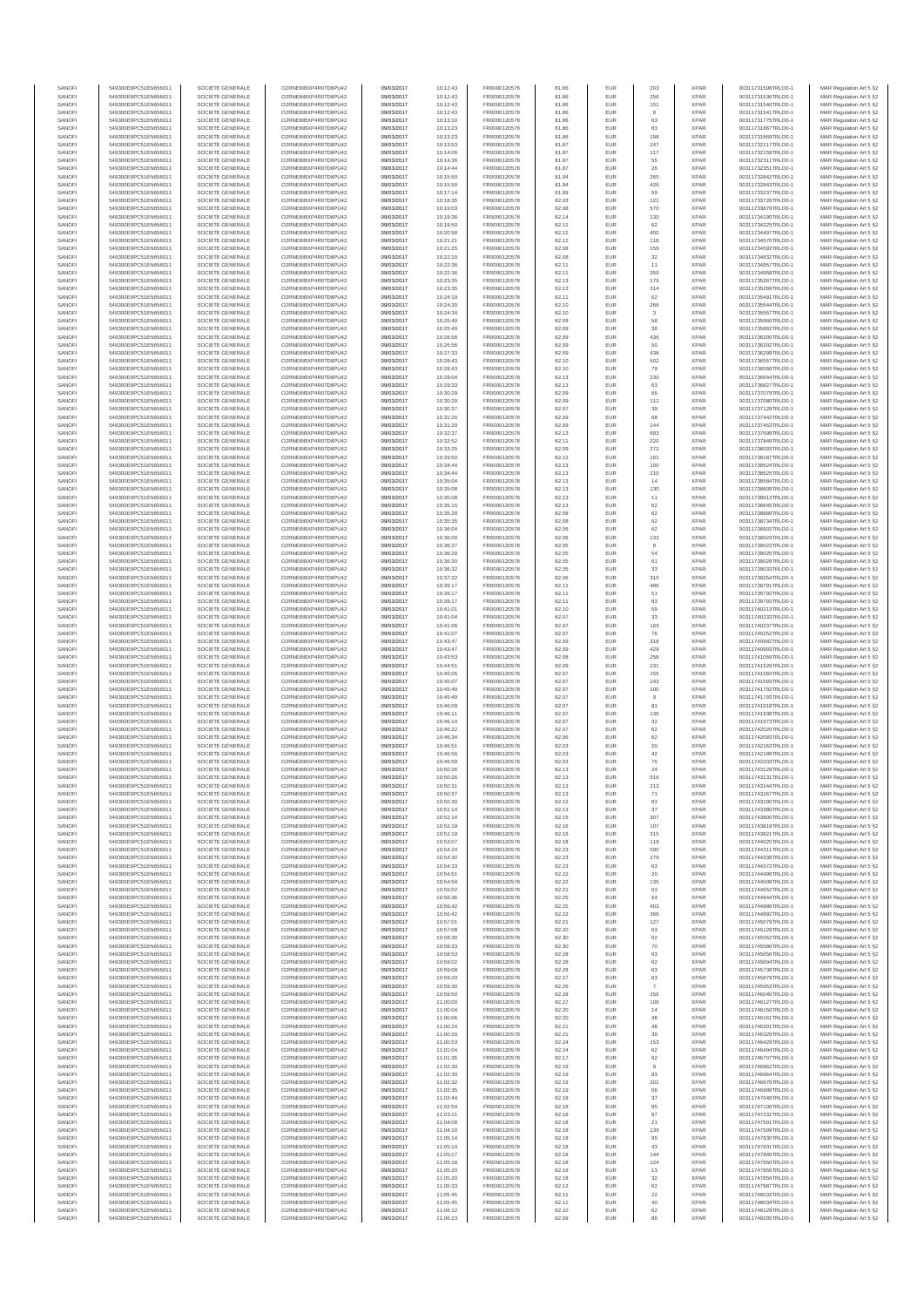| SANOFI           | 549300E9PC51EN656011                         | SOCIETE GENERALE                     | O2RNE8IBXP4R0TD8PU42                         | 09/03/2017               | 10:12:43             | FR0000120578                 | 81.86          | EUR               | 203                 | <b>XPAR</b>                | 00311731508TRLO0-1                       | MAR Regulation Art 5 §2                             |
|------------------|----------------------------------------------|--------------------------------------|----------------------------------------------|--------------------------|----------------------|------------------------------|----------------|-------------------|---------------------|----------------------------|------------------------------------------|-----------------------------------------------------|
| SANOFI<br>SANOFI | 549300E9PC51EN656011<br>549300E9PC51EN656011 | SOCIETE GENERALE<br>SOCIETE GENERALE | O2RNE8IBXP4R0TD8PU42<br>O2RNE8IBXP4R0TD8PU42 | 09/03/2017<br>09/03/2017 | 10:12:43<br>10:12:43 | FR0000120578<br>FR0000120578 | 81.86<br>81.86 | <b>EUR</b><br>EUR | 256<br>151          | <b>XPAR</b><br><b>XPAR</b> | 00311731536TRLO0-1<br>00311731540TRLO0-1 | MAR Regulation Art 5 §2<br>MAR Regulation Art 5 §2  |
| SANOFI           | 549300E9PC51EN656011                         | SOCIETE GENERALE                     | O2RNE8IBXP4R0TD8PLI42                        | 09/03/2017               | 10:12:43             | FR0000120578                 | 81.86          | EUR               | 8                   | <b>XPAR</b>                | 00311731541TRLO0-1                       | MAR Regulation Art 5 \$2                            |
| SANOFI           | 549300E9PC51EN656011                         | SOCIETE GENERALE                     | O2RNE8IBXP4R0TD8PU42                         | 09/03/2017               | 10:13:10             | FR0000120578                 | 81.86          | EUR               | 63                  | <b>XPAR</b>                | 00311731775TRLO0-1                       | MAR Regulation Art 5 §2                             |
| SANOFI<br>SANOFI | 549300E9PC51EN656011<br>549300E9PC51EN656011 | SOCIETE GENERALE<br>SOCIETE GENERALE | O2RNE8IBXP4R0TD8PU42<br>O2RNE8IBXP4R0TD8PU42 | 09/03/2017<br>09/03/2017 | 10:13:23<br>10:13:23 | FR0000120578<br>FR0000120578 | 81.86<br>81.86 | EUR<br>EUR        | 83<br>198           | <b>XPAR</b><br><b>XPAR</b> | 00311731867TRLO0-1<br>00311731869TRLO0-1 | MAR Regulation Art 5 §2<br>MAR Regulation Art 5 §2  |
| SANOFI           | 549300E9PC51EN656011                         | SOCIETE GENERALE                     | O2RNE8IBXP4R0TD8PU42                         | 09/03/2017               | 10:13:53             | FR0000120578                 | 81.87          | EUR               | 247                 | <b>XPAR</b>                | 00311732117TRLO0-1                       | MAR Regulation Art 5 §2                             |
| SANOFI           | 549300E9PC51EN656011                         | SOCIETE GENERALE                     | O2RNE8IBXP4R0TD8PU42                         | 09/03/2017               | 10:14:06             | FR0000120578                 | 81.87          | EUR               | 117                 | <b>XPAR</b>                | 00311732159TRLO0-1                       | MAR Regulation Art 5 §2                             |
| SANOFI<br>SANOFI | 549300E9PC51EN656011<br>549300E9PC51EN656011 | SOCIETE GENERALE<br>SOCIETE GENERALE | O2RNE8IBXP4R0TD8PU42<br>O2RNE8IBXP4R0TD8PU42 | 09/03/2017<br>09/03/2017 | 10:14:36<br>10:14:44 | FR0000120578<br>FR0000120578 | 81.87<br>81.87 | EUR<br>EUR        | 55<br>26            | <b>XPAR</b><br><b>XPAR</b> | 00311732311TRLO0-1<br>00311732351TRLO0-1 | MAR Regulation Art 5 §2<br>MAR Regulation Art 5 §2  |
| SANOFI           | 549300E9PC51EN656011                         | SOCIETE GENERALE                     | O2RNE8IBXP4R0TD8PU42                         | 09/03/2017               | 10:15:50             | FR0000120578                 | 81.94          | EUR               | 265                 | <b>XPAR</b>                | 00311732842TRLO0-1                       | MAR Regulation Art 5 §2                             |
| SANOFI           | 549300E9PC51EN656011                         | SOCIETE GENERALE                     | O2RNE8IBXP4R0TD8PU42                         | 09/03/2017               | 10:15:50             | FR0000120578                 | 81.94          | EUR               | 426                 | <b>XPAR</b>                | 00311732843TRLO0-1                       | MAR Regulation Art 5 §2                             |
| SANOFI<br>SANOFI | 549300E9PC51EN656011                         | SOCIETE GENERALE                     | O2RNE8IBXP4R0TD8PU42<br>O2RNE8IBXP4R0TD8PU42 | 09/03/2017               | 10:17:14             | FR0000120578                 | 81.99<br>82.03 | EUR<br>EUR        | 59<br>121           | <b>XPAR</b><br><b>XPAR</b> | 00311733237TRLO0-1                       | MAR Regulation Art 5 §2<br>MAR Regulation Art 5 §2  |
| SANOFI           | 549300E9PC51EN656011<br>549300E9PC51EN656011 | SOCIETE GENERALE<br>SOCIETE GENERALE | O2RNE8IBXP4R0TD8PU42                         | 09/03/2017<br>09/03/2017 | 10:18:35<br>10:19:03 | FR0000120578<br>FR0000120578 | 82.08          | EUR               | 570                 | <b>XPAR</b>                | 00311733726TRLO0-1<br>00311733879TRLO0-1 | MAR Regulation Art 5 §2                             |
| SANOFI           | 549300E9PC51EN656011                         | SOCIETE GENERALE                     | O2RNE8IBXP4R0TD8PU42                         | 09/03/2017               | 10:19:36             | FR0000120578                 | 82.14          | EUR               | 130                 | <b>XPAR</b>                | 00311734190TRLO0-1                       | MAR Regulation Art 5 §2                             |
| SANOFI           | 549300E9PC51EN656011                         | SOCIETE GENERALE                     | O2RNE8IBXP4R0TD8PU42                         | 09/03/2017               | 10:19:50             | FR0000120578                 | 82.11          | EUR               | 62                  | <b>XPAR</b>                | 00311734225TRLO0-1                       | MAR Regulation Art 5 §2                             |
| SANOFI<br>SANOFI | 549300E9PC51EN656011<br>549300E9PC51EN656011 | SOCIETE GENERALE<br>SOCIETE GENERALE | O2RNE8IBXP4R0TD8PU42<br>O2RNE8IBXP4R0TD8PU42 | 09/03/2017<br>09/03/2017 | 10:20:58<br>10:21:21 | FR0000120578<br>FR0000120578 | 82.12<br>82.11 | EUR<br>EUR        | 400<br>118          | <b>XPAR</b><br><b>XPAR</b> | 00311734497TRLO0-1<br>00311734570TRLO0-1 | MAR Regulation Art 5 §2<br>MAR Regulation Art 5 §2  |
| SANOFI           | 549300E9PC51EN656011                         | SOCIETE GENERALE                     | O2RNE8IBXP4R0TD8PU42                         | 09/03/2017               | 10:21:25             | FR0000120578                 | 82.08          | EUR               | 159                 | <b>XPAR</b>                | 00311734592TRLO0-1                       | MAR Regulation Art 5 §2                             |
| SANOFI           | 549300E9PC51EN656011                         | SOCIETE GENERALE                     | O2RNE8IBXP4R0TD8PU42                         | 09/03/2017               | 10:22:10             | FR0000120578                 | 82.08          | EUR               | 32                  | <b>XPAR</b>                | 00311734832TRLO0-1                       | MAR Regulation Art 5 §2                             |
| SANOFI<br>SANOFI | 549300E9PC51EN656011<br>549300E9PC51EN656011 | SOCIETE GENERALE<br>SOCIETE GENERALE | O2RNE8IBXP4R0TD8PU42<br>O2RNE8IBXP4R0TD8PU42 | 09/03/2017<br>09/03/2017 | 10:22:36<br>10:22:36 | FR0000120578<br>FR0000120578 | 82.11<br>82.11 | EUR<br>EUR        | 11<br>359           | <b>XPAR</b><br><b>XPAR</b> | 00311734957TRLO0-1<br>00311734958TRLO0-1 | MAR Regulation Art 5 §2<br>MAR Regulation Art 5 §2  |
| SANOFI           | 549300E9PC51EN656011                         | SOCIETE GENERALE                     | O2RNE8IBXP4R0TD8PU42                         | 09/03/2017               | 10:23:35             | FR0000120578                 | 82.13          | EUR               | 179                 | <b>XPAR</b>                | 00311735267TRLO0-1                       | MAR Regulation Art 5 §2                             |
| SANOFI           | 549300E9PC51EN656011                         | SOCIETE GENERALE                     | O2RNE8IBXP4R0TD8PU42                         | 09/03/2017               | 10:23:35             | FR0000120578                 | 82.13          | EUR               | 314                 | <b>XPAR</b>                | 00311735269TRLO0-1                       | MAR Regulation Art 5 §2                             |
| SANOFI           | 549300E9PC51EN656011                         | SOCIETE GENERALE<br>SOCIETE GENERALE | O2RNE8IBXP4R0TD8PU42<br>O2RNE8IBXP4R0TD8PU42 | 09/03/2017               | 10:24:19             | FR0000120578                 | 82.11          | EUR               | 62                  | <b>XPAR</b>                | 00311735491TRLO0-1<br>00311735544TRLO0-1 | MAR Regulation Art 5 §2                             |
| SANOFI<br>SANOFI | 549300E9PC51EN656011<br>549300E9PC51EN656011 | SOCIETE GENERALE                     | O2RNE8IBXP4R0TD8PU42                         | 09/03/2017<br>09/03/2017 | 10:24:30<br>10:24:34 | FR0000120578<br>FR0000120578 | 82.10<br>82.10 | EUR<br>EUR        | 266<br>$\mathbf{3}$ | <b>XPAR</b><br><b>XPAR</b> | 00311735557TRLO0-1                       | MAR Regulation Art 5 §2<br>MAR Regulation Art 5 §2  |
| SANOFI           | 549300E9PC51EN656011                         | SOCIETE GENERALE                     | O2RNE8IBXP4R0TD8PU42                         | 09/03/2017               | 10:25:49             | FR0000120578                 | 82.09          | EUR               | 58                  | <b>XPAR</b>                | 00311735860TRLO0-1                       | MAR Regulation Art 5 §2                             |
| SANOFI           | 549300E9PC51EN656011                         | SOCIETE GENERALE                     | O2RNE8IBXP4R0TD8PU42                         | 09/03/2017               | 10:25:49             | FR0000120578                 | 82.09          | EUR               | 38                  | <b>XPAR</b>                | 00311735862TRLO0-1                       | MAR Regulation Art 5 \$2                            |
| SANOFI<br>SANOFI | 549300E9PC51EN656011<br>549300E9PC51EN656011 | SOCIETE GENERALE<br>SOCIETE GENERALE | O2RNE8IBXP4R0TD8PU42<br>O2RNE8IBXP4R0TD8PU42 | 09/03/2017<br>09/03/2017 | 10:26:56<br>10:26:56 | FR0000120578<br>FR0000120578 | 82.09<br>82.09 | EUR<br>EUR        | 436<br>50           | <b>XPAR</b><br><b>XPAR</b> | 00311736200TRLO0-1<br>00311736202TRLO0-1 | MAR Regulation Art 5 §2<br>MAR Regulation Art 5 §2  |
| SANOFI           | 549300E9PC51EN656011                         | SOCIETE GENERALE                     | O2RNE8IBXP4R0TD8PU42                         | 09/03/2017               | 10:27:33             | FR0000120578                 | 82.09          | EUR               | 438                 | <b>XPAR</b>                | 00311736299TRLO0-1                       | MAR Regulation Art 5 §2                             |
| SANOFI           | 549300E9PC51EN656011                         | SOCIETE GENERALE                     | O2RNE8IBXP4R0TD8PU42                         | 09/03/2017               | 10:28:43             | FR0000120578                 | 82.10          | EUR               | 502                 | <b>XPAR</b>                | 00311736557TRLO0-1                       | MAR Regulation Art 5 §2                             |
| SANOFI<br>SANOFI | 549300E9PC51EN656011<br>549300E9PC51EN656011 | SOCIETE GENERALE<br>SOCIETE GENERALE | O2RNE8IBXP4R0TD8PU42<br>O2RNE8IBXP4R0TD8PU42 | 09/03/2017<br>09/03/2017 | 10:28:43<br>10:29:04 | FR0000120578<br>FR0000120578 | 82.10<br>82.13 | EUR<br>EUR        | 79<br>230           | <b>XPAR</b><br><b>XPAR</b> | 00311736558TRLO0-1<br>00311736644TRLO0-1 | MAR Regulation Art 5 §2<br>MAR Regulation Art 5 §2  |
| SANOFI           | 549300E9PC51EN656011                         | SOCIETE GENERALE                     | O2RNE8IBXP4R0TD8PU42                         | 09/03/2017               | 10:29:33             | FR0000120578                 | 82.13          | EUR               | 63                  | <b>XPAR</b>                | 00311736827TRLO0-1                       | MAR Regulation Art 5 \$2                            |
| SANOFI           | 549300E9PC51EN656011                         | SOCIETE GENERALE                     | O2RNE8IBXP4R0TD8PU42                         | 09/03/2017               | 10:30:29             | FR0000120578                 | 82.09          | EUR               | 66                  | <b>XPAR</b>                | 00311737079TRLO0-1                       | MAR Regulation Art 5 §2                             |
| SANOFI<br>SANOFI | 549300E9PC51EN656011<br>549300E9PC51EN656011 | SOCIETE GENERALE                     | O2RNE8IBXP4R0TD8PU42                         | 09/03/2017               | 10:30:29             | FR0000120578                 | 82.09          | EUR               | 111                 | <b>XPAR</b>                | 00311737080TRLO0-1                       | MAR Regulation Art 5 §2                             |
| SANOFI           | 549300E9PC51EN656011                         | SOCIETE GENERALE<br>SOCIETE GENERALE | O2RNE8IBXP4R0TD8PU42<br>O2RNE8IBXP4R0TD8PU42 | 09/03/2017<br>09/03/2017 | 10:30:37<br>10:31:26 | FR0000120578<br>FR0000120578 | 82.07<br>82.09 | EUR<br>EUR        | 39<br>68            | <b>XPAR</b><br><b>XPAR</b> | 00311737128TRLO0-1<br>00311737442TRLO0-1 | MAR Regulation Art 5 §2<br>MAR Regulation Art 5 §2  |
| SANOFI           | 549300E9PC51EN656011                         | SOCIETE GENERALE                     | O2RNE8IBXP4R0TD8PU42                         | 09/03/2017               | 10:31:29             | FR0000120578                 | 82.09          | EUR               | 144                 | <b>XPAR</b>                | 00311737453TRLO0-1                       | MAR Regulation Art 5 §2                             |
| SANOFI           | 549300E9PC51EN656011                         | SOCIETE GENERALE                     | O2RNE8IBXP4R0TD8PU42                         | 09/03/2017               | 10:32:37             | FR0000120578                 | 82.13          | EUR               | 683                 | <b>XPAR</b>                | 00311737698TRLO0-1                       | MAR Regulation Art 5 §2                             |
| SANOFI<br>SANOFI | 549300E9PC51EN656011<br>549300E9PC51EN656011 | SOCIETE GENERALE<br>SOCIETE GENERALE | O2RNE8IBXP4R0TD8PU42<br>O2RNE8IBXP4R0TD8PU42 | 09/03/2017<br>09/03/2017 | 10:32:52<br>10:33:25 | FR0000120578<br>FR0000120578 | 82.11<br>82.09 | EUR<br>EUR        | 220<br>272          | <b>XPAR</b><br><b>XPAR</b> | 00311737849TRLO0-1<br>00311738093TRLO0-1 | MAR Regulation Art 5 §2<br>MAR Regulation Art 5 §2  |
| SANOFI           | 549300E9PC51EN656011                         | SOCIETE GENERALE                     | O2RNE8IBXP4R0TD8PU42                         | 09/03/2017               | 10:33:50             | FR0000120578                 | 82.12          | EUR               | 161                 | <b>XPAR</b>                | 00311738187TRLO0-1                       | MAR Regulation Art 5 \$2                            |
| SANOFI           | 549300E9PC51EN656011                         | SOCIETE GENERALE                     | O2RNE8IBXP4R0TD8PU42                         | 09/03/2017               | 10:34:44             | FR0000120578                 | 82.13          | EUR               | 100                 | <b>XPAR</b>                | 00311738524TRLO0-1                       | MAR Regulation Art 5 §2                             |
| SANOFI           | 549300E9PC51EN656011                         | SOCIETE GENERALE                     | O2RNE8IBXP4R0TD8PU42                         | 09/03/2017               | 10:34:44             | FR0000120578                 | 82.13          | EUR               | 210                 | <b>XPAR</b>                | 00311738525TRLO0-1                       | MAR Regulation Art 5 §2                             |
| SANOFI<br>SANOFI | 549300E9PC51EN656011<br>549300E9PC51EN656011 | SOCIETE GENERALE<br>SOCIETE GENERALE | O2RNE8IBXP4R0TD8PU42<br>O2RNE8IBXP4R0TD8PU42 | 09/03/2017<br>09/03/2017 | 10:35:04<br>10:35:08 | FR0000120578<br>FR0000120578 | 82.13<br>82.13 | EUR<br>EUR        | 14<br>130           | <b>XPAR</b><br><b>XPAR</b> | 00311738584TRLO0-1<br>00311738609TRLO0-1 | MAR Regulation Art 5 §2<br>MAR Regulation Art 5 §2  |
| SANOFI           | 549300E9PC51EN656011                         | SOCIETE GENERALE                     | O2RNE8IBXP4R0TD8PU42                         | 09/03/2017               | 10:35:08             | FR0000120578                 | 82.13          | EUR               | 11                  | <b>XPAR</b>                | 00311738613TRLO0-1                       | MAR Regulation Art 5 §2                             |
| SANOFI           | 549300E9PC51EN656011                         | SOCIETE GENERALE                     | O2RNE8IBXP4R0TD8PU42                         | 09/03/2017               | 10:35:15             | FR0000120578                 | 82.13          | EUR               | 62                  | <b>XPAR</b>                | 00311738645TRLO0-1                       | MAR Regulation Art 5 §2                             |
| SANOFI           | 549300E9PC51EN656011                         | SOCIETE GENERALE                     | O2RNE8IBXP4R0TD8PU42                         | 09/03/2017               | 10:35:28             | FR0000120578                 | 82.08          | EUR               | 62                  | <b>XPAR</b>                | 00311738689TRLO0-1                       | MAR Regulation Art 5 §2                             |
| SANOFI<br>SANOFI | 549300E9PC51EN656011<br>549300E9PC51EN656011 | SOCIETE GENERALE<br>SOCIETE GENERALE | O2RNE8IBXP4R0TD8PU42<br>O2RNE8IBXP4R0TD8PU42 | 09/03/2017<br>09/03/2017 | 10:35:35<br>10:36:04 | FR0000120578<br>FR0000120578 | 82.08<br>82.06 | EUR<br>EUR        | 62<br>62            | <b>XPAR</b><br><b>XPAR</b> | 00311738734TRLO0-1<br>00311738902TRLO0-1 | MAR Regulation Art 5 §2<br>MAR Regulation Art 5 62  |
| SANOFI           | 549300E9PC51EN656011                         | SOCIETE GENERALE                     | O2RNE8IBXP4R0TD8PU42                         | 09/03/2017               | 10:36:09             | FR0000120578                 | 82.06          | EUR               | 132                 | <b>XPAR</b>                | 00311738924TRLO0-1                       | MAR Regulation Art 5 §2                             |
| SANOFI           | 549300E9PC51EN656011                         | SOCIETE GENERALE                     | O2RNE8IBXP4R0TD8PU42                         | 09/03/2017               | 10:36:27             | FR0000120578                 | 82.05          | EUR               | $^{\rm 8}$          | <b>XPAR</b>                | 00311739022TRLO0-1                       | MAR Regulation Art 5 §2                             |
| SANOFI<br>SANOFI | 549300E9PC51EN656011<br>549300E9PC51EN656011 | SOCIETE GENERALE<br>SOCIETE GENERALE | O2RNE8IBXP4R0TD8PU42<br>O2RNE8IBXP4R0TD8PU42 | 09/03/2017<br>09/03/2017 | 10:36:29<br>10:36:30 | FR0000120578<br>FR0000120578 | 82.05<br>82.05 | EUR<br>EUR        | 54<br>61            | <b>XPAR</b><br><b>XPAR</b> | 00311739025TRLO0-1<br>00311739028TRLO0-1 | MAR Regulation Art 5 §2<br>MAR Regulation Art 5 §2  |
| SANOFI           | 549300E9PC51EN656011                         | SOCIETE GENERALE                     | O2RNE8IBXP4R0TD8PU42                         | 09/03/2017               | 10:36:32             | FR0000120578                 | 82.05          | EUR               | 33                  | <b>XPAR</b>                | 00311739033TRLO0-1                       | MAR Regulation Art 5 §2                             |
| SANOFI           | 549300E9PC51EN656011                         | SOCIETE GENERALE                     | O2RNE8IBXP4R0TD8PU42                         | 09/03/2017               | 10:37:22             | FR0000120578                 | 82.06          | EUR               | 310                 | <b>XPAR</b>                | 00311739254TRLO0-1                       | MAR Regulation Art 5 §2                             |
| SANOFI           | 549300E9PC51EN656011                         | SOCIETE GENERALE                     | O2RNE8IBXP4R0TD8PU42                         | 09/03/2017               | 10:39:17             | FR0000120578                 | 82.11          | EUR               | 486                 | <b>XPAR</b>                | 00311739791TRLO0-1                       | MAR Regulation Art 5 §2                             |
| SANOFI<br>SANOFI | 549300E9PC51EN656011<br>549300E9PC51EN656011 | SOCIETE GENERALE<br>SOCIETE GENERALE | O2RNE8IBXP4R0TD8PU42<br>O2RNE8IBXP4R0TD8PU42 | 09/03/2017<br>09/03/2017 | 10:39:17<br>10:39:17 | FR0000120578<br>FR0000120578 | 82.11<br>82.11 | EUR<br>EUR        | 51<br>83            | <b>XPAR</b><br><b>XPAR</b> | 00311739792TRLO0-1<br>00311739793TRLO0-1 | MAR Regulation Art 5 §2<br>MAR Regulation Art 5 §2  |
| SANOFI           | 549300E9PC51EN656011                         | SOCIETE GENERALE                     | O2RNE8IBXP4R0TD8PU42                         | 09/03/2017               | 10:41:01             | FR0000120578                 | 82.10          | EUR               | 59                  | <b>XPAR</b>                | 00311740213TRLO0-1                       | MAR Regulation Art 5 §2                             |
| SANOFI           | 549300E9PC51EN656011                         | SOCIETE GENERALE                     | O2RNE8IBXP4R0TD8PU42                         | 09/03/2017               | 10:41:04             | FR0000120578                 | 82.07          | EUR               | 33                  | <b>XPAR</b>                | 00311740233TRLO0-1                       | MAR Regulation Art 5 §2                             |
| SANOFI<br>SANOFI | 549300E9PC51EN656011<br>549300E9PC51EN656011 | SOCIETE GENERALE<br>SOCIETE GENERALE | O2RNE8IBXP4R0TD8PU42<br>O2RNE8IBXP4R0TD8PU42 | 09/03/2017<br>09/03/2017 | 10:41:06<br>10:41:07 | FR0000120578<br>FR0000120578 | 82.07<br>82.07 | EUR<br>EUR        | 163<br>76           | <b>XPAR</b><br><b>XPAR</b> | 00311740237TRLO0-1<br>00311740252TRLO0-1 | MAR Regulation Art 5 §2<br>MAR Regulation Art 5 §2  |
| SANOFI           | 549300E9PC51EN656011                         | SOCIETE GENERALE                     | O2RNE8IBXP4R0TD8PU42                         | 09/03/2017               | 10:43:47             | FR0000120578                 | 82.09          | EUR               | 318                 | <b>XPAR</b>                | 00311740992TRLO0-1                       | MAR Regulation Art 5 §2                             |
| SANOFI           | 549300E9PC51EN656011                         | SOCIETE GENERALE                     | O2RNE8IBXP4R0TD8PU42                         | 09/03/2017               | 10:43:47             | FR0000120578                 | 82.09          | EUR               | 429                 | <b>XPAR</b>                | 00311740993TRLO0-1                       | MAR Regulation Art 5 §2                             |
| SANOFI<br>SANOFI | 549300E9PC51EN656011<br>549300E9PC51EN656011 | SOCIETE GENERALE<br>SOCIETE GENERALE | O2RNE8IBXP4R0TD8PU42<br>O2RNE8IBXP4R0TD8PU42 | 09/03/2017<br>09/03/2017 | 10:43:53<br>10:44:51 | FR0000120578<br>FR0000120578 | 82.08<br>82.09 | EUR<br>EUR        | 258<br>231          | <b>XPAR</b><br><b>XPAR</b> | 00311741059TRLO0-1<br>00311741526TRLO0-1 | MAR Regulation Art 5 §2<br>MAR Regulation Art 5 §2  |
| SANOFI           | 549300E9PC51EN656011                         | SOCIETE GENERALE                     | O2RNE8IBXP4R0TD8PU42                         | 09/03/2017               | 10:45:05             | FR0000120578                 | 82.07          | EUR               | 155                 | <b>XPAR</b>                | 00311741584TRLO0-1                       | MAR Regulation Art 5 §2                             |
| SANOFI           | 549300E9PC51EN656011                         | SOCIETE GENERALE                     | O2RNE8IBXP4R0TD8PU42                         | 09/03/2017               | 10:45:07             | FR0000120578                 | 82.07          | EUR               | 143                 | <b>XPAR</b>                | 00311741593TRLO0-1                       | MAR Regulation Art 5 §2                             |
| SANOFI           | 549300E9PC51EN656011                         | SOCIETE GENERALE                     | O2RNE8IBXP4R0TD8PU42                         | 09/03/2017               | 10:45:49             | FR0000120578                 | 82.07          | EUR               | 100                 | <b>XPAR</b>                | 00311741792TRLO0-1                       | MAR Regulation Art 5 §2                             |
| SANOFI<br>SANOFI | 549300E9PC51EN656011<br>549300E9PC51EN656011 | SOCIETE GENERALE<br>SOCIETE GENERALE | O2RNE8IBXP4R0TD8PU42<br>O2RNE8IBXP4R0TD8PU42 | 09/03/2017<br>09/03/2017 | 10:45:49<br>10:46:09 | FR0000120578<br>FR0000120578 | 82.07<br>82.07 | EUR<br>EUR        | 9<br>81             | <b>XPAR</b><br><b>XPAR</b> | 00311741793TRLO0-1<br>00311741918TRLO0-1 | MAR Regulation Art 5 §2<br>MAR Regulation Art 5 §2  |
| SANOFI           | 549300E9PC51EN656011                         | SOCIETE GENERALE                     | O2RNE8IBXP4R0TD8PLI42                        | 09/03/2017               | 10:46:11             | FR0000120578                 | 82.07          | EUR               | 136                 | <b>XPAR</b>                | 00311741938TRLO0-1                       | MAR Regulation Art 5 §2                             |
| SANOFI           | 549300E9PC51EN656011                         | SOCIETE GENERALE                     | O2RNE8IBXP4R0TD8PU42                         | 09/03/2017               | 10:46:14             | FR0000120578                 | 82.07          | EUR               | 32                  | <b>XPAR</b>                | 00311741973TRLO0-1                       | MAR Regulation Art 5 §2                             |
| SANOFI<br>SANOFI | 549300E9PC51EN656011<br>549300E9PC51EN656011 | SOCIETE GENERALE<br>SOCIETE GENERALE | O2RNE8IBXP4R0TD8PU42<br>O2RNE8IBXP4R0TD8PU42 | 09/03/2017<br>09/03/2017 | 10:46:22<br>10:46:34 | FR0000120578<br>FR0000120578 | 82.07<br>82.06 | EUR<br>EUR        | 62<br>62            | <b>XPAR</b><br><b>XPAR</b> | 00311742020TRLO0-1<br>00311742093TRLO0-1 | MAR Regulation Art 5 \$2<br>MAR Regulation Art 5 §2 |
| SANOFI           | 549300E9PC51EN656011                         | SOCIETE GENERALE                     | O2RNE8IBXP4R0TD8PU42                         | 09/03/2017               | 10:46:51             | FR0000120578                 | 82.03          | EUR               | $20\,$              | <b>XPAR</b>                | 00311742163TRLO0-1                       | MAR Regulation Art 5 §2                             |
| SANOFI           | 549300E9PC51EN656011                         | SOCIETE GENERALE                     | O2RNE8IBXP4R0TD8PU42                         | 09/03/2017               | 10:46:56             | FR0000120578                 | 82.03          | EUR               | 42                  | <b>XPAR</b>                | 00311742189TRLO0-1                       | MAR Regulation Art 5 §2                             |
| SANOFI<br>SANOFI | 549300E9PC51EN656011<br>549300E9PC51EN656011 | SOCIETE GENERALE<br>SOCIETE GENERALE | O2RNE8IBXP4R0TD8PU42<br>O2RNE8IBXP4R0TD8PU42 | 09/03/2017<br>09/03/2017 | 10:46:59<br>10:50:26 | FR0000120578<br>FR0000120578 | 82.03<br>82.13 | EUR<br>EUR        | 76<br>24            | <b>XPAR</b><br><b>XPAR</b> | 00311742203TRLO0-1<br>00311743129TRLO0-1 | MAR Regulation Art 5 §2                             |
| SANOFI           | 549300E9PC51EN656011                         | SOCIETE GENERALE                     | O2RNE8IBXP4R0TD8PU42                         | 09/03/2017               | 10:50:26             | FR0000120578                 | 82.13          | EUR               | 916                 | <b>XPAR</b>                | 00311743131TRLO0-1                       | MAR Regulation Art 5 §2<br>MAR Regulation Art 5 §2  |
| SANOFI           | 549300E9PC51EN656011                         | SOCIETE GENERALE                     | O2RNE8IBXP4R0TD8PU42                         | 09/03/2017               | 10:50:31             | FR0000120578                 | 82.13          | EUR               | 213                 | <b>XPAR</b>                | 00311743144TRLO0-1                       | MAR Regulation Art 5 §2                             |
| SANOFI           | 549300E9PC51EN656011                         | SOCIETE GENERALE                     | O2RNE8IBXP4R0TD8PU42                         | 09/03/2017               | 10:50:37             | FR0000120578                 | 82.13          | EUR               | 71                  | <b>XPAR</b>                | 00311743167TRLO0-1                       | MAR Regulation Art 5 §2                             |
| SANOFI<br>SANOFI | 549300E9PC51EN656011<br>549300E9PC51EN656011 | SOCIETE GENERALE<br>SOCIETE GENERALE | O2RNE8IBXP4R0TD8PU42<br>O2RNE8IBXP4R0TD8PU42 | 09/03/2017<br>09/03/2017 | 10:50:39<br>10:51:14 | FR0000120578<br>FR0000120578 | 82.12<br>82.13 | EUR<br>EUR        | 83<br>37            | <b>XPAR</b><br><b>XPAR</b> | 00311743190TRLO0-1<br>00311743380TRLO0-1 | MAR Regulation Art 5 §2<br>MAR Regulation Art 5 §2  |
| SANOFI           | 549300E9PC51EN656011                         | SOCIETE GENERALE                     | O2RNE8IBXP4R0TD8PU42                         | 09/03/2017               | 10:52:14             | FR0000120578                 | 82.15          | EUR               | 307                 | <b>XPAR</b>                | 00311743800TRLO0-1                       | MAR Regulation Art 5 §2                             |
| SANOFI           | 549300E9PC51EN656011                         | SOCIETE GENERALE                     | O2RNE8IBXP4R0TD8PU42                         | 09/03/2017               | 10:52:19             | FR0000120578                 | 82.16          | EUR               | 107                 | <b>XPAR</b>                | 00311743819TRLO0-1                       | MAR Regulation Art 5 §2                             |
| SANOFI<br>SANOFI | 549300E9PC51EN656011<br>549300E9PC51EN656011 | SOCIETE GENERALE<br>SOCIETE GENERALE | O2RNE8IBXP4R0TD8PU42<br>O2RNE8IBXP4R0TD8PU42 | 09/03/2017<br>09/03/2017 | 10:52:19<br>10:53:07 | FR0000120578<br>FR0000120578 | 82.16<br>82.18 | EUR<br>EUR        | 315<br>119          | <b>XPAR</b><br><b>XPAR</b> | 00311743821TRLO0-1<br>00311744025TRLO0-1 | MAR Regulation Art 5 §2<br>MAR Regulation Art 5 §2  |
| SANOFI           | 549300E9PC51EN656011                         | SOCIETE GENERALE                     | O2RNE8IBXP4R0TD8PU42                         | 09/03/2017               | 10:54:24             | FR0000120578                 | 82.23          | EUR               | 590                 | <b>XPAR</b>                | 00311744311TRLO0-1                       | MAR Regulation Art 5 §2                             |
| SANOFI           | 549300E9PC51EN656011                         | SOCIETE GENERALE                     | O2RNE8IBXP4R0TD8PU42                         | 09/03/2017               | 10:54:30             | FR0000120578                 | 82.23          | EUR               | 279                 | <b>XPAR</b>                | 00311744339TRLO0-1                       | MAR Regulation Art 5 §2                             |
| SANOFI<br>SANOFI | 549300E9PC51EN656011<br>549300E9PC51EN656011 | SOCIETE GENERALE<br>SOCIETE GENERALE | O2RNE8IBXP4R0TD8PU42<br>O2RNE8IBXP4R0TD8PU42 | 09/03/2017<br>09/03/2017 | 10:54:33<br>10:54:51 | FR0000120578<br>FR0000120578 | 82.23<br>82.22 | EUR<br>EUR        | 63<br>20            | <b>XPAR</b><br><b>XPAR</b> | 00311744372TRLO0-1<br>00311744496TRLO0-1 | MAR Regulation Art 5 §2<br>MAR Regulation Art 5 §2  |
| SANOFI           | 549300E9PC51EN656011                         | SOCIETE GENERALE                     | O2RNE8IBXP4R0TD8PU42                         | 09/03/2017               | 10:54:54             | FR0000120578                 | 82.22          | EUR               | 135                 | <b>XPAR</b>                | 00311744508TRLO0-1                       | MAR Regulation Art 5 §2                             |
| SANOFI           | 549300E9PC51EN656011                         | SOCIETE GENERALE                     | O2RNE8IBXP4R0TD8PU42                         | 09/03/2017               | 10:55:02             | FR0000120578                 | 82.21          | EUR               | 63                  | <b>XPAR</b>                | 00311744552TRLO0-1                       | MAR Regulation Art 5 §2                             |
| SANOFI<br>SANOFI | 549300E9PC51EN656011<br>549300E9PC51EN656011 | SOCIETE GENERALE<br>SOCIETE GENERALE | O2RNE8IBXP4R0TD8PU42<br>O2RNE8IBXP4R0TD8PU42 | 09/03/2017<br>09/03/2017 | 10:56:36<br>10:56:42 | FR0000120578<br>FR0000120578 | 82.25<br>82.25 | EUR<br>EUR        | 54<br>403           | <b>XPAR</b><br><b>XPAR</b> | 00311744944TRLO0-1<br>00311744986TRLO0-1 | MAR Regulation Art 5 §2<br>MAR Regulation Art 5 §2  |
| SANOFI           | 549300E9PC51EN656011                         | SOCIETE GENERALE                     | O2RNE8IBXP4R0TD8PU42                         | 09/03/2017               | 10:56:42             | FR0000120578                 | 82.22          | EUR               | 366                 | <b>XPAR</b>                | 00311744992TRLO0-1                       | MAR Regulation Art 5 §2                             |
| SANOFI           | 549300E9PC51EN656011                         | SOCIETE GENERALE                     | O2RNE8IBXP4R0TD8PU42                         | 09/03/2017               | 10:57:01             | FR0000120578                 | 82.21          | EUR               | 127                 | <b>XPAR</b>                | 00311745079TRLO0-1                       | MAR Regulation Art 5 §2                             |
| SANOFI<br>SANOFI | 549300E9PC51EN656011<br>549300E9PC51EN656011 | SOCIETE GENERALE<br>SOCIETE GENERALE | O2RNE8IBXP4R0TD8PU42<br>O2RNE8IBXP4R0TD8PU42 | 09/03/2017<br>09/03/2017 | 10:57:08<br>10:58:30 | FR0000120578<br>FR0000120578 | 82.20<br>82.30 | EUR<br>EUR        | 63<br>62            | <b>XPAR</b><br><b>XPAR</b> | 00311745126TRLO0-1<br>00311745552TRLO0-1 | MAR Regulation Art 5 §2<br>MAR Regulation Art 5 §2  |
| SANOFI           | 549300E9PC51EN656011                         | SOCIETE GENERALE                     | O2RNE8IBXP4R0TD8PU42                         | 09/03/2017               | 10:58:33             | FR0000120578                 | 82.30          | EUR               | 70                  | <b>XPAR</b>                | 00311745586TRLO0-1                       | MAR Regulation Art 5 §2                             |
| SANOFI           | 549300E9PC51EN656011                         | SOCIETE GENERALE                     | O2RNE8IBXP4R0TD8PU42                         | 09/03/2017               | 10:58:53             | FR0000120578                 | 82.28          | EUR               | 63                  | <b>XPAR</b>                | 00311745656TRLO0-1                       | MAR Regulation Art 5 §2                             |
| SANOFI           | 549300E9PC51EN656011                         | SOCIETE GENERALE                     | O2RNE8IBXP4R0TD8PU42                         | 09/03/2017               | 10:59:02             | FR0000120578                 | 82.28          | EUR               | 62                  | <b>XPAR</b>                | 00311745694TRLO0-1                       | MAR Regulation Art 5 §2                             |
| SANOFI<br>SANOFI | 549300E9PC51EN656011<br>549300E9PC51EN656011 | SOCIETE GENERALE<br>SOCIETE GENERALE | O2RNE8IBXP4R0TD8PU42<br>O2RNE8IBXP4R0TD8PU42 | 09/03/2017<br>09/03/2017 | 10:59:08<br>10:59:20 | FR0000120578<br>FR0000120578 | 82.28<br>82.27 | EUR<br>EUR        | 63<br>63            | <b>XPAR</b><br><b>XPAR</b> | 00311745738TRLO0-1<br>00311745879TRLO0-1 | MAR Regulation Art 5 §2<br>MAR Regulation Art 5 §2  |
| SANOFI           | 549300E9PC51EN656011                         | SOCIETE GENERALE                     | O2RNE8IBXP4R0TD8PU42                         | 09/03/2017               | 10:59:30             | FR0000120578                 | 82.26          | EUR               | $\overline{7}$      | <b>XPAR</b>                | 00311745953TRLO0-1                       | MAR Regulation Art 5 §2                             |
| SANOFI           | 549300E9PC51EN656011                         | SOCIETE GENERALE                     | O2RNE8IBXP4R0TD8PU42                         | 09/03/2017               | 10:59:50             | FR0000120578                 | 82.28          | EUR               | 156                 | <b>XPAR</b>                | 00311746045TRLO0-1                       | MAR Regulation Art 5 §2                             |
| SANOFI<br>SANOFI | 549300E9PC51EN656011<br>549300E9PC51EN656011 | SOCIETE GENERALE<br>SOCIETE GENERALE | O2RNE8IBXP4R0TD8PU42<br>O2RNE8IBXP4R0TD8PU42 | 09/03/2017<br>09/03/2017 | 11:00:00<br>11:00:04 | FR0000120578<br>FR0000120578 | 82.27<br>82.20 | EUR<br>EUR        | 106<br>14           | <b>XPAR</b><br><b>XPAR</b> | 00311746127TRLO0-1<br>00311746150TRLO0-1 | MAR Regulation Art 5 §2<br>MAR Regulation Art 5 §2  |
| SANOFI           | 549300E9PC51EN656011                         | SOCIETE GENERALE                     | O2RNE8IBXP4R0TD8PU42                         | 09/03/2017               | 11:00:06             | FR0000120578                 | 82.20          | EUR               | 48                  | <b>XPAR</b>                | 00311746161TRLO0-1                       | MAR Regulation Art 5 §2                             |
| SANOFI           | 549300E9PC51EN656011                         | SOCIETE GENERALE                     | O2RNE8IBXP4R0TD8PU42                         | 09/03/2017               | 11:00:24             | FR0000120578                 | 82.21          | EUR               | 48                  | <b>XPAR</b>                | 00311746301TRLO0-1                       | MAR Regulation Art 5 §2                             |
| SANOFI<br>SANOFI | 549300E9PC51EN656011<br>549300E9PC51EN656011 | SOCIETE GENERALE<br>SOCIETE GENERALE | O2RNE8IBXP4R0TD8PU42<br>O2RNE8IBXP4R0TD8PU42 | 09/03/2017<br>09/03/2017 | 11:00:29<br>11:00:53 | FR0000120578<br>FR0000120578 | 82.21<br>82.24 | EUR<br>EUR        | 39<br>153           | <b>XPAR</b><br><b>XPAR</b> | 00311746325TRLO0-1<br>00311746429TRLO0-1 | MAR Regulation Art 5 §2<br>MAR Regulation Art 5 §2  |
| SANOFI           | 549300E9PC51EN656011                         | SOCIETE GENERALE                     | O2RNE8IBXP4R0TD8PU42                         | 09/03/2017               | 11:01:04             | FR0000120578                 | 82.24          | EUR               | 62                  | <b>XPAR</b>                | 00311746494TRLO0-1                       | MAR Regulation Art 5 §2                             |
| SANOFI           | 549300E9PC51EN656011                         | SOCIETE GENERALE                     | O2RNE8IBXP4R0TD8PU42                         | 09/03/2017               | 11:01:35             | FR0000120578                 | 82.17          | EUR               | 62                  | <b>XPAR</b>                | 00311746707TRLO0-1                       | MAR Regulation Art 5 §2                             |
| SANOFI           | 549300E9PC51EN656011                         | SOCIETE GENERALE                     | O2RNE8IBXP4R0TD8PU42                         | 09/03/2017               | 11:02:30             | FR0000120578                 | 82.19          | EUR               | $\bf8$              | <b>XPAR</b>                | 00311746962TRLO0-1                       | MAR Regulation Art 5 §2                             |
| SANOFI<br>SANOFI | 549300E9PC51EN656011<br>549300E9PC51EN656011 | SOCIETE GENERALE<br>SOCIETE GENERALE | O2RNE8IBXP4R0TD8PU42<br>O2RNE8IBXP4R0TD8PU42 | 09/03/2017<br>09/03/2017 | 11:02:30<br>11:02:32 | FR0000120578<br>FR0000120578 | 82.19<br>82.19 | EUR<br>EUR        | 83<br>201           | <b>XPAR</b><br><b>XPAR</b> | 00311746964TRLO0-1<br>00311746976TRLO0-1 | MAR Regulation Art 5 §2<br>MAR Regulation Art 5 §2  |
| SANOFI           | 549300E9PC51EN656011                         | SOCIETE GENERALE                     | O2RNE8IBXP4R0TD8PU42                         | 09/03/2017               | 11:02:35             | FR0000120578                 | 82.19          | EUR               | 66                  | <b>XPAR</b>                | 00311746988TRLO0-1                       | MAR Regulation Art 5 §2                             |
| SANOFI           | 549300E9PC51EN656011                         | SOCIETE GENERALE                     | O2RNE8IBXP4R0TD8PU42                         | 09/03/2017               | 11:02:44             | FR0000120578                 | 82.18          | EUR               | 37                  | <b>XPAR</b>                | 00311747048TRLO0-1                       | MAR Regulation Art 5 §2                             |
| SANOFI<br>SANOFI | 549300E9PC51EN656011<br>549300E9PC51EN656011 | SOCIETE GENERALE<br>SOCIETE GENERALE | O2RNE8IBXP4R0TD8PU42<br>O2RNE8IBXP4R0TD8PU42 | 09/03/2017<br>09/03/2017 | 11:02:54<br>11:03:11 | FR0000120578<br>FR0000120578 | 82.18<br>82.18 | EUR<br>EUR        | 85<br>97            | <b>XPAR</b><br><b>XPAR</b> | 00311747106TRLO0-1<br>00311747232TRLO0-1 | MAR Regulation Art 5 §2<br>MAR Regulation Art 5 §2  |
| SANOFI           | 549300E9PC51EN656011                         | SOCIETE GENERALE                     | O2RNE8IBXP4R0TD8PU42                         | 09/03/2017               | 11:04:08             | FR0000120578                 | 82.18          | EUR               | 21                  | <b>XPAR</b>                | 00311747501TRLO0-1                       | MAR Regulation Art 5 §2                             |
| SANOFI           | 549300E9PC51EN656011                         | SOCIETE GENERALE                     | O2RNE8IBXP4R0TD8PU42                         | 09/03/2017               | 11:04:10             | FR0000120578                 | 82.18          | EUR               | 139                 | <b>XPAR</b>                | 00311747509TRLO0-1                       | MAR Regulation Art 5 §2                             |
| SANOFI<br>SANOFI | 549300E9PC51EN656011<br>549300E9PC51EN656011 | SOCIETE GENERALE<br>SOCIETE GENERALE | O2RNE8IBXP4R0TD8PU42<br>O2RNE8IBXP4R0TD8PU42 | 09/03/2017<br>09/03/2017 | 11:05:14<br>11:05:14 | FR0000120578<br>FR0000120578 | 82.18<br>82.18 | EUR<br>EUR        | 95<br>43            | <b>XPAR</b><br><b>XPAR</b> | 00311747830TRLO0-1<br>00311747831TRLO0-1 | MAR Regulation Art 5 §2<br>MAR Regulation Art 5 §2  |
| SANOFI           | 549300E9PC51EN656011                         | SOCIETE GENERALE                     | O2RNE8IBXP4R0TD8PU42                         | 09/03/2017               | 11:05:17             | FR0000120578                 | 82.18          | EUR               | 144                 | <b>XPAR</b>                | 00311747845TRLO0-1                       | MAR Regulation Art 5 §2                             |
| SANOFI           | 549300E9PC51EN656011                         | SOCIETE GENERALE                     | O2RNE8IBXP4R0TD8PU42                         | 09/03/2017               | 11:05:18             | FR0000120578                 | 82.18          | EUR               | 124                 | <b>XPAR</b>                | 00311747850TRLO0-1                       | MAR Regulation Art 5 §2                             |
| SANOFI           | 549300E9PC51EN656011                         | SOCIETE GENERALE                     | O2RNE8IBXP4R0TD8PU42                         | 09/03/2017               | 11:05:20             | FR0000120578                 | 82.18          | EUR<br>EUR        | 13                  | <b>XPAR</b><br><b>XPAR</b> | 00311747855TRLO0-1                       | MAR Regulation Art 5 §2                             |
| SANOFI<br>SANOFI | 549300E9PC51EN656011<br>549300E9PC51EN656011 | SOCIETE GENERALE<br>SOCIETE GENERALE | O2RNE8IBXP4R0TD8PU42<br>O2RNE8IBXP4R0TD8PU42 | 09/03/2017<br>09/03/2017 | 11:05:20<br>11:05:33 | FR0000120578<br>FR0000120578 | 82.18<br>82.12 | EUR               | 32<br>62            | <b>XPAR</b>                | 00311747856TRLO0-1<br>00311747987TRLO0-1 | MAR Regulation Art 5 §2<br>MAR Regulation Art 5 §2  |
| SANOFI           | 549300E9PC51EN656011                         | SOCIETE GENERALE                     | O2RNE8IBXP4R0TD8PU42                         | 09/03/2017               | 11:05:45             | FR0000120578                 | 82.11          | EUR               | 22                  | <b>XPAR</b>                | 00311748033TRLO0-1                       | MAR Regulation Art 5 §2                             |
| SANOFI           | 549300E9PC51EN656011                         | SOCIETE GENERALE                     | O2RNE8IBXP4R0TD8PU42                         | 09/03/2017               | 11:05:45             | FR0000120578                 | 82.11          | EUR               | 40                  | <b>XPAR</b>                | 00311748034TRLO0-1                       | MAR Regulation Art 5 §2                             |
| SANOFI<br>SANOFI | 549300E9PC51EN656011<br>549300E9PC51EN656011 | SOCIETE GENERALE<br>SOCIETE GENERALE | O2RNE8IBXP4R0TD8PU42<br>O2RNE8IBXP4R0TD8PU42 | 09/03/2017<br>09/03/2017 | 11:06:12<br>11:06:23 | FR0000120578<br>FR0000120578 | 82.10<br>82.09 | EUR<br>EUR        | 62<br>86            | <b>XPAR</b><br><b>XPAR</b> | 00311748129TRLO0-1<br>00311748205TRLO0-1 | MAR Regulation Art 5 §2<br>MAR Regulation Art 5 §2  |
|                  |                                              |                                      |                                              |                          |                      |                              |                |                   |                     |                            |                                          |                                                     |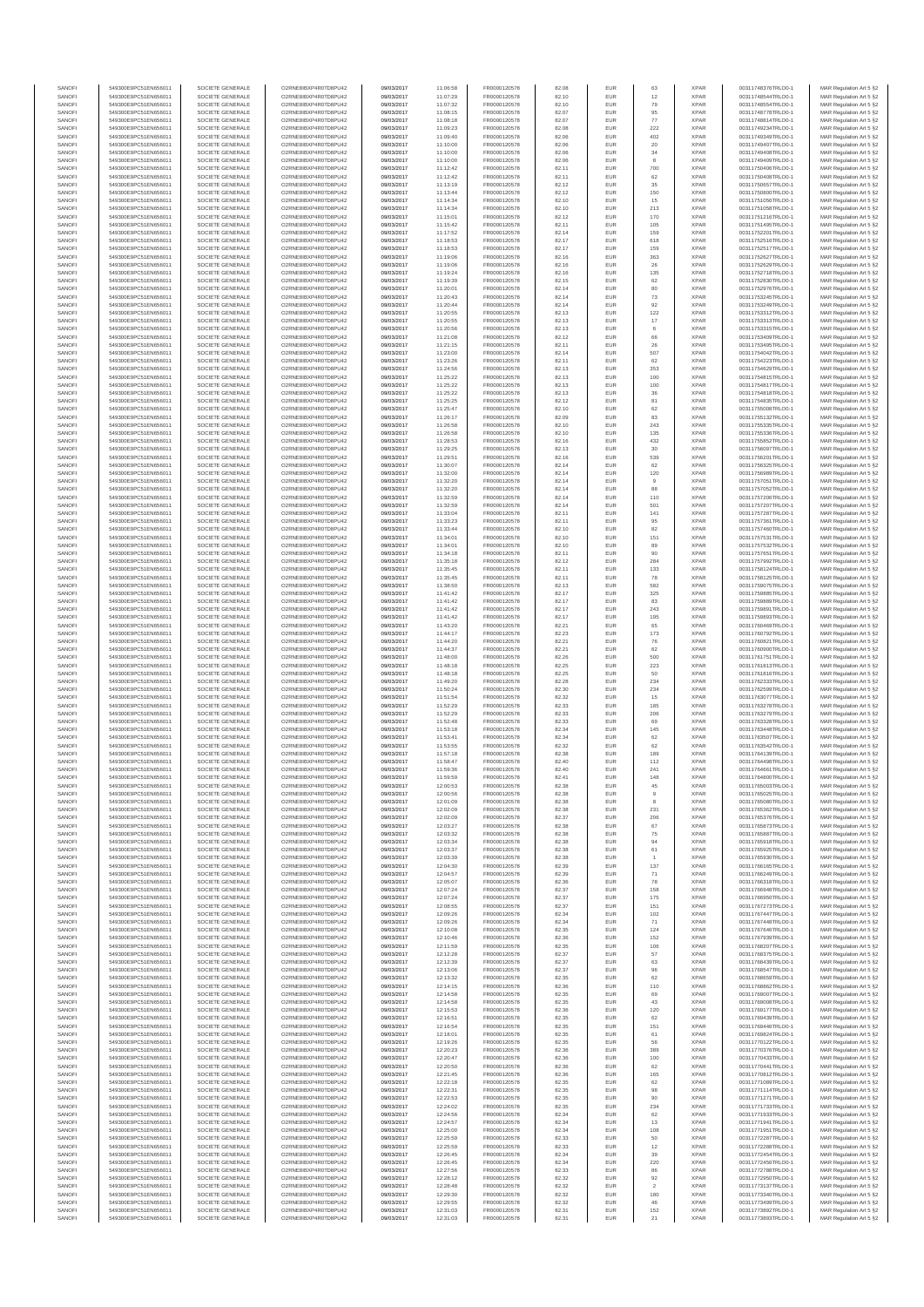| SANOFI           | 549300E9PC51EN656011                         | SOCIETE GENERALE                     | O2RNE8IBXP4R0TD8PU42                          | 09/03/2017               | 11:06:58             | FR0000120578                 | 82.08          | EUR               | 63                    | <b>XPAR</b>                | 00311748376TRLO0-1                       | MAR Regulation Art 5 §2                             |
|------------------|----------------------------------------------|--------------------------------------|-----------------------------------------------|--------------------------|----------------------|------------------------------|----------------|-------------------|-----------------------|----------------------------|------------------------------------------|-----------------------------------------------------|
| SANOFI<br>SANOFI | 549300E9PC51EN656011<br>549300E9PC51EN656011 | SOCIETE GENERALE<br>SOCIETE GENERALE | O2RNE8IBXP4R0TD8PU42<br>O2RNE8IBXP4R0TD8PU42  | 09/03/2017<br>09/03/2017 | 11:07:29<br>11:07:32 | FR0000120578<br>FR0000120578 | 82.10<br>82.10 | EUR<br>EUR        | 12<br>79              | <b>XPAR</b><br><b>XPAR</b> | 00311748544TRLO0-1<br>00311748554TRLO0-1 | MAR Regulation Art 5 §2                             |
| SANOFI           | 549300E9PC51EN656011                         | SOCIETE GENERALE                     | O2RNE8IBXP4R0TD8PU42                          | 09/03/2017               | 11:08:15             | FR0000120578                 | 82.07          | EUR               | 95                    | <b>XPAR</b>                | 00311748778TRLO0-1                       | MAR Regulation Art 5 §2<br>MAR Regulation Art 5 §2  |
| SANOFI           | 549300E9PC51EN656011                         | SOCIETE GENERALE                     | O2RNE8IBXP4R0TD8PU42                          | 09/03/2017               | 11:08:18             | FR0000120578                 | 82.07          | EUR               | 77                    | <b>XPAR</b>                | 00311748814TRLO0-1                       | MAR Regulation Art 5 §2                             |
| SANOFI           | 549300E9PC51EN656011                         | SOCIETE GENERALE                     | O2RNE8IBXP4R0TD8PU42                          | 09/03/2017               | 11:09:23             | FR0000120578                 | 82.08          | EUR               | 222                   | <b>XPAR</b>                | 00311749234TRLO0-1                       | MAR Regulation Art 5 §2                             |
| SANOFI<br>SANOFI | 549300E9PC51EN656011<br>549300E9PC51EN656011 | SOCIETE GENERALE<br>SOCIETE GENERALE | O2RNE8IBXP4R0TD8PU42<br>O2RNE8IBXP4R0TD8PU42  | 09/03/2017<br>09/03/2017 | 11:09:40<br>11:10:00 | FR0000120578<br>FR0000120578 | 82.06<br>82.06 | EUR<br>EUR        | 402<br>20             | <b>XPAR</b><br><b>XPAR</b> | 00311749349TRLO0-1<br>00311749407TRLO0-1 | MAR Regulation Art 5 \$2<br>MAR Regulation Art 5 §2 |
| SANOFI           | 549300E9PC51EN656011                         | SOCIETE GENERALE                     | O2RNE8IBXP4R0TD8PU42                          | 09/03/2017               | 11:10:00             | FR0000120578                 | 82.06          | EUR               | 34                    | <b>XPAR</b>                | 00311749408TRLO0-1                       | MAR Regulation Art 5 \$2                            |
| SANOFI           | 549300E9PC51EN656011                         | SOCIETE GENERALE                     | O2RNE8IBXP4R0TD8PU42                          | 09/03/2017               | 11:10:00             | FR0000120578                 | 82.06          | EUR               | 8                     | <b>XPAR</b>                | 00311749409TRLO0-1                       | MAR Regulation Art 5 §2                             |
| SANOFI<br>SANOFI | 549300E9PC51EN656011<br>549300E9PC51EN656011 | SOCIETE GENERALE<br>SOCIETE GENERALE | O2RNE8IBXP4R0TD8PU42<br>O2RNE8IBXP4R0TD8PU42  | 09/03/2017<br>09/03/2017 | 11:12:42<br>11:12:42 | FR0000120578<br>FR0000120578 | 82.11<br>82.11 | EUR<br>EUR        | 700<br>62             | <b>XPAR</b><br><b>XPAR</b> | 00311750406TRLO0-1<br>00311750408TRLO0-1 | MAR Regulation Art 5 §2<br>MAR Regulation Art 5 §2  |
| SANOFI           | 549300E9PC51EN656011                         | SOCIETE GENERALE                     | O2RNE8IBXP4R0TD8PU42                          | 09/03/2017               | 11:13:19             | FR0000120578                 | 82.12          | EUR               | 35                    | <b>XPAR</b>                | 00311750657TRLO0-1                       | MAR Regulation Art 5 §2                             |
| SANOFI           | 549300E9PC51EN656011                         | SOCIETE GENERALE                     | O2RNE8IBXP4R0TD8PU42                          | 09/03/2017               | 11:13:44             | FR0000120578                 | 82.12          | EUR               | 150                   | <b>XPAR</b>                | 00311750800TRLO0-1                       | MAR Regulation Art 5 §2                             |
| SANOFI           | 549300E9PC51EN656011                         | SOCIETE GENERALE                     | O2RNE8IBXP4R0TD8PU42                          | 09/03/2017               | 11:14:34             | FR0000120578                 | 82.10          | EUR               | 15                    | <b>XPAR</b>                | 00311751056TRLO0-1                       | MAR Regulation Art 5 §2                             |
| SANOFI<br>SANOFI | 549300E9PC51EN656011<br>549300E9PC51EN656011 | SOCIETE GENERALE<br>SOCIETE GENERALE | O2RNE8IBXP4R0TD8PU42<br>O2RNE8IBXP4R0TD8PU42  | 09/03/2017<br>09/03/2017 | 11:14:34<br>11:15:01 | FR0000120578<br>FR0000120578 | 82.10<br>82.12 | EUR<br>EUR        | 213<br>170            | <b>XPAR</b><br><b>XPAR</b> | 00311751058TRLO0-1<br>00311751216TRLO0-1 | MAR Regulation Art 5 §2<br>MAR Regulation Art 5 §2  |
| SANOFI           | 549300E9PC51EN656011                         | SOCIETE GENERALE                     | O2RNE8IBXP4R0TD8PU42                          | 09/03/2017               | 11:15:42             | FR0000120578                 | 82.11          | EUR               | 105                   | <b>XPAR</b>                | 00311751495TRLO0-1                       | MAR Regulation Art 5 §2                             |
| SANOFI           | 549300E9PC51EN656011                         | SOCIETE GENERALE                     | O2RNE8IBXP4R0TD8PU42                          | 09/03/2017               | 11:17:52             | FR0000120578                 | 82.14          | EUR               | 159                   | <b>XPAR</b>                | 00311752201TRLO0-1                       | MAR Regulation Art 5 §2                             |
| SANOFI           | 549300E9PC51EN656011                         | SOCIETE GENERALE                     | O2RNE8IBXP4R0TD8PU42                          | 09/03/2017               | 11:18:53             | FR0000120578                 | 82.17          | EUR               | 618                   | <b>XPAR</b>                | 00311752516TRLO0-1                       | MAR Regulation Art 5 §2                             |
| SANOFI<br>SANOFI | 549300E9PC51EN656011<br>549300E9PC51EN656011 | SOCIETE GENERALE<br>SOCIETE GENERALE | O2RNE8IBXP4R0TD8PU42<br>O2RNE8IBXP4R0TD8PU42  | 09/03/2017<br>09/03/2017 | 11:18:53<br>11:19:06 | FR0000120578<br>FR0000120578 | 82.17<br>82.16 | EUR<br>EUR        | 159<br>363            | <b>XPAR</b><br><b>XPAR</b> | 00311752517TRLO0-1<br>00311752627TRLO0-1 | MAR Regulation Art 5 §2<br>MAR Regulation Art 5 §2  |
| SANOFI           | 549300E9PC51EN656011                         | SOCIETE GENERALE                     | O2RNE8IBXP4R0TD8PU42                          | 09/03/2017               | 11:19:06             | FR0000120578                 | 82.16          | EUR               | 26                    | <b>XPAR</b>                | 00311752629TRLO0-1                       | MAR Regulation Art 5 §2                             |
| SANOFI           | 549300E9PC51EN656011                         | SOCIETE GENERALE                     | O2RNE8IBXP4R0TD8PU42                          | 09/03/2017               | 11:19:24             | FR0000120578                 | 82.16          | EUR               | 135                   | <b>XPAR</b>                | 00311752718TRLO0-1                       | MAR Regulation Art 5 §2                             |
| SANOFI<br>SANOFI | 549300E9PC51EN656011<br>549300E9PC51EN656011 | SOCIETE GENERALE<br>SOCIETE GENERALE | O2RNE8IBXP4R0TD8PU42<br>O2RNE8IBXP4R0TD8PU42  | 09/03/2017<br>09/03/2017 | 11:19:39<br>11:20:01 | FR0000120578<br>FR0000120578 | 82.15<br>82.14 | EUR<br>EUR        | 62<br>80              | <b>XPAR</b><br><b>XPAR</b> | 00311752830TRLO0-1<br>00311752976TRLO0-1 | MAR Regulation Art 5 §2<br>MAR Regulation Art 5 §2  |
| SANOFI           | 549300E9PC51EN656011                         | SOCIETE GENERALE                     | O2RNE8IBXP4R0TD8PU42                          | 09/03/2017               | 11:20:43             | FR0000120578                 | 82.14          | EUR               | 73                    | <b>XPAR</b>                | 00311753245TRLO0-1                       | MAR Regulation Art 5 62                             |
| SANOFI           | 549300E9PC51EN656011                         | SOCIETE GENERALE                     | O2RNE8IBXP4R0TD8PU42                          | 09/03/2017               | 11:20:44             | FR0000120578                 | 82.14          | EUR               | $92\,$                | <b>XPAR</b>                | 00311753249TRLO0-1                       | MAR Regulation Art 5 §2                             |
| SANOFI           | 549300E9PC51EN656011                         | SOCIETE GENERALE                     | O2RNE8IBXP4R0TD8PU42                          | 09/03/2017               | 11:20:55             | FR0000120578                 | 82.13          | EUR               | 122                   | <b>XPAR</b>                | 00311753312TRLO0-1                       | MAR Regulation Art 5 §2                             |
| SANOFI<br>SANOFI | 549300E9PC51EN656011<br>549300E9PC51EN656011 | SOCIETE GENERALE<br>SOCIETE GENERALE | O2RNE8IBXP4R0TD8PU42<br>O2RNE8IBXP4R0TD8PU42  | 09/03/2017<br>09/03/2017 | 11:20:55<br>11:20:56 | FR0000120578<br>FR0000120578 | 82.13<br>82.13 | EUR<br>EUR        | 17<br>6               | <b>XPAR</b><br><b>XPAR</b> | 00311753313TRLO0-1<br>00311753315TRLO0-1 | MAR Regulation Art 5 §2<br>MAR Regulation Art 5 §2  |
| SANOFI           | 549300E9PC51EN656011                         | SOCIETE GENERALE                     | O2RNE8IBXP4R0TD8PU42                          | 09/03/2017               | 11:21:08             | FR0000120578                 | 82.12          | EUR               | 66                    | <b>XPAR</b>                | 00311753409TRLO0-1                       | MAR Regulation Art 5 §2                             |
| SANOFI           | 549300E9PC51EN656011                         | SOCIETE GENERALE                     | O2RNE8IBXP4R0TD8PU42                          | 09/03/2017               | 11:21:15             | FR0000120578                 | 82.11          | EUR               | 26                    | <b>XPAR</b>                | 00311753495TRLO0-1                       | MAR Regulation Art 5 §2                             |
| SANOFI<br>SANOFI | 549300E9PC51EN656011<br>549300E9PC51EN656011 | SOCIETE GENERALE<br>SOCIETE GENERALE | O2RNE8IBXP4R0TD8PU42<br>O2RNE8IBXP4R0TD8PU42  | 09/03/2017<br>09/03/2017 | 11:23:00<br>11:23:26 | FR0000120578<br>FR0000120578 | 82.14<br>82.11 | EUR<br>EUR        | 507<br>62             | <b>XPAR</b><br><b>XPAR</b> | 00311754042TRLO0-1<br>00311754223TRLO0-1 | MAR Regulation Art 5 \$2<br>MAR Regulation Art 5 §2 |
| SANOFI           | 549300E9PC51EN656011                         | SOCIETE GENERALE                     | O2RNE8IBXP4R0TD8PU42                          | 09/03/2017               | 11:24:56             | FR0000120578                 | 82.13          | EUR               | 353                   | <b>XPAR</b>                | 00311754629TRLO0-1                       | MAR Regulation Art 5 §2                             |
| SANOFI           | 549300E9PC51EN656011                         | SOCIETE GENERALE                     | O2RNE8IBXP4R0TD8PU42                          | 09/03/2017               | 11:25:22             | FR0000120578                 | 82.13          | EUR               | 100                   | <b>XPAR</b>                | 00311754815TRLO0-1                       | MAR Regulation Art 5 §2                             |
| SANOFI           | 549300E9PC51EN656011                         | SOCIETE GENERALE                     | O2RNE8IBXP4R0TD8PU42                          | 09/03/2017               | 11:25:22             | FR0000120578                 | 82.13          | EUR               | 100                   | <b>XPAR</b>                | 00311754817TRLO0-1                       | MAR Regulation Art 5 §2                             |
| SANOFI<br>SANOFI | 549300E9PC51EN656011<br>549300E9PC51EN656011 | SOCIETE GENERALE<br>SOCIETE GENERALE | O2RNE8IBXP4R0TD8PU42<br>O2RNE8IBXP4R0TD8PU42  | 09/03/2017<br>09/03/2017 | 11:25:22<br>11:25:25 | FR0000120578<br>FR0000120578 | 82.13<br>82.12 | EUR<br>EUR        | $_{\rm 36}$<br>81     | <b>XPAR</b><br><b>XPAR</b> | 00311754818TRLO0-1<br>00311754835TRLO0-1 | MAR Regulation Art 5 §2<br>MAR Regulation Art 5 §2  |
| SANOFI           | 549300E9PC51EN656011                         | SOCIETE GENERALE                     | O2RNE8IBXP4R0TD8PU42                          | 09/03/2017               | 11:25:47             | FR0000120578                 | 82.10          | EUR               | 62                    | <b>XPAR</b>                | 00311755008TRLO0-1                       | MAR Regulation Art 5 §2                             |
| SANOFI           | 549300E9PC51EN656011                         | SOCIETE GENERALE                     | O2RNE8IBXP4R0TD8PU42                          | 09/03/2017               | 11:26:17             | FR0000120578                 | 82.09          | EUR               | 83                    | <b>XPAR</b>                | 00311755132TRLO0-1                       | MAR Regulation Art 5 §2                             |
| SANOFI<br>SANOFI | 549300E9PC51EN656011<br>549300E9PC51EN656011 | SOCIETE GENERALE<br>SOCIETE GENERALE | O2RNE8IBXP4R0TD8PU42<br>O2RNE8IBXP4R0TD8PU42  | 09/03/2017<br>09/03/2017 | 11:26:58<br>11:26:58 | FR0000120578<br>FR0000120578 | 82.10<br>82.10 | EUR<br>EUR        | 243<br>135            | <b>XPAR</b><br><b>XPAR</b> | 00311755335TRLO0-1<br>00311755336TRLO0-1 | MAR Regulation Art 5 §2<br>MAR Regulation Art 5 §2  |
| SANOFI           | 549300E9PC51EN656011                         | SOCIETE GENERALE                     | O2RNE8IBXP4R0TD8PU42                          | 09/03/2017               | 11:28:53             | FR0000120578                 | 82.16          | EUR               | 432                   | <b>XPAR</b>                | 00311755852TRLO0-1                       | MAR Regulation Art 5 §2                             |
| SANOFI           | 549300E9PC51EN656011                         | SOCIETE GENERALE                     | O2RNE8IBXP4R0TD8PU42                          | 09/03/2017               | 11:29:25             | FR0000120578                 | 82.13          | EUR               | $30\,$                | <b>XPAR</b>                | 00311756097TRLO0-1                       | MAR Regulation Art 5 §2                             |
| SANOFI<br>SANOFI | 549300E9PC51EN656011                         | SOCIETE GENERALE                     | O2RNE8IBXP4R0TD8PU42<br>O2RNE8IBXP4R0TD8PU42  | 09/03/2017               | 11:29:51             | FR0000120578                 | 82.16          | EUR               | 539                   | <b>XPAR</b><br><b>XPAR</b> | 00311756201TRLO0-1<br>00311756325TRLO0-1 | MAR Regulation Art 5 §2                             |
| SANOFI           | 549300E9PC51EN656011<br>549300E9PC51EN656011 | SOCIETE GENERALE<br>SOCIETE GENERALE | O2RNE8IBXP4R0TD8PU42                          | 09/03/2017<br>09/03/2017 | 11:30:07<br>11:32:00 | FR0000120578<br>FR0000120578 | 82.14<br>82.14 | EUR<br>EUR        | 62<br>120             | <b>XPAR</b>                | 00311756989TRLO0-1                       | MAR Regulation Art 5 §2<br>MAR Regulation Art 5 §2  |
| SANOFI           | 549300E9PC51EN656011                         | SOCIETE GENERALE                     | O2RNE8IBXP4R0TD8PLI42                         | 09/03/2017               | 11:32:20             | FR0000120578                 | 82.14          | EUR               | 9                     | <b>XPAR</b>                | 00311757051TRLO0-1                       | MAR Regulation Art 5 §2                             |
| SANOFI           | 549300E9PC51EN656011                         | SOCIETE GENERALE                     | O2RNE8IBXP4R0TD8PU42                          | 09/03/2017               | 11:32:20             | FR0000120578                 | 82.14          | EUR               | 88                    | <b>XPAR</b>                | 00311757052TRLO0-1                       | MAR Regulation Art 5 §2                             |
| SANOFI<br>SANOFI | 549300E9PC51EN656011<br>549300E9PC51EN656011 | SOCIETE GENERALE                     | O2RNE8IBXP4R0TD8PU42<br>O2RNE8IBXP4R0TD8PU42  | 09/03/2017               | 11:32:59             | FR0000120578                 | 82.14<br>82.14 | EUR<br>EUR        | 110<br>501            | <b>XPAR</b><br><b>XPAR</b> | 00311757206TRLO0-1<br>00311757207TRLO0-1 | MAR Regulation Art 5 \$2<br>MAR Regulation Art 5 §2 |
| SANOFI           | 549300E9PC51EN656011                         | SOCIETE GENERALE<br>SOCIETE GENERALE | O2RNE8IBXP4R0TD8PU42                          | 09/03/2017<br>09/03/2017 | 11:32:59<br>11:33:04 | FR0000120578<br>FR0000120578 | 82.11          | EUR               | 141                   | <b>XPAR</b>                | 00311757287TRLO0-1                       | MAR Regulation Art 5 §2                             |
| SANOFI           | 549300E9PC51EN656011                         | SOCIETE GENERALE                     | O2RNE8IBXP4R0TD8PU42                          | 09/03/2017               | 11:33:23             | FR0000120578                 | 82.11          | EUR               | 95                    | <b>XPAR</b>                | 00311757361TRLO0-1                       | MAR Regulation Art 5 §2                             |
| SANOFI           | 549300E9PC51EN656011                         | SOCIETE GENERALE                     | O2RNE8IBXP4R0TD8PU42                          | 09/03/2017               | 11:33:44             | FR0000120578                 | 82.10          | EUR               | 82                    | <b>XPAR</b>                | 00311757460TRLO0-1                       | MAR Regulation Art 5 §2                             |
| SANOFI<br>SANOFI | 549300E9PC51EN656011<br>549300E9PC51EN656011 | SOCIETE GENERALE<br>SOCIETE GENERALE | O2RNE8IBXP4R0TD8PU42<br>O2RNE8IBXP4R0TD8PU42  | 09/03/2017<br>09/03/2017 | 11:34:01<br>11:34:01 | FR0000120578<br>FR0000120578 | 82.10<br>82.10 | EUR<br>EUR        | 151<br>89             | <b>XPAR</b><br><b>XPAR</b> | 00311757531TRLO0-1<br>00311757532TRLO0-1 | MAR Regulation Art 5 §2<br>MAR Regulation Art 5 §2  |
| SANOFI           | 549300E9PC51EN656011                         | SOCIETE GENERALE                     | O2RNE8IBXP4R0TD8PU42                          | 09/03/2017               | 11:34:18             | FR0000120578                 | 82.11          | EUR               | 90                    | <b>XPAR</b>                | 00311757651TRLO0-1                       | MAR Regulation Art 5 §2                             |
| SANOFI           | 549300E9PC51EN656011                         | SOCIETE GENERALE                     | O2RNE8IBXP4R0TD8PU42                          | 09/03/2017               | 11:35:18             | FR0000120578                 | 82.12          | EUR               | 284                   | <b>XPAR</b>                | 00311757992TRLO0-1                       | MAR Regulation Art 5 §2                             |
| SANOFI           | 549300E9PC51EN656011                         | SOCIETE GENERALE                     | O2RNE8IBXP4R0TD8PU42                          | 09/03/2017               | 11:35:45             | FR0000120578                 | 82.11          | EUR               | 133                   | <b>XPAR</b>                | 00311758124TRLO0-1                       | MAR Regulation Art 5 §2                             |
| SANOFI<br>SANOFI | 549300E9PC51EN656011<br>549300E9PC51EN656011 | SOCIETE GENERALE<br>SOCIETE GENERALE | O2RNE8IBXP4R0TD8PU42<br>O2RNE8IBXP4R0TD8PU42  | 09/03/2017<br>09/03/2017 | 11:35:45<br>11:38:50 | FR0000120578<br>FR0000120578 | 82.11<br>82.13 | EUR<br>EUR        | 78<br>582             | <b>XPAR</b><br><b>XPAR</b> | 00311758125TRLO0-1<br>00311759075TRLO0-1 | MAR Regulation Art 5 §2<br>MAR Regulation Art 5 §2  |
| SANOFI           | 549300E9PC51EN656011                         | SOCIETE GENERALE                     | O2RNE8IBXP4R0TD8PU42                          | 09/03/2017               | 11:41:42             | FR0000120578                 | 82.17          | EUR               | 325                   | <b>XPAR</b>                | 00311759885TRLO0-1                       | MAR Regulation Art 5 §2                             |
| SANOFI           | 549300E9PC51EN656011                         | SOCIETE GENERALE                     | O2RNE8IBXP4R0TD8PU42                          | 09/03/2017               | 11:41:42             | FR0000120578                 | 82.17          | EUR               | 83                    | <b>XPAR</b>                | 00311759889TRLO0-1                       | MAR Regulation Art 5 §2                             |
| SANOFI<br>SANOFI | 549300E9PC51EN656011<br>549300E9PC51EN656011 | SOCIETE GENERALE<br>SOCIETE GENERALE | O2RNE8IBXP4R0TD8PU42<br>O2RNE8IBXP4R0TD8PU42  | 09/03/2017<br>09/03/2017 | 11:41:42<br>11:41:42 | FR0000120578<br>FR0000120578 | 82.17<br>82.17 | EUR<br>EUR        | 243<br>195            | <b>XPAR</b><br><b>XPAR</b> | 00311759891TRLO0-1<br>00311759893TRLO0-1 | MAR Regulation Art 5 §2                             |
| SANOFI           | 549300E9PC51EN656011                         | SOCIETE GENERALE                     | O2RNE8IBXP4R0TD8PU42                          | 09/03/2017               | 11:43:20             | FR0000120578                 | 82.21          | EUR               | 65                    | <b>XPAR</b>                | 00311760469TRLO0-1                       | MAR Regulation Art 5 §2<br>MAR Regulation Art 5 §2  |
| SANOFI           | 549300E9PC51EN656011                         | SOCIETE GENERALE                     | O2RNE8IBXP4R0TD8PU42                          | 09/03/2017               | 11:44:17             | FR0000120578                 | 82.23          | EUR               | 173                   | <b>XPAR</b>                | 00311760792TRLO0-1                       | MAR Regulation Art 5 §2                             |
| SANOFI           | 549300E9PC51EN656011                         | SOCIETE GENERALE                     | O2RNE8IBXP4R0TD8PU42                          | 09/03/2017               | 11:44:20             | FR0000120578                 | 82.21          | EUR               | 76                    | <b>XPAR</b>                | 00311760821TRLO0-1                       | MAR Regulation Art 5 §2                             |
| SANOFI<br>SANOFI | 549300E9PC51EN656011<br>549300E9PC51EN656011 | SOCIETE GENERALE<br>SOCIETE GENERALE | O2RNE8IBXP4R0TD8PU42<br>O2RNE8IBXP4R0TD8PU42  | 09/03/2017<br>09/03/2017 | 11:44:37<br>11:48:00 | FR0000120578<br>FR0000120578 | 82.21<br>82.26 | EUR<br>EUR        | 62<br>500             | <b>XPAR</b><br><b>XPAR</b> | 00311760900TRLO0-1<br>00311761751TRLO0-1 | MAR Regulation Art 5 §2<br>MAR Regulation Art 5 §2  |
| SANOFI           | 549300E9PC51EN656011                         | SOCIETE GENERALE                     | O2RNE8IBXP4R0TD8PU42                          | 09/03/2017               | 11:48:18             | FR0000120578                 | 82.25          | EUR               | 223                   | <b>XPAR</b>                | 00311761813TRLO0-1                       | MAR Regulation Art 5 §2                             |
| SANOFI           | 549300E9PC51EN656011                         | SOCIETE GENERALE                     | O2RNE8IBXP4R0TD8PU42                          | 09/03/2017               | 11:48:18             | FR0000120578                 | 82.25          | EUR               | 50                    | <b>XPAR</b>                | 00311761816TRLO0-1                       | MAR Regulation Art 5 §2                             |
| SANOFI           | 549300E9PC51EN656011                         | SOCIETE GENERALE                     | O2RNE8IBXP4R0TD8PU42                          | 09/03/2017               | 11:49:20             | FR0000120578                 | 82.28          | EUR               | 234                   | <b>XPAR</b>                | 00311762333TRLO0-1                       | MAR Regulation Art 5 §2                             |
| SANOFI<br>SANOFI | 549300E9PC51EN656011<br>549300E9PC51EN656011 | SOCIETE GENERALE<br>SOCIETE GENERALE | O2RNE8IBXP4R0TD8PU42<br>O2RNE8IBXP4R0TD8PU42  | 09/03/2017<br>09/03/2017 | 11:50:24<br>11:51:54 | FR0000120578<br>FR0000120578 | 82.30<br>82.32 | EUR<br>EUR        | 234<br>15             | <b>XPAR</b><br><b>XPAR</b> | 00311762599TRLO0-1<br>00311763077TRLO0-1 | MAR Regulation Art 5 §2<br>MAR Regulation Art 5 \$2 |
| SANOFI           | 549300E9PC51EN656011                         | SOCIETE GENERALE                     | O2RNE8IBXP4R0TD8PU42                          | 09/03/2017               | 11:52:29             | FR0000120578                 | 82.33          | EUR               | 185                   | <b>XPAR</b>                | 00311763278TRLO0-1                       | MAR Regulation Art 5 §2                             |
| SANOFI           | 549300E9PC51EN656011                         | SOCIETE GENERALE                     | O2RNE8IBXP4R0TD8PU42                          | 09/03/2017               | 11:52:29             | FR0000120578                 | 82.33          | EUR               | 206                   | <b>XPAR</b>                | 00311763279TRLO0-1                       | MAR Regulation Art 5 §2                             |
| SANOFI           | 549300E9PC51EN656011                         | SOCIETE GENERALE                     | O2RNE8IBXP4R0TD8PU42                          | 09/03/2017               | 11:52:48             | FR0000120578                 | 82.33          | EUR               | 69                    | <b>XPAR</b>                | 00311763328TRLO0-1                       | MAR Regulation Art 5 §2<br>MAR Regulation Art 5 §2  |
| SANOFI<br>SANOFI | 549300E9PC51EN656011<br>549300E9PC51EN656011 | SOCIETE GENERALE<br>SOCIETE GENERALE | O2RNE8IBXP4R0TD8PU42<br>O2RNE8IBXP4R0TD8PU42  | 09/03/2017<br>09/03/2017 | 11:53:18<br>11:53:41 | FR0000120578<br>FR0000120578 | 82.34<br>82.34 | EUR<br>EUR        | 145<br>62             | <b>XPAR</b><br><b>XPAR</b> | 00311763448TRLO0-1<br>00311763507TRLO0-1 | MAR Regulation Art 5 §2                             |
| SANOFI           | 549300E9PC51EN656011                         | SOCIETE GENERALE                     | O2RNE8IBXP4R0TD8PU42                          | 09/03/2017               | 11:53:55             | FR0000120578                 | 82.32          | EUR               | 62                    | <b>XPAR</b>                | 00311763542TRLO0-1                       | MAR Regulation Art 5 §2                             |
| SANOFI           | 549300E9PC51EN656011                         | SOCIETE GENERALE                     | O2RNE8IBXP4R0TD8PU42                          | 09/03/2017               | 11:57:18             | FR0000120578                 | 82.38          | EUR               | 189                   | <b>XPAR</b>                | 00311764139TRLO0-1                       | MAR Regulation Art 5 \$2                            |
| SANOFI<br>SANOFI | 549300E9PC51EN656011<br>549300E9PC51EN656011 | SOCIETE GENERALE<br>SOCIETE GENERALE | O2RNE8IBXP4R0TD8PU42<br>O2RNE8IBXP4R0TD8PU42  | 09/03/2017<br>09/03/2017 | 11:58:47<br>11:59:36 | FR0000120578<br>FR0000120578 | 82.40<br>82.40 | EUR<br><b>EUR</b> | 112<br>241            | <b>XPAR</b><br><b>XPAR</b> | 00311764498TRLO0-1<br>00311764661TRLO0-1 | MAR Regulation Art 5 §2<br>MAR Regulation Art 5 §2  |
| SANOFI           | 549300E9PC51EN656011                         | SOCIETE GENERALE                     | O2RNE8IBXP4R0TD8PU42                          | 09/03/2017               | 11:59:59             | FR0000120578                 | 82.41          | EUR               | 148                   | <b>XPAR</b>                | 00311764800TRLO0-1                       | MAR Regulation Art 5 §2                             |
| SANOFI           | 549300E9PC51EN656011                         | SOCIETE GENERALE                     | O2RNE8IBXP4R0TD8PU42                          | 09/03/2017               | 12:00:53             | FR0000120578                 | 82.38          | EUR               | 45                    | <b>XPAR</b>                | 00311765003TRLO0-1                       | MAR Regulation Art 5 §2                             |
| SANOFI           | 549300E9PC51EN656011                         | SOCIETE GENERALE                     | O2RNE8IBXP4R0TD8PU42                          | 09/03/2017               | 12:00:56             | FR0000120578                 | 82.38          | EUR               | $\overline{9}$        | <b>XPAR</b>                | 00311765025TRLO0-1                       | MAR Regulation Art 5 §2                             |
| SANOFI<br>SANOFI | 549300E9PC51EN656011<br>549300E9PC51EN656011 | SOCIETE GENERALE<br>SOCIETE GENERALE | O2RNE8IBXP4R0TD8PU42<br>O2RNE8IBXP4R0TD8PU42  | 09/03/2017<br>09/03/2017 | 12:01:09<br>12:02:09 | FR0000120578<br>FR0000120578 | 82.38<br>82.38 | EUR<br>EUR        | 8<br>231              | <b>XPAR</b><br><b>XPAR</b> | 00311765080TRLO0-1<br>00311765362TRLO0-1 | MAR Regulation Art 5 §2<br>MAR Regulation Art 5 §2  |
| SANOFI           | 549300E9PC51EN656011                         | SOCIETE GENERALE                     | O2RNE8IBXP4R0TD8PU42                          | 09/03/2017               | 12:02:09             | FR0000120578                 | 82.37          | EUR               | 206                   | <b>XPAR</b>                | 00311765376TRLO0-1                       | MAR Regulation Art 5 §2                             |
| SANOFI           | 549300E9PC51EN656011                         | SOCIETE GENERALE                     | O2RNE8IBXP4R0TD8PU42                          | 09/03/2017               | 12:03:27             | FR0000120578                 | 82.38          | EUR               | 67                    | <b>XPAR</b>                | 00311765873TRLO0-1                       | MAR Regulation Art 5 §2                             |
| SANOFI<br>SANOFI | 549300E9PC51EN656011<br>549300E9PC51EN656011 | SOCIETE GENERALE<br>SOCIETE GENERALE | O2RNE8IBXP4R0TD8PU42<br>O2RNE8IBXP4R0TD8PU42  | 09/03/2017<br>09/03/2017 | 12:03:32<br>12:03:34 | FR0000120578<br>FR0000120578 | 82.38<br>82.38 | EUR<br>EUR        | 75<br>94              | <b>XPAR</b><br><b>XPAR</b> | 00311765887TRLO0-1<br>00311765918TRLO0-1 | MAR Regulation Art 5 §2<br>MAR Regulation Art 5 \$2 |
| SANOFI           | 549300E9PC51EN656011                         | SOCIETE GENERALE                     | O2RNE8IBXP4R0TD8PU42                          | 09/03/2017               | 12:03:37             | FR0000120578                 | 82.38          | EUR               | 61                    | <b>XPAR</b>                | 00311765925TRLO0-1                       | MAR Regulation Art 5 §2                             |
| SANOFI           | 549300E9PC51EN656011                         | SOCIETE GENERALE                     | O2RNE8IBXP4R0TD8PU42                          | 09/03/2017               | 12:03:39             | FR0000120578                 | 82.38          | EUR               | $\overline{1}$        | <b>XPAR</b>                | 00311765930TRLO0-1                       | MAR Regulation Art 5 §2                             |
| SANOFI<br>SANOFI | 549300E9PC51EN656011<br>549300E9PC51EN656011 | SOCIETE GENERALE<br>SOCIETE GENERALE | O2RNE8IBXP4R0TD8PU42<br>O2RNE8IBXP4R0TD8PU42  | 09/03/2017<br>09/03/2017 | 12:04:30<br>12:04:57 | FR0000120578<br>FR0000120578 | 82.39<br>82.39 | EUR<br>EUR        | 137<br>71             | <b>XPAR</b><br><b>XPAR</b> | 00311766165TRLO0-1<br>00311766249TRLO0-1 | MAR Regulation Art 5 §2<br>MAR Regulation Art 5 §2  |
| SANOFI           | 549300E9PC51EN656011                         | SOCIETE GENERALE                     | O2RNE8IBXP4R0TD8PU42                          | 09/03/2017               | 12:05:07             | FR0000120578                 | 82.36          | EUR               | 78                    | <b>XPAR</b>                | 00311766318TRLO0-1                       | MAR Regulation Art 5 §2                             |
| SANOFI           | 549300E9PC51EN656011                         | SOCIETE GENERALE                     | O2RNE8IBXP4R0TD8PU42                          | 09/03/2017               | 12:07:24             | FR0000120578                 | 82.37          | EUR               | 158                   | <b>XPAR</b>                | 00311766948TRLO0-1                       | MAR Regulation Art 5 §2                             |
| SANOFI<br>SANOFI | 549300E9PC51EN656011<br>549300E9PC51EN656011 | SOCIETE GENERALE<br>SOCIETE GENERALE | O2RNE8IBXP4R0TD8PU42<br>O2RNE8IBXP4R0TD8PU42  | 09/03/2017<br>09/03/2017 | 12:07:24<br>12:08:55 | FR0000120578<br>FR0000120578 | 82.37<br>82.37 | EUR<br>EUR        | 175<br>151            | <b>XPAR</b><br><b>XPAR</b> | 00311766950TRLO0-1<br>00311767273TRLO0-1 | MAR Regulation Art 5 §2<br>MAR Regulation Art 5 §2  |
| SANOFI           | 549300E9PC51EN656011                         | SOCIETE GENERALE                     | O2RNE8IBXP4R0TD8PU42                          | 09/03/2017               | 12:09:26             | FR0000120578                 | 82.34          | EUR               | 102                   | <b>XPAR</b>                | 00311767447TRLO0-1                       | MAR Regulation Art 5 §2                             |
| SANOFI           | 549300E9PC51EN656011                         | SOCIETE GENERALE                     | O2RNE8IBXP4R0TD8PU42                          | 09/03/2017               | 12:09:26             | FR0000120578                 | 82.34          | EUR               | 71                    | <b>XPAR</b>                | 00311767448TRLO0-1                       | MAR Regulation Art 5 §2                             |
| SANOFI<br>SANOFI | 549300E9PC51EN656011<br>549300E9PC51EN656011 | SOCIETE GENERALE<br>SOCIETE GENERALE | O2RNE8IBXP4R0TD8PU42<br>O2RNESIBXP4R0TD8PLI42 | 09/03/2017<br>09/03/2017 | 12:10:08<br>12:10:46 | FR0000120578<br>FR0000120578 | 82.35<br>82.36 | EUR<br>EUR        | 124<br>152            | <b>XPAR</b><br><b>XPAR</b> | 00311767646TRLO0-1<br>00311767939TRLO0-1 | MAR Regulation Art 5 §2                             |
| SANOFI           | 549300E9PC51EN656011                         | SOCIETE GENERALE                     | O2RNE8IBXP4R0TD8PU42                          | 09/03/2017               | 12:11:59             | FR0000120578                 | 82.35          | EUR               | 106                   | <b>XPAR</b>                | 00311768207TRLO0-1                       | MAR Regulation Art 5 §2<br>MAR Regulation Art 5 §2  |
| SANOFI           | 549300E9PC51EN656011                         | SOCIETE GENERALE                     | O2RNE8IBXP4R0TD8PU42                          | 09/03/2017               | 12:12:28             | FR0000120578                 | 82.37          | EUR               | 57                    | <b>XPAR</b>                | 00311768375TRLO0-1                       | MAR Regulation Art 5 §2                             |
| SANOFI           | 549300E9PC51EN656011                         | SOCIETE GENERALE                     | O2RNE8IBXP4R0TD8PU42                          | 09/03/2017               | 12:12:39             | FR0000120578                 | 82.37          | EUR               | 63<br>96              | <b>XPAR</b>                | 00311768439TRLO0-1                       | MAR Regulation Art 5 §2                             |
| SANOFI<br>SANOFI | 549300E9PC51EN656011<br>549300E9PC51EN656011 | SOCIETE GENERALE<br>SOCIETE GENERALE | O2RNE8IBXP4R0TD8PU42<br>O2RNE8IBXP4R0TD8PU42  | 09/03/2017<br>09/03/2017 | 12:13:06<br>12:13:32 | FR0000120578<br>FR0000120578 | 82.37<br>82.35 | EUR<br>EUR        | 62                    | <b>XPAR</b><br><b>XPAR</b> | 00311768547TRLO0-1<br>00311768659TRLO0-1 | MAR Regulation Art 5 §2<br>MAR Regulation Art 5 §2  |
| SANOFI           | 549300E9PC51EN656011                         | SOCIETE GENERALE                     | O2RNE8IBXP4R0TD8PU42                          | 09/03/2017               | 12:14:15             | FR0000120578                 | 82.36          | EUR               | 110                   | <b>XPAR</b>                | 00311768862TRLO0-1                       | MAR Regulation Art 5 §2                             |
| SANOFI           | 549300E9PC51EN656011                         | SOCIETE GENERALE                     | O2RNE8IBXP4R0TD8PU42                          | 09/03/2017               | 12:14:58             | FR0000120578                 | 82.35          | EUR               | 69                    | <b>XPAR</b>                | 00311769007TRLO0-1                       | MAR Regulation Art 5 §2                             |
| SANOFI<br>SANOFI | 549300E9PC51EN656011<br>549300E9PC51EN656011 | SOCIETE GENERALE<br>SOCIETE GENERALE | O2RNE8IBXP4R0TD8PU42<br>O2RNE8IBXP4R0TD8PU42  | 09/03/2017<br>09/03/2017 | 12:14:58<br>12:15:53 | FR0000120578<br>FR0000120578 | 82.35<br>82.36 | EUR<br>EUR        | 43<br>120             | <b>XPAR</b><br><b>XPAR</b> | 00311769008TRLO0-1<br>00311769177TRLO0-1 | MAR Regulation Art 5 §2<br>MAR Regulation Art 5 §2  |
| SANOFI           | 549300E9PC51EN656011                         | SOCIETE GENERALE                     | O2RNE8IBXP4R0TD8PU42                          | 09/03/2017               | 12:16:51             | FR0000120578                 | 82.35          | EUR               | 62                    | <b>XPAR</b>                | 00311769439TRLO0-1                       | MAR Regulation Art 5 §2                             |
| SANOFI           | 549300E9PC51EN656011                         | SOCIETE GENERALE                     | O2RNE8IBXP4R0TD8PU42                          | 09/03/2017               | 12:16:54             | FR0000120578                 | 82.35          | EUR               | 151                   | <b>XPAR</b>                | 00311769446TRLO0-1                       | MAR Regulation Art 5 §2                             |
| SANOFI           | 549300E9PC51EN656011                         | SOCIETE GENERALE                     | O2RNE8IBXP4R0TD8PU42                          | 09/03/2017               | 12:18:01             | FR0000120578                 | 82.35          | EUR               | 61                    | <b>XPAR</b>                | 00311769824TRLO0-1                       | MAR Regulation Art 5 §2                             |
| SANOFI<br>SANOFI | 549300E9PC51EN656011<br>549300E9PC51EN656011 | SOCIETE GENERALE<br>SOCIETE GENERALE | O2RNE8IBXP4R0TD8PU42<br>O2RNE8IBXP4R0TD8PU42  | 09/03/2017<br>09/03/2017 | 12:19:26<br>12:20:23 | FR0000120578<br>FR0000120578 | 82.35<br>82.36 | EUR<br>EUR        | 56<br>389             | <b>XPAR</b><br><b>XPAR</b> | 00311770122TRLO0-1<br>00311770376TRLO0-1 | MAR Regulation Art 5 §2<br>MAR Regulation Art 5 §2  |
| SANOFI           | 549300E9PC51EN656011                         | SOCIETE GENERALE                     | O2RNE8IBXP4R0TD8PU42                          | 09/03/2017               | 12:20:47             | FR0000120578                 | 82.36          | EUR               | 100                   | <b>XPAR</b>                | 00311770433TRLO0-1                       | MAR Regulation Art 5 §2                             |
| SANOFI           | 549300E9PC51EN656011                         | SOCIETE GENERALE                     | O2RNE8IBXP4R0TD8PU42                          | 09/03/2017               | 12:20:50             | FR0000120578                 | 82.36          | EUR               | 62                    | <b>XPAR</b>                | 00311770441TRLO0-1                       | MAR Regulation Art 5 §2                             |
| SANOFI<br>SANOFI | 549300E9PC51EN656011<br>549300E9PC51EN656011 | SOCIETE GENERALE<br>SOCIETE GENERALE | O2RNE8IBXP4R0TD8PU42<br>O2RNE8IBXP4R0TD8PU42  | 09/03/2017<br>09/03/2017 | 12:21:45<br>12:22:18 | FR0000120578<br>FR0000120578 | 82.36<br>82.35 | EUR<br>EUR        | 165<br>62             | <b>XPAR</b><br><b>XPAR</b> | 00311770812TRLO0-1<br>00311771089TRLO0-1 | MAR Regulation Art 5 §2                             |
| SANOFI           | 549300E9PC51EN656011                         | SOCIETE GENERALE                     | O2RNE8IBXP4R0TD8PU42                          | 09/03/2017               | 12:22:31             | FR0000120578                 | 82.35          | EUR               | 98                    | <b>XPAR</b>                | 00311771114TRLO0-1                       | MAR Regulation Art 5 §2<br>MAR Regulation Art 5 §2  |
| SANOFI           | 549300E9PC51EN656011                         | SOCIETE GENERALE                     | O2RNE8IBXP4R0TD8PU42                          | 09/03/2017               | 12:22:53             | FR0000120578                 | 82.35          | EUR               | 90                    | <b>XPAR</b>                | 00311771271TRLO0-1                       | MAR Regulation Art 5 §2                             |
| SANOFI           | 549300E9PC51EN656011                         | SOCIETE GENERALE                     | O2RNE8IBXP4R0TD8PU42                          | 09/03/2017               | 12:24:02             | FR0000120578                 | 82.35          | EUR               | 234                   | <b>XPAR</b>                | 00311771733TRLO0-1                       | MAR Regulation Art 5 §2                             |
| SANOFI<br>SANOFI | 549300E9PC51EN656011<br>549300E9PC51EN656011 | SOCIETE GENERALE<br>SOCIETE GENERALE | O2RNE8IBXP4R0TD8PU42<br>O2RNE8IBXP4R0TD8PU42  | 09/03/2017<br>09/03/2017 | 12:24:56<br>12:24:57 | FR0000120578<br>FR0000120578 | 82.34<br>82.34 | EUR<br>EUR        | 62<br>13              | <b>XPAR</b><br><b>XPAR</b> | 00311771933TRLO0-1<br>00311771941TRLO0-1 | MAR Regulation Art 5 §2<br>MAR Regulation Art 5 §2  |
| SANOFI           | 549300E9PC51EN656011                         | SOCIETE GENERALE                     | O2RNE8IBXP4R0TD8PU42                          | 09/03/2017               | 12:25:00             | FR0000120578                 | 82.34          | EUR               | 108                   | <b>XPAR</b>                | 00311771951TRLO0-1                       | MAR Regulation Art 5 §2                             |
| SANOFI           | 549300E9PC51EN656011                         | SOCIETE GENERALE                     | O2RNE8IBXP4R0TD8PU42                          | 09/03/2017               | 12:25:59             | FR0000120578                 | 82.33          | EUR               | 50                    | <b>XPAR</b>                | 00311772287TRLO0-1                       | MAR Regulation Art 5 §2                             |
| SANOFI<br>SANOFI | 549300E9PC51EN656011<br>549300E9PC51EN656011 | SOCIETE GENERALE<br>SOCIETE GENERALE | O2RNE8IBXP4R0TD8PU42<br>O2RNE8IBXP4R0TD8PU42  | 09/03/2017<br>09/03/2017 | 12:25:59<br>12:26:45 | FR0000120578<br>FR0000120578 | 82.33<br>82.34 | EUR<br>EUR        | 12<br>39              | <b>XPAR</b><br><b>XPAR</b> | 00311772288TRLO0-1<br>00311772454TRLO0-1 | MAR Regulation Art 5 §2                             |
| SANOFI           | 549300E9PC51EN656011                         | SOCIETE GENERALE                     | O2RNE8IBXP4R0TD8PU42                          | 09/03/2017               | 12:26:45             | FR0000120578                 | 82.34          | EUR               | 220                   | <b>XPAR</b>                | 00311772456TRLO0-1                       | MAR Regulation Art 5 §2<br>MAR Regulation Art 5 §2  |
| SANOFI           | 549300E9PC51EN656011                         | SOCIETE GENERALE                     | O2RNE8IBXP4R0TD8PU42                          | 09/03/2017               | 12:27:56             | FR0000120578                 | 82.33          | EUR               | 86                    | <b>XPAR</b>                | 00311772788TRLO0-1                       | MAR Regulation Art 5 §2                             |
| SANOFI           | 549300E9PC51EN656011                         | SOCIETE GENERALE                     | O2RNE8IBXP4R0TD8PU42                          | 09/03/2017               | 12:28:12             | FR0000120578                 | 82.32          | EUR               | 92                    | <b>XPAR</b>                | 00311772950TRLO0-1                       | MAR Regulation Art 5 §2                             |
| SANOFI<br>SANOFI | 549300E9PC51EN656011<br>549300E9PC51EN656011 | SOCIETE GENERALE<br>SOCIETE GENERALE | O2RNE8IBXP4R0TD8PU42<br>O2RNE8IBXP4R0TD8PU42  | 09/03/2017<br>09/03/2017 | 12:28:48<br>12:29:30 | FR0000120578<br>FR0000120578 | 82.32<br>82.32 | EUR<br>EUR        | $\overline{2}$<br>180 | <b>XPAR</b><br><b>XPAR</b> | 00311773137TRLO0-1<br>00311773340TRLO0-1 | MAR Regulation Art 5 §2<br>MAR Regulation Art 5 §2  |
| SANOFI           | 549300E9PC51EN656011                         | SOCIETE GENERALE                     | O2RNE8IBXP4R0TD8PU42                          | 09/03/2017               | 12:29:55             | FR0000120578                 | 82.32          | EUR               | 46                    | <b>XPAR</b>                | 00311773499TRLO0-1                       | MAR Regulation Art 5 §2                             |
| SANOFI           | 549300E9PC51EN656011                         | SOCIETE GENERALE                     | O2RNE8IBXP4R0TD8PU42                          | 09/03/2017               | 12:31:03             | FR0000120578                 | 82.31          | EUR               | 152                   | <b>XPAR</b>                | 00311773892TRLO0-1                       | MAR Regulation Art 5 §2                             |
| SANOFI           | 549300E9PC51EN656011                         | SOCIETE GENERALE                     | O2RNE8IBXP4R0TD8PU42                          | 09/03/2017               | 12:31:03             | FR0000120578                 | 82.31          | EUR               | 21                    | <b>XPAR</b>                | 00311773893TRLO0-1                       | MAR Regulation Art 5 §2                             |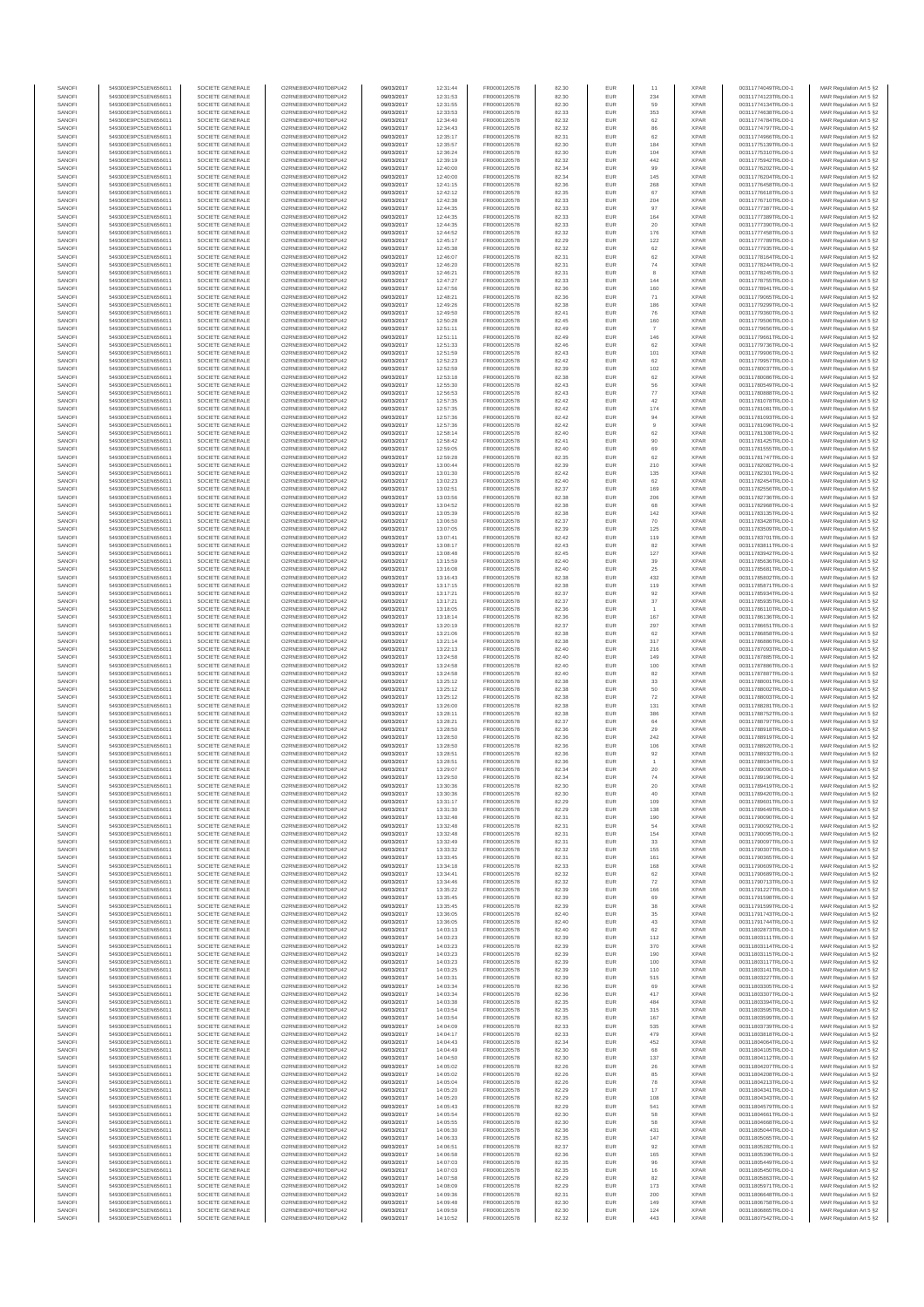| SANOFI<br>SANOFI | 549300E9PC51EN656011<br>549300E9PC51EN656011 | SOCIETE GENERALE<br>SOCIETE GENERALE | O2RNE8IBXP4R0TD8PU42<br>O2RNE8IBXP4R0TD8PU42  | 09/03/2017<br>09/03/2017 | 12:31:44<br>12:31:53 | FR0000120578<br>FR0000120578 | 82.30<br>82.30 | EUR<br>EUR        | 11<br>234                | <b>XPAR</b><br><b>XPAR</b> | 00311774049TRLO0-1<br>00311774123TRLO0-1 | MAR Regulation Art 5 §2<br>MAR Regulation Art 5 §2  |
|------------------|----------------------------------------------|--------------------------------------|-----------------------------------------------|--------------------------|----------------------|------------------------------|----------------|-------------------|--------------------------|----------------------------|------------------------------------------|-----------------------------------------------------|
| SANOFI           | 549300E9PC51EN656011                         | SOCIETE GENERALE                     | O2RNE8IBXP4R0TD8PU42                          | 09/03/2017               | 12:31:55             | FR0000120578                 | 82.30          | EUR               | 59                       | <b>XPAR</b>                | 00311774134TRLO0-1                       | MAR Regulation Art 5 §2                             |
| SANOFI           | 549300E9PC51EN656011                         | SOCIETE GENERALE                     | O2RNE8IBXP4R0TD8PU42                          | 09/03/2017               | 12:33:53             | FR0000120578                 | 82.33          | EUR               | 353                      | <b>XPAR</b>                | 00311774638TRLO0-1                       | MAR Regulation Art 5 §2                             |
| SANOFI<br>SANOFI | 549300E9PC51EN656011<br>549300E9PC51EN656011 | SOCIETE GENERALE<br>SOCIETE GENERALE | O2RNE8IBXP4R0TD8PU42<br>O2RNE8IBXP4R0TD8PU42  | 09/03/2017<br>09/03/2017 | 12:34:40<br>12:34:43 | FR0000120578<br>FR0000120578 | 82.32<br>82.32 | EUR<br>EUR        | 62<br>86                 | <b>XPAR</b><br><b>XPAR</b> | 00311774784TRLO0-1<br>00311774797TRLO0-1 | MAR Regulation Art 5 §2<br>MAR Regulation Art 5 §2  |
| SANOFI           | 549300E9PC51EN656011                         | SOCIETE GENERALE                     | O2RNE8IBXP4R0TD8PU42                          | 09/03/2017               | 12:35:17             | FR0000120578                 | 82.31          | EUR               | 62                       | <b>XPAR</b>                | 00311774966TRLO0-1                       | MAR Regulation Art 5 §2                             |
| SANOFI<br>SANOFI | 549300E9PC51EN656011<br>549300E9PC51EN656011 | SOCIETE GENERALE<br>SOCIETE GENERALE | O2RNE8IBXP4R0TD8PU42<br>O2RNE8IBXP4R0TD8PU42  | 09/03/2017<br>09/03/2017 | 12:35:57<br>12:36:24 | FR0000120578<br>FR0000120578 | 82.30<br>82.30 | EUR<br>EUR        | 184<br>104               | <b>XPAR</b><br><b>XPAR</b> | 00311775139TRLO0-1<br>00311775310TRLO0-1 | MAR Regulation Art 5 §2<br>MAR Regulation Art 5 §2  |
| SANOFI           | 549300E9PC51EN656011                         | SOCIETE GENERALE                     | O2RNE8IBXP4R0TD8PU42                          | 09/03/2017               | 12:39:19             | FR0000120578                 | 82.32          | EUR               | 442                      | <b>XPAR</b>                | 00311775942TRLO0-1                       | MAR Regulation Art 5 §2                             |
| SANOFI           | 549300E9PC51EN656011                         | SOCIETE GENERALE                     | O2RNE8IBXP4R0TD8PU42                          | 09/03/2017               | 12:40:00             | FR0000120578                 | 82.34          | EUR               | 99                       | <b>XPAR</b>                | 00311776202TRLO0-1                       | MAR Regulation Art 5 §2                             |
| SANOFI<br>SANOFI | 549300E9PC51EN656011<br>549300E9PC51EN656011 | SOCIETE GENERALE<br>SOCIETE GENERALE | O2RNE8IBXP4R0TD8PU42<br>O2RNE8IBXP4R0TD8PU42  | 09/03/2017<br>09/03/2017 | 12:40:00<br>12:41:15 | FR0000120578<br>FR0000120578 | 82.34<br>82.36 | EUR<br>EUR        | 145<br>268               | <b>XPAR</b><br><b>XPAR</b> | 00311776204TRLO0-1<br>00311776458TRLO0-1 | MAR Regulation Art 5 §2<br>MAR Regulation Art 5 §2  |
| SANOFI           | 549300E9PC51EN656011                         | SOCIETE GENERALE                     | O2RNE8IBXP4R0TD8PU42                          | 09/03/2017               | 12:42:12             | FR0000120578                 | 82.35          | EUR               | 67                       | <b>XPAR</b>                | 00311776618TRLO0-1                       | MAR Regulation Art 5 §2                             |
| SANOFI<br>SANOFI | 549300E9PC51EN656011<br>549300E9PC51EN656011 | SOCIETE GENERALE<br>SOCIETE GENERALE | O2RNE8IBXP4R0TD8PU42<br>O2RNE8IBXP4R0TD8PU42  | 09/03/2017<br>09/03/2017 | 12:42:38<br>12:44:35 | FR0000120578<br>FR0000120578 | 82.33<br>82.33 | EUR<br>EUR        | 204<br>97                | <b>XPAR</b><br><b>XPAR</b> | 00311776710TRLO0-1<br>00311777387TRLO0-1 | MAR Regulation Art 5 §2<br>MAR Regulation Art 5 §2  |
| SANOFI           | 549300E9PC51EN656011                         | SOCIETE GENERALE                     | O2RNE8IBXP4R0TD8PU42                          | 09/03/2017               | 12:44:35             | FR0000120578                 | 82.33          | EUR               | 164                      | <b>XPAR</b>                | 00311777389TRLO0-1                       | MAR Regulation Art 5 §2                             |
| SANOFI           | 549300E9PC51EN656011                         | SOCIETE GENERALE                     | O2RNE8IBXP4R0TD8PU42                          | 09/03/2017               | 12:44:35             | FR0000120578                 | 82.33          | EUR               | $20\,$                   | <b>XPAR</b>                | 00311777390TRLO0-1                       | MAR Regulation Art 5 §2                             |
| SANOFI<br>SANOFI | 549300E9PC51EN656011<br>549300E9PC51EN656011 | SOCIETE GENERALE<br>SOCIETE GENERALE | O2RNE8IBXP4R0TD8PU42<br>O2RNE8IBXP4R0TD8PU42  | 09/03/2017<br>09/03/2017 | 12:44:52<br>12:45:17 | FR0000120578<br>FR0000120578 | 82.32<br>82.29 | EUR<br>EUR        | 176<br>122               | <b>XPAR</b><br><b>XPAR</b> | 00311777458TRLO0-1<br>00311777789TRLO0-1 | MAR Regulation Art 5 §2<br>MAR Regulation Art 5 §2  |
| SANOFI           | 549300E9PC51EN656011                         | SOCIETE GENERALE                     | O2RNE8IBXP4R0TD8PU42                          | 09/03/2017               | 12:45:38             | FR0000120578                 | 82.32          | EUR               | 62                       | <b>XPAR</b>                | 00311777935TRLO0-1                       | MAR Regulation Art 5 §2                             |
| SANOFI<br>SANOFI | 549300E9PC51EN656011<br>549300E9PC51EN656011 | SOCIETE GENERALE<br>SOCIETE GENERALE | O2RNE8IBXP4R0TD8PU42<br>O2RNE8IBXP4R0TD8PU42  | 09/03/2017<br>09/03/2017 | 12:46:07<br>12:46:20 | FR0000120578<br>FR0000120578 | 82.31<br>82.31 | EUR<br>EUR        | 62<br>74                 | <b>XPAR</b><br><b>XPAR</b> | 00311778164TRLO0-1<br>00311778244TRLO0-1 | MAR Regulation Art 5 §2<br>MAR Regulation Art 5 §2  |
| SANOFI           | 549300E9PC51EN656011                         | SOCIETE GENERALE                     | O2RNE8IBXP4R0TD8PU42                          | 09/03/2017               | 12:46:21             | FR0000120578                 | 82.31          | EUR               | 8                        | <b>XPAR</b>                | 00311778245TRLO0-1                       | MAR Regulation Art 5 §2                             |
| SANOFI           | 549300E9PC51EN656011                         | SOCIETE GENERALE                     | O2RNE8IBXP4R0TD8PU42                          | 09/03/2017               | 12:47:27             | FR0000120578                 | 82.33          | EUR               | 144                      | <b>XPAR</b>                | 00311778755TRLO0-1<br>00311778941TRLO0-1 | MAR Regulation Art 5 §2                             |
| SANOFI<br>SANOFI | 549300E9PC51EN656011<br>549300E9PC51EN656011 | SOCIETE GENERALE<br>SOCIETE GENERALE | O2RNE8IBXP4R0TD8PU42<br>O2RNESIBXP4R0TD8PLI42 | 09/03/2017<br>09/03/2017 | 12:47:56<br>12:48:21 | FR0000120578<br>FR0000120578 | 82.36<br>82.36 | EUR<br>EUR        | 160<br>71                | <b>XPAR</b><br><b>XPAR</b> | 00311779065TRLO0-1                       | MAR Regulation Art 5 §2<br>MAR Regulation Art 5 §2  |
| SANOFI           | 549300E9PC51EN656011                         | SOCIETE GENERALE                     | O2RNE8IBXP4R0TD8PU42                          | 09/03/2017               | 12:49:26             | FR0000120578                 | 82.38          | EUR               | 186                      | <b>XPAR</b>                | 00311779299TRLO0-1                       | MAR Regulation Art 5 §2                             |
| SANOFI<br>SANOFI | 549300E9PC51EN656011<br>549300E9PC51EN656011 | SOCIETE GENERALE<br>SOCIETE GENERALE | O2RNE8IBXP4R0TD8PU42<br>O2RNE8IBXP4R0TD8PU42  | 09/03/2017<br>09/03/2017 | 12:49:50<br>12:50:28 | FR0000120578<br>FR0000120578 | 82.41<br>82.45 | EUR<br>EUR        | 76<br>160                | <b>XPAR</b><br><b>XPAR</b> | 00311779360TRLO0-1<br>00311779506TRLO0-1 | MAR Regulation Art 5 §2<br>MAR Regulation Art 5 \$2 |
| SANOFI           | 549300E9PC51EN656011                         | SOCIETE GENERALE                     | O2RNE8IBXP4R0TD8PU42                          | 09/03/2017               | 12:51:11             | FR0000120578                 | 82.49          | EUR               |                          | <b>XPAR</b>                | 00311779656TRLO0-1                       | MAR Regulation Art 5 §2                             |
| SANOFI           | 549300E9PC51EN656011                         | SOCIETE GENERALE                     | O2RNE8IBXP4R0TD8PU42                          | 09/03/2017               | 12:51:11             | FR0000120578                 | 82.49          | EUR               | 146                      | <b>XPAR</b>                | 00311779661TRLO0-1                       | MAR Regulation Art 5 §2                             |
| SANOFI<br>SANOFI | 549300E9PC51EN656011<br>549300E9PC51EN656011 | SOCIETE GENERALE<br>SOCIETE GENERALE | O2RNE8IBXP4R0TD8PU42<br>O2RNE8IBXP4R0TD8PU42  | 09/03/2017<br>09/03/2017 | 12:51:33<br>12:51:59 | FR0000120578<br>FR0000120578 | 82.46<br>82.43 | EUR<br>EUR        | 62<br>101                | <b>XPAR</b><br><b>XPAR</b> | 00311779736TRLO0-1<br>00311779906TRLO0-1 | MAR Regulation Art 5 §2<br>MAR Regulation Art 5 §2  |
| SANOFI           | 549300E9PC51EN656011                         | SOCIETE GENERALE                     | O2RNE8IBXP4R0TD8PU42                          | 09/03/2017               | 12:52:23             | FR0000120578                 | 82.42          | EUR               | 62                       | <b>XPAR</b>                | 00311779957TRLO0-1                       | MAR Regulation Art 5 §2                             |
| SANOFI<br>SANOFI | 549300E9PC51EN656011<br>549300E9PC51EN656011 | SOCIETE GENERALE<br>SOCIETE GENERALE | O2RNE8IBXP4R0TD8PU42<br>O2RNE8IBXP4R0TD8PU42  | 09/03/2017<br>09/03/2017 | 12:52:59<br>12:53:18 | FR0000120578<br>FR0000120578 | 82.39<br>82.38 | EUR<br>EUR        | 102<br>62                | <b>XPAR</b><br><b>XPAR</b> | 00311780037TRLO0-1<br>00311780086TRLO0-1 | MAR Regulation Art 5 §2<br>MAR Regulation Art 5 §2  |
| SANOFI           | 549300E9PC51EN656011                         | SOCIETE GENERALE                     | O2RNE8IBXP4R0TD8PU42                          | 09/03/2017               | 12:55:30             | FR0000120578                 | 82.43          | EUR               | 56                       | <b>XPAR</b>                | 00311780549TRLO0-1                       | MAR Regulation Art 5 §2                             |
| SANOFI<br>SANOFI | 549300E9PC51EN656011                         | SOCIETE GENERALE                     | O2RNE8IBXP4R0TD8PU42<br>O2RNE8IBXP4R0TD8PU42  | 09/03/2017               | 12:56:53             | FR0000120578                 | 82.43          | EUR               | 77                       | <b>XPAR</b><br><b>XPAR</b> | 00311780888TRLO0-1                       | MAR Regulation Art 5 §2<br>MAR Regulation Art 5 §2  |
| SANOFI           | 549300E9PC51EN656011<br>549300E9PC51EN656011 | SOCIETE GENERALE<br>SOCIETE GENERALE | O2RNE8IBXP4R0TD8PU42                          | 09/03/2017<br>09/03/2017 | 12:57:35<br>12:57:35 | FR0000120578<br>FR0000120578 | 82.42<br>82.42 | EUR<br>EUR        | 42<br>174                | <b>XPAR</b>                | 00311781078TRLO0-1<br>00311781081TRLO0-1 | MAR Regulation Art 5 §2                             |
| SANOFI           | 549300E9PC51EN656011                         | SOCIETE GENERALE                     | O2RNE8IBXP4R0TD8PU42                          | 09/03/2017               | 12:57:36             | FR0000120578                 | 82.42          | EUR               | 94                       | <b>XPAR</b>                | 00311781093TRLO0-1                       | MAR Regulation Art 5 §2                             |
| SANOFI<br>SANOFI | 549300E9PC51EN656011<br>549300E9PC51EN656011 | SOCIETE GENERALE<br>SOCIETE GENERALE | O2RNE8IBXP4R0TD8PU42<br>O2RNE8IBXP4R0TD8PU42  | 09/03/2017<br>09/03/2017 | 12:57:36<br>12:58:14 | FR0000120578<br>FR0000120578 | 82.42<br>82.40 | EUR<br>EUR        | $_{9}$<br>62             | <b>XPAR</b><br><b>XPAR</b> | 00311781096TRLO0-1<br>00311781308TRLO0-1 | MAR Regulation Art 5 §2<br>MAR Regulation Art 5 §2  |
| SANOFI           | 549300E9PC51EN656011                         | SOCIETE GENERALE                     | O2RNE8IBXP4R0TD8PU42                          | 09/03/2017               | 12:58:42             | FR0000120578                 | 82.41          | EUR               | 90                       | <b>XPAR</b>                | 00311781425TRLO0-1                       | MAR Regulation Art 5 §2                             |
| SANOFI           | 549300E9PC51EN656011                         | SOCIETE GENERALE                     | O2RNE8IBXP4R0TD8PU42                          | 09/03/2017               | 12:59:05             | FR0000120578                 | 82.40          | EUR               | 69                       | <b>XPAR</b>                | 00311781555TRLO0-1                       | MAR Regulation Art 5 §2                             |
| SANOFI<br>SANOFI | 549300E9PC51EN656011<br>549300E9PC51EN656011 | SOCIETE GENERALE<br>SOCIETE GENERALE | O2RNE8IBXP4R0TD8PU42<br>O2RNE8IBXP4R0TD8PU42  | 09/03/2017<br>09/03/2017 | 12:59:28<br>13:00:44 | FR0000120578<br>FR0000120578 | 82.35<br>82.39 | EUR<br>EUR        | 62<br>210                | <b>XPAR</b><br><b>XPAR</b> | 00311781747TRLO0-1<br>00311782082TRLO0-1 | MAR Regulation Art 5 §2<br>MAR Regulation Art 5 62  |
| SANOFI           | 549300E9PC51EN656011                         | SOCIETE GENERALE                     | O2RNE8IBXP4R0TD8PU42                          | 09/03/2017               | 13:01:30             | FR0000120578                 | 82.42          | EUR               | 135                      | <b>XPAR</b>                | 00311782301TRLO0-1                       | MAR Regulation Art 5 §2                             |
| SANOFI<br>SANOFI | 549300E9PC51EN656011<br>549300E9PC51EN656011 | SOCIETE GENERALE<br>SOCIETE GENERALE | O2RNE8IBXP4R0TD8PU42<br>O2RNE8IBXP4R0TD8PU42  | 09/03/2017<br>09/03/2017 | 13:02:23<br>13:02:51 | FR0000120578<br>FR0000120578 | 82.40<br>82.37 | EUR<br>EUR        | 62<br>169                | <b>XPAR</b><br><b>XPAR</b> | 00311782454TRLO0-1<br>00311782556TRLO0-1 | MAR Regulation Art 5 §2<br>MAR Regulation Art 5 §2  |
| SANOFI           | 549300E9PC51EN656011                         | SOCIETE GENERALE                     | O2RNE8IBXP4R0TD8PU42                          | 09/03/2017               | 13:03:56             | FR0000120578                 | 82.38          | EUR               | 206                      | <b>XPAR</b>                | 00311782736TRLO0-1                       | MAR Regulation Art 5 §2                             |
| SANOFI           | 549300E9PC51EN656011                         | SOCIETE GENERALE                     | O2RNE8IBXP4R0TD8PU42                          | 09/03/2017               | 13:04:52             | FR0000120578                 | 82.38          | EUR               | 68                       | <b>XPAR</b>                | 00311782968TRLO0-1                       | MAR Regulation Art 5 §2                             |
| SANOFI<br>SANOFI | 549300E9PC51EN656011<br>549300E9PC51EN656011 | SOCIETE GENERALE<br>SOCIETE GENERALE | O2RNE8IBXP4R0TD8PU42<br>O2RNE8IBXP4R0TD8PU42  | 09/03/2017<br>09/03/2017 | 13:05:39<br>13:06:50 | FR0000120578<br>FR0000120578 | 82.38<br>82.37 | EUR<br>EUR        | 142<br>70                | <b>XPAR</b><br><b>XPAR</b> | 00311783135TRLO0-1<br>00311783428TRLO0-1 | MAR Regulation Art 5 §2<br>MAR Regulation Art 5 \$2 |
| SANOFI           | 549300E9PC51EN656011                         | SOCIETE GENERALE                     | O2RNE8IBXP4R0TD8PU42                          | 09/03/2017               | 13:07:05             | FR0000120578                 | 82.39          | EUR               | 125                      | <b>XPAR</b>                | 00311783509TRLO0-1                       | MAR Regulation Art 5 §2                             |
| SANOFI<br>SANOFI | 549300E9PC51EN656011<br>549300E9PC51EN656011 | SOCIETE GENERALE<br>SOCIETE GENERALE | O2RNE8IBXP4R0TD8PU42<br>O2RNE8IBXP4R0TD8PU42  | 09/03/2017<br>09/03/2017 | 13:07:41<br>13:08:17 | FR0000120578<br>FR0000120578 | 82.42<br>82.43 | EUR<br>EUR        | 119<br>82                | <b>XPAR</b><br><b>XPAR</b> | 00311783701TRLO0-1<br>00311783811TRLO0-1 | MAR Regulation Art 5 §2<br>MAR Regulation Art 5 §2  |
| SANOFI           | 549300E9PC51EN656011                         | SOCIETE GENERALE                     | O2RNE8IBXP4R0TD8PU42                          | 09/03/2017               | 13:08:48             | FR0000120578                 | 82.45          | EUR               | 127                      | <b>XPAR</b>                | 00311783942TRLO0-1                       | MAR Regulation Art 5 §2                             |
| SANOFI           | 549300E9PC51EN656011                         | SOCIETE GENERALE                     | O2RNE8IBXP4R0TD8PU42                          | 09/03/2017               | 13:15:59             | FR0000120578                 | 82.40          | EUR               | 39                       | <b>XPAR</b>                | 00311785636TRLO0-1                       | MAR Regulation Art 5 §2                             |
| SANOFI<br>SANOFI | 549300E9PC51EN656011<br>549300E9PC51EN656011 | SOCIETE GENERALE<br>SOCIETE GENERALE | O2RNE8IBXP4R0TD8PU42<br>O2RNE8IBXP4R0TD8PU42  | 09/03/2017<br>09/03/2017 | 13:16:08<br>13:16:43 | FR0000120578<br>FR0000120578 | 82.40<br>82.38 | EUR<br>EUR        | 25<br>432                | <b>XPAR</b><br><b>XPAR</b> | 00311785681TRLO0-1<br>00311785802TRLO0-1 | MAR Regulation Art 5 §2<br>MAR Regulation Art 5 §2  |
| SANOFI           | 549300E9PC51EN656011                         | SOCIETE GENERALE                     | O2RNE8IBXP4R0TD8PU42                          | 09/03/2017               | 13:17:15             | FR0000120578                 | 82.38          | EUR               | 119                      | <b>XPAR</b>                | 00311785871TRLO0-1                       | MAR Regulation Art 5 §2                             |
| SANOFI<br>SANOFI | 549300E9PC51EN656011<br>549300E9PC51EN656011 | SOCIETE GENERALE<br>SOCIETE GENERALE | O2RNE8IBXP4R0TD8PU42<br>O2RNE8IBXP4R0TD8PU42  | 09/03/2017<br>09/03/2017 | 13:17:21<br>13:17:21 | FR0000120578<br>FR0000120578 | 82.37<br>82.37 | EUR<br>EUR        | 92<br>$37\,$             | <b>XPAR</b><br><b>XPAR</b> | 00311785934TRLO0-1<br>00311785935TRLO0-1 | MAR Regulation Art 5 §2<br>MAR Regulation Art 5 §2  |
| SANOFI           | 549300E9PC51EN656011                         | SOCIETE GENERALE                     | O2RNE8IBXP4R0TD8PU42                          | 09/03/2017               | 13:18:05             | FR0000120578                 | 82.36          | EUR               |                          | <b>XPAR</b>                | 00311786110TRLO0-1                       | MAR Regulation Art 5 §2                             |
| SANOFI           | 549300E9PC51EN656011                         | SOCIETE GENERALE                     | O2RNE8IBXP4R0TD8PU42                          | 09/03/2017               | 13:18:14             | FR0000120578                 | 82.36          | EUR               | 167                      | <b>XPAR</b>                | 00311786136TRLO0-1                       | MAR Regulation Art 5 §2                             |
| SANOFI<br>SANOFI | 549300E9PC51EN656011<br>549300E9PC51EN656011 | SOCIETE GENERALE<br>SOCIETE GENERALE | O2RNE8IBXP4R0TD8PU42<br>O2RNE8IBXP4R0TD8PU42  | 09/03/2017<br>09/03/2017 | 13:20:19<br>13:21:06 | FR0000120578<br>FR0000120578 | 82.37<br>82.38 | EUR<br>EUR        | 297<br>62                | <b>XPAR</b><br><b>XPAR</b> | 00311786651TRLO0-1<br>00311786858TRLO0-1 | MAR Regulation Art 5 §2<br>MAR Regulation Art 5 §2  |
| SANOFI           | 549300E9PC51EN656011                         | SOCIETE GENERALE                     | O2RNE8IBXP4R0TD8PU42                          | 09/03/2017               | 13:21:14             | FR0000120578                 | 82.38          | EUR               | 317                      | <b>XPAR</b>                | 00311786886TRLO0-1                       | MAR Regulation Art 5 §2                             |
| SANOFI<br>SANOFI | 549300E9PC51EN656011<br>549300E9PC51EN656011 | SOCIETE GENERALE<br>SOCIETE GENERALE | O2RNE8IBXP4R0TD8PU42<br>O2RNE8IBXP4R0TD8PU42  | 09/03/2017<br>09/03/2017 | 13:22:13<br>13:24:58 | FR0000120578<br>FR0000120578 | 82.40<br>82.40 | EUR<br>EUR        | 216<br>149               | <b>XPAR</b><br><b>XPAR</b> | 00311787093TRLO0-1<br>00311787885TRLO0-1 | MAR Regulation Art 5 §2<br>MAR Regulation Art 5 §2  |
| SANOFI           | 549300E9PC51EN656011                         | SOCIETE GENERALE                     | O2RNE8IBXP4R0TD8PU42                          | 09/03/2017               | 13:24:58             | FR0000120578                 | 82.40          | EUR               | 100                      | <b>XPAR</b>                | 00311787886TRLO0-1                       | MAR Regulation Art 5 \$2                            |
| SANOFI           | 549300E9PC51EN656011                         | SOCIETE GENERALE                     | O2RNE8IBXP4R0TD8PU42                          | 09/03/2017               | 13:24:58             | FR0000120578                 | 82.40          | EUR               | 82                       | <b>XPAR</b>                | 00311787887TRLO0-1                       | MAR Regulation Art 5 §2                             |
| SANOFI<br>SANOFI | 549300E9PC51EN656011<br>549300E9PC51EN656011 | SOCIETE GENERALE<br>SOCIETE GENERALE | O2RNE8IBXP4R0TD8PU42<br>O2RNE8IBXP4R0TD8PU42  | 09/03/2017<br>09/03/2017 | 13:25:12<br>13:25:12 | FR0000120578<br>FR0000120578 | 82.38<br>82.38 | EUR<br>EUR        | 33<br>50                 | <b>XPAR</b><br><b>XPAR</b> | 00311788001TRLO0-1<br>00311788002TRLO0-1 | MAR Regulation Art 5 §2<br>MAR Regulation Art 5 §2  |
| SANOFI           | 549300E9PC51EN656011                         | SOCIETE GENERALE                     | O2RNE8IBXP4R0TD8PU42                          | 09/03/2017               | 13:25:12             | FR0000120578                 | 82.38          | EUR               | 72                       | <b>XPAR</b>                | 00311788003TRLO0-1                       | MAR Regulation Art 5 §2                             |
| SANOFI<br>SANOFI | 549300E9PC51EN656011<br>549300E9PC51EN656011 | SOCIETE GENERALE<br>SOCIETE GENERALE | O2RNE8IBXP4R0TD8PU42<br>O2RNE8IBXP4R0TD8PU42  | 09/03/2017<br>09/03/2017 | 13:26:00<br>13:28:11 | FR0000120578<br>FR0000120578 | 82.38<br>82.38 | EUR<br>EUR        | 131<br>386               | <b>XPAR</b><br><b>XPAR</b> | 00311788281TRLO0-1<br>00311788752TRLO0-1 | MAR Regulation Art 5 §2<br>MAR Regulation Art 5 §2  |
| SANOFI           | 549300E9PC51EN656011                         | SOCIETE GENERALE                     | O2RNE8IBXP4R0TD8PU42                          | 09/03/2017               | 13:28:21             | FR0000120578                 | 82.37          | EUR               | 64                       | <b>XPAR</b>                | 00311788797TRLO0-1                       | MAR Regulation Art 5 §2                             |
| SANOFI           | 549300E9PC51EN656011                         | SOCIETE GENERALE                     | O2RNE8IBXP4R0TD8PU42                          | 09/03/2017               | 13:28:50             | FR0000120578                 | 82.36          | EUR               | 29                       | <b>XPAR</b>                | 00311788918TRLO0-1                       | MAR Regulation Art 5 §2                             |
| SANOFI<br>SANOFI | 549300E9PC51EN656011<br>549300E9PC51EN656011 | SOCIETE GENERALE<br>SOCIETE GENERALE | O2RNE8IBXP4R0TD8PU42<br>O2RNE8IBXP4R0TD8PU42  | 09/03/2017<br>09/03/2017 | 13:28:50<br>13:28:50 | FR0000120578<br>FR0000120578 | 82.36<br>82.36 | EUR<br>EUR        | 242<br>106               | <b>XPAR</b><br><b>XPAR</b> | 00311788919TRLO0-1<br>00311788920TRLO0-1 | MAR Regulation Art 5 §2<br>MAR Regulation Art 5 §2  |
| SANOFI           | 549300E9PC51EN656011                         | SOCIETE GENERALE                     | O2RNESIBXP4R0TD8PLI42                         | 09/03/2017               | 13:28:51             | FR0000120578                 | 82.36          | EUR               | 92                       | <b>XPAR</b>                | 00311788932TRLO0-1                       | MAR Regulation Art 5 §2                             |
| SANOFI<br>SANOFI | 549300E9PC51EN656011<br>549300E9PC51EN656011 | SOCIETE GENERALE<br>SOCIETE GENERALE | O2RNESIBXP4R0TD8PLI42<br>O2RNE8IBXP4R0TD8PU42 | 09/03/2017<br>09/03/2017 | 13:28:51<br>13:29:07 | FR0000120578<br>FR0000120578 | 82.36<br>82.34 | EUR<br><b>EUR</b> | $\overline{1}$<br>$20\,$ | <b>XPAR</b><br><b>XPAR</b> | 00311788934TRLO0-1<br>00311789000TRLO0-1 | MAR Regulation Art 5 §2<br>MAR Regulation Art 5 §2  |
| SANOFI           | 549300E9PC51EN656011                         | SOCIETE GENERALE                     | O2RNE8IBXP4R0TD8PU42                          | 09/03/2017               | 13:29:50             | FR0000120578                 | 82.34          | <b>EUR</b>        | 74                       | <b>XPAR</b>                | 00311789190TRLO0-1                       | MAR Regulation Art 5 §2                             |
| SANOF<br>SANOFI  | 549300E9PC51EN656011<br>549300E9PC51EN656011 | SOCIETE GENERALE<br>SOCIETE GENERALE | O2RNE8IBXP4R0TD8PU42<br>O2RNE8IBXP4R0TD8PU42  | 09/03/2017<br>09/03/2017 | 13:30:36<br>13:30:36 | FR0000120578<br>FR0000120578 | 82.30<br>82.30 | EUR               | 20<br>40                 | <b>XPAR</b><br><b>XPAR</b> | 00311789419TRLO0-1<br>00311789420TRLO0-1 | MAR Regulation Art 5 §2<br>MAR Regulation Art 5 §2  |
| SANOFI           | 549300E9PC51EN656011                         | SOCIETE GENERALE                     | O2RNE8IBXP4R0TD8PU42                          | 09/03/2017               | 13:31:17             | FR0000120578                 | 82.29          | EUR               | 109                      | <b>XPAR</b>                | 00311789601TRLO0-1                       | MAR Regulation Art 5 §2                             |
| SANOFI           | 549300E9PC51EN656011                         | SOCIETE GENERALE                     | O2RNE8IBXP4R0TD8PLI42<br>O2RNE8IBXP4R0TD8PU42 | 09/03/2017               | 13:31:30             | FR0000120578                 | 82.29          | EUR               | 138                      | <b>XPAR</b>                | 00311789649TRLO0-1                       | MAR Regulation Art 5 \$2                            |
| SANOFI<br>SANOFI | 549300E9PC51EN656011<br>549300E9PC51EN656011 | SOCIETE GENERALE<br>SOCIETE GENERALE | O2RNE8IBXP4R0TD8PU42                          | 09/03/2017<br>09/03/2017 | 13:32:48<br>13:32:48 | FR0000120578<br>FR0000120578 | 82.31<br>82.31 | EUR<br>EUR        | 190<br>54                | <b>XPAR</b><br><b>XPAR</b> | 00311790090TRLO0-1<br>00311790092TRLO0-1 | MAR Regulation Art 5 §2<br>MAR Regulation Art 5 §2  |
| SANOFI           | 549300E9PC51EN656011                         | SOCIETE GENERALE                     | O2RNE8IBXP4R0TD8PU42                          | 09/03/2017               | 13:32:48             | FR0000120578                 | 82.31          | EUR               | 154                      | <b>XPAR</b>                | 00311790095TRLO0-1                       | MAR Regulation Art 5 §2                             |
| SANOFI<br>SANOFI | 549300E9PC51EN656011<br>549300E9PC51EN656011 | SOCIETE GENERALE<br>SOCIETE GENERALE | O2RNE8IBXP4R0TD8PU42<br>O2RNE8IBXP4R0TD8PU42  | 09/03/2017<br>09/03/2017 | 13:32:49<br>13:33:32 | FR0000120578<br>FR0000120578 | 82.31<br>82.32 | EUR<br>EUR        | 33<br>155                | <b>XPAR</b><br><b>XPAR</b> | 00311790097TRLO0-1<br>00311790307TRLO0-1 | MAR Regulation Art 5 §2<br>MAR Regulation Art 5 §2  |
| SANOFI           | 549300E9PC51EN656011                         | SOCIETE GENERALE                     | O2RNE8IBXP4R0TD8PU42                          | 09/03/2017               | 13:33:45             | FR0000120578                 | 82.31          | EUR               | 161                      | <b>XPAR</b>                | 00311790365TRLO0-1                       | MAR Regulation Art 5 §2                             |
| SANOFI           | 549300E9PC51EN656011                         | SOCIETE GENERALE                     | O2RNE8IBXP4R0TD8PU42                          | 09/03/2017               | 13:34:18             | FR0000120578                 | 82.33          | EUR               | 168                      | <b>XPAR</b>                | 00311790609TRLO0-1                       | MAR Regulation Art 5 §2                             |
| SANOFI<br>SANOFI | 549300E9PC51EN656011<br>549300E9PC51EN656011 | SOCIETE GENERALE<br>SOCIETE GENERALE | O2RNE8IBXP4R0TD8PU42<br>O2RNE8IBXP4R0TD8PU42  | 09/03/2017<br>09/03/2017 | 13:34:41<br>13:34:46 | FR0000120578<br>FR0000120578 | 82.32<br>82.32 | EUR<br>EUR        | 62<br>72                 | <b>XPAR</b><br><b>XPAR</b> | 00311790689TRLO0-1<br>00311790713TRLO0-1 | MAR Regulation Art 5 §2<br>MAR Regulation Art 5 §2  |
| SANOFI           | 549300E9PC51EN656011                         | SOCIETE GENERALE                     | O2RNE8IBXP4R0TD8PU42                          | 09/03/2017               | 13:35:22             | FR0000120578                 | 82.39          | EUR               | 166                      | <b>XPAR</b>                | 00311791227TRLO0-1                       | MAR Regulation Art 5 §2                             |
| SANOFI<br>SANOFI | 549300E9PC51EN656011<br>549300E9PC51EN656011 | SOCIETE GENERALE<br>SOCIETE GENERALE | O2RNE8IBXP4R0TD8PU42<br>O2RNE8IBXP4R0TD8PU42  | 09/03/2017<br>09/03/2017 | 13:35:45<br>13:35:45 | FR0000120578<br>FR0000120578 | 82.39<br>82.39 | EUR<br>EUR        | 69<br>38                 | <b>XPAR</b><br><b>XPAR</b> | 00311791598TRLO0-1<br>00311791599TRLO0-1 | MAR Regulation Art 5 §2<br>MAR Regulation Art 5 §2  |
| SANOFI           | 549300E9PC51EN656011                         | SOCIETE GENERALE                     | O2RNE8IBXP4R0TD8PU42                          | 09/03/2017               | 13:36:05             | FR0000120578                 | 82.40          | EUR               | 35                       | <b>XPAR</b>                | 00311791743TRLO0-1                       | MAR Regulation Art 5 §2                             |
| SANOFI<br>SANOFI | 549300E9PC51EN656011<br>549300E9PC51EN656011 | SOCIETE GENERALE<br>SOCIETE GENERALE | O2RNE8IBXP4R0TD8PU42<br>O2RNE8IBXP4R0TD8PU42  | 09/03/2017<br>09/03/2017 | 13:36:05<br>14:03:13 | FR0000120578<br>FR0000120578 | 82.40<br>82.40 | EUR<br>EUR        | 43<br>62                 | <b>XPAR</b><br><b>XPAR</b> | 00311791744TRLO0-1<br>00311802873TRLO0-1 | MAR Regulation Art 5 §2<br>MAR Regulation Art 5 §2  |
| SANOFI           | 549300E9PC51EN656011                         | SOCIETE GENERALE                     | O2RNE8IBXP4R0TD8PU42                          | 09/03/2017               | 14:03:23             | FR0000120578                 | 82.39          | EUR               | 112                      | <b>XPAR</b>                | 00311803111TRLO0-1                       | MAR Regulation Art 5 §2                             |
| SANOFI<br>SANOFI | 549300E9PC51EN656011<br>549300E9PC51EN656011 | SOCIETE GENERALE<br>SOCIETE GENERALE | O2RNE8IBXP4R0TD8PU42<br>O2RNE8IBXP4R0TD8PU42  | 09/03/2017<br>09/03/2017 | 14:03:23<br>14:03:23 | FR0000120578<br>FR0000120578 | 82.39<br>82.39 | EUR<br>EUR        | 370<br>190               | <b>XPAR</b><br><b>XPAR</b> | 00311803114TRLO0-1<br>00311803115TRLO0-1 | MAR Regulation Art 5 §2<br>MAR Regulation Art 5 §2  |
| SANOFI           | 549300E9PC51EN656011                         | SOCIETE GENERALE                     | O2RNE8IBXP4R0TD8PU42                          | 09/03/2017               | 14:03:23             | FR0000120578                 | 82.39          | EUR               | 100                      | <b>XPAR</b>                | 00311803117TRLO0-1                       | MAR Regulation Art 5 §2                             |
| SANOFI           | 549300E9PC51EN656011                         | SOCIETE GENERALE                     | O2RNE8IBXP4R0TD8PU42                          | 09/03/2017               | 14:03:25             | FR0000120578                 | 82.39          | EUR               | 110                      | <b>XPAR</b>                | 00311803141TRLO0-1                       | MAR Regulation Art 5 §2                             |
| SANOFI<br>SANOFI | 549300E9PC51EN656011<br>549300E9PC51EN656011 | SOCIETE GENERALE<br>SOCIETE GENERALE | O2RNE8IBXP4R0TD8PU42<br>O2RNE8IBXP4R0TD8PU42  | 09/03/2017<br>09/03/2017 | 14:03:31<br>14:03:34 | FR0000120578<br>FR0000120578 | 82.39<br>82.36 | EUR<br>EUR        | 515<br>69                | <b>XPAR</b><br><b>XPAR</b> | 00311803227TRLO0-1<br>00311803305TRLO0-1 | MAR Regulation Art 5 §2<br>MAR Regulation Art 5 §2  |
| SANOFI           | 549300E9PC51EN656011                         | SOCIETE GENERALE                     | O2RNE8IBXP4R0TD8PU42                          | 09/03/2017               | 14:03:34             | FR0000120578                 | 82.36          | EUR               | 417                      | <b>XPAR</b>                | 00311803307TRLO0-1                       | MAR Regulation Art 5 §2                             |
| SANOFI           | 549300E9PC51EN656011                         | SOCIETE GENERALE                     | O2RNE8IBXP4R0TD8PU42                          | 09/03/2017               | 14:03:38             | FR0000120578                 | 82.35          | EUR               | 484                      | <b>XPAR</b>                | 00311803394TRLO0-1                       | MAR Regulation Art 5 §2                             |
| SANOFI<br>SANOFI | 549300E9PC51EN656011<br>549300E9PC51EN656011 | SOCIETE GENERALE<br>SOCIETE GENERALE | O2RNE8IBXP4R0TD8PU42<br>O2RNE8IBXP4R0TD8PU42  | 09/03/2017<br>09/03/2017 | 14:03:54<br>14:03:54 | FR0000120578<br>FR0000120578 | 82.35<br>82.35 | <b>EUR</b><br>EUR | 315<br>167               | <b>XPAR</b><br><b>XPAR</b> | 00311803595TRLO0-1<br>00311803599TRLO0-1 | MAR Regulation Art 5 §2<br>MAR Regulation Art 5 §2  |
| SANOFI           | 549300E9PC51EN656011                         | SOCIETE GENERALE                     | O2RNE8IBXP4R0TD8PU42                          | 09/03/2017               | 14:04:09             | FR0000120578                 | 82.33          | EUR               | 535                      | <b>XPAR</b>                | 00311803739TRLO0-1                       | MAR Regulation Art 5 §2                             |
| SANOFI<br>SANOFI | 549300E9PC51EN656011<br>549300E9PC51EN656011 | SOCIETE GENERALE<br>SOCIETE GENERALE | O2RNE8IBXP4R0TD8PU42<br>O2RNE8IBXP4R0TD8PU42  | 09/03/2017<br>09/03/2017 | 14:04:17<br>14:04:43 | FR0000120578<br>FR0000120578 | 82.33<br>82.34 | EUR<br>EUR        | 479<br>452               | <b>XPAR</b><br><b>XPAR</b> | 00311803818TRLO0-1<br>00311804064TRLO0-1 | MAR Regulation Art 5 §2<br>MAR Regulation Art 5 §2  |
| SANOFI           | 549300E9PC51EN656011                         | SOCIETE GENERALE                     | O2RNE8IBXP4R0TD8PU42                          | 09/03/2017               | 14:04:49             | FR0000120578                 | 82.30          | <b>EUR</b>        | 68                       | <b>XPAR</b>                | 00311804105TRLO0-1                       | MAR Regulation Art 5 §2                             |
| SANOFI<br>SANOFI | 549300E9PC51EN656011<br>549300E9PC51EN656011 | SOCIETE GENERALE<br>SOCIETE GENERALE | O2RNE8IBXP4R0TD8PU42<br>O2RNE8IBXP4R0TD8PU42  | 09/03/2017<br>09/03/2017 | 14:04:50<br>14:05:02 | FR0000120578<br>FR0000120578 | 82.30<br>82.26 | EUR<br>EUR        | 137                      | <b>XPAR</b><br><b>XPAR</b> | 00311804112TRLO0-1<br>00311804207TRLO0-1 | MAR Regulation Art 5 §2                             |
| SANOFI           | 549300E9PC51EN656011                         | SOCIETE GENERALE                     | O2RNE8IBXP4R0TD8PU42                          | 09/03/2017               | 14:05:02             | FR0000120578                 | 82.26          | EUR               | 26<br>85                 | <b>XPAR</b>                | 00311804208TRLO0-1                       | MAR Regulation Art 5 §2<br>MAR Regulation Art 5 §2  |
| SANOFI           | 549300E9PC51EN656011                         | SOCIETE GENERALE                     | O2RNE8IBXP4R0TD8PU42                          | 09/03/2017               | 14:05:04             | FR0000120578                 | 82.26          | EUR               | 78                       | <b>XPAR</b>                | 00311804213TRLO0-1                       | MAR Regulation Art 5 §2                             |
| SANOFI<br>SANOFI | 549300E9PC51EN656011<br>549300E9PC51EN656011 | SOCIETE GENERALE<br>SOCIETE GENERALE | O2RNE8IBXP4R0TD8PU42<br>O2RNE8IBXP4R0TD8PU42  | 09/03/2017<br>09/03/2017 | 14:05:20<br>14:05:20 | FR0000120578<br>FR0000120578 | 82.29<br>82.29 | EUR<br>EUR        | 17<br>108                | <b>XPAR</b><br><b>XPAR</b> | 00311804341TRLO0-1<br>00311804343TRLO0-1 | MAR Regulation Art 5 §2<br>MAR Regulation Art 5 §2  |
| SANOFI           | 549300E9PC51EN656011                         | SOCIETE GENERALE                     | O2RNE8IBXP4R0TD8PU42                          | 09/03/2017               | 14:05:43             | FR0000120578                 | 82.29          | EUR               | 541                      | <b>XPAR</b>                | 00311804579TRLO0-1                       | MAR Regulation Art 5 §2                             |
| SANOFI<br>SANOFI | 549300E9PC51EN656011<br>549300E9PC51EN656011 | SOCIETE GENERALE<br>SOCIETE GENERALE | O2RNE8IBXP4R0TD8PU42<br>O2RNE8IBXP4R0TD8PU42  | 09/03/2017<br>09/03/2017 | 14:05:54<br>14:05:55 | FR0000120578<br>FR0000120578 | 82.30<br>82.30 | EUR<br>EUR        | 58<br>58                 | <b>XPAR</b><br><b>XPAR</b> | 00311804661TRLO0-1<br>00311804668TRLO0-1 | MAR Regulation Art 5 §2                             |
| SANOFI           | 549300E9PC51EN656011                         | SOCIETE GENERALE                     | O2RNE8IBXP4R0TD8PU42                          | 09/03/2017               | 14:06:30             | FR0000120578                 | 82.36          | EUR               | 431                      | <b>XPAR</b>                | 00311805044TRLO0-1                       | MAR Regulation Art 5 §2<br>MAR Regulation Art 5 §2  |
| SANOFI           | 549300E9PC51EN656011                         | SOCIETE GENERALE                     | O2RNE8IBXP4R0TD8PU42                          | 09/03/2017               | 14:06:33             | FR0000120578                 | 82.35          | EUR               | 147                      | <b>XPAR</b>                | 00311805065TRLO0-1                       | MAR Regulation Art 5 §2                             |
| SANOFI<br>SANOFI | 549300E9PC51EN656011<br>549300E9PC51EN656011 | SOCIETE GENERALE<br>SOCIETE GENERALE | O2RNE8IBXP4R0TD8PU42<br>O2RNE8IBXP4R0TD8PU42  | 09/03/2017<br>09/03/2017 | 14:06:51<br>14:06:58 | FR0000120578<br>FR0000120578 | 82.37<br>82.36 | EUR<br>EUR        | 92<br>165                | <b>XPAR</b><br><b>XPAR</b> | 00311805282TRLO0-1<br>00311805396TRLO0-1 | MAR Regulation Art 5 §2<br>MAR Regulation Art 5 §2  |
| SANOFI           | 549300E9PC51EN656011                         | SOCIETE GENERALE                     | O2RNE8IBXP4R0TD8PU42                          | 09/03/2017               | 14:07:03             | FR0000120578                 | 82.35          | EUR               | 96                       | <b>XPAR</b>                | 00311805449TRLO0-1                       | MAR Regulation Art 5 §2                             |
| SANOFI<br>SANOFI | 549300E9PC51EN656011                         | SOCIETE GENERALE                     | O2RNE8IBXP4R0TD8PU42                          | 09/03/2017               | 14:07:03             | FR0000120578                 | 82.35          | EUR               | $16$<br>82               | <b>XPAR</b><br><b>XPAR</b> | 00311805450TRLO0-1                       | MAR Regulation Art 5 §2                             |
| SANOFI           | 549300E9PC51EN656011<br>549300E9PC51EN656011 | SOCIETE GENERALE<br>SOCIETE GENERALE | O2RNE8IBXP4R0TD8PU42<br>O2RNE8IBXP4R0TD8PU42  | 09/03/2017<br>09/03/2017 | 14:07:58<br>14:08:09 | FR0000120578<br>FR0000120578 | 82.29<br>82.29 | EUR<br>EUR        | 173                      | <b>XPAR</b>                | 00311805863TRLO0-1<br>00311805971TRLO0-1 | MAR Regulation Art 5 §2<br>MAR Regulation Art 5 §2  |
| SANOFI           | 549300E9PC51EN656011                         | SOCIETE GENERALE                     | O2RNE8IBXP4R0TD8PU42                          | 09/03/2017               | 14:09:36             | FR0000120578                 | 82.31          | EUR               | 200                      | <b>XPAR</b>                | 00311806648TRLO0-1                       | MAR Regulation Art 5 §2                             |
| SANOFI<br>SANOFI | 549300E9PC51EN656011<br>549300E9PC51EN656011 | SOCIETE GENERALE<br>SOCIETE GENERALE | O2RNE8IBXP4R0TD8PU42<br>O2RNE8IBXP4R0TD8PU42  | 09/03/2017<br>09/03/2017 | 14:09:48<br>14:09:59 | FR0000120578<br>FR0000120578 | 82.30<br>82.30 | EUR<br>EUR        | 149<br>124               | <b>XPAR</b><br><b>XPAR</b> | 00311806758TRLO0-1<br>00311806865TRLO0-1 | MAR Regulation Art 5 §2<br>MAR Regulation Art 5 §2  |
| SANOFI           | 549300E9PC51EN656011                         | SOCIETE GENERALE                     | O2RNE8IBXP4R0TD8PU42                          | 09/03/2017               | 14:10:52             | FR0000120578                 | 82.32          | EUR               | 443                      | <b>XPAR</b>                | 00311807542TRLO0-1                       | MAR Regulation Art 5 §2                             |
|                  |                                              |                                      |                                               |                          |                      |                              |                |                   |                          |                            |                                          |                                                     |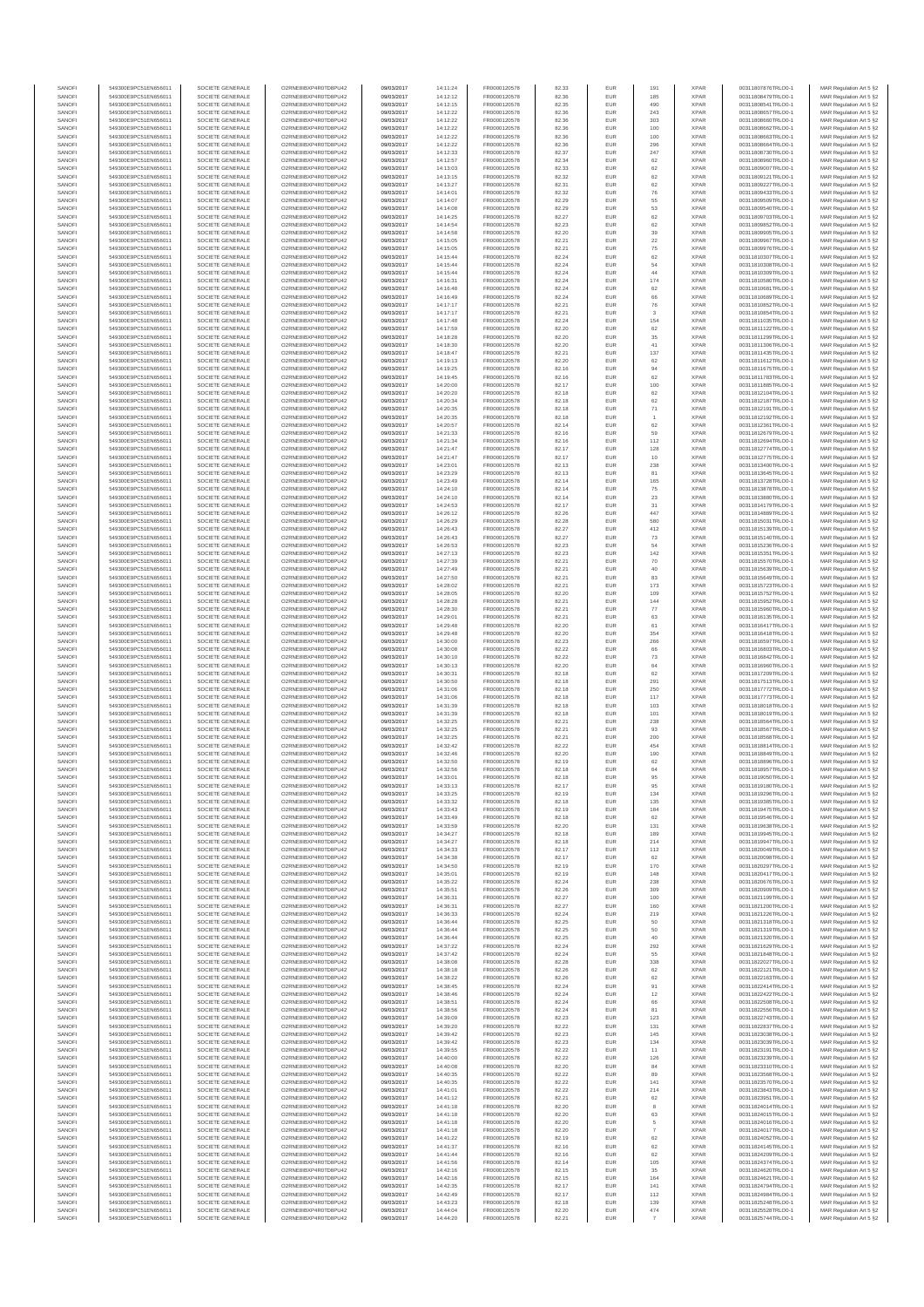| SANOFI           | 549300E9PC51EN656011                         | SOCIETE GENERALE                     | O2RNE8IBXP4R0TD8PU42                          | 09/03/2017               | 14:11:24             | FR0000120578                 | 82.33          | EUR               | 191                  | <b>XPAR</b>                | 00311807876TRLO0-1                       | MAR Regulation Art 5 §2                             |
|------------------|----------------------------------------------|--------------------------------------|-----------------------------------------------|--------------------------|----------------------|------------------------------|----------------|-------------------|----------------------|----------------------------|------------------------------------------|-----------------------------------------------------|
| SANOFI<br>SANOFI | 549300E9PC51EN656011<br>549300E9PC51EN656011 | SOCIETE GENERALE<br>SOCIETE GENERALE | O2RNE8IBXP4R0TD8PU42<br>O2RNE8IBXP4R0TD8PU42  | 09/03/2017<br>09/03/2017 | 14:12:12             | FR0000120578<br>FR0000120578 | 82.36<br>82.35 | EUR<br>EUR        | 185<br>490           | <b>XPAR</b><br><b>XPAR</b> | 00311808479TRLO0-1<br>00311808541TRLO0-1 | MAR Regulation Art 5 §2                             |
| SANOFI           | 549300E9PC51EN656011                         | SOCIETE GENERALE                     | O2RNE8IBXP4R0TD8PU42                          | 09/03/2017               | 14:12:15<br>14:12:22 | FR0000120578                 | 82.36          | EUR               | 243                  | <b>XPAR</b>                | 00311808657TRLO0-1                       | MAR Regulation Art 5 §2<br>MAR Regulation Art 5 §2  |
| SANOFI           | 549300E9PC51EN656011                         | SOCIETE GENERALE                     | O2RNE8IBXP4R0TD8PU42                          | 09/03/2017               | 14:12:22             | FR0000120578                 | 82.36          | EUR               | 303                  | <b>XPAR</b>                | 00311808660TRLO0-1                       | MAR Regulation Art 5 §2                             |
| SANOFI           | 549300E9PC51EN656011                         | SOCIETE GENERALE                     | O2RNE8IBXP4R0TD8PU42                          | 09/03/2017               | 14:12:22             | FR0000120578                 | 82.36          | EUR               | 100                  | <b>XPAR</b>                | 00311808662TRLO0-1                       | MAR Regulation Art 5 §2                             |
| SANOFI<br>SANOFI | 549300E9PC51EN656011<br>549300E9PC51EN656011 | SOCIETE GENERALE<br>SOCIETE GENERALE | O2RNE8IBXP4R0TD8PU42<br>O2RNE8IBXP4R0TD8PU42  | 09/03/2017<br>09/03/2017 | 14:12:22<br>14:12:22 | FR0000120578<br>FR0000120578 | 82.36<br>82.36 | EUR<br>EUR        | 100<br>296           | <b>XPAR</b><br><b>XPAR</b> | 00311808663TRLO0-1<br>00311808664TRLO0-1 | MAR Regulation Art 5 \$2<br>MAR Regulation Art 5 §2 |
| SANOFI           | 549300E9PC51EN656011                         | SOCIETE GENERALE                     | O2RNE8IBXP4R0TD8PU42                          | 09/03/2017               | 14:12:33             | FR0000120578                 | 82.37          | EUR               | 247                  | <b>XPAR</b>                | 00311808730TRLO0-1                       | MAR Regulation Art 5 \$2                            |
| SANOFI           | 549300E9PC51EN656011                         | SOCIETE GENERALE                     | O2RNE8IBXP4R0TD8PU42                          | 09/03/2017               | 14:12:57             | FR0000120578                 | 82.34          | EUR               | 62                   | <b>XPAR</b>                | 00311808960TRLO0-1                       | MAR Regulation Art 5 §2                             |
| SANOFI<br>SANOFI | 549300E9PC51EN656011<br>549300E9PC51EN656011 | SOCIETE GENERALE<br>SOCIETE GENERALE | O2RNE8IBXP4R0TD8PU42<br>O2RNE8IBXP4R0TD8PU42  | 09/03/2017<br>09/03/2017 | 14:13:03<br>14:13:15 | FR0000120578<br>FR0000120578 | 82.33<br>82.32 | EUR<br>EUR        | 62<br>62             | <b>XPAR</b><br><b>XPAR</b> | 00311809007TRLO0-1<br>00311809121TRLO0-1 | MAR Regulation Art 5 §2<br>MAR Regulation Art 5 §2  |
| SANOFI           | 549300E9PC51EN656011                         | SOCIETE GENERALE                     | O2RNE8IBXP4R0TD8PU42                          | 09/03/2017               | 14:13:27             | FR0000120578                 | 82.31          | EUR               | 62                   | <b>XPAR</b>                | 00311809227TRLO0-1                       | MAR Regulation Art 5 §2                             |
| SANOFI           | 549300E9PC51EN656011                         | SOCIETE GENERALE                     | O2RNE8IBXP4R0TD8PU42                          | 09/03/2017               | 14:14:01             | FR0000120578                 | 82.32          | EUR               | 76                   | <b>XPAR</b>                | 00311809433TRLO0-1                       | MAR Regulation Art 5 §2                             |
| SANOFI           | 549300E9PC51EN656011                         | SOCIETE GENERALE                     | O2RNE8IBXP4R0TD8PU42                          | 09/03/2017               | 14:14:07             | FR0000120578                 | 82.29          | EUR               | 55                   | <b>XPAR</b>                | 00311809509TRLO0-1                       | MAR Regulation Art 5 §2                             |
| SANOFI<br>SANOFI | 549300E9PC51EN656011<br>549300E9PC51EN656011 | SOCIETE GENERALE<br>SOCIETE GENERALE | O2RNE8IBXP4R0TD8PU42<br>O2RNE8IBXP4R0TD8PU42  | 09/03/2017<br>09/03/2017 | 14:14:08<br>14:14:25 | FR0000120578<br>FR0000120578 | 82.29<br>82.27 | EUR<br>EUR        | 53<br>62             | <b>XPAR</b><br><b>XPAR</b> | 00311809540TRLO0-1<br>00311809703TRLO0-1 | MAR Regulation Art 5 §2<br>MAR Regulation Art 5 §2  |
| SANOFI           | 549300E9PC51EN656011                         | SOCIETE GENERALE                     | O2RNE8IBXP4R0TD8PU42                          | 09/03/2017               | 14:14:54             | FR0000120578                 | 82.23          | EUR               | 62                   | <b>XPAR</b>                | 00311809852TRLO0-1                       | MAR Regulation Art 5 §2                             |
| SANOFI           | 549300E9PC51EN656011                         | SOCIETE GENERALE                     | O2RNE8IBXP4R0TD8PU42                          | 09/03/2017               | 14:14:58             | FR0000120578                 | 82.20          | EUR               | 39                   | <b>XPAR</b>                | 00311809905TRLO0-1                       | MAR Regulation Art 5 §2                             |
| SANOFI           | 549300E9PC51EN656011                         | SOCIETE GENERALE                     | O2RNE8IBXP4R0TD8PU42                          | 09/03/2017               | 14:15:05             | FR0000120578                 | 82.21          | EUR               | $22\,$               | <b>XPAR</b>                | 00311809967TRLO0-1                       | MAR Regulation Art 5 §2                             |
| SANOFI<br>SANOFI | 549300E9PC51EN656011<br>549300E9PC51EN656011 | SOCIETE GENERALE<br>SOCIETE GENERALE | O2RNE8IBXP4R0TD8PU42<br>O2RNE8IBXP4R0TD8PU42  | 09/03/2017<br>09/03/2017 | 14:15:05<br>14:15:44 | FR0000120578<br>FR0000120578 | 82.21<br>82.24 | EUR<br>EUR        | 75<br>62             | <b>XPAR</b><br><b>XPAR</b> | 00311809976TRLO0-1<br>00311810307TRLO0-1 | MAR Regulation Art 5 §2<br>MAR Regulation Art 5 §2  |
| SANOFI           | 549300E9PC51EN656011                         | SOCIETE GENERALE                     | O2RNE8IBXP4R0TD8PU42                          | 09/03/2017               | 14:15:44             | FR0000120578                 | 82.24          | EUR               | 54                   | <b>XPAR</b>                | 00311810308TRLO0-1                       | MAR Regulation Art 5 §2                             |
| SANOFI           | 549300E9PC51EN656011                         | SOCIETE GENERALE                     | O2RNE8IBXP4R0TD8PU42                          | 09/03/2017               | 14:15:44             | FR0000120578                 | 82.24          | EUR               | 44                   | <b>XPAR</b>                | 00311810309TRLO0-1                       | MAR Regulation Art 5 §2                             |
| SANOFI<br>SANOFI | 549300E9PC51EN656011<br>549300E9PC51EN656011 | SOCIETE GENERALE<br>SOCIETE GENERALE | O2RNE8IBXP4R0TD8PU42<br>O2RNE8IBXP4R0TD8PU42  | 09/03/2017<br>09/03/2017 | 14:16:31<br>14:16:48 | FR0000120578<br>FR0000120578 | 82.24<br>82.24 | EUR<br>EUR        | 174<br>62            | <b>XPAR</b><br><b>XPAR</b> | 00311810580TRLO0-1<br>00311810681TRLO0-1 | MAR Regulation Art 5 §2<br>MAR Regulation Art 5 §2  |
| SANOFI           | 549300E9PC51EN656011                         | SOCIETE GENERALE                     | O2RNE8IBXP4R0TD8PU42                          | 09/03/2017               | 14:16:49             | FR0000120578                 | 82.24          | EUR               | 66                   | <b>XPAR</b>                | 00311810689TRLO0-1                       | MAR Regulation Art 5 62                             |
| SANOFI           | 549300E9PC51EN656011                         | SOCIETE GENERALE                     | O2RNE8IBXP4R0TD8PU42                          | 09/03/2017               | 14:17:17             | FR0000120578                 | 82.21          | EUR               | ${\bf 76}$           | <b>XPAR</b>                | 00311810852TRLO0-1                       | MAR Regulation Art 5 §2                             |
| SANOFI           | 549300E9PC51EN656011                         | SOCIETE GENERALE                     | O2RNE8IBXP4R0TD8PU42                          | 09/03/2017               | 14:17:17             | FR0000120578                 | 82.21          | EUR               | $_{3}$               | <b>XPAR</b>                | 00311810854TRLO0-1                       | MAR Regulation Art 5 §2                             |
| SANOFI<br>SANOFI | 549300E9PC51EN656011<br>549300E9PC51EN656011 | SOCIETE GENERALE<br>SOCIETE GENERALE | O2RNE8IBXP4R0TD8PU42<br>O2RNE8IBXP4R0TD8PU42  | 09/03/2017<br>09/03/2017 | 14:17:48<br>14:17:59 | FR0000120578<br>FR0000120578 | 82.24<br>82.20 | EUR<br>EUR        | 154<br>62            | <b>XPAR</b><br><b>XPAR</b> | 00311811035TRLO0-1<br>00311811122TRLO0-1 | MAR Regulation Art 5 §2<br>MAR Regulation Art 5 §2  |
| SANOFI           | 549300E9PC51EN656011                         | SOCIETE GENERALE                     | O2RNE8IBXP4R0TD8PU42                          | 09/03/2017               | 14:18:28             | FR0000120578                 | 82.20          | EUR               | 35                   | <b>XPAR</b>                | 00311811299TRLO0-1                       | MAR Regulation Art 5 §2                             |
| SANOFI           | 549300E9PC51EN656011                         | SOCIETE GENERALE                     | O2RNE8IBXP4R0TD8PU42                          | 09/03/2017               | 14:18:30             | FR0000120578                 | 82.20          | EUR               | 41                   | <b>XPAR</b>                | 00311811306TRLO0-1                       | MAR Regulation Art 5 §2                             |
| SANOFI<br>SANOFI | 549300E9PC51EN656011<br>549300E9PC51EN656011 | SOCIETE GENERALE<br>SOCIETE GENERALE | O2RNE8IBXP4R0TD8PU42<br>O2RNE8IBXP4R0TD8PU42  | 09/03/2017<br>09/03/2017 | 14:18:47<br>14:19:13 | FR0000120578<br>FR0000120578 | 82.21<br>82.20 | EUR<br>EUR        | 137<br>62            | <b>XPAR</b><br><b>XPAR</b> | 00311811435TRLO0-1<br>00311811612TRLO0-1 | MAR Regulation Art 5 \$2                            |
| SANOFI           | 549300E9PC51EN656011                         | SOCIETE GENERALE                     | O2RNE8IBXP4R0TD8PU42                          | 09/03/2017               | 14:19:25             | FR0000120578                 | 82.16          | EUR               | 94                   | <b>XPAR</b>                | 00311811675TRLO0-1                       | MAR Regulation Art 5 §2<br>MAR Regulation Art 5 §2  |
| SANOFI           | 549300E9PC51EN656011                         | SOCIETE GENERALE                     | O2RNE8IBXP4R0TD8PU42                          | 09/03/2017               | 14:19:45             | FR0000120578                 | 82.16          | EUR               | 62                   | <b>XPAR</b>                | 00311811783TRLO0-1                       | MAR Regulation Art 5 §2                             |
| SANOFI           | 549300E9PC51EN656011                         | SOCIETE GENERALE                     | O2RNE8IBXP4R0TD8PU42                          | 09/03/2017               | 14:20:00             | FR0000120578                 | 82.17          | EUR               | 100                  | <b>XPAR</b>                | 00311811885TRLO0-1                       | MAR Regulation Art 5 §2                             |
| SANOFI<br>SANOFI | 549300E9PC51EN656011<br>549300E9PC51EN656011 | SOCIETE GENERALE<br>SOCIETE GENERALE | O2RNE8IBXP4R0TD8PU42<br>O2RNE8IBXP4R0TD8PU42  | 09/03/2017<br>09/03/2017 | 14:20:20<br>14:20:34 | FR0000120578<br>FR0000120578 | 82.18<br>82.18 | EUR<br>EUR        | 62<br>62             | <b>XPAR</b><br><b>XPAR</b> | 00311812104TRLO0-1<br>00311812187TRLO0-1 | MAR Regulation Art 5 §2<br>MAR Regulation Art 5 §2  |
| SANOFI           | 549300E9PC51EN656011                         | SOCIETE GENERALE                     | O2RNE8IBXP4R0TD8PU42                          | 09/03/2017               | 14:20:35             | FR0000120578                 | 82.18          | EUR               | 71                   | <b>XPAR</b>                | 00311812191TRLO0-1                       | MAR Regulation Art 5 §2                             |
| SANOFI           | 549300E9PC51EN656011                         | SOCIETE GENERALE                     | O2RNE8IBXP4R0TD8PU42                          | 09/03/2017               | 14:20:35             | FR0000120578                 | 82.18          | EUR               |                      | <b>XPAR</b>                | 00311812192TRLO0-1                       | MAR Regulation Art 5 §2                             |
| SANOFI           | 549300E9PC51EN656011                         | SOCIETE GENERALE<br>SOCIETE GENERALE | O2RNE8IBXP4R0TD8PU42                          | 09/03/2017               | 14:20:57             | FR0000120578<br>FR0000120578 | 82.14          | EUR               | 62                   | <b>XPAR</b>                | 00311812361TRLO0-1                       | MAR Regulation Art 5 §2                             |
| SANOFI<br>SANOFI | 549300E9PC51EN656011<br>549300E9PC51EN656011 | SOCIETE GENERALE                     | O2RNE8IBXP4R0TD8PU42<br>O2RNE8IBXP4R0TD8PU42  | 09/03/2017<br>09/03/2017 | 14:21:33<br>14:21:34 | FR0000120578                 | 82.16<br>82.16 | EUR<br>EUR        | 59<br>112            | <b>XPAR</b><br><b>XPAR</b> | 00311812679TRLO0-1<br>00311812694TRLO0-1 | MAR Regulation Art 5 §2<br>MAR Regulation Art 5 §2  |
| SANOFI           | 549300E9PC51EN656011                         | SOCIETE GENERALE                     | O2RNE8IBXP4R0TD8PU42                          | 09/03/2017               | 14:21:47             | FR0000120578                 | 82.17          | EUR               | 128                  | <b>XPAR</b>                | 00311812774TRLO0-1                       | MAR Regulation Art 5 §2                             |
| SANOFI           | 549300E9PC51EN656011                         | SOCIETE GENERALE                     | O2RNE8IBXP4R0TD8PU42                          | 09/03/2017               | 14:21:47             | FR0000120578                 | 82.17          | EUR               | 10                   | <b>XPAR</b>                | 00311812775TRLO0-1                       | MAR Regulation Art 5 §2                             |
| SANOFI<br>SANOFI | 549300E9PC51EN656011<br>549300E9PC51EN656011 | SOCIETE GENERALE<br>SOCIETE GENERALE | O2RNE8IBXP4R0TD8PU42<br>O2RNE8IBXP4R0TD8PU42  | 09/03/2017<br>09/03/2017 | 14:23:01<br>14:23:29 | FR0000120578<br>FR0000120578 | 82.13<br>82.13 | EUR<br>EUR        | 238<br>81            | <b>XPAR</b><br><b>XPAR</b> | 00311813400TRLO0-1<br>00311813645TRLO0-1 | MAR Regulation Art 5 §2                             |
| SANOFI           | 549300E9PC51EN656011                         | SOCIETE GENERALE                     | O2RNE8IBXP4R0TD8PLI42                         | 09/03/2017               | 14:23:49             | FR0000120578                 | 82.14          | EUR               | 165                  | <b>XPAR</b>                | 00311813728TRLO0-1                       | MAR Regulation Art 5 §2<br>MAR Regulation Art 5 §2  |
| SANOFI           | 549300E9PC51EN656011                         | SOCIETE GENERALE                     | O2RNE8IBXP4R0TD8PU42                          | 09/03/2017               | 14:24:10             | FR0000120578                 | 82.14          | EUR               | 75                   | <b>XPAR</b>                | 00311813878TRLO0-1                       | MAR Regulation Art 5 §2                             |
| SANOFI           | 549300E9PC51EN656011                         | SOCIETE GENERALE                     | O2RNE8IBXP4R0TD8PU42                          | 09/03/2017               | 14:24:10             | FR0000120578                 | 82.14          | EUR               | 23                   | <b>XPAR</b>                | 00311813880TRLO0-1                       | MAR Regulation Art 5 \$2                            |
| SANOFI<br>SANOFI | 549300E9PC51EN656011<br>549300E9PC51EN656011 | SOCIETE GENERALE<br>SOCIETE GENERALE | O2RNE8IBXP4R0TD8PU42<br>O2RNE8IBXP4R0TD8PU42  | 09/03/2017<br>09/03/2017 | 14:24:53             | FR0000120578<br>FR0000120578 | 82.17<br>82.26 | EUR<br>EUR        | 31<br>447            | <b>XPAR</b><br><b>XPAR</b> | 00311814179TRLO0-1                       | MAR Regulation Art 5 §2<br>MAR Regulation Art 5 §2  |
| SANOFI           | 549300E9PC51EN656011                         | SOCIETE GENERALE                     | O2RNE8IBXP4R0TD8PU42                          | 09/03/2017               | 14:26:12<br>14:26:29 | FR0000120578                 | 82.28          | EUR               | 580                  | <b>XPAR</b>                | 00311814889TRLO0-1<br>00311815031TRLO0-1 | MAR Regulation Art 5 §2                             |
| SANOFI           | 549300E9PC51EN656011                         | SOCIETE GENERALE                     | O2RNE8IBXP4R0TD8PU42                          | 09/03/2017               | 14:26:43             | FR0000120578                 | 82.27          | EUR               | 412                  | <b>XPAR</b>                | 00311815139TRLO0-1                       | MAR Regulation Art 5 §2                             |
| SANOFI           | 549300E9PC51EN656011                         | SOCIETE GENERALE                     | O2RNE8IBXP4R0TD8PU42                          | 09/03/2017               | 14:26:43             | FR0000120578                 | 82.27          | EUR               | 73                   | <b>XPAR</b>                | 00311815140TRLO0-1                       | MAR Regulation Art 5 §2                             |
| SANOFI<br>SANOFI | 549300E9PC51EN656011<br>549300E9PC51EN656011 | SOCIETE GENERALE<br>SOCIETE GENERALE | O2RNE8IBXP4R0TD8PU42<br>O2RNE8IBXP4R0TD8PU42  | 09/03/2017<br>09/03/2017 | 14:26:53<br>14:27:13 | FR0000120578<br>FR0000120578 | 82.23<br>82.23 | EUR<br>EUR        | 54<br>142            | <b>XPAR</b><br><b>XPAR</b> | 00311815236TRLO0-1<br>00311815351TRLO0-1 | MAR Regulation Art 5 §2<br>MAR Regulation Art 5 §2  |
| SANOFI           | 549300E9PC51EN656011                         | SOCIETE GENERALE                     | O2RNE8IBXP4R0TD8PU42                          | 09/03/2017               | 14:27:39             | FR0000120578                 | 82.21          | EUR               | 70                   | <b>XPAR</b>                | 00311815570TRLO0-1                       | MAR Regulation Art 5 §2                             |
| SANOFI           | 549300E9PC51EN656011                         | SOCIETE GENERALE                     | O2RNE8IBXP4R0TD8PU42                          | 09/03/2017               | 14:27:49             | FR0000120578                 | 82.21          | EUR               | 40                   | <b>XPAR</b>                | 00311815639TRLO0-1                       | MAR Regulation Art 5 §2                             |
| SANOFI           | 549300E9PC51EN656011                         | SOCIETE GENERALE                     | O2RNE8IBXP4R0TD8PU42                          | 09/03/2017               | 14:27:50             | FR0000120578                 | 82.21          | EUR               | 83                   | <b>XPAR</b>                | 00311815649TRLO0-1                       | MAR Regulation Art 5 §2                             |
| SANOFI<br>SANOFI | 549300E9PC51EN656011<br>549300E9PC51EN656011 | SOCIETE GENERALE<br>SOCIETE GENERALE | O2RNE8IBXP4R0TD8PU42<br>O2RNE8IBXP4R0TD8PU42  | 09/03/2017<br>09/03/2017 | 14:28:02<br>14:28:05 | FR0000120578<br>FR0000120578 | 82.21<br>82.20 | EUR<br>EUR        | 173<br>109           | <b>XPAR</b><br><b>XPAR</b> | 00311815723TRLO0-1<br>00311815752TRLO0-1 | MAR Regulation Art 5 §2<br>MAR Regulation Art 5 §2  |
| SANOFI           | 549300E9PC51EN656011                         | SOCIETE GENERALE                     | O2RNE8IBXP4R0TD8PU42                          | 09/03/2017               | 14:28:28             | FR0000120578                 | 82.21          | EUR               | 144                  | <b>XPAR</b>                | 00311815952TRLO0-1                       | MAR Regulation Art 5 §2                             |
| SANOFI           | 549300E9PC51EN656011                         | SOCIETE GENERALE                     | O2RNE8IBXP4R0TD8PU42                          | 09/03/2017               | 14:28:30             | FR0000120578                 | 82.21          | EUR               | 77                   | <b>XPAR</b>                | 00311815960TRLO0-1                       | MAR Regulation Art 5 §2                             |
| SANOFI           | 549300E9PC51EN656011                         | SOCIETE GENERALE                     | O2RNE8IBXP4R0TD8PU42                          | 09/03/2017               | 14:29:01             | FR0000120578                 | 82.21          | EUR<br>EUR        | 63<br>61             | <b>XPAR</b>                | 00311816135TRLO0-1                       | MAR Regulation Art 5 §2                             |
| SANOFI<br>SANOFI | 549300E9PC51EN656011<br>549300E9PC51EN656011 | SOCIETE GENERALE<br>SOCIETE GENERALE | O2RNE8IBXP4R0TD8PU42<br>O2RNE8IBXP4R0TD8PU42  | 09/03/2017<br>09/03/2017 | 14:29:48<br>14:29:48 | FR0000120578<br>FR0000120578 | 82.20<br>82.20 | EUR               | 354                  | <b>XPAR</b><br><b>XPAR</b> | 00311816417TRLO0-1<br>00311816418TRLO0-1 | MAR Regulation Art 5 §2<br>MAR Regulation Art 5 §2  |
| SANOFI           | 549300E9PC51EN656011                         | SOCIETE GENERALE                     | O2RNE8IBXP4R0TD8PU42                          | 09/03/2017               | 14:30:00             | FR0000120578                 | 82.23          | EUR               | 266                  | <b>XPAR</b>                | 00311816597TRLO0-1                       | MAR Regulation Art 5 §2                             |
| SANOFI           | 549300E9PC51EN656011                         | SOCIETE GENERALE                     | O2RNE8IBXP4R0TD8PU42                          | 09/03/2017               | 14:30:08             | FR0000120578                 | 82.22          | EUR               | 66                   | <b>XPAR</b>                | 00311816803TRLO0-1                       | MAR Regulation Art 5 §2                             |
| SANOFI<br>SANOFI | 549300E9PC51EN656011<br>549300E9PC51EN656011 | SOCIETE GENERALE<br>SOCIETE GENERALE | O2RNE8IBXP4R0TD8PU42<br>O2RNE8IBXP4R0TD8PU42  | 09/03/2017<br>09/03/2017 | 14:30:10<br>14:30:13 | FR0000120578<br>FR0000120578 | 82.22<br>82.20 | EUR<br>EUR        | 73<br>64             | <b>XPAR</b><br><b>XPAR</b> | 00311816842TRLO0-1<br>00311816960TRLO0-1 | MAR Regulation Art 5 §2<br>MAR Regulation Art 5 §2  |
| SANOFI           | 549300E9PC51EN656011                         | SOCIETE GENERALE                     | O2RNE8IBXP4R0TD8PU42                          | 09/03/2017               | 14:30:31             | FR0000120578                 | 82.18          | EUR               | 62                   | <b>XPAR</b>                | 00311817209TRLO0-1                       | MAR Regulation Art 5 §2                             |
| SANOFI           | 549300E9PC51EN656011                         | SOCIETE GENERALE                     | O2RNE8IBXP4R0TD8PU42                          | 09/03/2017               | 14:30:50             | FR0000120578                 | 82.18          | EUR               | 291                  | <b>XPAR</b>                | 00311817513TRLO0-1                       | MAR Regulation Art 5 §2                             |
| SANOFI<br>SANOFI | 549300E9PC51EN656011<br>549300E9PC51EN656011 | SOCIETE GENERALE<br>SOCIETE GENERALE | O2RNE8IBXP4R0TD8PU42<br>O2RNE8IBXP4R0TD8PU42  | 09/03/2017<br>09/03/2017 | 14:31:06<br>14:31:06 | FR0000120578<br>FR0000120578 | 82.18<br>82.18 | EUR<br>EUR        | 250                  | <b>XPAR</b><br><b>XPAR</b> | 00311817772TRLO0-1<br>00311817773TRLO0-1 | MAR Regulation Art 5 §2<br>MAR Regulation Art 5 \$2 |
| SANOFI           | 549300E9PC51EN656011                         | SOCIETE GENERALE                     | O2RNE8IBXP4R0TD8PU42                          | 09/03/2017               | 14:31:39             | FR0000120578                 | 82.18          | EUR               | 117<br>103           | <b>XPAR</b>                | 00311818018TRLO0-1                       | MAR Regulation Art 5 §2                             |
| SANOFI           | 549300E9PC51EN656011                         | SOCIETE GENERALE                     | O2RNE8IBXP4R0TD8PU42                          | 09/03/2017               | 14:31:39             | FR0000120578                 | 82.18          | EUR               | 101                  | <b>XPAR</b>                | 00311818019TRLO0-1                       | MAR Regulation Art 5 §2                             |
| SANOFI           | 549300E9PC51EN656011                         | SOCIETE GENERALE                     | O2RNE8IBXP4R0TD8PU42                          | 09/03/2017               | 14:32:25             | FR0000120578                 | 82.21          | EUR               | 238                  | <b>XPAR</b>                | 00311818564TRLO0-1                       | MAR Regulation Art 5 §2                             |
| SANOFI<br>SANOFI | 549300E9PC51EN656011<br>549300E9PC51EN656011 | SOCIETE GENERALE<br>SOCIETE GENERALE | O2RNE8IBXP4R0TD8PU42<br>O2RNE8IBXP4R0TD8PU42  | 09/03/2017<br>09/03/2017 | 14:32:25<br>14:32:25 | FR0000120578<br>FR0000120578 | 82.21<br>82.21 | EUR<br>EUR        | 93<br>200            | <b>XPAR</b><br><b>XPAR</b> | 00311818567TRLO0-1<br>00311818568TRLO0-1 | MAR Regulation Art 5 §2<br>MAR Regulation Art 5 §2  |
| SANOFI           | 549300E9PC51EN656011                         | SOCIETE GENERALE                     | O2RNE8IBXP4R0TD8PU42                          | 09/03/2017               | 14:32:42             | FR0000120578                 | 82.22          | EUR               | 454                  | <b>XPAR</b>                | 00311818814TRLO0-1                       | MAR Regulation Art 5 §2                             |
| SANOFI           | 549300E9PC51EN656011                         | SOCIETE GENERALE                     | O2RNE8IBXP4R0TD8PU42                          | 09/03/2017               | 14:32:46             | FR0000120578                 | 82.20          | EUR               | 190                  | <b>XPAR</b>                | 00311818849TRLO0-1                       | MAR Regulation Art 5 \$2                            |
| SANOFI           | 549300E9PC51EN656011                         | SOCIETE GENERALE                     | O2RNE8IBXP4R0TD8PU42                          | 09/03/2017               | 14:32:50             | FR0000120578                 | 82.19          | EUR               | 62<br>64             | <b>XPAR</b>                | 00311818896TRLO0-1                       | MAR Regulation Art 5 §2                             |
| SANOFI<br>SANOFI | 549300E9PC51EN656011<br>549300E9PC51EN656011 | SOCIETE GENERALE<br>SOCIETE GENERALE | O2RNE8IBXP4R0TD8PU42<br>O2RNE8IBXP4R0TD8PU42  | 09/03/2017<br>09/03/2017 | 14:32:56<br>14:33:01 | FR0000120578<br>FR0000120578 | 82.18<br>82.18 | <b>EUR</b><br>EUR | 95                   | <b>XPAR</b><br><b>XPAR</b> | 00311818957TRLO0-1<br>00311819050TRLO0-1 | MAR Regulation Art 5 §2<br>MAR Regulation Art 5 §2  |
| SANOFI           | 549300E9PC51EN656011                         | SOCIETE GENERALE                     | O2RNE8IBXP4R0TD8PU42                          | 09/03/2017               | 14:33:13             | FR0000120578                 | 82.17          | EUR               | 95                   | <b>XPAR</b>                | 00311819180TRLO0-1                       | MAR Regulation Art 5 §2                             |
| SANOFI           | 549300E9PC51EN656011                         | SOCIETE GENERALE                     | O2RNE8IBXP4R0TD8PU42                          | 09/03/2017               | 14:33:25             | FR0000120578                 | 82.19          | EUR               | 134                  | <b>XPAR</b>                | 00311819296TRLO0-1                       | MAR Regulation Art 5 §2                             |
| SANOFI<br>SANOFI | 549300E9PC51EN656011<br>549300E9PC51EN656011 | SOCIETE GENERALE<br>SOCIETE GENERALE | O2RNE8IBXP4R0TD8PU42<br>O2RNE8IBXP4R0TD8PU42  | 09/03/2017               | 14:33:32             | FR0000120578                 | 82.18<br>82.19 | EUR<br>EUR        | 135                  | <b>XPAR</b><br><b>XPAR</b> | 00311819385TRLO0-1                       | MAR Regulation Art 5 §2                             |
| SANOFI           | 549300E9PC51EN656011                         | SOCIETE GENERALE                     | O2RNE8IBXP4R0TD8PU42                          | 09/03/2017<br>09/03/2017 | 14:33:43<br>14:33:49 | FR0000120578<br>FR0000120578 | 82.18          | EUR               | 184<br>62            | <b>XPAR</b>                | 00311819475TRLO0-1<br>00311819546TRLO0-1 | MAR Regulation Art 5 §2<br>MAR Regulation Art 5 §2  |
| SANOFI           | 549300E9PC51EN656011                         | SOCIETE GENERALE                     | O2RNE8IBXP4R0TD8PU42                          | 09/03/2017               | 14:33:59             | FR0000120578                 | 82.20          | EUR               | 131                  | <b>XPAR</b>                | 00311819638TRLO0-1                       | MAR Regulation Art 5 §2                             |
| SANOFI           | 549300E9PC51EN656011                         | SOCIETE GENERALE                     | O2RNE8IBXP4R0TD8PU42                          | 09/03/2017               | 14:34:27             | FR0000120578                 | 82.18          | EUR               | 189                  | <b>XPAR</b>                | 00311819945TRLO0-1                       | MAR Regulation Art 5 §2                             |
| SANOFI<br>SANOFI | 549300E9PC51EN656011<br>549300E9PC51EN656011 | SOCIETE GENERALE<br>SOCIETE GENERALE | O2RNE8IBXP4R0TD8PU42<br>O2RNE8IBXP4R0TD8PU42  | 09/03/2017<br>09/03/2017 | 14:34:27<br>14:34:33 | FR0000120578<br>FR0000120578 | 82.18<br>82.17 | EUR<br>EUR        | 214<br>112           | <b>XPAR</b><br><b>XPAR</b> | 00311819947TRLO0-1<br>00311820049TRLO0-1 | MAR Regulation Art 5 \$2<br>MAR Regulation Art 5 §2 |
| SANOFI           | 549300E9PC51EN656011                         | SOCIETE GENERALE                     | O2RNE8IBXP4R0TD8PU42                          | 09/03/2017               | 14:34:38             | FR0000120578                 | 82.17          | EUR               | 62                   | <b>XPAR</b>                | 00311820098TRLO0-1                       | MAR Regulation Art 5 §2                             |
| SANOFI           | 549300E9PC51EN656011                         | SOCIETE GENERALE                     | O2RNE8IBXP4R0TD8PU42                          | 09/03/2017               | 14:34:50             | FR0000120578                 | 82.19          | EUR               | 170                  | <b>XPAR</b>                | 00311820297TRLO0-1                       | MAR Regulation Art 5 §2                             |
| SANOFI<br>SANOFI | 549300E9PC51EN656011<br>549300E9PC51EN656011 | SOCIETE GENERALE<br>SOCIETE GENERALE | O2RNE8IBXP4R0TD8PU42<br>O2RNE8IBXP4R0TD8PU42  | 09/03/2017<br>09/03/2017 | 14:35:01<br>14:35:22 | FR0000120578<br>FR0000120578 | 82.19<br>82.24 | EUR<br>EUR        | 148<br>238           | <b>XPAR</b><br><b>XPAR</b> | 00311820417TRLO0-1<br>00311820676TRLO0-1 | MAR Regulation Art 5 §2<br>MAR Regulation Art 5 §2  |
| SANOFI           | 549300E9PC51EN656011                         | SOCIETE GENERALE                     | O2RNE8IBXP4R0TD8PU42                          | 09/03/2017               | 14:35:51             | FR0000120578                 | 82.26          | EUR               | 309                  | <b>XPAR</b>                | 00311820909TRLO0-1                       | MAR Regulation Art 5 §2                             |
| SANOFI           | 549300E9PC51EN656011                         | SOCIETE GENERALE                     | O2RNE8IBXP4R0TD8PU42                          | 09/03/2017               | 14:36:31             | FR0000120578                 | 82.27          | EUR               | 100                  | <b>XPAR</b>                | 00311821199TRLO0-1                       | MAR Regulation Art 5 §2                             |
| SANOFI<br>SANOFI | 549300E9PC51EN656011<br>549300E9PC51EN656011 | SOCIETE GENERALE<br>SOCIETE GENERALE | O2RNE8IBXP4R0TD8PU42<br>O2RNE8IBXP4R0TD8PU42  | 09/03/2017<br>09/03/2017 | 14:36:31<br>14:36:33 | FR0000120578<br>FR0000120578 | 82.27<br>82.24 | EUR<br>EUR        | 160<br>219           | <b>XPAR</b><br><b>XPAR</b> | 00311821200TRLO0-1<br>00311821226TRLO0-1 | MAR Regulation Art 5 §2<br>MAR Regulation Art 5 §2  |
| SANOFI           | 549300E9PC51EN656011                         | SOCIETE GENERALE                     | O2RNE8IBXP4R0TD8PU42                          | 09/03/2017               | 14:36:44             | FR0000120578                 | 82.25          | EUR               | 50                   | <b>XPAR</b>                | 00311821318TRLO0-1                       | MAR Regulation Art 5 §2                             |
| SANOFI           | 549300E9PC51EN656011                         | SOCIETE GENERALE                     | O2RNE8IBXP4R0TD8PU42                          | 09/03/2017               | 14:36:44             | FR0000120578                 | 82.25          | EUR               | 50                   | <b>XPAR</b>                | 00311821319TRLO0-1                       | MAR Regulation Art 5 §2                             |
| SANOFI<br>SANOFI | 549300E9PC51EN656011<br>549300E9PC51EN656011 | SOCIETE GENERALE<br>SOCIETE GENERALE | O2RNESIBXP4R0TD8PLI42<br>O2RNE8IBXP4R0TD8PU42 | 09/03/2017<br>09/03/2017 | 14:36:44<br>14:37:22 | FR0000120578<br>FR0000120578 | 82.25<br>82.24 | EUR<br>EUR        | 40<br>292            | <b>XPAR</b><br><b>XPAR</b> | 00311821320TRLO0-1<br>00311821629TRLO0-1 | MAR Regulation Art 5 §2<br>MAR Regulation Art 5 §2  |
| SANOFI           | 549300E9PC51EN656011                         | SOCIETE GENERALE                     | O2RNE8IBXP4R0TD8PU42                          | 09/03/2017               | 14:37:42             | FR0000120578                 | 82.24          | EUR               | 55                   | <b>XPAR</b>                | 00311821848TRLO0-1                       | MAR Regulation Art 5 §2                             |
| SANOFI           | 549300E9PC51EN656011                         | SOCIETE GENERALE                     | O2RNE8IBXP4R0TD8PU42                          | 09/03/2017               | 14:38:08             | FR0000120578                 | 82.28          | EUR               | 338                  | <b>XPAR</b>                | 00311822027TRLO0-1                       | MAR Regulation Art 5 §2                             |
| SANOFI           | 549300E9PC51EN656011                         | SOCIETE GENERALE                     | O2RNE8IBXP4R0TD8PU42                          | 09/03/2017               | 14:38:18             | FR0000120578                 | 82.26          | EUR               | 62                   | <b>XPAR</b>                | 00311822121TRLO0-1                       | MAR Regulation Art 5 §2                             |
| SANOFI<br>SANOFI | 549300E9PC51EN656011<br>549300E9PC51EN656011 | SOCIETE GENERALE<br>SOCIETE GENERALE | O2RNE8IBXP4R0TD8PU42<br>O2RNE8IBXP4R0TD8PU42  | 09/03/2017<br>09/03/2017 | 14:38:22<br>14:38:45 | FR0000120578<br>FR0000120578 | 82.26<br>82.24 | EUR<br>EUR        | 62<br>91             | <b>XPAR</b><br><b>XPAR</b> | 00311822163TRLO0-1<br>00311822414TRLO0-1 | MAR Regulation Art 5 §2<br>MAR Regulation Art 5 §2  |
| SANOFI           | 549300E9PC51EN656011                         | SOCIETE GENERALE                     | O2RNE8IBXP4R0TD8PU42                          | 09/03/2017               | 14:38:46             | FR0000120578                 | 82.24          | EUR               | 12                   | <b>XPAR</b>                | 00311822422TRLO0-1                       | MAR Regulation Art 5 §2                             |
| SANOFI           | 549300E9PC51EN656011                         | SOCIETE GENERALE                     | O2RNE8IBXP4R0TD8PU42                          | 09/03/2017               | 14:38:51             | FR0000120578                 | 82.24          | EUR               | 66                   | <b>XPAR</b>                | 00311822508TRLO0-1                       | MAR Regulation Art 5 §2                             |
| SANOFI           | 549300E9PC51EN656011                         | SOCIETE GENERALE                     | O2RNE8IBXP4R0TD8PU42                          | 09/03/2017               | 14:38:56             | FR0000120578                 | 82.24          | EUR               | 81                   | <b>XPAR</b>                | 00311822556TRLO0-1                       | MAR Regulation Art 5 §2                             |
| SANOFI<br>SANOFI | 549300E9PC51EN656011<br>549300E9PC51EN656011 | SOCIETE GENERALE<br>SOCIETE GENERALE | O2RNE8IBXP4R0TD8PU42<br>O2RNE8IBXP4R0TD8PU42  | 09/03/2017<br>09/03/2017 | 14:39:09<br>14:39:20 | FR0000120578<br>FR0000120578 | 82.23<br>82.22 | EUR<br>EUR        | 123<br>131           | <b>XPAR</b><br><b>XPAR</b> | 00311822743TRLO0-1<br>00311822837TRLO0-1 | MAR Regulation Art 5 §2<br>MAR Regulation Art 5 §2  |
| SANOFI           | 549300E9PC51EN656011                         | SOCIETE GENERALE                     | O2RNE8IBXP4R0TD8PU42                          | 09/03/2017               | 14:39:42             | FR0000120578                 | 82.23          | EUR               | 145                  | <b>XPAR</b>                | 00311823038TRLO0-1                       | MAR Regulation Art 5 §2                             |
| SANOFI           | 549300E9PC51EN656011                         | SOCIETE GENERALE                     | O2RNE8IBXP4R0TD8PU42                          | 09/03/2017               | 14:39:42             | FR0000120578                 | 82.23          | EUR               | 134                  | <b>XPAR</b>                | 00311823039TRLO0-1                       | MAR Regulation Art 5 §2                             |
| SANOFI<br>SANOFI | 549300E9PC51EN656011<br>549300E9PC51EN656011 | SOCIETE GENERALE<br>SOCIETE GENERALE | O2RNE8IBXP4R0TD8PU42<br>O2RNE8IBXP4R0TD8PU42  | 09/03/2017<br>09/03/2017 | 14:39:55<br>14:40:00 | FR0000120578<br>FR0000120578 | 82.22<br>82.22 | EUR<br>EUR        | 11<br>126            | <b>XPAR</b><br><b>XPAR</b> | 00311823191TRLO0-1<br>00311823239TRLO0-1 | MAR Regulation Art 5 §2<br>MAR Regulation Art 5 §2  |
| SANOFI           | 549300E9PC51EN656011                         | SOCIETE GENERALE                     | O2RNE8IBXP4R0TD8PU42                          | 09/03/2017               | 14:40:08             | FR0000120578                 | 82.20          | EUR               | 84                   | <b>XPAR</b>                | 00311823310TRLO0-1                       | MAR Regulation Art 5 §2                             |
| SANOFI           | 549300E9PC51EN656011                         | SOCIETE GENERALE                     | O2RNE8IBXP4R0TD8PU42                          | 09/03/2017               | 14:40:35             | FR0000120578                 | 82.22          | EUR               | 89                   | <b>XPAR</b>                | 00311823568TRLO0-1                       | MAR Regulation Art 5 §2                             |
| SANOFI           | 549300E9PC51EN656011                         | SOCIETE GENERALE                     | O2RNE8IBXP4R0TD8PU42                          | 09/03/2017               | 14:40:35             | FR0000120578                 | 82.22          | EUR               | 141                  | <b>XPAR</b>                | 00311823570TRLO0-1                       | MAR Regulation Art 5 §2                             |
| SANOFI<br>SANOFI | 549300E9PC51EN656011<br>549300E9PC51EN656011 | SOCIETE GENERALE<br>SOCIETE GENERALE | O2RNE8IBXP4R0TD8PU42<br>O2RNE8IBXP4R0TD8PU42  | 09/03/2017<br>09/03/2017 | 14:41:01<br>14:41:12 | FR0000120578                 | 82.22<br>82.21 | EUR<br>EUR        | 214                  | <b>XPAR</b><br><b>XPAR</b> | 00311823843TRLO0-1<br>00311823951TRLO0-1 | MAR Regulation Art 5 §2                             |
| SANOFI           | 549300E9PC51EN656011                         | SOCIETE GENERALE                     | O2RNE8IBXP4R0TD8PU42                          | 09/03/2017               | 14:41:18             | FR0000120578<br>FR0000120578 | 82.20          | EUR               | 62<br>8              | <b>XPAR</b>                | 00311824014TRLO0-1                       | MAR Regulation Art 5 §2<br>MAR Regulation Art 5 §2  |
| SANOFI           | 549300E9PC51EN656011                         | SOCIETE GENERALE                     | O2RNE8IBXP4R0TD8PU42                          | 09/03/2017               | 14:41:18             | FR0000120578                 | 82.20          | EUR               | 63                   | <b>XPAR</b>                | 00311824015TRLO0-1                       | MAR Regulation Art 5 §2                             |
| SANOFI           | 549300E9PC51EN656011                         | SOCIETE GENERALE                     | O2RNE8IBXP4R0TD8PU42                          | 09/03/2017               | 14:41:18             | FR0000120578                 | 82.20          | EUR               | 5                    | <b>XPAR</b>                | 00311824016TRLO0-1                       | MAR Regulation Art 5 §2                             |
| SANOFI<br>SANOFI | 549300E9PC51EN656011<br>549300E9PC51EN656011 | SOCIETE GENERALE<br>SOCIETE GENERALE | O2RNE8IBXP4R0TD8PU42<br>O2RNE8IBXP4R0TD8PU42  | 09/03/2017<br>09/03/2017 | 14:41:18<br>14:41:22 | FR0000120578<br>FR0000120578 | 82.20<br>82.19 | EUR<br>EUR        | $\overline{7}$<br>62 | <b>XPAR</b><br><b>XPAR</b> | 00311824017TRLO0-1<br>00311824052TRLO0-1 | MAR Regulation Art 5 §2<br>MAR Regulation Art 5 §2  |
| SANOFI           | 549300E9PC51EN656011                         | SOCIETE GENERALE                     | O2RNE8IBXP4R0TD8PU42                          | 09/03/2017               | 14:41:37             | FR0000120578                 | 82.16          | EUR               | 62                   | <b>XPAR</b>                | 00311824145TRLO0-1                       | MAR Regulation Art 5 §2                             |
| SANOFI           | 549300E9PC51EN656011                         | SOCIETE GENERALE                     | O2RNE8IBXP4R0TD8PU42                          | 09/03/2017               | 14:41:44             | FR0000120578                 | 82.16          | EUR               | 62                   | <b>XPAR</b>                | 00311824209TRLO0-1                       | MAR Regulation Art 5 §2                             |
| SANOFI<br>SANOFI | 549300E9PC51EN656011<br>549300E9PC51EN656011 | SOCIETE GENERALE<br>SOCIETE GENERALE | O2RNE8IBXP4R0TD8PU42<br>O2RNE8IBXP4R0TD8PU42  | 09/03/2017<br>09/03/2017 | 14:41:56<br>14:42:16 | FR0000120578<br>FR0000120578 | 82.14<br>82.15 | EUR<br>EUR        | 105<br>35            | <b>XPAR</b><br><b>XPAR</b> | 00311824374TRLO0-1<br>00311824620TRLO0-1 | MAR Regulation Art 5 §2<br>MAR Regulation Art 5 §2  |
| SANOFI           | 549300E9PC51EN656011                         | SOCIETE GENERALE                     | O2RNE8IBXP4R0TD8PU42                          | 09/03/2017               | 14:42:16             | FR0000120578                 | 82.15          | EUR               | 164                  | <b>XPAR</b>                | 00311824621TRLO0-1                       | MAR Regulation Art 5 §2                             |
| SANOFI           | 549300E9PC51EN656011                         | SOCIETE GENERALE                     | O2RNE8IBXP4R0TD8PU42                          | 09/03/2017               | 14:42:35             | FR0000120578                 | 82.17          | EUR               | 141                  | <b>XPAR</b>                | 00311824794TRLO0-1                       | MAR Regulation Art 5 §2                             |
| SANOFI           | 549300E9PC51EN656011                         | SOCIETE GENERALE                     | O2RNE8IBXP4R0TD8PU42                          | 09/03/2017               | 14:42:49             | FR0000120578                 | 82.17          | EUR               | 112                  | <b>XPAR</b>                | 00311824984TRLO0-1                       | MAR Regulation Art 5 §2                             |
| SANOFI<br>SANOFI | 549300E9PC51EN656011<br>549300E9PC51EN656011 | SOCIETE GENERALE<br>SOCIETE GENERALE | O2RNE8IBXP4R0TD8PU42<br>O2RNE8IBXP4R0TD8PU42  | 09/03/2017<br>09/03/2017 | 14:43:23<br>14:44:04 | FR0000120578<br>FR0000120578 | 82.18<br>82.20 | EUR<br>EUR        | 139<br>474           | <b>XPAR</b><br><b>XPAR</b> | 00311825248TRLO0-1<br>00311825528TRLO0-1 | MAR Regulation Art 5 §2<br>MAR Regulation Art 5 §2  |
| SANOFI           | 549300E9PC51EN656011                         | SOCIETE GENERALE                     | O2RNE8IBXP4R0TD8PU42                          | 09/03/2017               | 14:44:20             | FR0000120578                 | 82.21          | EUR               | $\boldsymbol{7}$     | <b>XPAR</b>                | 00311825744TRLO0-1                       | MAR Regulation Art 5 §2                             |
|                  |                                              |                                      |                                               |                          |                      |                              |                |                   |                      |                            |                                          |                                                     |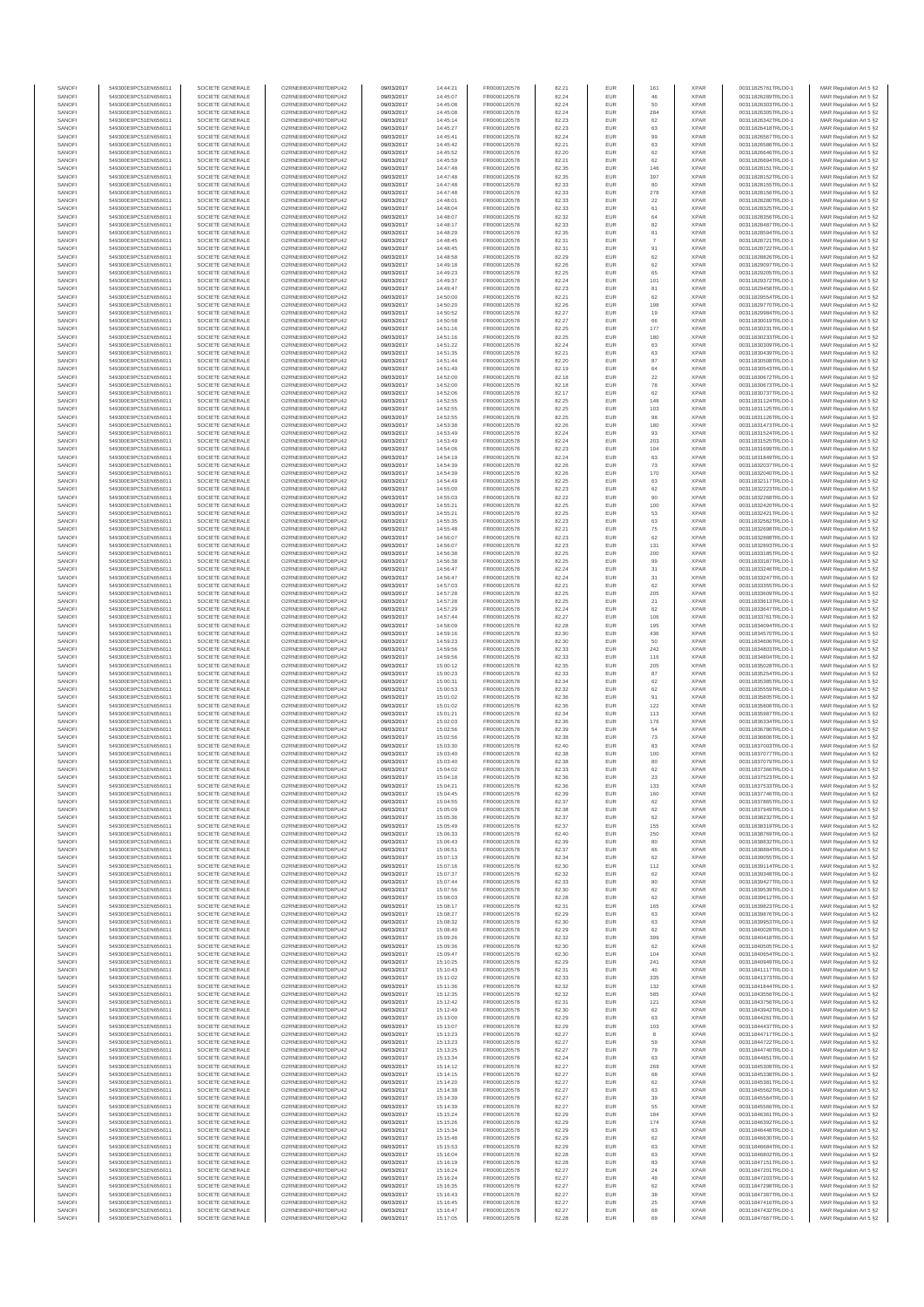| SANOFI           | 549300E9PC51EN656011                         | SOCIETE GENERALE                     | O2RNE8IBXP4R0TD8PU42                          | 09/03/2017               | 14:44:21             | FR0000120578                 | 82.21          | EUR               | 161            | <b>XPAR</b>                | 00311825761TRLO0-1                       | MAR Regulation Art 5 §2                             |
|------------------|----------------------------------------------|--------------------------------------|-----------------------------------------------|--------------------------|----------------------|------------------------------|----------------|-------------------|----------------|----------------------------|------------------------------------------|-----------------------------------------------------|
| SANOFI<br>SANOFI | 549300E9PC51EN656011<br>549300E9PC51EN656011 | SOCIETE GENERALE<br>SOCIETE GENERALE | O2RNE8IBXP4R0TD8PU42<br>O2RNE8IBXP4R0TD8PU42  | 09/03/2017<br>09/03/2017 | 14:45:07<br>14:45:08 | FR0000120578<br>FR0000120578 | 82.24          | EUR<br>EUR        | 46<br>50       | <b>XPAR</b><br><b>XPAR</b> | 00311826289TRLO0-1<br>00311826303TRLO0-1 | MAR Regulation Art 5 §2                             |
| SANOFI           | 549300E9PC51EN656011                         | SOCIETE GENERALE                     | O2RNE8IBXP4R0TD8PU42                          | 09/03/2017               | 14:45:08             | FR0000120578                 | 82.24<br>82.24 | EUR               | 284            | <b>XPAR</b>                | 00311826305TRLO0-1                       | MAR Regulation Art 5 §2<br>MAR Regulation Art 5 §2  |
| SANOFI           | 549300E9PC51EN656011                         | SOCIETE GENERALE                     | O2RNE8IBXP4R0TD8PU42                          | 09/03/2017               | 14:45:14             | FR0000120578                 | 82.23          | EUR               | 62             | <b>XPAR</b>                | 00311826342TRLO0-1                       | MAR Regulation Art 5 §2                             |
| SANOFI           | 549300E9PC51EN656011                         | SOCIETE GENERALE                     | O2RNE8IBXP4R0TD8PU42                          | 09/03/2017               | 14:45:27             | FR0000120578                 | 82.23          | EUR               | 63             | <b>XPAR</b>                | 00311826418TRLO0-1                       | MAR Regulation Art 5 §2                             |
| SANOFI<br>SANOFI | 549300E9PC51EN656011<br>549300E9PC51EN656011 | SOCIETE GENERALE<br>SOCIETE GENERALE | O2RNE8IBXP4R0TD8PU42<br>O2RNE8IBXP4R0TD8PU42  | 09/03/2017<br>09/03/2017 | 14:45:41<br>14:45:42 | FR0000120578<br>FR0000120578 | 82.24<br>82.21 | EUR<br>EUR        | 99<br>63       | <b>XPAR</b><br><b>XPAR</b> | 00311826567TRLO0-1<br>00311826586TRLO0-1 | MAR Regulation Art 5 §2<br>MAR Regulation Art 5 §2  |
| SANOFI           | 549300E9PC51EN656011                         | SOCIETE GENERALE                     | O2RNE8IBXP4R0TD8PU42                          | 09/03/2017               | 14:45:52             | FR0000120578                 | 82.20          | EUR               | 62             | <b>XPAR</b>                | 00311826646TRLO0-1                       | MAR Regulation Art 5 \$2                            |
| SANOFI           | 549300E9PC51EN656011                         | SOCIETE GENERALE                     | O2RNE8IBXP4R0TD8PU42                          | 09/03/2017               | 14:45:59             | FR0000120578                 | 82.21          | EUR               | 62             | <b>XPAR</b>                | 00311826694TRLO0-1                       | MAR Regulation Art 5 §2                             |
| SANOFI<br>SANOFI | 549300E9PC51EN656011<br>549300E9PC51EN656011 | SOCIETE GENERALE<br>SOCIETE GENERALE | O2RNE8IBXP4R0TD8PU42<br>O2RNE8IBXP4R0TD8PU42  | 09/03/2017<br>09/03/2017 | 14:47:48<br>14:47:48 | FR0000120578<br>FR0000120578 | 82.35<br>82.35 | EUR<br>EUR        | 146<br>397     | <b>XPAR</b><br><b>XPAR</b> | 00311828151TRLO0-1<br>00311828152TRLO0-1 | MAR Regulation Art 5 §2<br>MAR Regulation Art 5 §2  |
| SANOFI           | 549300E9PC51EN656011                         | SOCIETE GENERALE                     | O2RNE8IBXP4R0TD8PU42                          | 09/03/2017               | 14:47:48             | FR0000120578                 | 82.33          | EUR               | 80             | <b>XPAR</b>                | 00311828155TRLO0-1                       | MAR Regulation Art 5 §2                             |
| SANOFI           | 549300E9PC51EN656011                         | SOCIETE GENERALE                     | O2RNE8IBXP4R0TD8PU42                          | 09/03/2017               | 14:47:48             | FR0000120578                 | 82.33          | EUR               | 278            | <b>XPAR</b>                | 00311828156TRLO0-1                       | MAR Regulation Art 5 §2                             |
| SANOFI           | 549300E9PC51EN656011                         | SOCIETE GENERALE                     | O2RNE8IBXP4R0TD8PU42                          | 09/03/2017               | 14:48:01             | FR0000120578                 | 82.33          | EUR               | 22             | <b>XPAR</b>                | 00311828280TRLO0-1                       | MAR Regulation Art 5 §2                             |
| SANOFI<br>SANOFI | 549300E9PC51EN656011<br>549300E9PC51EN656011 | SOCIETE GENERALE<br>SOCIETE GENERALE | O2RNE8IBXP4R0TD8PU42<br>O2RNE8IBXP4R0TD8PU42  | 09/03/2017<br>09/03/2017 | 14:48:04<br>14:48:07 | FR0000120578<br>FR0000120578 | 82.33<br>82.32 | EUR<br>EUR        | 61<br>64       | <b>XPAR</b><br><b>XPAR</b> | 00311828325TRLO0-1<br>00311828356TRLO0-1 | MAR Regulation Art 5 §2<br>MAR Regulation Art 5 §2  |
| SANOFI           | 549300E9PC51EN656011                         | SOCIETE GENERALE                     | O2RNE8IBXP4R0TD8PU42                          | 09/03/2017               | 14:48:17             | FR0000120578                 | 82.33          | EUR               | 82             | <b>XPAR</b>                | 00311828487TRLO0-1                       | MAR Regulation Art 5 §2                             |
| SANOFI           | 549300E9PC51EN656011                         | SOCIETE GENERALE                     | O2RNE8IBXP4R0TD8PU42                          | 09/03/2017               | 14:48:29             | FR0000120578                 | 82.35          | EUR               | 81             | <b>XPAR</b>                | 00311828594TRLO0-1                       | MAR Regulation Art 5 §2                             |
| SANOFI           | 549300E9PC51EN656011                         | SOCIETE GENERALE                     | O2RNE8IBXP4R0TD8PU42                          | 09/03/2017               | 14:48:45             | FR0000120578                 | 82.31          | EUR               | $\overline{7}$ | <b>XPAR</b>                | 00311828721TRLO0-1                       | MAR Regulation Art 5 §2                             |
| SANOFI<br>SANOFI | 549300E9PC51EN656011<br>549300E9PC51EN656011 | SOCIETE GENERALE<br>SOCIETE GENERALE | O2RNE8IBXP4R0TD8PU42<br>O2RNE8IBXP4R0TD8PU42  | 09/03/2017<br>09/03/2017 | 14:48:45<br>14:48:58 | FR0000120578<br>FR0000120578 | 82.31<br>82.29 | EUR<br>EUR        | 91<br>62       | <b>XPAR</b><br><b>XPAR</b> | 00311828722TRLO0-1<br>00311828826TRLO0-1 | MAR Regulation Art 5 §2<br>MAR Regulation Art 5 §2  |
| SANOFI           | 549300E9PC51EN656011                         | SOCIETE GENERALE                     | O2RNE8IBXP4R0TD8PU42                          | 09/03/2017               | 14:49:18             | FR0000120578                 | 82.26          | EUR               | 62             | <b>XPAR</b>                | 00311829097TRLO0-1                       | MAR Regulation Art 5 §2                             |
| SANOFI           | 549300E9PC51EN656011                         | SOCIETE GENERALE                     | O2RNE8IBXP4R0TD8PU42                          | 09/03/2017               | 14:49:23             | FR0000120578                 | 82.25          | EUR               | 65             | <b>XPAR</b>                | 00311829205TRLO0-1                       | MAR Regulation Art 5 §2                             |
| SANOFI<br>SANOFI | 549300E9PC51EN656011<br>549300E9PC51EN656011 | SOCIETE GENERALE<br>SOCIETE GENERALE | O2RNE8IBXP4R0TD8PU42<br>O2RNE8IBXP4R0TD8PU42  | 09/03/2017<br>09/03/2017 | 14:49:37<br>14:49:47 | FR0000120578<br>FR0000120578 | 82.24<br>82.23 | EUR<br>EUR        | 101<br>81      | <b>XPAR</b><br><b>XPAR</b> | 00311829372TRLO0-1<br>00311829458TRLO0-1 | MAR Regulation Art 5 §2<br>MAR Regulation Art 5 §2  |
| SANOFI           | 549300E9PC51EN656011                         | SOCIETE GENERALE                     | O2RNE8IBXP4R0TD8PU42                          | 09/03/2017               | 14:50:00             | FR0000120578                 | 82.21          | EUR               | 62             | <b>XPAR</b>                | 00311829554TRLO0-1                       | MAR Regulation Art 5 62                             |
| SANOFI           | 549300E9PC51EN656011                         | SOCIETE GENERALE                     | O2RNE8IBXP4R0TD8PU42                          | 09/03/2017               | 14:50:20             | FR0000120578                 | 82.26          | EUR               | 198            | <b>XPAR</b>                | 00311829770TRLO0-1                       | MAR Regulation Art 5 §2                             |
| SANOFI           | 549300E9PC51EN656011                         | SOCIETE GENERALE                     | O2RNE8IBXP4R0TD8PU42                          | 09/03/2017               | 14:50:52             | FR0000120578                 | 82.27          | EUR               | 19             | <b>XPAR</b>                | 00311829984TRLO0-1                       | MAR Regulation Art 5 §2                             |
| SANOFI<br>SANOFI | 549300E9PC51EN656011<br>549300E9PC51EN656011 | SOCIETE GENERALE<br>SOCIETE GENERALE | O2RNE8IBXP4R0TD8PU42<br>O2RNE8IBXP4R0TD8PU42  | 09/03/2017<br>09/03/2017 | 14:50:58<br>14:51:16 | FR0000120578<br>FR0000120578 | 82.27<br>82.25 | EUR<br>EUR        | 66<br>177      | <b>XPAR</b><br><b>XPAR</b> | 00311830019TRLO0-1<br>00311830231TRLO0-1 | MAR Regulation Art 5 §2<br>MAR Regulation Art 5 §2  |
| SANOFI           | 549300E9PC51EN656011                         | SOCIETE GENERALE                     | O2RNE8IBXP4R0TD8PU42                          | 09/03/2017               | 14:51:16             | FR0000120578                 | 82.25          | EUR               | 180            | <b>XPAR</b>                | 00311830233TRLO0-1                       | MAR Regulation Art 5 §2                             |
| SANOFI           | 549300E9PC51EN656011                         | SOCIETE GENERALE                     | O2RNE8IBXP4R0TD8PU42                          | 09/03/2017               | 14:51:22             | FR0000120578                 | 82.24          | EUR               | 63             | <b>XPAR</b>                | 00311830309TRLO0-1                       | MAR Regulation Art 5 §2                             |
| SANOFI<br>SANOFI | 549300E9PC51EN656011<br>549300E9PC51EN656011 | SOCIETE GENERALE<br>SOCIETE GENERALE | O2RNE8IBXP4R0TD8PU42<br>O2RNE8IBXP4R0TD8PU42  | 09/03/2017<br>09/03/2017 | 14:51:35<br>14:51:44 | FR0000120578<br>FR0000120578 | 82.21<br>82.20 | EUR<br>EUR        | 63<br>87       | <b>XPAR</b><br><b>XPAR</b> | 00311830439TRLO0-1<br>00311830508TRLO0-1 | MAR Regulation Art 5 \$2                            |
| SANOFI           | 549300E9PC51EN656011                         | SOCIETE GENERALE                     | O2RNE8IBXP4R0TD8PU42                          | 09/03/2017               | 14:51:49             | FR0000120578                 | 82.19          | EUR               | 64             | <b>XPAR</b>                | 00311830543TRLO0-1                       | MAR Regulation Art 5 §2<br>MAR Regulation Art 5 §2  |
| SANOFI           | 549300E9PC51EN656011                         | SOCIETE GENERALE                     | O2RNE8IBXP4R0TD8PU42                          | 09/03/2017               | 14:52:00             | FR0000120578                 | 82.18          | EUR               | $22\,$         | <b>XPAR</b>                | 00311830672TRLO0-1                       | MAR Regulation Art 5 §2                             |
| SANOFI           | 549300E9PC51EN656011                         | SOCIETE GENERALE                     | O2RNE8IBXP4R0TD8PU42                          | 09/03/2017               | 14:52:00             | FR0000120578                 | 82.18          | EUR               | 78             | <b>XPAR</b>                | 00311830673TRLO0-1                       | MAR Regulation Art 5 §2                             |
| SANOFI<br>SANOFI | 549300E9PC51EN656011<br>549300E9PC51EN656011 | SOCIETE GENERALE<br>SOCIETE GENERALE | O2RNE8IBXP4R0TD8PU42<br>O2RNE8IBXP4R0TD8PU42  | 09/03/2017<br>09/03/2017 | 14:52:06<br>14:52:55 | FR0000120578<br>FR0000120578 | 82.17<br>82.25 | EUR<br>EUR        | 62<br>148      | <b>XPAR</b><br><b>XPAR</b> | 00311830737TRLO0-1<br>00311831124TRLO0-1 | MAR Regulation Art 5 §2<br>MAR Regulation Art 5 §2  |
| SANOFI           | 549300E9PC51EN656011                         | SOCIETE GENERALE                     | O2RNE8IBXP4R0TD8PU42                          | 09/03/2017               | 14:52:55             | FR0000120578                 | 82.25          | EUR               | 103            | <b>XPAR</b>                | 00311831125TRLO0-1                       | MAR Regulation Art 5 §2                             |
| SANOFI           | 549300E9PC51EN656011                         | SOCIETE GENERALE                     | O2RNE8IBXP4R0TD8PU42                          | 09/03/2017               | 14:52:55             | FR0000120578                 | 82.25          | EUR               | 98             | <b>XPAR</b>                | 00311831126TRLO0-1                       | MAR Regulation Art 5 §2                             |
| SANOFI           | 549300E9PC51EN656011                         | SOCIETE GENERALE<br>SOCIETE GENERALE | O2RNE8IBXP4R0TD8PU42                          | 09/03/2017               | 14:53:38             | FR0000120578<br>FR0000120578 | 82.26          | EUR               | 180            | <b>XPAR</b>                | 00311831473TRLO0-1                       | MAR Regulation Art 5 §2                             |
| SANOFI<br>SANOFI | 549300E9PC51EN656011<br>549300E9PC51EN656011 | SOCIETE GENERALE                     | O2RNE8IBXP4R0TD8PU42<br>O2RNE8IBXP4R0TD8PU42  | 09/03/2017<br>09/03/2017 | 14:53:49<br>14:53:49 | FR0000120578                 | 82.24<br>82.24 | EUR<br>EUR        | 93<br>203      | <b>XPAR</b><br><b>XPAR</b> | 00311831524TRLO0-1<br>00311831525TRLO0-1 | MAR Regulation Art 5 §2<br>MAR Regulation Art 5 §2  |
| SANOFI           | 549300E9PC51EN656011                         | SOCIETE GENERALE                     | O2RNE8IBXP4R0TD8PU42                          | 09/03/2017               | 14:54:06             | FR0000120578                 | 82.23          | EUR               | 104            | <b>XPAR</b>                | 00311831699TRLO0-1                       | MAR Regulation Art 5 §2                             |
| SANOFI           | 549300E9PC51EN656011                         | SOCIETE GENERALE                     | O2RNE8IBXP4R0TD8PU42                          | 09/03/2017               | 14:54:19             | FR0000120578                 | 82.24          | EUR               | 63             | <b>XPAR</b>                | 00311831849TRLO0-1                       | MAR Regulation Art 5 §2                             |
| SANOFI           | 549300E9PC51EN656011                         | SOCIETE GENERALE                     | O2RNE8IBXP4R0TD8PU42<br>O2RNE8IBXP4R0TD8PU42  | 09/03/2017               | 14:54:39             | FR0000120578                 | 82.26          | EUR               | 73             | <b>XPAR</b>                | 00311832037TRLO0-1                       | MAR Regulation Art 5 §2                             |
| SANOFI<br>SANOFI | 549300E9PC51EN656011<br>549300E9PC51EN656011 | SOCIETE GENERALE<br>SOCIETE GENERALE | O2RNE8IBXP4R0TD8PLI42                         | 09/03/2017<br>09/03/2017 | 14:54:39<br>14:54:49 | FR0000120578<br>FR0000120578 | 82.26<br>82.25 | EUR<br>EUR        | 170<br>63      | <b>XPAR</b><br><b>XPAR</b> | 00311832040TRLO0-1<br>00311832117TRLO0-1 | MAR Regulation Art 5 §2<br>MAR Regulation Art 5 §2  |
| SANOFI           | 549300E9PC51EN656011                         | SOCIETE GENERALE                     | O2RNE8IBXP4R0TD8PU42                          | 09/03/2017               | 14:55:00             | FR0000120578                 | 82.23          | EUR               | 62             | <b>XPAR</b>                | 00311832223TRLO0-1                       | MAR Regulation Art 5 §2                             |
| SANOFI           | 549300E9PC51EN656011                         | SOCIETE GENERALE                     | O2RNE8IBXP4R0TD8PU42                          | 09/03/2017               | 14:55:03             | FR0000120578                 | 82.22          | EUR               | 90             | <b>XPAR</b>                | 00311832268TRLO0-1                       | MAR Regulation Art 5 \$2                            |
| SANOFI<br>SANOFI | 549300E9PC51EN656011<br>549300E9PC51EN656011 | SOCIETE GENERALE<br>SOCIETE GENERALE | O2RNE8IBXP4R0TD8PU42<br>O2RNE8IBXP4R0TD8PU42  | 09/03/2017<br>09/03/2017 | 14:55:21             | FR0000120578<br>FR0000120578 | 82.25<br>82.25 | EUR<br>EUR        | 100<br>53      | <b>XPAR</b><br><b>XPAR</b> | 00311832420TRLO0-1                       | MAR Regulation Art 5 §2<br>MAR Regulation Art 5 §2  |
| SANOFI           | 549300E9PC51EN656011                         | SOCIETE GENERALE                     | O2RNE8IBXP4R0TD8PU42                          | 09/03/2017               | 14:55:21<br>14:55:35 | FR0000120578                 | 82.23          | EUR               | 63             | <b>XPAR</b>                | 00311832421TRLO0-1<br>00311832562TRLO0-1 | MAR Regulation Art 5 §2                             |
| SANOFI           | 549300E9PC51EN656011                         | SOCIETE GENERALE                     | O2RNE8IBXP4R0TD8PU42                          | 09/03/2017               | 14:55:48             | FR0000120578                 | 82.21          | EUR               | 75             | <b>XPAR</b>                | 00311832698TRLO0-1                       | MAR Regulation Art 5 §2                             |
| SANOFI           | 549300E9PC51EN656011                         | SOCIETE GENERALE                     | O2RNE8IBXP4R0TD8PU42                          | 09/03/2017               | 14:56:07             | FR0000120578                 | 82.23          | EUR               | 62             | <b>XPAR</b>                | 00311832888TRLO0-1                       | MAR Regulation Art 5 §2                             |
| SANOFI<br>SANOFI | 549300E9PC51EN656011<br>549300E9PC51EN656011 | SOCIETE GENERALE<br>SOCIETE GENERALE | O2RNE8IBXP4R0TD8PU42<br>O2RNE8IBXP4R0TD8PU42  | 09/03/2017<br>09/03/2017 | 14:56:07<br>14:56:38 | FR0000120578<br>FR0000120578 | 82.23<br>82.25 | EUR<br>EUR        | 131<br>200     | <b>XPAR</b><br><b>XPAR</b> | 00311832893TRLO0-1<br>00311833185TRLO0-1 | MAR Regulation Art 5 §2<br>MAR Regulation Art 5 §2  |
| SANOFI           | 549300E9PC51EN656011                         | SOCIETE GENERALE                     | O2RNE8IBXP4R0TD8PU42                          | 09/03/2017               | 14:56:38             | FR0000120578                 | 82.25          | EUR               | 99             | <b>XPAR</b>                | 00311833187TRLO0-1                       | MAR Regulation Art 5 §2                             |
| SANOFI           | 549300E9PC51EN656011                         | SOCIETE GENERALE                     | O2RNE8IBXP4R0TD8PU42                          | 09/03/2017               | 14:56:47             | FR0000120578                 | 82.24          | EUR               | 31             | <b>XPAR</b>                | 00311833246TRLO0-1                       | MAR Regulation Art 5 §2                             |
| SANOFI           | 549300E9PC51EN656011                         | SOCIETE GENERALE                     | O2RNE8IBXP4R0TD8PU42                          | 09/03/2017               | 14:56:47             | FR0000120578                 | 82.24          | EUR               | 31             | <b>XPAR</b>                | 00311833247TRLO0-1                       | MAR Regulation Art 5 §2                             |
| SANOFI<br>SANOFI | 549300E9PC51EN656011<br>549300E9PC51EN656011 | SOCIETE GENERALE<br>SOCIETE GENERALE | O2RNE8IBXP4R0TD8PU42<br>O2RNE8IBXP4R0TD8PU42  | 09/03/2017<br>09/03/2017 | 14:57:03<br>14:57:28 | FR0000120578<br>FR0000120578 | 82.21<br>82.25 | EUR<br>EUR        | 62<br>205      | <b>XPAR</b><br><b>XPAR</b> | 00311833355TRLO0-1<br>00311833609TRLO0-1 | MAR Regulation Art 5 §2<br>MAR Regulation Art 5 §2  |
| SANOFI           | 549300E9PC51EN656011                         | SOCIETE GENERALE                     | O2RNE8IBXP4R0TD8PU42                          | 09/03/2017               | 14:57:28             | FR0000120578                 | 82.25          | EUR               | $21\,$         | <b>XPAR</b>                | 00311833613TRLO0-1                       | MAR Regulation Art 5 §2                             |
| SANOFI           | 549300E9PC51EN656011                         | SOCIETE GENERALE                     | O2RNE8IBXP4R0TD8PU42                          | 09/03/2017               | 14:57:29             | FR0000120578                 | 82.24          | EUR               | 62             | <b>XPAR</b>                | 00311833647TRLO0-1                       | MAR Regulation Art 5 §2                             |
| SANOFI           | 549300E9PC51EN656011                         | SOCIETE GENERALE                     | O2RNE8IBXP4R0TD8PU42                          | 09/03/2017               | 14:57:44             | FR0000120578                 | 82.27          | EUR<br>EUR        | 106            | <b>XPAR</b>                | 00311833761TRLO0-1                       | MAR Regulation Art 5 §2                             |
| SANOFI<br>SANOFI | 549300E9PC51EN656011<br>549300E9PC51EN656011 | SOCIETE GENERALE<br>SOCIETE GENERALE | O2RNE8IBXP4R0TD8PU42<br>O2RNE8IBXP4R0TD8PU42  | 09/03/2017<br>09/03/2017 | 14:58:09<br>14:59:16 | FR0000120578<br>FR0000120578 | 82.28<br>82.30 | EUR               | 195<br>436     | <b>XPAR</b><br><b>XPAR</b> | 00311834094TRLO0-1<br>00311834570TRLO0-1 | MAR Regulation Art 5 §2<br>MAR Regulation Art 5 §2  |
| SANOFI           | 549300E9PC51EN656011                         | SOCIETE GENERALE                     | O2RNE8IBXP4R0TD8PU42                          | 09/03/2017               | 14:59:23             | FR0000120578                 | 82.30          | EUR               | 50             | <b>XPAR</b>                | 00311834606TRLO0-1                       | MAR Regulation Art 5 §2                             |
| SANOFI           | 549300E9PC51EN656011                         | SOCIETE GENERALE                     | O2RNE8IBXP4R0TD8PU42                          | 09/03/2017               | 14:59:56             | FR0000120578                 | 82.33          | EUR               | 242            | <b>XPAR</b>                | 00311834803TRLO0-1                       | MAR Regulation Art 5 §2                             |
| SANOFI<br>SANOFI | 549300E9PC51EN656011<br>549300E9PC51EN656011 | SOCIETE GENERALE<br>SOCIETE GENERALE | O2RNE8IBXP4R0TD8PU42<br>O2RNE8IBXP4R0TD8PU42  | 09/03/2017<br>09/03/2017 | 14:59:56<br>15:00:12 | FR0000120578<br>FR0000120578 | 82.33<br>82.35 | EUR<br>EUR        | 116<br>205     | <b>XPAR</b><br><b>XPAR</b> | 00311834804TRLO0-1<br>00311835028TRLO0-1 | MAR Regulation Art 5 §2<br>MAR Regulation Art 5 §2  |
| SANOFI           | 549300E9PC51EN656011                         | SOCIETE GENERALE                     | O2RNE8IBXP4R0TD8PU42                          | 09/03/2017               | 15:00:23             | FR0000120578                 | 82.33          | EUR               | 87             | <b>XPAR</b>                | 00311835254TRLO0-1                       | MAR Regulation Art 5 §2                             |
| SANOFI           | 549300E9PC51EN656011                         | SOCIETE GENERALE                     | O2RNE8IBXP4R0TD8PU42                          | 09/03/2017               | 15:00:31             | FR0000120578                 | 82.34          | EUR               | 62             | <b>XPAR</b>                | 00311835385TRLO0-1                       | MAR Regulation Art 5 §2                             |
| SANOFI<br>SANOFI | 549300E9PC51EN656011<br>549300E9PC51EN656011 | SOCIETE GENERALE<br>SOCIETE GENERALE | O2RNE8IBXP4R0TD8PU42<br>O2RNE8IBXP4R0TD8PU42  | 09/03/2017<br>09/03/2017 | 15:00:53<br>15:01:02 | FR0000120578<br>FR0000120578 | 82.32<br>82.36 | EUR<br>EUR        | 62             | <b>XPAR</b><br><b>XPAR</b> | 00311835559TRLO0-1<br>00311835805TRLO0-1 | MAR Regulation Art 5 §2                             |
| SANOFI           | 549300E9PC51EN656011                         | SOCIETE GENERALE                     | O2RNE8IBXP4R0TD8PU42                          | 09/03/2017               | 15:01:02             | FR0000120578                 | 82.36          | EUR               | 91<br>122      | <b>XPAR</b>                | 00311835806TRLO0-1                       | MAR Regulation Art 5 §2<br>MAR Regulation Art 5 §2  |
| SANOFI           | 549300E9PC51EN656011                         | SOCIETE GENERALE                     | O2RNE8IBXP4R0TD8PU42                          | 09/03/2017               | 15:01:21             | FR0000120578                 | 82.34          | EUR               | 113            | <b>XPAR</b>                | 00311835987TRLO0-1                       | MAR Regulation Art 5 §2                             |
| SANOFI           | 549300E9PC51EN656011                         | SOCIETE GENERALE                     | O2RNE8IBXP4R0TD8PU42                          | 09/03/2017               | 15:02:03             | FR0000120578                 | 82.36          | EUR               | 176            | <b>XPAR</b>                | 00311836334TRLO0-1                       | MAR Regulation Art 5 §2                             |
| SANOFI<br>SANOFI | 549300E9PC51EN656011<br>549300E9PC51EN656011 | SOCIETE GENERALE<br>SOCIETE GENERALE | O2RNE8IBXP4R0TD8PU42<br>O2RNE8IBXP4R0TD8PU42  | 09/03/2017<br>09/03/2017 | 15:02:56<br>15:02:56 | FR0000120578<br>FR0000120578 | 82.39<br>82.38 | EUR<br>EUR        | 54             | <b>XPAR</b><br><b>XPAR</b> | 00311836786TRLO0-1<br>00311836806TRLO0-1 | MAR Regulation Art 5 §2<br>MAR Regulation Art 5 §2  |
| SANOFI           | 549300E9PC51EN656011                         | SOCIETE GENERALE                     | O2RNE8IBXP4R0TD8PU42                          | 09/03/2017               | 15:03:30             | FR0000120578                 | 82.40          | EUR               | 73<br>83       | <b>XPAR</b>                | 00311837003TRLO0-1                       | MAR Regulation Art 5 §2                             |
| SANOFI           | 549300E9PC51EN656011                         | SOCIETE GENERALE                     | O2RNE8IBXP4R0TD8PU42                          | 09/03/2017               | 15:03:40             | FR0000120578                 | 82.38          | EUR               | 100            | <b>XPAR</b>                | 00311837077TRLO0-1                       | MAR Regulation Art 5 \$2                            |
| SANOFI           | 549300E9PC51EN656011                         | SOCIETE GENERALE                     | O2RNE8IBXP4R0TD8PU42                          | 09/03/2017               | 15:03:40             | FR0000120578                 | 82.38          | EUR               | 80<br>62       | <b>XPAR</b>                | 00311837079TRLO0-1                       | MAR Regulation Art 5 §2                             |
| SANOFI<br>SANOFI | 549300E9PC51EN656011<br>549300E9PC51EN656011 | SOCIETE GENERALE<br>SOCIETE GENERALE | O2RNE8IBXP4R0TD8PU42<br>O2RNE8IBXP4R0TD8PU42  | 09/03/2017<br>09/03/2017 | 15:04:02<br>15:04:18 | FR0000120578<br>FR0000120578 | 82.33<br>82.36 | <b>EUR</b><br>EUR | 23             | <b>XPAR</b><br><b>XPAR</b> | 00311837366TRLO0-1<br>00311837523TRLO0-1 | MAR Regulation Art 5 §2<br>MAR Regulation Art 5 §2  |
| SANOFI           | 549300E9PC51EN656011                         | SOCIETE GENERALE                     | O2RNE8IBXP4R0TD8PU42                          | 09/03/2017               | 15:04:21             | FR0000120578                 | 82.36          | EUR               | 133            | <b>XPAR</b>                | 00311837533TRLO0-1                       | MAR Regulation Art 5 §2                             |
| SANOFI           | 549300E9PC51EN656011                         | SOCIETE GENERALE                     | O2RNE8IBXP4R0TD8PU42                          | 09/03/2017               | 15:04:45             | FR0000120578                 | 82.39          | EUR               | 160            | <b>XPAR</b>                | 00311837746TRLO0-1                       | MAR Regulation Art 5 §2                             |
| SANOFI<br>SANOFI | 549300E9PC51EN656011<br>549300E9PC51EN656011 | SOCIETE GENERALE<br>SOCIETE GENERALE | O2RNE8IBXP4R0TD8PU42<br>O2RNE8IBXP4R0TD8PU42  | 09/03/2017               | 15:04:55             | FR0000120578                 | 82.37<br>82.38 | EUR<br>EUR        | 62             | <b>XPAR</b><br><b>XPAR</b> | 00311837865TRLO0-1                       | MAR Regulation Art 5 §2                             |
| SANOFI           | 549300E9PC51EN656011                         | SOCIETE GENERALE                     | O2RNE8IBXP4R0TD8PU42                          | 09/03/2017<br>09/03/2017 | 15:05:09<br>15:05:36 | FR0000120578<br>FR0000120578 | 82.37          | EUR               | 62<br>62       | <b>XPAR</b>                | 00311837949TRLO0-1<br>00311838232TRLO0-1 | MAR Regulation Art 5 §2<br>MAR Regulation Art 5 §2  |
| SANOFI           | 549300E9PC51EN656011                         | SOCIETE GENERALE                     | O2RNE8IBXP4R0TD8PU42                          | 09/03/2017               | 15:05:49             | FR0000120578                 | 82.37          | EUR               | 155            | <b>XPAR</b>                | 00311838319TRLO0-1                       | MAR Regulation Art 5 §2                             |
| SANOFI           | 549300E9PC51EN656011                         | SOCIETE GENERALE                     | O2RNE8IBXP4R0TD8PU42                          | 09/03/2017               | 15:06:33             | FR0000120578                 | 82.40          | EUR               | 250            | <b>XPAR</b>                | 00311838769TRLO0-1                       | MAR Regulation Art 5 §2                             |
| SANOFI<br>SANOFI | 549300E9PC51EN656011<br>549300E9PC51EN656011 | SOCIETE GENERALE<br>SOCIETE GENERALE | O2RNE8IBXP4R0TD8PU42<br>O2RNE8IBXP4R0TD8PU42  | 09/03/2017<br>09/03/2017 | 15:06:43<br>15:06:51 | FR0000120578<br>FR0000120578 | 82.39<br>82.37 | EUR<br>EUR        | 80<br>66       | <b>XPAR</b><br><b>XPAR</b> | 00311838832TRLO0-1<br>00311838884TRLO0-1 | MAR Regulation Art 5 \$2<br>MAR Regulation Art 5 §2 |
| SANOFI           | 549300E9PC51EN656011                         | SOCIETE GENERALE                     | O2RNE8IBXP4R0TD8PU42                          | 09/03/2017               | 15:07:13             | FR0000120578                 | 82.34          | EUR               | 62             | <b>XPAR</b>                | 00311839055TRLO0-1                       | MAR Regulation Art 5 §2                             |
| SANOFI           | 549300E9PC51EN656011                         | SOCIETE GENERALE                     | O2RNE8IBXP4R0TD8PU42                          | 09/03/2017               | 15:07:16             | FR0000120578                 | 82.30          | EUR               | 112            | <b>XPAR</b>                | 00311839114TRLO0-1                       | MAR Regulation Art 5 §2                             |
| SANOFI<br>SANOFI | 549300E9PC51EN656011<br>549300E9PC51EN656011 | SOCIETE GENERALE<br>SOCIETE GENERALE | O2RNE8IBXP4R0TD8PU42<br>O2RNE8IBXP4R0TD8PU42  | 09/03/2017<br>09/03/2017 | 15:07:37<br>15:07:44 | FR0000120578<br>FR0000120578 | 82.32<br>82.33 | EUR<br>EUR        | 62<br>80       | <b>XPAR</b><br><b>XPAR</b> | 00311839348TRLO0-1<br>00311839427TRLO0-1 | MAR Regulation Art 5 §2<br>MAR Regulation Art 5 §2  |
| SANOFI           | 549300E9PC51EN656011                         | SOCIETE GENERALE                     | O2RNE8IBXP4R0TD8PU42                          | 09/03/2017               | 15:07:56             | FR0000120578                 | 82.30          | EUR               | 62             | <b>XPAR</b>                | 00311839539TRLO0-1                       | MAR Regulation Art 5 §2                             |
| SANOFI           | 549300E9PC51EN656011                         | SOCIETE GENERALE                     | O2RNE8IBXP4R0TD8PU42                          | 09/03/2017               | 15:08:03             | FR0000120578                 | 82.28          | EUR               | 62             | <b>XPAR</b>                | 00311839612TRLO0-1                       | MAR Regulation Art 5 §2                             |
| SANOFI<br>SANOFI | 549300E9PC51EN656011<br>549300E9PC51EN656011 | SOCIETE GENERALE<br>SOCIETE GENERALE | O2RNE8IBXP4R0TD8PU42<br>O2RNE8IBXP4R0TD8PU42  | 09/03/2017<br>09/03/2017 | 15:08:17<br>15:08:27 | FR0000120578<br>FR0000120578 | 82.31<br>82.29 | EUR<br>EUR        | 165<br>63      | <b>XPAR</b><br><b>XPAR</b> | 00311839823TRLO0-1<br>00311839876TRLO0-1 | MAR Regulation Art 5 §2<br>MAR Regulation Art 5 §2  |
| SANOFI           | 549300E9PC51EN656011                         | SOCIETE GENERALE                     | O2RNE8IBXP4R0TD8PU42                          | 09/03/2017               | 15:08:32             | FR0000120578                 | 82.30          | EUR               | 63             | <b>XPAR</b>                | 00311839953TRLO0-1                       | MAR Regulation Art 5 §2                             |
| SANOFI           | 549300E9PC51EN656011                         | SOCIETE GENERALE                     | O2RNE8IBXP4R0TD8PU42                          | 09/03/2017               | 15:08:40             | FR0000120578                 | 82.29          | EUR               | 62             | <b>XPAR</b>                | 00311840028TRLO0-1                       | MAR Regulation Art 5 §2                             |
| SANOFI<br>SANOFI | 549300E9PC51EN656011<br>549300E9PC51EN656011 | SOCIETE GENERALE<br>SOCIETE GENERALE | O2RNESIBXP4R0TD8PLI42<br>O2RNE8IBXP4R0TD8PU42 | 09/03/2017<br>09/03/2017 | 15:09:26<br>15:09:36 | FR0000120578<br>FR0000120578 | 82.32<br>82.30 | EUR<br>EUR        | 399<br>62      | <b>XPAR</b><br><b>XPAR</b> | 00311840418TRLO0-1<br>00311840505TRLO0-1 | MAR Regulation Art 5 §2<br>MAR Regulation Art 5 §2  |
| SANOFI           | 549300E9PC51EN656011                         | SOCIETE GENERALE                     | O2RNE8IBXP4R0TD8PU42                          | 09/03/2017               | 15:09:47             | FR0000120578                 | 82.30          | EUR               | 104            | <b>XPAR</b>                | 00311840654TRLO0-1                       | MAR Regulation Art 5 §2                             |
| SANOFI           | 549300E9PC51EN656011                         | SOCIETE GENERALE                     | O2RNE8IBXP4R0TD8PU42                          | 09/03/2017               | 15:10:25             | FR0000120578                 | 82.29          | EUR               | 241            | <b>XPAR</b>                | 00311840949TRLO0-1                       | MAR Regulation Art 5 §2                             |
| SANOFI           | 549300E9PC51EN656011                         | SOCIETE GENERALE                     | O2RNE8IBXP4R0TD8PU42                          | 09/03/2017               | 15:10:43             | FR0000120578                 | 82.31          | EUR               | 40             | <b>XPAR</b>                | 00311841117TRLO0-1                       | MAR Regulation Art 5 §2                             |
| SANOFI<br>SANOFI | 549300E9PC51EN656011<br>549300E9PC51EN656011 | SOCIETE GENERALE<br>SOCIETE GENERALE | O2RNE8IBXP4R0TD8PU42<br>O2RNE8IBXP4R0TD8PU42  | 09/03/2017<br>09/03/2017 | 15:11:02<br>15:11:36 | FR0000120578<br>FR0000120578 | 82.33<br>82.32 | EUR<br>EUR        | 335<br>132     | <b>XPAR</b><br><b>XPAR</b> | 00311841373TRLO0-1<br>00311841844TRLO0-1 | MAR Regulation Art 5 §2<br>MAR Regulation Art 5 §2  |
| SANOFI           | 549300E9PC51EN656011                         | SOCIETE GENERALE                     | O2RNE8IBXP4R0TD8PU42                          | 09/03/2017               | 15:12:35             | FR0000120578                 | 82.32          | EUR               | 585            | <b>XPAR</b>                | 00311843556TRLO0-1                       | MAR Regulation Art 5 §2                             |
| SANOFI           | 549300E9PC51EN656011                         | SOCIETE GENERALE                     | O2RNE8IBXP4R0TD8PU42                          | 09/03/2017               | 15:12:42             | FR0000120578                 | 82.31          | EUR               | 121            | <b>XPAR</b>                | 00311843756TRLO0-1                       | MAR Regulation Art 5 §2                             |
| SANOFI<br>SANOFI | 549300E9PC51EN656011<br>549300E9PC51EN656011 | SOCIETE GENERALE<br>SOCIETE GENERALE | O2RNE8IBXP4R0TD8PU42<br>O2RNE8IBXP4R0TD8PU42  | 09/03/2017<br>09/03/2017 | 15:12:49<br>15:13:00 | FR0000120578<br>FR0000120578 | 82.30<br>82.29 | EUR<br>EUR        | 62<br>63       | <b>XPAR</b><br><b>XPAR</b> | 00311843942TRLO0-1<br>00311844261TRLO0-1 | MAR Regulation Art 5 §2<br>MAR Regulation Art 5 §2  |
| SANOFI           | 549300E9PC51EN656011                         | SOCIETE GENERALE                     | O2RNE8IBXP4R0TD8PU42                          | 09/03/2017               | 15:13:07             | FR0000120578                 | 82.29          | EUR               | 103            | <b>XPAR</b>                | 00311844437TRLO0-1                       | MAR Regulation Art 5 §2                             |
| SANOFI           | 549300E9PC51EN656011                         | SOCIETE GENERALE                     | O2RNE8IBXP4R0TD8PU42                          | 09/03/2017               | 15:13:23             | FR0000120578                 | 82.27          | EUR               | $\bf8$         | <b>XPAR</b>                | 00311844717TRLO0-1                       | MAR Regulation Art 5 §2                             |
| SANOFI           | 549300E9PC51EN656011                         | SOCIETE GENERALE                     | O2RNE8IBXP4R0TD8PU42                          | 09/03/2017               | 15:13:23             | FR0000120578                 | 82.27          | EUR               | 59             | <b>XPAR</b>                | 00311844722TRLO0-1                       | MAR Regulation Art 5 §2                             |
| SANOFI<br>SANOFI | 549300E9PC51EN656011<br>549300E9PC51EN656011 | SOCIETE GENERALE<br>SOCIETE GENERALE | O2RNE8IBXP4R0TD8PU42<br>O2RNE8IBXP4R0TD8PU42  | 09/03/2017<br>09/03/2017 | 15:13:25<br>15:13:34 | FR0000120578<br>FR0000120578 | 82.27<br>82.24 | EUR<br>EUR        | 79<br>63       | <b>XPAR</b><br><b>XPAR</b> | 00311844740TRLO0-1<br>00311844851TRLO0-1 | MAR Regulation Art 5 §2<br>MAR Regulation Art 5 §2  |
| SANOFI           | 549300E9PC51EN656011                         | SOCIETE GENERALE                     | O2RNE8IBXP4R0TD8PU42                          | 09/03/2017               | 15:14:12             | FR0000120578                 | 82.27          | EUR               | 269            | <b>XPAR</b>                | 00311845308TRLO0-1                       | MAR Regulation Art 5 §2                             |
| SANOFI           | 549300E9PC51EN656011                         | SOCIETE GENERALE                     | O2RNE8IBXP4R0TD8PU42                          | 09/03/2017               | 15:14:15             | FR0000120578                 | 82.27          | EUR               | 68             | <b>XPAR</b>                | 00311845338TRLO0-1                       | MAR Regulation Art 5 §2                             |
| SANOFI           | 549300E9PC51EN656011                         | SOCIETE GENERALE                     | O2RNE8IBXP4R0TD8PU42                          | 09/03/2017               | 15:14:20             | FR0000120578                 | 82.27          | EUR               | 62             | <b>XPAR</b>                | 00311845381TRLO0-1                       | MAR Regulation Art 5 §2                             |
| SANOFI<br>SANOFI | 549300E9PC51EN656011<br>549300E9PC51EN656011 | SOCIETE GENERALE<br>SOCIETE GENERALE | O2RNE8IBXP4R0TD8PU42<br>O2RNE8IBXP4R0TD8PU42  | 09/03/2017<br>09/03/2017 | 15:14:38<br>15:14:39 | FR0000120578<br>FR0000120578 | 82.27<br>82.27 | EUR<br>EUR        | 63<br>39       | <b>XPAR</b><br><b>XPAR</b> | 00311845562TRLO0-1<br>00311845564TRLO0-1 | MAR Regulation Art 5 §2<br>MAR Regulation Art 5 §2  |
| SANOFI           | 549300E9PC51EN656011                         | SOCIETE GENERALE                     | O2RNE8IBXP4R0TD8PU42                          | 09/03/2017               | 15:14:39             | FR0000120578                 | 82.27          | EUR               | 55             | <b>XPAR</b>                | 00311845566TRLO0-1                       | MAR Regulation Art 5 §2                             |
| SANOFI           | 549300E9PC51EN656011                         | SOCIETE GENERALE                     | O2RNE8IBXP4R0TD8PU42                          | 09/03/2017               | 15:15:24             | FR0000120578                 | 82.29          | EUR               | 184            | <b>XPAR</b>                | 00311846361TRLO0-1                       | MAR Regulation Art 5 §2                             |
| SANOFI<br>SANOFI | 549300E9PC51EN656011<br>549300E9PC51EN656011 | SOCIETE GENERALE<br>SOCIETE GENERALE | O2RNE8IBXP4R0TD8PU42<br>O2RNE8IBXP4R0TD8PU42  | 09/03/2017<br>09/03/2017 | 15:15:26<br>15:15:34 | FR0000120578<br>FR0000120578 | 82.29<br>82.29 | EUR<br>EUR        | 174<br>63      | <b>XPAR</b><br><b>XPAR</b> | 00311846392TRLO0-1<br>00311846448TRLO0-1 | MAR Regulation Art 5 §2<br>MAR Regulation Art 5 §2  |
| SANOFI           | 549300E9PC51EN656011                         | SOCIETE GENERALE                     | O2RNE8IBXP4R0TD8PU42                          | 09/03/2017               | 15:15:48             | FR0000120578                 | 82.29          | EUR               | 62             | <b>XPAR</b>                | 00311846630TRLO0-1                       | MAR Regulation Art 5 §2                             |
| SANOFI           | 549300E9PC51EN656011                         | SOCIETE GENERALE                     | O2RNE8IBXP4R0TD8PU42                          | 09/03/2017               | 15:15:53             | FR0000120578                 | 82.29          | EUR               | 63             | <b>XPAR</b>                | 00311846684TRLO0-1                       | MAR Regulation Art 5 §2                             |
| SANOFI           | 549300E9PC51EN656011                         | SOCIETE GENERALE                     | O2RNE8IBXP4R0TD8PU42                          | 09/03/2017               | 15:16:04             | FR0000120578                 | 82.28          | EUR               | 63             | <b>XPAR</b>                | 00311846802TRLO0-1                       | MAR Regulation Art 5 §2                             |
| SANOFI<br>SANOFI | 549300E9PC51EN656011<br>549300E9PC51EN656011 | SOCIETE GENERALE<br>SOCIETE GENERALE | O2RNE8IBXP4R0TD8PU42<br>O2RNE8IBXP4R0TD8PU42  | 09/03/2017<br>09/03/2017 | 15:16:19<br>15:16:24 | FR0000120578<br>FR0000120578 | 82.28<br>82.27 | EUR<br>EUR        | 83<br>24       | <b>XPAR</b><br><b>XPAR</b> | 00311847151TRLO0-1<br>00311847201TRLO0-1 | MAR Regulation Art 5 §2<br>MAR Regulation Art 5 §2  |
| SANOFI           | 549300E9PC51EN656011                         | SOCIETE GENERALE                     | O2RNE8IBXP4R0TD8PU42                          | 09/03/2017               | 15:16:24             | FR0000120578                 | 82.27          | EUR               | 49             | <b>XPAR</b>                | 00311847203TRLO0-1                       | MAR Regulation Art 5 §2                             |
| SANOFI           | 549300E9PC51EN656011                         | SOCIETE GENERALE                     | O2RNE8IBXP4R0TD8PU42                          | 09/03/2017               | 15:16:35             | FR0000120578                 | 82.27          | EUR               | 62             | <b>XPAR</b>                | 00311847298TRLO0-1                       | MAR Regulation Art 5 §2                             |
| SANOFI<br>SANOFI | 549300E9PC51EN656011<br>549300E9PC51EN656011 | SOCIETE GENERALE<br>SOCIETE GENERALE | O2RNE8IBXP4R0TD8PU42<br>O2RNE8IBXP4R0TD8PU42  | 09/03/2017<br>09/03/2017 | 15:16:43<br>15:16:45 | FR0000120578<br>FR0000120578 | 82.27<br>82.27 | EUR<br>EUR        | $_{38}$<br>25  | <b>XPAR</b><br><b>XPAR</b> | 00311847387TRLO0-1<br>00311847416TRLO0-1 | MAR Regulation Art 5 §2<br>MAR Regulation Art 5 §2  |
| SANOFI           | 549300E9PC51EN656011                         | SOCIETE GENERALE                     | O2RNE8IBXP4R0TD8PU42                          | 09/03/2017               | 15:16:47             | FR0000120578                 | 82.27          | EUR               | 68             | <b>XPAR</b>                | 00311847432TRLO0-1                       | MAR Regulation Art 5 §2                             |
| SANOFI           | 549300E9PC51EN656011                         | SOCIETE GENERALE                     | O2RNE8IBXP4R0TD8PU42                          | 09/03/2017               | 15:17:05             | FR0000120578                 | 82.28          | EUR               | 69             | <b>XPAR</b>                | 00311847667TRLO0-1                       | MAR Regulation Art 5 §2                             |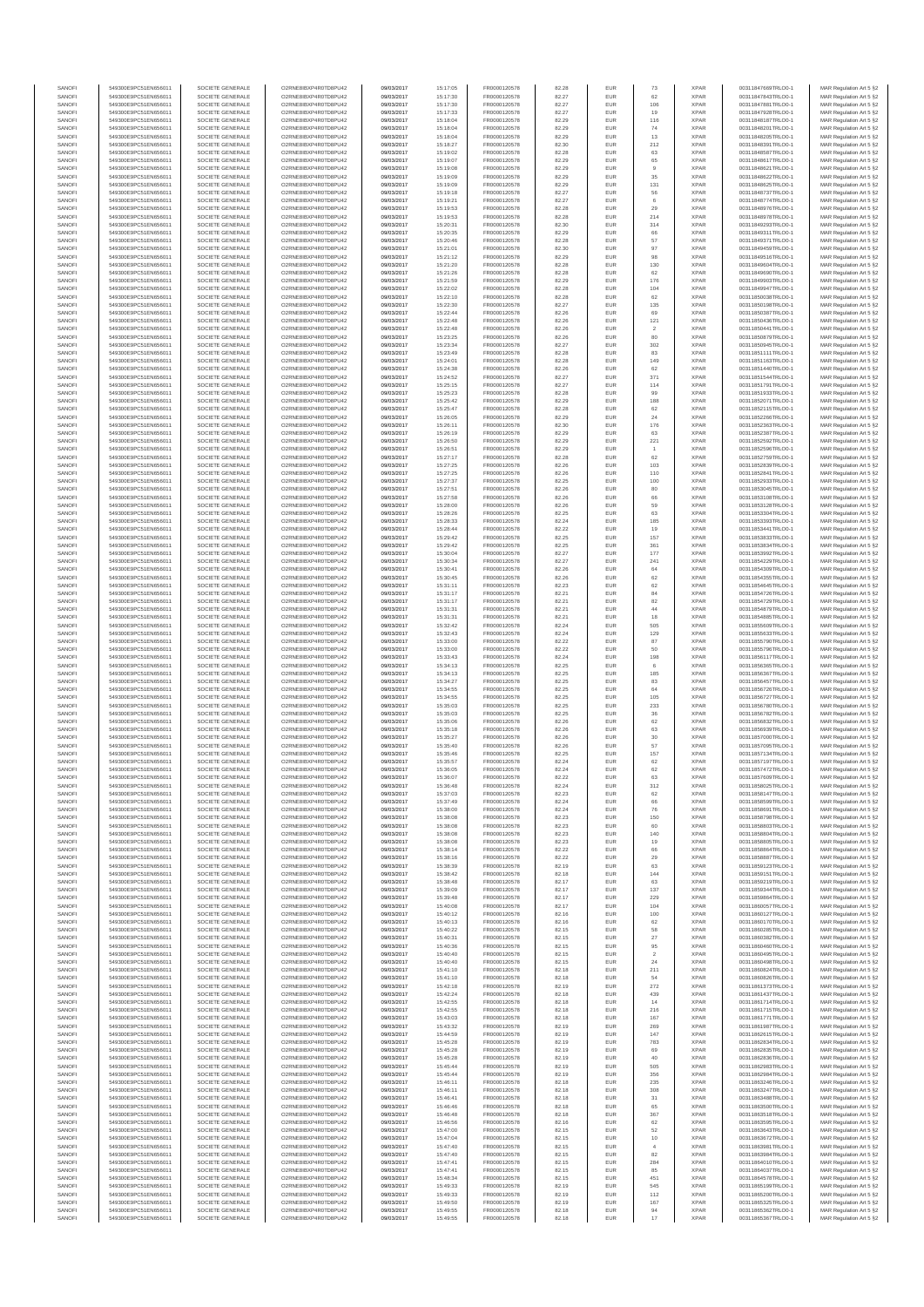| SANOFI           | 549300E9PC51EN656011                         | SOCIETE GENERALE                     | O2RNE8IBXP4R0TD8PU42                          | 09/03/2017               | 15:17:05             | FR0000120578                 | 82.28          | EUR               | 73                    | <b>XPAR</b>                | 00311847669TRLO0-1                       | MAR Regulation Art 5 §2                            |
|------------------|----------------------------------------------|--------------------------------------|-----------------------------------------------|--------------------------|----------------------|------------------------------|----------------|-------------------|-----------------------|----------------------------|------------------------------------------|----------------------------------------------------|
| SANOFI<br>SANOFI | 549300E9PC51EN656011<br>549300E9PC51EN656011 | SOCIETE GENERALE<br>SOCIETE GENERALE | O2RNE8IBXP4R0TD8PU42                          | 09/03/2017<br>09/03/2017 | 15:17:30<br>15:17:30 | FR0000120578<br>FR0000120578 | 82.27          | EUR<br>EUR        | 62<br>106             | <b>XPAR</b><br><b>XPAR</b> | 00311847843TRLO0-1<br>00311847881TRLO0-1 | MAR Regulation Art 5 §2                            |
| SANOFI           | 549300E9PC51EN656011                         | SOCIETE GENERALE                     | O2RNE8IBXP4R0TD8PU42<br>O2RNE8IBXP4R0TD8PU42  | 09/03/2017               | 15:17:33             | FR0000120578                 | 82.27<br>82.27 | EUR               | 19                    | <b>XPAR</b>                | 00311847928TRLO0-1                       | MAR Regulation Art 5 §2<br>MAR Regulation Art 5 §2 |
| SANOFI           | 549300E9PC51EN656011                         | SOCIETE GENERALE                     | O2RNE8IBXP4R0TD8PU42                          | 09/03/2017               | 15:18:04             | FR0000120578                 | 82.29          | EUR               | 116                   | <b>XPAR</b>                | 00311848187TRLO0-1                       | MAR Regulation Art 5 §2                            |
| SANOFI           | 549300E9PC51EN656011                         | SOCIETE GENERALE                     | O2RNE8IBXP4R0TD8PU42                          | 09/03/2017               | 15:18:04             | FR0000120578                 | 82.29          | EUR               | 74                    | <b>XPAR</b>                | 00311848201TRLO0-1                       | MAR Regulation Art 5 §2                            |
| SANOFI<br>SANOFI | 549300E9PC51EN656011<br>549300E9PC51EN656011 | SOCIETE GENERALE<br>SOCIETE GENERALE | O2RNE8IBXP4R0TD8PLI42<br>O2RNE8IBXP4R0TD8PU42 | 09/03/2017<br>09/03/2017 | 15:18:04<br>15:18:27 | FR0000120578<br>FR0000120578 | 82.29<br>82.30 | EUR<br>EUR        | 13<br>212             | <b>XPAR</b><br><b>XPAR</b> | 00311848205TRLO0-1<br>00311848391TRLO0-1 | MAR Regulation Art 5 §2<br>MAR Regulation Art 5 §2 |
| SANOFI           | 549300E9PC51EN656011                         | SOCIETE GENERALE                     | O2RNE8IBXP4R0TD8PU42                          | 09/03/2017               | 15:19:02             | FR0000120578                 | 82.28          | EUR               | 63                    | <b>XPAR</b>                | 00311848587TRLO0-1                       | MAR Regulation Art 5 §2                            |
| SANOFI           | 549300E9PC51EN656011                         | SOCIETE GENERALE                     | O2RNE8IBXP4R0TD8PU42                          | 09/03/2017               | 15:19:07             | FR0000120578                 | 82.29          | EUR               | 65                    | <b>XPAR</b>                | 00311848617TRLO0-1                       | MAR Regulation Art 5 §2                            |
| SANOFI<br>SANOFI | 549300E9PC51EN656011<br>549300E9PC51EN656011 | SOCIETE GENERALE<br>SOCIETE GENERALE | O2RNE8IBXP4R0TD8PU42<br>O2RNE8IBXP4R0TD8PU42  | 09/03/2017<br>09/03/2017 | 15:19:08<br>15:19:09 | FR0000120578<br>FR0000120578 | 82.29<br>82.29 | EUR<br>EUR        | $^{\rm 9}$<br>35      | <b>XPAR</b><br><b>XPAR</b> | 00311848621TRLO0-1<br>00311848622TRLO0-1 | MAR Regulation Art 5 §2<br>MAR Regulation Art 5 §2 |
| SANOFI           | 549300E9PC51EN656011                         | SOCIETE GENERALE                     | O2RNE8IBXP4R0TD8PU42                          | 09/03/2017               | 15:19:09             | FR0000120578                 | 82.29          | EUR               | 131                   | <b>XPAR</b>                | 00311848625TRLO0-1                       | MAR Regulation Art 5 §2                            |
| SANOFI           | 549300E9PC51EN656011                         | SOCIETE GENERALE                     | O2RNE8IBXP4R0TD8PU42                          | 09/03/2017               | 15:19:18             | FR0000120578                 | 82.27          | EUR               | 56                    | <b>XPAR</b>                | 00311848737TRLO0-1                       | MAR Regulation Art 5 §2                            |
| SANOFI           | 549300E9PC51EN656011                         | SOCIETE GENERALE                     | O2RNE8IBXP4R0TD8PU42                          | 09/03/2017               | 15:19:21             | FR0000120578                 | 82.27          | EUR               | 6                     | <b>XPAR</b>                | 00311848774TRLO0-1                       | MAR Regulation Art 5 §2                            |
| SANOFI<br>SANOFI | 549300E9PC51EN656011<br>549300E9PC51EN656011 | SOCIETE GENERALE<br>SOCIETE GENERALE | O2RNE8IBXP4R0TD8PU42<br>O2RNE8IBXP4R0TD8PU42  | 09/03/2017<br>09/03/2017 | 15:19:53<br>15:19:53 | FR0000120578<br>FR0000120578 | 82.28<br>82.28 | EUR<br>EUR        | 29<br>214             | <b>XPAR</b><br><b>XPAR</b> | 00311848976TRLO0-1<br>00311848978TRLO0-1 | MAR Regulation Art 5 §2<br>MAR Regulation Art 5 §2 |
| SANOFI           | 549300E9PC51EN656011                         | SOCIETE GENERALE                     | O2RNE8IBXP4R0TD8PU42                          | 09/03/2017               | 15:20:31             | FR0000120578                 | 82.30          | EUR               | 314                   | <b>XPAR</b>                | 00311849293TRLO0-1                       | MAR Regulation Art 5 §2                            |
| SANOFI           | 549300E9PC51EN656011                         | SOCIETE GENERALE                     | O2RNE8IBXP4R0TD8PU42                          | 09/03/2017               | 15:20:35             | FR0000120578                 | 82.29          | EUR               | 66                    | <b>XPAR</b>                | 00311849311TRLO0-1                       | MAR Regulation Art 5 §2                            |
| SANOFI           | 549300E9PC51EN656011                         | SOCIETE GENERALE                     | O2RNE8IBXP4R0TD8PU42                          | 09/03/2017               | 15:20:46             | FR0000120578                 | 82.28          | EUR               | 57                    | <b>XPAR</b>                | 00311849371TRLO0-1                       | MAR Regulation Art 5 §2                            |
| SANOFI<br>SANOFI | 549300E9PC51EN656011<br>549300E9PC51EN656011 | SOCIETE GENERALE<br>SOCIETE GENERALE | O2RNE8IBXP4R0TD8PU42<br>O2RNE8IBXP4R0TD8PU42  | 09/03/2017<br>09/03/2017 | 15:21:01<br>15:21:12 | FR0000120578<br>FR0000120578 | 82.30<br>82.29 | EUR<br>EUR        | 97<br>98              | <b>XPAR</b><br><b>XPAR</b> | 00311849459TRLO0-1<br>00311849516TRLO0-1 | MAR Regulation Art 5 §2<br>MAR Regulation Art 5 §2 |
| SANOFI           | 549300E9PC51EN656011                         | SOCIETE GENERALE                     | O2RNE8IBXP4R0TD8PU42                          | 09/03/2017               | 15:21:20             | FR0000120578                 | 82.28          | <b>EUR</b>        | 130                   | <b>XPAR</b>                | 00311849604TRLO0-1                       | MAR Regulation Art 5 §2                            |
| SANOFI           | 549300E9PC51EN656011                         | SOCIETE GENERALE                     | O2RNE8IBXP4R0TD8PU42                          | 09/03/2017               | 15:21:26             | FR0000120578                 | 82.28          | EUR               | 62                    | <b>XPAR</b>                | 00311849690TRLO0-1                       | MAR Regulation Art 5 §2                            |
| SANOFI           | 549300E9PC51EN656011                         | SOCIETE GENERALE                     | O2RNE8IBXP4R0TD8PU42                          | 09/03/2017               | 15:21:59             | FR0000120578                 | 82.29          | EUR               | 176                   | <b>XPAR</b>                | 00311849903TRLO0-1                       | MAR Regulation Art 5 §2                            |
| SANOFI<br>SANOFI | 549300E9PC51EN656011<br>549300E9PC51EN656011 | SOCIETE GENERALE<br>SOCIETE GENERALE | O2RNE8IBXP4R0TD8PU42<br>O2RNE8IBXP4R0TD8PU42  | 09/03/2017<br>09/03/2017 | 15:22:02<br>15:22:10 | FR0000120578<br>FR0000120578 | 82.28<br>82.28 | EUR<br>EUR        | 104<br>62             | <b>XPAR</b><br><b>XPAR</b> | 00311849947TRLO0-1<br>00311850038TRLO0-1 | MAR Regulation Art 5 §2<br>MAR Regulation Art 5 §2 |
| SANOFI           | 549300E9PC51EN656011                         | SOCIETE GENERALE                     | O2RNE8IBXP4R0TD8PU42                          | 09/03/2017               | 15:22:30             | FR0000120578                 | 82.27          | EUR               | 135                   | <b>XPAR</b>                | 00311850198TRLO0-1                       | MAR Regulation Art 5 §2                            |
| SANOFI           | 549300E9PC51EN656011                         | SOCIETE GENERALE                     | O2RNE8IBXP4R0TD8PU42                          | 09/03/2017               | 15:22:44             | FR0000120578                 | 82.26          | EUR               | 69                    | <b>XPAR</b>                | 00311850387TRLO0-1                       | MAR Regulation Art 5 §2                            |
| SANOFI<br>SANOFI | 549300E9PC51EN656011<br>549300E9PC51EN656011 | SOCIETE GENERALE<br>SOCIETE GENERALE | O2RNE8IBXP4R0TD8PU42<br>O2RNE8IBXP4R0TD8PU42  | 09/03/2017<br>09/03/2017 | 15:22:48<br>15:22:48 | FR0000120578<br>FR0000120578 | 82.26<br>82.26 | EUR<br>EUR        | 121<br>$\overline{2}$ | <b>XPAR</b><br><b>XPAR</b> | 00311850436TRLO0-1<br>00311850441TRLO0-1 | MAR Regulation Art 5 §2<br>MAR Regulation Art 5 §2 |
| SANOFI           | 549300E9PC51EN656011                         | SOCIETE GENERALE                     | O2RNE8IBXP4R0TD8PU42                          | 09/03/2017               | 15:23:25             | FR0000120578                 | 82.26          | <b>EUR</b>        | 80                    | <b>XPAR</b>                | 00311850879TRLO0-1                       | MAR Regulation Art 5 §2                            |
| SANOFI           | 549300E9PC51EN656011                         | SOCIETE GENERALE                     | O2RNE8IBXP4R0TD8PU42                          | 09/03/2017               | 15:23:34             | FR0000120578                 | 82.27          | EUR               | 302                   | <b>XPAR</b>                | 00311850945TRLO0-1                       | MAR Regulation Art 5 §2                            |
| SANOFI<br>SANOFI | 549300E9PC51EN656011<br>549300E9PC51EN656011 | SOCIETE GENERALE<br>SOCIETE GENERALE | O2RNE8IBXP4R0TD8PU42<br>O2RNE8IBXP4R0TD8PU42  | 09/03/2017<br>09/03/2017 | 15:23:49<br>15:24:01 | FR0000120578<br>FR0000120578 | 82.28<br>82.28 | EUR<br>EUR        | 83<br>149             | <b>XPAR</b><br><b>XPAR</b> | 00311851111TRLO0-1<br>00311851163TRLO0-1 | MAR Regulation Art 5 §2<br>MAR Regulation Art 5 §2 |
| SANOFI           | 549300E9PC51EN656011                         | SOCIETE GENERALE                     | O2RNE8IBXP4R0TD8PU42                          | 09/03/2017               | 15:24:38             | FR0000120578                 | 82.26          | EUR               | 62                    | <b>XPAR</b>                | 00311851440TRLO0-1                       | MAR Regulation Art 5 §2                            |
| SANOFI           | 549300E9PC51EN656011                         | SOCIETE GENERALE                     | O2RNE8IBXP4R0TD8PU42                          | 09/03/2017               | 15:24:52             | FR0000120578                 | 82.27          | EUR               | 371                   | <b>XPAR</b>                | 00311851544TRLO0-1                       | MAR Regulation Art 5 §2                            |
| SANOFI           | 549300E9PC51EN656011                         | SOCIETE GENERALE                     | O2RNE8IBXP4R0TD8PU42                          | 09/03/2017               | 15:25:15             | FR0000120578                 | 82.27          | EUR               | 114                   | <b>XPAR</b>                | 00311851791TRLO0-1                       | MAR Regulation Art 5 §2                            |
| SANOFI<br>SANOFI | 549300E9PC51EN656011<br>549300E9PC51EN656011 | SOCIETE GENERALE<br>SOCIETE GENERALE | O2RNE8IBXP4R0TD8PU42<br>O2RNE8IBXP4R0TD8PU42  | 09/03/2017<br>09/03/2017 | 15:25:23<br>15:25:42 | FR0000120578<br>FR0000120578 | 82.28<br>82.29 | EUR<br>EUR        | 99<br>188             | <b>XPAR</b><br><b>XPAR</b> | 00311851933TRLO0-1<br>00311852071TRLO0-1 | MAR Regulation Art 5 §2<br>MAR Regulation Art 5 §2 |
| SANOFI           | 549300E9PC51EN656011                         | SOCIETE GENERALE                     | O2RNE8IBXP4R0TD8PU42                          | 09/03/2017               | 15:25:47             | FR0000120578                 | 82.28          | <b>EUR</b>        | 62                    | <b>XPAR</b>                | 00311852115TRLO0-1                       | MAR Regulation Art 5 §2                            |
| SANOFI           | 549300E9PC51EN656011                         | SOCIETE GENERALE                     | O2RNE8IBXP4R0TD8PU42                          | 09/03/2017               | 15:26:05             | FR0000120578                 | 82.29          | EUR               | 24                    | <b>XPAR</b>                | 00311852266TRLO0-1                       | MAR Regulation Art 5 §2                            |
| SANOFI           | 549300E9PC51EN656011                         | SOCIETE GENERALE<br>SOCIETE GENERALE | O2RNE8IBXP4R0TD8PU42                          | 09/03/2017               | 15:26:11             | FR0000120578                 | 82.30          | EUR               | 176                   | <b>XPAR</b>                | 00311852363TRLO0-1                       | MAR Regulation Art 5 §2                            |
| SANOFI<br>SANOFI | 549300E9PC51EN656011<br>549300E9PC51EN656011 | SOCIETE GENERALE                     | O2RNE8IBXP4R0TD8PU42<br>O2RNE8IBXP4R0TD8PU42  | 09/03/2017<br>09/03/2017 | 15:26:19<br>15:26:50 | FR0000120578<br>FR0000120578 | 82.29<br>82.29 | EUR<br>EUR        | 63<br>221             | <b>XPAR</b><br><b>XPAR</b> | 00311852387TRLO0-1<br>00311852592TRLO0-1 | MAR Regulation Art 5 §2<br>MAR Regulation Art 5 §2 |
| SANOFI           | 549300E9PC51EN656011                         | SOCIETE GENERALE                     | O2RNE8IBXP4R0TD8PU42                          | 09/03/2017               | 15:26:51             | FR0000120578                 | 82.29          | EUR               |                       | <b>XPAR</b>                | 00311852596TRLO0-1                       | MAR Regulation Art 5 §2                            |
| SANOFI           | 549300E9PC51EN656011                         | SOCIETE GENERALE                     | O2RNE8IBXP4R0TD8PU42                          | 09/03/2017               | 15:27:17             | FR0000120578                 | 82.28          | EUR               | 62                    | <b>XPAR</b>                | 00311852759TRLO0-1                       | MAR Regulation Art 5 §2                            |
| SANOFI           | 549300E9PC51EN656011<br>549300E9PC51EN656011 | SOCIETE GENERALE                     | O2RNE8IBXP4R0TD8PU42<br>O2RNE8IBXP4R0TD8PU42  | 09/03/2017               | 15:27:25             | FR0000120578<br>FR0000120578 | 82.26          | EUR               | 103                   | <b>XPAR</b>                | 00311852839TRLO0-1                       | MAR Regulation Art 5 §2                            |
| SANOFI<br>SANOFI | 549300E9PC51EN656011                         | SOCIETE GENERALE<br>SOCIETE GENERALE | O2RNE8IBXP4R0TD8PU42                          | 09/03/2017<br>09/03/2017 | 15:27:25<br>15:27:37 | FR0000120578                 | 82.26<br>82.25 | EUR<br>EUR        | 110<br>100            | <b>XPAR</b><br><b>XPAR</b> | 00311852841TRLO0-1<br>00311852933TRLO0-1 | MAR Regulation Art 5 §2<br>MAR Regulation Art 5 §2 |
| SANOFI           | 549300E9PC51EN656011                         | SOCIETE GENERALE                     | O2RNE8IBXP4R0TD8PU42                          | 09/03/2017               | 15:27:51             | FR0000120578                 | 82.26          | EUR               | 80                    | <b>XPAR</b>                | 00311853045TRLO0-1                       | MAR Regulation Art 5 §2                            |
| SANOFI           | 549300E9PC51EN656011                         | SOCIETE GENERALE                     | O2RNE8IBXP4R0TD8PU42                          | 09/03/2017               | 15:27:58             | FR0000120578                 | 82.26          | EUR               | 66                    | <b>XPAR</b>                | 00311853108TRLO0-1                       | MAR Regulation Art 5 §2                            |
| SANOFI<br>SANOFI | 549300E9PC51EN656011                         | SOCIETE GENERALE                     | O2RNE8IBXP4R0TD8PU42<br>O2RNE8IBXP4R0TD8PU42  | 09/03/2017               | 15:28:00             | FR0000120578<br>FR0000120578 | 82.26<br>82.25 | EUR<br>EUR        | 59<br>63              | <b>XPAR</b><br><b>XPAR</b> | 00311853128TRLO0-1                       | MAR Regulation Art 5 §2<br>MAR Regulation Art 5 §2 |
| SANOFI           | 549300E9PC51EN656011<br>549300E9PC51EN656011 | SOCIETE GENERALE<br>SOCIETE GENERALE | O2RNESIBXP4R0TD8PLI42                         | 09/03/2017<br>09/03/2017 | 15:28:26<br>15:28:33 | FR0000120578                 | 82.24          | EUR               | 185                   | <b>XPAR</b>                | 00311853304TRLO0-1<br>00311853393TRLO0-1 | MAR Regulation Art 5 §2                            |
| SANOFI           | 549300E9PC51EN656011                         | SOCIETE GENERALE                     | O2RNE8IBXP4R0TD8PU42                          | 09/03/2017               | 15:28:44             | FR0000120578                 | 82.22          | EUR               | 19                    | <b>XPAR</b>                | 00311853441TRLO0-1                       | MAR Regulation Art 5 §2                            |
| SANOFI           | 549300E9PC51EN656011                         | SOCIETE GENERALE                     | O2RNE8IBXP4R0TD8PU42                          | 09/03/2017               | 15:29:42             | FR0000120578                 | 82.25          | EUR               | 157                   | <b>XPAR</b>                | 00311853833TRLO0-1                       | MAR Regulation Art 5 §2                            |
| SANOFI<br>SANOFI | 549300E9PC51EN656011<br>549300E9PC51EN656011 | SOCIETE GENERALE<br>SOCIETE GENERALE | O2RNE8IBXP4R0TD8PU42<br>O2RNE8IBXP4R0TD8PU42  | 09/03/2017<br>09/03/2017 | 15:29:42<br>15:30:04 | FR0000120578<br>FR0000120578 | 82.25<br>82.27 | EUR<br>EUR        | 361<br>177            | <b>XPAR</b><br><b>XPAR</b> | 00311853834TRLO0-1<br>00311853992TRLO0-1 | MAR Regulation Art 5 §2<br>MAR Regulation Art 5 §2 |
| SANOFI           | 549300E9PC51EN656011                         | SOCIETE GENERALE                     | O2RNE8IBXP4R0TD8PU42                          | 09/03/2017               | 15:30:34             | FR0000120578                 | 82.27          | EUR               | 241                   | <b>XPAR</b>                | 00311854229TRLO0-1                       | MAR Regulation Art 5 §2                            |
| SANOFI           | 549300E9PC51EN656011                         | SOCIETE GENERALE                     | O2RNE8IBXP4R0TD8PU42                          | 09/03/2017               | 15:30:41             | FR0000120578                 | 82.26          | EUR               | 64                    | <b>XPAR</b>                | 00311854309TRLO0-1                       | MAR Regulation Art 5 §2                            |
| SANOFI           | 549300E9PC51EN656011                         | SOCIETE GENERALE                     | O2RNE8IBXP4R0TD8PU42                          | 09/03/2017               | 15:30:45             | FR0000120578                 | 82.26          | EUR               | 62                    | <b>XPAR</b>                | 00311854355TRLO0-1                       | MAR Regulation Art 5 §2                            |
| SANOFI<br>SANOFI | 549300E9PC51EN656011<br>549300E9PC51EN656011 | SOCIETE GENERALE<br>SOCIETE GENERALE | O2RNE8IBXP4R0TD8PU42<br>O2RNE8IBXP4R0TD8PU42  | 09/03/2017<br>09/03/2017 | 15:31:11             | FR0000120578                 | 82.23          | EUR<br>EUR        | 62<br>84              | <b>XPAR</b><br><b>XPAR</b> | 00311854645TRLO0-1<br>00311854726TRLO0-1 | MAR Regulation Art 5 §2                            |
| SANOFI           | 549300E9PC51EN656011                         | SOCIETE GENERALE                     | O2RNE8IBXP4R0TD8PU42                          | 09/03/2017               | 15:31:17<br>15:31:17 | FR0000120578<br>FR0000120578 | 82.21<br>82.21 | EUR               | $82\,$                | <b>XPAR</b>                | 00311854729TRLO0-1                       | MAR Regulation Art 5 §2<br>MAR Regulation Art 5 §2 |
| SANOFI           | 549300E9PC51EN656011                         | SOCIETE GENERALE                     | O2RNE8IBXP4R0TD8PU42                          | 09/03/2017               | 15:31:31             | FR0000120578                 | 82.21          | <b>EUR</b>        | 44                    | <b>XPAR</b>                | 00311854879TRLO0-1                       | MAR Regulation Art 5 §2                            |
| SANOFI           | 549300E9PC51EN656011                         | SOCIETE GENERALE                     | O2RNE8IBXP4R0TD8PU42                          | 09/03/2017               | 15:31:31             | FR0000120578                 | 82.21          | EUR               | 18                    | <b>XPAR</b>                | 00311854885TRLO0-1                       | MAR Regulation Art 5 §2                            |
| SANOFI<br>SANOFI | 549300E9PC51EN656011<br>549300E9PC51EN656011 | SOCIETE GENERALE<br>SOCIETE GENERALE | O2RNE8IBXP4R0TD8PU42<br>O2RNE8IBXP4R0TD8PU42  | 09/03/2017<br>09/03/2017 | 15:32:42<br>15:32:43 | FR0000120578<br>FR0000120578 | 82.24<br>82.24 | EUR<br>EUR        | 505<br>129            | <b>XPAR</b><br><b>XPAR</b> | 00311855609TRLO0-1<br>00311855633TRLO0-1 | MAR Regulation Art 5 §2<br>MAR Regulation Art 5 §2 |
| SANOFI           | 549300E9PC51EN656011                         | SOCIETE GENERALE                     | O2RNE8IBXP4R0TD8PU42                          | 09/03/2017               | 15:33:00             | FR0000120578                 | 82.22          | EUR               | 87                    | <b>XPAR</b>                | 00311855790TRLO0-1                       | MAR Regulation Art 5 §2                            |
| SANOFI           | 549300E9PC51EN656011                         | SOCIETE GENERALE                     | O2RNE8IBXP4R0TD8PU42                          | 09/03/2017               | 15:33:00             | FR0000120578                 | 82.22          | EUR               | 50                    | <b>XPAR</b>                | 00311855796TRLO0-1                       | MAR Regulation Art 5 §2                            |
| SANOFI<br>SANOFI | 549300E9PC51EN656011<br>549300E9PC51EN656011 | SOCIETE GENERALE<br>SOCIETE GENERALE | O2RNE8IBXP4R0TD8PU42<br>O2RNE8IBXP4R0TD8PU42  | 09/03/2017<br>09/03/2017 | 15:33:43             | FR0000120578<br>FR0000120578 | 82.24<br>82.25 | EUR<br>EUR        | 198<br>6              | <b>XPAR</b><br><b>XPAR</b> | 00311856117TRLO0-1<br>00311856365TRLO0-1 | MAR Regulation Art 5 §2                            |
| SANOFI           | 549300E9PC51EN656011                         | SOCIETE GENERALE                     | O2RNE8IBXP4R0TD8PU42                          | 09/03/2017               | 15:34:13<br>15:34:13 | FR0000120578                 | 82.25          | EUR               | 185                   | <b>XPAR</b>                | 00311856367TRLO0-1                       | MAR Regulation Art 5 §2<br>MAR Regulation Art 5 §2 |
| SANOFI           | 549300E9PC51EN656011                         | SOCIETE GENERALE                     | O2RNE8IBXP4R0TD8PU42                          | 09/03/2017               | 15:34:27             | FR0000120578                 | 82.25          | EUR               | 83                    | <b>XPAR</b>                | 00311856457TRLO0-1                       | MAR Regulation Art 5 §2                            |
| SANOFI           | 549300E9PC51EN656011                         | SOCIETE GENERALE                     | O2RNE8IBXP4R0TD8PU42                          | 09/03/2017               | 15:34:55             | FR0000120578                 | 82.25          | EUR               | 64                    | <b>XPAR</b>                | 00311856726TRLO0-1                       | MAR Regulation Art 5 §2                            |
| SANOFI<br>SANOFI | 549300E9PC51EN656011<br>549300E9PC51EN656011 | SOCIETE GENERALE<br>SOCIETE GENERALE | O2RNE8IBXP4R0TD8PU42<br>O2RNE8IBXP4R0TD8PU42  | 09/03/2017<br>09/03/2017 | 15:34:55<br>15:35:03 | FR0000120578<br>FR0000120578 | 82.25<br>82.25 | <b>EUR</b><br>EUR | 105<br>233            | <b>XPAR</b><br><b>XPAR</b> | 00311856727TRLO0-1<br>00311856780TRLO0-1 | MAR Regulation Art 5 §2<br>MAR Regulation Art 5 §2 |
| SANOFI           | 549300E9PC51EN656011                         | SOCIETE GENERALE                     | O2RNE8IBXP4R0TD8PU42                          | 09/03/2017               | 15:35:03             | FR0000120578                 | 82.25          | EUR               | 36                    | <b>XPAR</b>                | 00311856782TRLO0-1                       | MAR Regulation Art 5 §2                            |
| SANOFI           | 549300E9PC51EN656011                         | SOCIETE GENERALE                     | O2RNE8IBXP4R0TD8PU42                          | 09/03/2017               | 15:35:06             | FR0000120578                 | 82.26          | EUR               | 62                    | <b>XPAR</b>                | 00311856832TRLO0-1                       | MAR Regulation Art 5 §2                            |
| SANOFI           | 549300E9PC51EN656011                         | SOCIETE GENERALE                     | O2RNE8IBXP4R0TD8PU42                          | 09/03/2017               | 15:35:18             | FR0000120578                 | 82.26          | EUR               | 63                    | <b>XPAR</b>                | 00311856939TRLO0-1                       | MAR Regulation Art 5 §2                            |
| SANOFI<br>SANOFI | 549300E9PC51EN656011<br>549300E9PC51EN656011 | SOCIETE GENERALE<br>SOCIETE GENERALE | O2RNE8IBXP4R0TD8PU42<br>O2RNE8IBXP4R0TD8PU42  | 09/03/2017<br>09/03/2017 | 15:35:27<br>15:35:40 | FR0000120578<br>FR0000120578 | 82.26<br>82.26 | EUR<br>EUR        | $30\,$<br>57          | <b>XPAR</b><br><b>XPAR</b> | 00311857000TRLO0-1<br>00311857095TRLO0-1 | MAR Regulation Art 5 §2<br>MAR Regulation Art 5 §2 |
| SANOFI           | 549300E9PC51EN656011                         | SOCIETE GENERALE                     | O2RNE8IBXP4R0TD8PU42                          | 09/03/2017               | 15:35:46             | FR0000120578                 | 82.25          | EUR               | 157                   | <b>XPAR</b>                | 00311857134TRLO0-1                       | MAR Regulation Art 5 §2                            |
| SANOFI           | 549300E9PC51EN656011                         | SOCIETE GENERALE                     | O2RNE8IBXP4R0TD8PU42                          | 09/03/2017               | 15:35:57             | FR0000120578                 | 82.24          | EUR               | 62                    | <b>XPAR</b>                | 00311857197TRLO0-1                       | MAR Regulation Art 5 §2                            |
| SANOFI<br>SANOFI | 549300E9PC51EN656011<br>549300E9PC51EN656011 | SOCIETE GENERALE<br>SOCIETE GENERALE | O2RNE8IBXP4R0TD8PU42<br>O2RNE8IBXP4R0TD8PU42  | 09/03/2017<br>09/03/2017 | 15:36:05<br>15:36:07 | FR0000120578<br>FR0000120578 | 82.24<br>82.22 | EUR<br>EUR        | 62<br>63              | <b>XPAR</b><br><b>XPAR</b> | 00311857472TRLO0-1<br>00311857609TRLO0-1 | MAR Regulation Art 5 §2<br>MAR Regulation Art 5 §2 |
| SANOFI           | 549300E9PC51EN656011                         | SOCIETE GENERALE                     | O2RNE8IBXP4R0TD8PU42                          | 09/03/2017               | 15:36:48             | FR0000120578                 | 82.24          | EUR               | 312                   | <b>XPAR</b>                | 00311858025TRLO0-1                       | MAR Regulation Art 5 §2                            |
| SANOFI           | 549300E9PC51EN656011                         | SOCIETE GENERALE                     | O2RNE8IBXP4R0TD8PU42                          | 09/03/2017               | 15:37:03             | FR0000120578                 | 82.23          | EUR               | 62                    | <b>XPAR</b>                | 00311858147TRLO0-1                       | MAR Regulation Art 5 §2                            |
| SANOFI           | 549300E9PC51EN656011                         | SOCIETE GENERALE                     | O2RNE8IBXP4R0TD8PU42                          | 09/03/2017               | 15:37:49             | FR0000120578                 | 82.24          | EUR               | 66                    | <b>XPAR</b>                | 00311858599TRLO0-1                       | MAR Regulation Art 5 §2                            |
| SANOFI<br>SANOFI | 549300E9PC51EN656011<br>549300E9PC51EN656011 | SOCIETE GENERALE<br>SOCIETE GENERALE | O2RNE8IBXP4R0TD8PU42<br>O2RNE8IBXP4R0TD8PU42  | 09/03/2017<br>09/03/2017 | 15:38:00<br>15:38:08 | FR0000120578<br>FR0000120578 | 82.24<br>82.23 | EUR<br>EUR        | 76<br>150             | <b>XPAR</b><br><b>XPAR</b> | 00311858691TRLO0-1<br>00311858798TRLO0-1 | MAR Regulation Art 5 §2<br>MAR Regulation Art 5 §2 |
| SANOFI           | 549300E9PC51EN656011                         | SOCIETE GENERALE                     | O2RNE8IBXP4R0TD8PU42                          | 09/03/2017               | 15:38:08             | FR0000120578                 | 82.23          | EUR               | 60                    | <b>XPAR</b>                | 00311858803TRLO0-1                       | MAR Regulation Art 5 §2                            |
| SANOFI           | 549300E9PC51EN656011                         | SOCIETE GENERALE                     | O2RNE8IBXP4R0TD8PU42                          | 09/03/2017               | 15:38:08             | FR0000120578                 | 82.23          | EUR               | 140                   | <b>XPAR</b>                | 00311858804TRLO0-1                       | MAR Regulation Art 5 §2                            |
| SANOFI<br>SANOFI | 549300E9PC51EN656011                         | SOCIETE GENERALE<br>SOCIETE GENERALE | O2RNE8IBXP4R0TD8PU42                          | 09/03/2017               | 15:38:08             | FR0000120578                 | 82.23          | <b>EUR</b><br>EUR | 19                    | <b>XPAR</b>                | 00311858805TRLO0-1                       | MAR Regulation Art 5 §2                            |
| SANOFI           | 549300E9PC51EN656011<br>549300E9PC51EN656011 | SOCIETE GENERALE                     | O2RNE8IBXP4R0TD8PU42<br>O2RNE8IBXP4R0TD8PU42  | 09/03/2017<br>09/03/2017 | 15:38:14<br>15:38:16 | FR0000120578<br>FR0000120578 | 82.22<br>82.22 | EUR               | 66<br>$29\,$          | <b>XPAR</b><br><b>XPAR</b> | 00311858864TRLO0-1<br>00311858887TRLO0-1 | MAR Regulation Art 5 §2<br>MAR Regulation Art 5 §2 |
| SANOFI           | 549300E9PC51EN656011                         | SOCIETE GENERALE                     | O2RNE8IBXP4R0TD8PU42                          | 09/03/2017               | 15:38:39             | FR0000120578                 | 82.19          | EUR               | 63                    | <b>XPAR</b>                | 00311859123TRLO0-1                       | MAR Regulation Art 5 §2                            |
| SANOFI           | 549300E9PC51EN656011                         | SOCIETE GENERALE                     | O2RNE8IBXP4R0TD8PU42                          | 09/03/2017               | 15:38:42             | FR0000120578                 | 82.18          | EUR               | 144                   | <b>XPAR</b>                | 00311859151TRLO0-1                       | MAR Regulation Art 5 §2                            |
| SANOFI<br>SANOFI | 549300E9PC51EN656011<br>549300E9PC51EN656011 | SOCIETE GENERALE<br>SOCIETE GENERALE | O2RNE8IBXP4R0TD8PU42<br>O2RNE8IBXP4R0TD8PU42  | 09/03/2017<br>09/03/2017 | 15:38:48<br>15:39:09 | FR0000120578<br>FR0000120578 | 82.17<br>82.17 | <b>EUR</b><br>EUR | 63<br>137             | <b>XPAR</b><br><b>XPAR</b> | 00311859219TRLO0-1<br>00311859344TRLO0-1 | MAR Regulation Art 5 §2<br>MAR Regulation Art 5 §2 |
| SANOFI           | 549300E9PC51EN656011                         | SOCIETE GENERALE                     | O2RNE8IBXP4R0TD8PU42                          | 09/03/2017               | 15:39:48             | FR0000120578                 | 82.17          | <b>EUR</b>        | 229                   | <b>XPAR</b>                | 00311859864TRLO0-1                       | MAR Regulation Art 5 §2                            |
| SANOFI           | 549300E9PC51EN656011                         | SOCIETE GENERALE                     | O2RNE8IBXP4R0TD8PU42                          | 09/03/2017               | 15:40:08             | FR0000120578                 | 82.17          | EUR               | 104                   | <b>XPAR</b>                | 00311860057TRLO0-1                       | MAR Regulation Art 5 §2                            |
| SANOFI<br>SANOFI | 549300E9PC51EN656011<br>549300E9PC51EN656011 | SOCIETE GENERALE<br>SOCIETE GENERALE | O2RNE8IBXP4R0TD8PU42<br>O2RNE8IBXP4R0TD8PU42  | 09/03/2017<br>09/03/2017 | 15:40:12<br>15:40:13 | FR0000120578<br>FR0000120578 | 82.16<br>82.16 | EUR<br>EUR        | 100<br>62             | <b>XPAR</b><br><b>XPAR</b> | 00311860127TRLO0-1<br>00311860170TRLO0-1 | MAR Regulation Art 5 §2<br>MAR Regulation Art 5 §2 |
| SANOFI           | 549300E9PC51EN656011                         | SOCIETE GENERALE                     | O2RNE8IBXP4R0TD8PU42                          | 09/03/2017               | 15:40:22             | FR0000120578                 | 82.15          | EUR               | 58                    | <b>XPAR</b>                | 00311860285TRLO0-1                       | MAR Regulation Art 5 §2                            |
| SANOFI           | 549300E9PC51EN656011                         | SOCIETE GENERALE                     | O2RNE8IBXP4R0TD8PU42                          | 09/03/2017               | 15:40:31             | FR0000120578                 | 82.15          | EUR               | 27                    | <b>XPAR</b>                | 00311860382TRLO0-1                       | MAR Regulation Art 5 §2                            |
| SANOFI<br>SANOFI | 549300E9PC51EN656011<br>549300E9PC51EN656011 | SOCIETE GENERALE<br>SOCIETE GENERALE | O2RNE8IBXP4R0TD8PU42<br>O2RNE8IBXP4R0TD8PU42  | 09/03/2017<br>09/03/2017 | 15:40:36<br>15:40:40 | FR0000120578<br>FR0000120578 | 82.15<br>82.15 | EUR<br><b>EUR</b> | 95<br>$\overline{2}$  | <b>XPAR</b><br><b>XPAR</b> | 00311860460TRLO0-1<br>00311860495TRLO0-1 | MAR Regulation Art 5 §2<br>MAR Regulation Art 5 §2 |
| SANOFI           | 549300E9PC51EN656011                         | SOCIETE GENERALE                     | O2RNE8IBXP4R0TD8PU42                          | 09/03/2017               | 15:40:40             | FR0000120578                 | 82.15          | EUR               | 24                    | <b>XPAR</b>                | 00311860498TRLO0-1                       | MAR Regulation Art 5 §2                            |
| SANOFI           | 549300E9PC51EN656011                         | SOCIETE GENERALE                     | O2RNE8IBXP4R0TD8PU42                          | 09/03/2017               | 15:41:10             | FR0000120578                 | 82.18          | <b>EUR</b>        | 211                   | <b>XPAR</b>                | 00311860824TRLO0-1                       | MAR Regulation Art 5 §2                            |
| SANOFI           | 549300E9PC51EN656011                         | SOCIETE GENERALE                     | O2RNE8IBXP4R0TD8PU42                          | 09/03/2017               | 15:41:10             | FR0000120578                 | 82.18          | EUR               | 54                    | <b>XPAR</b>                | 00311860826TRLO0-1                       | MAR Regulation Art 5 §2                            |
| SANOFI<br>SANOFI | 549300E9PC51EN656011<br>549300E9PC51EN656011 | SOCIETE GENERALE<br>SOCIETE GENERALE | O2RNE8IBXP4R0TD8PU42<br>O2RNE8IBXP4R0TD8PU42  | 09/03/2017<br>09/03/2017 | 15:42:18<br>15:42:24 | FR0000120578<br>FR0000120578 | 82.19<br>82.18 | EUR<br>EUR        | 272<br>439            | <b>XPAR</b><br><b>XPAR</b> | 00311861373TRLO0-1<br>00311861437TRLO0-1 | MAR Regulation Art 5 §2<br>MAR Regulation Art 5 §2 |
| SANOFI           | 549300E9PC51EN656011                         | SOCIETE GENERALE                     | O2RNE8IBXP4R0TD8PU42                          | 09/03/2017               | 15:42:55             | FR0000120578                 | 82.18          | EUR               | 14                    | <b>XPAR</b>                | 00311861714TRLO0-1                       | MAR Regulation Art 5 §2                            |
| SANOFI           | 549300E9PC51EN656011                         | SOCIETE GENERALE                     | O2RNE8IBXP4R0TD8PU42                          | 09/03/2017               | 15:42:55             | FR0000120578                 | 82.18          | EUR               | 216                   | <b>XPAR</b>                | 00311861715TRLO0-1                       | MAR Regulation Art 5 §2                            |
| SANOFI           | 549300E9PC51EN656011                         | SOCIETE GENERALE                     | O2RNE8IBXP4R0TD8PU42                          | 09/03/2017               | 15:43:03             | FR0000120578                 | 82.18          | EUR               | 167                   | <b>XPAR</b>                | 00311861771TRLO0-1                       | MAR Regulation Art 5 §2                            |
| SANOFI<br>SANOFI | 549300E9PC51EN656011<br>549300E9PC51EN656011 | SOCIETE GENERALE<br>SOCIETE GENERALE | O2RNE8IBXP4R0TD8PU42<br>O2RNE8IBXP4R0TD8PU42  | 09/03/2017<br>09/03/2017 | 15:43:32<br>15:44:59 | FR0000120578<br>FR0000120578 | 82.19<br>82.19 | <b>EUR</b><br>EUR | 269<br>147            | <b>XPAR</b><br><b>XPAR</b> | 00311861987TRLO0-1<br>00311862615TRLO0-1 | MAR Regulation Art 5 §2                            |
| SANOFI           | 549300E9PC51EN656011                         | SOCIETE GENERALE                     | O2RNE8IBXP4R0TD8PU42                          | 09/03/2017               | 15:45:28             | FR0000120578                 | 82.19          | <b>EUR</b>        | 783                   | <b>XPAR</b>                | 00311862834TRLO0-1                       | MAR Regulation Art 5 §2<br>MAR Regulation Art 5 §2 |
| SANOFI           | 549300E9PC51EN656011                         | SOCIETE GENERALE                     | O2RNE8IBXP4R0TD8PU42                          | 09/03/2017               | 15:45:28             | FR0000120578                 | 82.19          | EUR               | 69                    | <b>XPAR</b>                | 00311862835TRLO0-1                       | MAR Regulation Art 5 §2                            |
| SANOFI           | 549300E9PC51EN656011                         | SOCIETE GENERALE                     | O2RNE8IBXP4R0TD8PU42                          | 09/03/2017               | 15:45:28             | FR0000120578                 | 82.19          | EUR               | 40                    | <b>XPAR</b>                | 00311862836TRLO0-1                       | MAR Regulation Art 5 §2                            |
| SANOFI<br>SANOFI | 549300E9PC51EN656011<br>549300E9PC51EN656011 | SOCIETE GENERALE<br>SOCIETE GENERALE | O2RNE8IBXP4R0TD8PU42<br>O2RNE8IBXP4R0TD8PU42  | 09/03/2017<br>09/03/2017 | 15:45:44<br>15:45:44 | FR0000120578<br>FR0000120578 | 82.19<br>82.19 | EUR<br>EUR        | 505<br>356            | <b>XPAR</b><br><b>XPAR</b> | 00311862983TRLO0-1<br>00311862984TRLO0-1 | MAR Regulation Art 5 §2<br>MAR Regulation Art 5 §2 |
| SANOFI           | 549300E9PC51EN656011                         | SOCIETE GENERALE                     | O2RNE8IBXP4R0TD8PU42                          | 09/03/2017               | 15:46:11             | FR0000120578                 | 82.18          | EUR               | 235                   | <b>XPAR</b>                | 00311863246TRLO0-1                       | MAR Regulation Art 5 §2                            |
| SANOFI           | 549300E9PC51EN656011                         | SOCIETE GENERALE                     | O2RNE8IBXP4R0TD8PU42                          | 09/03/2017               | 15:46:11             | FR0000120578                 | 82.18          | EUR               | 308                   | <b>XPAR</b>                | 00311863247TRLO0-1                       | MAR Regulation Art 5 §2                            |
| SANOFI           | 549300E9PC51EN656011                         | SOCIETE GENERALE                     | O2RNE8IBXP4R0TD8PU42                          | 09/03/2017               | 15:46:41             | FR0000120578                 | 82.18          | <b>EUR</b>        | 31                    | <b>XPAR</b>                | 00311863488TRLO0-1                       | MAR Regulation Art 5 §2                            |
| SANOFI<br>SANOFI | 549300E9PC51EN656011<br>549300E9PC51EN656011 | SOCIETE GENERALE<br>SOCIETE GENERALE | O2RNE8IBXP4R0TD8PU42<br>O2RNE8IBXP4R0TD8PU42  | 09/03/2017<br>09/03/2017 | 15:46:46<br>15:46:48 | FR0000120578<br>FR0000120578 | 82.18<br>82.18 | EUR<br><b>EUR</b> | 65<br>367             | <b>XPAR</b><br><b>XPAR</b> | 00311863500TRLO0-1<br>00311863518TRLO0-1 | MAR Regulation Art 5 §2<br>MAR Regulation Art 5 §2 |
| SANOFI           | 549300E9PC51EN656011                         | SOCIETE GENERALE                     | O2RNE8IBXP4R0TD8PU42                          | 09/03/2017               | 15:46:56             | FR0000120578                 | 82.16          | EUR               | 62                    | <b>XPAR</b>                | 00311863595TRLO0-1                       | MAR Regulation Art 5 §2                            |
| SANOFI           | 549300E9PC51EN656011                         | SOCIETE GENERALE                     | O2RNE8IBXP4R0TD8PU42                          | 09/03/2017               | 15:47:00             | FR0000120578                 | 82.15          | EUR               | 52                    | <b>XPAR</b>                | 00311863643TRLO0-1                       | MAR Regulation Art 5 §2                            |
| SANOFI           | 549300E9PC51EN656011                         | SOCIETE GENERALE                     | O2RNE8IBXP4R0TD8PU42                          | 09/03/2017               | 15:47:04             | FR0000120578                 | 82.15          | EUR               | $10$                  | <b>XPAR</b>                | 00311863672TRLO0-1                       | MAR Regulation Art 5 §2                            |
| SANOFI<br>SANOFI | 549300E9PC51EN656011<br>549300E9PC51EN656011 | SOCIETE GENERALE<br>SOCIETE GENERALE | O2RNE8IBXP4R0TD8PU42<br>O2RNE8IBXP4R0TD8PU42  | 09/03/2017<br>09/03/2017 | 15:47:40<br>15:47:40 | FR0000120578<br>FR0000120578 | 82.15<br>82.15 | EUR<br><b>EUR</b> | $\overline{4}$<br>82  | <b>XPAR</b><br><b>XPAR</b> | 00311863981TRLO0-1<br>00311863984TRLO0-1 | MAR Regulation Art 5 §2<br>MAR Regulation Art 5 §2 |
| SANOFI           | 549300E9PC51EN656011                         | SOCIETE GENERALE                     | O2RNE8IBXP4R0TD8PU42                          | 09/03/2017               | 15:47:41             | FR0000120578                 | 82.15          | EUR               | 284                   | <b>XPAR</b>                | 00311864010TRLO0-1                       | MAR Regulation Art 5 §2                            |
| SANOFI           | 549300E9PC51EN656011                         | SOCIETE GENERALE                     | O2RNE8IBXP4R0TD8PU42                          | 09/03/2017               | 15:47:41             | FR0000120578                 | 82.15          | <b>EUR</b>        | 85                    | <b>XPAR</b>                | 00311864037TRLO0-1                       | MAR Regulation Art 5 §2                            |
| SANOFI<br>SANOFI | 549300E9PC51EN656011<br>549300E9PC51EN656011 | SOCIETE GENERALE<br>SOCIETE GENERALE | O2RNE8IBXP4R0TD8PU42<br>O2RNE8IBXP4R0TD8PU42  | 09/03/2017<br>09/03/2017 | 15:48:34<br>15:49:33 | FR0000120578<br>FR0000120578 | 82.15<br>82.19 | EUR<br>EUR        | 451<br>545            | <b>XPAR</b><br><b>XPAR</b> | 00311864578TRLO0-1<br>00311865199TRLO0-1 | MAR Regulation Art 5 §2<br>MAR Regulation Art 5 §2 |
| SANOFI           | 549300E9PC51EN656011                         | SOCIETE GENERALE                     | O2RNE8IBXP4R0TD8PU42                          | 09/03/2017               | 15:49:33             | FR0000120578                 | 82.19          | EUR               | 112                   | <b>XPAR</b>                | 00311865200TRLO0-1                       | MAR Regulation Art 5 §2                            |
| SANOFI           | 549300E9PC51EN656011                         | SOCIETE GENERALE                     | O2RNE8IBXP4R0TD8PU42                          | 09/03/2017               | 15:49:50             | FR0000120578                 | 82.19          | EUR               | 167                   | <b>XPAR</b>                | 00311865325TRLO0-1                       | MAR Regulation Art 5 §2                            |
| SANOFI<br>SANOFI | 549300E9PC51EN656011<br>549300E9PC51EN656011 | SOCIETE GENERALE<br>SOCIETE GENERALE | O2RNE8IBXP4R0TD8PU42<br>O2RNE8IBXP4R0TD8PU42  | 09/03/2017<br>09/03/2017 | 15:49:55<br>15:49:55 | FR0000120578                 | 82.18<br>82.18 | EUR<br>EUR        | 94<br>17              | <b>XPAR</b><br><b>XPAR</b> | 00311865362TRLO0-1<br>00311865367TRLO0-1 | MAR Regulation Art 5 §2                            |
|                  |                                              |                                      |                                               |                          |                      | FR0000120578                 |                |                   |                       |                            |                                          | MAR Regulation Art 5 §2                            |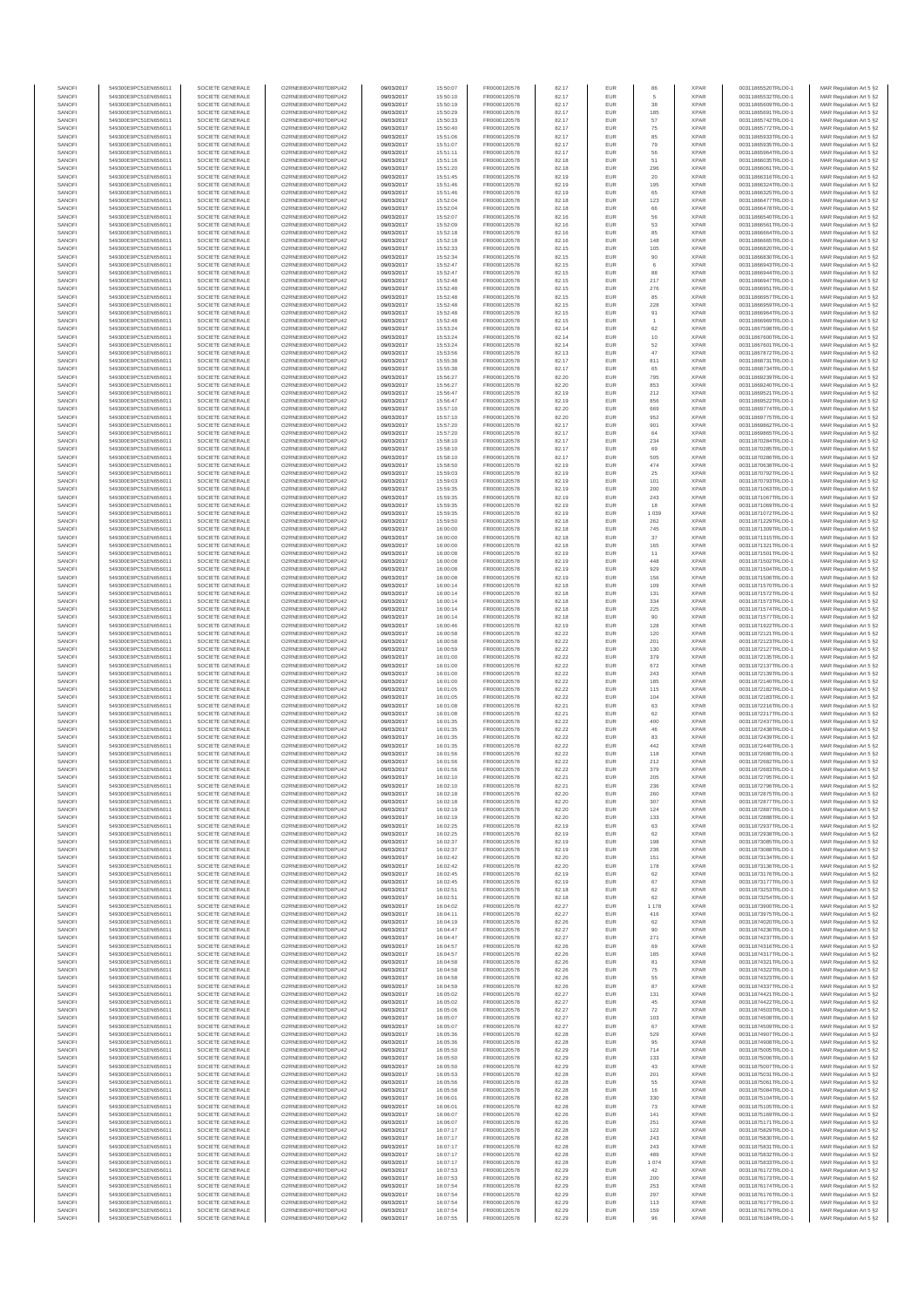| SANOFI           | 549300E9PC51EN656011                         | SOCIETE GENERALE                     | O2RNE8IBXP4R0TD8PU42                          | 09/03/2017               | 15:50:07             | FR0000120578                 | 82.17          | EUR               | 86                   | <b>XPAR</b>                | 00311865520TRLO0-1                       | MAR Regulation Art 5 §2                            |
|------------------|----------------------------------------------|--------------------------------------|-----------------------------------------------|--------------------------|----------------------|------------------------------|----------------|-------------------|----------------------|----------------------------|------------------------------------------|----------------------------------------------------|
| SANOFI<br>SANOFI | 549300E9PC51EN656011<br>549300E9PC51EN656011 | SOCIETE GENERALE<br>SOCIETE GENERALE | O2RNE8IBXP4R0TD8PU42<br>O2RNE8IBXP4R0TD8PU42  | 09/03/2017<br>09/03/2017 | 15:50:10<br>15:50:19 | FR0000120578<br>FR0000120578 | 82.17<br>82.17 | EUR<br><b>EUR</b> | 38                   | <b>XPAR</b><br><b>XPAR</b> | 00311865532TRLO0-1<br>00311865609TRLO0-1 | MAR Regulation Art 5 §2<br>MAR Regulation Art 5 §2 |
| SANOFI           | 549300E9PC51EN656011                         | SOCIETE GENERALE                     | O2RNE8IBXP4R0TD8PU42                          | 09/03/2017               | 15:50:29             | FR0000120578                 | 82.17          | EUR               | 185                  | <b>XPAR</b>                | 00311865691TRLO0-1                       | MAR Regulation Art 5 §2                            |
| SANOFI<br>SANOFI | 549300E9PC51EN656011<br>549300E9PC51EN656011 | SOCIETE GENERALE<br>SOCIETE GENERALE | O2RNE8IBXP4R0TD8PU42<br>O2RNE8IBXP4R0TD8PU42  | 09/03/2017<br>09/03/2017 | 15:50:33<br>15:50:40 | FR0000120578<br>FR0000120578 | 82.17<br>82.17 | EUR<br>EUR        | 57<br>75             | <b>XPAR</b><br><b>XPAR</b> | 00311865742TRLO0-1<br>00311865772TRLO0-1 | MAR Regulation Art 5 §2<br>MAR Regulation Art 5 §2 |
| SANOFI           | 549300E9PC51EN656011                         | SOCIETE GENERALE                     | O2RNE8IBXP4R0TD8PU42                          | 09/03/2017               | 15:51:06             | FR0000120578                 | 82.17          | EUR               | 85                   | <b>XPAR</b>                | 00311865933TRLO0-1                       | MAR Regulation Art 5 §2                            |
| SANOFI           | 549300E9PC51EN656011                         | SOCIETE GENERALE                     | O2RNE8IBXP4R0TD8PU42                          | 09/03/2017               | 15:51:07             | FR0000120578                 | 82.17          | EUR               | 79                   | <b>XPAR</b>                | 00311865935TRLO0-1                       | MAR Regulation Art 5 §2                            |
| SANOFI<br>SANOFI | 549300E9PC51EN656011<br>549300E9PC51EN656011 | SOCIETE GENERALE<br>SOCIETE GENERALE | O2RNE8IBXP4R0TD8PU42<br>O2RNE8IBXP4R0TD8PU42  | 09/03/2017<br>09/03/2017 | 15:51:11<br>15:51:16 | FR0000120578<br>FR0000120578 | 82.17<br>82.18 | EUR<br><b>EUR</b> | 56<br>51             | <b>XPAR</b><br><b>XPAR</b> | 00311865964TRLO0-1<br>00311866035TRLO0-1 | MAR Regulation Art 5 §2<br>MAR Regulation Art 5 §2 |
| SANOFI           | 549300E9PC51EN656011                         | SOCIETE GENERALE                     | O2RNE8IBXP4R0TD8PU42                          | 09/03/2017               | 15:51:20             | FR0000120578                 | 82.18          | EUR               | 296                  | <b>XPAR</b>                | 00311866061TRLO0-1                       | MAR Regulation Art 5 §2                            |
| SANOFI<br>SANOFI | 549300E9PC51EN656011<br>549300E9PC51EN656011 | SOCIETE GENERALE<br>SOCIETE GENERALE | O2RNE8IBXP4R0TD8PU42<br>O2RNE8IBXP4R0TD8PU42  | 09/03/2017<br>09/03/2017 | 15:51:45<br>15:51:46 | FR0000120578<br>FR0000120578 | 82.19<br>82.19 | <b>EUR</b><br>EUR | 20<br>195            | <b>XPAR</b><br><b>XPAR</b> | 00311866316TRLO0-1<br>00311866324TRLO0-1 | MAR Regulation Art 5 §2<br>MAR Regulation Art 5 §2 |
| SANOFI           | 549300E9PC51EN656011                         | SOCIETE GENERALE                     | O2RNE8IBXP4R0TD8PU42                          | 09/03/2017               | 15:51:46             | FR0000120578                 | 82.19          | EUR               | 65                   | <b>XPAR</b>                | 00311866325TRLO0-1                       | MAR Regulation Art 5 §2                            |
| SANOFI<br>SANOFI | 549300E9PC51EN656011<br>549300E9PC51EN656011 | SOCIETE GENERALE<br>SOCIETE GENERALE | O2RNE8IBXP4R0TD8PU42<br>O2RNE8IBXP4R0TD8PU42  | 09/03/2017<br>09/03/2017 | 15:52:04<br>15:52:04 | FR0000120578<br>FR0000120578 | 82.18<br>82.18 | EUR<br>EUR        | 123<br>66            | <b>XPAR</b><br><b>XPAR</b> | 00311866477TRLO0-1<br>00311866478TRLO0-1 | MAR Regulation Art 5 §2<br>MAR Regulation Art 5 §2 |
| SANOFI           | 549300E9PC51EN656011                         | SOCIETE GENERALE                     | O2RNE8IBXP4R0TD8PU42                          | 09/03/2017               | 15:52:07             | FR0000120578                 | 82.16          | EUR               | 56                   | <b>XPAR</b>                | 00311866540TRLO0-1                       | MAR Regulation Art 5 §2                            |
| SANOFI<br>SANOFI | 549300E9PC51EN656011<br>549300E9PC51EN656011 | SOCIETE GENERALE<br>SOCIETE GENERALE | O2RNE8IBXP4R0TD8PU42<br>O2RNE8IBXP4R0TD8PU42  | 09/03/2017<br>09/03/2017 | 15:52:09<br>15:52:18 | FR0000120578<br>FR0000120578 | 82.16<br>82.16 | EUR<br><b>EUR</b> | 53<br>85             | <b>XPAR</b><br><b>XPAR</b> | 00311866561TRLO0-1<br>00311866664TRLO0-1 | MAR Regulation Art 5 §2                            |
| SANOFI           | 549300E9PC51EN656011                         | SOCIETE GENERALE                     | O2RNE8IBXP4R0TD8PU42                          | 09/03/2017               | 15:52:18             | FR0000120578                 | 82.16          | EUR               | 148                  | <b>XPAR</b>                | 00311866665TRLO0-1                       | MAR Regulation Art 5 §2<br>MAR Regulation Art 5 §2 |
| SANOFI           | 549300E9PC51EN656011                         | SOCIETE GENERALE                     | O2RNE8IBXP4R0TD8PU42                          | 09/03/2017               | 15:52:33             | FR0000120578                 | 82.15          | EUR               | 105                  | <b>XPAR</b>                | 00311866820TRLO0-1                       | MAR Regulation Art 5 §2                            |
| SANOFI<br>SANOFI | 549300E9PC51EN656011<br>549300E9PC51EN656011 | SOCIETE GENERALE<br>SOCIETE GENERALE | O2RNE8IBXP4R0TD8PU42<br>O2RNE8IBXP4R0TD8PU42  | 09/03/2017<br>09/03/2017 | 15:52:34<br>15:52:47 | FR0000120578<br>FR0000120578 | 82.15<br>82.15 | EUR<br>EUR        | 90<br>6              | <b>XPAR</b><br><b>XPAR</b> | 00311866830TRLO0-1<br>00311866943TRLO0-1 | MAR Regulation Art 5 §2<br>MAR Regulation Art 5 §2 |
| SANOFI           | 549300E9PC51EN656011                         | SOCIETE GENERALE                     | O2RNE8IBXP4R0TD8PU42                          | 09/03/2017               | 15:52:47             | FR0000120578                 | 82.15          | EUR               | 88                   | <b>XPAR</b>                | 00311866944TRLO0-1                       | MAR Regulation Art 5 §2                            |
| SANOFI<br>SANOFI | 549300E9PC51EN656011<br>549300E9PC51EN656011 | SOCIETE GENERALE<br>SOCIETE GENERALE | O2RNE8IBXP4R0TD8PU42<br>O2RNESIBXP4R0TD8PLI42 | 09/03/2017<br>09/03/2017 | 15:52:48<br>15:52:48 | FR0000120578<br>FR0000120578 | 82.15<br>82.15 | EUR<br>EUR        | 217<br>276           | <b>XPAR</b><br><b>XPAR</b> | 00311866947TRLO0-1<br>00311866951TRLO0-1 | MAR Regulation Art 5 §2<br>MAR Regulation Art 5 §2 |
| SANOFI           | 549300E9PC51EN656011                         | SOCIETE GENERALE                     | O2RNE8IBXP4R0TD8PU42                          | 09/03/2017               | 15:52:48             | FR0000120578                 | 82.15          | EUR               | 85                   | <b>XPAR</b>                | 00311866957TRLO0-1                       | MAR Regulation Art 5 §2                            |
| SANOFI           | 549300E9PC51EN656011                         | SOCIETE GENERALE                     | O2RNE8IBXP4R0TD8PU42                          | 09/03/2017               | 15:52:48             | FR0000120578                 | 82.15          | EUR               | 228                  | <b>XPAR</b>                | 00311866959TRLO0-1                       | MAR Regulation Art 5 §2                            |
| SANOFI<br>SANOFI | 549300E9PC51EN656011<br>549300E9PC51EN656011 | SOCIETE GENERALE<br>SOCIETE GENERALE | O2RNE8IBXP4R0TD8PU42<br>O2RNE8IBXP4R0TD8PU42  | 09/03/2017<br>09/03/2017 | 15:52:48<br>15:52:48 | FR0000120578<br>FR0000120578 | 82.15<br>82.15 | EUR<br>EUR        | 91<br>$\overline{1}$ | <b>XPAR</b><br><b>XPAR</b> | 00311866964TRLO0-1<br>00311866969TRLO0-1 | MAR Regulation Art 5 §2<br>MAR Regulation Art 5 §2 |
| SANOFI           | 549300E9PC51EN656011                         | SOCIETE GENERALE                     | O2RNE8IBXP4R0TD8PU42                          | 09/03/2017               | 15:53:24             | FR0000120578                 | 82.14          | EUR               | 62                   | <b>XPAR</b>                | 00311867598TRLO0-1                       | MAR Regulation Art 5 §2                            |
| SANOFI<br>SANOFI | 549300E9PC51EN656011<br>549300E9PC51EN656011 | SOCIETE GENERALE<br>SOCIETE GENERALE | O2RNE8IBXP4R0TD8PU42<br>O2RNE8IBXP4R0TD8PU42  | 09/03/2017<br>09/03/2017 | 15:53:24<br>15:53:24 | FR0000120578<br>FR0000120578 | 82.14<br>82.14 | EUR<br>EUR        | $10$<br>52           | <b>XPAR</b><br><b>XPAR</b> | 00311867600TRLO0-1<br>00311867601TRLO0-1 | MAR Regulation Art 5 §2<br>MAR Regulation Art 5 §2 |
| SANOFI           | 549300E9PC51EN656011                         | SOCIETE GENERALE                     | O2RNE8IBXP4R0TD8PU42                          | 09/03/2017               | 15:53:56             | FR0000120578                 | 82.13          | EUR               | 47                   | <b>XPAR</b>                | 00311867872TRLO0-1                       | MAR Regulation Art 5 §2                            |
| SANOFI<br>SANOFI | 549300E9PC51EN656011<br>549300E9PC51EN656011 | SOCIETE GENERALE<br>SOCIETE GENERALE | O2RNE8IBXP4R0TD8PU42<br>O2RNE8IBXP4R0TD8PU42  | 09/03/2017<br>09/03/2017 | 15:55:38<br>15:55:38 | FR0000120578<br>FR0000120578 | 82.17<br>82.17 | EUR<br>EUR        | 811<br>65            | <b>XPAR</b><br><b>XPAR</b> | 00311868731TRLO0-1<br>00311868734TRLO0-1 | MAR Regulation Art 5 §2<br>MAR Regulation Art 5 §2 |
| SANOFI           | 549300E9PC51EN656011                         | SOCIETE GENERALE                     | O2RNE8IBXP4R0TD8PU42                          | 09/03/2017               | 15:56:27             | FR0000120578                 | 82.20          | <b>EUR</b>        | 795                  | <b>XPAR</b>                | 00311869239TRLO0-1                       | MAR Regulation Art 5 §2                            |
| SANOFI<br>SANOFI | 549300E9PC51EN656011<br>549300E9PC51EN656011 | SOCIETE GENERALE<br>SOCIETE GENERALE | O2RNE8IBXP4R0TD8PU42<br>O2RNE8IBXP4R0TD8PLI42 | 09/03/2017<br>09/03/2017 | 15:56:27<br>15:56:47 | FR0000120578<br>FR0000120578 | 82.20<br>82.19 | EUR<br>EUR        | 853<br>212           | <b>XPAR</b><br><b>XPAR</b> | 00311869240TRLO0-1<br>00311869521TRLO0-1 | MAR Regulation Art 5 §2                            |
| SANOFI           | 549300E9PC51EN656011                         | SOCIETE GENERALE                     | O2RNE8IBXP4R0TD8PU42                          | 09/03/2017               | 15:56:47             | FR0000120578                 | 82.19          | EUR               | 856                  | <b>XPAR</b>                | 00311869522TRLO0-1                       | MAR Regulation Art 5 §2<br>MAR Regulation Art 5 §2 |
| SANOFI           | 549300E9PC51EN656011                         | SOCIETE GENERALE                     | O2RNE8IBXP4R0TD8PU42                          | 09/03/2017               | 15:57:10             | FR0000120578                 | 82.20          | EUR               | 669                  | <b>XPAR</b>                | 00311869774TRLO0-1                       | MAR Regulation Art 5 §2                            |
| SANOFI<br>SANOFI | 549300E9PC51EN656011<br>549300E9PC51EN656011 | SOCIETE GENERALE<br>SOCIETE GENERALE | O2RNE8IBXP4R0TD8PU42<br>O2RNE8IBXP4R0TD8PU42  | 09/03/2017<br>09/03/2017 | 15:57:10<br>15:57:20 | FR0000120578<br>FR0000120578 | 82.20<br>82.17 | EUR<br>EUR        | 952<br>901           | <b>XPAR</b><br><b>XPAR</b> | 00311869775TRLO0-1<br>00311869862TRLO0-1 | MAR Regulation Art 5 §2<br>MAR Regulation Art 5 §2 |
| SANOFI           | 549300E9PC51EN656011                         | SOCIETE GENERALE                     | O2RNE8IBXP4R0TD8PU42                          | 09/03/2017               | 15:57:20             | FR0000120578                 | 82.17          | EUR               | 64                   | <b>XPAR</b>                | 00311869865TRLO0-1                       | MAR Regulation Art 5 §2                            |
| SANOFI<br>SANOFI | 549300E9PC51EN656011<br>549300E9PC51EN656011 | SOCIETE GENERALE<br>SOCIETE GENERALE | O2RNE8IBXP4R0TD8PU42<br>O2RNE8IBXP4R0TD8PU42  | 09/03/2017<br>09/03/2017 | 15:58:10<br>15:58:10 | FR0000120578<br>FR0000120578 | 82.17<br>82.17 | EUR<br>EUR        | 234<br>69            | <b>XPAR</b><br><b>XPAR</b> | 00311870284TRLO0-1<br>00311870285TRLO0-1 | MAR Regulation Art 5 §2<br>MAR Regulation Art 5 §2 |
| SANOFI           | 549300E9PC51EN656011                         | SOCIETE GENERALE                     | O2RNE8IBXP4R0TD8PU42                          | 09/03/2017               | 15:58:10             | FR0000120578                 | 82.17          | EUR               | 505                  | <b>XPAR</b>                | 00311870286TRLO0-1                       | MAR Regulation Art 5 §2                            |
| SANOFI<br>SANOFI | 549300E9PC51EN656011<br>549300E9PC51EN656011 | SOCIETE GENERALE<br>SOCIETE GENERALE | O2RNE8IBXP4R0TD8PU42<br>O2RNE8IBXP4R0TD8PU42  | 09/03/2017<br>09/03/2017 | 15:58:50<br>15:59:03 | FR0000120578<br>FR0000120578 | 82.19<br>82.19 | EUR<br>EUR        | 474<br>25            | <b>XPAR</b><br><b>XPAR</b> | 00311870638TRLO0-1<br>00311870792TRLO0-1 | MAR Regulation Art 5 §2<br>MAR Regulation Art 5 §2 |
| SANOFI           | 549300E9PC51EN656011                         | SOCIETE GENERALE                     | O2RNE8IBXP4R0TD8PU42                          | 09/03/2017               | 15:59:03             | FR0000120578                 | 82.19          | EUR               | 101                  | <b>XPAR</b>                | 00311870793TRLO0-1                       | MAR Regulation Art 5 §2                            |
| SANOFI           | 549300E9PC51EN656011                         | SOCIETE GENERALE                     | O2RNE8IBXP4R0TD8PU42                          | 09/03/2017               | 15:59:35             | FR0000120578                 | 82.19          | EUR               | 200                  | <b>XPAR</b>                | 00311871063TRLO0-1<br>00311871067TRLO0-1 | MAR Regulation Art 5 §2                            |
| SANOFI<br>SANOFI | 549300E9PC51EN656011<br>549300E9PC51EN656011 | SOCIETE GENERALE<br>SOCIETE GENERALE | O2RNE8IBXP4R0TD8PU42<br>O2RNE8IBXP4R0TD8PU42  | 09/03/2017<br>09/03/2017 | 15:59:35<br>15:59:35 | FR0000120578<br>FR0000120578 | 82.19<br>82.19 | EUR<br>EUR        | 243<br>18            | <b>XPAR</b><br><b>XPAR</b> | 00311871069TRLO0-1                       | MAR Regulation Art 5 §2<br>MAR Regulation Art 5 §2 |
| SANOFI           | 549300E9PC51EN656011                         | SOCIETE GENERALE                     | O2RNE8IBXP4R0TD8PU42                          | 09/03/2017               | 15:59:35             | FR0000120578                 | 82.19          | EUR               | 1 0 3 9              | <b>XPAR</b>                | 00311871072TRLO0-1                       | MAR Regulation Art 5 §2                            |
| SANOFI<br>SANOFI | 549300E9PC51EN656011<br>549300E9PC51EN656011 | SOCIETE GENERALE<br>SOCIETE GENERALE | O2RNE8IBXP4R0TD8PU42<br>O2RNE8IBXP4R0TD8PU42  | 09/03/2017<br>09/03/2017 | 15:59:50<br>16:00:00 | FR0000120578<br>FR0000120578 | 82.18<br>82.18 | EUR<br>EUR        | 262<br>745           | <b>XPAR</b><br><b>XPAR</b> | 00311871229TRLO0-1<br>00311871309TRLO0-1 | MAR Regulation Art 5 §2<br>MAR Regulation Art 5 §2 |
| SANOFI           | 549300E9PC51EN656011                         | SOCIETE GENERALE                     | O2RNE8IBXP4R0TD8PU42                          | 09/03/2017               | 16:00:00             | FR0000120578                 | 82.18          | EUR               | $37\,$               | <b>XPAR</b>                | 00311871315TRLO0-1                       | MAR Regulation Art 5 §2                            |
| SANOFI<br>SANOFI | 549300E9PC51EN656011<br>549300E9PC51EN656011 | SOCIETE GENERALE<br>SOCIETE GENERALE | O2RNE8IBXP4R0TD8PU42<br>O2RNE8IBXP4R0TD8PU42  | 09/03/2017<br>09/03/2017 | 16:00:00<br>16:00:08 | FR0000120578<br>FR0000120578 | 82.18<br>82.19 | EUR<br>EUR        | 165<br>11            | <b>XPAR</b><br><b>XPAR</b> | 00311871321TRLO0-1<br>00311871501TRLO0-1 | MAR Regulation Art 5 §2<br>MAR Regulation Art 5 §2 |
| SANOFI           | 549300E9PC51EN656011                         | SOCIETE GENERALE                     | O2RNE8IBXP4R0TD8PU42                          | 09/03/2017               | 16:00:08             | FR0000120578                 | 82.19          | EUR               | 448                  | <b>XPAR</b>                | 00311871502TRLO0-1                       | MAR Regulation Art 5 §2                            |
| SANOFI<br>SANOFI | 549300E9PC51EN656011<br>549300E9PC51EN656011 | SOCIETE GENERALE<br>SOCIETE GENERALE | O2RNE8IBXP4R0TD8PU42<br>O2RNE8IBXP4R0TD8PU42  | 09/03/2017<br>09/03/2017 | 16:00:08<br>16:00:08 | FR0000120578<br>FR0000120578 | 82.19<br>82.19 | EUR<br><b>EUR</b> | 929<br>156           | <b>XPAR</b><br><b>XPAR</b> | 00311871504TRLO0-1<br>00311871506TRLO0-1 | MAR Regulation Art 5 §2<br>MAR Regulation Art 5 §2 |
| SANOFI           | 549300E9PC51EN656011                         | SOCIETE GENERALE                     | O2RNE8IBXP4R0TD8PU42                          | 09/03/2017               | 16:00:14             | FR0000120578                 | 82.18          | EUR               | 109                  | <b>XPAR</b>                | 00311871570TRLO0-1                       | MAR Regulation Art 5 §2                            |
| SANOFI           | 549300E9PC51EN656011                         | SOCIETE GENERALE                     | O2RNE8IBXP4R0TD8PU42                          | 09/03/2017               | 16:00:14             | FR0000120578                 | 82.18          | EUR               | 131                  | <b>XPAR</b>                | 00311871572TRLO0-1                       | MAR Regulation Art 5 §2                            |
| SANOFI<br>SANOFI | 549300E9PC51EN656011<br>549300E9PC51EN656011 | SOCIETE GENERALE<br>SOCIETE GENERALE | O2RNE8IBXP4R0TD8PU42<br>O2RNE8IBXP4R0TD8PU42  | 09/03/2017<br>09/03/2017 | 16:00:14<br>16:00:14 | FR0000120578<br>FR0000120578 | 82.18<br>82.18 | EUR<br>EUR        | 334<br>225           | <b>XPAR</b><br><b>XPAR</b> | 00311871573TRLO0-1<br>00311871574TRLO0-1 | MAR Regulation Art 5 §2<br>MAR Regulation Art 5 §2 |
| SANOFI           | 549300E9PC51EN656011                         | SOCIETE GENERALE                     | O2RNE8IBXP4R0TD8PU42                          | 09/03/2017               | 16:00:14             | FR0000120578                 | 82.18          | EUR               | 90                   | <b>XPAR</b>                | 00311871577TRLO0-1                       | MAR Regulation Art 5 §2                            |
| SANOFI<br>SANOFI | 549300E9PC51EN656011<br>549300E9PC51EN656011 | SOCIETE GENERALE<br>SOCIETE GENERALE | O2RNE8IBXP4R0TD8PU42<br>O2RNE8IBXP4R0TD8PU42  | 09/03/2017<br>09/03/2017 | 16:00:46<br>16:00:58 | FR0000120578<br>FR0000120578 | 82.19<br>82.22 | EUR<br>EUR        | 128<br>120           | <b>XPAR</b><br><b>XPAR</b> | 00311871922TRLO0-1<br>00311872121TRLO0-1 | MAR Regulation Art 5 §2<br>MAR Regulation Art 5 §2 |
| SANOFI           | 549300E9PC51EN656011                         | SOCIETE GENERALE                     | O2RNE8IBXP4R0TD8PU42                          | 09/03/2017               | 16:00:58             | FR0000120578                 | 82.22          | EUR               | 201                  | <b>XPAR</b>                | 00311872123TRLO0-1                       | MAR Regulation Art 5 §2                            |
| SANOFI<br>SANOFI | 549300E9PC51EN656011<br>549300E9PC51EN656011 | SOCIETE GENERALE<br>SOCIETE GENERALE | O2RNE8IBXP4R0TD8PU42<br>O2RNE8IBXP4R0TD8PU42  | 09/03/2017<br>09/03/2017 | 16:00:59<br>16:01:00 | FR0000120578<br>FR0000120578 | 82.22<br>82.22 | EUR<br>EUR        | 130<br>379           | <b>XPAR</b><br><b>XPAR</b> | 00311872127TRLO0-1<br>00311872135TRLO0-1 | MAR Regulation Art 5 §2<br>MAR Regulation Art 5 §2 |
| SANOFI           | 549300E9PC51EN656011                         | SOCIETE GENERALE                     | O2RNE8IBXP4R0TD8PU42                          | 09/03/2017               | 16:01:00             | FR0000120578                 | 82.22          | <b>EUR</b>        | 672                  | <b>XPAR</b>                | 00311872137TRLO0-1                       | MAR Regulation Art 5 §2                            |
| SANOFI           | 549300E9PC51EN656011                         | SOCIETE GENERALE                     | O2RNE8IBXP4R0TD8PU42                          | 09/03/2017               | 16:01:00             | FR0000120578                 | 82.22          | EUR               | 243                  | <b>XPAR</b>                | 00311872139TRLO0-1                       | MAR Regulation Art 5 §2                            |
| SANOFI<br>SANOFI | 549300E9PC51EN656011<br>549300E9PC51EN656011 | SOCIETE GENERALE<br>SOCIETE GENERALE | O2RNE8IBXP4R0TD8PU42<br>O2RNE8IBXP4R0TD8PU42  | 09/03/2017<br>09/03/2017 | 16:01:00<br>16:01:05 | FR0000120578<br>FR0000120578 | 82.22<br>82.22 | EUR<br>EUR        | 185<br>115           | <b>XPAR</b><br><b>XPAR</b> | 00311872140TRLO0-1<br>00311872182TRLO0-1 | MAR Regulation Art 5 §2<br>MAR Regulation Art 5 §2 |
| SANOFI           | 549300E9PC51EN656011                         | SOCIETE GENERALE                     | O2RNE8IBXP4R0TD8PU42                          | 09/03/2017               | 16:01:05             | FR0000120578                 | 82.22          | EUR               | 104                  | <b>XPAR</b>                | 00311872183TRLO0-1                       | MAR Regulation Art 5 §2                            |
| SANOFI<br>SANOFI | 549300E9PC51EN656011<br>549300E9PC51EN656011 | SOCIETE GENERALE<br>SOCIETE GENERALE | O2RNE8IBXP4R0TD8PU42<br>O2RNE8IBXP4R0TD8PU42  | 09/03/2017<br>09/03/2017 | 16:01:08<br>16:01:08 | FR0000120578<br>FR0000120578 | 82.21<br>82.21 | EUR<br>EUR        | 63<br>62             | <b>XPAR</b><br><b>XPAR</b> | 00311872216TRLO0-1<br>00311872217TRLO0-1 | MAR Regulation Art 5 §2<br>MAR Regulation Art 5 §2 |
| SANOFI           | 549300E9PC51EN656011                         | SOCIETE GENERALE                     | O2RNE8IBXP4R0TD8PU42                          | 09/03/2017               | 16:01:35             | FR0000120578                 | 82.22          | EUR               | 400                  | <b>XPAR</b>                | 00311872437TRLO0-1                       | MAR Regulation Art 5 §2                            |
| SANOFI<br>SANOFI | 549300E9PC51EN656011<br>549300E9PC51EN656011 | SOCIETE GENERALE<br>SOCIETE GENERALE | O2RNE8IBXP4R0TD8PU42<br>O2RNE8IBXP4R0TD8PU42  | 09/03/2017<br>09/03/2017 | 16:01:35<br>16:01:35 | FR0000120578<br>FR0000120578 | 82.22<br>82.22 | EUR<br>EUR        | 46<br>83             | <b>XPAR</b><br><b>XPAR</b> | 00311872438TRLO0-1<br>00311872439TRLO0-1 | MAR Regulation Art 5 §2                            |
| SANOFI           | 549300E9PC51EN656011                         | SOCIETE GENERALE                     | O2RNE8IBXP4R0TD8PU42                          | 09/03/2017               | 16:01:35             | FR0000120578                 | 82.22          | EUR               | 442                  | <b>XPAR</b>                | 00311872440TRLO0-1                       | MAR Regulation Art 5 §2<br>MAR Regulation Art 5 §2 |
| SANOFI           | 549300E9PC51EN656011                         | SOCIETE GENERALE                     | O2RNE8IBXP4R0TD8PU42                          | 09/03/2017               | 16:01:56             | FR0000120578                 | 82.22          | EUR               | 118                  | <b>XPAR</b>                | 00311872680TRLO0-1                       | MAR Regulation Art 5 §2                            |
| SANOFI<br>SANOFI | 549300E9PC51EN656011<br>549300E9PC51EN656011 | SOCIETE GENERALE<br>SOCIETE GENERALE | O2RNE8IBXP4R0TD8PU42<br>O2RNE8IBXP4R0TD8PU42  | 09/03/2017<br>09/03/2017 | 16:01:56<br>16:01:56 | FR0000120578<br>FR0000120578 | 82.22<br>82.22 | EUR<br>EUR        | 212<br>379           | <b>XPAR</b><br><b>XPAR</b> | 00311872682TRLO0-1<br>00311872683TRLO0-1 | MAR Regulation Art 5 §2<br>MAR Regulation Art 5 §2 |
| SANOFI           | 549300E9PC51EN656011                         | SOCIETE GENERALE                     | O2RNE8IBXP4R0TD8PU42                          | 09/03/2017               | 16:02:10             | FR0000120578                 | 82.21          | <b>EUR</b>        | 205                  | <b>XPAR</b>                | 00311872795TRLO0-1                       | MAR Regulation Art 5 §2                            |
| SANOF<br>SANOFI  | 549300E9PC51EN656011<br>549300E9PC51EN656011 | SOCIETE GENERALE<br>SOCIETE GENERALE | O2RNE8IBXP4R0TD8PU42<br>O2RNE8IBXP4R0TD8PU42  | 09/03/2017<br>09/03/2017 | 16:02:10<br>16:02:18 | FR0000120578<br>FR0000120578 | 82.2<br>82.20  | <b>EUR</b>        | 236<br>260           | <b>XPAF</b><br><b>XPAR</b> | 00311872796TRLO0-1<br>00311872875TRLO0-1 | MAR Regulation Art 5 §2<br>MAR Regulation Art 5 §2 |
| SANOFI           | 549300E9PC51EN656011                         | SOCIETE GENERALE                     | O2RNE8IBXP4R0TD8PU42                          | 09/03/2017               | 16:02:18             | FR0000120578                 | 82.20          | EUR               | 307                  | <b>XPAR</b>                | 00311872877TRLO0-1                       | MAR Regulation Art 5 §2                            |
| SANOFI<br>SANOFI | 549300E9PC51EN656011<br>549300E9PC51EN656011 | SOCIETE GENERALE<br>SOCIETE GENERALE | O2RNE8IBXP4R0TD8PU42<br>O2RNE8IBXP4R0TD8PU42  | 09/03/2017<br>09/03/2017 | 16:02:19<br>16:02:19 | FR0000120578<br>FR0000120578 | 82.20<br>82.20 | <b>EUR</b><br>EUR | 124<br>133           | <b>XPAR</b><br><b>XPAR</b> | 00311872887TRLO0-1<br>00311872888TRLO0-1 | MAR Regulation Art 5 §2<br>MAR Regulation Art 5 §2 |
| SANOFI           | 549300E9PC51EN656011                         | SOCIETE GENERALE                     | O2RNE8IBXP4R0TD8PU42                          | 09/03/2017               | 16:02:25             | FR0000120578                 | 82.19          | EUR               | 63                   | <b>XPAR</b>                | 00311872937TRLO0-1                       | MAR Regulation Art 5 §2                            |
| SANOFI<br>SANOFI | 549300E9PC51EN656011<br>549300E9PC51EN656011 | SOCIETE GENERALE<br>SOCIETE GENERALE | O2RNE8IBXP4R0TD8PU42<br>O2RNE8IBXP4R0TD8PU42  | 09/03/2017<br>09/03/2017 | 16:02:25<br>16:02:37 | FR0000120578<br>FR0000120578 | 82.19<br>82.19 | EUR<br>EUR        | 62<br>198            | <b>XPAR</b><br><b>XPAR</b> | 00311872938TRLO0-1<br>00311873085TRLO0-1 | MAR Regulation Art 5 §2                            |
| SANOFI           | 549300E9PC51EN656011                         | SOCIETE GENERALE                     | O2RNE8IBXP4R0TD8PU42                          | 09/03/2017               | 16:02:37             | FR0000120578                 | 82.19          | <b>EUR</b>        | 236                  | <b>XPAR</b>                | 00311873088TRLO0-1                       | MAR Regulation Art 5 §2<br>MAR Regulation Art 5 §2 |
| SANOFI           | 549300E9PC51EN656011                         | SOCIETE GENERALE                     | O2RNE8IBXP4R0TD8PU42                          | 09/03/2017               | 16:02:42             | FR0000120578                 | 82.20          | EUR               | 151                  | <b>XPAR</b>                | 00311873134TRLO0-1                       | MAR Regulation Art 5 §2                            |
| SANOFI<br>SANOFI | 549300E9PC51EN656011<br>549300E9PC51EN656011 | SOCIETE GENERALE<br>SOCIETE GENERALE | O2RNE8IBXP4R0TD8PU42<br>O2RNE8IBXP4R0TD8PU42  | 09/03/2017<br>09/03/2017 | 16:02:42<br>16:02:45 | FR0000120578<br>FR0000120578 | 82.20<br>82.19 | <b>EUR</b><br>EUR | 178<br>62            | <b>XPAR</b><br><b>XPAR</b> | 00311873136TRLO0-1<br>00311873176TRLO0-1 | MAR Regulation Art 5 §2<br>MAR Regulation Art 5 §2 |
| SANOFI           | 549300E9PC51EN656011                         | SOCIETE GENERALE                     | O2RNE8IBXP4R0TD8PU42                          | 09/03/2017               | 16:02:45             | FR0000120578                 | 82.19          | EUR               | 67                   | <b>XPAR</b>                | 00311873177TRLO0-1                       | MAR Regulation Art 5 §2                            |
| SANOFI<br>SANOFI | 549300E9PC51EN656011<br>549300E9PC51EN656011 | SOCIETE GENERALE<br>SOCIETE GENERALE | O2RNE8IBXP4R0TD8PU42<br>O2RNE8IBXP4R0TD8PU42  | 09/03/2017<br>09/03/2017 | 16:02:51<br>16:02:51 | FR0000120578<br>FR0000120578 | 82.18<br>82.18 | EUR<br>EUR        | 62<br>62             | <b>XPAR</b><br><b>XPAR</b> | 00311873253TRLO0-1<br>00311873254TRLO0-1 | MAR Regulation Art 5 §2<br>MAR Regulation Art 5 §2 |
| SANOFI           | 549300E9PC51EN656011                         | SOCIETE GENERALE                     | O2RNE8IBXP4R0TD8PU42                          | 09/03/2017               | 16:04:02             | FR0000120578                 | 82.27          | EUR               | 1 178                | <b>XPAR</b>                | 00311873900TRLO0-1                       | MAR Regulation Art 5 §2                            |
| SANOFI<br>SANOFI | 549300E9PC51EN656011<br>549300E9PC51EN656011 | SOCIETE GENERALE<br>SOCIETE GENERALE | O2RNE8IBXP4R0TD8PU42<br>O2RNE8IBXP4R0TD8PU42  | 09/03/2017<br>09/03/2017 | 16:04:11<br>16:04:19 | FR0000120578<br>FR0000120578 | 82.27<br>82.26 | EUR<br><b>EUR</b> | 416<br>62            | <b>XPAR</b><br><b>XPAR</b> | 00311873975TRLO0-1<br>00311874020TRLO0-1 | MAR Regulation Art 5 §2<br>MAR Regulation Art 5 §2 |
| SANOFI           | 549300E9PC51EN656011                         | SOCIETE GENERALE                     | O2RNE8IBXP4R0TD8PU42                          | 09/03/2017               | 16:04:47             | FR0000120578                 | 82.27          | EUR               | 90                   | <b>XPAR</b>                | 00311874236TRLO0-1                       | MAR Regulation Art 5 §2                            |
| SANOFI<br>SANOFI | 549300E9PC51EN656011<br>549300E9PC51EN656011 | SOCIETE GENERALE<br>SOCIETE GENERALE | O2RNE8IBXP4R0TD8PU42<br>O2RNE8IBXP4R0TD8PU42  | 09/03/2017<br>09/03/2017 | 16:04:47<br>16:04:57 | FR0000120578<br>FR0000120578 | 82.27<br>82.26 | <b>EUR</b><br>EUR | 271<br>69            | <b>XPAR</b><br><b>XPAR</b> | 00311874237TRLO0-1<br>00311874316TRLO0-1 | MAR Regulation Art 5 §2<br>MAR Regulation Art 5 §2 |
| SANOFI           | 549300E9PC51EN656011                         | SOCIETE GENERALE                     | O2RNE8IBXP4R0TD8PU42                          | 09/03/2017               | 16:04:57             | FR0000120578                 | 82.26          | EUR               | 185                  | <b>XPAR</b>                | 00311874317TRLO0-1                       | MAR Regulation Art 5 §2                            |
| SANOFI<br>SANOFI | 549300E9PC51EN656011<br>549300E9PC51EN656011 | SOCIETE GENERALE<br>SOCIETE GENERALE | O2RNE8IBXP4R0TD8PU42<br>O2RNE8IBXP4R0TD8PU42  | 09/03/2017<br>09/03/2017 | 16:04:58<br>16:04:58 | FR0000120578<br>FR0000120578 | 82.26<br>82.26 | EUR<br>EUR        | 81<br>75             | <b>XPAR</b><br><b>XPAR</b> | 00311874321TRLO0-1<br>00311874322TRLO0-1 | MAR Regulation Art 5 §2<br>MAR Regulation Art 5 §2 |
| SANOFI           | 549300E9PC51EN656011                         | SOCIETE GENERALE                     | O2RNE8IBXP4R0TD8PU42                          | 09/03/2017               | 16:04:58             | FR0000120578                 | 82.26          | EUR               | 55                   | <b>XPAR</b>                | 00311874323TRLO0-1                       | MAR Regulation Art 5 §2                            |
| SANOFI<br>SANOFI | 549300E9PC51EN656011<br>549300E9PC51EN656011 | SOCIETE GENERALE<br>SOCIETE GENERALE | O2RNE8IBXP4R0TD8PU42<br>O2RNE8IBXP4R0TD8PU42  | 09/03/2017<br>09/03/2017 | 16:04:59<br>16:05:02 | FR0000120578<br>FR0000120578 | 82.26<br>82.27 | EUR<br><b>EUR</b> | 87<br>131            | <b>XPAR</b><br><b>XPAR</b> | 00311874337TRLO0-1<br>00311874421TRLO0-1 | MAR Regulation Art 5 §2                            |
| SANOFI           | 549300E9PC51EN656011                         | SOCIETE GENERALE                     | O2RNE8IBXP4R0TD8PU42                          | 09/03/2017               | 16:05:02             | FR0000120578                 | 82.27          | EUR               | 45                   | <b>XPAR</b>                | 00311874422TRLO0-1                       | MAR Regulation Art 5 §2<br>MAR Regulation Art 5 §2 |
| SANOFI           | 549300E9PC51EN656011                         | SOCIETE GENERALE                     | O2RNE8IBXP4R0TD8PU42                          | 09/03/2017               | 16:05:06             | FR0000120578                 | 82.27          | <b>EUR</b>        | 72                   | <b>XPAR</b>                | 00311874503TRLO0-1                       | MAR Regulation Art 5 §2                            |
| SANOFI<br>SANOFI | 549300E9PC51EN656011<br>549300E9PC51EN656011 | SOCIETE GENERALE<br>SOCIETE GENERALE | O2RNE8IBXP4R0TD8PU42<br>O2RNE8IBXP4R0TD8PU42  | 09/03/2017<br>09/03/2017 | 16:05:07<br>16:05:07 | FR0000120578<br>FR0000120578 | 82.27<br>82.27 | EUR<br>EUR        | 103<br>67            | <b>XPAR</b><br><b>XPAR</b> | 00311874508TRLO0-1<br>00311874509TRLO0-1 | MAR Regulation Art 5 §2<br>MAR Regulation Art 5 §2 |
| SANOFI           | 549300E9PC51EN656011                         | SOCIETE GENERALE                     | O2RNE8IBXP4R0TD8PU42                          | 09/03/2017               | 16:05:36             | FR0000120578                 | 82.28          | EUR               | 529                  | <b>XPAR</b>                | 00311874907TRLO0-1                       | MAR Regulation Art 5 §2                            |
| SANOFI<br>SANOFI | 549300E9PC51EN656011<br>549300E9PC51EN656011 | SOCIETE GENERALE<br>SOCIETE GENERALE | O2RNE8IBXP4R0TD8PU42<br>O2RNE8IBXP4R0TD8PU42  | 09/03/2017<br>09/03/2017 | 16:05:36<br>16:05:50 | FR0000120578<br>FR0000120578 | 82.28<br>82.29 | EUR<br><b>EUR</b> | 95<br>714            | <b>XPAR</b><br><b>XPAR</b> | 00311874908TRLO0-1<br>00311875005TRLO0-1 | MAR Regulation Art 5 §2<br>MAR Regulation Art 5 §2 |
| SANOFI           | 549300E9PC51EN656011                         | SOCIETE GENERALE                     | O2RNE8IBXP4R0TD8PU42                          | 09/03/2017               | 16:05:50             | FR0000120578                 | 82.29          | EUR               | 133                  | <b>XPAR</b>                | 00311875006TRLO0-1                       | MAR Regulation Art 5 §2                            |
| SANOFI<br>SANOFI | 549300E9PC51EN656011<br>549300E9PC51EN656011 | SOCIETE GENERALE<br>SOCIETE GENERALE | O2RNE8IBXP4R0TD8PU42<br>O2RNE8IBXP4R0TD8PU42  | 09/03/2017<br>09/03/2017 | 16:05:50<br>16:05:53 | FR0000120578<br>FR0000120578 | 82.29<br>82.28 | <b>EUR</b><br>EUR | 43<br>201            | <b>XPAR</b><br><b>XPAR</b> | 00311875007TRLO0-1<br>00311875031TRLO0-1 | MAR Regulation Art 5 §2<br>MAR Regulation Art 5 §2 |
| SANOFI           | 549300E9PC51EN656011                         | SOCIETE GENERALE                     | O2RNE8IBXP4R0TD8PU42                          | 09/03/2017               | 16:05:56             | FR0000120578                 | 82.28          | <b>EUR</b>        | 55                   | <b>XPAR</b>                | 00311875061TRLO0-1                       | MAR Regulation Art 5 §2                            |
| SANOFI<br>SANOFI | 549300E9PC51EN656011<br>549300E9PC51EN656011 | SOCIETE GENERALE<br>SOCIETE GENERALE | O2RNE8IBXP4R0TD8PU42<br>O2RNE8IBXP4R0TD8PU42  | 09/03/2017<br>09/03/2017 | 16:05:58<br>16:06:01 | FR0000120578<br>FR0000120578 | 82.28<br>82.28 | EUR<br>EUR        | 16<br>330            | <b>XPAR</b><br><b>XPAR</b> | 00311875084TRLO0-1<br>00311875104TRLO0-1 | MAR Regulation Art 5 §2                            |
| SANOFI           | 549300E9PC51EN656011                         | SOCIETE GENERALE                     | O2RNE8IBXP4R0TD8PU42                          | 09/03/2017               | 16:06:01             | FR0000120578                 | 82.28          | EUR               | $\sqrt{73}$          | <b>XPAR</b>                | 00311875105TRLO0-1                       | MAR Regulation Art 5 §2<br>MAR Regulation Art 5 §2 |
| SANOFI           | 549300E9PC51EN656011                         | SOCIETE GENERALE                     | O2RNE8IBXP4R0TD8PU42                          | 09/03/2017               | 16:06:07             | FR0000120578                 | 82.26          | EUR               | 141                  | <b>XPAR</b>                | 00311875169TRLO0-1                       | MAR Regulation Art 5 §2                            |
| SANOFI<br>SANOFI | 549300E9PC51EN656011<br>549300E9PC51EN656011 | SOCIETE GENERALE<br>SOCIETE GENERALE | O2RNE8IBXP4R0TD8PU42<br>O2RNE8IBXP4R0TD8PU42  | 09/03/2017<br>09/03/2017 | 16:06:07<br>16:07:17 | FR0000120578<br>FR0000120578 | 82.26<br>82.28 | <b>EUR</b><br>EUR | 251<br>122           | <b>XPAR</b><br><b>XPAR</b> | 00311875171TRLO0-1<br>00311875829TRLO0-1 | MAR Regulation Art 5 §2<br>MAR Regulation Art 5 §2 |
| SANOFI           | 549300E9PC51EN656011                         | SOCIETE GENERALE                     | O2RNE8IBXP4R0TD8PU42                          | 09/03/2017               | 16:07:17             | FR0000120578                 | 82.28          | <b>EUR</b>        | 243                  | <b>XPAR</b>                | 00311875830TRLO0-1                       | MAR Regulation Art 5 §2                            |
| SANOFI<br>SANOFI | 549300E9PC51EN656011<br>549300E9PC51EN656011 | SOCIETE GENERALE<br>SOCIETE GENERALE | O2RNE8IBXP4R0TD8PU42<br>O2RNE8IBXP4R0TD8PU42  | 09/03/2017<br>09/03/2017 | 16:07:17<br>16:07:17 | FR0000120578<br>FR0000120578 | 82.28<br>82.28 | EUR<br>EUR        | 243<br>489           | <b>XPAR</b><br><b>XPAR</b> | 00311875831TRLO0-1<br>00311875832TRLO0-1 | MAR Regulation Art 5 §2<br>MAR Regulation Art 5 §2 |
| SANOFI           | 549300E9PC51EN656011                         | SOCIETE GENERALE                     | O2RNE8IBXP4R0TD8PU42                          | 09/03/2017               | 16:07:17             | FR0000120578                 | 82.28          | EUR               | 1 0 7 4              | <b>XPAR</b>                | 00311875833TRLO0-1                       | MAR Regulation Art 5 §2                            |
| SANOFI<br>SANOFI | 549300E9PC51EN656011<br>549300E9PC51EN656011 | SOCIETE GENERALE<br>SOCIETE GENERALE | O2RNE8IBXP4R0TD8PU42<br>O2RNE8IBXP4R0TD8PU42  | 09/03/2017<br>09/03/2017 | 16:07:53<br>16:07:53 | FR0000120578<br>FR0000120578 | 82.29<br>82.29 | EUR<br>EUR        | $42\,$<br>200        | <b>XPAR</b><br><b>XPAR</b> | 00311876172TRLO0-1<br>00311876173TRLO0-1 | MAR Regulation Art 5 §2<br>MAR Regulation Art 5 §2 |
| SANOFI           | 549300E9PC51EN656011                         | SOCIETE GENERALE                     | O2RNE8IBXP4R0TD8PU42                          | 09/03/2017               | 16:07:54             | FR0000120578                 | 82.29          | EUR               | 253                  | <b>XPAR</b>                | 00311876174TRLO0-1                       | MAR Regulation Art 5 §2                            |
| SANOFI           | 549300E9PC51EN656011                         | SOCIETE GENERALE                     | O2RNE8IBXP4R0TD8PU42                          | 09/03/2017               | 16:07:54             | FR0000120578                 | 82.29          | <b>EUR</b>        | 297                  | <b>XPAR</b>                | 00311876176TRLO0-1                       | MAR Regulation Art 5 §2                            |
| SANOFI<br>SANOFI | 549300E9PC51EN656011<br>549300E9PC51EN656011 | SOCIETE GENERALE<br>SOCIETE GENERALE | O2RNE8IBXP4R0TD8PU42<br>O2RNE8IBXP4R0TD8PU42  | 09/03/2017<br>09/03/2017 | 16:07:54<br>16:07:54 | FR0000120578<br>FR0000120578 | 82.29<br>82.29 | EUR<br><b>EUR</b> | 113<br>159           | <b>XPAR</b><br><b>XPAR</b> | 00311876177TRLO0-1<br>00311876179TRLO0-1 | MAR Regulation Art 5 §2<br>MAR Regulation Art 5 §2 |
| SANOFI           | 549300E9PC51EN656011                         | SOCIETE GENERALE                     | O2RNE8IBXP4R0TD8PU42                          | 09/03/2017               | 16:07:55             | FR0000120578                 | 82.29          | EUR               | 96                   | <b>XPAR</b>                | 00311876184TRLO0-1                       | MAR Regulation Art 5 §2                            |
|                  |                                              |                                      |                                               |                          |                      |                              |                |                   |                      |                            |                                          |                                                    |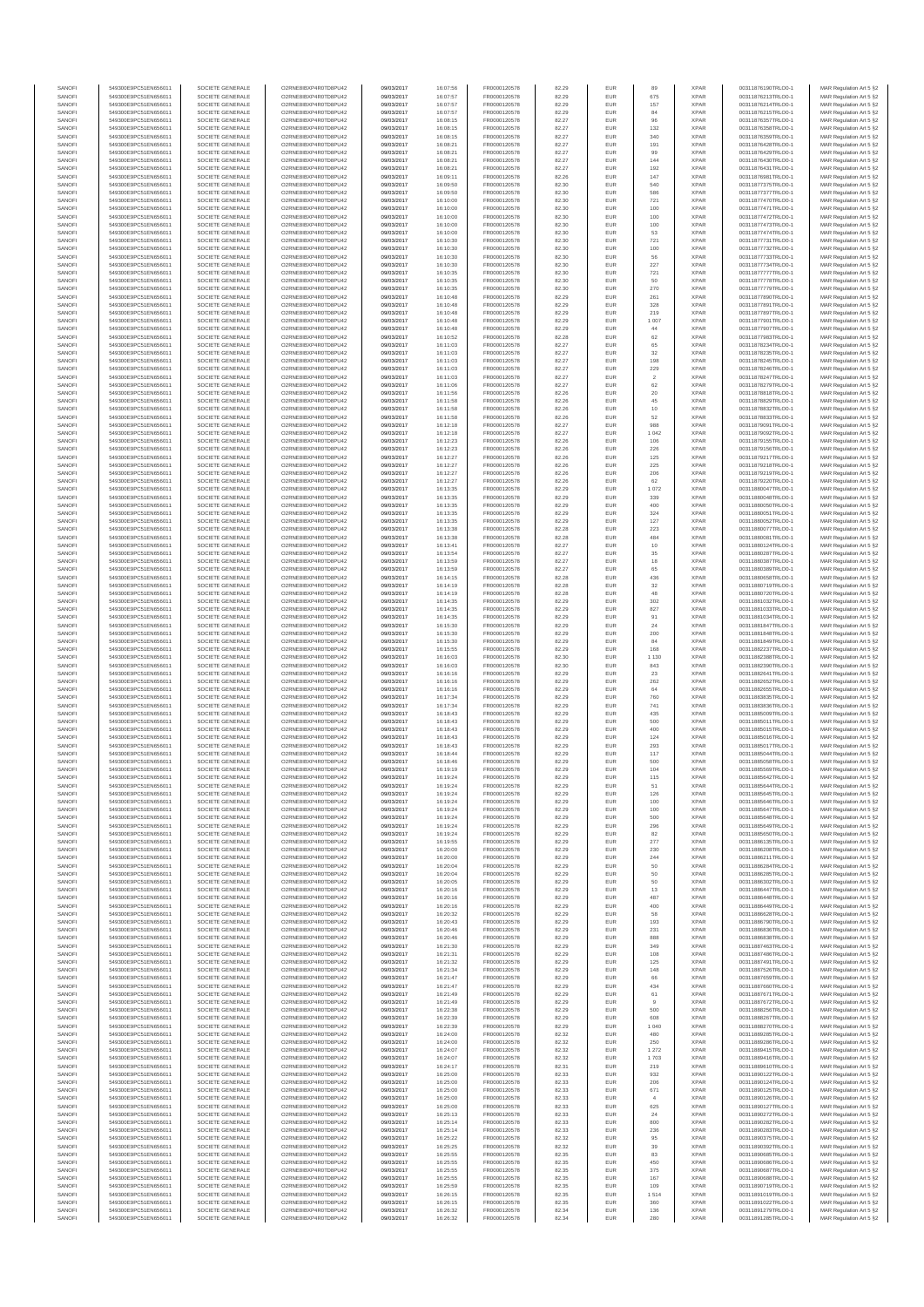| SANOF            | 549300E9PC51EN656011                         | SOCIETE GENERALE                     | O2RNE8IBXP4R0TD8PU42                         | 09/03/2017               | 16:07:56             | FR0000120578                 | 82.29          | EUR               | 89                    | <b>XPAR</b>                | 00311876190TRLO0-1                       | MAR Regulation Art 5 §2                            |
|------------------|----------------------------------------------|--------------------------------------|----------------------------------------------|--------------------------|----------------------|------------------------------|----------------|-------------------|-----------------------|----------------------------|------------------------------------------|----------------------------------------------------|
| SANOFI<br>SANOFI | 549300E9PC51EN656011<br>549300E9PC51EN656011 | SOCIETE GENERALE<br>SOCIETE GENERALE | O2RNE8IBXP4R0TD8PU42<br>O2RNE8IBXP4R0TD8PU42 | 09/03/2017<br>09/03/2017 | 16:07:57<br>16:07:57 | FR0000120578<br>FR0000120578 | 82.29<br>82.29 | EUR<br>EUR        | 675<br>157            | <b>XPAR</b><br><b>XPAR</b> | 00311876213TRLO0-1<br>00311876214TRLO0-1 | MAR Regulation Art 5 §2<br>MAR Regulation Art 5 §2 |
| SANOFI           | 549300E9PC51EN656011                         | SOCIETE GENERALE                     | O2RNE8IBXP4R0TD8PU42                         | 09/03/2017               | 16:07:57             | FR0000120578                 | 82.29          | EUR               | 84                    | <b>XPAR</b>                | 00311876215TRLO0-1                       | MAR Regulation Art 5 §2                            |
| SANOFI<br>SANOFI | 549300E9PC51EN656011<br>549300E9PC51EN656011 | SOCIETE GENERALE<br>SOCIETE GENERALE | O2RNE8IBXP4R0TD8PU42<br>O2RNE8IBXP4R0TD8PU42 | 09/03/2017<br>09/03/2017 | 16:08:15<br>16:08:15 | FR0000120578<br>FR0000120578 | 82.27<br>82.27 | EUR<br>EUR        | 96<br>132             | <b>XPAR</b><br><b>XPAR</b> | 00311876357TRLO0-1<br>00311876358TRLO0-1 | MAR Regulation Art 5 §2<br>MAR Regulation Art 5 §2 |
| SANOFI           | 549300E9PC51EN656011                         | SOCIETE GENERALE                     | O2RNE8IBXP4R0TD8PLI42                        | 09/03/2017               | 16:08:15             | FR0000120578                 | 82.27          | EUR               | 340                   | <b>XPAR</b>                | 00311876359TRLO0-1                       | MAR Regulation Art 5 §2                            |
| SANOFI           | 549300E9PC51EN656011                         | SOCIETE GENERALE                     | O2RNE8IBXP4R0TD8PU42                         | 09/03/2017               | 16:08:21             | FR0000120578                 | 82.27          | EUR               | 191                   | <b>XPAR</b>                | 00311876428TRLO0-1                       | MAR Regulation Art 5 §2                            |
| SANOFI<br>SANOFI | 549300E9PC51EN656011<br>549300E9PC51EN656011 | SOCIETE GENERALE<br>SOCIETE GENERALE | O2RNE8IBXP4R0TD8PU42<br>O2RNE8IBXP4R0TD8PU42 | 09/03/2017<br>09/03/2017 | 16:08:21<br>16:08:21 | FR0000120578<br>FR0000120578 | 82.27<br>82.27 | EUR<br>EUR        | 99<br>144             | <b>XPAR</b><br><b>XPAR</b> | 00311876429TRLO0-1<br>00311876430TRLO0-1 | MAR Regulation Art 5 §2<br>MAR Regulation Art 5 §2 |
| SANOFI           | 549300E9PC51EN656011                         | SOCIETE GENERALE                     | O2RNE8IBXP4R0TD8PU42                         | 09/03/2017               | 16:08:21             | FR0000120578                 | 82.27          | EUR               | 192                   | <b>XPAR</b>                | 00311876431TRLO0-1                       | MAR Regulation Art 5 §2                            |
| SANOFI<br>SANOFI | 549300E9PC51EN656011<br>549300E9PC51EN656011 | SOCIETE GENERALE<br>SOCIETE GENERALE | O2RNE8IBXP4R0TD8PU42<br>O2RNE8IBXP4R0TD8PU42 | 09/03/2017<br>09/03/2017 | 16:09:11<br>16:09:50 | FR0000120578<br>FR0000120578 | 82.26<br>82.30 | EUR<br>EUR        | 147<br>540            | <b>XPAR</b><br><b>XPAR</b> | 00311876981TRLO0-1<br>00311877375TRLO0-1 | MAR Regulation Art 5 §2<br>MAR Regulation Art 5 §2 |
| SANOFI           | 549300E9PC51EN656011                         | SOCIETE GENERALE                     | O2RNE8IBXP4R0TD8PU42                         | 09/03/2017               | 16:09:50             | FR0000120578                 | 82.30          | EUR               | 586                   | <b>XPAR</b>                | 00311877377TRLO0-1                       | MAR Regulation Art 5 §2                            |
| SANOFI<br>SANOFI | 549300E9PC51EN656011<br>549300E9PC51EN656011 | SOCIETE GENERALE<br>SOCIETE GENERALE | O2RNE8IBXP4R0TD8PU42<br>O2RNE8IBXP4R0TD8PU42 | 09/03/2017<br>09/03/2017 | 16:10:00<br>16:10:00 | FR0000120578<br>FR0000120578 | 82.30<br>82.30 | EUR<br>EUR        | 721<br>100            | <b>XPAR</b><br><b>XPAR</b> | 00311877470TRLO0-1<br>00311877471TRLO0-1 | MAR Regulation Art 5 §2<br>MAR Regulation Art 5 §2 |
| SANOFI           | 549300E9PC51EN656011                         | SOCIETE GENERALE                     | O2RNE8IBXP4R0TD8PU42                         | 09/03/2017               | 16:10:00             | FR0000120578                 | 82.30          | EUR               | 100                   | <b>XPAR</b>                | 00311877472TRLO0-1                       | MAR Regulation Art 5 §2                            |
| SANOFI           | 549300E9PC51EN656011                         | SOCIETE GENERALE                     | O2RNE8IBXP4R0TD8PU42                         | 09/03/2017               | 16:10:00             | FR0000120578                 | 82.30          | EUR               | 100                   | <b>XPAR</b>                | 00311877473TRLO0-1                       | MAR Regulation Art 5 §2                            |
| SANOFI<br>SANOFI | 549300E9PC51EN656011<br>549300E9PC51EN656011 | SOCIETE GENERALE<br>SOCIETE GENERALE | O2RNE8IBXP4R0TD8PU42<br>O2RNE8IBXP4R0TD8PU42 | 09/03/2017<br>09/03/2017 | 16:10:00<br>16:10:30 | FR0000120578<br>FR0000120578 | 82.30<br>82.30 | EUR<br>EUR        | 53<br>721             | <b>XPAR</b><br><b>XPAR</b> | 00311877474TRLO0-1<br>00311877731TRLO0-1 | MAR Regulation Art 5 §2<br>MAR Regulation Art 5 §2 |
| SANOFI           | 549300E9PC51EN656011                         | SOCIETE GENERALE                     | O2RNE8IBXP4R0TD8PU42                         | 09/03/2017               | 16:10:30             | FR0000120578                 | 82.30          | EUR               | 100                   | <b>XPAR</b>                | 00311877732TRLO0-1                       | MAR Regulation Art 5 §2                            |
| SANOFI<br>SANOFI | 549300E9PC51EN656011<br>549300E9PC51EN656011 | SOCIETE GENERALE<br>SOCIETE GENERALE | O2RNE8IBXP4R0TD8PU42<br>O2RNE8IBXP4R0TD8PU42 | 09/03/2017<br>09/03/2017 | 16:10:30<br>16:10:30 | FR0000120578<br>FR0000120578 | 82.30<br>82.30 | EUR<br>EUR        | 56<br>227             | <b>XPAR</b><br><b>XPAR</b> | 00311877733TRLO0-1<br>00311877734TRLO0-1 | MAR Regulation Art 5 §2<br>MAR Regulation Art 5 §2 |
| SANOFI           | 549300E9PC51EN656011                         | SOCIETE GENERALE                     | O2RNE8IBXP4R0TD8PU42                         | 09/03/2017               | 16:10:35             | FR0000120578                 | 82.30          | EUR               | 721                   | <b>XPAR</b>                | 00311877777TRLO0-1                       | MAR Regulation Art 5 §2                            |
| SANOFI           | 549300E9PC51EN656011                         | SOCIETE GENERALE                     | O2RNE8IBXP4R0TD8PU42                         | 09/03/2017               | 16:10:35             | FR0000120578                 | 82.30          | EUR               | 50                    | <b>XPAR</b>                | 00311877778TRLO0-1                       | MAR Regulation Art 5 §2                            |
| SANOFI<br>SANOFI | 549300E9PC51EN656011<br>549300E9PC51EN656011 | SOCIETE GENERALE<br>SOCIETE GENERALE | O2RNE8IBXP4R0TD8PU42<br>O2RNE8IBXP4R0TD8PU42 | 09/03/2017<br>09/03/2017 | 16:10:35<br>16:10:48 | FR0000120578<br>FR0000120578 | 82.30<br>82.29 | EUR<br>EUR        | 270<br>261            | <b>XPAR</b><br><b>XPAR</b> | 00311877779TRLO0-1<br>00311877890TRLO0-1 | MAR Regulation Art 5 §2<br>MAR Regulation Art 5 §2 |
| SANOFI           | 549300E9PC51EN656011                         | SOCIETE GENERALE                     | O2RNE8IBXP4R0TD8PU42                         | 09/03/2017               | 16:10:48             | FR0000120578                 | 82.29          | EUR               | 328                   | <b>XPAR</b>                | 00311877891TRLO0-1                       | MAR Regulation Art 5 §2                            |
| SANOFI<br>SANOFI | 549300E9PC51EN656011<br>549300E9PC51EN656011 | SOCIETE GENERALE<br>SOCIETE GENERALE | O2RNE8IBXP4R0TD8PU42<br>O2RNE8IBXP4R0TD8PU42 | 09/03/2017<br>09/03/2017 | 16:10:48<br>16:10:48 | FR0000120578<br>FR0000120578 | 82.29<br>82.29 | EUR<br>EUR        | 219<br>1 0 0 7        | <b>XPAR</b><br><b>XPAR</b> | 00311877897TRLO0-1<br>00311877901TRLO0-1 | MAR Regulation Art 5 §2<br>MAR Regulation Art 5 §2 |
| SANOFI           | 549300E9PC51EN656011                         | SOCIETE GENERALE                     | O2RNE8IBXP4R0TD8PU42                         | 09/03/2017               | 16:10:48             | FR0000120578                 | 82.29          | EUR               | 44                    | <b>XPAR</b>                | 00311877907TRLO0-1                       | MAR Regulation Art 5 §2                            |
| SANOFI           | 549300E9PC51EN656011                         | SOCIETE GENERALE                     | O2RNE8IBXP4R0TD8PU42                         | 09/03/2017               | 16:10:52             | FR0000120578                 | 82.28          | EUR               | 62                    | <b>XPAR</b>                | 00311877983TRLO0-1                       | MAR Regulation Art 5 §2                            |
| SANOFI<br>SANOFI | 549300E9PC51EN656011<br>549300E9PC51EN656011 | SOCIETE GENERALE<br>SOCIETE GENERALE | O2RNE8IBXP4R0TD8PU42<br>O2RNE8IBXP4R0TD8PU42 | 09/03/2017<br>09/03/2017 | 16:11:03<br>16:11:03 | FR0000120578<br>FR0000120578 | 82.27<br>82.27 | EUR<br>EUR        | 65<br>32              | <b>XPAR</b><br><b>XPAR</b> | 00311878234TRLO0-1<br>00311878235TRLO0-1 | MAR Regulation Art 5 §2<br>MAR Regulation Art 5 §2 |
| SANOFI           | 549300E9PC51EN656011                         | SOCIETE GENERALE                     | O2RNE8IBXP4R0TD8PU42                         | 09/03/2017               | 16:11:03             | FR0000120578                 | 82.27          | EUR               | 198                   | <b>XPAR</b>                | 00311878245TRLO0-1                       | MAR Regulation Art 5 §2                            |
| SANOFI<br>SANOFI | 549300E9PC51EN656011<br>549300E9PC51EN656011 | SOCIETE GENERALE<br>SOCIETE GENERALE | O2RNE8IBXP4R0TD8PU42<br>O2RNE8IBXP4R0TD8PU42 | 09/03/2017<br>09/03/2017 | 16:11:03<br>16:11:03 | FR0000120578<br>FR0000120578 | 82.27<br>82.27 | EUR<br>EUR        | 229<br>$\overline{2}$ | <b>XPAR</b><br><b>XPAR</b> | 00311878246TRLO0-1<br>00311878247TRLO0-1 | MAR Regulation Art 5 §2<br>MAR Regulation Art 5 §2 |
| SANOFI           | 549300E9PC51EN656011                         | SOCIETE GENERALE                     | O2RNE8IBXP4R0TD8PU42                         | 09/03/2017               | 16:11:06             | FR0000120578                 | 82.27          | EUR               | 62                    | <b>XPAR</b>                | 00311878279TRLO0-1                       | MAR Regulation Art 5 §2                            |
| SANOFI<br>SANOFI | 549300E9PC51EN656011<br>549300E9PC51EN656011 | SOCIETE GENERALE<br>SOCIETE GENERALE | O2RNE8IBXP4R0TD8PU42<br>O2RNE8IBXP4R0TD8PU42 | 09/03/2017<br>09/03/2017 | 16:11:56<br>16:11:58 | FR0000120578<br>FR0000120578 | 82.26<br>82.26 | EUR<br>EUR        | $20\,$<br>45          | <b>XPAR</b><br><b>XPAR</b> | 00311878818TRLO0-1<br>00311878829TRLO0-1 | MAR Regulation Art 5 §2<br>MAR Regulation Art 5 §2 |
| SANOFI           | 549300E9PC51EN656011                         | SOCIETE GENERALE                     | O2RNE8IBXP4R0TD8PU42                         | 09/03/2017               | 16:11:58             | FR0000120578                 | 82.26          | <b>EUR</b>        | 10                    | <b>XPAR</b>                | 00311878832TRLO0-1                       | MAR Regulation Art 5 §2                            |
| SANOFI           | 549300E9PC51EN656011                         | SOCIETE GENERALE                     | O2RNE8IBXP4R0TD8PU42                         | 09/03/2017               | 16:11:58             | FR0000120578                 | 82.26          | EUR               | 52                    | <b>XPAR</b>                | 00311878833TRLO0-1                       | MAR Regulation Art 5 §2                            |
| SANOFI<br>SANOFI | 549300E9PC51EN656011<br>549300E9PC51EN656011 | SOCIETE GENERALE<br>SOCIETE GENERALE | O2RNE8IBXP4R0TD8PU42<br>O2RNE8IBXP4R0TD8PU42 | 09/03/2017<br>09/03/2017 | 16:12:18<br>16:12:18 | FR0000120578<br>FR0000120578 | 82.27<br>82.27 | EUR<br>EUR        | 988<br>1 0 4 2        | <b>XPAR</b><br><b>XPAR</b> | 00311879091TRLO0-1<br>00311879092TRLO0-1 | MAR Regulation Art 5 §2<br>MAR Regulation Art 5 §2 |
| SANOFI           | 549300E9PC51EN656011                         | SOCIETE GENERALE                     | O2RNE8IBXP4R0TD8PU42                         | 09/03/2017               | 16:12:23             | FR0000120578                 | 82.26          | EUR               | 106                   | <b>XPAR</b>                | 00311879155TRLO0-1                       | MAR Regulation Art 5 §2                            |
| SANOFI<br>SANOFI | 549300E9PC51EN656011<br>549300E9PC51EN656011 | SOCIETE GENERALE<br>SOCIETE GENERALE | O2RNE8IBXP4R0TD8PU42<br>O2RNE8IBXP4R0TD8PU42 | 09/03/2017<br>09/03/2017 | 16:12:23<br>16:12:27 | FR0000120578<br>FR0000120578 | 82.26<br>82.26 | EUR<br>EUR        | 226<br>125            | <b>XPAR</b><br><b>XPAR</b> | 00311879156TRLO0-1<br>00311879217TRLO0-1 | MAR Regulation Art 5 §2<br>MAR Regulation Art 5 §2 |
| SANOFI           | 549300E9PC51EN656011                         | SOCIETE GENERALE                     | O2RNE8IBXP4R0TD8PU42                         | 09/03/2017               | 16:12:27             | FR0000120578                 | 82.26          | EUR               | 225                   | <b>XPAR</b>                | 00311879218TRLO0-1                       | MAR Regulation Art 5 §2                            |
| SANOFI<br>SANOFI | 549300E9PC51EN656011<br>549300E9PC51EN656011 | SOCIETE GENERALE<br>SOCIETE GENERALE | O2RNE8IBXP4R0TD8PU42<br>O2RNE8IBXP4R0TD8PU42 | 09/03/2017<br>09/03/2017 | 16:12:27<br>16:12:27 | FR0000120578<br>FR0000120578 | 82.26<br>82.26 | EUR<br>EUR        | 206<br>62             | <b>XPAR</b><br><b>XPAR</b> | 00311879219TRLO0-1<br>00311879220TRLO0-1 | MAR Regulation Art 5 §2<br>MAR Regulation Art 5 §2 |
| SANOFI           | 549300E9PC51EN656011                         | SOCIETE GENERALE                     | O2RNE8IBXP4R0TD8PU42                         | 09/03/2017               | 16:13:35             | FR0000120578                 | 82.29          | EUR               | 1 0 7 2               | <b>XPAR</b>                | 00311880047TRLO0-1                       | MAR Regulation Art 5 §2                            |
| SANOFI           | 549300E9PC51EN656011                         | SOCIETE GENERALE                     | O2RNE8IBXP4R0TD8PU42                         | 09/03/2017               | 16:13:35             | FR0000120578                 | 82.29          | <b>EUR</b>        | 339                   | <b>XPAR</b>                | 00311880048TRLO0-1                       | MAR Regulation Art 5 §2                            |
| SANOFI<br>SANOFI | 549300E9PC51EN656011<br>549300E9PC51EN656011 | SOCIETE GENERALE<br>SOCIETE GENERALE | O2RNE8IBXP4R0TD8PU42<br>O2RNE8IBXP4R0TD8PU42 | 09/03/2017<br>09/03/2017 | 16:13:35<br>16:13:35 | FR0000120578<br>FR0000120578 | 82.29<br>82.29 | EUR<br>EUR        | 400<br>324            | <b>XPAR</b><br><b>XPAR</b> | 00311880050TRLO0-1<br>00311880051TRLO0-1 | MAR Regulation Art 5 §2<br>MAR Regulation Art 5 §2 |
| SANOFI           | 549300E9PC51EN656011                         | SOCIETE GENERALE                     | O2RNESIBXP4R0TD8PLI42                        | 09/03/2017               | 16:13:35             | FR0000120578                 | 82.29          | EUR               | 127                   | <b>XPAR</b>                | 00311880052TRLO0-1                       | MAR Regulation Art 5 §2                            |
| SANOFI<br>SANOFI | 549300E9PC51EN656011<br>549300E9PC51EN656011 | SOCIETE GENERALE<br>SOCIETE GENERALE | O2RNE8IBXP4R0TD8PU42<br>O2RNE8IBXP4R0TD8PU42 | 09/03/2017<br>09/03/2017 | 16:13:38<br>16:13:38 | FR0000120578<br>FR0000120578 | 82.28<br>82.28 | EUR<br>EUR        | 223<br>484            | <b>XPAR</b><br><b>XPAR</b> | 00311880077TRLO0-1<br>00311880081TRLO0-1 | MAR Regulation Art 5 §2<br>MAR Regulation Art 5 §2 |
| SANOFI           | 549300E9PC51EN656011                         | SOCIETE GENERALE                     | O2RNE8IBXP4R0TD8PU42                         | 09/03/2017               | 16:13:41             | FR0000120578                 | 82.27          | EUR               | 10                    | <b>XPAR</b>                | 00311880124TRLO0-1                       | MAR Regulation Art 5 §2                            |
| SANOFI<br>SANOFI | 549300E9PC51EN656011<br>549300E9PC51EN656011 | SOCIETE GENERALE<br>SOCIETE GENERALE | O2RNE8IBXP4R0TD8PU42<br>O2RNE8IBXP4R0TD8PU42 | 09/03/2017<br>09/03/2017 | 16:13:54<br>16:13:59 | FR0000120578<br>FR0000120578 | 82.27<br>82.27 | EUR<br>EUR        | 35<br>18              | <b>XPAR</b><br><b>XPAR</b> | 00311880287TRLO0-1<br>00311880387TRLO0-1 | MAR Regulation Art 5 §2                            |
| SANOFI           | 549300E9PC51EN656011                         | SOCIETE GENERALE                     | O2RNE8IBXP4R0TD8PU42                         | 09/03/2017               | 16:13:59             | FR0000120578                 | 82.27          | EUR               | 65                    | <b>XPAR</b>                | 00311880389TRLO0-1                       | MAR Regulation Art 5 §2<br>MAR Regulation Art 5 §2 |
| SANOFI           | 549300E9PC51EN656011                         | SOCIETE GENERALE                     | O2RNE8IBXP4R0TD8PU42                         | 09/03/2017               | 16:14:15             | FR0000120578                 | 82.28          | EUR               | 436                   | <b>XPAR</b>                | 00311880658TRLO0-1                       | MAR Regulation Art 5 §2                            |
| SANOFI<br>SANOFI | 549300E9PC51EN656011<br>549300E9PC51EN656011 | SOCIETE GENERALE<br>SOCIETE GENERALE | O2RNE8IBXP4R0TD8PU42<br>O2RNE8IBXP4R0TD8PU42 | 09/03/2017<br>09/03/2017 | 16:14:19<br>16:14:19 | FR0000120578<br>FR0000120578 | 82.28<br>82.28 | EUR<br>EUR        | 32<br>48              | <b>XPAR</b><br><b>XPAR</b> | 00311880719TRLO0-1<br>00311880720TRLO0-1 | MAR Regulation Art 5 §2<br>MAR Regulation Art 5 §2 |
| SANOFI           | 549300E9PC51EN656011                         | SOCIETE GENERALE                     | O2RNE8IBXP4R0TD8PU42                         | 09/03/2017               | 16:14:35             | FR0000120578                 | 82.29          | EUR               | 302                   | <b>XPAR</b>                | 00311881032TRLO0-1                       | MAR Regulation Art 5 §2                            |
| SANOFI<br>SANOFI | 549300E9PC51EN656011<br>549300E9PC51EN656011 | SOCIETE GENERALE<br>SOCIETE GENERALE | O2RNE8IBXP4R0TD8PU42<br>O2RNE8IBXP4R0TD8PU42 | 09/03/2017<br>09/03/2017 | 16:14:35<br>16:14:35 | FR0000120578<br>FR0000120578 | 82.29<br>82.29 | <b>EUR</b><br>EUR | 827<br>91             | <b>XPAR</b><br><b>XPAR</b> | 00311881033TRLO0-1<br>00311881034TRLO0-1 | MAR Regulation Art 5 §2<br>MAR Regulation Art 5 §2 |
| SANOFI           | 549300E9PC51EN656011                         | SOCIETE GENERALE                     | O2RNE8IBXP4R0TD8PU42                         | 09/03/2017               | 16:15:30             | FR0000120578                 | 82.29          | EUR               | 24                    | <b>XPAR</b>                | 00311881847TRLO0-1                       | MAR Regulation Art 5 §2                            |
| SANOFI<br>SANOFI | 549300E9PC51EN656011<br>549300E9PC51EN656011 | SOCIETE GENERALE<br>SOCIETE GENERALE | O2RNE8IBXP4R0TD8PU42<br>O2RNE8IBXP4R0TD8PU42 | 09/03/2017<br>09/03/2017 | 16:15:30<br>16:15:30 | FR0000120578<br>FR0000120578 | 82.29<br>82.29 | EUR<br>EUR        | 200<br>84             | <b>XPAR</b><br><b>XPAR</b> | 00311881848TRLO0-1<br>00311881849TRLO0-1 | MAR Regulation Art 5 §2<br>MAR Regulation Art 5 §2 |
| SANOFI           | 549300E9PC51EN656011                         | SOCIETE GENERALE                     | O2RNE8IBXP4R0TD8PU42                         | 09/03/2017               | 16:15:55             | FR0000120578                 | 82.29          | EUR               | 168                   | <b>XPAR</b>                | 00311882237TRLO0-1                       | MAR Regulation Art 5 §2                            |
| SANOFI           | 549300E9PC51EN656011                         | SOCIETE GENERALE                     | O2RNE8IBXP4R0TD8PU42                         | 09/03/2017               | 16:16:03             | FR0000120578                 | 82.30          | EUR               | 1 1 3 0               | <b>XPAR</b>                | 00311882388TRLO0-1                       | MAR Regulation Art 5 §2                            |
| SANOFI<br>SANOFI | 549300E9PC51EN656011<br>549300E9PC51EN656011 | SOCIETE GENERALE<br>SOCIETE GENERALE | O2RNE8IBXP4R0TD8PU42<br>O2RNE8IBXP4R0TD8PU42 | 09/03/2017<br>09/03/2017 | 16:16:03<br>16:16:16 | FR0000120578<br>FR0000120578 | 82.30<br>82.29 | EUR<br>EUR        | 843<br>23             | <b>XPAR</b><br><b>XPAR</b> | 00311882390TRLO0-1<br>00311882641TRLO0-1 | MAR Regulation Art 5 §2<br>MAR Regulation Art 5 §2 |
| SANOFI           | 549300E9PC51EN656011                         | SOCIETE GENERALE                     | O2RNE8IBXP4R0TD8PU42                         | 09/03/2017               | 16:16:16             | FR0000120578                 | 82.29          | EUR               | 262                   | <b>XPAR</b>                | 00311882652TRLO0-1                       | MAR Regulation Art 5 §2                            |
| SANOFI<br>SANOFI | 549300E9PC51EN656011<br>549300E9PC51EN656011 | SOCIETE GENERALE<br>SOCIETE GENERALE | O2RNE8IBXP4R0TD8PU42<br>O2RNE8IBXP4R0TD8PU42 | 09/03/2017<br>09/03/2017 | 16:16:16<br>16:17:34 | FR0000120578<br>FR0000120578 | 82.29<br>82.29 | EUR<br><b>EUR</b> | 64<br>760             | <b>XPAR</b><br><b>XPAR</b> | 00311882655TRLO0-1<br>00311883835TRLO0-1 | MAR Regulation Art 5 §2<br>MAR Regulation Art 5 §2 |
| SANOFI           | 549300E9PC51EN656011                         | SOCIETE GENERALE                     | O2RNE8IBXP4R0TD8PU42                         | 09/03/2017               | 16:17:34             | FR0000120578                 | 82.29          | EUR               | 741                   | <b>XPAR</b>                | 00311883836TRLO0-1                       | MAR Regulation Art 5 §2                            |
| SANOFI           | 549300E9PC51EN656011                         | SOCIETE GENERALE                     | O2RNE8IBXP4R0TD8PU42                         | 09/03/2017               | 16:18:43             | FR0000120578                 | 82.29          | EUR               | 435                   | <b>XPAR</b>                | 00311885009TRLO0-1                       | MAR Regulation Art 5 §2                            |
| SANOFI<br>SANOFI | 549300E9PC51EN656011<br>549300E9PC51EN656011 | SOCIETE GENERALE<br>SOCIETE GENERALE | O2RNE8IBXP4R0TD8PU42<br>O2RNE8IBXP4R0TD8PU42 | 09/03/2017<br>09/03/2017 | 16:18:43<br>16:18:43 | FR0000120578<br>FR0000120578 | 82.29<br>82.29 | EUR<br>EUR        | 500<br>400            | <b>XPAR</b><br><b>XPAR</b> | 00311885011TRLO0-1<br>00311885015TRLO0-1 | MAR Regulation Art 5 §2<br>MAR Regulation Art 5 §2 |
| SANOFI           | 549300E9PC51EN656011                         | SOCIETE GENERALE                     | O2RNE8IBXP4R0TD8PU42                         | 09/03/2017               | 16:18:43             | FR0000120578                 | 82.29          | EUR               | 124                   | <b>XPAR</b>                | 00311885016TRLO0-1                       | MAR Regulation Art 5 §2                            |
| SANOFI<br>SANOFI | 549300E9PC51EN656011<br>549300E9PC51EN656011 | SOCIETE GENERALE<br>SOCIETE GENERALE | O2RNE8IBXP4R0TD8PU42<br>O2RNE8IBXP4R0TD8PU42 | 09/03/2017<br>09/03/2017 | 16:18:43<br>16:18:44 | FR0000120578<br>FR0000120578 | 82.29<br>82.29 | EUR<br>EUR        | 293<br>117            | <b>XPAR</b><br><b>XPAR</b> | 00311885017TRLO0-1<br>00311885044TRLO0-1 | MAR Regulation Art 5 §2<br>MAR Regulation Art 5 §2 |
| SANOFI           | 549300E9PC51EN656011                         | SOCIETE GENERALE                     | O2RNE8IBXP4R0TD8PU42                         | 09/03/2017               | 16:18:46             | FR0000120578                 | 82.29          | EUR               | 500                   | <b>XPAR</b>                | 00311885058TRLO0-1                       | MAR Regulation Art 5 §2                            |
| SANOFI<br>SANOFI | 549300E9PC51EN656011<br>549300E9PC51EN656011 | SOCIETE GENERALE<br>SOCIETE GENERALE | O2RNE8IBXP4R0TD8PU42<br>O2RNE8IBXP4R0TD8PU42 | 09/03/2017               | 16:19:19             | FR0000120578<br>FR0000120578 | 82.29<br>82.29 | EUR<br>EUR        | 104<br>115            | <b>XPAR</b><br><b>XPAR</b> | 00311885569TRLO0-1<br>00311885642TRLO0-1 | MAR Regulation Art 5 §2                            |
| SANOFI           | 549300E9PC51EN656011                         | SOCIETE GENERALE                     | O2RNE8IBXP4R0TD8PU42                         | 09/03/2017<br>09/03/2017 | 16:19:24<br>16:19:24 | FR0000120578                 | 82.29          | EUR               | -51                   | <b>XPAR</b>                | 00311885644TRLO0-1                       | MAR Regulation Art 5 §2<br>MAR Regulation Art 5 §2 |
| SANOFI           | 549300E9PC51EN656011                         | SOCIETE GENERALE                     | O2RNE8IBXP4R0TD8PU42                         | 09/03/2017               | 16:19:24             | FR0000120578                 | 82.29          | EUR               | 126                   | <b>XPAR</b>                | 00311885645TRLO0-1                       | MAR Regulation Art 5 §2                            |
| SANOFI<br>SANOFI | 549300E9PC51EN656011<br>549300E9PC51EN656011 | SOCIETE GENERALE<br>SOCIETE GENERALE | O2RNE8IBXP4R0TD8PU42<br>O2RNE8IBXP4R0TD8PU42 | 09/03/2017<br>09/03/2017 | 16:19:24<br>16:19:24 | FR0000120578<br>FR0000120578 | 82.29<br>82.29 | EUR<br>EUR        | 100<br>100            | <b>XPAR</b><br><b>XPAR</b> | 00311885646TRLO0-1<br>00311885647TRLO0-1 | MAR Regulation Art 5 §2<br>MAR Regulation Art 5 §2 |
| SANOFI           | 549300E9PC51EN656011                         | SOCIETE GENERALE                     | O2RNE8IBXP4R0TD8PU42                         | 09/03/2017               | 16:19:24             | FR0000120578                 | 82.29          | EUR               | 500                   | <b>XPAR</b>                | 00311885648TRLO0-1                       | MAR Regulation Art 5 §2                            |
| SANOFI<br>SANOFI | 549300E9PC51EN656011<br>549300E9PC51EN656011 | SOCIETE GENERALE<br>SOCIETE GENERALE | O2RNE8IBXP4R0TD8PU42<br>O2RNE8IBXP4R0TD8PU42 | 09/03/2017<br>09/03/2017 | 16:19:24<br>16:19:24 | FR0000120578<br>FR0000120578 | 82.29<br>82.29 | EUR<br>EUR        | 296<br>82             | <b>XPAR</b><br><b>XPAR</b> | 00311885649TRLO0-1<br>00311885650TRLO0-1 | MAR Regulation Art 5 §2<br>MAR Regulation Art 5 §2 |
| SANOFI           | 549300E9PC51EN656011                         | SOCIETE GENERALE                     | O2RNE8IBXP4R0TD8PU42                         | 09/03/2017               | 16:19:55             | FR0000120578                 | 82.29          | <b>EUR</b>        | 277                   | <b>XPAR</b>                | 00311886135TRLO0-1                       | MAR Regulation Art 5 §2                            |
| SANOFI<br>SANOFI | 549300E9PC51EN656011<br>549300E9PC51EN656011 | SOCIETE GENERALE<br>SOCIETE GENERALE | O2RNE8IBXP4R0TD8PU42<br>O2RNE8IBXP4R0TD8PU42 | 09/03/2017<br>09/03/2017 | 16:20:00<br>16:20:00 | FR0000120578<br>FR0000120578 | 82.29<br>82.29 | EUR<br>EUR        | 230<br>244            | <b>XPAR</b><br><b>XPAR</b> | 00311886208TRLO0-1<br>00311886211TRLO0-1 | MAR Regulation Art 5 §2                            |
| SANOFI           | 549300E9PC51EN656011                         | SOCIETE GENERALE                     | O2RNE8IBXP4R0TD8PU42                         | 09/03/2017               | 16:20:04             | FR0000120578                 | 82.29          | EUR               | 50                    | <b>XPAR</b>                | 00311886284TRLO0-1                       | MAR Regulation Art 5 §2<br>MAR Regulation Art 5 §2 |
| SANOFI<br>SANOFI | 549300E9PC51EN656011<br>549300E9PC51EN656011 | SOCIETE GENERALE<br>SOCIETE GENERALE | O2RNE8IBXP4R0TD8PU42<br>O2RNE8IBXP4R0TD8PU42 | 09/03/2017<br>09/03/2017 | 16:20:04<br>16:20:05 | FR0000120578<br>FR0000120578 | 82.29<br>82.29 | EUR<br><b>EUR</b> | 50<br>50              | <b>XPAR</b><br><b>XPAR</b> | 00311886285TRLO0-1<br>00311886302TRLO0-1 | MAR Regulation Art 5 §2                            |
| SANOFI           | 549300E9PC51EN656011                         | SOCIETE GENERALE                     | O2RNE8IBXP4R0TD8PU42                         | 09/03/2017               | 16:20:16             | FR0000120578                 | 82.29          | EUR               | 13                    | <b>XPAR</b>                | 00311886447TRLO0-1                       | MAR Regulation Art 5 §2<br>MAR Regulation Art 5 §2 |
| SANOFI           | 549300E9PC51EN656011                         | SOCIETE GENERALE                     | O2RNE8IBXP4R0TD8PU42                         | 09/03/2017               | 16:20:16             | FR0000120578                 | 82.29          | <b>EUR</b>        | 487                   | <b>XPAR</b>                | 00311886448TRLO0-1                       | MAR Regulation Art 5 §2                            |
| SANOFI<br>SANOFI | 549300E9PC51EN656011<br>549300E9PC51EN656011 | SOCIETE GENERALE<br>SOCIETE GENERALE | O2RNE8IBXP4R0TD8PU42<br>O2RNE8IBXP4R0TD8PU42 | 09/03/2017<br>09/03/2017 | 16:20:16<br>16:20:32 | FR0000120578<br>FR0000120578 | 82.29<br>82.29 | EUR<br>EUR        | 400<br>58             | <b>XPAR</b><br><b>XPAR</b> | 00311886449TRLO0-1<br>00311886628TRLO0-1 | MAR Regulation Art 5 §2<br>MAR Regulation Art 5 §2 |
| SANOFI           | 549300E9PC51EN656011                         | SOCIETE GENERALE                     | O2RNE8IBXP4R0TD8PU42                         | 09/03/2017               | 16:20:43             | FR0000120578                 | 82.29          | EUR               | 193                   | <b>XPAR</b>                | 00311886790TRLO0-1                       | MAR Regulation Art 5 §2                            |
| SANOFI<br>SANOFI | 549300E9PC51EN656011<br>549300E9PC51EN656011 | SOCIETE GENERALE<br>SOCIETE GENERALE | O2RNE8IBXP4R0TD8PU42<br>O2RNE8IBXP4R0TD8PU42 | 09/03/2017<br>09/03/2017 | 16:20:46<br>16:20:46 | FR0000120578<br>FR0000120578 | 82.29<br>82.29 | EUR<br>EUR        | 231<br>888            | <b>XPAR</b><br><b>XPAR</b> | 00311886836TRLO0-1<br>00311886838TRLO0-1 | MAR Regulation Art 5 §2<br>MAR Regulation Art 5 §2 |
| SANOFI           | 549300E9PC51EN656011                         | SOCIETE GENERALE                     | O2RNE8IBXP4R0TD8PU42                         | 09/03/2017               | 16:21:30             | FR0000120578                 | 82.29          | EUR               | 349                   | <b>XPAR</b>                | 00311887463TRLO0-1                       | MAR Regulation Art 5 §2                            |
| SANOFI<br>SANOFI | 549300E9PC51EN656011<br>549300E9PC51EN656011 | SOCIETE GENERALE<br>SOCIETE GENERALE | O2RNE8IBXP4R0TD8PU42<br>O2RNE8IBXP4R0TD8PU42 | 09/03/2017<br>09/03/2017 | 16:21:31<br>16:21:32 | FR0000120578<br>FR0000120578 | 82.29<br>82.29 | <b>EUR</b><br>EUR | 108<br>125            | <b>XPAR</b><br><b>XPAR</b> | 00311887486TRLO0-1<br>00311887491TRLO0-1 | MAR Regulation Art 5 §2<br>MAR Regulation Art 5 §2 |
| SANOFI           | 549300E9PC51EN656011                         | SOCIETE GENERALE                     | O2RNE8IBXP4R0TD8PU42                         | 09/03/2017               | 16:21:34             | FR0000120578                 | 82.29          | <b>EUR</b>        | 148                   | <b>XPAR</b>                | 00311887526TRLO0-1                       | MAR Regulation Art 5 §2                            |
| SANOFI           | 549300E9PC51EN656011                         | SOCIETE GENERALE                     | O2RNE8IBXP4R0TD8PU42                         | 09/03/2017               | 16:21:47             | FR0000120578                 | 82.29          | EUR               | 66                    | <b>XPAR</b>                | 00311887659TRLO0-1                       | MAR Regulation Art 5 §2                            |
| SANOFI<br>SANOFI | 549300E9PC51EN656011<br>549300E9PC51EN656011 | SOCIETE GENERALE<br>SOCIETE GENERALE | O2RNE8IBXP4R0TD8PU42<br>O2RNE8IBXP4R0TD8PU42 | 09/03/2017<br>09/03/2017 | 16:21:47<br>16:21:49 | FR0000120578<br>FR0000120578 | 82.29<br>82.29 | EUR<br>EUR        | 434<br>61             | <b>XPAR</b><br><b>XPAR</b> | 00311887660TRLO0-1<br>00311887671TRLO0-1 | MAR Regulation Art 5 §2<br>MAR Regulation Art 5 §2 |
| SANOFI           | 549300E9PC51EN656011                         | SOCIETE GENERALE                     | O2RNE8IBXP4R0TD8PU42                         | 09/03/2017               | 16:21:49             | FR0000120578                 | 82.29          | EUR               | 9                     | <b>XPAR</b>                | 00311887672TRLO0-1                       | MAR Regulation Art 5 §2                            |
| SANOFI<br>SANOFI | 549300E9PC51EN656011<br>549300E9PC51EN656011 | SOCIETE GENERALE<br>SOCIETE GENERALE | O2RNE8IBXP4R0TD8PU42<br>O2RNE8IBXP4R0TD8PU42 | 09/03/2017<br>09/03/2017 | 16:22:38<br>16:22:39 | FR0000120578<br>FR0000120578 | 82.29<br>82.29 | EUR<br>EUR        | 500<br>608            | <b>XPAR</b><br><b>XPAR</b> | 00311888256TRLO0-1<br>00311888267TRLO0-1 | MAR Regulation Art 5 §2<br>MAR Regulation Art 5 §2 |
| SANOFI           | 549300E9PC51EN656011                         | SOCIETE GENERALE                     | O2RNE8IBXP4R0TD8PU42                         | 09/03/2017               | 16:22:39             | FR0000120578                 | 82.29          | <b>EUR</b>        | 1 0 4 0               | <b>XPAR</b>                | 00311888270TRLO0-1                       | MAR Regulation Art 5 §2                            |
| SANOFI<br>SANOFI | 549300E9PC51EN656011<br>549300E9PC51EN656011 | SOCIETE GENERALE<br>SOCIETE GENERALE | O2RNE8IBXP4R0TD8PU42<br>O2RNE8IBXP4R0TD8PU42 | 09/03/2017<br>09/03/2017 | 16:24:00<br>16:24:00 | FR0000120578<br>FR0000120578 | 82.32<br>82.32 | EUR<br><b>EUR</b> | 480<br>250            | <b>XPAR</b><br><b>XPAR</b> | 00311889285TRLO0-1<br>00311889286TRLO0-1 | MAR Regulation Art 5 §2<br>MAR Regulation Art 5 §2 |
| SANOFI           | 549300E9PC51EN656011                         | SOCIETE GENERALE                     | O2RNE8IBXP4R0TD8PU42                         | 09/03/2017               | 16:24:07             | FR0000120578                 | 82.32          | EUR               | 1 2 7 2               | <b>XPAR</b>                | 00311889415TRLO0-1                       | MAR Regulation Art 5 §2                            |
| SANOFI           | 549300E9PC51EN656011                         | SOCIETE GENERALE                     | O2RNE8IBXP4R0TD8PU42                         | 09/03/2017               | 16:24:07             | FR0000120578                 | 82.32          | EUR               | 1703                  | <b>XPAR</b>                | 00311889416TRLO0-1                       | MAR Regulation Art 5 §2                            |
| SANOFI<br>SANOFI | 549300E9PC51EN656011<br>549300E9PC51EN656011 | SOCIETE GENERALE<br>SOCIETE GENERALE | O2RNE8IBXP4R0TD8PU42<br>O2RNE8IBXP4R0TD8PU42 | 09/03/2017<br>09/03/2017 | 16:24:17<br>16:25:00 | FR0000120578<br>FR0000120578 | 82.31<br>82.33 | EUR<br>EUR        | 219<br>932            | <b>XPAR</b><br><b>XPAR</b> | 00311889610TRLO0-1<br>00311890122TRLO0-1 | MAR Regulation Art 5 §2<br>MAR Regulation Art 5 §2 |
| SANOFI           | 549300E9PC51EN656011                         | SOCIETE GENERALE                     | O2RNE8IBXP4R0TD8PU42                         | 09/03/2017               | 16:25:00             | FR0000120578                 | 82.33          | EUR               | 206                   | <b>XPAR</b>                | 00311890124TRLO0-1                       | MAR Regulation Art 5 §2                            |
| SANOFI<br>SANOFI | 549300E9PC51EN656011<br>549300E9PC51EN656011 | SOCIETE GENERALE<br>SOCIETE GENERALE | O2RNE8IBXP4R0TD8PU42<br>O2RNE8IBXP4R0TD8PU42 | 09/03/2017<br>09/03/2017 | 16:25:00<br>16:25:00 | FR0000120578<br>FR0000120578 | 82.33<br>82.33 | EUR<br><b>EUR</b> | 671<br>$\mathbf{A}$   | <b>XPAR</b><br><b>XPAR</b> | 00311890125TRLO0-1<br>00311890126TRLO0-1 | MAR Regulation Art 5 §2                            |
| SANOFI           | 549300E9PC51EN656011                         | SOCIETE GENERALE                     | O2RNE8IBXP4R0TD8PU42                         | 09/03/2017               | 16:25:00             | FR0000120578                 | 82.33          | EUR               | 625                   | <b>XPAR</b>                | 00311890127TRLO0-1                       | MAR Regulation Art 5 §2<br>MAR Regulation Art 5 §2 |
| SANOFI           | 549300E9PC51EN656011                         | SOCIETE GENERALE                     | O2RNE8IBXP4R0TD8PU42                         | 09/03/2017               | 16:25:13             | FR0000120578                 | 82.33          | <b>EUR</b>        | 24                    | <b>XPAR</b>                | 00311890272TRLO0-1                       | MAR Regulation Art 5 §2                            |
| SANOFI<br>SANOFI | 549300E9PC51EN656011<br>549300E9PC51EN656011 | SOCIETE GENERALE<br>SOCIETE GENERALE | O2RNE8IBXP4R0TD8PU42<br>O2RNE8IBXP4R0TD8PU42 | 09/03/2017<br>09/03/2017 | 16:25:14<br>16:25:14 | FR0000120578<br>FR0000120578 | 82.33<br>82.33 | EUR<br>EUR        | 800<br>236            | <b>XPAR</b><br><b>XPAR</b> | 00311890282TRLO0-1<br>00311890283TRLO0-1 | MAR Regulation Art 5 §2<br>MAR Regulation Art 5 §2 |
| SANOFI           | 549300E9PC51EN656011                         | SOCIETE GENERALE                     | O2RNE8IBXP4R0TD8PU42                         | 09/03/2017               | 16:25:22             | FR0000120578                 | 82.32          | EUR               | 95                    | <b>XPAR</b>                | 00311890375TRLO0-1                       | MAR Regulation Art 5 §2                            |
| SANOFI<br>SANOFI | 549300E9PC51EN656011<br>549300E9PC51EN656011 | SOCIETE GENERALE<br>SOCIETE GENERALE | O2RNE8IBXP4R0TD8PU42<br>O2RNE8IBXP4R0TD8PU42 | 09/03/2017<br>09/03/2017 | 16:25:25<br>16:25:55 | FR0000120578<br>FR0000120578 | 82.32<br>82.35 | EUR<br><b>EUR</b> | $39\,$<br>83          | <b>XPAR</b><br><b>XPAR</b> | 00311890392TRLO0-1<br>00311890685TRLO0-1 | MAR Regulation Art 5 §2<br>MAR Regulation Art 5 §2 |
| SANOFI           | 549300E9PC51EN656011                         | SOCIETE GENERALE                     | O2RNE8IBXP4R0TD8PU42                         | 09/03/2017               | 16:25:55             | FR0000120578                 | 82.35          | EUR               | 450                   | <b>XPAR</b>                | 00311890686TRLO0-1                       | MAR Regulation Art 5 §2                            |
| SANOFI<br>SANOFI | 549300E9PC51EN656011<br>549300E9PC51EN656011 | SOCIETE GENERALE<br>SOCIETE GENERALE | O2RNE8IBXP4R0TD8PU42<br>O2RNE8IBXP4R0TD8PU42 | 09/03/2017<br>09/03/2017 | 16:25:55<br>16:25:55 | FR0000120578<br>FR0000120578 | 82.35<br>82.35 | <b>EUR</b><br>EUR | 375<br>167            | <b>XPAR</b><br><b>XPAR</b> | 00311890687TRLO0-1<br>00311890688TRLO0-1 | MAR Regulation Art 5 §2<br>MAR Regulation Art 5 §2 |
| SANOFI           | 549300E9PC51EN656011                         | SOCIETE GENERALE                     | O2RNE8IBXP4R0TD8PU42                         | 09/03/2017               | 16:25:59             | FR0000120578                 | 82.35          | EUR               | 109                   | <b>XPAR</b>                | 00311890719TRLO0-1                       | MAR Regulation Art 5 §2                            |
| SANOFI<br>SANOFI | 549300E9PC51EN656011                         | SOCIETE GENERALE                     | O2RNE8IBXP4R0TD8PU42                         | 09/03/2017               | 16:26:15             | FR0000120578                 | 82.35          | EUR<br>EUR        | 1514                  | <b>XPAR</b><br><b>XPAR</b> | 00311891019TRLO0-1                       | MAR Regulation Art 5 §2                            |
| SANOFI           | 549300E9PC51EN656011<br>549300E9PC51EN656011 | SOCIETE GENERALE<br>SOCIETE GENERALE | O2RNE8IBXP4R0TD8PU42<br>O2RNE8IBXP4R0TD8PU42 | 09/03/2017<br>09/03/2017 | 16:26:15<br>16:26:32 | FR0000120578<br>FR0000120578 | 82.35<br>82.34 | EUR               | 360<br>136            | <b>XPAR</b>                | 00311891022TRLO0-1<br>00311891279TRLO0-1 | MAR Regulation Art 5 §2<br>MAR Regulation Art 5 §2 |
| SANOFI           | 549300E9PC51EN656011                         | SOCIETE GENERALE                     | O2RNE8IBXP4R0TD8PU42                         | 09/03/2017               | 16:26:32             | FR0000120578                 | 82.34          | EUR               | 280                   | <b>XPAR</b>                | 00311891285TRLO0-1                       | MAR Regulation Art 5 §2                            |
|                  |                                              |                                      |                                              |                          |                      |                              |                |                   |                       |                            |                                          |                                                    |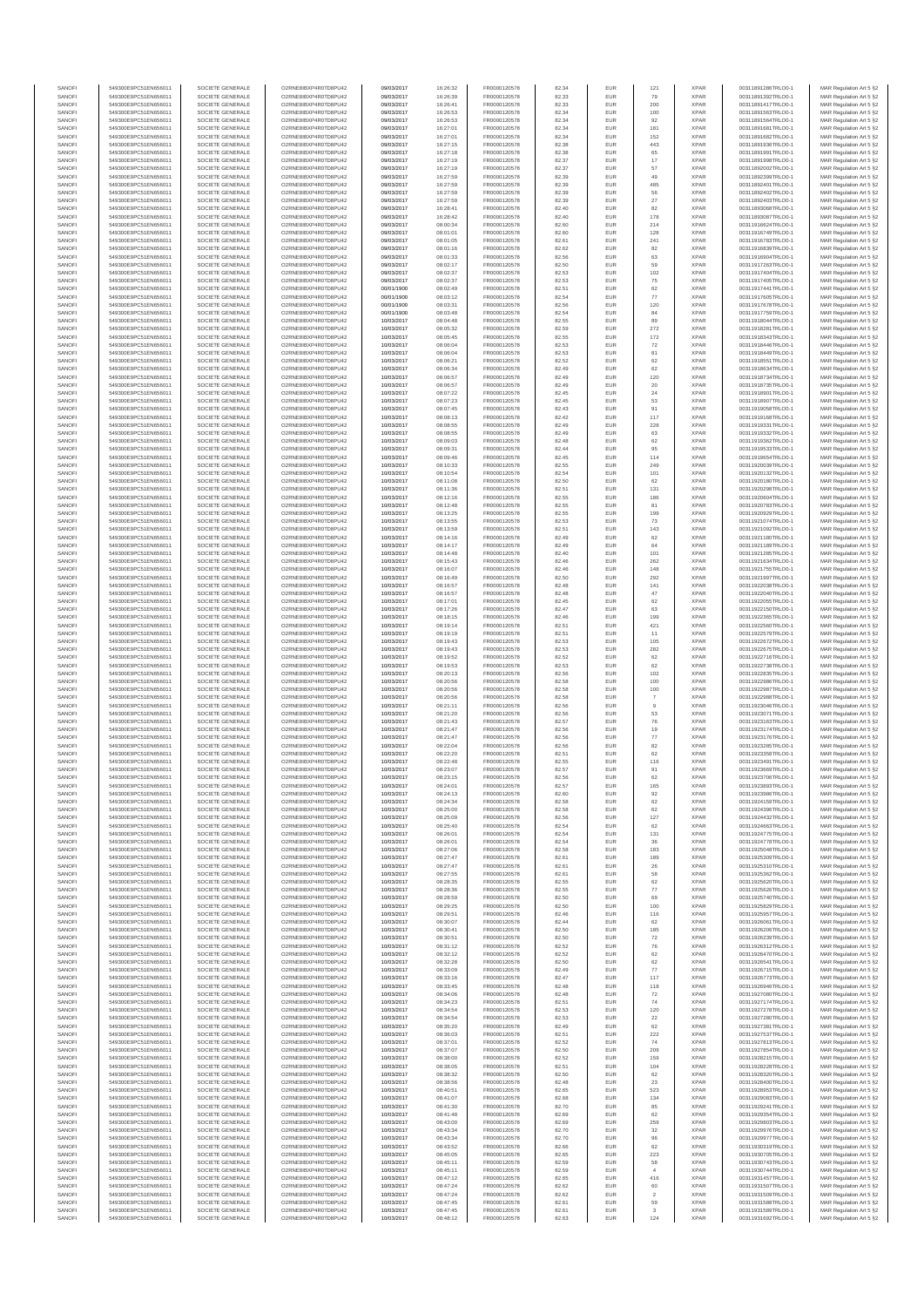| SANOF            | 549300E9PC51EN656011                         | SOCIETE GENERALE                     | O2RNE8IBXP4R0TD8PU42                          | 09/03/2017               | 16:26:32             | FR0000120578                 | 82.34          | EUR               | 121                       | <b>XPAR</b>                | 00311891286TRLO0-1                       | MAR Regulation Art 5 §2                            |
|------------------|----------------------------------------------|--------------------------------------|-----------------------------------------------|--------------------------|----------------------|------------------------------|----------------|-------------------|---------------------------|----------------------------|------------------------------------------|----------------------------------------------------|
| SANOFI<br>SANOFI | 549300E9PC51EN656011<br>549300E9PC51EN656011 | SOCIETE GENERALE<br>SOCIETE GENERALE | O2RNE8IBXP4R0TD8PU42                          | 09/03/2017<br>09/03/2017 | 16:26:39<br>16:26:41 | FR0000120578<br>FR0000120578 | 82.33          | EUR<br>EUR        | 79<br>200                 | <b>XPAR</b><br><b>XPAR</b> | 00311891392TRLO0-1<br>00311891417TRLO0-1 | MAR Regulation Art 5 §2                            |
| SANOFI           | 549300E9PC51EN656011                         | SOCIETE GENERALE                     | O2RNE8IBXP4R0TD8PU42<br>O2RNE8IBXP4R0TD8PU42  | 09/03/2017               | 16:26:53             | FR0000120578                 | 82.33<br>82.34 | EUR               | 100                       | <b>XPAR</b>                | 00311891563TRLO0-1                       | MAR Regulation Art 5 §2<br>MAR Regulation Art 5 §2 |
| SANOFI           | 549300E9PC51EN656011                         | SOCIETE GENERALE                     | O2RNE8IBXP4R0TD8PU42                          | 09/03/2017               | 16:26:53             | FR0000120578                 | 82.34          | EUR               | 92                        | <b>XPAR</b>                | 00311891564TRLO0-1                       | MAR Regulation Art 5 §2                            |
| SANOFI           | 549300E9PC51EN656011                         | SOCIETE GENERALE                     | O2RNE8IBXP4R0TD8PU42                          | 09/03/2017               | 16:27:01             | FR0000120578                 | 82.34          | EUR               | 181                       | <b>XPAR</b>                | 00311891681TRLO0-1                       | MAR Regulation Art 5 §2                            |
| SANOFI<br>SANOFI | 549300E9PC51EN656011<br>549300E9PC51EN656011 | SOCIETE GENERALE<br>SOCIETE GENERALE | O2RNE8IBXP4R0TD8PLI42<br>O2RNE8IBXP4R0TD8PU42 | 09/03/2017<br>09/03/2017 | 16:27:01<br>16:27:15 | FR0000120578<br>FR0000120578 | 82.34<br>82.38 | EUR<br>EUR        | 152<br>443                | <b>XPAR</b><br><b>XPAR</b> | 00311891682TRLO0-1<br>00311891936TRLO0-1 | MAR Regulation Art 5 §2<br>MAR Regulation Art 5 §2 |
| SANOFI           | 549300E9PC51EN656011                         | SOCIETE GENERALE                     | O2RNE8IBXP4R0TD8PU42                          | 09/03/2017               | 16:27:18             | FR0000120578                 | 82.38          | EUR               | 65                        | <b>XPAR</b>                | 00311891991TRLO0-1                       | MAR Regulation Art 5 §2                            |
| SANOFI           | 549300E9PC51EN656011                         | SOCIETE GENERALE                     | O2RNE8IBXP4R0TD8PU42                          | 09/03/2017               | 16:27:19             | FR0000120578                 | 82.37          | EUR               | $17\,$                    | <b>XPAR</b>                | 00311891998TRLO0-1                       | MAR Regulation Art 5 §2                            |
| SANOFI<br>SANOFI | 549300E9PC51EN656011<br>549300E9PC51EN656011 | SOCIETE GENERALE<br>SOCIETE GENERALE | O2RNE8IBXP4R0TD8PU42<br>O2RNE8IBXP4R0TD8PU42  | 09/03/2017<br>09/03/2017 | 16:27:19<br>16:27:59 | FR0000120578<br>FR0000120578 | 82.37<br>82.39 | EUR<br>EUR        | 57<br>49                  | <b>XPAR</b><br><b>XPAR</b> | 00311892002TRLO0-1<br>00311892399TRLO0-1 | MAR Regulation Art 5 §2<br>MAR Regulation Art 5 §2 |
| SANOFI           | 549300E9PC51EN656011                         | SOCIETE GENERALE                     | O2RNE8IBXP4R0TD8PU42                          | 09/03/2017               | 16:27:59             | FR0000120578                 | 82.39          | EUR               | 485                       | <b>XPAR</b>                | 00311892401TRLO0-1                       | MAR Regulation Art 5 §2                            |
| SANOFI           | 549300E9PC51EN656011                         | SOCIETE GENERALE                     | O2RNE8IBXP4R0TD8PU42                          | 09/03/2017               | 16:27:59             | FR0000120578                 | 82.39          | EUR               | 56                        | <b>XPAR</b>                | 00311892402TRLO0-1                       | MAR Regulation Art 5 §2                            |
| SANOFI           | 549300E9PC51EN656011                         | SOCIETE GENERALE                     | O2RNE8IBXP4R0TD8PU42                          | 09/03/2017               | 16:27:59             | FR0000120578                 | 82.39          | EUR               | $27\,$                    | <b>XPAR</b>                | 00311892403TRLO0-1                       | MAR Regulation Art 5 §2                            |
| SANOFI<br>SANOFI | 549300E9PC51EN656011<br>549300E9PC51EN656011 | SOCIETE GENERALE<br>SOCIETE GENERALE | O2RNE8IBXP4R0TD8PU42<br>O2RNE8IBXP4R0TD8PU42  | 09/03/2017<br>09/03/2017 | 16:28:41<br>16:28:42 | FR0000120578<br>FR0000120578 | 82.40<br>82.40 | <b>EUR</b><br>EUR | 82<br>178                 | <b>XPAR</b><br><b>XPAR</b> | 00311893068TRLO0-1<br>00311893087TRLO0-1 | MAR Regulation Art 5 §2<br>MAR Regulation Art 5 §2 |
| SANOFI           | 549300E9PC51EN656011                         | SOCIETE GENERALE                     | O2RNE8IBXP4R0TD8PU42                          | 09/03/2017               | 08:00:34             | FR0000120578                 | 82.60          | EUR               | 214                       | <b>XPAR</b>                | 00311916624TRLO0-1                       | MAR Regulation Art 5 §2                            |
| SANOFI           | 549300E9PC51EN656011                         | SOCIETE GENERALE                     | O2RNE8IBXP4R0TD8PU42                          | 09/03/2017               | 08:01:01             | FR0000120578                 | 82.60          | EUR               | 128                       | <b>XPAR</b>                | 00311916749TRLO0-1                       | MAR Regulation Art 5 §2                            |
| SANOFI           | 549300E9PC51EN656011                         | SOCIETE GENERALE                     | O2RNE8IBXP4R0TD8PU42                          | 09/03/2017               | 08:01:05             | FR0000120578                 | 82.61          | EUR               | 241                       | <b>XPAR</b>                | 00311916783TRLO0-1                       | MAR Regulation Art 5 §2                            |
| SANOFI<br>SANOFI | 549300E9PC51EN656011<br>549300E9PC51EN656011 | SOCIETE GENERALE<br>SOCIETE GENERALE | O2RNE8IBXP4R0TD8PU42<br>O2RNE8IBXP4R0TD8PU42  | 09/03/2017<br>09/03/2017 | 08:01:16<br>08:01:33 | FR0000120578<br>FR0000120578 | 82.62<br>82.56 | EUR<br>EUR        | 82<br>63                  | <b>XPAR</b><br><b>XPAR</b> | 00311916839TRLO0-1<br>00311916904TRLO0-1 | MAR Regulation Art 5 §2<br>MAR Regulation Art 5 §2 |
| SANOFI           | 549300E9PC51EN656011                         | SOCIETE GENERALE                     | O2RNE8IBXP4R0TD8PU42                          | 09/03/2017               | 08:02:17             | FR0000120578                 | 82.50          | EUR               | 59                        | <b>XPAR</b>                | 00311917263TRLO0-1                       | MAR Regulation Art 5 §2                            |
| SANOFI           | 549300E9PC51EN656011                         | SOCIETE GENERALE                     | O2RNE8IBXP4R0TD8PU42                          | 09/03/2017               | 08:02:37             | FR0000120578                 | 82.53          | EUR               | 102                       | <b>XPAR</b>                | 00311917404TRLO0-1                       | MAR Regulation Art 5 §2                            |
| SANOFI<br>SANOFI | 549300E9PC51EN656011<br>549300E9PC51EN656011 | SOCIETE GENERALE<br>SOCIETE GENERALE | O2RNE8IBXP4R0TD8PU42<br>O2RNE8IBXP4R0TD8PU42  | 09/03/2017<br>00/01/1900 | 08:02:37<br>08:02:49 | FR0000120578<br>FR0000120578 | 82.53<br>82.51 | EUR<br>EUR        | 75<br>62                  | <b>XPAR</b><br><b>XPAR</b> | 00311917405TRLO0-1<br>00311917441TRLO0-1 | MAR Regulation Art 5 §2<br>MAR Regulation Art 5 §2 |
| SANOFI           | 549300E9PC51EN656011                         | SOCIETE GENERALE                     | O2RNE8IBXP4R0TD8PU42                          | 00/01/1900               | 08:03:12             | FR0000120578                 | 82.54          | EUR               | 77                        | <b>XPAR</b>                | 00311917605TRLO0-1                       | MAR Regulation Art 5 §2                            |
| SANOFI           | 549300E9PC51EN656011                         | SOCIETE GENERALE                     | O2RNE8IBXP4R0TD8PU42                          | 00/01/1900               | 08:03:31             | FR0000120578                 | 82.56          | EUR               | 120                       | <b>XPAR</b>                | 00311917678TRLO0-1                       | MAR Regulation Art 5 §2                            |
| SANOFI           | 549300E9PC51EN656011                         | SOCIETE GENERALE                     | O2RNE8IBXP4R0TD8PU42                          | 00/01/1900               | 08:03:48             | FR0000120578                 | 82.54          | EUR               | 84                        | <b>XPAR</b>                | 00311917759TRLO0-1                       | MAR Regulation Art 5 §2                            |
| SANOFI<br>SANOFI | 549300E9PC51EN656011<br>549300E9PC51EN656011 | SOCIETE GENERALE<br>SOCIETE GENERALE | O2RNE8IBXP4R0TD8PU42<br>O2RNE8IBXP4R0TD8PU42  | 10/03/2017<br>10/03/2017 | 08:04:48<br>08:05:32 | FR0000120578<br>FR0000120578 | 82.55<br>82.59 | EUR<br>EUR        | 89<br>272                 | <b>XPAR</b><br><b>XPAR</b> | 00311918044TRLO0-1<br>00311918281TRLO0-1 | MAR Regulation Art 5 §2<br>MAR Regulation Art 5 §2 |
| SANOFI           | 549300E9PC51EN656011                         | SOCIETE GENERALE                     | O2RNE8IBXP4R0TD8PU42                          | 10/03/2017               | 08:05:45             | FR0000120578                 | 82.55          | EUR               | 172                       | <b>XPAR</b>                | 00311918343TRLO0-1                       | MAR Regulation Art 5 §2                            |
| SANOFI           | 549300E9PC51EN656011                         | SOCIETE GENERALE                     | O2RNE8IBXP4R0TD8PU42                          | 10/03/2017               | 08:06:04             | FR0000120578                 | 82.53          | EUR               | 72                        | <b>XPAR</b>                | 00311918446TRLO0-1                       | MAR Regulation Art 5 §2                            |
| SANOFI<br>SANOFI | 549300E9PC51EN656011<br>549300E9PC51EN656011 | SOCIETE GENERALE<br>SOCIETE GENERALE | O2RNE8IBXP4R0TD8PU42<br>O2RNE8IBXP4R0TD8PU42  | 10/03/2017<br>10/03/2017 | 08:06:04<br>08:06:21 | FR0000120578<br>FR0000120578 | 82.53<br>82.52 | EUR<br>EUR        | 81<br>62                  | <b>XPAR</b><br><b>XPAR</b> | 00311918449TRLO0-1<br>00311918551TRLO0-1 | MAR Regulation Art 5 §2                            |
| SANOFI           | 549300E9PC51EN656011                         | SOCIETE GENERALE                     | O2RNE8IBXP4R0TD8PU42                          | 10/03/2017               | 08:06:34             | FR0000120578                 | 82.49          | EUR               | $62\,$                    | <b>XPAR</b>                | 00311918634TRLO0-1                       | MAR Regulation Art 5 §2<br>MAR Regulation Art 5 §2 |
| SANOFI           | 549300E9PC51EN656011                         | SOCIETE GENERALE                     | O2RNE8IBXP4R0TD8PU42                          | 10/03/2017               | 08:06:57             | FR0000120578                 | 82.49          | EUR               | 120                       | <b>XPAR</b>                | 00311918734TRLO0-1                       | MAR Regulation Art 5 §2                            |
| SANOFI           | 549300E9PC51EN656011                         | SOCIETE GENERALE                     | O2RNE8IBXP4R0TD8PU42                          | 10/03/2017               | 08:06:57             | FR0000120578                 | 82.49          | EUR               | 20                        | <b>XPAR</b>                | 00311918735TRLO0-1                       | MAR Regulation Art 5 §2                            |
| SANOFI<br>SANOFI | 549300E9PC51EN656011<br>549300E9PC51EN656011 | SOCIETE GENERALE<br>SOCIETE GENERALE | O2RNE8IBXP4R0TD8PU42<br>O2RNE8IBXP4R0TD8PU42  | 10/03/2017<br>10/03/2017 | 08:07:22<br>08:07:23 | FR0000120578<br>FR0000120578 | 82.45<br>82.45 | EUR<br>EUR        | 24<br>53                  | <b>XPAR</b><br><b>XPAR</b> | 00311918901TRLO0-1<br>00311918907TRLO0-1 | MAR Regulation Art 5 §2<br>MAR Regulation Art 5 §2 |
| SANOFI           | 549300E9PC51EN656011                         | SOCIETE GENERALE                     | O2RNE8IBXP4R0TD8PU42                          | 10/03/2017               | 08:07:45             | FR0000120578                 | 82.43          | <b>EUR</b>        | 91                        | <b>XPAR</b>                | 00311919058TRLO0-1                       | MAR Regulation Art 5 §2                            |
| SANOFI           | 549300E9PC51EN656011                         | SOCIETE GENERALE                     | O2RNE8IBXP4R0TD8PU42                          | 10/03/2017               | 08:08:13             | FR0000120578                 | 82.42          | EUR               | 117                       | <b>XPAR</b>                | 00311919168TRLO0-1                       | MAR Regulation Art 5 §2                            |
| SANOFI           | 549300E9PC51EN656011                         | SOCIETE GENERALE<br>SOCIETE GENERALE | O2RNE8IBXP4R0TD8PU42                          | 10/03/2017               | 08:08:55             | FR0000120578                 | 82.49          | EUR               | 228                       | <b>XPAR</b>                | 00311919331TRLO0-1                       | MAR Regulation Art 5 §2                            |
| SANOFI<br>SANOFI | 549300E9PC51EN656011<br>549300E9PC51EN656011 | SOCIETE GENERALE                     | O2RNE8IBXP4R0TD8PU42<br>O2RNE8IBXP4R0TD8PU42  | 10/03/2017<br>10/03/2017 | 08:08:55<br>08:09:03 | FR0000120578<br>FR0000120578 | 82.49<br>82.48 | EUR<br>EUR        | 63<br>62                  | <b>XPAR</b><br><b>XPAR</b> | 00311919332TRLO0-1<br>00311919362TRLO0-1 | MAR Regulation Art 5 §2<br>MAR Regulation Art 5 §2 |
| SANOFI           | 549300E9PC51EN656011                         | SOCIETE GENERALE                     | O2RNE8IBXP4R0TD8PU42                          | 10/03/2017               | 08:09:31             | FR0000120578                 | 82.44          | EUR               | 95                        | <b>XPAR</b>                | 00311919533TRLO0-1                       | MAR Regulation Art 5 §2                            |
| SANOFI           | 549300E9PC51EN656011                         | SOCIETE GENERALE                     | O2RNE8IBXP4R0TD8PU42                          | 10/03/2017               | 08:09:46             | FR0000120578                 | 82.45          | EUR               | 114                       | <b>XPAR</b>                | 00311919654TRLO0-1                       | MAR Regulation Art 5 §2                            |
| SANOFI           | 549300E9PC51EN656011                         | SOCIETE GENERALE                     | O2RNE8IBXP4R0TD8PU42<br>O2RNE8IBXP4R0TD8PU42  | 10/03/2017               | 08:10:33             | FR0000120578<br>FR0000120578 | 82.55          | EUR               | 249                       | <b>XPAR</b>                | 00311920039TRLO0-1                       | MAR Regulation Art 5 §2                            |
| SANOFI<br>SANOFI | 549300E9PC51EN656011<br>549300E9PC51EN656011 | SOCIETE GENERALE<br>SOCIETE GENERALE | O2RNE8IBXP4R0TD8PU42                          | 10/03/2017<br>10/03/2017 | 08:10:54<br>08:11:08 | FR0000120578                 | 82.54<br>82.50 | EUR<br>EUR        | 101<br>62                 | <b>XPAR</b><br><b>XPAR</b> | 00311920132TRLO0-1<br>00311920180TRLO0-1 | MAR Regulation Art 5 §2<br>MAR Regulation Art 5 §2 |
| SANOFI           | 549300E9PC51EN656011                         | SOCIETE GENERALE                     | O2RNE8IBXP4R0TD8PU42                          | 10/03/2017               | 08:11:36             | FR0000120578                 | 82.51          | EUR               | 131                       | <b>XPAR</b>                | 00311920298TRLO0-1                       | MAR Regulation Art 5 §2                            |
| SANOFI           | 549300E9PC51EN656011                         | SOCIETE GENERALE                     | O2RNE8IBXP4R0TD8PU42                          | 10/03/2017               | 08:12:16             | FR0000120578                 | 82.55          | EUR               | 186                       | <b>XPAR</b>                | 00311920604TRLO0-1                       | MAR Regulation Art 5 §2                            |
| SANOFI<br>SANOFI | 549300E9PC51EN656011                         | SOCIETE GENERALE                     | O2RNE8IBXP4R0TD8PU42                          | 10/03/2017               | 08:12:48             | FR0000120578<br>FR0000120578 | 82.55<br>82.55 | EUR<br>EUR        | 81<br>199                 | <b>XPAR</b><br><b>XPAR</b> | 00311920783TRLO0-1                       | MAR Regulation Art 5 §2<br>MAR Regulation Art 5 §2 |
| SANOFI           | 549300E9PC51EN656011<br>549300E9PC51EN656011 | SOCIETE GENERALE<br>SOCIETE GENERALE | O2RNE8IBXP4R0TD8PU42<br>O2RNESIBXP4R0TD8PLI42 | 10/03/2017<br>10/03/2017 | 08:13:25<br>08:13:55 | FR0000120578                 | 82.53          | EUR               | 73                        | <b>XPAR</b>                | 00311920929TRLO0-1<br>00311921074TRLO0-1 | MAR Regulation Art 5 §2                            |
| SANOFI           | 549300E9PC51EN656011                         | SOCIETE GENERALE                     | O2RNE8IBXP4R0TD8PU42                          | 10/03/2017               | 08:13:59             | FR0000120578                 | 82.51          | EUR               | 143                       | <b>XPAR</b>                | 00311921092TRLO0-1                       | MAR Regulation Art 5 §2                            |
| SANOFI           | 549300E9PC51EN656011                         | SOCIETE GENERALE                     | O2RNE8IBXP4R0TD8PU42                          | 10/03/2017               | 08:14:16             | FR0000120578                 | 82.49          | EUR               | 62                        | <b>XPAR</b>                | 00311921180TRLO0-1                       | MAR Regulation Art 5 §2                            |
| SANOFI<br>SANOFI | 549300E9PC51EN656011<br>549300E9PC51EN656011 | SOCIETE GENERALE<br>SOCIETE GENERALE | O2RNE8IBXP4R0TD8PU42<br>O2RNE8IBXP4R0TD8PU42  | 10/03/2017<br>10/03/2017 | 08:14:17<br>08:14:48 | FR0000120578<br>FR0000120578 | 82.49<br>82.40 | EUR<br><b>EUR</b> | 64<br>101                 | <b>XPAR</b><br><b>XPAR</b> | 00311921189TRLO0-1<br>00311921285TRLO0-1 | MAR Regulation Art 5 §2<br>MAR Regulation Art 5 §2 |
| SANOFI           | 549300E9PC51EN656011                         | SOCIETE GENERALE                     | O2RNE8IBXP4R0TD8PU42                          | 10/03/2017               | 08:15:43             | FR0000120578                 | 82.46          | EUR               | 262                       | <b>XPAR</b>                | 00311921634TRLO0-1                       | MAR Regulation Art 5 §2                            |
| SANOFI           | 549300E9PC51EN656011                         | SOCIETE GENERALE                     | O2RNE8IBXP4R0TD8PU42                          | 10/03/2017               | 08:16:07             | FR0000120578                 | 82.46          | EUR               | 148                       | <b>XPAR</b>                | 00311921755TRLO0-1                       | MAR Regulation Art 5 §2                            |
| SANOFI           | 549300E9PC51EN656011                         | SOCIETE GENERALE                     | O2RNE8IBXP4R0TD8PU42                          | 10/03/2017               | 08:16:49             | FR0000120578                 | 82.50          | EUR               | 292                       | <b>XPAR</b>                | 00311921997TRLO0-1                       | MAR Regulation Art 5 §2                            |
| SANOFI<br>SANOFI | 549300E9PC51EN656011<br>549300E9PC51EN656011 | SOCIETE GENERALE<br>SOCIETE GENERALE | O2RNE8IBXP4R0TD8PU42<br>O2RNE8IBXP4R0TD8PU42  | 10/03/2017               | 08:16:57             | FR0000120578                 | 82.48<br>82.48 | EUR<br>EUR        | 141<br>47                 | <b>XPAR</b><br><b>XPAR</b> | 00311922038TRLO0-1                       | MAR Regulation Art 5 §2                            |
| SANOFI           | 549300E9PC51EN656011                         | SOCIETE GENERALE                     | O2RNE8IBXP4R0TD8PU42                          | 10/03/2017<br>10/03/2017 | 08:16:57<br>08:17:01 | FR0000120578<br>FR0000120578 | 82.45          | EUR               | $62\,$                    | <b>XPAR</b>                | 00311922040TRLO0-1<br>00311922055TRLO0-1 | MAR Regulation Art 5 §2<br>MAR Regulation Art 5 §2 |
| SANOFI           | 549300E9PC51EN656011                         | SOCIETE GENERALE                     | O2RNE8IBXP4R0TD8PU42                          | 10/03/2017               | 08:17:26             | FR0000120578                 | 82.47          | <b>EUR</b>        | 63                        | <b>XPAR</b>                | 00311922150TRLO0-1                       | MAR Regulation Art 5 §2                            |
| SANOFI           | 549300E9PC51EN656011                         | SOCIETE GENERALE                     | O2RNE8IBXP4R0TD8PU42                          | 10/03/2017               | 08:18:15             | FR0000120578                 | 82.46          | EUR               | 199                       | <b>XPAR</b>                | 00311922365TRLO0-1                       | MAR Regulation Art 5 §2                            |
| SANOFI<br>SANOFI | 549300E9PC51EN656011<br>549300E9PC51EN656011 | SOCIETE GENERALE<br>SOCIETE GENERALE | O2RNE8IBXP4R0TD8PU42<br>O2RNE8IBXP4R0TD8PU42  | 10/03/2017<br>10/03/2017 | 08:19:14<br>08:19:19 | FR0000120578<br>FR0000120578 | 82.51<br>82.51 | EUR<br>EUR        | 421<br>11                 | <b>XPAR</b><br><b>XPAR</b> | 00311922560TRLO0-1<br>00311922579TRLO0-1 | MAR Regulation Art 5 §2<br>MAR Regulation Art 5 §2 |
| SANOFI           | 549300E9PC51EN656011                         | SOCIETE GENERALE                     | O2RNE8IBXP4R0TD8PU42                          | 10/03/2017               | 08:19:43             | FR0000120578                 | 82.53          | EUR               | 105                       | <b>XPAR</b>                | 00311922672TRLO0-1                       | MAR Regulation Art 5 §2                            |
| SANOFI           | 549300E9PC51EN656011                         | SOCIETE GENERALE                     | O2RNE8IBXP4R0TD8PU42                          | 10/03/2017               | 08:19:43             | FR0000120578                 | 82.53          | EUR               | 282                       | <b>XPAR</b>                | 00311922675TRLO0-1                       | MAR Regulation Art 5 §2                            |
| SANOFI<br>SANOFI | 549300E9PC51EN656011<br>549300E9PC51EN656011 | SOCIETE GENERALE<br>SOCIETE GENERALE | O2RNE8IBXP4R0TD8PU42<br>O2RNE8IBXP4R0TD8PU42  | 10/03/2017<br>10/03/2017 | 08:19:52             | FR0000120578<br>FR0000120578 | 82.52<br>82.53 | EUR<br>EUR        | $62\,$<br>62              | <b>XPAR</b><br><b>XPAR</b> | 00311922716TRLO0-1<br>00311922738TRLO0-1 | MAR Regulation Art 5 §2                            |
| SANOFI           | 549300E9PC51EN656011                         | SOCIETE GENERALE                     | O2RNE8IBXP4R0TD8PU42                          | 10/03/2017               | 08:19:53<br>08:20:13 | FR0000120578                 | 82.56          | EUR               | 102                       | <b>XPAR</b>                | 00311922835TRLO0-1                       | MAR Regulation Art 5 §2<br>MAR Regulation Art 5 §2 |
| SANOFI           | 549300E9PC51EN656011                         | SOCIETE GENERALE                     | O2RNE8IBXP4R0TD8PU42                          | 10/03/2017               | 08:20:56             | FR0000120578                 | 82.58          | EUR               | 100                       | <b>XPAR</b>                | 00311922986TRLO0-1                       | MAR Regulation Art 5 §2                            |
| SANOFI           | 549300E9PC51EN656011                         | SOCIETE GENERALE                     | O2RNE8IBXP4R0TD8PU42                          | 10/03/2017               | 08:20:56             | FR0000120578                 | 82.58          | EUR               | 100                       | <b>XPAR</b>                | 00311922987TRLO0-1                       | MAR Regulation Art 5 §2                            |
| SANOFI<br>SANOFI | 549300E9PC51EN656011<br>549300E9PC51EN656011 | SOCIETE GENERALE<br>SOCIETE GENERALE | O2RNE8IBXP4R0TD8PU42<br>O2RNE8IBXP4R0TD8PU42  | 10/03/2017<br>10/03/2017 | 08:20:56<br>08:21:11 | FR0000120578<br>FR0000120578 | 82.58<br>82.56 | <b>EUR</b><br>EUR | $\scriptstyle{7}$         | <b>XPAR</b><br><b>XPAR</b> | 00311922988TRLO0-1<br>00311923046TRLO0-1 | MAR Regulation Art 5 §2<br>MAR Regulation Art 5 §2 |
| SANOFI           | 549300E9PC51EN656011                         | SOCIETE GENERALE                     | O2RNE8IBXP4R0TD8PU42                          | 10/03/2017               | 08:21:20             | FR0000120578                 | 82.56          | EUR               | 53                        | <b>XPAR</b>                | 00311923071TRLO0-1                       | MAR Regulation Art 5 §2                            |
| SANOFI           | 549300E9PC51EN656011                         | SOCIETE GENERALE                     | O2RNE8IBXP4R0TD8PU42                          | 10/03/2017               | 08:21:43             | FR0000120578                 | 82.57          | EUR               | ${\bf 76}$                | <b>XPAR</b>                | 00311923163TRLO0-1                       | MAR Regulation Art 5 §2                            |
| SANOFI           | 549300E9PC51EN656011                         | SOCIETE GENERALE                     | O2RNE8IBXP4R0TD8PU42                          | 10/03/2017               | 08:21:47             | FR0000120578                 | 82.56          | EUR               | 19                        | <b>XPAR</b>                | 00311923174TRLO0-1                       | MAR Regulation Art 5 §2                            |
| SANOFI<br>SANOFI | 549300E9PC51EN656011<br>549300E9PC51EN656011 | SOCIETE GENERALE<br>SOCIETE GENERALE | O2RNE8IBXP4R0TD8PU42<br>O2RNE8IBXP4R0TD8PU42  | 10/03/2017<br>10/03/2017 | 08:21:47<br>08:22:04 | FR0000120578<br>FR0000120578 | 82.56<br>82.56 | EUR<br>EUR        | $77\,$<br>82              | <b>XPAR</b><br><b>XPAR</b> | 00311923176TRLO0-1<br>00311923285TRLO0-1 | MAR Regulation Art 5 §2<br>MAR Regulation Art 5 §2 |
| SANOFI           | 549300E9PC51EN656011                         | SOCIETE GENERALE                     | O2RNE8IBXP4R0TD8PU42                          | 10/03/2017               | 08:22:20             | FR0000120578                 | 82.51          | EUR               | 62                        | <b>XPAR</b>                | 00311923358TRLO0-1                       | MAR Regulation Art 5 §2                            |
| SANOFI           | 549300E9PC51EN656011                         | SOCIETE GENERALE                     | O2RNE8IBXP4R0TD8PU42                          | 10/03/2017               | 08:22:48             | FR0000120578                 | 82.55          | EUR               | 116                       | <b>XPAR</b>                | 00311923491TRLO0-1                       | MAR Regulation Art 5 §2                            |
| SANOFI<br>SANOFI | 549300E9PC51EN656011<br>549300E9PC51EN656011 | SOCIETE GENERALE<br>SOCIETE GENERALE | O2RNE8IBXP4R0TD8PU42<br>O2RNE8IBXP4R0TD8PU42  | 10/03/2017<br>10/03/2017 | 08:23:07<br>08:23:15 | FR0000120578<br>FR0000120578 | 82.57<br>82.56 | EUR<br>EUR        | 91<br>62                  | <b>XPAR</b><br><b>XPAR</b> | 00311923669TRLO0-1<br>00311923706TRLO0-1 | MAR Regulation Art 5 §2<br>MAR Regulation Art 5 §2 |
| SANOFI           | 549300E9PC51EN656011                         | SOCIETE GENERALE                     | O2RNE8IBXP4R0TD8PU42                          | 10/03/2017               | 08:24:01             | FR0000120578                 | 82.57          | EUR               | 165                       | <b>XPAR</b>                | 00311923893TRLO0-1                       | MAR Regulation Art 5 §2                            |
| SANOFI           | 549300E9PC51EN656011                         | SOCIETE GENERALE                     | O2RNE8IBXP4R0TD8PU42                          | 10/03/2017               | 08:24:13             | FR0000120578                 | 82.60          | EUR               | 92                        | <b>XPAR</b>                | 00311923986TRLO0-1                       | MAR Regulation Art 5 §2                            |
| SANOFI           | 549300E9PC51EN656011                         | SOCIETE GENERALE                     | O2RNE8IBXP4R0TD8PU42                          | 10/03/2017               | 08:24:34             | FR0000120578                 | 82.58          | EUR               | $62\,$                    | <b>XPAR</b>                | 00311924159TRLO0-1                       | MAR Regulation Art 5 §2                            |
| SANOFI<br>SANOFI | 549300E9PC51EN656011<br>549300E9PC51EN656011 | SOCIETE GENERALE<br>SOCIETE GENERALE | O2RNE8IBXP4R0TD8PU42<br>O2RNE8IBXP4R0TD8PU42  | 10/03/2017<br>10/03/2017 | 08:25:00<br>08:25:09 | FR0000120578<br>FR0000120578 | 82.58<br>82.56 | EUR<br>EUR        | 62<br>127                 | <b>XPAR</b><br><b>XPAR</b> | 00311924396TRLO0-1<br>00311924432TRLO0-1 | MAR Regulation Art 5 §2<br>MAR Regulation Art 5 §2 |
| SANOFI           | 549300E9PC51EN656011                         | SOCIETE GENERALE                     | O2RNE8IBXP4R0TD8PU42                          | 10/03/2017               | 08:25:40             | FR0000120578                 | 82.54          | EUR               | 62                        | <b>XPAR</b>                | 00311924663TRLO0-1                       | MAR Regulation Art 5 §2                            |
| SANOFI           | 549300E9PC51EN656011                         | SOCIETE GENERALE                     | O2RNE8IBXP4R0TD8PU42                          | 10/03/2017               | 08:26:01             | FR0000120578                 | 82.54          | EUR               | 131                       | <b>XPAR</b>                | 00311924775TRLO0-1                       | MAR Regulation Art 5 §2                            |
| SANOFI<br>SANOFI | 549300E9PC51EN656011                         | SOCIETE GENERALE<br>SOCIETE GENERALE | O2RNE8IBXP4R0TD8PU42<br>O2RNE8IBXP4R0TD8PU42  | 10/03/2017               | 08:26:01<br>08:27:06 | FR0000120578                 | 82.54<br>82.58 | <b>EUR</b><br>EUR | 36<br>183                 | <b>XPAR</b><br><b>XPAR</b> | 00311924778TRLO0-1<br>00311925048TRLO0-1 | MAR Regulation Art 5 §2                            |
| SANOFI           | 549300E9PC51EN656011<br>549300E9PC51EN656011 | SOCIETE GENERALE                     | O2RNE8IBXP4R0TD8PU42                          | 10/03/2017<br>10/03/2017 | 08:27:47             | FR0000120578<br>FR0000120578 | 82.61          | EUR               | 189                       | <b>XPAR</b>                | 00311925309TRLO0-1                       | MAR Regulation Art 5 §2<br>MAR Regulation Art 5 §2 |
| SANOFI           | 549300E9PC51EN656011                         | SOCIETE GENERALE                     | O2RNE8IBXP4R0TD8PU42                          | 10/03/2017               | 08:27:47             | FR0000120578                 | 82.61          | EUR               | 26                        | <b>XPAR</b>                | 00311925310TRLO0-1                       | MAR Regulation Art 5 §2                            |
| SANOFI<br>SANOFI | 549300E9PC51EN656011<br>549300E9PC51EN656011 | SOCIETE GENERALE<br>SOCIETE GENERALE | O2RNE8IBXP4R0TD8PU42<br>O2RNE8IBXP4R0TD8PU42  | 10/03/2017<br>10/03/2017 | 08:27:55<br>08:28:35 | FR0000120578<br>FR0000120578 | 82.61<br>82.55 | EUR<br><b>EUR</b> | 58<br>62                  | <b>XPAR</b><br><b>XPAR</b> | 00311925362TRLO0-1<br>00311925620TRLO0-1 | MAR Regulation Art 5 §2                            |
| SANOFI           | 549300E9PC51EN656011                         | SOCIETE GENERALE                     | O2RNE8IBXP4R0TD8PU42                          | 10/03/2017               | 08:28:36             | FR0000120578                 | 82.55          | EUR               | 77                        | <b>XPAR</b>                | 00311925626TRLO0-1                       | MAR Regulation Art 5 §2<br>MAR Regulation Art 5 §2 |
| SANOFI           | 549300E9PC51EN656011                         | SOCIETE GENERALE                     | O2RNE8IBXP4R0TD8PU42                          | 10/03/2017               | 08:28:59             | FR0000120578                 | 82.50          | <b>EUR</b>        | 69                        | <b>XPAR</b>                | 00311925740TRLO0-1                       | MAR Regulation Art 5 §2                            |
| SANOFI           | 549300E9PC51EN656011                         | SOCIETE GENERALE                     | O2RNE8IBXP4R0TD8PU42<br>O2RNE8IBXP4R0TD8PU42  | 10/03/2017               | 08:29:25             | FR0000120578                 | 82.50          | EUR               | 100                       | <b>XPAR</b>                | 00311925829TRLO0-1                       | MAR Regulation Art 5 §2                            |
| SANOFI<br>SANOFI | 549300E9PC51EN656011<br>549300E9PC51EN656011 | SOCIETE GENERALE<br>SOCIETE GENERALE | O2RNE8IBXP4R0TD8PU42                          | 10/03/2017<br>10/03/2017 | 08:29:51<br>08:30:07 | FR0000120578<br>FR0000120578 | 82.46<br>82.44 | EUR<br>EUR        | 116<br>62                 | <b>XPAR</b><br><b>XPAR</b> | 00311925957TRLO0-1<br>00311926061TRLO0-1 | MAR Regulation Art 5 §2<br>MAR Regulation Art 5 §2 |
| SANOFI           | 549300E9PC51EN656011                         | SOCIETE GENERALE                     | O2RNE8IBXP4R0TD8PU42                          | 10/03/2017               | 08:30:41             | FR0000120578                 | 82.50          | EUR               | 185                       | <b>XPAR</b>                | 00311926206TRLO0-1                       | MAR Regulation Art 5 §2                            |
| SANOFI           | 549300E9PC51EN656011                         | SOCIETE GENERALE                     | O2RNE8IBXP4R0TD8PU42                          | 10/03/2017               | 08:30:51             | FR0000120578                 | 82.50          | EUR               | 72                        | <b>XPAR</b>                | 00311926239TRLO0-1                       | MAR Regulation Art 5 §2                            |
| SANOFI<br>SANOFI | 549300E9PC51EN656011<br>549300E9PC51EN656011 | SOCIETE GENERALE<br>SOCIETE GENERALE | O2RNE8IBXP4R0TD8PU42<br>O2RNE8IBXP4R0TD8PU42  | 10/03/2017<br>10/03/2017 | 08:31:12<br>08:32:12 | FR0000120578<br>FR0000120578 | 82.52<br>82.52 | EUR<br><b>EUR</b> | 76<br>62                  | <b>XPAR</b><br><b>XPAR</b> | 00311926312TRLO0-1<br>00311926470TRLO0-1 | MAR Regulation Art 5 §2<br>MAR Regulation Art 5 §2 |
| SANOFI           | 549300E9PC51EN656011                         | SOCIETE GENERALE                     | O2RNE8IBXP4R0TD8PU42                          | 10/03/2017               | 08:32:28             | FR0000120578                 | 82.50          | EUR               | 62                        | <b>XPAR</b>                | 00311926541TRLO0-1                       | MAR Regulation Art 5 §2                            |
| SANOFI           | 549300E9PC51EN656011                         | SOCIETE GENERALE                     | O2RNE8IBXP4R0TD8PU42                          | 10/03/2017               | 08:33:09             | FR0000120578                 | 82.49          | <b>EUR</b>        | 77                        | <b>XPAR</b>                | 00311926715TRLO0-1                       | MAR Regulation Art 5 §2                            |
| SANOFI           | 549300E9PC51EN656011                         | SOCIETE GENERALE                     | O2RNE8IBXP4R0TD8PU42                          | 10/03/2017               | 08:33:16             | FR0000120578                 | 82.47          | EUR               | 117                       | <b>XPAR</b>                | 00311926773TRLO0-1                       | MAR Regulation Art 5 §2                            |
| SANOFI<br>SANOFI | 549300E9PC51EN656011<br>549300E9PC51EN656011 | SOCIETE GENERALE<br>SOCIETE GENERALE | O2RNE8IBXP4R0TD8PU42<br>O2RNE8IBXP4R0TD8PU42  | 10/03/2017<br>10/03/2017 | 08:33:45<br>08:34:06 | FR0000120578<br>FR0000120578 | 82.48<br>82.48 | EUR<br>EUR        | 118<br>$\scriptstyle{72}$ | <b>XPAR</b><br><b>XPAR</b> | 00311926946TRLO0-1<br>00311927080TRLO0-1 | MAR Regulation Art 5 §2<br>MAR Regulation Art 5 §2 |
| SANOFI           | 549300E9PC51EN656011                         | SOCIETE GENERALE                     | O2RNE8IBXP4R0TD8PU42                          | 10/03/2017               | 08:34:23             | FR0000120578                 | 82.51          | EUR               | ${\bf 74}$                | <b>XPAR</b>                | 00311927174TRLO0-1                       | MAR Regulation Art 5 §2                            |
| SANOFI           | 549300E9PC51EN656011                         | SOCIETE GENERALE                     | O2RNE8IBXP4R0TD8PU42                          | 10/03/2017               | 08:34:54             | FR0000120578                 | 82.53          | EUR               | 120                       | <b>XPAR</b>                | 00311927278TRLO0-1                       | MAR Regulation Art 5 §2                            |
| SANOFI<br>SANOFI | 549300E9PC51EN656011<br>549300E9PC51EN656011 | SOCIETE GENERALE<br>SOCIETE GENERALE | O2RNE8IBXP4R0TD8PU42<br>O2RNE8IBXP4R0TD8PU42  | 10/03/2017<br>10/03/2017 | 08:34:54<br>08:35:20 | FR0000120578<br>FR0000120578 | 82.53<br>82.49 | EUR<br><b>EUR</b> | 22<br>62                  | <b>XPAR</b><br><b>XPAR</b> | 00311927280TRLO0-1<br>00311927381TRLO0-1 | MAR Regulation Art 5 §2                            |
| SANOFI           | 549300E9PC51EN656011                         | SOCIETE GENERALE                     | O2RNE8IBXP4R0TD8PU42                          | 10/03/2017               | 08:36:03             | FR0000120578                 | 82.51          | EUR               | 222                       | <b>XPAR</b>                | 00311927537TRLO0-1                       | MAR Regulation Art 5 §2<br>MAR Regulation Art 5 §2 |
| SANOFI           | 549300E9PC51EN656011                         | SOCIETE GENERALE                     | O2RNE8IBXP4R0TD8PU42                          | 10/03/2017               | 08:37:01             | FR0000120578                 | 82.52          | <b>EUR</b>        | 74                        | <b>XPAR</b>                | 00311927813TRLO0-1                       | MAR Regulation Art 5 §2                            |
| SANOFI           | 549300E9PC51EN656011                         | SOCIETE GENERALE                     | O2RNE8IBXP4R0TD8PU42                          | 10/03/2017               | 08:37:07             | FR0000120578                 | 82.50          | EUR               | 209                       | <b>XPAR</b>                | 00311927854TRLO0-1                       | MAR Regulation Art 5 §2                            |
| SANOFI<br>SANOFI | 549300E9PC51EN656011<br>549300E9PC51EN656011 | SOCIETE GENERALE<br>SOCIETE GENERALE | O2RNE8IBXP4R0TD8PU42<br>O2RNE8IBXP4R0TD8PU42  | 10/03/2017<br>10/03/2017 | 08:38:00<br>08:38:05 | FR0000120578<br>FR0000120578 | 82.52<br>82.51 | EUR<br>EUR        | 159<br>104                | <b>XPAR</b><br><b>XPAR</b> | 00311928215TRLO0-1<br>00311928228TRLO0-1 | MAR Regulation Art 5 §2<br>MAR Regulation Art 5 §2 |
| SANOFI           | 549300E9PC51EN656011                         | SOCIETE GENERALE                     | O2RNE8IBXP4R0TD8PU42                          | 10/03/2017               | 08:38:32             | FR0000120578                 | 82.50          | EUR               | 62                        | <b>XPAR</b>                | 00311928320TRLO0-1                       | MAR Regulation Art 5 §2                            |
| SANOFI           | 549300E9PC51EN656011                         | SOCIETE GENERALE                     | O2RNE8IBXP4R0TD8PU42                          | 10/03/2017               | 08:38:56             | FR0000120578                 | 82.48          | EUR               | 23                        | <b>XPAR</b>                | 00311928400TRLO0-1                       | MAR Regulation Art 5 §2                            |
| SANOFI           | 549300E9PC51EN656011                         | SOCIETE GENERALE                     | O2RNE8IBXP4R0TD8PU42                          | 10/03/2017               | 08:40:51             | FR0000120578                 | 82.65          | EUR               | 523                       | <b>XPAR</b>                | 00311928953TRLO0-1                       | MAR Regulation Art 5 §2                            |
| SANOFI<br>SANOFI | 549300E9PC51EN656011<br>549300E9PC51EN656011 | SOCIETE GENERALE<br>SOCIETE GENERALE | O2RNE8IBXP4R0TD8PU42<br>O2RNE8IBXP4R0TD8PU42  | 10/03/2017<br>10/03/2017 | 08:41:07<br>08:41:30 | FR0000120578<br>FR0000120578 | 82.68<br>82.70 | <b>EUR</b><br>EUR | 134<br>85                 | <b>XPAR</b><br><b>XPAR</b> | 00311929083TRLO0-1<br>00311929241TRLO0-1 | MAR Regulation Art 5 §2<br>MAR Regulation Art 5 §2 |
| SANOFI           | 549300E9PC51EN656011                         | SOCIETE GENERALE                     | O2RNE8IBXP4R0TD8PU42                          | 10/03/2017               | 08:41:48             | FR0000120578                 | 82.69          | <b>EUR</b>        | 62                        | <b>XPAR</b>                | 00311929354TRLO0-1                       | MAR Regulation Art 5 §2                            |
| SANOFI           | 549300E9PC51EN656011                         | SOCIETE GENERALE                     | O2RNE8IBXP4R0TD8PU42                          | 10/03/2017               | 08:43:00             | FR0000120578                 | 82.69          | EUR               | 259                       | <b>XPAR</b>                | 00311929803TRLO0-1                       | MAR Regulation Art 5 §2                            |
| SANOFI<br>SANOFI | 549300E9PC51EN656011<br>549300E9PC51EN656011 | SOCIETE GENERALE<br>SOCIETE GENERALE | O2RNE8IBXP4R0TD8PU42<br>O2RNE8IBXP4R0TD8PU42  | 10/03/2017<br>10/03/2017 | 08:43:34<br>08:43:34 | FR0000120578                 | 82.70          | EUR<br>EUR        | 32<br>96                  | <b>XPAR</b><br><b>XPAR</b> | 00311929976TRLO0-1                       | MAR Regulation Art 5 §2                            |
| SANOFI           | 549300E9PC51EN656011                         | SOCIETE GENERALE                     | O2RNE8IBXP4R0TD8PU42                          | 10/03/2017               | 08:43:52             | FR0000120578<br>FR0000120578 | 82.70<br>82.66 | EUR               | 62                        | <b>XPAR</b>                | 00311929977TRLO0-1<br>00311930319TRLO0-1 | MAR Regulation Art 5 §2<br>MAR Regulation Art 5 §2 |
| SANOFI           | 549300E9PC51EN656011                         | SOCIETE GENERALE                     | O2RNE8IBXP4R0TD8PU42                          | 10/03/2017               | 08:45:05             | FR0000120578                 | 82.65          | <b>EUR</b>        | 223                       | <b>XPAR</b>                | 00311930705TRLO0-1                       | MAR Regulation Art 5 §2                            |
| SANOFI           | 549300E9PC51EN656011                         | SOCIETE GENERALE                     | O2RNE8IBXP4R0TD8PU42                          | 10/03/2017               | 08:45:11             | FR0000120578                 | 82.59          | EUR               | 58                        | <b>XPAR</b>                | 00311930743TRLO0-1                       | MAR Regulation Art 5 §2                            |
| SANOFI<br>SANOFI | 549300E9PC51EN656011<br>549300E9PC51EN656011 | SOCIETE GENERALE<br>SOCIETE GENERALE | O2RNE8IBXP4R0TD8PU42<br>O2RNE8IBXP4R0TD8PU42  | 10/03/2017<br>10/03/2017 | 08:45:11<br>08:47:12 | FR0000120578<br>FR0000120578 | 82.59<br>82.65 | <b>EUR</b><br>EUR | $\overline{4}$<br>416     | <b>XPAR</b><br><b>XPAR</b> | 00311930744TRLO0-1<br>00311931457TRLO0-1 | MAR Regulation Art 5 §2<br>MAR Regulation Art 5 §2 |
| SANOFI           | 549300E9PC51EN656011                         | SOCIETE GENERALE                     | O2RNE8IBXP4R0TD8PU42                          | 10/03/2017               | 08:47:24             | FR0000120578                 | 82.62          | EUR               | 60                        | <b>XPAR</b>                | 00311931507TRLO0-1                       | MAR Regulation Art 5 §2                            |
| SANOFI           | 549300E9PC51EN656011                         | SOCIETE GENERALE                     | O2RNE8IBXP4R0TD8PU42                          | 10/03/2017               | 08:47:24             | FR0000120578                 | 82.62          | EUR               | $\overline{2}$            | <b>XPAR</b>                | 00311931509TRLO0-1                       | MAR Regulation Art 5 §2                            |
| SANOFI           | 549300E9PC51EN656011                         | SOCIETE GENERALE                     | O2RNE8IBXP4R0TD8PU42                          | 10/03/2017               | 08:47:45             | FR0000120578                 | 82.61          | EUR               | 59                        | <b>XPAR</b>                | 00311931588TRLO0-1                       | MAR Regulation Art 5 §2                            |
| SANOFI<br>SANOFI | 549300E9PC51EN656011<br>549300E9PC51EN656011 | SOCIETE GENERALE<br>SOCIETE GENERALE | O2RNE8IBXP4R0TD8PU42<br>O2RNE8IBXP4R0TD8PU42  | 10/03/2017<br>10/03/2017 | 08:47:45<br>08:48:12 | FR0000120578<br>FR0000120578 | 82.61<br>82.63 | EUR<br>EUR        | $\mathbf{3}$<br>124       | <b>XPAR</b><br><b>XPAR</b> | 00311931589TRLO0-1<br>00311931692TRLO0-1 | MAR Regulation Art 5 §2<br>MAR Regulation Art 5 §2 |
|                  |                                              |                                      |                                               |                          |                      |                              |                |                   |                           |                            |                                          |                                                    |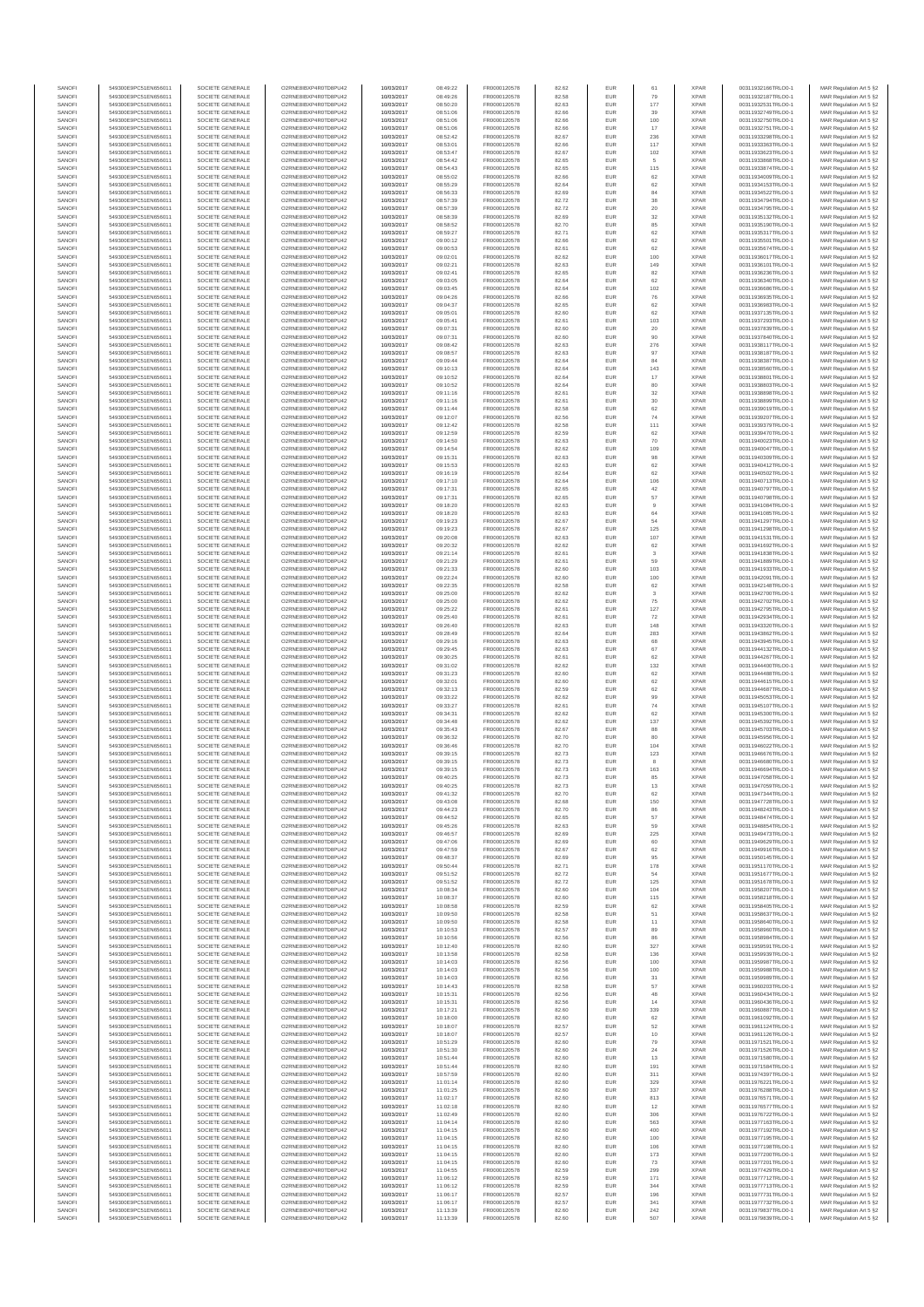| SANOFI<br>SANOFI | 549300E9PC51EN656011<br>549300E9PC51EN656011 | SOCIETE GENERALE<br>SOCIETE GENERALE | O2RNE8IBXP4R0TD8PU42<br>O2RNE8IBXP4R0TD8PU42  | 10/03/2017<br>10/03/2017 | 08:49:22<br>08:49:26 | FR0000120578<br>FR0000120578 | 82.62<br>82.58 | EUR<br>EUR        | 61<br>79           | <b>XPAR</b><br><b>XPAR</b> | 00311932166TRLO0-1<br>00311932187TRLO0-1 | MAR Regulation Art 5 §2<br>MAR Regulation Art 5 §2  |
|------------------|----------------------------------------------|--------------------------------------|-----------------------------------------------|--------------------------|----------------------|------------------------------|----------------|-------------------|--------------------|----------------------------|------------------------------------------|-----------------------------------------------------|
| SANOFI           | 549300E9PC51EN656011                         | SOCIETE GENERALE                     | O2RNE8IBXP4R0TD8PU42                          | 10/03/2017               | 08:50:20             | FR0000120578                 | 82.63          | EUR               | 177                | <b>XPAR</b>                | 00311932531TRLO0-1                       | MAR Regulation Art 5 §2                             |
| SANOFI<br>SANOFI | 549300E9PC51EN656011<br>549300E9PC51EN656011 | SOCIETE GENERALE<br>SOCIETE GENERALE | O2RNE8IBXP4R0TD8PU42<br>O2RNE8IBXP4R0TD8PU42  | 10/03/2017<br>10/03/2017 | 08:51:06<br>08:51:06 | FR0000120578<br>FR0000120578 | 82.66<br>82.66 | EUR<br>EUR        | 39                 | <b>XPAR</b><br><b>XPAR</b> | 00311932749TRLO0-1<br>00311932750TRLO0-1 | MAR Regulation Art 5 §2                             |
| SANOFI           | 549300E9PC51EN656011                         | SOCIETE GENERALE                     | O2RNE8IBXP4R0TD8PU42                          | 10/03/2017               | 08:51:06             | FR0000120578                 | 82.66          | EUR               | 100<br>17          | <b>XPAR</b>                | 00311932751TRLO0-1                       | MAR Regulation Art 5 §2<br>MAR Regulation Art 5 §2  |
| SANOFI           | 549300E9PC51EN656011                         | SOCIETE GENERALE                     | O2RNE8IBXP4R0TD8PU42                          | 10/03/2017               | 08:52:42             | FR0000120578                 | 82.67          | EUR               | 236                | <b>XPAR</b>                | 00311933298TRLO0-1                       | MAR Regulation Art 5 §2                             |
| SANOFI<br>SANOFI | 549300E9PC51EN656011<br>549300E9PC51EN656011 | SOCIETE GENERALE<br>SOCIETE GENERALE | O2RNE8IBXP4R0TD8PU42<br>O2RNE8IBXP4R0TD8PU42  | 10/03/2017<br>10/03/2017 | 08:53:01<br>08:53:47 | FR0000120578<br>FR0000120578 | 82.66<br>82.67 | EUR<br>EUR        | 117<br>102         | <b>XPAR</b><br><b>XPAR</b> | 00311933363TRLO0-1<br>00311933623TRLO0-1 | MAR Regulation Art 5 §2<br>MAR Regulation Art 5 §2  |
| SANOFI           | 549300E9PC51EN656011                         | SOCIETE GENERALE                     | O2RNE8IBXP4R0TD8PU42                          | 10/03/2017               | 08:54:42             | FR0000120578                 | 82.65          | EUR               | 5                  | <b>XPAR</b>                | 00311933868TRLO0-1                       | MAR Regulation Art 5 §2                             |
| SANOFI<br>SANOFI | 549300E9PC51EN656011<br>549300E9PC51EN656011 | SOCIETE GENERALE<br>SOCIETE GENERALE | O2RNE8IBXP4R0TD8PU42<br>O2RNE8IBXP4R0TD8PU42  | 10/03/2017<br>10/03/2017 | 08:54:43<br>08:55:02 | FR0000120578<br>FR0000120578 | 82.65<br>82.66 | EUR<br>EUR        | 115<br>62          | <b>XPAR</b><br><b>XPAR</b> | 00311933874TRLO0-1<br>00311934009TRLO0-1 | MAR Regulation Art 5 §2<br>MAR Regulation Art 5 §2  |
| SANOFI           | 549300E9PC51EN656011                         | SOCIETE GENERALE                     | O2RNE8IBXP4R0TD8PU42                          | 10/03/2017               | 08:55:29             | FR0000120578                 | 82.64          | EUR               | 62                 | <b>XPAR</b>                | 00311934153TRLO0-1                       | MAR Regulation Art 5 §2                             |
| SANOFI<br>SANOFI | 549300E9PC51EN656011<br>549300E9PC51EN656011 | SOCIETE GENERALE<br>SOCIETE GENERALE | O2RNE8IBXP4R0TD8PU42<br>O2RNE8IBXP4R0TD8PU42  | 10/03/2017<br>10/03/2017 | 08:56:33<br>08:57:39 | FR0000120578<br>FR0000120578 | 82.69<br>82.72 | EUR<br>EUR        | 84<br>$_{38}$      | <b>XPAR</b><br><b>XPAR</b> | 00311934522TRLO0-1<br>00311934794TRLO0-1 | MAR Regulation Art 5 §2<br>MAR Regulation Art 5 §2  |
| SANOFI           | 549300E9PC51EN656011                         | SOCIETE GENERALE                     | O2RNE8IBXP4R0TD8PU42                          | 10/03/2017               | 08:57:39             | FR0000120578                 | 82.72          | EUR               | 20                 | <b>XPAR</b>                | 00311934795TRLO0-1                       | MAR Regulation Art 5 §2                             |
| SANOFI<br>SANOFI | 549300E9PC51EN656011<br>549300E9PC51EN656011 | SOCIETE GENERALE<br>SOCIETE GENERALE | O2RNE8IBXP4R0TD8PU42<br>O2RNE8IBXP4R0TD8PU42  | 10/03/2017<br>10/03/2017 | 08:58:39<br>08:58:52 | FR0000120578<br>FR0000120578 | 82.69<br>82.70 | EUR<br>EUR        | $32\,$<br>85       | <b>XPAR</b><br><b>XPAR</b> | 00311935132TRLO0-1<br>00311935190TRLO0-1 | MAR Regulation Art 5 §2<br>MAR Regulation Art 5 §2  |
| SANOFI           | 549300E9PC51EN656011                         | SOCIETE GENERALE                     | O2RNE8IBXP4R0TD8PU42                          | 10/03/2017               | 08:59:27             | FR0000120578                 | 82.71          | EUR               | 62                 | <b>XPAR</b>                | 00311935317TRLO0-1                       | MAR Regulation Art 5 §2                             |
| SANOFI           | 549300E9PC51EN656011                         | SOCIETE GENERALE                     | O2RNE8IBXP4R0TD8PU42                          | 10/03/2017               | 09:00:12             | FR0000120578<br>FR0000120578 | 82.66          | EUR               | 62<br>62           | <b>XPAR</b>                | 00311935501TRLO0-1                       | MAR Regulation Art 5 §2                             |
| SANOFI<br>SANOFI | 549300E9PC51EN656011<br>549300E9PC51EN656011 | SOCIETE GENERALE<br>SOCIETE GENERALE | O2RNE8IBXP4R0TD8PU42<br>O2RNE8IBXP4R0TD8PU42  | 10/03/2017<br>10/03/2017 | 09:00:53<br>09:02:01 | FR0000120578                 | 82.61<br>82.62 | EUR<br>EUR        | 100                | <b>XPAR</b><br><b>XPAR</b> | 00311935674TRLO0-1<br>00311936017TRLO0-1 | MAR Regulation Art 5 §2<br>MAR Regulation Art 5 §2  |
| SANOFI           | 549300E9PC51EN656011                         | SOCIETE GENERALE                     | O2RNE8IBXP4R0TD8PU42                          | 10/03/2017               | 09:02:21             | FR0000120578                 | 82.63          | EUR               | 149                | <b>XPAR</b>                | 00311936101TRLO0-1                       | MAR Regulation Art 5 §2                             |
| SANOFI<br>SANOFI | 549300E9PC51EN656011<br>549300E9PC51EN656011 | SOCIETE GENERALE<br>SOCIETE GENERALE | O2RNE8IBXP4R0TD8PU42<br>O2RNE8IBXP4R0TD8PU42  | 10/03/2017<br>10/03/2017 | 09:02:41<br>09:03:05 | FR0000120578<br>FR0000120578 | 82.65<br>82.64 | EUR<br>EUR        | 82<br>62           | <b>XPAR</b><br><b>XPAR</b> | 00311936236TRLO0-1<br>00311936340TRLO0-1 | MAR Regulation Art 5 §2<br>MAR Regulation Art 5 §2  |
| SANOFI           | 549300E9PC51EN656011                         | SOCIETE GENERALE                     | O2RNE8IBXP4R0TD8PU42                          | 10/03/2017               | 09:03:45             | FR0000120578                 | 82.64          | EUR               | 102                | <b>XPAR</b>                | 00311936686TRLO0-1                       | MAR Regulation Art 5 §2                             |
| SANOFI<br>SANOFI | 549300E9PC51EN656011<br>549300E9PC51EN656011 | SOCIETE GENERALE<br>SOCIETE GENERALE | O2RNESIBXP4R0TD8PLI42<br>O2RNE8IBXP4R0TD8PU42 | 10/03/2017<br>10/03/2017 | 09:04:26<br>09:04:37 | FR0000120578<br>FR0000120578 | 82.66<br>82.65 | EUR<br>EUR        | 76<br>62           | <b>XPAR</b><br><b>XPAR</b> | 00311936935TRLO0-1<br>00311936983TRLO0-1 | MAR Regulation Art 5 §2<br>MAR Regulation Art 5 §2  |
| SANOFI           | 549300E9PC51EN656011                         | SOCIETE GENERALE                     | O2RNE8IBXP4R0TD8PU42                          | 10/03/2017               | 09:05:01             | FR0000120578                 | 82.60          | EUR               | 62                 | <b>XPAR</b>                | 00311937135TRLO0-1                       | MAR Regulation Art 5 §2                             |
| SANOFI<br>SANOFI | 549300E9PC51EN656011<br>549300E9PC51EN656011 | SOCIETE GENERALE<br>SOCIETE GENERALE | O2RNE8IBXP4R0TD8PU42<br>O2RNE8IBXP4R0TD8PU42  | 10/03/2017<br>10/03/2017 | 09:05:41<br>09:07:31 | FR0000120578<br>FR0000120578 | 82.61<br>82.60 | EUR<br>EUR        | 103<br>20          | <b>XPAR</b><br><b>XPAR</b> | 00311937293TRLO0-1<br>00311937839TRLO0-1 | MAR Regulation Art 5 \$2<br>MAR Regulation Art 5 §2 |
| SANOFI           | 549300E9PC51EN656011                         | SOCIETE GENERALE                     | O2RNE8IBXP4R0TD8PU42                          | 10/03/2017               | 09:07:31             | FR0000120578                 | 82.60          | EUR               | 90                 | <b>XPAR</b>                | 00311937840TRLO0-1                       | MAR Regulation Art 5 §2                             |
| SANOFI<br>SANOFI | 549300E9PC51EN656011<br>549300E9PC51EN656011 | SOCIETE GENERALE<br>SOCIETE GENERALE | O2RNE8IBXP4R0TD8PU42<br>O2RNE8IBXP4R0TD8PU42  | 10/03/2017<br>10/03/2017 | 09:08:42<br>09:08:57 | FR0000120578<br>FR0000120578 | 82.63<br>82.63 | EUR<br>EUR        | 276<br>97          | <b>XPAR</b><br><b>XPAR</b> | 00311938117TRLO0-1<br>00311938187TRLO0-1 | MAR Regulation Art 5 §2<br>MAR Regulation Art 5 §2  |
| SANOFI           | 549300E9PC51EN656011                         | SOCIETE GENERALE                     | O2RNE8IBXP4R0TD8PU42                          | 10/03/2017               | 09:09:44             | FR0000120578                 | 82.64          | EUR               | 84                 | <b>XPAR</b>                | 00311938387TRLO0-1                       | MAR Regulation Art 5 §2                             |
| SANOFI<br>SANOFI | 549300E9PC51EN656011<br>549300E9PC51EN656011 | SOCIETE GENERALE<br>SOCIETE GENERALE | O2RNE8IBXP4R0TD8PU42<br>O2RNE8IBXP4R0TD8PU42  | 10/03/2017<br>10/03/2017 | 09:10:13<br>09:10:52 | FR0000120578<br>FR0000120578 | 82.64<br>82.64 | EUR<br>EUR        | 143<br>17          | <b>XPAR</b><br><b>XPAR</b> | 00311938560TRLO0-1<br>00311938801TRLO0-1 | MAR Regulation Art 5 §2<br>MAR Regulation Art 5 §2  |
| SANOFI           | 549300E9PC51EN656011                         | SOCIETE GENERALE                     | O2RNE8IBXP4R0TD8PU42                          | 10/03/2017               | 09:10:52             | FR0000120578                 | 82.64          | EUR               | 80                 | <b>XPAR</b>                | 00311938803TRLO0-1                       | MAR Regulation Art 5 §2                             |
| SANOFI<br>SANOFI | 549300E9PC51EN656011<br>549300E9PC51EN656011 | SOCIETE GENERALE<br>SOCIETE GENERALE | O2RNE8IBXP4R0TD8PU42<br>O2RNE8IBXP4R0TD8PU42  | 10/03/2017<br>10/03/2017 | 09:11:16<br>09:11:16 | FR0000120578<br>FR0000120578 | 82.61<br>82.61 | EUR<br>EUR        | 32<br>$30\,$       | <b>XPAR</b><br><b>XPAR</b> | 00311938898TRLO0-1<br>00311938899TRLO0-1 | MAR Regulation Art 5 §2<br>MAR Regulation Art 5 §2  |
| SANOFI           | 549300E9PC51EN656011                         | SOCIETE GENERALE                     | O2RNE8IBXP4R0TD8PU42                          | 10/03/2017               | 09:11:44             | FR0000120578                 | 82.58          | EUR               | 62                 | <b>XPAR</b>                | 00311939019TRLO0-1                       | MAR Regulation Art 5 §2                             |
| SANOFI<br>SANOFI | 549300E9PC51EN656011<br>549300E9PC51EN656011 | SOCIETE GENERALE<br>SOCIETE GENERALE | O2RNE8IBXP4R0TD8PU42<br>O2RNE8IBXP4R0TD8PU42  | 10/03/2017<br>10/03/2017 | 09:12:07<br>09:12:42 | FR0000120578<br>FR0000120578 | 82.56<br>82.58 | EUR<br>EUR        | 74<br>111          | <b>XPAR</b><br><b>XPAR</b> | 00311939207TRLO0-1<br>00311939379TRLO0-1 | MAR Regulation Art 5 §2<br>MAR Regulation Art 5 §2  |
| SANOFI           | 549300E9PC51EN656011                         | SOCIETE GENERALE                     | O2RNE8IBXP4R0TD8PU42                          | 10/03/2017               | 09:12:59             | FR0000120578                 | 82.59          | EUR               | 62                 | <b>XPAR</b>                | 00311939470TRLO0-1                       | MAR Regulation Art 5 §2                             |
| SANOFI<br>SANOFI | 549300E9PC51EN656011<br>549300E9PC51EN656011 | SOCIETE GENERALE<br>SOCIETE GENERALE | O2RNE8IBXP4R0TD8PU42<br>O2RNE8IBXP4R0TD8PU42  | 10/03/2017<br>10/03/2017 | 09:14:50<br>09:14:54 | FR0000120578<br>FR0000120578 | 82.63<br>82.62 | EUR<br>EUR        | 70<br>109          | <b>XPAR</b><br><b>XPAR</b> | 00311940023TRLO0-1<br>00311940047TRLO0-1 | MAR Regulation Art 5 §2<br>MAR Regulation Art 5 §2  |
| SANOFI           | 549300E9PC51EN656011                         | SOCIETE GENERALE                     | O2RNE8IBXP4R0TD8PU42                          | 10/03/2017               | 09:15:31             | FR0000120578                 | 82.63          | EUR               | 98                 | <b>XPAR</b>                | 00311940309TRLO0-1                       | MAR Regulation Art 5 §2                             |
| SANOFI<br>SANOFI | 549300E9PC51EN656011<br>549300E9PC51EN656011 | SOCIETE GENERALE<br>SOCIETE GENERALE | O2RNE8IBXP4R0TD8PU42<br>O2RNE8IBXP4R0TD8PU42  | 10/03/2017<br>10/03/2017 | 09:15:53<br>09:16:19 | FR0000120578<br>FR0000120578 | 82.63<br>82.64 | EUR<br>EUR        | 62<br>62           | <b>XPAR</b><br><b>XPAR</b> | 00311940412TRLO0-1<br>00311940502TRLO0-1 | MAR Regulation Art 5 62<br>MAR Regulation Art 5 §2  |
| SANOFI           | 549300E9PC51EN656011                         | SOCIETE GENERALE                     | O2RNE8IBXP4R0TD8PU42                          | 10/03/2017               | 09:17:10             | FR0000120578                 | 82.64          | EUR               | 106                | <b>XPAR</b>                | 00311940713TRLO0-1                       | MAR Regulation Art 5 §2                             |
| SANOFI<br>SANOFI | 549300E9PC51EN656011<br>549300E9PC51EN656011 | SOCIETE GENERALE<br>SOCIETE GENERALE | O2RNE8IBXP4R0TD8PU42<br>O2RNE8IBXP4R0TD8PU42  | 10/03/2017<br>10/03/2017 | 09:17:31<br>09:17:31 | FR0000120578<br>FR0000120578 | 82.65<br>82.65 | EUR<br>EUR        | 42<br>57           | <b>XPAR</b><br><b>XPAR</b> | 00311940797TRLO0-1<br>00311940798TRLO0-1 | MAR Regulation Art 5 §2<br>MAR Regulation Art 5 §2  |
| SANOFI           | 549300E9PC51EN656011                         | SOCIETE GENERALE                     | O2RNE8IBXP4R0TD8PU42                          | 10/03/2017               | 09:18:20             | FR0000120578                 | 82.63          | EUR               | 9                  | <b>XPAR</b>                | 00311941084TRLO0-1                       | MAR Regulation Art 5 §2                             |
| SANOFI<br>SANOFI | 549300E9PC51EN656011<br>549300E9PC51EN656011 | SOCIETE GENERALE<br>SOCIETE GENERALE | O2RNE8IBXP4R0TD8PU42<br>O2RNE8IBXP4R0TD8PU42  | 10/03/2017<br>10/03/2017 | 09:18:20<br>09:19:23 | FR0000120578<br>FR0000120578 | 82.63<br>82.67 | EUR<br>EUR        | 64<br>54           | <b>XPAR</b><br><b>XPAR</b> | 00311941085TRLO0-1<br>00311941297TRLO0-1 | MAR Regulation Art 5 §2                             |
| SANOFI           | 549300E9PC51EN656011                         | SOCIETE GENERALE                     | O2RNE8IBXP4R0TD8PU42                          | 10/03/2017               | 09:19:23             | FR0000120578                 | 82.67          | EUR               | 125                | <b>XPAR</b>                | 00311941298TRLO0-1                       | MAR Regulation Art 5 §2<br>MAR Regulation Art 5 §2  |
| SANOFI<br>SANOFI | 549300E9PC51EN656011<br>549300E9PC51EN656011 | SOCIETE GENERALE<br>SOCIETE GENERALE | O2RNE8IBXP4R0TD8PU42<br>O2RNE8IBXP4R0TD8PU42  | 10/03/2017<br>10/03/2017 | 09:20:08<br>09:20:32 | FR0000120578<br>FR0000120578 | 82.63<br>82.62 | EUR<br>EUR        | 107                | <b>XPAR</b><br><b>XPAR</b> | 00311941531TRLO0-1                       | MAR Regulation Art 5 §2<br>MAR Regulation Art 5 §2  |
| SANOFI           | 549300E9PC51EN656011                         | SOCIETE GENERALE                     | O2RNE8IBXP4R0TD8PU42                          | 10/03/2017               | 09:21:14             | FR0000120578                 | 82.61          | EUR               | 62<br>3            | <b>XPAR</b>                | 00311941692TRLO0-1<br>00311941838TRLO0-1 | MAR Regulation Art 5 §2                             |
| SANOFI           | 549300E9PC51EN656011                         | SOCIETE GENERALE                     | O2RNE8IBXP4R0TD8PU42                          | 10/03/2017               | 09:21:29             | FR0000120578                 | 82.61          | EUR               | 59                 | <b>XPAR</b>                | 00311941889TRLO0-1                       | MAR Regulation Art 5 §2                             |
| SANOFI<br>SANOFI | 549300E9PC51EN656011<br>549300E9PC51EN656011 | SOCIETE GENERALE<br>SOCIETE GENERALE | O2RNE8IBXP4R0TD8PU42<br>O2RNE8IBXP4R0TD8PU42  | 10/03/2017<br>10/03/2017 | 09:21:33<br>09:22:24 | FR0000120578<br>FR0000120578 | 82.60<br>82.60 | EUR<br>EUR        | 103<br>100         | <b>XPAR</b><br><b>XPAR</b> | 00311941933TRLO0-1<br>00311942091TRLO0-1 | MAR Regulation Art 5 §2<br>MAR Regulation Art 5 §2  |
| SANOFI           | 549300E9PC51EN656011                         | SOCIETE GENERALE                     | O2RNE8IBXP4R0TD8PU42                          | 10/03/2017               | 09:22:35             | FR0000120578                 | 82.58          | EUR               | 62                 | <b>XPAR</b>                | 00311942148TRLO0-1                       | MAR Regulation Art 5 §2                             |
| SANOFI<br>SANOFI | 549300E9PC51EN656011<br>549300E9PC51EN656011 | SOCIETE GENERALE<br>SOCIETE GENERALE | O2RNE8IBXP4R0TD8PU42<br>O2RNE8IBXP4R0TD8PU42  | 10/03/2017<br>10/03/2017 | 09:25:00<br>09:25:00 | FR0000120578<br>FR0000120578 | 82.62<br>82.62 | EUR<br>EUR        | $\mathbf{3}$<br>75 | <b>XPAR</b><br><b>XPAR</b> | 00311942700TRLO0-1<br>00311942702TRLO0-1 | MAR Regulation Art 5 §2<br>MAR Regulation Art 5 §2  |
| SANOFI           | 549300E9PC51EN656011                         | SOCIETE GENERALE                     | O2RNE8IBXP4R0TD8PU42                          | 10/03/2017               | 09:25:22             | FR0000120578                 | 82.61          | EUR               | 127                | <b>XPAR</b>                | 00311942795TRLO0-1                       | MAR Regulation Art 5 §2                             |
| SANOFI<br>SANOFI | 549300E9PC51EN656011<br>549300E9PC51EN656011 | SOCIETE GENERALE<br>SOCIETE GENERALE | O2RNE8IBXP4R0TD8PU42<br>O2RNE8IBXP4R0TD8PU42  | 10/03/2017<br>10/03/2017 | 09:25:40<br>09:26:40 | FR0000120578<br>FR0000120578 | 82.61<br>82.63 | EUR<br>EUR        | 72<br>148          | <b>XPAR</b><br><b>XPAR</b> | 00311942934TRLO0-1<br>00311943320TRLO0-1 | MAR Regulation Art 5 §2<br>MAR Regulation Art 5 §2  |
| SANOFI           | 549300E9PC51EN656011                         | SOCIETE GENERALE                     | O2RNE8IBXP4R0TD8PU42                          | 10/03/2017               | 09:28:49             | FR0000120578                 | 82.64          | EUR               | 283                | <b>XPAR</b>                | 00311943862TRLO0-1                       | MAR Regulation Art 5 §2                             |
| SANOFI<br>SANOFI | 549300E9PC51EN656011<br>549300E9PC51EN656011 | SOCIETE GENERALE<br>SOCIETE GENERALE | O2RNE8IBXP4R0TD8PU42<br>O2RNE8IBXP4R0TD8PU42  | 10/03/2017<br>10/03/2017 | 09:29:16<br>09:29:45 | FR0000120578<br>FR0000120578 | 82.63<br>82.63 | EUR<br>EUR        | 68<br>67           | <b>XPAR</b><br><b>XPAR</b> | 00311943945TRLO0-1<br>00311944132TRLO0-1 | MAR Regulation Art 5 §2<br>MAR Regulation Art 5 §2  |
| SANOFI           | 549300E9PC51EN656011                         | SOCIETE GENERALE                     | O2RNE8IBXP4R0TD8PU42                          | 10/03/2017               | 09:30:25             | FR0000120578                 | 82.61          | EUR               | 62                 | <b>XPAR</b>                | 00311944267TRLO0-1                       | MAR Regulation Art 5 §2                             |
| SANOFI<br>SANOFI | 549300E9PC51EN656011<br>549300E9PC51EN656011 | SOCIETE GENERALE<br>SOCIETE GENERALE | O2RNE8IBXP4R0TD8PU42<br>O2RNE8IBXP4R0TD8PU42  | 10/03/2017<br>10/03/2017 | 09:31:02<br>09:31:23 | FR0000120578<br>FR0000120578 | 82.62<br>82.60 | EUR<br>EUR        | 132<br>62          | <b>XPAR</b><br><b>XPAR</b> | 00311944400TRLO0-1<br>00311944488TRLO0-1 | MAR Regulation Art 5 \$2<br>MAR Regulation Art 5 §2 |
| SANOFI           | 549300E9PC51EN656011                         | SOCIETE GENERALE                     | O2RNE8IBXP4R0TD8PU42                          | 10/03/2017               | 09:32:01             | FR0000120578                 | 82.60          | EUR               | 62                 | <b>XPAR</b>                | 00311944615TRLO0-1                       | MAR Regulation Art 5 §2                             |
| SANOFI<br>SANOFI | 549300E9PC51EN656011<br>549300E9PC51EN656011 | SOCIETE GENERALE<br>SOCIETE GENERALE | O2RNE8IBXP4R0TD8PU42<br>O2RNESIBXP4R0TD8PLI42 | 10/03/2017<br>10/03/2017 | 09:32:13<br>09:33:22 | FR0000120578<br>FR0000120578 | 82.59<br>82.62 | EUR<br>EUR        | 62<br>99           | <b>XPAR</b><br><b>XPAR</b> | 00311944687TRLO0-1<br>00311945053TRLO0-1 | MAR Regulation Art 5 §2<br>MAR Regulation Art 5 §2  |
| SANOFI           | 549300E9PC51EN656011                         | SOCIETE GENERALE                     | O2RNE8IBXP4R0TD8PU42                          | 10/03/2017               | 09:33:27             | FR0000120578                 | 82.61          | EUR               | 74                 | <b>XPAR</b>                | 00311945107TRLO0-1                       | MAR Regulation Art 5 §2                             |
| SANOFI<br>SANOFI | 549300E9PC51EN656011<br>549300E9PC51EN656011 | SOCIETE GENERALE<br>SOCIETE GENERALE | O2RNE8IBXP4R0TD8PU42<br>O2RNE8IBXP4R0TD8PU42  | 10/03/2017<br>10/03/2017 | 09:34:31<br>09:34:48 | FR0000120578<br>FR0000120578 | 82.62<br>82.62 | EUR<br>EUR        | 62<br>137          | <b>XPAR</b><br><b>XPAR</b> | 00311945300TRLO0-1<br>00311945392TRLO0-1 | MAR Regulation Art 5 §2<br>MAR Regulation Art 5 §2  |
| SANOFI           | 549300E9PC51EN656011                         | SOCIETE GENERALE                     | O2RNE8IBXP4R0TD8PU42                          | 10/03/2017               | 09:35:43             | FR0000120578                 | 82.67          | EUR               | 88                 | <b>XPAR</b>                | 00311945703TRLO0-1                       | MAR Regulation Art 5 §2                             |
| SANOFI<br>SANOFI | 549300E9PC51EN656011<br>549300E9PC51EN656011 | SOCIETE GENERALE<br>SOCIETE GENERALE | O2RNE8IBXP4R0TD8PU42<br>O2RNE8IBXP4R0TD8PU42  | 10/03/2017<br>10/03/2017 | 09:36:32<br>09:36:46 | FR0000120578<br>FR0000120578 | 82.70<br>82.70 | EUR<br>EUR        | 80<br>104          | <b>XPAR</b><br><b>XPAR</b> | 00311945956TRLO0-1<br>00311946022TRLO0-1 | MAR Regulation Art 5 §2<br>MAR Regulation Art 5 §2  |
| SANOFI           | 549300E9PC51EN656011                         | SOCIETE GENERALE                     | O2RNE8IBXP4R0TD8PU42                          | 10/03/2017               | 09:39:15             | FR0000120578                 | 82.73          | EUR               | 123                | <b>XPAR</b>                | 00311946676TRLO0-1                       | MAR Regulation Art 5 §2                             |
| SANOFI<br>SANOFI | 549300E9PC51EN656011<br>549300E9PC51EN656011 | SOCIETE GENERALE<br>SOCIETE GENERALE | O2RNESIBXP4R0TD8PLI42<br>O2RNE8IBXP4R0TD8PU42 | 10/03/2017<br>10/03/2017 | 09:39:15<br>09:39:15 | FR0000120578<br>FR0000120578 | 82.73<br>82.73 | EUR<br><b>EUR</b> | $^{\rm 8}$<br>163  | <b>XPAR</b><br><b>XPAR</b> | 00311946680TRLO0-1<br>00311946694TRLO0-1 | MAR Regulation Art 5 §2<br>MAR Regulation Art 5 §2  |
| SANOFI           | 549300E9PC51EN656011                         | SOCIETE GENERALE                     | O2RNE8IBXP4R0TD8PU42                          | 10/03/2017               | 09:40:25             | FR0000120578                 | 82.73          | <b>EUR</b>        | 85                 | <b>XPAR</b>                | 00311947058TRLO0-1                       | MAR Regulation Art 5 §2                             |
| SANOF<br>SANOFI  | 549300E9PC51EN656011<br>549300E9PC51EN656011 | SOCIETE GENERALE<br>SOCIETE GENERALE | O2RNE8IBXP4R0TD8PU42<br>O2RNE8IBXP4R0TD8PU42  | 10/03/2017<br>10/03/2017 | 09:40:25<br>09:41:32 | FR0000120578<br>FR0000120578 | 82.73<br>82.70 | EUR               | 13<br>62           | <b>XPAR</b><br><b>XPAR</b> | 00311947059TRLO0-1<br>00311947344TRLO0-1 | MAR Regulation Art 5 §2<br>MAR Regulation Art 5 §2  |
| SANOFI           | 549300E9PC51EN656011                         | SOCIETE GENERALE                     | O2RNE8IBXP4R0TD8PU42                          | 10/03/2017               | 09:43:08             | FR0000120578                 | 82.68          | EUR               | 150                | <b>XPAR</b>                | 00311947728TRLO0-1                       | MAR Regulation Art 5 §2                             |
| SANOFI<br>SANOFI | 549300E9PC51EN656011<br>549300E9PC51EN656011 | SOCIETE GENERALE<br>SOCIETE GENERALE | O2RNE8IBXP4R0TD8PLI42<br>O2RNE8IBXP4R0TD8PU42 | 10/03/2017<br>10/03/2017 | 09:44:23<br>09:44:52 | FR0000120578<br>FR0000120578 | 82.70<br>82.65 | EUR<br>EUR        | 86<br>57           | <b>XPAR</b><br><b>XPAR</b> | 00311948243TRLO0-1<br>00311948474TRLO0-1 | MAR Regulation Art 5 \$2<br>MAR Regulation Art 5 §2 |
| SANOFI           | 549300E9PC51EN656011                         | SOCIETE GENERALE                     | O2RNE8IBXP4R0TD8PU42                          | 10/03/2017               | 09:45:26             | FR0000120578                 | 82.63          | EUR               | 59                 | <b>XPAR</b>                | 00311948854TRLO0-1                       | MAR Regulation Art 5 §2                             |
| SANOFI<br>SANOFI | 549300E9PC51EN656011<br>549300E9PC51EN656011 | SOCIETE GENERALE<br>SOCIETE GENERALE | O2RNE8IBXP4R0TD8PU42<br>O2RNE8IBXP4R0TD8PU42  | 10/03/2017<br>10/03/2017 | 09:46:57<br>09:47:06 | FR0000120578<br>FR0000120578 | 82.69<br>82.69 | EUR<br>EUR        | 225<br>60          | <b>XPAR</b><br><b>XPAR</b> | 00311949473TRLO0-1<br>00311949629TRLO0-1 | MAR Regulation Art 5 §2<br>MAR Regulation Art 5 §2  |
| SANOFI           | 549300E9PC51EN656011                         | SOCIETE GENERALE                     | O2RNE8IBXP4R0TD8PU42                          | 10/03/2017               | 09:47:59             | FR0000120578                 | 82.67          | EUR               | 62                 | <b>XPAR</b>                | 00311949916TRLO0-1                       | MAR Regulation Art 5 §2                             |
| SANOFI<br>SANOFI | 549300E9PC51EN656011<br>549300E9PC51EN656011 | SOCIETE GENERALE<br>SOCIETE GENERALE | O2RNE8IBXP4R0TD8PU42<br>O2RNE8IBXP4R0TD8PU42  | 10/03/2017<br>10/03/2017 | 09:48:37<br>09:50:44 | FR0000120578<br>FR0000120578 | 82.69<br>82.71 | EUR<br>EUR        | 95<br>178          | <b>XPAR</b><br><b>XPAR</b> | 00311950145TRLO0-1<br>00311951170TRLO0-1 | MAR Regulation Art 5 §2<br>MAR Regulation Art 5 §2  |
| SANOFI           | 549300E9PC51EN656011                         | SOCIETE GENERALE                     | O2RNE8IBXP4R0TD8PU42                          | 10/03/2017               | 09:51:52             | FR0000120578                 | 82.72          | EUR               | 54                 | <b>XPAR</b>                | 00311951677TRLO0-1                       | MAR Regulation Art 5 §2                             |
| SANOFI<br>SANOFI | 549300E9PC51EN656011<br>549300E9PC51EN656011 | SOCIETE GENERALE<br>SOCIETE GENERALE | O2RNE8IBXP4R0TD8PU42<br>O2RNE8IBXP4R0TD8PU42  | 10/03/2017<br>10/03/2017 | 09:51:52<br>10:08:34 | FR0000120578<br>FR0000120578 | 82.72<br>82.60 | EUR<br>EUR        | 125<br>104         | <b>XPAR</b><br><b>XPAR</b> | 00311951678TRLO0-1<br>00311958207TRLO0-1 | MAR Regulation Art 5 §2<br>MAR Regulation Art 5 §2  |
| SANOFI           | 549300E9PC51EN656011                         | SOCIETE GENERALE                     | O2RNE8IBXP4R0TD8PU42                          | 10/03/2017               | 10:08:37             | FR0000120578                 | 82.60          | EUR               | 115                | <b>XPAR</b>                | 00311958218TRLO0-1                       | MAR Regulation Art 5 §2                             |
| SANOFI<br>SANOFI | 549300E9PC51EN656011<br>549300E9PC51EN656011 | SOCIETE GENERALE<br>SOCIETE GENERALE | O2RNE8IBXP4R0TD8PU42<br>O2RNE8IBXP4R0TD8PU42  | 10/03/2017<br>10/03/2017 | 10:08:58<br>10:09:50 | FR0000120578<br>FR0000120578 | 82.59<br>82.58 | EUR<br>EUR        | 62<br>51           | <b>XPAR</b><br><b>XPAR</b> | 00311958405TRLO0-1<br>00311958637TRLO0-1 | MAR Regulation Art 5 §2<br>MAR Regulation Art 5 §2  |
| SANOFI           | 549300E9PC51EN656011                         | SOCIETE GENERALE                     | O2RNE8IBXP4R0TD8PU42                          | 10/03/2017               | 10:09:50             | FR0000120578                 | 82.58          | EUR               | 11                 | <b>XPAR</b>                | 00311958640TRLO0-1                       | MAR Regulation Art 5 §2                             |
| SANOFI<br>SANOFI | 549300E9PC51EN656011<br>549300E9PC51EN656011 | SOCIETE GENERALE<br>SOCIETE GENERALE | O2RNE8IBXP4R0TD8PU42<br>O2RNE8IBXP4R0TD8PU42  | 10/03/2017<br>10/03/2017 | 10:10:53<br>10:10:56 | FR0000120578<br>FR0000120578 | 82.57<br>82.56 | EUR<br>EUR        | 89<br>86           | <b>XPAR</b><br><b>XPAR</b> | 00311958960TRLO0-1<br>00311958984TRLO0-1 | MAR Regulation Art 5 §2<br>MAR Regulation Art 5 §2  |
| SANOFI           | 549300E9PC51EN656011                         | SOCIETE GENERALE                     | O2RNE8IBXP4R0TD8PU42                          | 10/03/2017               | 10:12:40             | FR0000120578                 | 82.60          | EUR               | 327                | <b>XPAR</b>                | 00311959591TRLO0-1                       | MAR Regulation Art 5 §2                             |
| SANOFI<br>SANOFI | 549300E9PC51EN656011<br>549300E9PC51EN656011 | SOCIETE GENERALE<br>SOCIETE GENERALE | O2RNE8IBXP4R0TD8PU42<br>O2RNE8IBXP4R0TD8PU42  | 10/03/2017<br>10/03/2017 | 10:13:58<br>10:14:03 | FR0000120578<br>FR0000120578 | 82.58<br>82.56 | EUR<br>EUR        | 136<br>100         | <b>XPAR</b><br><b>XPAR</b> | 00311959939TRLO0-1<br>00311959987TRLO0-1 | MAR Regulation Art 5 §2<br>MAR Regulation Art 5 §2  |
| SANOFI           | 549300E9PC51EN656011                         | SOCIETE GENERALE                     | O2RNE8IBXP4R0TD8PU42                          | 10/03/2017               | 10:14:03             | FR0000120578                 | 82.56          | EUR               | 100                | <b>XPAR</b>                | 00311959988TRLO0-1                       | MAR Regulation Art 5 §2                             |
| SANOFI<br>SANOFI | 549300E9PC51EN656011<br>549300E9PC51EN656011 | SOCIETE GENERALE<br>SOCIETE GENERALE | O2RNE8IBXP4R0TD8PU42<br>O2RNE8IBXP4R0TD8PU42  | 10/03/2017<br>10/03/2017 | 10:14:03<br>10:14:43 | FR0000120578<br>FR0000120578 | 82.56<br>82.58 | EUR<br>EUR        | 31<br>57           | <b>XPAR</b><br><b>XPAR</b> | 00311959989TRLO0-1<br>00311960203TRLO0-1 | MAR Regulation Art 5 §2<br>MAR Regulation Art 5 §2  |
| SANOFI           | 549300E9PC51EN656011                         | SOCIETE GENERALE                     | O2RNE8IBXP4R0TD8PU42                          | 10/03/2017               | 10:15:31             | FR0000120578                 | 82.56          | EUR               | 48                 | <b>XPAR</b>                | 00311960434TRLO0-1                       | MAR Regulation Art 5 §2                             |
| SANOFI<br>SANOFI | 549300E9PC51EN656011<br>549300E9PC51EN656011 | SOCIETE GENERALE<br>SOCIETE GENERALE | O2RNE8IBXP4R0TD8PU42<br>O2RNE8IBXP4R0TD8PU42  | 10/03/2017<br>10/03/2017 | 10:15:31<br>10:17:21 | FR0000120578<br>FR0000120578 | 82.56<br>82.60 | EUR<br><b>EUR</b> | 14<br>339          | <b>XPAR</b><br><b>XPAR</b> | 00311960436TRLO0-1<br>00311960887TRLO0-1 | MAR Regulation Art 5 §2<br>MAR Regulation Art 5 §2  |
| SANOFI           | 549300E9PC51EN656011                         | SOCIETE GENERALE                     | O2RNE8IBXP4R0TD8PU42                          | 10/03/2017               | 10:18:00             | FR0000120578                 | 82.60          | EUR               | 62                 | <b>XPAR</b>                | 00311961092TRLO0-1                       | MAR Regulation Art 5 §2                             |
| SANOFI<br>SANOFI | 549300E9PC51EN656011<br>549300E9PC51EN656011 | SOCIETE GENERALE<br>SOCIETE GENERALE | O2RNE8IBXP4R0TD8PU42<br>O2RNE8IBXP4R0TD8PU42  | 10/03/2017<br>10/03/2017 | 10:18:07<br>10:18:07 | FR0000120578<br>FR0000120578 | 82.57<br>82.57 | EUR<br>EUR        | 52<br>10           | <b>XPAR</b><br><b>XPAR</b> | 00311961124TRLO0-1<br>00311961126TRLO0-1 | MAR Regulation Art 5 §2<br>MAR Regulation Art 5 §2  |
| SANOFI           | 549300E9PC51EN656011                         | SOCIETE GENERALE                     | O2RNE8IBXP4R0TD8PU42                          | 10/03/2017               | 10:51:29             | FR0000120578                 | 82.60          | EUR               | 79                 | <b>XPAR</b>                | 00311971521TRLO0-1                       | MAR Regulation Art 5 §2                             |
| SANOFI<br>SANOFI | 549300E9PC51EN656011<br>549300E9PC51EN656011 | SOCIETE GENERALE<br>SOCIETE GENERALE | O2RNE8IBXP4R0TD8PU42<br>O2RNE8IBXP4R0TD8PU42  | 10/03/2017<br>10/03/2017 | 10:51:30<br>10:51:44 | FR0000120578<br>FR0000120578 | 82.60<br>82.60 | EUR<br>EUR        | 24<br>13           | <b>XPAR</b><br><b>XPAR</b> | 00311971526TRLO0-1<br>00311971580TRLO0-1 | MAR Regulation Art 5 §2                             |
| SANOFI           | 549300E9PC51EN656011                         | SOCIETE GENERALE                     | O2RNE8IBXP4R0TD8PU42                          | 10/03/2017               | 10:51:44             | FR0000120578                 | 82.60          | EUR               | 191                | <b>XPAR</b>                | 00311971584TRLO0-1                       | MAR Regulation Art 5 §2<br>MAR Regulation Art 5 §2  |
| SANOFI<br>SANOFI | 549300E9PC51EN656011<br>549300E9PC51EN656011 | SOCIETE GENERALE<br>SOCIETE GENERALE | O2RNE8IBXP4R0TD8PU42<br>O2RNE8IBXP4R0TD8PU42  | 10/03/2017<br>10/03/2017 | 10:57:59<br>11:01:14 | FR0000120578<br>FR0000120578 | 82.60<br>82.60 | EUR<br>EUR        | 311<br>329         | <b>XPAR</b><br><b>XPAR</b> | 00311974397TRLO0-1<br>00311976221TRLO0-1 | MAR Regulation Art 5 §2<br>MAR Regulation Art 5 §2  |
| SANOFI           | 549300E9PC51EN656011                         | SOCIETE GENERALE                     | O2RNE8IBXP4R0TD8PU42                          | 10/03/2017               | 11:01:25             | FR0000120578                 | 82.60          | EUR               | 337                | <b>XPAR</b>                | 00311976288TRLO0-1                       | MAR Regulation Art 5 §2                             |
| SANOFI           | 549300E9PC51EN656011                         | SOCIETE GENERALE                     | O2RNE8IBXP4R0TD8PU42                          | 10/03/2017               | 11:02:17             | FR0000120578                 | 82.60          | EUR               | 813                | <b>XPAR</b>                | 00311976571TRLO0-1                       | MAR Regulation Art 5 §2                             |
| SANOFI<br>SANOFI | 549300E9PC51EN656011<br>549300E9PC51EN656011 | SOCIETE GENERALE<br>SOCIETE GENERALE | O2RNE8IBXP4R0TD8PU42<br>O2RNE8IBXP4R0TD8PU42  | 10/03/2017<br>10/03/2017 | 11:02:18<br>11:02:49 | FR0000120578<br>FR0000120578 | 82.60<br>82.60 | EUR<br>EUR        | 12<br>306          | <b>XPAR</b><br><b>XPAR</b> | 00311976577TRLO0-1<br>00311976722TRLO0-1 | MAR Regulation Art 5 §2<br>MAR Regulation Art 5 §2  |
| SANOFI           | 549300E9PC51EN656011                         | SOCIETE GENERALE                     | O2RNE8IBXP4R0TD8PU42                          | 10/03/2017               | 11:04:14             | FR0000120578                 | 82.60          | EUR               | 563                | <b>XPAR</b>                | 00311977163TRLO0-1                       | MAR Regulation Art 5 §2                             |
| SANOFI<br>SANOFI | 549300E9PC51EN656011<br>549300E9PC51EN656011 | SOCIETE GENERALE<br>SOCIETE GENERALE | O2RNE8IBXP4R0TD8PU42<br>O2RNE8IBXP4R0TD8PU42  | 10/03/2017<br>10/03/2017 | 11:04:15<br>11:04:15 | FR0000120578<br>FR0000120578 | 82.60<br>82.60 | EUR<br>EUR        | 400<br>100         | <b>XPAR</b><br><b>XPAR</b> | 00311977192TRLO0-1<br>00311977195TRLO0-1 | MAR Regulation Art 5 §2<br>MAR Regulation Art 5 §2  |
| SANOFI           | 549300E9PC51EN656011                         | SOCIETE GENERALE                     | O2RNE8IBXP4R0TD8PU42                          | 10/03/2017               | 11:04:15             | FR0000120578                 | 82.60          | EUR               | 106                | <b>XPAR</b><br><b>XPAR</b> | 00311977198TRLO0-1                       | MAR Regulation Art 5 §2                             |
| SANOFI<br>SANOFI | 549300E9PC51EN656011<br>549300E9PC51EN656011 | SOCIETE GENERALE<br>SOCIETE GENERALE | O2RNE8IBXP4R0TD8PU42<br>O2RNE8IBXP4R0TD8PU42  | 10/03/2017<br>10/03/2017 | 11:04:15<br>11:04:15 | FR0000120578<br>FR0000120578 | 82.60<br>82.60 | EUR<br>EUR        | 173<br>73          | <b>XPAR</b>                | 00311977200TRLO0-1<br>00311977201TRLO0-1 | MAR Regulation Art 5 §2<br>MAR Regulation Art 5 §2  |
| SANOFI           | 549300E9PC51EN656011                         | SOCIETE GENERALE                     | O2RNE8IBXP4R0TD8PU42                          | 10/03/2017               | 11:04:55             | FR0000120578                 | 82.59          | EUR               | 299                | <b>XPAR</b>                | 00311977429TRLO0-1                       | MAR Regulation Art 5 §2                             |
| SANOFI<br>SANOFI | 549300E9PC51EN656011<br>549300E9PC51EN656011 | SOCIETE GENERALE<br>SOCIETE GENERALE | O2RNE8IBXP4R0TD8PU42<br>O2RNE8IBXP4R0TD8PU42  | 10/03/2017<br>10/03/2017 | 11:06:12<br>11:06:12 | FR0000120578<br>FR0000120578 | 82.59<br>82.59 | EUR<br>EUR        | 171<br>344         | <b>XPAR</b><br><b>XPAR</b> | 00311977712TRLO0-1<br>00311977713TRLO0-1 | MAR Regulation Art 5 §2<br>MAR Regulation Art 5 §2  |
| SANOFI           | 549300E9PC51EN656011                         | SOCIETE GENERALE                     | O2RNE8IBXP4R0TD8PU42                          | 10/03/2017               | 11:06:17             | FR0000120578                 | 82.57          | EUR               | 196                | <b>XPAR</b>                | 00311977731TRLO0-1                       | MAR Regulation Art 5 §2                             |
| SANOFI<br>SANOFI | 549300E9PC51EN656011<br>549300E9PC51EN656011 | SOCIETE GENERALE<br>SOCIETE GENERALE | O2RNE8IBXP4R0TD8PU42<br>O2RNE8IBXP4R0TD8PU42  | 10/03/2017<br>10/03/2017 | 11:06:17<br>11:13:39 | FR0000120578<br>FR0000120578 | 82.57<br>82.60 | EUR<br>EUR        | 341<br>242         | <b>XPAR</b><br><b>XPAR</b> | 00311977732TRLO0-1<br>00311979837TRLO0-1 | MAR Regulation Art 5 §2<br>MAR Regulation Art 5 §2  |
| SANOFI           | 549300E9PC51EN656011                         | SOCIETE GENERALE                     | O2RNE8IBXP4R0TD8PU42                          | 10/03/2017               | 11:13:39             | FR0000120578                 | 82.60          | EUR               | 507                | <b>XPAR</b>                | 00311979839TRLO0-1                       | MAR Regulation Art 5 §2                             |
|                  |                                              |                                      |                                               |                          |                      |                              |                |                   |                    |                            |                                          |                                                     |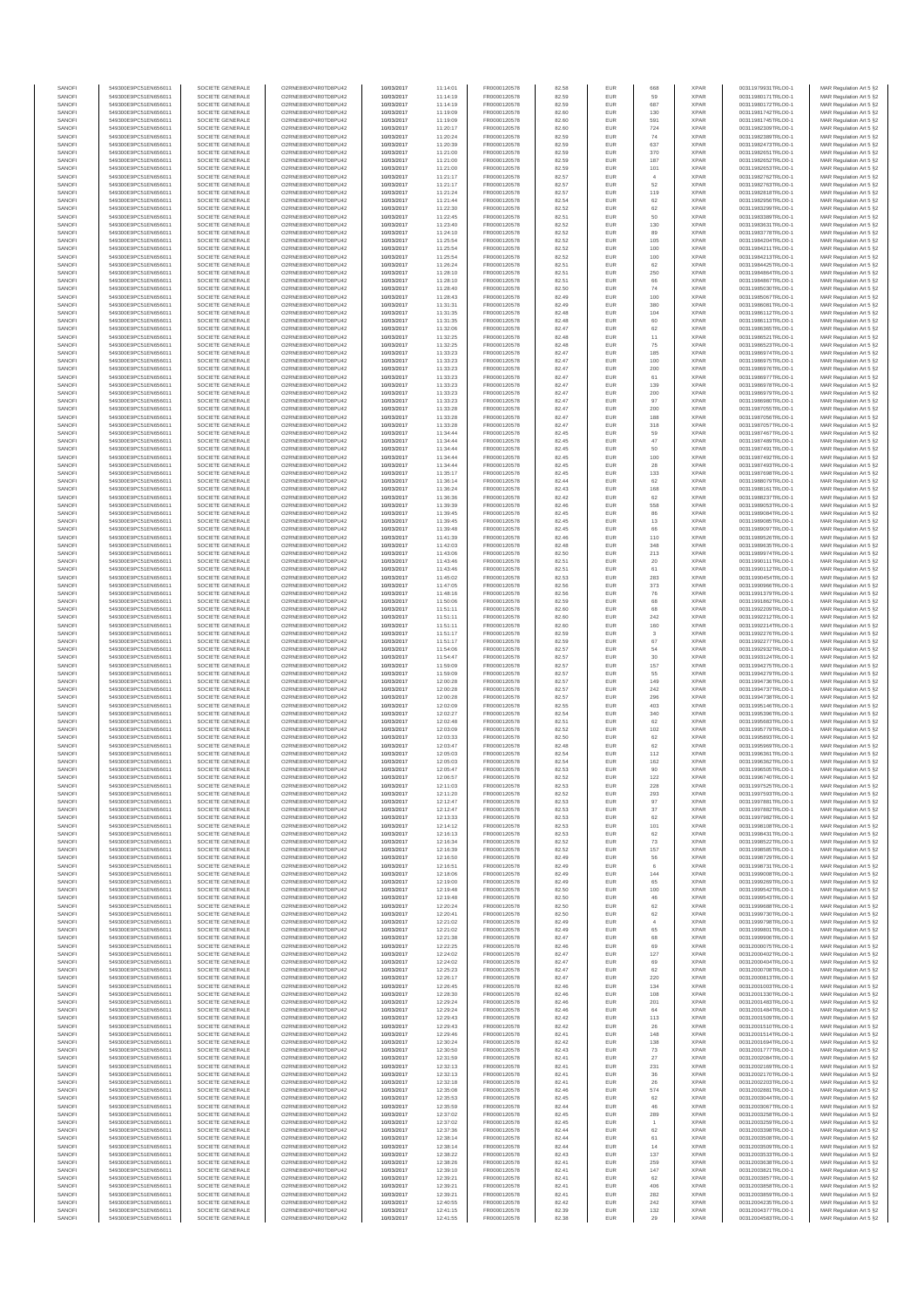| SANOFI           | 549300E9PC51EN656011                         | SOCIETE GENERALE                     | O2RNE8IBXP4R0TD8PLI42                         | 10/03/2017               | 11:14:01             | FR0000120578                 | 82.58          | <b>EUR</b>                         | 668              | <b>XPAR</b>                | 00311979931TRLO0-1                       | MAR Regulation Art 5 §2                             |
|------------------|----------------------------------------------|--------------------------------------|-----------------------------------------------|--------------------------|----------------------|------------------------------|----------------|------------------------------------|------------------|----------------------------|------------------------------------------|-----------------------------------------------------|
| SANOFI<br>SANOFI | 549300E9PC51EN656011<br>549300E9PC51EN656011 | SOCIETE GENERALE<br>SOCIETE GENERALE | O2RNE8IBXP4R0TD8PU42<br>O2RNE8IBXP4R0TD8PU42  | 10/03/2017<br>10/03/2017 | 11:14:19<br>11:14:19 | FR0000120578<br>FR0000120578 | 82.59<br>82.59 | <b>EUR</b><br>EUR                  | 59<br>687        | <b>XPAR</b><br><b>XPAR</b> | 00311980171TRLO0-1<br>00311980172TRLO0-1 | MAR Regulation Art 5 §2<br>MAR Regulation Art 5 §2  |
| SANOFI           | 549300E9PC51EN656011                         | SOCIETE GENERALE                     | O2RNE8IBXP4R0TD8PU42                          | 10/03/2017               | 11:19:09             | FR0000120578                 | 82.60          | <b>EUR</b>                         | 130              | <b>XPAR</b>                | 00311981742TRLO0-1                       | MAR Regulation Art 5 §2                             |
| SANOFI           | 549300E9PC51EN656011                         | SOCIETE GENERALE                     | O2RNE8IBXP4R0TD8PU42                          | 10/03/2017               | 11:19:09             | FR0000120578                 | 82.60          | EUR                                | 591              | <b>XPAR</b>                | 00311981745TRLO0-1                       | MAR Regulation Art 5 §2                             |
| SANOFI           | 549300E9PC51EN656011                         | SOCIETE GENERALE                     | O2RNE8IBXP4R0TD8PU42                          | 10/03/2017               | 11:20:17             | FR0000120578                 | 82.60          | EUR                                | 724              | <b>XPAR</b>                | 00311982309TRLO0-1                       | MAR Regulation Art 5 §2                             |
| SANOFI<br>SANOFI | 549300E9PC51EN656011<br>549300E9PC51EN656011 | SOCIETE GENERALE<br>SOCIETE GENERALE | O2RNE8IBXP4R0TD8PU42<br>O2RNE8IBXP4R0TD8PU42  | 10/03/2017<br>10/03/2017 | 11:20:24<br>11:20:39 | FR0000120578<br>FR0000120578 | 82.59<br>82.59 | EUR<br>EUR                         | 74<br>637        | <b>XPAR</b><br><b>XPAR</b> | 00311982389TRLO0-1<br>00311982473TRLO0-1 | MAR Regulation Art 5 §2<br>MAR Regulation Art 5 §2  |
| SANOFI           | 549300E9PC51EN656011                         | SOCIETE GENERALE                     | O2RNE8IBXP4R0TD8PU42                          | 10/03/2017               | 11:21:00             | FR0000120578                 | 82.59          | EUR                                | 370              | <b>XPAR</b>                | 00311982651TRLO0-1                       | MAR Regulation Art 5 §2                             |
| SANOFI           | 549300E9PC51EN656011                         | SOCIETE GENERALE                     | O2RNE8IBXP4R0TD8PU42                          | 10/03/2017               | 11:21:00             | FR0000120578                 | 82.59          | EUR                                | 187              | <b>XPAR</b>                | 00311982652TRLO0-1                       | MAR Regulation Art 5 §2                             |
| SANOFI<br>SANOFI | 549300E9PC51EN656011<br>549300E9PC51EN656011 | SOCIETE GENERALE<br>SOCIETE GENERALE | O2RNE8IBXP4R0TD8PLI42<br>O2RNE8IBXP4R0TD8PU42 | 10/03/2017<br>10/03/2017 | 11:21:00<br>11:21:17 | FR0000120578<br>FR0000120578 | 82.59<br>82.57 | <b>EUR</b><br>EUR                  | 101              | <b>XPAR</b><br><b>XPAR</b> | 00311982653TRLO0-1<br>00311982762TRLO0-1 | MAR Regulation Art 5 §2<br>MAR Regulation Art 5 §2  |
| SANOFI           | 549300E9PC51EN656011                         | SOCIETE GENERALE                     | O2RNE8IBXP4R0TD8PU42                          | 10/03/2017               | 11:21:17             | FR0000120578                 | 82.57          | <b>EUR</b>                         | 52               | <b>XPAR</b>                | 00311982763TRLO0-1                       | MAR Regulation Art 5 §2                             |
| SANOFI           | 549300E9PC51EN656011                         | SOCIETE GENERALE                     | O2RNE8IBXP4R0TD8PU42                          | 10/03/2017               | 11:21:24             | FR0000120578                 | 82.57          | EUR                                | 119              | <b>XPAR</b>                | 00311982818TRLO0-1                       | MAR Regulation Art 5 §2                             |
| SANOFI           | 549300E9PC51EN656011                         | SOCIETE GENERALE                     | O2RNE8IBXP4R0TD8PU42                          | 10/03/2017               | 11:21:44             | FR0000120578                 | 82.54          | EUR                                | 62               | <b>XPAR</b>                | 00311982956TRLO0-1                       | MAR Regulation Art 5 §2                             |
| SANOFI<br>SANOFI | 549300E9PC51EN656011<br>549300E9PC51EN656011 | SOCIETE GENERALE<br>SOCIETE GENERALE | O2RNE8IBXP4R0TD8PU42<br>O2RNE8IBXP4R0TD8PU42  | 10/03/2017<br>10/03/2017 | 11:22:30<br>11:22:45 | FR0000120578<br>FR0000120578 | 82.52<br>82.51 | EUR<br>EUR                         | 62<br>50         | <b>XPAR</b><br><b>XPAR</b> | 00311983299TRLO0-1<br>00311983389TRLO0-1 | MAR Regulation Art 5 §2<br>MAR Regulation Art 5 §2  |
| SANOFI           | 549300E9PC51EN656011                         | SOCIETE GENERALE                     | O2RNE8IBXP4R0TD8PU42                          | 10/03/2017               | 11:23:40             | FR0000120578                 | 82.52          | EUR                                | 130              | <b>XPAR</b>                | 00311983631TRLO0-1                       | MAR Regulation Art 5 §2                             |
| SANOFI           | 549300E9PC51EN656011                         | SOCIETE GENERALE                     | O2RNE8IBXP4R0TD8PU42                          | 10/03/2017               | 11:24:10             | FR0000120578                 | 82.52          | EUR                                | 89               | <b>XPAR</b>                | 00311983778TRLO0-1                       | MAR Regulation Art 5 §2                             |
| SANOFI           | 549300E9PC51EN656011                         | SOCIETE GENERALE                     | O2RNE8IBXP4R0TD8PLI42                         | 10/03/2017               | 11:25:54             | FR0000120578                 | 82.52          | <b>EUR</b>                         | 105              | <b>XPAR</b>                | 00311984204TRLO0-1                       | MAR Regulation Art 5 §2                             |
| SANOFI<br>SANOFI | 549300E9PC51EN656011<br>549300E9PC51EN656011 | SOCIETE GENERALE<br>SOCIETE GENERALE | O2RNE8IBXP4R0TD8PU42<br>O2RNE8IBXP4R0TD8PU42  | 10/03/2017<br>10/03/2017 | 11:25:54<br>11:25:54 | FR0000120578<br>FR0000120578 | 82.52<br>82.52 | EUR<br><b>EUR</b>                  | 100<br>100       | <b>XPAR</b><br><b>XPAR</b> | 00311984211TRLO0-1<br>00311984213TRLO0-1 | MAR Regulation Art 5 §2<br>MAR Regulation Art 5 §2  |
| SANOFI           | 549300E9PC51EN656011                         | SOCIETE GENERALE                     | O2RNE8IBXP4R0TD8PU42                          | 10/03/2017               | 11:26:24             | FR0000120578                 | 82.51          | EUR                                | 62               | <b>XPAR</b>                | 00311984425TRLO0-1                       | MAR Regulation Art 5 §2                             |
| SANOFI           | 549300E9PC51EN656011                         | SOCIETE GENERALE                     | O2RNESIBXP4R0TD8PLI42                         | 10/03/2017               | 11:28:10             | FR0000120578                 | 82.51          | EUR                                | 250              | <b>XPAR</b>                | 00311984864TRLO0-1                       | MAR Regulation Art 5 §2                             |
| SANOFI           | 549300E9PC51EN656011                         | SOCIETE GENERALE                     | O2RNE8IBXP4R0TD8PU42                          | 10/03/2017               | 11:28:10             | FR0000120578                 | 82.51          | EUR                                | 66               | <b>XPAR</b>                | 00311984867TRLO0-1                       | MAR Regulation Art 5 §2                             |
| SANOFI<br>SANOFI | 549300E9PC51EN656011<br>549300E9PC51EN656011 | SOCIETE GENERALE<br>SOCIETE GENERALE | O2RNE8IBXP4R0TD8PU42<br>O2RNE8IBXP4R0TD8PU42  | 10/03/2017<br>10/03/2017 | 11:28:40<br>11:28:43 | FR0000120578<br>FR0000120578 | 82.50<br>82.49 | EUR<br>EUR                         | $74\,$<br>100    | <b>XPAR</b><br><b>XPAR</b> | 00311985030TRLO0-1<br>00311985067TRLO0-1 | MAR Regulation Art 5 §2<br>MAR Regulation Art 5 §2  |
| SANOFI           | 549300E9PC51EN656011                         | SOCIETE GENERALE                     | O2RNE8IBXP4R0TD8PU42                          | 10/03/2017               | 11:31:31             | FR0000120578                 | 82.49          | EUR                                | 380              | <b>XPAR</b>                | 00311986081TRLO0-1                       | MAR Regulation Art 5 §2                             |
| SANOFI           | 549300E9PC51EN656011                         | SOCIETE GENERALE                     | O2RNE8IBXP4R0TD8PU42                          | 10/03/2017               | 11:31:35             | FR0000120578                 | 82.48          | EUR                                | 104              | <b>XPAR</b>                | 00311986112TRLO0-1                       | MAR Regulation Art 5 §2                             |
| SANOFI<br>SANOFI | 549300E9PC51EN656011<br>549300E9PC51EN656011 | SOCIETE GENERALE<br>SOCIETE GENERALE | O2RNE8IBXP4R0TD8PU42<br>O2RNE8IBXP4R0TD8PU42  | 10/03/2017<br>10/03/2017 | 11:31:35<br>11:32:06 | FR0000120578<br>FR0000120578 | 82.48<br>82.47 | EUR<br><b>EUR</b>                  | 60<br>62         | <b>XPAR</b><br><b>XPAR</b> | 00311986113TRLO0-1<br>00311986365TRLO0-1 | MAR Regulation Art 5 §2<br>MAR Regulation Art 5 §2  |
| SANOFI           | 549300E9PC51EN656011                         | SOCIETE GENERALE                     | O2RNE8IBXP4R0TD8PU42                          | 10/03/2017               | 11:32:25             | FR0000120578                 | 82.48          | EUR                                | 11               | <b>XPAR</b>                | 00311986521TRLO0-1                       | MAR Regulation Art 5 §2                             |
| SANOFI           | 549300E9PC51EN656011                         | SOCIETE GENERALE                     | O2RNE8IBXP4R0TD8PU42                          | 10/03/2017               | 11:32:25             | FR0000120578                 | 82.48          | EUR                                | 75               | <b>XPAR</b>                | 00311986523TRLO0-1                       | MAR Regulation Art 5 §2                             |
| SANOFI           | 549300E9PC51EN656011                         | SOCIETE GENERALE                     | O2RNE8IBXP4R0TD8PU42                          | 10/03/2017               | 11:33:23             | FR0000120578                 | 82.47          | EUR                                | 185              | <b>XPAR</b>                | 00311986974TRLO0-1                       | MAR Regulation Art 5 §2                             |
| SANOFI<br>SANOFI | 549300E9PC51EN656011<br>549300E9PC51EN656011 | SOCIETE GENERALE<br>SOCIETE GENERALE | O2RNE8IBXP4R0TD8PU42<br>O2RNE8IBXP4R0TD8PU42  | 10/03/2017<br>10/03/2017 | 11:33:23<br>11:33:23 | FR0000120578<br>FR0000120578 | 82.47<br>82.47 | EUR<br><b>EUR</b>                  | 100<br>200       | <b>XPAR</b><br><b>XPAR</b> | 00311986975TRLO0-1<br>00311986976TRLO0-1 | MAR Regulation Art 5 §2<br>MAR Regulation Art 5 §2  |
| SANOFI           | 549300E9PC51EN656011                         | SOCIETE GENERALE                     | O2RNE8IBXP4R0TD8PU42                          | 10/03/2017               | 11:33:23             | FR0000120578                 | 82.47          | EUR                                | 61               | <b>XPAR</b>                | 00311986977TRLO0-1                       | MAR Regulation Art 5 §2                             |
| SANOFI           | 549300E9PC51EN656011                         | SOCIETE GENERALE                     | O2RNE8IBXP4R0TD8PU42                          | 10/03/2017               | 11:33:23             | FR0000120578                 | 82.47          | <b>EUR</b>                         | 139              | <b>XPAR</b>                | 00311986978TRLO0-1                       | MAR Regulation Art 5 §2                             |
| SANOFI<br>SANOFI | 549300E9PC51EN656011<br>549300E9PC51EN656011 | SOCIETE GENERALE<br>SOCIETE GENERALE | O2RNE8IBXP4R0TD8PU42<br>O2RNE8IBXP4R0TD8PU42  | 10/03/2017<br>10/03/2017 | 11:33:23<br>11:33:23 | FR0000120578<br>FR0000120578 | 82.47<br>82.47 | EUR<br>EUR                         | 200<br>97        | <b>XPAR</b><br><b>XPAR</b> | 00311986979TRLO0-1<br>00311986980TRLO0-1 | MAR Regulation Art 5 §2<br>MAR Regulation Art 5 §2  |
| SANOFI           | 549300E9PC51EN656011                         | SOCIETE GENERALE                     | O2RNE8IBXP4R0TD8PU42                          | 10/03/2017               | 11:33:28             | FR0000120578                 | 82.47          | EUR                                | 200              | <b>XPAR</b>                | 00311987055TRLO0-1                       | MAR Regulation Art 5 §2                             |
| SANOFI           | 549300E9PC51EN656011                         | SOCIETE GENERALE                     | O2RNE8IBXP4R0TD8PU42                          | 10/03/2017               | 11:33:28             | FR0000120578                 | 82.47          | EUR                                | 188              | <b>XPAR</b>                | 00311987056TRLO0-1                       | MAR Regulation Art 5 §2                             |
| SANOFI           | 549300E9PC51EN656011                         | SOCIETE GENERALE                     | O2RNE8IBXP4R0TD8PU42                          | 10/03/2017               | 11:33:28             | FR0000120578                 | 82.47          | EUR                                | 318              | <b>XPAR</b>                | 00311987057TRLO0-1                       | MAR Regulation Art 5 §2                             |
| SANOFI<br>SANOFI | 549300E9PC51EN656011<br>549300E9PC51EN656011 | SOCIETE GENERALE<br>SOCIETE GENERALE | O2RNE8IBXP4R0TD8PLI42<br>O2RNE8IBXP4R0TD8PU42 | 10/03/2017<br>10/03/2017 | 11:34:44<br>11:34:44 | FR0000120578<br>FR0000120578 | 82.45<br>82.45 | EUR<br><b>EUR</b>                  | 59<br>47         | <b>XPAR</b><br><b>XPAR</b> | 00311987467TRLO0-1<br>00311987489TRLO0-1 | MAR Regulation Art 5 §2<br>MAR Regulation Art 5 §2  |
| SANOFI           | 549300E9PC51EN656011                         | SOCIETE GENERALE                     | O2RNE8IBXP4R0TD8PU42                          | 10/03/2017               | 11:34:44             | FR0000120578                 | 82.45          | EUR                                | 50               | <b>XPAR</b>                | 00311987491TRLO0-1                       | MAR Regulation Art 5 §2                             |
| SANOFI           | 549300E9PC51EN656011                         | SOCIETE GENERALE                     | O2RNE8IBXP4R0TD8PU42                          | 10/03/2017               | 11:34:44             | FR0000120578                 | 82.45          | <b>EUR</b>                         | 100              | <b>XPAR</b>                | 00311987492TRLO0-1                       | MAR Regulation Art 5 §2                             |
| SANOFI           | 549300E9PC51EN656011                         | SOCIETE GENERALE                     | O2RNE8IBXP4R0TD8PU42                          | 10/03/2017               | 11:34:44             | FR0000120578                 | 82.45          | EUR                                | 28               | <b>XPAR</b>                | 00311987493TRLO0-1                       | MAR Regulation Art 5 §2                             |
| SANOFI<br>SANOFI | 549300E9PC51EN656011<br>549300E9PC51EN656011 | SOCIETE GENERALE<br>SOCIETE GENERALE | O2RNE8IBXP4R0TD8PU42<br>O2RNE8IBXP4R0TD8PU42  | 10/03/2017<br>10/03/2017 | 11:35:17<br>11:36:14 | FR0000120578<br>FR0000120578 | 82.45<br>82.44 | EUR<br>EUR                         | 133<br>62        | <b>XPAR</b><br><b>XPAR</b> | 00311987698TRLO0-1<br>00311988079TRLO0-1 | MAR Regulation Art 5 §2<br>MAR Regulation Art 5 §2  |
| SANOFI           | 549300E9PC51EN656011                         | SOCIETE GENERALE                     | O2RNE8IBXP4R0TD8PLI42                         | 10/03/2017               | 11:36:24             | FR0000120578                 | 82.43          | EUR                                | 168              | <b>XPAR</b>                | 00311988161TRLO0-1                       | MAR Regulation Art 5 §2                             |
| SANOFI           | 549300E9PC51EN656011                         | SOCIETE GENERALE                     | O2RNE8IBXP4R0TD8PU42                          | 10/03/2017               | 11:36:36             | FR0000120578                 | 82.42          | EUR                                | 62               | <b>XPAR</b>                | 00311988237TRLO0-1                       | MAR Regulation Art 5 §2                             |
| SANOFI           | 549300E9PC51EN656011                         | SOCIETE GENERALE                     | O2RNE8IBXP4R0TD8PU42                          | 10/03/2017               | 11:39:39             | FR0000120578                 | 82.46          | EUR                                | 558              | <b>XPAR</b>                | 00311989053TRLO0-1                       | MAR Regulation Art 5 §2                             |
| SANOFI<br>SANOFI | 549300E9PC51EN656011<br>549300E9PC51EN656011 | SOCIETE GENERALE<br>SOCIETE GENERALE | O2RNE8IBXP4R0TD8PU42<br>O2RNE8IBXP4R0TD8PU42  | 10/03/2017<br>10/03/2017 | 11:39:45<br>11:39:45 | FR0000120578<br>FR0000120578 | 82.45<br>82.45 | <b>EUR</b><br>EUR                  | 86<br>13         | <b>XPAR</b><br><b>XPAR</b> | 00311989084TRLO0-1<br>00311989085TRLO0-1 | MAR Regulation Art 5 §2<br>MAR Regulation Art 5 §2  |
| SANOFI           | 549300E9PC51EN656011                         | SOCIETE GENERALE                     | O2RNE8IBXP4R0TD8PU42                          | 10/03/2017               | 11:39:48             | FR0000120578                 | 82.45          | <b>EUR</b>                         | 66               | <b>XPAR</b>                | 00311989097TRLO0-1                       | MAR Regulation Art 5 §2                             |
| SANOFI           | 549300E9PC51EN656011                         | SOCIETE GENERALE                     | O2RNE8IBXP4R0TD8PU42                          | 10/03/2017               | 11:41:39             | FR0000120578                 | 82.46          | EUR                                | 110              | <b>XPAR</b>                | 00311989526TRLO0-1                       | MAR Regulation Art 5 §2                             |
| SANOFI<br>SANOFI | 549300E9PC51EN656011                         | SOCIETE GENERALE                     | O2RNE8IBXP4R0TD8PU42                          | 10/03/2017               | 11:42:03             | FR0000120578<br>FR0000120578 | 82.48          | EUR<br>EUR                         | 348<br>213       | <b>XPAR</b><br><b>XPAR</b> | 00311989635TRLO0-1                       | MAR Regulation Art 5 §2                             |
| SANOFI           | 549300E9PC51EN656011<br>549300E9PC51EN656011 | SOCIETE GENERALE<br>SOCIETE GENERALE | O2RNE8IBXP4R0TD8PU42<br>O2RNE8IBXP4R0TD8PU42  | 10/03/2017<br>10/03/2017 | 11:43:06<br>11:43:46 | FR0000120578                 | 82.50<br>82.51 | EUR                                | 20               | <b>XPAR</b>                | 00311989974TRLO0-1<br>00311990111TRLO0-1 | MAR Regulation Art 5 §2<br>MAR Regulation Art 5 §2  |
| SANOFI           | 549300E9PC51EN656011                         | SOCIETE GENERALE                     | O2RNE8IBXP4R0TD8PU42                          | 10/03/2017               | 11:43:46             | FR0000120578                 | 82.51          | EUR                                | 61               | <b>XPAR</b>                | 00311990112TRLO0-1                       | MAR Regulation Art 5 §2                             |
| SANOFI           | 549300E9PC51EN656011                         | SOCIETE GENERALE                     | O2RNE8IBXP4R0TD8PU42                          | 10/03/2017               | 11:45:02             | FR0000120578                 | 82.53          | EUR                                | 283              | <b>XPAR</b>                | 00311990454TRLO0-1                       | MAR Regulation Art 5 §2                             |
| SANOFI<br>SANOFI | 549300E9PC51EN656011<br>549300E9PC51EN656011 | SOCIETE GENERALE<br>SOCIETE GENERALE | O2RNE8IBXP4R0TD8PU42<br>O2RNE8IBXP4R0TD8PU42  | 10/03/2017<br>10/03/2017 | 11:47:05<br>11:48:16 | FR0000120578<br>FR0000120578 | 82.56<br>82.56 | <b>EUR</b><br>EUR                  | 373<br>76        | <b>XPAR</b><br><b>XPAR</b> | 00311990966TRLO0-1<br>00311991379TRLO0-1 | MAR Regulation Art 5 §2<br>MAR Regulation Art 5 §2  |
| SANOFI           | 549300E9PC51EN656011                         | SOCIETE GENERALE                     | O2RNE8IBXP4R0TD8PU42                          | 10/03/2017               | 11:50:06             | FR0000120578                 | 82.59          | <b>EUR</b>                         | 68               | <b>XPAR</b>                | 00311991862TRLO0-1                       | MAR Regulation Art 5 §2                             |
| SANOFI           | 549300E9PC51EN656011                         | SOCIETE GENERALE                     | O2RNE8IBXP4R0TD8PU42                          | 10/03/2017               | 11:51:11             | FR0000120578                 | 82.60          | EUR                                | 68               | <b>XPAR</b>                | 00311992209TRLO0-1                       | MAR Regulation Art 5 §2                             |
| SANOFI           | 549300E9PC51EN656011                         | SOCIETE GENERALE                     | O2RNE8IBXP4R0TD8PU42                          | 10/03/2017               | 11:51:11             | FR0000120578                 | 82.60          | EUR                                | 242              | <b>XPAR</b>                | 00311992212TRLO0-1                       | MAR Regulation Art 5 §2                             |
| SANOFI<br>SANOFI | 549300E9PC51EN656011<br>549300E9PC51EN656011 | SOCIETE GENERALE<br>SOCIETE GENERALE | O2RNE8IBXP4R0TD8PU42<br>O2RNE8IBXP4R0TD8PU42  | 10/03/2017<br>10/03/2017 | 11:51:11<br>11:51:17 | FR0000120578<br>FR0000120578 | 82.60<br>82.59 | EUR<br>EUR                         | 160<br>3         | <b>XPAR</b><br><b>XPAR</b> | 00311992214TRLO0-1<br>00311992276TRLO0-1 | MAR Regulation Art 5 §2<br>MAR Regulation Art 5 §2  |
| SANOFI           | 549300E9PC51EN656011                         | SOCIETE GENERALE                     | O2RNE8IBXP4R0TD8PU42                          | 10/03/2017               | 11:51:17             | FR0000120578                 | 82.59          | <b>EUR</b>                         | 67               | <b>XPAR</b>                | 00311992277TRLO0-1                       | MAR Regulation Art 5 §2                             |
| SANOFI           | 549300E9PC51EN656011                         | SOCIETE GENERALE                     | O2RNE8IBXP4R0TD8PU42                          | 10/03/2017               | 11:54:06             | FR0000120578                 | 82.57          | EUR                                | 54               | <b>XPAR</b>                | 00311992932TRLO0-1                       | MAR Regulation Art 5 §2                             |
| SANOFI           | 549300E9PC51EN656011                         | SOCIETE GENERALE                     | O2RNE8IBXP4R0TD8PU42                          | 10/03/2017               | 11:54:47             | FR0000120578                 | 82.57          | EUR                                | 30               | <b>XPAR</b>                | 00311993124TRLO0-1                       | MAR Regulation Art 5 §2                             |
| SANOFI<br>SANOFI | 549300E9PC51EN656011<br>549300E9PC51EN656011 | SOCIETE GENERALE<br>SOCIETE GENERALE | O2RNE8IBXP4R0TD8PU42<br>O2RNE8IBXP4R0TD8PU42  | 10/03/2017<br>10/03/2017 | 11:59:09<br>11:59:09 | FR0000120578<br>FR0000120578 | 82.57<br>82.57 | EUR<br><b>EUR</b>                  | 157<br>55        | <b>XPAR</b><br><b>XPAR</b> | 00311994275TRLO0-1<br>00311994279TRLO0-1 | MAR Regulation Art 5 §2<br>MAR Regulation Art 5 §2  |
| SANOFI           | 549300E9PC51EN656011                         | SOCIETE GENERALE                     | O2RNE8IBXP4R0TD8PU42                          | 10/03/2017               | 12:00:28             | FR0000120578                 | 82.57          | EUR                                | 149              | <b>XPAR</b>                | 00311994736TRLO0-1                       | MAR Regulation Art 5 §2                             |
| SANOFI           | 549300E9PC51EN656011                         | SOCIETE GENERALE                     | O2RNE8IBXP4R0TD8PLI42                         | 10/03/2017               | 12:00:28             | FR0000120578                 | 82.57          | EUR                                | 242              | <b>XPAR</b>                | 00311994737TRLO0-1                       | MAR Regulation Art 5 §2                             |
| SANOFI           | 549300E9PC51EN656011                         | SOCIETE GENERALE                     | O2RNE8IBXP4R0TD8PU42<br>O2RNE8IBXP4R0TD8PU42  | 10/03/2017               | 12:00:28             | FR0000120578                 | 82.57          | EUR                                | 296              | <b>XPAR</b>                | 00311994738TRLO0-1                       | MAR Regulation Art 5 §2                             |
| SANOFI<br>SANOFI | 549300E9PC51EN656011<br>549300E9PC51EN656011 | SOCIETE GENERALE<br>SOCIETE GENERALE | O2RNE8IBXP4R0TD8PU42                          | 10/03/2017<br>10/03/2017 | 12:02:09<br>12:02:27 | FR0000120578<br>FR0000120578 | 82.55<br>82.54 | EUR<br><b>EUR</b>                  | 403<br>340       | <b>XPAR</b><br><b>XPAR</b> | 00311995146TRLO0-1<br>00311995396TRLO0-1 | MAR Regulation Art 5 §2<br>MAR Regulation Art 5 §2  |
| SANOFI           | 549300E9PC51EN656011                         | SOCIETE GENERALE                     | O2RNE8IBXP4R0TD8PU42                          | 10/03/2017               | 12:02:48             | FR0000120578                 | 82.51          | EUR                                | 62               | <b>XPAR</b>                | 00311995683TRLO0-1                       | MAR Regulation Art 5 §2                             |
| SANOFI           | 549300E9PC51EN656011                         | SOCIETE GENERALE                     | O2RNE8IBXP4R0TD8PU42                          | 10/03/2017               | 12:03:09             | FR0000120578                 | 82.52          | <b>EUR</b>                         | 102              | <b>XPAR</b>                | 00311995779TRLO0-1                       | MAR Regulation Art 5 §2                             |
| SANOFI<br>SANOFI | 549300E9PC51EN656011<br>549300E9PC51EN656011 | SOCIETE GENERALE<br>SOCIETE GENERALE | O2RNE8IBXP4R0TD8PU42<br>O2RNE8IBXP4R0TD8PU42  | 10/03/2017<br>10/03/2017 | 12:03:33<br>12:03:47 | FR0000120578<br>FR0000120578 | 82.50<br>82.48 | EUR<br>EUR                         | 62<br>62         | <b>XPAR</b><br><b>XPAR</b> | 00311995893TRLO0-1<br>00311995969TRLO0-1 | MAR Regulation Art 5 §2<br>MAR Regulation Art 5 §2  |
| SANOFI           | 549300E9PC51EN656011                         | SOCIETE GENERALE                     | O2RNE8IBXP4R0TD8PU42                          | 10/03/2017               | 12:05:03             | FR0000120578                 | 82.54          | EUR                                | 112              | <b>XPAR</b>                | 00311996361TRLO0-1                       | MAR Regulation Art 5 §2                             |
| SANOFI           | 549300E9PC51EN656011                         | SOCIETE GENERALE                     | O2RNESIBXP4R0TD8PLI42                         | 10/03/2017               | 12:05:03             | FR0000120578                 | 82.54          | EUR                                | 162              | <b>XPAR</b>                | 00311996362TRLO0-1                       | MAR Regulation Art 5 §2                             |
| SANOFI           | 549300E9PC51EN656011                         | SOCIETE GENERALE                     | O2RNE8IBXP4R0TD8PU42                          | 10/03/2017               | 12:05:47             | FR0000120578                 | 82.53          | EUR                                | 90               | <b>XPAR</b>                | 00311996505TRLO0-1                       | MAR Regulation Art 5 §2                             |
| SANOFI<br>SANOFI | 549300E9PC51EN656011<br>549300E9PC51EN656011 | SOCIETE GENERALE<br>SOCIETE GENERALE | O2RNE8IBXP4R0TD8PU42<br>O2RNE8IBXP4R0TD8PU42  | 10/03/2017<br>10/03/2017 | 12:06:57<br>12:11:03 | FR0000120578<br>FR0000120578 | 82.52<br>82.53 | EUR<br><b>EUR</b>                  | 122<br>228       | <b>XPAR</b><br><b>XPAR</b> | 00311996740TRLO0-1<br>00311997525TRLO0-1 | MAR Regulation Art 5 §2<br>MAR Regulation Art 5 §2  |
| SANOFI           | 549300E9PC51EN656011                         | SOCIETE GENERALE                     | O2RNE8IBXP4R0TD8PU42                          | 10/03/2017               | 12:11:20             | FR0000120578                 | 82.52          | EUR                                | 293              | <b>XPAR</b>                | 00311997593TRLO0-1                       | MAR Regulation Art 5 §2                             |
| SANOFI           | 549300E9PC51EN656011                         | SOCIETE GENERALE                     | O2RNE8IBXP4R0TD8PU42                          | 10/03/2017               | 12:12:47             | FR0000120578                 | 82.53          | <b>EUR</b>                         | 97               | <b>XPAR</b>                | 00311997881TRLO0-1                       | MAR Regulation Art 5 \$2                            |
| SANOFI           | 549300E9PC51EN656011                         | SOCIETE GENERALE                     | O2RNE8IBXP4R0TD8PU42                          | 10/03/2017               | 12:12:47             | FR0000120578                 | 82.53          | EUR                                | 37               | <b>XPAR</b>                | 00311997882TRLO0-1                       | MAR Regulation Art 5 §2                             |
| SANOFI<br>SANOFI | 549300E9PC51EN656011<br>549300E9PC51EN656011 | SOCIETE GENERALE<br>SOCIETE GENERALE | O2RNE8IBXP4R0TD8PU42<br>O2RNE8IBXP4R0TD8PU42  | 10/03/2017<br>10/03/2017 | 12:13:33<br>12:14:12 | FR0000120578<br>FR0000120578 | 82.53<br>82.53 | <b>EUR</b><br>EUR                  | 62<br>101        | <b>XPAR</b><br><b>XPAR</b> | 00311997982TRLO0-1<br>00311998108TRLO0-1 | MAR Regulation Art 5 §2<br>MAR Regulation Art 5 §2  |
| SANOFI           | 549300E9PC51EN656011                         | SOCIETE GENERALE                     | O2RNESIBXP4R0TD8PLI42                         | 10/03/2017               | 12:16:13             | FR0000120578                 | 82.53          | EUR                                | 62               | <b>XPAR</b>                | 00311998431TRLO0-1                       | MAR Regulation Art 5 §2                             |
| SANOFI           | 549300E9PC51EN656011                         | SOCIETE GENERALE                     | O2RNE8IBXP4R0TD8PU42                          | 10/03/2017               | 12:16:34             | FR0000120578                 | 82.52          | EUR                                | 73               | <b>XPAR</b>                | 00311998522TRLO0-1                       | MAR Regulation Art 5 §2                             |
| SANOFI<br>SANOFI | 549300E9PC51EN656011<br>549300E9PC51EN656011 | SOCIETE GENERALE<br>SOCIETE GENERALE | O2RNE8IBXP4R0TD8PU42<br>O2RNE8IBXP4R0TD8PLI42 | 10/03/2017<br>10/03/2017 | 12:16:39<br>12:16:50 | FR0000120578<br>FR0000120578 | 82.52<br>82.49 | EUR<br><b>EUR</b>                  | 157<br>56        | <b>XPAR</b><br><b>XPAR</b> | 00311998585TRLO0-1<br>00311998729TRLO0-1 | MAR Regulation Art 5 §2<br>MAR Regulation Art 5 §2  |
| SANOFI           | 549300E9PC51EN656011                         | SOCIETE GENERALE                     | O2RNE8IBXP4R0TD8PU42                          | 10/03/2017               | 12:16:51             | FR0000120578                 | 82.49          | EUR                                | 6                | <b>XPAR</b>                | 00311998731TRLO0-1                       | MAR Regulation Art 5 §2                             |
| SANOFI           | 549300E9PC51EN656011                         | SOCIETE GENERALE                     | O2RNE8IBXP4R0TD8PU42                          | 10/03/2017               | 12:18:06             | FR0000120578                 | 82.49          | <b>EUR</b>                         | 144              | <b>XPAR</b>                | 00311999008TRLO0-1                       | MAR Regulation Art 5 §2                             |
| SANOFI<br>SANOFI | 549300E9PC51EN656011<br>549300E9PC51EN656011 | SOCIETE GENERALE<br>SOCIETE GENERALE | O2RNE8IBXP4R0TD8PU42<br>O2RNE8IBXP4R0TD8PU42  | 10/03/2017<br>10/03/2017 | 12:19:00<br>12:19:48 | FR0000120578<br>FR0000120578 | 82.49<br>82.50 | EUR<br>$\ensuremath{\mathsf{EUR}}$ | 65<br>100        | <b>XPAR</b><br><b>XPAR</b> | 00311999269TRLO0-1<br>00311999542TRLO0-1 | MAR Regulation Art 5 §2<br>MAR Regulation Art 5 §2  |
| SANOFI           | 549300E9PC51EN656011                         | SOCIETE GENERALE                     | O2RNE8IBXP4R0TD8PU42                          | 10/03/2017               | 12:19:48             | FR0000120578                 | 82.50          | EUR                                | 46               | <b>XPAR</b>                | 00311999543TRLO0-1                       | MAR Regulation Art 5 §2                             |
| SANOFI           | 549300E9PC51EN656011                         | SOCIETE GENERALE                     | O2RNE8IBXP4R0TD8PU42                          | 10/03/2017               | 12:20:24             | FR0000120578                 | 82.50          | EUR                                | 62               | <b>XPAR</b>                | 00311999688TRLO0-1                       | MAR Regulation Art 5 §2                             |
| SANOFI           | 549300E9PC51EN656011                         | SOCIETE GENERALE                     | O2RNE8IBXP4R0TD8PLI42                         | 10/03/2017               | 12:20:41             | FR0000120578                 | 82.50          | <b>EUR</b>                         | 62               | <b>XPAR</b>                | 00311999730TRLO0-1                       | MAR Regulation Art 5 §2                             |
| SANOFI<br>SANOFI | 549300E9PC51EN656011<br>549300E9PC51EN656011 | SOCIETE GENERALE<br>SOCIETE GENERALE | O2RNE8IBXP4R0TD8PU42<br>O2RNE8IBXP4R0TD8PU42  | 10/03/2017<br>10/03/2017 | 12:21:02<br>12:21:02 | FR0000120578<br>FR0000120578 | 82.49<br>82.49 | EUR<br><b>EUR</b>                  | $\ddot{a}$<br>65 | <b>XPAR</b><br><b>XPAR</b> | 00311999798TRLO0-1<br>00311999801TRLO0-1 | MAR Regulation Art 5 §2<br>MAR Regulation Art 5 \$2 |
| SANOFI           | 549300E9PC51EN656011                         | SOCIETE GENERALE                     | O2RNE8IBXP4R0TD8PU42                          | 10/03/2017               | 12:21:38             | FR0000120578                 | 82.47          | EUR                                | 68               | <b>XPAR</b>                | 00311999906TRLO0-1                       | MAR Regulation Art 5 §2                             |
| SANOFI           | 549300E9PC51EN656011                         | SOCIETE GENERALE                     | O2RNE8IBXP4R0TD8PU42                          | 10/03/2017               | 12:22:25             | FR0000120578                 | 82.46          | EUR                                | 69               | <b>XPAR</b>                | 00312000075TRLO0-1                       | MAR Regulation Art 5 §2                             |
| SANOFI           | 549300E9PC51EN656011                         | SOCIETE GENERALE                     | O2RNE8IBXP4R0TD8PU42                          | 10/03/2017               | 12:24:02             | FR0000120578                 | 82.47          | EUR                                | 127              | <b>XPAR</b>                | 00312000402TRLO0-1                       | MAR Regulation Art 5 §2                             |
| SANOFI<br>SANOFI | 549300E9PC51EN656011<br>549300E9PC51EN656011 | SOCIETE GENERALE<br>SOCIETE GENERALE | O2RNE8IBXP4R0TD8PU42<br>O2RNE8IBXP4R0TD8PU42  | 10/03/2017<br>10/03/2017 | 12:24:02<br>12:25:23 | FR0000120578<br>FR0000120578 | 82.47<br>82.47 | EUR<br>EUR                         | 69<br>62         | <b>XPAR</b><br><b>XPAR</b> | 00312000404TRLO0-1<br>00312000708TRLO0-1 | MAR Regulation Art 5 §2<br>MAR Regulation Art 5 §2  |
| SANOFI           | 549300E9PC51EN656011                         | SOCIETE GENERALE                     | O2RNE8IBXP4R0TD8PU42                          | 10/03/2017               | 12:26:17             | FR0000120578                 | 82.47          | EUR                                | 220              | <b>XPAR</b>                | 00312000813TRLO0-1                       | MAR Regulation Art 5 §2                             |
| SANOFI           | 549300E9PC51EN656011                         | SOCIETE GENERALE                     | O2RNE8IBXP4R0TD8PU42                          | 10/03/2017               | 12:26:45             | FR0000120578                 | 82.46          | <b>EUR</b>                         | 134              | <b>XPAR</b>                | 00312001003TRLO0-1                       | MAR Regulation Art 5 §2                             |
| SANOFI           | 549300E9PC51EN656011                         | SOCIETE GENERALE                     | O2RNE8IBXP4R0TD8PU42                          | 10/03/2017               | 12:28:30             | FR0000120578                 | 82.46          | EUR                                | 108              | <b>XPAR</b>                | 00312001330TRLO0-1                       | MAR Regulation Art 5 §2                             |
| SANOFI<br>SANOFI | 549300E9PC51EN656011<br>549300E9PC51EN656011 | SOCIETE GENERALE<br>SOCIETE GENERALE | O2RNE8IBXP4R0TD8PU42<br>O2RNE8IBXP4R0TD8PU42  | 10/03/2017<br>10/03/2017 | 12:29:24<br>12:29:24 | FR0000120578<br>FR0000120578 | 82.46<br>82.46 | <b>EUR</b><br>EUR                  | 201<br>64        | <b>XPAR</b><br><b>XPAR</b> | 00312001483TRLO0-1<br>00312001484TRLO0-1 | MAR Regulation Art 5 §2<br>MAR Regulation Art 5 §2  |
| SANOFI           | 549300E9PC51EN656011                         | SOCIETE GENERALE                     | O2RNE8IBXP4R0TD8PU42                          | 10/03/2017               | 12:29:43             | FR0000120578                 | 82.42          | EUR                                | 113              | <b>XPAR</b>                | 00312001509TRLO0-1                       | MAR Regulation Art 5 §2                             |
| SANOFI           | 549300E9PC51EN656011                         | SOCIETE GENERALE                     | O2RNE8IBXP4R0TD8PU42                          | 10/03/2017               | 12:29:43             | FR0000120578                 | 82.42          | EUR                                | 26               | <b>XPAR</b>                | 00312001510TRLO0-1                       | MAR Regulation Art 5 §2                             |
| SANOFI           | 549300E9PC51EN656011                         | SOCIETE GENERALE                     | O2RNE8IBXP4R0TD8PU42                          | 10/03/2017               | 12:29:46             | FR0000120578                 | 82.41          | EUR                                | 148              | <b>XPAR</b>                | 00312001514TRLO0-1                       | MAR Regulation Art 5 §2                             |
| SANOFI<br>SANOFI | 549300E9PC51EN656011<br>549300E9PC51EN656011 | SOCIETE GENERALE<br>SOCIETE GENERALE | O2RNE8IBXP4R0TD8PU42<br>O2RNE8IBXP4R0TD8PU42  | 10/03/2017<br>10/03/2017 | 12:30:24<br>12:30:50 | FR0000120578<br>FR0000120578 | 82.42<br>82.43 | EUR<br>EUR                         | 138<br>73        | <b>XPAR</b><br><b>XPAR</b> | 00312001694TRLO0-1<br>00312001777TRLO0-1 | MAR Regulation Art 5 §2<br>MAR Regulation Art 5 §2  |
| SANOFI           | 549300E9PC51EN656011                         | SOCIETE GENERALE                     | O2RNE8IBXP4R0TD8PU42                          | 10/03/2017               | 12:31:59             | FR0000120578                 | 82.41          | <b>EUR</b>                         | 27               | <b>XPAR</b>                | 00312002084TRLO0-1                       | MAR Regulation Art 5 §2                             |
| SANOFI           | 549300E9PC51EN656011                         | SOCIETE GENERALE                     | O2RNE8IBXP4R0TD8PU42                          | 10/03/2017               | 12:32:13             | FR0000120578                 | 82.41          | EUR                                | 231              | <b>XPAR</b>                | 00312002169TRLO0-1                       | MAR Regulation Art 5 §2                             |
| SANOFI           | 549300E9PC51EN656011                         | SOCIETE GENERALE                     | O2RNE8IBXP4R0TD8PU42                          | 10/03/2017               | 12:32:13             | FR0000120578                 | 82.41          | <b>EUR</b>                         | 36               | <b>XPAR</b>                | 00312002170TRLO0-1                       | MAR Regulation Art 5 §2                             |
| SANOFI<br>SANOFI | 549300E9PC51EN656011<br>549300E9PC51EN656011 | SOCIETE GENERALE<br>SOCIETE GENERALE | O2RNE8IBXP4R0TD8PU42<br>O2RNE8IBXP4R0TD8PU42  | 10/03/2017<br>10/03/2017 | 12:32:18<br>12:35:08 | FR0000120578<br>FR0000120578 | 82.41<br>82.46 | EUR<br>EUR                         | 26<br>574        | <b>XPAR</b><br><b>XPAR</b> | 00312002203TRLO0-1<br>00312002881TRLO0-1 | MAR Regulation Art 5 §2<br>MAR Regulation Art 5 §2  |
| SANOFI           | 549300E9PC51EN656011                         | SOCIETE GENERALE                     | O2RNE8IBXP4R0TD8PU42                          | 10/03/2017               | 12:35:53             | FR0000120578                 | 82.45          | EUR                                | 62               | <b>XPAR</b>                | 00312003044TRLO0-1                       | MAR Regulation Art 5 §2                             |
| SANOFI           | 549300E9PC51EN656011                         | SOCIETE GENERALE                     | O2RNE8IBXP4R0TD8PU42                          | 10/03/2017               | 12:35:59             | FR0000120578                 | 82.44          | EUR                                | 46               | <b>XPAR</b>                | 00312003067TRLO0-1                       | MAR Regulation Art 5 §2                             |
| SANOFI<br>SANOFI | 549300E9PC51EN656011<br>549300E9PC51EN656011 | SOCIETE GENERALE<br>SOCIETE GENERALE | O2RNE8IBXP4R0TD8PU42<br>O2RNE8IBXP4R0TD8PU42  | 10/03/2017<br>10/03/2017 | 12:37:02<br>12:37:02 | FR0000120578<br>FR0000120578 | 82.45<br>82.45 | EUR<br>EUR                         | 289              | <b>XPAR</b><br><b>XPAR</b> | 00312003258TRLO0-1<br>00312003259TRLO0-1 | MAR Regulation Art 5 §2                             |
| SANOFI           | 549300E9PC51EN656011                         | SOCIETE GENERALE                     | O2RNE8IBXP4R0TD8PU42                          | 10/03/2017               | 12:37:36             | FR0000120578                 | 82.44          | <b>EUR</b>                         | 62               | <b>XPAR</b>                | 00312003398TRLO0-1                       | MAR Regulation Art 5 §2<br>MAR Regulation Art 5 §2  |
| SANOFI           | 549300E9PC51EN656011                         | SOCIETE GENERALE                     | O2RNE8IBXP4R0TD8PU42                          | 10/03/2017               | 12:38:14             | FR0000120578                 | 82.44          | EUR                                | 61               | <b>XPAR</b>                | 00312003508TRLO0-1                       | MAR Regulation Art 5 §2                             |
| SANOFI           | 549300E9PC51EN656011                         | SOCIETE GENERALE                     | O2RNE8IBXP4R0TD8PU42                          | 10/03/2017               | 12:38:14             | FR0000120578                 | 82.44          | <b>EUR</b>                         | 14               | <b>XPAR</b>                | 00312003509TRLO0-1                       | MAR Regulation Art 5 §2                             |
| SANOFI<br>SANOFI | 549300E9PC51EN656011<br>549300E9PC51EN656011 | SOCIETE GENERALE<br>SOCIETE GENERALE | O2RNE8IBXP4R0TD8PU42<br>O2RNE8IBXP4R0TD8PU42  | 10/03/2017<br>10/03/2017 | 12:38:22<br>12:38:26 | FR0000120578<br>FR0000120578 | 82.43<br>82.41 | EUR<br>EUR                         | 137<br>259       | <b>XPAR</b><br><b>XPAR</b> | 00312003533TRLO0-1<br>00312003638TRLO0-1 | MAR Regulation Art 5 §2<br>MAR Regulation Art 5 §2  |
| SANOFI           | 549300E9PC51EN656011                         | SOCIETE GENERALE                     | O2RNE8IBXP4R0TD8PU42                          | 10/03/2017               | 12:39:10             | FR0000120578                 | 82.41          | EUR                                | 147              | <b>XPAR</b>                | 00312003821TRLO0-1                       | MAR Regulation Art 5 §2                             |
| SANOFI           | 549300E9PC51EN656011                         | SOCIETE GENERALE                     | O2RNE8IBXP4R0TD8PU42                          | 10/03/2017               | 12:39:21             | FR0000120578                 | 82.41          | EUR                                | 62               | <b>XPAR</b>                | 00312003857TRLO0-1                       | MAR Regulation Art 5 §2                             |
| SANOFI           | 549300E9PC51EN656011                         | SOCIETE GENERALE                     | O2RNE8IBXP4R0TD8PU42                          | 10/03/2017               | 12:39:21             | FR0000120578                 | 82.41          | <b>EUR</b>                         | 406              | <b>XPAR</b>                | 00312003858TRLO0-1                       | MAR Regulation Art 5 §2                             |
| SANOFI<br>SANOFI | 549300E9PC51EN656011<br>549300E9PC51EN656011 | SOCIETE GENERALE<br>SOCIETE GENERALE | O2RNE8IBXP4R0TD8PU42<br>O2RNE8IBXP4R0TD8PU42  | 10/03/2017<br>10/03/2017 | 12:39:21<br>12:40:55 | FR0000120578<br>FR0000120578 | 82.41<br>82.42 | EUR<br><b>EUR</b>                  | 282<br>242       | <b>XPAR</b><br><b>XPAR</b> | 00312003859TRLO0-1<br>00312004235TRLO0-1 | MAR Regulation Art 5 §2<br>MAR Regulation Art 5 §2  |
| SANOFI           | 549300E9PC51EN656011                         | SOCIETE GENERALE                     | O2RNE8IBXP4R0TD8PU42                          | 10/03/2017               | 12:41:15             | FR0000120578                 | 82.39          | EUR                                | 132              | <b>XPAR</b>                | 00312004377TRLO0-1                       | MAR Regulation Art 5 §2                             |
| SANOFI           | 549300E9PC51EN656011                         | SOCIETE GENERALE                     | O2RNE8IBXP4R0TD8PU42                          | 10/03/2017               | 12:41:55             | FR0000120578                 | 82.38          | EUR                                | 29               | <b>XPAR</b>                | 00312004583TRLO0-1                       | MAR Regulation Art 5 §2                             |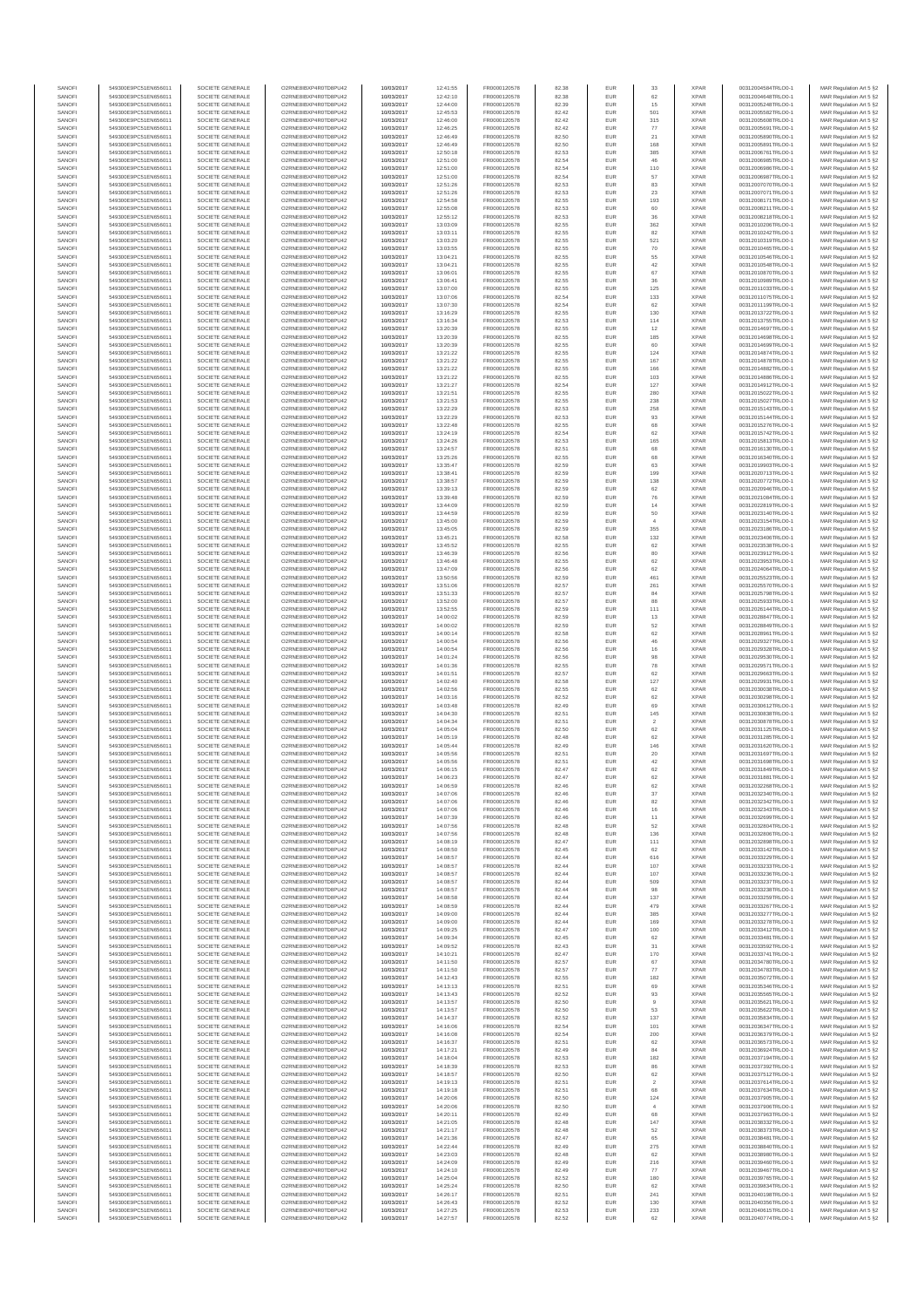| SANOFI           | 549300E9PC51EN656011                         | SOCIETE GENERALE                     | O2RNE8IBXP4R0TD8PU42                          | 10/03/2017               | 12:41:55             | FR0000120578                 | 82.38          | EUR                      | 33                   | <b>XPAR</b>                | 00312004584TRLO0-1                       | MAR Regulation Art 5 §2                            |
|------------------|----------------------------------------------|--------------------------------------|-----------------------------------------------|--------------------------|----------------------|------------------------------|----------------|--------------------------|----------------------|----------------------------|------------------------------------------|----------------------------------------------------|
| SANOFI<br>SANOFI | 549300E9PC51EN656011<br>549300E9PC51EN656011 | SOCIETE GENERALE<br>SOCIETE GENERALE | O2RNE8IBXP4R0TD8PU42<br>O2RNE8IBXP4R0TD8PU42  | 10/03/2017<br>10/03/2017 | 12:42:10<br>12:44:00 | FR0000120578                 | 82.38          | <b>EUR</b><br>EUR        | 62<br>15             | <b>XPAR</b><br><b>XPAR</b> | 00312004648TRLO0-1<br>00312005248TRLO0-1 | MAR Regulation Art 5 §2                            |
| SANOFI           | 549300E9PC51EN656011                         | SOCIETE GENERALE                     | O2RNE8IBXP4R0TD8PU42                          | 10/03/2017               | 12:45:53             | FR0000120578<br>FR0000120578 | 82.39<br>82.42 | EUR                      | 501                  | <b>XPAR</b>                | 00312005582TRLO0-1                       | MAR Regulation Art 5 §2<br>MAR Regulation Art 5 §2 |
| SANOFI           | 549300E9PC51EN656011                         | SOCIETE GENERALE                     | O2RNE8IBXP4R0TD8PU42                          | 10/03/2017               | 12:46:00             | FR0000120578                 | 82.42          | EUR                      | 315                  | <b>XPAR</b>                | 00312005608TRLO0-1                       | MAR Regulation Art 5 §2                            |
| SANOFI           | 549300E9PC51EN656011                         | SOCIETE GENERALE                     | O2RNE8IBXP4R0TD8PU42                          | 10/03/2017               | 12:46:25             | FR0000120578                 | 82.42          | EUR                      | 77                   | <b>XPAR</b>                | 00312005691TRLO0-1                       | MAR Regulation Art 5 §2                            |
| SANOFI<br>SANOFI | 549300E9PC51EN656011<br>549300E9PC51EN656011 | SOCIETE GENERALE<br>SOCIETE GENERALE | O2RNE8IBXP4R0TD8PU42<br>O2RNE8IBXP4R0TD8PU42  | 10/03/2017<br>10/03/2017 | 12:46:49<br>12:46:49 | FR0000120578<br>FR0000120578 | 82.50<br>82.50 | EUR<br>EUR               | 21<br>168            | <b>XPAR</b><br><b>XPAR</b> | 00312005890TRLO0-1<br>00312005891TRLO0-1 | MAR Regulation Art 5 §2<br>MAR Regulation Art 5 §2 |
| SANOFI           | 549300E9PC51EN656011                         | SOCIETE GENERALE                     | O2RNE8IBXP4R0TD8PU42                          | 10/03/2017               | 12:50:18             | FR0000120578                 | 82.53          | <b>EUR</b>               | 385                  | <b>XPAR</b>                | 00312006761TRLO0-1                       | MAR Regulation Art 5 §2                            |
| SANOFI           | 549300E9PC51EN656011                         | SOCIETE GENERALE                     | O2RNE8IBXP4R0TD8PU42                          | 10/03/2017               | 12:51:00             | FR0000120578                 | 82.54          | EUR                      | 46                   | <b>XPAR</b>                | 00312006985TRLO0-1                       | MAR Regulation Art 5 §2                            |
| SANOFI<br>SANOFI | 549300E9PC51EN656011<br>549300E9PC51EN656011 | SOCIETE GENERALE<br>SOCIETE GENERALE | O2RNE8IBXP4R0TD8PLI42<br>O2RNE8IBXP4R0TD8PU42 | 10/03/2017<br>10/03/2017 | 12:51:00<br>12:51:00 | FR0000120578<br>FR0000120578 | 82.54<br>82.54 | EUR<br>EUR               | 110<br>57            | <b>XPAR</b><br><b>XPAR</b> | 00312006986TRLO0-1<br>00312006987TRLO0-1 | MAR Regulation Art 5 §2<br>MAR Regulation Art 5 §2 |
| SANOFI           | 549300E9PC51EN656011                         | SOCIETE GENERALE                     | O2RNE8IBXP4R0TD8PU42                          | 10/03/2017               | 12:51:26             | FR0000120578                 | 82.53          | EUR                      | 83                   | <b>XPAR</b>                | 00312007070TRLO0-1                       | MAR Regulation Art 5 §2                            |
| SANOFI           | 549300E9PC51EN656011                         | SOCIETE GENERALE                     | O2RNE8IBXP4R0TD8PU42                          | 10/03/2017               | 12:51:26             | FR0000120578                 | 82.53          | EUR                      | 23                   | <b>XPAR</b>                | 00312007071TRLO0-1                       | MAR Regulation Art 5 §2                            |
| SANOFI           | 549300E9PC51EN656011                         | SOCIETE GENERALE                     | O2RNE8IBXP4R0TD8PU42                          | 10/03/2017               | 12:54:58             | FR0000120578                 | 82.55          | EUR                      | 193                  | <b>XPAR</b>                | 00312008171TRLO0-1                       | MAR Regulation Art 5 §2                            |
| SANOFI<br>SANOFI | 549300E9PC51EN656011<br>549300E9PC51EN656011 | SOCIETE GENERALE<br>SOCIETE GENERALE | O2RNE8IBXP4R0TD8PU42<br>O2RNE8IBXP4R0TD8PU42  | 10/03/2017<br>10/03/2017 | 12:55:08<br>12:55:12 | FR0000120578<br>FR0000120578 | 82.53<br>82.53 | <b>EUR</b><br>EUR        | 60                   | <b>XPAR</b><br><b>XPAR</b> | 00312008211TRLO0-1<br>00312008218TRLO0-1 | MAR Regulation Art 5 §2<br>MAR Regulation Art 5 §2 |
| SANOFI           | 549300E9PC51EN656011                         | SOCIETE GENERALE                     | O2RNE8IBXP4R0TD8PU42                          | 10/03/2017               | 13:03:09             | FR0000120578                 | 82.55          | <b>EUR</b>               | 362                  | <b>XPAR</b>                | 00312010206TRLO0-1                       | MAR Regulation Art 5 §2                            |
| SANOFI           | 549300E9PC51EN656011                         | SOCIETE GENERALE                     | O2RNE8IBXP4R0TD8PU42                          | 10/03/2017               | 13:03:11             | FR0000120578                 | 82.55          | EUR                      | 82                   | <b>XPAR</b>                | 00312010242TRLO0-1                       | MAR Regulation Art 5 §2                            |
| SANOFI           | 549300E9PC51EN656011                         | SOCIETE GENERALE                     | O2RNESIBXP4R0TD8PLI42                         | 10/03/2017               | 13:03:20             | FR0000120578                 | 82.55          | EUR                      | 521                  | <b>XPAR</b>                | 00312010319TRLO0-1                       | MAR Regulation Art 5 §2                            |
| SANOFI<br>SANOFI | 549300E9PC51EN656011<br>549300E9PC51EN656011 | SOCIETE GENERALE<br>SOCIETE GENERALE | O2RNE8IBXP4R0TD8PU42<br>O2RNE8IBXP4R0TD8PLI42 | 10/03/2017<br>10/03/2017 | 13:03:55<br>13:04:21 | FR0000120578<br>FR0000120578 | 82.55<br>82.55 | EUR<br>EUR               | 70<br>55             | <b>XPAR</b><br><b>XPAR</b> | 00312010465TRLO0-1<br>00312010546TRLO0-1 | MAR Regulation Art 5 §2<br>MAR Regulation Art 5 §2 |
| SANOFI           | 549300E9PC51EN656011                         | SOCIETE GENERALE                     | O2RNE8IBXP4R0TD8PU42                          | 10/03/2017               | 13:04:21             | FR0000120578                 | 82.55          | <b>EUR</b>               | 42                   | <b>XPAR</b>                | 00312010548TRLO0-1                       | MAR Regulation Art 5 §2                            |
| SANOFI           | 549300E9PC51EN656011                         | SOCIETE GENERALE                     | O2RNE8IBXP4R0TD8PU42                          | 10/03/2017               | 13:06:01             | FR0000120578                 | 82.55          | EUR                      | 67                   | <b>XPAR</b>                | 00312010870TRLO0-1                       | MAR Regulation Art 5 §2                            |
| SANOFI<br>SANOFI | 549300E9PC51EN656011<br>549300E9PC51EN656011 | SOCIETE GENERALE<br>SOCIETE GENERALE | O2RNE8IBXP4R0TD8PU42<br>O2RNE8IBXP4R0TD8PU42  | 10/03/2017<br>10/03/2017 | 13:06:41<br>13:07:00 | FR0000120578<br>FR0000120578 | 82.55<br>82.55 | <b>EUR</b><br>EUR        | 36<br>125            | <b>XPAR</b><br><b>XPAR</b> | 00312010989TRLO0-1<br>00312011033TRLO0-1 | MAR Regulation Art 5 §2<br>MAR Regulation Art 5 §2 |
| SANOFI           | 549300E9PC51EN656011                         | SOCIETE GENERALE                     | O2RNE8IBXP4R0TD8PU42                          | 10/03/2017               | 13:07:06             | FR0000120578                 | 82.54          | <b>EUR</b>               | 133                  | <b>XPAR</b>                | 00312011075TRLO0-1                       | MAR Regulation Art 5 §2                            |
| SANOFI           | 549300E9PC51EN656011                         | SOCIETE GENERALE                     | O2RNE8IBXP4R0TD8PU42                          | 10/03/2017               | 13:07:30             | FR0000120578                 | 82.54          | EUR                      | 62                   | <b>XPAR</b>                | 00312011199TRLO0-1                       | MAR Regulation Art 5 §2                            |
| SANOFI           | 549300E9PC51EN656011                         | SOCIETE GENERALE                     | O2RNE8IBXP4R0TD8PU42                          | 10/03/2017               | 13:16:29             | FR0000120578                 | 82.55          | EUR                      | 130                  | <b>XPAR</b>                | 00312013722TRLO0-1                       | MAR Regulation Art 5 §2                            |
| SANOFI<br>SANOFI | 549300E9PC51EN656011<br>549300E9PC51EN656011 | SOCIETE GENERALE<br>SOCIETE GENERALE | O2RNE8IBXP4R0TD8PU42<br>O2RNE8IBXP4R0TD8PU42  | 10/03/2017<br>10/03/2017 | 13:16:34<br>13:20:39 | FR0000120578<br>FR0000120578 | 82.53<br>82.55 | EUR<br>EUR               | 114<br>12            | <b>XPAR</b><br><b>XPAR</b> | 00312013755TRLO0-1<br>00312014697TRLO0-1 | MAR Regulation Art 5 §2<br>MAR Regulation Art 5 §2 |
| SANOFI           | 549300E9PC51EN656011                         | SOCIETE GENERALE                     | O2RNE8IBXP4R0TD8PU42                          | 10/03/2017               | 13:20:39             | FR0000120578                 | 82.55          | <b>EUR</b>               | 185                  | <b>XPAR</b>                | 00312014698TRLO0-1                       | MAR Regulation Art 5 §2                            |
| SANOFI           | 549300E9PC51EN656011                         | SOCIETE GENERALE                     | O2RNE8IBXP4R0TD8PU42                          | 10/03/2017               | 13:20:39             | FR0000120578                 | 82.55          | EUR                      | 60                   | <b>XPAR</b>                | 00312014699TRLO0-1                       | MAR Regulation Art 5 §2                            |
| SANOFI<br>SANOFI | 549300E9PC51EN656011<br>549300E9PC51EN656011 | SOCIETE GENERALE<br>SOCIETE GENERALE | O2RNE8IBXP4R0TD8PU42<br>O2RNE8IBXP4R0TD8PU42  | 10/03/2017<br>10/03/2017 | 13:21:22<br>13:21:22 | FR0000120578<br>FR0000120578 | 82.55<br>82.55 | <b>EUR</b><br>EUR        | 124<br>167           | <b>XPAR</b><br><b>XPAR</b> | 00312014874TRLO0-1<br>00312014878TRLO0-1 | MAR Regulation Art 5 §2<br>MAR Regulation Art 5 §2 |
| SANOFI           | 549300E9PC51EN656011                         | SOCIETE GENERALE                     | O2RNE8IBXP4R0TD8PU42                          | 10/03/2017               | 13:21:22             | FR0000120578                 | 82.55          | EUR                      | 166                  | <b>XPAR</b>                | 00312014882TRLO0-1                       | MAR Regulation Art 5 §2                            |
| SANOFI           | 549300E9PC51EN656011                         | SOCIETE GENERALE                     | O2RNE8IBXP4R0TD8PU42                          | 10/03/2017               | 13:21:22             | FR0000120578                 | 82.55          | EUR                      | 103                  | <b>XPAR</b>                | 00312014886TRLO0-1                       | MAR Regulation Art 5 §2                            |
| SANOFI<br>SANOFI | 549300E9PC51EN656011                         | SOCIETE GENERALE                     | O2RNE8IBXP4R0TD8PU42<br>O2RNE8IBXP4R0TD8PU42  | 10/03/2017               | 13:21:27             | FR0000120578                 | 82.54          | EUR                      | 127                  | <b>XPAR</b><br><b>XPAR</b> | 00312014912TRLO0-1<br>00312015022TRLO0-1 | MAR Regulation Art 5 §2                            |
| SANOFI           | 549300E9PC51EN656011<br>549300E9PC51EN656011 | SOCIETE GENERALE<br>SOCIETE GENERALE | O2RNE8IBXP4R0TD8PU42                          | 10/03/2017<br>10/03/2017 | 13:21:51<br>13:21:53 | FR0000120578<br>FR0000120578 | 82.55<br>82.55 | EUR<br>EUR               | 280<br>238           | <b>XPAR</b>                | 00312015027TRLO0-1                       | MAR Regulation Art 5 §2<br>MAR Regulation Art 5 §2 |
| SANOFI           | 549300E9PC51EN656011                         | SOCIETE GENERALE                     | O2RNE8IBXP4R0TD8PU42                          | 10/03/2017               | 13:22:29             | FR0000120578                 | 82.53          | <b>EUR</b>               | 258                  | <b>XPAR</b>                | 00312015143TRLO0-1                       | MAR Regulation Art 5 §2                            |
| SANOFI           | 549300E9PC51EN656011                         | SOCIETE GENERALE                     | O2RNE8IBXP4R0TD8PU42                          | 10/03/2017               | 13:22:29             | FR0000120578                 | 82.53          | EUR                      | 93                   | <b>XPAR</b>                | 00312015144TRLO0-1                       | MAR Regulation Art 5 §2                            |
| SANOFI<br>SANOFI | 549300E9PC51EN656011<br>549300E9PC51EN656011 | SOCIETE GENERALE<br>SOCIETE GENERALE | O2RNE8IBXP4R0TD8PLI42<br>O2RNE8IBXP4R0TD8PU42 | 10/03/2017<br>10/03/2017 | 13:22:48<br>13:24:19 | FR0000120578<br>FR0000120578 | 82.55<br>82.54 | <b>EUR</b><br>EUR        | 68<br>62             | <b>XPAR</b><br><b>XPAR</b> | 00312015276TRLO0-1<br>00312015742TRLO0-1 | MAR Regulation Art 5 §2<br>MAR Regulation Art 5 §2 |
| SANOFI           | 549300E9PC51EN656011                         | SOCIETE GENERALE                     | O2RNE8IBXP4R0TD8PU42                          | 10/03/2017               | 13:24:26             | FR0000120578                 | 82.53          | EUR                      | 165                  | <b>XPAR</b>                | 00312015813TRLO0-1                       | MAR Regulation Art 5 §2                            |
| SANOFI           | 549300E9PC51EN656011                         | SOCIETE GENERALE                     | O2RNE8IBXP4R0TD8PU42                          | 10/03/2017               | 13:24:57             | FR0000120578                 | 82.51          | EUR                      | 68                   | <b>XPAR</b>                | 00312016130TRLO0-1                       | MAR Regulation Art 5 §2                            |
| SANOFI           | 549300E9PC51EN656011                         | SOCIETE GENERALE                     | O2RNE8IBXP4R0TD8PLI42<br>O2RNE8IBXP4R0TD8PU42 | 10/03/2017               | 13:25:26             | FR0000120578                 | 82.55          | EUR                      | 68                   | <b>XPAR</b><br><b>XPAR</b> | 00312016340TRLO0-1                       | MAR Regulation Art 5 §2<br>MAR Regulation Art 5 §2 |
| SANOFI<br>SANOFI | 549300E9PC51EN656011<br>549300E9PC51EN656011 | SOCIETE GENERALE<br>SOCIETE GENERALE | O2RNE8IBXP4R0TD8PU42                          | 10/03/2017<br>10/03/2017 | 13:35:47<br>13:38:41 | FR0000120578<br>FR0000120578 | 82.59<br>82.59 | EUR<br>EUR               | 63<br>199            | <b>XPAR</b>                | 00312019903TRLO0-1<br>00312020713TRLO0-1 | MAR Regulation Art 5 §2                            |
| SANOFI           | 549300E9PC51EN656011                         | SOCIETE GENERALE                     | O2RNE8IBXP4R0TD8PU42                          | 10/03/2017               | 13:38:57             | FR0000120578                 | 82.59          | EUR                      | 138                  | <b>XPAR</b>                | 00312020772TRLO0-1                       | MAR Regulation Art 5 §2                            |
| SANOFI           | 549300E9PC51EN656011                         | SOCIETE GENERALE                     | O2RNE8IBXP4R0TD8PU42                          | 10/03/2017               | 13:39:13             | FR0000120578                 | 82.59          | EUR                      | 62                   | <b>XPAR</b>                | 00312020946TRLO0-1                       | MAR Regulation Art 5 §2                            |
| SANOFI<br>SANOFI | 549300E9PC51EN656011<br>549300E9PC51EN656011 | SOCIETE GENERALE<br>SOCIETE GENERALE | O2RNE8IBXP4R0TD8PU42<br>O2RNE8IBXP4R0TD8PU42  | 10/03/2017<br>10/03/2017 | 13:39:48<br>13:44:09 | FR0000120578<br>FR0000120578 | 82.59<br>82.59 | <b>EUR</b><br><b>EUR</b> | 76<br>14             | <b>XPAR</b><br><b>XPAR</b> | 00312021084TRLO0-1<br>00312022819TRLO0-1 | MAR Regulation Art 5 §2<br>MAR Regulation Art 5 §2 |
| SANOFI           | 549300E9PC51EN656011                         | SOCIETE GENERALE                     | O2RNE8IBXP4R0TD8PLI42                         | 10/03/2017               | 13:44:59             | FR0000120578                 | 82.59          | EUR                      | 50                   | <b>XPAR</b>                | 00312023140TRLO0-1                       | MAR Regulation Art 5 §2                            |
| SANOFI           | 549300E9PC51EN656011                         | SOCIETE GENERALE                     | O2RNE8IBXP4R0TD8PU42                          | 10/03/2017               | 13:45:00             | FR0000120578                 | 82.59          | EUR                      |                      | <b>XPAR</b>                | 00312023154TRLO0-1                       | MAR Regulation Art 5 §2                            |
| SANOFI           | 549300E9PC51EN656011                         | SOCIETE GENERALE                     | O2RNE8IBXP4R0TD8PU42                          | 10/03/2017               | 13:45:05             | FR0000120578                 | 82.59          | EUR                      | 355                  | <b>XPAR</b>                | 00312023186TRLO0-1                       | MAR Regulation Art 5 §2                            |
| SANOFI<br>SANOFI | 549300E9PC51EN656011<br>549300E9PC51EN656011 | SOCIETE GENERALE<br>SOCIETE GENERALE | O2RNE8IBXP4R0TD8PU42<br>O2RNE8IBXP4R0TD8PU42  | 10/03/2017<br>10/03/2017 | 13:45:21<br>13:45:52 | FR0000120578<br>FR0000120578 | 82.58<br>82.55 | <b>EUR</b><br>EUR        | 132<br>62            | <b>XPAR</b><br><b>XPAR</b> | 00312023406TRLO0-1<br>00312023538TRLO0-1 | MAR Regulation Art 5 §2<br>MAR Regulation Art 5 §2 |
| SANOFI           | 549300E9PC51EN656011                         | SOCIETE GENERALE                     | O2RNE8IBXP4R0TD8PU42                          | 10/03/2017               | 13:46:39             | FR0000120578                 | 82.56          | <b>EUR</b>               | 80                   | <b>XPAR</b>                | 00312023912TRLO0-1                       | MAR Regulation Art 5 §2                            |
| SANOFI           | 549300E9PC51EN656011                         | SOCIETE GENERALE                     | O2RNE8IBXP4R0TD8PU42                          | 10/03/2017               | 13:46:48             | FR0000120578                 | 82.55          | EUR                      | 62                   | <b>XPAR</b>                | 00312023953TRLO0-1                       | MAR Regulation Art 5 §2                            |
| SANOFI<br>SANOFI | 549300E9PC51EN656011<br>549300E9PC51EN656011 | SOCIETE GENERALE<br>SOCIETE GENERALE | O2RNE8IBXP4R0TD8PU42<br>O2RNE8IBXP4R0TD8PU42  | 10/03/2017<br>10/03/2017 | 13:47:09<br>13:50:56 | FR0000120578<br>FR0000120578 | 82.56<br>82.59 | <b>EUR</b><br>EUR        | 62<br>461            | <b>XPAR</b><br><b>XPAR</b> | 00312024064TRLO0-1<br>00312025523TRLO0-1 | MAR Regulation Art 5 §2<br>MAR Regulation Art 5 §2 |
| SANOFI           | 549300E9PC51EN656011                         | SOCIETE GENERALE                     | O2RNE8IBXP4R0TD8PU42                          | 10/03/2017               | 13:51:06             | FR0000120578                 | 82.57          | EUR                      | 261                  | <b>XPAR</b>                | 00312025570TRLO0-1                       | MAR Regulation Art 5 §2                            |
| SANOFI           | 549300E9PC51EN656011                         | SOCIETE GENERALE                     | O2RNE8IBXP4R0TD8PU42                          | 10/03/2017               | 13:51:33             | FR0000120578                 | 82.57          | EUR                      | 84                   | <b>XPAR</b>                | 00312025798TRLO0-1                       | MAR Regulation Art 5 §2                            |
| SANOFI           | 549300E9PC51EN656011                         | SOCIETE GENERALE                     | O2RNE8IBXP4R0TD8PU42                          | 10/03/2017               | 13:52:00             | FR0000120578                 | 82.57          | EUR                      | 88                   | <b>XPAR</b>                | 00312025933TRLO0-1                       | MAR Regulation Art 5 §2                            |
| SANOFI<br>SANOFI | 549300E9PC51EN656011<br>549300E9PC51EN656011 | SOCIETE GENERALE<br>SOCIETE GENERALE | O2RNE8IBXP4R0TD8PU42<br>O2RNE8IBXP4R0TD8PU42  | 10/03/2017<br>10/03/2017 | 13:52:55<br>14:00:02 | FR0000120578<br>FR0000120578 | 82.59<br>82.59 | <b>EUR</b><br>EUR        | 111<br>13            | <b>XPAR</b><br><b>XPAR</b> | 00312026144TRLO0-1<br>00312028847TRLO0-1 | MAR Regulation Art 5 §2<br>MAR Regulation Art 5 §2 |
| SANOFI           | 549300E9PC51EN656011                         | SOCIETE GENERALE                     | O2RNE8IBXP4R0TD8PU42                          | 10/03/2017               | 14:00:02             | FR0000120578                 | 82.59          | <b>EUR</b>               | 52                   | <b>XPAR</b>                | 00312028849TRLO0-1                       | MAR Regulation Art 5 §2                            |
| SANOFI           | 549300E9PC51EN656011                         | SOCIETE GENERALE                     | O2RNE8IBXP4R0TD8PU42                          | 10/03/2017               | 14:00:14             | FR0000120578                 | 82.58          | EUR                      | 62                   | <b>XPAR</b>                | 00312028961TRLO0-1                       | MAR Regulation Art 5 §2                            |
| SANOFI<br>SANOFI | 549300E9PC51EN656011<br>549300E9PC51EN656011 | SOCIETE GENERALE<br>SOCIETE GENERALE | O2RNE8IBXP4R0TD8PU42<br>O2RNE8IBXP4R0TD8PU42  | 10/03/2017<br>10/03/2017 | 14:00:54<br>14:00:54 | FR0000120578<br>FR0000120578 | 82.56<br>82.56 | EUR<br>EUR               | 46<br>16             | <b>XPAR</b><br><b>XPAR</b> | 00312029327TRLO0-1<br>00312029328TRLO0-1 | MAR Regulation Art 5 §2<br>MAR Regulation Art 5 §2 |
| SANOFI           | 549300E9PC51EN656011                         | SOCIETE GENERALE                     | O2RNE8IBXP4R0TD8PU42                          | 10/03/2017               | 14:01:24             | FR0000120578                 | 82.56          | EUR                      | 98                   | <b>XPAR</b>                | 00312029530TRLO0-1                       | MAR Regulation Art 5 §2                            |
| SANOFI           | 549300E9PC51EN656011                         | SOCIETE GENERALE                     | O2RNE8IBXP4R0TD8PU42                          | 10/03/2017               | 14:01:36             | FR0000120578                 | 82.55          | EUR                      | 78                   | <b>XPAR</b>                | 00312029571TRLO0-1                       | MAR Regulation Art 5 §2                            |
| SANOFI           | 549300E9PC51EN656011                         | SOCIETE GENERALE                     | O2RNE8IBXP4R0TD8PU42                          | 10/03/2017               | 14:01:51             | FR0000120578                 | 82.57          | EUR                      |                      | <b>XPAR</b>                | 00312029663TRLO0-1                       | MAR Regulation Art 5 §2                            |
| SANOFI<br>SANOFI | 549300E9PC51EN656011<br>549300E9PC51EN656011 | SOCIETE GENERALE<br>SOCIETE GENERALE | O2RNE8IBXP4R0TD8PU42<br>O2RNE8IBXP4R0TD8PU42  | 10/03/2017<br>10/03/2017 | 14:02:40<br>14:02:56 | FR0000120578<br>FR0000120578 | 82.58<br>82.55 | <b>EUR</b><br>EUR        | 127<br>62            | <b>XPAR</b><br><b>XPAR</b> | 00312029931TRLO0-1<br>00312030038TRLO0-1 | MAR Regulation Art 5 §2<br>MAR Regulation Art 5 §2 |
| SANOFI           | 549300E9PC51EN656011                         | SOCIETE GENERALE                     | O2RNE8IBXP4R0TD8PU42                          | 10/03/2017               | 14:03:16             | FR0000120578                 | 82.52          | <b>EUR</b>               | 62                   | <b>XPAR</b>                | 00312030298TRLO0-1                       | MAR Regulation Art 5 §2                            |
| SANOFI           | 549300E9PC51EN656011                         | SOCIETE GENERALE                     | O2RNE8IBXP4R0TD8PU42                          | 10/03/2017               | 14:03:48             | FR0000120578                 | 82.49          | EUR                      | 69                   | <b>XPAR</b>                | 00312030612TRLO0-1                       | MAR Regulation Art 5 §2                            |
| SANOFI           | 549300E9PC51EN656011                         | SOCIETE GENERALE                     | O2RNE8IBXP4R0TD8PU42                          | 10/03/2017               | 14:04:30             | FR0000120578<br>FR0000120578 | 82.51          | EUR                      | 145                  | <b>XPAR</b>                | 00312030838TRLO0-1                       | MAR Regulation Art 5 §2                            |
| SANOFI<br>SANOFI | 549300E9PC51EN656011<br>549300E9PC51EN656011 | SOCIETE GENERALE<br>SOCIETE GENERALE | O2RNE8IBXP4R0TD8PU42<br>O2RNE8IBXP4R0TD8PU42  | 10/03/2017<br>10/03/2017 | 14:04:34<br>14:05:04 | FR0000120578                 | 82.51<br>82.50 | EUR<br>EUR               | $\overline{2}$<br>62 | <b>XPAR</b><br><b>XPAR</b> | 00312030878TRLO0-1<br>00312031125TRLO0-1 | MAR Regulation Art 5 §2<br>MAR Regulation Art 5 §2 |
| SANOFI           | 549300E9PC51EN656011                         | SOCIETE GENERALE                     | O2RNE8IBXP4R0TD8PU42                          | 10/03/2017               | 14:05:19             | FR0000120578                 | 82.48          | EUR                      | 62                   | <b>XPAR</b>                | 00312031285TRLO0-1                       | MAR Regulation Art 5 §2                            |
| SANOFI           | 549300E9PC51EN656011                         | SOCIETE GENERALE                     | O2RNE8IBXP4R0TD8PU42                          | 10/03/2017               | 14:05:44             | FR0000120578                 | 82.49          | EUR                      | 146                  | <b>XPAR</b>                | 00312031620TRLO0-1                       | MAR Regulation Art 5 §2                            |
| SANOFI<br>SANOFI | 549300E9PC51EN656011<br>549300E9PC51EN656011 | SOCIETE GENERALE<br>SOCIETE GENERALE | O2RNE8IBXP4R0TD8PU42<br>O2RNE8IBXP4R0TD8PU42  | 10/03/2017<br>10/03/2017 | 14:05:56<br>14:05:56 | FR0000120578<br>FR0000120578 | 82.51<br>82.51 | <b>EUR</b><br>EUR        | 20<br>42             | <b>XPAR</b><br><b>XPAR</b> | 00312031697TRLO0-1<br>00312031698TRLO0-1 | MAR Regulation Art 5 §2<br>MAR Regulation Art 5 §2 |
| SANOFI           | 549300E9PC51EN656011                         | SOCIETE GENERALE                     | O2RNE8IBXP4R0TD8PU42                          | 10/03/2017               | 14:06:15             | FR0000120578                 | 82.47          | EUR                      | 62                   | <b>XPAR</b>                | 00312031849TRLO0-1                       | MAR Regulation Art 5 §2                            |
| SANOFI           | 549300E9PC51EN656011                         | SOCIETE GENERALE                     | O2RNE8IBXP4R0TD8PU42                          | 10/03/2017               | 14:06:23             | FR0000120578                 | 82.47          | EUR                      | 62                   | <b>XPAR</b>                | 00312031881TRLO0-1                       | MAR Regulation Art 5 §2                            |
| SANOFI           | 549300E9PC51EN656011                         | SOCIETE GENERALE                     | O2RNE8IBXP4R0TD8PLI42                         | 10/03/2017               | 14:06:59             | FR0000120578                 | 82.46          | EUR                      | 62                   | <b>XPAR</b>                | 00312032268TRLO0-1                       | MAR Regulation Art 5 §2                            |
| SANOFI<br>SANOFI | 549300E9PC51EN656011<br>549300E9PC51EN656011 | SOCIETE GENERALE<br>SOCIETE GENERALE | O2RNE8IBXP4R0TD8PU42<br>O2RNESIBXP4R0TD8PLI42 | 10/03/2017<br>10/03/2017 | 14:07:06<br>14:07:06 | FR0000120578<br>FR0000120578 | 82.46<br>82.46 | <b>EUR</b><br><b>EUR</b> | 37<br>$^{\rm 82}$    | <b>XPAR</b><br><b>XPAR</b> | 00312032340TRLO0-1<br>00312032342TRLO0-1 | MAR Regulation Art 5 §2<br>MAR Regulation Art 5 §2 |
| SANOFI           | 549300E9PC51EN656011                         | SOCIETE GENERALE                     | O2RNE8IBXP4R0TD8PU42                          | 10/03/2017               | 14:07:06             | FR0000120578                 | 82.46          | EUR                      | 16                   | <b>XPAR</b>                | 00312032343TRLO0-1                       | MAR Regulation Art 5 §2                            |
| SANOFI           | 549300E9PC51EN656011                         | SOCIETE GENERALE                     | O2RNE8IBXP4R0TD8PU42                          | 10/03/2017               | 14:07:39             | FR0000120578                 | 82.46          | EUR                      | 11                   | <b>XPAR</b>                | 00312032699TRLO0-1                       | MAR Regulation Art 5 §2                            |
| SANOFI<br>SANOFI | 549300E9PC51EN656011<br>549300E9PC51EN656011 | SOCIETE GENERALE<br>SOCIETE GENERALE | O2RNE8IBXP4R0TD8PU42<br>O2RNE8IBXP4R0TD8PU42  | 10/03/2017<br>10/03/2017 | 14:07:56<br>14:07:56 | FR0000120578<br>FR0000120578 | 82.48<br>82.48 | <b>EUR</b><br>EUR        | 52<br>136            | <b>XPAR</b><br><b>XPAR</b> | 00312032804TRLO0-1<br>00312032806TRLO0-1 | MAR Regulation Art 5 §2<br>MAR Regulation Art 5 §2 |
| SANOFI           | 549300E9PC51EN656011                         | SOCIETE GENERALE                     | O2RNE8IBXP4R0TD8PU42                          | 10/03/2017               | 14:08:19             | FR0000120578                 | 82.47          | <b>EUR</b>               | 111                  | <b>XPAR</b>                | 00312032898TRLO0-1                       | MAR Regulation Art 5 §2                            |
| SANOFI           | 549300E9PC51EN656011                         | SOCIETE GENERALE                     | O2RNE8IBXP4R0TD8PU42                          | 10/03/2017               | 14:08:50             | FR0000120578                 | 82.45          | EUR                      | 62                   | <b>XPAR</b>                | 00312033142TRLO0-1                       | MAR Regulation Art 5 §2                            |
| SANOFI<br>SANOFI | 549300E9PC51EN656011<br>549300E9PC51EN656011 | SOCIETE GENERALE<br>SOCIETE GENERALE | O2RNE8IBXP4R0TD8PU42<br>O2RNE8IBXP4R0TD8PU42  | 10/03/2017               | 14:08:57<br>14:08:57 | FR0000120578                 | 82.44<br>82.44 | EUR<br>EUR               | 616<br>107           | <b>XPAR</b><br><b>XPAR</b> | 00312033229TRLO0-1<br>00312033233TRLO0-1 | MAR Regulation Art 5 §2                            |
| SANOFI           | 549300E9PC51EN656011                         | SOCIETE GENERALE                     | O2RNESIBXP4R0TD8PLI42                         | 10/03/2017<br>10/03/2017 | 14:08:57             | FR0000120578<br>FR0000120578 | 82.44          | EUR                      | 107                  | <b>XPAR</b>                | 00312033236TRLO0-1                       | MAR Regulation Art 5 §2<br>MAR Regulation Art 5 §2 |
| SANOFI           | 549300E9PC51EN656011                         | SOCIETE GENERALE                     | O2RNE8IBXP4R0TD8PLI42                         | 10/03/2017               | 14:08:57             | FR0000120578                 | 82.44          | <b>EUR</b>               | 509                  | <b>XPAR</b>                | 00312033237TRLO0-1                       | MAR Regulation Art 5 §2                            |
| SANOFI<br>SANOFI | 549300E9PC51EN656011<br>549300E9PC51EN656011 | SOCIETE GENERALE<br>SOCIETE GENERALE | O2RNE8IBXP4R0TD8PU42<br>O2RNE8IBXP4R0TD8PU42  | 10/03/2017               | 14:08:57<br>14:08:58 | FR0000120578<br>FR0000120578 | 82.44<br>82.44 | EUR<br><b>EUR</b>        | 98<br>137            | <b>XPAR</b><br><b>XPAR</b> | 00312033238TRLO0-1<br>00312033259TRLO0-1 | MAR Regulation Art 5 §2                            |
| SANOFI           | 549300E9PC51EN656011                         | SOCIETE GENERALE                     | O2RNE8IBXP4R0TD8PU42                          | 10/03/2017<br>10/03/2017 | 14:08:59             | FR0000120578                 | 82.44          | EUR                      | 479                  | <b>XPAR</b>                | 00312033267TRLO0-1                       | MAR Regulation Art 5 §2<br>MAR Regulation Art 5 §2 |
| SANOFI           | 549300E9PC51EN656011                         | SOCIETE GENERALE                     | O2RNE8IBXP4R0TD8PU42                          | 10/03/2017               | 14:09:00             | FR0000120578                 | 82.44          | EUR                      | 385                  | <b>XPAR</b>                | 00312033277TRLO0-1                       | MAR Regulation Art 5 §2                            |
| SANOFI           | 549300E9PC51EN656011                         | SOCIETE GENERALE<br>SOCIETE GENERALE | O2RNE8IBXP4R0TD8PU42                          | 10/03/2017               | 14:09:00             | FR0000120578                 | 82.44          | EUR                      | 169                  | <b>XPAR</b>                | 00312033278TRLO0-1                       | MAR Regulation Art 5 §2                            |
| SANOFI<br>SANOFI | 549300E9PC51EN656011<br>549300E9PC51EN656011 | SOCIETE GENERALE                     | O2RNE8IBXP4R0TD8PU42<br>O2RNESIBXP4R0TD8PLI42 | 10/03/2017<br>10/03/2017 | 14:09:25<br>14:09:34 | FR0000120578<br>FR0000120578 | 82.47<br>82.45 | EUR<br>EUR               | 100<br>62            | <b>XPAR</b><br><b>XPAR</b> | 00312033412TRLO0-1<br>00312033481TRLO0-1 | MAR Regulation Art 5 §2<br>MAR Regulation Art 5 §2 |
| SANOFI           | 549300E9PC51EN656011                         | SOCIETE GENERALE                     | O2RNE8IBXP4R0TD8PU42                          | 10/03/2017               | 14:09:52             | FR0000120578                 | 82.43          | EUR                      | 31                   | <b>XPAR</b>                | 00312033592TRLO0-1                       | MAR Regulation Art 5 §2                            |
| SANOFI           | 549300E9PC51EN656011                         | SOCIETE GENERALE                     | O2RNE8IBXP4R0TD8PU42                          | 10/03/2017               | 14:10:21             | FR0000120578                 | 82.47          | <b>EUR</b>               | 170                  | <b>XPAR</b>                | 00312033741TRLO0-1                       | MAR Regulation Art 5 §2                            |
| SANOFI<br>SANOFI | 549300E9PC51EN656011<br>549300E9PC51EN656011 | SOCIETE GENERALE<br>SOCIETE GENERALE | O2RNE8IBXP4R0TD8PU42<br>O2RNE8IBXP4R0TD8PLI42 | 10/03/2017<br>10/03/2017 | 14:11:50<br>14:11:50 | FR0000120578<br>FR0000120578 | 82.57<br>82.57 | EUR<br><b>EUR</b>        | 67<br>77             | <b>XPAR</b><br><b>XPAR</b> | 00312034780TRLO0-1<br>00312034783TRLO0-1 | MAR Regulation Art 5 §2<br>MAR Regulation Art 5 §2 |
| SANOFI           | 549300E9PC51EN656011                         | SOCIETE GENERALE                     | O2RNE8IBXP4R0TD8PU42                          | 10/03/2017               | 14:12:43             | FR0000120578                 | 82.55          | EUR                      | 182                  | <b>XPAR</b>                | 00312035072TRLO0-1                       | MAR Regulation Art 5 §2                            |
| SANOFI           | 549300E9PC51EN656011                         | SOCIETE GENERALE                     | O2RNE8IBXP4R0TD8PU42                          | 10/03/2017               | 14:13:13             | FR0000120578                 | 82.51          | EUR                      | 69                   | <b>XPAR</b>                | 00312035346TRLO0-1                       | MAR Regulation Art 5 §2                            |
| SANOFI<br>SANOFI | 549300E9PC51EN656011<br>549300E9PC51EN656011 | SOCIETE GENERALE<br>SOCIETE GENERALE | O2RNE8IBXP4R0TD8PU42<br>O2RNE8IBXP4R0TD8PU42  | 10/03/2017<br>10/03/2017 | 14:13:43             | FR0000120578<br>FR0000120578 | 82.52<br>82.50 | EUR<br>EUR               | 93<br>$\overline{9}$ | <b>XPAR</b><br><b>XPAR</b> | 00312035565TRLO0-1<br>00312035621TRLO0-1 | MAR Regulation Art 5 §2<br>MAR Regulation Art 5 §2 |
| SANOFI           | 549300E9PC51EN656011                         | SOCIETE GENERALE                     | O2RNE8IBXP4R0TD8PU42                          | 10/03/2017               | 14:13:57<br>14:13:57 | FR0000120578                 | 82.50          | EUR                      | 53                   | <b>XPAR</b>                | 00312035622TRLO0-1                       | MAR Regulation Art 5 §2                            |
| SANOFI           | 549300E9PC51EN656011                         | SOCIETE GENERALE                     | O2RNE8IBXP4R0TD8PU42                          | 10/03/2017               | 14:14:37             | FR0000120578                 | 82.52          | EUR                      | 137                  | <b>XPAR</b>                | 00312035834TRLO0-1                       | MAR Regulation Art 5 §2                            |
| SANOFI           | 549300E9PC51EN656011                         | SOCIETE GENERALE                     | O2RNE8IBXP4R0TD8PU42                          | 10/03/2017               | 14:16:06             | FR0000120578                 | 82.54          | <b>EUR</b>               | 101                  | <b>XPAR</b>                | 00312036347TRLO0-1                       | MAR Regulation Art 5 §2                            |
| SANOFI<br>SANOFI | 549300E9PC51EN656011<br>549300E9PC51EN656011 | SOCIETE GENERALE<br>SOCIETE GENERALE | O2RNE8IBXP4R0TD8PU42<br>O2RNE8IBXP4R0TD8PU42  | 10/03/2017<br>10/03/2017 | 14:16:08<br>14:16:37 | FR0000120578<br>FR0000120578 | 82.54<br>82.51 | EUR<br><b>EUR</b>        | 200<br>62            | <b>XPAR</b><br><b>XPAR</b> | 00312036379TRLO0-1<br>00312036573TRLO0-1 | MAR Regulation Art 5 §2<br>MAR Regulation Art 5 §2 |
| SANOFI           | 549300E9PC51EN656011                         | SOCIETE GENERALE                     | O2RNE8IBXP4R0TD8PU42                          | 10/03/2017               | 14:17:21             | FR0000120578                 | 82.49          | EUR                      | 84                   | <b>XPAR</b>                | 00312036924TRLO0-1                       | MAR Regulation Art 5 §2                            |
| SANOFI           | 549300E9PC51EN656011                         | SOCIETE GENERALE                     | O2RNE8IBXP4R0TD8PU42                          | 10/03/2017               | 14:18:04             | FR0000120578                 | 82.53          | EUR                      | 182                  | <b>XPAR</b>                | 00312037194TRLO0-1                       | MAR Regulation Art 5 §2                            |
| SANOFI           | 549300E9PC51EN656011                         | SOCIETE GENERALE                     | O2RNE8IBXP4R0TD8PU42                          | 10/03/2017               | 14:18:39             | FR0000120578                 | 82.53          | EUR                      | 86                   | <b>XPAR</b>                | 00312037392TRLO0-1                       | MAR Regulation Art 5 §2                            |
| SANOFI<br>SANOFI | 549300E9PC51EN656011<br>549300E9PC51EN656011 | SOCIETE GENERALE<br>SOCIETE GENERALE | O2RNE8IBXP4R0TD8PU42<br>O2RNE8IBXP4R0TD8PU42  | 10/03/2017<br>10/03/2017 | 14:18:57<br>14:19:13 | FR0000120578<br>FR0000120578 | 82.50<br>82.51 | EUR<br>EUR               | 62<br>$\overline{2}$ | <b>XPAR</b><br><b>XPAR</b> | 00312037512TRLO0-1<br>00312037614TRLO0-1 | MAR Regulation Art 5 §2<br>MAR Regulation Art 5 §2 |
| SANOFI           | 549300E9PC51EN656011                         | SOCIETE GENERALE                     | O2RNE8IBXP4R0TD8PU42                          | 10/03/2017               | 14:19:18             | FR0000120578                 | 82.51          | EUR                      | 68                   | <b>XPAR</b>                | 00312037634TRLO0-1                       | MAR Regulation Art 5 §2                            |
| SANOFI           | 549300E9PC51EN656011                         | SOCIETE GENERALE                     | O2RNE8IBXP4R0TD8PU42                          | 10/03/2017               | 14:20:06             | FR0000120578                 | 82.50          | <b>EUR</b>               | 124                  | <b>XPAR</b>                | 00312037905TRLO0-1                       | MAR Regulation Art 5 §2                            |
| SANOFI<br>SANOFI | 549300E9PC51EN656011<br>549300E9PC51EN656011 | SOCIETE GENERALE<br>SOCIETE GENERALE | O2RNE8IBXP4R0TD8PU42<br>O2RNE8IBXP4R0TD8PU42  | 10/03/2017<br>10/03/2017 | 14:20:06<br>14:20:11 | FR0000120578<br>FR0000120578 | 82.50<br>82.49 | EUR<br><b>EUR</b>        | 4<br>68              | <b>XPAR</b><br><b>XPAR</b> | 00312037906TRLO0-1<br>00312037963TRLO0-1 | MAR Regulation Art 5 §2<br>MAR Regulation Art 5 §2 |
| SANOFI           | 549300E9PC51EN656011                         | SOCIETE GENERALE                     | O2RNE8IBXP4R0TD8PU42                          | 10/03/2017               | 14:21:05             | FR0000120578                 | 82.48          | EUR                      | 147                  | <b>XPAR</b>                | 00312038332TRLO0-1                       | MAR Regulation Art 5 §2                            |
| SANOFI           | 549300E9PC51EN656011                         | SOCIETE GENERALE                     | O2RNE8IBXP4R0TD8PU42                          | 10/03/2017               | 14:21:17             | FR0000120578                 | 82.48          | EUR                      | 52                   | <b>XPAR</b>                | 00312038373TRLO0-1                       | MAR Regulation Art 5 §2                            |
| SANOFI<br>SANOFI | 549300E9PC51EN656011                         | SOCIETE GENERALE                     | O2RNE8IBXP4R0TD8PU42<br>O2RNE8IBXP4R0TD8PU42  | 10/03/2017               | 14:21:36<br>14:22:44 | FR0000120578                 | 82.47<br>82.49 | EUR<br>EUR               | 65                   | <b>XPAR</b><br><b>XPAR</b> | 00312038481TRLO0-1                       | MAR Regulation Art 5 §2                            |
| SANOFI           | 549300E9PC51EN656011<br>549300E9PC51EN656011 | SOCIETE GENERALE<br>SOCIETE GENERALE | O2RNE8IBXP4R0TD8PU42                          | 10/03/2017<br>10/03/2017 | 14:23:03             | FR0000120578<br>FR0000120578 | 82.48          | <b>EUR</b>               | 275<br>62            | <b>XPAR</b>                | 00312038840TRLO0-1<br>00312038980TRLO0-1 | MAR Regulation Art 5 §2<br>MAR Regulation Art 5 §2 |
| SANOFI           | 549300E9PC51EN656011                         | SOCIETE GENERALE                     | O2RNE8IBXP4R0TD8PU42                          | 10/03/2017               | 14:24:09             | FR0000120578                 | 82.49          | EUR                      | 216                  | <b>XPAR</b>                | 00312039460TRLO0-1                       | MAR Regulation Art 5 §2                            |
| SANOFI           | 549300E9PC51EN656011                         | SOCIETE GENERALE                     | O2RNE8IBXP4R0TD8PU42                          | 10/03/2017               | 14:24:10             | FR0000120578                 | 82.49          | <b>EUR</b>               | 77                   | <b>XPAR</b>                | 00312039467TRLO0-1                       | MAR Regulation Art 5 §2                            |
| SANOFI<br>SANOFI | 549300E9PC51EN656011<br>549300E9PC51EN656011 | SOCIETE GENERALE<br>SOCIETE GENERALE | O2RNE8IBXP4R0TD8PU42<br>O2RNE8IBXP4R0TD8PU42  | 10/03/2017<br>10/03/2017 | 14:25:04<br>14:25:24 | FR0000120578<br>FR0000120578 | 82.52<br>82.50 | EUR<br>EUR               | 180<br>62            | <b>XPAR</b><br><b>XPAR</b> | 00312039765TRLO0-1<br>00312039834TRLO0-1 | MAR Regulation Art 5 §2<br>MAR Regulation Art 5 §2 |
| SANOFI           | 549300E9PC51EN656011                         | SOCIETE GENERALE                     | O2RNE8IBXP4R0TD8PU42                          | 10/03/2017               | 14:26:17             | FR0000120578                 | 82.51          | EUR                      | 241                  | <b>XPAR</b>                | 00312040198TRLO0-1                       | MAR Regulation Art 5 §2                            |
| SANOFI           | 549300E9PC51EN656011                         | SOCIETE GENERALE                     | O2RNE8IBXP4R0TD8PU42                          | 10/03/2017               | 14:26:43             | FR0000120578                 | 82.52          | EUR                      | 130                  | <b>XPAR</b>                | 00312040356TRLO0-1                       | MAR Regulation Art 5 §2                            |
| SANOFI<br>SANOFI | 549300E9PC51EN656011<br>549300E9PC51EN656011 | SOCIETE GENERALE<br>SOCIETE GENERALE | O2RNE8IBXP4R0TD8PU42<br>O2RNE8IBXP4R0TD8PU42  | 10/03/2017<br>10/03/2017 | 14:27:25<br>14:27:57 | FR0000120578<br>FR0000120578 | 82.53<br>82.52 | EUR<br>EUR               | 233<br>62            | <b>XPAR</b><br><b>XPAR</b> | 00312040615TRLO0-1<br>00312040774TRLO0-1 | MAR Regulation Art 5 §2                            |
|                  |                                              |                                      |                                               |                          |                      |                              |                |                          |                      |                            |                                          | MAR Regulation Art 5 §2                            |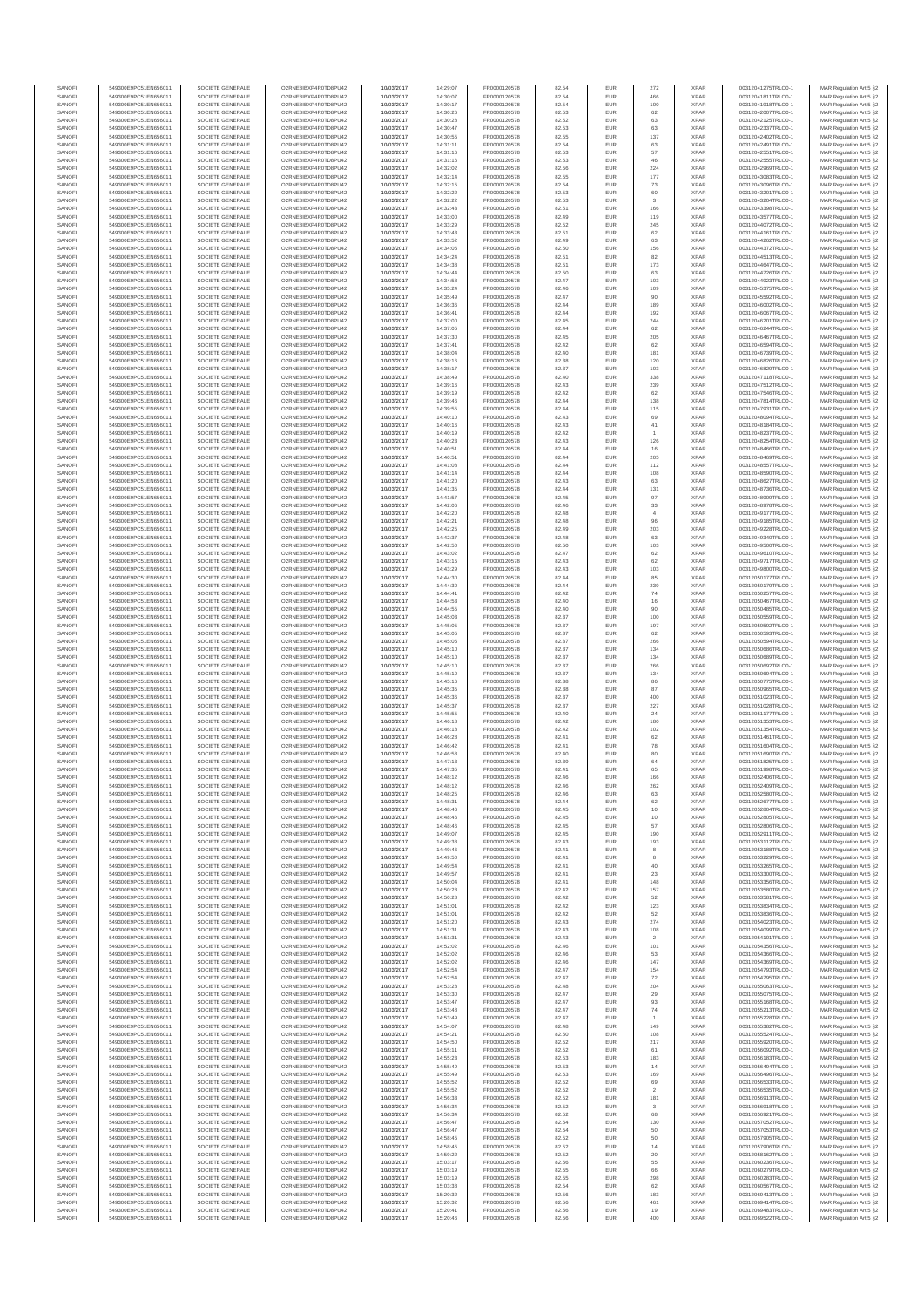| SANOFI           | 549300E9PC51EN656011                         | SOCIETE GENERALE                     | O2RNE8IBXP4R0TD8PU42                          | 10/03/2017               | 14:29:07             | FR0000120578                 | 82.54          | <b>EUR</b>        | 272                           | <b>XPAR</b>                | 00312041275TRLO0-1                       | MAR Regulation Art 5 §2                             |
|------------------|----------------------------------------------|--------------------------------------|-----------------------------------------------|--------------------------|----------------------|------------------------------|----------------|-------------------|-------------------------------|----------------------------|------------------------------------------|-----------------------------------------------------|
| SANOFI<br>SANOFI | 549300E9PC51EN656011<br>549300E9PC51EN656011 | SOCIETE GENERALE<br>SOCIETE GENERALE | O2RNE8IBXP4R0TD8PU42<br>O2RNE8IBXP4R0TD8PU42  | 10/03/2017<br>10/03/2017 | 14:30:07<br>14:30:17 | FR0000120578<br>FR0000120578 | 82.54<br>82.54 | <b>EUR</b><br>EUR | 466<br>100                    | <b>XPAR</b><br><b>XPAR</b> | 00312041811TRLO0-1<br>00312041918TRLO0-1 | MAR Regulation Art 5 §2<br>MAR Regulation Art 5 §2  |
| SANOFI           | 549300E9PC51EN656011                         | SOCIETE GENERALE                     | O2RNE8IBXP4R0TD8PLI42                         | 10/03/2017               | 14:30:26             | FR0000120578                 | 82.53          | <b>EUR</b>        | 62                            | <b>XPAR</b>                | 00312042007TRLO0-1                       | MAR Regulation Art 5 §2                             |
| SANOFI           | 549300E9PC51EN656011                         | SOCIETE GENERALE                     | O2RNE8IBXP4R0TD8PU42                          | 10/03/2017               | 14:30:28             | FR0000120578                 | 82.52          | EUR               | 63                            | <b>XPAR</b>                | 00312042125TRLO0-1                       | MAR Regulation Art 5 §2<br>MAR Regulation Art 5 §2  |
| SANOFI<br>SANOFI | 549300E9PC51EN656011<br>549300E9PC51EN656011 | SOCIETE GENERALE<br>SOCIETE GENERALE | O2RNE8IBXP4R0TD8PU42<br>O2RNE8IBXP4R0TD8PU42  | 10/03/2017<br>10/03/2017 | 14:30:47<br>14:30:55 | FR0000120578<br>FR0000120578 | 82.53<br>82.55 | EUR<br>EUR        | 63<br>137                     | <b>XPAR</b><br><b>XPAR</b> | 00312042337TRLO0-1<br>00312042402TRLO0-1 | MAR Regulation Art 5 §2                             |
| SANOFI           | 549300E9PC51EN656011                         | SOCIETE GENERALE                     | O2RNE8IBXP4R0TD8PU42                          | 10/03/2017               | 14:31:11             | FR0000120578                 | 82.54          | EUR               | 63                            | <b>XPAR</b>                | 00312042491TRLO0-1                       | MAR Regulation Art 5 §2                             |
| SANOFI           | 549300E9PC51EN656011                         | SOCIETE GENERALE                     | O2RNE8IBXP4R0TD8PU42                          | 10/03/2017               | 14:31:16             | FR0000120578                 | 82.53          | EUR               | 57                            | <b>XPAR</b>                | 00312042551TRLO0-1                       | MAR Regulation Art 5 §2                             |
| SANOFI<br>SANOFI | 549300E9PC51EN656011<br>549300E9PC51EN656011 | SOCIETE GENERALE<br>SOCIETE GENERALE | O2RNE8IBXP4R0TD8PU42<br>O2RNE8IBXP4R0TD8PU42  | 10/03/2017<br>10/03/2017 | 14:31:16<br>14:32:02 | FR0000120578<br>FR0000120578 | 82.53<br>82.56 | EUR<br><b>EUR</b> | 46<br>224                     | <b>XPAR</b><br><b>XPAR</b> | 00312042555TRLO0-1<br>00312042969TRLO0-1 | MAR Regulation Art 5 §2<br>MAR Regulation Art 5 §2  |
| SANOFI           | 549300E9PC51EN656011                         | SOCIETE GENERALE                     | O2RNE8IBXP4R0TD8PU42                          | 10/03/2017               | 14:32:14             | FR0000120578                 | 82.55          | EUR               | 177                           | <b>XPAR</b>                | 00312043083TRLO0-1                       | MAR Regulation Art 5 §2                             |
| SANOFI           | 549300E9PC51EN656011                         | SOCIETE GENERALE                     | O2RNE8IBXP4R0TD8PU42                          | 10/03/2017               | 14:32:15             | FR0000120578                 | 82.54          | <b>EUR</b>        | 73                            | <b>XPAR</b>                | 00312043096TRLO0-1                       | MAR Regulation Art 5 \$2                            |
| SANOFI<br>SANOFI | 549300E9PC51EN656011<br>549300E9PC51EN656011 | SOCIETE GENERALE<br>SOCIETE GENERALE | O2RNE8IBXP4R0TD8PU42<br>O2RNE8IBXP4R0TD8PU42  | 10/03/2017<br>10/03/2017 | 14:32:22<br>14:32:22 | FR0000120578<br>FR0000120578 | 82.53<br>82.53 | EUR<br>EUR        | 60<br>$\overline{\mathbf{3}}$ | <b>XPAR</b><br><b>XPAR</b> | 00312043201TRLO0-1<br>00312043204TRLO0-1 | MAR Regulation Art 5 §2<br>MAR Regulation Art 5 §2  |
| SANOFI           | 549300E9PC51EN656011                         | SOCIETE GENERALE                     | O2RNE8IBXP4R0TD8PU42                          | 10/03/2017               | 14:32:43             | FR0000120578                 | 82.51          | EUR               | 166                           | <b>XPAR</b>                | 00312043398TRLO0-1                       | MAR Regulation Art 5 §2                             |
| SANOFI           | 549300E9PC51EN656011                         | SOCIETE GENERALE                     | O2RNE8IBXP4R0TD8PU42                          | 10/03/2017               | 14:33:00             | FR0000120578                 | 82.49          | EUR               | 119                           | <b>XPAR</b>                | 00312043577TRLO0-1                       | MAR Regulation Art 5 §2                             |
| SANOFI           | 549300E9PC51EN656011                         | SOCIETE GENERALE                     | O2RNE8IBXP4R0TD8PU42                          | 10/03/2017               | 14:33:29             | FR0000120578                 | 82.52          | EUR               | 245                           | <b>XPAR</b>                | 00312044072TRLO0-1                       | MAR Regulation Art 5 §2                             |
| SANOFI<br>SANOFI | 549300E9PC51EN656011<br>549300E9PC51EN656011 | SOCIETE GENERALE<br>SOCIETE GENERALE | O2RNE8IBXP4R0TD8PU42<br>O2RNE8IBXP4R0TD8PU42  | 10/03/2017<br>10/03/2017 | 14:33:43<br>14:33:52 | FR0000120578<br>FR0000120578 | 82.51<br>82.49 | EUR<br><b>EUR</b> | 62<br>63                      | <b>XPAR</b><br><b>XPAR</b> | 00312044161TRLO0-1<br>00312044262TRLO0-1 | MAR Regulation Art 5 §2<br>MAR Regulation Art 5 §2  |
| SANOFI           | 549300E9PC51EN656011                         | SOCIETE GENERALE                     | O2RNE8IBXP4R0TD8PU42                          | 10/03/2017               | 14:34:05             | FR0000120578                 | 82.50          | EUR               | 156                           | <b>XPAR</b>                | 00312044372TRLO0-1                       | MAR Regulation Art 5 §2                             |
| SANOFI           | 549300E9PC51EN656011                         | SOCIETE GENERALE                     | O2RNE8IBXP4R0TD8PU42                          | 10/03/2017               | 14:34:24             | FR0000120578                 | 82.51          | <b>EUR</b>        | 82                            | <b>XPAR</b>                | 00312044513TRLO0-1                       | MAR Regulation Art 5 \$2                            |
| SANOFI<br>SANOFI | 549300E9PC51EN656011<br>549300E9PC51EN656011 | SOCIETE GENERALE<br>SOCIETE GENERALE | O2RNE8IBXP4R0TD8PU42<br>O2RNE8IBXP4R0TD8PLI42 | 10/03/2017<br>10/03/2017 | 14:34:38<br>14:34:44 | FR0000120578<br>FR0000120578 | 82.51<br>82.50 | EUR<br>EUR        | 173<br>63                     | <b>XPAR</b><br>XPAR        | 00312044647TRLO0-1<br>00312044726TRLO0-1 | MAR Regulation Art 5 §2<br>MAR Regulation Art 5 §2  |
| SANOFI           | 549300E9PC51EN656011                         | SOCIETE GENERALE                     | O2RNE8IBXP4R0TD8PU42                          | 10/03/2017               | 14:34:58             | FR0000120578                 | 82.47          | EUR               | 103                           | <b>XPAR</b>                | 00312044923TRLO0-1                       | MAR Regulation Art 5 §2                             |
| SANOFI           | 549300E9PC51EN656011                         | SOCIETE GENERALE                     | O2RNE8IBXP4R0TD8PU42                          | 10/03/2017               | 14:35:24             | FR0000120578                 | 82.46          | EUR               | 109                           | <b>XPAR</b>                | 00312045375TRLO0-1                       | MAR Regulation Art 5 §2                             |
| SANOFI<br>SANOFI | 549300E9PC51EN656011<br>549300E9PC51EN656011 | SOCIETE GENERALE<br>SOCIETE GENERALE | O2RNE8IBXP4R0TD8PU42<br>O2RNE8IBXP4R0TD8PU42  | 10/03/2017<br>10/03/2017 | 14:35:49<br>14:36:36 | FR0000120578<br>FR0000120578 | 82.47<br>82.44 | EUR<br>EUR        | 90<br>189                     | <b>XPAR</b><br><b>XPAR</b> | 00312045592TRLO0-1<br>00312046002TRLO0-1 | MAR Regulation Art 5 §2<br>MAR Regulation Art 5 §2  |
| SANOFI           | 549300E9PC51EN656011                         | SOCIETE GENERALE                     | O2RNE8IBXP4R0TD8PU42                          | 10/03/2017               | 14:36:41             | FR0000120578                 | 82.44          | <b>EUR</b>        | 192                           | <b>XPAR</b>                | 00312046067TRLO0-1                       | MAR Regulation Art 5 §2                             |
| SANOFI           | 549300E9PC51EN656011                         | SOCIETE GENERALE                     | O2RNE8IBXP4R0TD8PU42                          | 10/03/2017               | 14:37:00             | FR0000120578                 | 82.45          | EUR               | 244                           | <b>XPAR</b>                | 00312046201TRLO0-1                       | MAR Regulation Art 5 §2                             |
| SANOFI<br>SANOFI | 549300E9PC51EN656011<br>549300E9PC51EN656011 | SOCIETE GENERALE                     | O2RNE8IBXP4R0TD8PU42<br>O2RNE8IBXP4R0TD8PU42  | 10/03/2017               | 14:37:05             | FR0000120578                 | 82.44          | <b>EUR</b><br>EUR | 62                            | <b>XPAR</b><br><b>XPAR</b> | 00312046244TRLO0-1                       | MAR Regulation Art 5 \$2                            |
| SANOFI           | 549300E9PC51EN656011                         | SOCIETE GENERALE<br>SOCIETE GENERALE | O2RNE8IBXP4R0TD8PU42                          | 10/03/2017<br>10/03/2017 | 14:37:30<br>14:37:41 | FR0000120578<br>FR0000120578 | 82.45<br>82.42 | EUR               | 205<br>$62\,$                 | <b>XPAR</b>                | 00312046467TRLO0-1<br>00312046594TRLO0-1 | MAR Regulation Art 5 §2<br>MAR Regulation Art 5 §2  |
| SANOFI           | 549300E9PC51EN656011                         | SOCIETE GENERALE                     | O2RNE8IBXP4R0TD8PU42                          | 10/03/2017               | 14:38:04             | FR0000120578                 | 82.40          | EUR               | 181                           | <b>XPAR</b>                | 00312046739TRLO0-1                       | MAR Regulation Art 5 §2                             |
| SANOFI           | 549300E9PC51EN656011                         | SOCIETE GENERALE                     | O2RNE8IBXP4R0TD8PU42                          | 10/03/2017               | 14:38:16             | FR0000120578                 | 82.38          | EUR               | 120                           | <b>XPAR</b>                | 00312046826TRLO0-1                       | MAR Regulation Art 5 §2                             |
| SANOFI<br>SANOFI | 549300E9PC51EN656011<br>549300E9PC51EN656011 | SOCIETE GENERALE<br>SOCIETE GENERALE | O2RNE8IBXP4R0TD8PU42<br>O2RNE8IBXP4R0TD8PU42  | 10/03/2017<br>10/03/2017 | 14:38:17<br>14:38:49 | FR0000120578<br>FR0000120578 | 82.37<br>82.40 | <b>EUR</b><br>EUR | 103<br>338                    | <b>XPAR</b><br><b>XPAR</b> | 00312046829TRLO0-1<br>00312047118TRLO0-1 | MAR Regulation Art 5 §2<br>MAR Regulation Art 5 §2  |
| SANOFI           | 549300E9PC51EN656011                         | SOCIETE GENERALE                     | O2RNE8IBXP4R0TD8PU42                          | 10/03/2017               | 14:39:16             | FR0000120578                 | 82.43          | <b>EUR</b>        | 239                           | <b>XPAR</b>                | 00312047512TRLO0-1                       | MAR Regulation Art 5 §2                             |
| SANOFI           | 549300E9PC51EN656011                         | SOCIETE GENERALE                     | O2RNE8IBXP4R0TD8PU42                          | 10/03/2017               | 14:39:19             | FR0000120578                 | 82.42          | EUR               | 62                            | <b>XPAR</b>                | 00312047546TRLO0-1                       | MAR Regulation Art 5 §2                             |
| SANOFI<br>SANOFI | 549300E9PC51EN656011<br>549300E9PC51EN656011 | SOCIETE GENERALE<br>SOCIETE GENERALE | O2RNE8IBXP4R0TD8PU42<br>O2RNE8IBXP4R0TD8PU42  | 10/03/2017<br>10/03/2017 | 14:39:46<br>14:39:55 | FR0000120578<br>FR0000120578 | 82.44<br>82.44 | EUR<br>EUR        | 138<br>115                    | <b>XPAR</b><br><b>XPAR</b> | 00312047814TRLO0-1<br>00312047931TRLO0-1 | MAR Regulation Art 5 §2<br>MAR Regulation Art 5 §2  |
| SANOFI           | 549300E9PC51EN656011                         | SOCIETE GENERALE                     | O2RNE8IBXP4R0TD8PU42                          | 10/03/2017               | 14:40:10             | FR0000120578                 | 82.43          | EUR               | 69                            | <b>XPAR</b>                | 00312048094TRLO0-1                       | MAR Regulation Art 5 §2                             |
| SANOFI           | 549300E9PC51EN656011                         | SOCIETE GENERALE                     | O2RNE8IBXP4R0TD8PU42                          | 10/03/2017               | 14:40:16             | FR0000120578                 | 82.43          | EUR               | $41\,$                        | <b>XPAR</b>                | 00312048184TRLO0-1                       | MAR Regulation Art 5 §2                             |
| SANOFI<br>SANOFI | 549300E9PC51EN656011<br>549300E9PC51EN656011 | SOCIETE GENERALE<br>SOCIETE GENERALE | O2RNE8IBXP4R0TD8PU42<br>O2RNE8IBXP4R0TD8PU42  | 10/03/2017<br>10/03/2017 | 14:40:19<br>14:40:23 | FR0000120578<br>FR0000120578 | 82.42<br>82.43 | EUR<br><b>EUR</b> | $\overline{1}$<br>126         | <b>XPAR</b><br><b>XPAR</b> | 00312048237TRLO0-1<br>00312048254TRLO0-1 | MAR Regulation Art 5 §2<br>MAR Regulation Art 5 \$2 |
| SANOFI           | 549300E9PC51EN656011                         | SOCIETE GENERALE                     | O2RNE8IBXP4R0TD8PU42                          | 10/03/2017               | 14:40:51             | FR0000120578                 | 82.44          | EUR               | 16                            | <b>XPAR</b>                | 00312048466TRLO0-1                       | MAR Regulation Art 5 §2                             |
| SANOFI           | 549300E9PC51EN656011                         | SOCIETE GENERALE                     | O2RNE8IBXP4R0TD8PLI42                         | 10/03/2017               | 14:40:51             | FR0000120578                 | 82.44          | <b>EUR</b>        | 205                           | <b>XPAR</b>                | 00312048469TRLO0-1                       | MAR Regulation Art 5 §2                             |
| SANOFI<br>SANOFI | 549300E9PC51EN656011<br>549300E9PC51EN656011 | SOCIETE GENERALE<br>SOCIETE GENERALE | O2RNE8IBXP4R0TD8PU42<br>O2RNE8IBXP4R0TD8PU42  | 10/03/2017<br>10/03/2017 | 14:41:08<br>14:41:14 | FR0000120578<br>FR0000120578 | 82.44<br>82.44 | EUR<br>EUR        | 112<br>108                    | <b>XPAR</b><br><b>XPAR</b> | 00312048557TRLO0-1<br>00312048590TRLO0-1 | MAR Regulation Art 5 §2<br>MAR Regulation Art 5 §2  |
| SANOFI           | 549300E9PC51EN656011                         | SOCIETE GENERALE                     | O2RNE8IBXP4R0TD8PU42                          | 10/03/2017               | 14:41:20             | FR0000120578                 | 82.43          | EUR               | 63                            | <b>XPAR</b>                | 00312048627TRLO0-1                       | MAR Regulation Art 5 §2                             |
| SANOFI           | 549300E9PC51EN656011                         | SOCIETE GENERALE                     | O2RNE8IBXP4R0TD8PU42                          | 10/03/2017               | 14:41:35             | FR0000120578                 | 82.44          | EUR               | 131                           | <b>XPAR</b>                | 00312048736TRLO0-1                       | MAR Regulation Art 5 §2                             |
| SANOFI           | 549300E9PC51EN656011                         | SOCIETE GENERALE                     | O2RNE8IBXP4R0TD8PU42                          | 10/03/2017               | 14:41:57             | FR0000120578                 | 82.45          | EUR               | 97                            | <b>XPAR</b>                | 00312048909TRLO0-1                       | MAR Regulation Art 5 §2                             |
| SANOFI<br>SANOFI | 549300E9PC51EN656011<br>549300E9PC51EN656011 | SOCIETE GENERALE<br>SOCIETE GENERALE | O2RNE8IBXP4R0TD8PU42<br>O2RNE8IBXP4R0TD8PLI42 | 10/03/2017<br>10/03/2017 | 14:42:06<br>14:42:20 | FR0000120578<br>FR0000120578 | 82.46<br>82.48 | EUR<br><b>EUR</b> | $33\,$<br>$\overline{4}$      | <b>XPAR</b><br><b>XPAR</b> | 00312048978TRLO0-1<br>00312049177TRLO0-1 | MAR Regulation Art 5 §2<br>MAR Regulation Art 5 §2  |
| SANOFI           | 549300E9PC51EN656011                         | SOCIETE GENERALE                     | O2RNE8IBXP4R0TD8PU42                          | 10/03/2017               | 14:42:21             | FR0000120578                 | 82.48          | EUR               | 96                            | <b>XPAR</b>                | 00312049185TRLO0-1                       | MAR Regulation Art 5 §2                             |
| SANOFI           | 549300E9PC51EN656011                         | SOCIETE GENERALE                     | O2RNE8IBXP4R0TD8PU42                          | 10/03/2017               | 14:42:25             | FR0000120578                 | 82.49          | <b>EUR</b>        | 203                           | <b>XPAR</b>                | 00312049228TRLO0-1                       | MAR Regulation Art 5 §2                             |
| SANOFI<br>SANOFI | 549300E9PC51EN656011<br>549300E9PC51EN656011 | SOCIETE GENERALE<br>SOCIETE GENERALE | O2RNE8IBXP4R0TD8PU42<br>O2RNE8IBXP4R0TD8PU42  | 10/03/2017<br>10/03/2017 | 14:42:37<br>14:42:50 | FR0000120578<br>FR0000120578 | 82.48<br>82.50 | EUR<br>EUR        | 63<br>103                     | <b>XPAR</b><br><b>XPAR</b> | 00312049340TRLO0-1<br>00312049500TRLO0-1 | MAR Regulation Art 5 §2<br>MAR Regulation Art 5 §2  |
| SANOFI           | 549300E9PC51EN656011                         | SOCIETE GENERALE                     | O2RNE8IBXP4R0TD8PU42                          | 10/03/2017               | 14:43:02             | FR0000120578                 | 82.47          | EUR               | 62                            | <b>XPAR</b>                | 00312049610TRLO0-1                       | MAR Regulation Art 5 §2                             |
| SANOFI           | 549300E9PC51EN656011                         | SOCIETE GENERALE                     | O2RNE8IBXP4R0TD8PU42                          | 10/03/2017               | 14:43:15             | FR0000120578                 | 82.43          | EUR               | 62                            | <b>XPAR</b>                | 00312049717TRLO0-1                       | MAR Regulation Art 5 §2                             |
| SANOFI<br>SANOFI | 549300E9PC51EN656011<br>549300E9PC51EN656011 | SOCIETE GENERALE<br>SOCIETE GENERALE | O2RNE8IBXP4R0TD8PU42<br>O2RNE8IBXP4R0TD8PU42  | 10/03/2017<br>10/03/2017 | 14:43:29<br>14:44:30 | FR0000120578<br>FR0000120578 | 82.43<br>82.44 | EUR<br>EUR        | 103<br>85                     | <b>XPAR</b><br><b>XPAR</b> | 00312049800TRLO0-1<br>00312050177TRLO0-1 | MAR Regulation Art 5 §2<br>MAR Regulation Art 5 §2  |
| SANOFI           | 549300E9PC51EN656011                         | SOCIETE GENERALE                     | O2RNE8IBXP4R0TD8PU42                          | 10/03/2017               | 14:44:30             | FR0000120578                 | 82.44          | <b>EUR</b>        | 239                           | <b>XPAR</b>                | 00312050179TRLO0-1                       | MAR Regulation Art 5 §2                             |
| SANOFI           | 549300E9PC51EN656011                         | SOCIETE GENERALE                     | O2RNE8IBXP4R0TD8PU42                          | 10/03/2017               | 14:44:41             | FR0000120578                 | 82.42          | EUR               | 74                            | <b>XPAR</b>                | 00312050257TRLO0-1                       | MAR Regulation Art 5 §2                             |
| SANOFI           | 549300E9PC51EN656011                         | SOCIETE GENERALE                     | O2RNE8IBXP4R0TD8PU42                          | 10/03/2017               | 14:44:53             | FR0000120578                 | 82.40          | <b>EUR</b>        | 16                            | <b>XPAR</b>                | 00312050467TRLO0-1                       | MAR Regulation Art 5 §2                             |
| SANOFI<br>SANOFI | 549300E9PC51EN656011<br>549300E9PC51EN656011 | SOCIETE GENERALE<br>SOCIETE GENERALE | O2RNE8IBXP4R0TD8PU42<br>O2RNE8IBXP4R0TD8PU42  | 10/03/2017<br>10/03/2017 | 14:44:55<br>14:45:03 | FR0000120578<br>FR0000120578 | 82.40<br>82.37 | EUR<br>EUR        | 90<br>100                     | <b>XPAR</b><br><b>XPAR</b> | 00312050485TRLO0-1<br>00312050559TRLO0-1 | MAR Regulation Art 5 §2<br>MAR Regulation Art 5 §2  |
| SANOFI           | 549300E9PC51EN656011                         | SOCIETE GENERALE                     | O2RNE8IBXP4R0TD8PU42                          | 10/03/2017               | 14:45:05             | FR0000120578                 | 82.37          | EUR               | 197                           | <b>XPAR</b>                | 00312050592TRLO0-1                       | MAR Regulation Art 5 §2                             |
| SANOFI           | 549300E9PC51EN656011                         | SOCIETE GENERALE                     | O2RNE8IBXP4R0TD8PU42                          | 10/03/2017               | 14:45:05             | FR0000120578                 | 82.37          | EUR               | $62\,$                        | <b>XPAR</b>                | 00312050593TRLO0-1                       | MAR Regulation Art 5 §2                             |
| SANOFI<br>SANOFI | 549300E9PC51EN656011<br>549300E9PC51EN656011 | SOCIETE GENERALE<br>SOCIETE GENERALE | O2RNE8IBXP4R0TD8PU42<br>O2RNE8IBXP4R0TD8PU42  | 10/03/2017<br>10/03/2017 | 14:45:05<br>14:45:10 | FR0000120578<br>FR0000120578 | 82.37<br>82.37 | <b>EUR</b><br>EUR | 266<br>134                    | <b>XPAR</b><br><b>XPAR</b> | 00312050594TRLO0-1<br>00312050686TRLO0-1 | MAR Regulation Art 5 §2<br>MAR Regulation Art 5 §2  |
| SANOFI           | 549300E9PC51EN656011                         | SOCIETE GENERALE                     | O2RNE8IBXP4R0TD8PU42                          | 10/03/2017               | 14:45:10             | FR0000120578                 | 82.37          | <b>EUR</b>        | 134                           | <b>XPAR</b>                | 00312050689TRLO0-1                       | MAR Regulation Art 5 §2                             |
| SANOFI           | 549300E9PC51EN656011                         | SOCIETE GENERALE                     | O2RNE8IBXP4R0TD8PU42                          | 10/03/2017               | 14:45:10             | FR0000120578                 | 82.37          | EUR               | 266                           | <b>XPAR</b>                | 00312050692TRLO0-1                       | MAR Regulation Art 5 §2                             |
| SANOFI           | 549300E9PC51EN656011                         | SOCIETE GENERALE                     | O2RNE8IBXP4R0TD8PU42                          | 10/03/2017               | 14:45:10             | FR0000120578                 | 82.37          | EUR               | 134                           | <b>XPAR</b>                | 00312050694TRLO0-1                       | MAR Regulation Art 5 §2                             |
| SANOFI<br>SANOFI | 549300E9PC51EN656011<br>549300E9PC51EN656011 | SOCIETE GENERALE<br>SOCIETE GENERALE | O2RNE8IBXP4R0TD8PU42<br>O2RNE8IBXP4R0TD8PU42  | 10/03/2017<br>10/03/2017 | 14:45:16<br>14:45:35 | FR0000120578<br>FR0000120578 | 82.38<br>82.38 | EUR<br>EUR        | 86<br>87                      | <b>XPAR</b><br><b>XPAR</b> | 00312050775TRLO0-1<br>00312050965TRLO0-1 | MAR Regulation Art 5 §2<br>MAR Regulation Art 5 §2  |
| SANOFI           | 549300E9PC51EN656011                         | SOCIETE GENERALE                     | O2RNE8IBXP4R0TD8PU42                          | 10/03/2017               | 14:45:36             | FR0000120578                 | 82.37          | EUR               | 400                           | <b>XPAR</b>                | 00312051023TRLO0-1                       | MAR Regulation Art 5 §2                             |
| SANOFI           | 549300E9PC51EN656011                         | SOCIETE GENERALE                     | O2RNE8IBXP4R0TD8PU42                          | 10/03/2017               | 14:45:37             | FR0000120578                 | 82.37          | EUR               | 227                           | <b>XPAR</b>                | 00312051028TRLO0-1                       | MAR Regulation Art 5 §2                             |
| SANOFI<br>SANOFI | 549300E9PC51EN656011<br>549300E9PC51EN656011 | SOCIETE GENERALE<br>SOCIETE GENERALE | O2RNE8IBXP4R0TD8PLI42<br>O2RNE8IBXP4R0TD8PU42 | 10/03/2017<br>10/03/2017 | 14:45:55<br>14:46:18 | FR0000120578<br>FR0000120578 | 82.40<br>82.42 | <b>EUR</b><br>EUR | 24<br>180                     | <b>XPAR</b><br><b>XPAR</b> | 00312051177TRLO0-1<br>00312051353TRLO0-1 | MAR Regulation Art 5 §2<br>MAR Regulation Art 5 §2  |
| SANOFI           | 549300E9PC51EN656011                         | SOCIETE GENERALE                     | O2RNE8IBXP4R0TD8PU42                          | 10/03/2017               | 14:46:18             | FR0000120578                 | 82.42          | <b>EUR</b>        | 102                           | <b>XPAR</b>                | 00312051354TRLO0-1                       | MAR Regulation Art 5 §2                             |
| SANOFI           | 549300E9PC51EN656011                         | SOCIETE GENERALE                     | O2RNE8IBXP4R0TD8PU42                          | 10/03/2017               | 14:46:28             | FR0000120578                 | 82.41          | EUR               | 62                            | <b>XPAR</b>                | 00312051461TRLO0-1                       | MAR Regulation Art 5 §2                             |
| SANOFI<br>SANOFI | 549300E9PC51EN656011<br>549300E9PC51EN656011 | SOCIETE GENERALE<br>SOCIETE GENERALE | O2RNE8IBXP4R0TD8PU42<br>O2RNE8IBXP4R0TD8PU42  | 10/03/2017<br>10/03/2017 | 14:46:42<br>14:46:58 | FR0000120578<br>FR0000120578 | 82.41<br>82.40 | EUR<br>EUR        | ${\bf 78}$<br>80              | <b>XPAR</b><br><b>XPAR</b> | 00312051604TRLO0-1<br>00312051690TRLO0-1 | MAR Regulation Art 5 §2<br>MAR Regulation Art 5 §2  |
| SANOFI           | 549300E9PC51EN656011                         | SOCIETE GENERALE                     | O2RNE8IBXP4R0TD8PU42                          | 10/03/2017               | 14:47:13             | FR0000120578                 | 82.39          | EUR               | 64                            | <b>XPAR</b>                | 00312051825TRLO0-1                       | MAR Regulation Art 5 §2                             |
| SANOFI           | 549300E9PC51EN656011                         | SOCIETE GENERALE                     | O2RNE8IBXP4R0TD8PLI42                         | 10/03/2017               | 14:47:35             | FR0000120578                 | 82.41          | EUR               | 65                            | <b>XPAR</b>                | 00312051998TRLO0-1                       | MAR Regulation Art 5 §2                             |
| SANOFI<br>SANOFI | 549300E9PC51EN656011<br>549300E9PC51EN656011 | SOCIETE GENERALE<br>SOCIETE GENERALE | O2RNE8IBXP4R0TD8PU42<br>O2RNE8IBXP4R0TD8PU42  | 10/03/2017<br>10/03/2017 | 14:48:12<br>14:48:12 | FR0000120578                 | 82.46<br>82.46 | EUR<br><b>EUR</b> | 166<br>262                    | <b>XPAR</b><br><b>XPAR</b> | 00312052406TRLO0-1<br>00312052409TRLO0-1 | MAR Regulation Art 5 §2<br>MAR Regulation Art 5 \$2 |
| SANOFI           | 549300E9PC51EN656011                         | SOCIETE GENERALE                     | O2RNE8IBXP4R0TD8PU42                          | 10/03/2017               | 14:48:25             | FR0000120578<br>FR0000120578 | 82.46          | EUR               | 63                            | <b>XPAR</b>                | 00312052580TRLO0-1                       | MAR Regulation Art 5 §2                             |
| SANOFI           | 549300E9PC51EN656011                         | SOCIETE GENERALE                     | O2RNE8IBXP4R0TD8PU42                          | 10/03/2017               | 14:48:31             | FR0000120578                 | 82.44          | <b>EUR</b>        | 62                            | <b>XPAR</b>                | 00312052677TRLO0-1                       | MAR Regulation Art 5 §2                             |
| SANOFI           | 549300E9PC51EN656011<br>549300E9PC51EN656011 | SOCIETE GENERALE                     | O2RNE8IBXP4R0TD8PU42                          | 10/03/2017               | 14:48:46             | FR0000120578                 | 82.45          | EUR               | 10                            | <b>XPAR</b>                | 00312052804TRLO0-1                       | MAR Regulation Art 5 §2                             |
| SANOFI<br>SANOFI | 549300E9PC51EN656011                         | SOCIETE GENERALE<br>SOCIETE GENERALE | O2RNE8IBXP4R0TD8PU42<br>O2RNE8IBXP4R0TD8PU42  | 10/03/2017<br>10/03/2017 | 14:48:46<br>14:48:46 | FR0000120578<br>FR0000120578 | 82.45<br>82.45 | <b>EUR</b><br>EUR | 10<br>57                      | <b>XPAR</b><br><b>XPAR</b> | 00312052805TRLO0-1<br>00312052806TRLO0-1 | MAR Regulation Art 5 §2<br>MAR Regulation Art 5 §2  |
| SANOFI           | 549300E9PC51EN656011                         | SOCIETE GENERALE                     | O2RNE8IBXP4R0TD8PU42                          | 10/03/2017               | 14:49:07             | FR0000120578                 | 82.45          | EUR               | 190                           | <b>XPAR</b>                | 00312052911TRLO0-1                       | MAR Regulation Art 5 §2                             |
| SANOFI           | 549300E9PC51EN656011<br>549300E9PC51EN656011 | SOCIETE GENERALE                     | O2RNE8IBXP4R0TD8PU42<br>O2RNE8IBXP4R0TD8PU42  | 10/03/2017               | 14:49:38             | FR0000120578<br>FR0000120578 | 82.43          | EUR               | 193                           | <b>XPAR</b>                | 00312053112TRLO0-1                       | MAR Regulation Art 5 §2                             |
| SANOFI<br>SANOFI | 549300E9PC51EN656011                         | SOCIETE GENERALE<br>SOCIETE GENERALE | O2RNE8IBXP4R0TD8PU42                          | 10/03/2017<br>10/03/2017 | 14:49:46<br>14:49:50 | FR0000120578                 | 82.41<br>82.41 | EUR<br><b>EUR</b> | 8<br>8                        | <b>XPAR</b><br><b>XPAR</b> | 00312053188TRLO0-1<br>00312053229TRLO0-1 | MAR Regulation Art 5 §2<br>MAR Regulation Art 5 §2  |
| SANOFI           | 549300E9PC51EN656011                         | SOCIETE GENERALE                     | O2RNE8IBXP4R0TD8PU42                          | 10/03/2017               | 14:49:54             | FR0000120578                 | 82.41          | EUR               | 40                            | <b>XPAR</b>                | 00312053265TRLO0-1                       | MAR Regulation Art 5 §2                             |
| SANOFI<br>SANOFI | 549300E9PC51EN656011                         | SOCIETE GENERALE                     | O2RNE8IBXP4R0TD8PLI42                         | 10/03/2017               | 14:49:57             | FR0000120578                 | 82.41          | <b>EUR</b>        | 23                            | <b>XPAR</b>                | 00312053300TRLO0-1                       | MAR Regulation Art 5 §2                             |
| SANOFI           | 549300E9PC51EN656011<br>549300E9PC51EN656011 | SOCIETE GENERALE<br>SOCIETE GENERALE | O2RNE8IBXP4R0TD8PU42<br>O2RNE8IBXP4R0TD8PU42  | 10/03/2017<br>10/03/2017 | 14:50:04<br>14:50:28 | FR0000120578<br>FR0000120578 | 82.41<br>82.42 | EUR<br>EUR        | 148<br>157                    | <b>XPAR</b><br><b>XPAR</b> | 00312053356TRLO0-1<br>00312053580TRLO0-1 | MAR Regulation Art 5 §2<br>MAR Regulation Art 5 §2  |
| SANOFI           | 549300E9PC51EN656011                         | SOCIETE GENERALE                     | O2RNE8IBXP4R0TD8PU42                          | 10/03/2017               | 14:50:28             | FR0000120578                 | 82.42          | EUR               | 52                            | <b>XPAR</b>                | 00312053581TRLO0-1                       | MAR Regulation Art 5 §2                             |
| SANOFI<br>SANOFI | 549300E9PC51EN656011<br>549300E9PC51EN656011 | SOCIETE GENERALE<br>SOCIETE GENERALE | O2RNE8IBXP4R0TD8PU42<br>O2RNE8IBXP4R0TD8PU42  | 10/03/2017<br>10/03/2017 | 14:51:01<br>14:51:01 | FR0000120578<br>FR0000120578 | 82.42<br>82.42 | EUR<br><b>EUR</b> | 123<br>52                     | <b>XPAR</b><br><b>XPAR</b> | 00312053834TRLO0-1<br>00312053836TRLO0-1 | MAR Regulation Art 5 §2                             |
| SANOFI           | 549300E9PC51EN656011                         | SOCIETE GENERALE                     | O2RNE8IBXP4R0TD8PU42                          | 10/03/2017               | 14:51:20             | FR0000120578                 | 82.43          | EUR               | 274                           | <b>XPAR</b>                | 00312054023TRLO0-1                       | MAR Regulation Art 5 §2<br>MAR Regulation Art 5 §2  |
| SANOFI           | 549300E9PC51EN656011                         | SOCIETE GENERALE                     | O2RNE8IBXP4R0TD8PU42                          | 10/03/2017               | 14:51:31             | FR0000120578                 | 82.43          | <b>EUR</b>        | 108                           | <b>XPAR</b>                | 00312054099TRLO0-1                       | MAR Regulation Art 5 §2                             |
| SANOFI<br>SANOFI | 549300E9PC51EN656011<br>549300E9PC51EN656011 | SOCIETE GENERALE<br>SOCIETE GENERALE | O2RNE8IBXP4R0TD8PU42<br>O2RNE8IBXP4R0TD8PU42  | 10/03/2017<br>10/03/2017 | 14:51:31<br>14:52:02 | FR0000120578<br>FR0000120578 | 82.43<br>82.46 | EUR<br>EUR        | $\overline{2}$<br>101         | <b>XPAR</b><br>XPAR        | 00312054101TRLO0-1<br>00312054356TRLO0-1 | MAR Regulation Art 5 §2<br>MAR Regulation Art 5 §2  |
| SANOFI           | 549300E9PC51EN656011                         | SOCIETE GENERALE                     | O2RNE8IBXP4R0TD8PU42                          | 10/03/2017               | 14:52:02             | FR0000120578                 | 82.46          | EUR               | 53                            | <b>XPAR</b>                | 00312054366TRLO0-1                       | MAR Regulation Art 5 §2                             |
| SANOFI           | 549300E9PC51EN656011                         | SOCIETE GENERALE                     | O2RNE8IBXP4R0TD8PU42                          | 10/03/2017               | 14:52:02             | FR0000120578                 | 82.46          | EUR               | 147                           | <b>XPAR</b>                | 00312054369TRLO0-1                       | MAR Regulation Art 5 §2                             |
| SANOFI           | 549300E9PC51EN656011                         | SOCIETE GENERALE                     | O2RNE8IBXP4R0TD8PU42                          | 10/03/2017               | 14:52:54             | FR0000120578                 | 82.47          | EUR               | 154                           | <b>XPAR</b>                | 00312054793TRLO0-1                       | MAR Regulation Art 5 §2                             |
| SANOFI<br>SANOFI | 549300E9PC51EN656011<br>549300E9PC51EN656011 | SOCIETE GENERALE<br>SOCIETE GENERALE | O2RNE8IBXP4R0TD8PLI42<br>O2RNE8IBXP4R0TD8PU42 | 10/03/2017<br>10/03/2017 | 14:52:54<br>14:53:28 | FR0000120578<br>FR0000120578 | 82.47<br>82.48 | EUR<br><b>EUR</b> | ${\bf 72}$<br>204             | <b>XPAR</b><br><b>XPAR</b> | 00312054795TRLO0-1<br>00312055063TRLO0-1 | MAR Regulation Art 5 §2<br>MAR Regulation Art 5 §2  |
| SANOFI           | 549300E9PC51EN656011                         | SOCIETE GENERALE                     | O2RNE8IBXP4R0TD8PU42                          | 10/03/2017               | 14:53:30             | FR0000120578                 | 82.47          | EUR               | 29                            | <b>XPAR</b>                | 00312055075TRLO0-1                       | MAR Regulation Art 5 §2                             |
| SANOFI           | 549300E9PC51EN656011                         | SOCIETE GENERALE                     | O2RNE8IBXP4R0TD8PU42                          | 10/03/2017               | 14:53:47             | FR0000120578                 | 82.47          | <b>EUR</b>        | 93                            | <b>XPAR</b>                | 00312055168TRLO0-1                       | MAR Regulation Art 5 §2                             |
| SANOFI<br>SANOFI | 549300E9PC51EN656011<br>549300E9PC51EN656011 | SOCIETE GENERALE<br>SOCIETE GENERALE | O2RNE8IBXP4R0TD8PU42<br>O2RNE8IBXP4R0TD8PU42  | 10/03/2017<br>10/03/2017 | 14:53:48<br>14:53:49 | FR0000120578<br>FR0000120578 | 82.47<br>82.47 | EUR<br>EUR        | 74<br>$\overline{1}$          | <b>XPAR</b><br><b>XPAR</b> | 00312055213TRLO0-1<br>00312055228TRLO0-1 | MAR Regulation Art 5 §2<br>MAR Regulation Art 5 §2  |
| SANOFI           | 549300E9PC51EN656011                         | SOCIETE GENERALE                     | O2RNE8IBXP4R0TD8PU42                          | 10/03/2017               | 14:54:07             | FR0000120578                 | 82.48          | EUR               | 149                           | <b>XPAR</b>                | 00312055382TRLO0-1                       | MAR Regulation Art 5 §2                             |
| SANOFI           | 549300E9PC51EN656011                         | SOCIETE GENERALE                     | O2RNE8IBXP4R0TD8PU42                          | 10/03/2017               | 14:54:21             | FR0000120578                 | 82.50          | EUR               | 108                           | <b>XPAR</b>                | 00312055524TRLO0-1                       | MAR Regulation Art 5 §2                             |
| SANOFI<br>SANOFI | 549300E9PC51EN656011<br>549300E9PC51EN656011 | SOCIETE GENERALE<br>SOCIETE GENERALE | O2RNE8IBXP4R0TD8PU42<br>O2RNE8IBXP4R0TD8PU42  | 10/03/2017<br>10/03/2017 | 14:54:50<br>14:55:11 | FR0000120578<br>FR0000120578 | 82.52<br>82.52 | EUR<br>EUR        | 217<br>61                     | <b>XPAR</b><br><b>XPAR</b> | 00312055920TRLO0-1<br>00312056092TRLO0-1 | MAR Regulation Art 5 §2<br>MAR Regulation Art 5 §2  |
| SANOFI           | 549300E9PC51EN656011                         | SOCIETE GENERALE                     | O2RNE8IBXP4R0TD8PU42                          | 10/03/2017               | 14:55:23             | FR0000120578                 | 82.53          | <b>EUR</b>        | 183                           | <b>XPAR</b>                | 00312056183TRLO0-1                       | MAR Regulation Art 5 §2                             |
| SANOFI           | 549300E9PC51EN656011                         | SOCIETE GENERALE                     | O2RNE8IBXP4R0TD8PU42                          | 10/03/2017               | 14:55:49             | FR0000120578                 | 82.53          | EUR               | 14                            | <b>XPAR</b>                | 00312056494TRLO0-1                       | MAR Regulation Art 5 §2                             |
| SANOFI           | 549300E9PC51EN656011                         | SOCIETE GENERALE                     | O2RNE8IBXP4R0TD8PU42                          | 10/03/2017               | 14:55:49             | FR0000120578                 | 82.53          | <b>EUR</b>        | 169                           | <b>XPAR</b>                | 00312056496TRLO0-1                       | MAR Regulation Art 5 §2                             |
| SANOFI<br>SANOFI | 549300E9PC51EN656011<br>549300E9PC51EN656011 | SOCIETE GENERALE<br>SOCIETE GENERALE | O2RNE8IBXP4R0TD8PU42<br>O2RNE8IBXP4R0TD8PU42  | 10/03/2017<br>10/03/2017 | 14:55:52<br>14:55:52 | FR0000120578<br>FR0000120578 | 82.52<br>82.52 | EUR<br>EUR        | 69<br>$\overline{2}$          | <b>XPAR</b><br><b>XPAR</b> | 00312056533TRLO0-1<br>00312056535TRLO0-1 | MAR Regulation Art 5 §2<br>MAR Regulation Art 5 §2  |
| SANOFI           | 549300E9PC51EN656011                         | SOCIETE GENERALE                     | O2RNE8IBXP4R0TD8PU42                          | 10/03/2017               | 14:56:33             | FR0000120578                 | 82.52          | EUR               | 181                           | <b>XPAR</b>                | 00312056913TRLO0-1                       | MAR Regulation Art 5 §2                             |
| SANOFI           | 549300E9PC51EN656011                         | SOCIETE GENERALE                     | O2RNE8IBXP4R0TD8PU42                          | 10/03/2017               | 14:56:34             | FR0000120578                 | 82.52          | EUR               | - 3                           | <b>XPAR</b>                | 00312056918TRLO0-1                       | MAR Regulation Art 5 §2                             |
| SANOFI<br>SANOFI | 549300E9PC51EN656011<br>549300E9PC51EN656011 | SOCIETE GENERALE<br>SOCIETE GENERALE | O2RNE8IBXP4R0TD8PU42<br>O2RNE8IBXP4R0TD8PU42  | 10/03/2017<br>10/03/2017 | 14:56:34<br>14:56:47 | FR0000120578<br>FR0000120578 | 82.52<br>82.54 | EUR<br>EUR        | 68<br>130                     | <b>XPAR</b><br><b>XPAR</b> | 00312056921TRLO0-1<br>00312057052TRLO0-1 | MAR Regulation Art 5 §2<br>MAR Regulation Art 5 §2  |
| SANOFI           | 549300E9PC51EN656011                         | SOCIETE GENERALE                     | O2RNE8IBXP4R0TD8PU42                          | 10/03/2017               | 14:56:47             | FR0000120578                 | 82.54          | <b>EUR</b>        | 50                            | <b>XPAR</b>                | 00312057053TRLO0-1                       | MAR Regulation Art 5 §2                             |
| SANOFI           | 549300E9PC51EN656011                         | SOCIETE GENERALE                     | O2RNE8IBXP4R0TD8PU42                          | 10/03/2017               | 14:58:45             | FR0000120578                 | 82.52          | EUR               | 50                            | <b>XPAR</b>                | 00312057905TRLO0-1                       | MAR Regulation Art 5 §2                             |
| SANOFI<br>SANOFI | 549300E9PC51EN656011<br>549300E9PC51EN656011 | SOCIETE GENERALE<br>SOCIETE GENERALE | O2RNE8IBXP4R0TD8PU42<br>O2RNE8IBXP4R0TD8PU42  | 10/03/2017<br>10/03/2017 | 14:58:45<br>14:59:22 | FR0000120578<br>FR0000120578 | 82.52<br>82.52 | <b>EUR</b><br>EUR | 14<br>20                      | <b>XPAR</b><br><b>XPAR</b> | 00312057906TRLO0-1<br>00312058162TRLO0-1 | MAR Regulation Art 5 §2<br>MAR Regulation Art 5 §2  |
| SANOFI           | 549300E9PC51EN656011                         | SOCIETE GENERALE                     | O2RNE8IBXP4R0TD8PU42                          | 10/03/2017               | 15:03:17             | FR0000120578                 | 82.56          | EUR               | 55                            | <b>XPAR</b>                | 00312060236TRLO0-1                       | MAR Regulation Art 5 §2                             |
| SANOFI           | 549300E9PC51EN656011                         | SOCIETE GENERALE                     | O2RNE8IBXP4R0TD8PU42                          | 10/03/2017               | 15:03:19             | FR0000120578                 | 82.55          | EUR               | 66                            | <b>XPAR</b>                | 00312060279TRLO0-1                       | MAR Regulation Art 5 §2                             |
| SANOFI<br>SANOFI | 549300E9PC51EN656011<br>549300E9PC51EN656011 | SOCIETE GENERALE<br>SOCIETE GENERALE | O2RNE8IBXP4R0TD8PU42<br>O2RNE8IBXP4R0TD8PU42  | 10/03/2017               | 15:03:19<br>15:03:38 | FR0000120578                 | 82.55<br>82.54 | EUR<br><b>EUR</b> | 298<br>62                     | <b>XPAR</b><br><b>XPAR</b> | 00312060283TRLO0-1<br>00312060567TRLO0-1 | MAR Regulation Art 5 §2                             |
| SANOFI           | 549300E9PC51EN656011                         | SOCIETE GENERALE                     | O2RNE8IBXP4R0TD8PU42                          | 10/03/2017<br>10/03/2017 | 15:20:32             | FR0000120578<br>FR0000120578 | 82.56          | EUR               | 183                           | <b>XPAR</b>                | 00312069413TRLO0-1                       | MAR Regulation Art 5 §2<br>MAR Regulation Art 5 §2  |
| SANOFI           | 549300E9PC51EN656011                         | SOCIETE GENERALE                     | O2RNE8IBXP4R0TD8PU42                          | 10/03/2017               | 15:20:32             | FR0000120578                 | 82.56          | <b>EUR</b>        | 461                           | <b>XPAR</b>                | 00312069414TRLO0-1                       | MAR Regulation Art 5 §2                             |
| SANOFI<br>SANOFI | 549300E9PC51EN656011                         | SOCIETE GENERALE                     | O2RNE8IBXP4R0TD8PU42<br>O2RNE8IBXP4R0TD8PU42  | 10/03/2017               | 15:20:41             | FR0000120578                 | 82.56          | EUR<br>EUR        | 19<br>400                     | <b>XPAR</b><br><b>XPAR</b> | 00312069483TRLO0-1                       | MAR Regulation Art 5 §2                             |
|                  | 549300E9PC51EN656011                         | SOCIETE GENERALE                     |                                               | 10/03/2017               | 15:20:46             | FR0000120578                 | 82.56          |                   |                               |                            | 00312069522TRLO0-1                       | MAR Regulation Art 5 §2                             |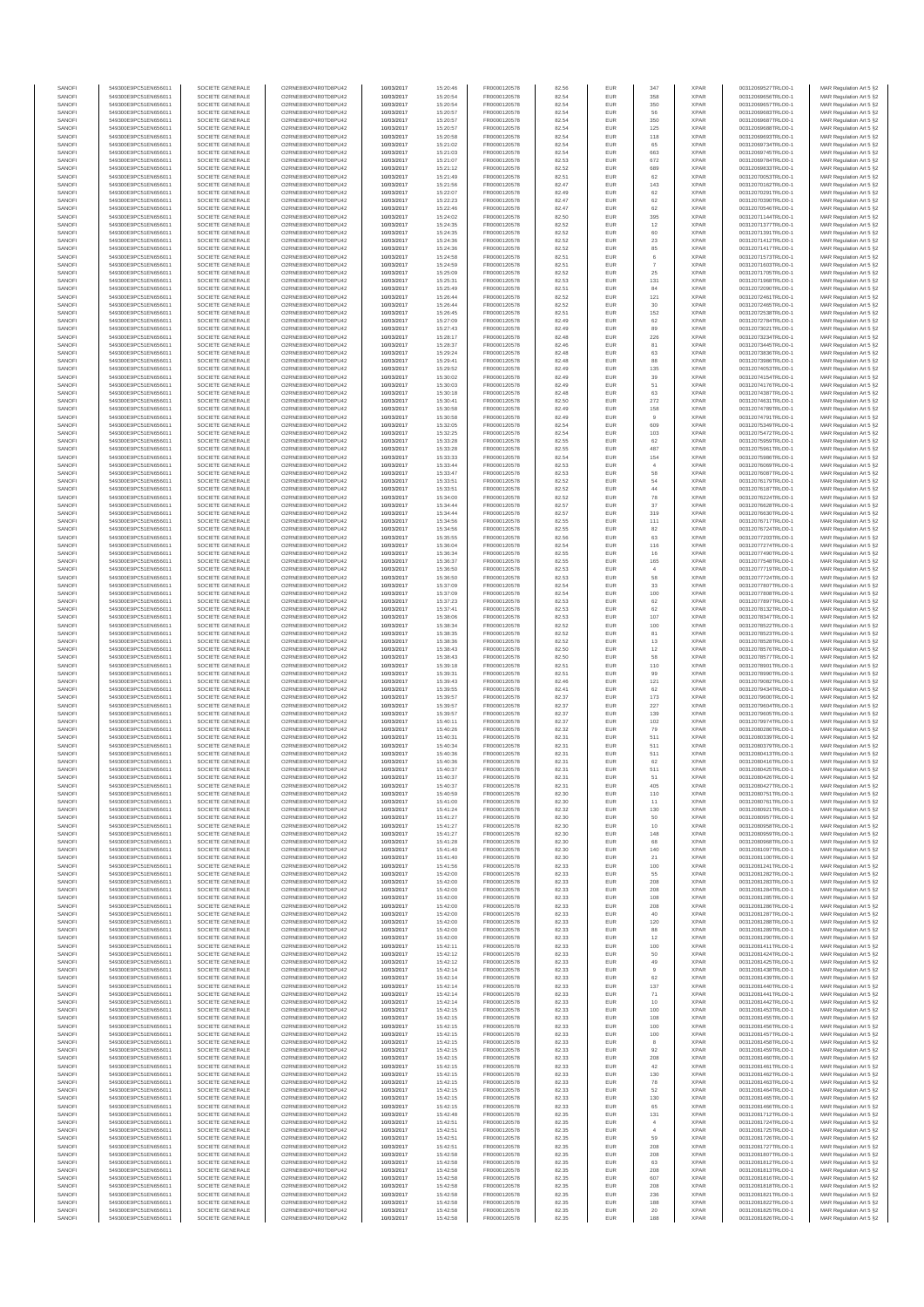| SANOFI           | 549300E9PC51EN656011                         | SOCIETE GENERALE                     | O2RNE8IBXP4R0TD8PU42                          | 10/03/2017               | 15:20:46             | FR0000120578                 | 82.56          | EUR               | 347                              | <b>XPAR</b>                | 00312069527TRLO0-1                       | MAR Regulation Art 5 §2                             |
|------------------|----------------------------------------------|--------------------------------------|-----------------------------------------------|--------------------------|----------------------|------------------------------|----------------|-------------------|----------------------------------|----------------------------|------------------------------------------|-----------------------------------------------------|
| SANOFI<br>SANOFI | 549300E9PC51EN656011<br>549300E9PC51EN656011 | SOCIETE GENERALE<br>SOCIETE GENERALE | O2RNE8IBXP4R0TD8PU42<br>O2RNE8IBXP4R0TD8PU42  | 10/03/2017<br>10/03/2017 | 15:20:54<br>15:20:54 | FR0000120578<br>FR0000120578 | 82.54<br>82.54 | EUR<br>EUR        | 358<br>350                       | <b>XPAR</b><br><b>XPAR</b> | 00312069656TRLO0-1<br>00312069657TRLO0-1 | MAR Regulation Art 5 §2                             |
| SANOFI           | 549300E9PC51EN656011                         | SOCIETE GENERALE                     | O2RNE8IBXP4R0TD8PU42                          | 10/03/2017               | 15:20:57             | FR0000120578                 | 82.54          | EUR               | 56                               | <b>XPAR</b>                | 00312069683TRLO0-1                       | MAR Regulation Art 5 §2<br>MAR Regulation Art 5 §2  |
| SANOFI           | 549300E9PC51EN656011                         | SOCIETE GENERALE                     | O2RNE8IBXP4R0TD8PU42                          | 10/03/2017               | 15:20:57             | FR0000120578                 | 82.54          | EUR               | 350                              | <b>XPAR</b>                | 00312069687TRLO0-1                       | MAR Regulation Art 5 §2                             |
| SANOFI           | 549300E9PC51EN656011                         | SOCIETE GENERALE                     | O2RNE8IBXP4R0TD8PU42                          | 10/03/2017               | 15:20:57             | FR0000120578                 | 82.54          | EUR               | 125                              | <b>XPAR</b>                | 00312069688TRLO0-1                       | MAR Regulation Art 5 §2                             |
| SANOFI<br>SANOFI | 549300E9PC51EN656011<br>549300E9PC51EN656011 | SOCIETE GENERALE<br>SOCIETE GENERALE | O2RNE8IBXP4R0TD8PU42<br>O2RNE8IBXP4R0TD8PU42  | 10/03/2017<br>10/03/2017 | 15:20:58<br>15:21:02 | FR0000120578<br>FR0000120578 | 82.54<br>82.54 | EUR<br>EUR        | 118<br>65                        | <b>XPAR</b><br><b>XPAR</b> | 00312069693TRLO0-1<br>00312069734TRLO0-1 | MAR Regulation Art 5 \$2<br>MAR Regulation Art 5 §2 |
| SANOFI           | 549300E9PC51EN656011                         | SOCIETE GENERALE                     | O2RNE8IBXP4R0TD8PU42                          | 10/03/2017               | 15:21:03             | FR0000120578                 | 82.54          | EUR               | 663                              | <b>XPAR</b>                | 00312069745TRLO0-1                       | MAR Regulation Art 5 §2                             |
| SANOFI           | 549300E9PC51EN656011                         | SOCIETE GENERALE                     | O2RNE8IBXP4R0TD8PU42                          | 10/03/2017               | 15:21:07             | FR0000120578                 | 82.53          | EUR               | 672                              | <b>XPAR</b>                | 00312069784TRLO0-1                       | MAR Regulation Art 5 §2                             |
| SANOFI<br>SANOFI | 549300E9PC51EN656011<br>549300E9PC51EN656011 | SOCIETE GENERALE<br>SOCIETE GENERALE | O2RNE8IBXP4R0TD8PU42<br>O2RNE8IBXP4R0TD8PU42  | 10/03/2017<br>10/03/2017 | 15:21:12<br>15:21:49 | FR0000120578<br>FR0000120578 | 82.52<br>82.51 | EUR<br>EUR        | 689<br>62                        | <b>XPAR</b><br><b>XPAR</b> | 00312069833TRLO0-1<br>00312070053TRLO0-1 | MAR Regulation Art 5 §2<br>MAR Regulation Art 5 §2  |
| SANOFI           | 549300E9PC51EN656011                         | SOCIETE GENERALE                     | O2RNE8IBXP4R0TD8PU42                          | 10/03/2017               | 15:21:56             | FR0000120578                 | 82.47          | EUR               | 143                              | <b>XPAR</b>                | 00312070162TRLO0-1                       | MAR Regulation Art 5 §2                             |
| SANOFI           | 549300E9PC51EN656011                         | SOCIETE GENERALE                     | O2RNE8IBXP4R0TD8PU42                          | 10/03/2017               | 15:22:07             | FR0000120578                 | 82.49          | EUR               | 62                               | <b>XPAR</b>                | 00312070291TRLO0-1                       | MAR Regulation Art 5 §2                             |
| SANOFI           | 549300E9PC51EN656011                         | SOCIETE GENERALE                     | O2RNE8IBXP4R0TD8PU42                          | 10/03/2017               | 15:22:23             | FR0000120578                 | 82.47          | EUR               | 62                               | <b>XPAR</b>                | 00312070390TRLO0-1                       | MAR Regulation Art 5 §2                             |
| SANOFI<br>SANOFI | 549300E9PC51EN656011<br>549300E9PC51EN656011 | SOCIETE GENERALE<br>SOCIETE GENERALE | O2RNE8IBXP4R0TD8PU42<br>O2RNE8IBXP4R0TD8PU42  | 10/03/2017<br>10/03/2017 | 15:22:46<br>15:24:02 | FR0000120578<br>FR0000120578 | 82.47<br>82.50 | EUR<br>EUR        | 62<br>395                        | <b>XPAR</b><br><b>XPAR</b> | 00312070546TRLO0-1<br>00312071144TRLO0-1 | MAR Regulation Art 5 §2<br>MAR Regulation Art 5 §2  |
| SANOFI           | 549300E9PC51EN656011                         | SOCIETE GENERALE                     | O2RNE8IBXP4R0TD8PU42                          | 10/03/2017               | 15:24:35             | FR0000120578                 | 82.52          | EUR               | 12                               | <b>XPAR</b>                | 00312071377TRLO0-1                       | MAR Regulation Art 5 §2                             |
| SANOFI           | 549300E9PC51EN656011                         | SOCIETE GENERALE                     | O2RNE8IBXP4R0TD8PU42                          | 10/03/2017               | 15:24:35             | FR0000120578                 | 82.52          | EUR               | 60                               | <b>XPAR</b>                | 00312071391TRLO0-1                       | MAR Regulation Art 5 §2                             |
| SANOFI           | 549300E9PC51EN656011                         | SOCIETE GENERALE                     | O2RNE8IBXP4R0TD8PU42                          | 10/03/2017               | 15:24:36             | FR0000120578                 | 82.52          | EUR               | 23                               | <b>XPAR</b>                | 00312071412TRLO0-1                       | MAR Regulation Art 5 §2                             |
| SANOFI<br>SANOFI | 549300E9PC51EN656011<br>549300E9PC51EN656011 | SOCIETE GENERALE<br>SOCIETE GENERALE | O2RNE8IBXP4R0TD8PU42<br>O2RNE8IBXP4R0TD8PU42  | 10/03/2017<br>10/03/2017 | 15:24:36<br>15:24:58 | FR0000120578<br>FR0000120578 | 82.52<br>82.51 | EUR<br>EUR        | 85<br>$_{\rm 6}$                 | <b>XPAR</b><br><b>XPAR</b> | 00312071417TRLO0-1<br>00312071573TRLO0-1 | MAR Regulation Art 5 §2<br>MAR Regulation Art 5 §2  |
| SANOFI           | 549300E9PC51EN656011                         | SOCIETE GENERALE                     | O2RNE8IBXP4R0TD8PU42                          | 10/03/2017               | 15:24:59             | FR0000120578                 | 82.51          | EUR               | -7                               | <b>XPAR</b>                | 00312071603TRLO0-1                       | MAR Regulation Art 5 §2                             |
| SANOFI           | 549300E9PC51EN656011                         | SOCIETE GENERALE                     | O2RNE8IBXP4R0TD8PU42                          | 10/03/2017               | 15:25:09             | FR0000120578                 | 82.52          | EUR               | 25                               | <b>XPAR</b>                | 00312071705TRLO0-1                       | MAR Regulation Art 5 §2                             |
| SANOFI<br>SANOFI | 549300E9PC51EN656011<br>549300E9PC51EN656011 | SOCIETE GENERALE<br>SOCIETE GENERALE | O2RNE8IBXP4R0TD8PU42<br>O2RNE8IBXP4R0TD8PU42  | 10/03/2017<br>10/03/2017 | 15:25:31<br>15:25:49 | FR0000120578<br>FR0000120578 | 82.53<br>82.51 | EUR<br>EUR        | 131<br>84                        | <b>XPAR</b><br><b>XPAR</b> | 00312071968TRLO0-1<br>00312072090TRLO0-1 | MAR Regulation Art 5 §2<br>MAR Regulation Art 5 §2  |
| SANOFI           | 549300E9PC51EN656011                         | SOCIETE GENERALE                     | O2RNE8IBXP4R0TD8PU42                          | 10/03/2017               | 15:26:44             | FR0000120578                 | 82.52          | EUR               | 121                              | <b>XPAR</b>                | 00312072461TRLO0-1                       | MAR Regulation Art 5 62                             |
| SANOFI           | 549300E9PC51EN656011                         | SOCIETE GENERALE                     | O2RNE8IBXP4R0TD8PU42                          | 10/03/2017               | 15:26:44             | FR0000120578                 | 82.52          | EUR               | $30\,$                           | <b>XPAR</b>                | 00312072465TRLO0-1                       | MAR Regulation Art 5 §2                             |
| SANOFI           | 549300E9PC51EN656011                         | SOCIETE GENERALE                     | O2RNE8IBXP4R0TD8PU42                          | 10/03/2017               | 15:26:45             | FR0000120578                 | 82.51          | EUR               | 152                              | <b>XPAR</b>                | 00312072538TRLO0-1                       | MAR Regulation Art 5 §2                             |
| SANOFI<br>SANOFI | 549300E9PC51EN656011<br>549300E9PC51EN656011 | SOCIETE GENERALE<br>SOCIETE GENERALE | O2RNE8IBXP4R0TD8PU42<br>O2RNE8IBXP4R0TD8PU42  | 10/03/2017<br>10/03/2017 | 15:27:09<br>15:27:43 | FR0000120578<br>FR0000120578 | 82.49<br>82.49 | EUR<br>EUR        | 62<br>89                         | <b>XPAR</b><br><b>XPAR</b> | 00312072784TRLO0-1<br>00312073021TRLO0-1 | MAR Regulation Art 5 §2<br>MAR Regulation Art 5 §2  |
| SANOFI           | 549300E9PC51EN656011                         | SOCIETE GENERALE                     | O2RNE8IBXP4R0TD8PU42                          | 10/03/2017               | 15:28:17             | FR0000120578                 | 82.48          | EUR               | 226                              | <b>XPAR</b>                | 00312073234TRLO0-1                       | MAR Regulation Art 5 §2                             |
| SANOFI           | 549300E9PC51EN656011                         | SOCIETE GENERALE                     | O2RNE8IBXP4R0TD8PU42                          | 10/03/2017               | 15:28:37             | FR0000120578                 | 82.46          | EUR               | 81                               | <b>XPAR</b>                | 00312073445TRLO0-1                       | MAR Regulation Art 5 §2                             |
| SANOFI<br>SANOFI | 549300E9PC51EN656011<br>549300E9PC51EN656011 | SOCIETE GENERALE<br>SOCIETE GENERALE | O2RNE8IBXP4R0TD8PU42<br>O2RNE8IBXP4R0TD8PU42  | 10/03/2017<br>10/03/2017 | 15:29:24<br>15:29:41 | FR0000120578<br>FR0000120578 | 82.48<br>82.48 | EUR<br>EUR        | 63<br>88                         | <b>XPAR</b><br><b>XPAR</b> | 00312073836TRLO0-1<br>00312073986TRLO0-1 | MAR Regulation Art 5 \$2                            |
| SANOFI           | 549300E9PC51EN656011                         | SOCIETE GENERALE                     | O2RNE8IBXP4R0TD8PU42                          | 10/03/2017               | 15:29:52             | FR0000120578                 | 82.49          | EUR               | 135                              | <b>XPAR</b>                | 00312074053TRLO0-1                       | MAR Regulation Art 5 §2<br>MAR Regulation Art 5 §2  |
| SANOFI           | 549300E9PC51EN656011                         | SOCIETE GENERALE                     | O2RNE8IBXP4R0TD8PU42                          | 10/03/2017               | 15:30:02             | FR0000120578                 | 82.49          | EUR               | 39                               | <b>XPAR</b>                | 00312074154TRLO0-1                       | MAR Regulation Art 5 §2                             |
| SANOFI           | 549300E9PC51EN656011                         | SOCIETE GENERALE                     | O2RNE8IBXP4R0TD8PU42                          | 10/03/2017               | 15:30:03             | FR0000120578                 | 82.49          | EUR               | 51                               | <b>XPAR</b>                | 00312074176TRLO0-1                       | MAR Regulation Art 5 §2                             |
| SANOFI<br>SANOFI | 549300E9PC51EN656011<br>549300E9PC51EN656011 | SOCIETE GENERALE<br>SOCIETE GENERALE | O2RNE8IBXP4R0TD8PU42<br>O2RNE8IBXP4R0TD8PU42  | 10/03/2017<br>10/03/2017 | 15:30:18<br>15:30:41 | FR0000120578<br>FR0000120578 | 82.48<br>82.50 | EUR<br>EUR        | 63<br>272                        | <b>XPAR</b><br><b>XPAR</b> | 00312074387TRLO0-1<br>00312074631TRLO0-1 | MAR Regulation Art 5 §2<br>MAR Regulation Art 5 §2  |
| SANOFI           | 549300E9PC51EN656011                         | SOCIETE GENERALE                     | O2RNE8IBXP4R0TD8PU42                          | 10/03/2017               | 15:30:58             | FR0000120578                 | 82.49          | EUR               | 158                              | <b>XPAR</b>                | 00312074789TRLO0-1                       | MAR Regulation Art 5 §2                             |
| SANOFI           | 549300E9PC51EN656011                         | SOCIETE GENERALE                     | O2RNE8IBXP4R0TD8PU42                          | 10/03/2017               | 15:30:58             | FR0000120578                 | 82.49          | EUR               |                                  | <b>XPAR</b>                | 00312074791TRLO0-1                       | MAR Regulation Art 5 §2                             |
| SANOFI           | 549300E9PC51EN656011                         | SOCIETE GENERALE<br>SOCIETE GENERALE | O2RNE8IBXP4R0TD8PU42                          | 10/03/2017               | 15:32:05             | FR0000120578<br>FR0000120578 | 82.54          | EUR               | 609                              | <b>XPAR</b>                | 00312075349TRLO0-1                       | MAR Regulation Art 5 §2                             |
| SANOFI<br>SANOFI | 549300E9PC51EN656011<br>549300E9PC51EN656011 | SOCIETE GENERALE                     | O2RNE8IBXP4R0TD8PU42<br>O2RNE8IBXP4R0TD8PU42  | 10/03/2017<br>10/03/2017 | 15:32:25<br>15:33:28 | FR0000120578                 | 82.54<br>82.55 | EUR<br>EUR        | 103<br>62                        | <b>XPAR</b><br><b>XPAR</b> | 00312075472TRLO0-1<br>00312075959TRLO0-1 | MAR Regulation Art 5 §2<br>MAR Regulation Art 5 §2  |
| SANOFI           | 549300E9PC51EN656011                         | SOCIETE GENERALE                     | O2RNE8IBXP4R0TD8PU42                          | 10/03/2017               | 15:33:28             | FR0000120578                 | 82.55          | EUR               | 487                              | <b>XPAR</b>                | 00312075961TRLO0-1                       | MAR Regulation Art 5 §2                             |
| SANOFI           | 549300E9PC51EN656011                         | SOCIETE GENERALE                     | O2RNE8IBXP4R0TD8PU42                          | 10/03/2017               | 15:33:33             | FR0000120578                 | 82.54          | EUR               | 154                              | <b>XPAR</b>                | 00312075986TRLO0-1                       | MAR Regulation Art 5 §2                             |
| SANOFI           | 549300E9PC51EN656011                         | SOCIETE GENERALE                     | O2RNE8IBXP4R0TD8PU42<br>O2RNE8IBXP4R0TD8PU42  | 10/03/2017               | 15:33:44             | FR0000120578<br>FR0000120578 | 82.53          | EUR               | $\overline{4}$                   | <b>XPAR</b>                | 00312076069TRLO0-1                       | MAR Regulation Art 5 §2                             |
| SANOFI<br>SANOFI | 549300E9PC51EN656011<br>549300E9PC51EN656011 | SOCIETE GENERALE<br>SOCIETE GENERALE | O2RNE8IBXP4R0TD8PLI42                         | 10/03/2017<br>10/03/2017 | 15:33:47<br>15:33:51 | FR0000120578                 | 82.53<br>82.52 | EUR<br>EUR        | 58<br>54                         | <b>XPAR</b><br><b>XPAR</b> | 00312076087TRLO0-1<br>00312076179TRLO0-1 | MAR Regulation Art 5 §2<br>MAR Regulation Art 5 §2  |
| SANOFI           | 549300E9PC51EN656011                         | SOCIETE GENERALE                     | O2RNE8IBXP4R0TD8PU42                          | 10/03/2017               | 15:33:51             | FR0000120578                 | 82.52          | EUR               | $44\,$                           | <b>XPAR</b>                | 00312076187TRLO0-1                       | MAR Regulation Art 5 §2                             |
| SANOFI           | 549300E9PC51EN656011                         | SOCIETE GENERALE                     | O2RNE8IBXP4R0TD8PU42                          | 10/03/2017               | 15:34:00             | FR0000120578                 | 82.52          | EUR               | 78                               | <b>XPAR</b>                | 00312076224TRLO0-1                       | MAR Regulation Art 5 \$2                            |
| SANOFI<br>SANOFI | 549300E9PC51EN656011<br>549300E9PC51EN656011 | SOCIETE GENERALE<br>SOCIETE GENERALE | O2RNE8IBXP4R0TD8PU42<br>O2RNE8IBXP4R0TD8PU42  | 10/03/2017               | 15:34:44             | FR0000120578<br>FR0000120578 | 82.57<br>82.57 | EUR<br>EUR        | 37<br>319                        | <b>XPAR</b><br><b>XPAR</b> | 00312076628TRLO0-1<br>00312076630TRLO0-1 | MAR Regulation Art 5 §2<br>MAR Regulation Art 5 §2  |
| SANOFI           | 549300E9PC51EN656011                         | SOCIETE GENERALE                     | O2RNE8IBXP4R0TD8PU42                          | 10/03/2017<br>10/03/2017 | 15:34:44<br>15:34:56 | FR0000120578                 | 82.55          | EUR               | 111                              | <b>XPAR</b>                | 00312076717TRLO0-1                       | MAR Regulation Art 5 §2                             |
| SANOFI           | 549300E9PC51EN656011                         | SOCIETE GENERALE                     | O2RNE8IBXP4R0TD8PU42                          | 10/03/2017               | 15:34:56             | FR0000120578                 | 82.55          | EUR               | 82                               | <b>XPAR</b>                | 00312076724TRLO0-1                       | MAR Regulation Art 5 §2                             |
| SANOFI           | 549300E9PC51EN656011                         | SOCIETE GENERALE                     | O2RNE8IBXP4R0TD8PU42                          | 10/03/2017               | 15:35:55             | FR0000120578                 | 82.56          | EUR               | 63                               | <b>XPAR</b>                | 00312077203TRLO0-1                       | MAR Regulation Art 5 §2                             |
| SANOFI<br>SANOFI | 549300E9PC51EN656011<br>549300E9PC51EN656011 | SOCIETE GENERALE<br>SOCIETE GENERALE | O2RNE8IBXP4R0TD8PU42<br>O2RNE8IBXP4R0TD8PU42  | 10/03/2017<br>10/03/2017 | 15:36:04<br>15:36:34 | FR0000120578<br>FR0000120578 | 82.54<br>82.55 | EUR<br>EUR        | 116<br>16                        | <b>XPAR</b><br><b>XPAR</b> | 00312077274TRLO0-1<br>00312077490TRLO0-1 | MAR Regulation Art 5 §2<br>MAR Regulation Art 5 §2  |
| SANOFI           | 549300E9PC51EN656011                         | SOCIETE GENERALE                     | O2RNE8IBXP4R0TD8PU42                          | 10/03/2017               | 15:36:37             | FR0000120578                 | 82.55          | EUR               | 165                              | <b>XPAR</b>                | 00312077548TRLO0-1                       | MAR Regulation Art 5 §2                             |
| SANOFI           | 549300E9PC51EN656011                         | SOCIETE GENERALE                     | O2RNE8IBXP4R0TD8PU42                          | 10/03/2017               | 15:36:50             | FR0000120578                 | 82.53          | EUR               | $\overline{4}$                   | <b>XPAR</b>                | 00312077719TRLO0-1                       | MAR Regulation Art 5 §2                             |
| SANOFI           | 549300E9PC51EN656011                         | SOCIETE GENERALE                     | O2RNE8IBXP4R0TD8PU42                          | 10/03/2017               | 15:36:50             | FR0000120578                 | 82.53          | EUR               | 58                               | <b>XPAR</b>                | 00312077724TRLO0-1                       | MAR Regulation Art 5 §2                             |
| SANOFI<br>SANOFI | 549300E9PC51EN656011<br>549300E9PC51EN656011 | SOCIETE GENERALE<br>SOCIETE GENERALE | O2RNE8IBXP4R0TD8PU42<br>O2RNE8IBXP4R0TD8PU42  | 10/03/2017<br>10/03/2017 | 15:37:09<br>15:37:09 | FR0000120578<br>FR0000120578 | 82.54<br>82.54 | EUR<br>EUR        | 33<br>100                        | <b>XPAR</b><br><b>XPAR</b> | 00312077807TRLO0-1<br>00312077808TRLO0-1 | MAR Regulation Art 5 §2<br>MAR Regulation Art 5 §2  |
| SANOFI           | 549300E9PC51EN656011                         | SOCIETE GENERALE                     | O2RNE8IBXP4R0TD8PU42                          | 10/03/2017               | 15:37:23             | FR0000120578                 | 82.53          | EUR               | 62                               | <b>XPAR</b>                | 00312077897TRLO0-1                       | MAR Regulation Art 5 §2                             |
| SANOFI           | 549300E9PC51EN656011                         | SOCIETE GENERALE                     | O2RNE8IBXP4R0TD8PU42                          | 10/03/2017               | 15:37:41             | FR0000120578                 | 82.53          | EUR               | 62                               | <b>XPAR</b>                | 00312078132TRLO0-1                       | MAR Regulation Art 5 §2                             |
| SANOFI           | 549300E9PC51EN656011                         | SOCIETE GENERALE                     | O2RNE8IBXP4R0TD8PU42                          | 10/03/2017               | 15:38:06             | FR0000120578                 | 82.53          | EUR<br>EUR        | 107                              | <b>XPAR</b>                | 00312078347TRLO0-1                       | MAR Regulation Art 5 §2                             |
| SANOFI<br>SANOFI | 549300E9PC51EN656011<br>549300E9PC51EN656011 | SOCIETE GENERALE<br>SOCIETE GENERALE | O2RNE8IBXP4R0TD8PU42<br>O2RNE8IBXP4R0TD8PU42  | 10/03/2017<br>10/03/2017 | 15:38:34<br>15:38:35 | FR0000120578<br>FR0000120578 | 82.52<br>82.52 | EUR               | 100<br>81                        | <b>XPAR</b><br><b>XPAR</b> | 00312078522TRLO0-1<br>00312078523TRLO0-1 | MAR Regulation Art 5 §2<br>MAR Regulation Art 5 §2  |
| SANOFI           | 549300E9PC51EN656011                         | SOCIETE GENERALE                     | O2RNE8IBXP4R0TD8PU42                          | 10/03/2017               | 15:38:36             | FR0000120578                 | 82.52          | EUR               | 13                               | <b>XPAR</b>                | 00312078528TRLO0-1                       | MAR Regulation Art 5 §2                             |
| SANOFI           | 549300E9PC51EN656011                         | SOCIETE GENERALE                     | O2RNE8IBXP4R0TD8PU42                          | 10/03/2017               | 15:38:43             | FR0000120578                 | 82.50          | EUR               | 12                               | <b>XPAR</b>                | 00312078576TRLO0-1                       | MAR Regulation Art 5 §2                             |
| SANOFI<br>SANOFI | 549300E9PC51EN656011<br>549300E9PC51EN656011 | SOCIETE GENERALE<br>SOCIETE GENERALE | O2RNE8IBXP4R0TD8PU42<br>O2RNE8IBXP4R0TD8PU42  | 10/03/2017<br>10/03/2017 | 15:38:43<br>15:39:18 | FR0000120578<br>FR0000120578 | 82.50<br>82.51 | EUR<br>EUR        | 58<br>110                        | <b>XPAR</b><br><b>XPAR</b> | 00312078577TRLO0-1<br>00312078901TRLO0-1 | MAR Regulation Art 5 §2<br>MAR Regulation Art 5 §2  |
| SANOFI           | 549300E9PC51EN656011                         | SOCIETE GENERALE                     | O2RNE8IBXP4R0TD8PU42                          | 10/03/2017               | 15:39:31             | FR0000120578                 | 82.51          | EUR               | 99                               | <b>XPAR</b>                | 00312078990TRLO0-1                       | MAR Regulation Art 5 §2                             |
| SANOFI           | 549300E9PC51EN656011                         | SOCIETE GENERALE                     | O2RNE8IBXP4R0TD8PU42                          | 10/03/2017               | 15:39:43             | FR0000120578                 | 82.46          | EUR               | 121                              | <b>XPAR</b>                | 00312079082TRLO0-1                       | MAR Regulation Art 5 §2                             |
| SANOFI<br>SANOFI | 549300E9PC51EN656011<br>549300E9PC51EN656011 | SOCIETE GENERALE<br>SOCIETE GENERALE | O2RNE8IBXP4R0TD8PU42<br>O2RNE8IBXP4R0TD8PU42  | 10/03/2017<br>10/03/2017 | 15:39:55<br>15:39:57 | FR0000120578<br>FR0000120578 | 82.41<br>82.37 | EUR<br>EUR        | 62                               | <b>XPAR</b><br><b>XPAR</b> | 00312079434TRLO0-1<br>00312079600TRLO0-1 | MAR Regulation Art 5 §2                             |
| SANOFI           | 549300E9PC51EN656011                         | SOCIETE GENERALE                     | O2RNE8IBXP4R0TD8PU42                          | 10/03/2017               | 15:39:57             | FR0000120578                 | 82.37          | EUR               | 173<br>227                       | <b>XPAR</b>                | 00312079604TRLO0-1                       | MAR Regulation Art 5 §2<br>MAR Regulation Art 5 §2  |
| SANOFI           | 549300E9PC51EN656011                         | SOCIETE GENERALE                     | O2RNE8IBXP4R0TD8PU42                          | 10/03/2017               | 15:39:57             | FR0000120578                 | 82.37          | EUR               | 139                              | <b>XPAR</b>                | 00312079605TRLO0-1                       | MAR Regulation Art 5 §2                             |
| SANOFI           | 549300E9PC51EN656011                         | SOCIETE GENERALE                     | O2RNE8IBXP4R0TD8PU42                          | 10/03/2017               | 15:40:11             | FR0000120578                 | 82.37          | EUR               | 102                              | <b>XPAR</b>                | 00312079974TRLO0-1                       | MAR Regulation Art 5 §2                             |
| SANOFI<br>SANOFI | 549300E9PC51EN656011<br>549300E9PC51EN656011 | SOCIETE GENERALE<br>SOCIETE GENERALE | O2RNE8IBXP4R0TD8PU42<br>O2RNE8IBXP4R0TD8PU42  | 10/03/2017<br>10/03/2017 | 15:40:26<br>15:40:31 | FR0000120578<br>FR0000120578 | 82.32<br>82.31 | EUR<br>EUR        | 79<br>511                        | <b>XPAR</b><br><b>XPAR</b> | 00312080286TRLO0-1<br>00312080339TRLO0-1 | MAR Regulation Art 5 §2<br>MAR Regulation Art 5 §2  |
| SANOFI           | 549300E9PC51EN656011                         | SOCIETE GENERALE                     | O2RNE8IBXP4R0TD8PU42                          | 10/03/2017               | 15:40:34             | FR0000120578                 | 82.31          | EUR               | 511                              | <b>XPAR</b>                | 00312080379TRLO0-1                       | MAR Regulation Art 5 §2                             |
| SANOFI           | 549300E9PC51EN656011                         | SOCIETE GENERALE                     | O2RNE8IBXP4R0TD8PU42                          | 10/03/2017               | 15:40:36             | FR0000120578                 | 82.31          | EUR               | 511                              | <b>XPAR</b>                | 00312080413TRLO0-1                       | MAR Regulation Art 5 \$2                            |
| SANOFI           | 549300E9PC51EN656011                         | SOCIETE GENERALE                     | O2RNE8IBXP4R0TD8PU42                          | 10/03/2017               | 15:40:36             | FR0000120578                 | 82.31          | EUR               | 62                               | <b>XPAR</b>                | 00312080416TRLO0-1                       | MAR Regulation Art 5 §2                             |
| SANOFI<br>SANOFI | 549300E9PC51EN656011<br>549300E9PC51EN656011 | SOCIETE GENERALE<br>SOCIETE GENERALE | O2RNE8IBXP4R0TD8PU42<br>O2RNE8IBXP4R0TD8PU42  | 10/03/2017<br>10/03/2017 | 15:40:37<br>15:40:37 | FR0000120578<br>FR0000120578 | 82.31<br>82.31 | <b>EUR</b><br>EUR | 511<br>51                        | <b>XPAR</b><br><b>XPAR</b> | 00312080425TRLO0-1<br>00312080426TRLO0-1 | MAR Regulation Art 5 §2<br>MAR Regulation Art 5 §2  |
| SANOFI           | 549300E9PC51EN656011                         | SOCIETE GENERALE                     | O2RNE8IBXP4R0TD8PU42                          | 10/03/2017               | 15:40:37             | FR0000120578                 | 82.31          | EUR               | 405                              | <b>XPAR</b>                | 00312080427TRLO0-1                       | MAR Regulation Art 5 §2                             |
| SANOFI           | 549300E9PC51EN656011                         | SOCIETE GENERALE                     | O2RNE8IBXP4R0TD8PU42                          | 10/03/2017               | 15:40:59             | FR0000120578                 | 82.30          | EUR               | 110                              | <b>XPAR</b>                | 00312080751TRLO0-1                       | MAR Regulation Art 5 §2                             |
| SANOFI<br>SANOFI | 549300E9PC51EN656011<br>549300E9PC51EN656011 | SOCIETE GENERALE<br>SOCIETE GENERALE | O2RNE8IBXP4R0TD8PU42<br>O2RNE8IBXP4R0TD8PU42  | 10/03/2017               | 15:41:00             | FR0000120578                 | 82.30<br>82.32 | EUR<br>EUR        | 11                               | <b>XPAR</b><br><b>XPAR</b> | 00312080761TRLO0-1                       | MAR Regulation Art 5 §2                             |
| SANOFI           | 549300E9PC51EN656011                         | SOCIETE GENERALE                     | O2RNE8IBXP4R0TD8PU42                          | 10/03/2017<br>10/03/2017 | 15:41:24<br>15:41:27 | FR0000120578<br>FR0000120578 | 82.30          | EUR               | 130<br>50                        | <b>XPAR</b>                | 00312080921TRLO0-1<br>00312080957TRLO0-1 | MAR Regulation Art 5 §2<br>MAR Regulation Art 5 §2  |
| SANOFI           | 549300E9PC51EN656011                         | SOCIETE GENERALE                     | O2RNE8IBXP4R0TD8PU42                          | 10/03/2017               | 15:41:27             | FR0000120578                 | 82.30          | EUR               | 10                               | <b>XPAR</b>                | 00312080958TRLO0-1                       | MAR Regulation Art 5 §2                             |
| SANOFI           | 549300E9PC51EN656011                         | SOCIETE GENERALE                     | O2RNE8IBXP4R0TD8PU42                          | 10/03/2017               | 15:41:27             | FR0000120578                 | 82.30          | EUR               | 148                              | <b>XPAR</b>                | 00312080959TRLO0-1                       | MAR Regulation Art 5 §2                             |
| SANOFI<br>SANOFI | 549300E9PC51EN656011<br>549300E9PC51EN656011 | SOCIETE GENERALE<br>SOCIETE GENERALE | O2RNE8IBXP4R0TD8PU42<br>O2RNE8IBXP4R0TD8PU42  | 10/03/2017<br>10/03/2017 | 15:41:28<br>15:41:40 | FR0000120578<br>FR0000120578 | 82.30<br>82.30 | EUR<br>EUR        | 68<br>140                        | <b>XPAR</b><br><b>XPAR</b> | 00312080968TRLO0-1<br>00312081097TRLO0-1 | MAR Regulation Art 5 \$2<br>MAR Regulation Art 5 §2 |
| SANOFI           | 549300E9PC51EN656011                         | SOCIETE GENERALE                     | O2RNE8IBXP4R0TD8PU42                          | 10/03/2017               | 15:41:40             | FR0000120578                 | 82.30          | EUR               | $21\,$                           | <b>XPAR</b>                | 00312081100TRLO0-1                       | MAR Regulation Art 5 §2                             |
| SANOFI           | 549300E9PC51EN656011                         | SOCIETE GENERALE                     | O2RNE8IBXP4R0TD8PU42                          | 10/03/2017               | 15:41:56             | FR0000120578                 | 82.33          | EUR               | 100                              | <b>XPAR</b>                | 00312081241TRLO0-1                       | MAR Regulation Art 5 §2                             |
| SANOFI<br>SANOFI | 549300E9PC51EN656011<br>549300E9PC51EN656011 | SOCIETE GENERALE<br>SOCIETE GENERALE | O2RNE8IBXP4R0TD8PU42<br>O2RNE8IBXP4R0TD8PU42  | 10/03/2017<br>10/03/2017 | 15:42:00<br>15:42:00 | FR0000120578<br>FR0000120578 | 82.33<br>82.33 | EUR<br>EUR        | 55<br>208                        | <b>XPAR</b><br><b>XPAR</b> | 00312081282TRLO0-1<br>00312081283TRLO0-1 | MAR Regulation Art 5 §2<br>MAR Regulation Art 5 §2  |
| SANOFI           | 549300E9PC51EN656011                         | SOCIETE GENERALE                     | O2RNE8IBXP4R0TD8PU42                          | 10/03/2017               | 15:42:00             | FR0000120578                 | 82.33          | EUR               | 208                              | <b>XPAR</b>                | 00312081284TRLO0-1                       | MAR Regulation Art 5 §2                             |
| SANOFI           | 549300E9PC51EN656011                         | SOCIETE GENERALE                     | O2RNE8IBXP4R0TD8PU42                          | 10/03/2017               | 15:42:00             | FR0000120578                 | 82.33          | EUR               | 108                              | <b>XPAR</b>                | 00312081285TRLO0-1                       | MAR Regulation Art 5 §2                             |
| SANOFI<br>SANOFI | 549300E9PC51EN656011<br>549300E9PC51EN656011 | SOCIETE GENERALE<br>SOCIETE GENERALE | O2RNE8IBXP4R0TD8PU42<br>O2RNE8IBXP4R0TD8PU42  | 10/03/2017<br>10/03/2017 | 15:42:00<br>15:42:00 | FR0000120578<br>FR0000120578 | 82.33<br>82.33 | EUR<br>EUR        | 208<br>40                        | <b>XPAR</b><br><b>XPAR</b> | 00312081286TRLO0-1<br>00312081287TRLO0-1 | MAR Regulation Art 5 §2<br>MAR Regulation Art 5 §2  |
| SANOFI           | 549300E9PC51EN656011                         | SOCIETE GENERALE                     | O2RNE8IBXP4R0TD8PU42                          | 10/03/2017               | 15:42:00             | FR0000120578                 | 82.33          | EUR               | 120                              | <b>XPAR</b>                | 00312081288TRLO0-1                       | MAR Regulation Art 5 §2                             |
| SANOFI           | 549300E9PC51EN656011                         | SOCIETE GENERALE                     | O2RNE8IBXP4R0TD8PU42                          | 10/03/2017               | 15:42:00             | FR0000120578                 | 82.33          | EUR               | 88                               | <b>XPAR</b>                | 00312081289TRLO0-1                       | MAR Regulation Art 5 §2                             |
| SANOFI<br>SANOFI | 549300E9PC51EN656011<br>549300E9PC51EN656011 | SOCIETE GENERALE<br>SOCIETE GENERALE | O2RNESIBXP4R0TD8PLI42<br>O2RNE8IBXP4R0TD8PU42 | 10/03/2017<br>10/03/2017 | 15:42:00<br>15:42:11 | FR0000120578<br>FR0000120578 | 82.33<br>82.33 | EUR<br>EUR        | 12<br>100                        | <b>XPAR</b><br><b>XPAR</b> | 00312081290TRLO0-1<br>00312081411TRLO0-1 | MAR Regulation Art 5 §2                             |
| SANOFI           | 549300E9PC51EN656011                         | SOCIETE GENERALE                     | O2RNE8IBXP4R0TD8PU42                          | 10/03/2017               | 15:42:12             | FR0000120578                 | 82.33          | EUR               | 50                               | <b>XPAR</b>                | 00312081424TRLO0-1                       | MAR Regulation Art 5 §2<br>MAR Regulation Art 5 §2  |
| SANOFI           | 549300E9PC51EN656011                         | SOCIETE GENERALE                     | O2RNE8IBXP4R0TD8PU42                          | 10/03/2017               | 15:42:12             | FR0000120578                 | 82.33          | EUR               | 49                               | <b>XPAR</b>                | 00312081425TRLO0-1                       | MAR Regulation Art 5 §2                             |
| SANOFI           | 549300E9PC51EN656011                         | SOCIETE GENERALE                     | O2RNE8IBXP4R0TD8PU42                          | 10/03/2017               | 15:42:14             | FR0000120578                 | 82.33          | EUR               | 9                                | <b>XPAR</b>                | 00312081438TRLO0-1                       | MAR Regulation Art 5 §2                             |
| SANOFI<br>SANOFI | 549300E9PC51EN656011<br>549300E9PC51EN656011 | SOCIETE GENERALE<br>SOCIETE GENERALE | O2RNE8IBXP4R0TD8PU42<br>O2RNE8IBXP4R0TD8PU42  | 10/03/2017<br>10/03/2017 | 15:42:14<br>15:42:14 | FR0000120578<br>FR0000120578 | 82.33<br>82.33 | EUR<br>EUR        | 62<br>137                        | <b>XPAR</b><br><b>XPAR</b> | 00312081439TRLO0-1<br>00312081440TRLO0-1 | MAR Regulation Art 5 §2<br>MAR Regulation Art 5 §2  |
| SANOFI           | 549300E9PC51EN656011                         | SOCIETE GENERALE                     | O2RNE8IBXP4R0TD8PU42                          | 10/03/2017               | 15:42:14             | FR0000120578                 | 82.33          | EUR               | 71                               | <b>XPAR</b>                | 00312081441TRLO0-1                       | MAR Regulation Art 5 §2                             |
| SANOFI           | 549300E9PC51EN656011                         | SOCIETE GENERALE                     | O2RNE8IBXP4R0TD8PU42                          | 10/03/2017               | 15:42:14             | FR0000120578                 | 82.33          | EUR               | $10$                             | <b>XPAR</b>                | 00312081442TRLO0-1                       | MAR Regulation Art 5 §2                             |
| SANOFI<br>SANOFI | 549300E9PC51EN656011<br>549300E9PC51EN656011 | SOCIETE GENERALE<br>SOCIETE GENERALE | O2RNE8IBXP4R0TD8PU42<br>O2RNE8IBXP4R0TD8PU42  | 10/03/2017<br>10/03/2017 | 15:42:15<br>15:42:15 | FR0000120578<br>FR0000120578 | 82.33<br>82.33 | EUR<br>EUR        | 100<br>108                       | <b>XPAR</b><br><b>XPAR</b> | 00312081453TRLO0-1<br>00312081455TRLO0-1 | MAR Regulation Art 5 §2<br>MAR Regulation Art 5 §2  |
| SANOFI           | 549300E9PC51EN656011                         | SOCIETE GENERALE                     | O2RNE8IBXP4R0TD8PU42                          | 10/03/2017               | 15:42:15             | FR0000120578                 | 82.33          | EUR               | 100                              | <b>XPAR</b>                | 00312081456TRLO0-1                       | MAR Regulation Art 5 §2                             |
| SANOFI           | 549300E9PC51EN656011                         | SOCIETE GENERALE                     | O2RNE8IBXP4R0TD8PU42                          | 10/03/2017               | 15:42:15             | FR0000120578                 | 82.33          | EUR               | 100                              | <b>XPAR</b>                | 00312081457TRLO0-1                       | MAR Regulation Art 5 §2                             |
| SANOFI           | 549300E9PC51EN656011                         | SOCIETE GENERALE                     | O2RNE8IBXP4R0TD8PU42                          | 10/03/2017               | 15:42:15             | FR0000120578                 | 82.33          | EUR               | 8                                | <b>XPAR</b>                | 00312081458TRLO0-1                       | MAR Regulation Art 5 §2                             |
| SANOFI<br>SANOFI | 549300E9PC51EN656011<br>549300E9PC51EN656011 | SOCIETE GENERALE<br>SOCIETE GENERALE | O2RNE8IBXP4R0TD8PU42<br>O2RNE8IBXP4R0TD8PU42  | 10/03/2017<br>10/03/2017 | 15:42:15<br>15:42:15 | FR0000120578<br>FR0000120578 | 82.33<br>82.33 | EUR<br>EUR        | 92<br>208                        | <b>XPAR</b><br><b>XPAR</b> | 00312081459TRLO0-1<br>00312081460TRLO0-1 | MAR Regulation Art 5 §2<br>MAR Regulation Art 5 §2  |
| SANOFI           | 549300E9PC51EN656011                         | SOCIETE GENERALE                     | O2RNE8IBXP4R0TD8PU42                          | 10/03/2017               | 15:42:15             | FR0000120578                 | 82.33          | EUR               | 42                               | <b>XPAR</b>                | 00312081461TRLO0-1                       | MAR Regulation Art 5 §2                             |
| SANOFI           | 549300E9PC51EN656011                         | SOCIETE GENERALE                     | O2RNE8IBXP4R0TD8PU42                          | 10/03/2017               | 15:42:15             | FR0000120578                 | 82.33          | EUR               | 130                              | <b>XPAR</b>                | 00312081462TRLO0-1                       | MAR Regulation Art 5 §2                             |
| SANOFI           | 549300E9PC51EN656011                         | SOCIETE GENERALE                     | O2RNE8IBXP4R0TD8PU42                          | 10/03/2017               | 15:42:15             | FR0000120578                 | 82.33          | EUR               | 78                               | <b>XPAR</b>                | 00312081463TRLO0-1                       | MAR Regulation Art 5 §2                             |
| SANOFI<br>SANOFI | 549300E9PC51EN656011<br>549300E9PC51EN656011 | SOCIETE GENERALE<br>SOCIETE GENERALE | O2RNE8IBXP4R0TD8PU42<br>O2RNE8IBXP4R0TD8PU42  | 10/03/2017<br>10/03/2017 | 15:42:15<br>15:42:15 | FR0000120578<br>FR0000120578 | 82.33<br>82.33 | EUR<br>EUR        | 52<br>130                        | <b>XPAR</b><br><b>XPAR</b> | 00312081464TRLO0-1<br>00312081465TRLO0-1 | MAR Regulation Art 5 §2<br>MAR Regulation Art 5 §2  |
| SANOFI           | 549300E9PC51EN656011                         | SOCIETE GENERALE                     | O2RNE8IBXP4R0TD8PU42                          | 10/03/2017               | 15:42:15             | FR0000120578                 | 82.33          | EUR               | 65                               | <b>XPAR</b>                | 00312081466TRLO0-1                       | MAR Regulation Art 5 §2                             |
| SANOFI           | 549300E9PC51EN656011                         | SOCIETE GENERALE                     | O2RNE8IBXP4R0TD8PU42                          | 10/03/2017               | 15:42:48             | FR0000120578                 | 82.35          | EUR               | 131                              | <b>XPAR</b>                | 00312081712TRLO0-1                       | MAR Regulation Art 5 §2                             |
| SANOFI<br>SANOFI | 549300E9PC51EN656011<br>549300E9PC51EN656011 | SOCIETE GENERALE<br>SOCIETE GENERALE | O2RNE8IBXP4R0TD8PU42<br>O2RNE8IBXP4R0TD8PU42  | 10/03/2017<br>10/03/2017 | 15:42:51<br>15:42:51 | FR0000120578<br>FR0000120578 | 82.35<br>82.35 | EUR<br>EUR        | $\overline{a}$<br>$\overline{4}$ | <b>XPAR</b><br><b>XPAR</b> | 00312081724TRLO0-1<br>00312081725TRLO0-1 | MAR Regulation Art 5 §2<br>MAR Regulation Art 5 §2  |
| SANOFI           | 549300E9PC51EN656011                         | SOCIETE GENERALE                     | O2RNE8IBXP4R0TD8PU42                          | 10/03/2017               | 15:42:51             | FR0000120578                 | 82.35          | EUR               | 59                               | <b>XPAR</b>                | 00312081726TRLO0-1                       | MAR Regulation Art 5 §2                             |
| SANOFI           | 549300E9PC51EN656011                         | SOCIETE GENERALE                     | O2RNE8IBXP4R0TD8PU42                          | 10/03/2017               | 15:42:51             | FR0000120578                 | 82.35          | EUR               | 208                              | <b>XPAR</b>                | 00312081727TRLO0-1                       | MAR Regulation Art 5 §2                             |
| SANOFI           | 549300E9PC51EN656011                         | SOCIETE GENERALE                     | O2RNE8IBXP4R0TD8PU42                          | 10/03/2017               | 15:42:58             | FR0000120578                 | 82.35          | EUR               | 208                              | <b>XPAR</b>                | 00312081807TRLO0-1                       | MAR Regulation Art 5 §2                             |
| SANOFI<br>SANOFI | 549300E9PC51EN656011<br>549300E9PC51EN656011 | SOCIETE GENERALE<br>SOCIETE GENERALE | O2RNE8IBXP4R0TD8PU42<br>O2RNE8IBXP4R0TD8PU42  | 10/03/2017<br>10/03/2017 | 15:42:58<br>15:42:58 | FR0000120578<br>FR0000120578 | 82.35<br>82.35 | EUR<br>EUR        | 63<br>208                        | <b>XPAR</b><br><b>XPAR</b> | 00312081812TRLO0-1<br>00312081813TRLO0-1 | MAR Regulation Art 5 §2<br>MAR Regulation Art 5 §2  |
| SANOFI           | 549300E9PC51EN656011                         | SOCIETE GENERALE                     | O2RNE8IBXP4R0TD8PU42                          | 10/03/2017               | 15:42:58             | FR0000120578                 | 82.35          | EUR               | 607                              | <b>XPAR</b>                | 00312081816TRLO0-1                       | MAR Regulation Art 5 §2                             |
| SANOFI           | 549300E9PC51EN656011                         | SOCIETE GENERALE                     | O2RNE8IBXP4R0TD8PU42                          | 10/03/2017               | 15:42:58             | FR0000120578                 | 82.35          | EUR               | 208                              | <b>XPAR</b>                | 00312081818TRLO0-1                       | MAR Regulation Art 5 §2                             |
| SANOFI<br>SANOFI | 549300E9PC51EN656011<br>549300E9PC51EN656011 | SOCIETE GENERALE<br>SOCIETE GENERALE | O2RNE8IBXP4R0TD8PU42<br>O2RNE8IBXP4R0TD8PU42  | 10/03/2017<br>10/03/2017 | 15:42:58<br>15:42:58 | FR0000120578<br>FR0000120578 | 82.35<br>82.35 | EUR<br>EUR        | 236<br>188                       | <b>XPAR</b><br><b>XPAR</b> | 00312081821TRLO0-1<br>00312081822TRLO0-1 | MAR Regulation Art 5 §2<br>MAR Regulation Art 5 §2  |
| SANOFI           | 549300E9PC51EN656011                         | SOCIETE GENERALE                     | O2RNE8IBXP4R0TD8PU42                          | 10/03/2017               | 15:42:58             | FR0000120578                 | 82.35          | EUR               | $20\,$                           | <b>XPAR</b>                | 00312081825TRLO0-1                       | MAR Regulation Art 5 §2                             |
| SANOFI           | 549300E9PC51EN656011                         | SOCIETE GENERALE                     | O2RNE8IBXP4R0TD8PU42                          | 10/03/2017               | 15:42:58             | FR0000120578                 | 82.35          | EUR               | 188                              | <b>XPAR</b>                | 00312081826TRLO0-1                       | MAR Regulation Art 5 §2                             |
|                  |                                              |                                      |                                               |                          |                      |                              |                |                   |                                  |                            |                                          |                                                     |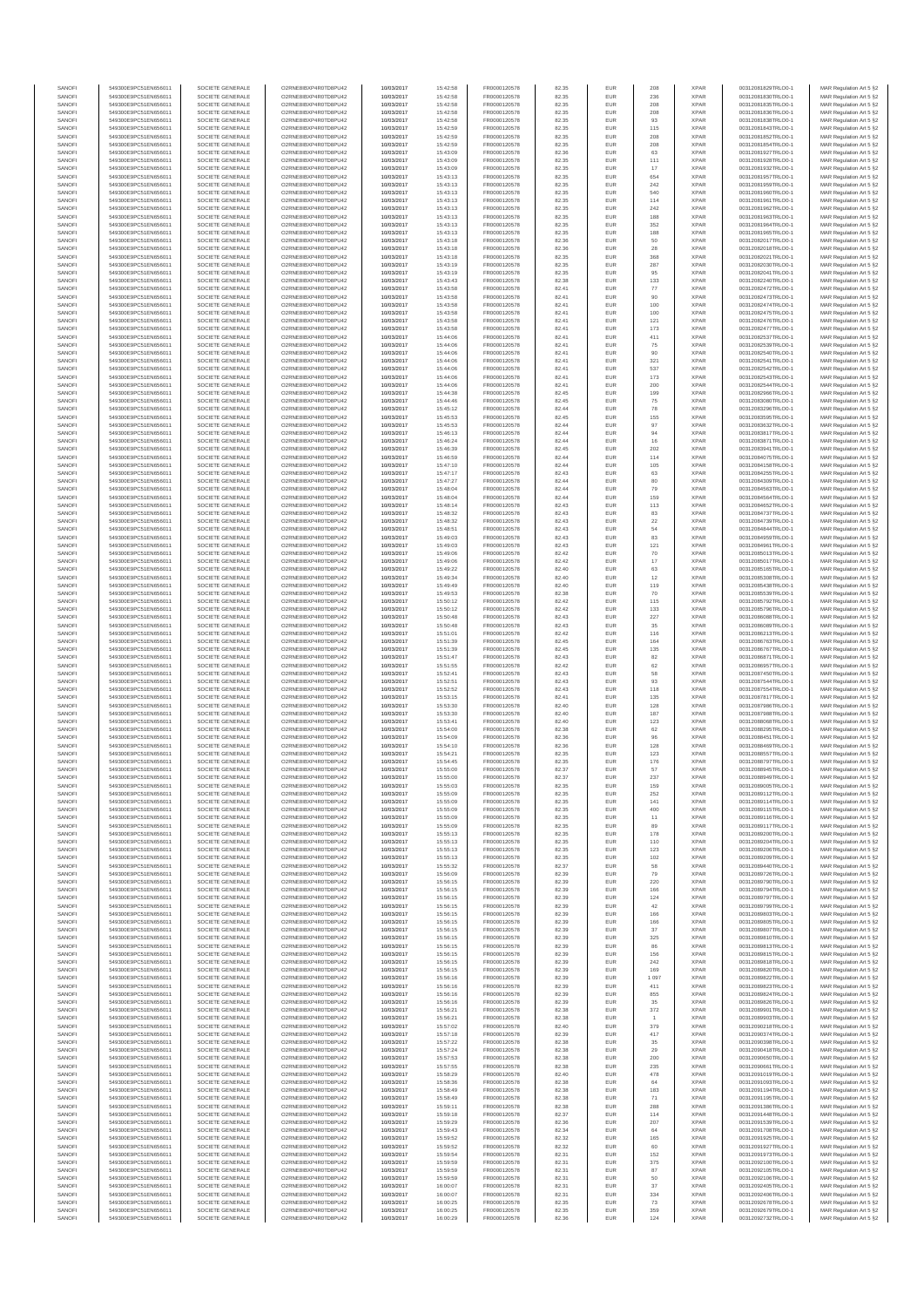| SANOFI           | 549300E9PC51EN656011                         | SOCIETE GENERALE                     | O2RNE8IBXP4R0TD8PU42                          | 10/03/2017               | 15:42:58             | FR0000120578                 | 82.35          | EUR               | 208            | <b>XPAR</b>                | 00312081829TRLO0-1                       | MAR Regulation Art 5 §2                             |
|------------------|----------------------------------------------|--------------------------------------|-----------------------------------------------|--------------------------|----------------------|------------------------------|----------------|-------------------|----------------|----------------------------|------------------------------------------|-----------------------------------------------------|
| SANOFI<br>SANOFI | 549300E9PC51EN656011<br>549300E9PC51EN656011 | SOCIETE GENERALE<br>SOCIETE GENERALE | O2RNE8IBXP4R0TD8PU42<br>O2RNE8IBXP4R0TD8PU42  | 10/03/2017<br>10/03/2017 | 15:42:58<br>15:42:58 | FR0000120578<br>FR0000120578 | 82.35<br>82.35 | EUR<br>EUR        | 236<br>208     | <b>XPAR</b><br><b>XPAR</b> | 00312081830TRLO0-1<br>00312081835TRLO0-1 | MAR Regulation Art 5 §2                             |
| SANOFI           | 549300E9PC51EN656011                         | SOCIETE GENERALE                     | O2RNE8IBXP4R0TD8PU42                          | 10/03/2017               | 15:42:58             | FR0000120578                 | 82.35          | EUR               | 208            | <b>XPAR</b>                | 00312081836TRLO0-1                       | MAR Regulation Art 5 §2<br>MAR Regulation Art 5 §2  |
| SANOFI           | 549300E9PC51EN656011                         | SOCIETE GENERALE                     | O2RNE8IBXP4R0TD8PU42                          | 10/03/2017               | 15:42:58             | FR0000120578                 | 82.35          | EUR               | 93             | <b>XPAR</b>                | 00312081838TRLO0-1                       | MAR Regulation Art 5 §2                             |
| SANOFI           | 549300E9PC51EN656011                         | SOCIETE GENERALE                     | O2RNE8IBXP4R0TD8PU42                          | 10/03/2017               | 15:42:59             | FR0000120578                 | 82.35          | EUR               | 115            | <b>XPAR</b>                | 00312081843TRLO0-1                       | MAR Regulation Art 5 §2                             |
| SANOFI<br>SANOFI | 549300E9PC51EN656011<br>549300E9PC51EN656011 | SOCIETE GENERALE<br>SOCIETE GENERALE | O2RNE8IBXP4R0TD8PU42<br>O2RNE8IBXP4R0TD8PU42  | 10/03/2017<br>10/03/2017 | 15:42:59<br>15:42:59 | FR0000120578<br>FR0000120578 | 82.35<br>82.35 | EUR<br>EUR        | 208<br>208     | <b>XPAR</b><br><b>XPAR</b> | 00312081852TRLO0-1<br>00312081854TRLO0-1 | MAR Regulation Art 5 §2<br>MAR Regulation Art 5 §2  |
| SANOFI           | 549300E9PC51EN656011                         | SOCIETE GENERALE                     | O2RNE8IBXP4R0TD8PU42                          | 10/03/2017               | 15:43:09             | FR0000120578                 | 82.36          | EUR               | 63             | <b>XPAR</b>                | 00312081927TRLO0-1                       | MAR Regulation Art 5 §2                             |
| SANOFI           | 549300E9PC51EN656011                         | SOCIETE GENERALE                     | O2RNE8IBXP4R0TD8PU42                          | 10/03/2017               | 15:43:09             | FR0000120578                 | 82.35          | EUR               | 111            | <b>XPAR</b>                | 00312081928TRLO0-1                       | MAR Regulation Art 5 §2                             |
| SANOFI<br>SANOFI | 549300E9PC51EN656011<br>549300E9PC51EN656011 | SOCIETE GENERALE<br>SOCIETE GENERALE | O2RNE8IBXP4R0TD8PU42<br>O2RNE8IBXP4R0TD8PU42  | 10/03/2017<br>10/03/2017 | 15:43:09<br>15:43:13 | FR0000120578<br>FR0000120578 | 82.35<br>82.35 | EUR<br>EUR        | 17<br>654      | <b>XPAR</b><br><b>XPAR</b> | 00312081932TRLO0-1<br>00312081957TRLO0-1 | MAR Regulation Art 5 §2<br>MAR Regulation Art 5 §2  |
| SANOFI           | 549300E9PC51EN656011                         | SOCIETE GENERALE                     | O2RNE8IBXP4R0TD8PU42                          | 10/03/2017               | 15:43:13             | FR0000120578                 | 82.35          | EUR               | 242            | <b>XPAR</b>                | 00312081959TRLO0-1                       | MAR Regulation Art 5 §2                             |
| SANOFI           | 549300E9PC51EN656011                         | SOCIETE GENERALE                     | O2RNE8IBXP4R0TD8PU42                          | 10/03/2017               | 15:43:13             | FR0000120578                 | 82.35          | EUR               | 540            | <b>XPAR</b>                | 00312081960TRLO0-1                       | MAR Regulation Art 5 §2                             |
| SANOFI           | 549300E9PC51EN656011                         | SOCIETE GENERALE                     | O2RNE8IBXP4R0TD8PU42                          | 10/03/2017               | 15:43:13             | FR0000120578                 | 82.35          | EUR               | 114            | <b>XPAR</b>                | 00312081961TRLO0-1                       | MAR Regulation Art 5 §2                             |
| SANOFI<br>SANOFI | 549300E9PC51EN656011<br>549300E9PC51EN656011 | SOCIETE GENERALE<br>SOCIETE GENERALE | O2RNE8IBXP4R0TD8PU42<br>O2RNE8IBXP4R0TD8PU42  | 10/03/2017<br>10/03/2017 | 15:43:13<br>15:43:13 | FR0000120578<br>FR0000120578 | 82.35<br>82.35 | EUR<br>EUR        | 242<br>188     | <b>XPAR</b><br><b>XPAR</b> | 00312081962TRLO0-1<br>00312081963TRLO0-1 | MAR Regulation Art 5 §2<br>MAR Regulation Art 5 §2  |
| SANOFI           | 549300E9PC51EN656011                         | SOCIETE GENERALE                     | O2RNE8IBXP4R0TD8PU42                          | 10/03/2017               | 15:43:13             | FR0000120578                 | 82.35          | EUR               | 352            | <b>XPAR</b>                | 00312081964TRLO0-1                       | MAR Regulation Art 5 §2                             |
| SANOFI           | 549300E9PC51EN656011                         | SOCIETE GENERALE                     | O2RNE8IBXP4R0TD8PU42                          | 10/03/2017               | 15:43:13             | FR0000120578                 | 82.35          | EUR               | 188            | <b>XPAR</b>                | 00312081965TRLO0-1                       | MAR Regulation Art 5 §2                             |
| SANOFI           | 549300E9PC51EN656011                         | SOCIETE GENERALE                     | O2RNE8IBXP4R0TD8PU42                          | 10/03/2017               | 15:43:18             | FR0000120578                 | 82.36          | EUR               | 50             | <b>XPAR</b>                | 00312082017TRLO0-1                       | MAR Regulation Art 5 §2                             |
| SANOFI<br>SANOFI | 549300E9PC51EN656011<br>549300E9PC51EN656011 | SOCIETE GENERALE<br>SOCIETE GENERALE | O2RNE8IBXP4R0TD8PU42<br>O2RNE8IBXP4R0TD8PU42  | 10/03/2017<br>10/03/2017 | 15:43:18<br>15:43:18 | FR0000120578<br>FR0000120578 | 82.36<br>82.35 | EUR<br>EUR        | 28<br>368      | <b>XPAR</b><br><b>XPAR</b> | 00312082018TRLO0-1<br>00312082021TRLO0-1 | MAR Regulation Art 5 §2<br>MAR Regulation Art 5 §2  |
| SANOFI           | 549300E9PC51EN656011                         | SOCIETE GENERALE                     | O2RNE8IBXP4R0TD8PU42                          | 10/03/2017               | 15:43:19             | FR0000120578                 | 82.35          | EUR               | 287            | <b>XPAR</b>                | 00312082030TRLO0-1                       | MAR Regulation Art 5 §2                             |
| SANOFI           | 549300E9PC51EN656011                         | SOCIETE GENERALE                     | O2RNE8IBXP4R0TD8PU42                          | 10/03/2017               | 15:43:19             | FR0000120578                 | 82.35          | EUR               | 95             | <b>XPAR</b>                | 00312082041TRLO0-1                       | MAR Regulation Art 5 §2                             |
| SANOFI<br>SANOFI | 549300E9PC51EN656011<br>549300E9PC51EN656011 | SOCIETE GENERALE<br>SOCIETE GENERALE | O2RNE8IBXP4R0TD8PU42<br>O2RNE8IBXP4R0TD8PU42  | 10/03/2017<br>10/03/2017 | 15:43:43<br>15:43:58 | FR0000120578<br>FR0000120578 | 82.38<br>82.41 | EUR<br>EUR        | 133<br>77      | <b>XPAR</b><br><b>XPAR</b> | 00312082240TRLO0-1<br>00312082472TRLO0-1 | MAR Regulation Art 5 §2<br>MAR Regulation Art 5 §2  |
| SANOFI           | 549300E9PC51EN656011                         | SOCIETE GENERALE                     | O2RNE8IBXP4R0TD8PU42                          | 10/03/2017               | 15:43:58             | FR0000120578                 | 82.41          | EUR               | 90             | <b>XPAR</b>                | 00312082473TRLO0-1                       | MAR Regulation Art 5 62                             |
| SANOFI           | 549300E9PC51EN656011                         | SOCIETE GENERALE                     | O2RNE8IBXP4R0TD8PU42                          | 10/03/2017               | 15:43:58             | FR0000120578                 | 82.41          | EUR               | 100            | <b>XPAR</b>                | 00312082474TRLO0-1                       | MAR Regulation Art 5 §2                             |
| SANOFI           | 549300E9PC51EN656011                         | SOCIETE GENERALE                     | O2RNE8IBXP4R0TD8PU42                          | 10/03/2017               | 15:43:58             | FR0000120578                 | 82.41          | EUR               | 100            | <b>XPAR</b>                | 00312082475TRLO0-1                       | MAR Regulation Art 5 §2                             |
| SANOFI<br>SANOFI | 549300E9PC51EN656011<br>549300E9PC51EN656011 | SOCIETE GENERALE<br>SOCIETE GENERALE | O2RNE8IBXP4R0TD8PU42<br>O2RNE8IBXP4R0TD8PU42  | 10/03/2017<br>10/03/2017 | 15:43:58<br>15:43:58 | FR0000120578<br>FR0000120578 | 82.41<br>82.41 | EUR<br>EUR        | 121<br>173     | <b>XPAR</b><br><b>XPAR</b> | 00312082476TRLO0-1<br>00312082477TRLO0-1 | MAR Regulation Art 5 §2<br>MAR Regulation Art 5 §2  |
| SANOFI           | 549300E9PC51EN656011                         | SOCIETE GENERALE                     | O2RNE8IBXP4R0TD8PU42                          | 10/03/2017               | 15:44:06             | FR0000120578                 | 82.41          | EUR               | 411            | <b>XPAR</b>                | 00312082537TRLO0-1                       | MAR Regulation Art 5 §2                             |
| SANOFI           | 549300E9PC51EN656011                         | SOCIETE GENERALE                     | O2RNE8IBXP4R0TD8PU42                          | 10/03/2017               | 15:44:06             | FR0000120578                 | 82.41          | EUR               | 75             | <b>XPAR</b>                | 00312082539TRLO0-1                       | MAR Regulation Art 5 §2                             |
| SANOFI<br>SANOFI | 549300E9PC51EN656011<br>549300E9PC51EN656011 | SOCIETE GENERALE<br>SOCIETE GENERALE | O2RNE8IBXP4R0TD8PU42<br>O2RNE8IBXP4R0TD8PU42  | 10/03/2017<br>10/03/2017 | 15:44:06<br>15:44:06 | FR0000120578<br>FR0000120578 | 82.41<br>82.41 | EUR<br>EUR        | 90<br>321      | <b>XPAR</b><br><b>XPAR</b> | 00312082540TRLO0-1<br>00312082541TRLO0-1 | MAR Regulation Art 5 \$2                            |
| SANOFI           | 549300E9PC51EN656011                         | SOCIETE GENERALE                     | O2RNE8IBXP4R0TD8PU42                          | 10/03/2017               | 15:44:06             | FR0000120578                 | 82.41          | EUR               | 537            | <b>XPAR</b>                | 00312082542TRLO0-1                       | MAR Regulation Art 5 §2<br>MAR Regulation Art 5 §2  |
| SANOFI           | 549300E9PC51EN656011                         | SOCIETE GENERALE                     | O2RNE8IBXP4R0TD8PU42                          | 10/03/2017               | 15:44:06             | FR0000120578                 | 82.41          | EUR               | 173            | <b>XPAR</b>                | 00312082543TRLO0-1                       | MAR Regulation Art 5 §2                             |
| SANOFI           | 549300E9PC51EN656011                         | SOCIETE GENERALE                     | O2RNE8IBXP4R0TD8PU42                          | 10/03/2017               | 15:44:06             | FR0000120578                 | 82.41          | EUR               | 200            | <b>XPAR</b>                | 00312082544TRLO0-1                       | MAR Regulation Art 5 §2                             |
| SANOFI<br>SANOFI | 549300E9PC51EN656011<br>549300E9PC51EN656011 | SOCIETE GENERALE<br>SOCIETE GENERALE | O2RNE8IBXP4R0TD8PU42<br>O2RNE8IBXP4R0TD8PU42  | 10/03/2017<br>10/03/2017 | 15:44:38<br>15:44:46 | FR0000120578<br>FR0000120578 | 82.45<br>82.45 | EUR<br>EUR        | 199<br>75      | <b>XPAR</b><br><b>XPAR</b> | 00312082966TRLO0-1<br>00312083080TRLO0-1 | MAR Regulation Art 5 §2<br>MAR Regulation Art 5 §2  |
| SANOFI           | 549300E9PC51EN656011                         | SOCIETE GENERALE                     | O2RNE8IBXP4R0TD8PU42                          | 10/03/2017               | 15:45:12             | FR0000120578                 | 82.44          | EUR               | 78             | <b>XPAR</b>                | 00312083296TRLO0-1                       | MAR Regulation Art 5 §2                             |
| SANOFI           | 549300E9PC51EN656011                         | SOCIETE GENERALE                     | O2RNE8IBXP4R0TD8PU42                          | 10/03/2017               | 15:45:53             | FR0000120578                 | 82.45          | EUR               | 155            | <b>XPAR</b>                | 00312083595TRLO0-1                       | MAR Regulation Art 5 §2                             |
| SANOFI           | 549300E9PC51EN656011                         | SOCIETE GENERALE                     | O2RNE8IBXP4R0TD8PU42                          | 10/03/2017               | 15:45:53             | FR0000120578<br>FR0000120578 | 82.44          | EUR               | 97             | <b>XPAR</b>                | 00312083632TRLO0-1                       | MAR Regulation Art 5 §2                             |
| SANOFI<br>SANOFI | 549300E9PC51EN656011<br>549300E9PC51EN656011 | SOCIETE GENERALE<br>SOCIETE GENERALE | O2RNE8IBXP4R0TD8PU42<br>O2RNE8IBXP4R0TD8PU42  | 10/03/2017<br>10/03/2017 | 15:46:13<br>15:46:24 | FR0000120578                 | 82.44<br>82.44 | EUR<br>EUR        | 94<br>16       | <b>XPAR</b><br><b>XPAR</b> | 00312083817TRLO0-1<br>00312083871TRLO0-1 | MAR Regulation Art 5 §2<br>MAR Regulation Art 5 §2  |
| SANOFI           | 549300E9PC51EN656011                         | SOCIETE GENERALE                     | O2RNE8IBXP4R0TD8PU42                          | 10/03/2017               | 15:46:39             | FR0000120578                 | 82.45          | EUR               | 202            | <b>XPAR</b>                | 00312083941TRLO0-1                       | MAR Regulation Art 5 §2                             |
| SANOFI           | 549300E9PC51EN656011                         | SOCIETE GENERALE                     | O2RNE8IBXP4R0TD8PU42                          | 10/03/2017               | 15:46:59             | FR0000120578                 | 82.44          | EUR               | 114            | <b>XPAR</b>                | 00312084075TRLO0-1                       | MAR Regulation Art 5 §2                             |
| SANOFI           | 549300E9PC51EN656011                         | SOCIETE GENERALE                     | O2RNE8IBXP4R0TD8PU42<br>O2RNE8IBXP4R0TD8PU42  | 10/03/2017               | 15:47:10             | FR0000120578<br>FR0000120578 | 82.44          | EUR               | 105            | <b>XPAR</b>                | 00312084158TRLO0-1<br>00312084255TRLO0-1 | MAR Regulation Art 5 §2                             |
| SANOFI<br>SANOFI | 549300E9PC51EN656011<br>549300E9PC51EN656011 | SOCIETE GENERALE<br>SOCIETE GENERALE | O2RNE8IBXP4R0TD8PLI42                         | 10/03/2017<br>10/03/2017 | 15:47:17<br>15:47:27 | FR0000120578                 | 82.43<br>82.44 | EUR<br>EUR        | 63<br>80       | <b>XPAR</b><br><b>XPAR</b> | 00312084309TRLO0-1                       | MAR Regulation Art 5 §2<br>MAR Regulation Art 5 §2  |
| SANOFI           | 549300E9PC51EN656011                         | SOCIETE GENERALE                     | O2RNE8IBXP4R0TD8PU42                          | 10/03/2017               | 15:48:04             | FR0000120578                 | 82.44          | EUR               | 79             | <b>XPAR</b>                | 00312084563TRLO0-1                       | MAR Regulation Art 5 §2                             |
| SANOFI           | 549300E9PC51EN656011                         | SOCIETE GENERALE                     | O2RNE8IBXP4R0TD8PU42                          | 10/03/2017               | 15:48:04             | FR0000120578                 | 82.44          | EUR               | 159            | <b>XPAR</b>                | 00312084564TRLO0-1                       | MAR Regulation Art 5 \$2                            |
| SANOFI<br>SANOFI | 549300E9PC51EN656011<br>549300E9PC51EN656011 | SOCIETE GENERALE<br>SOCIETE GENERALE | O2RNE8IBXP4R0TD8PU42<br>O2RNE8IBXP4R0TD8PU42  | 10/03/2017               | 15:48:14             | FR0000120578<br>FR0000120578 | 82.43<br>82.43 | EUR<br>EUR        | 113<br>83      | <b>XPAR</b><br><b>XPAR</b> | 00312084652TRLO0-1<br>00312084737TRLO0-1 | MAR Regulation Art 5 §2<br>MAR Regulation Art 5 §2  |
| SANOFI           | 549300E9PC51EN656011                         | SOCIETE GENERALE                     | O2RNE8IBXP4R0TD8PU42                          | 10/03/2017<br>10/03/2017 | 15:48:32<br>15:48:32 | FR0000120578                 | 82.43          | EUR               | $22\,$         | <b>XPAR</b>                | 00312084739TRLO0-1                       | MAR Regulation Art 5 §2                             |
| SANOFI           | 549300E9PC51EN656011                         | SOCIETE GENERALE                     | O2RNE8IBXP4R0TD8PU42                          | 10/03/2017               | 15:48:51             | FR0000120578                 | 82.43          | EUR               | 54             | <b>XPAR</b>                | 00312084844TRLO0-1                       | MAR Regulation Art 5 §2                             |
| SANOFI           | 549300E9PC51EN656011                         | SOCIETE GENERALE                     | O2RNE8IBXP4R0TD8PU42                          | 10/03/2017               | 15:49:03             | FR0000120578                 | 82.43          | EUR               | 83             | <b>XPAR</b>                | 00312084959TRLO0-1                       | MAR Regulation Art 5 §2                             |
| SANOFI<br>SANOFI | 549300E9PC51EN656011<br>549300E9PC51EN656011 | SOCIETE GENERALE<br>SOCIETE GENERALE | O2RNE8IBXP4R0TD8PU42<br>O2RNE8IBXP4R0TD8PU42  | 10/03/2017<br>10/03/2017 | 15:49:03<br>15:49:06 | FR0000120578<br>FR0000120578 | 82.43<br>82.42 | EUR<br>EUR        | 121<br>70      | <b>XPAR</b><br><b>XPAR</b> | 00312084961TRLO0-1<br>00312085013TRLO0-1 | MAR Regulation Art 5 §2<br>MAR Regulation Art 5 §2  |
| SANOFI           | 549300E9PC51EN656011                         | SOCIETE GENERALE                     | O2RNE8IBXP4R0TD8PU42                          | 10/03/2017               | 15:49:06             | FR0000120578                 | 82.42          | EUR               | 17             | <b>XPAR</b>                | 00312085017TRLO0-1                       | MAR Regulation Art 5 §2                             |
| SANOFI           | 549300E9PC51EN656011                         | SOCIETE GENERALE                     | O2RNE8IBXP4R0TD8PU42                          | 10/03/2017               | 15:49:22             | FR0000120578                 | 82.40          | EUR               | 63             | <b>XPAR</b>                | 00312085165TRLO0-1                       | MAR Regulation Art 5 §2                             |
| SANOFI           | 549300E9PC51EN656011                         | SOCIETE GENERALE                     | O2RNE8IBXP4R0TD8PU42                          | 10/03/2017               | 15:49:34             | FR0000120578                 | 82.40          | EUR               | 12             | <b>XPAR</b>                | 00312085308TRLO0-1                       | MAR Regulation Art 5 §2                             |
| SANOFI<br>SANOFI | 549300E9PC51EN656011<br>549300E9PC51EN656011 | SOCIETE GENERALE<br>SOCIETE GENERALE | O2RNE8IBXP4R0TD8PU42<br>O2RNE8IBXP4R0TD8PU42  | 10/03/2017<br>10/03/2017 | 15:49:49<br>15:49:53 | FR0000120578<br>FR0000120578 | 82.40<br>82.38 | EUR<br>EUR        | 119<br>70      | <b>XPAR</b><br><b>XPAR</b> | 00312085438TRLO0-1<br>00312085539TRLO0-1 | MAR Regulation Art 5 §2<br>MAR Regulation Art 5 §2  |
| SANOFI           | 549300E9PC51EN656011                         | SOCIETE GENERALE                     | O2RNE8IBXP4R0TD8PU42                          | 10/03/2017               | 15:50:12             | FR0000120578                 | 82.42          | EUR               | 115            | <b>XPAR</b>                | 00312085792TRLO0-1                       | MAR Regulation Art 5 §2                             |
| SANOFI           | 549300E9PC51EN656011                         | SOCIETE GENERALE                     | O2RNE8IBXP4R0TD8PU42                          | 10/03/2017               | 15:50:12             | FR0000120578                 | 82.42          | EUR               | 133            | <b>XPAR</b>                | 00312085796TRLO0-1                       | MAR Regulation Art 5 §2                             |
| SANOFI           | 549300E9PC51EN656011                         | SOCIETE GENERALE                     | O2RNE8IBXP4R0TD8PU42                          | 10/03/2017               | 15:50:48             | FR0000120578                 | 82.43          | EUR<br>EUR        | 227            | <b>XPAR</b>                | 00312086088TRLO0-1                       | MAR Regulation Art 5 §2                             |
| SANOFI<br>SANOFI | 549300E9PC51EN656011<br>549300E9PC51EN656011 | SOCIETE GENERALE<br>SOCIETE GENERALE | O2RNE8IBXP4R0TD8PU42<br>O2RNE8IBXP4R0TD8PU42  | 10/03/2017<br>10/03/2017 | 15:50:48<br>15:51:01 | FR0000120578<br>FR0000120578 | 82.43<br>82.42 | EUR               | 35<br>116      | <b>XPAR</b><br><b>XPAR</b> | 00312086089TRLO0-1<br>00312086213TRLO0-1 | MAR Regulation Art 5 §2<br>MAR Regulation Art 5 §2  |
| SANOFI           | 549300E9PC51EN656011                         | SOCIETE GENERALE                     | O2RNE8IBXP4R0TD8PU42                          | 10/03/2017               | 15:51:39             | FR0000120578                 | 82.45          | EUR               | 164            | <b>XPAR</b>                | 00312086763TRLO0-1                       | MAR Regulation Art 5 §2                             |
| SANOFI           | 549300E9PC51EN656011                         | SOCIETE GENERALE                     | O2RNE8IBXP4R0TD8PU42                          | 10/03/2017               | 15:51:39             | FR0000120578                 | 82.45          | EUR               | 135            | <b>XPAR</b>                | 00312086767TRLO0-1                       | MAR Regulation Art 5 §2                             |
| SANOFI<br>SANOFI | 549300E9PC51EN656011<br>549300E9PC51EN656011 | SOCIETE GENERALE<br>SOCIETE GENERALE | O2RNE8IBXP4R0TD8PU42<br>O2RNE8IBXP4R0TD8PU42  | 10/03/2017<br>10/03/2017 | 15:51:47<br>15:51:55 | FR0000120578<br>FR0000120578 | 82.43<br>82.42 | EUR<br>EUR        | 82<br>62       | <b>XPAR</b><br><b>XPAR</b> | 00312086871TRLO0-1<br>00312086957TRLO0-1 | MAR Regulation Art 5 §2<br>MAR Regulation Art 5 §2  |
| SANOFI           | 549300E9PC51EN656011                         | SOCIETE GENERALE                     | O2RNE8IBXP4R0TD8PU42                          | 10/03/2017               | 15:52:41             | FR0000120578                 | 82.43          | EUR               | 58             | <b>XPAR</b>                | 00312087450TRLO0-1                       | MAR Regulation Art 5 §2                             |
| SANOFI           | 549300E9PC51EN656011                         | SOCIETE GENERALE                     | O2RNE8IBXP4R0TD8PU42                          | 10/03/2017               | 15:52:51             | FR0000120578                 | 82.43          | EUR               | 93             | <b>XPAR</b>                | 00312087544TRLO0-1                       | MAR Regulation Art 5 §2                             |
| SANOFI<br>SANOFI | 549300E9PC51EN656011<br>549300E9PC51EN656011 | SOCIETE GENERALE<br>SOCIETE GENERALE | O2RNE8IBXP4R0TD8PU42<br>O2RNE8IBXP4R0TD8PU42  | 10/03/2017<br>10/03/2017 | 15:52:52<br>15:53:15 | FR0000120578<br>FR0000120578 | 82.43<br>82.41 | EUR<br>EUR        | 118<br>135     | <b>XPAR</b><br><b>XPAR</b> | 00312087554TRLO0-1<br>00312087817TRLO0-1 | MAR Regulation Art 5 §2                             |
| SANOFI           | 549300E9PC51EN656011                         | SOCIETE GENERALE                     | O2RNE8IBXP4R0TD8PU42                          | 10/03/2017               | 15:53:30             | FR0000120578                 | 82.40          | EUR               | 128            | <b>XPAR</b>                | 00312087986TRLO0-1                       | MAR Regulation Art 5 §2<br>MAR Regulation Art 5 §2  |
| SANOFI           | 549300E9PC51EN656011                         | SOCIETE GENERALE                     | O2RNE8IBXP4R0TD8PU42                          | 10/03/2017               | 15:53:30             | FR0000120578                 | 82.40          | EUR               | 187            | <b>XPAR</b>                | 00312087988TRLO0-1                       | MAR Regulation Art 5 §2                             |
| SANOFI           | 549300E9PC51EN656011                         | SOCIETE GENERALE                     | O2RNE8IBXP4R0TD8PU42                          | 10/03/2017               | 15:53:41             | FR0000120578                 | 82.40          | EUR               | 123            | <b>XPAR</b>                | 00312088068TRLO0-1                       | MAR Regulation Art 5 §2                             |
| SANOFI<br>SANOFI | 549300E9PC51EN656011<br>549300E9PC51EN656011 | SOCIETE GENERALE<br>SOCIETE GENERALE | O2RNE8IBXP4R0TD8PU42<br>O2RNE8IBXP4R0TD8PU42  | 10/03/2017<br>10/03/2017 | 15:54:00<br>15:54:09 | FR0000120578<br>FR0000120578 | 82.38<br>82.36 | EUR<br>EUR        | 62<br>96       | <b>XPAR</b><br><b>XPAR</b> | 00312088295TRLO0-1<br>00312088451TRLO0-1 | MAR Regulation Art 5 §2<br>MAR Regulation Art 5 §2  |
| SANOFI           | 549300E9PC51EN656011                         | SOCIETE GENERALE                     | O2RNE8IBXP4R0TD8PU42                          | 10/03/2017               | 15:54:10             | FR0000120578                 | 82.36          | EUR               | 128            | <b>XPAR</b>                | 00312088469TRLO0-1                       | MAR Regulation Art 5 §2                             |
| SANOFI           | 549300E9PC51EN656011                         | SOCIETE GENERALE                     | O2RNE8IBXP4R0TD8PU42                          | 10/03/2017               | 15:54:21             | FR0000120578                 | 82.35          | EUR               | 123            | <b>XPAR</b>                | 00312088557TRLO0-1                       | MAR Regulation Art 5 \$2                            |
| SANOFI           | 549300E9PC51EN656011                         | SOCIETE GENERALE                     | O2RNE8IBXP4R0TD8PU42                          | 10/03/2017               | 15:54:45             | FR0000120578                 | 82.35          | EUR               | 176            | <b>XPAR</b>                | 00312088797TRLO0-1                       | MAR Regulation Art 5 §2                             |
| SANOFI<br>SANOFI | 549300E9PC51EN656011<br>549300E9PC51EN656011 | SOCIETE GENERALE<br>SOCIETE GENERALE | O2RNE8IBXP4R0TD8PU42<br>O2RNE8IBXP4R0TD8PU42  | 10/03/2017<br>10/03/2017 | 15:55:00<br>15:55:00 | FR0000120578<br>FR0000120578 | 82.37<br>82.37 | <b>EUR</b><br>EUR | 57<br>237      | <b>XPAR</b><br><b>XPAR</b> | 00312088945TRLO0-1<br>00312088949TRLO0-1 | MAR Regulation Art 5 §2<br>MAR Regulation Art 5 §2  |
| SANOFI           | 549300E9PC51EN656011                         | SOCIETE GENERALE                     | O2RNE8IBXP4R0TD8PU42                          | 10/03/2017               | 15:55:03             | FR0000120578                 | 82.35          | EUR               | 159            | <b>XPAR</b>                | 00312089005TRLO0-1                       | MAR Regulation Art 5 §2                             |
| SANOFI           | 549300E9PC51EN656011                         | SOCIETE GENERALE                     | O2RNE8IBXP4R0TD8PU42                          | 10/03/2017               | 15:55:09             | FR0000120578                 | 82.35          | EUR               | 252            | <b>XPAR</b>                | 00312089112TRLO0-1                       | MAR Regulation Art 5 §2                             |
| SANOFI<br>SANOFI | 549300E9PC51EN656011<br>549300E9PC51EN656011 | SOCIETE GENERALE<br>SOCIETE GENERALE | O2RNE8IBXP4R0TD8PU42<br>O2RNE8IBXP4R0TD8PU42  | 10/03/2017               | 15:55:09<br>15:55:09 | FR0000120578                 | 82.35<br>82.35 | EUR<br>EUR        | 141<br>400     | <b>XPAR</b><br><b>XPAR</b> | 00312089114TRLO0-1                       | MAR Regulation Art 5 §2                             |
| SANOFI           | 549300E9PC51EN656011                         | SOCIETE GENERALE                     | O2RNE8IBXP4R0TD8PU42                          | 10/03/2017<br>10/03/2017 | 15:55:09             | FR0000120578<br>FR0000120578 | 82.35          | EUR               | 11             | <b>XPAR</b>                | 00312089115TRLO0-1<br>00312089116TRLO0-1 | MAR Regulation Art 5 §2<br>MAR Regulation Art 5 §2  |
| SANOFI           | 549300E9PC51EN656011                         | SOCIETE GENERALE                     | O2RNE8IBXP4R0TD8PU42                          | 10/03/2017               | 15:55:09             | FR0000120578                 | 82.35          | EUR               | 89             | <b>XPAR</b>                | 00312089117TRLO0-1                       | MAR Regulation Art 5 §2                             |
| SANOFI           | 549300E9PC51EN656011                         | SOCIETE GENERALE                     | O2RNE8IBXP4R0TD8PU42                          | 10/03/2017               | 15:55:13             | FR0000120578                 | 82.35          | EUR               | 178            | <b>XPAR</b>                | 00312089200TRLO0-1                       | MAR Regulation Art 5 §2                             |
| SANOFI<br>SANOFI | 549300E9PC51EN656011<br>549300E9PC51EN656011 | SOCIETE GENERALE<br>SOCIETE GENERALE | O2RNE8IBXP4R0TD8PU42<br>O2RNE8IBXP4R0TD8PU42  | 10/03/2017<br>10/03/2017 | 15:55:13<br>15:55:13 | FR0000120578<br>FR0000120578 | 82.35<br>82.35 | EUR<br>EUR        | 110<br>123     | <b>XPAR</b><br><b>XPAR</b> | 00312089204TRLO0-1<br>00312089206TRLO0-1 | MAR Regulation Art 5 \$2<br>MAR Regulation Art 5 §2 |
| SANOFI           | 549300E9PC51EN656011                         | SOCIETE GENERALE                     | O2RNE8IBXP4R0TD8PU42                          | 10/03/2017               | 15:55:13             | FR0000120578                 | 82.35          | EUR               | 102            | <b>XPAR</b>                | 00312089209TRLO0-1                       | MAR Regulation Art 5 §2                             |
| SANOFI           | 549300E9PC51EN656011                         | SOCIETE GENERALE                     | O2RNE8IBXP4R0TD8PU42                          | 10/03/2017               | 15:55:32             | FR0000120578                 | 82.37          | EUR               | 58             | <b>XPAR</b>                | 00312089440TRLO0-1                       | MAR Regulation Art 5 §2                             |
| SANOFI<br>SANOFI | 549300E9PC51EN656011<br>549300E9PC51EN656011 | SOCIETE GENERALE<br>SOCIETE GENERALE | O2RNE8IBXP4R0TD8PU42<br>O2RNE8IBXP4R0TD8PU42  | 10/03/2017<br>10/03/2017 | 15:56:09<br>15:56:15 | FR0000120578<br>FR0000120578 | 82.39<br>82.39 | EUR<br>EUR        | 79<br>220      | <b>XPAR</b><br><b>XPAR</b> | 00312089726TRLO0-1<br>00312089790TRLO0-1 | MAR Regulation Art 5 §2<br>MAR Regulation Art 5 §2  |
| SANOFI           | 549300E9PC51EN656011                         | SOCIETE GENERALE                     | O2RNE8IBXP4R0TD8PU42                          | 10/03/2017               | 15:56:15             | FR0000120578                 | 82.39          | EUR               | 166            | <b>XPAR</b>                | 00312089794TRLO0-1                       | MAR Regulation Art 5 §2                             |
| SANOFI           | 549300E9PC51EN656011                         | SOCIETE GENERALE                     | O2RNE8IBXP4R0TD8PU42                          | 10/03/2017               | 15:56:15             | FR0000120578                 | 82.39          | EUR               | 124            | <b>XPAR</b>                | 00312089797TRLO0-1                       | MAR Regulation Art 5 §2                             |
| SANOFI<br>SANOFI | 549300E9PC51EN656011<br>549300E9PC51EN656011 | SOCIETE GENERALE<br>SOCIETE GENERALE | O2RNE8IBXP4R0TD8PU42<br>O2RNE8IBXP4R0TD8PU42  | 10/03/2017<br>10/03/2017 | 15:56:15<br>15:56:15 | FR0000120578<br>FR0000120578 | 82.39<br>82.39 | EUR<br>EUR        | 42<br>166      | <b>XPAR</b><br><b>XPAR</b> | 00312089799TRLO0-1<br>00312089803TRLO0-1 | MAR Regulation Art 5 §2<br>MAR Regulation Art 5 §2  |
| SANOFI           | 549300E9PC51EN656011                         | SOCIETE GENERALE                     | O2RNE8IBXP4R0TD8PU42                          | 10/03/2017               | 15:56:15             | FR0000120578                 | 82.39          | EUR               | 166            | <b>XPAR</b>                | 00312089805TRLO0-1                       | MAR Regulation Art 5 §2                             |
| SANOFI           | 549300E9PC51EN656011                         | SOCIETE GENERALE                     | O2RNE8IBXP4R0TD8PU42                          | 10/03/2017               | 15:56:15             | FR0000120578                 | 82.39          | EUR               | 37             | <b>XPAR</b>                | 00312089807TRLO0-1                       | MAR Regulation Art 5 §2                             |
| SANOFI<br>SANOFI | 549300E9PC51EN656011<br>549300E9PC51EN656011 | SOCIETE GENERALE<br>SOCIETE GENERALE | O2RNESIBXP4R0TD8PLI42<br>O2RNE8IBXP4R0TD8PU42 | 10/03/2017<br>10/03/2017 | 15:56:15<br>15:56:15 | FR0000120578<br>FR0000120578 | 82.39<br>82.39 | EUR<br>EUR        | 325<br>86      | <b>XPAR</b><br><b>XPAR</b> | 00312089810TRLO0-1<br>00312089813TRLO0-1 | MAR Regulation Art 5 §2<br>MAR Regulation Art 5 §2  |
| SANOFI           | 549300E9PC51EN656011                         | SOCIETE GENERALE                     | O2RNE8IBXP4R0TD8PU42                          | 10/03/2017               | 15:56:15             | FR0000120578                 | 82.39          | EUR               | 156            | <b>XPAR</b>                | 00312089815TRLO0-1                       | MAR Regulation Art 5 §2                             |
| SANOFI           | 549300E9PC51EN656011                         | SOCIETE GENERALE                     | O2RNE8IBXP4R0TD8PU42                          | 10/03/2017               | 15:56:15             | FR0000120578                 | 82.39          | EUR               | 242            | <b>XPAR</b>                | 00312089818TRLO0-1                       | MAR Regulation Art 5 §2                             |
| SANOFI           | 549300E9PC51EN656011                         | SOCIETE GENERALE                     | O2RNE8IBXP4R0TD8PU42                          | 10/03/2017               | 15:56:15             | FR0000120578                 | 82.39          | EUR               | 169            | <b>XPAR</b>                | 00312089820TRLO0-1                       | MAR Regulation Art 5 §2                             |
| SANOFI<br>SANOFI | 549300E9PC51EN656011<br>549300E9PC51EN656011 | SOCIETE GENERALE<br>SOCIETE GENERALE | O2RNE8IBXP4R0TD8PU42<br>O2RNE8IBXP4R0TD8PU42  | 10/03/2017<br>10/03/2017 | 15:56:16<br>15:56:16 | FR0000120578<br>FR0000120578 | 82.39<br>82.39 | EUR<br>EUR        | 1 0 9 7<br>411 | <b>XPAR</b><br><b>XPAR</b> | 00312089822TRLO0-1<br>00312089823TRLO0-1 | MAR Regulation Art 5 §2<br>MAR Regulation Art 5 §2  |
| SANOFI           | 549300E9PC51EN656011                         | SOCIETE GENERALE                     | O2RNE8IBXP4R0TD8PU42                          | 10/03/2017               | 15:56:16             | FR0000120578                 | 82.39          | EUR               | 855            | <b>XPAR</b>                | 00312089824TRLO0-1                       | MAR Regulation Art 5 §2                             |
| SANOFI           | 549300E9PC51EN656011                         | SOCIETE GENERALE                     | O2RNE8IBXP4R0TD8PU42                          | 10/03/2017               | 15:56:16             | FR0000120578                 | 82.39          | EUR               | 35             | <b>XPAR</b>                | 00312089826TRLO0-1                       | MAR Regulation Art 5 §2                             |
| SANOFI           | 549300E9PC51EN656011                         | SOCIETE GENERALE                     | O2RNE8IBXP4R0TD8PU42                          | 10/03/2017               | 15:56:21             | FR0000120578                 | 82.38          | EUR               | 372            | <b>XPAR</b>                | 00312089901TRLO0-1                       | MAR Regulation Art 5 §2                             |
| SANOFI<br>SANOFI | 549300E9PC51EN656011<br>549300E9PC51EN656011 | SOCIETE GENERALE<br>SOCIETE GENERALE | O2RNE8IBXP4R0TD8PU42<br>O2RNE8IBXP4R0TD8PU42  | 10/03/2017<br>10/03/2017 | 15:56:21<br>15:57:02 | FR0000120578<br>FR0000120578 | 82.38<br>82.40 | EUR<br>EUR        | 379            | <b>XPAR</b><br><b>XPAR</b> | 00312089903TRLO0-1<br>00312090218TRLO0-1 | MAR Regulation Art 5 §2<br>MAR Regulation Art 5 §2  |
| SANOFI           | 549300E9PC51EN656011                         | SOCIETE GENERALE                     | O2RNE8IBXP4R0TD8PU42                          | 10/03/2017               | 15:57:18             | FR0000120578                 | 82.39          | EUR               | 417            | <b>XPAR</b>                | 00312090374TRLO0-1                       | MAR Regulation Art 5 §2                             |
| SANOFI           | 549300E9PC51EN656011                         | SOCIETE GENERALE                     | O2RNE8IBXP4R0TD8PU42                          | 10/03/2017               | 15:57:22             | FR0000120578                 | 82.38          | EUR               | 35             | <b>XPAR</b>                | 00312090398TRLO0-1                       | MAR Regulation Art 5 §2                             |
| SANOFI<br>SANOFI | 549300E9PC51EN656011<br>549300E9PC51EN656011 | SOCIETE GENERALE<br>SOCIETE GENERALE | O2RNE8IBXP4R0TD8PU42<br>O2RNE8IBXP4R0TD8PU42  | 10/03/2017<br>10/03/2017 | 15:57:24<br>15:57:53 | FR0000120578<br>FR0000120578 | 82.38<br>82.38 | EUR<br>EUR        | 29<br>200      | <b>XPAR</b><br><b>XPAR</b> | 00312090418TRLO0-1<br>00312090650TRLO0-1 | MAR Regulation Art 5 §2<br>MAR Regulation Art 5 §2  |
| SANOFI           | 549300E9PC51EN656011                         | SOCIETE GENERALE                     | O2RNE8IBXP4R0TD8PU42                          | 10/03/2017               | 15:57:55             | FR0000120578                 | 82.38          | EUR               | 235            | <b>XPAR</b>                | 00312090661TRLO0-1                       | MAR Regulation Art 5 §2                             |
| SANOFI           | 549300E9PC51EN656011                         | SOCIETE GENERALE                     | O2RNE8IBXP4R0TD8PU42                          | 10/03/2017               | 15:58:29             | FR0000120578                 | 82.40          | EUR               | 478            | <b>XPAR</b>                | 00312091019TRLO0-1                       | MAR Regulation Art 5 §2                             |
| SANOFI           | 549300E9PC51EN656011                         | SOCIETE GENERALE                     | O2RNE8IBXP4R0TD8PU42                          | 10/03/2017               | 15:58:36             | FR0000120578                 | 82.38          | EUR               | 64             | <b>XPAR</b>                | 00312091093TRLO0-1                       | MAR Regulation Art 5 §2                             |
| SANOFI<br>SANOFI | 549300E9PC51EN656011<br>549300E9PC51EN656011 | SOCIETE GENERALE<br>SOCIETE GENERALE | O2RNE8IBXP4R0TD8PU42<br>O2RNE8IBXP4R0TD8PU42  | 10/03/2017<br>10/03/2017 | 15:58:49<br>15:58:49 | FR0000120578<br>FR0000120578 | 82.38<br>82.38 | EUR<br>EUR        | 183<br>71      | <b>XPAR</b><br><b>XPAR</b> | 00312091194TRLO0-1<br>00312091195TRLO0-1 | MAR Regulation Art 5 §2<br>MAR Regulation Art 5 §2  |
| SANOFI           | 549300E9PC51EN656011                         | SOCIETE GENERALE                     | O2RNE8IBXP4R0TD8PU42                          | 10/03/2017               | 15:59:11             | FR0000120578                 | 82.38          | EUR               | 288            | <b>XPAR</b>                | 00312091386TRLO0-1                       | MAR Regulation Art 5 §2                             |
| SANOFI           | 549300E9PC51EN656011                         | SOCIETE GENERALE                     | O2RNE8IBXP4R0TD8PU42                          | 10/03/2017               | 15:59:18             | FR0000120578                 | 82.37          | EUR               | 114            | <b>XPAR</b>                | 00312091448TRLO0-1                       | MAR Regulation Art 5 §2                             |
| SANOFI           | 549300E9PC51EN656011                         | SOCIETE GENERALE                     | O2RNE8IBXP4R0TD8PU42                          | 10/03/2017               | 15:59:29             | FR0000120578                 | 82.36          | EUR               | 207            | <b>XPAR</b>                | 00312091539TRLO0-1                       | MAR Regulation Art 5 §2                             |
| SANOFI<br>SANOFI | 549300E9PC51EN656011<br>549300E9PC51EN656011 | SOCIETE GENERALE<br>SOCIETE GENERALE | O2RNE8IBXP4R0TD8PU42<br>O2RNE8IBXP4R0TD8PU42  | 10/03/2017<br>10/03/2017 | 15:59:43<br>15:59:52 | FR0000120578<br>FR0000120578 | 82.34<br>82.32 | EUR<br>EUR        | 64<br>165      | <b>XPAR</b><br><b>XPAR</b> | 00312091708TRLO0-1<br>00312091925TRLO0-1 | MAR Regulation Art 5 §2<br>MAR Regulation Art 5 §2  |
| SANOFI           | 549300E9PC51EN656011                         | SOCIETE GENERALE                     | O2RNE8IBXP4R0TD8PU42                          | 10/03/2017               | 15:59:52             | FR0000120578                 | 82.32          | EUR               | 60             | <b>XPAR</b>                | 00312091927TRLO0-1                       | MAR Regulation Art 5 §2                             |
| SANOFI           | 549300E9PC51EN656011                         | SOCIETE GENERALE                     | O2RNE8IBXP4R0TD8PU42                          | 10/03/2017               | 15:59:54             | FR0000120578                 | 82.31          | EUR               | 152            | <b>XPAR</b>                | 00312091973TRLO0-1                       | MAR Regulation Art 5 §2                             |
| SANOFI<br>SANOFI | 549300E9PC51EN656011<br>549300E9PC51EN656011 | SOCIETE GENERALE<br>SOCIETE GENERALE | O2RNE8IBXP4R0TD8PU42<br>O2RNE8IBXP4R0TD8PU42  | 10/03/2017<br>10/03/2017 | 15:59:59<br>15:59:59 | FR0000120578<br>FR0000120578 | 82.31<br>82.31 | EUR<br>EUR        | 375<br>87      | <b>XPAR</b><br><b>XPAR</b> | 00312092100TRLO0-1<br>00312092105TRLO0-1 | MAR Regulation Art 5 §2<br>MAR Regulation Art 5 §2  |
| SANOFI           | 549300E9PC51EN656011                         | SOCIETE GENERALE                     | O2RNE8IBXP4R0TD8PU42                          | 10/03/2017               | 15:59:59             | FR0000120578                 | 82.31          | EUR               | 50             | <b>XPAR</b>                | 00312092106TRLO0-1                       | MAR Regulation Art 5 §2                             |
| SANOFI           | 549300E9PC51EN656011                         | SOCIETE GENERALE                     | O2RNE8IBXP4R0TD8PU42                          | 10/03/2017               | 16:00:07             | FR0000120578                 | 82.31          | EUR               | 37             | <b>XPAR</b>                | 00312092405TRLO0-1                       | MAR Regulation Art 5 §2                             |
| SANOFI           | 549300E9PC51EN656011                         | SOCIETE GENERALE                     | O2RNE8IBXP4R0TD8PU42                          | 10/03/2017               | 16:00:07             | FR0000120578                 | 82.31          | EUR               | 334            | <b>XPAR</b>                | 00312092406TRLO0-1                       | MAR Regulation Art 5 §2                             |
| SANOFI<br>SANOFI | 549300E9PC51EN656011<br>549300E9PC51EN656011 | SOCIETE GENERALE<br>SOCIETE GENERALE | O2RNE8IBXP4R0TD8PU42<br>O2RNE8IBXP4R0TD8PU42  | 10/03/2017<br>10/03/2017 | 16:00:25<br>16:00:25 | FR0000120578<br>FR0000120578 | 82.35<br>82.35 | EUR<br>EUR        | 73<br>359      | <b>XPAR</b><br><b>XPAR</b> | 00312092678TRLO0-1<br>00312092679TRLO0-1 | MAR Regulation Art 5 §2<br>MAR Regulation Art 5 §2  |
| SANOFI           | 549300E9PC51EN656011                         | SOCIETE GENERALE                     | O2RNE8IBXP4R0TD8PU42                          | 10/03/2017               | 16:00:29             | FR0000120578                 | 82.36          | EUR               | 124            | <b>XPAR</b>                | 00312092732TRLO0-1                       | MAR Regulation Art 5 §2                             |
|                  |                                              |                                      |                                               |                          |                      |                              |                |                   |                |                            |                                          |                                                     |